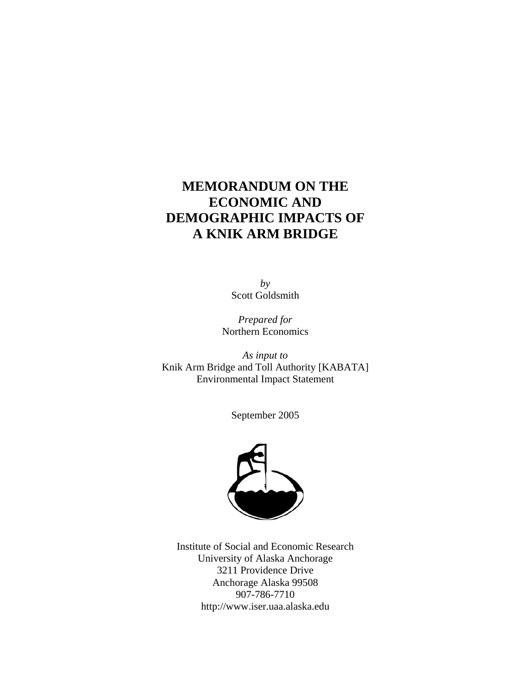# **MEMORANDUM ON THE ECONOMIC AND DEMOGRAPHIC IMPACTS OF A KNIK ARM BRIDGE**

*by*  Scott Goldsmith

*Prepared for*  Northern Economics

*As input to*  Knik Arm Bridge and Toll Authority [KABATA] Environmental Impact Statement

September 2005



Institute of Social and Economic Research University of Alaska Anchorage 3211 Providence Drive Anchorage Alaska 99508 907-786-7710 http://www.iser.uaa.alaska.edu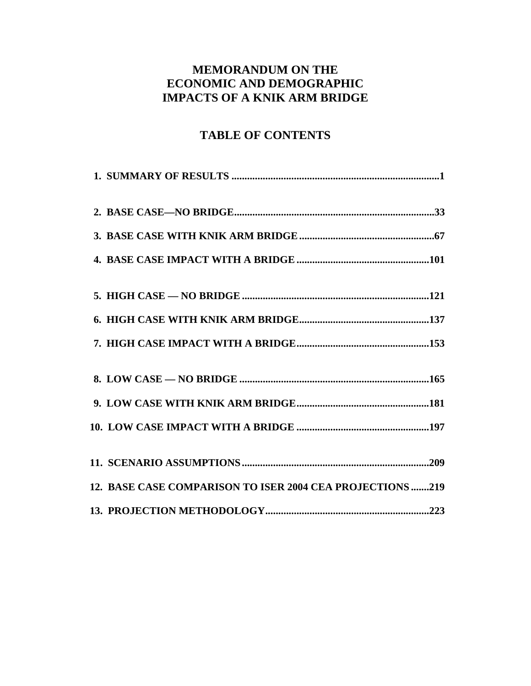# **MEMORANDUM ON THE ECONOMIC AND DEMOGRAPHIC IMPACTS OF A KNIK ARM BRIDGE**

# **TABLE OF CONTENTS**

| 12. BASE CASE COMPARISON TO ISER 2004 CEA PROJECTIONS 219 |
|-----------------------------------------------------------|
|                                                           |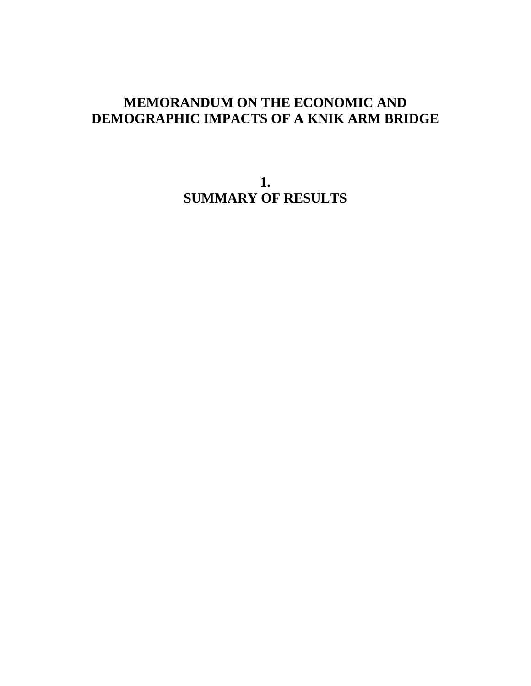# **MEMORANDUM ON THE ECONOMIC AND DEMOGRAPHIC IMPACTS OF A KNIK ARM BRIDGE**

**1. SUMMARY OF RESULTS**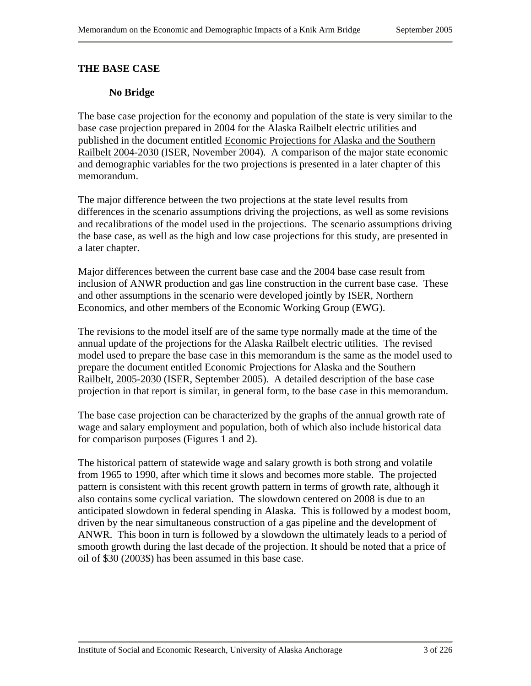#### **THE BASE CASE**

#### **No Bridge**

The base case projection for the economy and population of the state is very similar to the base case projection prepared in 2004 for the Alaska Railbelt electric utilities and published in the document entitled Economic Projections for Alaska and the Southern Railbelt 2004-2030 (ISER, November 2004). A comparison of the major state economic and demographic variables for the two projections is presented in a later chapter of this memorandum.

The major difference between the two projections at the state level results from differences in the scenario assumptions driving the projections, as well as some revisions and recalibrations of the model used in the projections. The scenario assumptions driving the base case, as well as the high and low case projections for this study, are presented in a later chapter.

Major differences between the current base case and the 2004 base case result from inclusion of ANWR production and gas line construction in the current base case. These and other assumptions in the scenario were developed jointly by ISER, Northern Economics, and other members of the Economic Working Group (EWG).

The revisions to the model itself are of the same type normally made at the time of the annual update of the projections for the Alaska Railbelt electric utilities. The revised model used to prepare the base case in this memorandum is the same as the model used to prepare the document entitled Economic Projections for Alaska and the Southern Railbelt, 2005-2030 (ISER, September 2005). A detailed description of the base case projection in that report is similar, in general form, to the base case in this memorandum.

The base case projection can be characterized by the graphs of the annual growth rate of wage and salary employment and population, both of which also include historical data for comparison purposes (Figures 1 and 2).

The historical pattern of statewide wage and salary growth is both strong and volatile from 1965 to 1990, after which time it slows and becomes more stable. The projected pattern is consistent with this recent growth pattern in terms of growth rate, although it also contains some cyclical variation. The slowdown centered on 2008 is due to an anticipated slowdown in federal spending in Alaska. This is followed by a modest boom, driven by the near simultaneous construction of a gas pipeline and the development of ANWR. This boon in turn is followed by a slowdown the ultimately leads to a period of smooth growth during the last decade of the projection. It should be noted that a price of oil of \$30 (2003\$) has been assumed in this base case.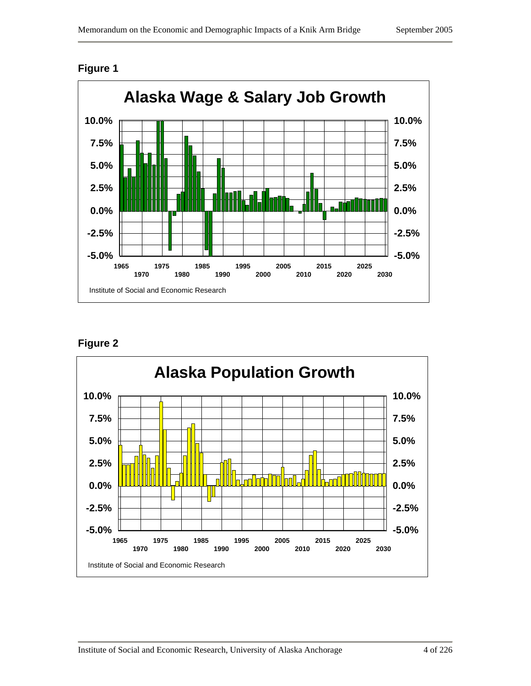

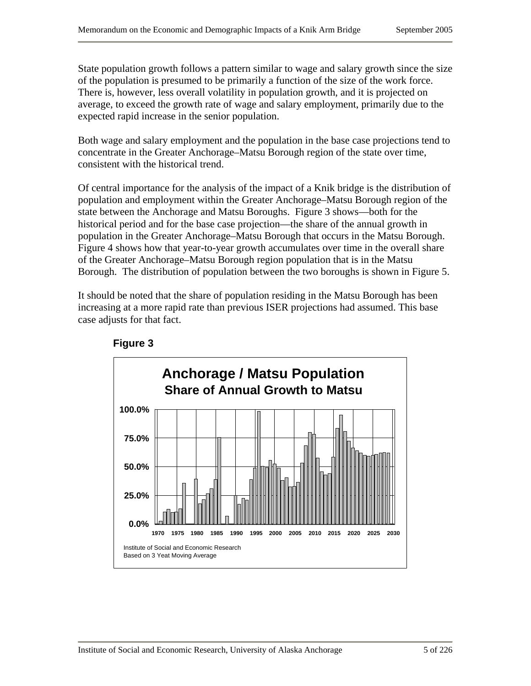State population growth follows a pattern similar to wage and salary growth since the size of the population is presumed to be primarily a function of the size of the work force. There is, however, less overall volatility in population growth, and it is projected on average, to exceed the growth rate of wage and salary employment, primarily due to the expected rapid increase in the senior population.

Both wage and salary employment and the population in the base case projections tend to concentrate in the Greater Anchorage–Matsu Borough region of the state over time, consistent with the historical trend.

Of central importance for the analysis of the impact of a Knik bridge is the distribution of population and employment within the Greater Anchorage–Matsu Borough region of the state between the Anchorage and Matsu Boroughs. Figure 3 shows—both for the historical period and for the base case projection—the share of the annual growth in population in the Greater Anchorage–Matsu Borough that occurs in the Matsu Borough. Figure 4 shows how that year-to-year growth accumulates over time in the overall share of the Greater Anchorage–Matsu Borough region population that is in the Matsu Borough. The distribution of population between the two boroughs is shown in Figure 5.

It should be noted that the share of population residing in the Matsu Borough has been increasing at a more rapid rate than previous ISER projections had assumed. This base case adjusts for that fact.



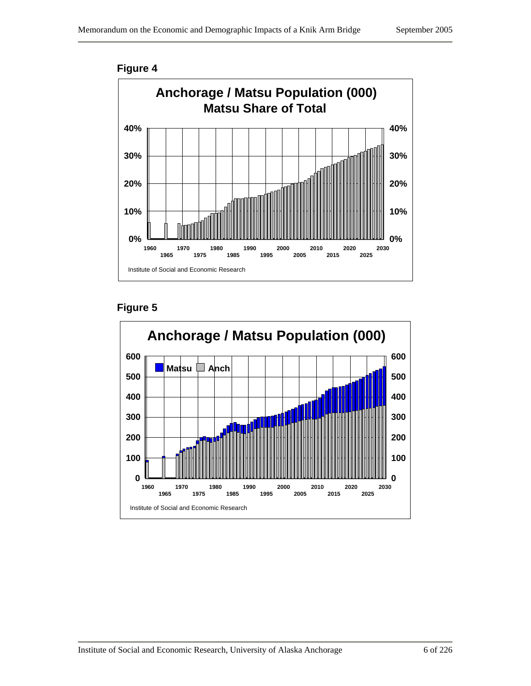

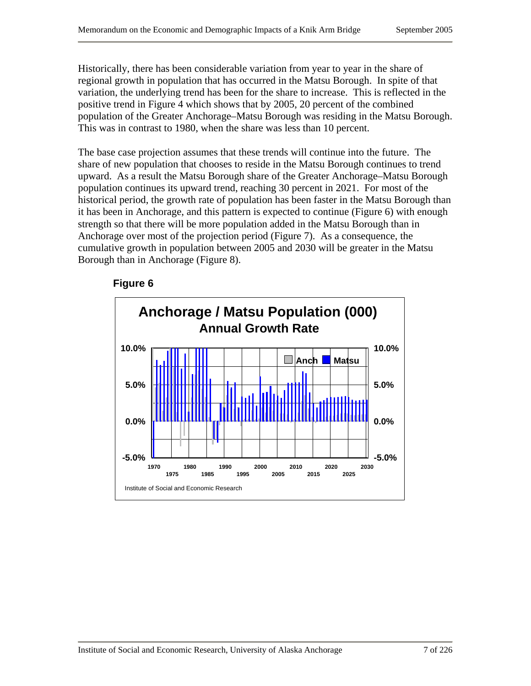Historically, there has been considerable variation from year to year in the share of regional growth in population that has occurred in the Matsu Borough. In spite of that variation, the underlying trend has been for the share to increase. This is reflected in the positive trend in Figure 4 which shows that by 2005, 20 percent of the combined population of the Greater Anchorage–Matsu Borough was residing in the Matsu Borough. This was in contrast to 1980, when the share was less than 10 percent.

The base case projection assumes that these trends will continue into the future. The share of new population that chooses to reside in the Matsu Borough continues to trend upward. As a result the Matsu Borough share of the Greater Anchorage–Matsu Borough population continues its upward trend, reaching 30 percent in 2021. For most of the historical period, the growth rate of population has been faster in the Matsu Borough than it has been in Anchorage, and this pattern is expected to continue (Figure 6) with enough strength so that there will be more population added in the Matsu Borough than in Anchorage over most of the projection period (Figure 7). As a consequence, the cumulative growth in population between 2005 and 2030 will be greater in the Matsu Borough than in Anchorage (Figure 8).

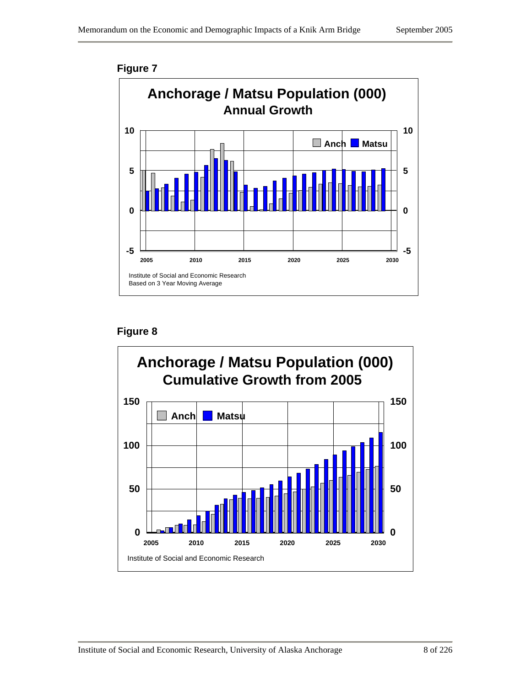

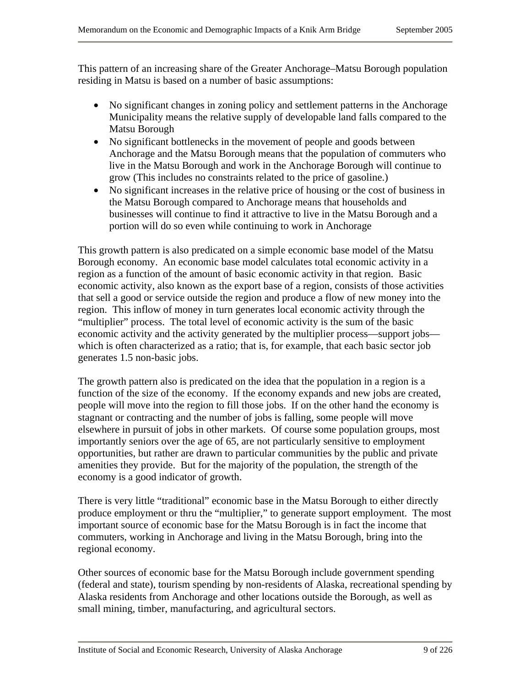This pattern of an increasing share of the Greater Anchorage–Matsu Borough population residing in Matsu is based on a number of basic assumptions:

- No significant changes in zoning policy and settlement patterns in the Anchorage Municipality means the relative supply of developable land falls compared to the Matsu Borough
- No significant bottlenecks in the movement of people and goods between Anchorage and the Matsu Borough means that the population of commuters who live in the Matsu Borough and work in the Anchorage Borough will continue to grow (This includes no constraints related to the price of gasoline.)
- No significant increases in the relative price of housing or the cost of business in the Matsu Borough compared to Anchorage means that households and businesses will continue to find it attractive to live in the Matsu Borough and a portion will do so even while continuing to work in Anchorage

This growth pattern is also predicated on a simple economic base model of the Matsu Borough economy. An economic base model calculates total economic activity in a region as a function of the amount of basic economic activity in that region. Basic economic activity, also known as the export base of a region, consists of those activities that sell a good or service outside the region and produce a flow of new money into the region. This inflow of money in turn generates local economic activity through the "multiplier" process. The total level of economic activity is the sum of the basic economic activity and the activity generated by the multiplier process—support jobs which is often characterized as a ratio; that is, for example, that each basic sector job generates 1.5 non-basic jobs.

The growth pattern also is predicated on the idea that the population in a region is a function of the size of the economy. If the economy expands and new jobs are created, people will move into the region to fill those jobs. If on the other hand the economy is stagnant or contracting and the number of jobs is falling, some people will move elsewhere in pursuit of jobs in other markets. Of course some population groups, most importantly seniors over the age of 65, are not particularly sensitive to employment opportunities, but rather are drawn to particular communities by the public and private amenities they provide. But for the majority of the population, the strength of the economy is a good indicator of growth.

There is very little "traditional" economic base in the Matsu Borough to either directly produce employment or thru the "multiplier," to generate support employment. The most important source of economic base for the Matsu Borough is in fact the income that commuters, working in Anchorage and living in the Matsu Borough, bring into the regional economy.

Other sources of economic base for the Matsu Borough include government spending (federal and state), tourism spending by non-residents of Alaska, recreational spending by Alaska residents from Anchorage and other locations outside the Borough, as well as small mining, timber, manufacturing, and agricultural sectors.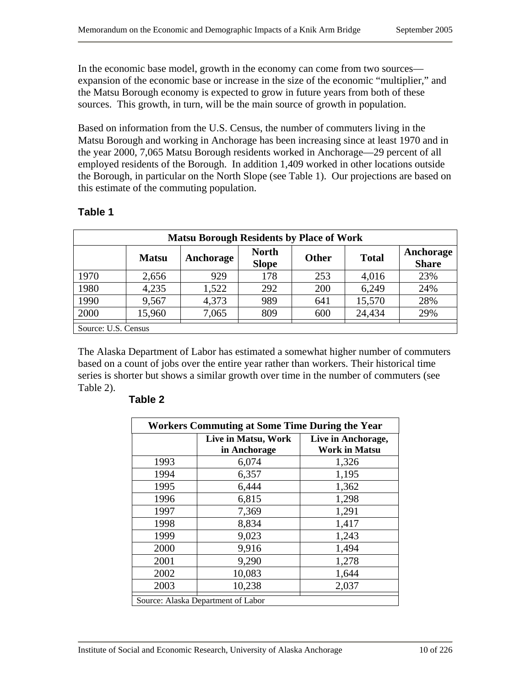In the economic base model, growth in the economy can come from two sources expansion of the economic base or increase in the size of the economic "multiplier," and the Matsu Borough economy is expected to grow in future years from both of these sources. This growth, in turn, will be the main source of growth in population.

Based on information from the U.S. Census, the number of commuters living in the Matsu Borough and working in Anchorage has been increasing since at least 1970 and in the year 2000, 7,065 Matsu Borough residents worked in Anchorage—29 percent of all employed residents of the Borough. In addition 1,409 worked in other locations outside the Borough, in particular on the North Slope (see Table 1). Our projections are based on this estimate of the commuting population.

| <b>Matsu Borough Residents by Place of Work</b> |              |           |                              |              |              |                           |
|-------------------------------------------------|--------------|-----------|------------------------------|--------------|--------------|---------------------------|
|                                                 | <b>Matsu</b> | Anchorage | <b>North</b><br><b>Slope</b> | <b>Other</b> | <b>Total</b> | Anchorage<br><b>Share</b> |
| 1970                                            | 2,656        | 929       | 178                          | 253          | 4,016        | 23%                       |
| 1980                                            | 4,235        | 1,522     | 292                          | 200          | 6,249        | 24%                       |
| 1990                                            | 9,567        | 4,373     | 989                          | 641          | 15,570       | 28%                       |
| 2000                                            | 15,960       | 7,065     | 809                          | 600          | 24,434       | 29%                       |
| Source: U.S. Census                             |              |           |                              |              |              |                           |

## **Table 1**

The Alaska Department of Labor has estimated a somewhat higher number of commuters based on a count of jobs over the entire year rather than workers. Their historical time series is shorter but shows a similar growth over time in the number of commuters (see Table 2).

| <b>Workers Commuting at Some Time During the Year</b> |                                     |                                            |  |  |  |  |
|-------------------------------------------------------|-------------------------------------|--------------------------------------------|--|--|--|--|
|                                                       | Live in Matsu, Work<br>in Anchorage | Live in Anchorage,<br><b>Work in Matsu</b> |  |  |  |  |
| 1993                                                  | 6,074                               | 1,326                                      |  |  |  |  |
| 1994                                                  | 6,357                               | 1,195                                      |  |  |  |  |
| 1995                                                  | 6,444                               | 1,362                                      |  |  |  |  |
| 1996                                                  | 6,815                               | 1,298                                      |  |  |  |  |
| 1997                                                  | 7,369                               | 1,291                                      |  |  |  |  |
| 1998                                                  | 8,834                               | 1,417                                      |  |  |  |  |
| 1999                                                  | 9,023                               | 1,243                                      |  |  |  |  |
| 2000                                                  | 9,916                               | 1,494                                      |  |  |  |  |
| 2001                                                  | 9,290                               | 1,278                                      |  |  |  |  |
| 2002                                                  | 10,083                              | 1,644                                      |  |  |  |  |
| 2003                                                  | 10,238                              | 2,037                                      |  |  |  |  |
|                                                       | Source: Alaska Department of Labor  |                                            |  |  |  |  |

#### **Table 2**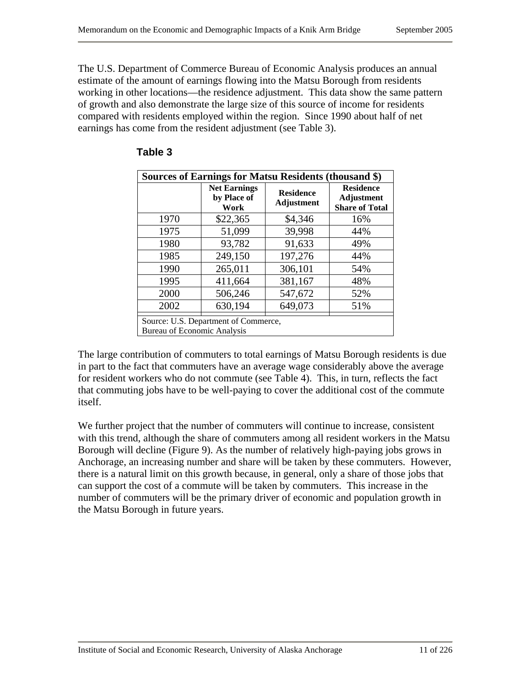The U.S. Department of Commerce Bureau of Economic Analysis produces an annual estimate of the amount of earnings flowing into the Matsu Borough from residents working in other locations—the residence adjustment. This data show the same pattern of growth and also demonstrate the large size of this source of income for residents compared with residents employed within the region. Since 1990 about half of net earnings has come from the resident adjustment (see Table 3).

| Sources of Earnings for Matsu Residents (thousand \$)                      |                                            |                                       |                                                                |  |  |  |
|----------------------------------------------------------------------------|--------------------------------------------|---------------------------------------|----------------------------------------------------------------|--|--|--|
|                                                                            | <b>Net Earnings</b><br>by Place of<br>Work | <b>Residence</b><br><b>Adjustment</b> | <b>Residence</b><br><b>Adjustment</b><br><b>Share of Total</b> |  |  |  |
| 1970                                                                       | \$22,365                                   | \$4,346                               | 16%                                                            |  |  |  |
| 1975                                                                       | 51,099                                     | 39,998                                | 44%                                                            |  |  |  |
| 1980                                                                       | 93,782                                     | 91,633                                | 49%                                                            |  |  |  |
| 1985                                                                       | 249,150                                    | 197,276                               | 44%                                                            |  |  |  |
| 1990                                                                       | 265,011                                    | 306,101                               | 54%                                                            |  |  |  |
| 1995                                                                       | 411,664                                    | 381,167                               | 48%                                                            |  |  |  |
| 2000                                                                       | 506,246                                    | 547,672                               | 52%                                                            |  |  |  |
| 2002                                                                       | 630,194                                    | 649,073                               | 51%                                                            |  |  |  |
| Source: U.S. Department of Commerce,<br><b>Bureau of Economic Analysis</b> |                                            |                                       |                                                                |  |  |  |

#### **Table 3**

The large contribution of commuters to total earnings of Matsu Borough residents is due in part to the fact that commuters have an average wage considerably above the average for resident workers who do not commute (see Table 4). This, in turn, reflects the fact that commuting jobs have to be well-paying to cover the additional cost of the commute itself.

We further project that the number of commuters will continue to increase, consistent with this trend, although the share of commuters among all resident workers in the Matsu Borough will decline (Figure 9). As the number of relatively high-paying jobs grows in Anchorage, an increasing number and share will be taken by these commuters. However, there is a natural limit on this growth because, in general, only a share of those jobs that can support the cost of a commute will be taken by commuters. This increase in the number of commuters will be the primary driver of economic and population growth in the Matsu Borough in future years.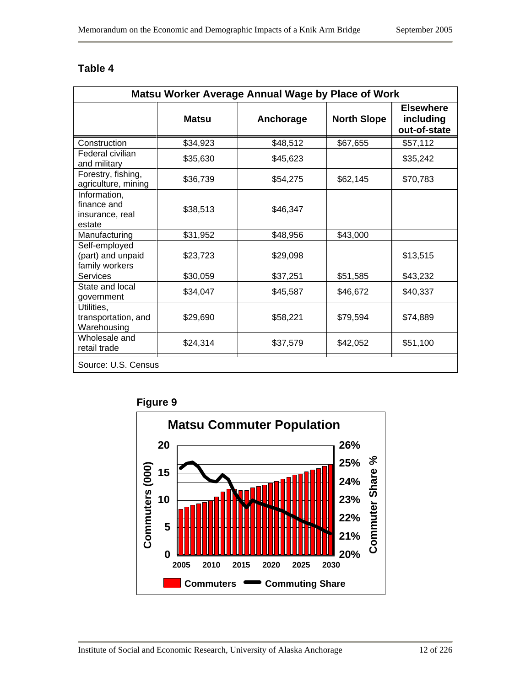| Matsu Worker Average Annual Wage by Place of Work        |              |           |                    |                                               |  |
|----------------------------------------------------------|--------------|-----------|--------------------|-----------------------------------------------|--|
|                                                          | <b>Matsu</b> | Anchorage | <b>North Slope</b> | <b>Elsewhere</b><br>including<br>out-of-state |  |
| Construction                                             | \$34,923     | \$48,512  | \$67,655           | \$57,112                                      |  |
| Federal civilian<br>and military                         | \$35,630     | \$45,623  |                    | \$35,242                                      |  |
| Forestry, fishing,<br>agriculture, mining                | \$36,739     | \$54,275  | \$62,145           | \$70,783                                      |  |
| Information,<br>finance and<br>insurance, real<br>estate | \$38,513     | \$46,347  |                    |                                               |  |
| Manufacturing                                            | \$31,952     | \$48,956  | \$43,000           |                                               |  |
| Self-employed<br>(part) and unpaid<br>family workers     | \$23,723     | \$29,098  |                    | \$13,515                                      |  |
| Services                                                 | \$30,059     | \$37,251  | \$51,585           | \$43,232                                      |  |
| State and local<br>government                            | \$34,047     | \$45,587  | \$46,672           | \$40,337                                      |  |
| Utilities,<br>transportation, and<br>Warehousing         | \$29,690     | \$58,221  | \$79,594           | \$74,889                                      |  |
| Wholesale and<br>retail trade                            | \$24,314     | \$37,579  | \$42,052           | \$51,100                                      |  |
| Source: U.S. Census                                      |              |           |                    |                                               |  |

# **Table 4**



Institute of Social and Economic Research, University of Alaska Anchorage 12 of 226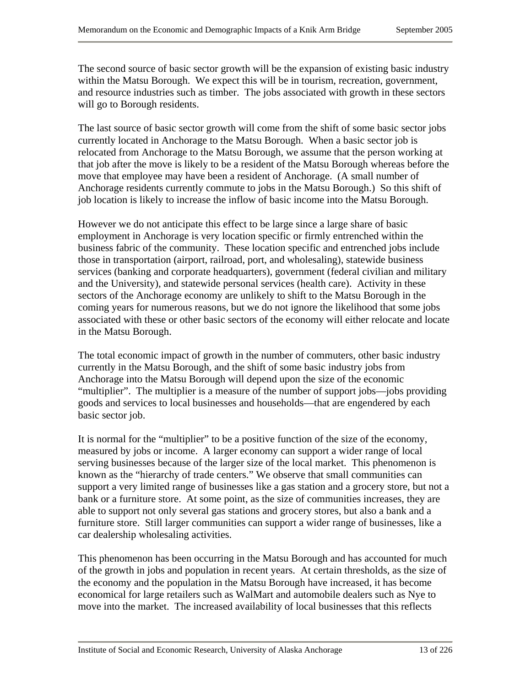The second source of basic sector growth will be the expansion of existing basic industry within the Matsu Borough. We expect this will be in tourism, recreation, government, and resource industries such as timber. The jobs associated with growth in these sectors will go to Borough residents.

The last source of basic sector growth will come from the shift of some basic sector jobs currently located in Anchorage to the Matsu Borough. When a basic sector job is relocated from Anchorage to the Matsu Borough, we assume that the person working at that job after the move is likely to be a resident of the Matsu Borough whereas before the move that employee may have been a resident of Anchorage. (A small number of Anchorage residents currently commute to jobs in the Matsu Borough.) So this shift of job location is likely to increase the inflow of basic income into the Matsu Borough.

However we do not anticipate this effect to be large since a large share of basic employment in Anchorage is very location specific or firmly entrenched within the business fabric of the community. These location specific and entrenched jobs include those in transportation (airport, railroad, port, and wholesaling), statewide business services (banking and corporate headquarters), government (federal civilian and military and the University), and statewide personal services (health care). Activity in these sectors of the Anchorage economy are unlikely to shift to the Matsu Borough in the coming years for numerous reasons, but we do not ignore the likelihood that some jobs associated with these or other basic sectors of the economy will either relocate and locate in the Matsu Borough.

The total economic impact of growth in the number of commuters, other basic industry currently in the Matsu Borough, and the shift of some basic industry jobs from Anchorage into the Matsu Borough will depend upon the size of the economic "multiplier". The multiplier is a measure of the number of support jobs—jobs providing goods and services to local businesses and households—that are engendered by each basic sector job.

It is normal for the "multiplier" to be a positive function of the size of the economy, measured by jobs or income. A larger economy can support a wider range of local serving businesses because of the larger size of the local market. This phenomenon is known as the "hierarchy of trade centers." We observe that small communities can support a very limited range of businesses like a gas station and a grocery store, but not a bank or a furniture store. At some point, as the size of communities increases, they are able to support not only several gas stations and grocery stores, but also a bank and a furniture store. Still larger communities can support a wider range of businesses, like a car dealership wholesaling activities.

This phenomenon has been occurring in the Matsu Borough and has accounted for much of the growth in jobs and population in recent years. At certain thresholds, as the size of the economy and the population in the Matsu Borough have increased, it has become economical for large retailers such as WalMart and automobile dealers such as Nye to move into the market. The increased availability of local businesses that this reflects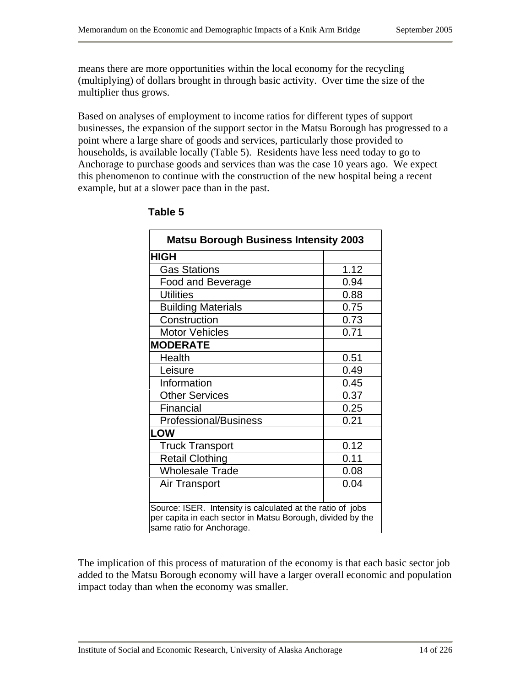means there are more opportunities within the local economy for the recycling (multiplying) of dollars brought in through basic activity. Over time the size of the multiplier thus grows.

Based on analyses of employment to income ratios for different types of support businesses, the expansion of the support sector in the Matsu Borough has progressed to a point where a large share of goods and services, particularly those provided to households, is available locally (Table 5). Residents have less need today to go to Anchorage to purchase goods and services than was the case 10 years ago. We expect this phenomenon to continue with the construction of the new hospital being a recent example, but at a slower pace than in the past.

| <b>Matsu Borough Business Intensity 2003</b>                                                                                                          |      |  |  |  |
|-------------------------------------------------------------------------------------------------------------------------------------------------------|------|--|--|--|
| <b>HIGH</b>                                                                                                                                           |      |  |  |  |
| <b>Gas Stations</b>                                                                                                                                   | 1.12 |  |  |  |
| Food and Beverage                                                                                                                                     | 0.94 |  |  |  |
| <b>Utilities</b>                                                                                                                                      | 0.88 |  |  |  |
| <b>Building Materials</b>                                                                                                                             | 0.75 |  |  |  |
| Construction                                                                                                                                          | 0.73 |  |  |  |
| <b>Motor Vehicles</b>                                                                                                                                 | 0.71 |  |  |  |
| <b>MODERATE</b>                                                                                                                                       |      |  |  |  |
| Health                                                                                                                                                | 0.51 |  |  |  |
| Leisure                                                                                                                                               | 0.49 |  |  |  |
| Information                                                                                                                                           | 0.45 |  |  |  |
| <b>Other Services</b>                                                                                                                                 | 0.37 |  |  |  |
| Financial                                                                                                                                             | 0.25 |  |  |  |
| <b>Professional/Business</b>                                                                                                                          | 0.21 |  |  |  |
| <b>LOW</b>                                                                                                                                            |      |  |  |  |
| <b>Truck Transport</b>                                                                                                                                | 0.12 |  |  |  |
| <b>Retail Clothing</b>                                                                                                                                | 0.11 |  |  |  |
| <b>Wholesale Trade</b>                                                                                                                                | 0.08 |  |  |  |
| Air Transport                                                                                                                                         | 0.04 |  |  |  |
|                                                                                                                                                       |      |  |  |  |
| Source: ISER. Intensity is calculated at the ratio of jobs<br>per capita in each sector in Matsu Borough, divided by the<br>same ratio for Anchorage. |      |  |  |  |

#### **Table 5**

The implication of this process of maturation of the economy is that each basic sector job added to the Matsu Borough economy will have a larger overall economic and population impact today than when the economy was smaller.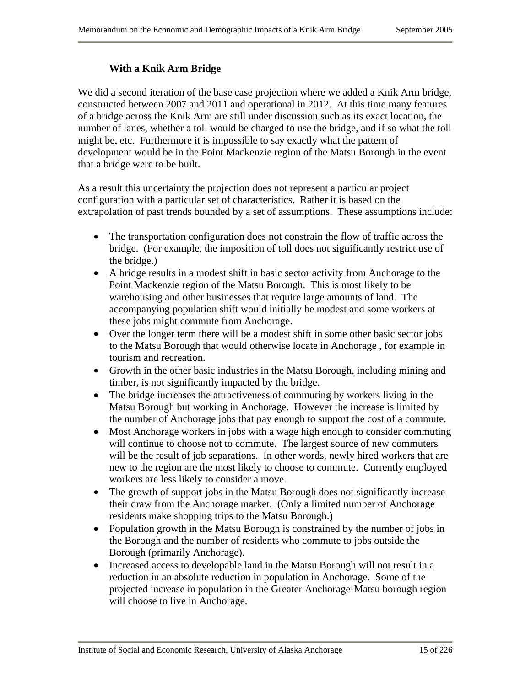#### **With a Knik Arm Bridge**

We did a second iteration of the base case projection where we added a Knik Arm bridge, constructed between 2007 and 2011 and operational in 2012. At this time many features of a bridge across the Knik Arm are still under discussion such as its exact location, the number of lanes, whether a toll would be charged to use the bridge, and if so what the toll might be, etc. Furthermore it is impossible to say exactly what the pattern of development would be in the Point Mackenzie region of the Matsu Borough in the event that a bridge were to be built.

As a result this uncertainty the projection does not represent a particular project configuration with a particular set of characteristics. Rather it is based on the extrapolation of past trends bounded by a set of assumptions. These assumptions include:

- The transportation configuration does not constrain the flow of traffic across the bridge. (For example, the imposition of toll does not significantly restrict use of the bridge.)
- A bridge results in a modest shift in basic sector activity from Anchorage to the Point Mackenzie region of the Matsu Borough. This is most likely to be warehousing and other businesses that require large amounts of land. The accompanying population shift would initially be modest and some workers at these jobs might commute from Anchorage.
- Over the longer term there will be a modest shift in some other basic sector jobs to the Matsu Borough that would otherwise locate in Anchorage , for example in tourism and recreation.
- Growth in the other basic industries in the Matsu Borough, including mining and timber, is not significantly impacted by the bridge.
- The bridge increases the attractiveness of commuting by workers living in the Matsu Borough but working in Anchorage. However the increase is limited by the number of Anchorage jobs that pay enough to support the cost of a commute.
- Most Anchorage workers in jobs with a wage high enough to consider commuting will continue to choose not to commute. The largest source of new commuters will be the result of job separations. In other words, newly hired workers that are new to the region are the most likely to choose to commute. Currently employed workers are less likely to consider a move.
- The growth of support jobs in the Matsu Borough does not significantly increase their draw from the Anchorage market. (Only a limited number of Anchorage residents make shopping trips to the Matsu Borough.)
- Population growth in the Matsu Borough is constrained by the number of jobs in the Borough and the number of residents who commute to jobs outside the Borough (primarily Anchorage).
- Increased access to developable land in the Matsu Borough will not result in a reduction in an absolute reduction in population in Anchorage. Some of the projected increase in population in the Greater Anchorage-Matsu borough region will choose to live in Anchorage.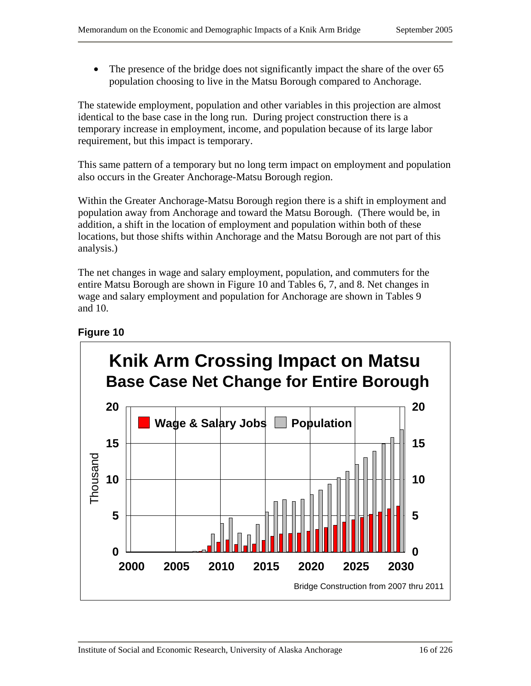• The presence of the bridge does not significantly impact the share of the over 65 population choosing to live in the Matsu Borough compared to Anchorage.

The statewide employment, population and other variables in this projection are almost identical to the base case in the long run. During project construction there is a temporary increase in employment, income, and population because of its large labor requirement, but this impact is temporary.

This same pattern of a temporary but no long term impact on employment and population also occurs in the Greater Anchorage-Matsu Borough region.

Within the Greater Anchorage-Matsu Borough region there is a shift in employment and population away from Anchorage and toward the Matsu Borough. (There would be, in addition, a shift in the location of employment and population within both of these locations, but those shifts within Anchorage and the Matsu Borough are not part of this analysis.)

The net changes in wage and salary employment, population, and commuters for the entire Matsu Borough are shown in Figure 10 and Tables 6, 7, and 8. Net changes in wage and salary employment and population for Anchorage are shown in Tables 9 and 10.

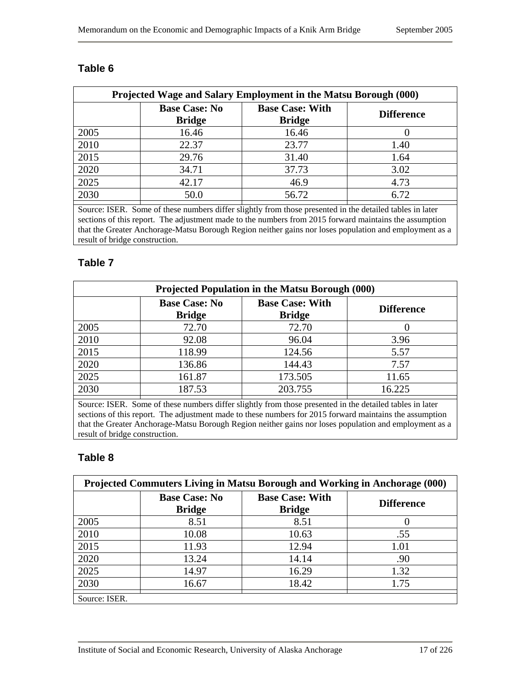| Projected Wage and Salary Employment in the Matsu Borough (000) |                                                |                                                                                                                                                                                                                                                                                                                                    |                   |  |  |
|-----------------------------------------------------------------|------------------------------------------------|------------------------------------------------------------------------------------------------------------------------------------------------------------------------------------------------------------------------------------------------------------------------------------------------------------------------------------|-------------------|--|--|
|                                                                 | <b>Base Case: No</b><br><b>Bridge</b>          | <b>Base Case: With</b><br><b>Bridge</b>                                                                                                                                                                                                                                                                                            | <b>Difference</b> |  |  |
| 2005                                                            | 16.46                                          | 16.46                                                                                                                                                                                                                                                                                                                              |                   |  |  |
| 2010                                                            | 22.37                                          | 23.77                                                                                                                                                                                                                                                                                                                              | 1.40              |  |  |
| 2015                                                            | 29.76                                          | 31.40                                                                                                                                                                                                                                                                                                                              | 1.64              |  |  |
| 2020                                                            | 34.71                                          | 37.73                                                                                                                                                                                                                                                                                                                              | 3.02              |  |  |
| 2025                                                            | 42.17                                          | 46.9                                                                                                                                                                                                                                                                                                                               | 4.73              |  |  |
| 2030                                                            | 50.0                                           | 56.72                                                                                                                                                                                                                                                                                                                              | 6.72              |  |  |
| $\sim$<br>$TCDD - C$                                            | 1.00<br>$\sim$ $\sim$ $\sim$<br>$\blacksquare$ | $\mathbf{1}$ $\mathbf{1}$ $\mathbf{1}$ $\mathbf{0}$ $\mathbf{1}$ $\mathbf{1}$ $\mathbf{0}$ $\mathbf{1}$ $\mathbf{1}$ $\mathbf{1}$ $\mathbf{0}$ $\mathbf{1}$ $\mathbf{1}$ $\mathbf{1}$ $\mathbf{0}$ $\mathbf{1}$ $\mathbf{1}$ $\mathbf{1}$ $\mathbf{1}$ $\mathbf{0}$ $\mathbf{1}$ $\mathbf{1}$ $\mathbf{1}$ $\mathbf{1}$ $\mathbf{$ |                   |  |  |

#### **Table 6**

Source: ISER. Some of these numbers differ slightly from those presented in the detailed tables in later sections of this report. The adjustment made to the numbers from 2015 forward maintains the assumption that the Greater Anchorage-Matsu Borough Region neither gains nor loses population and employment as a result of bridge construction.

#### **Table 7**

| <b>Projected Population in the Matsu Borough (000)</b> |                                       |                                         |                   |  |  |
|--------------------------------------------------------|---------------------------------------|-----------------------------------------|-------------------|--|--|
|                                                        | <b>Base Case: No</b><br><b>Bridge</b> | <b>Base Case: With</b><br><b>Bridge</b> | <b>Difference</b> |  |  |
| 2005                                                   | 72.70                                 | 72.70                                   |                   |  |  |
| 2010                                                   | 92.08                                 | 96.04                                   | 3.96              |  |  |
| 2015                                                   | 118.99                                | 124.56                                  | 5.57              |  |  |
| 2020                                                   | 136.86                                | 144.43                                  | 7.57              |  |  |
| 2025                                                   | 161.87                                | 173.505                                 | 11.65             |  |  |
| 2030                                                   | 187.53                                | 203.755                                 | 16.225            |  |  |

Source: ISER. Some of these numbers differ slightly from those presented in the detailed tables in later sections of this report. The adjustment made to these numbers for 2015 forward maintains the assumption that the Greater Anchorage-Matsu Borough Region neither gains nor loses population and employment as a result of bridge construction.

#### **Table 8**

| Projected Commuters Living in Matsu Borough and Working in Anchorage (000) |                                       |                                         |                   |  |
|----------------------------------------------------------------------------|---------------------------------------|-----------------------------------------|-------------------|--|
|                                                                            | <b>Base Case: No</b><br><b>Bridge</b> | <b>Base Case: With</b><br><b>Bridge</b> | <b>Difference</b> |  |
| 2005                                                                       | 8.51                                  | 8.51                                    |                   |  |
| 2010                                                                       | 10.08                                 | 10.63                                   | .55               |  |
| 2015                                                                       | 11.93                                 | 12.94                                   | 1.01              |  |
| 2020                                                                       | 13.24                                 | 14.14                                   | .90               |  |
| 2025                                                                       | 14.97                                 | 16.29                                   | 1.32              |  |
| 2030                                                                       | 16.67                                 | 18.42                                   | 1.75              |  |
| Source: ISER.                                                              |                                       |                                         |                   |  |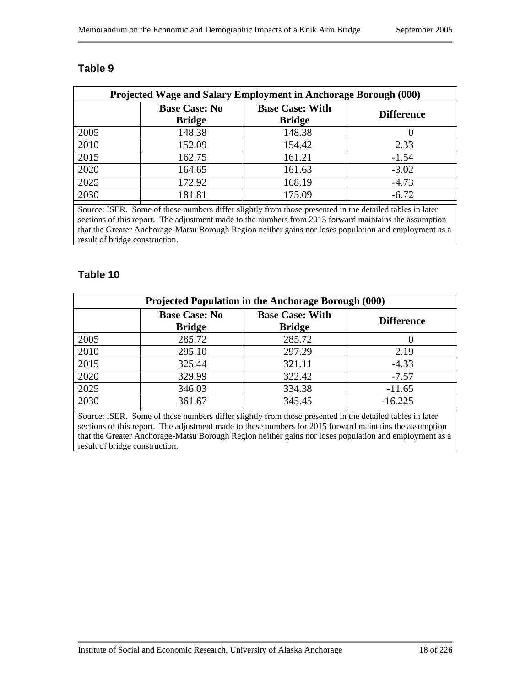|      | <b>Base Case: No</b><br><b>Bridge</b> | <b>Base Case: With</b><br><b>Bridge</b> | <b>Difference</b> |  |
|------|---------------------------------------|-----------------------------------------|-------------------|--|
| 2005 | 148.38                                | 148.38                                  |                   |  |
| 2010 | 152.09                                | 154.42                                  | 2.33              |  |
| 2015 | 162.75                                | 161.21                                  | $-1.54$           |  |
| 2020 | 164.65                                | 161.63                                  | $-3.02$           |  |
| 2025 | 172.92                                | 168.19                                  | $-4.73$           |  |
| 2030 | 181.81                                | 175.09                                  | $-6.72$           |  |

#### **Table 9**

Source: ISER. Some of these numbers differ slightly from those presented in the detailed tables in later sections of this report. The adjustment made to the numbers from 2015 forward maintains the assumption that the Greater Anchorage-Matsu Borough Region neither gains nor loses population and employment as a result of bridge construction.

#### **Table 10**

| Projected Population in the Anchorage Borough (000) |                                       |                                         |                   |  |  |
|-----------------------------------------------------|---------------------------------------|-----------------------------------------|-------------------|--|--|
|                                                     | <b>Base Case: No</b><br><b>Bridge</b> | <b>Base Case: With</b><br><b>Bridge</b> | <b>Difference</b> |  |  |
| 2005                                                | 285.72                                | 285.72                                  |                   |  |  |
| 2010                                                | 295.10                                | 297.29                                  | 2.19              |  |  |
| 2015                                                | 325.44                                | 321.11                                  | $-4.33$           |  |  |
| 2020                                                | 329.99                                | 322.42                                  | $-7.57$           |  |  |
| 2025                                                | 346.03                                | 334.38                                  | $-11.65$          |  |  |
| 2030                                                | 361.67                                | 345.45                                  | $-16.225$         |  |  |

Source: ISER. Some of these numbers differ slightly from those presented in the detailed tables in later sections of this report. The adjustment made to these numbers for 2015 forward maintains the assumption that the Greater Anchorage-Matsu Borough Region neither gains nor loses population and employment as a result of bridge construction.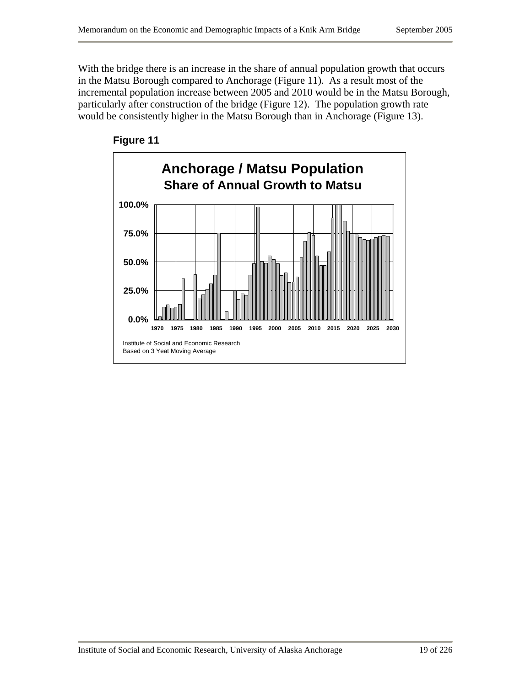With the bridge there is an increase in the share of annual population growth that occurs in the Matsu Borough compared to Anchorage (Figure 11). As a result most of the incremental population increase between 2005 and 2010 would be in the Matsu Borough, particularly after construction of the bridge (Figure 12). The population growth rate would be consistently higher in the Matsu Borough than in Anchorage (Figure 13).



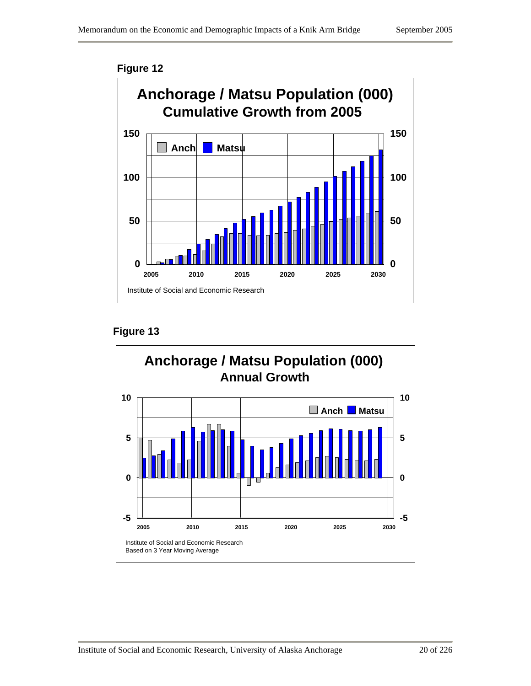

**Figure 13** 

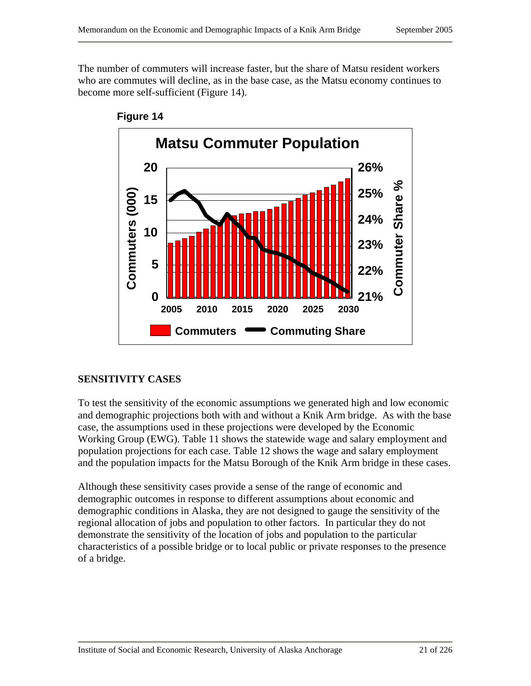The number of commuters will increase faster, but the share of Matsu resident workers who are commutes will decline, as in the base case, as the Matsu economy continues to become more self-sufficient (Figure 14).





## **SENSITIVITY CASES**

To test the sensitivity of the economic assumptions we generated high and low economic and demographic projections both with and without a Knik Arm bridge. As with the base case, the assumptions used in these projections were developed by the Economic Working Group (EWG). Table 11 shows the statewide wage and salary employment and population projections for each case. Table 12 shows the wage and salary employment and the population impacts for the Matsu Borough of the Knik Arm bridge in these cases.

Although these sensitivity cases provide a sense of the range of economic and demographic outcomes in response to different assumptions about economic and demographic conditions in Alaska, they are not designed to gauge the sensitivity of the regional allocation of jobs and population to other factors. In particular they do not demonstrate the sensitivity of the location of jobs and population to the particular characteristics of a possible bridge or to local public or private responses to the presence of a bridge.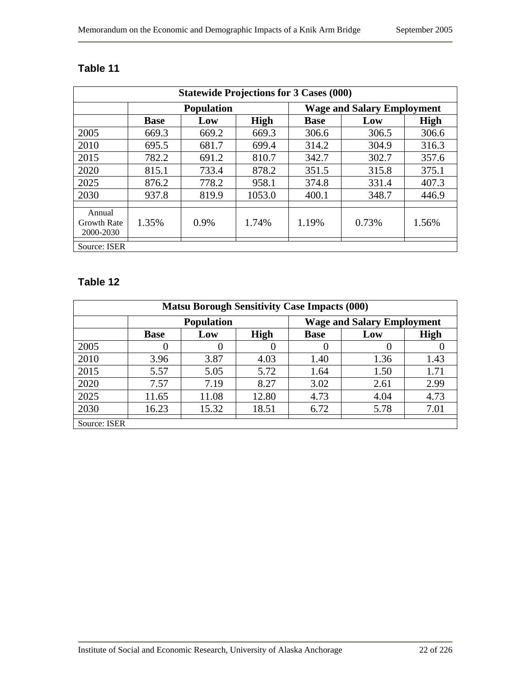| <b>Statewide Projections for 3 Cases (000)</b> |             |                   |             |                                   |       |       |
|------------------------------------------------|-------------|-------------------|-------------|-----------------------------------|-------|-------|
|                                                |             | <b>Population</b> |             | <b>Wage and Salary Employment</b> |       |       |
|                                                | <b>Base</b> | Low               | <b>High</b> | <b>Base</b>                       | Low   | High  |
| 2005                                           | 669.3       | 669.2             | 669.3       | 306.6                             | 306.5 | 306.6 |
| 2010                                           | 695.5       | 681.7             | 699.4       | 314.2                             | 304.9 | 316.3 |
| 2015                                           | 782.2       | 691.2             | 810.7       | 342.7                             | 302.7 | 357.6 |
| 2020                                           | 815.1       | 733.4             | 878.2       | 351.5                             | 315.8 | 375.1 |
| 2025                                           | 876.2       | 778.2             | 958.1       | 374.8                             | 331.4 | 407.3 |
| 2030                                           | 937.8       | 819.9             | 1053.0      | 400.1                             | 348.7 | 446.9 |
| Annual<br><b>Growth Rate</b><br>2000-2030      | 1.35%       | $0.9\%$           | 1.74%       | 1.19%                             | 0.73% | 1.56% |
| Source: ISER                                   |             |                   |             |                                   |       |       |

# **Table 11**

# **Table 12**

| <b>Matsu Borough Sensitivity Case Impacts (000)</b> |                   |       |             |                                   |      |      |
|-----------------------------------------------------|-------------------|-------|-------------|-----------------------------------|------|------|
|                                                     | <b>Population</b> |       |             | <b>Wage and Salary Employment</b> |      |      |
|                                                     | <b>Base</b>       | Low   | <b>High</b> | <b>Base</b>                       | Low  | High |
| 2005                                                | 0                 |       |             |                                   | 0    |      |
| 2010                                                | 3.96              | 3.87  | 4.03        | 1.40                              | 1.36 | 1.43 |
| 2015                                                | 5.57              | 5.05  | 5.72        | 1.64                              | 1.50 | 1.71 |
| 2020                                                | 7.57              | 7.19  | 8.27        | 3.02                              | 2.61 | 2.99 |
| 2025                                                | 11.65             | 11.08 | 12.80       | 4.73                              | 4.04 | 4.73 |
| 2030                                                | 16.23             | 15.32 | 18.51       | 6.72                              | 5.78 | 7.01 |
| Source: ISER                                        |                   |       |             |                                   |      |      |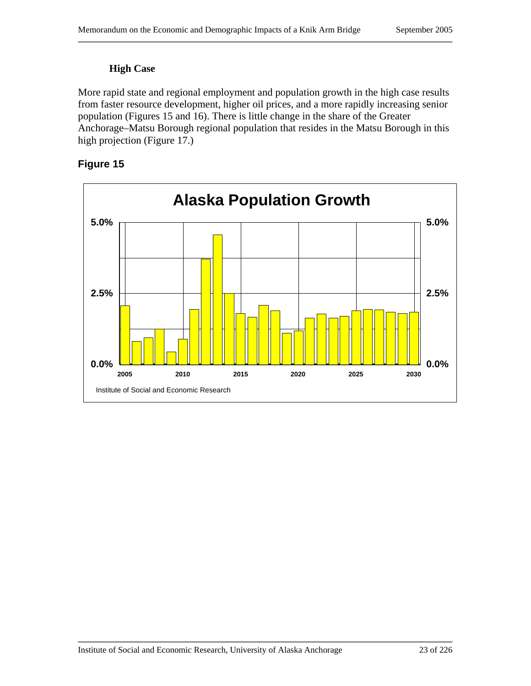### **High Case**

More rapid state and regional employment and population growth in the high case results from faster resource development, higher oil prices, and a more rapidly increasing senior population (Figures 15 and 16). There is little change in the share of the Greater Anchorage–Matsu Borough regional population that resides in the Matsu Borough in this high projection (Figure 17.)



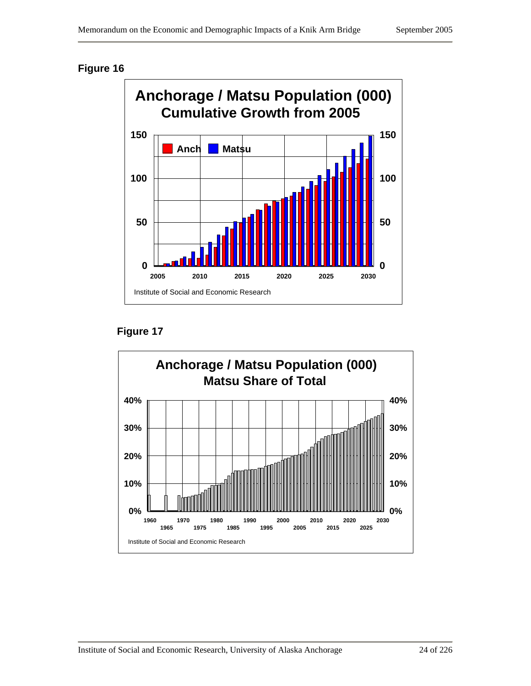

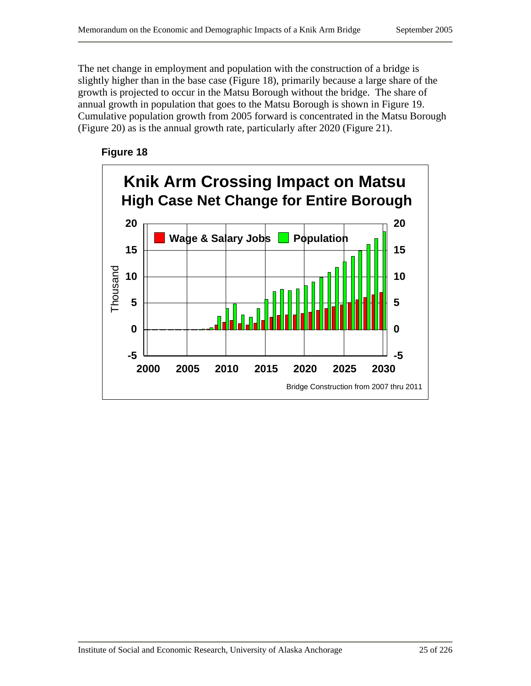The net change in employment and population with the construction of a bridge is slightly higher than in the base case (Figure 18), primarily because a large share of the growth is projected to occur in the Matsu Borough without the bridge. The share of annual growth in population that goes to the Matsu Borough is shown in Figure 19. Cumulative population growth from 2005 forward is concentrated in the Matsu Borough (Figure 20) as is the annual growth rate, particularly after 2020 (Figure 21).



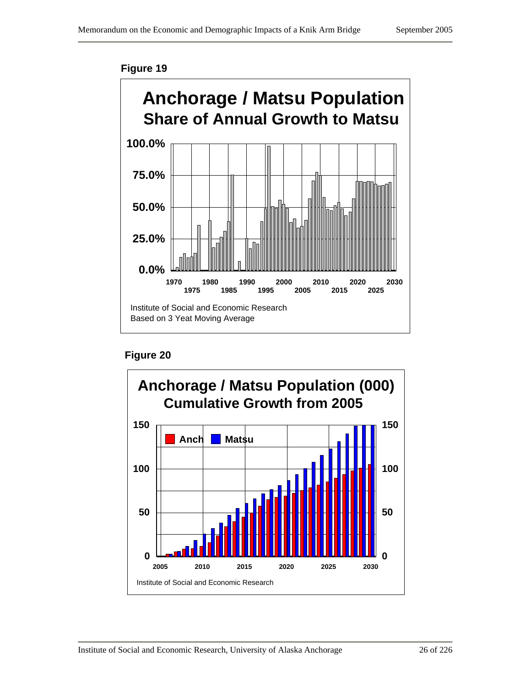



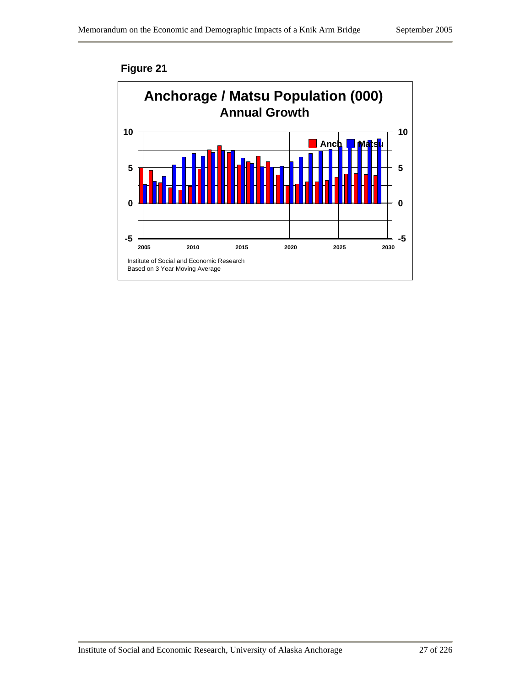

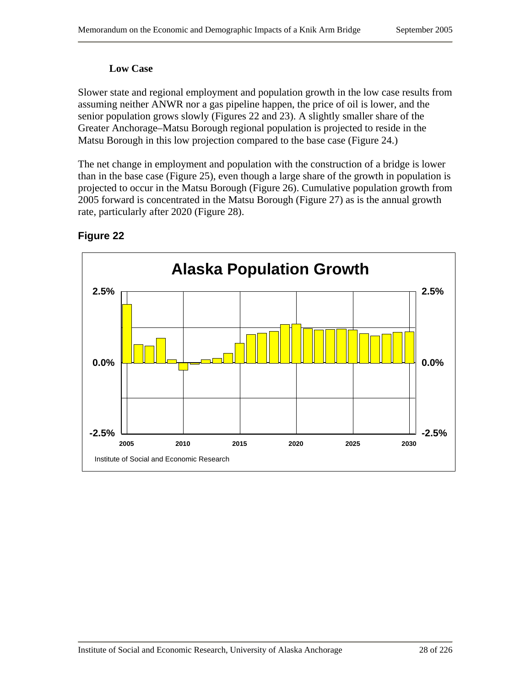#### **Low Case**

Slower state and regional employment and population growth in the low case results from assuming neither ANWR nor a gas pipeline happen, the price of oil is lower, and the senior population grows slowly (Figures 22 and 23). A slightly smaller share of the Greater Anchorage–Matsu Borough regional population is projected to reside in the Matsu Borough in this low projection compared to the base case (Figure 24.)

The net change in employment and population with the construction of a bridge is lower than in the base case (Figure 25), even though a large share of the growth in population is projected to occur in the Matsu Borough (Figure 26). Cumulative population growth from 2005 forward is concentrated in the Matsu Borough (Figure 27) as is the annual growth rate, particularly after 2020 (Figure 28).

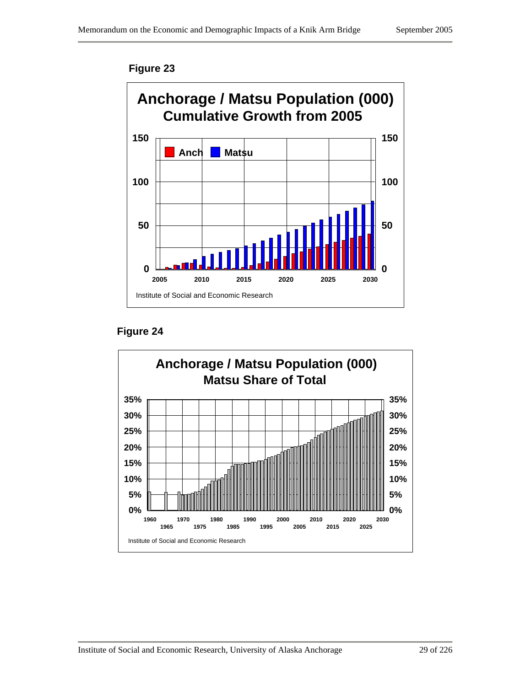

**Figure 24** 

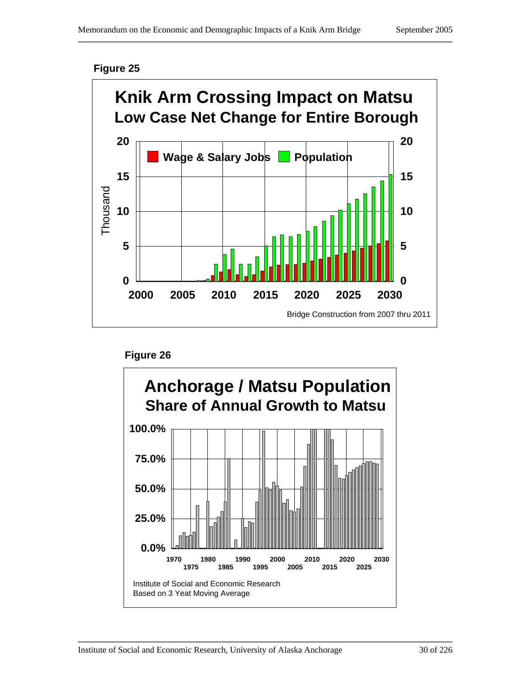



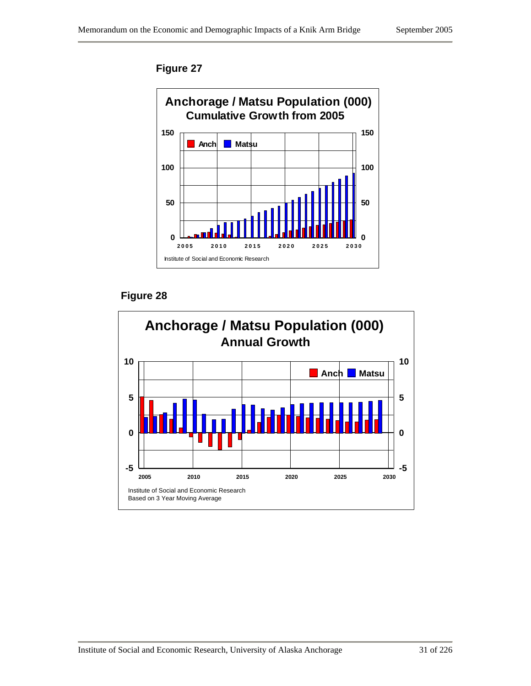

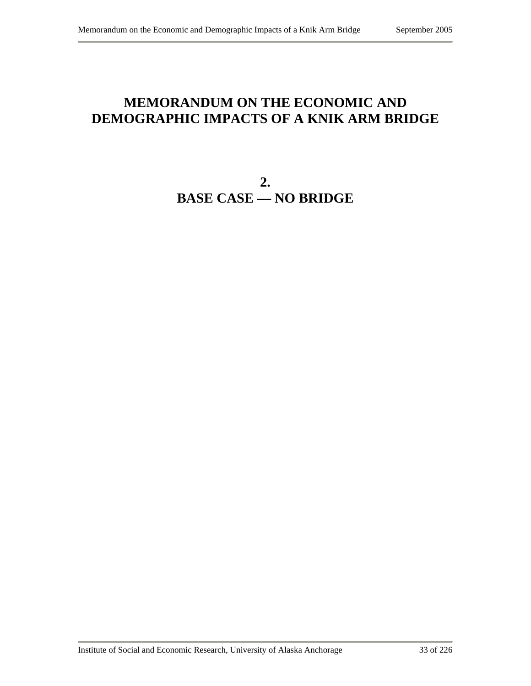# **MEMORANDUM ON THE ECONOMIC AND DEMOGRAPHIC IMPACTS OF A KNIK ARM BRIDGE**

**2. BASE CASE — NO BRIDGE**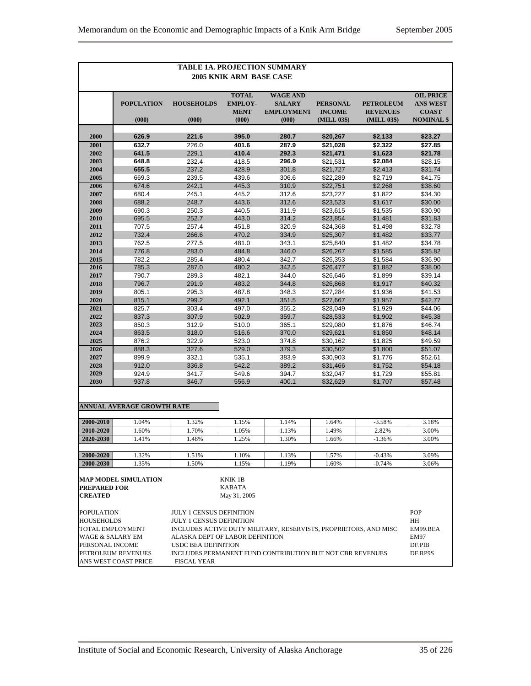|                                                                      | <b>TABLE 1A. PROJECTION SUMMARY</b> |                                 |                                          |                                                                  |                              |                                |                                     |  |
|----------------------------------------------------------------------|-------------------------------------|---------------------------------|------------------------------------------|------------------------------------------------------------------|------------------------------|--------------------------------|-------------------------------------|--|
| <b>2005 KNIK ARM BASE CASE</b>                                       |                                     |                                 |                                          |                                                                  |                              |                                |                                     |  |
|                                                                      | <b>POPULATION</b>                   | <b>HOUSEHOLDS</b>               | <b>TOTAL</b><br><b>EMPLOY-</b>           | <b>WAGE AND</b><br><b>SALARY</b>                                 | <b>PERSONAL</b>              | <b>PETROLEUM</b>               | <b>OIL PRICE</b><br><b>ANS WEST</b> |  |
|                                                                      | (000)                               | (000)                           | <b>MENT</b><br>(000)                     | <b>EMPLOYMENT</b><br>(000)                                       | <b>INCOME</b><br>(MILL 03\$) | <b>REVENUES</b><br>(MILL 03\$) | <b>COAST</b><br><b>NOMINAL</b> \$   |  |
|                                                                      |                                     |                                 |                                          |                                                                  |                              |                                |                                     |  |
| 2000<br>2001                                                         | 626.9<br>632.7                      | 221.6<br>226.0                  | 395.0<br>401.6                           | 280.7<br>287.9                                                   | \$20,267<br>\$21,028         | \$2,133<br>\$2,322             | \$23.27<br>\$27.85                  |  |
| 2002                                                                 | 641.5                               | 229.1                           | 410.4                                    | 292.3                                                            | \$21,471                     | \$1,623                        | \$21.78                             |  |
| 2003                                                                 | 648.8                               | 232.4                           | 418.5                                    | 296.9                                                            | \$21,531                     | \$2,084                        | \$28.15                             |  |
| 2004                                                                 | 655.5                               | 237.2                           | 428.9                                    | 301.8                                                            | \$21,727                     | \$2,413                        | \$31.74                             |  |
| 2005                                                                 | 669.3                               | 239.5                           | 439.6                                    | 306.6                                                            | \$22,289                     | \$2,719                        | \$41.75                             |  |
| 2006                                                                 | 674.6                               | 242.1                           | 445.3                                    | 310.9                                                            | \$22,751                     | \$2,268                        | \$38.60                             |  |
| 2007                                                                 | 680.4                               | 245.1                           | 445.2                                    | 312.6                                                            | \$23,227                     | \$1,822                        | \$34.30                             |  |
| 2008                                                                 | 688.2                               | 248.7                           | 443.6                                    | 312.6                                                            | \$23,523                     | \$1,617                        | \$30.00                             |  |
| 2009                                                                 | 690.3                               | 250.3                           | 440.5                                    | 311.9                                                            | \$23,615                     | \$1,535                        | \$30.90                             |  |
| 2010                                                                 | 695.5                               | 252.7                           | 443.0                                    | 314.2                                                            | \$23,854<br>\$24.368         | \$1,481<br>\$1.498             | \$31.83                             |  |
| 2011<br>2012                                                         | 707.5<br>732.4                      | 257.4<br>266.6                  | 451.8<br>470.2                           | 320.9<br>334.9                                                   | \$25,307                     | \$1,482                        | \$32.78<br>\$33.77                  |  |
| 2013                                                                 | 762.5                               | 277.5                           | 481.0                                    | 343.1                                                            | \$25,840                     | \$1,482                        | \$34.78                             |  |
| 2014                                                                 | 776.8                               | 283.0                           | 484.8                                    | 346.0                                                            | \$26,267                     | \$1,585                        | \$35.82                             |  |
| 2015                                                                 | 782.2                               | 285.4                           | 480.4                                    | 342.7                                                            | \$26,353                     | \$1,584                        | \$36.90                             |  |
| 2016                                                                 | 785.3                               | 287.0                           | 480.2                                    | 342.5                                                            | \$26,477                     | \$1,882                        | \$38.00                             |  |
| 2017                                                                 | 790.7                               | 289.3                           | 482.1                                    | 344.0                                                            | \$26,646                     | \$1,899                        | \$39.14                             |  |
| 2018                                                                 | 796.7                               | 291.9                           | 483.2                                    | 344.8                                                            | \$26,868                     | \$1,917                        | \$40.32                             |  |
| 2019                                                                 | 805.1                               | 295.3                           | 487.8                                    | 348.3                                                            | \$27,284                     | \$1,936                        | \$41.53                             |  |
| 2020                                                                 | 815.1                               | 299.2                           | 492.1                                    | 351.5                                                            | \$27,667                     | \$1,957                        | \$42.77                             |  |
| 2021                                                                 | 825.7                               | 303.4                           | 497.0                                    | 355.2                                                            | \$28,049                     | \$1,929                        | \$44.06                             |  |
| 2022                                                                 | 837.3                               | 307.9                           | 502.9                                    | 359.7                                                            | \$28,533                     | \$1,902                        | \$45.38                             |  |
| 2023                                                                 | 850.3                               | 312.9                           | 510.0                                    | 365.1                                                            | \$29,080                     | \$1,876                        | \$46.74                             |  |
| 2024                                                                 | 863.5                               | 318.0                           | 516.6                                    | 370.0                                                            | \$29,621                     | \$1,850                        | \$48.14                             |  |
| 2025<br>2026                                                         | 876.2<br>888.3                      | 322.9<br>327.6                  | 523.0<br>529.0                           | 374.8<br>379.3                                                   | \$30,162<br>\$30,502         | \$1,825<br>\$1,800             | \$49.59<br>\$51.07                  |  |
| 2027                                                                 | 899.9                               | 332.1                           | 535.1                                    | 383.9                                                            | \$30,903                     | \$1,776                        | \$52.61                             |  |
| 2028                                                                 | 912.0                               | 336.8                           | 542.2                                    | 389.2                                                            | \$31,466                     | \$1,752                        | \$54.18                             |  |
| 2029                                                                 | 924.9                               | 341.7                           | 549.6                                    | 394.7                                                            | \$32,047                     | \$1,729                        | \$55.81                             |  |
| 2030                                                                 | 937.8                               | 346.7                           | 556.9                                    | 400.1                                                            | \$32,629                     | \$1,707                        | \$57.48                             |  |
|                                                                      | <b>ANNUAL AVERAGE GROWTH RATE</b>   |                                 |                                          |                                                                  |                              |                                |                                     |  |
| 2000-2010                                                            | 1.04%                               | 1.32%                           | 1.15%                                    | 1.14%                                                            | 1.64%                        | $-3.58%$                       | 3.18%                               |  |
| 2010-2020                                                            | 1.60%                               | 1.70%                           | 1.05%                                    | 1.13%                                                            | 1.49%                        | 2.82%                          | 3.00%                               |  |
| 2020-2030                                                            | 1.41%                               | 1.48%                           | 1.25%                                    | 1.30%                                                            | 1.66%                        | $-1.36%$                       | 3.00%                               |  |
|                                                                      |                                     |                                 |                                          |                                                                  |                              |                                |                                     |  |
| 2000-2020                                                            | 1.32%                               | 1.51%                           | 1.10%                                    | 1.13%                                                            | 1.57%                        | $-0.43%$                       | 3.09%                               |  |
| 2000-2030                                                            | 1.35%                               | 1.50%                           | 1.15%                                    | 1.19%                                                            | 1.60%                        | $-0.74%$                       | 3.06%                               |  |
| <b>MAP MODEL SIMULATION</b><br><b>PREPARED FOR</b><br><b>CREATED</b> |                                     |                                 | KNIK 1B<br><b>KABATA</b><br>May 31, 2005 |                                                                  |                              |                                |                                     |  |
|                                                                      |                                     |                                 |                                          |                                                                  |                              |                                |                                     |  |
| <b>POPULATION</b>                                                    |                                     | <b>JULY 1 CENSUS DEFINITION</b> |                                          |                                                                  |                              |                                | POP                                 |  |
| <b>HOUSEHOLDS</b><br><b>TOTAL EMPLOYMENT</b>                         |                                     | <b>JULY 1 CENSUS DEFINITION</b> |                                          | INCLUDES ACTIVE DUTY MILITARY, RESERVISTS, PROPRIETORS, AND MISC |                              |                                | HH<br>EM99.BEA                      |  |
| WAGE & SALARY EM                                                     |                                     | ALASKA DEPT OF LABOR DEFINITION |                                          |                                                                  |                              |                                | EM97                                |  |
| PERSONAL INCOME                                                      |                                     | <b>USDC BEA DEFINITION</b>      |                                          |                                                                  |                              |                                | DF.PIB                              |  |
|                                                                      | PETROLEUM REVENUES                  |                                 |                                          | INCLUDES PERMANENT FUND CONTRIBUTION BUT NOT CBR REVENUES        |                              |                                | DF.RP9S                             |  |
|                                                                      | ANS WEST COAST PRICE                | <b>FISCAL YEAR</b>              |                                          |                                                                  |                              |                                |                                     |  |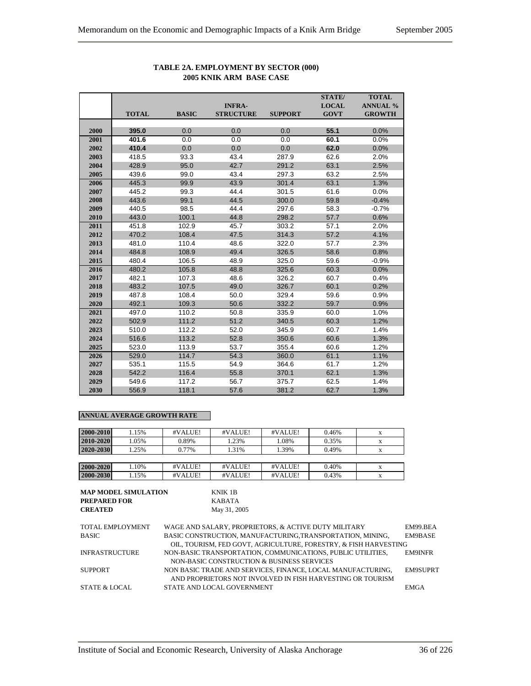|      |              |              |                  |                | <b>STATE/</b> | <b>TOTAL</b>    |
|------|--------------|--------------|------------------|----------------|---------------|-----------------|
|      |              |              | <b>INFRA-</b>    |                | <b>LOCAL</b>  | <b>ANNUAL %</b> |
|      | <b>TOTAL</b> | <b>BASIC</b> | <b>STRUCTURE</b> | <b>SUPPORT</b> | <b>GOVT</b>   | <b>GROWTH</b>   |
|      |              |              |                  |                |               |                 |
| 2000 | 395.0        | 0.0          | 0.0              | 0.0            | 55.1          | 0.0%            |
| 2001 | 401.6        | 0.0          | 0.0              | 0.0            | 60.1          | 0.0%            |
| 2002 | 410.4        | 0.0          | 0.0              | 0.0            | 62.0          | 0.0%            |
| 2003 | 418.5        | 93.3         | 43.4             | 287.9          | 62.6          | 2.0%            |
| 2004 | 428.9        | 95.0         | 42.7             | 291.2          | 63.1          | 2.5%            |
| 2005 | 439.6        | 99.0         | 43.4             | 297.3          | 63.2          | 2.5%            |
| 2006 | 445.3        | 99.9         | 43.9             | 301.4          | 63.1          | 1.3%            |
| 2007 | 445.2        | 99.3         | 44.4             | 301.5          | 61.6          | 0.0%            |
| 2008 | 443.6        | 99.1         | 44.5             | 300.0          | 59.8          | $-0.4%$         |
| 2009 | 440.5        | 98.5         | 44.4             | 297.6          | 58.3          | $-0.7%$         |
| 2010 | 443.0        | 100.1        | 44.8             | 298.2          | 57.7          | 0.6%            |
| 2011 | 451.8        | 102.9        | 45.7             | 303.2          | 57.1          | 2.0%            |
| 2012 | 470.2        | 108.4        | 47.5             | 314.3          | 57.2          | 4.1%            |
| 2013 | 481.0        | 110.4        | 48.6             | 322.0          | 57.7          | 2.3%            |
| 2014 | 484.8        | 108.9        | 49.4             | 326.5          | 58.6          | 0.8%            |
| 2015 | 480.4        | 106.5        | 48.9             | 325.0          | 59.6          | $-0.9%$         |
| 2016 | 480.2        | 105.8        | 48.8             | 325.6          | 60.3          | 0.0%            |
| 2017 | 482.1        | 107.3        | 48.6             | 326.2          | 60.7          | 0.4%            |
| 2018 | 483.2        | 107.5        | 49.0             | 326.7          | 60.1          | 0.2%            |
| 2019 | 487.8        | 108.4        | 50.0             | 329.4          | 59.6          | 0.9%            |
| 2020 | 492.1        | 109.3        | 50.6             | 332.2          | 59.7          | 0.9%            |
| 2021 | 497.0        | 110.2        | 50.8             | 335.9          | 60.0          | 1.0%            |
| 2022 | 502.9        | 111.2        | 51.2             | 340.5          | 60.3          | 1.2%            |
| 2023 | 510.0        | 112.2        | 52.0             | 345.9          | 60.7          | 1.4%            |
| 2024 | 516.6        | 113.2        | 52.8             | 350.6          | 60.6          | 1.3%            |
| 2025 | 523.0        | 113.9        | 53.7             | 355.4          | 60.6          | 1.2%            |
| 2026 | 529.0        | 114.7        | 54.3             | 360.0          | 61.1          | 1.1%            |
| 2027 | 535.1        | 115.5        | 54.9             | 364.6          | 61.7          | 1.2%            |
| 2028 | 542.2        | 116.4        | 55.8             | 370.1          | 62.1          | 1.3%            |
| 2029 | 549.6        | 117.2        | 56.7             | 375.7          | 62.5          | 1.4%            |
| 2030 | 556.9        | 118.1        | 57.6             | 381.2          | 62.7          | 1.3%            |

### **TABLE 2A. EMPLOYMENT BY SECTOR (000) 2005 KNIK ARM BASE CASE**

| 2000-2010 | 1.15% | #VALUE! | #VALUE! | #VALUE! | 0.46% |  |
|-----------|-------|---------|---------|---------|-------|--|
| 2010-2020 | 1.05% | 0.89%   | 1.23%   | 1.08%   | 0.35% |  |
| 2020-2030 | 1.25% | 0.77%   | 1.31%   | 1.39%   | 0.49% |  |
|           |       |         |         |         |       |  |
| 2000-2020 | 1.10% | #VALUE! | #VALUE! | #VALUE! | 0.40% |  |
| 2000-2030 | 1.15% | #VALUE! | #VALUE! | #VALUE! | 0.43% |  |

| <b>MAP MODEL SIMULATION</b><br>KNIK 1B                      |                                                                  |
|-------------------------------------------------------------|------------------------------------------------------------------|
| <b>KABATA</b>                                               |                                                                  |
| May 31, 2005                                                |                                                                  |
|                                                             |                                                                  |
| WAGE AND SALARY, PROPRIETORS, & ACTIVE DUTY MILITARY        | EM99 BEA                                                         |
| BASIC CONSTRUCTION, MANUFACTURING, TRANSPORTATION, MINING,  | EM9BASE                                                          |
|                                                             |                                                                  |
| NON-BASIC TRANSPORTATION, COMMUNICATIONS, PUBLIC UTILITIES, | <b>EM9INFR</b>                                                   |
| NON-BASIC CONSTRUCTION & BUSINESS SERVICES                  |                                                                  |
| NON BASIC TRADE AND SERVICES, FINANCE, LOCAL MANUFACTURING, | <b>EM9SUPRT</b>                                                  |
| AND PROPRIETORS NOT INVOLVED IN FISH HARVESTING OR TOURISM  |                                                                  |
| STATE AND LOCAL GOVERNMENT                                  | <b>EMGA</b>                                                      |
|                                                             | OIL, TOURISM, FED GOVT, AGRICULTURE, FORESTRY, & FISH HARVESTING |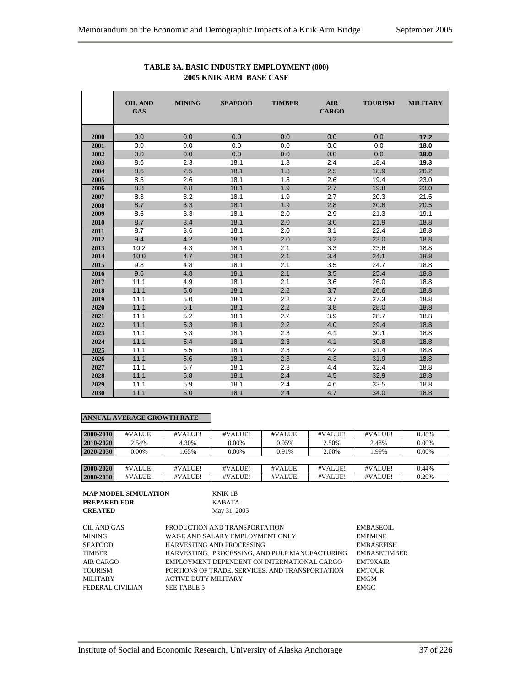|      | <b>OIL AND</b><br><b>GAS</b> | <b>MINING</b> | <b>SEAFOOD</b> | <b>TIMBER</b> | <b>AIR</b><br><b>CARGO</b> | <b>TOURISM</b> | <b>MILITARY</b> |
|------|------------------------------|---------------|----------------|---------------|----------------------------|----------------|-----------------|
| 2000 | 0.0                          | 0.0           | 0.0            | 0.0           | 0.0                        | 0.0            | 17.2            |
| 2001 | 0.0                          | 0.0           | 0.0            | 0.0           | 0.0                        | 0.0            | 18.0            |
| 2002 | 0.0                          | 0.0           | 0.0            | 0.0           | 0.0                        | 0.0            | 18.0            |
| 2003 | 8.6                          | 2.3           | 18.1           | 1.8           | 2.4                        | 18.4           | 19.3            |
| 2004 | 8.6                          | 2.5           | 18.1           | 1.8           | 2.5                        | 18.9           | 20.2            |
| 2005 | 8.6                          | 2.6           | 18.1           | 1.8           | 2.6                        | 19.4           | 23.0            |
| 2006 | 8.8                          | 2.8           | 18.1           | 1.9           | 2.7                        | 19.8           | 23.0            |
| 2007 | 8.8                          | 3.2           | 18.1           | 1.9           | 2.7                        | 20.3           | 21.5            |
| 2008 | 8.7                          | 3.3           | 18.1           | 1.9           | 2.8                        | 20.8           | 20.5            |
| 2009 | 8.6                          | 3.3           | 18.1           | 2.0           | 2.9                        | 21.3           | 19.1            |
| 2010 | 8.7                          | 3.4           | 18.1           | 2.0           | 3.0                        | 21.9           | 18.8            |
| 2011 | 8.7                          | 3.6           | 18.1           | 2.0           | 3.1                        | 22.4           | 18.8            |
| 2012 | 9.4                          | 4.2           | 18.1           | 2.0           | 3.2                        | 23.0           | 18.8            |
| 2013 | 10.2                         | 4.3           | 18.1           | 2.1           | 3.3                        | 23.6           | 18.8            |
| 2014 | 10.0                         | 4.7           | 18.1           | 2.1           | 3.4                        | 24.1           | 18.8            |
| 2015 | 9.8                          | 4.8           | 18.1           | 2.1           | 3.5                        | 24.7           | 18.8            |
| 2016 | 9.6                          | 4.8           | 18.1           | 2.1           | 3.5                        | 25.4           | 18.8            |
| 2017 | 11.1                         | 4.9           | 18.1           | 2.1           | 3.6                        | 26.0           | 18.8            |
| 2018 | 11.1                         | 5.0           | 18.1           | 2.2           | 3.7                        | 26.6           | 18.8            |
| 2019 | 11.1                         | 5.0           | 18.1           | 2.2           | 3.7                        | 27.3           | 18.8            |
| 2020 | 11.1                         | 5.1           | 18.1           | 2.2           | 3.8                        | 28.0           | 18.8            |
| 2021 | 11.1                         | 5.2           | 18.1           | 2.2           | 3.9                        | 28.7           | 18.8            |
| 2022 | 11.1                         | 5.3           | 18.1           | 2.2           | 4.0                        | 29.4           | 18.8            |
| 2023 | 11.1                         | 5.3           | 18.1           | 2.3           | 4.1                        | 30.1           | 18.8            |
| 2024 | 11.1                         | 5.4           | 18.1           | 2.3           | 4.1                        | 30.8           | 18.8            |
| 2025 | 11.1                         | 5.5           | 18.1           | 2.3           | 4.2                        | 31.4           | 18.8            |
| 2026 | 11.1                         | 5.6           | 18.1           | 2.3           | 4.3                        | 31.9           | 18.8            |
| 2027 | 11.1                         | 5.7           | 18.1           | 2.3           | 4.4                        | 32.4           | 18.8            |
| 2028 | 11.1                         | 5.8           | 18.1           | 2.4           | 4.5                        | 32.9           | 18.8            |
| 2029 | 11.1                         | 5.9           | 18.1           | 2.4           | 4.6                        | 33.5           | 18.8            |
| 2030 | 11.1                         | 6.0           | 18.1           | 2.4           | 4.7                        | 34.0           | 18.8            |

#### **TABLE 3A. BASIC INDUSTRY EMPLOYMENT (000) 2005 KNIK ARM BASE CASE**

| 2000-2010 | #VALUE! | #VALUE! | #VALUE! | #VALUE! | #VALUE! | #VALUE! | 0.88% |
|-----------|---------|---------|---------|---------|---------|---------|-------|
| 2010-2020 | 2.54%   | 4.30%   | 0.00%   | 0.95%   | 2.50%   | 2.48%   | 0.00% |
| 2020-2030 | 0.00%   | 1.65%   | 0.00%   | 0.91%   | 2.00%   | 1.99%   | 0.00% |
|           |         |         |         |         |         |         |       |
| 2000-2020 | #VALUE! | #VALUE! | #VALUE! | #VALUE! | #VALUE! | #VALUE! | 0.44% |
| 2000-2030 | #VALUE! | #VALUE! | #VALUE! | #VALUE! | #VALUE! | #VALUE! | 0.29% |

| <b>MAP MODEL SIMULATION</b> | KNIK 1B      |
|-----------------------------|--------------|
| <b>PREPARED FOR</b>         | KARATA       |
| <b>CREATED</b>              | May 31, 2005 |
|                             |              |

| OIL AND GAS      | PRODUCTION AND TRANSPORTATION                   | EMBASEOIL           |
|------------------|-------------------------------------------------|---------------------|
| <b>MINING</b>    | WAGE AND SALARY EMPLOYMENT ONLY                 | <b>EMPMINE</b>      |
| <b>SEAFOOD</b>   | HARVESTING AND PROCESSING                       | <b>EMBASEFISH</b>   |
| <b>TIMBER</b>    | HARVESTING, PROCESSING, AND PULP MANUFACTURING  | <b>EMBASETIMBER</b> |
| AIR CARGO        | EMPLOYMENT DEPENDENT ON INTERNATIONAL CARGO     | <b>EMT9XAIR</b>     |
| <b>TOURISM</b>   | PORTIONS OF TRADE, SERVICES, AND TRANSPORTATION | <b>EMTOUR</b>       |
| <b>MILITARY</b>  | <b>ACTIVE DUTY MILITARY</b>                     | <b>EMGM</b>         |
| FEDERAL CIVILIAN | SEE TABLE 5                                     | <b>EMGC</b>         |
|                  |                                                 |                     |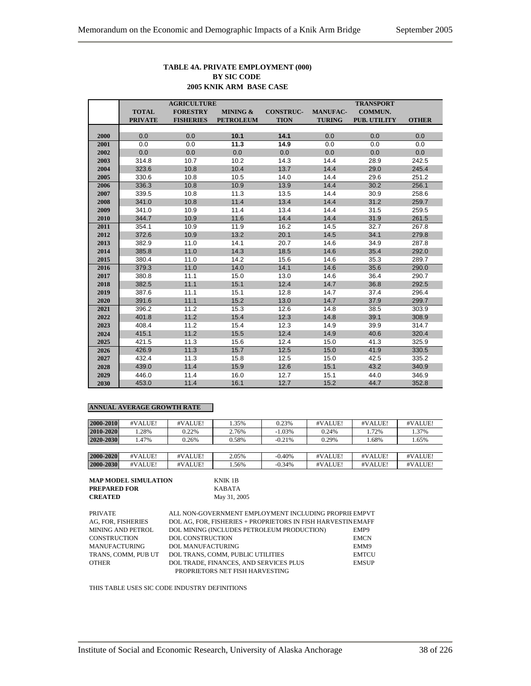#### **TABLE 4A. PRIVATE EMPLOYMENT (000) BY SIC CODE 2005 KNIK ARM BASE CASE**

|      | <b>AGRICULTURE</b> |                  |                  |                  |                 | <b>TRANSPORT</b> |              |
|------|--------------------|------------------|------------------|------------------|-----------------|------------------|--------------|
|      | <b>TOTAL</b>       | <b>FORESTRY</b>  | MINING &         | <b>CONSTRUC-</b> | <b>MANUFAC-</b> | <b>COMMUN.</b>   |              |
|      | <b>PRIVATE</b>     | <b>FISHERIES</b> | <b>PETROLEUM</b> | <b>TION</b>      | <b>TURING</b>   | PUB. UTILITY     | <b>OTHER</b> |
|      |                    |                  |                  |                  |                 |                  |              |
| 2000 | 0.0                | 0.0              | 10.1             | 14.1             | 0.0             | 0.0              | 0.0          |
| 2001 | 0.0                | 0.0              | 11.3             | 14.9             | 0.0             | 0.0              | 0.0          |
| 2002 | 0.0                | 0.0              | 0.0              | 0.0              | 0.0             | 0.0              | 0.0          |
| 2003 | 314.8              | 10.7             | 10.2             | 14.3             | 14.4            | 28.9             | 242.5        |
| 2004 | 323.6              | 10.8             | 10.4             | 13.7             | 14.4            | 29.0             | 245.4        |
| 2005 | 330.6              | 10.8             | 10.5             | 14.0             | 14.4            | 29.6             | 251.2        |
| 2006 | 336.3              | 10.8             | 10.9             | 13.9             | 14.4            | 30.2             | 256.1        |
| 2007 | 339.5              | 10.8             | 11.3             | 13.5             | 14.4            | 30.9             | 258.6        |
| 2008 | 341.0              | 10.8             | 11.4             | 13.4             | 14.4            | 31.2             | 259.7        |
| 2009 | 341.0              | 10.9             | 11.4             | 13.4             | 14.4            | 31.5             | 259.5        |
| 2010 | 344.7              | 10.9             | 11.6             | 14.4             | 14.4            | 31.9             | 261.5        |
| 2011 | 354.1              | 10.9             | 11.9             | 16.2             | 14.5            | 32.7             | 267.8        |
| 2012 | 372.6              | 10.9             | 13.2             | 20.1             | 14.5            | 34.1             | 279.8        |
| 2013 | 382.9              | 11.0             | 14.1             | 20.7             | 14.6            | 34.9             | 287.8        |
| 2014 | 385.8              | 11.0             | 14.3             | 18.5             | 14.6            | 35.4             | 292.0        |
| 2015 | 380.4              | 11.0             | 14.2             | 15.6             | 14.6            | 35.3             | 289.7        |
| 2016 | 379.3              | 11.0             | 14.0             | 14.1             | 14.6            | 35.6             | 290.0        |
| 2017 | 380.8              | 11.1             | 15.0             | 13.0             | 14.6            | 36.4             | 290.7        |
| 2018 | 382.5              | 11.1             | 15.1             | 12.4             | 14.7            | 36.8             | 292.5        |
| 2019 | 387.6              | 11.1             | 15.1             | 12.8             | 14.7            | 37.4             | 296.4        |
| 2020 | 391.6              | 11.1             | 15.2             | 13.0             | 14.7            | 37.9             | 299.7        |
| 2021 | 396.2              | 11.2             | 15.3             | 12.6             | 14.8            | 38.5             | 303.9        |
| 2022 | 401.8              | 11.2             | 15.4             | 12.3             | 14.8            | 39.1             | 308.9        |
| 2023 | 408.4              | 11.2             | 15.4             | 12.3             | 14.9            | 39.9             | 314.7        |
| 2024 | 415.1              | 11.2             | 15.5             | 12.4             | 14.9            | 40.6             | 320.4        |
| 2025 | 421.5              | 11.3             | 15.6             | 12.4             | 15.0            | 41.3             | 325.9        |
| 2026 | 426.9              | 11.3             | 15.7             | 12.5             | 15.0            | 41.9             | 330.5        |
| 2027 | 432.4              | 11.3             | 15.8             | 12.5             | 15.0            | 42.5             | 335.2        |
| 2028 | 439.0              | 11.4             | 15.9             | 12.6             | 15.1            | 43.2             | 340.9        |
| 2029 | 446.0              | 11.4             | 16.0             | 12.7             | 15.1            | 44.0             | 346.9        |
| 2030 | 453.0              | 11.4             | 16.1             | 12.7             | 15.2            | 44.7             | 352.8        |

#### **ANNUAL AVERAGE GROWTH RATE**

| 2000-2010 | #VALUE! | #VALUE! | 1.35% | 0.23%    | #VALUE! | #VALUE! | #VALUE! |
|-----------|---------|---------|-------|----------|---------|---------|---------|
| 2010-2020 | .28%    | 0.22%   | 2.76% | $-1.03%$ | 0.24%   | 1.72%   | 1.37%   |
| 2020-2030 | .47%    | 0.26%   | 0.58% | $-0.21%$ | 0.29%   | 1.68%   | 1.65%   |
|           |         |         |       |          |         |         |         |
| 2000-2020 | #VALUE! | #VALUE! | 2.05% | $-0.40%$ | #VALUE! | #VALUE! | #VALUE! |
| 2000-2030 | #VALUE! | #VALUE! | .56%  | $-0.34%$ | #VALUE! | #VALUE! | #VALUE! |

| <b>MAP MODEL SIMULATION</b> |  |
|-----------------------------|--|
| <b>PREPARED FOR</b>         |  |
| <b>CREATED</b>              |  |

**KNIK 1B PREPARED FOR** KABATA **CREATED** May 31, 2005

| PRIVATE             | ALL NON-GOVERNMENT EMPLOYMENT INCLUDING PROPRIE EMPVT       |              |
|---------------------|-------------------------------------------------------------|--------------|
|                     |                                                             |              |
| AG, FOR, FISHERIES  | DOL AG. FOR. FISHERIES + PROPRIETORS IN FISH HARVESTINEMAFF |              |
| MINING AND PETROL   | DOL MINING (INCLUDES PETROLEUM PRODUCTION)                  | EMP9         |
| CONSTRUCTION        | <b>DOL CONSTRUCTION</b>                                     | <b>EMCN</b>  |
| MANUFACTURING       | <b>DOL MANUFACTURING</b>                                    | EMM9         |
| TRANS. COMM. PUB UT | DOL TRANS, COMM, PUBLIC UTILITIES                           | <b>EMTCU</b> |
| OTHER               | DOL TRADE, FINANCES, AND SERVICES PLUS                      | <b>EMSUP</b> |
|                     | PROPRIETORS NET FISH HARVESTING                             |              |

THIS TABLE USES SIC CODE INDUSTRY DEFINITIONS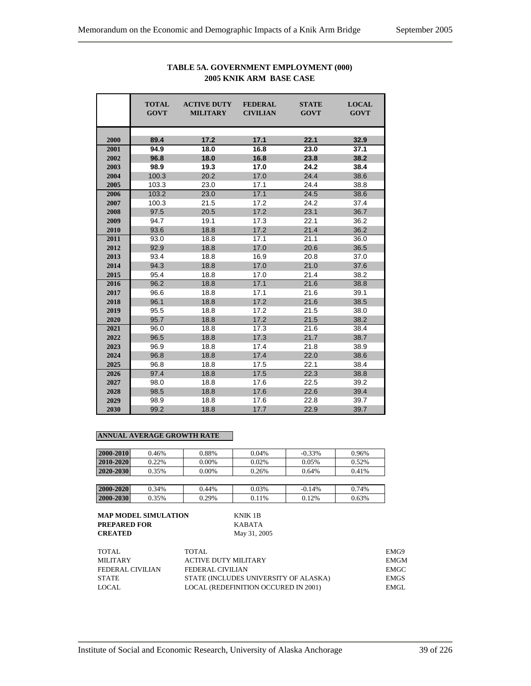|      | <b>TOTAL</b><br><b>GOVT</b> | <b>ACTIVE DUTY</b><br><b>MILITARY</b> | <b>FEDERAL</b><br><b>CIVILIAN</b> | <b>STATE</b><br><b>GOVT</b> | <b>LOCAL</b><br><b>GOVT</b> |
|------|-----------------------------|---------------------------------------|-----------------------------------|-----------------------------|-----------------------------|
| 2000 | 89.4                        | 17.2                                  | 17.1                              | 22.1                        | 32.9                        |
| 2001 | 94.9                        | 18.0                                  | 16.8                              | 23.0                        | 37.1                        |
| 2002 | 96.8                        | 18.0                                  | 16.8                              | 23.8                        | 38.2                        |
| 2003 | 98.9                        | 19.3                                  | 17.0                              | 24.2                        | 38.4                        |
| 2004 | 100.3                       | 20.2                                  | 17.0                              | 24.4                        | 38.6                        |
| 2005 | 103.3                       | 23.0                                  | 17.1                              | 24.4                        | 38.8                        |
| 2006 | 103.2                       | 23.0                                  | 17.1                              | 24.5                        | 38.6                        |
| 2007 | 100.3                       | 21.5                                  | 17.2                              | 24.2                        | 37.4                        |
| 2008 | 97.5                        | 20.5                                  | 17.2                              | 23.1                        | 36.7                        |
| 2009 | 94.7                        | 19.1                                  | 17.3                              | 22.1                        | 36.2                        |
| 2010 | 93.6                        | 18.8                                  | 17.2                              | 21.4                        | 36.2                        |
| 2011 | 93.0                        | 18.8                                  | 17.1                              | 21.1                        | 36.0                        |
| 2012 | 92.9                        | 18.8                                  | 17.0                              | 20.6                        | 36.5                        |
| 2013 | 93.4                        | 18.8                                  | 16.9                              | 20.8                        | 37.0                        |
| 2014 | 94.3                        | 18.8                                  | 17.0                              | 21.0                        | 37.6                        |
| 2015 | 95.4                        | 18.8                                  | 17.0                              | 21.4                        | 38.2                        |
| 2016 | 96.2                        | 18.8                                  | 17.1                              | 21.6                        | 38.8                        |
| 2017 | 96.6                        | 18.8                                  | 17.1                              | 21.6                        | 39.1                        |
| 2018 | 96.1                        | 18.8                                  | 17.2                              | 21.6                        | 38.5                        |
| 2019 | 95.5                        | 18.8                                  | 17.2                              | 21.5                        | 38.0                        |
| 2020 | 95.7                        | 18.8                                  | 17.2                              | 21.5                        | 38.2                        |
| 2021 | 96.0                        | 18.8                                  | 17.3                              | 21.6                        | 38.4                        |
| 2022 | 96.5                        | 18.8                                  | 17.3                              | 21.7                        | 38.7                        |
| 2023 | 96.9                        | 18.8                                  | 17.4                              | 21.8                        | 38.9                        |
| 2024 | 96.8                        | 18.8                                  | 17.4                              | 22.0                        | 38.6                        |
| 2025 | 96.8                        | 18.8                                  | 17.5                              | 22.1                        | 38.4                        |
| 2026 | 97.4                        | 18.8                                  | 17.5                              | 22.3                        | 38.8                        |
| 2027 | 98.0                        | 18.8                                  | 17.6                              | 22.5                        | 39.2                        |
| 2028 | 98.5                        | 18.8                                  | 17.6                              | 22.6                        | 39.4                        |
| 2029 | 98.9                        | 18.8                                  | 17.6                              | 22.8                        | 39.7                        |
| 2030 | 99.2                        | 18.8                                  | 17.7                              | 22.9                        | 39.7                        |

## **TABLE 5A. GOVERNMENT EMPLOYMENT (000) 2005 KNIK ARM BASE CASE**

#### **ANNUAL AVERAGE GROWTH RATE**

| 2000-2010 | 0.46% | 0.88%    | 0.04% | $-0.33\%$ | 0.96% |
|-----------|-------|----------|-------|-----------|-------|
| 2010-2020 | 0.22% | $0.00\%$ | 0.02% | 0.05%     | 0.52% |
| 2020-2030 | 0.35% | $0.00\%$ | 0.26% | 0.64%     | 0.41% |
|           |       |          |       |           |       |
| 2000-2020 | 0.34% | 0.44%    | 0.03% | $-0.14%$  | 0.74% |

**2000-2030** 0.35% 0.29% 0.11% 0.12% 0.63%

| <b>MAP MODEL SIMULATION</b> | KNIK 1B    |
|-----------------------------|------------|
| <b>PREPARED FOR</b>         | KABATA     |
| <b>CREATED</b>              | May 31, 20 |

**KNIK 1B CREATED** May 31, 2005

| TOTAL            | TOTAL.                                | EMG9        |
|------------------|---------------------------------------|-------------|
| MILITARY         | <b>ACTIVE DUTY MILITARY</b>           | EMGM        |
| FEDERAL CIVILIAN | FEDERAL CIVILIAN                      | EMGC -      |
| <b>STATE</b>     | STATE (INCLUDES UNIVERSITY OF ALASKA) | <b>EMGS</b> |
| LOCAL            | LOCAL (REDEFINITION OCCURED IN 2001)  | EMGL.       |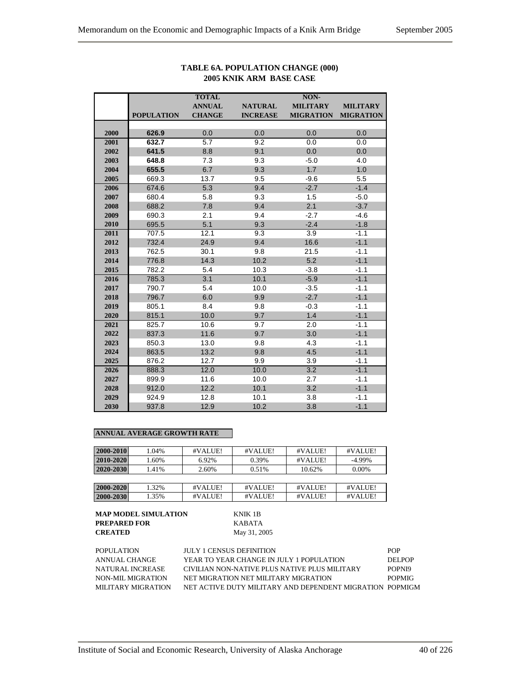|      |                   | <b>TOTAL</b>  |                 | NON-             |                  |
|------|-------------------|---------------|-----------------|------------------|------------------|
|      |                   | <b>ANNUAL</b> | <b>NATURAL</b>  | <b>MILITARY</b>  | <b>MILITARY</b>  |
|      | <b>POPULATION</b> | <b>CHANGE</b> | <b>INCREASE</b> | <b>MIGRATION</b> | <b>MIGRATION</b> |
|      |                   |               |                 |                  |                  |
| 2000 | 626.9             | 0.0           | 0.0             | 0.0              | 0.0              |
| 2001 | 632.7             | 5.7           | 9.2             | 0.0              | 0.0              |
| 2002 | 641.5             | 8.8           | 9.1             | 0.0              | 0.0              |
| 2003 | 648.8             | 7.3           | 9.3             | $-5.0$           | 4.0              |
| 2004 | 655.5             | 6.7           | 9.3             | 1.7              | 1.0              |
| 2005 | 669.3             | 13.7          | 9.5             | $-9.6$           | 5.5              |
| 2006 | 674.6             | 5.3           | 9.4             | $-2.7$           | $-1.4$           |
| 2007 | 680.4             | 5.8           | 9.3             | 1.5              | $-5.0$           |
| 2008 | 688.2             | 7.8           | 9.4             | 2.1              | $-3.7$           |
| 2009 | 690.3             | 2.1           | 9.4             | $-2.7$           | $-4.6$           |
| 2010 | 695.5             | 5.1           | 9.3             | $-2.4$           | $-1.8$           |
| 2011 | 707.5             | 12.1          | 9.3             | 3.9              | $-1.1$           |
| 2012 | 732.4             | 24.9          | 9.4             | 16.6             | $-1.1$           |
| 2013 | 762.5             | 30.1          | 9.8             | 21.5             | $-1.1$           |
| 2014 | 776.8             | 14.3          | 10.2            | 5.2              | $-1.1$           |
| 2015 | 782.2             | 5.4           | 10.3            | $-3.8$           | $-1.1$           |
| 2016 | 785.3             | 3.1           | 10.1            | $-5.9$           | $-1.1$           |
| 2017 | 790.7             | 5.4           | 10.0            | $-3.5$           | $-1.1$           |
| 2018 | 796.7             | 6.0           | 9.9             | $-2.7$           | $-1.1$           |
| 2019 | 805.1             | 8.4           | 9.8             | $-0.3$           | $-1.1$           |
| 2020 | 815.1             | 10.0          | 9.7             | 1.4              | $-1.1$           |
| 2021 | 825.7             | 10.6          | 9.7             | 2.0              | $-1.1$           |
| 2022 | 837.3             | 11.6          | 9.7             | 3.0              | $-1.1$           |
| 2023 | 850.3             | 13.0          | 9.8             | 4.3              | $-1.1$           |
| 2024 | 863.5             | 13.2          | 9.8             | 4.5              | $-1.1$           |
| 2025 | 876.2             | 12.7          | 9.9             | 3.9              | $-1.1$           |
| 2026 | 888.3             | 12.0          | 10.0            | 3.2              | $-1.1$           |
| 2027 | 899.9             | 11.6          | 10.0            | 2.7              | $-1.1$           |
| 2028 | 912.0             | 12.2          | 10.1            | 3.2              | $-1.1$           |
| 2029 | 924.9             | 12.8          | 10.1            | 3.8              | $-1.1$           |
| 2030 | 937.8             | 12.9          | 10.2            | 3.8              | $-1.1$           |

## **TABLE 6A. POPULATION CHANGE (000) 2005 KNIK ARM BASE CASE**

## **ANNUAL AVERAGE GROWTH RATE**

| 2000-2010 | 1.04% | #VALUE! | #VALUE! | #VALUE! | #VALUE!   |
|-----------|-------|---------|---------|---------|-----------|
| 2010-2020 | 1.60% | 6.92%   | 0.39%   | #VALUE! | $-4.99\%$ |
| 2020-2030 | 1.41% | 2.60%   | 0.51%   | 10.62%  | $0.00\%$  |
|           |       |         |         |         |           |
| 2000-2020 | 1.32% | #VALUE! | #VALUE! | #VALUE! | #VALUE!   |
| 2000-2030 | 1.35% | #VALUE! | #VALUE! | #VALUE! | #VALUE!   |

| <b>POPULATION</b>  | <b>JULY 1 CENSUS DEFINITION</b>                          | <b>POP</b>    |
|--------------------|----------------------------------------------------------|---------------|
| ANNUAL CHANGE      | YEAR TO YEAR CHANGE IN JULY 1 POPULATION                 | DEL POP       |
| NATURAL INCREASE   | CIVILIAN NON-NATIVE PLUS NATIVE PLUS MILITARY            | POPNI9        |
| NON-MIL MIGRATION  | NET MIGRATION NET MILITARY MIGRATION                     | <b>POPMIG</b> |
| MILITARY MIGRATION | NET ACTIVE DUTY MILITARY AND DEPENDENT MIGRATION POPMIGM |               |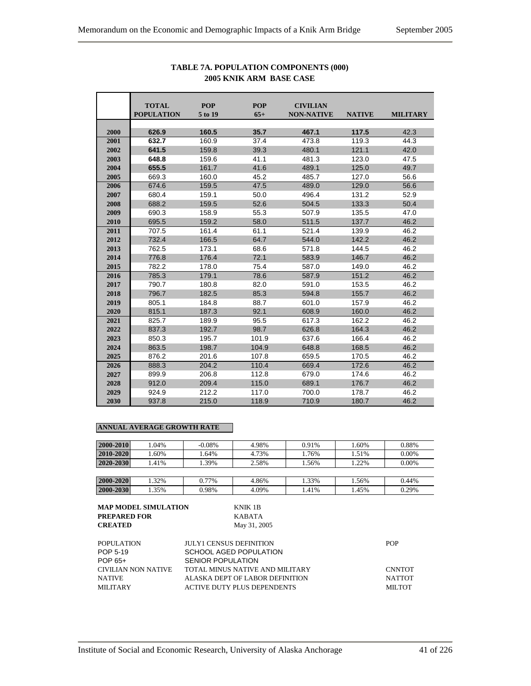|      | <b>TOTAL</b><br><b>POPULATION</b> | <b>POP</b><br>5 to 19 | <b>POP</b><br>$65+$ | <b>CIVILIAN</b><br><b>NON-NATIVE</b> | <b>NATIVE</b> | <b>MILITARY</b> |
|------|-----------------------------------|-----------------------|---------------------|--------------------------------------|---------------|-----------------|
|      |                                   |                       |                     |                                      |               |                 |
| 2000 | 626.9                             | 160.5                 | 35.7                | 467.1                                | 117.5         | 42.3            |
| 2001 | 632.7                             | 160.9                 | 37.4                | 473.8                                | 119.3         | 44.3            |
| 2002 | 641.5                             | 159.8                 | 39.3                | 480.1                                | 121.1         | 42.0            |
| 2003 | 648.8                             | 159.6                 | 41.1                | 481.3                                | 123.0         | 47.5            |
| 2004 | 655.5                             | 161.7                 | 41.6                | 489.1                                | 125.0         | 49.7            |
| 2005 | 669.3                             | 160.0                 | 45.2                | 485.7                                | 127.0         | 56.6            |
| 2006 | 674.6                             | 159.5                 | 47.5                | 489.0                                | 129.0         | 56.6            |
| 2007 | 680.4                             | 159.1                 | 50.0                | 496.4                                | 131.2         | 52.9            |
| 2008 | 688.2                             | 159.5                 | 52.6                | 504.5                                | 133.3         | 50.4            |
| 2009 | 690.3                             | 158.9                 | 55.3                | 507.9                                | 135.5         | 47.0            |
| 2010 | 695.5                             | 159.2                 | 58.0                | 511.5                                | 137.7         | 46.2            |
| 2011 | 707.5                             | 161.4                 | 61.1                | 521.4                                | 139.9         | 46.2            |
| 2012 | 732.4                             | 166.5                 | 64.7                | 544.0                                | 142.2         | 46.2            |
| 2013 | 762.5                             | 173.1                 | 68.6                | 571.8                                | 144.5         | 46.2            |
| 2014 | 776.8                             | 176.4                 | 72.1                | 583.9                                | 146.7         | 46.2            |
| 2015 | 782.2                             | 178.0                 | 75.4                | 587.0                                | 149.0         | 46.2            |
| 2016 | 785.3                             | 179.1                 | 78.6                | 587.9                                | 151.2         | 46.2            |
| 2017 | 790.7                             | 180.8                 | 82.0                | 591.0                                | 153.5         | 46.2            |
| 2018 | 796.7                             | 182.5                 | 85.3                | 594.8                                | 155.7         | 46.2            |
| 2019 | 805.1                             | 184.8                 | 88.7                | 601.0                                | 157.9         | 46.2            |
| 2020 | 815.1                             | 187.3                 | 92.1                | 608.9                                | 160.0         | 46.2            |
| 2021 | 825.7                             | 189.9                 | 95.5                | 617.3                                | 162.2         | 46.2            |
| 2022 | 837.3                             | 192.7                 | 98.7                | 626.8                                | 164.3         | 46.2            |
| 2023 | 850.3                             | 195.7                 | 101.9               | 637.6                                | 166.4         | 46.2            |
| 2024 | 863.5                             | 198.7                 | 104.9               | 648.8                                | 168.5         | 46.2            |
| 2025 | 876.2                             | 201.6                 | 107.8               | 659.5                                | 170.5         | 46.2            |
| 2026 | 888.3                             | 204.2                 | 110.4               | 669.4                                | 172.6         | 46.2            |
| 2027 | 899.9                             | 206.8                 | 112.8               | 679.0                                | 174.6         | 46.2            |
| 2028 | 912.0                             | 209.4                 | 115.0               | 689.1                                | 176.7         | 46.2            |
| 2029 | 924.9                             | 212.2                 | 117.0               | 700.0                                | 178.7         | 46.2            |
| 2030 | 937.8                             | 215.0                 | 118.9               | 710.9                                | 180.7         | 46.2            |

## **TABLE 7A. POPULATION COMPONENTS (000) 2005 KNIK ARM BASE CASE**

| 2000-2010 | 1.04% | $-0.08\%$ | 4.98% | 0.91% | 1.60% | 0.88% |
|-----------|-------|-----------|-------|-------|-------|-------|
| 2010-2020 | .60%  | 1.64%     | 4.73% | 1.76% | 1.51% | 0.00% |
| 2020-2030 | 1.41% | 1.39%     | 2.58% | 1.56% | 1.22% | 0.00% |
|           |       |           |       |       |       |       |
| 2000-2020 | 1.32% | 0.77%     | 4.86% | 1.33% | 1.56% | 0.44% |
| 2000-2030 | 1.35% | 0.98%     | 4.09% | 1.41% | 1.45% | 0.29% |

| MAP MODEL SIMULATION | KNIK 1B                        |
|----------------------|--------------------------------|
| PREPARED FOR         | <b>KABATA</b>                  |
| CREATED              | May 31, 2005                   |
| POPULATION           | <b>JULY1 CENSUS DEFINITION</b> |

| POPULATION          | <b>JULY1 CENSUS DEFINITION</b>     | <b>POP</b>    |
|---------------------|------------------------------------|---------------|
| POP 5-19            | SCHOOL AGED POPULATION             |               |
| POP 65+             | SENIOR POPULATION                  |               |
| CIVILIAN NON NATIVE | TOTAL MINUS NATIVE AND MILITARY    | <b>CNNTOT</b> |
| <b>NATIVE</b>       | ALASKA DEPT OF LABOR DEFINITION    | NATTOT        |
| <b>MILITARY</b>     | <b>ACTIVE DUTY PLUS DEPENDENTS</b> | MILTOT        |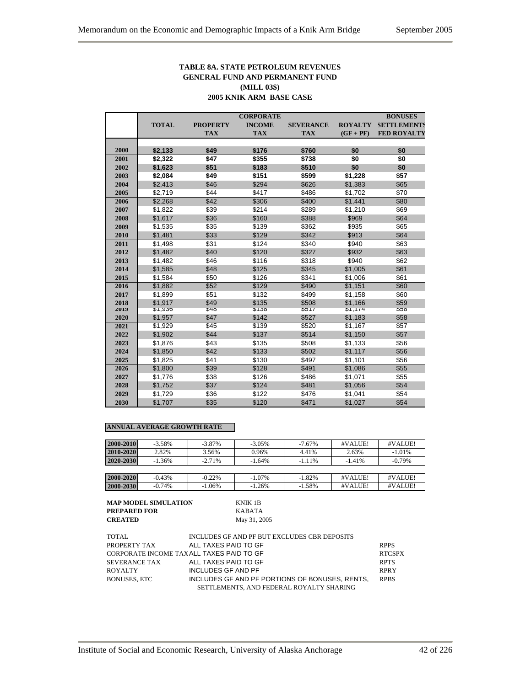## **TABLE 8A. STATE PETROLEUM REVENUES GENERAL FUND AND PERMANENT FUND (MILL 03\$) 2005 KNIK ARM BASE CASE**

|      |              |                 | <b>CORPORATE</b> |                  |                | <b>BONUSES</b>     |
|------|--------------|-----------------|------------------|------------------|----------------|--------------------|
|      | <b>TOTAL</b> | <b>PROPERTY</b> | <b>INCOME</b>    | <b>SEVERANCE</b> | <b>ROYALTY</b> | <b>SETTLEMENTS</b> |
|      |              | <b>TAX</b>      | <b>TAX</b>       | <b>TAX</b>       | $(GF + PF)$    | <b>FED ROYALTY</b> |
|      |              |                 |                  |                  |                |                    |
| 2000 | \$2,133      | \$49            | \$176            | \$760            | \$0            | \$0                |
| 2001 | \$2,322      | \$47            | \$355            | \$738            | \$0            | \$0                |
| 2002 | \$1,623      | \$51            | \$183            | \$510            | \$0            | \$0                |
| 2003 | \$2,084      | \$49            | \$151            | \$599            | \$1,228        | \$57               |
| 2004 | \$2,413      | \$46            | \$294            | \$626            | \$1,383        | \$65               |
| 2005 | \$2,719      | \$44            | \$417            | \$486            | \$1,702        | \$70               |
| 2006 | \$2,268      | \$42            | \$306            | \$400            | \$1,441        | \$80               |
| 2007 | \$1,822      | \$39            | \$214            | \$289            | \$1,210        | \$69               |
| 2008 | \$1,617      | \$36            | \$160            | \$388            | \$969          | \$64               |
| 2009 | \$1,535      | \$35            | \$139            | \$362            | \$935          | \$65               |
| 2010 | \$1,481      | \$33            | \$129            | \$342            | \$913          | \$64               |
| 2011 | \$1,498      | \$31            | \$124            | \$340            | \$940          | \$63               |
| 2012 | \$1,482      | \$40            | \$120            | \$327            | \$932          | \$63               |
| 2013 | \$1,482      | \$46            | \$116            | \$318            | \$940          | \$62               |
| 2014 | \$1,585      | \$48            | \$125            | \$345            | \$1,005        | \$61               |
| 2015 | \$1,584      | \$50            | \$126            | \$341            | \$1,006        | \$61               |
| 2016 | \$1,882      | \$52            | \$129            | \$490            | \$1,151        | \$60               |
| 2017 | \$1,899      | \$51            | \$132            | \$499            | \$1,158        | \$60               |
| 2018 | \$1,917      | \$49            | \$135            | \$508            | \$1,166        | \$59               |
| 2019 | \$1,936      | $\sqrt[3]{48}$  | \$138            | 351/             | \$1,1/4        | ১০৪                |
| 2020 | \$1,957      | \$47            | \$142            | \$527            | \$1,183        | \$58               |
| 2021 | \$1,929      | \$45            | \$139            | \$520            | \$1,167        | \$57               |
| 2022 | \$1,902      | \$44            | \$137            | \$514            | \$1,150        | \$57               |
| 2023 | \$1,876      | \$43            | \$135            | \$508            | \$1,133        | \$56               |
| 2024 | \$1,850      | \$42            | \$133            | \$502            | \$1,117        | \$56               |
| 2025 | \$1,825      | \$41            | \$130            | \$497            | \$1,101        | \$56               |
| 2026 | \$1,800      | \$39            | \$128            | \$491            | \$1,086        | \$55               |
| 2027 | \$1,776      | \$38            | \$126            | \$486            | \$1,071        | \$55               |
| 2028 | \$1,752      | \$37            | \$124            | \$481            | \$1,056        | \$54               |
| 2029 | \$1,729      | \$36            | \$122            | \$476            | \$1,041        | \$54               |
| 2030 | \$1,707      | \$35            | \$120            | \$471            | \$1,027        | \$54               |

#### **ANNUAL AVERAGE GROWTH RATE**

| 2000-2010 | $-3.58%$ | $-3.87\%$ | $-3.05%$  | $-7.67\%$ | #VALUE!  | #VALUE!   |
|-----------|----------|-----------|-----------|-----------|----------|-----------|
| 2010-2020 | 2.82%    | 3.56%     | 0.96%     | 4.41%     | 2.63%    | $-1.01%$  |
| 2020-2030 | $-1.36%$ | $-2.71%$  | $-1.64%$  | $-1.11%$  | $-1.41%$ | $-0.79\%$ |
|           |          |           |           |           |          |           |
| 2000-2020 | $-0.43%$ | $-0.22%$  | $-1.07\%$ | $-1.82%$  | #VALUE!  | #VALUE!   |
| 2000-2030 | $-0.74%$ | $-1.06\%$ | $-1.26%$  | $-1.58%$  | #VALUE!  | #VALUE!   |

| MAP MODEL SIMULATION | KNIK 1B      |
|----------------------|--------------|
| PREPARED FOR         | KABATA       |
| <b>CREATED</b>       | May 31, 2005 |

**KNIK 1B PREPARED FOR** KABATA

| TOTAL          | INCLUDES GF AND PF BUT EXCLUDES CBR DEPOSITS   |               |
|----------------|------------------------------------------------|---------------|
| PROPERTY TAX   | ALL TAXES PAID TO GF                           | <b>RPPS</b>   |
|                | CORPORATE INCOME TAXALL TAXES PAID TO GF       | <b>RTCSPX</b> |
| SEVER ANCE TAX | ALL TAXES PAID TO GF                           | <b>RPTS</b>   |
| ROYALTY        | INCLUDES GF AND PF                             | <b>RPRY</b>   |
| BONUSES. ETC   | INCLUDES GF AND PF PORTIONS OF BONUSES, RENTS, | <b>RPBS</b>   |
|                | SETTLEMENTS, AND FEDERAL ROYALTY SHARING       |               |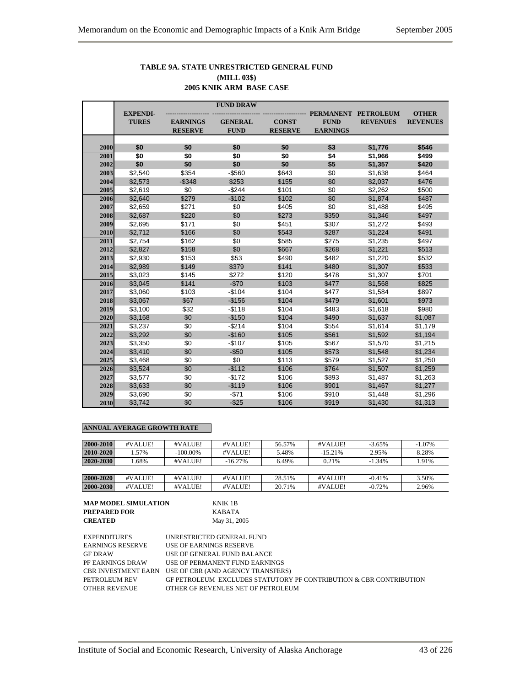## **TABLE 9A. STATE UNRESTRICTED GENERAL FUND (MILL 03\$) 2005 KNIK ARM BASE CASE**

|      |                 |                                   | <b>FUND DRAW</b>              |                                |                                |                  |                 |
|------|-----------------|-----------------------------------|-------------------------------|--------------------------------|--------------------------------|------------------|-----------------|
|      | <b>EXPENDI-</b> |                                   |                               |                                | <b>PERMANENT</b>               | <b>PETROLEUM</b> | <b>OTHER</b>    |
|      | <b>TURES</b>    | <b>EARNINGS</b><br><b>RESERVE</b> | <b>GENERAL</b><br><b>FUND</b> | <b>CONST</b><br><b>RESERVE</b> | <b>FUND</b><br><b>EARNINGS</b> | <b>REVENUES</b>  | <b>REVENUES</b> |
|      |                 |                                   |                               |                                |                                |                  |                 |
| 2000 | \$0             | \$0                               | \$0                           | \$0                            | \$3                            | \$1,776          | \$546           |
| 2001 | \$0             | \$0                               | \$0                           | \$0                            | \$4                            | \$1,966          | \$499           |
| 2002 | \$0             | \$0                               | \$0                           | \$0                            | \$5                            | \$1,357          | \$420           |
| 2003 | \$2,540         | \$354                             | $-$560$                       | \$643                          | \$0                            | \$1,638          | \$464           |
| 2004 | \$2,573         | $-$ \$348                         | \$253                         | \$155                          | \$0                            | \$2,037          | \$476           |
| 2005 | \$2,619         | \$0                               | $-$244$                       | \$101                          | \$0                            | \$2,262          | \$500           |
| 2006 | \$2,640         | \$279                             | $-$102$                       | \$102                          | \$0                            | \$1,874          | \$487           |
| 2007 | \$2,659         | \$271                             | \$0                           | \$405                          | \$0                            | \$1,488          | \$495           |
| 2008 | \$2,687         | \$220                             | \$0                           | \$273                          | \$350                          | \$1,346          | \$497           |
| 2009 | \$2,695         | \$171                             | \$0                           | \$451                          | \$307                          | \$1,272          | \$493           |
| 2010 | \$2,712         | \$166                             | \$0                           | \$543                          | \$287                          | \$1,224          | \$491           |
| 2011 | \$2,754         | \$162                             | $\overline{50}$               | \$585                          | \$275                          | \$1,235          | \$497           |
| 2012 | \$2,827         | \$158                             | \$0                           | \$667                          | \$268                          | \$1,221          | \$513           |
| 2013 | \$2,930         | \$153                             | \$53                          | \$490                          | \$482                          | \$1,220          | \$532           |
| 2014 | \$2,989         | \$149                             | \$379                         | \$141                          | \$480                          | \$1,307          | \$533           |
| 2015 | \$3,023         | \$145                             | \$272                         | \$120                          | \$478                          | \$1,307          | \$701           |
| 2016 | \$3,045         | \$141                             | $-$70$                        | \$103                          | \$477                          | \$1,568          | \$825           |
| 2017 | \$3,060         | \$103                             | $-$104$                       | \$104                          | \$477                          | \$1,584          | \$897           |
| 2018 | \$3,067         | \$67                              | $-$156$                       | \$104                          | \$479                          | \$1,601          | \$973           |
| 2019 | \$3,100         | \$32                              | $-$118$                       | \$104                          | \$483                          | \$1,618          | \$980           |
| 2020 | \$3,168         | \$0                               | $-$150$                       | \$104                          | \$490                          | \$1,637          | \$1,087         |
| 2021 | \$3,237         | \$0                               | $-$214$                       | \$104                          | \$554                          | \$1,614          | \$1,179         |
| 2022 | \$3,292         | \$0                               | $-$160$                       | \$105                          | \$561                          | \$1,592          | \$1,194         |
| 2023 | \$3,350         | \$0                               | $-$107$                       | \$105                          | \$567                          | \$1,570          | \$1,215         |
| 2024 | \$3,410         | \$0                               | $-$50$                        | \$105                          | \$573                          | \$1,548          | \$1,234         |
| 2025 | \$3,468         | \$0                               | \$0                           | \$113                          | \$579                          | \$1,527          | \$1,250         |
| 2026 | \$3,524         | \$0                               | $-$112$                       | \$106                          | \$764                          | \$1,507          | \$1,259         |
| 2027 | \$3,577         | \$0                               | $-$172$                       | \$106                          | \$893                          | \$1,487          | \$1,263         |
| 2028 | \$3,633         | \$0                               | $-$119$                       | \$106                          | \$901                          | \$1,467          | \$1,277         |
| 2029 | \$3,690         | \$0                               | $-$71$                        | \$106                          | \$910                          | \$1,448          | \$1,296         |
| 2030 | \$3,742         | \$0                               | $-$25$                        | \$106                          | \$919                          | \$1,430          | \$1,313         |

| 2000-2010 | #VALUE! | #VALUE!     | #VALUE!   | 56.57% | #VALUE!   | $-3.65%$ | $-1.07\%$ |
|-----------|---------|-------------|-----------|--------|-----------|----------|-----------|
| 2010-2020 | .57%    | $-100.00\%$ | #VALUE!   | 5.48%  | $-15.21%$ | 2.95%    | 8.28%     |
| 2020-2030 | .68%    | #VALUE!     | $-16.27%$ | 6.49%  | 0.21%     | $-1.34%$ | 1.91%     |
|           |         |             |           |        |           |          |           |
| 2000-2020 | #VALUE! | #VALUE!     | #VALUE!   | 28.51% | #VALUE!   | $-0.41%$ | 3.50%     |
| 2000-2030 | #VALUE! | #VALUE!     | #VALUE!   | 20.71% | #VALUE!   | $-0.72%$ | 2.96%     |

| <b>MAP MODEL SIMULATION</b> | KNIK 1B      |
|-----------------------------|--------------|
| <b>PREPARED FOR</b>         | KABATA       |
| <b>CREATED</b>              | May 31, 2005 |

| <b>EXPENDITURES</b>     | UNRESTRICTED GENERAL FUND                                          |
|-------------------------|--------------------------------------------------------------------|
| <b>EARNINGS RESERVE</b> | USE OF EARNINGS RESERVE                                            |
| <b>GF DRAW</b>          | USE OF GENERAL FUND BALANCE                                        |
| PF EARNINGS DRAW        | USE OF PERMANENT FUND EARNINGS                                     |
|                         | CBR INVESTMENT EARN USE OF CBR (AND AGENCY TRANSFERS)              |
| PETROLEUM REV           | GF PETROLEUM EXCLUDES STATUTORY PF CONTRIBUTION & CBR CONTRIBUTION |
| <b>OTHER REVENUE</b>    | OTHER GF REVENUES NET OF PETROLEUM                                 |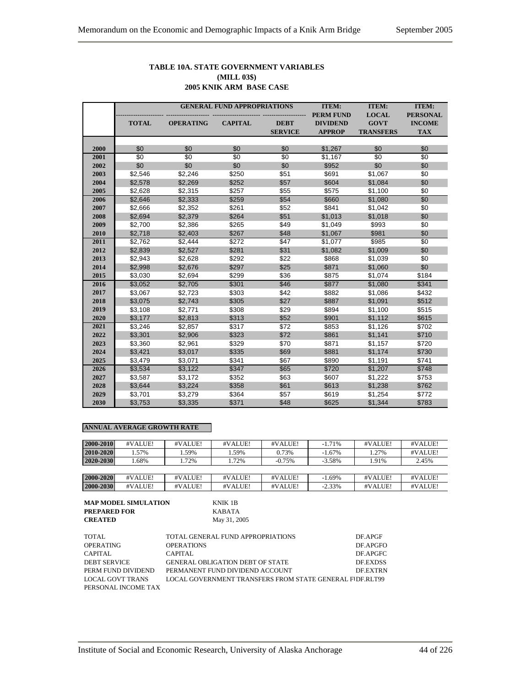## **TABLE 10A. STATE GOVERNMENT VARIABLES (MILL 03\$) 2005 KNIK ARM BASE CASE**

|      |                 |                  | <b>GENERAL FUND APPROPRIATIONS</b> |                 | <b>ITEM:</b>     | <b>ITEM:</b>     | <b>ITEM:</b>    |
|------|-----------------|------------------|------------------------------------|-----------------|------------------|------------------|-----------------|
|      |                 |                  |                                    |                 | <b>PERM FUND</b> | <b>LOCAL</b>     | <b>PERSONAL</b> |
|      | <b>TOTAL</b>    | <b>OPERATING</b> | <b>CAPITAL</b>                     | <b>DEBT</b>     | <b>DIVIDEND</b>  | <b>GOVT</b>      | <b>INCOME</b>   |
|      |                 |                  |                                    | <b>SERVICE</b>  | <b>APPROP</b>    | <b>TRANSFERS</b> | <b>TAX</b>      |
|      |                 |                  |                                    |                 |                  |                  |                 |
| 2000 | \$0             | \$0              | \$0                                | \$0             | \$1,267          | \$0              | \$0             |
| 2001 | $\overline{50}$ | $\overline{50}$  | $\overline{50}$                    | $\overline{50}$ | \$1,167          | \$0              | $\sqrt{6}$      |
| 2002 | \$0             | \$0              | \$0                                | \$0             | \$952            | \$0              | \$0             |
| 2003 | \$2,546         | \$2,246          | \$250                              | \$51            | \$691            | \$1,067          | \$0             |
| 2004 | \$2,578         | \$2,269          | \$252                              | \$57            | \$604            | \$1,084          | \$0             |
| 2005 | \$2,628         | \$2,315          | \$257                              | \$55            | \$575            | \$1,100          | \$0             |
| 2006 | \$2,646         | \$2,333          | \$259                              | \$54            | \$660            | \$1,080          | \$0             |
| 2007 | \$2,666         | \$2,352          | \$261                              | \$52            | \$841            | \$1,042          | \$0             |
| 2008 | \$2,694         | \$2,379          | \$264                              | \$51            | \$1,013          | \$1,018          | \$0             |
| 2009 | \$2,700         | \$2,386          | \$265                              | \$49            | \$1,049          | \$993            | \$0             |
| 2010 | \$2,718         | \$2,403          | \$267                              | \$48            | \$1,067          | \$981            | \$0             |
| 2011 | \$2,762         | \$2,444          | \$272                              | \$47            | \$1,077          | \$985            | \$0             |
| 2012 | \$2,839         | \$2,527          | \$281                              | \$31            | \$1,082          | \$1,009          | \$0             |
| 2013 | \$2,943         | \$2,628          | \$292                              | \$22            | \$868            | \$1,039          | \$0             |
| 2014 | \$2,998         | \$2,676          | \$297                              | \$25            | \$871            | \$1,060          | \$0             |
| 2015 | \$3,030         | \$2,694          | \$299                              | \$36            | \$875            | \$1,074          | \$184           |
| 2016 | \$3,052         | \$2,705          | \$301                              | \$46            | \$877            | \$1,080          | \$341           |
| 2017 | \$3,067         | \$2,723          | \$303                              | \$42            | \$882            | \$1,086          | \$432           |
| 2018 | \$3,075         | \$2,743          | \$305                              | \$27            | \$887            | \$1,091          | \$512           |
| 2019 | \$3,108         | \$2,771          | \$308                              | \$29            | \$894            | \$1,100          | \$515           |
| 2020 | \$3,177         | \$2,813          | \$313                              | \$52            | \$901            | \$1,112          | \$615           |
| 2021 | \$3,246         | \$2,857          | \$317                              | \$72            | \$853            | \$1,126          | \$702           |
| 2022 | \$3,301         | \$2,906          | \$323                              | \$72            | \$861            | \$1,141          | \$710           |
| 2023 | \$3,360         | \$2,961          | \$329                              | \$70            | \$871            | \$1,157          | \$720           |
| 2024 | \$3,421         | \$3,017          | \$335                              | \$69            | \$881            | \$1,174          | \$730           |
| 2025 | \$3,479         | \$3,071          | \$341                              | \$67            | \$890            | \$1,191          | \$741           |
| 2026 | \$3,534         | \$3,122          | \$347                              | \$65            | \$720            | \$1,207          | \$748           |
| 2027 | \$3,587         | \$3,172          | \$352                              | \$63            | \$607            | \$1,222          | \$753           |
| 2028 | \$3,644         | \$3,224          | \$358                              | \$61            | \$613            | \$1,238          | \$762           |
| 2029 | \$3,701         | \$3,279          | \$364                              | \$57            | \$619            | \$1,254          | \$772           |
| 2030 | \$3,753         | \$3,335          | \$371                              | \$48            | \$625            | \$1,344          | \$783           |

| 2000-2010 | #VALUE! | #VALUE! | #VALUE! | #VALUE!  | $-1.71%$  | #VALUE! | #VALUE! |
|-----------|---------|---------|---------|----------|-----------|---------|---------|
| 2010-2020 | .57%    | .59%    | 1.59%   | 0.73%    | $-1.67%$  | 1.27%   | #VALUE! |
| 2020-2030 | .68%    | .72%    | 1.72%   | $-0.75%$ | $-3.58\%$ | 1.91%   | 2.45%   |
|           |         |         |         |          |           |         |         |
| 2000-2020 | #VALUE! | #VALUE! | #VALUE! | #VALUE!  | $-1.69%$  | #VALUE! | #VALUE! |
| 2000-2030 | #VALUE! | #VALUE! | #VALUE! | #VALUE!  | $-2.33\%$ | #VALUE! | #VALUE! |

| <b>MAP MODEL SIMULATION</b> | KNIK 1B      |
|-----------------------------|--------------|
| <b>PREPARED FOR</b>         | KABATA       |
| <b>CREATED</b>              | May 31, 2005 |

| NNIN 1D      |  |
|--------------|--|
| KABATA       |  |
| May 31, 2005 |  |

| TOTAL               | TOTAL GENERAL FUND APPROPRIATIONS                        | DF.APGF         |
|---------------------|----------------------------------------------------------|-----------------|
| OPERATING           | <b>OPERATIONS</b>                                        | DF.APGFO        |
| CAPITAL             | CAPITAL                                                  | DE APGFC        |
| <b>DEBT SERVICE</b> | <b>GENERAL OBLIGATION DEBT OF STATE</b>                  | <b>DE EXDSS</b> |
| PERM FUND DIVIDEND  | PERMANENT FUND DIVIDEND ACCOUNT                          | <b>DE EXTRN</b> |
| LOCAL GOVT TRANS    | LOCAL GOVERNMENT TRANSFERS FROM STATE GENERAL FIDF.RLT99 |                 |
| PERSONAL INCOME TAX |                                                          |                 |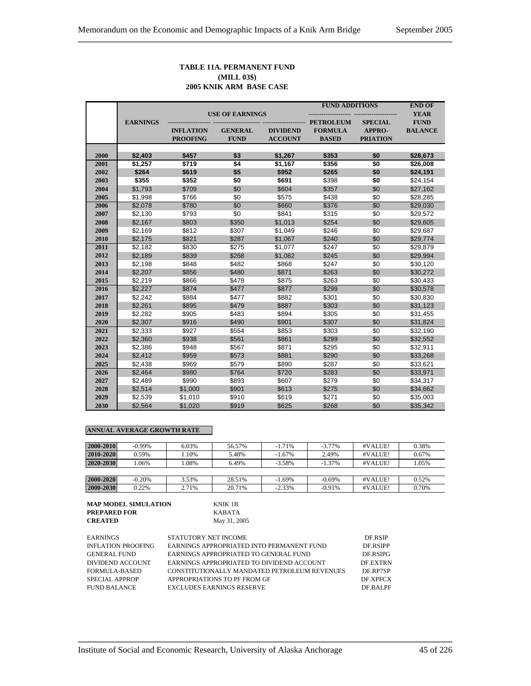## **TABLE 11A. PERMANENT FUND (MILL 03\$) 2005 KNIK ARM BASE CASE**

|      |                 |                  |                        |                 | <b>FUND ADDITIONS</b> |                 | <b>END OF</b>  |
|------|-----------------|------------------|------------------------|-----------------|-----------------------|-----------------|----------------|
|      |                 |                  | <b>USE OF EARNINGS</b> |                 |                       |                 | <b>YEAR</b>    |
|      | <b>EARNINGS</b> |                  |                        |                 | <b>PETROLEUM</b>      | <b>SPECIAL</b>  | <b>FUND</b>    |
|      |                 | <b>INFLATION</b> | <b>GENERAL</b>         | <b>DIVIDEND</b> | <b>FORMULA</b>        | APPRO-          | <b>BALANCE</b> |
|      |                 | <b>PROOFING</b>  | <b>FUND</b>            | <b>ACCOUNT</b>  | <b>BASED</b>          | <b>PRIATION</b> |                |
|      |                 |                  |                        |                 |                       |                 |                |
| 2000 | \$2,403         | \$457            | \$3                    | \$1,267         | \$353                 | \$0             | \$28,673       |
| 2001 | \$1,257         | \$719            | \$4                    | \$1,167         | \$356                 | \$0             | \$26,008       |
| 2002 | \$264           | \$619            | \$5                    | \$952           | \$265                 | \$0             | \$24,191       |
| 2003 | \$355           | \$352            | \$0                    | \$691           | \$398                 | \$0             | \$24,154       |
| 2004 | \$1,793         | \$709            | \$0                    | \$604           | \$357                 | \$0             | \$27,162       |
| 2005 | \$1,998         | \$766            | \$0                    | \$575           | \$438                 | \$0             | \$28,285       |
| 2006 | \$2,078         | \$780            | \$0                    | \$660           | \$376                 | \$0             | \$29,030       |
| 2007 | \$2,130         | \$793            | \$0                    | \$841           | \$315                 | \$0             | \$29,572       |
| 2008 | \$2,167         | \$803            | \$350                  | \$1,013         | \$254                 | \$0             | \$29,605       |
| 2009 | \$2,169         | \$812            | \$307                  | \$1,049         | \$246                 | \$0             | \$29,687       |
| 2010 | \$2,175         | \$821            | \$287                  | \$1,067         | \$240                 | \$0             | \$29,774       |
| 2011 | \$2,182         | \$830            | \$275                  | \$1,077         | \$247                 | \$0             | \$29,879       |
| 2012 | \$2,189         | \$839            | \$268                  | \$1,082         | \$245                 | \$0             | \$29,994       |
| 2013 | \$2,198         | \$848            | \$482                  | \$868           | \$247                 | \$0             | \$30,120       |
| 2014 | \$2,207         | \$856            | \$480                  | \$871           | \$263                 | \$0             | \$30,272       |
| 2015 | \$2,219         | \$866            | \$478                  | \$875           | \$263                 | \$0             | \$30,433       |
| 2016 | \$2,227         | \$874            | \$477                  | \$877           | \$299                 | \$0             | \$30,578       |
| 2017 | \$2,242         | \$884            | \$477                  | \$882           | \$301                 | \$0             | \$30,830       |
| 2018 | \$2,261         | \$895            | \$479                  | \$887           | \$303                 | \$0             | \$31,123       |
| 2019 | \$2,282         | \$905            | \$483                  | \$894           | \$305                 | \$0             | \$31,455       |
| 2020 | \$2,307         | \$916            | \$490                  | \$901           | \$307                 | \$0             | \$31,824       |
| 2021 | \$2,333         | \$927            | \$554                  | \$853           | \$303                 | \$0             | \$32,190       |
| 2022 | \$2,360         | \$938            | \$561                  | \$861           | \$299                 | \$0             | \$32,552       |
| 2023 | \$2,386         | \$948            | \$567                  | \$871           | \$295                 | \$0             | \$32,911       |
| 2024 | \$2,412         | \$959            | \$573                  | \$881           | \$290                 | \$0             | \$33,268       |
| 2025 | \$2,438         | \$969            | \$579                  | \$890           | \$287                 | \$0             | \$33,621       |
| 2026 | \$2,464         | \$980            | \$764                  | \$720           | \$283                 | \$0             | \$33,971       |
| 2027 | \$2,489         | \$990            | \$893                  | \$607           | \$279                 | \$0             | \$34,317       |
| 2028 | \$2,514         | \$1,000          | \$901                  | \$613           | \$275                 | \$0             | \$34,662       |
| 2029 | \$2,539         | \$1,010          | \$910                  | \$619           | \$271                 | \$0             | \$35,003       |
| 2030 | \$2,564         | \$1,020          | \$919                  | \$625           | \$268                 | \$0             | \$35,342       |

| 2000-2010 | $-0.99\%$ | 6.03% | 56.57% | $-1.71%$  | $-3.77\%$ | #VALUE! | 0.38% |
|-----------|-----------|-------|--------|-----------|-----------|---------|-------|
| 2010-2020 | 0.59%     | .10%  | 5.48%  | $-1.67\%$ | 2.49%     | #VALUE! | 0.67% |
| 2020-2030 | .06%      | .08%  | 6.49%  | $-3.58\%$ | $-1.37%$  | #VALUE! | 1.05% |
|           |           |       |        |           |           |         |       |
| 2000-2020 | $-0.20%$  | 3.53% | 28.51% | $-1.69%$  | $-0.69\%$ | #VALUE! | 0.52% |
| 2000-2030 | 0.22%     | 2.71% | 20.71% | $-2.33\%$ | $-0.91%$  | #VALUE! | 0.70% |

| <b>MAP MODEL SIMULATION</b> | KNIK 1B      |
|-----------------------------|--------------|
| <b>PREPARED FOR</b>         | KABATA       |
| <b>CREATED</b>              | May 31, 2005 |

| EARNINGS                  | STATUTORY NET INCOME                         | DE RSIP         |
|---------------------------|----------------------------------------------|-----------------|
| <b>INFLATION PROOFING</b> | EARNINGS APPROPRIATED INTO PERMANENT FUND    | DF RSIPP        |
| <b>GENERAL FUND</b>       | EARNINGS APPROPRIATED TO GENERAL FUND        | DE.RSIPG        |
| DIVIDEND ACCOUNT          | EARNINGS APPROPRIATED TO DIVIDEND ACCOUNT    | <b>DE EXTRN</b> |
| FORMULA-BASED             | CONSTITUTIONALLY MANDATED PETROLEUM REVENUES | DF RP7SP        |
| SPECIAL APPROP            | APPROPRIATIONS TO PF FROM GF                 | <b>DE XPECX</b> |
| <b>FUND BALANCE</b>       | <b>EXCLUDES EARNINGS RESERVE</b>             | DF BALPF        |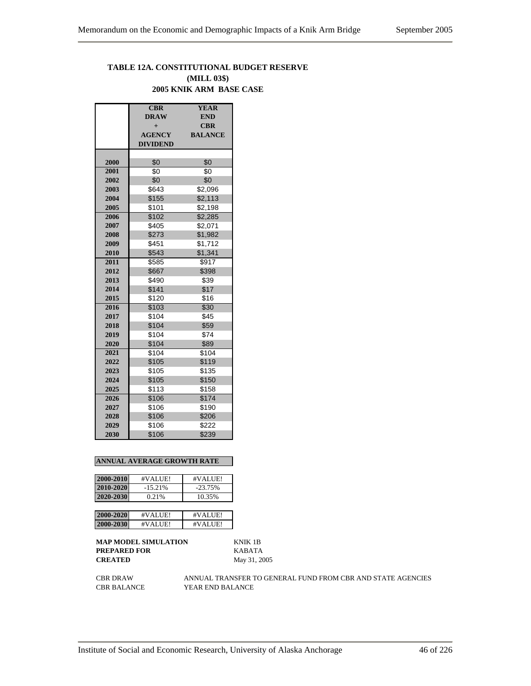## **TABLE 12A. CONSTITUTIONAL BUDGET RESERVE (MILL 03\$) 2005 KNIK ARM BASE CASE**

|      | CBR             | <b>YEAR</b>    |
|------|-----------------|----------------|
|      | <b>DRAW</b>     | <b>END</b>     |
|      | $+$             | <b>CBR</b>     |
|      | <b>AGENCY</b>   | <b>BALANCE</b> |
|      | <b>DIVIDEND</b> |                |
|      |                 |                |
| 2000 | \$0             | \$0            |
| 2001 | \$0             | \$0            |
| 2002 | \$0             | \$0            |
| 2003 | \$643           | \$2,096        |
| 2004 | \$155           | \$2,113        |
| 2005 | \$101           | \$2,198        |
| 2006 | \$102           | \$2,285        |
| 2007 | \$405           | \$2,071        |
| 2008 | \$273           | \$1,982        |
| 2009 | \$451           | \$1,712        |
| 2010 | \$543           | \$1,341        |
| 2011 | \$585           | \$917          |
| 2012 | \$667           | \$398          |
| 2013 | \$490           | \$39           |
| 2014 | \$141           | \$17           |
| 2015 | \$120           | \$16           |
| 2016 | \$103           | \$30           |
| 2017 | \$104           | \$45           |
| 2018 | \$104           | \$59           |
| 2019 | \$104           | \$74           |
| 2020 | \$104           | \$89           |
| 2021 | \$104           | \$104          |
| 2022 | \$105           | \$119          |
| 2023 | \$105           | \$135          |
| 2024 | \$105           | \$150          |
| 2025 | \$113           | \$158          |
| 2026 | \$106           | \$174          |
| 2027 | \$106           | \$190          |
| 2028 | \$106           | \$206          |
| 2029 | \$106           | \$222          |
| 2030 | \$106           | \$239          |

#### **ANNUAL AVERAGE GROWTH RATE**

| 2000-2010 | #VALUE!   | #VALUE!   |
|-----------|-----------|-----------|
| 2010-2020 | $-15.21%$ | $-23.75%$ |
| 2020-2030 | 0.21%     | 10.35%    |
|           |           |           |
| 2000-2020 | #VALUE!   | #VALUE!   |
| 2000-2030 | #VALUE!   | #VALUE!   |

**MAP MODEL SIMULATION** KNIK 1B **PREPARED FOR** KABATA **CREATED** May 31, 2005

CBR DRAW ANNUAL TRANSFER TO GENERAL FUND FROM CBR AND STATE AGENCIES CBR BALANCE YEAR END BALANCE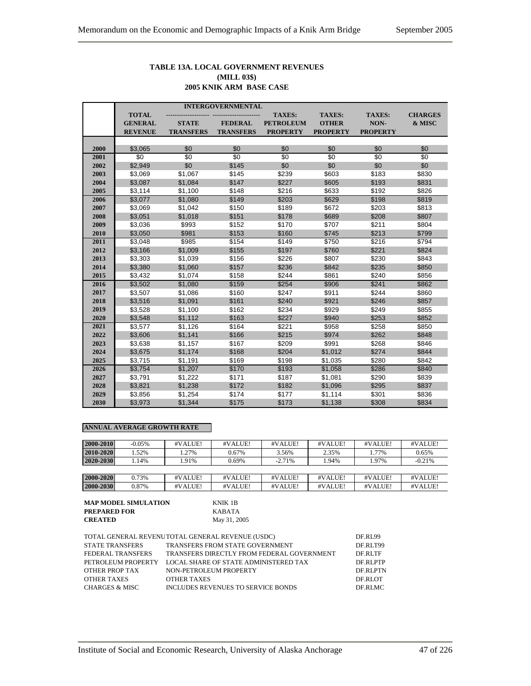## **TABLE 13A. LOCAL GOVERNMENT REVENUES (MILL 03\$) 2005 KNIK ARM BASE CASE**

|      | <b>INTERGOVERNMENTAL</b> |                  |                  |                  |                 |                 |                |  |
|------|--------------------------|------------------|------------------|------------------|-----------------|-----------------|----------------|--|
|      | <b>TOTAL</b>             |                  |                  | <b>TAXES:</b>    | <b>TAXES:</b>   | <b>TAXES:</b>   | <b>CHARGES</b> |  |
|      | <b>GENERAL</b>           | <b>STATE</b>     | <b>FEDERAL</b>   | <b>PETROLEUM</b> | <b>OTHER</b>    | NON-            | & MISC         |  |
|      | <b>REVENUE</b>           | <b>TRANSFERS</b> | <b>TRANSFERS</b> | <b>PROPERTY</b>  | <b>PROPERTY</b> | <b>PROPERTY</b> |                |  |
|      |                          |                  |                  |                  |                 |                 |                |  |
| 2000 | \$3,065                  | \$0              | \$0              | \$0              | \$0             | \$0             | \$0            |  |
| 2001 | \$0                      | $\overline{30}$  | $\overline{50}$  | \$0              | $\overline{50}$ | \$0             | \$0            |  |
| 2002 | \$2,949                  | \$0              | \$145            | \$0              | \$0             | \$0             | \$0            |  |
| 2003 | \$3,069                  | \$1,067          | \$145            | \$239            | \$603           | \$183           | \$830          |  |
| 2004 | \$3,087                  | \$1,084          | \$147            | \$227            | \$605           | \$193           | \$831          |  |
| 2005 | \$3,114                  | \$1,100          | \$148            | \$216            | \$633           | \$192           | \$826          |  |
| 2006 | \$3,077                  | \$1,080          | \$149            | \$203            | \$629           | \$198           | \$819          |  |
| 2007 | \$3,069                  | \$1,042          | \$150            | \$189            | \$672           | \$203           | \$813          |  |
| 2008 | \$3,051                  | \$1,018          | \$151            | \$178            | \$689           | \$208           | \$807          |  |
| 2009 | \$3,036                  | \$993            | \$152            | \$170            | \$707           | \$211           | \$804          |  |
| 2010 | \$3,050                  | \$981            | \$153            | \$160            | \$745           | \$213           | \$799          |  |
| 2011 | \$3.048                  | \$985            | \$154            | \$149            | \$750           | \$216           | \$794          |  |
| 2012 | \$3,166                  | \$1,009          | \$155            | \$197            | \$760           | \$221           | \$824          |  |
| 2013 | \$3,303                  | \$1,039          | \$156            | \$226            | \$807           | \$230           | \$843          |  |
| 2014 | \$3,380                  | \$1,060          | \$157            | \$236            | \$842           | \$235           | \$850          |  |
| 2015 | \$3,432                  | \$1,074          | \$158            | \$244            | \$861           | \$240           | \$856          |  |
| 2016 | \$3,502                  | \$1,080          | \$159            | \$254            | \$906           | \$241           | \$862          |  |
| 2017 | \$3,507                  | \$1,086          | \$160            | \$247            | \$911           | \$244           | \$860          |  |
| 2018 | \$3,516                  | \$1,091          | \$161            | \$240            | \$921           | \$246           | \$857          |  |
| 2019 | \$3,528                  | \$1,100          | \$162            | \$234            | \$929           | \$249           | \$855          |  |
| 2020 | \$3,548                  | \$1,112          | \$163            | \$227            | \$940           | \$253           | \$852          |  |
| 2021 | \$3,577                  | \$1,126          | \$164            | \$221            | \$958           | \$258           | \$850          |  |
| 2022 | \$3,606                  | \$1,141          | \$166            | \$215            | \$974           | \$262           | \$848          |  |
| 2023 | \$3,638                  | \$1,157          | \$167            | \$209            | \$991           | \$268           | \$846          |  |
| 2024 | \$3,675                  | \$1,174          | \$168            | \$204            | \$1,012         | \$274           | \$844          |  |
| 2025 | \$3,715                  | \$1,191          | \$169            | \$198            | \$1,035         | \$280           | \$842          |  |
| 2026 | \$3,754                  | \$1,207          | \$170            | \$193            | \$1,058         | \$286           | \$840          |  |
| 2027 | \$3,791                  | \$1,222          | \$171            | \$187            | \$1,081         | \$290           | \$839          |  |
| 2028 | \$3,821                  | \$1,238          | \$172            | \$182            | \$1,096         | \$295           | \$837          |  |
| 2029 | \$3,856                  | \$1,254          | \$174            | \$177            | \$1,114         | \$301           | \$836          |  |
| 2030 | \$3,973                  | \$1,344          | \$175            | \$173            | \$1,138         | \$308           | \$834          |  |

| 2000-2010 | $-0.05\%$ | #VALUE! | #VALUE! | #VALUE!  | #VALUE! | #VALUE! | #VALUE!  |
|-----------|-----------|---------|---------|----------|---------|---------|----------|
| 2010-2020 | .52%      | .27%    | 0.67%   | 3.56%    | 2.35%   | 1.77%   | 0.65%    |
| 2020-2030 | .14%      | .91%    | 0.69%   | $-2.71%$ | 1.94%   | 1.97%   | $-0.21%$ |
|           |           |         |         |          |         |         |          |
| 2000-2020 | 0.73%     | #VALUE! | #VALUE! | #VALUE!  | #VALUE! | #VALUE! | #VALUE!  |
| 2000-2030 | 0.87%     | #VALUE! | #VALUE! | #VALUE!  | #VALUE! | #VALUE! | #VALUE!  |

| <b>MAP MODEL SIMULATION</b> | KNIK 1B      |
|-----------------------------|--------------|
| <b>PREPARED FOR</b>         | KABATA       |
| <b>CREATED</b>              | May 31, 2005 |

|                           | TOTAL GENERAL REVENUTOTAL GENERAL REVENUE (USDC) | DF.RL99        |
|---------------------------|--------------------------------------------------|----------------|
| <b>STATE TRANSFERS</b>    | TRANSFERS FROM STATE GOVERNMENT                  | DF.RLT99       |
| FEDERAL TRANSFERS         | TRANSFERS DIRECTLY FROM FEDERAL GOVERNMENT       | DF RLTF        |
| PETROLEUM PROPERTY        | LOCAL SHARE OF STATE ADMINISTERED TAX            | DE RLPTP       |
| OTHER PROP TAX            | NON-PETROLEUM PROPERTY                           | <b>DERLPTN</b> |
| <b>OTHER TAXES</b>        | <b>OTHER TAXES</b>                               | DE RLOT        |
| <b>CHARGES &amp; MISC</b> | INCLUDES REVENUES TO SERVICE BONDS               | DF.RLMC        |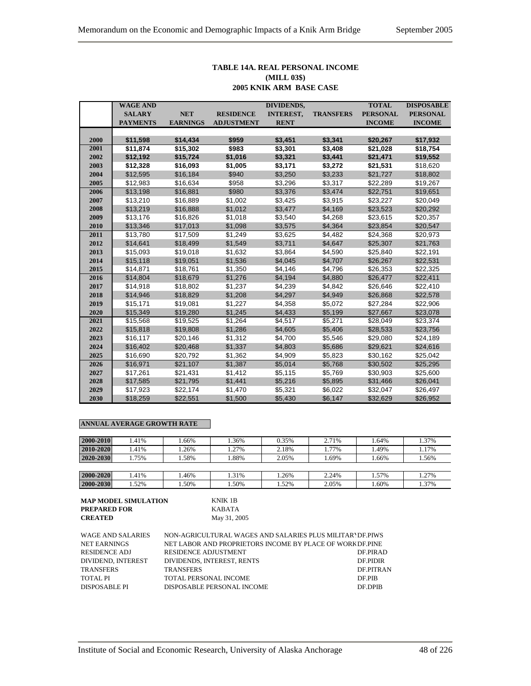## **TABLE 14A. REAL PERSONAL INCOME (MILL 03\$) 2005 KNIK ARM BASE CASE**

|      | <b>WAGE AND</b> |                 |                   | <b>DIVIDENDS,</b> |                  | <b>TOTAL</b>    | <b>DISPOSABLE</b> |
|------|-----------------|-----------------|-------------------|-------------------|------------------|-----------------|-------------------|
|      | <b>SALARY</b>   | <b>NET</b>      | <b>RESIDENCE</b>  | <b>INTEREST,</b>  | <b>TRANSFERS</b> | <b>PERSONAL</b> | <b>PERSONAL</b>   |
|      | <b>PAYMENTS</b> | <b>EARNINGS</b> | <b>ADJUSTMENT</b> | <b>RENT</b>       |                  | <b>INCOME</b>   | <b>INCOME</b>     |
|      |                 |                 |                   |                   |                  |                 |                   |
| 2000 | \$11,598        | \$14,434        | \$959             | \$3,451           | \$3,341          | \$20,267        | \$17,932          |
| 2001 | \$11,874        | \$15,302        | \$983             | \$3,301           | \$3,408          | \$21,028        | \$18,754          |
| 2002 | \$12,192        | \$15,724        | \$1,016           | \$3,321           | \$3,441          | \$21,471        | \$19,552          |
| 2003 | \$12,328        | \$16,093        | \$1,005           | \$3,171           | \$3,272          | \$21,531        | \$18,620          |
| 2004 | \$12,595        | \$16,184        | \$940             | \$3,250           | \$3,233          | \$21,727        | \$18,802          |
| 2005 | \$12,983        | \$16,634        | \$958             | \$3,296           | \$3,317          | \$22.289        | \$19,267          |
| 2006 | \$13,198        | \$16,881        | \$980             | \$3,376           | \$3,474          | \$22,751        | \$19,651          |
| 2007 | \$13,210        | \$16,889        | \$1,002           | \$3,425           | \$3,915          | \$23,227        | \$20,049          |
| 2008 | \$13,219        | \$16,888        | \$1,012           | \$3,477           | \$4,169          | \$23,523        | \$20,292          |
| 2009 | \$13,176        | \$16,826        | \$1,018           | \$3,540           | \$4,268          | \$23,615        | \$20,357          |
| 2010 | \$13,346        | \$17,013        | \$1,098           | \$3,575           | \$4,364          | \$23,854        | \$20,547          |
| 2011 | \$13,780        | \$17,509        | \$1,249           | \$3,625           | \$4,482          | \$24,368        | \$20,973          |
| 2012 | \$14,641        | \$18,499        | \$1,549           | \$3,711           | \$4,647          | \$25,307        | \$21,763          |
| 2013 | \$15,093        | \$19,018        | \$1,632           | \$3,864           | \$4,590          | \$25,840        | \$22,191          |
| 2014 | \$15,118        | \$19,051        | \$1,536           | \$4,045           | \$4,707          | \$26,267        | \$22,531          |
| 2015 | \$14,871        | \$18,761        | \$1,350           | \$4,146           | \$4,796          | \$26,353        | \$22,325          |
| 2016 | \$14,804        | \$18,679        | \$1,276           | \$4,194           | \$4,880          | \$26,477        | \$22,411          |
| 2017 | \$14,918        | \$18,802        | \$1,237           | \$4,239           | \$4,842          | \$26,646        | \$22,410          |
| 2018 | \$14,946        | \$18,829        | \$1,208           | \$4,297           | \$4,949          | \$26,868        | \$22,578          |
| 2019 | \$15,171        | \$19,081        | \$1,227           | \$4,358           | \$5,072          | \$27,284        | \$22,906          |
| 2020 | \$15,349        | \$19,280        | \$1,245           | \$4,433           | \$5,199          | \$27,667        | \$23,078          |
| 2021 | \$15,568        | \$19,525        | \$1,264           | \$4,517           | \$5,271          | \$28,049        | \$23,374          |
| 2022 | \$15,818        | \$19,808        | \$1,286           | \$4,605           | \$5,406          | \$28,533        | \$23,756          |
| 2023 | \$16,117        | \$20,146        | \$1,312           | \$4,700           | \$5,546          | \$29,080        | \$24,189          |
| 2024 | \$16,402        | \$20,468        | \$1,337           | \$4,803           | \$5,686          | \$29,621        | \$24,616          |
| 2025 | \$16,690        | \$20,792        | \$1,362           | \$4,909           | \$5,823          | \$30,162        | \$25,042          |
| 2026 | \$16,971        | \$21,107        | \$1,387           | \$5,014           | \$5,768          | \$30,502        | \$25,295          |
| 2027 | \$17,261        | \$21,431        | \$1,412           | \$5,115           | \$5,769          | \$30,903        | \$25,600          |
| 2028 | \$17,585        | \$21,795        | \$1,441           | \$5,216           | \$5,895          | \$31,466        | \$26,041          |
| 2029 | \$17,923        | \$22,174        | \$1,470           | \$5,321           | \$6,022          | \$32,047        | \$26,497          |
| 2030 | \$18,259        | \$22,551        | \$1,500           | \$5,430           | \$6,147          | \$32,629        | \$26,952          |

| 2000-2010 | .41% | .66% | .36% | 0.35% | 2.71% | 1.64% | .37%  |
|-----------|------|------|------|-------|-------|-------|-------|
| 2010-2020 | .41% | .26% | .27% | 2.18% | 1.77% | 1.49% | 1.17% |
| 2020-2030 | .75% | .58% | .88% | 2.05% | 1.69% | .66%  | .56%  |
|           |      |      |      |       |       |       |       |
| 2000-2020 | .41% | .46% | .31% | .26%  | 2.24% | 1.57% | 1.27% |
| 2000-2030 | .52% | .50% | .50% | .52%  | 2.05% | .60%  | .37%  |

| <b>MAP MODEL SIMULATION</b> | KNIK 1B      |
|-----------------------------|--------------|
| <b>PREPARED FOR</b>         | KARATA       |
| <b>CREATED</b>              | May 31, 2005 |

| WAGE AND SALARIES    | NON-AGRICULTURAL WAGES AND SALARIES PLUS MILITAR DE PIWS  |                  |
|----------------------|-----------------------------------------------------------|------------------|
| <b>NET EARNINGS</b>  | NET LABOR AND PROPRIETORS INCOME BY PLACE OF WORK DF.PINE |                  |
| RESIDENCE ADJ        | <b>RESIDENCE ADJUSTMENT</b>                               | DE PIRAD         |
| DIVIDEND, INTEREST   | DIVIDENDS, INTEREST, RENTS                                | <b>DE PIDIR</b>  |
| <b>TRANSFERS</b>     | <b>TRANSFERS</b>                                          | <b>DE PITRAN</b> |
| TOTAL PI             | TOTAL PERSONAL INCOME                                     | DF PIB           |
| <b>DISPOSABLE PI</b> | DISPOSABLE PERSONAL INCOME                                | DF DPIB          |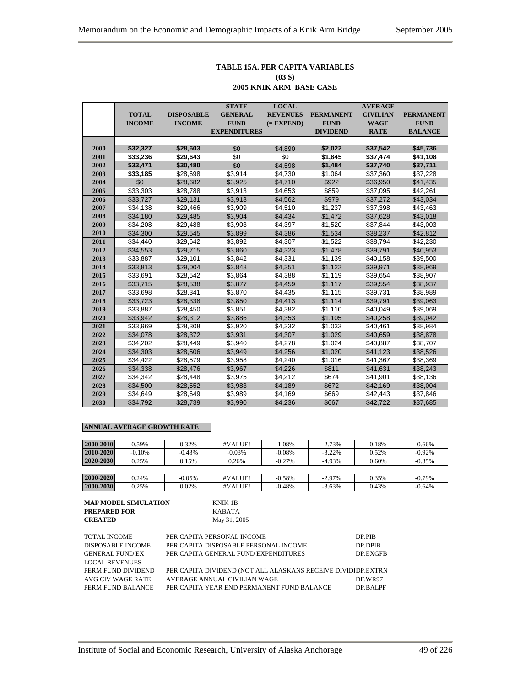# **TABLE 15A. PER CAPITA VARIABLES (03 \$)**

|      |               |                   | <b>STATE</b>        | <b>LOCAL</b>    |                  | <b>AVERAGE</b>  |                  |
|------|---------------|-------------------|---------------------|-----------------|------------------|-----------------|------------------|
|      | <b>TOTAL</b>  | <b>DISPOSABLE</b> | <b>GENERAL</b>      | <b>REVENUES</b> | <b>PERMANENT</b> | <b>CIVILIAN</b> | <b>PERMANENT</b> |
|      | <b>INCOME</b> | <b>INCOME</b>     | <b>FUND</b>         | $(=$ EXPEND)    | <b>FUND</b>      | <b>WAGE</b>     | <b>FUND</b>      |
|      |               |                   | <b>EXPENDITURES</b> |                 | <b>DIVIDEND</b>  | <b>RATE</b>     | <b>BALANCE</b>   |
|      |               |                   |                     |                 |                  |                 |                  |
| 2000 | \$32,327      | \$28,603          | \$0                 | \$4,890         | \$2,022          | \$37,542        | \$45,736         |
| 2001 | \$33,236      | \$29,643          | \$0                 | \$0             | \$1,845          | \$37,474        | \$41,108         |
| 2002 | \$33,471      | \$30,480          | \$0                 | \$4,598         | \$1,484          | \$37,740        | \$37,711         |
| 2003 | \$33,185      | \$28,698          | \$3,914             | \$4,730         | \$1,064          | \$37,360        | \$37,228         |
| 2004 | \$0           | \$28,682          | \$3,925             | \$4,710         | \$922            | \$36,950        | \$41,435         |
| 2005 | \$33,303      | \$28,788          | \$3,913             | \$4,653         | \$859            | \$37,095        | \$42,261         |
| 2006 | \$33,727      | \$29,131          | \$3,913             | \$4,562         | \$979            | \$37,272        | \$43,034         |
| 2007 | \$34,138      | \$29,466          | \$3,909             | \$4,510         | \$1,237          | \$37,398        | \$43,463         |
| 2008 | \$34,180      | \$29,485          | \$3,904             | \$4,434         | \$1,472          | \$37,628        | \$43,018         |
| 2009 | \$34,208      | \$29,488          | \$3,903             | \$4,397         | \$1,520          | \$37,844        | \$43,003         |
| 2010 | \$34,300      | \$29,545          | \$3,899             | \$4,386         | \$1,534          | \$38,237        | \$42,812         |
| 2011 | \$34,440      | \$29,642          | \$3,892             | \$4,307         | \$1,522          | \$38,794        | \$42,230         |
| 2012 | \$34,553      | \$29,715          | \$3,860             | \$4,323         | \$1,478          | \$39,791        | \$40,953         |
| 2013 | \$33,887      | \$29,101          | \$3,842             | \$4,331         | \$1,139          | \$40,158        | \$39,500         |
| 2014 | \$33,813      | \$29,004          | \$3,848             | \$4,351         | \$1,122          | \$39,971        | \$38,969         |
| 2015 | \$33,691      | \$28,542          | \$3.864             | \$4.388         | \$1,119          | \$39,654        | \$38,907         |
| 2016 | \$33,715      | \$28,538          | \$3,877             | \$4,459         | \$1,117          | \$39,554        | \$38,937         |
| 2017 | \$33,698      | \$28,341          | \$3,870             | \$4,435         | \$1,115          | \$39,731        | \$38,989         |
| 2018 | \$33,723      | \$28,338          | \$3,850             | \$4,413         | \$1,114          | \$39,791        | \$39,063         |
| 2019 | \$33,887      | \$28,450          | \$3,851             | \$4,382         | \$1,110          | \$40,049        | \$39,069         |
| 2020 | \$33,942      | \$28,312          | \$3,886             | \$4,353         | \$1,105          | \$40,258        | \$39,042         |
| 2021 | \$33,969      | \$28,308          | \$3,920             | \$4,332         | \$1,033          | \$40,461        | \$38,984         |
| 2022 | \$34,078      | \$28,372          | \$3,931             | \$4,307         | \$1,029          | \$40,659        | \$38,878         |
| 2023 | \$34,202      | \$28,449          | \$3,940             | \$4,278         | \$1,024          | \$40,887        | \$38,707         |
| 2024 | \$34,303      | \$28,506          | \$3,949             | \$4,256         | \$1,020          | \$41,123        | \$38,526         |
| 2025 | \$34.422      | \$28,579          | \$3,958             | \$4,240         | \$1,016          | \$41,367        | \$38,369         |
| 2026 | \$34,338      | \$28,476          | \$3,967             | \$4,226         | \$811            | \$41,631        | \$38,243         |
| 2027 | \$34,342      | \$28,448          | \$3,975             | \$4,212         | \$674            | \$41,901        | \$38,136         |
| 2028 | \$34,500      | \$28,552          | \$3,983             | \$4,189         | \$672            | \$42,169        | \$38,004         |
| 2029 | \$34,649      | \$28,649          | \$3,989             | \$4,169         | \$669            | \$42,443        | \$37,846         |
| 2030 | \$34,792      | \$28,739          | \$3,990             | \$4,236         | \$667            | \$42,722        | \$37,685         |

| 2000-2010 | 0.59%    | 0.32%     | #VALUE!  | $-1.08%$ | $-2.73%$  | 0.18% | $-0.66\%$ |
|-----------|----------|-----------|----------|----------|-----------|-------|-----------|
| 2010-2020 | $-0.10%$ | $-0.43%$  | $-0.03%$ | $-0.08%$ | $-3.22\%$ | 0.52% | $-0.92%$  |
| 2020-2030 | 0.25%    | 0.15%     | 0.26%    | $-0.27%$ | $-4.93\%$ | 0.60% | $-0.35%$  |
|           |          |           |          |          |           |       |           |
| 2000-2020 | 0.24%    | $-0.05\%$ | #VALUE!  | $-0.58%$ | $-2.97\%$ | 0.35% | $-0.79%$  |
| 2000-2030 | 0.25%    | 0.02%     | #VALUE!  | $-0.48%$ | $-3.63%$  | 0.43% | $-0.64%$  |

| <b>MAP MODEL SIMULATION</b> | KNIK 1B      |
|-----------------------------|--------------|
| <b>PREPARED FOR</b>         | KABATA       |
| <b>CREATED</b>              | May 31, 2005 |

| TOTAL INCOME             | PER CAPITA PERSONAL INCOME                                   | DP.PIB   |
|--------------------------|--------------------------------------------------------------|----------|
| <b>DISPOSABLE INCOME</b> | PER CAPITA DISPOSABLE PERSONAL INCOME                        | DP.DPIB  |
| <b>GENERAL FUND EX</b>   | PER CAPITA GENERAL FUND EXPENDITURES                         | DP.EXGFB |
| <b>LOCAL REVENUES</b>    |                                                              |          |
| PERM FUND DIVIDEND       | PER CAPITA DIVIDEND (NOT ALL ALASKANS RECEIVE DIVIDIDP.EXTRN |          |
| AVG CIV WAGE RATE        | AVERAGE ANNUAL CIVILIAN WAGE                                 | DF WR97  |
| PERM FUND BALANCE        | PER CAPITA YEAR END PERMANENT FUND BALANCE                   | DP RALPF |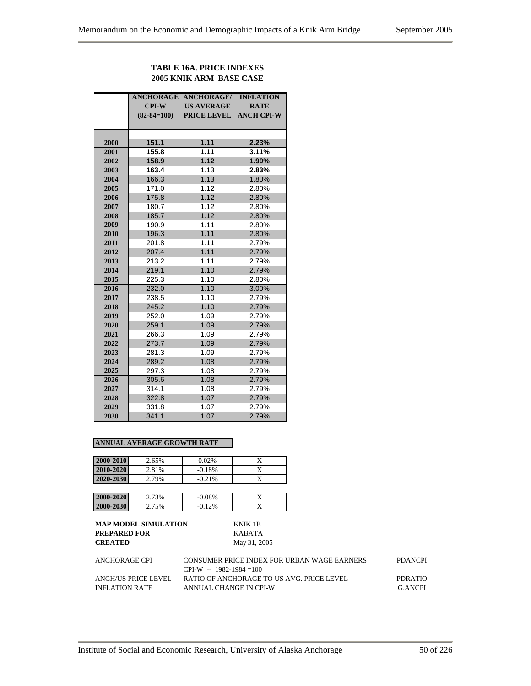## **TABLE 16A. PRICE INDEXES 2005 KNIK ARM BASE CASE**

|      |                   | <b>ANCHORAGE ANCHORAGE/</b> | <b>INFLATION</b>  |
|------|-------------------|-----------------------------|-------------------|
|      | $CPI-W$           | <b>US AVERAGE</b>           | <b>RATE</b>       |
|      | $(82 - 84 = 100)$ | <b>PRICE LEVEL</b>          | <b>ANCH CPI-W</b> |
|      |                   |                             |                   |
|      |                   |                             |                   |
| 2000 | 151.1             | 1.11                        | 2.23%             |
| 2001 | 155.8             | 1.11                        | 3.11%             |
| 2002 | 158.9             | 1.12                        | 1.99%             |
| 2003 | 163.4             | 1.13                        | 2.83%             |
| 2004 | 166.3             | 1.13                        | 1.80%             |
| 2005 | 171.0             | 1.12                        | 2.80%             |
| 2006 | 175.8             | 1.12                        | 2.80%             |
| 2007 | 180.7             | 1.12                        | 2.80%             |
| 2008 | 185.7             | 1.12                        | 2.80%             |
| 2009 | 190.9             | 1.11                        | 2.80%             |
| 2010 | 196.3             | 1.11                        | 2.80%             |
| 2011 | 201.8             | 1.11                        | 2.79%             |
| 2012 | 207.4             | 1.11                        | 2.79%             |
| 2013 | 213.2             | 1.11                        | 2.79%             |
| 2014 | 219.1             | 1.10                        | 2.79%             |
| 2015 | 225.3             | 1.10                        | 2.80%             |
| 2016 | 232.0             | 1.10                        | 3.00%             |
| 2017 | 238.5             | 1.10                        | 2.79%             |
| 2018 | 245.2             | 1.10                        | 2.79%             |
| 2019 | 252.0             | 1.09                        | 2.79%             |
| 2020 | 259.1             | 1.09                        | 2.79%             |
| 2021 | 266.3             | 1.09                        | 2.79%             |
| 2022 | 273.7             | 1.09                        | 2.79%             |
| 2023 | 281.3             | 1.09                        | 2.79%             |
| 2024 | 289.2             | 1.08                        | 2.79%             |
| 2025 | 297.3             | 1.08                        | 2.79%             |
| 2026 | 305.6             | 1.08                        | 2.79%             |
| 2027 | 314.1             | 1.08                        | 2.79%             |
| 2028 | 322.8             | 1.07                        | 2.79%             |
| 2029 | 331.8             | 1.07                        | 2.79%             |
| 2030 | 341.1             | 1.07                        | 2.79%             |

#### **ANNUAL AVERAGE GROWTH RATE**

| 2000-2010 | 2.65% | 0.02%    | X |
|-----------|-------|----------|---|
| 2010-2020 | 2.81% | $-0.18%$ | x |
| 2020-2030 | 2.79% | $-0.21%$ |   |
|           |       |          |   |
| 2000-2020 | 2.73% | $-0.08%$ | X |
| 2000-2030 | 2.75% | $-0.12%$ |   |
|           |       |          |   |

| ANCHORAGE CPI       | CONSUMER PRICE INDEX FOR URBAN WAGE EARNERS | <b>PDANCPI</b> |
|---------------------|---------------------------------------------|----------------|
|                     | $CPI-W - 1982-1984=100$                     |                |
| ANCH/US PRICE LEVEL | RATIO OF ANCHORAGE TO US AVG. PRICE LEVEL   | PDR ATIO       |
| INFLATION RATE      | ANNUAL CHANGE IN CPI-W                      | G ANCPI        |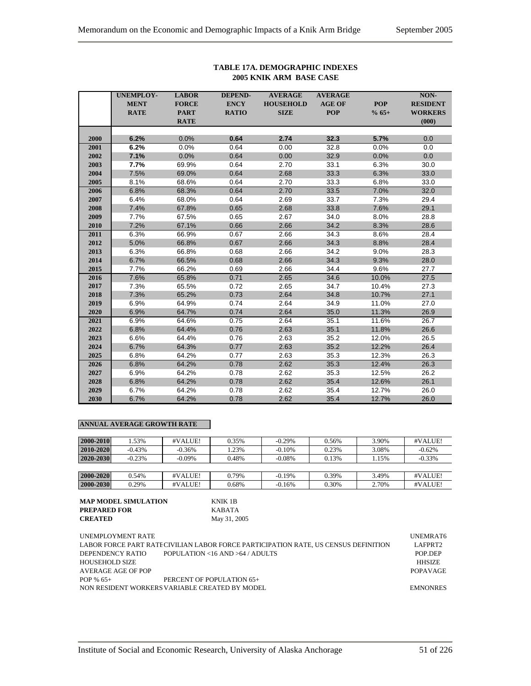|      | <b>UNEMPLOY-</b> | <b>LABOR</b> | <b>DEPEND-</b> | <b>AVERAGE</b>   | <b>AVERAGE</b> |            | NON-            |
|------|------------------|--------------|----------------|------------------|----------------|------------|-----------------|
|      | <b>MENT</b>      | <b>FORCE</b> | <b>ENCY</b>    | <b>HOUSEHOLD</b> | <b>AGE OF</b>  | <b>POP</b> | <b>RESIDENT</b> |
|      | <b>RATE</b>      | <b>PART</b>  | <b>RATIO</b>   | <b>SIZE</b>      | <b>POP</b>     | $% 65+$    | <b>WORKERS</b>  |
|      |                  | <b>RATE</b>  |                |                  |                |            | (000)           |
|      |                  |              |                |                  |                |            |                 |
| 2000 | 6.2%             | 0.0%         | 0.64           | 2.74             | 32.3           | 5.7%       | 0.0             |
| 2001 | 6.2%             | 0.0%         | 0.64           | 0.00             | 32.8           | 0.0%       | 0.0             |
| 2002 | 7.1%             | 0.0%         | 0.64           | 0.00             | 32.9           | 0.0%       | 0.0             |
| 2003 | 7.7%             | 69.9%        | 0.64           | 2.70             | 33.1           | 6.3%       | 30.0            |
| 2004 | 7.5%             | 69.0%        | 0.64           | 2.68             | 33.3           | 6.3%       | 33.0            |
| 2005 | 8.1%             | 68.6%        | 0.64           | 2.70             | 33.3           | 6.8%       | 33.0            |
| 2006 | 6.8%             | 68.3%        | 0.64           | 2.70             | 33.5           | 7.0%       | 32.0            |
| 2007 | 6.4%             | 68.0%        | 0.64           | 2.69             | 33.7           | 7.3%       | 29.4            |
| 2008 | 7.4%             | 67.8%        | 0.65           | 2.68             | 33.8           | 7.6%       | 29.1            |
| 2009 | 7.7%             | 67.5%        | 0.65           | 2.67             | 34.0           | 8.0%       | 28.8            |
| 2010 | 7.2%             | 67.1%        | 0.66           | 2.66             | 34.2           | 8.3%       | 28.6            |
| 2011 | 6.3%             | 66.9%        | 0.67           | 2.66             | 34.3           | 8.6%       | 28.4            |
| 2012 | 5.0%             | 66.8%        | 0.67           | 2.66             | 34.3           | 8.8%       | 28.4            |
| 2013 | 6.3%             | 66.8%        | 0.68           | 2.66             | 34.2           | 9.0%       | 28.3            |
| 2014 | 6.7%             | 66.5%        | 0.68           | 2.66             | 34.3           | 9.3%       | 28.0            |
| 2015 | 7.7%             | 66.2%        | 0.69           | 2.66             | 34.4           | 9.6%       | 27.7            |
| 2016 | 7.6%             | 65.8%        | 0.71           | 2.65             | 34.6           | 10.0%      | 27.5            |
| 2017 | 7.3%             | 65.5%        | 0.72           | 2.65             | 34.7           | 10.4%      | 27.3            |
| 2018 | 7.3%             | 65.2%        | 0.73           | 2.64             | 34.8           | 10.7%      | 27.1            |
| 2019 | 6.9%             | 64.9%        | 0.74           | 2.64             | 34.9           | 11.0%      | 27.0            |
| 2020 | 6.9%             | 64.7%        | 0.74           | 2.64             | 35.0           | 11.3%      | 26.9            |
| 2021 | 6.9%             | 64.6%        | 0.75           | 2.64             | 35.1           | 11.6%      | 26.7            |
| 2022 | 6.8%             | 64.4%        | 0.76           | 2.63             | 35.1           | 11.8%      | 26.6            |
| 2023 | 6.6%             | 64.4%        | 0.76           | 2.63             | 35.2           | 12.0%      | 26.5            |
| 2024 | 6.7%             | 64.3%        | 0.77           | 2.63             | 35.2           | 12.2%      | 26.4            |
| 2025 | 6.8%             | 64.2%        | 0.77           | 2.63             | 35.3           | 12.3%      | 26.3            |
| 2026 | 6.8%             | 64.2%        | 0.78           | 2.62             | 35.3           | 12.4%      | 26.3            |
| 2027 | 6.9%             | 64.2%        | 0.78           | 2.62             | 35.3           | 12.5%      | 26.2            |
| 2028 | 6.8%             | 64.2%        | 0.78           | 2.62             | 35.4           | 12.6%      | 26.1            |
| 2029 | 6.7%             | 64.2%        | 0.78           | 2.62             | 35.4           | 12.7%      | 26.0            |
| 2030 | 6.7%             | 64.2%        | 0.78           | 2.62             | 35.4           | 12.7%      | 26.0            |

### **TABLE 17A. DEMOGRAPHIC INDEXES 2005 KNIK ARM BASE CASE**

| 2000-2010 | .53%     | #VALUE!   | 0.35% | $-0.29%$  | 0.56% | 3.90% | #VALUE!   |
|-----------|----------|-----------|-------|-----------|-------|-------|-----------|
| 2010-2020 | $-0.43%$ | $-0.36\%$ | .23%  | $-0.10\%$ | 0.23% | 3.08% | $-0.62%$  |
| 2020-2030 | $-0.23%$ | $-0.09\%$ | 0.48% | $-0.08\%$ | 0.13% | 1.15% | $-0.33\%$ |
|           |          |           |       |           |       |       |           |
| 2000-2020 | 0.54%    | #VALUE!   | 0.79% | $-0.19%$  | 0.39% | 3.49% | #VALUE!   |
| 2000-2030 | 0.29%    | #VALUE!   | 0.68% | $-0.16%$  | 0.30% | 2.70% | #VALUE!   |

| MAP MODEL SIMULATION | KNIK 1B      |
|----------------------|--------------|
| PREPARED FOR         | KABATA       |
| <b>CREATED</b>       | May 31, 2005 |

| UNEMPLOYMENT RATE     |                                                                                    | UNEMRAT6            |
|-----------------------|------------------------------------------------------------------------------------|---------------------|
|                       | LABOR FORCE PART RATECIVILIAN LABOR FORCE PARTICIPATION RATE. US CENSUS DEFINITION | LAFPRT <sub>2</sub> |
| DEPENDENCY RATIO      | POPULATION <16 AND >64 / ADULTS                                                    | POP DEP             |
| <b>HOUSEHOLD SIZE</b> |                                                                                    | <b>HHSIZE</b>       |
| AVERAGE AGE OF POP    |                                                                                    | <b>POPAVAGE</b>     |
| POP $% 65+$           | PERCENT OF POPULATION 65+                                                          |                     |
|                       | NON RESIDENT WORKERS VARIABLE CREATED BY MODEL                                     | <b>EMNONRES</b>     |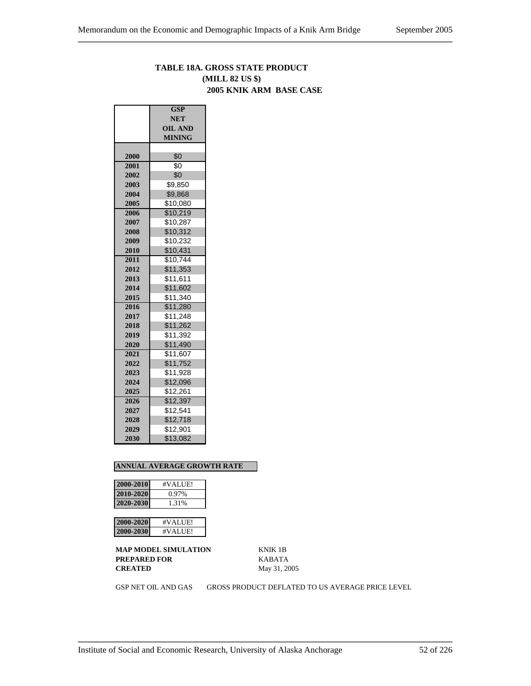## **TABLE 18A. GROSS STATE PRODUCT (MILL 82 US \$) 2005 KNIK ARM BASE CASE**

|      | <b>GSP</b>     |  |  |  |  |
|------|----------------|--|--|--|--|
|      | <b>NET</b>     |  |  |  |  |
|      | <b>OIL AND</b> |  |  |  |  |
|      | <b>MINING</b>  |  |  |  |  |
|      |                |  |  |  |  |
| 2000 | \$0            |  |  |  |  |
| 2001 | \$0            |  |  |  |  |
| 2002 | \$0            |  |  |  |  |
| 2003 | \$9,850        |  |  |  |  |
| 2004 | \$9,868        |  |  |  |  |
| 2005 | \$10,080       |  |  |  |  |
| 2006 | \$10,219       |  |  |  |  |
| 2007 | \$10,287       |  |  |  |  |
| 2008 | \$10,312       |  |  |  |  |
| 2009 | \$10,232       |  |  |  |  |
| 2010 | \$10,431       |  |  |  |  |
| 2011 | \$10,744       |  |  |  |  |
| 2012 | \$11,353       |  |  |  |  |
| 2013 | \$11,611       |  |  |  |  |
| 2014 | \$11,602       |  |  |  |  |
| 2015 | \$11,340       |  |  |  |  |
| 2016 | \$11,280       |  |  |  |  |
| 2017 | \$11,248       |  |  |  |  |
| 2018 | \$11,262       |  |  |  |  |
| 2019 | \$11,392       |  |  |  |  |
| 2020 | \$11,490       |  |  |  |  |
| 2021 | \$11,607       |  |  |  |  |
| 2022 | \$11,752       |  |  |  |  |
| 2023 | \$11,928       |  |  |  |  |
| 2024 | \$12,096       |  |  |  |  |
| 2025 | \$12,261       |  |  |  |  |
| 2026 | \$12,397       |  |  |  |  |
| 2027 | \$12,541       |  |  |  |  |
| 2028 | \$12,718       |  |  |  |  |
| 2029 | \$12,901       |  |  |  |  |
| 2030 | \$13,082       |  |  |  |  |

#### **ANNUAL AVERAGE GROWTH RATE**

| 2000-2010 | #VALUE! |
|-----------|---------|
| 2010-2020 | 0.97%   |
| 2020-2030 | 1.31%   |

| V-2020 I      | #VALUIF!           |
|---------------|--------------------|
| ı<br>D-2030 I | #VALU[ <b>F</b> ]. |

**MAP MODEL SIMULATION** KNIK 1B **PREPARED FOR** KABATA **CREATED** May 31, 2005

GSP NET OIL AND GAS GROSS PRODUCT DEFLATED TO US AVERAGE PRICE LEVEL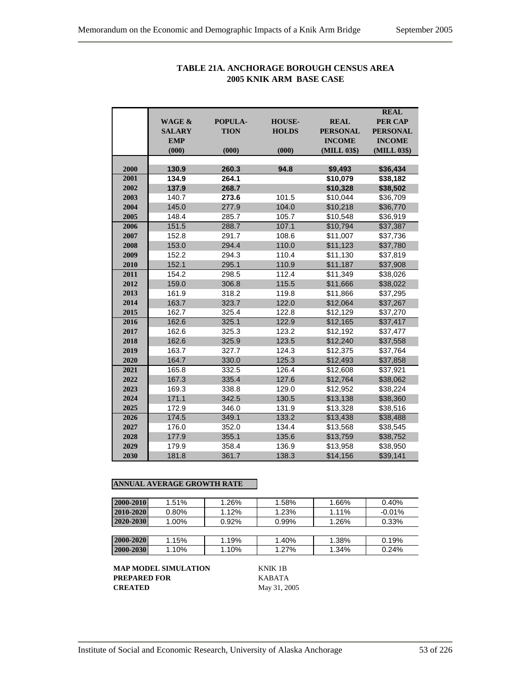|      |                   |             |               |                 | <b>REAL</b>     |
|------|-------------------|-------------|---------------|-----------------|-----------------|
|      | <b>WAGE &amp;</b> | POPULA-     | <b>HOUSE-</b> | <b>REAL</b>     | <b>PER CAP</b>  |
|      | <b>SALARY</b>     | <b>TION</b> | <b>HOLDS</b>  | <b>PERSONAL</b> | <b>PERSONAL</b> |
|      | <b>EMP</b>        |             |               | <b>INCOME</b>   | <b>INCOME</b>   |
|      | (000)             | (000)       | (000)         | (MILL 03\$)     | (MILL 03\$)     |
|      |                   |             |               |                 |                 |
| 2000 | 130.9             | 260.3       | 94.8          | \$9,493         | \$36,434        |
| 2001 | 134.9             | 264.1       |               | \$10,079        | \$38,182        |
| 2002 | 137.9             | 268.7       |               | \$10,328        | \$38,502        |
| 2003 | 140.7             | 273.6       | 101.5         | \$10,044        | \$36,709        |
| 2004 | 145.0             | 277.9       | 104.0         | \$10,218        | \$36,770        |
| 2005 | 148.4             | 285.7       | 105.7         | \$10,548        | \$36,919        |
| 2006 | 151.5             | 288.7       | 107.1         | \$10,794        | \$37,387        |
| 2007 | 152.8             | 291.7       | 108.6         | \$11,007        | \$37,736        |
| 2008 | 153.0             | 294.4       | 110.0         | \$11,123        | \$37,780        |
| 2009 | 152.2             | 294.3       | 110.4         | \$11,130        | \$37,819        |
| 2010 | 152.1             | 295.1       | 110.9         | \$11,187        | \$37,908        |
| 2011 | 154.2             | 298.5       | 112.4         | \$11,349        | \$38,026        |
| 2012 | 159.0             | 306.8       | 115.5         | \$11,666        | \$38,022        |
| 2013 | 161.9             | 318.2       | 119.8         | \$11,866        | \$37,295        |
| 2014 | 163.7             | 323.7       | 122.0         | \$12,064        | \$37,267        |
| 2015 | 162.7             | 325.4       | 122.8         | \$12,129        | \$37,270        |
| 2016 | 162.6             | 325.1       | 122.9         | \$12,165        | \$37,417        |
| 2017 | 162.6             | 325.3       | 123.2         | \$12,192        | \$37,477        |
| 2018 | 162.6             | 325.9       | 123.5         | \$12,240        | \$37,558        |
| 2019 | 163.7             | 327.7       | 124.3         | \$12,375        | \$37,764        |
| 2020 | 164.7             | 330.0       | 125.3         | \$12,493        | \$37,858        |
| 2021 | 165.8             | 332.5       | 126.4         | \$12,608        | \$37,921        |
| 2022 | 167.3             | 335.4       | 127.6         | \$12,764        | \$38,062        |
| 2023 | 169.3             | 338.8       | 129.0         | \$12,952        | \$38,224        |
| 2024 | 171.1             | 342.5       | 130.5         | \$13,138        | \$38,360        |
| 2025 | 172.9             | 346.0       | 131.9         | \$13,328        | \$38,516        |
| 2026 | 174.5             | 349.1       | 133.2         | \$13,438        | \$38,488        |
| 2027 | 176.0             | 352.0       | 134.4         | \$13,568        | \$38,545        |
| 2028 | 177.9             | 355.1       | 135.6         | \$13,759        | \$38,752        |
| 2029 | 179.9             | 358.4       | 136.9         | \$13,958        | \$38,950        |
| 2030 | 181.8             | 361.7       | 138.3         | \$14,156        | \$39,141        |

## **TABLE 21A. ANCHORAGE BOROUGH CENSUS AREA 2005 KNIK ARM BASE CASE**

## **ANNUAL AVERAGE GROWTH RATE**

| 2000-2010 | $1.51\%$ | 1.26%    | 1.58% | 1.66% | 0.40%    |
|-----------|----------|----------|-------|-------|----------|
| 2010-2020 | $0.80\%$ | 1.12%    | 1.23% | 1.11% | $-0.01%$ |
| 2020-2030 | $1.00\%$ | $0.92\%$ | 0.99% | 1.26% | 0.33%    |
|           |          |          |       |       |          |
| 2000-2020 | 1.15%    | 1.19%    | 1.40% | 1.38% | 0.19%    |
| 2000-2030 | 1.10%    | 1.10%    | 1.27% | 1.34% | 0.24%    |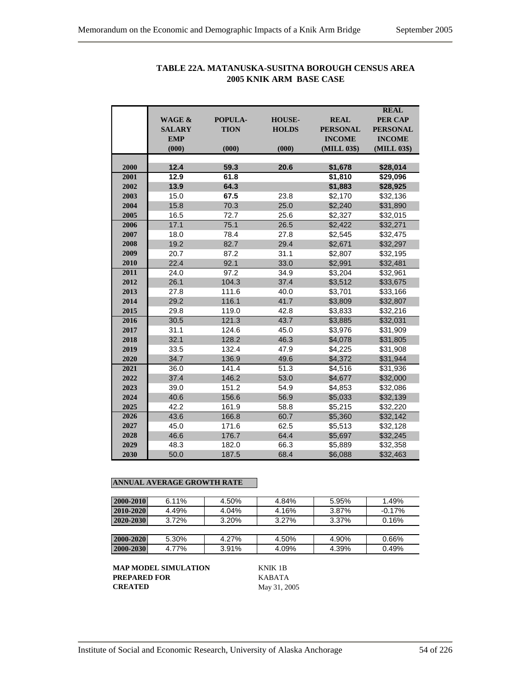|      | <b>WAGE &amp;</b><br><b>SALARY</b><br><b>EMP</b><br>(000) | POPULA-<br><b>TION</b><br>(000) | <b>HOUSE-</b><br><b>HOLDS</b><br>(000) | <b>REAL</b><br><b>PERSONAL</b><br><b>INCOME</b><br>(MILL 03\$) | <b>REAL</b><br><b>PER CAP</b><br><b>PERSONAL</b><br><b>INCOME</b><br>(MILL 03\$) |
|------|-----------------------------------------------------------|---------------------------------|----------------------------------------|----------------------------------------------------------------|----------------------------------------------------------------------------------|
|      |                                                           |                                 |                                        |                                                                |                                                                                  |
| 2000 | 12.4                                                      | 59.3                            | 20.6                                   | \$1,678                                                        | \$28,014                                                                         |
| 2001 | 12.9                                                      | 61.8                            |                                        | \$1,810                                                        | \$29,096                                                                         |
| 2002 | 13.9                                                      | 64.3                            |                                        | \$1,883                                                        | \$28,925                                                                         |
| 2003 | 15.0                                                      | 67.5                            | 23.8                                   | \$2,170                                                        | \$32,136                                                                         |
| 2004 | 15.8                                                      | 70.3                            | 25.0                                   | \$2,240                                                        | \$31,890                                                                         |
| 2005 | 16.5                                                      | 72.7                            | 25.6                                   | \$2,327                                                        | \$32,015                                                                         |
| 2006 | 17.1                                                      | 75.1                            | 26.5                                   | \$2,422                                                        | \$32,271                                                                         |
| 2007 | 18.0                                                      | 78.4                            | 27.8                                   | \$2,545                                                        | \$32,475                                                                         |
| 2008 | 19.2                                                      | 82.7                            | 29.4                                   | \$2,671                                                        | \$32,297                                                                         |
| 2009 | 20.7                                                      | 87.2                            | 31.1                                   | \$2,807                                                        | \$32,195                                                                         |
| 2010 | 22.4                                                      | 92.1                            | 33.0                                   | \$2,991                                                        | \$32,481                                                                         |
| 2011 | 24.0                                                      | 97.2                            | 34.9                                   | \$3,204                                                        | \$32,961                                                                         |
| 2012 | 26.1                                                      | 104.3                           | 37.4                                   | \$3,512                                                        | \$33,675                                                                         |
| 2013 | 27.8                                                      | 111.6                           | 40.0                                   | \$3,701                                                        | \$33,166                                                                         |
| 2014 | 29.2                                                      | 116.1                           | 41.7                                   | \$3,809                                                        | \$32,807                                                                         |
| 2015 | 29.8                                                      | 119.0                           | 42.8                                   | \$3,833                                                        | \$32,216                                                                         |
| 2016 | 30.5                                                      | 121.3                           | 43.7                                   | \$3,885                                                        | \$32,031                                                                         |
| 2017 | 31.1                                                      | 124.6                           | 45.0                                   | \$3,976                                                        | \$31,909                                                                         |
| 2018 | 32.1                                                      | 128.2                           | 46.3                                   | \$4,078                                                        | \$31,805                                                                         |
| 2019 | 33.5                                                      | 132.4                           | 47.9                                   | \$4.225                                                        | \$31,908                                                                         |
| 2020 | 34.7                                                      | 136.9                           | 49.6                                   | \$4,372                                                        | \$31,944                                                                         |
| 2021 | 36.0                                                      | 141.4                           | 51.3                                   | \$4,516                                                        | \$31,936                                                                         |
| 2022 | 37.4                                                      | 146.2                           | 53.0                                   | \$4,677                                                        | \$32,000                                                                         |
| 2023 | 39.0                                                      | 151.2                           | 54.9                                   | \$4,853                                                        | \$32,086                                                                         |
| 2024 | 40.6                                                      | 156.6                           | 56.9                                   | \$5,033                                                        | \$32,139                                                                         |
| 2025 | 42.2                                                      | 161.9                           | 58.8                                   | \$5,215                                                        | \$32,220                                                                         |
| 2026 | 43.6                                                      | 166.8                           | 60.7                                   | \$5,360                                                        | \$32,142                                                                         |
| 2027 | 45.0                                                      | 171.6                           | 62.5                                   | \$5,513                                                        | \$32,128                                                                         |
| 2028 | 46.6                                                      | 176.7                           | 64.4                                   | \$5,697                                                        | \$32,245                                                                         |
| 2029 | 48.3                                                      | 182.0                           | 66.3                                   | \$5,889                                                        | \$32,358                                                                         |
| 2030 | 50.0                                                      | 187.5                           | 68.4                                   | \$6,088                                                        | \$32,463                                                                         |

## **TABLE 22A. MATANUSKA-SUSITNA BOROUGH CENSUS AREA 2005 KNIK ARM BASE CASE**

## **ANNUAL AVERAGE GROWTH RATE**

| 2000-2010 | $6.11\%$ | 4.50% | 4.84% | 5.95% | 1.49%    |
|-----------|----------|-------|-------|-------|----------|
| 2010-2020 | 4.49%    | 4.04% | 4.16% | 3.87% | $-0.17%$ |
| 2020-2030 | $3.72\%$ | 3.20% | 3.27% | 3.37% | 0.16%    |
|           |          |       |       |       |          |
| 2000-2020 | 5.30%    | 4.27% | 4.50% | 4.90% | 0.66%    |
| 2000-2030 | 4.77%    | 3.91% | 4.09% | 4.39% | 0.49%    |

**MAP MODEL SIMULATION** KNIK 1B **PREPARED FOR** KABATA<br>**CREATED** May 31, 20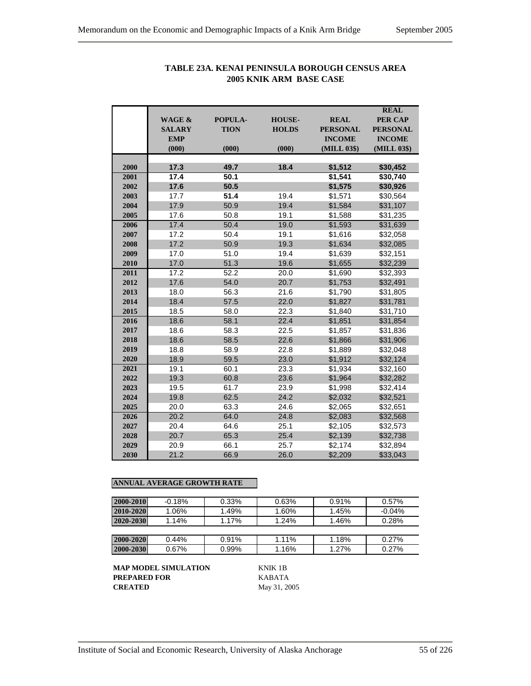|      |               |                |               |                 | <b>REAL</b>     |
|------|---------------|----------------|---------------|-----------------|-----------------|
|      | WAGE &        | <b>POPULA-</b> | <b>HOUSE-</b> | <b>REAL</b>     | <b>PER CAP</b>  |
|      | <b>SALARY</b> | <b>TION</b>    | <b>HOLDS</b>  | <b>PERSONAL</b> | <b>PERSONAL</b> |
|      | <b>EMP</b>    |                |               | <b>INCOME</b>   | <b>INCOME</b>   |
|      | (000)         | (000)          | (000)         | (MILL 03\$)     | (MILL 03\$)     |
| 2000 | 17.3          | 49.7           | 18.4          | \$1,512         | \$30,452        |
| 2001 | 17.4          | 50.1           |               | \$1,541         | \$30,740        |
| 2002 | 17.6          | 50.5           |               | \$1,575         | \$30,926        |
| 2003 | 17.7          | 51.4           | 19.4          | \$1,571         | \$30,564        |
| 2004 | 17.9          | 50.9           | 19.4          | \$1,584         | \$31,107        |
| 2005 | 17.6          | 50.8           | 19.1          | \$1,588         | \$31,235        |
| 2006 | 17.4          | 50.4           | 19.0          | \$1,593         | \$31,639        |
| 2007 | 17.2          | 50.4           | 19.1          | \$1,616         | \$32,058        |
| 2008 | 17.2          | 50.9           | 19.3          | \$1,634         | \$32,085        |
| 2009 | 17.0          | 51.0           | 19.4          | \$1,639         | \$32,151        |
| 2010 | 17.0          | 51.3           | 19.6          | \$1.655         | \$32,239        |
| 2011 | 17.2          | 52.2           | 20.0          | \$1,690         | \$32,393        |
| 2012 | 17.6          | 54.0           | 20.7          | \$1,753         | \$32,491        |
| 2013 | 18.0          | 56.3           | 21.6          | \$1,790         | \$31,805        |
| 2014 | 18.4          | 57.5           | 22.0          | \$1,827         | \$31,781        |
| 2015 | 18.5          | 58.0           | 22.3          | \$1,840         | \$31,710        |
| 2016 | 18.6          | 58.1           | 22.4          | \$1.851         | \$31,854        |
| 2017 | 18.6          | 58.3           | 22.5          | \$1,857         | \$31,836        |
| 2018 | 18.6          | 58.5           | 22.6          | \$1,866         | \$31,906        |
| 2019 | 18.8          | 58.9           | 22.8          | \$1,889         | \$32,048        |
| 2020 | 18.9          | 59.5           | 23.0          | \$1,912         | \$32,124        |
| 2021 | 19.1          | 60.1           | 23.3          | \$1,934         | \$32,160        |
| 2022 | 19.3          | 60.8           | 23.6          | \$1,964         | \$32,282        |
| 2023 | 19.5          | 61.7           | 23.9          | \$1,998         | \$32,414        |
| 2024 | 19.8          | 62.5           | 24.2          | \$2,032         | \$32,521        |
| 2025 | 20.0          | 63.3           | 24.6          | \$2,065         | \$32,651        |
| 2026 | 20.2          | 64.0           | 24.8          | \$2,083         | \$32,568        |
| 2027 | 20.4          | 64.6           | 25.1          | \$2,105         | \$32,573        |
| 2028 | 20.7          | 65.3           | 25.4          | \$2,139         | \$32,738        |
| 2029 | 20.9          | 66.1           | 25.7          | \$2,174         | \$32,894        |
| 2030 | 21.2          | 66.9           | 26.0          | \$2,209         | \$33,043        |

## **TABLE 23A. KENAI PENINSULA BOROUGH CENSUS AREA 2005 KNIK ARM BASE CASE**

## **ANNUAL AVERAGE GROWTH RATE**

| 2000-2010 | $-0.18%$ | 0.33% | 0.63% | 0.91% | 0.57%     |
|-----------|----------|-------|-------|-------|-----------|
| 2010-2020 | $1.06\%$ | 1.49% | 1.60% | 1.45% | $-0.04\%$ |
| 2020-2030 | 1.14%    | 1.17% | 1.24% | 1.46% | 0.28%     |
|           |          |       |       |       |           |
| 2000-2020 | $0.44\%$ | 0.91% | 1.11% | 1.18% | 0.27%     |
| 2000-2030 | 0.67%    | 0.99% | 1.16% | 1.27% | 0.27%     |

**MAP MODEL SIMULATION** KNIK 1B **PREPARED FOR** KABATA<br>**CREATED** May 31, 20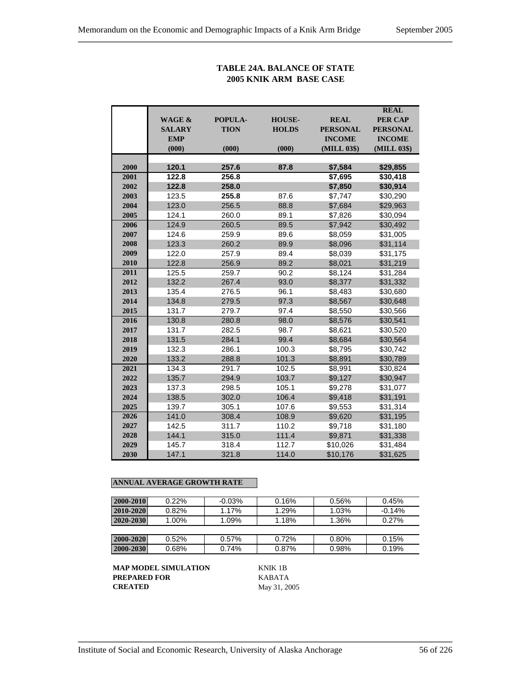## **TABLE 24A. BALANCE OF STATE 2005 KNIK ARM BASE CASE**

|      |                   |             |               |                 | <b>REAL</b>     |
|------|-------------------|-------------|---------------|-----------------|-----------------|
|      | <b>WAGE &amp;</b> | POPULA-     | <b>HOUSE-</b> | <b>REAL</b>     | <b>PER CAP</b>  |
|      | <b>SALARY</b>     | <b>TION</b> | <b>HOLDS</b>  | <b>PERSONAL</b> | <b>PERSONAL</b> |
|      | <b>EMP</b>        |             |               | <b>INCOME</b>   | <b>INCOME</b>   |
|      | (000)             | (000)       | (000)         | (MILL 03\$)     | (MILL 03\$)     |
|      |                   |             |               |                 |                 |
| 2000 | 120.1             | 257.6       | 87.8          | \$7,584         | \$29,855        |
| 2001 | 122.8             | 256.8       |               | \$7,695         | \$30,418        |
| 2002 | 122.8             | 258.0       |               | \$7,850         | \$30,914        |
| 2003 | 123.5             | 255.8       | 87.6          | \$7,747         | \$30,290        |
| 2004 | 123.0             | 256.5       | 88.8          | \$7,684         | \$29,963        |
| 2005 | 124.1             | 260.0       | 89.1          | \$7,826         | \$30,094        |
| 2006 | 124.9             | 260.5       | 89.5          | \$7,942         | \$30,492        |
| 2007 | 124.6             | 259.9       | 89.6          | \$8,059         | \$31,005        |
| 2008 | 123.3             | 260.2       | 89.9          | \$8,096         | \$31,114        |
| 2009 | 122.0             | 257.9       | 89.4          | \$8,039         | \$31,175        |
| 2010 | 122.8             | 256.9       | 89.2          | \$8,021         | \$31,219        |
| 2011 | 125.5             | 259.7       | 90.2          | \$8,124         | \$31,284        |
| 2012 | 132.2             | 267.4       | 93.0          | \$8,377         | \$31,332        |
| 2013 | 135.4             | 276.5       | 96.1          | \$8,483         | \$30,680        |
| 2014 | 134.8             | 279.5       | 97.3          | \$8,567         | \$30,648        |
| 2015 | 131.7             | 279.7       | 97.4          | \$8,550         | \$30,566        |
| 2016 | 130.8             | 280.8       | 98.0          | \$8,576         | \$30,541        |
| 2017 | 131.7             | 282.5       | 98.7          | \$8,621         | \$30,520        |
| 2018 | 131.5             | 284.1       | 99.4          | \$8,684         | \$30,564        |
| 2019 | 132.3             | 286.1       | 100.3         | \$8,795         | \$30,742        |
| 2020 | 133.2             | 288.8       | 101.3         | \$8,891         | \$30,789        |
| 2021 | 134.3             | 291.7       | 102.5         | \$8,991         | \$30,824        |
| 2022 | 135.7             | 294.9       | 103.7         | \$9,127         | \$30,947        |
| 2023 | 137.3             | 298.5       | 105.1         | \$9,278         | \$31,077        |
| 2024 | 138.5             | 302.0       | 106.4         | \$9,418         | \$31,191        |
| 2025 | 139.7             | 305.1       | 107.6         | \$9,553         | \$31,314        |
| 2026 | 141.0             | 308.4       | 108.9         | \$9,620         | \$31,195        |
| 2027 | 142.5             | 311.7       | 110.2         | \$9,718         | \$31,180        |
| 2028 | 144.1             | 315.0       | 111.4         | \$9,871         | \$31,338        |
| 2029 | 145.7             | 318.4       | 112.7         | \$10,026        | \$31,484        |
| 2030 | 147.1             | 321.8       | 114.0         | \$10,176        | \$31,625        |

## **ANNUAL AVERAGE GROWTH RATE**

| 2000-2010 | $0.22\%$ | $-0.03%$ | 0.16% | 0.56% | 0.45%    |
|-----------|----------|----------|-------|-------|----------|
| 2010-2020 | 0.82%    | 1.17%    | 1.29% | 1.03% | $-0.14%$ |
| 2020-2030 | 1.00%    | 1.09%    | 1.18% | 1.36% | 0.27%    |
|           |          |          |       |       |          |
| 2000-2020 | 0.52%    | 0.57%    | 0.72% | 0.80% | 0.15%    |
| 2000-2030 | 0.68%    | 0.74%    | 0.87% | 0.98% | 0.19%    |

**MAP MODEL SIMULATION** KNIK 1B **PREPARED FOR KABATA**<br>**CREATED** May 31, 20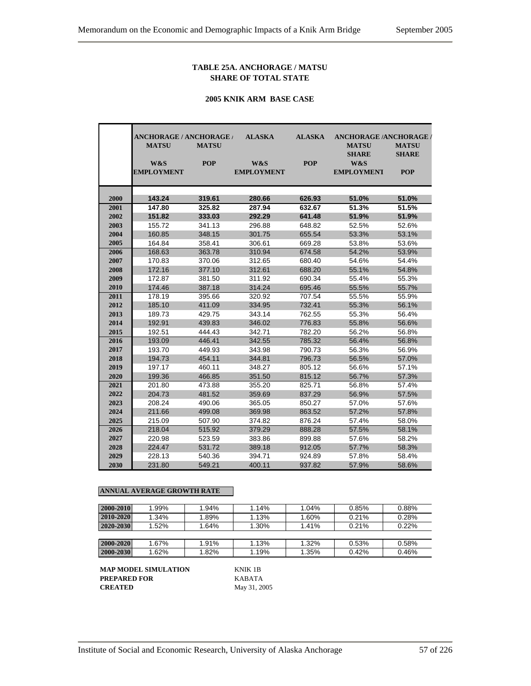#### **TABLE 25A. ANCHORAGE / MATSU SHARE OF TOTAL STATE**

#### **2005 KNIK ARM BASE CASE**

|              | <b>ANCHORAGE / ANCHORAGE /</b><br><b>MATSU</b> | <b>MATSU</b>     | <b>ALASKA</b>            | <b>ALASKA</b>    | <b>ANCHORAGE /ANCHORAGE /</b><br><b>MATSU</b> | <b>MATSU</b>               |
|--------------|------------------------------------------------|------------------|--------------------------|------------------|-----------------------------------------------|----------------------------|
|              | W&S<br><b>EMPLOYMENT</b>                       | <b>POP</b>       | W&S<br><b>EMPLOYMENT</b> | <b>POP</b>       | <b>SHARE</b><br>W&S<br><b>EMPLOYMENT</b>      | <b>SHARE</b><br><b>POP</b> |
| 2000         | 143.24                                         | 319.61           | 280.66                   | 626.93           | 51.0%                                         | 51.0%                      |
| 2001         | 147.80                                         | 325.82           | 287.94                   | 632.67           | 51.3%                                         | 51.5%                      |
| 2002         | 151.82                                         | 333.03           | 292.29                   | 641.48           | 51.9%                                         | 51.9%                      |
| 2003         | 155.72                                         | 341.13           | 296.88                   | 648.82           | 52.5%                                         | 52.6%                      |
| 2004         | 160.85                                         | 348.15           | 301.75                   | 655.54           | 53.3%                                         | 53.1%                      |
| 2005         | 164.84                                         | 358.41           | 306.61                   | 669.28           | 53.8%                                         | 53.6%                      |
| 2006         | 168.63                                         | 363.78           | 310.94                   | 674.58           | 54.2%                                         | 53.9%                      |
| 2007         | 170.83                                         | 370.06           | 312.65                   | 680.40           | 54.6%                                         | 54.4%                      |
| 2008         | 172.16                                         | 377.10           | 312.61                   | 688.20           | 55.1%                                         | 54.8%                      |
| 2009         | 172.87                                         | 381.50           | 311.92                   | 690.34           | 55.4%                                         | 55.3%                      |
| 2010         | 174.46                                         | 387.18           | 314.24                   | 695.46           | 55.5%                                         | 55.7%                      |
| 2011         | 178.19                                         | 395.66           | 320.92                   | 707.54           | 55.5%                                         | 55.9%                      |
| 2012         | 185.10                                         | 411.09           | 334.95                   | 732.41           | 55.3%                                         | 56.1%                      |
| 2013         | 189.73                                         | 429.75           | 343.14                   | 762.55           | 55.3%                                         | 56.4%                      |
| 2014         | 192.91                                         | 439.83           | 346.02                   | 776.83           | 55.8%                                         | 56.6%                      |
| 2015         | 192.51                                         | 444.43           | 342.71                   | 782.20           | 56.2%                                         | 56.8%                      |
| 2016         | 193.09                                         | 446.41           | 342.55                   | 785.32           | 56.4%                                         | 56.8%                      |
| 2017         | 193.70                                         | 449.93           | 343.98                   | 790.73           | 56.3%                                         | 56.9%                      |
| 2018         | 194.73                                         | 454.11           | 344.81                   | 796.73           | 56.5%                                         | 57.0%                      |
| 2019         | 197.17                                         | 460.11           | 348.27                   | 805.12           | 56.6%                                         | 57.1%                      |
| 2020         | 199.36                                         | 466.85           | 351.50                   | 815.12           | 56.7%                                         | 57.3%                      |
| 2021         | 201.80                                         | 473.88           | 355.20                   | 825.71           | 56.8%                                         | 57.4%                      |
| 2022         | 204.73                                         | 481.52           | 359.69                   | 837.29           | 56.9%                                         | 57.5%                      |
| 2023         | 208.24                                         | 490.06           | 365.05                   | 850.27           | 57.0%<br>57.2%                                | 57.6%                      |
| 2024         | 211.66                                         | 499.08           | 369.98                   | 863.52           |                                               | 57.8%                      |
| 2025         | 215.09                                         | 507.90           | 374.82                   | 876.24           | 57.4%                                         | 58.0%                      |
| 2026<br>2027 | 218.04<br>220.98                               | 515.92<br>523.59 | 379.29<br>383.86         | 888.28<br>899.88 | 57.5%<br>57.6%                                | 58.1%<br>58.2%             |
| 2028         | 224.47                                         | 531.72           | 389.18                   | 912.05           | 57.7%                                         | 58.3%                      |
| 2029         | 228.13                                         | 540.36           | 394.71                   | 924.89           | 57.8%                                         | 58.4%                      |
| 2030         | 231.80                                         | 549.21           | 400.11                   | 937.82           | 57.9%                                         | 58.6%                      |
|              |                                                |                  |                          |                  |                                               |                            |

#### **ANNUAL AVERAGE GROWTH RATE**

| 2000-2010 | 1.99% | 1.94% | 1.14% | 1.04% | 0.85% | 0.88% |
|-----------|-------|-------|-------|-------|-------|-------|
| 2010-2020 | 1.34% | 1.89% | 1.13% | 1.60% | 0.21% | 0.28% |
| 2020-2030 | 1.52% | 1.64% | 1.30% | 1.41% | 0.21% | 0.22% |
|           |       |       |       |       |       |       |
| 2000-2020 | 1.67% | 1.91% | 1.13% | 1.32% | 0.53% | 0.58% |
| 2000-2030 | 1.62% | 1.82% | 1.19% | 1.35% | 0.42% | 0.46% |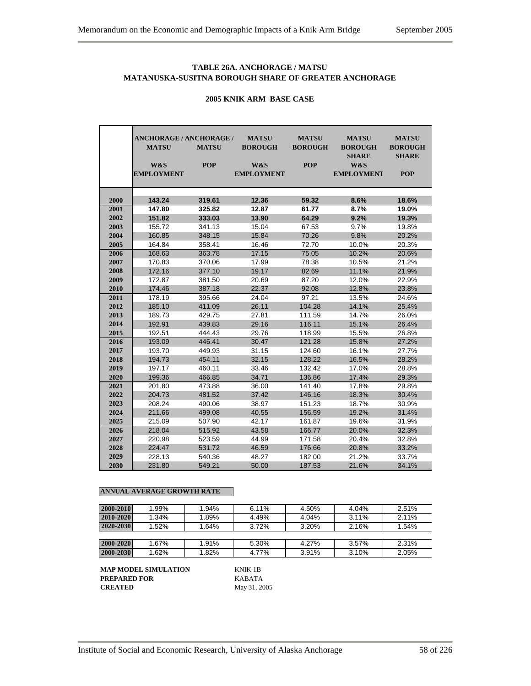## **TABLE 26A. ANCHORAGE / MATSU MATANUSKA-SUSITNA BOROUGH SHARE OF GREATER ANCHORAGE**

|      | <b>ANCHORAGE / ANCHORAGE /</b><br><b>MATSU</b><br>W&S<br><b>EMPLOYMENT</b> | <b>MATSU</b><br><b>POP</b> | <b>MATSU</b><br><b>BOROUGH</b><br>W&S<br><b>EMPLOYMENT</b> | <b>MATSU</b><br><b>BOROUGH</b><br><b>POP</b> | <b>MATSU</b><br><b>BOROUGH</b><br><b>SHARE</b><br>W&S<br><b>EMPLOYMENT</b> | <b>MATSU</b><br><b>BOROUGH</b><br><b>SHARE</b><br><b>POP</b> |
|------|----------------------------------------------------------------------------|----------------------------|------------------------------------------------------------|----------------------------------------------|----------------------------------------------------------------------------|--------------------------------------------------------------|
| 2000 | 143.24                                                                     | 319.61                     | 12.36                                                      | 59.32                                        | 8.6%                                                                       | 18.6%                                                        |
| 2001 | 147.80                                                                     | 325.82                     | 12.87                                                      | 61.77                                        | 8.7%                                                                       | 19.0%                                                        |
| 2002 | 151.82                                                                     | 333.03                     | 13.90                                                      | 64.29                                        | 9.2%                                                                       | 19.3%                                                        |
| 2003 | 155.72                                                                     | 341.13                     | 15.04                                                      | 67.53                                        | 9.7%                                                                       | 19.8%                                                        |
| 2004 | 160.85                                                                     | 348.15                     | 15.84                                                      | 70.26                                        | 9.8%                                                                       | 20.2%                                                        |
| 2005 | 164.84                                                                     | 358.41                     | 16.46                                                      | 72.70                                        | 10.0%                                                                      | 20.3%                                                        |
| 2006 | 168.63                                                                     | 363.78                     | 17.15                                                      | 75.05                                        | 10.2%                                                                      | 20.6%                                                        |
| 2007 | 170.83                                                                     | 370.06                     | 17.99                                                      | 78.38                                        | 10.5%                                                                      | 21.2%                                                        |
| 2008 | 172.16                                                                     | 377.10                     | 19.17                                                      | 82.69                                        | 11.1%                                                                      | 21.9%                                                        |
| 2009 | 172.87                                                                     | 381.50                     | 20.69                                                      | 87.20                                        | 12.0%                                                                      | 22.9%                                                        |
| 2010 | 174.46                                                                     | 387.18                     | 22.37                                                      | 92.08                                        | 12.8%                                                                      | 23.8%                                                        |
| 2011 | 178.19                                                                     | 395.66                     | 24.04                                                      | 97.21                                        | 13.5%                                                                      | 24.6%                                                        |
| 2012 | 185.10                                                                     | 411.09                     | 26.11                                                      | 104.28                                       | 14.1%                                                                      | 25.4%                                                        |
| 2013 | 189.73                                                                     | 429.75                     | 27.81                                                      | 111.59                                       | 14.7%                                                                      | 26.0%                                                        |
| 2014 | 192.91                                                                     | 439.83                     | 29.16                                                      | 116.11                                       | 15.1%                                                                      | 26.4%                                                        |
| 2015 | 192.51                                                                     | 444.43                     | 29.76                                                      | 118.99                                       | 15.5%                                                                      | 26.8%                                                        |
| 2016 | 193.09                                                                     | 446.41                     | 30.47                                                      | 121.28                                       | 15.8%                                                                      | 27.2%                                                        |
| 2017 | 193.70                                                                     | 449.93                     | 31.15                                                      | 124.60                                       | 16.1%                                                                      | 27.7%                                                        |
| 2018 | 194.73                                                                     | 454.11                     | 32.15                                                      | 128.22                                       | 16.5%                                                                      | 28.2%                                                        |
| 2019 | 197.17                                                                     | 460.11                     | 33.46                                                      | 132.42                                       | 17.0%                                                                      | 28.8%                                                        |
| 2020 | 199.36                                                                     | 466.85                     | 34.71                                                      | 136.86                                       | 17.4%                                                                      | 29.3%                                                        |
| 2021 | 201.80                                                                     | 473.88                     | 36.00                                                      | 141.40                                       | 17.8%                                                                      | 29.8%                                                        |
| 2022 | 204.73                                                                     | 481.52                     | 37.42                                                      | 146.16                                       | 18.3%                                                                      | 30.4%                                                        |
| 2023 | 208.24                                                                     | 490.06                     | 38.97                                                      | 151.23                                       | 18.7%                                                                      | 30.9%                                                        |
| 2024 | 211.66                                                                     | 499.08                     | 40.55                                                      | 156.59                                       | 19.2%                                                                      | 31.4%                                                        |
| 2025 | 215.09                                                                     | 507.90                     | 42.17                                                      | 161.87                                       | 19.6%                                                                      | 31.9%                                                        |
| 2026 | 218.04                                                                     | 515.92                     | 43.58                                                      | 166.77                                       | 20.0%                                                                      | 32.3%                                                        |
| 2027 | 220.98                                                                     | 523.59                     | 44.99                                                      | 171.58                                       | 20.4%                                                                      | 32.8%                                                        |
| 2028 | 224.47                                                                     | 531.72                     | 46.59                                                      | 176.66                                       | 20.8%                                                                      | 33.2%                                                        |
| 2029 | 228.13                                                                     | 540.36                     | 48.27                                                      | 182.00                                       | 21.2%                                                                      | 33.7%                                                        |
| 2030 | 231.80                                                                     | 549.21                     | 50.00                                                      | 187.53                                       | 21.6%                                                                      | 34.1%                                                        |

#### **2005 KNIK ARM BASE CASE**

#### **ANNUAL AVERAGE GROWTH RATE**

| 2000-2010 | 1.99% | 1.94% | $6.11\%$ | 4.50% | 4.04% | 2.51% |
|-----------|-------|-------|----------|-------|-------|-------|
| 2010-2020 | 1.34% | 1.89% | 4.49%    | 4.04% | 3.11% | 2.11% |
| 2020-2030 | 1.52% | 1.64% | 3.72%    | 3.20% | 2.16% | 1.54% |
|           |       |       |          |       |       |       |
| 2000-2020 | 1.67% | 1.91% | 5.30%    | 4.27% | 3.57% | 2.31% |
| 2000-2030 | 1.62% | 1.82% | 4.77%    | 3.91% | 3.10% | 2.05% |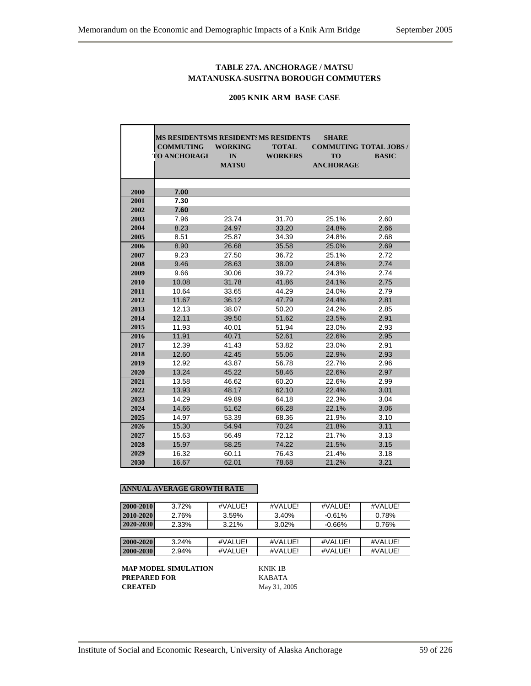## **TABLE 27A. ANCHORAGE / MATSU MATANUSKA-SUSITNA BOROUGH COMMUTERS**

#### **2005 KNIK ARM BASE CASE**

|      | <b>MS RESIDENTSMS RESIDENTSMS RESIDENTS</b> |                |                | <b>SHARE</b>     |                              |
|------|---------------------------------------------|----------------|----------------|------------------|------------------------------|
|      | <b>COMMUTING</b>                            | <b>WORKING</b> | <b>TOTAL</b>   |                  | <b>COMMUTING TOTAL JOBS/</b> |
|      | <b>TO ANCHORAGI</b>                         | IN             | <b>WORKERS</b> | <b>TO</b>        | <b>BASIC</b>                 |
|      |                                             | <b>MATSU</b>   |                | <b>ANCHORAGE</b> |                              |
|      |                                             |                |                |                  |                              |
|      |                                             |                |                |                  |                              |
| 2000 | 7.00                                        |                |                |                  |                              |
| 2001 | 7.30                                        |                |                |                  |                              |
| 2002 | 7.60                                        |                |                |                  |                              |
| 2003 | 7.96                                        | 23.74          | 31.70          | 25.1%            | 2.60                         |
| 2004 | 8.23                                        | 24.97          | 33.20          | 24.8%            | 2.66                         |
| 2005 | 8.51                                        | 25.87          | 34.39          | 24.8%            | 2.68                         |
| 2006 | 8.90                                        | 26.68          | 35.58          | 25.0%            | 2.69                         |
| 2007 | 9.23                                        | 27.50          | 36.72          | 25.1%            | 2.72                         |
| 2008 | 9.46                                        | 28.63          | 38.09          | 24.8%            | 2.74                         |
| 2009 | 9.66                                        | 30.06          | 39.72          | 24.3%            | 2.74                         |
| 2010 | 10.08                                       | 31.78          | 41.86          | 24.1%            | 2.75                         |
| 2011 | 10.64                                       | 33.65          | 44.29          | 24.0%            | 2.79                         |
| 2012 | 11.67                                       | 36.12          | 47.79          | 24.4%            | 2.81                         |
| 2013 | 12.13                                       | 38.07          | 50.20          | 24.2%            | 2.85                         |
| 2014 | 12.11                                       | 39.50          | 51.62          | 23.5%            | 2.91                         |
| 2015 | 11.93                                       | 40.01          | 51.94          | 23.0%            | 2.93                         |
| 2016 | 11.91                                       | 40.71          | 52.61          | 22.6%            | 2.95                         |
| 2017 | 12.39                                       | 41.43          | 53.82          | 23.0%            | 2.91                         |
| 2018 | 12.60                                       | 42.45          | 55.06          | 22.9%            | 2.93                         |
| 2019 | 12.92                                       | 43.87          | 56.78          | 22.7%            | 2.96                         |
| 2020 | 13.24                                       | 45.22          | 58.46          | 22.6%            | 2.97                         |
| 2021 | 13.58                                       | 46.62          | 60.20          | 22.6%            | 2.99                         |
| 2022 | 13.93                                       | 48.17          | 62.10          | 22.4%            | 3.01                         |
| 2023 | 14.29                                       | 49.89          | 64.18          | 22.3%            | 3.04                         |
| 2024 | 14.66                                       | 51.62          | 66.28          | 22.1%            | 3.06                         |
| 2025 | 14.97                                       | 53.39          | 68.36          | 21.9%            | 3.10                         |
| 2026 | 15.30                                       | 54.94          | 70.24          | 21.8%            | 3.11                         |
| 2027 | 15.63                                       | 56.49          | 72.12          | 21.7%            | 3.13                         |
| 2028 | 15.97                                       | 58.25          | 74.22          | 21.5%            | 3.15                         |
| 2029 | 16.32                                       | 60.11          | 76.43          | 21.4%            | 3.18                         |
| 2030 | 16.67                                       | 62.01          | 78.68          | 21.2%            | 3.21                         |

#### **ANNUAL AVERAGE GROWTH RATE**

| 2000-2010 | 3.72% | #VALUE! | #VALUE! | #VALUE!  | #VALUE! |
|-----------|-------|---------|---------|----------|---------|
| 2010-2020 | 2.76% | 3.59%   | 3.40%   | $-0.61%$ | 0.78%   |
|           | 2.33% | 3.21%   |         |          |         |
| 2020-2030 |       |         | 3.02%   | $-0.66%$ | 0.76%   |
|           |       |         |         |          |         |
| 2000-2020 | 3.24% | #VALUE! | #VALUEL | #VALUEL  | #VALUE! |
| 2000-2030 | 2.94% | #VALUE! | #VALUE! | #VALUE!  | #VALUE! |

**MAP MODEL SIMULATION KNIK 1B**<br>**PREPARED FOR** KABATA **PREPARED FOR<br>CREATED**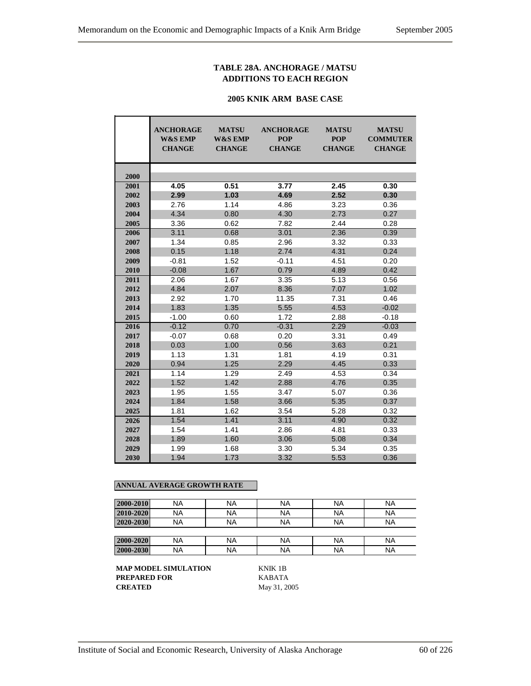## **TABLE 28A. ANCHORAGE / MATSU ADDITIONS TO EACH REGION**

#### **2005 KNIK ARM BASE CASE**

|      | <b>ANCHORAGE</b><br><b>W&amp;S EMP</b><br><b>CHANGE</b> | <b>MATSU</b><br><b>W&amp;S EMP</b><br><b>CHANGE</b> | <b>ANCHORAGE</b><br><b>POP</b><br><b>CHANGE</b> | <b>MATSU</b><br><b>POP</b><br><b>CHANGE</b> | <b>MATSU</b><br><b>COMMUTER</b><br><b>CHANGE</b> |  |  |
|------|---------------------------------------------------------|-----------------------------------------------------|-------------------------------------------------|---------------------------------------------|--------------------------------------------------|--|--|
| 2000 |                                                         |                                                     |                                                 |                                             |                                                  |  |  |
| 2001 | 4.05                                                    | 0.51                                                | 3.77                                            | 2.45                                        | 0.30                                             |  |  |
| 2002 | 2.99                                                    | 1.03                                                | 4.69                                            | 2.52                                        | 0.30                                             |  |  |
| 2003 | 2.76                                                    | 1.14                                                | 4.86                                            | 3.23                                        | 0.36                                             |  |  |
| 2004 | 4.34                                                    | 0.80                                                | 4.30                                            | 2.73                                        | 0.27                                             |  |  |
| 2005 | 3.36                                                    | 0.62                                                | 7.82                                            | 2.44                                        | 0.28                                             |  |  |
| 2006 | 3.11                                                    | 0.68                                                | 3.01                                            | 2.36                                        | 0.39                                             |  |  |
| 2007 | 1.34                                                    | 0.85                                                | 2.96                                            | 3.32                                        | 0.33                                             |  |  |
| 2008 | 0.15                                                    | 1.18                                                | 2.74                                            | 4.31                                        | 0.24                                             |  |  |
| 2009 | $-0.81$                                                 | 1.52                                                | $-0.11$                                         | 4.51                                        | 0.20                                             |  |  |
| 2010 | $-0.08$                                                 | 1.67                                                | 0.79                                            | 4.89                                        | 0.42                                             |  |  |
| 2011 | 2.06                                                    | 1.67                                                | 3.35                                            | 5.13                                        | 0.56                                             |  |  |
| 2012 | 4.84                                                    | 2.07                                                | 8.36                                            | 7.07                                        | 1.02                                             |  |  |
| 2013 | 2.92                                                    | 1.70                                                | 11.35                                           | 7.31                                        | 0.46                                             |  |  |
| 2014 | 1.83                                                    | 1.35                                                | 5.55                                            | 4.53                                        | $-0.02$                                          |  |  |
| 2015 | $-1.00$                                                 | 0.60                                                | 1.72                                            | 2.88                                        | $-0.18$                                          |  |  |
| 2016 | $-0.12$                                                 | 0.70                                                | $-0.31$                                         | 2.29                                        | $-0.03$                                          |  |  |
| 2017 | $-0.07$                                                 | 0.68                                                | 0.20                                            | 3.31                                        | 0.49                                             |  |  |
| 2018 | 0.03                                                    | 1.00                                                | 0.56                                            | 3.63                                        | 0.21                                             |  |  |
| 2019 | 1.13                                                    | 1.31                                                | 1.81                                            | 4.19                                        | 0.31                                             |  |  |
| 2020 | 0.94                                                    | 1.25                                                | 2.29                                            | 4.45                                        | 0.33                                             |  |  |
| 2021 | 1.14                                                    | 1.29                                                | 2.49                                            | 4.53                                        | 0.34                                             |  |  |
| 2022 | 1.52                                                    | 1.42                                                | 2.88                                            | 4.76                                        | 0.35                                             |  |  |
| 2023 | 1.95                                                    | 1.55                                                | 3.47                                            | 5.07                                        | 0.36                                             |  |  |
| 2024 | 1.84                                                    | 1.58                                                | 3.66                                            | 5.35                                        | 0.37                                             |  |  |
| 2025 | 1.81                                                    | 1.62                                                | 3.54                                            | 5.28                                        | 0.32                                             |  |  |
| 2026 | 1.54                                                    | 1.41                                                | 3.11                                            | 4.90                                        | 0.32                                             |  |  |
| 2027 | 1.54                                                    | 1.41                                                | 2.86                                            | 4.81                                        | 0.33                                             |  |  |
| 2028 | 1.89                                                    | 1.60                                                | 3.06                                            | 5.08                                        | 0.34                                             |  |  |
| 2029 | 1.99                                                    | 1.68                                                | 3.30                                            | 5.34                                        | 0.35                                             |  |  |
| 2030 | 1.94                                                    | 1.73                                                | 3.32                                            | 5.53                                        | 0.36                                             |  |  |

## **ANNUAL AVERAGE GROWTH RATE**

| 2000-2010 | <b>NA</b> | <b>NA</b> | <b>NA</b> | NA | <b>NA</b> |
|-----------|-----------|-----------|-----------|----|-----------|
| 2010-2020 | <b>NA</b> | <b>NA</b> | <b>NA</b> | ΝA | <b>NA</b> |
| 2020-2030 | <b>NA</b> | <b>NA</b> | <b>NA</b> | ΝA | <b>NA</b> |
|           |           |           |           |    |           |
| 2000-2020 | <b>NA</b> | <b>NA</b> | <b>NA</b> | ΝA | <b>NA</b> |
| 2000-2030 | <b>NA</b> | <b>NA</b> | <b>NA</b> | NA | <b>NA</b> |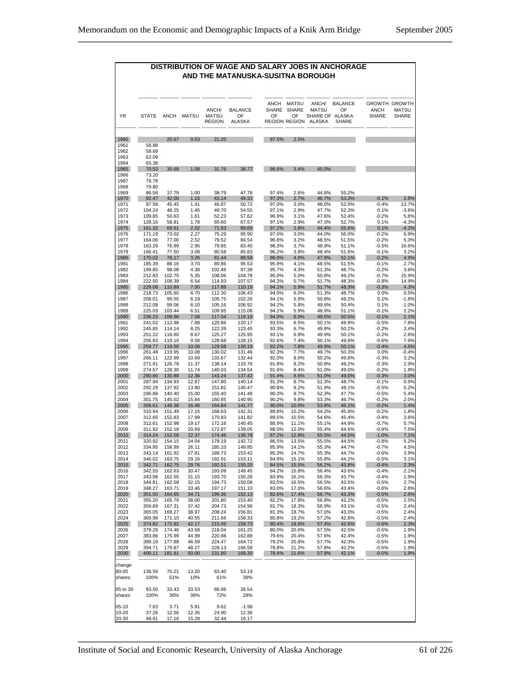## **DISTRIBUTION OF WAGE AND SALARY JOBS IN ANCHORAGE AND THE MATANUSKA-SUSITNA BOROUGH**

| YR                           | <b>STATE</b>                     | ANCH             | <b>MATSU</b>   | ANCH/<br><b>MATSU</b><br><b>REGION</b> | <b>BALANCE</b><br>OF<br><b>ALASKA</b> | ANCH<br>SHARE<br>OF | <b>MATSU</b><br>SHARE<br>OF<br>REGION REGION | ANCH/<br><b>MATSU</b><br>SHARE OF ALASKA<br>ALASKA | BALANCE<br>OF<br><b>SHARE</b> | <b>ANCH</b><br>SHARE | GROWTH GROWTH<br>MATSU<br>SHARE |
|------------------------------|----------------------------------|------------------|----------------|----------------------------------------|---------------------------------------|---------------------|----------------------------------------------|----------------------------------------------------|-------------------------------|----------------------|---------------------------------|
| 1960<br>1961<br>1962<br>1963 | 56.88<br>58.69<br>62.09          | 20.67            | 0.53           | 21.20                                  |                                       | 97.5%               | 2.5%                                         |                                                    |                               |                      |                                 |
| 1964<br>1965<br>1966<br>1967 | 65.38<br>70.53<br>73.20<br>76.78 | 30.68            | 1.08           | 31.76                                  | 38.77                                 | 96.6%               | 3.4%                                         | 45.0%                                              |                               |                      |                                 |
| 1968<br>1969                 | 79.80<br>86.56                   | 37.79            | 1.00           | 38.79                                  | 47.78                                 | 97.4%               | 2.6%                                         | 44.8%                                              | 55.2%                         |                      |                                 |
| 1970                         | 92.47                            | 42.00            | 1.15           | 43.14                                  | 49.33                                 | 97.3%               | 2.7%                                         | 46.7%                                              | 53.3%                         | $-0.1%$              | 2.8%                            |
| 1971                         | 97.58                            | 45.45            | 1.41           | 46.87                                  | 50.72                                 | 97.0%               | 3.0%                                         | 48.0%                                              | 52.0%                         | $-0.4%$              | 13.7%                           |
| 1972<br>1973                 | 104.24<br>109.85                 | 48.25<br>50.63   | 1.45<br>1.61   | 49.70<br>52.23                         | 54.55<br>57.62                        | 97.1%<br>96.9%      | 2.9%<br>3.1%                                 | 47.7%<br>47.6%                                     | 52.3%<br>52.4%                | 0.1%<br>$-0.2%$      | $-3.6%$<br>5.8%                 |
| 1974                         | 128.16                           | 58.81            | 1.78           | 60.60                                  | 67.57                                 | 97.1%               | 2.9%                                         | 47.3%                                              | 52.7%                         | 0.1%                 | $-4.3%$                         |
| 1975                         | 161.32                           | 69.61            | 2.02           | 71.63                                  | 89.69                                 | 97.2%               | 2.8%                                         | 44.4%                                              | 55.6%                         | 0.1%                 | $-4.2%$                         |
| 1976<br>1977                 | 171.19<br>164.06                 | 73.02<br>77.00   | 2.27<br>2.52   | 75.29<br>79.52                         | 95.90<br>84.54                        | 97.0%<br>96.8%      | 3.0%<br>3.2%                                 | 44.0%<br>48.5%                                     | 56.0%<br>51.5%                | $-0.2%$<br>$-0.2%$   | 6.9%<br>5.3%                    |
| 1978                         | 163.29                           | 76.89            | 2.95           | 79.85                                  | 83.45                                 | 96.3%               | 3.7%                                         | 48.9%                                              | 51.1%                         | $-0.5%$              | 16.6%                           |
| 1979                         | 166.41                           | 77.50            | 3.08           | 80.58<br>81.44                         | 85.83                                 | 96.2%               | 3.8%                                         | 48.4%                                              | 51.6%                         | $-0.1%$              | 3.2%                            |
| 1980<br>1981                 | 170.02<br>185.39                 | 78.17<br>86.16   | 3.26<br>3.70   | 89.86                                  | 88.58<br>95.53                        | 96.0%<br>95.9%      | 4.0%<br>4.1%                                 | 47.9%<br>48.5%                                     | 52.1%<br>51.5%                | $-0.2%$<br>$-0.1%$   | 4.9%<br>2.7%                    |
| 1982                         | 199.85                           | 98.08            | 4.38           | 102.46                                 | 97.38                                 | 95.7%               | 4.3%                                         | 51.3%                                              | 48.7%                         | $-0.2%$              | 3.9%                            |
| 1983                         | 212.83                           | 102.70           | 5.35           | 108.06                                 | 104.78                                | 95.0%               | 5.0%                                         | 50.8%                                              | 49.2%                         | -0.7%                | 15.9%<br>14.9%                  |
| 1984<br>1985                 | 222.50<br>228.08                 | 108.39<br>110.89 | 6.54<br>7.00   | 114.93<br>117.88                       | 107.57<br>110.19                      | 94.3%<br>94.1%      | 5.7%<br>5.9%                                 | 51.7%<br>51.7%                                     | 48.3%<br>48.3%                | $-0.8%$<br>$-0.3%$   | 4.3%                            |
| 1986                         | 218.73                           | 105.60           | 6.70           | 112.30                                 | 106.43                                | 94.0%               | 6.0%                                         | 51.3%                                              | 48.7%                         | 0.0%                 | 0.5%                            |
| 1987<br>1988                 | 208.01<br>212.08                 | 99.55<br>99.06   | 6.19<br>6.10   | 105.75<br>105.16                       | 102.26<br>106.92                      | 94.1%               | 5.9%<br>5.8%                                 | 50.8%                                              | 49.2%<br>50.4%                | 0.1%<br>0.1%         | $-1.8%$<br>$-1.0%$              |
| 1989                         | 225.03                           | 103.44           | 6.51           | 109.95                                 | 115.08                                | 94.2%<br>94.1%      | 5.9%                                         | 49.6%<br>48.9%                                     | 51.1%                         | $-0.1%$              | 2.2%                            |
| 1990                         | 236.23                           | 109.96           | 7.08           | 117.04                                 | 119.19                                | 94.0%               | 6.0%                                         | 49.5%                                              | 50.5%                         | $-0.1%$              | 2.1%                            |
| 1991                         | 241.02                           | 112.98           | 7.88           | 120.86<br>122.39                       | 120.17                                | 93.5%               | 6.5%                                         | 50.1%                                              | 49.9%                         | $-0.5%$              | 7.8%                            |
| 1992<br>1993                 | 245.85<br>251.22                 | 114.14<br>116.60 | 8.25<br>8.67   | 125.27                                 | 123.45<br>125.95                      | 93.3%<br>93.1%      | 6.7%<br>6.9%                                 | 49.8%<br>49.9%                                     | 50.2%<br>50.1%                | $-0.2%$<br>$-0.2%$   | 3.4%<br>2.6%                    |
| 1994                         | 256.83                           | 119.10           | 9.58           | 128.68                                 | 128.15                                | 92.6%               | 7.4%                                         | 50.1%                                              | 49.9%                         | -0.6%                | 7.6%                            |
| 1995                         | 259.77                           | 119.50           | 10.08          | 129.58                                 | 130.19                                | 92.2%               | 7.8%                                         | 49.9%                                              | 50.1%                         | $-0.4%$              | 4.5%                            |
| 1996<br>1997                 | 261.48<br>266.11                 | 119.95<br>122.99 | 10.08<br>10.69 | 130.02<br>133.67                       | 131.46<br>132.44                      | 92.3%<br>92.0%      | 7.7%<br>8.0%                                 | 49.7%<br>50.2%                                     | 50.3%<br>49.8%                | 0.0%<br>-0.3%        | $-0.4%$<br>3.2%                 |
| 1998                         | 271.91                           | 126.78           | 11.37          | 138.14                                 | 133.76                                | 91.8%               | 8.2%                                         | 50.8%                                              | 49.2%                         | $-0.3%$              | 2.9%                            |
| 1999                         | 274.57                           | 128.30           | 11.74          | 140.03                                 | 134.54                                | 91.6%               | 8.4%                                         | 51.0%                                              | 49.0%                         | $-0.2%$              | 1.8%                            |
| 2000<br>2001                 | 280.66<br>287.94                 | 130.88<br>134.93 | 12.36<br>12.87 | 143.24<br>147.80                       | 137.42<br>140.14                      | 91.4%<br>91.3%      | 8.6%<br>8.7%                                 | 51.0%<br>51.3%                                     | 49.0%<br>48.7%                | $-0.3%$<br>-0.1%     | 3.0%<br>0.9%                    |
| 2002                         | 292.29                           | 137.92           | 13.90          | 151.82                                 | 140.47                                | 90.8%               | 9.2%                                         | 51.9%                                              | 48.1%                         | $-0.5%$              | 5.2%                            |
| 2003                         | 296.88                           | 140.40           | 15.00          | 155.40                                 | 141.48                                | 90.3%               | 9.7%                                         | 52.3%                                              | 47.7%                         | $-0.5%$              | 5.4%                            |
| 2004                         | 301.75                           | 145.02           | 15.84          | 160.85                                 | 140.90                                | 90.2%               | 9.8%                                         | 53.3%                                              | 46.7%                         | $-0.2%$              | 2.0%                            |
| 2005<br>2006                 | 306.61<br>310.94                 | 148.38<br>151.49 | 16.46<br>17.15 | 164.84<br>168.63                       | 141.77<br>142.31                      | 90.0%<br>89.8%      | 10.0%<br>10.2%                               | 53.8%<br>54.2%                                     | 46.2%<br>45.8%                | $-0.2%$<br>$-0.2%$   | 1.4%<br>1.8%                    |
| 2007                         | 312.65                           | 152.83           | 17.99          | 170.83                                 | 141.82                                | 89.5%               | 10.5%                                        | 54.6%                                              | 45.4%                         | $-0.4%$              | 3.6%                            |
| 2008                         | 312.61                           | 152.98           | 19.17          | 172.16                                 | 140.45                                | 88.9%               | 11.1%                                        | 55.1%                                              | 44.9%                         | -0.7%                | 5.7%                            |
| 2009<br>2010                 | 311.92<br>314.24                 | 152.18<br>152.09 | 20.69<br>22.37 | 172.87<br>174.46                       | 139.05<br>139.78                      | 88.0%<br>87.2%      | 12.0%<br>12.8%                               | 55.4%<br>55.5%                                     | 44.6%<br>44.5%                | $-0.9%$<br>$-1.0%$   | 7.5%<br>7.1%                    |
| 2011                         | 320.92                           | 154.15           | 24.04          | 178.19                                 | 142.72                                | 86.5%               | 13.5%                                        | 55.5%                                              | 44.5%                         | $-0.8%$              | 5.2%                            |
| 2012                         | 334.95                           | 158.99           | 26.11          | 185.10                                 | 149.85                                | 85.9%               | 14.1%                                        | 55.3%                                              | 44.7%                         | $-0.7%$              | 4.5%                            |
| 2013<br>2014                 | 343.14<br>346.02                 | 161.92<br>163.75 | 27.81<br>29.16 | 189.73<br>192.91                       | 153.42<br>153.11                      | 85.3%<br>84.9%      | 14.7%<br>15.1%                               | 55.3%<br>55.8%                                     | 44.7%<br>44.2%                | -0.6%<br>$-0.5%$     | 3.9%<br>3.1%                    |
| 2015                         | 342.71                           | 162.75           | 29.76          | 192.51                                 | 150.20                                | 84.5%               | 15.5%                                        | 56.2%                                              | 43.8%                         | $-0.4%$              | 2.3%                            |
| 2016                         | 342.55                           | 162.63           | 30.47          | 193.09                                 | 149.45                                | 84.2%               | 15.8%                                        | 56.4%                                              | 43.6%                         | $-0.4%$              | 2.1%                            |
| 2017<br>2018                 | 343.98<br>344.81                 | 162.55<br>162.58 | 31.15<br>32.15 | 193.70<br>194.73                       | 150.28<br>150.08                      | 83.9%<br>83.5%      | 16.1%<br>16.5%                               | 56.3%<br>56.5%                                     | 43.7%<br>43.5%                | -0.4%<br>$-0.5%$     | 1.9%<br>2.7%                    |
| 2019                         | 348.27                           | 163.71           | 33.46          | 197.17                                 | 151.10                                | 83.0%               | 17.0%                                        | 56.6%                                              | 43.4%                         | $-0.6%$              | 2.8%                            |
| 2020                         | 351.50                           | 164.65           | 34.71          | 199.36                                 | 152.13                                | 82.6%               | 17.4%                                        | 56.7%                                              | 43.3%                         | $-0.5%$              | 2.6%                            |
| 2021<br>2022                 | 355.20<br>359.69                 | 165.79<br>167.31 | 36.00<br>37.42 | 201.80<br>204.73                       | 153.40<br>154.96                      | 82.2%<br>81.7%      | 17.8%<br>18.3%                               | 56.8%<br>56.9%                                     | 43.2%<br>43.1%                | $-0.5%$<br>$-0.5%$   | 2.5%<br>2.4%                    |
| 2023                         | 365.05                           | 169.27           | 38.97          | 208.24                                 | 156.81                                | 81.3%               | 18.7%                                        | 57.0%                                              | 43.0%                         | $-0.5%$              | 2.4%                            |
| 2024                         | 369.98                           | 171.10           | 40.55          | 211.66                                 | 158.33                                | 80.8%               | 19.2%                                        | 57.2%                                              | 42.8%                         | $-0.5%$              | 2.4%                            |
| 2025                         | 374.82                           | 172.92           | 42.17<br>43.58 | 215.09                                 | 159.73                                | 80.4%               | 19.6%                                        | 57.4%                                              | 42.6%                         | $-0.6%$<br>$-0.5%$   | 2.3%                            |
| 2026<br>2027                 | 379.29<br>383.86                 | 174.46<br>175.99 | 44.99          | 218.04<br>220.98                       | 161.25<br>162.88                      | 80.0%<br>79.6%      | 20.0%<br>20.4%                               | 57.5%<br>57.6%                                     | 42.5%<br>42.4%                | $-0.5%$              | 1.9%<br>1.9%                    |
| 2028                         | 389.18                           | 177.88           | 46.59          | 224.47                                 | 164.72                                | 79.2%               | 20.8%                                        | 57.7%                                              | 42.3%                         | $-0.5%$              | 1.9%                            |
| 2029                         | 394.71                           | 179.87           | 48.27          | 228.13                                 | 166.58                                | 78.8%               | 21.2%                                        | 57.8%                                              | 42.2%                         | $-0.5%$              | 1.9%                            |
| 2030<br>                     | 400.11                           | 181.81           | 50.00          | 231.80                                 | 168.30                                | 78.4%               | 21.6%                                        | 57.9%                                              | 42.1%                         | $-0.5%$              | 1.9%                            |
| change                       |                                  |                  |                |                                        |                                       |                     |                                              |                                                    |                               |                      |                                 |
| 80-05                        | 136.59                           | 70.21            | 13.20          | 83.40                                  | 53.19                                 |                     |                                              |                                                    |                               |                      |                                 |
| shares                       | 100%                             | 51%              | 10%            | 61%                                    | 39%                                   |                     |                                              |                                                    |                               |                      |                                 |
| 05 to 30<br>shares           | 93.50<br>100%                    | 33.43<br>36%     | 33.53<br>36%   | 66.96<br>72%                           | 26.54<br>28%                          |                     |                                              |                                                    |                               |                      |                                 |
| $05-10$                      | 7.63                             | 3.71             | 5.91           | 9.62                                   | $-1.99$                               |                     |                                              |                                                    |                               |                      |                                 |
| 10-20                        | 37.26                            | 12.56            | 12.35          | 24.90                                  | 12.36                                 |                     |                                              |                                                    |                               |                      |                                 |
| 20-30                        | 48.61                            | 17.16            | 15.28          | 32.44                                  | 16.17                                 |                     |                                              |                                                    |                               |                      |                                 |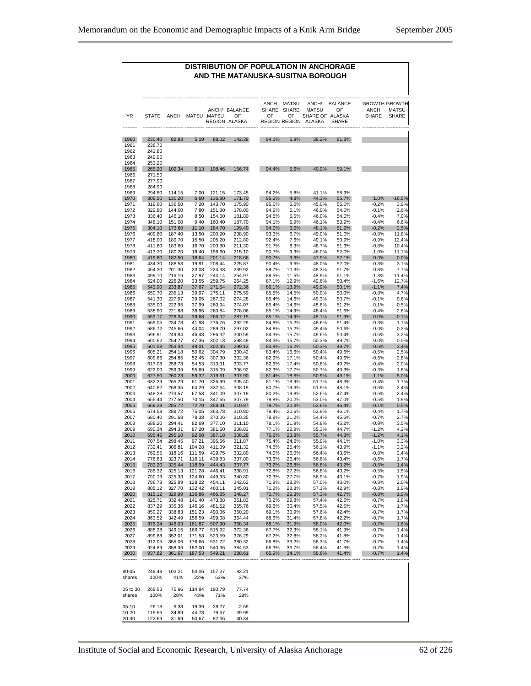#### **DISTRIBUTION OF POPULATION IN ANCHORAGE AND THE MATANUSKA-SUSITNA BOROUGH**

|                    |                  |                  |                  |                  | ANCH/ BALANCE       | ANCH<br>SHARE  | <b>MATSU</b><br><b>SHARE</b> | ANCH/<br><b>MATSU</b>     | <b>BALANCE</b><br>OF | ANCH               | <b>GROWTH GROWTH</b><br><b>MATSU</b> |
|--------------------|------------------|------------------|------------------|------------------|---------------------|----------------|------------------------------|---------------------------|----------------------|--------------------|--------------------------------------|
| ΥR                 | <b>STATE</b>     | ANCH             | MATSU            | <b>MATSU</b>     | OF<br>REGION ALASKA | OF             | OF<br><b>REGION REGION</b>   | SHARE OF ALASKA<br>ALASKA | SHARE                | <b>SHARE</b>       | SHARE                                |
| 1960               | 230.40           | 82.83            | 5.19             | 88.02            | 142.38              | 94.1%          | 5.9%                         | 38.2%                     | 61.8%                |                    |                                      |
| 1961               | 236.70           |                  |                  |                  |                     |                |                              |                           |                      |                    |                                      |
| 1962               | 242.80           |                  |                  |                  |                     |                |                              |                           |                      |                    |                                      |
| 1963<br>1964       | 249.90<br>253.20 |                  |                  |                  |                     |                |                              |                           |                      |                    |                                      |
| 1965               | 265.20           | 102.34           | 6.13             | 108.46           | 156.74              | 94.4%          | 5.6%                         | 40.9%                     | 59.1%                |                    |                                      |
| 1966               | 271.50           |                  |                  |                  |                     |                |                              |                           |                      |                    |                                      |
| 1967               | 277.90           |                  |                  |                  |                     |                |                              |                           |                      |                    |                                      |
| 1968               | 284.90           |                  |                  |                  | 173.45              |                |                              |                           |                      |                    |                                      |
| 1969<br>1970       | 294.60<br>308.50 | 114.15<br>130.20 | 7.00<br>6.60     | 121.15<br>136.80 | 171.70              | 94.2%<br>95.2% | 5.8%<br>4.8%                 | 41.1%<br>44.3%            | 58.9%<br>55.7%       | 1.0%               | $-16.5%$                             |
| 1971               | 319.60           | 136.50           | 7.20             | 143.70           | 175.90              | 95.0%          | 5.0%                         | 45.0%                     | 55.0%                | $-0.2%$            | 3.9%                                 |
| 1972               | 329.80           | 144.00           | 7.80             | 151.80           | 178.00              | 94.9%          | 5.1%                         | 46.0%                     | 54.0%                | $-0.1%$            | 2.6%                                 |
| 1973<br>1974       | 336.40<br>348.10 | 146.10<br>151.00 | 8.50<br>9.40     | 154.60<br>160.40 | 181.80<br>187.70    | 94.5%<br>94.1% | 5.5%<br>5.9%                 | 46.0%<br>46.1%            | 54.0%<br>53.9%       | $-0.4%$<br>$-0.4%$ | 7.0%<br>6.6%                         |
| 1975               | 384.10           | 173.60           | 11.10            | 184.70           | 199.40              | 94.0%          | 6.0%                         | 48.1%                     | 51.9%                | $-0.2%$            | 2.5%                                 |
| 1976               | 409.80           | 187.40           | 13.50            | 200.90           | 208.90              | 93.3%          | 6.7%                         | 49.0%                     | 51.0%                | $-0.8%$            | 11.8%                                |
| 1977               | 418.00           | 189.70           | 15.50            | 205.20           | 212.80              | 92.4%          | 7.6%                         | 49.1%                     | 50.9%                | $-0.9%$            | 12.4%                                |
| 1978               | 411.60           | 183.60           | 16.70            | 200.30           | 211.30              | 91.7%          | 8.3%                         | 48.7%                     | 51.3%                | $-0.8%$            | 10.4%                                |
| 1979<br>1980       | 413.70<br>419.80 | 180.20<br>182.50 | 18.40<br>18.64   | 198.60<br>201.14 | 215.10<br>218.66    | 90.7%<br>90.7% | 9.3%<br>9.3%                 | 48.0%<br>47.9%            | 52.0%<br>52.1%       | $-1.0%$<br>0.0%    | 11.1%<br>0.0%                        |
| 1981               | 434.30           | 188.53           | 19.91            | 208.44           | 225.87              | 90.4%          | 9.6%                         | 48.0%                     | 52.0%                | $-0.3%$            | 3.1%                                 |
| 1982               | 464.30           | 201.30           | 23.08            | 224.38           | 239.92              | 89.7%          | 10.3%                        | 48.3%                     | 51.7%                | $-0.8%$            | 7.7%                                 |
| 1983               | 499.10           | 216.16           | 27.97            | 244.14           | 254.97              | 88.5%          | 11.5%                        | 48.9%                     | 51.1%                | $-1.3%$            | 11.4%                                |
| 1984<br>1985       | 524.00<br>543.90 | 226.20<br>233.87 | 33.55<br>37.67   | 259.75<br>271.54 | 264.25<br>272.36    | 87.1%<br>86.1% | 12.9%<br>13.9%               | 49.6%<br>49.9%            | 50.4%<br>50.1%       | $-1.6%$<br>$-1.1%$ | 12.7%<br>7.4%                        |
| 1986               | 550.70           | 235.13           | 39.97            | 275.11           | 275.59              | 85.5%          | 14.5%                        | 50.0%                     | 50.0%                | $-0.8%$            | 4.7%                                 |
| 1987               | 541.30           | 227.97           | 39.05            | 267.02           | 274.28              | 85.4%          | 14.6%                        | 49.3%                     | 50.7%                | $-0.1%$            | 0.6%                                 |
| 1988               | 535.00           | 222.95           | 37.99            | 260.94           | 274.07              | 85.4%          | 14.6%                        | 48.8%                     | 51.2%                | 0.1%               | $-0.5%$                              |
| 1989<br>1990       | 538.90<br>553.17 | 221.88<br>226.34 | 38.95<br>39.68   | 260.84<br>266.02 | 278.06<br>287.15    | 85.1%<br>85.1% | 14.9%<br>14.9%               | 48.4%<br>48.1%            | 51.6%<br>51.9%       | $-0.4%$<br>0.0%    | 2.6%<br>$-0.1%$                      |
| 1991               | 569.05           | 234.78           | 41.98            | 276.76           | 292.29              | 84.8%          | 15.2%                        | 48.6%                     | 51.4%                | $-0.3%$            | 1.7%                                 |
| 1992               | 586.72           | 245.66           | 44.04            | 289.70           | 297.02              | 84.8%          | 15.2%                        | 49.4%                     | 50.6%                | 0.0%               | 0.2%                                 |
| 1993               | 596.91           | 249.84           | 46.48            | 296.32           | 300.59              | 84.3%          | 15.7%                        | 49.6%                     | 50.4%                | $-0.6%$            | 3.2%                                 |
| 1994               | 600.62           | 254.77           | 47.36<br>49.01   | 302.13           | 298.49              | 84.3%          | 15.7%                        | 50.3%                     | 49.7%                | 0.0%               | 0.0%                                 |
| 1995<br>1996       | 601.58<br>605.21 | 253.44<br>254.18 | 50.62            | 302.45<br>304.79 | 299.13<br>300.42    | 83.8%<br>83.4% | 16.2%<br>16.6%               | 50.3%<br>50.4%            | 49.7%<br>49.6%       | $-0.6%$<br>$-0.5%$ | 3.4%<br>2.5%                         |
| 1997               | 609.66           | 254.85           | 52.45            | 307.30           | 302.36              | 82.9%          | 17.1%                        | 50.4%                     | 49.6%                | $-0.6%$            | 2.8%                                 |
| 1998               | 617.08           | 258.78           | 54.53            | 313.31           | 303.77              | 82.6%          | 17.4%                        | 50.8%                     | 49.2%                | $-0.4%$            | 2.0%                                 |
| 1999               | 622.00           | 259.39           | 55.69            | 315.09           | 306.92              | 82.3%          | 17.7%                        | 50.7%                     | 49.3%                | $-0.3%$            | 1.6%                                 |
| 2000<br>2001       | 627.50<br>632.39 | 260.28<br>265.29 | 59.32<br>61.70   | 319.61<br>326.99 | 307.90<br>305.40    | 81.4%<br>81.1% | 18.6%<br>18.9%               | 50.9%<br>51.7%            | 49.1%<br>48.3%       | $-1.1%$<br>$-0.4%$ | 5.0%<br>1.7%                         |
| 2002               | 640.82           | 268.35           | 64.29            | 332.64           | 308.19              | 80.7%          | 19.3%                        | 51.9%                     | 48.1%                | $-0.6%$            | 2.4%                                 |
| 2003               | 648.28           | 273.57           | 67.53            | 341.09           | 307.19              | 80.2%          | 19.8%                        | 52.6%                     | 47.4%                | $-0.6%$            | 2.4%                                 |
| 2004               | 655.44           | 277.50           | 70.15            | 347.65           | 307.79              | 79.8%          | 20.2%                        | 53.0%                     | 47.0%                | $-0.5%$            | 1.9%                                 |
| 2005<br>2006       | 669.28<br>674.58 | 285.72<br>288.72 | 72.70<br>75.05   | 358.41<br>363.78 | 310.87<br>310.80    | 79.7%<br>79.4% | 20.3%<br>20.6%               | 53.6%<br>53.9%            | 46.4%<br>46.1%       | $-0.1%$<br>$-0.4%$ | 0.5%<br>1.7%                         |
| 2007               | 680.40           | 291.68           | 78.38            | 370.06           | 310.35              | 78.8%          | 21.2%                        | 54.4%                     | 45.6%                | $-0.7%$            | 2.7%                                 |
| 2008               | 688.20           | 294.41           | 82.69            | 377.10           | 311.10              | 78.1%          | 21.9%                        | 54.8%                     | 45.2%                | $-0.9%$            | 3.5%                                 |
| 2009               | 690.34           | 294.31           | 87.20            | 381.50           | 308.83              | 77.1%          | 22.9%                        | 55.3%                     | 44.7%                | $-1.2%$            | 4.2%                                 |
| 2010               | 695.46           | 295.10           | 92.08            | 387.18           | 308.28              | 76.2%          | 23.8%                        | 55.7%                     | 44.3%                | $-1.2%$            | 4.1%                                 |
| 2011<br>2012       | 707.54<br>732.41 | 298.45<br>306.81 | 97.21<br>104.28  | 395.66<br>411.09 | 311.87<br>321.32    | 75.4%<br>74.6% | 24.6%<br>25.4%               | 55.9%<br>56.1%            | 44.1%<br>43.9%       | $-1.0%$<br>$-1.1%$ | 3.3%<br>3.2%                         |
| 2013               | 762.55           | 318.16           | 111.59           | 429.75           | 332.80              | 74.0%          | 26.0%                        | 56.4%                     | 43.6%                | $-0.8%$            | 2.4%                                 |
| 2014               | 776.83           | 323.71           | 116.11           | 439.83           | 337.00              | 73.6%          | 26.4%                        | 56.6%                     | 43.4%                | $-0.6%$            | 1.7%                                 |
| 2015               | 782.20           | 325.44           | 118.99           | 444.43           | 337.77              | 73.2%          | 26.8%                        | 56.8%                     | 43.2%                | $-0.5%$            | 1.4%                                 |
| 2016<br>2017       | 785.32<br>790.73 | 325.13<br>325.33 | 121.28<br>124.60 | 446.41<br>449.93 | 338.91<br>340.80    | 72.8%<br>72.3% | 27.2%<br>27.7%               | 56.8%<br>56.9%            | 43.2%<br>43.1%       | $-0.5%$<br>$-0.7%$ | 1.5%<br>1.9%                         |
| 2018               | 796.73           | 325.89           | 128.22           | 454.11           | 342.62              | 71.8%          | 28.2%                        | 57.0%                     | 43.0%                | $-0.8%$            | 2.0%                                 |
| 2019               | 805.12           | 327.70           | 132.42           | 460.11           | 345.01              | 71.2%          | 28.8%                        | 57.1%                     | 42.9%                | $-0.8%$            | 1.9%                                 |
| 2020               | 815.12           | 329.99           | 136.86           | 466.85           | 348.27              | 70.7%          | 29.3%                        | 57.3%                     | 42.7%                | $-0.8%$            | 1.9%                                 |
| 2021<br>2022       | 825.71<br>837.29 | 332.48<br>335.36 | 141.40<br>146.16 | 473.88<br>481.52 | 351.83<br>355.76    | 70.2%<br>69.6% | 29.8%<br>30.4%               | 57.4%<br>57.5%            | 42.6%<br>42.5%       | $-0.7%$<br>$-0.7%$ | 1.8%<br>1.7%                         |
| 2023               | 850.27           | 338.83           | 151.23           | 490.06           | 360.20              | 69.1%          | 30.9%                        | 57.6%                     | 42.4%                | $-0.7%$            | 1.7%                                 |
| 2024               | 863.52           | 342.49           | 156.59           | 499.08           | 364.44              | 68.6%          | 31.4%                        | 57.8%                     | 42.2%                | $-0.7%$            | 1.7%                                 |
| 2025               | 876.24           | 346.03           | 161.87           | 507.90           | 368.34              | 68.1%          | 31.9%                        | 58.0%                     | 42.0%                | $-0.7%$            | 1.6%                                 |
| 2026               | 888.28           | 349.15<br>352.01 | 166.77           | 515.92           | 372.36              | 67.7%          | 32.3%                        | 58.1%                     | 41.9%                | $-0.7%$            | 1.4%                                 |
| 2027<br>2028       | 899.88<br>912.05 | 355.06           | 171.58<br>176.66 | 523.59<br>531.72 | 376.29<br>380.32    | 67.2%<br>66.8% | 32.8%<br>33.2%               | 58.2%<br>58.3%            | 41.8%<br>41.7%       | $-0.7%$<br>$-0.7%$ | 1.4%<br>1.4%                         |
| 2029               | 924.89           | 358.36           | 182.00           | 540.36           | 384.53              | 66.3%          | 33.7%                        | 58.4%                     | 41.6%                | $-0.7%$            | 1.4%                                 |
| 2030               | 937.82           | 361.67           | 187.53           | 549.21           | 388.61              | 65.9%          | 34.1%                        | 58.6%                     | 41.4%                | $-0.7%$            | 1.4%                                 |
|                    |                  |                  |                  |                  |                     |                |                              |                           |                      |                    |                                      |
| 80-05              | 249.48           | 103.21           | 54.06            | 157.27           | 92.21               |                |                              |                           |                      |                    |                                      |
| shares             | 100%             | 41%              | 22%              | 63%              | 37%                 |                |                              |                           |                      |                    |                                      |
|                    |                  |                  |                  |                  |                     |                |                              |                           |                      |                    |                                      |
| 05 to 30<br>shares | 268.53<br>100%   | 75.96<br>28%     | 114.84<br>43%    | 190.79<br>71%    | 77.74<br>29%        |                |                              |                           |                      |                    |                                      |
|                    |                  |                  |                  |                  |                     |                |                              |                           |                      |                    |                                      |
| $05-10$            | 26.18            | 9.38             | 19.39            | 28.77            | $-2.59$             |                |                              |                           |                      |                    |                                      |
| 10-20              | 119.66           | 34.89            | 44.78            | 79.67            | 39.99               |                |                              |                           |                      |                    |                                      |
| 20-30              | 122.69           | 31.69            | 50.67            | 82.36            | 40.34               |                |                              |                           |                      |                    |                                      |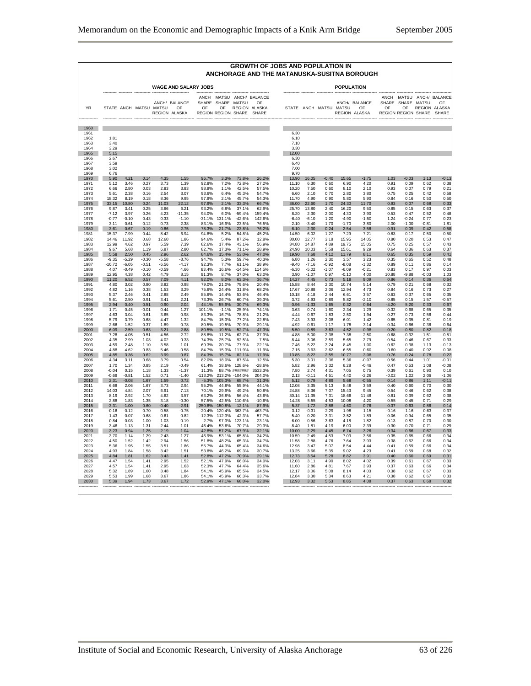|              |              |         |         |                        |                                      |             |                                    |               |                                                          | <b>GROWTH OF JOBS AND POPULATION IN</b><br>ANCHORAGE AND THE MATANUSKA-SUSITNA BOROUGH |         |                        |                   |                                      |                    |                                                  |              |                                               |
|--------------|--------------|---------|---------|------------------------|--------------------------------------|-------------|------------------------------------|---------------|----------------------------------------------------------|----------------------------------------------------------------------------------------|---------|------------------------|-------------------|--------------------------------------|--------------------|--------------------------------------------------|--------------|-----------------------------------------------|
|              |              |         |         |                        | <b>WAGE AND SALARY JOBS</b>          |             |                                    |               |                                                          |                                                                                        |         |                        | <b>POPULATION</b> |                                      |                    |                                                  |              |                                               |
| <b>YR</b>    |              |         |         | STATE ANCH MATSU MATSU | ANCH/ BALANCE<br>OF<br>REGION ALASKA | SHARE<br>OF | SHARE<br>OF<br>REGION REGION SHARE | MATSU         | ANCH MATSU ANCH/ BALANCE<br>OF<br>REGION ALASKA<br>SHARE |                                                                                        |         | STATE ANCH MATSU MATSU |                   | ANCH/ BALANCE<br>OF<br>REGION ALASKA | <b>SHARE</b><br>OF | ANCH MATSU<br>SHARF<br>OF<br>REGION REGION SHARE | <b>MATSU</b> | ANCH/ BALANCE<br>OF<br>REGION ALASKA<br>SHARE |
| 1960         |              |         |         |                        |                                      |             |                                    |               |                                                          |                                                                                        |         |                        |                   |                                      |                    |                                                  |              |                                               |
| 1961<br>1962 | 1.81         |         |         |                        |                                      |             |                                    |               |                                                          | 6.30<br>6.10                                                                           |         |                        |                   |                                      |                    |                                                  |              |                                               |
| 1963<br>1964 | 3.40<br>3.29 |         |         |                        |                                      |             |                                    |               |                                                          | 7.10<br>3.30                                                                           |         |                        |                   |                                      |                    |                                                  |              |                                               |
| 1965<br>1966 | 5.15<br>2.67 |         |         |                        |                                      |             |                                    |               |                                                          | 12.00<br>6.30                                                                          |         |                        |                   |                                      |                    |                                                  |              |                                               |
| 1967<br>1968 | 3.59<br>3.02 |         |         |                        |                                      |             |                                    |               |                                                          | 6.40<br>7.00                                                                           |         |                        |                   |                                      |                    |                                                  |              |                                               |
| 1969         | 6.76         |         |         |                        |                                      |             |                                    |               |                                                          | 9.70                                                                                   |         |                        |                   |                                      |                    |                                                  |              |                                               |
| 1970         | 5.90         | 4.21    | 0.14    | 4.35                   | 1.55                                 | 96.7%       | 3.3%                               | 73.8%         | 26.2%                                                    | 13.90                                                                                  | 16.05   | $-0.40$                | 15.65             | $-1.75$                              | 1.03               | $-0.03$                                          | 1.13         | $-0.13$                                       |
| 1971         | 5.12         | 3.46    | 0.27    | 3.73                   | 1.39                                 | 92.8%       | 7.2%                               | 72.8%         | 27.2%                                                    | 11.10                                                                                  | 6.30    | 0.60                   | 6.90              | 4.20                                 | 0.91               | 0.09                                             | 0.62         | 0.38                                          |
| 1972         | 6.66         | 2.80    | 0.03    | 2.83                   | 3.83                                 | 98.9%       | 1.1%                               | 42.5%         | 57.5%                                                    | 10.20                                                                                  | 7.50    | 0.60                   | 8.10              | 2.10                                 | 0.93               | 0.07                                             | 0.79         | 0.21                                          |
| 1973         | 5.61         | 2.38    | 0.16    | 2.54                   | 3.07                                 | 93.6%       | 6.4%                               | 45.3%         | 54.7%                                                    | 6.60                                                                                   | 2.10    | 0.70                   | 2.80              | 3.80                                 | 0.75               | 0.25                                             | 0.42         | 0.58                                          |
| 1974         | 18.32        | 8.19    | 0.18    | 8.36                   | 9.95                                 | 97.9%       | 2.1%                               | 45.7%         | 54.3%                                                    | 11.70                                                                                  | 4.90    | 0.90                   | 5.80              | 5.90                                 | 0.84               | 0.16                                             | 0.50         | 0.50                                          |
| 1975         | 33.15        | 10.80   | 0.24    | 11.03                  | 22.12                                | 97.9%       | 2.1%                               | 33.3%         | 66.7%                                                    | 36.00                                                                                  | 22.60   | 1.70                   | 24.30             | 11.70                                | 0.93               | 0.07                                             | 0.68         | 0.33                                          |
| 1976         | 9.87         | 3.41    | 0.25    | 3.66                   | 6.21                                 | 93.2%       | 6.8%                               | 37.1%         | 62.9%                                                    | 25.70                                                                                  | 13.80   | 2.40                   | 16.20             | 9.50                                 | 0.85               | 0.15                                             | 0.63         | 0.37                                          |
| 1977         | $-7.12$      | 3.97    | 0.26    | 4.23                   | $-11.35$                             | 94.0%       | 6.0%                               | $-59.4%$      | 159.4%                                                   | 8.20                                                                                   | 2.30    | 2.00                   | 4.30              | 3.90                                 | 0.53               | 0.47                                             | 0.52         | 0.48                                          |
| 1978         | $-0.77$      | $-0.10$ | 0.43    | 0.33                   | $-1.10$                              | $-31.1%$    | 131.1%                             | -42.6%        | 142.6%                                                   | $-6.40$                                                                                | $-6.10$ | 1.20                   | $-4.90$           | $-1.50$                              | 1.24               | $-0.24$                                          | 0.77         | 0.23                                          |
| 1979         | 3.11         | 0.61    | 0.12    | 0.73                   | 2.38                                 | 83 1%       | 16.9%                              | 23.5%         | 76.5%                                                    | 210                                                                                    | -3.40   | 170                    | $-1.70$           | 3.80                                 | 2.00               | $-1.00$                                          | -0.81        | $1.8^{\circ}$                                 |
| 1980         | 3.61         | 0.67    | 0.19    | 0.86                   | 2.75                                 | 78.3%       | 21.7%                              | 23.8%         | 76.2%                                                    | 6.10                                                                                   | 2.30    | 0.24                   | 2.54              | 3.56                                 | 0.91               | 0.09                                             | 0.42         | 0.58                                          |
| 1981         | 15.37        | 7.99    | 0.44    | 8.42                   | 6.94                                 | 94.8%       | 5.2%                               | 54.8%         | 45.2%                                                    | 14.50                                                                                  | 6.02    | 1.27                   | 7.29              | 7.21                                 | 0.83               | 0.17                                             | 0.50         | 0.50                                          |
| 1982         | 14.46        | 11.92   | 0.68    | 12.60                  | 1.86                                 | 94.6%       | 5.4%                               | 87.2%         | 12.8%                                                    | 30.00                                                                                  | 12.77   | 3.18                   | 15.95             | 14.05                                | 0.80               | 0.20                                             | 0.53         | 0.47                                          |
| 1983         | 12.99        | 4.62    | 0.97    | 5.59                   | 7.39                                 | 82.6%       | 17.4%                              | 43.1%         | 56.9%                                                    | 34.80                                                                                  | 14.87   | 4.89                   | 19.75             | 15.05                                | 0.75               | 0.25                                             | 0.57         | 0.43                                          |
| 1984         | 9.67         | 5.68    | 1.19    | 6.87                   | 2.80                                 | 82.7%       | 17.3%                              | 71.1%         | 28.9%                                                    | 24.90                                                                                  | 10.03   | 5.58                   | 15.61             | 9.29                                 | 0.64               | 0.36                                             | 0.63         | 0.37                                          |
| 1985         | 5.58         | 2.50    | 0.45    | 2.96                   | 2.62                                 | 84.6%       | 15.4%                              | 53.0%         | 47.0%                                                    | 19.90                                                                                  | 7.68    | 4.12                   | 11.79             | 8.11                                 | 0.65               | 0.35                                             | 0.59         | 0.41                                          |
| 1986         | $-9.35$      | $-5.29$ | $-0.30$ | $-5.58$                | $-3.76$                              | 94.7%       | 5.3%                               | 59.7%         | 40.3%                                                    | 6.80                                                                                   | 1.26    | 2.30                   | 3.57              | 3.23                                 | 0.35               | 0.65                                             | 0.52         | 0.48                                          |
| 1987         | $-10.72$     | $-6.05$ | $-0.51$ | $-6.56$                | $-4.17$                              | 92.3%       | 7.7%                               | 61.1%         | 38.9%                                                    | $-9.40$                                                                                | $-7.16$ | $-0.92$                | $-8.08$           | $-1.32$                              | 0.89               | 0.11                                             | 0.86         | 0.14                                          |
| 1988         | 4.07         | $-0.49$ | $-0.10$ | $-0.59$                | 4.66                                 | 83.4%       | 16.6%                              | $-14.5%$      | 114.5%                                                   | $-6.30$                                                                                | $-5.02$ | $-1.07$                | $-6.09$           | $-0.21$                              | 0.83               | 0.17                                             | 0.97         | 0.03                                          |
| 1989         | 12.95        | 4.38    | 0.42    | 4.79                   | 8.15                                 | 91.3%       |                                    | 37.0%         | 63.0%                                                    | 3.90                                                                                   | $-1.07$ | 0.97                   | $-0.10$           | 4.00                                 | 10.88              | $-9.88$                                          | $-0.03$      | 1.03                                          |
| 1990         | 11.20        | 6.52    | 0.57    | 7.09                   | 4.11                                 | 92.0%       | 8.7%<br>8.0%                       | 63.3%         | 36.7%                                                    | 14.27                                                                                  | 4.45    | 0.73                   | 5.18              | 9.09                                 | 0.86               | 0.14                                             | 0.36         | 0.64                                          |
| 1991         | 4.80         | 3.02    | 0.80    | 3.82                   | 0.98                                 | 79.0%       | 21.0%                              | 79.6%         | 20.4%                                                    | 15.88                                                                                  | 8.44    | 2.30                   | 10.74             | 5.14                                 | 0.79               | 0.21                                             | 0.68         | 0.32                                          |
| 1992         | 4.82         | 1.16    | 0.38    | 1.53                   | 3.29                                 | 75.6%       | 24.4%                              | 31.8%         | 68.2%                                                    | 17.67                                                                                  | 10.88   | 2.06                   | 12.94             | 4.73                                 | 0.84               | 0.16                                             | 0.73         | 0.27                                          |
| 1993         | 5.37         | 2.46    | 0.41    | 2.88                   | 2.49                                 | 85.6%       | 14.4%                              | 53.6%         | 46.4%                                                    | 10.18                                                                                  | 4.18    | 2.44                   | 6.61              | 3.57                                 | 0.63               | 0.37                                             | 0.65         | 0.35                                          |
| 1994         | 5.61         | 2.50    | 0.91    | 3.41                   | 2.21                                 | 73.3%       | 26.7%                              | 60.7%         | 39.3%                                                    | 3.72                                                                                   | 4.93    | 0.89                   | 5.82              | $-2.10$                              | 0.85               | 0.15                                             | 1.57         | $-0.57$                                       |
| 1995         | 2.94         | 0.40    | 0.51    | 0.90                   | 2.04                                 | 44.1%       | 55.9%                              | 30.7%         | 69.3%                                                    | 0.96                                                                                   | $-1.33$ | 1.65                   | 0.32              | 0.64                                 | $-4.20$            | 5.20                                             | 0.33         | 0.67                                          |
| 1996         | 1.71         | 0.45    | $-0.01$ | 0.44                   | 1.27                                 | 101.1%      | $-1.1%$                            | 25.9%         | 74.1%                                                    | 3.63                                                                                   | 0.74    | 1.60                   | 2.34              | 1.29                                 | 0.32               | 0.68                                             | 0.65         | 0.35                                          |
| 1997         | 4.63         | 3.04    | 0.61    | 3.65                   | 0.98                                 | 83.3%       | 16.7%                              | 78.8%         | 21.2%                                                    | 4.44                                                                                   | 0.67    | 1.83                   | 2.50              | 1.94                                 | 0.27               | 0.73                                             | 0.56         | 0.44                                          |
| 1998         | 5.79         | 3.79    | 0.68    | 4.47                   | 1.32                                 | 84.7%       | 15.3%                              | 77.2%         | 22.8%                                                    | 7.43                                                                                   | 3.93    | 2.08                   | 6.01              | 1.42                                 | 0.65               | 0.35                                             | 0.81         | 0.19                                          |
| 1999         | 2.66         | 1.52    | 0.37    | 1.89                   | 0.78                                 | 80.5%       | 19.5%                              | 70.9%         | 29.1%                                                    | 4.92                                                                                   | 0.61    | 1.17                   | 1.78              | 3.14                                 | 0.34               | 0.66                                             | 0.36         | 0.64                                          |
| 2000         | 6.09         | 2.59    | 0.63    | 3.21                   | 2.88                                 | 80.5%       | 19.5%                              | 52.7%         | 47.3%                                                    | 5.50                                                                                   | 0.89    | 3.63                   | 4.52              | 0.98                                 | 0.20               | 0.80                                             | 0.82         | 0.18                                          |
| 2001         | 7.28         | 4.05    | 0.51    | 4.56                   | 2.72                                 | 88.8%       | 11.2%                              | 62.7%         | 37.3%                                                    | 4.88                                                                                   | 5.00    | 2.38                   | 7.38              | $-2.50$                              | 0.68               | 0.32                                             | 1.51         | $-0.51$                                       |
| 2002         | 4.35         | 2.99    | 1.03    | 4.02                   | 0.33                                 | 74.3%       | 25.7%                              | 92.5%         | 7.5%                                                     | 8.44                                                                                   | 3.06    | 2.59                   | 5.65              | 2.79                                 | 0.54               | 0.46                                             | 0.67         | 0.33                                          |
| 2003         | 4.59         | 2.48    | 1.10    | 3.58                   | 1.01                                 | 69.3%       | 30.7%                              | 77.9%         | 22.1%                                                    | 7.46                                                                                   | 5.22    | 3.24                   | 8.45              | $-1.00$                              | 0.62               | 0.38                                             | 1.13         | $-0.13$                                       |
| 2004         | 4.88         | 4.62    | 0.83    | 5.46                   | $-0.58$                              | 84.7%       | 15.3%                              | 111.9%        | $-11.9%$                                                 | 7.15                                                                                   | 3.93    | 2.62                   | 6.55              | 0.60                                 | 0.60               | 0.40                                             | 0.92         | 0.08                                          |
| 2005         | 4.85         | 3.36    | 0.62    | 3.99                   | 0.87                                 | 84.3%       | 15.7%                              | 82.1%         | 17.9%                                                    | 13.85                                                                                  | 8.22    | 2.55                   | 10.77             | 3.08                                 | 0.76               | 0.24                                             | 0.78         | 0.22                                          |
| 2006         | 4.34         | 3.11    | 0.68    | 3.79                   | 0.54                                 | 82.0%       | 18.0%                              | 87.5%         | 12.5%                                                    | 5.30                                                                                   | 3.01    | 2.36                   | 5.36              | $-0.07$                              | 0.56               | 0.44                                             | 1.01         | $-0.01$                                       |
| 2007         | 1.70         | 1.34    | 0.85    | 2.19                   | $-0.49$                              | 61.4%       | 38.6%                              | 128.6%        | -28.6%                                                   | 5.82                                                                                   | 2.96    | 3.32                   | 6.28              | $-0.46$                              | 0.47               | 0.53                                             | 1.08         | $-0.08$                                       |
| 2008         | $-0.04$      | 0.15    | 1.18    | 1.33                   | $-1.37$                              | 11.3%       |                                    | 88.7% ####### | 3533.3%                                                  | 7.80                                                                                   | 274     | 4.31                   | 7.05              | 0.75                                 | 0.39               | 0.61                                             | 0.90         | 0.10                                          |
| 2009         | $-0.69$      | $-0.81$ | 1.52    | 0.71                   | $-1.40$                              | $-113.2%$   | 213.2%                             | $-104.0%$     | 204.0%                                                   | 2.13                                                                                   | $-0.11$ | 4.51                   | 4.40              | $-2.26$                              | $-0.02$            | 1.02                                             | 2.06         | $-1.06$                                       |
| 2010         | 2.31         | -0.08   | 1.67    | 1.59                   | 0.72                                 | $-5.3%$     | 105.3%                             | 68.7%         | 31.3%                                                    | 5.12                                                                                   | 0.79    | 4.89                   | 5.68              | $-0.55$                              | 0.14               | 0.86                                             | 1.11         | $-0.11$                                       |
| 2011         | 6.68         | 2.06    | 1.67    | 3.73                   | 2.94                                 | 55.2%       | 44.8%                              | 55.9%         | 44.1%                                                    | 12.08                                                                                  | 3.35    | 5.13                   | 8.48              | 3.59                                 | 0.40               | 0.60                                             | 0.70         | 0.30                                          |
| 2012         | 14.03        | 4.84    | 2.07    | 6.91                   | 7.13                                 | 70.1%       | 29.9%                              | 49.2%         | 50.8%                                                    | 24.88                                                                                  | 8.36    | 7.07                   | 15.43             | 9.45                                 | 0.54               | 0.46                                             | 0.62         | 0.38                                          |
| 2013         | 8.19         | 2.92    | 1.70    | 4.62                   | 3.57                                 | 63.2%       | 36.8%                              | 56.4%         | 43.6%                                                    | 30.14                                                                                  | 11.35   | 7.31                   | 18.66             | 11.48                                | 0.61               | 0.39                                             | 0.62         | 0.38                                          |
| 2014         | 2.88         | 1.83    | 1.35    | 3.18                   | $-0.30$                              | 57.5%       | 42.5%                              | 110.6%        | $-10.6%$                                                 | 14.28                                                                                  | 5.55    | 4.53                   | 10.08             | 4.20                                 | 0.55               | 0.45                                             | 0.71         | 0.29                                          |
| 2015         | $-3.31$      | $-1.00$ | 0.60    | $-0.40$                | $-2.91$                              | 250.8%      | 150.8%                             | 12.1%         | 87.9%                                                    | 5.37                                                                                   | 1.72    | 2.88                   | 4.60              | 0.76                                 | 0.37               | 0.63                                             | 0.86         | 0.14                                          |
| 2016         | $-0.16$      | $-0.12$ | 0.70    | 0.58                   | $-0.75$                              | $-20.4%$    | 120.4%                             | $-363.7%$     | 463.7%                                                   | 3.12                                                                                   | $-0.31$ | 2.29                   | 1.98              | 1.15                                 | $-0.16$            | 1.16                                             | 0.63         | 0.37                                          |
| 2017         | 1.43         | $-0.07$ | 0.68    | 0.61                   | 0.82                                 | $-12.3%$    | 112.3%                             | 42.3%         | 57.7%                                                    | 5.40                                                                                   | 0.20    | 3.31                   | 3.52              | 1.89                                 | 0.06               | 0.94                                             | 0.65         | 0.35                                          |
| 2018         | 0.84         | 0.03    | 1.00    | 1.03                   | $-0.19$                              | 2.7%        | 97.3%                              | 123.1%        | $-23.1%$                                                 | 6.00                                                                                   | 0.56    | 3.63                   | 4.18              | 1.82                                 | 0.13               | 0.87                                             | 0.70         | 0.30                                          |
| 2019         | 3.46         | 1.13    | 1.31    | 2.44                   | 1.01                                 | 46.4%       | 53.6%                              | 70.7%         | 29.3%                                                    | 8.40                                                                                   | 1.81    | 4.19                   | 6.00              | 2.39                                 | 0.30               | 0.70                                             | 0.71         | 0.29                                          |
| 2020         | 3.23         | 0.94    | 1.25    | 2.19                   | 1.04                                 | 42.8%       | 57.2%                              | 67.9%         | 32.1%                                                    | 10.00                                                                                  | 2.29    | 4.45                   | 6.74              | 3.26                                 | 0.34               | 0.66                                             | 0.67         | 0.33                                          |
| 2021         | 3.70         | 1.14    | 1.29    | 2.43                   | 1.27                                 | 46.9%       | 53.1%                              | 65.8%         | 34.2%                                                    | 10.59                                                                                  | 2.49    | 4.53                   | 7.03              | 3.56                                 | 0.35               | 0.65                                             | 0.66         | 0.34                                          |
| 2022         | 4.50         | 1.52    | 1.42    | 2.94                   | 1.56                                 | 51.8%       | 48.2%                              | 65.3%         | 34.7%                                                    | 11.58                                                                                  | 2.88    | 4.76                   | 7.64              | 3.93                                 | 0.38               | 0.62                                             | 0.66         | 0.34                                          |
| 2023         | 5.36         | 1.95    | 1.55    | 3.51                   | 1.86                                 | 55.7%       | 44.3%                              | 65.4%         | 34.6%                                                    | 12.98                                                                                  | 3.47    | 5.07                   | 8.54              | 4.44                                 | 0.41               | 0.59                                             | 0.66         | 0.34                                          |
| 2024         | 4.93         | 1.84    | 1.58    | 3.42                   | 1.51                                 | 53.8%       | 46.2%                              | 69.3%         | 30.7%                                                    | 13.25                                                                                  | 3.66    | 5.35                   | 9.02              | 4.23                                 | 0.41               | 0.59                                             | 0.68         | 0.32                                          |
| 2025         | 4.84         | 1.81    | 1.62    | 3.43                   | 1.41                                 | 52.8%       | 47.2%                              | 70.9%         | 29.1%                                                    | 12.73                                                                                  | 3.54    | 5.28                   | 8.82              | 3.91                                 | 0.40               | 0.60                                             | 0.69         | 0.31                                          |
| 2026         | 4.47         | 1.54    | 1.41    | 2.95                   | 1.52                                 | 52.1%       | 47.9%                              | 66.0%         | 34.0%                                                    | 12.03                                                                                  | 3.11    | 4.90                   | 8.02              | 4.02                                 | 0.39               | 0.61                                             | 0.67         | 0.33                                          |
| 2027         | 4.57         | 1.54    | 1.41    | 2.95                   | 1.63                                 | 52.3%       | 47.7%                              | 64.4%         | 35.6%                                                    | 11.60                                                                                  | 2.86    | 4.81                   | 7.67              | 3.93                                 | 0.37               | 0.63                                             | 0.66         | 0.34                                          |
| 2028         | 5.32         | 1.89    | 1.60    | 3.48                   | 1.84                                 | 54.1%       | 45.9%                              | 65.5%         | 34.5%                                                    | 12.17                                                                                  | 3.06    | 5.08                   | 8.14              | 4.03                                 | 0.38               | 0.62                                             | 0.67         | 0.33                                          |
|              | 5.53         | 1.99    | 1.68    | 3.67                   | 1.86                                 | 54.1%       | 45.9%                              | 66.3%         | 33.7%                                                    | 12.84                                                                                  | 3.30    | 5.34                   | 8.63              | 4.21                                 | 0.38               | 0.62                                             | 0.67         | 0.33                                          |
| 2029<br>2030 | 5.39         | 1.94    | 1.73    | 3.67                   | 1.72                                 | 52.9%       | 47.1%                              | 68.0%         | 32.0%                                                    | 12.93                                                                                  | 3.32    | 5.53                   | 8.85              | 4.08                                 | 0.37               | 0.63                                             | 0.68         | 0.32                                          |
|              |              |         |         |                        |                                      |             |                                    |               |                                                          |                                                                                        |         |                        |                   |                                      |                    |                                                  |              |                                               |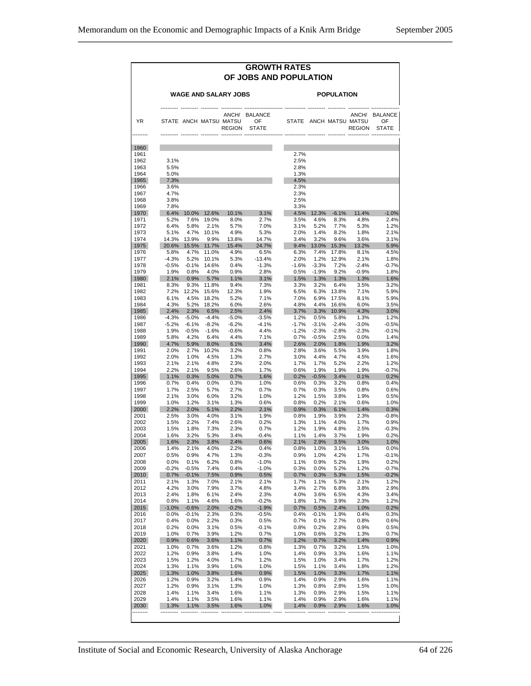|              | <b>GROWTH RATES</b><br>OF JOBS AND POPULATION |                 |                           |                                         |                              |                   |                    |                          |                                                  |                               |  |  |  |
|--------------|-----------------------------------------------|-----------------|---------------------------|-----------------------------------------|------------------------------|-------------------|--------------------|--------------------------|--------------------------------------------------|-------------------------------|--|--|--|
|              |                                               |                 |                           | <b>WAGE AND SALARY JOBS</b>             |                              | <b>POPULATION</b> |                    |                          |                                                  |                               |  |  |  |
| YR           |                                               |                 |                           | STATE ANCH MATSU MATSU<br><b>REGION</b> | ANCH/ BALANCE<br>OF<br>STATE |                   |                    |                          | ANCH/<br>STATE ANCH MATSU MATSU<br><b>REGION</b> | <b>BALANCE</b><br>OF<br>STATE |  |  |  |
| 1960         |                                               |                 |                           |                                         |                              |                   |                    |                          |                                                  |                               |  |  |  |
| 1961<br>1962 | 3.1%                                          |                 |                           |                                         |                              | 2.7%<br>2.5%      |                    |                          |                                                  |                               |  |  |  |
| 1963         | 5.5%                                          |                 |                           |                                         |                              | 2.8%              |                    |                          |                                                  |                               |  |  |  |
| 1964         | 5.0%                                          |                 |                           |                                         |                              | 1.3%              |                    |                          |                                                  |                               |  |  |  |
| 1965         | 7.3%                                          |                 |                           |                                         |                              | 4.5%              |                    |                          |                                                  |                               |  |  |  |
| 1966         | 3.6%                                          |                 |                           |                                         |                              | 2.3%              |                    |                          |                                                  |                               |  |  |  |
| 1967<br>1968 | 4.7%<br>3.8%                                  |                 |                           |                                         |                              | 2.3%<br>2.5%      |                    |                          |                                                  |                               |  |  |  |
| 1969         | 7.8%                                          |                 |                           |                                         |                              | 3.3%              |                    |                          |                                                  |                               |  |  |  |
| 1970         | 6.4%                                          |                 | 10.0% 12.6%               | 10.1%                                   | 3.1%                         | 4.5%              | 12.3%              | $-6.1%$                  | 11.4%                                            | $-1.0%$                       |  |  |  |
| 1971         | 5.2%                                          |                 | 7.6% 19.0%                | 8.0%                                    | 2.7%                         | 3.5%              | 4.6%               | 8.3%                     | 4.8%                                             | 2.4%                          |  |  |  |
| 1972         | 6.4%                                          | 5.8%            | 2.1%                      | 5.7%                                    | 7.0%                         | 3.1%              | 5.2%               | 7.7%                     | 5.3%                                             | 1.2%                          |  |  |  |
| 1973         | 5.1%                                          | 13.9%           | 4.7% 10.1%                | 4.9%                                    | 5.3%                         | 2.0%<br>3.4%      | 1.4%               | 8.2%                     | 1.8%                                             | 2.1%                          |  |  |  |
| 1974<br>1975 | 14.3%<br>20.6%                                |                 | $9.9\%$<br>15.5% 11.7%    | 13.8%<br>15.4%                          | 14.7%<br>24.7%               |                   | 3.2%               | 9.6%<br>9.4% 13.0% 15.3% | 3.6%<br>13.2%                                    | 3.1%<br>5.9%                  |  |  |  |
| 1976         | 5.8%                                          |                 | 4.7% 11.0%                | 4.9%                                    | 6.5%                         | 6.3%              | 7.4%               | 17.8%                    | 8.1%                                             | 4.5%                          |  |  |  |
| 1977         | $-4.3%$                                       |                 | 5.2% 10.1%                | 5.3%                                    | $-13.4%$                     | 2.0%              | 1.2%               | 12.9%                    | 2.1%                                             | 1.8%                          |  |  |  |
| 1978         | $-0.5%$                                       | $-0.1%$         | 14.6%                     | 0.4%                                    | $-1.3%$                      | $-1.6%$           | $-3.3%$            | 7.2%                     | $-2.4%$                                          | $-0.7%$                       |  |  |  |
| 1979         | 1.9%                                          | 0.8%            | 4.0%                      | 0.9%                                    | 2.8%                         | 0.5%              | $-1.9%$            | 9.2%                     | $-0.9%$                                          | 1.8%                          |  |  |  |
| 1980         | 2.1%                                          |                 | 0.9% 5.7%                 | 1.1%                                    | 3.1%                         | 1.5%              | 1.3%               | 1.3%                     | 1.3%                                             | 1.6%                          |  |  |  |
| 1981<br>1982 | 8.3%<br>7.2%                                  |                 | 9.3% 11.8%<br>12.2% 15.6% | 9.4%<br>12.3%                           | 7.3%<br>1.9%                 | 3.3%<br>6.5%      | 3.2%<br>6.3%       | 6.4%<br>13.8%            | 3.5%<br>7.1%                                     | 3.2%<br>5.9%                  |  |  |  |
| 1983         | 6.1%                                          |                 | 4.5% 18.2%                | 5.2%                                    | 7.1%                         | 7.0%              |                    | 6.9% 17.5%               | 8.1%                                             | 5.9%                          |  |  |  |
| 1984         | 4.3%                                          |                 | 5.2% 18.2%                | 6.0%                                    | 2.6%                         | 4.8%              | 4.4%               | 16.6%                    | 6.0%                                             | 3.5%                          |  |  |  |
| 1985         | 2.4%                                          |                 | 2.3% 6.5%                 | 2.5%                                    | 2.4%                         | 3.7%              |                    | 3.3% 10.9%               | 4.3%                                             | 3.0%                          |  |  |  |
| 1986         | $-4.3%$                                       |                 | $-5.0\% -4.4\%$           | $-5.0%$                                 | $-3.5%$                      | 1.2%              | 0.5%               | 5.8%                     | 1.3%                                             | 1.2%                          |  |  |  |
| 1987         | $-5.2%$                                       | $-6.1%$         | $-8.2%$                   | $-6.2%$                                 | $-4.1%$                      | $-1.7%$           | $-3.1%$            | $-2.4%$                  | $-3.0%$                                          | $-0.5%$                       |  |  |  |
| 1988         | 1.9%                                          | $-0.5%$         | -1.6%                     | $-0.6%$                                 | 4.4%                         | $-1.2%$           | $-2.3%$            | $-2.8%$                  | $-2.3%$                                          | $-0.1%$                       |  |  |  |
| 1989<br>1990 | 5.8%<br>4.7%                                  | 4.2%<br>5.9%    | 6.4%<br>8.0%              | 4.4%<br>6.1%                            | 7.1%<br>3.4%                 | 0.7%<br>2.6%      | $-0.5%$<br>$2.0\%$ | 2.5%<br>1.8%             | $0.0\%$<br>1.9%                                  | 1.4%<br>3.2%                  |  |  |  |
| 1991         | 2.0%                                          | 2.7%            | 10.2%                     | 3.2%                                    | 0.8%                         | 2.8%              | 3.6%               | 5.5%                     | 3.9%                                             | 1.8%                          |  |  |  |
| 1992         | 2.0%                                          | 1.0%            | 4.5%                      | 1.3%                                    | 2.7%                         | 3.0%              | 4.4%               | 4.7%                     | 4.5%                                             | 1.6%                          |  |  |  |
| 1993         | 2.1%                                          | 2.1%            | 4.8%                      | 2.3%                                    | 2.0%                         | 1.7%              | 1.7%               | 5.2%                     | 2.2%                                             | 1.2%                          |  |  |  |
| 1994         | 2.2%                                          | 2.1%            | 9.5%                      | 2.6%                                    | 1.7%                         | 0.6%              | 1.9%               | 1.9%                     | 1.9%                                             | $-0.7%$                       |  |  |  |
| 1995         | 1.1%                                          | 0.3%            | 5.0%                      | 0.7%                                    | 1.6%                         | 0.2%              | $-0.5%$            | 3.4%                     | 0.1%                                             | 0.2%                          |  |  |  |
| 1996<br>1997 | 0.7%<br>1.7%                                  | 0.4%<br>2.5%    | 0.0%<br>5.7%              | 0.3%<br>2.7%                            | 1.0%<br>0.7%                 | 0.6%<br>0.7%      | 0.3%<br>0.3%       | 3.2%<br>3.5%             | 0.8%<br>0.8%                                     | 0.4%<br>0.6%                  |  |  |  |
| 1998         | 2.1%                                          | 3.0%            | 6.0%                      | 3.2%                                    | 1.0%                         | 1.2%              | 1.5%               | 3.8%                     | 1.9%                                             | 0.5%                          |  |  |  |
| 1999         | 1.0%                                          | 1.2%            | 3.1%                      | 1.3%                                    | 0.6%                         | 0.8%              | 0.2%               | 2.1%                     | 0.6%                                             | 1.0%                          |  |  |  |
| 2000         | 2.2%                                          | 2.0%            | 5.1%                      | 2.2%                                    | 2.1%                         | 0.9%              | 0.3%               | 6.1%                     | 1.4%                                             | 0.3%                          |  |  |  |
| 2001         | 2.5%                                          | 3.0%            | 4.0%                      | 3.1%                                    | 1.9%                         | 0.8%              | 1.9%               | 3.9%                     | 2.3%                                             | $-0.8%$                       |  |  |  |
| 2002         | 1.5%                                          | 2.2%            | 7.4%                      | 2.6%                                    | 0.2%                         | 1.3%              | 1.1%               | 4.0%                     | 1.7%                                             | 0.9%                          |  |  |  |
| 2003<br>2004 | 1.5%<br>1.6%                                  | 1.8%<br>3.2%    | 7.3%<br>5.3%              | 2.3%<br>3.4%                            | 0.7%<br>$-0.4%$              | 1.2%<br>1.1%      | 1.9%<br>1.4%       | 4.8%<br>3.7%             | 2.5%<br>1.9%                                     | $-0.3%$<br>0.2%               |  |  |  |
| 2005         | 1.6%                                          | 2.3%            | 3.8%                      | 2.4%                                    | 0.6%                         | 2.1%              | 2.9%               | 3.5%                     | 3.0%                                             | 1.0%                          |  |  |  |
| 2006         | 1.4%                                          | 2.1%            | 4.0%                      | 2.2%                                    | 0.4%                         | 0.8%              | 1.0%               | 3.1%                     | 1.5%                                             | 0.0%                          |  |  |  |
| 2007         | 0.5%                                          | 0.9%            | 4.7%                      | 1.3%                                    | $-0.3%$                      | 0.9%              | 1.0%               | 4.2%                     | 1.7%                                             | $-0.1%$                       |  |  |  |
| 2008         | 0.0%                                          | 0.1%            | 6.2%                      | 0.8%                                    | $-1.0%$                      | 1.1%              | 0.9%               | 5.2%                     | 1.9%                                             | 0.2%                          |  |  |  |
| 2009         | $-0.2%$                                       | $-0.5%$         | 7.4%                      | 0.4%                                    | $-1.0%$                      | 0.3%              | 0.0%               | 5.2%                     | 1.2%                                             | $-0.7%$                       |  |  |  |
| 2010         | 0.7%                                          | $-0.1%$<br>1.3% | 7.5%                      | 0.9%<br>2.1%                            | 0.5%                         | 0.7%              | 0.3%               | 5.3%                     | 1.5%                                             | $-0.2%$                       |  |  |  |
| 2011<br>2012 | 2.1%<br>4.2%                                  | 3.0%            | 7.0%<br>7.9%              | 3.7%                                    | 2.1%<br>4.8%                 | 1.7%<br>3.4%      | 1.1%<br>2.7%       | 5.3%<br>6.8%             | 2.1%<br>3.8%                                     | 1.2%<br>2.9%                  |  |  |  |
| 2013         | 2.4%                                          | 1.8%            | 6.1%                      | 2.4%                                    | 2.3%                         | 4.0%              | 3.6%               | 6.5%                     | 4.3%                                             | 3.4%                          |  |  |  |
| 2014         | 0.8%                                          | 1.1%            | 4.6%                      | 1.6%                                    | $-0.2%$                      | 1.8%              | 1.7%               | 3.9%                     | 2.3%                                             | 1.2%                          |  |  |  |
| 2015         | $-1.0%$                                       | $-0.6%$         | 2.0%                      | $-0.2%$                                 | $-1.9%$                      | 0.7%              | 0.5%               | 2.4%                     | 1.0%                                             | 0.2%                          |  |  |  |
| 2016         | 0.0%                                          | $-0.1%$         | 2.3%                      | 0.3%                                    | $-0.5%$                      | 0.4%              | $-0.1%$            | 1.9%                     | 0.4%                                             | 0.3%                          |  |  |  |
| 2017<br>2018 | 0.4%                                          | 0.0%<br>0.0%    | 2.2%<br>3.1%              | 0.3%<br>0.5%                            | 0.5%<br>$-0.1%$              | 0.7%              | 0.1%<br>0.2%       | 2.7%                     | 0.8%<br>0.9%                                     | 0.6%<br>0.5%                  |  |  |  |
| 2019         | 0.2%<br>1.0%                                  | 0.7%            | 3.9%                      | 1.2%                                    | 0.7%                         | 0.8%<br>1.0%      | 0.6%               | 2.8%<br>3.2%             | 1.3%                                             | 0.7%                          |  |  |  |
| 2020         | 0.9%                                          | 0.6%            | 3.6%                      | 1.1%                                    | 0.7%                         | 1.2%              | 0.7%               | 3.2%                     | 1.4%                                             | 0.9%                          |  |  |  |
| 2021         | 1.0%                                          | 0.7%            | 3.6%                      | 1.2%                                    | 0.8%                         | 1.3%              | 0.7%               | 3.2%                     | 1.5%                                             | 1.0%                          |  |  |  |
| 2022         | 1.2%                                          | 0.9%            | 3.8%                      | 1.4%                                    | 1.0%                         | 1.4%              | 0.9%               | 3.3%                     | 1.6%                                             | 1.1%                          |  |  |  |
| 2023         | 1.5%                                          | 1.2%            | 4.0%                      | 1.7%                                    | 1.2%                         | 1.5%              | 1.0%               | 3.4%                     | 1.7%                                             | 1.2%                          |  |  |  |
| 2024         | 1.3%                                          | 1.1%            | 3.9%                      | 1.6%                                    | 1.0%                         | 1.5%              | 1.1%               | 3.4%                     | 1.8%                                             | 1.2%                          |  |  |  |
| 2025         | 1.3%                                          | 1.0%            | 3.8%                      | 1.6%                                    | 0.9%                         | 1.5%<br>1.4%      | 1.0%               | 3.3%                     | 1.7%                                             | 1.1%<br>1.1%                  |  |  |  |
| 2026<br>2027 | 1.2%<br>1.2%                                  | 0.9%<br>0.9%    | 3.2%<br>3.1%              | 1.4%<br>1.3%                            | 0.9%<br>1.0%                 | 1.3%              | 0.9%<br>0.8%       | 2.9%<br>2.8%             | 1.6%<br>1.5%                                     | 1.0%                          |  |  |  |
| 2028         | 1.4%                                          | 1.1%            | 3.4%                      | 1.6%                                    | 1.1%                         | 1.3%              | 0.9%               | 2.9%                     | 1.5%                                             | 1.1%                          |  |  |  |
| 2029         | 1.4%                                          | 1.1%            | 3.5%                      | 1.6%                                    | 1.1%                         | 1.4%              | 0.9%               | 2.9%                     | 1.6%                                             | 1.1%                          |  |  |  |
| 2030         | 1.3%                                          | 1.1%            | 3.5%                      | 1.6%                                    | 1.0%                         | 1.4%              | 0.9%               | 2.9%                     | 1.6%                                             | 1.0%                          |  |  |  |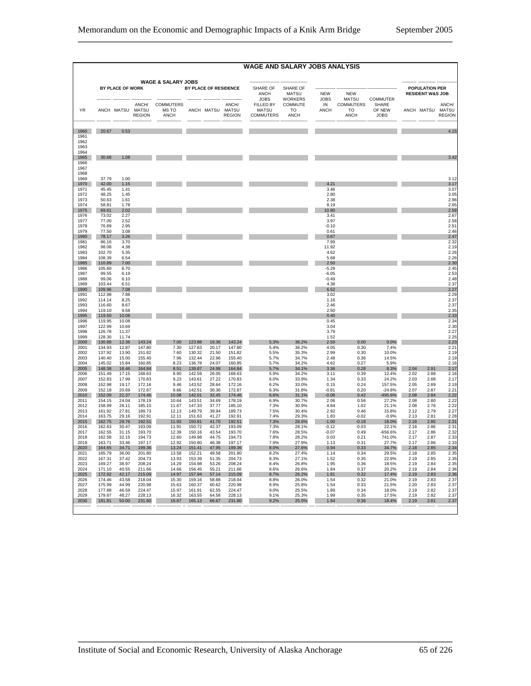|                      |                  | WAGE AND SALARY JOBS ANALYSIS |                        |                               |                       |                  |                        |                                        |                                |                           |                                 |                                |                       |                             |                                            |
|----------------------|------------------|-------------------------------|------------------------|-------------------------------|-----------------------|------------------|------------------------|----------------------------------------|--------------------------------|---------------------------|---------------------------------|--------------------------------|-----------------------|-----------------------------|--------------------------------------------|
|                      |                  | BY PLACE OF WORK              |                        | <b>WAGE &amp; SALARY JOBS</b> | BY PLACE OF RESIDENCE |                  |                        | SHARE OF                               | SHARE OF                       |                           |                                 |                                | <b>POPULATION PER</b> |                             |                                            |
|                      |                  |                               |                        |                               |                       |                  |                        | ANCH<br><b>JOBS</b>                    | <b>MATSU</b><br><b>WORKERS</b> | <b>NEW</b><br><b>JOBS</b> | <b>NEW</b><br><b>MATSU</b>      | COMMUTER                       |                       | <b>RESIDENT W&amp;S JOB</b> |                                            |
| <b>YR</b>            |                  | ANCH MATSU MATSU              | ANCH/<br><b>REGION</b> | COMMUTERS<br>MS TO<br>ANCH    |                       | ANCH MATSU MATSU | ANCH/<br><b>REGION</b> | FILLED BY<br>MATSU<br><b>COMMUTERS</b> | COMMUTE<br>TO.<br>ANCH         | IN<br><b>ANCH</b>         | <b>COMMUTERS</b><br>TO.<br>ANCH | <b>SHARE</b><br>OF NEW<br>JOBS |                       |                             | ANCH/<br>ANCH MATSU MATSU<br><b>REGION</b> |
| 1960<br>1961<br>1962 | 20.67            | 0.53                          |                        |                               |                       |                  |                        |                                        |                                |                           |                                 |                                |                       |                             | 4.15                                       |
| 1963<br>1964<br>1965 | 30.68            | 1.08                          |                        |                               |                       |                  |                        |                                        |                                |                           |                                 |                                |                       |                             | 3.42                                       |
| 1966<br>1967<br>1968 |                  |                               |                        |                               |                       |                  |                        |                                        |                                |                           |                                 |                                |                       |                             |                                            |
| 1969                 | 37.79            | 1.00                          |                        |                               |                       |                  |                        |                                        |                                |                           |                                 |                                |                       |                             | 3.12                                       |
| 1970<br>1971         | 42.00<br>45.45   | 1.15<br>1.41                  |                        |                               |                       |                  |                        |                                        |                                | 4.21<br>3.46              |                                 |                                |                       |                             | 3.17<br>3.07                               |
| 1972                 | 48.25            | 1.45                          |                        |                               |                       |                  |                        |                                        |                                | 2.80                      |                                 |                                |                       |                             | 3.05                                       |
| 1973                 | 50.63            | 1.61                          |                        |                               |                       |                  |                        |                                        |                                | 2.38                      |                                 |                                |                       |                             | 2.96                                       |
| 1974                 | 58.81            | 1.78                          |                        |                               |                       |                  |                        |                                        |                                | 8.19                      |                                 |                                |                       |                             | 2.65                                       |
| 1975<br>1976         | 69.61<br>73.02   | 2.02<br>2.27                  |                        |                               |                       |                  |                        |                                        |                                | 10.80<br>3.41             |                                 |                                |                       |                             | 2.58<br>2.67                               |
| 1977                 | 77.00            | 2.52                          |                        |                               |                       |                  |                        |                                        |                                | 3.97                      |                                 |                                |                       |                             | 2.58                                       |
| 1978                 | 76.89            | 2.95                          |                        |                               |                       |                  |                        |                                        |                                | $-0.10$                   |                                 |                                |                       |                             | 2.51                                       |
| 1979<br>1980         | 77.50<br>78.17   | 3.08<br>3.26                  |                        |                               |                       |                  |                        |                                        |                                | 0.61<br>0.67              |                                 |                                |                       |                             | 2.46<br>2.47                               |
| 1981                 | 86.16            | 3.70                          |                        |                               |                       |                  |                        |                                        |                                | 7.99                      |                                 |                                |                       |                             | 2.32                                       |
| 1982                 | 98.08            | 4.38                          |                        |                               |                       |                  |                        |                                        |                                | 11.92                     |                                 |                                |                       |                             | 2.19                                       |
| 1983                 | 102.70           | 5.35                          |                        |                               |                       |                  |                        |                                        |                                | 4.62                      |                                 |                                |                       |                             | 2.26                                       |
| 1984<br>1985         | 108.39<br>110.89 | 6.54<br>7.00                  |                        |                               |                       |                  |                        |                                        |                                | 5.68<br>2.50              |                                 |                                |                       |                             | 2.26<br>2.30                               |
| 1986                 | 105.60           | 6.70                          |                        |                               |                       |                  |                        |                                        |                                | $-5.29$                   |                                 |                                |                       |                             | 2.45                                       |
| 1987                 | 99.55            | 6.19                          |                        |                               |                       |                  |                        |                                        |                                | $-6.05$                   |                                 |                                |                       |                             | 2.53                                       |
| 1988<br>1989         | 99.06<br>103.44  | 6.10<br>6.51                  |                        |                               |                       |                  |                        |                                        |                                | $-0.49$<br>4.38           |                                 |                                |                       |                             | 2.48<br>2.37                               |
| 1990                 | 109.96           | 7.08                          |                        |                               |                       |                  |                        |                                        |                                | 6.52                      |                                 |                                |                       |                             | 2.27                                       |
| 1991                 | 112.98           | 7.88                          |                        |                               |                       |                  |                        |                                        |                                | 3.02                      |                                 |                                |                       |                             | 2.29                                       |
| 1992<br>1993         | 114.14<br>116.60 | 8.25<br>8.67                  |                        |                               |                       |                  |                        |                                        |                                | 1.16<br>2.46              |                                 |                                |                       |                             | 2.37<br>2.37                               |
| 1994                 | 119.10           | 9.58                          |                        |                               |                       |                  |                        |                                        |                                | 2.50                      |                                 |                                |                       |                             | 2.35                                       |
| 1995                 | 119.50           | 10.08                         |                        |                               |                       |                  |                        |                                        |                                | 0.40                      |                                 |                                |                       |                             | 2.33                                       |
| 1996                 | 119.95           | 10.08                         |                        |                               |                       |                  |                        |                                        |                                | 0.45                      |                                 |                                |                       |                             | 2.34                                       |
| 1997<br>1998         | 122.99<br>126.78 | 10.69<br>11.37                |                        |                               |                       |                  |                        |                                        |                                | 3.04<br>3.79              |                                 |                                |                       |                             | 2.30<br>2.27                               |
| 1999                 | 128.30           | 1174                          |                        |                               |                       |                  |                        |                                        |                                | 1.52                      |                                 |                                |                       |                             | 2.25                                       |
| 2000                 | 130.88           | 12.36                         | 143.24                 | 7.00                          | 123.88                | 19.36            | 143.24                 | 5.3%                                   | 36.2%                          | 2.59                      | 0.00                            | 0.0%                           |                       |                             | 2.23                                       |
| 2001<br>2002         | 134.93<br>137.92 | 12.87<br>13.90                | 147.80<br>151.82       | 7.30<br>7.60                  | 127.63<br>130.32      | 20.17<br>21.50   | 147.80<br>151.82       | 5.4%<br>5.5%                           | 36.2%<br>35.3%                 | 4.05<br>2.99              | 0.30<br>0.30                    | 7.4%<br>10.0%                  |                       |                             | 2.21<br>2.19                               |
| 2003                 | 140.40           | 15.00                         | 155.40                 | 7.96                          | 132.44                | 22.96            | 155.40                 | 5.7%                                   | 34.7%                          | 2.48                      | 0.36                            | 14.5%                          |                       |                             | 2.19                                       |
| 2004                 | 145.02           | 15.84                         | 160.85                 | 8.23                          | 136.78                | 24.07            | 160.85                 | 5.7%                                   | 34.2%                          | 4.62                      | 0.27                            | 5.9%                           |                       |                             | 2.16                                       |
| 2005<br>2006         | 148.38<br>151.49 | 16.46<br>17.15                | 164.84<br>168.63       | 8.51<br>8.90                  | 139.87<br>142.59      | 24.98<br>26.05   | 164.84<br>168.63       | 5.7%<br>5.9%                           | 34.1%<br>34.2%                 | 3.36<br>3.11              | 0.28<br>0.39                    | 8.3%<br>12.4%                  | 2.04<br>2.02          | 2.91<br>2.88                | 2.17<br>2.16                               |
| 2007                 | 152.83           | 17.99                         | 170.83                 | 9.23                          | 143.61                | 27.22            | 170.83                 | 6.0%                                   | 33.9%                          | 1.34                      | 0.33                            | 24.2%                          | 2.03                  | 2.88                        | 2.17                                       |
| 2008                 | 152.98           | 19.17                         | 172.16                 | 9.46                          | 143.52                | 28.64            | 172.16                 | 6.2%                                   | 33.0%                          | 0.15                      | 0.24                            | 157.5%                         | 2.05                  | 2.89                        | 2.19                                       |
| 2009<br>2010         | 152.18<br>152.09 | 20.69<br>22.37                | 17287<br>174.46        | 9.66<br>10.08                 | 142.51<br>142.01      | 30.36<br>32.45   | 172.87<br>174.46       | 6.3%<br>6.6%                           | 31.8%<br>31.1%                 | $-0.81$<br>$-0.08$        | 0.20<br>0.42                    | $-24.8%$<br>-495.6%            | 2.07<br>2.08          | 2.87<br>2.84                | 221<br>2.22                                |
| 2011                 | 154.15           | 24.04                         | 178.19                 | 10.64                         | 143.51                | 34.69            | 178.19                 | 6.9%                                   | 30.7%                          | 2.06                      | 0.56                            | 27.2%                          | 2.08                  | 2.80                        | 2.22                                       |
| 2012                 | 158.99           | 26.11                         | 185.10                 | 11.67                         | 147.33                | 37.77            | 185.10                 | 7.3%                                   | 30.9%                          | 4.84                      | 1.02                            | 21.1%                          | 2.08                  | 2.76                        | 2.22                                       |
| 2013<br>2014         | 161.92<br>163.75 | 27.81<br>29.16                | 189.73<br>192.91       | 12.13<br>12.11                | 149.79<br>151.63      | 39.94<br>41.27   | 189.73<br>192.91       | 7.5%<br>7.4%                           | 30.4%<br>29.3%                 | 2.92<br>1.83              | 0.46<br>$-0.02$                 | 15.8%<br>$-0.9%$               | 2.12<br>2.13          | 2.79<br>2.81                | 2.27<br>2.28                               |
| 2015                 | 162.75           | 29.76                         | 192.51                 | 11.93                         | 150.81                | 41.70            | 192.51                 | 7.3%                                   | 28.6%                          | $-1.00$                   | $-0.18$                         | 18.0%                          | 2.16                  | 2.85                        | 2.31                                       |
| 2016                 | 162.63           | 30.47                         | 193.09                 | 11.91                         | 150.72                | 42.37            | 193.09                 | 7.3%                                   | 28.1%                          | $-0.12$                   | $-0.03$                         | 22.1%                          | 2.16                  | 2.86                        | 2.31                                       |
| 2017                 | 162.55           | 31.15                         | 193.70                 | 12.39                         | 150.16                | 43.54            | 193.70                 | 7.6%                                   | 28.5%                          | $-0.07$                   | 0.49                            | $-656.6%$                      | 2.17                  | 2.86                        | 2.32                                       |
| 2018<br>2019         | 162.58<br>163.71 | 32.15<br>33.46                | 194.73<br>197 17       | 12.60<br>12.92                | 149.98<br>150.80      | 44.75<br>46.38   | 194.73<br>197 17       | 7.8%<br>7 9%                           | 28.2%<br>27.9%                 | 0.03<br>1 1 3             | 0.21<br>0.31                    | 741.0%<br>27.7%                | 2.17<br>2 1 7         | 2.87<br>2.86                | 2.33<br>2.33                               |
| 2020                 | 164.65           | 34.71                         | 199.36                 | 13.24                         | 151.41                | 47.95            | 199.36                 | 8.0%                                   | 27.6%                          | 0.94                      | 0.33                            | 34.7%                          | 2.18                  | 2.85                        | 2.34                                       |
| 2021                 | 165.79           | 36.00                         | 201.80                 | 13.58                         | 152.21                | 49.58            | 201.80                 | 8.2%                                   | 27.4%                          | 1.14                      | 0.34                            | 29.5%                          | 2.18                  | 2.85                        | 2.35                                       |
| 2022<br>2023         | 167.31<br>169.27 | 37.42<br>38.97                | 204.73<br>208.24       | 13.93<br>14.29                | 153.39<br>154.98      | 51.35<br>53.26   | 204.73<br>208.24       | 8.3%<br>8.4%                           | 27.1%<br>26.8%                 | 1.52<br>1.95              | 0.35<br>0.36                    | 22.9%<br>18.5%                 | 2.19<br>2.19          | 2.85<br>2.84                | 2.35<br>2.35                               |
| 2024                 | 171.10           | 40.55                         | 211.66                 | 14.66                         | 156.45                | 55.21            | 211.66                 | 8.6%                                   | 26.6%                          | 1.84                      | 0.37                            | 20.2%                          | 2.19                  | 2.84                        | 2.36                                       |
| 2025                 | 172.92           | 42.17                         | 215.09                 | 14.97                         | 157.94                | 57.14            | 215.09                 | 8.7%                                   | 26.2%                          | 1.81                      | 0.32                            | 17.4%                          | 2.19                  | 2.83                        | 2.36                                       |
| 2026<br>2027         | 174.46<br>175.99 | 43.58<br>44.99                | 218.04<br>220.98       | 15.30<br>15.63                | 159.16<br>160.37      | 58.88<br>60.62   | 218.04<br>220.98       | 8.8%<br>8.9%                           | 26.0%<br>25.8%                 | 1.54<br>1.54              | 0.32<br>0.33                    | 21.0%<br>21.5%                 | 2.19<br>2.20          | 2.83<br>2.83                | 2.37<br>2.37                               |
| 2028                 | 177.88           | 46.59                         | 224.47                 | 15.97                         | 161.91                | 62.55            | 224.47                 | 9.0%                                   | 25.5%                          | 1.89                      | 0.34                            | 18.0%                          | 2.19                  | 2.82                        | 2.37                                       |
| 2029                 | 179.87           | 48.27                         | 228.13                 | 16.32                         | 163.55                | 64.58            | 228.13                 | 9.1%                                   | 25.3%                          | 1.99                      | 0.35                            | 17.5%                          | 2.19                  | 2.82                        | 2.37                                       |
| 2030                 | 181.81           | 50.00                         | 231.80                 | 16.67                         | 165.13                | 66.67            | 231.80                 | 9.2%                                   | 25.0%                          | 1.94                      | 0.36                            | 18.4%                          | 2.19                  | 2.81                        | 2.37                                       |
|                      |                  |                               |                        |                               |                       |                  |                        |                                        |                                |                           |                                 |                                |                       |                             |                                            |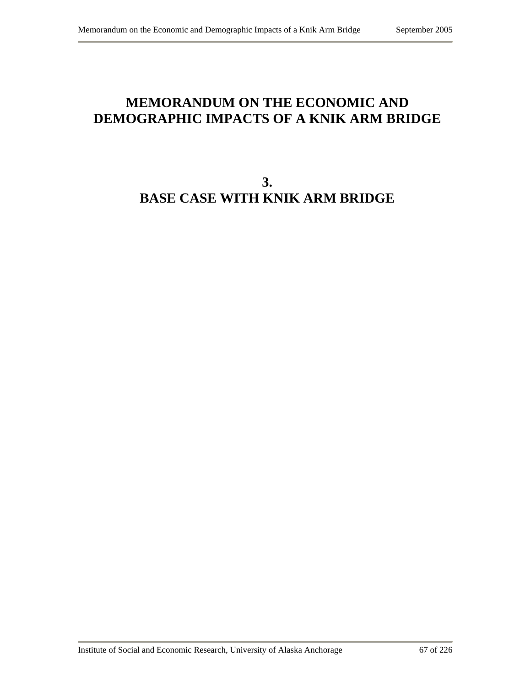# **MEMORANDUM ON THE ECONOMIC AND DEMOGRAPHIC IMPACTS OF A KNIK ARM BRIDGE**

# **3. BASE CASE WITH KNIK ARM BRIDGE**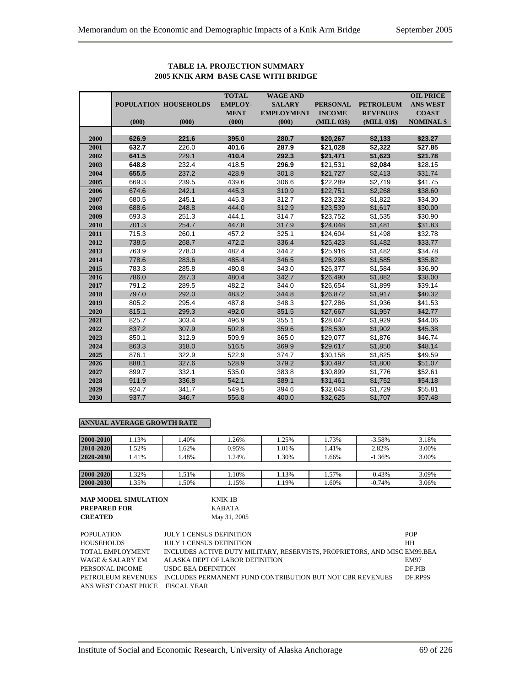|      |       |                       | <b>TOTAL</b>   | <b>WAGE AND</b>   |                 |                  | <b>OIL PRICE</b>  |
|------|-------|-----------------------|----------------|-------------------|-----------------|------------------|-------------------|
|      |       | POPULATION HOUSEHOLDS | <b>EMPLOY-</b> | <b>SALARY</b>     | <b>PERSONAL</b> | <b>PETROLEUM</b> | <b>ANS WEST</b>   |
|      |       |                       | <b>MENT</b>    | <b>EMPLOYMENT</b> | <b>INCOME</b>   | <b>REVENUES</b>  | <b>COAST</b>      |
|      | (000) | (000)                 | (000)          | (000)             | (MILL 03\$)     | (MILL 03\$)      | <b>NOMINAL \$</b> |
|      |       |                       |                |                   |                 |                  |                   |
| 2000 | 626.9 | 221.6                 | 395.0          | 280.7             | \$20,267        | \$2,133          | \$23.27           |
| 2001 | 632.7 | 226.0                 | 401.6          | 287.9             | \$21,028        | \$2,322          | \$27.85           |
| 2002 | 641.5 | 229.1                 | 410.4          | 292.3             | \$21,471        | \$1,623          | \$21.78           |
| 2003 | 648.8 | 232.4                 | 418.5          | 296.9             | \$21,531        | \$2,084          | \$28.15           |
| 2004 | 655.5 | 237.2                 | 428.9          | 301.8             | \$21,727        | \$2,413          | \$31.74           |
| 2005 | 669.3 | 239.5                 | 439.6          | 306.6             | \$22,289        | \$2,719          | \$41.75           |
| 2006 | 674.6 | 242.1                 | 445.3          | 310.9             | \$22,751        | \$2,268          | \$38.60           |
| 2007 | 680.5 | 245.1                 | 445.3          | 312.7             | \$23,232        | \$1,822          | \$34.30           |
| 2008 | 688.6 | 248.8                 | 444.0          | 312.9             | \$23,539        | \$1,617          | \$30.00           |
| 2009 | 693.3 | 251.3                 | 444.1          | 314.7             | \$23,752        | \$1,535          | \$30.90           |
| 2010 | 701.3 | 254.7                 | 447.8          | 317.9             | \$24.048        | \$1,481          | \$31.83           |
| 2011 | 715.3 | 260.1                 | 457.2          | 325.1             | \$24,604        | \$1,498          | \$32.78           |
| 2012 | 738.5 | 268.7                 | 472.2          | 336.4             | \$25,423        | \$1,482          | \$33.77           |
| 2013 | 763.9 | 278.0                 | 482.4          | 344.2             | \$25,916        | \$1,482          | \$34.78           |
| 2014 | 778.6 | 283.6                 | 485.4          | 346.5             | \$26,298        | \$1,585          | \$35.82           |
| 2015 | 783.3 | 285.8                 | 480.8          | 343.0             | \$26,377        | \$1,584          | \$36.90           |
| 2016 | 786.0 | 287.3                 | 480.4          | 342.7             | \$26,490        | \$1,882          | \$38.00           |
| 2017 | 791.2 | 289.5                 | 482.2          | 344.0             | \$26,654        | \$1,899          | \$39.14           |
| 2018 | 797.0 | 292.0                 | 483.2          | 344.8             | \$26,872        | \$1,917          | \$40.32           |
| 2019 | 805.2 | 295.4                 | 487.8          | 348.3             | \$27,286        | \$1,936          | \$41.53           |
| 2020 | 815.1 | 299.3                 | 492.0          | 351.5             | \$27,667        | \$1,957          | \$42.77           |
| 2021 | 825.7 | 303.4                 | 496.9          | 355.1             | \$28,047        | \$1,929          | \$44.06           |
| 2022 | 837.2 | 307.9                 | 502.8          | 359.6             | \$28,530        | \$1,902          | \$45.38           |
| 2023 | 850.1 | 312.9                 | 509.9          | 365.0             | \$29,077        | \$1,876          | \$46.74           |
| 2024 | 863.3 | 318.0                 | 516.5          | 369.9             | \$29,617        | \$1,850          | \$48.14           |
| 2025 | 876.1 | 322.9                 | 522.9          | 374.7             | \$30,158        | \$1,825          | \$49.59           |
| 2026 | 888.1 | 327.6                 | 528.9          | 379.2             | \$30,497        | \$1,800          | \$51.07           |
| 2027 | 899.7 | 332.1                 | 535.0          | 383.8             | \$30,899        | \$1,776          | \$52.61           |
| 2028 | 911.9 | 336.8                 | 542.1          | 389.1             | \$31,461        | \$1,752          | \$54.18           |
| 2029 | 924.7 | 341.7                 | 549.5          | 394.6             | \$32,043        | \$1,729          | \$55.81           |
| 2030 | 937.7 | 346.7                 | 556.8          | 400.0             | \$32,625        | \$1,707          | \$57.48           |

## **TABLE 1A. PROJECTION SUMMARY 2005 KNIK ARM BASE CASE WITH BRIDGE**

#### **ANNUAL AVERAGE GROWTH RATE**

| 2000-2010 | .13% | .40% | .26%  | 1.25% | 1.73% | $-3.58%$ | 3.18% |
|-----------|------|------|-------|-------|-------|----------|-------|
| 2010-2020 | .52% | .62% | 0.95% | 1.01% | 1.41% | 2.82%    | 3.00% |
| 2020-2030 | .41% | .48% | .24%  | 1.30% | 1.66% | $-1.36%$ | 3.00% |
|           |      |      |       |       |       |          |       |
| 2000-2020 | .32% | .51% | .10%  | 1.13% | 1.57% | $-0.43%$ | 3.09% |
| 2000-2030 | .35% | .50% | 1.15% | 1.19% | 1.60% | $-0.74%$ | 3.06% |

| <b>MAP MODEL SIMULATION</b> | KNIK 1B      |
|-----------------------------|--------------|
| <b>PREPARED FOR</b>         | KABATA       |
| <b>CREATED</b>              | May 31, 2005 |

| POPULATION                       | <b>JULY 1 CENSUS DEFINITION</b>                                                  | <b>POP</b>  |
|----------------------------------|----------------------------------------------------------------------------------|-------------|
| HOUSEHOLDS                       | <b>JULY 1 CENSUS DEFINITION</b>                                                  | HH          |
| TOTAL EMPLOYMENT                 | INCLUDES ACTIVE DUTY MILITARY, RESERVISTS, PROPRIETORS, AND MISC EM99.BEA        |             |
| WAGE & SALARY EM-                | ALASKA DEPT OF LABOR DEFINITION                                                  | <b>EM97</b> |
| PERSONAL INCOME                  | USDC BEA DEFINITION                                                              | DF PIB      |
|                                  | PETROLEUM REVENUES    INCLUDES PERMANENT FUND CONTRIBUTION BUT NOT CBR REVENUES. | DF.RP9S     |
| ANS WEST COAST PRICE FISCAL YEAR |                                                                                  |             |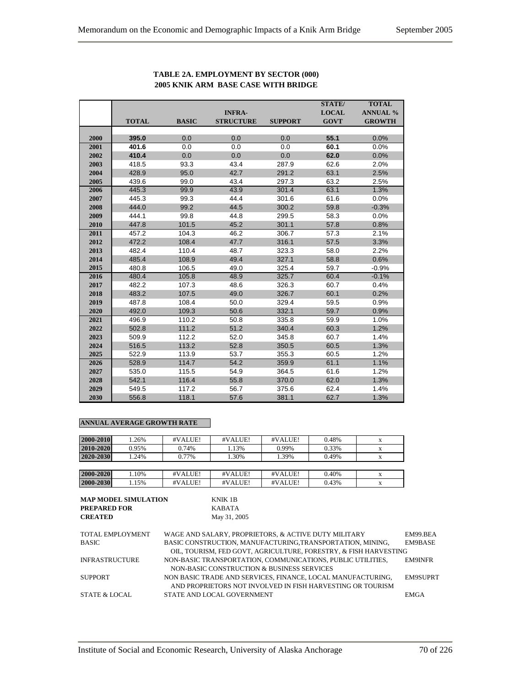|      |              |              | <b>INFRA-</b>    |                | <b>STATE</b> /<br><b>LOCAL</b> | <b>TOTAL</b><br><b>ANNUAL %</b> |
|------|--------------|--------------|------------------|----------------|--------------------------------|---------------------------------|
|      | <b>TOTAL</b> | <b>BASIC</b> | <b>STRUCTURE</b> | <b>SUPPORT</b> | <b>GOVT</b>                    | <b>GROWTH</b>                   |
| 2000 | 395.0        | 0.0          | 0.0              | 0.0            | 55.1                           | 0.0%                            |
| 2001 | 401.6        | 0.0          | 0.0              | 0.0            | 60.1                           | 0.0%                            |
| 2002 | 410.4        | 0.0          | 0.0              | 0.0            | 62.0                           | 0.0%                            |
| 2003 | 418.5        | 93.3         | 43.4             | 287.9          | 62.6                           | 2.0%                            |
| 2004 | 428.9        | 95.0         | 42.7             | 291.2          | 63.1                           | 2.5%                            |
| 2005 | 439.6        | 99.0         | 43.4             | 297.3          | 63.2                           | 2.5%                            |
| 2006 | 445.3        | 99.9         | 43.9             | 301.4          | 63.1                           | 1.3%                            |
| 2007 | 445.3        | 99.3         | 44.4             | 301.6          | 61.6                           | 0.0%                            |
| 2008 | 444.0        | 99.2         | 44.5             | 300.2          | 59.8                           | $-0.3%$                         |
| 2009 | 444.1        | 99.8         | 44.8             | 299.5          | 58.3                           | 0.0%                            |
| 2010 | 447.8        | 101.5        | 45.2             | 301.1          | 57.8                           | 0.8%                            |
| 2011 | 457.2        | 104.3        | 46.2             | 306.7          | 57.3                           | 2.1%                            |
| 2012 | 472.2        | 108.4        | 47.7             | 316.1          | 57.5                           | 3.3%                            |
| 2013 | 482.4        | 110.4        | 48.7             | 323.3          | 58.0                           | 2.2%                            |
| 2014 | 485.4        | 108.9        | 49.4             | 327.1          | 58.8                           | 0.6%                            |
| 2015 | 480.8        | 106.5        | 49.0             | 325.4          | 59.7                           | $-0.9%$                         |
| 2016 | 480.4        | 105.8        | 48.9             | 325.7          | 60.4                           | $-0.1%$                         |
| 2017 | 482.2        | 107.3        | 48.6             | 326.3          | 60.7                           | 0.4%                            |
| 2018 | 483.2        | 107.5        | 49.0             | 326.7          | 60.1                           | 0.2%                            |
| 2019 | 487.8        | 108.4        | 50.0             | 329.4          | 59.5                           | 0.9%                            |
| 2020 | 492.0        | 109.3        | 50.6             | 332.1          | 59.7                           | 0.9%                            |
| 2021 | 496.9        | 110.2        | 50.8             | 335.8          | 59.9                           | 1.0%                            |
| 2022 | 502.8        | 111.2        | 51.2             | 340.4          | 60.3                           | 1.2%                            |
| 2023 | 509.9        | 112.2        | 52.0             | 345.8          | 60.7                           | 1.4%                            |
| 2024 | 516.5        | 113.2        | 52.8             | 350.5          | 60.5                           | 1.3%                            |
| 2025 | 522.9        | 113.9        | 53.7             | 355.3          | 60.5                           | 1.2%                            |
| 2026 | 528.9        | 114.7        | 54.2             | 359.9          | 61.1                           | 1.1%                            |
| 2027 | 535.0        | 115.5        | 54.9             | 364.5          | 61.6                           | 1.2%                            |
| 2028 | 542.1        | 116.4        | 55.8             | 370.0          | 62.0                           | 1.3%                            |
| 2029 | 549.5        | 117.2        | 56.7             | 375.6          | 62.4                           | 1.4%                            |
| 2030 | 556.8        | 118.1        | 57.6             | 381.1          | 62.7                           | 1.3%                            |

## **TABLE 2A. EMPLOYMENT BY SECTOR (000) 2005 KNIK ARM BASE CASE WITH BRIDGE**

#### **ANNUAL AVERAGE GROWTH RATE**

| 2000-2010 | 1.26% | #VALUE! | #VALUE! | #VALUE! | 0.48% |  |
|-----------|-------|---------|---------|---------|-------|--|
| 2010-2020 | 0.95% | 0.74%   | 1.13%   | 0.99%   | 0.33% |  |
| 2020-2030 | 1.24% | 0.77%   | .30%    | 1.39%   | 0.49% |  |
|           |       |         |         |         |       |  |
| 2000-2020 | 1.10% | #VALUE! | #VALUE! | #VALUE! | 0.40% |  |
| 2000-2030 | 1.15% | #VALUE! | #VALUE! | #VALUE! | 0.43% |  |

| <b>MAP MODEL SIMULATION</b> | KNIK 1B      |
|-----------------------------|--------------|
| <b>PREPARED FOR</b>         | KABATA       |
| <b>CREATED</b>              | May 31, 2005 |

| <b>TOTAL EMPLOYMENT</b>  | WAGE AND SALARY. PROPRIETORS, & ACTIVE DUTY MILITARY                                                                           | EM99 BEA        |
|--------------------------|--------------------------------------------------------------------------------------------------------------------------------|-----------------|
| <b>BASIC</b>             | BASIC CONSTRUCTION, MANUFACTURING, TRANSPORTATION, MINING,<br>OIL, TOURISM, FED GOVT, AGRICULTURE, FORESTRY, & FISH HARVESTING | EM9BASE         |
| <b>INFRASTRUCTURE</b>    | NON-BASIC TRANSPORTATION, COMMUNICATIONS, PUBLIC UTILITIES.                                                                    | <b>EM9INFR</b>  |
|                          | NON-BASIC CONSTRUCTION & BUSINESS SERVICES                                                                                     |                 |
| <b>SUPPORT</b>           | NON BASIC TRADE AND SERVICES, FINANCE, LOCAL MANUFACTURING,                                                                    | <b>EM9SUPRT</b> |
|                          | AND PROPRIETORS NOT INVOLVED IN FISH HARVESTING OR TOURISM                                                                     |                 |
| <b>STATE &amp; LOCAL</b> | STATE AND LOCAL GOVERNMENT                                                                                                     | <b>EMGA</b>     |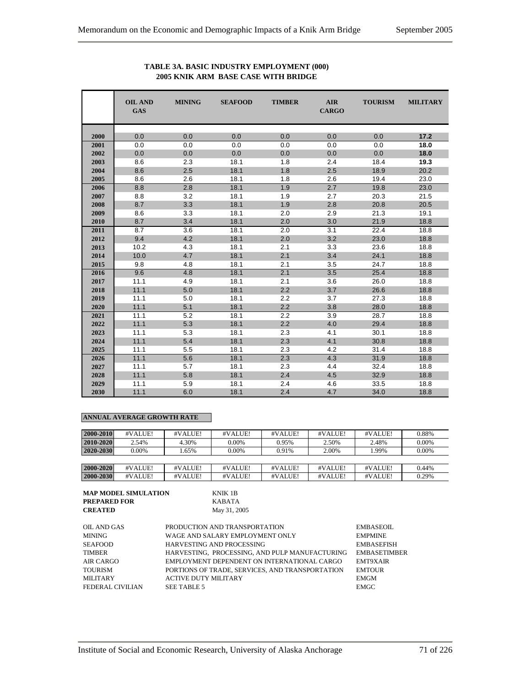#### **OIL AND MINING SEAFOOD TIMBER AIR TOURISM MILITARY GAS** CARGO **2000** 0.0 0.0 0.0 0.0 0.0 0.0 **17.2 2001** 0.0 0.0 0.0 0.0 0.0 0.0 **18.0 2002** 0.0 0.0 0.0 0.0 0.0 0.0 **18.0 2003** 8.6 2.3 18.1 1.8 2.4 18.4 **19.3 2004** 8.6 2.5 18.1 1.8 2.5 18.9 20.2 **2005** 8.6 2.6 18.1 1.8 2.6 19.4 23.0 **2006** 8.8 2.8 18.1 1.9 2.7 19.8 23.0 **2007** 8.8 3.2 18.1 1.9 2.7 20.3 21.5 **2008** 8.7 3.3 18.1 1.9 2.8 20.8 20.5 **2009** 8.6 3.3 18.1 2.0 2.9 21.3 19.1 **2010** 8.7 3.4 18.1 2.0 3.0 21.9 18.8 **2011** 8.7 3.6 18.1 2.0 3.1 22.4 18.8 **2012 1** 9.4 **4.2 18.1 2.0 3.2 23.0 18.8 2013** 10.2 4.3 18.1 2.1 3.3 23.6 18.8 **2014** 10.0 4.7 18.1 2.1 3.4 24.1 18.8 **2015** 9.8 4.8 18.1 2.1 3.5 24.7 18.8 **2016** 9.6 4.8 18.1 2.1 3.5 25.4 18.8 **2017** 11.1 4.9 18.1 2.1 3.6 26.0 18.8 **2018** 11.1 5.0 18.1 2.2 3.7 26.6 18.8 **2019** 11.1 5.0 18.1 2.2 3.7 27.3 18.8 **2020** 11.1 5.1 18.1 2.2 3.8 28.0 18.8 **2021** 11.1 5.2 18.1 2.2 3.9 28.7 18.8 **2022** 11.1 5.3 18.1 2.2 4.0 29.4 18.8 **2023** 11.1 5.3 18.1 2.3 4.1 30.1 18.8 **2024** 11.1 5.4 18.1 2.3 4.1 30.8 18.8 **2025** 11.1 5.5 18.1 2.3 4.2 31.4 18.8 **2026** 11.1 5.6 18.1 2.3 4.3 31.9 18.8 **2027** 11.1 5.7 18.1 2.3 4.4 32.4 18.8 **2028** 11.1 5.8 18.1 2.4 4.5 32.9 18.8 **2029** 11.1 5.9 18.1 2.4 4.6 33.5 18.8 **2030** 11.1 6.0 18.1 2.4 4.7 34.0 18.8

#### **TABLE 3A. BASIC INDUSTRY EMPLOYMENT (000) 2005 KNIK ARM BASE CASE WITH BRIDGE**

#### **ANNUAL AVERAGE GROWTH RATE**

| 2000-2010 | #VALUE! | #VALUE! | #VALUE! | #VALUE! | #VALUE! | #VALUE! | 0.88% |
|-----------|---------|---------|---------|---------|---------|---------|-------|
| 2010-2020 | 2.54%   | 4.30%   | 0.00%   | 0.95%   | 2.50%   | 2.48%   | 0.00% |
| 2020-2030 | 0.00%   | .65%    | 0.00%   | 0.91%   | 2.00%   | 1.99%   | 0.00% |
|           |         |         |         |         |         |         |       |
| 2000-2020 | #VALUE! | #VALUE! | #VALUE! | #VALUE! | #VALUE! | #VALUE! | 0.44% |
| 2000-2030 | #VALUE! | #VALUE! | #VALUE! | #VALUE! | #VALUE! | #VALUE! | 0.29% |

| - MAP MODEL SIMULATI |
|----------------------|
| <b>PREPARED FOR</b>  |
| <b>CREATED</b>       |

**MODEL SIMULATION PREPARED FOR** KABATA **CREATED** May 31, 2005

| OIL AND GAS      | PRODUCTION AND TRANSPORTATION                   | EMBASEOIL           |
|------------------|-------------------------------------------------|---------------------|
| MINING           | WAGE AND SALARY EMPLOYMENT ONLY                 | <b>EMPMINE</b>      |
| <b>SEAFOOD</b>   | HARVESTING AND PROCESSING                       | <b>EMBASEFISH</b>   |
| <b>TIMBER</b>    | HARVESTING. PROCESSING. AND PULP MANUFACTURING  | <b>EMBASETIMBER</b> |
| AIR CARGO        | EMPLOYMENT DEPENDENT ON INTERNATIONAL CARGO     | <b>EMT9XAIR</b>     |
| <b>TOURISM</b>   | PORTIONS OF TRADE, SERVICES, AND TRANSPORTATION | <b>EMTOUR</b>       |
| <b>MILITARY</b>  | <b>ACTIVE DUTY MILITARY</b>                     | <b>EMGM</b>         |
| FEDERAL CIVILIAN | SEE TABLE 5                                     | <b>EMGC</b>         |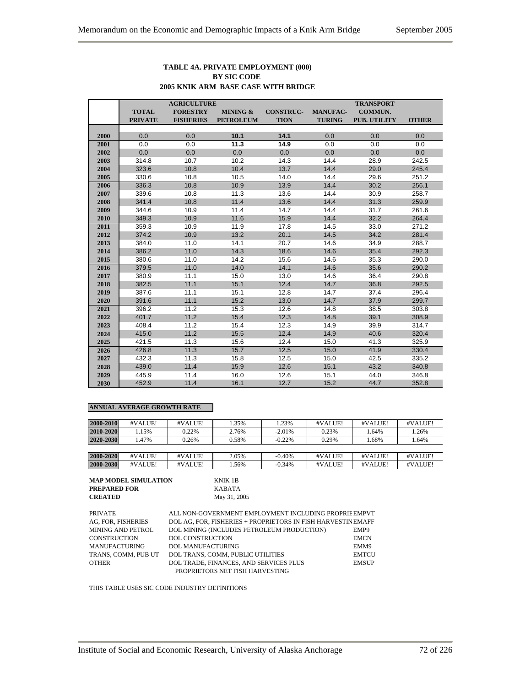#### **TABLE 4A. PRIVATE EMPLOYMENT (000) BY SIC CODE 2005 KNIK ARM BASE CASE WITH BRIDGE**

|      | <b>AGRICULTURE</b> |                  |                  | <b>TRANSPORT</b> |                 |                     |              |
|------|--------------------|------------------|------------------|------------------|-----------------|---------------------|--------------|
|      | <b>TOTAL</b>       | <b>FORESTRY</b>  | MINING &         | <b>CONSTRUC-</b> | <b>MANUFAC-</b> | <b>COMMUN.</b>      |              |
|      | <b>PRIVATE</b>     | <b>FISHERIES</b> | <b>PETROLEUM</b> | <b>TION</b>      | <b>TURING</b>   | <b>PUB. UTILITY</b> | <b>OTHER</b> |
|      |                    |                  |                  |                  |                 |                     |              |
| 2000 | 0.0                | 0.0              | 10.1             | 14.1             | 0.0             | 0.0                 | 0.0          |
| 2001 | 0.0                | 0.0              | 11.3             | 14.9             | 0.0             | 0.0                 | 0.0          |
| 2002 | 0.0                | 0.0              | 0.0              | 0.0              | 0.0             | 0.0                 | 0.0          |
| 2003 | 314.8              | 10.7             | 10.2             | 14.3             | 14.4            | 28.9                | 242.5        |
| 2004 | 323.6              | 10.8             | 10.4             | 13.7             | 14.4            | 29.0                | 245.4        |
| 2005 | 330.6              | 10.8             | 10.5             | 14.0             | 14.4            | 29.6                | 251.2        |
| 2006 | 336.3              | 10.8             | 10.9             | 13.9             | 14.4            | 30.2                | 256.1        |
| 2007 | 339.6              | 10.8             | 11.3             | 13.6             | 14.4            | 30.9                | 258.7        |
| 2008 | 341.4              | 10.8             | 11.4             | 13.6             | 14.4            | 31.3                | 259.9        |
| 2009 | 344.6              | 10.9             | 11.4             | 14.7             | 14.4            | 31.7                | 261.6        |
| 2010 | 349.3              | 10.9             | 11.6             | 15.9             | 14.4            | 32.2                | 264.4        |
| 2011 | 359.3              | 10.9             | 11.9             | 17.8             | 14.5            | 33.0                | 271.2        |
| 2012 | 374.2              | 10.9             | 13.2             | 20.1             | 14.5            | 34.2                | 281.4        |
| 2013 | 384.0              | 11.0             | 14.1             | 20.7             | 14.6            | 34.9                | 288.7        |
| 2014 | 386.2              | 11.0             | 14.3             | 18.6             | 14.6            | 35.4                | 292.3        |
| 2015 | 380.6              | 11.0             | 14.2             | 15.6             | 14.6            | 35.3                | 290.0        |
| 2016 | 379.5              | 11.0             | 14.0             | 14.1             | 14.6            | 35.6                | 290.2        |
| 2017 | 380.9              | 11.1             | 15.0             | 13.0             | 14.6            | 36.4                | 290.8        |
| 2018 | 382.5              | 11.1             | 15.1             | 12.4             | 14.7            | 36.8                | 292.5        |
| 2019 | 387.6              | 11.1             | 15.1             | 12.8             | 14.7            | 37.4                | 296.4        |
| 2020 | 391.6              | 11.1             | 15.2             | 13.0             | 14.7            | 37.9                | 299.7        |
| 2021 | 396.2              | 11.2             | 15.3             | 12.6             | 14.8            | 38.5                | 303.8        |
| 2022 | 401.7              | 11.2             | 15.4             | 12.3             | 14.8            | 39.1                | 308.9        |
| 2023 | 408.4              | 11.2             | 15.4             | 12.3             | 14.9            | 39.9                | 314.7        |
| 2024 | 415.0              | 11.2             | 15.5             | 12.4             | 14.9            | 40.6                | 320.4        |
| 2025 | 421.5              | 11.3             | 15.6             | 12.4             | 15.0            | 41.3                | 325.9        |
| 2026 | 426.8              | 11.3             | 15.7             | 12.5             | 15.0            | 41.9                | 330.4        |
| 2027 | 432.3              | 11.3             | 15.8             | 12.5             | 15.0            | 42.5                | 335.2        |
| 2028 | 439.0              | 11.4             | 15.9             | 12.6             | 15.1            | 43.2                | 340.8        |
| 2029 | 445.9              | 11.4             | 16.0             | 12.6             | 15.1            | 44.0                | 346.8        |
| 2030 | 452.9              | 11.4             | 16.1             | 12.7             | 15.2            | 44.7                | 352.8        |

# **ANNUAL AVERAGE GROWTH RATE**

| 2000-2010 | #VALUE! | #VALUE! | 1.35% | 1.23%    | #VALUE! | #VALUE! | #VALUE! |
|-----------|---------|---------|-------|----------|---------|---------|---------|
| 2010-2020 | .15%    | 0.22%   | 2.76% | $-2.01%$ | 0.23%   | 1.64%   | 1.26%   |
| 2020-2030 | .47%    | 0.26%   | 0.58% | $-0.22%$ | 0.29%   | 1.68%   | 1.64%   |
|           |         |         |       |          |         |         |         |
| 2000-2020 | #VALUE! | #VALUE! | 2.05% | $-0.40%$ | #VALUE! | #VALUE! | #VALUE! |
| 2000-2030 | #VALUE! | #VALUE! | .56%  | $-0.34%$ | #VALUE! | #VALUE! | #VALUE! |

| <b>MAP MODEL SIMULATION</b> |  |
|-----------------------------|--|
| <b>PREPARED FOR</b>         |  |
| <b>CREATED</b>              |  |

**KNIK 1B PREPARED FOR** KABATA **CREATED** May 31, 2005

| PRIVATE             | ALL NON-GOVERNMENT EMPLOYMENT INCLUDING PROPRIE EMPVT       |              |
|---------------------|-------------------------------------------------------------|--------------|
|                     |                                                             |              |
| AG, FOR, FISHERIES  | DOL AG. FOR. FISHERIES + PROPRIETORS IN FISH HARVESTINEMAFF |              |
| MINING AND PETROL   | DOL MINING (INCLUDES PETROLEUM PRODUCTION)                  | EMP9         |
| CONSTRUCTION        | <b>DOL CONSTRUCTION</b>                                     | <b>EMCN</b>  |
| MANUFACTURING       | <b>DOL MANUFACTURING</b>                                    | EMM9         |
| TRANS. COMM. PUB UT | DOL TRANS, COMM, PUBLIC UTILITIES                           | <b>EMTCU</b> |
| OTHER               | DOL TRADE, FINANCES, AND SERVICES PLUS                      | <b>EMSUP</b> |
|                     | PROPRIETORS NET FISH HARVESTING                             |              |

THIS TABLE USES SIC CODE INDUSTRY DEFINITIONS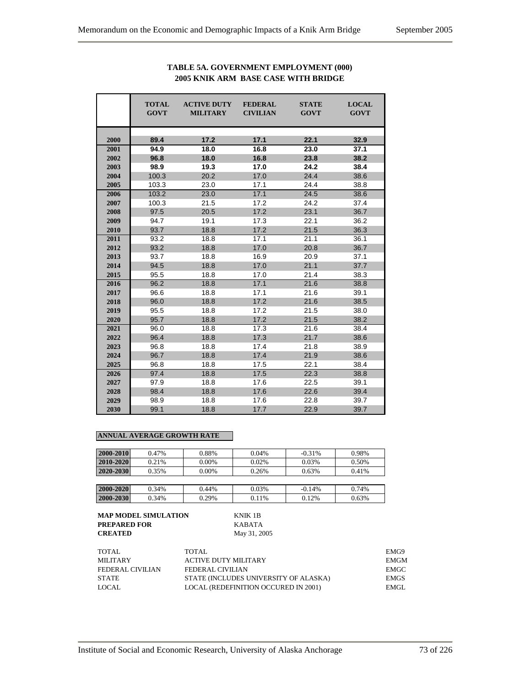|      | <b>TOTAL</b><br><b>GOVT</b> | <b>ACTIVE DUTY</b><br><b>MILITARY</b> | <b>FEDERAL</b><br><b>CIVILIAN</b> | <b>STATE</b><br><b>GOVT</b> | <b>LOCAL</b><br><b>GOVT</b> |
|------|-----------------------------|---------------------------------------|-----------------------------------|-----------------------------|-----------------------------|
| 2000 | 89.4                        | 17.2                                  | 17.1                              | 22.1                        | 32.9                        |
| 2001 | 94.9                        | 18.0                                  | 16.8                              | 23.0                        | 37.1                        |
| 2002 | 96.8                        | 18.0                                  | 16.8                              | 23.8                        | 38.2                        |
| 2003 | 98.9                        | 19.3                                  | 17.0                              | 24.2                        | 38.4                        |
| 2004 | 100.3                       | 20.2                                  | 17.0                              | 24.4                        | 38.6                        |
| 2005 | 103.3                       | 23.0                                  | 17.1                              | 24.4                        | 38.8                        |
| 2006 | 103.2                       | 23.0                                  | 17.1                              | 24.5                        | 38.6                        |
| 2007 | 100.3                       | 21.5                                  | 17.2                              | 24.2                        | 37.4                        |
| 2008 | 97.5                        | 20.5                                  | 17.2                              | 23.1                        | 36.7                        |
| 2009 | 94.7                        | 19.1                                  | 17.3                              | 22.1                        | 36.2                        |
| 2010 | 93.7                        | 18.8                                  | 17.2                              | 21.5                        | 36.3                        |
| 2011 | 93.2                        | 18.8                                  | 17.1                              | 21.1                        | 36.1                        |
| 2012 | 93.2                        | 18.8                                  | 17.0                              | 20.8                        | 36.7                        |
| 2013 | 93.7                        | 18.8                                  | 16.9                              | 20.9                        | 37.1                        |
| 2014 | 94.5                        | 18.8                                  | 17.0                              | 21.1                        | 37.7                        |
| 2015 | 95.5                        | 18.8                                  | 17.0                              | 21.4                        | 38.3                        |
| 2016 | 96.2                        | 18.8                                  | 17.1                              | 21.6                        | 38.8                        |
| 2017 | 96.6                        | 18.8                                  | 17.1                              | 21.6                        | 39.1                        |
| 2018 | 96.0                        | 18.8                                  | 17.2                              | 21.6                        | 38.5                        |
| 2019 | 95.5                        | 18.8                                  | 17.2                              | 21.5                        | 38.0                        |
| 2020 | 95.7                        | 18.8                                  | 17.2                              | 21.5                        | 38.2                        |
| 2021 | 96.0                        | 18.8                                  | 17.3                              | 21.6                        | 38.4                        |
| 2022 | 96.4                        | 18.8                                  | 17.3                              | 21.7                        | 38.6                        |
| 2023 | 96.8                        | 18.8                                  | 17.4                              | 21.8                        | 38.9                        |
| 2024 | 96.7                        | 18.8                                  | 17.4                              | 21.9                        | 38.6                        |
| 2025 | 96.8                        | 18.8                                  | 17.5                              | 22.1                        | 38.4                        |
| 2026 | 97.4                        | 18.8                                  | 17.5                              | 22.3                        | 38.8                        |
| 2027 | 97.9                        | 18.8                                  | 17.6                              | 22.5                        | 39.1                        |
| 2028 | 98.4                        | 18.8                                  | 17.6                              | 22.6                        | 39.4                        |
| 2029 | 98.9                        | 18.8                                  | 17.6                              | 22.8                        | 39.7                        |
| 2030 | 99.1                        | 18.8                                  | 17.7                              | 22.9                        | 39.7                        |

# **TABLE 5A. GOVERNMENT EMPLOYMENT (000) 2005 KNIK ARM BASE CASE WITH BRIDGE**

## **ANNUAL AVERAGE GROWTH RATE**

| 2000-2010 | 0.47% | 0.88%    | 0.04% | $-0.31\%$ | 0.98% |
|-----------|-------|----------|-------|-----------|-------|
|           |       |          |       |           |       |
| 2010-2020 | 0.21% | $0.00\%$ | 0.02% | 0.03%     | 0.50% |
| 2020-2030 | 0.35% | $0.00\%$ | 0.26% | 0.63%     | 0.41% |
|           |       |          |       |           |       |
| 2000-2020 | 0.34% | 0.44%    | 0.03% | $-0.14%$  | 0.74% |

**2000-2030** 0.34% 0.29% 0.11% 0.12% 0.63%

| MAP MODEL SIMULATION | KNIK 1B      |
|----------------------|--------------|
| PREPARED FOR         | KABATA       |
| <b>CREATED</b>       | May 31, 2005 |

| TOTAL            | TOTAL.                                | EMG9        |
|------------------|---------------------------------------|-------------|
| MILITARY         | <b>ACTIVE DUTY MILITARY</b>           | EMGM        |
| FEDERAL CIVILIAN | FEDERAL CIVILIAN                      | EMGC        |
| <b>STATE</b>     | STATE (INCLUDES UNIVERSITY OF ALASKA) | <b>EMGS</b> |
| LOCAL            | LOCAL (REDEFINITION OCCURED IN 2001)  | EMGL.       |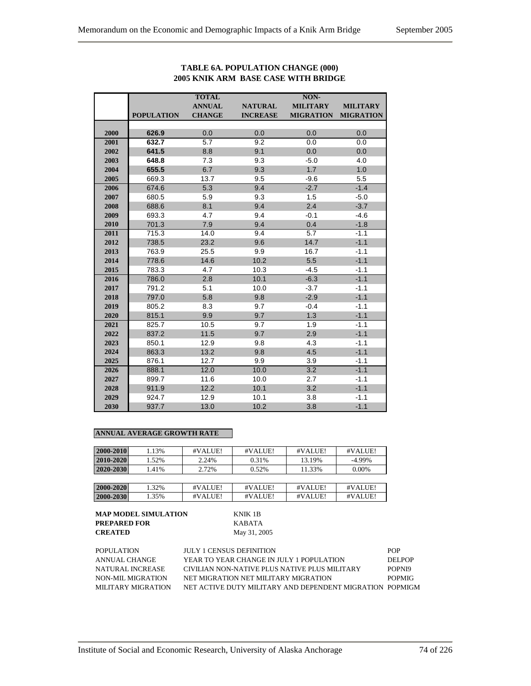|      |                   | <b>TOTAL</b>  |                 | NON-             |                  |
|------|-------------------|---------------|-----------------|------------------|------------------|
|      |                   | <b>ANNUAL</b> | <b>NATURAL</b>  | <b>MILITARY</b>  | <b>MILITARY</b>  |
|      | <b>POPULATION</b> | <b>CHANGE</b> | <b>INCREASE</b> | <b>MIGRATION</b> | <b>MIGRATION</b> |
|      |                   |               |                 |                  |                  |
| 2000 | 626.9             | 0.0           | 0.0             | 0.0              | 0.0              |
| 2001 | 632.7             | 5.7           | 9.2             | 0.0              | 0.0              |
| 2002 | 641.5             | 8.8           | 9.1             | 0.0              | 0.0              |
| 2003 | 648.8             | 7.3           | 9.3             | $-5.0$           | 4.0              |
| 2004 | 655.5             | 6.7           | 9.3             | 1.7              | 1.0              |
| 2005 | 669.3             | 13.7          | 9.5             | $-9.6$           | 5.5              |
| 2006 | 674.6             | 5.3           | 9.4             | $-2.7$           | $-1.4$           |
| 2007 | 680.5             | 5.9           | 9.3             | 1.5              | $-5.0$           |
| 2008 | 688.6             | 8.1           | 9.4             | 2.4              | $-3.7$           |
| 2009 | 693.3             | 4.7           | 9.4             | $-0.1$           | $-4.6$           |
| 2010 | 701.3             | 7.9           | 9.4             | 0.4              | $-1.8$           |
| 2011 | 715.3             | 14.0          | 9.4             | 5.7              | $-1.1$           |
| 2012 | 738.5             | 23.2          | 9.6             | 14.7             | $-1.1$           |
| 2013 | 763.9             | 25.5          | 9.9             | 16.7             | $-1.1$           |
| 2014 | 778.6             | 14.6          | 10.2            | 5.5              | $-1.1$           |
| 2015 | 783.3             | 4.7           | 10.3            | $-4.5$           | $-1.1$           |
| 2016 | 786.0             | 2.8           | 10.1            | $-6.3$           | $-1.1$           |
| 2017 | 791.2             | 5.1           | 10.0            | $-3.7$           | $-1.1$           |
| 2018 | 797.0             | 5.8           | 9.8             | $-2.9$           | $-1.1$           |
| 2019 | 805.2             | 8.3           | 9.7             | $-0.4$           | $-1.1$           |
| 2020 | 815.1             | 9.9           | 9.7             | 1.3              | $-1.1$           |
| 2021 | 825.7             | 10.5          | 9.7             | 1.9              | $-1.1$           |
| 2022 | 837.2             | 11.5          | 9.7             | 2.9              | $-1.1$           |
| 2023 | 850.1             | 12.9          | 9.8             | 4.3              | $-1.1$           |
| 2024 | 863.3             | 13.2          | 9.8             | 4.5              | $-1.1$           |
| 2025 | 876.1             | 12.7          | 9.9             | 3.9              | $-1.1$           |
| 2026 | 888.1             | 12.0          | 10.0            | 3.2              | $-1.1$           |
| 2027 | 899.7             | 11.6          | 10.0            | 2.7              | $-1.1$           |
| 2028 | 911.9             | 12.2          | 10.1            | 3.2              | $-1.1$           |
| 2029 | 924.7             | 12.9          | 10.1            | 3.8              | $-1.1$           |
| 2030 | 937.7             | 13.0          | 10.2            | 3.8              | $-1.1$           |

# **TABLE 6A. POPULATION CHANGE (000) 2005 KNIK ARM BASE CASE WITH BRIDGE**

# **ANNUAL AVERAGE GROWTH RATE**

| 2000-2010 | 1.13% | #VALUE! | #VALUE! | #VALUE! | #VALUE!   |
|-----------|-------|---------|---------|---------|-----------|
| 2010-2020 | 1.52% | 2.24%   | 0.31%   | 13.19%  | $-4.99\%$ |
| 2020-2030 | 1.41% | 2.72%   | 0.52%   | 11.33%  | $0.00\%$  |
|           |       |         |         |         |           |
| 2000-2020 | 1.32% | #VALUE! | #VALUE! | #VALUE! | #VALUE!   |
| 2000-2030 | 1.35% | #VALUE! | #VALUE! | #VALUE! | #VALUE!   |

| <b>POPULATION</b>  | <b>JULY 1 CENSUS DEFINITION</b>                          | <b>POP</b>    |
|--------------------|----------------------------------------------------------|---------------|
| ANNUAL CHANGE      | YEAR TO YEAR CHANGE IN JULY 1 POPULATION                 | DEL POP       |
| NATURAL INCREASE   | CIVILIAN NON-NATIVE PLUS NATIVE PLUS MILITARY            | POPNI9        |
| NON-MIL MIGRATION  | NET MIGRATION NET MILITARY MIGRATION                     | <b>POPMIG</b> |
| MILITARY MIGRATION | NET ACTIVE DUTY MILITARY AND DEPENDENT MIGRATION POPMIGM |               |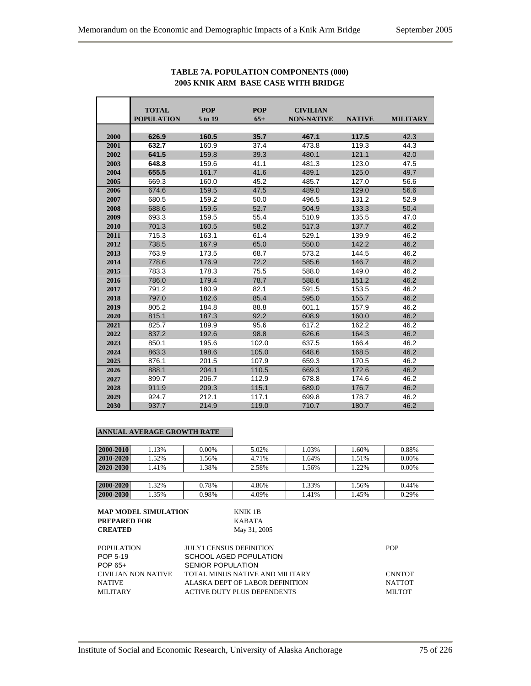|      | <b>TOTAL</b><br><b>POPULATION</b> | <b>POP</b><br>5 to 19 | <b>POP</b><br>$65+$ | <b>CIVILIAN</b><br><b>NON-NATIVE</b> | <b>NATIVE</b> | <b>MILITARY</b> |
|------|-----------------------------------|-----------------------|---------------------|--------------------------------------|---------------|-----------------|
|      |                                   |                       |                     |                                      |               |                 |
| 2000 | 626.9                             | 160.5                 | 35.7                | 467.1                                | 117.5         | 42.3            |
| 2001 | 632.7                             | 160.9                 | 37.4                | 473.8                                | 119.3         | 44.3            |
| 2002 | 641.5                             | 159.8                 | 39.3                | 480.1                                | 121.1         | 42.0            |
| 2003 | 648.8                             | 159.6                 | 41.1                | 481.3                                | 123.0         | 47.5            |
| 2004 | 655.5                             | 161.7                 | 41.6                | 489.1                                | 125.0         | 49.7            |
| 2005 | 669.3                             | 160.0                 | 45.2                | 485.7                                | 127.0         | 56.6            |
| 2006 | 674.6                             | 159.5                 | 47.5                | 489.0                                | 129.0         | 56.6            |
| 2007 | 680.5                             | 159.2                 | 50.0                | 496.5                                | 131.2         | 52.9            |
| 2008 | 688.6                             | 159.6                 | 52.7                | 504.9                                | 133.3         | 50.4            |
| 2009 | 693.3                             | 159.5                 | 55.4                | 510.9                                | 135.5         | 47.0            |
| 2010 | 701.3                             | 160.5                 | 58.2                | 517.3                                | 137.7         | 46.2            |
| 2011 | 715.3                             | 163.1                 | 61.4                | 529.1                                | 139.9         | 46.2            |
| 2012 | 738.5                             | 167.9                 | 65.0                | 550.0                                | 142.2         | 46.2            |
| 2013 | 763.9                             | 173.5                 | 68.7                | 573.2                                | 144.5         | 46.2            |
| 2014 | 778.6                             | 176.9                 | 72.2                | 585.6                                | 146.7         | 46.2            |
| 2015 | 783.3                             | 178.3                 | 75.5                | 588.0                                | 149.0         | 46.2            |
| 2016 | 786.0                             | 179.4                 | 78.7                | 588.6                                | 151.2         | 46.2            |
| 2017 | 791.2                             | 180.9                 | 82.1                | 591.5                                | 153.5         | 46.2            |
| 2018 | 797.0                             | 182.6                 | 85.4                | 595.0                                | 155.7         | 46.2            |
| 2019 | 805.2                             | 184.8                 | 88.8                | 601.1                                | 157.9         | 46.2            |
| 2020 | 815.1                             | 187.3                 | 92.2                | 608.9                                | 160.0         | 46.2            |
| 2021 | 825.7                             | 189.9                 | 95.6                | 617.2                                | 162.2         | 46.2            |
| 2022 | 837.2                             | 192.6                 | 98.8                | 626.6                                | 164.3         | 46.2            |
| 2023 | 850.1                             | 195.6                 | 102.0               | 637.5                                | 166.4         | 46.2            |
| 2024 | 863.3                             | 198.6                 | 105.0               | 648.6                                | 168.5         | 46.2            |
| 2025 | 876.1                             | 201.5                 | 107.9               | 659.3                                | 170.5         | 46.2            |
| 2026 | 888.1                             | 204.1                 | 110.5               | 669.3                                | 172.6         | 46.2            |
| 2027 | 899.7                             | 206.7                 | 112.9               | 678.8                                | 174.6         | 46.2            |
| 2028 | 911.9                             | 209.3                 | 115.1               | 689.0                                | 176.7         | 46.2            |
| 2029 | 924.7                             | 212.1                 | 117.1               | 699.8                                | 178.7         | 46.2            |
| 2030 | 937.7                             | 214.9                 | 119.0               | 710.7                                | 180.7         | 46.2            |

# **TABLE 7A. POPULATION COMPONENTS (000) 2005 KNIK ARM BASE CASE WITH BRIDGE**

#### **ANNUAL AVERAGE GROWTH RATE**

| 2000-2010 | 1.13% | 0.00% | 5.02% | 1.03% | 1.60% | 0.88%    |
|-----------|-------|-------|-------|-------|-------|----------|
| 2010-2020 | 1.52% | 1.56% | 4.71% | 1.64% | 1.51% | $0.00\%$ |
| 2020-2030 | 1.41% | .38%  | 2.58% | 1.56% | 1.22% | $0.00\%$ |
|           |       |       |       |       |       |          |
| 2000-2020 | 1.32% | 0.78% | 4.86% | 1.33% | 1.56% | 0.44%    |
| 2000-2030 | .35%  | 0.98% | 4.09% | 1.41% | 1.45% | 0.29%    |

# **MAP MODEL SIMULATION** KNIK 1B **PREPARED FOR** KABATA

| POPULATION          | <b>JULY1 CENSUS DEFINITION</b>  | <b>POP</b>    |
|---------------------|---------------------------------|---------------|
| POP 5-19            | SCHOOL AGED POPULATION          |               |
| POP 65+             | SENIOR POPULATION               |               |
| CIVILIAN NON NATIVE | TOTAL MINUS NATIVE AND MILITARY | <b>CNNTOT</b> |
| <b>NATIVE</b>       | ALASKA DEPT OF LABOR DEFINITION | NATTOT        |
| <b>MILITARY</b>     | ACTIVE DUTY PLUS DEPENDENTS     | <b>MILTOT</b> |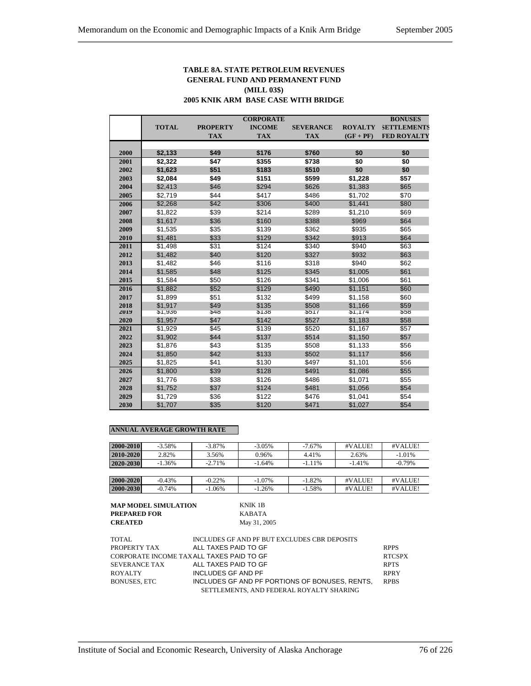### **TABLE 8A. STATE PETROLEUM REVENUES GENERAL FUND AND PERMANENT FUND (MILL 03\$) 2005 KNIK ARM BASE CASE WITH BRIDGE**

|      |              |                 | <b>CORPORATE</b> |                  |                | <b>BONUSES</b>     |
|------|--------------|-----------------|------------------|------------------|----------------|--------------------|
|      | <b>TOTAL</b> | <b>PROPERTY</b> | <b>INCOME</b>    | <b>SEVERANCE</b> | <b>ROYALTY</b> | <b>SETTLEMENTS</b> |
|      |              | <b>TAX</b>      | <b>TAX</b>       | <b>TAX</b>       | $(GF + PF)$    | <b>FED ROYALTY</b> |
|      |              |                 |                  |                  |                |                    |
| 2000 | \$2,133      | \$49            | \$176            | \$760            | \$0            | \$0                |
| 2001 | \$2,322      | \$47            | \$355            | \$738            | \$0            | \$0                |
| 2002 | \$1,623      | \$51            | \$183            | \$510            | \$0            | \$0                |
| 2003 | \$2,084      | \$49            | \$151            | \$599            | \$1,228        | \$57               |
| 2004 | \$2,413      | \$46            | \$294            | \$626            | \$1,383        | \$65               |
| 2005 | \$2,719      | \$44            | \$417            | \$486            | \$1,702        | \$70               |
| 2006 | \$2,268      | \$42            | \$306            | \$400            | \$1,441        | \$80               |
| 2007 | \$1,822      | \$39            | \$214            | \$289            | \$1,210        | \$69               |
| 2008 | \$1,617      | \$36            | \$160            | \$388            | \$969          | \$64               |
| 2009 | \$1,535      | \$35            | \$139            | \$362            | \$935          | \$65               |
| 2010 | \$1,481      | \$33            | \$129            | \$342            | \$913          | \$64               |
| 2011 | \$1,498      | \$31            | \$124            | \$340            | \$940          | \$63               |
| 2012 | \$1,482      | \$40            | \$120            | \$327            | \$932          | \$63               |
| 2013 | \$1,482      | \$46            | \$116            | \$318            | \$940          | \$62               |
| 2014 | \$1,585      | \$48            | \$125            | \$345            | \$1,005        | \$61               |
| 2015 | \$1,584      | \$50            | \$126            | \$341            | \$1,006        | \$61               |
| 2016 | \$1,882      | \$52            | \$129            | \$490            | \$1,151        | \$60               |
| 2017 | \$1,899      | \$51            | \$132            | \$499            | \$1,158        | \$60               |
| 2018 | \$1.917      | \$49            | \$135            | \$508            | \$1,166        | \$59               |
| 2019 | \$1,936      | $\sqrt[3]{48}$  | \$138            | 351/             | \$1,1/4        | ১১৪                |
| 2020 | \$1,957      | \$47            | \$142            | \$527            | \$1,183        | \$58               |
| 2021 | \$1,929      | \$45            | \$139            | \$520            | \$1,167        | \$57               |
| 2022 | \$1,902      | \$44            | \$137            | \$514            | \$1,150        | \$57               |
| 2023 | \$1,876      | \$43            | \$135            | \$508            | \$1,133        | \$56               |
| 2024 | \$1,850      | \$42            | \$133            | \$502            | \$1,117        | \$56               |
| 2025 | \$1,825      | \$41            | \$130            | \$497            | \$1,101        | \$56               |
| 2026 | \$1,800      | \$39            | \$128            | \$491            | \$1,086        | \$55               |
| 2027 | \$1,776      | \$38            | \$126            | \$486            | \$1,071        | \$55               |
| 2028 | \$1,752      | \$37            | \$124            | \$481            | \$1,056        | \$54               |
| 2029 | \$1,729      | \$36            | \$122            | \$476            | \$1,041        | \$54               |
| 2030 | \$1,707      | \$35            | \$120            | \$471            | \$1,027        | \$54               |

#### **ANNUAL AVERAGE GROWTH RATE**

| 2000-2010 | $-3.58\%$ | $-3.87\%$ | $-3.05\%$ | $-7.67\%$ | #VALUE!  | #VALUE!   |
|-----------|-----------|-----------|-----------|-----------|----------|-----------|
| 2010-2020 | 2.82%     | 3.56%     | 0.96%     | 4.41%     | 2.63%    | $-1.01%$  |
| 2020-2030 | $-1.36\%$ | $-2.71%$  | $-1.64%$  | $-1.11%$  | $-1.41%$ | $-0.79\%$ |
|           |           |           |           |           |          |           |
| 2000-2020 | $-0.43%$  | $-0.22\%$ | $-1.07\%$ | $-1.82%$  | #VALUE!  | #VALUE!   |
| 2000-2030 | $-0.74%$  | $-1.06\%$ | $-1.26%$  | $-1.58%$  | #VALUE!  | #VALUE!   |

**MAP MODEL SIMULATION KNIK 1B**<br>**PREPARED FOR** KABATA **PREPARED FOR<br>CREATED** 

| TOTAL.                                   | INCLUDES GF AND PF BUT EXCLUDES CBR DEPOSITS   |               |
|------------------------------------------|------------------------------------------------|---------------|
| PROPERTY TAX                             | ALL TAXES PAID TO GF                           | <b>RPPS</b>   |
| CORPORATE INCOME TAXALL TAXES PAID TO GF |                                                | <b>RTCSPX</b> |
| <b>SEVERANCE TAX</b>                     | ALL TAXES PAID TO GF                           | <b>RPTS</b>   |
| <b>ROYALTY</b>                           | INCLUDES GF AND PF                             | <b>RPRY</b>   |
| <b>BONUSES, ETC</b>                      | INCLUDES GF AND PF PORTIONS OF BONUSES. RENTS. | <b>RPBS</b>   |
|                                          | SETTLEMENTS, AND FEDERAL ROYALTY SHARING       |               |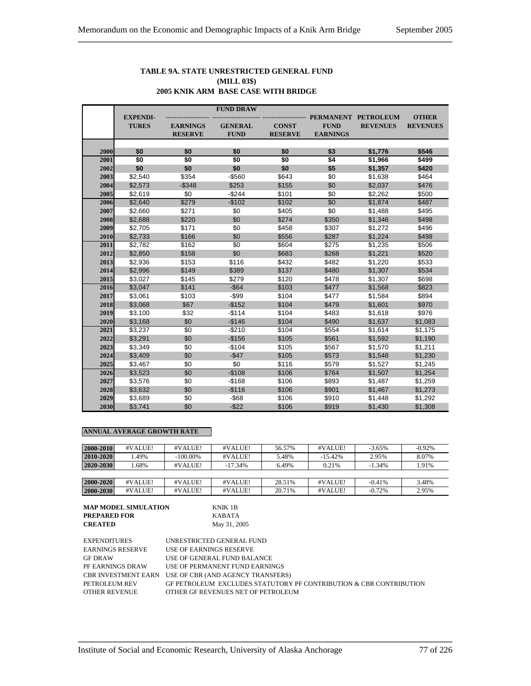#### **TABLE 9A. STATE UNRESTRICTED GENERAL FUND (MILL 03\$) 2005 KNIK ARM BASE CASE WITH BRIDGE**

|      |                                 |                 | <b>FUND DRAW</b> |                |                 |                                        |                                 |
|------|---------------------------------|-----------------|------------------|----------------|-----------------|----------------------------------------|---------------------------------|
|      | <b>EXPENDI-</b><br><b>TURES</b> | <b>EARNINGS</b> | <b>GENERAL</b>   | <b>CONST</b>   | <b>FUND</b>     | PERMANENT PETROLEUM<br><b>REVENUES</b> | <b>OTHER</b><br><b>REVENUES</b> |
|      |                                 | <b>RESERVE</b>  | <b>FUND</b>      | <b>RESERVE</b> | <b>EARNINGS</b> |                                        |                                 |
|      |                                 |                 |                  |                |                 |                                        |                                 |
| 2000 | \$0                             | \$0             | \$0              | \$0            | \$3             | \$1,776                                | \$546                           |
| 2001 | \$0                             | \$0             | \$0              | \$0            | \$4             | \$1,966                                | \$499                           |
| 2002 | \$0                             | \$0             | \$0              | \$0            | \$5             | \$1,357                                | \$420                           |
| 2003 | \$2,540                         | \$354           | $-$560$          | \$643          | \$0             | \$1,638                                | \$464                           |
| 2004 | \$2,573                         | $-$ \$348       | \$253            | \$155          | \$0             | \$2,037                                | \$476                           |
| 2005 | \$2,619                         | \$0             | $-$244$          | \$101          | \$0             | \$2,262                                | \$500                           |
| 2006 | \$2,640                         | \$279           | $-$102$          | \$102          | $\overline{50}$ | \$1,874                                | \$487                           |
| 2007 | \$2,660                         | \$271           | \$0              | \$405          | \$0             | \$1,488                                | \$495                           |
| 2008 | \$2,688                         | \$220           | \$0              | \$274          | \$350           | \$1,346                                | \$498                           |
| 2009 | \$2,705                         | \$171           | \$0              | \$458          | \$307           | \$1,272                                | \$496                           |
| 2010 | \$2,733                         | \$166           | \$0              | \$556          | \$287           | \$1,224                                | \$498                           |
| 2011 | \$2,782                         | \$162           | \$0              | \$604          | \$275           | \$1,235                                | \$506                           |
| 2012 | \$2,850                         | \$158           | \$0              | \$683          | \$268           | \$1,221                                | \$520                           |
| 2013 | \$2,936                         | \$153           | \$116            | \$432          | \$482           | \$1,220                                | \$533                           |
| 2014 | \$2,996                         | \$149           | \$389            | \$137          | \$480           | \$1,307                                | \$534                           |
| 2015 | \$3,027                         | \$145           | \$279            | \$120          | \$478           | \$1,307                                | \$698                           |
| 2016 | \$3,047                         | \$141           | $-$ \$64         | \$103          | \$477           | \$1,568                                | \$823                           |
| 2017 | \$3,061                         | \$103           | $-$ \$99         | \$104          | \$477           | \$1,584                                | \$894                           |
| 2018 | \$3,068                         | \$67            | $-$152$          | \$104          | \$479           | \$1,601                                | \$970                           |
| 2019 | \$3,100                         | \$32            | $-$114$          | \$104          | \$483           | \$1,618                                | \$976                           |
| 2020 | \$3,168                         | \$0             | $-$146$          | \$104          | \$490           | \$1,637                                | \$1,083                         |
| 2021 | \$3,237                         | \$0             | $-$210$          | \$104          | \$554           | \$1,614                                | \$1,175                         |
| 2022 | \$3,291                         | \$0             | $-$156$          | \$105          | \$561           | \$1,592                                | \$1,190                         |
| 2023 | \$3,349                         | \$0             | $-$104$          | \$105          | \$567           | \$1,570                                | \$1,211                         |
| 2024 | \$3,409                         | \$0             | $-$47$           | \$105          | \$573           | \$1,548                                | \$1,230                         |
| 2025 | \$3,467                         | \$0             | \$0              | \$116          | \$579           | \$1,527                                | \$1,245                         |
| 2026 | \$3,523                         | \$0             | $-$108$          | \$106          | \$764           | \$1,507                                | \$1,254                         |
| 2027 | \$3,576                         | \$0             | $-$168$          | \$106          | \$893           | \$1,487                                | \$1,259                         |
| 2028 | \$3,632                         | \$0             | $-$116$          | \$106          | \$901           | \$1,467                                | \$1,273                         |
| 2029 | \$3,689                         | \$0             | $-$ \$68         | \$106          | \$910           | \$1,448                                | \$1,292                         |
| 2030 | \$3,741                         | \$0             | $-$22$           | \$106          | \$919           | \$1,430                                | \$1,308                         |

#### **ANNUAL AVERAGE GROWTH RATE**

| 2000-2010 | #VALUE! | #VALUE!     | #VALUE!   | 56.57% | #VALUE!   | $-3.65\%$ | $-0.92%$ |
|-----------|---------|-------------|-----------|--------|-----------|-----------|----------|
| 2010-2020 | .49%    | $-100.00\%$ | #VALUE!   | 5.48%  | $-15.42%$ | 2.95%     | 8.07%    |
| 2020-2030 | .68%    | #VALUE!     | $-17.34%$ | 6.49%  | 0.21%     | $-1.34%$  | 1.91%    |
|           |         |             |           |        |           |           |          |
| 2000-2020 | #VALUE! | #VALUE!     | #VALUE!   | 28.51% | #VALUE!   | $-0.41%$  | 3.48%    |
| 2000-2030 | #VALUE! | #VALUE!     | #VALUE!   | 20.71% | #VALUE!   | $-0.72%$  | 2.95%    |

# **MAP MODEL SIMULATION** KNIK 1B **PREPARED FOR** KABATA

| <b>EXPENDITURES</b>     | UNRESTRICTED GENERAL FUND                                          |
|-------------------------|--------------------------------------------------------------------|
| <b>EARNINGS RESERVE</b> | USE OF EARNINGS RESERVE                                            |
| <b>GF DRAW</b>          | USE OF GENERAL FUND BALANCE                                        |
| PF EARNINGS DRAW        | USE OF PERMANENT FUND EARNINGS                                     |
|                         | CBR INVESTMENT EARN USE OF CBR (AND AGENCY TRANSFERS)              |
| PETROLEUM REV           | GF PETROLEUM EXCLUDES STATUTORY PF CONTRIBUTION & CBR CONTRIBUTION |
| <b>OTHER REVENUE</b>    | OTHER GF REVENUES NET OF PETROLEUM                                 |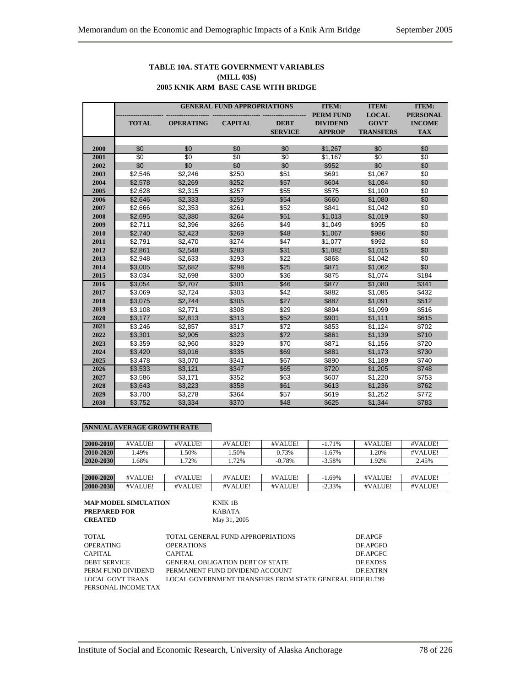#### **TABLE 10A. STATE GOVERNMENT VARIABLES (MILL 03\$) 2005 KNIK ARM BASE CASE WITH BRIDGE**

|      | <b>GENERAL FUND APPROPRIATIONS</b> |                  |                 |                 | <b>ITEM:</b>     | <b>ITEM:</b>     | <b>ITEM:</b>    |
|------|------------------------------------|------------------|-----------------|-----------------|------------------|------------------|-----------------|
|      |                                    |                  |                 |                 | <b>PERM FUND</b> | <b>LOCAL</b>     | <b>PERSONAL</b> |
|      | <b>TOTAL</b>                       | <b>OPERATING</b> | <b>CAPITAL</b>  | <b>DEBT</b>     | <b>DIVIDEND</b>  | <b>GOVT</b>      | <b>INCOME</b>   |
|      |                                    |                  |                 | <b>SERVICE</b>  | <b>APPROP</b>    | <b>TRANSFERS</b> | <b>TAX</b>      |
|      |                                    |                  |                 |                 |                  |                  |                 |
| 2000 | \$0                                | \$0              | \$0             | \$0             | \$1,267          | \$0              | \$0             |
| 2001 | $\overline{50}$                    | $\overline{50}$  | $\overline{50}$ | $\overline{50}$ | \$1,167          | \$0              | $\overline{50}$ |
| 2002 | \$0                                | \$0              | \$0             | \$0             | \$952            | \$0              | \$0             |
| 2003 | \$2,546                            | \$2,246          | \$250           | \$51            | \$691            | \$1,067          | \$0             |
| 2004 | \$2,578                            | \$2,269          | \$252           | \$57            | \$604            | \$1,084          | \$0             |
| 2005 | \$2,628                            | \$2,315          | \$257           | \$55            | \$575            | \$1,100          | \$0             |
| 2006 | \$2,646                            | \$2,333          | \$259           | \$54            | \$660            | \$1,080          | \$0             |
| 2007 | \$2,666                            | \$2,353          | \$261           | \$52            | \$841            | \$1,042          | \$0             |
| 2008 | \$2,695                            | \$2,380          | \$264           | \$51            | \$1,013          | \$1,019          | \$0             |
| 2009 | \$2,711                            | \$2,396          | \$266           | \$49            | \$1,049          | \$995            | \$0             |
| 2010 | \$2,740                            | \$2,423          | \$269           | \$48            | \$1,067          | \$986            | \$0             |
| 2011 | \$2,791                            | \$2,470          | \$274           | \$47            | \$1,077          | \$992            | \$0             |
| 2012 | \$2,861                            | \$2,548          | \$283           | \$31            | \$1,082          | \$1,015          | \$0             |
| 2013 | \$2,948                            | \$2,633          | \$293           | \$22            | \$868            | \$1,042          | \$0             |
| 2014 | \$3,005                            | \$2,682          | \$298           | \$25            | \$871            | \$1,062          | \$0             |
| 2015 | \$3,034                            | \$2,698          | \$300           | \$36            | \$875            | \$1,074          | \$184           |
| 2016 | \$3,054                            | \$2,707          | \$301           | \$46            | \$877            | \$1,080          | \$341           |
| 2017 | \$3,069                            | \$2,724          | \$303           | \$42            | \$882            | \$1,085          | \$432           |
| 2018 | \$3,075                            | \$2,744          | \$305           | \$27            | \$887            | \$1,091          | \$512           |
| 2019 | \$3,108                            | \$2,771          | \$308           | \$29            | \$894            | \$1,099          | \$516           |
| 2020 | \$3,177                            | \$2,813          | \$313           | \$52            | \$901            | \$1,111          | \$615           |
| 2021 | \$3,246                            | \$2,857          | \$317           | \$72            | \$853            | \$1,124          | \$702           |
| 2022 | \$3,301                            | \$2,905          | \$323           | \$72            | \$861            | \$1,139          | \$710           |
| 2023 | \$3,359                            | \$2,960          | \$329           | \$70            | \$871            | \$1,156          | \$720           |
| 2024 | \$3,420                            | \$3,016          | \$335           | \$69            | \$881            | \$1,173          | \$730           |
| 2025 | \$3,478                            | \$3,070          | \$341           | \$67            | \$890            | \$1,189          | \$740           |
| 2026 | \$3,533                            | \$3,121          | \$347           | \$65            | \$720            | \$1,205          | \$748           |
| 2027 | \$3,586                            | \$3,171          | \$352           | \$63            | \$607            | \$1,220          | \$753           |
| 2028 | \$3,643                            | \$3,223          | \$358           | \$61            | \$613            | \$1,236          | \$762           |
| 2029 | \$3,700                            | \$3,278          | \$364           | \$57            | \$619            | \$1,252          | \$772           |
| 2030 | \$3,752                            | \$3,334          | \$370           | \$48            | \$625            | \$1,344          | \$783           |

#### **ANNUAL AVERAGE GROWTH RATE**

| 2000-2010 | #VALUE! | #VALUE! | #VALUE! | #VALUE!  | $-1.71%$  | #VALUE! | #VALUE! |
|-----------|---------|---------|---------|----------|-----------|---------|---------|
| 2010-2020 | .49%    | .50%    | .50%    | 0.73%    | $-1.67\%$ | 1.20%   | #VALUE! |
| 2020-2030 | .68%    | .72%    | 1.72%   | $-0.78%$ | $-3.58%$  | 1.92%   | 2.45%   |
|           |         |         |         |          |           |         |         |
| 2000-2020 | #VALUE! | #VALUE! | #VALUE! | #VALUE!  | $-1.69%$  | #VALUE! | #VALUE! |
| 2000-2030 | #VALUE! | #VALUE! | #VALUE! | #VALUE!  | $-2.33\%$ | #VALUE! | #VALUE! |

| <b>MAP MODEL SIMULATION</b> | KNIK 1B      |
|-----------------------------|--------------|
| <b>PREPARED FOR</b>         | KABATA       |
| <b>CREATED</b>              | May 31, 2005 |

| NNIN 1D      |  |
|--------------|--|
| KABATA       |  |
| May 31, 2005 |  |

| TOTAL               | TOTAL GENERAL FUND APPROPRIATIONS                        | DF.APGF         |
|---------------------|----------------------------------------------------------|-----------------|
| OPERATING           | <b>OPERATIONS</b>                                        | DF.APGFO        |
| CAPITAL             | CAPITAL                                                  | DE APGFC        |
| <b>DEBT SERVICE</b> | <b>GENERAL OBLIGATION DEBT OF STATE</b>                  | <b>DE EXDSS</b> |
| PERM FUND DIVIDEND  | PERMANENT FUND DIVIDEND ACCOUNT                          | <b>DE EXTRN</b> |
| LOCAL GOVT TRANS    | LOCAL GOVERNMENT TRANSFERS FROM STATE GENERAL FIDF.RLT99 |                 |
| PERSONAL INCOME TAX |                                                          |                 |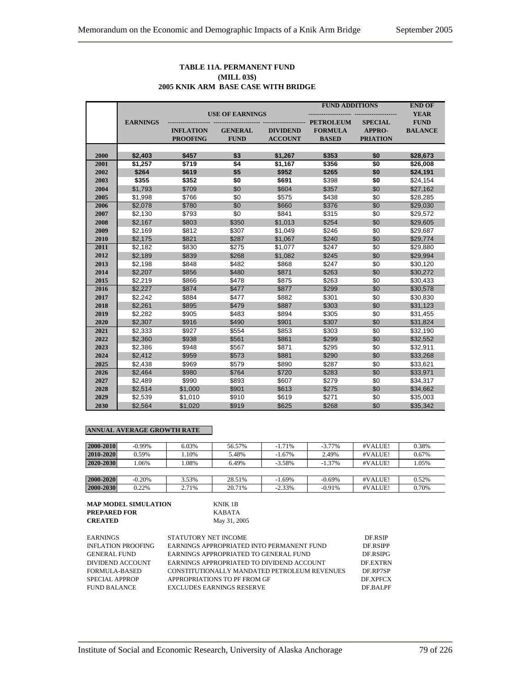#### **TABLE 11A. PERMANENT FUND (MILL 03\$) 2005 KNIK ARM BASE CASE WITH BRIDGE**

|              |                 |                  |                        |                 | <b>FUND ADDITIONS</b> |                 | <b>END OF</b>  |
|--------------|-----------------|------------------|------------------------|-----------------|-----------------------|-----------------|----------------|
|              |                 |                  | <b>USE OF EARNINGS</b> |                 |                       |                 | <b>YEAR</b>    |
|              | <b>EARNINGS</b> |                  |                        |                 | <b>PETROLEUM</b>      | <b>SPECIAL</b>  | <b>FUND</b>    |
|              |                 | <b>INFLATION</b> | <b>GENERAL</b>         | <b>DIVIDEND</b> | <b>FORMULA</b>        | APPRO-          | <b>BALANCE</b> |
|              |                 | <b>PROOFING</b>  | <b>FUND</b>            | <b>ACCOUNT</b>  | <b>BASED</b>          | <b>PRIATION</b> |                |
|              |                 |                  |                        |                 |                       |                 |                |
| 2000         | \$2,403         | \$457            | \$3<br>\$4             | \$1,267         | \$353<br>\$356        | \$0             | \$28,673       |
| 2001<br>2002 | \$1,257         | \$719            |                        | \$1,167         |                       | \$0             | \$26,008       |
|              | \$264           | \$619            | \$5<br>\$0             | \$952           | \$265                 | \$0             | \$24,191       |
| 2003         | \$355           | \$352            |                        | \$691           | \$398                 | \$0             | \$24,154       |
| 2004         | \$1,793         | \$709            | \$0                    | \$604           | \$357                 | \$0             | \$27,162       |
| 2005         | \$1,998         | \$766            | \$0                    | \$575           | \$438                 | \$0             | \$28,285       |
| 2006         | \$2,078         | \$780            | \$0                    | \$660           | \$376                 | \$0             | \$29,030       |
| 2007         | \$2,130         | \$793            | \$0                    | \$841           | \$315                 | \$0             | \$29,572       |
| 2008         | \$2,167         | \$803            | \$350                  | \$1,013         | \$254                 | \$0             | \$29,605       |
| 2009         | \$2,169         | \$812            | \$307                  | \$1,049         | \$246                 | \$0             | \$29,687       |
| 2010         | \$2,175         | \$821            | \$287                  | \$1,067         | \$240                 | \$0             | \$29,774       |
| 2011         | \$2,182         | \$830            | \$275                  | \$1,077         | \$247                 | \$0             | \$29,880       |
| 2012         | \$2,189         | \$839            | \$268                  | \$1,082         | \$245                 | \$0             | \$29,994       |
| 2013         | \$2,198         | \$848            | \$482                  | \$868           | \$247                 | \$0             | \$30,120       |
| 2014         | \$2,207         | \$856            | \$480                  | \$871           | \$263                 | \$0             | \$30,272       |
| 2015         | \$2,219         | \$866            | \$478                  | \$875           | \$263                 | \$0             | \$30,433       |
| 2016         | \$2,227         | \$874            | \$477                  | \$877           | \$299                 | \$0             | \$30,578       |
| 2017         | \$2,242         | \$884            | \$477                  | \$882           | \$301                 | \$0             | \$30,830       |
| 2018         | \$2,261         | \$895            | \$479                  | \$887           | \$303                 | \$0             | \$31,123       |
| 2019         | \$2,282         | \$905            | \$483                  | \$894           | \$305                 | \$0             | \$31,455       |
| 2020         | \$2,307         | \$916            | \$490                  | \$901           | \$307                 | \$0             | \$31,824       |
| 2021         | \$2,333         | \$927            | \$554                  | \$853           | \$303                 | \$0             | \$32,190       |
| 2022         | \$2,360         | \$938            | \$561                  | \$861           | \$299                 | \$0             | \$32,552       |
| 2023         | \$2,386         | \$948            | \$567                  | \$871           | \$295                 | \$0             | \$32,911       |
| 2024         | \$2,412         | \$959            | \$573                  | \$881           | \$290                 | \$0             | \$33,268       |
| 2025         | \$2,438         | \$969            | \$579                  | \$890           | \$287                 | \$0             | \$33,621       |
| 2026         | \$2,464         | \$980            | \$764                  | \$720           | \$283                 | \$0             | \$33,971       |
| 2027         | \$2,489         | \$990            | \$893                  | \$607           | \$279                 | \$0             | \$34,317       |
| 2028         | \$2,514         | \$1,000          | \$901                  | \$613           | \$275                 | \$0             | \$34,662       |
| 2029         | \$2,539         | \$1,010          | \$910                  | \$619           | \$271                 | \$0             | \$35,003       |
| 2030         | \$2,564         | \$1,020          | \$919                  | \$625           | \$268                 | \$0             | \$35,342       |

#### **ANNUAL AVERAGE GROWTH RATE**

| 2000-2010 | $-0.99\%$ | 6.03% | 56.57% | $-1.71%$  | $-3.77\%$ | #VALUE! | 0.38% |
|-----------|-----------|-------|--------|-----------|-----------|---------|-------|
| 2010-2020 | 0.59%     | .10%  | 5.48%  | $-1.67\%$ | 2.49%     | #VALUE! | 0.67% |
| 2020-2030 | .06%      | 1.08% | 6.49%  | $-3.58%$  | $-1.37%$  | #VALUE! | 1.05% |
|           |           |       |        |           |           |         |       |
| 2000-2020 | $-0.20%$  | 3.53% | 28.51% | $-1.69%$  | $-0.69\%$ | #VALUE! | 0.52% |
| 2000-2030 | 0.22%     | 2.71% | 20.71% | $-2.33%$  | $-0.91%$  | #VALUE! | 0.70% |

| <b>MAP MODEL SIMULATION</b> | KNIK 1B      |
|-----------------------------|--------------|
| <b>PREPARED FOR</b>         | KABATA       |
| <b>CREATED</b>              | May 31, 2005 |

| EARNINGS                  | STATUTORY NET INCOME                         | DE RSIP         |
|---------------------------|----------------------------------------------|-----------------|
| <b>INFLATION PROOFING</b> | EARNINGS APPROPRIATED INTO PERMANENT FUND    | DF RSIPP        |
| <b>GENERAL FUND</b>       | EARNINGS APPROPRIATED TO GENERAL FUND        | DE.RSIPG        |
| DIVIDEND ACCOUNT          | EARNINGS APPROPRIATED TO DIVIDEND ACCOUNT    | <b>DE EXTRN</b> |
| FORMULA-BASED             | CONSTITUTIONALLY MANDATED PETROLEUM REVENUES | DF RP7SP        |
| SPECIAL APPROP            | APPROPRIATIONS TO PF FROM GF                 | <b>DE XPECX</b> |
| <b>FUND BALANCE</b>       | <b>EXCLUDES EARNINGS RESERVE</b>             | DF BALPF        |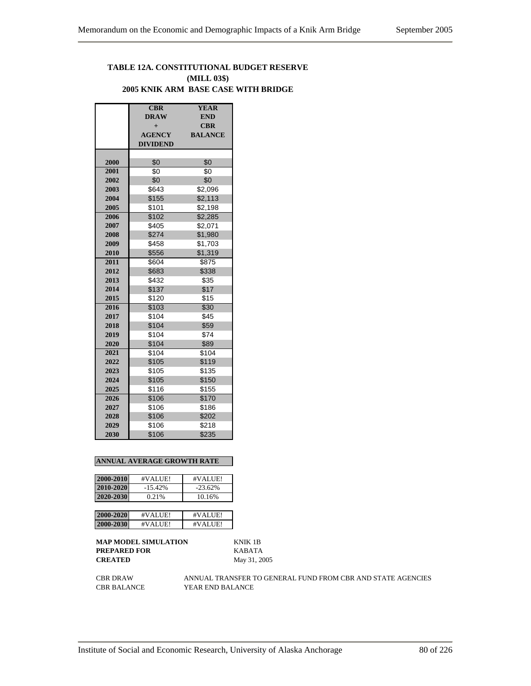# **TABLE 12A. CONSTITUTIONAL BUDGET RESERVE (MILL 03\$) 2005 KNIK ARM BASE CASE WITH BRIDGE**

|      | <b>CBR</b>      | <b>YEAR</b>    |
|------|-----------------|----------------|
|      | <b>DRAW</b>     | <b>END</b>     |
|      | $+$             | <b>CBR</b>     |
|      | <b>AGENCY</b>   | <b>BALANCE</b> |
|      | <b>DIVIDEND</b> |                |
|      |                 |                |
| 2000 | \$0             | \$0            |
| 2001 | \$0             | \$0            |
| 2002 | \$0             | \$0            |
| 2003 | \$643           | \$2,096        |
| 2004 | \$155           | \$2,113        |
| 2005 | \$101           | \$2,198        |
| 2006 | \$102           | \$2,285        |
| 2007 | \$405           | \$2,071        |
| 2008 | \$274           | \$1,980        |
| 2009 | \$458           | \$1,703        |
| 2010 | \$556           | \$1,319        |
| 2011 | \$604           | \$875          |
| 2012 | \$683           | \$338          |
| 2013 | \$432           | \$35           |
| 2014 | \$137           | \$17           |
| 2015 | \$120           | \$15           |
| 2016 | \$103           | \$30           |
| 2017 | \$104           | \$45           |
| 2018 | \$104           | \$59           |
| 2019 | \$104           | \$74           |
| 2020 | \$104           | \$89           |
| 2021 | \$104           | \$104          |
| 2022 | \$105           | \$119          |
| 2023 | \$105           | \$135          |
| 2024 | \$105           | \$150          |
| 2025 | \$116           | \$155          |
| 2026 | \$106           | \$170          |
| 2027 | \$106           | \$186          |
| 2028 | \$106           | \$202          |
| 2029 | \$106           | \$218          |
| 2030 | \$106           | \$235          |

#### **ANNUAL AVERAGE GROWTH RATE**

| 2000-2010 | #VALUE!   | #VALUE!   |
|-----------|-----------|-----------|
| 2010-2020 | $-15.42%$ | $-23.62%$ |
| 2020-2030 | 0.21%     | 10.16%    |
|           |           |           |
| 2000-2020 | #VALUE!   | #VALUE!   |
| 2000-2030 | #VALUE!   | #VALUE!   |

**MAP MODEL SIMULATION** KNIK 1B **PREPARED FOR** KABATA **CREATED** May 31, 2005

CBR DRAW ANNUAL TRANSFER TO GENERAL FUND FROM CBR AND STATE AGENCIES CBR BALANCE YEAR END BALANCE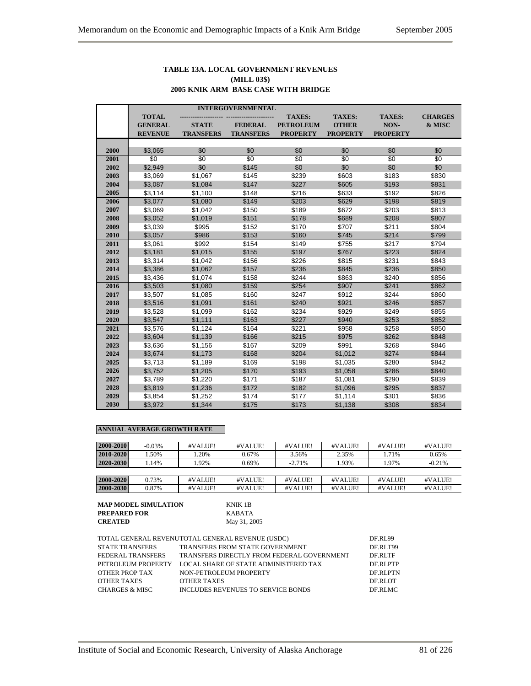#### **TABLE 13A. LOCAL GOVERNMENT REVENUES (MILL 03\$) 2005 KNIK ARM BASE CASE WITH BRIDGE**

|      | <b>INTERGOVERNMENTAL</b> |                  |                  |                  |                 |                 |                |  |  |
|------|--------------------------|------------------|------------------|------------------|-----------------|-----------------|----------------|--|--|
|      | <b>TOTAL</b>             |                  |                  | <b>TAXES:</b>    | <b>TAXES:</b>   | <b>TAXES:</b>   | <b>CHARGES</b> |  |  |
|      | <b>GENERAL</b>           | <b>STATE</b>     | <b>FEDERAL</b>   | <b>PETROLEUM</b> | <b>OTHER</b>    | NON-            | & MISC         |  |  |
|      | <b>REVENUE</b>           | <b>TRANSFERS</b> | <b>TRANSFERS</b> | <b>PROPERTY</b>  | <b>PROPERTY</b> | <b>PROPERTY</b> |                |  |  |
|      |                          |                  |                  |                  |                 |                 |                |  |  |
| 2000 | \$3,065                  | \$0              | \$0              | \$0              | \$0             | \$0             | \$0            |  |  |
| 2001 | \$0                      | \$0              | \$0              | \$0              | \$0             | \$0             | \$0            |  |  |
| 2002 | \$2,949                  | \$0              | \$145            | \$0              | \$0             | \$0             | \$0            |  |  |
| 2003 | \$3,069                  | \$1,067          | \$145            | \$239            | \$603           | \$183           | \$830          |  |  |
| 2004 | \$3,087                  | \$1,084          | \$147            | \$227            | \$605           | \$193           | \$831          |  |  |
| 2005 | \$3,114                  | \$1,100          | \$148            | \$216            | \$633           | \$192           | \$826          |  |  |
| 2006 | \$3,077                  | \$1,080          | \$149            | \$203            | \$629           | \$198           | \$819          |  |  |
| 2007 | \$3,069                  | \$1,042          | \$150            | \$189            | \$672           | \$203           | \$813          |  |  |
| 2008 | \$3,052                  | \$1,019          | \$151            | \$178            | \$689           | \$208           | \$807          |  |  |
| 2009 | \$3,039                  | \$995            | \$152            | \$170            | \$707           | \$211           | \$804          |  |  |
| 2010 | \$3,057                  | \$986            | \$153            | \$160            | \$745           | \$214           | \$799          |  |  |
| 2011 | \$3,061                  | \$992            | \$154            | \$149            | \$755           | \$217           | \$794          |  |  |
| 2012 | \$3,181                  | \$1,015          | \$155            | \$197            | \$767           | \$223           | \$824          |  |  |
| 2013 | \$3,314                  | \$1,042          | \$156            | \$226            | \$815           | \$231           | \$843          |  |  |
| 2014 | \$3,386                  | \$1,062          | \$157            | \$236            | \$845           | \$236           | \$850          |  |  |
| 2015 | \$3,436                  | \$1,074          | \$158            | \$244            | \$863           | \$240           | \$856          |  |  |
| 2016 | \$3,503                  | \$1,080          | \$159            | \$254            | \$907           | \$241           | \$862          |  |  |
| 2017 | \$3,507                  | \$1,085          | \$160            | \$247            | \$912           | \$244           | \$860          |  |  |
| 2018 | \$3,516                  | \$1,091          | \$161            | \$240            | \$921           | \$246           | \$857          |  |  |
| 2019 | \$3,528                  | \$1,099          | \$162            | \$234            | \$929           | \$249           | \$855          |  |  |
| 2020 | \$3,547                  | \$1,111          | \$163            | \$227            | \$940           | \$253           | \$852          |  |  |
| 2021 | \$3,576                  | \$1,124          | \$164            | \$221            | \$958           | \$258           | \$850          |  |  |
| 2022 | \$3,604                  | \$1,139          | \$166            | \$215            | \$975           | \$262           | \$848          |  |  |
| 2023 | \$3,636                  | \$1,156          | \$167            | \$209            | \$991           | \$268           | \$846          |  |  |
| 2024 | \$3,674                  | \$1,173          | \$168            | \$204            | \$1,012         | \$274           | \$844          |  |  |
| 2025 | \$3,713                  | \$1,189          | \$169            | \$198            | \$1,035         | \$280           | \$842          |  |  |
| 2026 | \$3,752                  | \$1,205          | \$170            | \$193            | \$1,058         | \$286           | \$840          |  |  |
| 2027 | \$3,789                  | \$1,220          | \$171            | \$187            | \$1,081         | \$290           | \$839          |  |  |
| 2028 | \$3,819                  | \$1,236          | \$172            | \$182            | \$1,096         | \$295           | \$837          |  |  |
| 2029 | \$3,854                  | \$1,252          | \$174            | \$177            | \$1,114         | \$301           | \$836          |  |  |
| 2030 | \$3,972                  | \$1,344          | \$175            | \$173            | \$1,138         | \$308           | \$834          |  |  |

## **ANNUAL AVERAGE GROWTH RATE**

| 2000-2010 | $-0.03\%$ | #VALUE! | #VALUE! | #VALUE!  | #VALUE! | #VALUE! | #VALUE!  |
|-----------|-----------|---------|---------|----------|---------|---------|----------|
| 2010-2020 | .50%      | .20%    | 0.67%   | 3.56%    | 2.35%   | 1.71%   | 0.65%    |
| 2020-2030 | .14%      | 1.92%   | 0.69%   | $-2.71%$ | 1.93%   | 1.97%   | $-0.21%$ |
|           |           |         |         |          |         |         |          |
| 2000-2020 | 0.73%     | #VALUE! | #VALUE! | #VALUE!  | #VALUE! | #VALUE! | #VALUE!  |
| 2000-2030 | 0.87%     | #VALUE! | #VALUE! | #VALUE!  | #VALUE! | #VALUE! | #VALUE!  |

| <b>MAP MODEL SIMULATION</b> | KNIK 1B      |
|-----------------------------|--------------|
| <b>PREPARED FOR</b>         | KABATA       |
| <b>CREATED</b>              | May 31, 2005 |

|                   | TOTAL GENERAL REVENUTOTAL GENERAL REVENUE (USDC)              | DF.RL99  |
|-------------------|---------------------------------------------------------------|----------|
| STATE TRANSFERS   | TRANSFERS FROM STATE GOVERNMENT                               | DF.RLT99 |
| FEDERAL TRANSFERS | TRANSFERS DIRECTLY FROM FEDERAL GOVERNMENT                    | DF RLTF  |
|                   | PETROLEUM PROPERTY      LOCAL SHARE OF STATE ADMINISTERED TAX | DE.RLPTP |
| OTHER PROP TAX    | NON-PETROLEUM PROPERTY                                        | DE RLPTN |
| OTHER TAXES       | <b>OTHER TAXES</b>                                            | DE RLOT  |
| CHARGES & MISC    | INCLUDES REVENUES TO SERVICE BONDS                            | DF.RLMC  |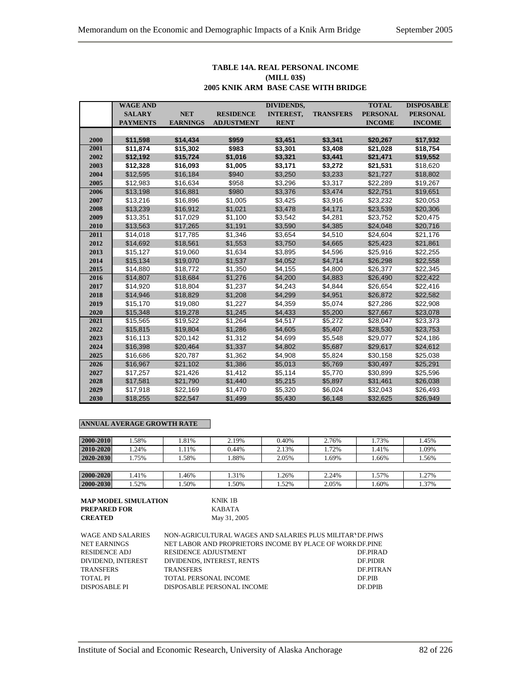#### **TABLE 14A. REAL PERSONAL INCOME (MILL 03\$) 2005 KNIK ARM BASE CASE WITH BRIDGE**

|      | <b>WAGE AND</b> |                 |                   | DIVIDENDS,       |                  | <b>TOTAL</b>    | <b>DISPOSABLE</b> |
|------|-----------------|-----------------|-------------------|------------------|------------------|-----------------|-------------------|
|      | <b>SALARY</b>   | <b>NET</b>      | <b>RESIDENCE</b>  | <b>INTEREST,</b> | <b>TRANSFERS</b> | <b>PERSONAL</b> | <b>PERSONAL</b>   |
|      | <b>PAYMENTS</b> | <b>EARNINGS</b> | <b>ADJUSTMENT</b> | <b>RENT</b>      |                  | <b>INCOME</b>   | <b>INCOME</b>     |
|      |                 |                 |                   |                  |                  |                 |                   |
| 2000 | \$11,598        | \$14,434        | \$959             | \$3,451          | \$3,341          | \$20,267        | \$17,932          |
| 2001 | \$11,874        | \$15,302        | \$983             | \$3,301          | \$3,408          | \$21,028        | \$18,754          |
| 2002 | \$12,192        | \$15,724        | \$1,016           | \$3,321          | \$3,441          | \$21,471        | \$19,552          |
| 2003 | \$12,328        | \$16,093        | \$1,005           | \$3,171          | \$3,272          | \$21,531        | \$18,620          |
| 2004 | \$12,595        | \$16,184        | \$940             | \$3,250          | \$3,233          | \$21,727        | \$18,802          |
| 2005 | \$12,983        | \$16,634        | \$958             | \$3,296          | \$3,317          | \$22,289        | \$19,267          |
| 2006 | \$13,198        | \$16,881        | \$980             | \$3,376          | \$3,474          | \$22,751        | \$19,651          |
| 2007 | \$13,216        | \$16,896        | \$1,005           | \$3,425          | \$3,916          | \$23,232        | \$20,053          |
| 2008 | \$13,239        | \$16,912        | \$1,021           | \$3,478          | \$4,171          | \$23,539        | \$20,306          |
| 2009 | \$13,351        | \$17,029        | \$1,100           | \$3,542          | \$4,281          | \$23,752        | \$20,475          |
| 2010 | \$13,563        | \$17,265        | \$1,191           | \$3,590          | \$4,385          | \$24,048        | \$20,716          |
| 2011 | \$14,018        | \$17,785        | \$1,346           | \$3,654          | \$4,510          | \$24,604        | \$21,176          |
| 2012 | \$14,692        | \$18,561        | \$1,553           | \$3,750          | \$4,665          | \$25,423        | \$21,861          |
| 2013 | \$15,127        | \$19,060        | \$1,634           | \$3,895          | \$4,596          | \$25,916        | \$22,255          |
| 2014 | \$15,134        | \$19,070        | \$1,537           | \$4,052          | \$4,714          | \$26,298        | \$22,558          |
| 2015 | \$14,880        | \$18,772        | \$1,350           | \$4,155          | \$4,800          | \$26,377        | \$22,345          |
| 2016 | \$14,807        | \$18,684        | \$1,276           | \$4,200          | \$4,883          | \$26,490        | \$22,422          |
| 2017 | \$14,920        | \$18,804        | \$1,237           | \$4,243          | \$4,844          | \$26,654        | \$22,416          |
| 2018 | \$14,946        | \$18,829        | \$1,208           | \$4,299          | \$4,951          | \$26,872        | \$22,582          |
| 2019 | \$15,170        | \$19,080        | \$1,227           | \$4,359          | \$5,074          | \$27,286        | \$22,908          |
| 2020 | \$15,348        | \$19,278        | \$1,245           | \$4,433          | \$5,200          | \$27,667        | \$23,078          |
| 2021 | \$15,565        | \$19,522        | \$1,264           | \$4,517          | \$5,272          | \$28,047        | \$23,373          |
| 2022 | \$15,815        | \$19,804        | \$1,286           | \$4,605          | \$5,407          | \$28,530        | \$23,753          |
| 2023 | \$16,113        | \$20,142        | \$1,312           | \$4,699          | \$5,548          | \$29,077        | \$24,186          |
| 2024 | \$16,398        | \$20,464        | \$1,337           | \$4,802          | \$5,687          | \$29,617        | \$24,612          |
| 2025 | \$16,686        | \$20,787        | \$1,362           | \$4,908          | \$5,824          | \$30,158        | \$25,038          |
| 2026 | \$16,967        | \$21,102        | \$1,386           | \$5,013          | \$5,769          | \$30,497        | \$25,291          |
| 2027 | \$17,257        | \$21,426        | \$1,412           | \$5,114          | \$5,770          | \$30,899        | \$25,596          |
| 2028 | \$17,581        | \$21,790        | \$1,440           | \$5,215          | \$5,897          | \$31,461        | \$26,038          |
| 2029 | \$17,918        | \$22,169        | \$1,470           | \$5,320          | \$6,024          | \$32,043        | \$26,493          |
| 2030 | \$18,255        | \$22,547        | \$1,499           | \$5,430          | \$6,148          | \$32,625        | \$26,949          |

# **ANNUAL AVERAGE GROWTH RATE**

| 2000-2010 | .58% | .81% | 2.19% | 0.40% | 2.76% | 1.73% | 1.45% |
|-----------|------|------|-------|-------|-------|-------|-------|
| 2010-2020 | .24% | .11% | 0.44% | 2.13% | 1.72% | 1.41% | .09%  |
| 2020-2030 | .75% | .58% | .88%  | 2.05% | .69%  | .66%  | .56%  |
|           |      |      |       |       |       |       |       |
| 2000-2020 | .41% | .46% | .31%  | .26%  | 2.24% | 1.57% | 1.27% |
| 2000-2030 | .52% | .50% | .50%  | .52%  | 2.05% | .60%  | 1.37% |

| <b>MAP MODEL SIMULATION</b> | KNIK 1B      |
|-----------------------------|--------------|
| <b>PREPARED FOR</b>         | KARATA       |
| <b>CREATED</b>              | May 31, 2005 |

| WAGE AND SALARIES    | NON-AGRICULTURAL WAGES AND SALARIES PLUS MILITAR DE PIWS  |                  |
|----------------------|-----------------------------------------------------------|------------------|
| <b>NET EARNINGS</b>  | NET LABOR AND PROPRIETORS INCOME BY PLACE OF WORK DF.PINE |                  |
| RESIDENCE ADJ        | <b>RESIDENCE ADJUSTMENT</b>                               | DE PIRAD         |
| DIVIDEND, INTEREST   | DIVIDENDS, INTEREST, RENTS                                | DE PIDIR         |
| <b>TRANSFERS</b>     | <b>TRANSFERS</b>                                          | <b>DE PITRAN</b> |
| <b>TOTAL PI</b>      | TOTAL PERSONAL INCOME                                     | DF PIB           |
| <b>DISPOSABLE PI</b> | DISPOSABLE PERSONAL INCOME                                | DF DPIB          |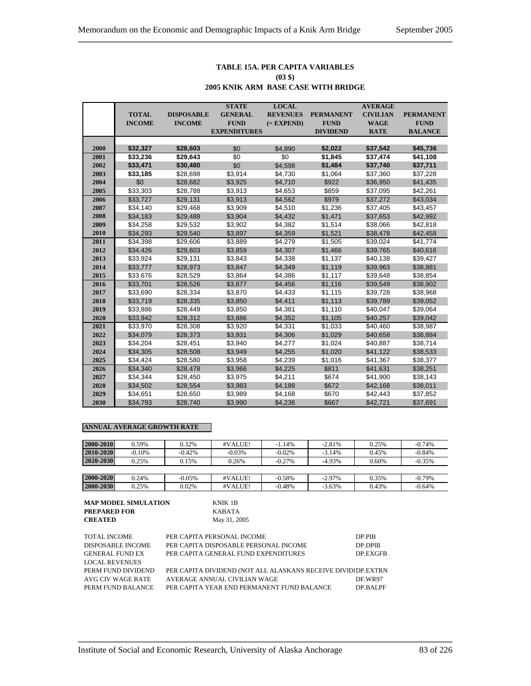#### **TABLE 15A. PER CAPITA VARIABLES (03 \$)**

#### **2005 KNIK ARM BASE CASE WITH BRIDGE**

|      |               |                   | <b>STATE</b>        | <b>LOCAL</b>    |                  | <b>AVERAGE</b>  |                  |
|------|---------------|-------------------|---------------------|-----------------|------------------|-----------------|------------------|
|      | <b>TOTAL</b>  | <b>DISPOSABLE</b> | <b>GENERAL</b>      | <b>REVENUES</b> | <b>PERMANENT</b> | <b>CIVILIAN</b> | <b>PERMANENT</b> |
|      | <b>INCOME</b> | <b>INCOME</b>     | <b>FUND</b>         | $(= EXPEND)$    | <b>FUND</b>      | <b>WAGE</b>     | <b>FUND</b>      |
|      |               |                   | <b>EXPENDITURES</b> |                 | <b>DIVIDEND</b>  | <b>RATE</b>     | <b>BALANCE</b>   |
|      |               |                   |                     |                 |                  |                 |                  |
| 2000 | \$32,327      | \$28,603          | \$0                 | \$4,890         | \$2,022          | \$37,542        | \$45,736         |
| 2001 | \$33,236      | \$29,643          | $\overline{50}$     | $\overline{50}$ | \$1,845          | \$37,474        | \$41,108         |
| 2002 | \$33,471      | \$30,480          | \$0                 | \$4,598         | \$1,484          | \$37,740        | \$37,711         |
| 2003 | \$33,185      | \$28,698          | \$3,914             | \$4,730         | \$1,064          | \$37,360        | \$37,228         |
| 2004 | \$0           | \$28,682          | \$3,925             | \$4,710         | \$922            | \$36,950        | \$41,435         |
| 2005 | \$33,303      | \$28,788          | \$3,913             | \$4,653         | \$859            | \$37,095        | \$42,261         |
| 2006 | \$33,727      | \$29,131          | \$3,913             | \$4,562         | \$979            | \$37,272        | \$43,034         |
| 2007 | \$34,140      | \$29,468          | \$3,909             | \$4,510         | \$1,236          | \$37,405        | \$43,457         |
| 2008 | \$34,183      | \$29,488          | \$3,904             | \$4,432         | \$1,471          | \$37,653        | \$42,992         |
| 2009 | \$34,258      | \$29,532          | \$3,902             | \$4,382         | \$1,514          | \$38,066        | \$42,818         |
| 2010 | \$34,293      | \$29,540          | \$3,897             | \$4,359         | \$1,521          | \$38,478        | \$42,458         |
| 2011 | \$34,398      | \$29,606          | \$3,889             | \$4,279         | \$1,505          | \$39,024        | \$41,774         |
| 2012 | \$34,426      | \$29,603          | \$3,859             | \$4,307         | \$1,466          | \$39,765        | \$40,616         |
| 2013 | \$33,924      | \$29,131          | \$3,843             | \$4,338         | \$1,137          | \$40,138        | \$39,427         |
| 2014 | \$33,777      | \$28,973          | \$3,847             | \$4,349         | \$1,119          | \$39,963        | \$38,881         |
| 2015 | \$33,676      | \$28,529          | \$3,864             | \$4,386         | \$1,117          | \$39,648        | \$38,854         |
| 2016 | \$33,701      | \$28,526          | \$3,877             | \$4,456         | \$1,116          | \$39,549        | \$38,902         |
| 2017 | \$33,690      | \$28,334          | \$3,870             | \$4,433         | \$1,115          | \$39,728        | \$38,968         |
| 2018 | \$33,719      | \$28,335          | \$3,850             | \$4,411         | \$1,113          | \$39,789        | \$39,052         |
| 2019 | \$33,886      | \$28,449          | \$3,850             | \$4,381         | \$1,110          | \$40,047        | \$39,064         |
| 2020 | \$33,942      | \$28,312          | \$3,886             | \$4,352         | \$1,105          | \$40,257        | \$39,042         |
| 2021 | \$33,970      | \$28,308          | \$3,920             | \$4,331         | \$1,033          | \$40,460        | \$38,987         |
| 2022 | \$34,079      | \$28,373          | \$3,931             | \$4,306         | \$1,029          | \$40,658        | \$38,884         |
| 2023 | \$34,204      | \$28,451          | \$3,940             | \$4,277         | \$1,024          | \$40,887        | \$38,714         |
| 2024 | \$34,305      | \$28,508          | \$3,949             | \$4,255         | \$1,020          | \$41,122        | \$38,533         |
| 2025 | \$34,424      | \$28,580          | \$3,958             | \$4,239         | \$1,016          | \$41,367        | \$38,377         |
| 2026 | \$34,340      | \$28,478          | \$3,966             | \$4,225         | \$811            | \$41,631        | \$38,251         |
| 2027 | \$34,344      | \$28,450          | \$3,975             | \$4,211         | \$674            | \$41,900        | \$38,143         |
| 2028 | \$34,502      | \$28,554          | \$3,983             | \$4,188         | \$672            | \$42,168        | \$38,011         |
| 2029 | \$34,651      | \$28,650          | \$3,989             | \$4,168         | \$670            | \$42,443        | \$37,852         |
| 2030 | \$34,793      | \$28.740          | \$3,990             | \$4.236         | \$667            | \$42.721        | \$37,691         |

#### **ANNUAL AVERAGE GROWTH RATE**

| 2000-2010 | 0.59%    | 0.32%     | #VALUE!  | $-1.14%$  | $-2.81%$  | 0.25% | $-0.74%$ |
|-----------|----------|-----------|----------|-----------|-----------|-------|----------|
| 2010-2020 | $-0.10%$ | $-0.42%$  | $-0.03%$ | $-0.02\%$ | $-3.14%$  | 0.45% | $-0.84%$ |
| 2020-2030 | 0.25%    | 0.15%     | 0.26%    | $-0.27%$  | $-4.93\%$ | 0.60% | $-0.35%$ |
|           |          |           |          |           |           |       |          |
| 2000-2020 | 0.24%    | $-0.05\%$ | #VALUE!  | $-0.58%$  | $-2.97\%$ | 0.35% | $-0.79%$ |
| 2000-2030 | 0.25%    | 0.02%     | #VALUE!  | $-0.48%$  | $-3.63%$  | 0.43% | $-0.64%$ |

| <b>MAP MODEL SIMULATION</b> |   |
|-----------------------------|---|
| <b>PREPARED FOR</b>         |   |
| <b>CREATED</b>              | N |

**MIK 1B PREPARED FOR** KABATA **CREATED** May 31, 2005

| <b>TOTAL INCOME</b>    | PER CAPITA PERSONAL INCOME                                   | DP PIB   |
|------------------------|--------------------------------------------------------------|----------|
| DISPOSABLE INCOME      | PER CAPITA DISPOSABLE PERSONAL INCOME                        | DP.DPIB  |
| <b>GENERAL FUND EX</b> | PER CAPITA GENERAL FUND EXPENDITURES                         | DP.EXGFB |
| <b>LOCAL REVENUES</b>  |                                                              |          |
| PERM FUND DIVIDEND     | PER CAPITA DIVIDEND (NOT ALL ALASKANS RECEIVE DIVIDIDP.EXTRN |          |
| AVG CIV WAGE RATE      | AVERAGE ANNUAL CIVILIAN WAGE                                 | DF WR97  |
| PERM FUND BALANCE      | PER CAPITA YEAR END PERMANENT FUND BALANCE                   | DP RALPF |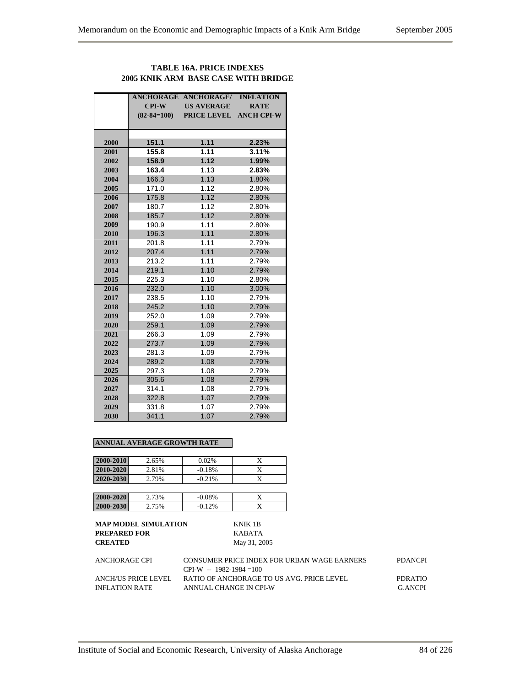# **TABLE 16A. PRICE INDEXES 2005 KNIK ARM BASE CASE WITH BRIDGE**

|      |                   | <b>ANCHORAGE ANCHORAGE/</b> | <b>INFLATION</b>  |
|------|-------------------|-----------------------------|-------------------|
|      | $CPI-W$           | <b>US AVERAGE</b>           | <b>RATE</b>       |
|      | $(82 - 84 = 100)$ | <b>PRICE LEVEL</b>          | <b>ANCH CPI-W</b> |
|      |                   |                             |                   |
| 2000 | 151.1             | 1.11                        | 2.23%             |
| 2001 | 155.8             | 1.11                        | 3.11%             |
| 2002 | 158.9             | 1.12                        | 1.99%             |
| 2003 | 163.4             | 1.13                        | 2.83%             |
| 2004 | 166.3             | 1.13                        | 1.80%             |
| 2005 | 171.0             | 1.12                        | 2.80%             |
| 2006 | 175.8             | 1.12                        | 2.80%             |
| 2007 | 180.7             | 1.12                        | 2.80%             |
| 2008 | 185.7             | 1.12                        | 2.80%             |
| 2009 | 190.9             | 1.11                        | 2.80%             |
| 2010 | 196.3             | 1.11                        | 2.80%             |
| 2011 | 201.8             | 1.11                        | 2.79%             |
| 2012 | 207.4             | 1.11                        | 2.79%             |
| 2013 | 213.2             | 1.11                        | 2.79%             |
| 2014 | 219.1             | 1.10                        | 2.79%             |
| 2015 | 225.3             | 1.10                        | 2.80%             |
| 2016 | 232.0             | 1.10                        | 3.00%             |
| 2017 | 238.5             | 1.10                        | 2.79%             |
| 2018 | 245.2             | 1.10                        | 2.79%             |
| 2019 | 252.0             | 1.09                        | 2.79%             |
| 2020 | 259.1             | 1.09                        | 2.79%             |
| 2021 | 266.3             | 1.09                        | 2.79%             |
| 2022 | 273.7             | 1.09                        | 2.79%             |
| 2023 | 281.3             | 1.09                        | 2.79%             |
| 2024 | 289.2             | 1.08                        | 2.79%             |
| 2025 | 297.3             | 1.08                        | 2.79%             |
| 2026 | 305.6             | 1.08                        | 2.79%             |
| 2027 | 314.1             | 1.08                        | 2.79%             |
| 2028 | 322.8             | 1.07                        | 2.79%             |
| 2029 | 331.8             | 1.07                        | 2.79%             |
| 2030 | 341.1             | 1.07                        | 2.79%             |

#### **ANNUAL AVERAGE GROWTH RATE**

| 2000-2010 | 2.65% | 0.02%    |   |
|-----------|-------|----------|---|
| 2010-2020 | 2.81% | $-0.18%$ | X |
| 2020-2030 | 2.79% | $-0.21%$ |   |
|           |       |          |   |
| 2000-2020 | 2.73% | $-0.08%$ |   |
| 2000-2030 | 2.75% | $-0.12%$ |   |
|           |       |          |   |

| ANCHORAGE CPI       | CONSUMER PRICE INDEX FOR URBAN WAGE EARNERS | <b>PDANCPI</b> |
|---------------------|---------------------------------------------|----------------|
|                     | $CPI-W - 1982-1984=100$                     |                |
| ANCH/US PRICE LEVEL | RATIO OF ANCHORAGE TO US AVG. PRICE LEVEL   | PDR ATIO       |
| INFLATION RATE      | ANNUAL CHANGE IN CPI-W                      | G ANCPI        |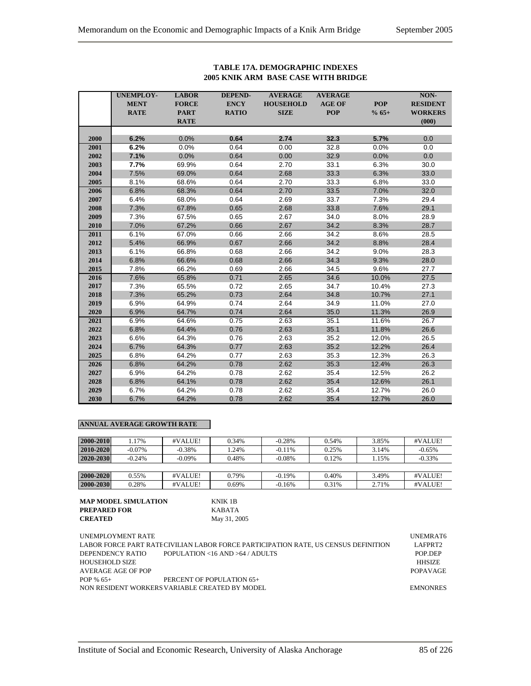|      | <b>UNEMPLOY-</b> | <b>LABOR</b> | <b>DEPEND-</b> | <b>AVERAGE</b>   | <b>AVERAGE</b> |            | NON-            |
|------|------------------|--------------|----------------|------------------|----------------|------------|-----------------|
|      | <b>MENT</b>      | <b>FORCE</b> | <b>ENCY</b>    | <b>HOUSEHOLD</b> | <b>AGE OF</b>  | <b>POP</b> | <b>RESIDENT</b> |
|      | <b>RATE</b>      | <b>PART</b>  | <b>RATIO</b>   | <b>SIZE</b>      | <b>POP</b>     | $% 65+$    | <b>WORKERS</b>  |
|      |                  | <b>RATE</b>  |                |                  |                |            | (000)           |
|      |                  |              |                |                  |                |            |                 |
| 2000 | 6.2%             | 0.0%         | 0.64           | 2.74             | 32.3           | 5.7%       | 0.0             |
| 2001 | 6.2%             | 0.0%         | 0.64           | 0.00             | 32.8           | 0.0%       | 0.0             |
| 2002 | 7.1%             | 0.0%         | 0.64           | 0.00             | 32.9           | 0.0%       | 0.0             |
| 2003 | 7.7%             | 69.9%        | 0.64           | 2.70             | 33.1           | 6.3%       | 30.0            |
| 2004 | 7.5%             | 69.0%        | 0.64           | 2.68             | 33.3           | 6.3%       | 33.0            |
| 2005 | 8.1%             | 68.6%        | 0.64           | 2.70             | 33.3           | 6.8%       | 33.0            |
| 2006 | 6.8%             | 68.3%        | 0.64           | 2.70             | 33.5           | 7.0%       | 32.0            |
| 2007 | 6.4%             | 68.0%        | 0.64           | 2.69             | 33.7           | 7.3%       | 29.4            |
| 2008 | 7.3%             | 67.8%        | 0.65           | 2.68             | 33.8           | 7.6%       | 29.1            |
| 2009 | 7.3%             | 67.5%        | 0.65           | 2.67             | 34.0           | 8.0%       | 28.9            |
| 2010 | 7.0%             | 67.2%        | 0.66           | 2.67             | 34.2           | 8.3%       | 28.7            |
| 2011 | 6.1%             | 67.0%        | 0.66           | 2.66             | 34.2           | 8.6%       | 28.5            |
| 2012 | 5.4%             | 66.9%        | 0.67           | 2.66             | 34.2           | 8.8%       | 28.4            |
| 2013 | 6.1%             | 66.8%        | 0.68           | 2.66             | 34.2           | 9.0%       | 28.3            |
| 2014 | 6.8%             | 66.6%        | 0.68           | 2.66             | 34.3           | 9.3%       | 28.0            |
| 2015 | 7.8%             | 66.2%        | 0.69           | 2.66             | 34.5           | 9.6%       | 27.7            |
| 2016 | 7.6%             | 65.8%        | 0.71           | 2.65             | 34.6           | 10.0%      | 27.5            |
| 2017 | 7.3%             | 65.5%        | 0.72           | 2.65             | 34.7           | 10.4%      | 27.3            |
| 2018 | 7.3%             | 65.2%        | 0.73           | 2.64             | 34.8           | 10.7%      | 27.1            |
| 2019 | 6.9%             | 64.9%        | 0.74           | 2.64             | 34.9           | 11.0%      | 27.0            |
| 2020 | 6.9%             | 64.7%        | 0.74           | 2.64             | 35.0           | 11.3%      | 26.9            |
| 2021 | 6.9%             | 64.6%        | 0.75           | 2.63             | 35.1           | 11.6%      | 26.7            |
| 2022 | 6.8%             | 64.4%        | 0.76           | 2.63             | 35.1           | 11.8%      | 26.6            |
| 2023 | 6.6%             | 64.3%        | 0.76           | 2.63             | 35.2           | 12.0%      | 26.5            |
| 2024 | 6.7%             | 64.3%        | 0.77           | 2.63             | 35.2           | 12.2%      | 26.4            |
| 2025 | 6.8%             | 64.2%        | 0.77           | 2.63             | 35.3           | 12.3%      | 26.3            |
| 2026 | 6.8%             | 64.2%        | 0.78           | 2.62             | 35.3           | 12.4%      | 26.3            |
| 2027 | 6.9%             | 64.2%        | 0.78           | 2.62             | 35.4           | 12.5%      | 26.2            |
| 2028 | 6.8%             | 64.1%        | 0.78           | 2.62             | 35.4           | 12.6%      | 26.1            |
| 2029 | 6.7%             | 64.2%        | 0.78           | 2.62             | 35.4           | 12.7%      | 26.0            |
| 2030 | 6.7%             | 64.2%        | 0.78           | 2.62             | 35.4           | 12.7%      | 26.0            |

#### **TABLE 17A. DEMOGRAPHIC INDEXES 2005 KNIK ARM BASE CASE WITH BRIDGE**

# **ANNUAL AVERAGE GROWTH RATE**

| 2000-2010     | .17%      | #VALUE!   | 0.34% | $-0.28%$  | 0.54% | 3.85% | #VALUE!   |
|---------------|-----------|-----------|-------|-----------|-------|-------|-----------|
| $2010 - 2020$ | $-0.07\%$ | $-0.38\%$ | .24%  | $-0.11\%$ | 0.25% | 3.14% | $-0.65%$  |
| 2020-2030     | $-0.24%$  | $-0.09\%$ | 0.48% | $-0.08\%$ | 0.12% | 1.15% | $-0.33\%$ |
|               |           |           |       |           |       |       |           |
| 2000-2020     | 0.55%     | #VALUE!   | 0.79% | $-0.19\%$ | 0.40% | 3.49% | #VALUE!   |
| 2000-2030     | 0.28%     | #VALUE!   | 0.69% | $-0.16%$  | 0.31% | 2.71% | #VALUE!   |

| MAP MODEL SIMULATION | KNIK 1B      |
|----------------------|--------------|
| PREPARED FOR         | KABATA       |
| <b>CREATED</b>       | May 31, 2005 |

UNEMPLOYMENT RATE UNEMPLOYMENT AT EXAMPLE THE UNEMPLOYMENT AT EXAMPLE THE UNEMPLOYMENT AT EXAMPLE THE UNEMPLOYMENT AT EXAMPLE THE UNEMPLOYMENT AT EXAMPLE THE UNEMPLOYMENT AT EXAMPLE THE UNEMPLOYMENT AT EXAMPLE THE UNEMPLOY LABOR FORCE PART RATECIVILIAN LABOR FORCE PARTICIPATION RATE, US CENSUS DEFINITION LAFPRT2 DEPENDENCY RATIO POPULATION <16 AND >64 / ADULTS POP.DEP HOUSEHOLD SIZE HHSIZE AVERAGE AGE OF POP POPAVAGE POP % 65+ PERCENT OF POPULATION 65+ NON RESIDENT WORKERSVARIABLE CREATED BY MODEL EMNONRES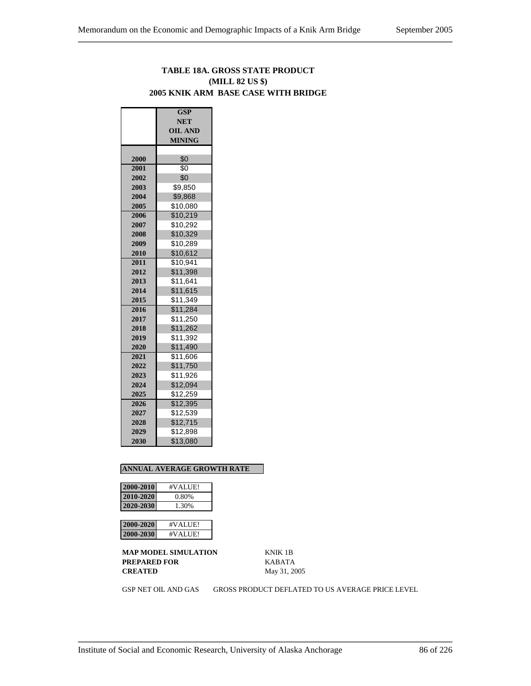# **TABLE 18A. GROSS STATE PRODUCT (MILL 82 US \$) 2005 KNIK ARM BASE CASE WITH BRIDGE**

|      | $\overline{\text{GSP}}$ |  |  |  |  |  |
|------|-------------------------|--|--|--|--|--|
|      | <b>NET</b>              |  |  |  |  |  |
|      | <b>OIL AND</b>          |  |  |  |  |  |
|      | <b>MINING</b>           |  |  |  |  |  |
|      |                         |  |  |  |  |  |
| 2000 | \$0                     |  |  |  |  |  |
| 2001 | \$0                     |  |  |  |  |  |
| 2002 | \$0                     |  |  |  |  |  |
| 2003 | \$9.850                 |  |  |  |  |  |
| 2004 | \$9,868                 |  |  |  |  |  |
| 2005 | \$10,080                |  |  |  |  |  |
| 2006 | \$10,219                |  |  |  |  |  |
| 2007 | \$10,292                |  |  |  |  |  |
| 2008 | \$10,329                |  |  |  |  |  |
| 2009 | \$10,289                |  |  |  |  |  |
| 2010 | \$10,612                |  |  |  |  |  |
| 2011 | \$10,941                |  |  |  |  |  |
| 2012 | \$11,398                |  |  |  |  |  |
| 2013 | \$11,641                |  |  |  |  |  |
| 2014 | \$11,615                |  |  |  |  |  |
| 2015 | \$11,349                |  |  |  |  |  |
| 2016 | \$11,284                |  |  |  |  |  |
| 2017 | \$11,250                |  |  |  |  |  |
| 2018 | \$11,262                |  |  |  |  |  |
| 2019 | \$11,392                |  |  |  |  |  |
| 2020 | \$11,490                |  |  |  |  |  |
| 2021 | \$11,606                |  |  |  |  |  |
| 2022 | \$11,750                |  |  |  |  |  |
| 2023 | \$11,926                |  |  |  |  |  |
| 2024 | \$12,094                |  |  |  |  |  |
| 2025 | \$12,259                |  |  |  |  |  |
| 2026 | $\overline{$}12,395$    |  |  |  |  |  |
| 2027 | \$12,539                |  |  |  |  |  |
| 2028 | \$12,715                |  |  |  |  |  |
| 2029 | \$12,898                |  |  |  |  |  |
| 2030 | \$13,080                |  |  |  |  |  |

#### **ANNUAL AVERAGE GROWTH RATE**

| 2000-2010 | #VALUE! |
|-----------|---------|
| 2010-2020 | 0.80%   |
| 2020-2030 | 1.30%   |

| 12         | VALUE!   |
|------------|----------|
| AAN)-2020  | #⊺       |
| 2000-20301 | #VAIJIFI |

**MAP MODEL SIMULATION** KNIK 1B **PREPARED FOR** KABATA **CREATED** May 31, 2005

GSP NET OIL AND GAS GROSS PRODUCT DEFLATED TO US AVERAGE PRICE LEVEL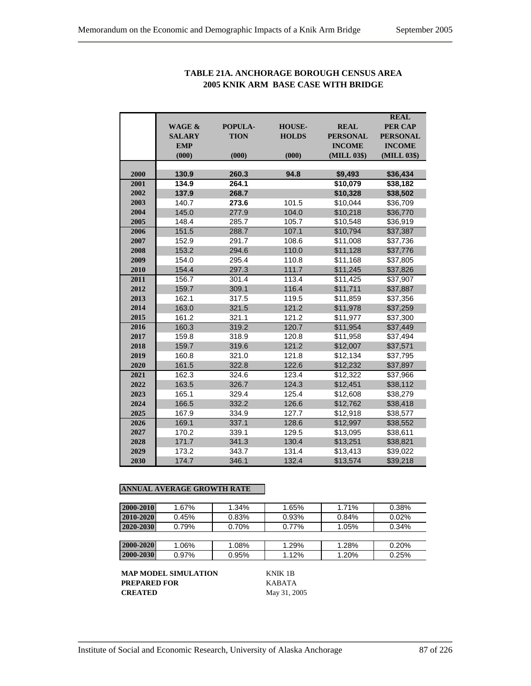|      | <b>WAGE &amp;</b><br><b>SALARY</b> | POPULA-<br><b>TION</b> | <b>HOUSE-</b><br><b>HOLDS</b> | <b>REAL</b><br><b>PERSONAL</b> | <b>REAL</b><br><b>PER CAP</b><br><b>PERSONAL</b> |
|------|------------------------------------|------------------------|-------------------------------|--------------------------------|--------------------------------------------------|
|      | <b>EMP</b><br>(000)                | (000)                  | (000)                         | <b>INCOME</b><br>(MILL 03\$)   | <b>INCOME</b><br>(MILL 03\$)                     |
| 2000 | 130.9                              | 260.3                  | 94.8                          | \$9,493                        | \$36,434                                         |
| 2001 | 134.9                              | 264.1                  |                               | \$10,079                       | \$38,182                                         |
| 2002 | 137.9                              | 268.7                  |                               | \$10,328                       | \$38,502                                         |
| 2003 | 140.7                              | 273.6                  | 101.5                         | \$10,044                       | \$36,709                                         |
| 2004 | 145.0                              | 277.9                  | 104.0                         | \$10,218                       | \$36,770                                         |
| 2005 | 148.4                              | 285.7                  | 105.7                         | \$10,548                       | \$36,919                                         |
| 2006 | 151.5                              | 288.7                  | 107.1                         | \$10,794                       | \$37,387                                         |
| 2007 | 152.9                              | 291.7                  | 108.6                         | \$11,008                       | \$37,736                                         |
| 2008 | 153.2                              | 294.6                  | 110.0                         | \$11,128                       | \$37,776                                         |
| 2009 | 154.0                              | 295.4                  | 110.8                         | \$11,168                       | \$37,805                                         |
| 2010 | 154.4                              | 297.3                  | 111.7                         | \$11,245                       | \$37,826                                         |
| 2011 | 156.7                              | 301.4                  | 113.4                         | \$11,425                       | \$37,907                                         |
| 2012 | 159.7                              | 309.1                  | 116.4                         | \$11,711                       | \$37,887                                         |
| 2013 | 162.1                              | 317.5                  | 119.5                         | \$11,859                       | \$37,356                                         |
| 2014 | 163.0                              | 321.5                  | 121.2                         | \$11,978                       | \$37,259                                         |
| 2015 | 161.2                              | 321.1                  | 121.2<br>\$11,977             |                                | \$37,300                                         |
| 2016 | 160.3                              | 319.2                  | 120.7                         | \$11,954                       | \$37,449                                         |
| 2017 | 159.8                              | 318.9                  | 120.8                         | \$11,958                       | \$37,494                                         |
| 2018 | 159.7                              | 319.6                  | 121.2                         | \$12,007                       | \$37,571                                         |
| 2019 | 160.8                              | 321.0                  | 121.8                         | \$12,134                       | \$37,795                                         |
| 2020 | 161.5                              | 322.8                  | 122.6                         | \$12,232                       | \$37,897                                         |
| 2021 | 162.3                              | 324.6                  | 123.4                         | \$12,322                       | \$37,966                                         |
| 2022 | 163.5                              | 326.7                  | 124.3                         | \$12,451                       | \$38,112                                         |
| 2023 | 165.1                              | 329.4                  | 125.4                         | \$12,608                       | \$38,279                                         |
| 2024 | 166.5                              | 332.2                  | 126.6                         | \$12,762                       | \$38,418                                         |
| 2025 | 167.9                              | 334.9                  | 127.7                         | \$12,918                       | \$38,577                                         |
| 2026 | 169.1                              | 337.1                  | 128.6                         | \$12,997                       | \$38,552                                         |
| 2027 | 170.2                              | 339.1                  | 129.5                         | \$13,095                       | \$38,611                                         |
| 2028 | 171.7                              | 341.3                  | 130.4                         | \$13,251                       | \$38,821                                         |
| 2029 | 173.2                              | 343.7                  | 131.4                         | \$13,413                       | \$39,022                                         |
| 2030 | 174.7                              | 346.1                  | 132.4                         | \$13,574                       | \$39,218                                         |

# **TABLE 21A. ANCHORAGE BOROUGH CENSUS AREA 2005 KNIK ARM BASE CASE WITH BRIDGE**

#### **ANNUAL AVERAGE GROWTH RATE**

| 2000-2010 | 1.67%    | 1.34% | 1.65% | 1.71% | 0.38% |
|-----------|----------|-------|-------|-------|-------|
| 2010-2020 | 0.45%    | 0.83% | 0.93% | 0.84% | 0.02% |
| 2020-2030 | 0.79%    | 0.70% | 0.77% | 1.05% | 0.34% |
|           |          |       |       |       |       |
| 2000-2020 | 1.06%    | 1.08% | 1.29% | 1.28% | 0.20% |
| 2000-2030 | $0.97\%$ | 0.95% | 1.12% | 1.20% | 0.25% |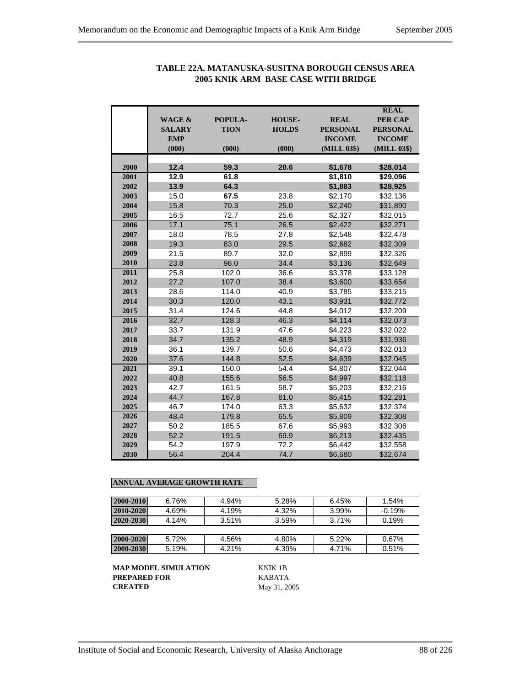|              |               |                |               |                    | <b>REAL</b>     |
|--------------|---------------|----------------|---------------|--------------------|-----------------|
|              | WAGE &        | <b>POPULA-</b> | <b>HOUSE-</b> | <b>REAL</b>        | <b>PER CAP</b>  |
|              | <b>SALARY</b> | <b>TION</b>    | <b>HOLDS</b>  | <b>PERSONAL</b>    | <b>PERSONAL</b> |
|              | <b>EMP</b>    |                |               | <b>INCOME</b>      | <b>INCOME</b>   |
|              | (000)         | (000)          | (000)         | (MILL 03\$)        | (MILL 03\$)     |
|              | 12.4          |                |               |                    |                 |
| 2000<br>2001 |               | 59.3<br>61.8   | 20.6          | \$1,678            | \$28,014        |
| 2002         | 12.9          |                |               | \$1,810            | \$29,096        |
|              | 13.9          | 64.3           |               | \$1,883            | \$28,925        |
| 2003         | 15.0          | 67.5           | 23.8          | \$2,170            | \$32,136        |
| 2004         | 15.8          | 70.3           | 25.0          | \$2,240            | \$31,890        |
| 2005         | 16.5          | 72.7           | 25.6          | \$2.327            | \$32,015        |
| 2006         | 17.1          | 75.1           | 26.5          | \$2,422            | \$32,271        |
| 2007         | 18.0          | 78.5           | 27.8          | \$2,548            | \$32,478        |
| 2008         | 19.3          | 83.0           | 29.5          | \$2,682            | \$32,309        |
| 2009         | 21.5          | 89.7           | 32.0          | \$2,899            | \$32,326        |
| 2010         | 23.8          | 96.0           | 34.4          | \$3,136            | \$32,649        |
| 2011         | 25.8          | 102.0          | 36.6          | \$3,378            | \$33,128        |
| 2012         | 27.2          | 107.0          | 38.4          | \$3,600            | \$33,654        |
| 2013         | 28.6          | 114.0          | 40.9          | \$3,785<br>\$3,931 | \$33,215        |
| 2014         | 30.3          | 120.0          | 43.1          |                    | \$32,772        |
| 2015         | 31.4          | 124.6          | 44.8          | \$4,012            | \$32,209        |
| 2016         | 32.7          | 128.3          | 46.3          | \$4,114            | \$32,073        |
| 2017         | 33.7          | 131.9          | 47.6          | \$4,223            | \$32,022        |
| 2018         | 34.7          | 135.2          | 48.9          | \$4,319            | \$31,936        |
| 2019         | 36.1          | 139.7          | 50.6          | \$4,473            | \$32,013        |
| 2020         | 37.6          | 144.8          | 52.5          | \$4,639            | \$32,045        |
| 2021         | 39.1          | 150.0          | 54.4          | \$4,807            | \$32,044        |
| 2022         | 40.8          | 155.6          | 56.5          | \$4,997            | \$32,118        |
| 2023         | 42.7          | 161.5          | 58.7          | \$5,203            | \$32,216        |
| 2024         | 44.7          | 167.8          | 61.0          | \$5.415            | \$32,281        |
| 2025         | 46.7          | 174.0          | 63.3          | \$5,632            | \$32,374        |
| 2026         | 48.4          | 179.8          | 65.5          | \$5,809            | \$32,308        |
| 2027         | 50.2          | 185.5          | 67.6          | \$5,993            | \$32,306        |
| 2028         | 52.2          | 191.5          | 69.9          | \$6,213            | \$32,435        |
| 2029         | 54.2          | 197.9          | 72.2          | \$6,442            | \$32,558        |
| 2030         | 56.4          | 204.4          | 74.7          | \$6,680            | \$32,674        |

# **TABLE 22A. MATANUSKA-SUSITNA BOROUGH CENSUS AREA 2005 KNIK ARM BASE CASE WITH BRIDGE**

#### **ANNUAL AVERAGE GROWTH RATE**

| 2000-2010 | 6.76% | 4.94% | 5.28% | 6.45%    | 1.54%    |
|-----------|-------|-------|-------|----------|----------|
| 2010-2020 | 4.69% | 4.19% | 4.32% | 3.99%    | $-0.19%$ |
| 2020-2030 | 4.14% | 3.51% | 3.59% | 3.71%    | 0.19%    |
|           |       |       |       |          |          |
| 2000-2020 | 5.72% | 4.56% | 4.80% | $5.22\%$ | 0.67%    |
| 2000-2030 | 5.19% | 4.21% | 4.39% | 4.71%    | 0.51%    |

**MAP MODEL SIMULATION** KNIK 1B **PREPARED FOR** KABATA<br>**CREATED** May 31, 20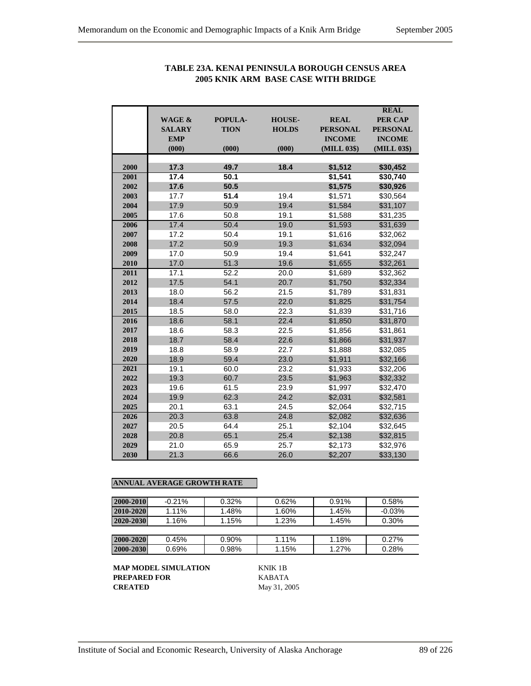|      |                   |             |               |                 | <b>REAL</b>     |
|------|-------------------|-------------|---------------|-----------------|-----------------|
|      | <b>WAGE &amp;</b> | POPULA-     | <b>HOUSE-</b> | <b>REAL</b>     | <b>PER CAP</b>  |
|      | <b>SALARY</b>     | <b>TION</b> | <b>HOLDS</b>  | <b>PERSONAL</b> | <b>PERSONAL</b> |
|      | <b>EMP</b>        |             |               | <b>INCOME</b>   | <b>INCOME</b>   |
|      | (000)             | (000)       | (000)         | (MILL 03\$)     | (MILL 03\$)     |
|      |                   |             |               |                 |                 |
| 2000 | 17.3              | 49.7        | 18.4          | \$1,512         | \$30,452        |
| 2001 | 17.4              | 50.1        |               | \$1,541         | \$30,740        |
| 2002 | 17.6              | 50.5        |               | \$1,575         | \$30,926        |
| 2003 | 17.7              | 51.4        | 19.4          | \$1,571         | \$30,564        |
| 2004 | 17.9              | 50.9        | 19.4          | \$1,584         | \$31,107        |
| 2005 | 17.6              | 50.8        | 19.1          | \$1,588         | \$31,235        |
| 2006 | 17.4              | 50.4        | 19.0          | \$1,593         | \$31,639        |
| 2007 | 17.2              | 50.4        | 19.1          | \$1,616         | \$32,062        |
| 2008 | 17.2              | 50.9        | 19.3          | \$1,634         | \$32,094        |
| 2009 | 17.0              | 50.9        | 19.4          | \$1,641         | \$32,247        |
| 2010 | 17.0              | 51.3        | 19.6          | \$1,655         | \$32,261        |
| 2011 | 17.1              | 52.2        | 20.0          | \$1,689         | \$32,362        |
| 2012 | 17.5              | 54.1        | 20.7          | \$1,750         | \$32,334        |
| 2013 | 18.0              | 56.2        | 21.5          | \$1,789         | \$31,831        |
| 2014 | 18.4              | 57.5        | 22.0          | \$1,825         | \$31,754        |
| 2015 | 18.5              | 58.0        | 22.3          | \$1,839         | \$31,716        |
| 2016 | 18.6              | 58.1        | 22.4          | \$1,850         | \$31,870        |
| 2017 | 18.6              | 58.3        | 22.5          | \$1,856         | \$31,861        |
| 2018 | 18.7              | 58.4        | 22.6          | \$1,866         | \$31,937        |
| 2019 | 18.8              | 58.9        | 22.7          | \$1,888         | \$32,085        |
| 2020 | 18.9              | 59.4        | 23.0          | \$1,911         | \$32,166        |
| 2021 | 19.1              | 60.0        | 23.2          | \$1,933         | \$32,206        |
| 2022 | 19.3              | 60.7        | 23.5          | \$1,963         | \$32,332        |
| 2023 | 19.6              | 61.5        | 23.9          | \$1,997         | \$32,470        |
| 2024 | 19.9              | 62.3        | 24.2          | \$2,031         | \$32,581        |
| 2025 | 20.1              | 63.1        | 24.5          | \$2,064         | \$32,715        |
| 2026 | 20.3              | 63.8        | 24.8          | \$2,082         | \$32,636        |
| 2027 | 20.5              | 64.4        | 25.1          | \$2,104         | \$32,645        |
| 2028 | 20.8              | 65.1        | 25.4          | \$2,138         | \$32,815        |
| 2029 | 21.0              | 65.9        | 25.7          | \$2,173         | \$32,976        |
| 2030 | 21.3              | 66.6        | 26.0          | \$2,207         | \$33,130        |
|      |                   |             |               |                 |                 |

# **TABLE 23A. KENAI PENINSULA BOROUGH CENSUS AREA 2005 KNIK ARM BASE CASE WITH BRIDGE**

# **ANNUAL AVERAGE GROWTH RATE**

| 2000-2010 | $-0.21%$ | $0.32\%$ | 0.62%    | 0.91% | 0.58%    |
|-----------|----------|----------|----------|-------|----------|
| 2010-2020 | 1.11%    | 1.48%    | 1.60%    | 1.45% | $-0.03%$ |
| 2020-2030 | 1.16%    | 1.15%    | 1.23%    | 1.45% | 0.30%    |
|           |          |          |          |       |          |
| 2000-2020 | 0.45%    | 0.90%    | $1.11\%$ | 1.18% | 0.27%    |
| 2000-2030 | 0.69%    | 0.98%    | 1.15%    | 1.27% | 0.28%    |

**MAP MODEL SIMULATION** KNIK 1B **PREPARED FOR KABATA**<br>**CREATED** May 31, 20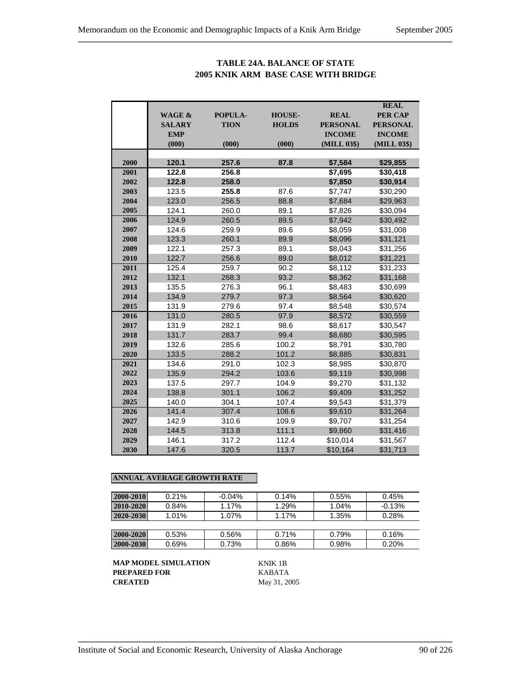# **TABLE 24A. BALANCE OF STATE 2005 KNIK ARM BASE CASE WITH BRIDGE**

|      |                   |             |               |                 | <b>REAL</b>     |
|------|-------------------|-------------|---------------|-----------------|-----------------|
|      | <b>WAGE &amp;</b> | POPULA-     | <b>HOUSE-</b> | <b>REAL</b>     | <b>PER CAP</b>  |
|      | <b>SALARY</b>     | <b>TION</b> | <b>HOLDS</b>  | <b>PERSONAL</b> | <b>PERSONAL</b> |
|      | <b>EMP</b>        |             |               | <b>INCOME</b>   | <b>INCOME</b>   |
|      | (000)             | (000)       | (000)         | (MILL 03\$)     | (MILL 03\$)     |
|      |                   |             |               |                 |                 |
| 2000 | 120.1             | 257.6       | 87.8          | \$7,584         | \$29,855        |
| 2001 | 122.8             | 256.8       |               | \$7,695         | \$30,418        |
| 2002 | 122.8             | 258.0       |               | \$7,850         | \$30,914        |
| 2003 | 123.5             | 255.8       | 87.6          | \$7,747         | \$30,290        |
| 2004 | 123.0             | 256.5       | 88.8          | \$7,684         | \$29,963        |
| 2005 | 124.1             | 260.0       | 89.1          | \$7,826         | \$30,094        |
| 2006 | 124.9             | 260.5       | 89.5          | \$7,942         | \$30,492        |
| 2007 | 124.6             | 259.9       | 89.6          | \$8,059         | \$31,008        |
| 2008 | 123.3             | 260.1       | 89.9          | \$8,096         | \$31,121        |
| 2009 | 122.1             | 257.3       | 89.1          | \$8,043         | \$31,256        |
| 2010 | 122.7             | 256.6       | 89.0          | \$8,012         | \$31,221        |
| 2011 | 125.4             | 259.7       | 90.2          | \$8,112         | \$31,233        |
| 2012 | 132.1             | 268.3       | 93.2          | \$8,362         | \$31,168        |
| 2013 | 135.5             | 276.3       | 96.1          | \$8,483         | \$30,699        |
| 2014 | 134.9             | 279.7       | 97.3          | \$8,564         | \$30,620        |
| 2015 | 131.9             | 279.6       | 97.4          | \$8,548         | \$30,574        |
| 2016 | 131.0             | 280.5       | 97.9          | \$8,572         | \$30,559        |
| 2017 | 131.9             | 282.1       | 98.6          | \$8,617         | \$30,547        |
| 2018 | 131.7             | 283.7       | 99.4          | \$8,680         | \$30,595        |
| 2019 | 132.6             | 285.6       | 100.2         | \$8,791         | \$30,780        |
| 2020 | 133.5             | 288.2       | 101.2         | \$8,885         | \$30,831        |
| 2021 | 134.6             | 291.0       | 102.3         | \$8,985         | \$30,870        |
| 2022 | 135.9             | 294.2       | 103.6         | \$9,119         | \$30,998        |
| 2023 | 137.5             | 297.7       | 104.9         | \$9,270         | \$31,132        |
| 2024 | 138.8             | 301.1       | 106.2         | \$9,409         | \$31,252        |
| 2025 | 140.0             | 304.1       | 107.4         | \$9,543         | \$31,379        |
| 2026 | 141.4             | 307.4       | 108.6         | \$9,610         | \$31,264        |
| 2027 | 142.9             | 310.6       | 109.9         | \$9,707         | \$31,254        |
| 2028 | 144.5             | 313.8       | 111.1         | \$9,860         | \$31,416        |
| 2029 | 146.1             | 317.2       | 112.4         | \$10,014        | \$31,567        |
| 2030 | 147.6             | 320.5       | 113.7         | \$10,164        | \$31,713        |

#### **ANNUAL AVERAGE GROWTH RATE**

| 2000-2010 | 0.21% | $-0.04%$ | 0.14% | 0.55% | 0.45%    |
|-----------|-------|----------|-------|-------|----------|
| 2010-2020 | 0.84% | $1.17\%$ | 1.29% | 1.04% | $-0.13%$ |
| 2020-2030 | 1.01% | 1.07%    | 1.17% | 1.35% | 0.28%    |
|           |       |          |       |       |          |
| 2000-2020 | 0.53% | 0.56%    | 0.71% | 0.79% | 0.16%    |
| 2000-2030 | 0.69% | 0.73%    | 0.86% | 0.98% | 0.20%    |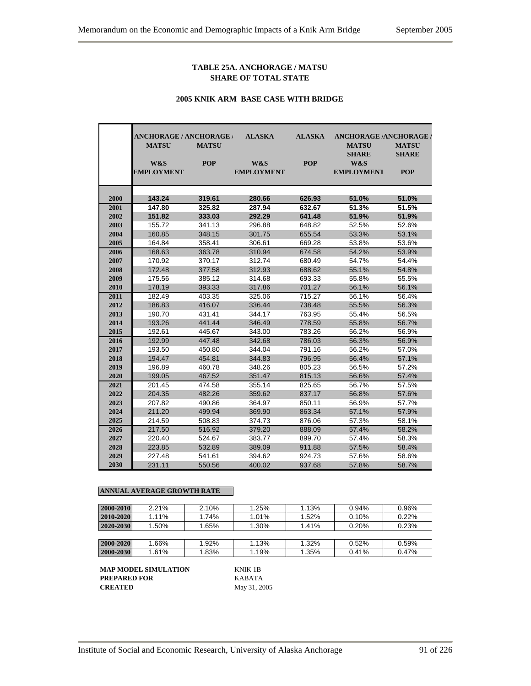#### **TABLE 25A. ANCHORAGE / MATSU SHARE OF TOTAL STATE**

#### **2005 KNIK ARM BASE CASE WITH BRIDGE**

|              | <b>ANCHORAGE / ANCHORAGE /</b><br><b>MATSU</b> | <b>MATSU</b>     | <b>ALASKA</b>            | <b>ALASKA</b>    | <b>ANCHORAGE /ANCHORAGE /</b><br><b>MATSU</b> | <b>MATSU</b>               |
|--------------|------------------------------------------------|------------------|--------------------------|------------------|-----------------------------------------------|----------------------------|
|              | W&S<br><b>EMPLOYMENT</b>                       | <b>POP</b>       | W&S<br><b>EMPLOYMENT</b> | <b>POP</b>       | <b>SHARE</b><br>W&S<br><b>EMPLOYMENT</b>      | <b>SHARE</b><br><b>POP</b> |
| 2000         | 143.24                                         | 319.61           | 280.66                   | 626.93           | 51.0%                                         | 51.0%                      |
| 2001         | 147.80                                         | 325.82           | 287.94                   | 632.67           | 51.3%                                         | 51.5%                      |
| 2002         | 151.82                                         | 333.03           | 292.29                   | 641.48           | 51.9%                                         | 51.9%                      |
| 2003         | 155.72                                         | 341.13           | 296.88                   | 648.82           | 52.5%                                         | 52.6%                      |
| 2004         | 160.85                                         | 348.15           | 301.75                   | 655.54           | 53.3%                                         | 53.1%                      |
| 2005         | 164.84                                         | 358.41           | 306.61                   | 669.28           | 53.8%                                         | 53.6%                      |
| 2006         | 168.63                                         | 363.78           | 310.94                   | 674.58           | 54.2%                                         | 53.9%                      |
| 2007         | 170.92                                         | 370.17           | 312.74                   | 680.49           | 54.7%                                         | 54.4%                      |
| 2008         | 172.48                                         | 377.58           | 312.93                   | 688.62           | 55.1%                                         | 54.8%                      |
| 2009         | 175.56                                         | 385.12           | 314.68                   | 693.33           | 55.8%                                         | 55.5%                      |
| 2010         | 178.19                                         | 393.33           | 317.86                   | 701.27           | 56.1%                                         | 56.1%                      |
| 2011         | 182.49                                         | 403.35           | 325.06                   | 715.27           | 56.1%                                         | 56.4%                      |
| 2012         | 186.83                                         | 416.07           | 336.44                   | 738.48           | 55.5%                                         | 56.3%                      |
| 2013         | 190.70                                         | 431.41           | 344.17                   | 763.95           | 55.4%                                         | 56.5%                      |
| 2014         | 193.26                                         | 441.44           | 346.49                   | 778.59           | 55.8%                                         | 56.7%                      |
| 2015         | 192.61                                         | 445.67           | 343.00                   | 783.26           | 56.2%                                         | 56.9%                      |
| 2016         | 192.99                                         | 447.48           | 342.68                   | 786.03           | 56.3%                                         | 56.9%                      |
| 2017         | 193.50                                         | 450.80           | 344.04                   | 791.16           | 56.2%                                         | 57.0%                      |
| 2018         | 194.47                                         | 454.81           | 344.83                   | 796.95           | 56.4%                                         | 57.1%                      |
| 2019         | 196.89                                         | 460.78           | 348.26                   | 805.23           | 56.5%                                         | 57.2%                      |
| 2020         | 199.05                                         | 467.52           | 351.47                   | 815.13           | 56.6%                                         | 57.4%                      |
| 2021         | 201.45                                         | 474.58           | 355.14                   | 825.65           | 56.7%                                         | 57.5%                      |
| 2022         | 204.35                                         | 482.26           | 359.62                   | 837.17           | 56.8%                                         | 57.6%                      |
| 2023         | 207.82                                         | 490.86           | 364.97                   | 850.11           | 56.9%                                         | 57.7%                      |
| 2024         | 211.20                                         | 499.94           | 369.90                   | 863.34           | 57.1%                                         | 57.9%                      |
| 2025         | 214.59                                         | 508.83           | 374.73                   | 876.06           | 57.3%                                         | 58.1%                      |
| 2026<br>2027 | 217.50<br>220.40                               | 516.92<br>524.67 | 379.20<br>383.77         | 888.09<br>899.70 | 57.4%<br>57.4%                                | 58.2%<br>58.3%             |
| 2028         | 223.85                                         | 532.89           | 389.09                   | 911.88           | 57.5%                                         | 58.4%                      |
| 2029         | 227.48                                         | 541.61           | 394.62                   | 924.73           | 57.6%                                         | 58.6%                      |
| 2030         | 231.11                                         | 550.56           | 400.02                   | 937.68           | 57.8%                                         | 58.7%                      |

#### **ANNUAL AVERAGE GROWTH RATE**

| 2000-2010 | 2.21% | 2.10% | 1.25% | 1.13% | 0.94% | 0.96% |
|-----------|-------|-------|-------|-------|-------|-------|
| 2010-2020 | 1.11% | 1.74% | 1.01% | 1.52% | 0.10% | 0.22% |
| 2020-2030 | 1.50% | 1.65% | 1.30% | 1.41% | 0.20% | 0.23% |
|           |       |       |       |       |       |       |
| 2000-2020 | 1.66% | 1.92% | 1.13% | 1.32% | 0.52% | 0.59% |
| 2000-2030 | 1.61% | 1.83% | 1.19% | 1.35% | 0.41% | 0.47% |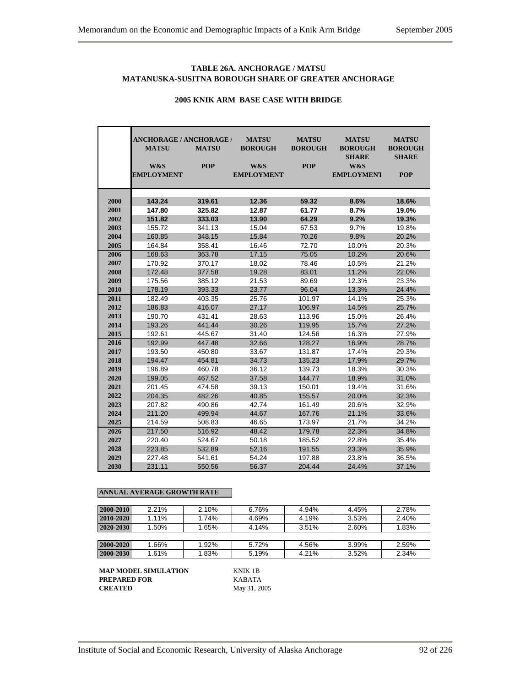#### **TABLE 26A. ANCHORAGE / MATSU MATANUSKA-SUSITNA BOROUGH SHARE OF GREATER ANCHORAGE**

|      | <b>ANCHORAGE / ANCHORAGE /</b> |              | <b>MATSU</b>      | <b>MATSU</b>   | <b>MATSU</b>                   | <b>MATSU</b>                   |
|------|--------------------------------|--------------|-------------------|----------------|--------------------------------|--------------------------------|
|      | <b>MATSU</b>                   | <b>MATSU</b> | <b>BOROUGH</b>    | <b>BOROUGH</b> | <b>BOROUGH</b><br><b>SHARE</b> | <b>BOROUGH</b><br><b>SHARE</b> |
|      | W&S                            | <b>POP</b>   | W&S               | <b>POP</b>     | W&S                            |                                |
|      | <b>EMPLOYMENT</b>              |              | <b>EMPLOYMENT</b> |                | <b>EMPLOYMENT</b>              | <b>POP</b>                     |
|      |                                |              |                   |                |                                |                                |
|      |                                |              |                   |                |                                |                                |
| 2000 | 143.24                         | 319.61       | 12.36             | 59.32          | 8.6%                           | 18.6%                          |
| 2001 | 147.80                         | 325.82       | 12.87             | 61.77          | 8.7%                           | 19.0%                          |
| 2002 | 151.82                         | 333.03       | 13.90             | 64.29          | 9.2%                           | 19.3%                          |
| 2003 | 155.72                         | 341.13       | 15.04             | 67.53          | 9.7%                           | 19.8%                          |
| 2004 | 160.85                         | 348.15       | 15.84             | 70.26          | 9.8%                           | 20.2%                          |
| 2005 | 164.84                         | 358.41       | 16.46             | 72.70          | 10.0%                          | 20.3%                          |
| 2006 | 168.63                         | 363.78       | 17.15             | 75.05          | 10.2%                          | 20.6%                          |
| 2007 | 170.92                         | 370.17       | 18.02             | 78.46          | 10.5%                          | 21.2%                          |
| 2008 | 172.48                         | 377.58       | 19.28             | 83.01          | 11.2%                          | 22.0%                          |
| 2009 | 175.56                         | 385.12       | 21.53             | 89.69          | 12.3%                          | 23.3%                          |
| 2010 | 178.19                         | 393.33       | 23.77             | 96.04          | 13.3%                          | 24.4%                          |
| 2011 | 182.49                         | 403.35       | 25.76             | 101.97         | 14.1%                          | 25.3%                          |
| 2012 | 186.83                         | 416.07       | 27.17             | 106.97         | 14.5%                          | 25.7%                          |
| 2013 | 190.70                         | 431.41       | 28.63             | 113.96         | 15.0%                          | 26.4%                          |
| 2014 | 193.26                         | 441.44       | 30.26             | 119.95         | 15.7%                          | 27.2%                          |
| 2015 | 192.61                         | 445.67       | 31.40             | 124.56         | 16.3%                          | 27.9%                          |
| 2016 | 192.99                         | 447.48       | 32.66             | 128.27         | 16.9%                          | 28.7%                          |
| 2017 | 193.50                         | 450.80       | 33.67             | 131.87         | 17.4%                          | 29.3%                          |
| 2018 | 194.47                         | 454.81       | 34.73             | 135.23         | 17.9%                          | 29.7%                          |
| 2019 | 196.89                         | 460.78       | 36.12             | 139.73         | 18.3%                          | 30.3%                          |
| 2020 | 199.05                         | 467.52       | 37.58             | 144.77         | 18.9%                          | 31.0%                          |
| 2021 | 201.45                         | 474.58       | 39.13             | 150.01         | 19.4%                          | 31.6%                          |
| 2022 | 204.35                         | 482.26       | 40.85             | 155.57         | 20.0%                          | 32.3%                          |
| 2023 | 207.82                         | 490.86       | 42.74             | 161.49         | 20.6%                          | 32.9%                          |
| 2024 | 211.20                         | 499.94       | 44.67             | 167.76         | 21.1%                          | 33.6%                          |
| 2025 | 214.59                         | 508.83       | 46.65             | 173.97         | 21.7%                          | 34.2%                          |
| 2026 | 217.50                         | 516.92       | 48.42             | 179.78         | 22.3%                          | 34.8%                          |
| 2027 | 220.40                         | 524.67       | 50.18             | 185.52         | 22.8%                          | 35.4%                          |
| 2028 | 223.85                         | 532.89       | 52.16             | 191.55         | 23.3%                          | 35.9%                          |
| 2029 | 227.48                         | 541.61       | 54.24             | 197.88         | 23.8%                          | 36.5%                          |
| 2030 | 231.11                         | 550.56       | 56.37             | 204.44         | 24.4%                          | 37.1%                          |

# **2005 KNIK ARM BASE CASE WITH BRIDGE**

#### **ANNUAL AVERAGE GROWTH RATE**

| 2000-2010       | 2.21% | 2.10% | 6.76% | 4.94% | 4.45% | 2.78% |
|-----------------|-------|-------|-------|-------|-------|-------|
| 2010-2020       | 1.11% | 1.74% | 4.69% | 4.19% | 3.53% | 2.40% |
| $ 2020 - 2030 $ | 1.50% | 1.65% | 4.14% | 3.51% | 2.60% | 1.83% |
|                 |       |       |       |       |       |       |
| 2000-2020       | 1.66% | 1.92% | 5.72% | 4.56% | 3.99% | 2.59% |
| 2000-2030       | 1.61% | 1.83% | 5.19% | 4.21% | 3.52% | 2.34% |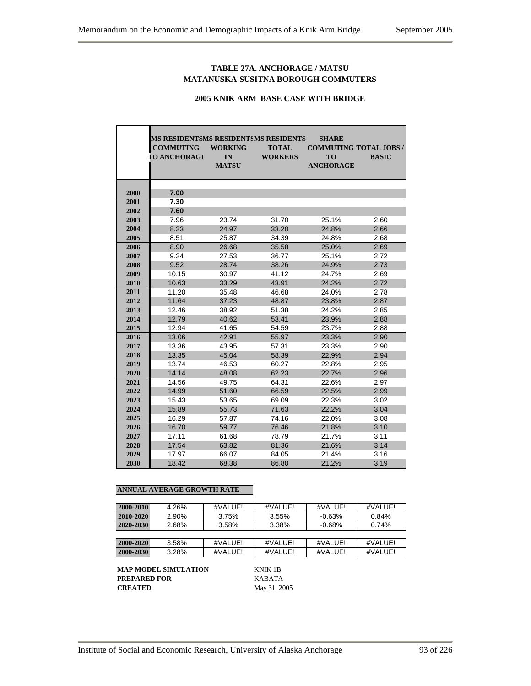#### **TABLE 27A. ANCHORAGE / MATSU MATANUSKA-SUSITNA BOROUGH COMMUTERS**

# **2005 KNIK ARM BASE CASE WITH BRIDGE**

|      | MS RESIDENTSMS RESIDENTSMS RESIDENTS<br><b>SHARE</b> |                |                |                               |              |  |  |  |  |  |  |  |  |
|------|------------------------------------------------------|----------------|----------------|-------------------------------|--------------|--|--|--|--|--|--|--|--|
|      | <b>COMMUTING</b>                                     | <b>WORKING</b> | <b>TOTAL</b>   | <b>COMMUTING TOTAL JOBS /</b> |              |  |  |  |  |  |  |  |  |
|      | <b>TO ANCHORAGI</b>                                  | IN             | <b>WORKERS</b> | <b>TO</b>                     | <b>BASIC</b> |  |  |  |  |  |  |  |  |
|      |                                                      | <b>MATSU</b>   |                | <b>ANCHORAGE</b>              |              |  |  |  |  |  |  |  |  |
|      |                                                      |                |                |                               |              |  |  |  |  |  |  |  |  |
|      |                                                      |                |                |                               |              |  |  |  |  |  |  |  |  |
| 2000 | 7.00                                                 |                |                |                               |              |  |  |  |  |  |  |  |  |
| 2001 | 7.30                                                 |                |                |                               |              |  |  |  |  |  |  |  |  |
| 2002 | 7.60                                                 |                |                |                               |              |  |  |  |  |  |  |  |  |
| 2003 | 7.96                                                 | 23.74          | 31.70          | 25.1%                         | 2.60         |  |  |  |  |  |  |  |  |
| 2004 | 8.23                                                 | 24.97          | 33.20          | 24.8%                         | 2.66         |  |  |  |  |  |  |  |  |
| 2005 | 8.51                                                 | 25.87          | 34.39          | 24.8%                         | 2.68         |  |  |  |  |  |  |  |  |
| 2006 | 8.90                                                 | 26.68          | 35.58          | 25.0%                         | 2.69         |  |  |  |  |  |  |  |  |
| 2007 | 9.24                                                 | 27.53          | 36.77          | 25.1%                         | 2.72         |  |  |  |  |  |  |  |  |
| 2008 | 9.52                                                 | 28.74          | 38.26          | 24.9%                         | 2.73         |  |  |  |  |  |  |  |  |
| 2009 | 10.15                                                | 30.97          | 41.12          | 24.7%                         | 2.69         |  |  |  |  |  |  |  |  |
| 2010 | 10.63                                                | 33.29          | 43.91          | 24.2%                         | 2.72         |  |  |  |  |  |  |  |  |
| 2011 | 11.20                                                | 35.48          | 46.68          | 24.0%                         | 2.78         |  |  |  |  |  |  |  |  |
| 2012 | 11.64                                                | 37.23          | 48.87          | 23.8%                         | 2.87         |  |  |  |  |  |  |  |  |
| 2013 | 12.46                                                | 38.92          | 51.38          | 24.2%                         | 2.85         |  |  |  |  |  |  |  |  |
| 2014 | 12.79                                                | 40.62          | 53.41          | 23.9%                         | 2.88         |  |  |  |  |  |  |  |  |
| 2015 | 12.94                                                | 41.65          | 54.59          | 23.7%                         | 2.88         |  |  |  |  |  |  |  |  |
| 2016 | 13.06                                                | 42.91          | 55.97          | 23.3%                         | 2.90         |  |  |  |  |  |  |  |  |
| 2017 | 13.36                                                | 43.95          | 57.31          | 23.3%                         | 2.90         |  |  |  |  |  |  |  |  |
| 2018 | 13.35                                                | 45.04          | 58.39          | 22.9%                         | 2.94         |  |  |  |  |  |  |  |  |
| 2019 | 13.74                                                | 46.53          | 60.27          | 22.8%                         | 2.95         |  |  |  |  |  |  |  |  |
| 2020 | 14.14                                                | 48.08          | 62.23          | 22.7%                         | 2.96         |  |  |  |  |  |  |  |  |
| 2021 | 14.56                                                | 49.75          | 64.31          | 22.6%                         | 2.97         |  |  |  |  |  |  |  |  |
| 2022 | 14.99                                                | 51.60          | 66.59          | 22.5%                         | 2.99         |  |  |  |  |  |  |  |  |
| 2023 | 15.43                                                | 53.65          | 69.09          | 22.3%                         | 3.02         |  |  |  |  |  |  |  |  |
| 2024 | 15.89                                                | 55.73          | 71.63          | 22.2%                         | 3.04         |  |  |  |  |  |  |  |  |
| 2025 | 16.29                                                | 57.87          | 74.16          | 22.0%                         | 3.08         |  |  |  |  |  |  |  |  |
| 2026 | 16.70                                                | 59.77          | 76.46          | 21.8%                         | 3.10         |  |  |  |  |  |  |  |  |
| 2027 | 17.11                                                | 61.68          | 78.79          | 21.7%                         | 3.11         |  |  |  |  |  |  |  |  |
| 2028 | 17.54                                                | 63.82          | 81.36          | 21.6%                         | 3.14         |  |  |  |  |  |  |  |  |
| 2029 | 17.97                                                | 66.07          | 84.05          | 21.4%                         | 3.16         |  |  |  |  |  |  |  |  |
| 2030 | 18.42                                                | 68.38          | 86.80          | 21.2%                         | 3.19         |  |  |  |  |  |  |  |  |

#### **ANNUAL AVERAGE GROWTH RATE**

| 2000-2010 | 4.26% | #VALUE! | #VALUE! | #VALUE!   | #VALUE! |
|-----------|-------|---------|---------|-----------|---------|
| 2010-2020 | 2.90% | 3.75%   | 3.55%   | $-0.63%$  | 0.84%   |
| 2020-2030 | 2.68% | 3.58%   | 3.38%   | $-0.68\%$ | 0.74%   |
|           |       |         |         |           |         |
| 2000-2020 | 3.58% | #VALUE! | #VALUE! | #VALUE!   | #VALUE! |
|           |       |         |         |           |         |
| 2000-2030 | 3.28% | #VALUE! | #VALUE! | #VALUE!   | #VALUE! |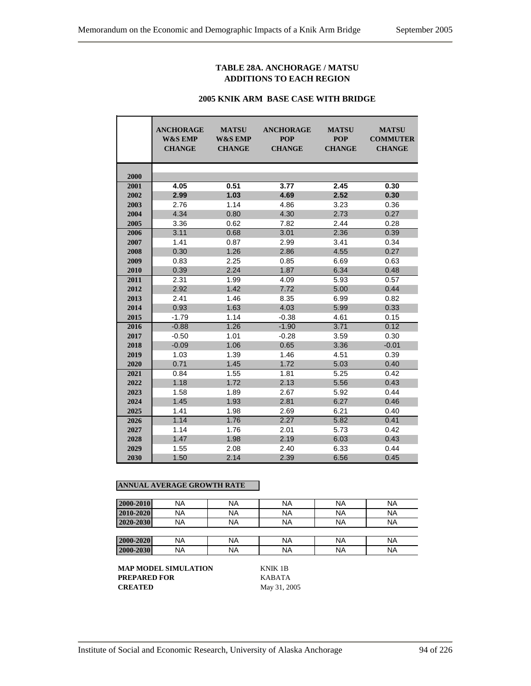# **TABLE 28A. ANCHORAGE / MATSU ADDITIONS TO EACH REGION**

#### **2005 KNIK ARM BASE CASE WITH BRIDGE**

|      | <b>ANCHORAGE</b><br>W&S EMP<br><b>CHANGE</b> | <b>MATSU</b><br><b>W&amp;S EMP</b><br><b>CHANGE</b> | <b>ANCHORAGE</b><br><b>POP</b><br><b>CHANGE</b> | <b>MATSU</b><br><b>POP</b><br><b>CHANGE</b> | <b>MATSU</b><br><b>COMMUTER</b><br><b>CHANGE</b> |
|------|----------------------------------------------|-----------------------------------------------------|-------------------------------------------------|---------------------------------------------|--------------------------------------------------|
| 2000 |                                              |                                                     |                                                 |                                             |                                                  |
| 2001 | 4.05                                         | 0.51                                                | 3.77                                            | 2.45                                        | 0.30                                             |
| 2002 | 2.99                                         | 1.03                                                | 4.69                                            | 2.52                                        | 0.30                                             |
| 2003 | 2.76                                         | 1.14                                                | 4.86                                            | 3.23                                        | 0.36                                             |
| 2004 | 4.34                                         | 0.80                                                | 4.30                                            | 2.73                                        | 0.27                                             |
| 2005 | 3.36                                         | 0.62                                                | 7.82                                            | 2.44                                        | 0.28                                             |
| 2006 | 3.11                                         | 0.68                                                | 3.01                                            | 2.36                                        | 0.39                                             |
| 2007 | 1.41                                         | 0.87                                                | 2.99                                            | 3.41                                        | 0.34                                             |
| 2008 | 0.30                                         | 1.26                                                | 2.86                                            | 4.55                                        | 0.27                                             |
| 2009 | 0.83                                         | 2.25                                                | 0.85                                            | 6.69                                        | 0.63                                             |
| 2010 | 0.39                                         | 2.24                                                | 1.87                                            | 6.34                                        | 0.48                                             |
| 2011 | 2.31                                         | 1.99                                                | 4.09                                            | 5.93                                        | 0.57                                             |
| 2012 | 2.92                                         | 1.42                                                | 7.72                                            | 5.00                                        | 0.44                                             |
| 2013 | 2.41                                         | 1.46                                                | 8.35                                            | 6.99                                        | 0.82                                             |
| 2014 | 0.93                                         | 1.63                                                | 4.03                                            | 5.99                                        | 0.33                                             |
| 2015 | $-1.79$                                      | 1.14                                                | $-0.38$                                         | 4.61                                        | 0.15                                             |
| 2016 | $-0.88$                                      | 1.26                                                | $-1.90$                                         | 3.71                                        | 0.12                                             |
| 2017 | $-0.50$                                      | 1.01                                                | $-0.28$                                         | 3.59                                        | 0.30                                             |
| 2018 | $-0.09$                                      | 1.06                                                | 0.65                                            | 3.36                                        | $-0.01$                                          |
| 2019 | 1.03                                         | 1.39                                                | 1.46                                            | 4.51                                        | 0.39                                             |
| 2020 | 0.71                                         | 1.45                                                | 1.72                                            | 5.03                                        | 0.40                                             |
| 2021 | 0.84                                         | 1.55                                                | 1.81                                            | 5.25                                        | 0.42                                             |
| 2022 | 1.18                                         | 1.72                                                | 2.13                                            | 5.56                                        | 0.43                                             |
| 2023 | 1.58                                         | 1.89                                                | 2.67                                            | 5.92                                        | 0.44                                             |
| 2024 | 1.45                                         | 1.93                                                | 2.81                                            | 6.27                                        | 0.46                                             |
| 2025 | 1.41                                         | 1.98                                                | 2.69                                            | 6.21                                        | 0.40                                             |
| 2026 | 1.14                                         | 1.76                                                | 2.27                                            | 5.82                                        | 0.41                                             |
| 2027 | 1.14                                         | 1.76                                                | 2.01                                            | 5.73                                        | 0.42                                             |
| 2028 | 1.47                                         | 1.98                                                | 2.19                                            | 6.03                                        | 0.43                                             |
| 2029 | 1.55                                         | 2.08                                                | 2.40                                            | 6.33                                        | 0.44                                             |
| 2030 | 1.50                                         | 2.14                                                | 2.39                                            | 6.56                                        | 0.45                                             |

# **ANNUAL AVERAGE GROWTH RATE**

| 2000-2010 | NA | <b>NA</b> | <b>NA</b> | ΝA        | <b>NA</b> |
|-----------|----|-----------|-----------|-----------|-----------|
| 2010-2020 | NA | <b>NA</b> | <b>NA</b> | <b>NA</b> | <b>NA</b> |
| 2020-2030 | NA | <b>NA</b> | <b>NA</b> | NA        | <b>NA</b> |
|           |    |           |           |           |           |
| 2000-2020 | NA | <b>NA</b> | <b>NA</b> | NA        | <b>NA</b> |
| 2000-2030 | NA | <b>NA</b> | <b>NA</b> | NA        | <b>NA</b> |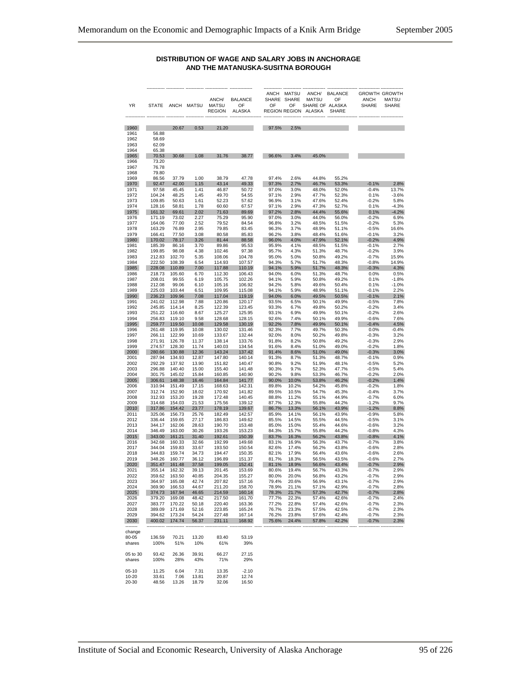#### **DISTRIBUTION OF WAGE AND SALARY JOBS IN ANCHORAGE AND THE MATANUSKA-SUSITNA BOROUGH**

| ΥR               | <b>STATE</b>     |                  | ANCH MATSU     | ANCH/<br><b>MATSU</b><br><b>REGION</b> | <b>BALANCE</b><br>OF<br><b>ALASKA</b> | ANCH<br>SHARE SHARE<br>OF | MATSU<br>OF<br><b>REGION REGION</b> | ANCH/<br><b>MATSU</b><br>SHARE OF ALASKA<br>ALASKA | <b>BALANCE</b><br>OF<br><b>SHARE</b> | <b>ANCH</b><br><b>SHARE</b> | <b>GROWTH GROWTH</b><br>MATSU<br><b>SHARE</b> |
|------------------|------------------|------------------|----------------|----------------------------------------|---------------------------------------|---------------------------|-------------------------------------|----------------------------------------------------|--------------------------------------|-----------------------------|-----------------------------------------------|
| 1960             |                  | 20.67            | 0.53           | 21.20                                  |                                       | 97.5%                     | 2.5%                                |                                                    |                                      |                             |                                               |
| 1961             | 56.88            |                  |                |                                        |                                       |                           |                                     |                                                    |                                      |                             |                                               |
| 1962             | 58.69            |                  |                |                                        |                                       |                           |                                     |                                                    |                                      |                             |                                               |
| 1963<br>1964     | 62.09<br>65.38   |                  |                |                                        |                                       |                           |                                     |                                                    |                                      |                             |                                               |
| 1965             | 70.53            | 30.68            | 1.08           | 31.76                                  | 38.77                                 | 96.6%                     | 3.4%                                | 45.0%                                              |                                      |                             |                                               |
| 1966             | 73.20            |                  |                |                                        |                                       |                           |                                     |                                                    |                                      |                             |                                               |
| 1967<br>1968     | 76.78<br>79.80   |                  |                |                                        |                                       |                           |                                     |                                                    |                                      |                             |                                               |
| 1969             | 86.56            | 37.79            | 1.00           | 38.79                                  | 47.78                                 | 97.4%                     | 2.6%                                | 44.8%                                              | 55.2%                                |                             |                                               |
| 1970             | 92.47            | 42.00            | 1.15           | 43.14                                  | 49.33                                 | 97.3%                     | 2.7%                                | 46.7%                                              | 53.3%                                | $-0.1%$                     | 2.8%                                          |
| 1971<br>1972     | 97.58<br>104.24  | 45.45<br>48.25   | 1.41<br>1.45   | 46.87<br>49.70                         | 50.72<br>54.55                        | 97.0%<br>97.1%            | 3.0%<br>2.9%                        | 48.0%<br>47.7%                                     | 52.0%<br>52.3%                       | -0.4%<br>0.1%               | 13.7%<br>$-3.6%$                              |
| 1973             | 109.85           | 50.63            | 1.61           | 52.23                                  | 57.62                                 | 96.9%                     | 3.1%                                | 47.6%                                              | 52.4%                                | $-0.2%$                     | 5.8%                                          |
| 1974             | 128.16           | 58.81            | 1.78           | 60.60                                  | 67.57                                 | 97.1%                     | 2.9%                                | 47.3%                                              | 52.7%                                | 0.1%                        | $-4.3%$                                       |
| 1975<br>1976     | 161.32<br>171.19 | 69.61<br>73.02   | 2.02<br>2.27   | 71.63<br>75.29                         | 89.69<br>95.90                        | 97.2%<br>97.0%            | 2.8%<br>3.0%                        | 44.4%<br>44.0%                                     | 55.6%<br>56.0%                       | 0.1%<br>$-0.2%$             | $-4.2%$<br>6.9%                               |
| 1977             | 164.06           | 77.00            | 2.52           | 79.52                                  | 84.54                                 | 96.8%                     | 3.2%                                | 48.5%                                              | 51.5%                                | $-0.2%$                     | 5.3%                                          |
| 1978             | 163.29           | 76.89            | 2.95           | 79.85<br>80.58                         | 83.45                                 | 96.3%                     | 3.7%                                | 48.9%                                              | 51.1%                                | $-0.5%$                     | 16.6%                                         |
| 1979<br>1980     | 166.41<br>170.02 | 77.50<br>78.17   | 3.08<br>3.26   | 81.44                                  | 85.83<br>88.58                        | 96.2%<br>96.0%            | 3.8%<br>4.0%                        | 48.4%<br>47.9%                                     | 51.6%<br>52.1%                       | $-0.1%$<br>$-0.2%$          | 3.2%<br>4.9%                                  |
| 1981             | 185.39           | 86.16            | 3.70           | 89.86                                  | 95.53                                 | 95.9%                     | 4.1%                                | 48.5%                                              | 51.5%                                | -0.1%                       | 2.7%                                          |
| 1982<br>1983     | 199.85<br>212.83 | 98.08<br>102.70  | 4.38<br>5.35   | 102.46<br>108.06                       | 97.38<br>104.78                       | 95.7%<br>95.0%            | 4.3%<br>5.0%                        | 51.3%<br>50.8%                                     | 48.7%<br>49.2%                       | $-0.2%$<br>$-0.7%$          | 3.9%<br>15.9%                                 |
| 1984             | 222.50           | 108.39           | 6.54           | 114.93                                 | 107.57                                | 94.3%                     | 5.7%                                | 51.7%                                              | 48.3%                                | $-0.8%$                     | 14.9%                                         |
| 1985             | 228.08           | 110.89           | 7.00           | 117.88                                 | 110.19                                | 94.1%                     | 5.9%                                | 51.7%                                              | 48.3%                                | $-0.3%$                     | 4.3%                                          |
| 1986             | 218.73           | 105.60           | 6.70           | 112.30<br>105.75                       | 106.43<br>102.26                      | 94.0%                     | 6.0%                                | 51.3%<br>50.8%                                     | 48.7%                                | 0.0%                        | 0.5%<br>$-1.8%$                               |
| 1987<br>1988     | 208.01<br>212.08 | 99.55<br>99.06   | 6.19<br>6.10   | 105.16                                 | 106.92                                | 94.1%<br>94.2%            | 5.9%<br>5.8%                        | 49.6%                                              | 49.2%<br>50.4%                       | 0.1%<br>0.1%                | $-1.0%$                                       |
| 1989             | 225.03           | 103.44           | 6.51           | 109.95                                 | 115.08                                | 94.1%                     | 5.9%                                | 48.9%                                              | 51.1%                                | $-0.1%$                     | 2.2%                                          |
| 1990<br>1991     | 236.23<br>241.02 | 109.96<br>112.98 | 7.08<br>7.88   | 117.04<br>120.86                       | 119.19<br>120.17                      | 94.0%<br>93.5%            | 6.0%<br>6.5%                        | 49.5%<br>50.1%                                     | 50.5%<br>49.9%                       | $-0.1%$<br>$-0.5%$          | 2.1%<br>7.8%                                  |
| 1992             | 245.85           | 114.14           | 8.25           | 122.39                                 | 123.45                                | 93.3%                     | 6.7%                                | 49.8%                                              | 50.2%                                | $-0.2%$                     | 3.4%                                          |
| 1993             | 251.22           | 116.60           | 8.67           | 125.27                                 | 125.95                                | 93.1%                     | 6.9%                                | 49.9%                                              | 50.1%                                | $-0.2%$                     | 2.6%                                          |
| 1994<br>1995     | 256.83<br>259.77 | 119.10<br>119.50 | 9.58<br>10.08  | 128.68<br>129.58                       | 128.15<br>130.19                      | 92.6%<br>92.2%            | 7.4%<br>7.8%                        | 50.1%<br>49.9%                                     | 49.9%                                | $-0.6%$<br>$-0.4%$          | 7.6%<br>4.5%                                  |
| 1996             | 261.48           | 119.95           | 10.08          | 130.02                                 | 131.46                                | 92.3%                     | 7.7%                                | 49.7%                                              | 50.1%<br>50.3%                       | 0.0%                        | $-0.4%$                                       |
| 1997             | 266.11           | 122.99           | 10.69          | 133.67                                 | 132.44                                | 92.0%                     | 8.0%                                | 50.2%                                              | 49.8%                                | $-0.3%$                     | 3.2%                                          |
| 1998<br>1999     | 271.91<br>274.57 | 126.78<br>128.30 | 11.37<br>11.74 | 138.14<br>140.03                       | 133.76<br>134.54                      | 91.8%<br>91.6%            | 8.2%<br>8.4%                        | 50.8%<br>51.0%                                     | 49.2%<br>49.0%                       | $-0.3%$<br>$-0.2%$          | 2.9%<br>1.8%                                  |
| 2000             | 280.66           | 130.88           | 12.36          | 143.24                                 | 137.42                                | 91.4%                     | 8.6%                                | 51.0%                                              | 49.0%                                | $-0.3%$                     | 3.0%                                          |
| 2001             | 287.94           | 134.93           | 12.87          | 147.80                                 | 140.14                                | 91.3%                     | 8.7%                                | 51.3%                                              | 48.7%                                | $-0.1%$                     | 0.9%                                          |
| 2002<br>2003     | 292.29<br>296.88 | 137.92<br>140.40 | 13.90<br>15.00 | 151.82<br>155.40                       | 140.47<br>141.48                      | 90.8%<br>90.3%            | 9.2%<br>9.7%                        | 51.9%<br>52.3%                                     | 48.1%<br>47.7%                       | -0.5%<br>$-0.5%$            | 5.2%<br>5.4%                                  |
| 2004             | 301.75           | 145.02           | 15.84          | 160.85                                 | 140.90                                | 90.2%                     | 9.8%                                | 53.3%                                              | 46.7%                                | $-0.2%$                     | 2.0%                                          |
| 2005             | 306.61           | 148.38           | 16.46          | 164.84                                 | 141.77                                | 90.0%                     | 10.0%                               | 53.8%                                              | 46.2%                                | $-0.2%$                     | 1.4%                                          |
| 2006<br>2007     | 310.94<br>312.74 | 151.49<br>152.90 | 17.15<br>18.02 | 168.63<br>170.92                       | 142.31<br>141.82                      | 89.8%<br>89.5%            | 10.2%<br>10.5%                      | 54.2%<br>54.7%                                     | 45.8%<br>45.3%                       | -0.2%<br>$-0.4%$            | 1.8%<br>3.7%                                  |
| 2008             | 312.93           | 153.20           | 19.28          | 172.48                                 | 140.45                                | 88.8%                     | 11.2%                               | 55.1%                                              | 44.9%                                | $-0.7%$                     | 6.0%                                          |
| 2009             | 314.68           | 154.03           | 21.53          | 175.56                                 | 139.12                                | 87.7%                     | 12.3%                               | 55.8%                                              | 44.2%                                | $-1.2%$                     | 9.7%                                          |
| 2010<br>2011     | 317.86<br>325.06 | 154.42<br>156.73 | 23.77<br>25.76 | 178.19<br>182.49                       | 139.67<br>142.57                      | 86.7%<br>85.9%            | 13.3%<br>14.1%                      | 56.1%<br>56.1%                                     | 43.9%<br>43.9%                       | $-1.2%$<br>$-0.9%$          | 8.8%<br>5.8%                                  |
| 2012             | 336.44           | 159.65           | 27.17          | 186.83                                 | 149.62                                | 85.5%                     | 14.5%                               | 55.5%                                              | 44.5%                                | $-0.5%$                     | 3.1%                                          |
| 2013             | 344.17           | 162.06           | 28.63          | 190.70                                 | 153.48                                | 85.0%                     | 15.0%                               | 55.4%                                              | 44.6%                                | $-0.6%$                     | 3.2%                                          |
| 2014<br>2015     | 346.49<br>343.00 | 163.00<br>161.21 | 30.26<br>31.40 | 193.26<br>192.61                       | 153.23<br>150.39                      | 84.3%<br>83.7%            | 15.7%<br>16.3%                      | 55.8%<br>56.2%                                     | 44.2%<br>43.8%                       | $-0.8%$<br>$-0.8%$          | 4.3%<br>4.1%                                  |
| 2016             | 342.68           | 160.33           | 32.66          | 192.99                                 | 149.68                                | 83.1%                     | 16.9%                               | 56.3%                                              | 43.7%                                | $-0.7%$                     | 3.8%                                          |
| 2017             | 344.04           | 159.83           | 33.67          | 193.50                                 | 150.54                                | 82.6%                     | 17.4%                               | 56.2%                                              | 43.8%                                | $-0.6%$                     | 2.8%                                          |
| 2018<br>2019     | 344.83<br>348.26 | 159.74<br>160.77 | 34.73<br>36.12 | 194.47<br>196.89                       | 150.35<br>151.37                      | 82.1%<br>81.7%            | 17.9%<br>18.3%                      | 56.4%<br>56.5%                                     | 43.6%<br>43.5%                       | $-0.6%$<br>$-0.6%$          | 2.6%<br>2.7%                                  |
| 2020             | 351.47           | 161.48           | 37.58          | 199.05                                 | 152.41                                | 81.1%                     | 18.9%                               | 56.6%                                              | 43.4%                                | $-0.7%$                     | 2.9%                                          |
| 2021             | 355.14           | 162.32           | 39.13          | 201.45                                 | 153.69                                | 80.6%                     | 19.4%                               | 56.7%                                              | 43.3%                                | -0.7%                       | 2.9%                                          |
| 2022<br>2023     | 359.62<br>364.97 | 163.50<br>165.08 | 40.85<br>42.74 | 204.35<br>207.82                       | 155.27<br>157.16                      | 80.0%<br>79.4%            | 20.0%<br>20.6%                      | 56.8%<br>56.9%                                     | 43.2%<br>43.1%                       | $-0.7%$<br>$-0.7%$          | 2.9%<br>2.9%                                  |
| 2024             | 369.90           | 166.53           | 44.67          | 211.20                                 | 158.70                                | 78.9%                     | 21.1%                               | 57.1%                                              | 42.9%                                | $-0.7%$                     | 2.8%                                          |
| 2025             | 374.73           | 167.94           | 46.65          | 214.59                                 | 160.14                                | 78.3%                     | 21.7%                               | 57.3%                                              | 42.7%                                | $-0.7%$                     | 2.8%                                          |
| 2026<br>2027     | 379.20<br>383.77 | 169.08<br>170.22 | 48.42<br>50.18 | 217.50<br>220.40                       | 161.70<br>163.36                      | 77.7%<br>77.2%            | 22.3%<br>22.8%                      | 57.4%<br>57.4%                                     | 42.6%<br>42.6%                       | $-0.7%$<br>$-0.7%$          | 2.4%<br>2.3%                                  |
| 2028             | 389.09           | 171.69           | 52.16          | 223.85                                 | 165.24                                | 76.7%                     | 23.3%                               | 57.5%                                              | 42.5%                                | $-0.7%$                     | 2.3%                                          |
| 2029             | 394.62           | 173.24           | 54.24          | 227.48                                 | 167.14                                | 76.2%                     | 23.8%                               | 57.6%                                              | 42.4%                                | $-0.7%$                     | 2.3%                                          |
| 2030<br>-------- | 400.02           | 174.74           | 56.37          | 231.11                                 | 168.92                                | 75.6%                     | 24.4%                               | 57.8%                                              | 42.2%                                | $-0.7%$                     | 2.3%                                          |
| change           |                  |                  |                |                                        |                                       |                           |                                     |                                                    |                                      |                             |                                               |
| 80-05            | 136.59           | 70.21            | 13.20          | 83.40                                  | 53.19                                 |                           |                                     |                                                    |                                      |                             |                                               |
| shares           | 100%             | 51%              | 10%            | 61%                                    | 39%                                   |                           |                                     |                                                    |                                      |                             |                                               |
| 05 to 30         | 93.42            | 26.36            | 39.91          | 66.27                                  | 27.15                                 |                           |                                     |                                                    |                                      |                             |                                               |
| shares           | 100%             | 28%              | 43%            | 71%                                    | 29%                                   |                           |                                     |                                                    |                                      |                             |                                               |
| $05-10$          | 11.25            | 6.04             | 7.31           | 13.35                                  | $-2.10$                               |                           |                                     |                                                    |                                      |                             |                                               |
| 10-20            | 33.61            | 7.06             | 13.81          | 20.87                                  | 12.74                                 |                           |                                     |                                                    |                                      |                             |                                               |
| 20-30            | 48.56            | 13.26            | 18.79          | 32.06                                  | 16.50                                 |                           |                                     |                                                    |                                      |                             |                                               |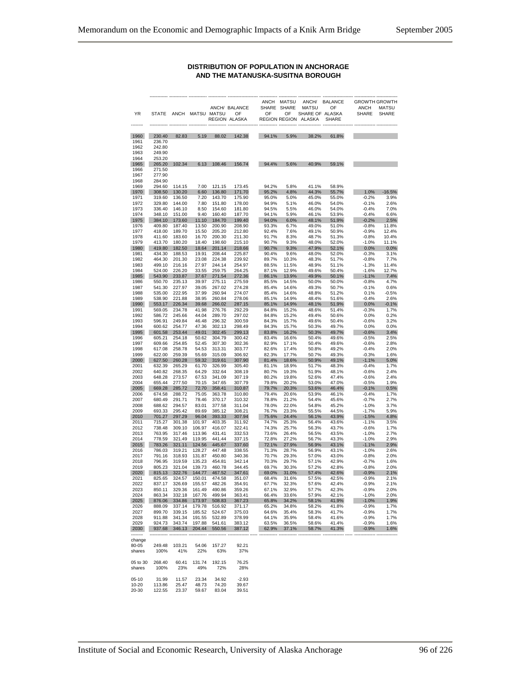#### **DISTRIBUTION OF POPULATION IN ANCHORAGE AND THE MATANUSKA-SUSITNA BOROUGH**

| ΥR              | <b>STATE</b>                |                                       | ANCH MATSU MATSU |                     | ANCH/ BALANCE<br>OF<br>REGION ALASKA | OF             | ANCH MATSU<br>SHARE SHARE<br>OF | ANCH/<br><b>MATSU</b><br>SHARE OF ALASKA<br>REGION REGION ALASKA | <b>BALANCE</b><br>OF<br><b>SHARE</b> | <b>ANCH</b><br><b>SHARE</b> | <b>GROWTH GROWTH</b><br><b>MATSU</b><br>SHARE |
|-----------------|-----------------------------|---------------------------------------|------------------|---------------------|--------------------------------------|----------------|---------------------------------|------------------------------------------------------------------|--------------------------------------|-----------------------------|-----------------------------------------------|
|                 |                             |                                       |                  |                     |                                      |                |                                 |                                                                  |                                      |                             |                                               |
| 1960            | 230.40                      | 82.83                                 | 5.19             | 88.02               | 142.38                               | 94.1%          | 5.9%                            | 38.2%                                                            | 61.8%                                |                             |                                               |
| 1961<br>1962    | 236.70<br>242.80            |                                       |                  |                     |                                      |                |                                 |                                                                  |                                      |                             |                                               |
| 1963            | 249.90                      |                                       |                  |                     |                                      |                |                                 |                                                                  |                                      |                             |                                               |
| 1964            | 253.20                      |                                       |                  |                     |                                      |                |                                 |                                                                  |                                      |                             |                                               |
| 1965            | 265.20                      | 102.34                                | 6.13             | 108.46              | 156.74                               | 94.4%          | 5.6%                            | 40.9%                                                            | 59.1%                                |                             |                                               |
| 1966<br>1967    | 271.50<br>277.90            |                                       |                  |                     |                                      |                |                                 |                                                                  |                                      |                             |                                               |
| 1968            | 284.90                      |                                       |                  |                     |                                      |                |                                 |                                                                  |                                      |                             |                                               |
| 1969            | 294.60                      | 114.15                                | 7.00             | 121.15              | 173.45                               | 94.2%          | 5.8%                            | 41.1%                                                            | 58.9%                                |                             |                                               |
| 1970            | 308.50                      | 130.20                                | 6.60             | 136.80              | 171.70                               | 95.2%          | 4.8%                            | 44.3%                                                            | 55.7%                                | 1.0%                        | $-16.5%$                                      |
| 1971<br>1972    | 319.60<br>329.80            | 136.50<br>144.00                      | 7.20<br>7.80     | 143.70<br>151.80    | 175.90<br>178.00                     | 95.0%<br>94.9% | 5.0%<br>5.1%                    | 45.0%<br>46.0%                                                   | 55.0%<br>54.0%                       | $-0.2%$<br>$-0.1%$          | 3.9%<br>2.6%                                  |
| 1973            | 336.40                      | 146.10                                | 8.50             | 154.60              | 181.80                               | 94.5%          | 5.5%                            | 46.0%                                                            | 54.0%                                | $-0.4%$                     | 7.0%                                          |
| 1974            | 348.10                      | 151.00                                | 9.40             | 160.40              | 187.70                               | 94.1%          | 5.9%                            | 46.1%                                                            | 53.9%                                | $-0.4%$                     | 6.6%                                          |
| 1975            | 384.10                      | 173.60                                | 11.10            | 184.70              | 199.40                               | 94.0%          | 6.0%                            | 48.1%                                                            | 51.9%                                | $-0.2%$                     | 2.5%                                          |
| 1976            | 409.80                      | 187.40                                | 13.50            | 200.90              | 208.90                               | 93.3%          | 6.7%                            | 49.0%                                                            | 51.0%                                | $-0.8%$                     | 11.8%                                         |
| 1977<br>1978    | 418.00<br>411.60            | 189.70<br>183.60                      | 15.50<br>16.70   | 205.20<br>200.30    | 212.80<br>211.30                     | 92.4%<br>91.7% | 7.6%<br>8.3%                    | 49.1%<br>48.7%                                                   | 50.9%<br>51.3%                       | $-0.9%$<br>$-0.8%$          | 12.4%<br>10.4%                                |
| 1979            | 413.70                      | 180.20                                | 18.40            | 198.60              | 215.10                               | 90.7%          | 9.3%                            | 48.0%                                                            | 52.0%                                | $-1.0%$                     | 11.1%                                         |
| 1980            | 419.80                      | 182.50                                | 18.64            | 201.14              | 218.66                               | 90.7%          | 9.3%                            | 47.9%                                                            | 52.1%                                | 0.0%                        | 0.0%                                          |
| 1981            | 434.30                      | 188.53                                | 19.91            | 208.44              | 225.87                               | 90.4%          | 9.6%                            | 48.0%                                                            | 52.0%                                | $-0.3%$                     | 3.1%                                          |
| 1982            | 464.30                      | 201.30                                | 23.08            | 224.38              | 239.92                               | 89.7%          | 10.3%                           | 48.3%                                                            | 51.7%                                | $-0.8%$                     | 7.7%                                          |
| 1983<br>1984    | 499.10<br>524.00            | 216.16<br>226.20                      | 27.97<br>33.55   | 244.14<br>259.75    | 254.97<br>264.25                     | 88.5%<br>87.1% | 11.5%<br>12.9%                  | 48.9%<br>49.6%                                                   | 51.1%<br>50.4%                       | $-1.3%$<br>$-1.6%$          | 11.4%<br>12.7%                                |
| 1985            | 543.90                      | 233.87                                | 37.67            | 271.54              | 272.36                               | 86.1%          | 13.9%                           | 49.9%                                                            | 50.1%                                | $-1.1%$                     | 7.4%                                          |
| 1986            | 550.70                      | 235.13                                | 39.97            | 275.11              | 275.59                               | 85.5%          | 14.5%                           | 50.0%                                                            | 50.0%                                | $-0.8%$                     | 4.7%                                          |
| 1987            | 541.30                      | 227.97                                | 39.05            | 267.02              | 274.28                               | 85.4%          | 14.6%                           | 49.3%                                                            | 50.7%                                | $-0.1%$                     | 0.6%                                          |
| 1988<br>1989    | 535.00<br>538.90            | 222.95<br>221.88                      | 37.99<br>38.95   | 260.94<br>260.84    | 274.07<br>278.06                     | 85.4%<br>85.1% | 14.6%<br>14.9%                  | 48.8%<br>48.4%                                                   | 51.2%<br>51.6%                       | 0.1%<br>$-0.4%$             | $-0.5%$<br>2.6%                               |
| 1990            | 553.17                      | 226.34                                | 39.68            | 266.02              | 287.15                               | 85.1%          | 14.9%                           | 48.1%                                                            | 51.9%                                | 0.0%                        | $-0.1%$                                       |
| 1991            | 569.05                      | 234.78                                | 41.98            | 276.76              | 292.29                               | 84.8%          | 15.2%                           | 48.6%                                                            | 51.4%                                | $-0.3%$                     | 1.7%                                          |
| 1992            | 586.72                      | 245.66                                | 44.04            | 289.70              | 297.02                               | 84.8%          | 15.2%                           | 49.4%                                                            | 50.6%                                | 0.0%                        | 0.2%                                          |
| 1993            | 596.91                      | 249.84                                | 46.48            | 296.32              | 300.59                               | 84.3%          | 15.7%                           | 49.6%                                                            | 50.4%                                | $-0.6%$                     | 3.2%                                          |
| 1994<br>1995    | 600.62<br>601.58            | 254.77<br>253.44                      | 47.36<br>49.01   | 302.13<br>302.45    | 298.49<br>299.13                     | 84.3%<br>83.8% | 15.7%<br>16.2%                  | 50.3%<br>50.3%                                                   | 49.7%<br>49.7%                       | 0.0%<br>$-0.6%$             | 0.0%<br>3.4%                                  |
| 1996            | 605.21                      | 254.18                                | 50.62            | 304.79              | 300.42                               | 83.4%          | 16.6%                           | 50.4%                                                            | 49.6%                                | $-0.5%$                     | 2.5%                                          |
| 1997            | 609.66                      | 254.85                                | 52.45            | 307.30              | 302.36                               | 82.9%          | 17.1%                           | 50.4%                                                            | 49.6%                                | $-0.6%$                     | 2.8%                                          |
| 1998            | 617.08                      | 258.78                                | 54.53            | 313.31              | 303.77                               | 82.6%          | 17.4%                           | 50.8%                                                            | 49.2%                                | $-0.4%$                     | 2.0%                                          |
| 1999<br>2000    | 622.00<br>627.50            | 259.39<br>260.28                      | 55.69<br>59.32   | 315.09<br>319.61    | 306.92<br>307.90                     | 82.3%<br>81.4% | 17.7%<br>18.6%                  | 50.7%<br>50.9%                                                   | 49.3%<br>49.1%                       | $-0.3%$<br>$-1.1%$          | 1.6%<br>5.0%                                  |
| 2001            | 632.39                      | 265.29                                | 61.70            | 326.99              | 305.40                               | 81.1%          | 18.9%                           | 51.7%                                                            | 48.3%                                | $-0.4%$                     | 1.7%                                          |
| 2002            | 640.82                      | 268.35                                | 64.29            | 332.64              | 308.19                               | 80.7%          | 19.3%                           | 51.9%                                                            | 48.1%                                | $-0.6%$                     | 2.4%                                          |
| 2003            | 648.28                      | 273.57                                | 67.53            | 341.09              | 307.19                               | 80.2%          | 19.8%                           | 52.6%                                                            | 47.4%                                | $-0.6%$                     | 2.4%                                          |
| 2004            | 655.44                      | 277.50                                | 70.15            | 347.65              | 307.79                               | 79.8%          | 20.2%                           | 53.0%                                                            | 47.0%                                | $-0.5%$                     | 1.9%                                          |
| 2005<br>2006    | 669.28<br>674.58            | 285.72<br>288.72                      | 72.70<br>75.05   | 358.41<br>363.78    | 310.87<br>310.80                     | 79.7%<br>79.4% | 20.3%<br>20.6%                  | 53.6%<br>53.9%                                                   | 46.4%<br>46.1%                       | $-0.1%$<br>$-0.4%$          | 0.5%<br>1.7%                                  |
| 2007            | 680.49                      | 291.71                                | 78.46            | 370.17              | 310.32                               | 78.8%          | 21.2%                           | 54.4%                                                            | 45.6%                                | $-0.7%$                     | 2.7%                                          |
| 2008            | 688.62                      | 294.57                                | 83.01            | 377.58              | 311.04                               | 78.0%          | 22.0%                           | 54.8%                                                            | 45.2%                                | $-1.0%$                     | 3.7%                                          |
| 2009            | 693.33                      | 295.42                                | 89.69            | 385.12              | 308.21                               | 76.7%          | 23.3%                           | 55.5%                                                            | 44.5%                                | $-1.7%$                     | 5.9%                                          |
| 2010            | 701.27                      | 297.29<br>301.38                      | 96.04            | 393.33              | 307.94                               | 75.6%          | 24.4%                           | 56.1%                                                            | 43.9%                                | $-1.5%$                     | 4.8%                                          |
| 2011<br>2012    | 715.27<br>738.48            | 309.10                                | 101.97<br>106.97 | 403.35<br>416.07    | 311.92<br>322.41                     | 74.7%<br>74.3% | 25.3%<br>25.7%                  | 56.4%<br>56.3%                                                   | 43.6%<br>43.7%                       | $-1.1%$<br>$-0.6%$          | 3.5%<br>1.7%                                  |
| 2013            | 763.95                      | 317.46                                | 113.96           | 431.41              | 332.53                               | 73.6%          | 26.4%                           | 56.5%                                                            | 43.5%                                | $-1.0%$                     | 2.7%                                          |
| 2014            | 778.59                      | 321.49                                | 119.95           | 441.44              | 337.15                               | 72.8%          | 27.2%                           | 56.7%                                                            | 43.3%                                | $-1.0%$                     | 2.9%                                          |
| 2015            | 783.26                      | 321.11                                | 124.56           | 445.67              | 337.60                               | 72.1%          | 27.9%                           | 56.9%                                                            | 43.1%                                | $-1.1%$                     | 2.9%                                          |
| 2016<br>2017    | 786.03<br>791.16            | 319.21<br>318.93                      | 128.27<br>131.87 | 447.48<br>450.80    | 338.55                               | 71.3%<br>70.7% | 28.7%                           | 56.9%<br>57.0%                                                   | 43.1%                                | $-1.0%$                     | 2.6%<br>2.0%                                  |
| 2018            | 796.95                      | 319.59                                | 135.23           | 454.81              | 340.36<br>342.14                     | 70.3%          | 29.3%<br>29.7%                  | 57.1%                                                            | 43.0%<br>42.9%                       | $-0.8%$<br>$-0.7%$          | 1.6%                                          |
| 2019            | 805.23                      | 321.04                                | 139.73           | 460.78              | 344.45                               | 69.7%          | 30.3%                           | 57.2%                                                            | 42.8%                                | $-0.8%$                     | 2.0%                                          |
| 2020            | 815.13                      | 322.76                                | 144.77           | 467.52              | 347.61                               | 69.0%          | 31.0%                           | 57.4%                                                            | 42.6%                                | $-0.9%$                     | 2.1%                                          |
| 2021            | 825.65                      | 324.57                                | 150.01           | 474.58              | 351.07                               | 68.4%          | 31.6%                           | 57.5%                                                            | 42.5%                                | $-0.9%$                     | 2.1%                                          |
| 2022<br>2023    | 837.17                      | 326.69<br>850.11 329.36 161.49 490.86 | 155.57           | 482.26              | 354.91<br>359.26                     | 67.7%<br>67.1% | 32.3%<br>32.9%                  | 57.6%<br>57.7%                                                   | 42.4%<br>42.3%                       | $-0.9%$<br>$-0.9%$          | 2.1%<br>2.0%                                  |
| 2024            |                             | 863.34 332.18 167.76 499.94           |                  |                     | 363.41                               | 66.4%          | 33.6%                           | 57.9%                                                            | 42.1%                                | $-1.0%$                     | 2.0%                                          |
| 2025            | 876.06 334.86 173.97 508.83 |                                       |                  |                     | 367.23                               | 65.8% 34.2%    |                                 | 58.1%                                                            | 41.9%                                | $-1.0\%$                    | 1.9%                                          |
| 2026            | 888.09                      | 337.14                                | 179.78           | 516.92              | 371.17                               | 65.2%          | 34.8%                           | 58.2%                                                            | 41.8%                                | $-0.9%$                     | 1.7%                                          |
| 2027            | 899.70                      | 339.15                                | 185.52           | 524.67              | 375.03                               | 64.6%          | 35.4%                           | 58.3%                                                            | 41.7%                                | $-0.9%$                     | 1.7%                                          |
| 2028<br>2029    | 911.88<br>924.73            | 341.34<br>343.74                      | 191.55<br>197.88 | 532.89<br>541.61    | 378.99<br>383.12                     | 64.1%<br>63.5% | 35.9%<br>36.5%                  | 58.4%<br>58.6%                                                   | 41.6%<br>41.4%                       | $-0.9%$<br>$-0.9%$          | 1.7%<br>1.6%                                  |
| 2030            | 937.68                      | 346.13                                | 204.44           | 550.56              | 387.12                               | 62.9%          | 37.1%                           | 58.7%                                                            | 41.3%                                | $-0.9%$                     | 1.6%                                          |
| --------        |                             |                                       |                  |                     |                                      |                |                                 |                                                                  |                                      |                             |                                               |
| change          |                             |                                       |                  |                     |                                      |                |                                 |                                                                  |                                      |                             |                                               |
| 80-05<br>shares | 100%                        | 249.48 103.21<br>41%                  | 22%              | 54.06 157.27<br>63% | 92.21<br>37%                         |                |                                 |                                                                  |                                      |                             |                                               |
|                 |                             |                                       |                  |                     |                                      |                |                                 |                                                                  |                                      |                             |                                               |
| 05 to 30 268.40 |                             |                                       |                  | 60.41 131.74 192.15 | 76.25                                |                |                                 |                                                                  |                                      |                             |                                               |
| shares          | 100%                        | 23%                                   | 49%              | 72%                 | 28%                                  |                |                                 |                                                                  |                                      |                             |                                               |
| $05-10$         | 31.99                       | 11.57                                 | 23.34            | 34.92               | $-2.93$                              |                |                                 |                                                                  |                                      |                             |                                               |
| 10-20           | 113.86                      | 25.47                                 | 48.73            | 74.20               | 39.67                                |                |                                 |                                                                  |                                      |                             |                                               |
| 20-30           | 122.55                      | 23.37                                 | 59.67            | 83.04               | 39.51                                |                |                                 |                                                                  |                                      |                             |                                               |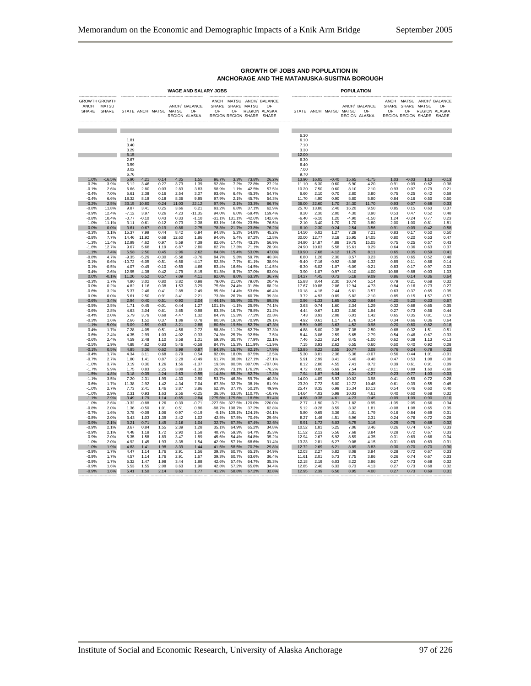|                                       |                |                                      | <b>WAGE AND SALARY JOBS</b> |                        |         |                                      |             |                                                | POPULATION |                                                        |  |                                       |         |                        |         |                                             |         |                                                                            |                      |             |
|---------------------------------------|----------------|--------------------------------------|-----------------------------|------------------------|---------|--------------------------------------|-------------|------------------------------------------------|------------|--------------------------------------------------------|--|---------------------------------------|---------|------------------------|---------|---------------------------------------------|---------|----------------------------------------------------------------------------|----------------------|-------------|
| <b>GROWTH GROWTH</b><br>ANCH<br>SHARE | MATSU<br>SHARE |                                      |                             | STATE ANCH MATSU MATSU |         | ANCH/ BALANCE<br>OF<br>REGION ALASKA | SHARE<br>OF | SHARE MATSU<br>OF<br>REGION REGION SHARE SHARE |            | ANCH MATSU ANCH/ BALANCE<br>OF<br><b>REGION ALASKA</b> |  |                                       |         | STATE ANCH MATSU MATSU |         | ANCH/ BALANCE<br>OF<br><b>REGION ALASKA</b> | OF      | ANCH MATSU ANCH/ BALANCE<br>SHARE SHARE MATSU<br>OF<br>REGION REGION SHARE | <b>REGION ALASKA</b> | OF<br>SHARE |
|                                       |                | 1.81<br>3.40<br>3.29                 |                             |                        |         |                                      |             |                                                |            |                                                        |  | 6.30<br>6.10<br>7.10<br>3.30          |         |                        |         |                                             |         |                                                                            |                      |             |
|                                       |                | 5.15<br>2.67<br>3.59<br>3.02<br>6.76 |                             |                        |         |                                      |             |                                                |            |                                                        |  | 12.00<br>6.30<br>6.40<br>7.00<br>9.70 |         |                        |         |                                             |         |                                                                            |                      |             |
| 1.0%                                  | 16.5%          | 5.90                                 | 4.21                        | 0.14                   | 4.35    | 1.55                                 | 96.7%       | 3.3%                                           | 73.8%      | 26.2%                                                  |  | 13.90                                 | 16.05   | $-0.40$                | 15.65   | $-1.75$                                     | 1.03    | $-0.03$                                                                    | 1.13                 | $-0.13$     |
| $-0.2%$                               | 3.9%           | 5.12                                 | 3.46                        | 0.27                   | 3.73    | 1.39                                 | 92.8%       | 7.2%                                           | 72.8%      | 27.2%                                                  |  | 11.10                                 | 6.30    | 0.60                   | 6.90    | 4.20                                        | 0.91    | 0.09                                                                       | 0.62                 | 0.38        |
| $-0.1%$                               | 2.6%           | 6.66                                 | 2.80                        | 0.03                   | 2.83    | 3.83                                 | 98.9%       | 1.1%                                           | 42.5%      | 57.5%                                                  |  | 10.20                                 | 7.50    | 0.60                   | 8.10    | 2.10                                        | 0.93    | 0.07                                                                       | 0.79                 | 0.21        |
| $-0.4%$                               | 7.0%           | 5.61                                 | 2.38                        | 0.16                   | 2.54    | 3.07                                 | 93.6%       | 6.4%                                           | 45.3%      | 54.7%                                                  |  | 6.60                                  | 2.10    | 0.70                   | 2.80    | 3.80                                        | 0.75    | 0.25                                                                       | 0.42                 | 0.58        |
| $-0.4%$                               | 6.6%           | 18.32                                | 8.19                        | 0.18                   | 8.36    | 9.95                                 | 97.9%       | 2.1%                                           | 45.7%      | 54.3%                                                  |  | 11.70                                 | 4.90    | 0.90                   | 5.80    | 5.90                                        | 0.84    | 0.16                                                                       | 0.50                 | 0.50        |
| $-0.2%$                               | 2.5%           | 33.15                                | 10.80                       | 0.24                   | 11.03   | 22.12                                | 97.9%       | 2.1%                                           | 33.3%      | 66.7%                                                  |  | 36.00                                 | 22.60   | 1.70                   | 24.30   | 11.70                                       | 0.93    | 0.07                                                                       | 0.68                 | 0.33        |
| $-0.8%$                               | 11.8%          | 9.87                                 | 3.41                        | 0.25                   | 3.66    | 6.21                                 | 93.2%       | 6.8%                                           | 37.1%      | 62.9%                                                  |  | 25.70                                 | 13.80   | 2.40                   | 16.20   | 9.50                                        | 0.85    | 0.15                                                                       | 0.63                 | 0.37        |
| $-0.9%$                               | 12.4%          | $-7.12$                              | 3.97                        | 0.26                   | 4.23    | $-11.35$                             | 94.0%       | 6.0%                                           | $-59.4%$   | 159.4%                                                 |  | 8.20                                  | 2.30    | 2.00                   | 4.30    | 3.90                                        | 0.53    | 0.47                                                                       | 0.52                 | 0.48        |
| $-0.8%$                               | 10.4%          | $-0.77$                              | $-0.10$                     | 0.43                   | 0.33    | $-1.10$                              | $-31.1%$    | 131.1%                                         | $-42.6%$   | 142.6%                                                 |  | $-6.40$                               | $-6.10$ | 1.20                   | $-4.90$ | $-1.50$                                     | 1.24    | $-0.24$                                                                    | 0.77                 | 0.23        |
| $-1.0%$                               | 11.1%          | 3.11                                 | 0.61                        | 0.12                   | 0.73    | 2.38                                 | 83.1%       | 16.9%                                          | 23.5%      | 76.5%                                                  |  | 2.10                                  | $-3.40$ | 1.70                   | $-1.70$ | 3.80                                        | 2.00    | $-1.00$                                                                    | $-0.81$              | 1.81        |
| 0.0%                                  | 0.0%           | 3.61                                 | 0.67                        | 0.19                   | 0.86    | 2.75                                 | 78.3%       | 21.7%                                          | 23.8%      | 76.2%                                                  |  | 6.10                                  | 2.30    | 0.24                   | 2.54    | 3.56                                        | 0.91    | 0.09                                                                       | 0.42                 | 0.58        |
| $-0.3%$                               | 3.1%           | 15.37                                | 7.99                        | 0.44                   | 8.42    | 6.94                                 | 94.8%       | 5.2%                                           | 54.8%      | 45.2%                                                  |  | 14.50                                 | 6.02    | 1.27                   | 7.29    | 7.21                                        | 0.83    | 0.17                                                                       | 0.50                 | 0.50        |
| $-0.8%$                               | 7.7%           | 14.46                                | 11.92                       | 0.68                   | 12.60   | 1.86                                 | 94.6%       | 5.4%                                           | 87.2%      | 12.8%                                                  |  | 30.00                                 | 12.77   | 3.18                   | 15.95   | 14.05                                       | 0.80    | 0.20                                                                       | 0.53                 | 0.47        |
| $-1.3%$                               | 11.4%          | 12.99                                | 4.62                        | 0.97                   | 5.59    | 7.39                                 | 82.6%       | 17.4%                                          | 43.1%      | 56.9%                                                  |  | 34.80                                 | 14.87   | 4.89                   | 19.75   | 15.05                                       | 0.75    | 0.25                                                                       | 0.57                 | 0.43        |
| $-1.6%$                               | 12.7%          | 9.67                                 | 5.68                        | 1.19                   | 6.87    | 2.80                                 | 82.7%       | 17.3%                                          | 71.1%      | 28.9%                                                  |  | 24.90                                 | 10.03   | 5.58                   | 15.61   | 9.29                                        | 0.64    | 0.36                                                                       | 0.63                 | 0.37        |
| $-1.1%$                               | 7.4%           | 5.58                                 | 2.50                        | 0.45                   | 2.96    | 2.62                                 | 84.6%       | 15.4%                                          | 53.0%      | 47.0%                                                  |  | 19.90                                 | 7.68    | 4.12                   | 11.79   | 8.11                                        | 0.65    | 0.35                                                                       | 0.59                 | 0.41        |
| $-0.8%$                               | 4.7%           | $-9.35$                              | $-5.29$                     | $-0.30$                | $-5.58$ | $-3.76$                              | 94.7%       | 5.3%                                           | 59.7%      | 40.3%                                                  |  | 6.80                                  | 1.26    | 2.30                   | 3.57    | 3.23                                        | 0.35    | 0.65                                                                       | 0.52                 | 0.48        |
| $-0.1%$                               | 0.6%           | $-10.72$                             | $-6.05$                     | $-0.51$                | $-6.56$ | $-4.17$                              | 92.3%       | 7.7%                                           | 61.1%      | 38.9%                                                  |  | $-9.40$                               | $-7.16$ | $-0.92$                | $-8.08$ | $-1.32$                                     | 0.89    | 0.11                                                                       | 0.86                 | 0.14        |
| 0.1%                                  | $-0.5%$        | 4.07                                 | $-0.49$                     | $-0.10$                | $-0.59$ | 4.66                                 | 83.4%       | 16.6%                                          | $-14.5%$   | 114.5%                                                 |  | $-6.30$                               | $-5.02$ | $-1.07$                | $-6.09$ | $-0.21$                                     | 0.83    | 0.17                                                                       | 0.97                 | 0.03        |
| $-0.4%$                               | 2.6%           | 12.95                                | 4.38                        | 0.42                   | 4.79    | 8.15                                 | 91.3%       | 8.7%                                           | 37.0%      | 63.0%                                                  |  | 3.90                                  | $-1.07$ | 0.97                   | $-0.10$ | 4.00                                        | 10.88   | $-9.88$                                                                    | $-0.03$              | 1.03        |
| 0.0%                                  | $-0.1%$        | 11.20                                | 6.52                        | 0.57                   | 7.09    | 4.11                                 | 92.0%       | 8.0%                                           | 63.3%      | 36.7%                                                  |  | 14.27                                 | 4.45    | 0.73                   | 5.18    | 9.09                                        | 0.86    | 0.14                                                                       | 0.36                 | 0.64        |
| $-0.3%$                               | 1.7%           | 4.80                                 | 3.02                        | 0.80                   | 3.82    | 0.98                                 | 79.0%       | 21.0%                                          | 79.6%      | 20.4%                                                  |  | 15.88                                 | 8.44    | 2.30                   | 10.74   | 5.14                                        | 0.79    | 0.21                                                                       | 0.68                 | 0.32        |
| 0.0%                                  | 0.2%           | 4.82                                 | 1.16                        | 0.38                   | 1.53    | 3.29                                 | 75.6%       | 24.4%                                          | 31.8%      | 68.2%                                                  |  | 17.67                                 | 10.88   | 2.06                   | 12.94   | 4.73                                        | 0.84    | 0.16                                                                       | 0.73                 | 0.27        |
| $-0.6%$                               | 3.2%           | 5.37                                 | 2.46                        | 0.41                   | 2.88    | 2.49                                 | 85.6%       | 14.4%                                          | 53.6%      | 46.4%                                                  |  | 10.18                                 | 4.18    | 2.44                   | 6.61    | 3.57                                        | 0.63    | 0.37                                                                       | 0.65                 | 0.35        |
| 0.0%                                  | 0.0%           | 5.61                                 | 2.50                        | 0.91                   | 3.41    | 2.21                                 | 73.3%       | 26.7%                                          | 60.7%      | 39.3%                                                  |  | 3.72                                  | 4.93    | 0.89                   | 5.82    | $-210$                                      | 0.85    | 0.15                                                                       | 1.57                 | $-0.57$     |
| $-0.6%$                               | 3.4%           | 2.94                                 | 0.40                        | 0.51                   | 0.90    | 2.04                                 | 44.1%       | 55.9%                                          | 30.7%      | 69.3%                                                  |  | 0.96                                  | $-1.33$ | 1.65                   | 0.32    | 0.64                                        | $-4.20$ | 5.20                                                                       | 0.33                 | 0.67        |
| $-0.5%$                               | 2.5%           | 1.71                                 | 0.45                        | $-0.01$                | 0.44    | 1.27                                 | 101.1%      | $-1.1%$                                        | 25.9%      | 74.1%                                                  |  | 3.63                                  | 0.74    | 1.60                   | 2.34    | 1.29                                        | 0.32    | 0.68                                                                       | 0.65                 | 0.35        |
| $-0.6%$                               | 2.8%           | 4.63                                 | 3.04                        | 0.61                   | 3.65    | 0.98                                 | 83.3%       | 16.7%                                          | 78.8%      | 21.2%                                                  |  | 4.44                                  | 0.67    | 1.83                   | 2.50    | 1.94                                        | 0.27    | 0.73                                                                       | 0.56                 | 0.44        |
| $-0.4%$                               | 2.0%           | 5.79                                 | 3.79                        | 0.68                   | 4.47    | 1.32                                 | 84.7%       | 15.3%                                          | 77.2%      | 22.8%                                                  |  | 7.43                                  | 3.93    | 2.08                   | 6.01    | 1.42                                        | 0.65    | 0.35                                                                       | 0.81                 | 0.19        |
| $-0.3%$                               | 1.6%           | 2.66                                 | 1.52                        | 0.37                   | 1.89    | 0.78                                 | 80.5%       | 19.5%                                          | 70.9%      | 29.1%                                                  |  | 4.92                                  | 0.61    | 1.17                   | 1.78    | 3.14                                        | 0.34    | 0.66                                                                       | 0.36                 | 0.64        |
| $-1.1%$                               | 5.0%           | 6.09                                 | 2.59                        | 0.63                   | 3.21    | 2.88                                 | 80.5%       | 19.5%                                          | 52.7%      | 47.3%                                                  |  | 5.50                                  | 0.89    | 3.63                   | 4.52    | 0.98                                        | 0.20    | 0.80                                                                       | 0.82                 | 0.18        |
| $-0.4%$                               | 1.7%           | 7.28                                 | 4.05                        | 0.51                   | 4.56    | 2.72                                 | 88.8%       | 11.2%                                          | 62.7%      | 37.3%                                                  |  | 4.88                                  | 5.00    | 2.38                   | 7.38    | $-2.50$                                     | 0.68    | 0.32                                                                       | 1.51                 | $-0.51$     |
| $-0.6%$                               | 2.4%           | 4.35                                 | 2.99                        | 1.03                   | 4.02    | 0.33                                 | 74.3%       | 25.7%                                          | 92.5%      | 7.5%                                                   |  | 8.44                                  | 3.06    | 2.59                   | 5.65    | 2.79                                        | 0.54    | 0.46                                                                       | 0.67                 | 0.33        |
| $-0.6%$                               | 2.4%           | 4.59                                 | 2.48                        | 1.10                   | 3.58    | 1.01                                 | 69.3%       | 30.7%                                          | 77.9%      | 22.1%                                                  |  | 7.46                                  | 5.22    | 3.24                   | 8.45    | $-1.00$                                     | 0.62    | 0.38                                                                       | 1.13                 | $-0.13$     |
| $-0.5%$                               | 1.9%           | 4.88                                 | 4.62                        | 0.83                   | 5.46    | $-0.58$                              | 84.7%       | 15.3%                                          | 111.9%     | $-11.9%$                                               |  | 7.15                                  | 3.93    | 2.62                   | 6.55    | 0.60                                        | 0.60    | 0.40                                                                       | 0.92                 | 0.08        |
| $-0.1%$                               | 0.5%           | 4.85                                 | 3.36                        | 0.62                   | 3.99    | 0.87                                 | 84.3%       | 15.7%                                          | 82.1%      | 17.9%                                                  |  | 13.85                                 | 8.22    | 2.55                   | 10.77   | 3.08                                        | 0.76    | 0.24                                                                       | 0.78                 | 0.22        |
| $-0.4%$                               | 1.7%           | 4.34                                 | 3.11                        | 0.68                   | 3.79    | 0.54                                 | 82.0%       | 18.0%                                          | 87.5%      | 12.5%                                                  |  | 5.30                                  | 3.01    | 2.36                   | 5.36    | $-0.07$                                     | 0.56    | 0.44                                                                       | 1.01                 | $-0.01$     |
| $-0.7%$                               | 2.7%           | 1.80                                 | 1.41                        | 0.87                   | 2.28    | $-0.49$                              | 61.7%       | 38.3%                                          | 127.1%     | $-27.1%$                                               |  | 5.91                                  | 2.99    | 3.41                   | 6.40    | $-0.48$                                     | 0.47    | 0.53                                                                       | 1.08                 | $-0.08$     |
| $-1.0%$                               | 3.7%           | 0.19                                 | 0.30                        | 1.26                   | 1.56    | $-1.37$                              | 19.5%       | 80.5%                                          | 807.0%     | -707.0%                                                |  | 8.12                                  | 2.86    | 4.55                   | 7.41    | 0.72                                        | 0.39    | 0.61                                                                       | 0.91                 | 0.09        |
| $-1.7%$                               | 5.9%           | 1.75                                 | 0.83                        | 2.25                   | 3.08    | $-1.33$                              | 26.9%       | 73.1%                                          | 176.2%     | $-76.2%$                                               |  | 4.72                                  | 0.85    | 6.69                   | 7.54    | $-2.82$                                     | 0.11    | 0.89                                                                       | 1.60                 | $-0.60$     |
| $-1.5%$                               | 4.8%           | 3.18                                 | 0.39                        | 2.24                   | 2.63    | 0.55                                 | 14.8%       | 85.2%                                          | 82.7%      | 17.3%                                                  |  | 7.94                                  | 1.87    | 6.34                   | 8.21    | $-0.27$                                     | 0.23    | 0.77                                                                       | 1.03                 | $-0.03$     |
| $-1.1%$                               | 3.5%           | 7.20                                 | 2.31                        | 1.99                   | 4.30    | 2.90                                 | 53.7%       | 46.3%                                          | 59.7%      | 40.3%                                                  |  | 14.00                                 | 4.09    | 5.93                   | 10.02   | 3.98                                        | 0.41    | 0.59                                                                       | 0.72                 | 0.28        |
| $-0.6%$                               | 1.7%           | 11.38                                | 2.92                        | 1.42                   | 4.34    | 7.04                                 | 67.3%       | 32.7%                                          | 38.1%      | 61.9%                                                  |  | 23.20                                 | 7.72    | 5.00                   | 12.72   | 10.48                                       | 0.61    | 0.39                                                                       | 0.55                 | 0.45        |
| $-1.0%$                               | 2.7%           | 7.73                                 | 2.41                        | 1.46                   | 3.87    | 3.86                                 | 62.3%       | 37.7%                                          | 50.1%      | 49.9%                                                  |  | 25.47                                 | 8.35    | 6.99                   | 15.34   | 10.13                                       | 0.54    | 0.46                                                                       | 0.60                 | 0.40        |
| $-1.0%$                               | 2.9%           | 2.31                                 | 0.93                        | 1.63                   | 2.56    | $-0.25$                              | 36.5%       | 63.5%                                          | 110.7%     | $-10.7%$                                               |  | 14.64                                 | 4.03    | 5.99                   | 10.03   | 4.61                                        | 0.40    | 0.60                                                                       | 0.68                 | 0.32        |
| $-1.1%$                               | 2.9%           | $-3.49$                              | $-1.79$                     | 1.14                   | $-0.65$ | $-2.84$                              | 275.6%      | $-175.6%$                                      | 18.6%      | 81.4%                                                  |  | 4.68                                  | $-0.38$ | 4.61                   | 4.23    | 0.45                                        | $-0.09$ | 1.09                                                                       | 0.90                 | 0.10        |
| $-1.0%$                               | 2.6%           | $-0.32$                              | $-0.88$                     | 1.26                   | 0.39    | $-0.71$                              | $-227.5%$   | 327.5%                                         | $-120.0%$  | 220.0%                                                 |  | 2.77                                  | $-1.90$ | 3.71                   | 1.82    | 0.95                                        | $-1.05$ | 2.05                                                                       | 0.66                 | 0.34        |
| $-0.8%$                               | 2.0%           | 1.36                                 | $-0.50$                     | 1.01                   | 0.51    | 0.86                                 | $-98.7%$    | 198.7%                                         | 37.2%      | 62.8%                                                  |  | 5.12                                  | $-0.28$ | 3.59                   | 3.32    | 1.81                                        | $-0.08$ | 1.08                                                                       | 0.65                 | 0.35        |
| $-0.7%$                               | 1.6%           | 0.78                                 | $-0.09$                     | 1.06                   | 0.97    | $-0.19$                              | $-9.1%$     | 109.1%                                         | 124.1%     | $-24.1%$                                               |  | 5.80                                  | 0.65    | 3.36                   | 4.01    | 1.79                                        | 0.16    | 0.84                                                                       | 0.69                 | 0.31        |
| $-0.8%$                               | 2.0%           | 3.43                                 | 1.03                        | 1.39                   | 2.42    | 1.02                                 | 42.5%       | 57.5%                                          | 70.4%      | 29.6%                                                  |  | 8.27                                  | 1.46    | 4.51                   | 5.96    | 2.31                                        | 0.24    | 0.76                                                                       | 0.72                 | 0.28        |
| $-0.9%$                               | 2.1%           | 3.21                                 | 0.71                        | 1.45                   | 2.16    | 1.04                                 | 32.7%       | 67.3%                                          | 67.4%      | 32.6%                                                  |  | 9.91                                  | 1.72    | 5.03                   | 6.75    | 3.16                                        | 0.25    | 0.75                                                                       | 0.68                 | 0.32        |
| $-0.9%$                               | 2.1%           | 3.67                                 | 0.84                        | 1.55                   | 2.39    | 1.28                                 | 35.1%       | 64.9%                                          | 65.2%      | 34.8%                                                  |  | 10.52                                 | 1.81    | 5.25                   | 7.06    | 3.46                                        | 0.26    | 0.74                                                                       | 0.67                 | 0.33        |
| $-0.9%$                               | 2.1%           | 4.48                                 | 1.18                        | 1.72                   | 2.90    | 1.58                                 | 40.7%       | 59.3%                                          | 64.7%      | 35.3%                                                  |  | 11.52                                 | 2.13    | 5.56                   | 7.68    | 3.84                                        | 0.28    | 0.72                                                                       | 0.67                 | 0.33        |
| $-0.9%$                               | 2.0%           | 5.35                                 | 1.58                        | 1.89                   | 3.47    | 1.89                                 | 45.6%       | 54.4%                                          | 64.8%      | 35.2%                                                  |  | 12.94                                 | 2.67    | 5.92                   | 8.59    | 4.35                                        | 0.31    | 0.69                                                                       | 0.66                 | 0.34        |
| $-1.0%$                               | 2.0%           | 4.92                                 | 1.45                        | 1.93                   | 3.38    | 1.54                                 | 42.9%       | 57.1%                                          | 68.6%      | 31.4%                                                  |  | 13.23                                 | 2.81    | 6.27                   | 9.08    | 4.15                                        | 0.31    | 0.69                                                                       | 0.69                 | 0.31        |
| $-1.0%$                               | 1.9%           | 4.83                                 | 1.41                        | 1.98                   | 3.39    | 1.44                                 | 41.5%       | 58.5%                                          | 70.2%      | 29.8%                                                  |  | 12.72                                 | 2.69    | 6.21                   | 8.89    | 3.83                                        | 0.30    | 0.70                                                                       | 0.70                 | 0.30        |
| $-0.9%$                               | 1.7%           | 4.47                                 | 1.14                        | 1.76                   | 2.91    | 1.56                                 | 39.3%       | 60.7%                                          | 65.1%      | 34.9%                                                  |  | 12.03                                 | 2.27    | 5.82                   | 8.09    | 3.94                                        | 0.28    | 0.72                                                                       | 0.67                 | 0.33        |
| $-0.9%$                               | 1.7%           | 4.57                                 | 1.14                        | 1.76                   | 2.91    | 1.67                                 | 39.3%       | 60.7%                                          | 63.6%      | 36.4%                                                  |  | 11.61                                 | 2.01    | 5.73                   | 7.75    | 3.86                                        | 0.26    | 0.74                                                                       | 0.67                 | 0.33        |
| $-0.9%$                               | 1.7%           | 5.32                                 | 1.47                        | 1.98                   | 3.44    | 1.88                                 | 42.6%       | 57.4%                                          | 64.7%      | 35.3%                                                  |  | 12.18                                 | 2.19    | 6.03                   | 8.22    | 3.96                                        | 0.27    | 0.73                                                                       | 0.68                 | 0.32        |
| $-0.9%$                               | 1.6%           | 5.53                                 | 1.55                        | 2.08                   | 3.63    | 1.90                                 | 42.8%       | 57.2%                                          | 65.6%      | 34.4%                                                  |  | 12.85                                 | 2.40    | 6.33                   | 8.73    | 4.13                                        | 0.27    | 0.73                                                                       | 0.68                 | 0.32        |
| $-0.9%$                               | 1.6%           | 5.41                                 | 1.50                        | 2.14                   | 3.63    | 1.77                                 | 41.2%       | 58.8%                                          | 67.2%      | 32.8%                                                  |  | 12.95                                 | 2.39    | 6.56                   | 8.95    | 4.00                                        | 0.27    | 0.73                                                                       | 0.69                 | 0.31        |

#### **GROWTH OF JOBS AND POPULATION IN ANCHORAGE AND THE MATANUSKA-SUSITNA BOROUGH**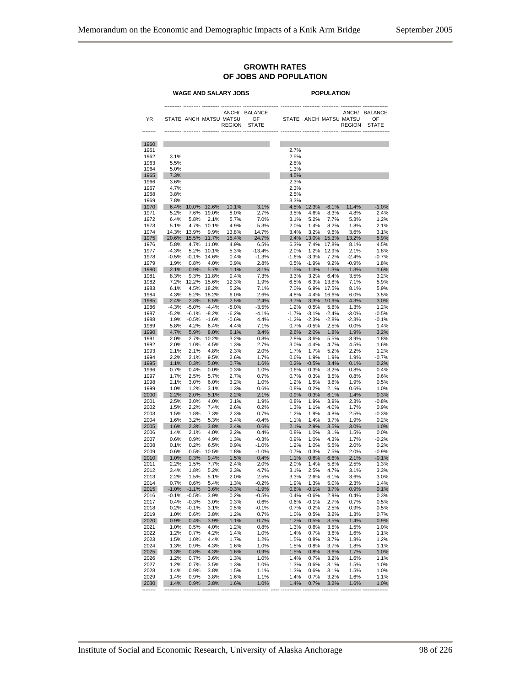#### **GROWTH RATES OF JOBS AND POPULATION**

|              |                 |                 |                 | WAGE AND SALARY JOBS                    |                                     | <b>POPULATION</b> |                    |                 |                                                  |                                      |  |  |  |
|--------------|-----------------|-----------------|-----------------|-----------------------------------------|-------------------------------------|-------------------|--------------------|-----------------|--------------------------------------------------|--------------------------------------|--|--|--|
| YR           |                 |                 |                 | STATE ANCH MATSU MATSU<br><b>REGION</b> | ANCH/ BALANCE<br>OF<br><b>STATE</b> |                   |                    |                 | ANCH/<br>STATE ANCH MATSU MATSU<br><b>REGION</b> | <b>BALANCE</b><br>OF<br><b>STATE</b> |  |  |  |
| 1960         |                 |                 |                 |                                         |                                     |                   |                    |                 |                                                  |                                      |  |  |  |
| 1961         |                 |                 |                 |                                         |                                     | 2.7%              |                    |                 |                                                  |                                      |  |  |  |
| 1962<br>1963 | 3.1%<br>5.5%    |                 |                 |                                         |                                     | 2.5%<br>2.8%      |                    |                 |                                                  |                                      |  |  |  |
| 1964         | 5.0%            |                 |                 |                                         |                                     | 1.3%              |                    |                 |                                                  |                                      |  |  |  |
| 1965         | 7.3%            |                 |                 |                                         |                                     | 4.5%              |                    |                 |                                                  |                                      |  |  |  |
| 1966<br>1967 | 3.6%<br>4.7%    |                 |                 |                                         |                                     | 2.3%<br>2.3%      |                    |                 |                                                  |                                      |  |  |  |
| 1968         | 3.8%            |                 |                 |                                         |                                     | 2.5%              |                    |                 |                                                  |                                      |  |  |  |
| 1969         | 7.8%            |                 |                 |                                         |                                     | 3.3%              |                    |                 |                                                  |                                      |  |  |  |
| 1970         | 6.4%            | 10.0%           | 12.6%           | 10.1%                                   | 3.1%                                | 4.5%              | 12.3%              | $-6.1%$         | 11.4%                                            | $-1.0%$                              |  |  |  |
| 1971<br>1972 | 5.2%<br>6.4%    | 7.6%<br>5.8%    | 19.0%<br>2.1%   | 8.0%<br>5.7%                            | 2.7%<br>7.0%                        | 3.5%<br>3.1%      | 4.6%<br>5.2%       | 8.3%<br>7.7%    | 4.8%<br>5.3%                                     | 2.4%<br>1.2%                         |  |  |  |
| 1973         | 5.1%            | 4.7%            | 10.1%           | 4.9%                                    | 5.3%                                | 2.0%              | 1.4%               | 8.2%            | 1.8%                                             | 2.1%                                 |  |  |  |
| 1974         | 14.3%           | 13.9%           | 9.9%            | 13.8%                                   | 14.7%                               | 3.4%              | 3.2%               | 9.6%            | 3.6%                                             | 3.1%                                 |  |  |  |
| 1975         | 20.6%           | 15.5%           | 11.7%           | 15.4%                                   | 24.7%                               | 9.4%              | 13.0%              | 15.3%           | 13.2%                                            | 5.9%                                 |  |  |  |
| 1976<br>1977 | 5.8%<br>$-4.3%$ | 4.7%<br>5.2%    | 11.0%<br>10.1%  | 4.9%<br>5.3%                            | 6.5%<br>$-13.4%$                    | 6.3%<br>2.0%      | 7.4%<br>1.2%       | 17.8%<br>12.9%  | 8.1%<br>2.1%                                     | 4.5%<br>1.8%                         |  |  |  |
| 1978         | $-0.5%$         | $-0.1%$         | 14.6%           | 0.4%                                    | $-1.3%$                             | $-1.6%$           | $-3.3%$            | 7.2%            | $-2.4%$                                          | $-0.7%$                              |  |  |  |
| 1979         | 1.9%            | 0.8%            | 4.0%            | 0.9%                                    | 2.8%                                | 0.5%              | $-1.9%$            | 9.2%            | $-0.9%$                                          | 1.8%                                 |  |  |  |
| 1980         | 2.1%            | 0.9%            | 5.7%            | 1.1%                                    | 3.1%                                | 1.5%              | 1.3%               | 1.3%            | 1.3%                                             | 1.6%                                 |  |  |  |
| 1981         | 8.3%            | 9.3%            | 11.8%           | 9.4%                                    | 7.3%                                | 3.3%              | 3.2%               | 6.4%            | 3.5%                                             | 3.2%                                 |  |  |  |
| 1982<br>1983 | 7.2%<br>6.1%    | 12.2%<br>4.5%   | 15.6%<br>18.2%  | 12.3%<br>5.2%                           | 1.9%<br>7.1%                        | 6.5%<br>7.0%      | 6.3%<br>6.9%       | 13.8%<br>17.5%  | 7.1%<br>8.1%                                     | 5.9%<br>5.9%                         |  |  |  |
| 1984         | 4.3%            | 5.2%            | 18.2%           | 6.0%                                    | 2.6%                                | 4.8%              | 4.4%               | 16.6%           | 6.0%                                             | 3.5%                                 |  |  |  |
| 1985         | 2.4%            | 2.3%            | 6.5%            | 2.5%                                    | 2.4%                                | 3.7%              | 3.3%               | 10.9%           | 4.3%                                             | 3.0%                                 |  |  |  |
| 1986         | $-4.3%$         | $-5.0%$         | $-4.4%$         | $-5.0%$                                 | $-3.5%$                             | 1.2%              | 0.5%               | 5.8%            | 1.3%                                             | 1.2%                                 |  |  |  |
| 1987         | $-5.2%$         | $-6.1%$         | $-8.2%$         | $-6.2%$                                 | $-4.1%$<br>4.4%                     | $-1.7%$           | $-3.1%$<br>$-2.3%$ | $-2.4%$         | $-3.0%$                                          | $-0.5%$                              |  |  |  |
| 1988<br>1989 | 1.9%<br>5.8%    | $-0.5%$<br>4.2% | $-1.6%$<br>6.4% | $-0.6%$<br>4.4%                         | 7.1%                                | $-1.2%$<br>0.7%   | $-0.5%$            | $-2.8%$<br>2.5% | $-2.3%$<br>0.0%                                  | $-0.1%$<br>1.4%                      |  |  |  |
| 1990         | 4.7%            | 5.9%            | 8.0%            | 6.1%                                    | 3.4%                                | 2.6%              | 2.0%               | 1.8%            | 1.9%                                             | 3.2%                                 |  |  |  |
| 1991         | 2.0%            | 2.7%            | 10.2%           | 3.2%                                    | 0.8%                                | 2.8%              | 3.6%               | 5.5%            | 3.9%                                             | 1.8%                                 |  |  |  |
| 1992         | 2.0%            | 1.0%            | 4.5%            | 1.3%                                    | 2.7%                                | 3.0%              | 4.4%               | 4.7%            | 4.5%                                             | 1.6%                                 |  |  |  |
| 1993<br>1994 | 2.1%<br>2.2%    | 2.1%<br>2.1%    | 4.8%<br>9.5%    | 2.3%<br>2.6%                            | 2.0%<br>1.7%                        | 1.7%<br>0.6%      | 1.7%<br>1.9%       | 5.2%<br>1.9%    | 2.2%<br>1.9%                                     | 1.2%<br>$-0.7%$                      |  |  |  |
| 1995         | 1.1%            | 0.3%            | 5.0%            | 0.7%                                    | 1.6%                                | 0.2%              | $-0.5%$            | 3.4%            | 0.1%                                             | 0.2%                                 |  |  |  |
| 1996         | 0.7%            | 0.4%            | 0.0%            | 0.3%                                    | 1.0%                                | 0.6%              | 0.3%               | 3.2%            | 0.8%                                             | 0.4%                                 |  |  |  |
| 1997         | 1.7%            | 2.5%            | 5.7%            | 2.7%                                    | 0.7%                                | 0.7%              | 0.3%               | 3.5%            | 0.8%                                             | 0.6%                                 |  |  |  |
| 1998<br>1999 | 2.1%<br>1.0%    | 3.0%<br>1.2%    | 6.0%<br>3.1%    | 3.2%<br>1.3%                            | 1.0%<br>0.6%                        | 1.2%<br>0.8%      | 1.5%<br>0.2%       | 3.8%<br>2.1%    | 1.9%<br>0.6%                                     | 0.5%<br>1.0%                         |  |  |  |
| 2000         | 2.2%            | 2.0%            | 5.1%            | 2.2%                                    | 2.1%                                | 0.9%              | 0.3%               | 6.1%            | 1.4%                                             | 0.3%                                 |  |  |  |
| 2001         | 2.5%            | 3.0%            | 4.0%            | 3.1%                                    | 1.9%                                | 0.8%              | 1.9%               | 3.9%            | 2.3%                                             | $-0.8%$                              |  |  |  |
| 2002         | 1.5%            | 2.2%            | 7.4%            | 2.6%                                    | 0.2%                                | 1.3%              | 1.1%               | 4.0%            | 1.7%                                             | 0.9%                                 |  |  |  |
| 2003<br>2004 | 1.5%<br>1.6%    | 1.8%<br>3.2%    | 7.3%<br>5.3%    | 2.3%<br>3.4%                            | 0.7%<br>$-0.4%$                     | 1.2%<br>1.1%      | 1.9%<br>1.4%       | 4.8%<br>3.7%    | 2.5%<br>1.9%                                     | $-0.3%$<br>0.2%                      |  |  |  |
| 2005         | 1.6%            | 2.3%            | 3.8%            | 2.4%                                    | 0.6%                                | 2.1%              | 2.9%               | 3.5%            | 3.0%                                             | 1.0%                                 |  |  |  |
| 2006         | 1.4%            | 2.1%            | 4.0%            | 2.2%                                    | 0.4%                                | 0.8%              | 1.0%               | 3.1%            | 1.5%                                             | 0.0%                                 |  |  |  |
| 2007         | 0.6%            | 0.9%            | 4.9%            | 1.3%                                    | $-0.3%$                             | 0.9%              | 1.0%               | 4.3%            | 1.7%                                             | $-0.2%$                              |  |  |  |
| 2008         | 0.1%            | 0.2%            | 6.5%<br>10.5%   | 0.9%                                    | $-1.0%$                             | 1.2%<br>0.7%      | 1.0%               | 5.5%<br>7.5%    | 2.0%                                             | 0.2%<br>$-0.9%$                      |  |  |  |
| 2009<br>2010 | 0.6%<br>1.0%    | 0.5%<br>0.3%    | 9.4%            | 1.8%<br>1.5%                            | $-1.0%$<br>0.4%                     | 1.1%              | 0.3%<br>0.6%       | 6.6%            | 2.0%<br>2.1%                                     | $-0.1%$                              |  |  |  |
| 2011         | 2.2%            | 1.5%            | 7.7%            | 2.4%                                    | 2.0%                                | 2.0%              | 1.4%               | 5.8%            | 2.5%                                             | 1.3%                                 |  |  |  |
| 2012         | 3.4%            | 1.8%            | 5.2%            | 2.3%                                    | 4.7%                                | 3.1%              | 2.5%               | 4.7%            | 3.1%                                             | 3.3%                                 |  |  |  |
| 2013         | 2.2%            | 1.5%            | 5.1%            | 2.0%                                    | 2.5%                                | 3.3%              | 2.6%               | 6.1%            | 3.6%                                             | $3.0\%$                              |  |  |  |
| 2014<br>2015 | 0.7%<br>$-1.0%$ | 0.6%<br>$-1.1%$ | 5.4%<br>3.6%    | 1.3%<br>$-0.3%$                         | $-0.2%$<br>$-1.9%$                  | 1.9%<br>0.6%      | 1.3%<br>$-0.1%$    | 5.0%<br>3.7%    | 2.3%<br>0.9%                                     | 1.4%<br>0.1%                         |  |  |  |
| 2016         | $-0.1%$         | $-0.5%$         | 3.9%            | 0.2%                                    | $-0.5%$                             | 0.4%              | $-0.6%$            | 2.9%            | 0.4%                                             | 0.3%                                 |  |  |  |
| 2017         | 0.4%            | $-0.3%$         | 3.0%            | 0.3%                                    | 0.6%                                | 0.6%              | $-0.1%$            | 2.7%            | 0.7%                                             | 0.5%                                 |  |  |  |
| 2018         | 0.2%            | $-0.1%$         | 3.1%            | 0.5%                                    | $-0.1%$                             | 0.7%              | 0.2%               | 2.5%            | 0.9%                                             | 0.5%                                 |  |  |  |
| 2019<br>2020 | 1.0%<br>0.9%    | 0.6%<br>0.4%    | 3.8%<br>3.9%    | 1.2%<br>1.1%                            | 0.7%<br>0.7%                        | 1.0%<br>1.2%      | 0.5%<br>0.5%       | 3.2%<br>3.5%    | 1.3%<br>1.4%                                     | 0.7%<br>0.9%                         |  |  |  |
| 2021         | 1.0%            | 0.5%            | 4.0%            | 1.2%                                    | 0.8%                                | 1.3%              | 0.6%               | 3.5%            | 1.5%                                             | 1.0%                                 |  |  |  |
| 2022         | 1.2%            | 0.7%            | 4.2%            | 1.4%                                    | 1.0%                                | 1.4%              | 0.7%               | 3.6%            | 1.6%                                             | 1.1%                                 |  |  |  |
| 2023         | 1.5%            | 1.0%            | 4.4%            | 1.7%                                    | 1.2%                                | 1.5%              | 0.8%               | 3.7%            | 1.8%                                             | 1.2%                                 |  |  |  |
| 2024         | 1.3%<br>1.3%    | 0.9%            | 4.3%<br>4.3%    | 1.6%                                    | 1.0%<br>0.9%                        | 1.5%<br>1.5%      | 0.8%               | 3.7%            | 1.8%                                             | 1.1%<br>1.0%                         |  |  |  |
| 2025<br>2026 | 1.2%            | 0.8%<br>0.7%    | 3.6%            | 1.6%<br>1.3%                            | 1.0%                                | 1.4%              | 0.8%<br>0.7%       | 3.6%<br>3.2%    | 1.7%<br>1.6%                                     | 1.1%                                 |  |  |  |
| 2027         | 1.2%            | 0.7%            | 3.5%            | 1.3%                                    | 1.0%                                | 1.3%              | 0.6%               | 3.1%            | 1.5%                                             | 1.0%                                 |  |  |  |
| 2028         | 1.4%            | 0.9%            | 3.8%            | 1.5%                                    | 1.1%                                | 1.3%              | 0.6%               | 3.1%            | 1.5%                                             | 1.0%                                 |  |  |  |
| 2029         | 1.4%            | 0.9%            | 3.8%            | 1.6%                                    | 1.1%                                | 1.4%              | 0.7%               | 3.2%            | 1.6%                                             | 1.1%                                 |  |  |  |
| 2030         | 1.4%            | 0.9%            | 3.8%            | 1.6%                                    | 1.0%                                | 1.4%              | 0.7%               | 3.2%            | 1.6%                                             | 1.0%                                 |  |  |  |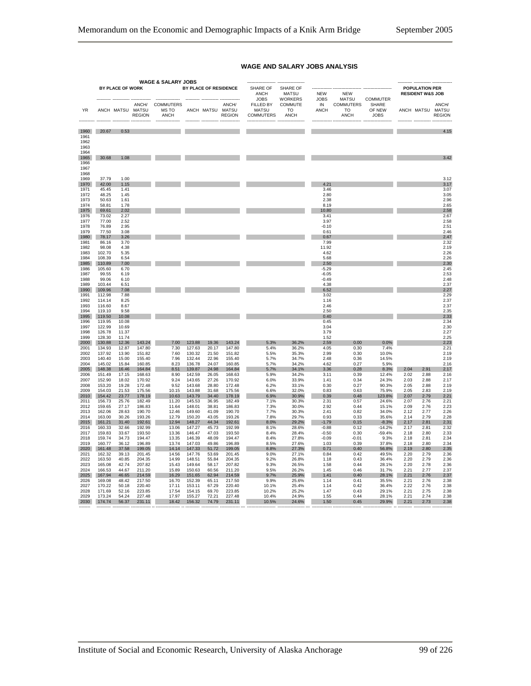|                              | <b>WAGE &amp; SALARY JOBS</b> |                  |                  |                                  |                       |                |                                            |                                                              |                                                       |                                  |                                                              |                                                   |              |                                                      |                        |
|------------------------------|-------------------------------|------------------|------------------|----------------------------------|-----------------------|----------------|--------------------------------------------|--------------------------------------------------------------|-------------------------------------------------------|----------------------------------|--------------------------------------------------------------|---------------------------------------------------|--------------|------------------------------------------------------|------------------------|
|                              |                               | BY PLACE OF WORK |                  |                                  | BY PLACE OF RESIDENCE |                |                                            | <b>SHARE OF</b><br><b>ANCH</b>                               | <b>SHARE OF</b><br><b>MATSU</b>                       | <b>NEW</b>                       | <b>NEW</b>                                                   |                                                   |              | <b>POPULATION PER</b><br><b>RESIDENT W&amp;S JOB</b> |                        |
| <b>YR</b>                    |                               | ANCH MATSU MATSU | <b>REGION</b>    | ANCH/ COMMUTERS<br>MS TO<br>ANCH |                       |                | ANCH/<br>ANCH MATSU MATSU<br><b>REGION</b> | <b>JOBS</b><br>FILLED BY<br><b>MATSU</b><br><b>COMMUTERS</b> | <b>WORKERS</b><br>COMMUTE<br><b>TO</b><br><b>ANCH</b> | <b>JOBS</b><br>IN<br><b>ANCH</b> | <b>MATSU</b><br><b>COMMUTERS</b><br><b>TO</b><br><b>ANCH</b> | <b>COMMUTER</b><br>SHARE<br>OF NEW<br><b>JOBS</b> |              | ANCH MATSU MATSU                                     | ANCH/<br><b>REGION</b> |
| 1960                         | 20.67                         | 0.53             |                  |                                  |                       |                |                                            |                                                              |                                                       |                                  |                                                              |                                                   |              |                                                      | 4.15                   |
| 1961<br>1962<br>1963<br>1964 |                               |                  |                  |                                  |                       |                |                                            |                                                              |                                                       |                                  |                                                              |                                                   |              |                                                      |                        |
| 1965<br>1966<br>1967<br>1968 | 30.68                         | 1.08             |                  |                                  |                       |                |                                            |                                                              |                                                       |                                  |                                                              |                                                   |              |                                                      | 3.42                   |
| 1969                         | 37.79                         | 1.00             |                  |                                  |                       |                |                                            |                                                              |                                                       |                                  |                                                              |                                                   |              |                                                      | 3.12                   |
| 1970                         | 42.00                         | 1.15             |                  |                                  |                       |                |                                            |                                                              |                                                       | 4.21                             |                                                              |                                                   |              |                                                      | 3.17                   |
| 1971<br>1972                 | 45.45<br>48.25                | 1.41<br>1.45     |                  |                                  |                       |                |                                            |                                                              |                                                       | 3.46<br>2.80                     |                                                              |                                                   |              |                                                      | 3.07<br>3.05           |
| 1973                         | 50.63                         | 1.61             |                  |                                  |                       |                |                                            |                                                              |                                                       | 2.38                             |                                                              |                                                   |              |                                                      | 2.96                   |
| 1974                         | 58.81                         | 1.78             |                  |                                  |                       |                |                                            |                                                              |                                                       | 8.19                             |                                                              |                                                   |              |                                                      | 2.65                   |
| 1975<br>1976                 | 69.61<br>73.02                | 2.02<br>2.27     |                  |                                  |                       |                |                                            |                                                              |                                                       | 10.80<br>3.41                    |                                                              |                                                   |              |                                                      | 2.58<br>2.67           |
| 1977                         | 77.00                         | 2.52             |                  |                                  |                       |                |                                            |                                                              |                                                       | 3.97                             |                                                              |                                                   |              |                                                      | 2.58                   |
| 1978                         | 76.89                         | 2.95             |                  |                                  |                       |                |                                            |                                                              |                                                       | $-0.10$                          |                                                              |                                                   |              |                                                      | 2.51                   |
| 1979<br>1980                 | 77.50<br>78.17                | 3.08<br>3.26     |                  |                                  |                       |                |                                            |                                                              |                                                       | 0.61<br>0.67                     |                                                              |                                                   |              |                                                      | 2.46<br>2.47           |
| 1981                         | 86.16                         | 3.70             |                  |                                  |                       |                |                                            |                                                              |                                                       | 7.99                             |                                                              |                                                   |              |                                                      | 2.32                   |
| 1982                         | 98.08                         | 4.38             |                  |                                  |                       |                |                                            |                                                              |                                                       | 11.92                            |                                                              |                                                   |              |                                                      | 2.19                   |
| 1983<br>1984                 | 102.70<br>108.39              | 5.35<br>6.54     |                  |                                  |                       |                |                                            |                                                              |                                                       | 4.62<br>5.68                     |                                                              |                                                   |              |                                                      | 2.26<br>2.26           |
| 1985                         | 110.89                        | 7.00             |                  |                                  |                       |                |                                            |                                                              |                                                       | 2.50                             |                                                              |                                                   |              |                                                      | 2.30                   |
| 1986<br>1987                 | 105.60<br>99.55               | 6.70<br>6.19     |                  |                                  |                       |                |                                            |                                                              |                                                       | $-5.29$<br>$-6.05$               |                                                              |                                                   |              |                                                      | 2.45<br>2.53           |
| 1988                         | 99.06                         | 6.10             |                  |                                  |                       |                |                                            |                                                              |                                                       | $-0.49$                          |                                                              |                                                   |              |                                                      | 2.48                   |
| 1989                         | 103.44                        | 6.51             |                  |                                  |                       |                |                                            |                                                              |                                                       | 4.38                             |                                                              |                                                   |              |                                                      | 2.37                   |
| 1990<br>1991                 | 109.96<br>112.98              | 7.08<br>7.88     |                  |                                  |                       |                |                                            |                                                              |                                                       | 6.52<br>3.02                     |                                                              |                                                   |              |                                                      | 2.27<br>2.29           |
| 1992                         | 114.14                        | 8.25             |                  |                                  |                       |                |                                            |                                                              |                                                       | 1.16                             |                                                              |                                                   |              |                                                      | 2.37                   |
| 1993                         | 116,60                        | 8.67             |                  |                                  |                       |                |                                            |                                                              |                                                       | 2.46                             |                                                              |                                                   |              |                                                      | 2.37                   |
| 1994<br>1995                 | 119.10<br>119.50              | 9.58<br>10.08    |                  |                                  |                       |                |                                            |                                                              |                                                       | 2.50<br>0.40                     |                                                              |                                                   |              |                                                      | 2.35<br>2.33           |
| 1996                         | 119.95                        | 10.08            |                  |                                  |                       |                |                                            |                                                              |                                                       | 0.45                             |                                                              |                                                   |              |                                                      | 2.34                   |
| 1997                         | 122.99                        | 10.69            |                  |                                  |                       |                |                                            |                                                              |                                                       | 3.04                             |                                                              |                                                   |              |                                                      | 2.30                   |
| 1998<br>1999                 | 126.78<br>128.30              | 11.37<br>11.74   |                  |                                  |                       |                |                                            |                                                              |                                                       | 3.79<br>1.52                     |                                                              |                                                   |              |                                                      | 2.27<br>2.25           |
| 2000                         | 130.88                        | 12.36            | 143.24           | 7.00                             | 123.88                | 19.36          | 143.24                                     | 5.3%                                                         | 36.2%                                                 | 2.59                             | 0.00                                                         | 0.0%                                              |              |                                                      | 2.23                   |
| 2001                         | 134.93                        | 12.87            | 147.80           | 7.30                             | 127.63                | 20.17          | 147.80                                     | 5.4%                                                         | 36.2%                                                 | 4.05                             | 0.30                                                         | 7.4%                                              |              |                                                      | 2.21                   |
| 2002<br>2003                 | 137.92<br>140.40              | 13.90<br>15.00   | 151.82<br>155.40 | 7.60<br>7.96                     | 130.32<br>132.44      | 21.50<br>22.96 | 151.82<br>155.40                           | 5.5%<br>5.7%                                                 | 35.3%<br>34.7%                                        | 2.99<br>2.48                     | 0.30<br>0.36                                                 | 10.0%<br>14.5%                                    |              |                                                      | 2.19<br>2.19           |
| 2004                         | 145.02                        | 15.84            | 160.85           | 8.23                             | 136.78                | 24.07          | 160.85                                     | 5.7%                                                         | 34.2%                                                 | 4.62                             | 0.27                                                         | 5.9%                                              |              |                                                      | 2.16                   |
| 2005<br>2006                 | 148.38<br>151.49              | 16.46<br>17.15   | 164.84<br>168.63 | 8.51<br>8.90                     | 139.87<br>142.59      | 24.98<br>26.05 | 164.84<br>168.63                           | 5.7%<br>5.9%                                                 | 34.1%<br>34.2%                                        | 3.36<br>3.11                     | 0.28<br>0.39                                                 | 8.3%<br>12.4%                                     | 2.04<br>2.02 | 2.91<br>2.88                                         | 2.17<br>2.16           |
| 2007                         | 152.90                        | 18.02            | 170.92           | 9.24                             | 143.65                | 27.26          | 170.92                                     | 6.0%                                                         | 33.9%                                                 | 1.41                             | 0.34                                                         | 24.3%                                             | 2.03         | 2.88                                                 | 2.17                   |
| 2008                         | 153.20                        | 19.28            | 172.48           | 9.52                             | 143.68                | 28.80          | 172.48                                     | 6.2%                                                         | 33.1%                                                 | 0.30                             | 0.27                                                         | 90.3%                                             | 2.05         | 2.88                                                 | 2.19                   |
| 2009<br>2010                 | 154.03<br>154.42              | 21.53<br>23.77   | 175.56<br>178.19 | 10.15<br>10.63                   | 143.88<br>143.79      | 31.68<br>34.40 | 175.56<br>178.19                           | 6.6%<br>6.9%                                                 | 32.0%<br>30.9%                                        | 0.83<br>0.39                     | 0.63<br>0.48                                                 | 75.9%<br>123.8%                                   | 2.05<br>2.07 | 2.83<br>2.79                                         | 2.19<br>2.21           |
| 2011                         | 156.73                        | 25.76            | 182.49           | 11.20                            | 145.53                | 36.95          | 182.49                                     | 7.1%                                                         | 30.3%                                                 | 2.31                             | 0.57                                                         | 24.6%                                             | 2.07         | 2.76                                                 | 2.21                   |
| 2012                         | 159.65                        | 27.17            | 186.83           | 11.64                            | 148.01                | 38.81          | 186.83                                     | 7.3%                                                         | 30.0%                                                 | 2.92                             | 0.44                                                         | 15.1%                                             | 2.09         | 2.76                                                 | 2.23                   |
| 2013<br>2014                 | 162.06<br>163.00              | 28.63<br>30.26   | 190.70<br>193.26 | 12.46<br>12.79                   | 149.60<br>150.20      | 41.09<br>43.05 | 190.70<br>193.26                           | 7.7%<br>7.8%                                                 | 30.3%<br>29.7%                                        | 2.41<br>0.93                     | 0.82<br>0.33                                                 | 34.0%<br>35.6%                                    | 2.12<br>2.14 | 2.77<br>2.79                                         | 2.26<br>2.28           |
| 2015                         | 161.21                        | 31.40            | 192.61           | 12.94                            | 148.27                | 44.34          | 192.61                                     | 8.0%                                                         | 29.2%                                                 | $-1.79$                          | 0.15                                                         | $-8.3%$                                           | 2.17         | 2.81                                                 | 2.31                   |
| 2016                         | 160.33                        | 32.66            | 192.99           | 13.06                            | 147.27                | 45.73          | 192.99                                     | 8.1%                                                         | 28.6%                                                 | $-0.88$                          | 0.12                                                         | $-14.2%$                                          | 2.17         | 2.81                                                 | 2.32                   |
| 2017<br>2018                 | 159.83<br>159.74              | 33.67<br>34.73   | 193.50<br>194.47 | 13.36<br>13.35                   | 146.47<br>146.39      | 47.03<br>48.09 | 193.50<br>194.47                           | 8.4%<br>8.4%                                                 | 28.4%<br>27.8%                                        | $-0.50$<br>$-0.09$               | 0.30<br>$-0.01$                                              | $-59.4%$<br>9.3%                                  | 2.18<br>2.18 | 2.80<br>2.81                                         | 2.33<br>2.34           |
| 2019                         | 160.77                        | 36.12            | 196.89           | 13.74                            | 147.03                | 49.86          | 196.89                                     | 8.5%                                                         | 27.6%                                                 | 1.03                             | 0.39                                                         | 37.8%                                             | 2.18         | 2.80                                                 | 2.34                   |
| 2020                         | 161.48                        | 37.58            | 199.05           | 14.14                            | 147.33                | 51.72          | 199.05                                     | 8.8%                                                         | 27.3%                                                 | 0.71                             | 0.40                                                         | 56.8%                                             | 2.19         | 2.80                                                 | 2.35                   |
| 2021<br>2022                 | 162.32<br>163.50              | 39.13<br>40.85   | 201.45<br>204.35 | 14.56<br>14.99                   | 147.76<br>148.51      | 53.69<br>55.84 | 201.45<br>204.35                           | 9.0%<br>9.2%                                                 | 27.1%<br>26.8%                                        | 0.84<br>1.18                     | 0.42<br>0.43                                                 | 49.5%<br>36.4%                                    | 2.20<br>2.20 | 2.79<br>2.79                                         | 2.36<br>2.36           |
| 2023                         | 165.08                        | 42.74            | 207.82           | 15.43                            | 149.64                | 58.17          | 207.82                                     | 9.3%                                                         | 26.5%                                                 | 1.58                             | 0.44                                                         | 28.1%                                             | 2.20         | 2.78                                                 | 2.36                   |
| 2024                         | 166.53                        | 44.67            | 211.20           | 15.89                            | 150.63                | 60.56          | 211.20                                     | 9.5%                                                         | 26.2%                                                 | 1.45                             | 0.46                                                         | 31.7%                                             | 2.21         | 2.77                                                 | 2.37                   |
| 2025<br>2026                 | 167.94<br>169.08              | 46.65<br>48.42   | 214.59<br>217.50 | 16.29<br>16.70                   | 151.65<br>152.39      | 62.94<br>65.11 | 214.59<br>217.50                           | 9.7%<br>9.9%                                                 | 25.9%<br>25.6%                                        | 1.41<br>1.14                     | 0.40<br>0.41                                                 | 28.1%<br>35.5%                                    | 2.21<br>2.21 | 2.76<br>2.76                                         | 2.37<br>2.38           |
| 2027                         | 170.22                        | 50.18            | 220.40           | 17.11                            | 153.11                | 67.29          | 220.40                                     | 10.1%                                                        | 25.4%                                                 | 1.14                             | 0.42                                                         | 36.4%                                             | 2.22         | 2.76                                                 | 2.38                   |
| 2028                         | 171.69                        | 52.16            | 223.85           | 17.54                            | 154.15                | 69.70          | 223.85                                     | 10.2%                                                        | 25.2%                                                 | 1.47                             | 0.43                                                         | 29.1%                                             | 2.21         | 2.75                                                 | 2.38                   |
| 2029                         | 173.24                        | 54.24            | 227.48           | 17.97                            | 155.27                | 72.21          | 227.48                                     | 10.4%                                                        | 24.9%                                                 | 1.55                             | 0.44                                                         | 28.1%                                             | 2.21         | 2.74                                                 | 2.38                   |
| 2030                         | 174.74                        | 56.37            | 231.11           | 18.42                            | 156.32                | 74.79          | 231.11                                     | 10.5%                                                        | 24.6%                                                 | 1.50                             | 0.45                                                         | 29.9%                                             | 2.21         | 2.73                                                 | 2.38                   |

#### **WAGE AND SALARY JOBS ANALYSIS**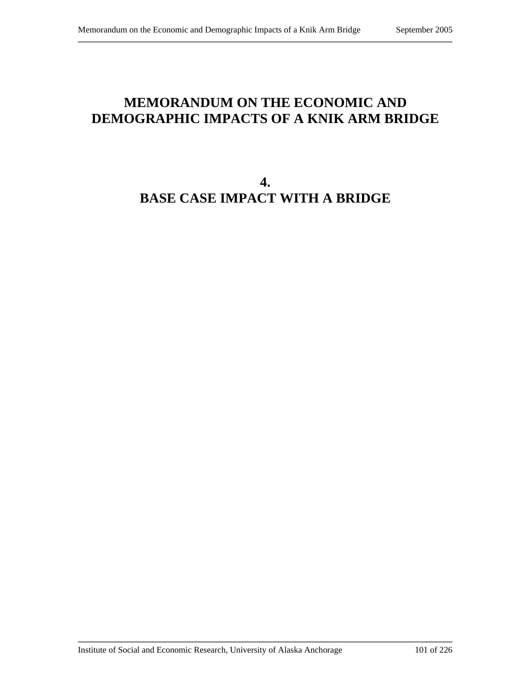# **MEMORANDUM ON THE ECONOMIC AND DEMOGRAPHIC IMPACTS OF A KNIK ARM BRIDGE**

# **4. BASE CASE IMPACT WITH A BRIDGE**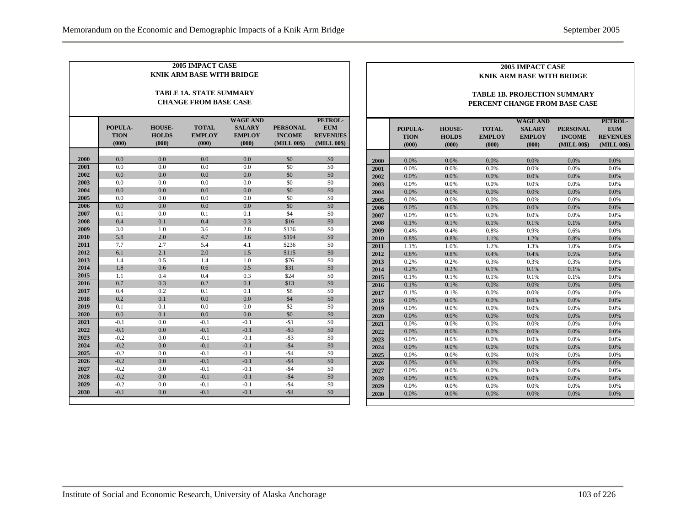| <b>2005 IMPACT CASE</b>          |                  |               |               |                 |                 |                 | 2005 IMPACT CASE |                                     |               |               |                 |                 |                 |  |  |
|----------------------------------|------------------|---------------|---------------|-----------------|-----------------|-----------------|------------------|-------------------------------------|---------------|---------------|-----------------|-----------------|-----------------|--|--|
| <b>KNIK ARM BASE WITH BRIDGE</b> |                  |               |               |                 |                 |                 |                  | <b>KNIK ARM BASE WITH BRIDGE</b>    |               |               |                 |                 |                 |  |  |
| <b>TABLE 1A. STATE SUMMARY</b>   |                  |               |               |                 |                 |                 |                  | <b>TABLE 1B. PROJECTION SUMMARY</b> |               |               |                 |                 |                 |  |  |
| <b>CHANGE FROM BASE CASE</b>     |                  |               |               |                 |                 |                 |                  | PERCENT CHANGE FROM BASE CASE       |               |               |                 |                 |                 |  |  |
|                                  |                  |               |               |                 |                 |                 |                  |                                     |               |               |                 |                 |                 |  |  |
|                                  |                  |               |               | <b>WAGE AND</b> |                 | PETROL-         |                  |                                     |               |               | <b>WAGE AND</b> |                 | PETROL-         |  |  |
|                                  | POPULA-          | <b>HOUSE-</b> | <b>TOTAL</b>  | <b>SALARY</b>   | <b>PERSONAL</b> | <b>EUM</b>      |                  | POPULA-                             | <b>HOUSE-</b> | <b>TOTAL</b>  | <b>SALARY</b>   | <b>PERSONAL</b> | <b>EUM</b>      |  |  |
|                                  | <b>TION</b>      | <b>HOLDS</b>  | <b>EMPLOY</b> | <b>EMPLOY</b>   | <b>INCOME</b>   | <b>REVENUES</b> |                  | <b>TION</b>                         | <b>HOLDS</b>  | <b>EMPLOY</b> | <b>EMPLOY</b>   | <b>INCOME</b>   | <b>REVENUES</b> |  |  |
|                                  | (000)            | (000)         | (000)         | (000)           | (MILL 00\$)     | (MILL 00\$)     |                  | (000)                               | (000)         | (000)         | (000)           | (MILL 00\$)     | (MILL 00\$)     |  |  |
| 2000                             | 0.0              | 0.0           | 0.0           | 0.0             | \$0             | \$0             | 2000             | 0.0%                                | 0.0%          | 0.0%          | 0.0%            | 0.0%            | 0.0%            |  |  |
| 2001                             | 0.0              | 0.0           | 0.0           | 0.0             | \$0             | $\sqrt{50}$     | 2001             | 0.0%                                | 0.0%          | 0.0%          | 0.0%            | 0.0%            | 0.0%            |  |  |
| 2002                             | 0.0              | 0.0           | 0.0           | 0.0             | \$0             | \$0             | 2002             | 0.0%                                | 0.0%          | 0.0%          | 0.0%            | 0.0%            | 0.0%            |  |  |
| 2003                             | 0.0              | 0.0           | 0.0           | 0.0             | \$0             | \$0             | 2003             | 0.0%                                | 0.0%          | 0.0%          | 0.0%            | 0.0%            | 0.0%            |  |  |
| 2004                             | 0.0              | 0.0           | 0.0           | 0.0             | \$0             | \$0             | 2004             | 0.0%                                | 0.0%          | 0.0%          | 0.0%            | 0.0%            | 0.0%            |  |  |
| 2005                             | 0.0              | 0.0           | 0.0           | 0.0             | \$0             | \$0             | 2005             | 0.0%                                | 0.0%          | 0.0%          | 0.0%            | 0.0%            | 0.0%            |  |  |
| 2006                             | 0.0              | 0.0           | 0.0           | 0.0             | \$0             | \$0             | 2006             | 0.0%                                | 0.0%          | 0.0%          | 0.0%            | 0.0%            | 0.0%            |  |  |
| 2007                             | 0.1              | 0.0           | 0.1           | 0.1             | \$4             | \$0             | 2007             | 0.0%                                | 0.0%          | 0.0%          | 0.0%            | 0.0%            | 0.0%            |  |  |
| 2008                             | 0.4              | 0.1           | 0.4           | 0.3             | \$16            | \$0             | 2008             | 0.1%                                | 0.1%          | 0.1%          | 0.1%            | 0.1%            | 0.0%            |  |  |
| 2009                             | 3.0              | 1.0           | 3.6           | 2.8             | \$136           | \$0             | 2009             | 0.4%                                | 0.4%          | 0.8%          | 0.9%            | 0.6%            | 0.0%            |  |  |
| 2010                             | 5.8              | 2.0           | 4.7           | 3.6             | \$194           | \$0             | 2010             | 0.8%                                | 0.8%          | 1.1%          | 1.2%            | 0.8%            | 0.0%            |  |  |
| 2011                             | 7.7              | 2.7           | 5.4           | 4.1             | \$236           | \$0             | 2011             | 1.1%                                | 1.0%          | 1.2%          | 1.3%            | 1.0%            | 0.0%            |  |  |
| 2012                             | 6.1              | 2.1           | 2.0           | 1.5             | \$115           | \$0             | 2012             | 0.8%                                | 0.8%          | 0.4%          | 0.4%            | 0.5%            | 0.0%            |  |  |
| 2013                             | 1.4              | 0.5           | 1.4           | 1.0             | \$76            | \$0             | 2013             | 0.2%                                | 0.2%          | 0.3%          | 0.3%            | 0.3%            | 0.0%            |  |  |
| 2014                             | 1.8              | 0.6           | 0.6           | 0.5             | \$31            | \$0             | 2014             | 0.2%                                | 0.2%          | 0.1%          | 0.1%            | 0.1%            | 0.0%            |  |  |
| 2015                             | 1.1              | 0.4           | 0.4           | 0.3             | \$24            | \$0             | 2015             | 0.1%                                | 0.1%          | 0.1%          | 0.1%            | 0.1%            | 0.0%            |  |  |
| 2016                             | 0.7              | 0.3           | 0.2           | 0.1             | \$13            | \$0             | 2016             | 0.1%                                | 0.1%          | 0.0%          | 0.0%            | 0.0%            | 0.0%            |  |  |
| 2017                             | 0.4              | 0.2           | 0.1           | 0.1             | \$8             | \$0             | 2017             | 0.1%                                | 0.1%          | 0.0%          | 0.0%            | 0.0%            | 0.0%            |  |  |
| 2018                             | 0.2              | 0.1           | 0.0           | 0.0             | \$4             | \$0             | 2018             | 0.0%                                | 0.0%          | 0.0%          | 0.0%            | 0.0%            | 0.0%            |  |  |
| 2019                             | 0.1              | 0.1           | 0.0           | 0.0             | \$2             | \$0             | 2019             | 0.0%                                | 0.0%          | 0.0%          | 0.0%            | 0.0%            | 0.0%            |  |  |
| 2020                             | 0.0              | 0.1           | 0.0           | 0.0             | \$0             | \$0             | 2020             | 0.0%                                | 0.0%          | 0.0%          | 0.0%            | 0.0%            | 0.0%            |  |  |
| 2021                             | $-0.1$           | 0.0           | $-0.1$        | $-0.1$          | $-$ \$1         | $\overline{50}$ | 2021             | 0.0%                                | 0.0%          | 0.0%          | 0.0%            | 0.0%            | 0.0%            |  |  |
| 2022                             | $-0.1$           | 0.0           | $-0.1$        | $-0.1$          | $-$ \$3         | \$0             | 2022             | $0.0\%$                             | 0.0%          | 0.0%          | 0.0%            | 0.0%            | 0.0%            |  |  |
| 2023                             | $-0.2$           | 0.0           | $-0.1$        | $-0.1$          | $-$ \$3         | \$0             | 2023             | 0.0%                                | 0.0%          | 0.0%          | 0.0%            | 0.0%            | 0.0%            |  |  |
| 2024                             | $-0.2$           | 0.0           | $-0.1$        | $-0.1$          | $-$ \$4         | \$0             | 2024             | 0.0%                                | $0.0\%$       | 0.0%          | 0.0%            | 0.0%            | 0.0%            |  |  |
| 2025                             | $-0.2$           | 0.0           | $-0.1$        | $-0.1$          | $-$ \$4         | \$0             | 2025             | 0.0%                                | 0.0%          | 0.0%          | 0.0%            | 0.0%            | 0.0%            |  |  |
| 2026                             | $-0.2$           | 0.0           | $-0.1$        | $-0.1$          | $-$ \$4         | \$0             | 2026             | 0.0%                                | 0.0%          | 0.0%          | 0.0%            | 0.0%            | 0.0%            |  |  |
| 2027                             | $-0.2$           | 0.0           | $-0.1$        | $-0.1$          | $-$ \$4         | \$0             | 2027             | 0.0%                                | $0.0\%$       | 0.0%          | 0.0%            | 0.0%            | 0.0%            |  |  |
| 2028                             | $-0.2$           | 0.0           | $-0.1$        | $-0.1$          | $-$ \$4         | \$0             | 2028             | 0.0%                                | $0.0\%$       | 0.0%          | 0.0%            | 0.0%            | 0.0%            |  |  |
| 2029<br>2030                     | $-0.2$<br>$-0.1$ | 0.0           | $-0.1$        | $-0.1$          | $-$ \$4         | \$0             | 2029             | 0.0%                                | 0.0%          | 0.0%          | 0.0%            | 0.0%            | 0.0%            |  |  |
|                                  |                  | 0.0           | $-0.1$        | $-0.1$          | $-$ \$4         | \$0             | 2030             | 0.0%                                | 0.0%          | 0.0%          | 0.0%            | 0.0%            | 0.0%            |  |  |
|                                  |                  |               |               |                 |                 |                 |                  |                                     |               |               |                 |                 |                 |  |  |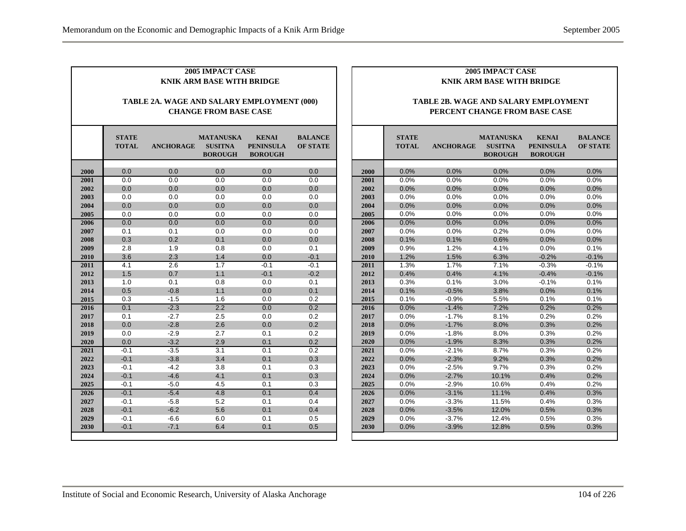| 2005 IMPACT CASE<br><b>KNIK ARM BASE WITH BRIDGE</b><br>TABLE 2A. WAGE AND SALARY EMPLOYMENT (000)<br><b>CHANGE FROM BASE CASE</b> |                  |                  |                  |                  |         |      | 2005 IMPACT CASE<br><b>KNIK ARM BASE WITH BRIDGE</b><br>TABLE 2B. WAGE AND SALARY EMPLOYMENT<br>PERCENT CHANGE FROM BASE CASE |      |         |       |         |         |  |
|------------------------------------------------------------------------------------------------------------------------------------|------------------|------------------|------------------|------------------|---------|------|-------------------------------------------------------------------------------------------------------------------------------|------|---------|-------|---------|---------|--|
|                                                                                                                                    |                  |                  |                  |                  |         |      |                                                                                                                               |      |         |       |         |         |  |
| 2000                                                                                                                               | 0.0              | 0.0              | 0.0              | 0.0              | 0.0     | 2000 |                                                                                                                               | 0.0% | 0.0%    | 0.0%  | 0.0%    | 0.0%    |  |
| 2001                                                                                                                               | $\overline{0.0}$ | 0.0              | $\overline{0.0}$ | $\overline{0.0}$ | 0.0     | 2001 | 0.0%                                                                                                                          |      | 0.0%    | 0.0%  | 0.0%    | 0.0%    |  |
| 2002                                                                                                                               | 0.0              | 0.0              | 0.0              | 0.0              | 0.0     | 2002 |                                                                                                                               | 0.0% | 0.0%    | 0.0%  | 0.0%    | 0.0%    |  |
| 2003                                                                                                                               | 0.0              | 0.0              | 0.0              | 0.0              | 0.0     | 2003 | 0.0%                                                                                                                          |      | 0.0%    | 0.0%  | 0.0%    | 0.0%    |  |
| 2004                                                                                                                               | 0.0              | 0.0              | 0.0              | 0.0              | 0.0     | 2004 | 0.0%                                                                                                                          |      | 0.0%    | 0.0%  | 0.0%    | 0.0%    |  |
| 2005                                                                                                                               | 0.0              | 0.0              | 0.0              | 0.0              | 0.0     | 2005 | 0.0%                                                                                                                          |      | 0.0%    | 0.0%  | 0.0%    | 0.0%    |  |
| 2006                                                                                                                               | 0.0              | 0.0              | 0.0              | 0.0              | 0.0     | 2006 | 0.0%                                                                                                                          |      | 0.0%    | 0.0%  | 0.0%    | 0.0%    |  |
| 2007                                                                                                                               | 0.1              | 0.1              | 0.0              | 0.0              | 0.0     | 2007 | 0.0%                                                                                                                          |      | 0.0%    | 0.2%  | 0.0%    | 0.0%    |  |
| 2008                                                                                                                               | 0.3              | 0.2              | 0.1              | 0.0              | 0.0     | 2008 | 0.1%                                                                                                                          |      | 0.1%    | 0.6%  | 0.0%    | 0.0%    |  |
| 2009                                                                                                                               | 2.8              | 1.9              | 0.8              | 0.0              | 0.1     | 2009 | 0.9%                                                                                                                          |      | 1.2%    | 4.1%  | 0.0%    | 0.1%    |  |
| 2010                                                                                                                               | 3.6              | 2.3              | 1.4              | 0.0              | $-0.1$  | 2010 |                                                                                                                               | 1.2% | 1.5%    | 6.3%  | $-0.2%$ | $-0.1%$ |  |
| 2011                                                                                                                               | 4.1              | $\overline{2.6}$ | 1.7              | $-0.1$           | $-0.1$  | 2011 | 1.3%                                                                                                                          |      | 1.7%    | 7.1%  | $-0.3%$ | $-0.1%$ |  |
| 2012                                                                                                                               | 1.5              | 0.7              | 1.1              | $-0.1$           | $-0.2$  | 2012 | 0.4%                                                                                                                          |      | 0.4%    | 4.1%  | $-0.4%$ | $-0.1%$ |  |
| 2013                                                                                                                               | 1.0              | 0.1              | 0.8              | 0.0              | 0.1     | 2013 | 0.3%                                                                                                                          |      | 0.1%    | 3.0%  | $-0.1%$ | 0.1%    |  |
| 2014                                                                                                                               | 0.5              | $-0.8$           | 1.1              | 0.0              | 0.1     | 2014 | 0.1%                                                                                                                          |      | $-0.5%$ | 3.8%  | 0.0%    | 0.1%    |  |
| 2015                                                                                                                               | 0.3              | $-1.5$           | 1.6              | 0.0              | 0.2     | 2015 | 0.1%                                                                                                                          |      | $-0.9%$ | 5.5%  | 0.1%    | 0.1%    |  |
| 2016                                                                                                                               | 0.1              | $-2.3$           | 2.2              | 0.0              | 0.2     | 2016 | 0.0%                                                                                                                          |      | $-1.4%$ | 7.2%  | 0.2%    | 0.2%    |  |
| 2017                                                                                                                               | 0.1              | $-2.7$           | 2.5              | 0.0              | 0.2     | 2017 | 0.0%                                                                                                                          |      | $-1.7%$ | 8.1%  | 0.2%    | 0.2%    |  |
| 2018                                                                                                                               | 0.0              | $-2.8$           | 2.6              | 0.0              | 0.2     | 2018 | 0.0%                                                                                                                          |      | $-1.7%$ | 8.0%  | 0.3%    | 0.2%    |  |
| 2019                                                                                                                               | 0.0              | $-2.9$           | 2.7              | 0.1              | 0.2     | 2019 |                                                                                                                               | 0.0% | $-1.8%$ | 8.0%  | 0.3%    | 0.2%    |  |
| 2020                                                                                                                               | 0.0              | $-3.2$           | 2.9              | 0.1              | $0.2\,$ | 2020 | 0.0%                                                                                                                          |      | $-1.9%$ | 8.3%  | 0.3%    | 0.2%    |  |
| 2021                                                                                                                               | $-0.1$           | $-3.5$           | $\overline{3.1}$ | 0.1              | 0.2     | 2021 | 0.0%                                                                                                                          |      | $-2.1%$ | 8.7%  | 0.3%    | 0.2%    |  |
| 2022                                                                                                                               | $-0.1$           | $-3.8$           | 3.4              | 0.1              | 0.3     | 2022 | 0.0%                                                                                                                          |      | $-2.3%$ | 9.2%  | 0.3%    | 0.2%    |  |
| 2023                                                                                                                               | $-0.1$           | $-4.2$           | 3.8              | 0.1              | 0.3     | 2023 | 0.0%                                                                                                                          |      | $-2.5%$ | 9.7%  | 0.3%    | 0.2%    |  |
| 2024                                                                                                                               | $-0.1$           | $-4.6$           | 4.1              | 0.1              | 0.3     | 2024 | 0.0%                                                                                                                          |      | $-2.7%$ | 10.1% | 0.4%    | 0.2%    |  |
| 2025                                                                                                                               | $-0.1$           | $-5.0$           | 4.5              | 0.1              | 0.3     | 2025 | 0.0%                                                                                                                          |      | $-2.9%$ | 10.6% | 0.4%    | 0.2%    |  |
| 2026                                                                                                                               | $-0.1$           | $-5.4$           | 4.8              | 0.1              | 0.4     | 2026 | 0.0%                                                                                                                          |      | $-3.1%$ | 11.1% | 0.4%    | 0.3%    |  |
| 2027                                                                                                                               | $-0.1$           | $-5.8$           | 5.2              | 0.1              | 0.4     | 2027 | 0.0%                                                                                                                          |      | $-3.3%$ | 11.5% | 0.4%    | 0.3%    |  |
| 2028                                                                                                                               | $-0.1$           | $-6.2$           | 5.6              | 0.1              | 0.4     | 2028 |                                                                                                                               | 0.0% | $-3.5%$ | 12.0% | 0.5%    | 0.3%    |  |
| 2029                                                                                                                               | $-0.1$           | $-6.6$           | 6.0              | 0.1              | 0.5     | 2029 | 0.0%                                                                                                                          |      | $-3.7%$ | 12.4% | 0.5%    | 0.3%    |  |
| 2030                                                                                                                               | $-0.1$           | $-7.1$           | 6.4              | 0.1              | 0.5     | 2030 | 0.0%                                                                                                                          |      | $-3.9%$ | 12.8% | 0.5%    | 0.3%    |  |
|                                                                                                                                    |                  |                  |                  |                  |         |      |                                                                                                                               |      |         |       |         |         |  |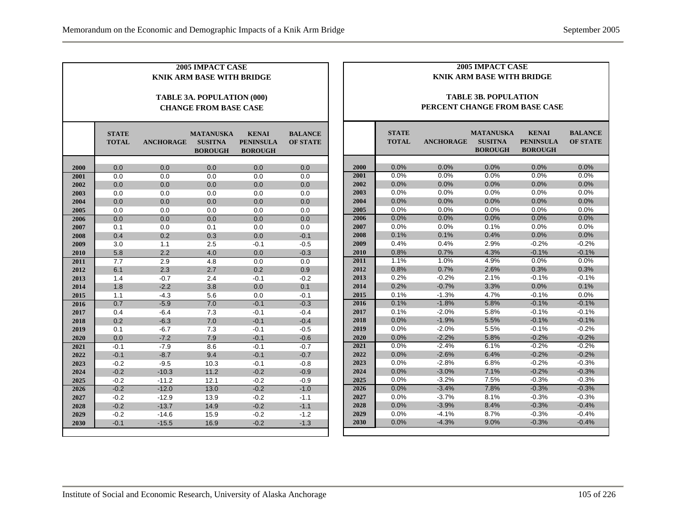|      |                              |                  | 2005 IMPACT CASE<br><b>KNIK ARM BASE WITH BRIDGE</b>              |                                                    |                                   |      |                              |                               | 2005 IMPACT CASE<br><b>KNIK ARM BASE WITH BRIDGE</b> |                                                    |                                   |  |
|------|------------------------------|------------------|-------------------------------------------------------------------|----------------------------------------------------|-----------------------------------|------|------------------------------|-------------------------------|------------------------------------------------------|----------------------------------------------------|-----------------------------------|--|
|      |                              |                  | <b>TABLE 3A. POPULATION (000)</b><br><b>CHANGE FROM BASE CASE</b> |                                                    |                                   |      |                              | PERCENT CHANGE FROM BASE CASE | <b>TABLE 3B. POPULATION</b>                          |                                                    |                                   |  |
|      | <b>STATE</b><br><b>TOTAL</b> | <b>ANCHORAGE</b> | <b>MATANUSKA</b><br><b>SUSITNA</b><br><b>BOROUGH</b>              | <b>KENAI</b><br><b>PENINSULA</b><br><b>BOROUGH</b> | <b>BALANCE</b><br><b>OF STATE</b> |      | <b>STATE</b><br><b>TOTAL</b> | <b>ANCHORAGE</b>              | <b>MATANUSKA</b><br><b>SUSITNA</b><br><b>BOROUGH</b> | <b>KENAI</b><br><b>PENINSULA</b><br><b>BOROUGH</b> | <b>BALANCE</b><br><b>OF STATE</b> |  |
| 2000 | 0.0                          | 0.0              | 0.0                                                               | 0.0                                                | 0.0                               | 2000 | 0.0%                         | 0.0%                          | 0.0%                                                 | 0.0%                                               | 0.0%                              |  |
| 2001 | 0.0                          | 0.0              | 0.0                                                               | 0.0                                                | 0.0                               | 2001 | 0.0%                         | 0.0%                          | 0.0%                                                 | 0.0%                                               | 0.0%                              |  |
| 2002 | 0.0                          | 0.0              | 0.0                                                               | 0.0                                                | 0.0                               | 2002 | 0.0%                         | 0.0%                          | 0.0%                                                 | 0.0%                                               | 0.0%                              |  |
| 2003 | 0.0                          | 0.0              | 0.0                                                               | 0.0                                                | 0.0                               | 2003 | 0.0%                         | 0.0%                          | 0.0%                                                 | 0.0%                                               | 0.0%                              |  |
| 2004 | 0.0                          | 0.0              | 0.0                                                               | 0.0                                                | 0.0                               | 2004 | 0.0%                         | 0.0%                          | 0.0%                                                 | 0.0%                                               | 0.0%                              |  |
| 2005 | 0.0                          | $0.0\,$          | 0.0                                                               | $0.0\,$                                            | 0.0                               | 2005 | 0.0%                         | 0.0%                          | 0.0%                                                 | 0.0%                                               | 0.0%                              |  |
| 2006 | 0.0                          | 0.0              | 0.0                                                               | 0.0                                                | 0.0                               | 2006 | 0.0%                         | 0.0%                          | 0.0%                                                 | 0.0%                                               | 0.0%                              |  |
| 2007 | 0.1                          | 0.0              | 0.1                                                               | 0.0                                                | 0.0                               | 2007 | 0.0%                         | 0.0%                          | 0.1%                                                 | 0.0%                                               | 0.0%                              |  |
| 2008 | 0.4                          | 0.2              | 0.3                                                               | 0.0                                                | $-0.1$                            | 2008 | 0.1%                         | 0.1%                          | 0.4%                                                 | 0.0%                                               | 0.0%                              |  |
| 2009 | 3.0                          | 1.1              | 2.5                                                               | $-0.1$                                             | $-0.5$                            | 2009 | 0.4%                         | 0.4%                          | 2.9%                                                 | $-0.2%$                                            | $-0.2%$                           |  |
| 2010 | 5.8                          | 2.2              | 4.0                                                               | 0.0                                                | $-0.3$                            | 2010 | 0.8%                         | 0.7%                          | 4.3%                                                 | $-0.1%$                                            | $-0.1%$                           |  |
| 2011 | $\overline{7.7}$             | 2.9              | 4.8                                                               | 0.0                                                | 0.0                               | 2011 | 1.1%                         | 1.0%                          | 4.9%                                                 | 0.0%                                               | 0.0%                              |  |
| 2012 | 6.1                          | 2.3              | 2.7                                                               | 0.2                                                | 0.9                               | 2012 | 0.8%                         | 0.7%                          | 2.6%                                                 | 0.3%                                               | 0.3%                              |  |
| 2013 | 1.4                          | $-0.7$           | 2.4                                                               | $-0.1$                                             | $-0.2$                            | 2013 | 0.2%                         | $-0.2%$                       | 2.1%                                                 | $-0.1%$                                            | $-0.1%$                           |  |
| 2014 | 1.8                          | $-2.2$           | 3.8                                                               | 0.0                                                | 0.1                               | 2014 | 0.2%                         | $-0.7%$                       | 3.3%                                                 | 0.0%                                               | 0.1%                              |  |
| 2015 | 1.1                          | $-4.3$           | 5.6                                                               | 0.0                                                | $-0.1$                            | 2015 | 0.1%                         | $-1.3%$                       | 4.7%                                                 | $-0.1%$                                            | 0.0%                              |  |
| 2016 | 0.7                          | $-5.9$           | 7.0                                                               | $-0.1$                                             | $-0.3$                            | 2016 | 0.1%                         | $-1.8%$                       | 5.8%                                                 | $-0.1%$                                            | $-0.1%$                           |  |
| 2017 | 0.4                          | $-6.4$           | 7.3                                                               | $-0.1$                                             | $-0.4$                            | 2017 | 0.1%                         | $-2.0%$                       | 5.8%                                                 | $-0.1%$                                            | $-0.1%$                           |  |
| 2018 | 0.2                          | $-6.3$           | 7.0                                                               | $-0.1$                                             | $-0.4$                            | 2018 | 0.0%                         | $-1.9%$                       | 5.5%                                                 | $-0.1%$                                            | $-0.1%$                           |  |
| 2019 | 0.1                          | $-6.7$           | 7.3                                                               | $-0.1$                                             | $-0.5$                            | 2019 | 0.0%                         | $-2.0%$                       | 5.5%                                                 | $-0.1%$                                            | $-0.2%$                           |  |
| 2020 | 0.0                          | $-7.2$           | 7.9                                                               | $-0.1$                                             | $-0.6$                            | 2020 | 0.0%                         | $-2.2%$                       | 5.8%                                                 | $-0.2%$                                            | $-0.2%$                           |  |
| 2021 | $-0.1$                       | $-7.9$           | 8.6                                                               | $-0.1$                                             | $-0.7$                            | 2021 | 0.0%                         | $-2.4%$                       | 6.1%                                                 | $-0.2%$                                            | $-0.2%$                           |  |
| 2022 | $-0.1$                       | $-8.7$           | 9.4                                                               | $-0.1$                                             | $-0.7$                            | 2022 | 0.0%                         | $-2.6%$                       | 6.4%                                                 | $-0.2%$                                            | $-0.2%$                           |  |
| 2023 | $-0.2$                       | $-9.5$           | 10.3                                                              | $-0.1$                                             | $-0.8$                            | 2023 | 0.0%                         | $-2.8%$                       | 6.8%                                                 | $-0.2%$                                            | $-0.3%$                           |  |
| 2024 | $-0.2$                       | $-10.3$          | 11.2                                                              | $-0.2$                                             | $-0.9$                            | 2024 | 0.0%                         | $-3.0%$                       | 7.1%                                                 | $-0.2%$                                            | $-0.3%$                           |  |
| 2025 | $-0.2$                       | $-11.2$          | 12.1                                                              | $-0.2$                                             | $-0.9$                            | 2025 | 0.0%                         | $-3.2%$                       | 7.5%                                                 | $-0.3%$                                            | $-0.3%$                           |  |
| 2026 | $-0.2$                       | $-12.0$          | 13.0                                                              | $-0.2$                                             | $-1.0$                            | 2026 | 0.0%                         | $-3.4%$                       | 7.8%                                                 | $-0.3%$                                            | $-0.3%$                           |  |
| 2027 | $-0.2$                       | $-12.9$          | 13.9                                                              | $-0.2$                                             | $-1.1$                            | 2027 | 0.0%                         | $-3.7%$                       | 8.1%                                                 | $-0.3%$                                            | $-0.3%$                           |  |
| 2028 | $-0.2$                       | $-13.7$          | 14.9                                                              | $-0.2$                                             | $-1.1$                            | 2028 | 0.0%                         | $-3.9%$                       | 8.4%                                                 | $-0.3%$                                            | $-0.4%$                           |  |
| 2029 | $-0.2$                       | $-14.6$          | 15.9                                                              | $-0.2$                                             | $-1.2$                            | 2029 | 0.0%                         | $-4.1%$                       | 8.7%                                                 | $-0.3%$                                            | $-0.4%$                           |  |
| 2030 | $-0.1$                       | $-15.5$          | 16.9                                                              | $-0.2$                                             | $-1.3$                            | 2030 | 0.0%                         | $-4.3%$                       | 9.0%                                                 | $-0.3%$                                            | $-0.4%$                           |  |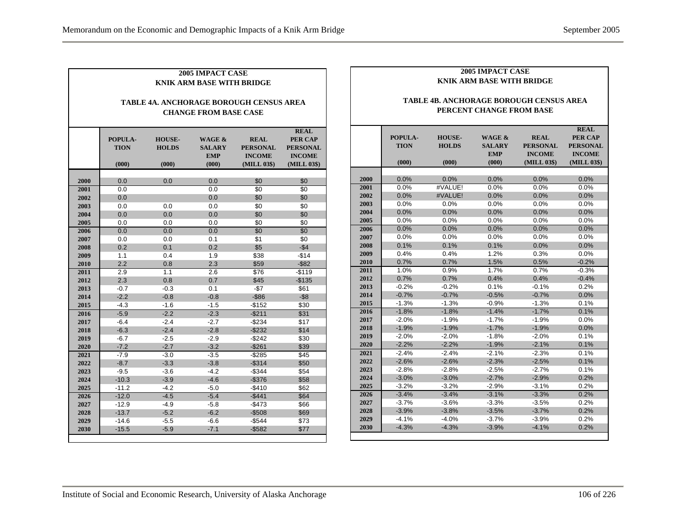Г

|              | <b>2005 IMPACT CASE</b><br><b>KNIK ARM BASE WITH BRIDGE</b>                    |                                        |                                                |                                                                |                                                                                  |  |  |  |  |  |
|--------------|--------------------------------------------------------------------------------|----------------------------------------|------------------------------------------------|----------------------------------------------------------------|----------------------------------------------------------------------------------|--|--|--|--|--|
|              | <b>TABLE 4A. ANCHORAGE BOROUGH CENSUS AREA</b><br><b>CHANGE FROM BASE CASE</b> |                                        |                                                |                                                                |                                                                                  |  |  |  |  |  |
|              | POPULA-<br><b>TION</b><br>(000)                                                | <b>HOUSE-</b><br><b>HOLDS</b><br>(000) | WAGE &<br><b>SALARY</b><br><b>EMP</b><br>(000) | <b>REAL</b><br><b>PERSONAL</b><br><b>INCOME</b><br>(MILL 03\$) | <b>REAL</b><br><b>PER CAP</b><br><b>PERSONAL</b><br><b>INCOME</b><br>(MILL 03\$) |  |  |  |  |  |
| 2000         | 0.0                                                                            | 0.0                                    | 0.0                                            | \$0                                                            | \$0                                                                              |  |  |  |  |  |
|              |                                                                                |                                        |                                                |                                                                |                                                                                  |  |  |  |  |  |
| 2001<br>2002 | 0.0<br>0.0                                                                     |                                        | 0.0<br>0.0                                     | \$0<br>\$0                                                     | \$0<br>\$0                                                                       |  |  |  |  |  |
| 2003         | 0.0                                                                            | 0.0                                    | 0.0                                            | \$0                                                            | \$0                                                                              |  |  |  |  |  |
| 2004         | 0.0                                                                            | 0.0                                    | 0.0                                            | \$0                                                            | \$0                                                                              |  |  |  |  |  |
| 2005         | 0.0                                                                            | 0.0                                    | 0.0                                            | \$0                                                            | \$0                                                                              |  |  |  |  |  |
| 2006         | 0.0                                                                            | 0.0                                    | 0.0                                            | \$0                                                            | \$0                                                                              |  |  |  |  |  |
| 2007         | 0.0                                                                            | 0.0                                    | 0.1                                            | \$1                                                            | \$0                                                                              |  |  |  |  |  |
| 2008         | 0.2                                                                            | 0.1                                    | 0.2                                            | \$5                                                            | $-$4$                                                                            |  |  |  |  |  |
| 2009         | 1.1                                                                            | 0.4                                    | 1.9                                            | \$38                                                           | $-$14$                                                                           |  |  |  |  |  |
| 2010         | 2.2                                                                            | 0.8                                    | 2.3                                            | \$59                                                           | $-$ \$82                                                                         |  |  |  |  |  |
| 2011         | 2.9                                                                            | 1.1                                    | 2.6                                            | \$76                                                           | -\$119                                                                           |  |  |  |  |  |
| 2012         | 2.3                                                                            | 0.8                                    | 0.7                                            | \$45                                                           | $-$135$                                                                          |  |  |  |  |  |
| 2013         | $-0.7$                                                                         | $-0.3$                                 | 0.1                                            | $-\$7$                                                         | \$61                                                                             |  |  |  |  |  |
| 2014         | $-2.2$                                                                         | $-0.8$                                 | $-0.8$                                         | $-$ \$86                                                       | $-$ \$8                                                                          |  |  |  |  |  |
| 2015         | $-4.3$                                                                         | $-1.6$                                 | $-1.5$                                         | $-$152$                                                        | \$30                                                                             |  |  |  |  |  |
| 2016         | $-5.9$                                                                         | $-2.2$                                 | $-2.3$                                         | $-$211$                                                        | \$31                                                                             |  |  |  |  |  |
| 2017         | $-6.4$                                                                         | $-2.4$                                 | $-2.7$                                         | $-$234$                                                        | \$17                                                                             |  |  |  |  |  |
| 2018         | $-6.3$                                                                         | $-2.4$                                 | $-2.8$                                         | $-$232$                                                        | \$14                                                                             |  |  |  |  |  |
| 2019         | $-6.7$                                                                         | $-2.5$                                 | $-2.9$                                         | $-$ \$242                                                      | \$30                                                                             |  |  |  |  |  |
| 2020         | $-7.2$                                                                         | $-2.7$                                 | $-3.2$                                         | $-$261$                                                        | \$39                                                                             |  |  |  |  |  |
| 2021         | $-7.9$                                                                         | $-3.0$                                 | $-3.5$                                         | -\$285                                                         | \$45                                                                             |  |  |  |  |  |
| 2022         | $-8.7$                                                                         | $-3.3$                                 | $-3.8$                                         | $-$ \$314                                                      | \$50                                                                             |  |  |  |  |  |
| 2023         | $-9.5$                                                                         | $-3.6$                                 | $-4.2$                                         | $-$344$                                                        | \$54                                                                             |  |  |  |  |  |
| 2024         | $-10.3$                                                                        | $-3.9$                                 | $-4.6$                                         | $-$376$                                                        | \$58                                                                             |  |  |  |  |  |
| 2025         | $-11.2$                                                                        | $-4.2$                                 | $-5.0$                                         | $-$410$                                                        | \$62                                                                             |  |  |  |  |  |
| 2026         | $-12.0$                                                                        | $-4.5$                                 | $-5.4$                                         | -\$441                                                         | \$64                                                                             |  |  |  |  |  |
| 2027         | $-12.9$                                                                        | $-4.9$                                 | $-5.8$                                         | $-$473$                                                        | \$66                                                                             |  |  |  |  |  |
| 2028         | $-13.7$                                                                        | $-5.2$                                 | $-6.2$                                         | $-$508$                                                        | \$69                                                                             |  |  |  |  |  |
| 2029         | $-14.6$                                                                        | $-5.5$                                 | $-6.6$                                         | $-$544$                                                        | \$73                                                                             |  |  |  |  |  |
| 2030         | $-15.5$                                                                        | $-5.9$                                 | $-7.1$                                         | $-$ \$582                                                      | \$77                                                                             |  |  |  |  |  |

#### **2005 IMPACT CASE KNIK ARM BASE WITH BRIDGE**

#### **TABLE 4B. ANCHORAGE BOROUGH CENSUS AREA PERCENT CHANGE FROM BASE**

|      |             |               |                   |                 | <b>REAL</b>     |
|------|-------------|---------------|-------------------|-----------------|-----------------|
|      | POPULA-     | <b>HOUSE-</b> | <b>WAGE &amp;</b> | <b>REAL</b>     | <b>PER CAP</b>  |
|      | <b>TION</b> | <b>HOLDS</b>  | <b>SALARY</b>     | <b>PERSONAL</b> | <b>PERSONAL</b> |
|      |             |               | <b>EMP</b>        | <b>INCOME</b>   | <b>INCOME</b>   |
|      | (000)       | (000)         | (000)             | (MILL 03\$)     | (MILL 03\$)     |
|      |             |               |                   |                 |                 |
| 2000 | 0.0%        | 0.0%          | 0.0%              | 0.0%            | 0.0%            |
| 2001 | 0.0%        | #VALUE!       | 0.0%              | 0.0%            | 0.0%            |
| 2002 | 0.0%        | #VALUE!       | 0.0%              | 0.0%            | 0.0%            |
| 2003 | 0.0%        | 0.0%          | 0.0%              | 0.0%            | 0.0%            |
| 2004 | 0.0%        | 0.0%          | 0.0%              | 0.0%            | 0.0%            |
| 2005 | 0.0%        | 0.0%          | 0.0%              | 0.0%            | 0.0%            |
| 2006 | 0.0%        | 0.0%          | 0.0%              | 0.0%            | 0.0%            |
| 2007 | 0.0%        | 0.0%          | 0.0%              | 0.0%            | 0.0%            |
| 2008 | 0.1%        | 0.1%          | 0.1%              | 0.0%            | 0.0%            |
| 2009 | 0.4%        | 0.4%          | 1.2%              | 0.3%            | 0.0%            |
| 2010 | 0.7%        | 0.7%          | 1.5%              | 0.5%            | $-0.2%$         |
| 2011 | 1.0%        | 0.9%          | 1.7%              | 0.7%            | $-0.3%$         |
| 2012 | 0.7%        | 0.7%          | 0.4%              | 0.4%            | $-0.4%$         |
| 2013 | $-0.2%$     | $-0.2%$       | 0.1%              | $-0.1%$         | 0.2%            |
| 2014 | $-0.7%$     | $-0.7%$       | $-0.5%$           | $-0.7%$         | 0.0%            |
| 2015 | $-1.3%$     | $-1.3%$       | $-0.9%$           | $-1.3%$         | 0.1%            |
| 2016 | $-1.8%$     | $-1.8%$       | $-1.4%$           | $-1.7%$         | 0.1%            |
| 2017 | $-2.0%$     | $-1.9%$       | $-1.7%$           | $-1.9%$         | 0.0%            |
| 2018 | $-1.9%$     | $-1.9%$       | $-1.7%$           | $-1.9%$         | 0.0%            |
| 2019 | $-2.0%$     | $-2.0%$       | $-1.8%$           | $-2.0%$         | 0.1%            |
| 2020 | $-2.2%$     | $-2.2%$       | $-1.9%$           | $-2.1%$         | 0.1%            |
| 2021 | $-2.4%$     | $-2.4%$       | $-2.1%$           | $-2.3%$         | 0.1%            |
| 2022 | $-2.6%$     | $-2.6%$       | $-2.3%$           | $-2.5%$         | 0.1%            |
| 2023 | $-2.8%$     | $-2.8%$       | $-2.5%$           | $-2.7%$         | 0.1%            |
| 2024 | $-3.0%$     | $-3.0%$       | $-2.7%$           | $-2.9%$         | 0.2%            |
| 2025 | $-3.2%$     | $-3.2%$       | $-2.9%$           | $-3.1%$         | 0.2%            |
| 2026 | $-3.4%$     | $-3.4%$       | $-3.1%$           | $-3.3%$         | 0.2%            |
| 2027 | $-3.7%$     | $-3.6%$       | $-3.3%$           | $-3.5%$         | 0.2%            |
| 2028 | $-3.9%$     | $-3.8%$       | $-3.5%$           | $-3.7%$         | 0.2%            |
| 2029 | $-4.1%$     | $-4.0%$       | $-3.7%$           | $-3.9%$         | 0.2%            |
| 2030 | $-4.3%$     | $-4.3%$       | $-3.9%$           | $-4.1%$         | 0.2%            |
|      |             |               |                   |                 |                 |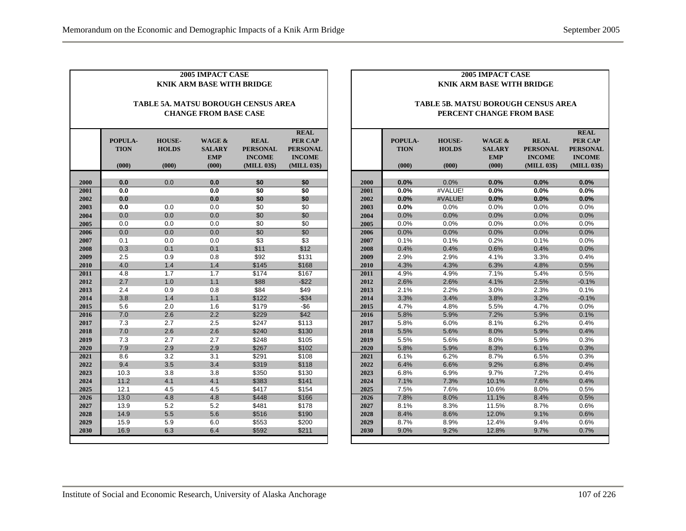|              |              |               | <b>2005 IMPACT CASE</b><br><b>KNIK ARM BASE WITH BRIDGE</b> |                                            |                                  |
|--------------|--------------|---------------|-------------------------------------------------------------|--------------------------------------------|----------------------------------|
|              |              |               |                                                             |                                            |                                  |
|              |              |               |                                                             | <b>TABLE 5A. MATSU BOROUGH CENSUS AREA</b> |                                  |
|              |              |               | <b>CHANGE FROM BASE CASE</b>                                |                                            |                                  |
|              | POPULA-      | <b>HOUSE-</b> | WAGE &                                                      | <b>REAL</b>                                | <b>REAL</b><br>PER CAP           |
|              | <b>TION</b>  | <b>HOLDS</b>  | <b>SALARY</b><br><b>EMP</b>                                 | <b>PERSONAL</b><br><b>INCOME</b>           | <b>PERSONAL</b><br><b>INCOME</b> |
|              | (000)        | (000)         | (000)                                                       | (MILL 03\$)                                | (MILL 03\$)                      |
| 2000         | 0.0          | 0.0           | 0.0                                                         | \$0                                        | \$0                              |
| 2001         | 0.0          |               | 0.0                                                         | \$0                                        | \$0                              |
| 2002         | 0.0          |               | 0.0                                                         | \$0                                        | \$0                              |
| 2003         | 0.0          | 0.0           | 0.0                                                         | \$0                                        | \$0                              |
| 2004         | 0.0          | 0.0           | 0.0                                                         | \$0                                        | \$0                              |
| 2005         | 0.0          | 0.0           | 0.0                                                         | \$0                                        | \$0                              |
| 2006         | 0.0          | 0.0           | 0.0                                                         | \$0                                        | \$0                              |
| 2007         | 0.1          | 0.0           | 0.0                                                         | \$3                                        | \$3                              |
| 2008         | 0.3          | 0.1           | 0.1                                                         | \$11                                       | \$12                             |
| 2009         | 2.5          | 0.9           | 0.8                                                         | \$92                                       | \$131                            |
| 2010         | 4.0          | 1.4           | 1.4                                                         | \$145                                      | \$168                            |
| 2011         | 4.8          | 1.7           | 1.7                                                         | \$174                                      | \$167                            |
| 2012         | 2.7          | 1.0           | 1.1                                                         | \$88                                       | $-$ \$22                         |
| 2013         | 2.4          | 0.9           | 0.8                                                         | \$84                                       | \$49                             |
| 2014         | 3.8          | 1.4           | 1.1                                                         | \$122                                      | $-$ \$34                         |
| 2015         | 5.6          | 2.0           | 1.6                                                         | \$179                                      | -\$6                             |
| 2016         | 7.0          | 2.6           | 2.2                                                         | \$229                                      | \$42                             |
| 2017         | 7.3          | 2.7           | 2.5                                                         | \$247                                      | \$113                            |
| 2018         | 7.0          | 2.6           | 2.6                                                         | \$240                                      | \$130                            |
| 2019         | 7.3          | 2.7           | 2.7                                                         | \$248                                      | \$105                            |
| 2020         | 7.9          | 2.9           | 2.9                                                         | \$267                                      | \$102                            |
| 2021         | 8.6          | 3.2           | 3.1                                                         | \$291                                      | \$108                            |
| 2022         | 9.4          | 3.5           | 3.4                                                         | \$319                                      | \$118                            |
| 2023         | 10.3         | 3.8           | 3.8                                                         | \$350                                      | \$130                            |
| 2024         | 11.2         | 4.1           | 4.1                                                         | \$383                                      | \$141                            |
| 2025         | 12.1         | 4.5           | 4.5                                                         | \$417                                      | \$154                            |
| 2026         | 13.0         | 4.8           | 4.8                                                         | \$448                                      | \$166                            |
| 2027         | 13.9         | 5.2           | 5.2                                                         | \$481                                      | \$178                            |
| 2028<br>2029 | 14.9         | 5.5<br>5.9    | 5.6                                                         | \$516                                      | \$190                            |
| 2030         | 15.9<br>16.9 | 6.3           | 6.0<br>6.4                                                  | \$553<br>\$592                             | \$200<br>\$211                   |
|              |              |               |                                                             |                                            |                                  |

#### **2005 IMPACT CASE KNIK ARM BASE WITH BRIDGE**

#### **TABLE 5B. MATSU BOROUGH CENSUS AREA PERCENT CHANGE FROM BASE**

|      | POPULA-<br><b>TION</b> | <b>HOUSE-</b><br><b>HOLDS</b> | <b>WAGE &amp;</b><br><b>SALARY</b><br><b>EMP</b> | <b>REAL</b><br><b>PERSONAL</b><br><b>INCOME</b> | <b>REAL</b><br><b>PER CAP</b><br><b>PERSONAL</b><br><b>INCOME</b> |
|------|------------------------|-------------------------------|--------------------------------------------------|-------------------------------------------------|-------------------------------------------------------------------|
|      | (000)                  | (000)                         | (000)                                            | (MILL 03\$)                                     | (MILL 03\$)                                                       |
|      |                        |                               |                                                  |                                                 |                                                                   |
| 2000 | 0.0%                   | 0.0%                          | 0.0%                                             | 0.0%                                            | 0.0%                                                              |
| 2001 | 0.0%                   | #VALUE!                       | 0.0%                                             | 0.0%                                            | 0.0%                                                              |
| 2002 | 0.0%                   | #VALUE!                       | 0.0%                                             | 0.0%                                            | 0.0%                                                              |
| 2003 | 0.0%                   | 0.0%                          | 0.0%                                             | 0.0%                                            | 0.0%                                                              |
| 2004 | 0.0%                   | 0.0%                          | 0.0%                                             | 0.0%                                            | 0.0%                                                              |
| 2005 | 0.0%                   | 0.0%                          | 0.0%                                             | 0.0%                                            | 0.0%                                                              |
| 2006 | 0.0%                   | 0.0%                          | 0.0%                                             | 0.0%                                            | 0.0%                                                              |
| 2007 | 0.1%                   | 0.1%                          | 0.2%                                             | 0.1%                                            | 0.0%                                                              |
| 2008 | 0.4%                   | 0.4%                          | 0.6%                                             | 0.4%                                            | 0.0%                                                              |
| 2009 | 2.9%                   | 2.9%                          | 4.1%                                             | 3.3%                                            | 0.4%                                                              |
| 2010 | 4.3%                   | 4.3%                          | 6.3%                                             | 4.8%                                            | 0.5%                                                              |
| 2011 | 4.9%                   | 4.9%                          | 7.1%                                             | 5.4%                                            | 0.5%                                                              |
| 2012 | 2.6%                   | 2.6%                          | 4.1%                                             | 2.5%                                            | $-0.1%$                                                           |
| 2013 | 2.1%                   | 2.2%                          | 3.0%                                             | 2.3%                                            | 0.1%                                                              |
| 2014 | 3.3%                   | 3.4%                          | 3.8%                                             | 3.2%                                            | $-0.1%$                                                           |
| 2015 | 4.7%                   | 4.8%                          | 5.5%                                             | 4.7%                                            | 0.0%                                                              |
| 2016 | 5.8%                   | 5.9%                          | 7.2%                                             | 5.9%                                            | 0.1%                                                              |
| 2017 | 5.8%                   | 6.0%                          | 8.1%                                             | 6.2%                                            | 0.4%                                                              |
| 2018 | 5.5%                   | 5.6%                          | 8.0%                                             | 5.9%                                            | 0.4%                                                              |
| 2019 | 5.5%                   | 5.6%                          | 8.0%                                             | 5.9%                                            | 0.3%                                                              |
| 2020 | 5.8%                   | 5.9%                          | 8.3%                                             | 6.1%                                            | 0.3%                                                              |
| 2021 | 6.1%                   | 6.2%                          | 8.7%                                             | 6.5%                                            | 0.3%                                                              |
| 2022 | 6.4%                   | 6.6%                          | 9.2%                                             | 6.8%                                            | 0.4%                                                              |
| 2023 | 6.8%                   | 6.9%                          | 9.7%                                             | 7.2%                                            | 0.4%                                                              |
| 2024 | 7.1%                   | 7.3%                          | 10.1%                                            | 7.6%                                            | 0.4%                                                              |
| 2025 | 7.5%                   | 7.6%                          | 10.6%                                            | 8.0%                                            | 0.5%                                                              |
| 2026 | 7.8%                   | 8.0%                          | 11.1%                                            | 8.4%                                            | 0.5%                                                              |
| 2027 | 8.1%                   | 8.3%                          | 11.5%                                            | 8.7%                                            | 0.6%                                                              |
| 2028 | 8.4%                   | 8.6%                          | 12.0%                                            | 9.1%                                            | 0.6%                                                              |
| 2029 | 8.7%                   | 8.9%                          | 12.4%                                            | 9.4%                                            | 0.6%                                                              |
| 2030 | 9.0%                   | 9.2%                          | 12.8%                                            | 9.7%                                            | 0.7%                                                              |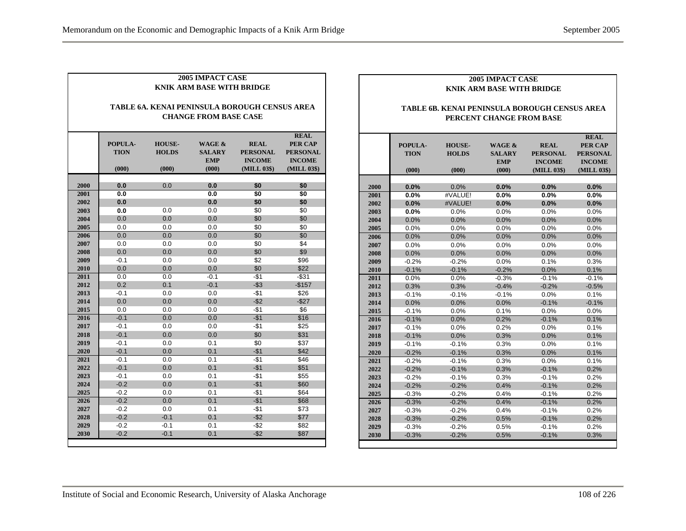|      |                                                                               |                                        | <b>2005 IMPACT CASE</b><br>KNIK ARM BASE WITH BRIDGE |                                                                |                                                                                  |  |  |  |  |  |
|------|-------------------------------------------------------------------------------|----------------------------------------|------------------------------------------------------|----------------------------------------------------------------|----------------------------------------------------------------------------------|--|--|--|--|--|
|      | TABLE 6A. KENAI PENINSULA BOROUGH CENSUS AREA<br><b>CHANGE FROM BASE CASE</b> |                                        |                                                      |                                                                |                                                                                  |  |  |  |  |  |
|      | POPULA-<br><b>TION</b><br>(000)                                               | <b>HOUSE-</b><br><b>HOLDS</b><br>(000) | WAGE &<br><b>SALARY</b><br><b>EMP</b><br>(000)       | <b>REAL</b><br><b>PERSONAL</b><br><b>INCOME</b><br>(MILL 03\$) | <b>REAL</b><br><b>PER CAP</b><br><b>PERSONAL</b><br><b>INCOME</b><br>(MILL 03\$) |  |  |  |  |  |
| 2000 | 0.0                                                                           | 0.0                                    | 0.0                                                  | \$0                                                            | \$0                                                                              |  |  |  |  |  |
| 2001 | 0.0                                                                           |                                        | 0.0                                                  | \$0                                                            | \$0                                                                              |  |  |  |  |  |
| 2002 | 0.0                                                                           |                                        | 0.0                                                  | \$0                                                            | \$0                                                                              |  |  |  |  |  |
| 2003 | 0.0                                                                           | 0.0                                    | 0.0                                                  | \$0                                                            | \$0                                                                              |  |  |  |  |  |
| 2004 | 0.0                                                                           | 0.0                                    | 0.0                                                  | \$0                                                            | \$0                                                                              |  |  |  |  |  |
| 2005 | 0.0                                                                           | 0.0                                    | 0.0                                                  | \$0                                                            | \$0                                                                              |  |  |  |  |  |
| 2006 | 0.0                                                                           | 0.0                                    | 0.0                                                  | \$0                                                            | \$0                                                                              |  |  |  |  |  |
| 2007 | 0.0                                                                           | 0.0                                    | 0.0                                                  | \$0                                                            | \$4                                                                              |  |  |  |  |  |
| 2008 | 0.0                                                                           | 0.0                                    | 0.0                                                  | \$0                                                            | \$9                                                                              |  |  |  |  |  |
| 2009 | $-0.1$                                                                        | 0.0                                    | 0.0                                                  | \$2                                                            | \$96                                                                             |  |  |  |  |  |
| 2010 | 0.0                                                                           | 0.0                                    | 0.0                                                  | \$0                                                            | \$22                                                                             |  |  |  |  |  |
| 2011 | 0.0                                                                           | 0.0                                    | $-0.1$                                               | $-$1$                                                          | $-$ \$31                                                                         |  |  |  |  |  |
| 2012 | 0.2                                                                           | 0.1                                    | $-0.1$                                               | $-$ \$3                                                        | $-$157$                                                                          |  |  |  |  |  |
| 2013 | $-0.1$                                                                        | 0.0                                    | 0.0                                                  | $-$1$                                                          | \$26                                                                             |  |  |  |  |  |
| 2014 | 0.0                                                                           | 0.0                                    | 0.0                                                  | $-$ \$2                                                        | $-$ \$27                                                                         |  |  |  |  |  |
| 2015 | 0.0                                                                           | 0.0                                    | 0.0                                                  | -\$1                                                           | \$6                                                                              |  |  |  |  |  |
| 2016 | $-0.1$                                                                        | 0.0                                    | 0.0                                                  | $-$1$                                                          | \$16                                                                             |  |  |  |  |  |
| 2017 | $-0.1$                                                                        | 0.0                                    | 0.0                                                  | $-$1$                                                          | \$25                                                                             |  |  |  |  |  |
| 2018 | $-0.1$                                                                        | 0.0                                    | 0.0                                                  | \$0                                                            | \$31                                                                             |  |  |  |  |  |
| 2019 | $-0.1$                                                                        | 0.0                                    | 0.1                                                  | \$0                                                            | \$37                                                                             |  |  |  |  |  |
| 2020 | $-0.1$                                                                        | 0.0                                    | 0.1                                                  | $-$1$                                                          | \$42                                                                             |  |  |  |  |  |
| 2021 | $-0.1$                                                                        | 0.0                                    | 0.1                                                  | $-$ \$1                                                        | \$46                                                                             |  |  |  |  |  |
| 2022 | $-0.1$                                                                        | 0.0                                    | 0.1                                                  | $-$1$                                                          | \$51                                                                             |  |  |  |  |  |
| 2023 | $-0.1$                                                                        | 0.0                                    | 0.1                                                  | $-$1$                                                          | \$55                                                                             |  |  |  |  |  |
| 2024 | $-0.2$                                                                        | 0.0                                    | 0.1                                                  | $-$1$                                                          | \$60                                                                             |  |  |  |  |  |
| 2025 | $-0.2$                                                                        | 0.0                                    | 0.1                                                  | $-$1$                                                          | \$64                                                                             |  |  |  |  |  |
| 2026 | $-0.2$                                                                        | 0.0                                    | 0.1                                                  | $-$1$                                                          | \$68                                                                             |  |  |  |  |  |
| 2027 | $-0.2$                                                                        | 0.0                                    | 0.1                                                  | $-$1$                                                          | \$73                                                                             |  |  |  |  |  |
| 2028 | $-0.2$                                                                        | $-0.1$                                 | 0.1                                                  | $-$ \$2                                                        | \$77                                                                             |  |  |  |  |  |
| 2029 | $-0.2$                                                                        | $-0.1$                                 | 0.1                                                  | $-$ \$2                                                        | \$82                                                                             |  |  |  |  |  |
| 2030 | $-0.2$                                                                        | $-0.1$                                 | 0.1                                                  | $-$ \$2                                                        | \$87                                                                             |  |  |  |  |  |

#### **2005 IMPACT CASE KNIK ARM BASE WITH BRIDGE**

#### **TABLE 6B. KENAI PENINSULA BOROUGH CENSUS AREA PERCENT CHANGE FROM BASE**

|      |             |               |                   |                 | <b>REAL</b>     |
|------|-------------|---------------|-------------------|-----------------|-----------------|
|      | POPULA-     | <b>HOUSE-</b> | <b>WAGE &amp;</b> | <b>REAL</b>     | <b>PER CAP</b>  |
|      | <b>TION</b> | <b>HOLDS</b>  | <b>SALARY</b>     | <b>PERSONAL</b> | <b>PERSONAL</b> |
|      |             |               | <b>EMP</b>        | <b>INCOME</b>   | <b>INCOME</b>   |
|      | (000)       | (000)         | (000)             | (MILL 03\$)     | (MILL 03\$)     |
|      |             |               |                   |                 |                 |
| 2000 | 0.0%        | 0.0%          | 0.0%              | 0.0%            | 0.0%            |
| 2001 | 0.0%        | #VALUE!       | 0.0%              | 0.0%            | 0.0%            |
| 2002 | 0.0%        | #VALUE!       | 0.0%              | 0.0%            | 0.0%            |
| 2003 | 0.0%        | 0.0%          | 0.0%              | 0.0%            | 0.0%            |
| 2004 | 0.0%        | 0.0%          | 0.0%              | 0.0%            | 0.0%            |
| 2005 | 0.0%        | 0.0%          | 0.0%              | 0.0%            | 0.0%            |
| 2006 | 0.0%        | 0.0%          | 0.0%              | 0.0%            | 0.0%            |
| 2007 | 0.0%        | 0.0%          | 0.0%              | 0.0%            | 0.0%            |
| 2008 | 0.0%        | 0.0%          | 0.0%              | 0.0%            | 0.0%            |
| 2009 | $-0.2%$     | $-0.2%$       | 0.0%              | 0.1%            | 0.3%            |
| 2010 | $-0.1%$     | $-0.1%$       | $-0.2%$           | 0.0%            | 0.1%            |
| 2011 | 0.0%        | 0.0%          | $-0.3%$           | $-0.1%$         | $-0.1%$         |
| 2012 | 0.3%        | 0.3%          | $-0.4%$           | $-0.2%$         | $-0.5%$         |
| 2013 | $-0.1%$     | $-0.1%$       | $-0.1%$           | 0.0%            | 0.1%            |
| 2014 | 0.0%        | 0.0%          | 0.0%              | $-0.1%$         | $-0.1%$         |
| 2015 | $-0.1%$     | 0.0%          | 0.1%              | 0.0%            | 0.0%            |
| 2016 | $-0.1%$     | 0.0%          | 0.2%              | $-0.1%$         | 0.1%            |
| 2017 | $-0.1%$     | 0.0%          | 0.2%              | 0.0%            | 0.1%            |
| 2018 | $-0.1%$     | 0.0%          | 0.3%              | 0.0%            | 0.1%            |
| 2019 | $-0.1%$     | $-0.1%$       | 0.3%              | 0.0%            | 0.1%            |
| 2020 | $-0.2%$     | $-0.1%$       | 0.3%              | 0.0%            | 0.1%            |
| 2021 | $-0.2%$     | $-0.1%$       | 0.3%              | 0.0%            | 0.1%            |
| 2022 | $-0.2%$     | $-0.1%$       | 0.3%              | $-0.1%$         | 0.2%            |
| 2023 | $-0.2%$     | $-0.1%$       | 0.3%              | $-0.1%$         | 0.2%            |
| 2024 | $-0.2%$     | $-0.2%$       | 0.4%              | $-0.1%$         | 0.2%            |
| 2025 | $-0.3%$     | $-0.2%$       | 0.4%              | $-0.1%$         | 0.2%            |
| 2026 | $-0.3%$     | $-0.2%$       | 0.4%              | $-0.1%$         | 0.2%            |
| 2027 | $-0.3%$     | $-0.2%$       | 0.4%              | $-0.1%$         | 0.2%            |
| 2028 | $-0.3%$     | $-0.2%$       | 0.5%              | $-0.1%$         | 0.2%            |
| 2029 | $-0.3%$     | $-0.2%$       | 0.5%              | $-0.1%$         | 0.2%            |
| 2030 | $-0.3%$     | $-0.2%$       | 0.5%              | $-0.1%$         | 0.3%            |
|      |             |               |                   |                 |                 |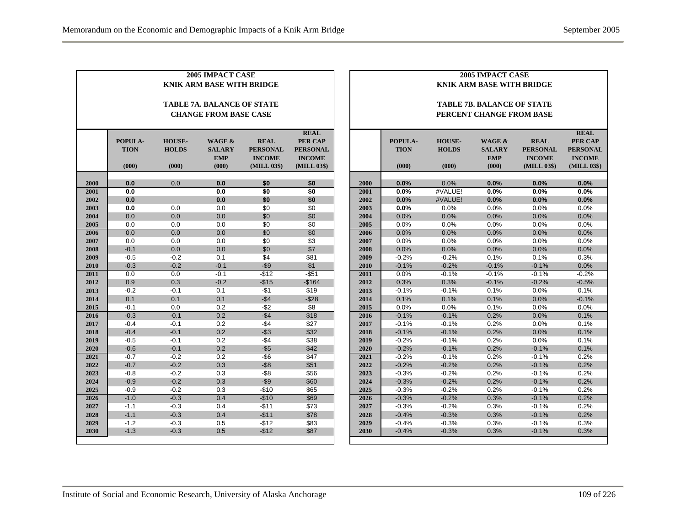| <b>2005 IMPACT CASE</b><br><b>2005 IMPACT CASE</b><br><b>KNIK ARM BASE WITH BRIDGE</b><br><b>KNIK ARM BASE WITH BRIDGE</b> |                                 |                                        |                                                |                                                                |                                                                           |  |      |                                 |                                        |                                                |                                                                |                                                                                  |
|----------------------------------------------------------------------------------------------------------------------------|---------------------------------|----------------------------------------|------------------------------------------------|----------------------------------------------------------------|---------------------------------------------------------------------------|--|------|---------------------------------|----------------------------------------|------------------------------------------------|----------------------------------------------------------------|----------------------------------------------------------------------------------|
| <b>TABLE 7A. BALANCE OF STATE</b><br><b>CHANGE FROM BASE CASE</b>                                                          |                                 |                                        |                                                |                                                                | <b>TABLE 7B. BALANCE OF STATE</b><br>PERCENT CHANGE FROM BASE             |  |      |                                 |                                        |                                                |                                                                |                                                                                  |
|                                                                                                                            | POPULA-<br><b>TION</b><br>(000) | <b>HOUSE-</b><br><b>HOLDS</b><br>(000) | WAGE &<br><b>SALARY</b><br><b>EMP</b><br>(000) | <b>REAL</b><br><b>PERSONAL</b><br><b>INCOME</b><br>(MILL 03\$) | <b>REAL</b><br>PER CAP<br><b>PERSONAL</b><br><b>INCOME</b><br>(MILL 03\$) |  |      | POPULA-<br><b>TION</b><br>(000) | <b>HOUSE-</b><br><b>HOLDS</b><br>(000) | WAGE &<br><b>SALARY</b><br><b>EMP</b><br>(000) | <b>REAL</b><br><b>PERSONAL</b><br><b>INCOME</b><br>(MILL 03\$) | <b>REAL</b><br><b>PER CAP</b><br><b>PERSONAL</b><br><b>INCOME</b><br>(MILL 03\$) |
| 2000                                                                                                                       | 0.0                             | 0.0                                    | 0.0                                            | \$0                                                            | \$0                                                                       |  | 2000 | 0.0%                            | 0.0%                                   | 0.0%                                           | 0.0%                                                           | 0.0%                                                                             |
| 2001                                                                                                                       | 0.0                             |                                        | 0.0                                            | \$0                                                            | $\overline{50}$                                                           |  | 2001 | 0.0%                            | #VALUE!                                | 0.0%                                           | 0.0%                                                           | 0.0%                                                                             |
| 2002                                                                                                                       | 0.0                             |                                        | 0.0                                            | \$0                                                            | \$0                                                                       |  | 2002 | 0.0%                            | #VALUE!                                | 0.0%                                           | 0.0%                                                           | 0.0%                                                                             |
| 2003                                                                                                                       | 0.0                             | 0.0                                    | 0.0                                            | \$0                                                            | \$0                                                                       |  | 2003 | $0.0\%$                         | 0.0%                                   | 0.0%                                           | 0.0%                                                           | 0.0%                                                                             |
| 2004                                                                                                                       | 0.0                             | 0.0                                    | 0.0                                            | \$0                                                            | \$0                                                                       |  | 2004 | 0.0%                            | 0.0%                                   | 0.0%                                           | 0.0%                                                           | 0.0%                                                                             |
| 2005                                                                                                                       | 0.0                             | 0.0                                    | 0.0                                            | \$0                                                            | \$0                                                                       |  | 2005 | 0.0%                            | 0.0%                                   | 0.0%                                           | 0.0%                                                           | 0.0%                                                                             |
| 2006                                                                                                                       | 0.0                             | 0.0                                    | 0.0                                            | \$0                                                            | \$0                                                                       |  | 2006 | 0.0%                            | 0.0%                                   | 0.0%                                           | 0.0%                                                           | 0.0%                                                                             |
| 2007                                                                                                                       | 0.0                             | 0.0                                    | 0.0                                            | \$0                                                            | \$3                                                                       |  | 2007 | 0.0%                            | 0.0%                                   | 0.0%                                           | 0.0%                                                           | 0.0%                                                                             |
| 2008                                                                                                                       | $-0.1$                          | 0.0                                    | 0.0                                            | \$0                                                            | \$7                                                                       |  | 2008 | 0.0%                            | 0.0%                                   | 0.0%                                           | 0.0%                                                           | 0.0%                                                                             |
| 2009                                                                                                                       | $-0.5$                          | $-0.2$                                 | 0.1                                            | \$4                                                            | \$81                                                                      |  | 2009 | $-0.2%$                         | $-0.2%$                                | 0.1%                                           | 0.1%                                                           | 0.3%                                                                             |
| 2010                                                                                                                       | $-0.3$                          | $-0.2$                                 | $-0.1$                                         | $- $9$                                                         | \$1                                                                       |  | 2010 | $-0.1%$                         | $-0.2%$                                | $-0.1%$                                        | $-0.1%$                                                        | 0.0%                                                                             |
| 2011                                                                                                                       | 0.0                             | 0.0                                    | $-0.1$                                         | $-$12$                                                         | $-$51$                                                                    |  | 2011 | 0.0%                            | $-0.1%$                                | $-0.1%$                                        | $-0.1%$                                                        | $-0.2%$                                                                          |
| 2012                                                                                                                       | 0.9                             | 0.3                                    | $-0.2$                                         | $-$15$                                                         | $-$164$                                                                   |  | 2012 | 0.3%                            | 0.3%                                   | $-0.1%$                                        | $-0.2%$                                                        | $-0.5%$                                                                          |
| 2013                                                                                                                       | $-0.2$                          | $-0.1$                                 | 0.1                                            | $-$1$                                                          | \$19                                                                      |  | 2013 | $-0.1%$                         | $-0.1%$                                | 0.1%                                           | 0.0%                                                           | 0.1%                                                                             |
| 2014                                                                                                                       | 0.1                             | 0.1                                    | 0.1                                            | $-$4$                                                          | $-$ \$28                                                                  |  | 2014 | 0.1%                            | 0.1%                                   | 0.1%                                           | 0.0%                                                           | $-0.1%$                                                                          |
| 2015                                                                                                                       | $-0.1$                          | 0.0                                    | 0.2                                            | -\$2                                                           | \$8                                                                       |  | 2015 | 0.0%                            | 0.0%                                   | 0.1%                                           | 0.0%                                                           | 0.0%                                                                             |
| 2016                                                                                                                       | $-0.3$                          | $-0.1$                                 | 0.2                                            | $-$4$                                                          | \$18                                                                      |  | 2016 | $-0.1%$                         | $-0.1%$                                | 0.2%                                           | 0.0%                                                           | 0.1%                                                                             |
| 2017                                                                                                                       | $-0.4$                          | $-0.1$                                 | 0.2                                            | $-$ \$4                                                        | \$27                                                                      |  | 2017 | $-0.1%$                         | $-0.1%$                                | 0.2%                                           | 0.0%                                                           | 0.1%                                                                             |
| 2018                                                                                                                       | $-0.4$                          | $-0.1$                                 | 0.2                                            | $-$ \$3                                                        | \$32                                                                      |  | 2018 | $-0.1%$                         | $-0.1%$                                | 0.2%                                           | 0.0%                                                           | 0.1%                                                                             |
| 2019                                                                                                                       | $-0.5$                          | $-0.1$                                 | 0.2                                            | $-$ \$4                                                        | \$38                                                                      |  | 2019 | $-0.2%$                         | $-0.1%$                                | 0.2%                                           | 0.0%                                                           | 0.1%                                                                             |
| 2020                                                                                                                       | $-0.6$                          | $-0.1$                                 | 0.2                                            | $-$ \$5                                                        | \$42                                                                      |  | 2020 | $-0.2%$                         | $-0.1%$                                | 0.2%                                           | $-0.1%$                                                        | 0.1%                                                                             |
| 2021                                                                                                                       | $-0.7$                          | $-0.2$                                 | 0.2                                            | $-$ \$6                                                        | \$47                                                                      |  | 2021 | $-0.2%$                         | $-0.1%$                                | 0.2%                                           | $-0.1%$                                                        | 0.2%                                                                             |
| 2022                                                                                                                       | $-0.7$                          | $-0.2$                                 | 0.3                                            | $-$ \$8                                                        | \$51                                                                      |  | 2022 | $-0.2%$                         | $-0.2%$                                | 0.2%                                           | $-0.1%$                                                        | 0.2%                                                                             |
| 2023                                                                                                                       | $-0.8$                          | $-0.2$                                 | 0.3                                            | $-$ \$8                                                        | \$56                                                                      |  | 2023 | $-0.3%$                         | $-0.2%$                                | 0.2%                                           | $-0.1%$                                                        | 0.2%                                                                             |
| 2024                                                                                                                       | $-0.9$                          | $-0.2$                                 | 0.3                                            | $-$ \$9                                                        | \$60                                                                      |  | 2024 | $-0.3%$                         | $-0.2%$                                | 0.2%                                           | $-0.1%$                                                        | 0.2%                                                                             |
| 2025                                                                                                                       | $-0.9$                          | $-0.2$                                 | 0.3                                            | $-$10$                                                         | \$65                                                                      |  | 2025 | $-0.3%$                         | $-0.2%$                                | 0.2%                                           | $-0.1%$                                                        | 0.2%                                                                             |
| 2026                                                                                                                       | $-1.0$                          | $-0.3$                                 | 0.4                                            | $-$10$                                                         | \$69                                                                      |  | 2026 | $-0.3%$                         | $-0.2%$                                | 0.3%                                           | $-0.1%$                                                        | 0.2%                                                                             |
| 2027                                                                                                                       | $-1.1$                          | $-0.3$                                 | 0.4                                            | $-$11$                                                         | \$73                                                                      |  | 2027 | $-0.3%$                         | $-0.2%$                                | 0.3%                                           | $-0.1%$                                                        | 0.2%                                                                             |
| 2028                                                                                                                       | $-1.1$                          | $-0.3$                                 | 0.4                                            | $-$11$                                                         | \$78                                                                      |  | 2028 | $-0.4%$                         | $-0.3%$                                | 0.3%                                           | $-0.1%$                                                        | 0.2%                                                                             |
| 2029                                                                                                                       | $-1.2$                          | $-0.3$                                 | 0.5                                            | $-$12$                                                         | \$83                                                                      |  | 2029 | $-0.4%$                         | $-0.3%$                                | 0.3%                                           | $-0.1%$                                                        | 0.3%                                                                             |
| 2030                                                                                                                       | $-1.3$                          | $-0.3$                                 | 0.5                                            | $-$12$                                                         | \$87                                                                      |  | 2030 | $-0.4%$                         | $-0.3%$                                | 0.3%                                           | $-0.1%$                                                        | 0.3%                                                                             |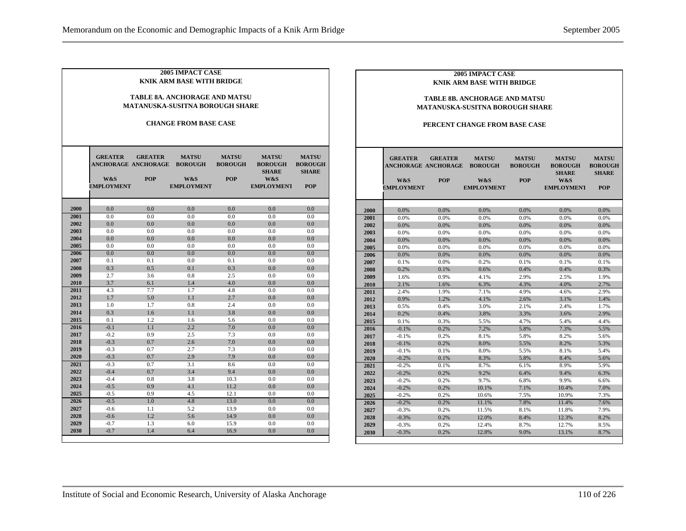| <b>2005 IMPACT CASE</b><br><b>KNIK ARM BASE WITH BRIDGE</b><br><b>TABLE 8A. ANCHORAGE AND MATSU</b><br>MATANUSKA-SUSITNA BOROUGH SHARE<br><b>CHANGE FROM BASE CASE</b> |                                                                          |                              |                                                            |                                              |                                                                            |                                                              |  |  |  |  |
|------------------------------------------------------------------------------------------------------------------------------------------------------------------------|--------------------------------------------------------------------------|------------------------------|------------------------------------------------------------|----------------------------------------------|----------------------------------------------------------------------------|--------------------------------------------------------------|--|--|--|--|
|                                                                                                                                                                        | <b>GREATER</b><br><b>ANCHORAGE ANCHORAGE</b><br>W&S<br><b>EMPLOYMENT</b> | <b>GREATER</b><br><b>POP</b> | <b>MATSU</b><br><b>BOROUGH</b><br>W&S<br><b>EMPLOYMENT</b> | <b>MATSU</b><br><b>BOROUGH</b><br><b>POP</b> | <b>MATSU</b><br><b>BOROUGH</b><br><b>SHARE</b><br>W&S<br><b>EMPLOYMENT</b> | <b>MATSU</b><br><b>BOROUGH</b><br><b>SHARE</b><br><b>POP</b> |  |  |  |  |
| 2000                                                                                                                                                                   | 0.0                                                                      | 0.0                          | 0.0                                                        | 0.0                                          | 0.0                                                                        | 0.0                                                          |  |  |  |  |
| 2001                                                                                                                                                                   | 0.0                                                                      | 0.0                          | 0.0                                                        | 0.0                                          | 0.0                                                                        | 0.0                                                          |  |  |  |  |
| 2002                                                                                                                                                                   | 0.0                                                                      | 0.0                          | 0.0                                                        | 0.0                                          | 0.0                                                                        | 0.0                                                          |  |  |  |  |
| 2003                                                                                                                                                                   | 0.0                                                                      | 0.0                          | 0.0                                                        | 0.0                                          | 0.0                                                                        | 0.0                                                          |  |  |  |  |
| 2004                                                                                                                                                                   | 0.0                                                                      | 0.0                          | 0.0                                                        | 0.0                                          | 0.0                                                                        | 0.0                                                          |  |  |  |  |
| 2005                                                                                                                                                                   | 0.0                                                                      | 0.0                          | 0.0                                                        | 0.0                                          | 0.0                                                                        | 0.0                                                          |  |  |  |  |
| 2006                                                                                                                                                                   | 0.0                                                                      | 0.0                          | 0.0                                                        | 0.0                                          | 0.0                                                                        | 0.0                                                          |  |  |  |  |
| 2007                                                                                                                                                                   | 0.1                                                                      | 0.1                          | 0.0                                                        | 0.1                                          | 0.0                                                                        | 0.0                                                          |  |  |  |  |
| 2008                                                                                                                                                                   | 0.3                                                                      | 0.5                          | 0.1                                                        | 0.3                                          | 0.0                                                                        | 0.0                                                          |  |  |  |  |
| 2009                                                                                                                                                                   | 2.7                                                                      | 3.6                          | 0.8                                                        | 2.5                                          | 0.0                                                                        | 0.0                                                          |  |  |  |  |
| 2010                                                                                                                                                                   | 3.7                                                                      | 6.1                          | 1.4                                                        | 4.0                                          | 0.0                                                                        | 0.0                                                          |  |  |  |  |
| 2011                                                                                                                                                                   | 4.3                                                                      | 7.7                          | 1.7                                                        | 4.8                                          | 0.0                                                                        | 0.0                                                          |  |  |  |  |
| 2012                                                                                                                                                                   | 1.7                                                                      | 5.0                          | 1.1                                                        | 2.7                                          | 0.0                                                                        | 0.0                                                          |  |  |  |  |
| 2013                                                                                                                                                                   | 1.0                                                                      | 1.7                          | 0.8                                                        | 2.4                                          | 0.0                                                                        | 0.0                                                          |  |  |  |  |
| 2014                                                                                                                                                                   | 0.3                                                                      | 1.6                          | 1.1                                                        | 3.8                                          | 0.0                                                                        | 0.0                                                          |  |  |  |  |
| 2015                                                                                                                                                                   | 0.1                                                                      | 1.2                          | 1.6                                                        | 5.6                                          | 0.0                                                                        | 0.0                                                          |  |  |  |  |
| 2016                                                                                                                                                                   | $-0.1$                                                                   | 1.1                          | 2.2                                                        | 7.0                                          | 0.0                                                                        | 0.0                                                          |  |  |  |  |
| 2017                                                                                                                                                                   | $-0.2$                                                                   | 0.9                          | 2.5                                                        | 7.3                                          | 0.0                                                                        | 0.0                                                          |  |  |  |  |
| 2018                                                                                                                                                                   | $-0.3$                                                                   | 0.7                          | 2.6                                                        | 7.0                                          | 0.0                                                                        | 0.0                                                          |  |  |  |  |
| 2019                                                                                                                                                                   | $-0.3$                                                                   | 0.7                          | 2.7                                                        | 7.3                                          | 0.0                                                                        | 0.0                                                          |  |  |  |  |
| 2020                                                                                                                                                                   | $-0.3$                                                                   | 0.7                          | 2.9                                                        | 7.9                                          | 0.0                                                                        | 0.0                                                          |  |  |  |  |
| 2021                                                                                                                                                                   | $-0.3$                                                                   | 0.7                          | 3.1                                                        | 8.6                                          | 0.0                                                                        | 0.0                                                          |  |  |  |  |
| 2022                                                                                                                                                                   | $-0.4$                                                                   | 0.7                          | 3.4                                                        | 9.4                                          | 0.0                                                                        | 0.0                                                          |  |  |  |  |
| 2023                                                                                                                                                                   | $-0.4$                                                                   | 0.8                          | 3.8                                                        | 10.3                                         | 0.0                                                                        | 0.0                                                          |  |  |  |  |
| 2024                                                                                                                                                                   | $-0.5$                                                                   | 0.9                          | 4.1                                                        | 11.2                                         | 0.0                                                                        | 0.0                                                          |  |  |  |  |
| 2025                                                                                                                                                                   | $-0.5$                                                                   | 0.9                          | 4.5                                                        | 12.1                                         | 0.0                                                                        | 0.0                                                          |  |  |  |  |
| 2026                                                                                                                                                                   | $-0.5$                                                                   | 1.0                          | 4.8                                                        | 13.0                                         | 0.0                                                                        | 0.0                                                          |  |  |  |  |
| 2027                                                                                                                                                                   | $-0.6$                                                                   | 1.1                          | 5.2                                                        | 13.9                                         | 0.0                                                                        | 0.0                                                          |  |  |  |  |
| 2028                                                                                                                                                                   | $-0.6$                                                                   | 1.2                          | 5.6                                                        | 14.9                                         | 0.0                                                                        | 0.0                                                          |  |  |  |  |
| 2029                                                                                                                                                                   | $-0.7$                                                                   | 1.3                          | 6.0                                                        | 15.9                                         | 0.0                                                                        | 0.0                                                          |  |  |  |  |
| 2030                                                                                                                                                                   | $-0.7$                                                                   | 1.4                          | 6.4                                                        | 16.9                                         | 0.0                                                                        | 0.0                                                          |  |  |  |  |

#### **2005 IMPACT CASE KNIK ARM BASE WITH BRIDGE**

#### **TABLE 8B. ANCHORAGE AND MATSU MATANUSKA-SUSITNA BOROUGH SHARE**

#### **PERCENT CHANGE FROM BASE CASE**

|              | <b>GREATER</b><br>ANCHORAGE ANCHORAGE<br>W&S<br><b>EMPLOYMENT</b> | <b>GREATER</b><br><b>POP</b> | <b>MATSU</b><br><b>BOROUGH</b><br>W&S<br><b>EMPLOYMENT</b> | <b>MATSU</b><br><b>BOROUGH</b><br><b>POP</b> | <b>MATSU</b><br><b>BOROUGH</b><br><b>SHARE</b><br>W&S<br><b>EMPLOYMENT</b> | <b>MATSU</b><br><b>BOROUGH</b><br><b>SHARE</b><br><b>POP</b> |
|--------------|-------------------------------------------------------------------|------------------------------|------------------------------------------------------------|----------------------------------------------|----------------------------------------------------------------------------|--------------------------------------------------------------|
|              | 0.0%                                                              | 0.0%                         | 0.0%                                                       | 0.0%                                         | 0.0%                                                                       | 0.0%                                                         |
| 2000<br>2001 | 0.0%                                                              | 0.0%                         | 0.0%                                                       | 0.0%                                         | 0.0%                                                                       | 0.0%                                                         |
| 2002         | 0.0%                                                              | 0.0%                         | 0.0%                                                       | 0.0%                                         | 0.0%                                                                       | 0.0%                                                         |
| 2003         | 0.0%                                                              | 0.0%                         | 0.0%                                                       | 0.0%                                         | 0.0%                                                                       | 0.0%                                                         |
| 2004         | 0.0%                                                              | 0.0%                         | 0.0%                                                       | 0.0%                                         | 0.0%                                                                       | 0.0%                                                         |
| 2005         | 0.0%                                                              | 0.0%                         | 0.0%                                                       | 0.0%                                         | 0.0%                                                                       | 0.0%                                                         |
| 2006         | 0.0%                                                              | 0.0%                         | 0.0%                                                       | 0.0%                                         | 0.0%                                                                       | 0.0%                                                         |
| 2007         | 0.1%                                                              | 0.0%                         | 0.2%                                                       | 0.1%                                         | 0.1%                                                                       | 0.1%                                                         |
| 2008         | 0.2%                                                              | 0.1%                         | 0.6%                                                       | 0.4%                                         | 0.4%                                                                       | 0.3%                                                         |
| 2009         | 1.6%                                                              | 0.9%                         | 4.1%                                                       | 2.9%                                         | 2.5%                                                                       | 1.9%                                                         |
| 2010         | 2.1%                                                              | 1.6%                         | 6.3%                                                       | 4.3%                                         | 4.0%                                                                       | 2.7%                                                         |
| 2011         | 2.4%                                                              | 1.9%                         | 7.1%                                                       | 4.9%                                         | 4.6%                                                                       | 2.9%                                                         |
| 2012         | 0.9%                                                              | 1.2%                         | 4.1%                                                       | 2.6%                                         | 3.1%                                                                       | 1.4%                                                         |
| 2013         | 0.5%                                                              | 0.4%                         | 3.0%                                                       | 2.1%                                         | 2.4%                                                                       | 1.7%                                                         |
| 2014         | 0.2%                                                              | 0.4%                         | 3.8%                                                       | 3.3%                                         | 3.6%                                                                       | 2.9%                                                         |
| 2015         | 0.1%                                                              | 0.3%                         | 5.5%                                                       | 4.7%                                         | 5.4%                                                                       | 4.4%                                                         |
| 2016         | $-0.1%$                                                           | 0.2%                         | 7.2%                                                       | 5.8%                                         | 7.3%                                                                       | 5.5%                                                         |
| 2017         | $-0.1%$                                                           | 0.2%                         | 8.1%                                                       | 5.8%                                         | 8.2%                                                                       | 5.6%                                                         |
| 2018         | $-0.1%$                                                           | 0.2%                         | 8.0%                                                       | 5.5%                                         | 8.2%                                                                       | 5.3%                                                         |
| 2019         | $-0.1%$                                                           | 0.1%                         | 8.0%                                                       | 5.5%                                         | 8.1%                                                                       | 5.4%                                                         |
| 2020         | $-0.2%$                                                           | 0.1%                         | 8.3%                                                       | 5.8%                                         | 8.4%                                                                       | 5.6%                                                         |
| 2021         | $-0.2%$                                                           | 0.1%                         | 8.7%                                                       | 6.1%                                         | 8.9%                                                                       | 5.9%                                                         |
| 2022         | $-0.2%$                                                           | 0.2%                         | 9.2%                                                       | 6.4%                                         | 9.4%                                                                       | 6.3%                                                         |
| 2023         | $-0.2%$                                                           | 0.2%                         | 9.7%                                                       | 6.8%                                         | 9.9%                                                                       | 6.6%                                                         |
| 2024         | $-0.2%$                                                           | 0.2%                         | 10.1%                                                      | 7.1%                                         | 10.4%                                                                      | 7.0%                                                         |
| 2025         | $-0.2%$                                                           | 0.2%                         | 10.6%                                                      | 7.5%                                         | 10.9%                                                                      | 7.3%                                                         |
| 2026         | $-0.2%$                                                           | 0.2%                         | 11.1%                                                      | 7.8%                                         | 11.4%                                                                      | 7.6%                                                         |
| 2027         | $-0.3%$                                                           | 0.2%                         | 11.5%                                                      | 8.1%                                         | 11.8%                                                                      | 7.9%                                                         |
| 2028         | $-0.3%$                                                           | 0.2%                         | 12.0%                                                      | 8.4%                                         | 12.3%                                                                      | 8.2%                                                         |
| 2029         | $-0.3%$                                                           | 0.2%                         | 12.4%                                                      | 8.7%                                         | 12.7%                                                                      | 8.5%                                                         |
| 2030         | $-0.3%$                                                           | 0.2%                         | 12.8%                                                      | 9.0%                                         | 13.1%                                                                      | 8.7%                                                         |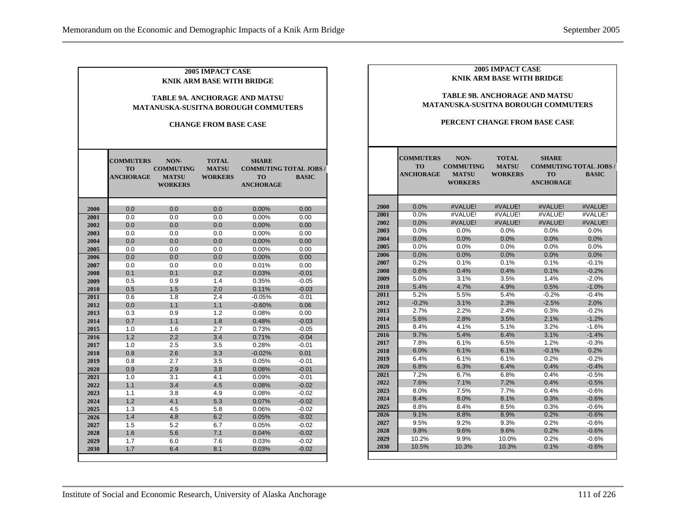|      | <b>COMMUTERS</b><br><b>TO</b> | NON-<br><b>COMMUTING</b>       | <b>2005 IMPACT CASE</b><br><b>KNIK ARM BASE WITH BRIDGE</b><br><b>CHANGE FROM BASE CASE</b><br><b>TOTAL</b><br><b>MATSU</b> | <b>TABLE 9A. ANCHORAGE AND MATSU</b><br><b>MATANUSKA-SUSITNA BOROUGH COMMUTERS</b><br><b>SHARE</b><br><b>COMMUTING TOTAL JOBS</b> |              |              | <b>COMMUTERS</b><br><b>TO</b> | <b>TABLE 9B. ANCHORAGE AND MATSU</b><br><b>MATANUSKA-SUSITNA BOROUGH COMMUTERS</b><br>PERCENT CHANGE FROM BASE CASE<br>NON-<br><b>COMMUTING</b> | <b>2005 IMPACT CASE</b><br><b>KNIK ARM BASE WITH BRIDGE</b><br><b>TOTAL</b><br><b>MATSU</b> | <b>SHARE</b>                  | <b>COMMUTING TOTAL JOBS /</b> |
|------|-------------------------------|--------------------------------|-----------------------------------------------------------------------------------------------------------------------------|-----------------------------------------------------------------------------------------------------------------------------------|--------------|--------------|-------------------------------|-------------------------------------------------------------------------------------------------------------------------------------------------|---------------------------------------------------------------------------------------------|-------------------------------|-------------------------------|
|      | <b>ANCHORAGE</b>              | <b>MATSU</b><br><b>WORKERS</b> | <b>WORKERS</b>                                                                                                              | <b>TO</b><br><b>ANCHORAGE</b>                                                                                                     | <b>BASIC</b> |              | <b>ANCHORAGE</b>              | <b>MATSU</b><br><b>WORKERS</b>                                                                                                                  | <b>WORKERS</b>                                                                              | <b>TO</b><br><b>ANCHORAGE</b> | <b>BASIC</b>                  |
|      |                               |                                |                                                                                                                             |                                                                                                                                   |              |              |                               |                                                                                                                                                 |                                                                                             |                               |                               |
| 2000 | 0.0                           | 0.0                            | 0.0                                                                                                                         | 0.00%                                                                                                                             | 0.00         | 2000         | 0.0%                          | #VALUE!                                                                                                                                         | #VALUE!                                                                                     | #VALUE!                       | #VALUE!                       |
| 2001 | 0.0                           | 0.0                            | 0.0                                                                                                                         | 0.00%                                                                                                                             | 0.00         | 2001         | 0.0%                          | #VALUE!                                                                                                                                         | #VALUE!                                                                                     | #VALUE!                       | #VALUE!                       |
| 2002 | 0.0                           | 0.0                            | 0.0                                                                                                                         | 0.00%                                                                                                                             | 0.00         | 2002         | 0.0%                          | #VALUE!                                                                                                                                         | #VALUE!                                                                                     | #VALUE!                       | #VALUE!                       |
| 2003 | 0.0                           | 0.0                            | 0.0                                                                                                                         | 0.00%                                                                                                                             | 0.00         | 2003         | 0.0%                          | 0.0%                                                                                                                                            | 0.0%                                                                                        | 0.0%                          | 0.0%                          |
| 2004 | 0.0                           | 0.0                            | 0.0                                                                                                                         | 0.00%                                                                                                                             | 0.00         | 2004         | 0.0%                          | 0.0%                                                                                                                                            | 0.0%                                                                                        | 0.0%                          | 0.0%                          |
| 2005 | 0.0                           | 0.0                            | 0.0                                                                                                                         | 0.00%                                                                                                                             | 0.00         | 2005         | 0.0%                          | 0.0%                                                                                                                                            | 0.0%                                                                                        | 0.0%                          | 0.0%                          |
| 2006 | 0.0                           | 0.0                            | 0.0                                                                                                                         | 0.00%                                                                                                                             | 0.00         | 2006         | 0.0%                          | 0.0%                                                                                                                                            | 0.0%                                                                                        | 0.0%                          | 0.0%                          |
| 2007 | 0.0                           | 0.0                            | 0.0                                                                                                                         | 0.01%                                                                                                                             | 0.00         | 2007         | 0.2%                          | 0.1%                                                                                                                                            | 0.1%                                                                                        | 0.1%                          | $-0.1%$                       |
| 2008 | 0.1                           | 0.1                            | 0.2                                                                                                                         | 0.03%                                                                                                                             | $-0.01$      | 2008         | 0.6%                          | 0.4%                                                                                                                                            | 0.4%                                                                                        | 0.1%                          | $-0.2%$                       |
| 2009 | 0.5                           | 0.9                            | 1.4                                                                                                                         | 0.35%                                                                                                                             | $-0.05$      | 2009         | 5.0%                          | 3.1%                                                                                                                                            | 3.5%                                                                                        | 1.4%                          | $-2.0%$                       |
| 2010 | 0.5                           | 1.5                            | 2.0                                                                                                                         | 0.11%                                                                                                                             | $-0.03$      | 2010         | 5.4%                          | 4.7%                                                                                                                                            | 4.9%                                                                                        | 0.5%                          | $-1.0%$                       |
| 2011 | 0.6                           | 1.8                            | 2.4                                                                                                                         | $-0.05%$                                                                                                                          | $-0.01$      | 2011         | 5.2%                          | 5.5%                                                                                                                                            | 5.4%                                                                                        | $-0.2%$                       | $-0.4%$                       |
| 2012 | 0.0                           | 1.1                            | 1.1                                                                                                                         | $-0.60%$                                                                                                                          | 0.06         | 2012         | $-0.2%$                       | 3.1%                                                                                                                                            | 2.3%                                                                                        | $-2.5%$                       | 2.0%                          |
| 2013 | 0.3                           | 0.9                            | 1.2                                                                                                                         | 0.08%                                                                                                                             | 0.00         | 2013         | 2.7%                          | 2.2%                                                                                                                                            | 2.4%                                                                                        | 0.3%                          | $-0.2%$                       |
| 2014 | 0.7                           | 1.1                            | 1.8                                                                                                                         | 0.48%                                                                                                                             | $-0.03$      | 2014         | 5.6%                          | 2.8%                                                                                                                                            | 3.5%                                                                                        | 2.1%                          | $-1.2%$                       |
| 2015 | 1.0                           | 1.6                            | 2.7                                                                                                                         | 0.73%                                                                                                                             | $-0.05$      | 2015         | 8.4%                          | 4.1%                                                                                                                                            | 5.1%                                                                                        | 3.2%                          | $-1.6%$                       |
| 2016 | 1.2                           | 2.2                            | 3.4                                                                                                                         | 0.71%                                                                                                                             | $-0.04$      | 2016         | 9.7%                          | 5.4%                                                                                                                                            | 6.4%                                                                                        | 3.1%                          | $-1.4%$                       |
| 2017 | 1.0                           | 2.5                            | 3.5                                                                                                                         | 0.28%                                                                                                                             | $-0.01$      | 2017         | 7.8%                          | 6.1%                                                                                                                                            | 6.5%                                                                                        | 1.2%                          | $-0.3%$                       |
| 2018 | 0.8                           | 2.6                            | 3.3                                                                                                                         | $-0.02%$                                                                                                                          | 0.01         | 2018         | 6.0%                          | 6.1%                                                                                                                                            | 6.1%                                                                                        | $-0.1%$                       | 0.2%                          |
| 2019 | 0.8                           | 2.7                            | 3.5                                                                                                                         | 0.05%                                                                                                                             | $-0.01$      | 2019         | 6.4%                          | 6.1%                                                                                                                                            | 6.1%                                                                                        | 0.2%                          | $-0.2%$                       |
| 2020 | 0.9                           | 2.9                            | 3.8                                                                                                                         | 0.08%                                                                                                                             | $-0.01$      | 2020         | 6.8%                          | 6.3%                                                                                                                                            | 6.4%                                                                                        | 0.4%<br>0.4%                  | $-0.4%$                       |
| 2021 | 1.0                           | 3.1                            | 4.1                                                                                                                         | 0.09%                                                                                                                             | $-0.01$      | 2021<br>2022 | 7.2%<br>7.6%                  | 6.7%<br>7.1%                                                                                                                                    | 6.8%<br>7.2%                                                                                |                               | $-0.5%$                       |
| 2022 | 1.1                           | 3.4                            | 4.5                                                                                                                         | 0.08%                                                                                                                             | $-0.02$      |              | 8.0%                          |                                                                                                                                                 | 7.7%                                                                                        | 0.4%<br>0.4%                  | $-0.5%$<br>$-0.6%$            |
| 2023 | 1.1                           | 3.8                            | 4.9                                                                                                                         | 0.08%                                                                                                                             | $-0.02$      | 2023         |                               | 7.5%                                                                                                                                            |                                                                                             |                               |                               |
| 2024 | 1.2                           | 4.1                            | 5.3                                                                                                                         | 0.07%                                                                                                                             | $-0.02$      | 2024         | 8.4%                          | 8.0%                                                                                                                                            | 8.1%                                                                                        | 0.3%                          | $-0.6%$                       |
| 2025 | 1.3                           | 4.5                            | 5.8                                                                                                                         | 0.06%                                                                                                                             | $-0.02$      | 2025         | 8.8%                          | 8.4%                                                                                                                                            | 8.5%                                                                                        | 0.3%                          | $-0.6%$                       |
| 2026 | 1.4                           | 4.8                            | 6.2                                                                                                                         | 0.05%                                                                                                                             | $-0.02$      | 2026         | 9.1%                          | 8.8%                                                                                                                                            | 8.9%                                                                                        | 0.2%                          | $-0.6%$                       |
| 2027 | 1.5                           | 5.2                            | 6.7                                                                                                                         | 0.05%                                                                                                                             | $-0.02$      | 2027         | 9.5%                          | 9.2%                                                                                                                                            | 9.3%                                                                                        | 0.2%                          | $-0.6%$                       |
| 2028 | 1.6                           | 5.6                            | 7.1                                                                                                                         | 0.04%                                                                                                                             | $-0.02$      | 2028         | 9.8%                          | 9.6%                                                                                                                                            | 9.6%                                                                                        | 0.2%                          | $-0.6%$                       |
| 2029 | 1.7                           | 6.0                            | 7.6                                                                                                                         | 0.03%                                                                                                                             | $-0.02$      | 2029         | 10.2%                         | 9.9%                                                                                                                                            | 10.0%                                                                                       | 0.2%                          | $-0.6%$                       |
| 2030 | 1.7                           | 6.4                            | 8.1                                                                                                                         | 0.03%                                                                                                                             | $-0.02$      | 2030         | 10.5%                         | 10.3%                                                                                                                                           | 10.3%                                                                                       | 0.1%                          | $-0.6%$                       |
|      |                               |                                |                                                                                                                             |                                                                                                                                   |              |              |                               |                                                                                                                                                 |                                                                                             |                               |                               |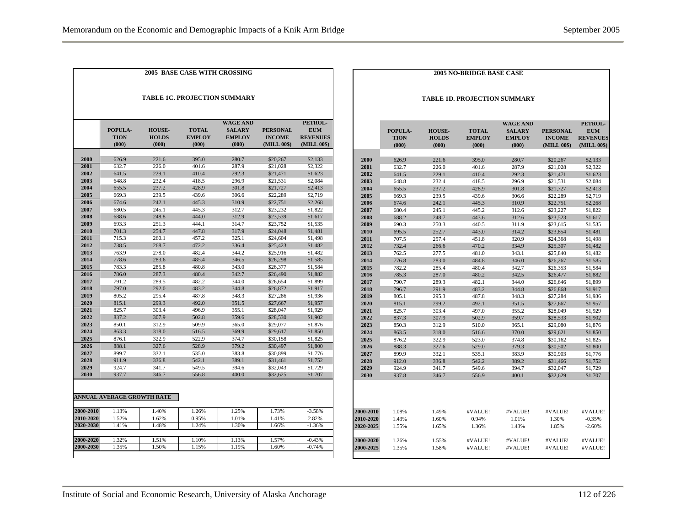| 626.9 |                                                                                                                   |                                                                                                                   | (000)                                                                                                             | (MILL 00\$)                                                                                                                | (MILL 00\$)                                                                                                                                              |
|-------|-------------------------------------------------------------------------------------------------------------------|-------------------------------------------------------------------------------------------------------------------|-------------------------------------------------------------------------------------------------------------------|----------------------------------------------------------------------------------------------------------------------------|----------------------------------------------------------------------------------------------------------------------------------------------------------|
|       | 221.6                                                                                                             | 395.0                                                                                                             | 280.7                                                                                                             | \$20,267                                                                                                                   | \$2,133                                                                                                                                                  |
| 632.7 | 226.0                                                                                                             | 401.6                                                                                                             | 287.9                                                                                                             | \$21,028                                                                                                                   | \$2,322                                                                                                                                                  |
| 641.5 | 229.1                                                                                                             | 410.4                                                                                                             | 292.3                                                                                                             | \$21,471                                                                                                                   | \$1,623                                                                                                                                                  |
| 648.8 | 232.4                                                                                                             | 418.5                                                                                                             | 296.9                                                                                                             | \$21.531                                                                                                                   | \$2,084                                                                                                                                                  |
| 655.5 | 237.2                                                                                                             | 428.9                                                                                                             | 301.8                                                                                                             | \$21,727                                                                                                                   | \$2,413                                                                                                                                                  |
| 669.3 | 239.5                                                                                                             | 439.6                                                                                                             | 306.6                                                                                                             | \$22,289                                                                                                                   | \$2,719                                                                                                                                                  |
| 674.6 | 242.1                                                                                                             | 445.3                                                                                                             | 310.9                                                                                                             | \$22,751                                                                                                                   | \$2,268                                                                                                                                                  |
| 680.5 | 245.1                                                                                                             | 445.3                                                                                                             | 312.7                                                                                                             | \$23,232                                                                                                                   | \$1,822                                                                                                                                                  |
| 688.6 | 248.8                                                                                                             | 444.0                                                                                                             | 312.9                                                                                                             | \$23,539                                                                                                                   | \$1,617                                                                                                                                                  |
| 693.3 | 251.3                                                                                                             | 444.1                                                                                                             | 314.7                                                                                                             | \$23,752                                                                                                                   | \$1,535                                                                                                                                                  |
| 701.3 | 254.7                                                                                                             | 447.8                                                                                                             | 317.9                                                                                                             | \$24,048                                                                                                                   | \$1,481                                                                                                                                                  |
| 715.3 | 260.1                                                                                                             | 457.2                                                                                                             | 325.1                                                                                                             | \$24,604                                                                                                                   | \$1,498                                                                                                                                                  |
| 738.5 | 268.7                                                                                                             | 472.2                                                                                                             | 336.4                                                                                                             | \$25,423                                                                                                                   | \$1,482                                                                                                                                                  |
| 763.9 | 278.0                                                                                                             | 482.4                                                                                                             | 344.2                                                                                                             | \$25,916                                                                                                                   | \$1,482                                                                                                                                                  |
| 778.6 | 283.6                                                                                                             | 485.4                                                                                                             | 346.5                                                                                                             | \$26,298                                                                                                                   | \$1,585                                                                                                                                                  |
| 783.3 | 285.8                                                                                                             | 480.8                                                                                                             |                                                                                                                   | \$26,377                                                                                                                   | \$1,584                                                                                                                                                  |
| 786.0 | 287.3                                                                                                             | 480.4                                                                                                             | 342.7                                                                                                             | \$26,490                                                                                                                   | \$1,882                                                                                                                                                  |
| 791.2 | 289.5                                                                                                             | 482.2                                                                                                             | 344.0                                                                                                             | \$26,654                                                                                                                   | \$1,899                                                                                                                                                  |
|       |                                                                                                                   |                                                                                                                   |                                                                                                                   |                                                                                                                            | \$1,917                                                                                                                                                  |
|       |                                                                                                                   |                                                                                                                   |                                                                                                                   |                                                                                                                            | \$1,936                                                                                                                                                  |
|       |                                                                                                                   |                                                                                                                   |                                                                                                                   |                                                                                                                            | \$1,957                                                                                                                                                  |
|       |                                                                                                                   |                                                                                                                   |                                                                                                                   |                                                                                                                            | \$1,929                                                                                                                                                  |
|       |                                                                                                                   |                                                                                                                   |                                                                                                                   |                                                                                                                            | \$1,902                                                                                                                                                  |
|       |                                                                                                                   |                                                                                                                   |                                                                                                                   |                                                                                                                            | \$1,876                                                                                                                                                  |
|       |                                                                                                                   |                                                                                                                   |                                                                                                                   |                                                                                                                            | \$1,850                                                                                                                                                  |
|       |                                                                                                                   |                                                                                                                   |                                                                                                                   |                                                                                                                            | \$1,825                                                                                                                                                  |
|       |                                                                                                                   |                                                                                                                   |                                                                                                                   |                                                                                                                            | \$1,800                                                                                                                                                  |
|       |                                                                                                                   |                                                                                                                   |                                                                                                                   |                                                                                                                            | \$1,776                                                                                                                                                  |
|       |                                                                                                                   |                                                                                                                   |                                                                                                                   |                                                                                                                            | \$1,752<br>\$1,729                                                                                                                                       |
|       |                                                                                                                   |                                                                                                                   |                                                                                                                   |                                                                                                                            | \$1,707                                                                                                                                                  |
|       |                                                                                                                   |                                                                                                                   |                                                                                                                   |                                                                                                                            |                                                                                                                                                          |
|       | 797.0<br>805.2<br>815.1<br>825.7<br>837.2<br>850.1<br>863.3<br>876.1<br>888.1<br>899.7<br>911.9<br>924.7<br>937.7 | 292.0<br>295.4<br>299.3<br>303.4<br>307.9<br>312.9<br>318.0<br>322.9<br>327.6<br>332.1<br>336.8<br>341.7<br>346.7 | 483.2<br>487.8<br>492.0<br>496.9<br>502.8<br>509.9<br>516.5<br>522.9<br>528.9<br>535.0<br>542.1<br>549.5<br>556.8 | 343.0<br>344.8<br>348.3<br>351.5<br>355.1<br>359.6<br>365.0<br>369.9<br>374.7<br>379.2<br>383.8<br>389.1<br>394.6<br>400.0 | \$26,872<br>\$27,286<br>\$27,667<br>\$28,047<br>\$28,530<br>\$29,077<br>\$29,617<br>\$30,158<br>\$30,497<br>\$30,899<br>\$31,461<br>\$32,043<br>\$32,625 |

#### **2005 NO-BRIDGE BASE CASE**

#### **TABLE 1D. PROJECTION SUMMARY**

|                  | POPULA-<br><b>TION</b><br>(000) | <b>HOUSE-</b><br><b>HOLDS</b><br>(000) | <b>TOTAL</b><br><b>EMPLOY</b><br>(000) | <b>WAGE AND</b><br><b>SALARY</b><br><b>EMPLOY</b><br>(000) | <b>PERSONAL</b><br><b>INCOME</b><br>(MILL 00\$) | PETROL-<br><b>EUM</b><br><b>REVENUES</b><br>(MILL 00\$) |
|------------------|---------------------------------|----------------------------------------|----------------------------------------|------------------------------------------------------------|-------------------------------------------------|---------------------------------------------------------|
|                  |                                 |                                        |                                        |                                                            |                                                 |                                                         |
| 2000             | 626.9                           | 221.6                                  | 395.0                                  | 280.7                                                      | \$20,267                                        | \$2,133                                                 |
| 2001             | 632.7                           | 226.0                                  | 401.6                                  | 287.9                                                      | \$21,028                                        | \$2,322                                                 |
| 2002             | 641.5                           | 229.1                                  | 410.4                                  | 292.3                                                      | \$21,471                                        | \$1,623                                                 |
| 2003             | 648.8                           | 232.4                                  | 418.5                                  | 296.9                                                      | \$21,531                                        | \$2,084                                                 |
| 2004             | 655.5                           | 237.2                                  | 428.9                                  | 301.8                                                      | \$21,727                                        | \$2,413                                                 |
| 2005             | 669.3                           | 239.5                                  | 439.6                                  | 306.6                                                      | \$22,289                                        | \$2,719                                                 |
| 2006             | 674.6                           | 242.1                                  | 445.3                                  | 310.9                                                      | \$22,751                                        | \$2,268                                                 |
| 2007             | 680.4                           | 245.1                                  | 445.2                                  | 312.6                                                      | \$23,227                                        | \$1,822                                                 |
| 2008             | 688.2                           | 248.7                                  | 443.6                                  | 312.6                                                      | \$23,523                                        | \$1,617                                                 |
| 2009             | 690.3                           | 250.3                                  | 440.5                                  | 311.9                                                      | \$23,615                                        | \$1,535                                                 |
| 2010             | 695.5                           | 252.7                                  | 443.0                                  | 314.2                                                      | \$23,854                                        | \$1,481                                                 |
| 2011             | 707.5                           | 257.4                                  | 451.8                                  | 320.9                                                      | \$24,368                                        | \$1,498                                                 |
| 2012             | 732.4                           | 266.6                                  | 470.2                                  | 334.9                                                      | \$25,307                                        | \$1,482                                                 |
| 2013             | 762.5                           | 277.5                                  | 481.0                                  | 343.1                                                      | \$25,840                                        | \$1,482                                                 |
| 2014             | 776.8                           | 283.0                                  | 484.8                                  | 346.0                                                      | \$26,267                                        | \$1,585                                                 |
| 2015             | 782.2                           | 285.4                                  | 480.4                                  | 342.7                                                      | \$26,353                                        | \$1,584                                                 |
| 2016             | 785.3                           | 287.0                                  | 480.2                                  | 342.5                                                      | \$26,477                                        | \$1,882                                                 |
| 2017             | 790.7                           | 289.3                                  | 482.1                                  | 344.0                                                      | \$26,646                                        | \$1,899                                                 |
| 2018             | 796.7                           | 291.9                                  | 483.2                                  | 344.8                                                      | \$26,868                                        | \$1,917                                                 |
| 2019             | 805.1                           | 295.3                                  | 487.8                                  | 348.3                                                      | \$27,284                                        | \$1,936                                                 |
| 2020             | 815.1                           | 299.2                                  | 492.1                                  | 351.5                                                      | \$27,667                                        | \$1,957                                                 |
| 2021             | 825.7                           | 303.4                                  | 497.0                                  | 355.2                                                      | \$28,049                                        | \$1,929                                                 |
| 2022             | 837.3                           | 307.9                                  | 502.9                                  | 359.7                                                      | \$28,533                                        | \$1,902                                                 |
| 2023             | 850.3                           | 312.9                                  | 510.0                                  | 365.1                                                      | \$29,080                                        | \$1,876                                                 |
| 2024             | 863.5                           | 318.0                                  | 516.6                                  | 370.0                                                      | \$29,621                                        | \$1,850                                                 |
| 2025             | 876.2                           | 322.9                                  | 523.0                                  | 374.8                                                      | \$30,162                                        | \$1,825                                                 |
| 2026             | 888.3                           | 327.6                                  | 529.0                                  | 379.3                                                      | \$30,502                                        | \$1,800                                                 |
| 2027             | 899.9                           | 332.1                                  | 535.1                                  | 383.9                                                      | \$30,903                                        | \$1,776                                                 |
| 2028             | 912.0                           | 336.8                                  | 542.2                                  | 389.2                                                      | \$31,466                                        | \$1,752                                                 |
| 2029             | 924.9                           | 341.7                                  | 549.6                                  | 394.7                                                      | \$32,047                                        | \$1,729                                                 |
| 2030             | 937.8                           | 346.7                                  | 556.9                                  | 400.1                                                      | \$32,629                                        | \$1,707                                                 |
|                  |                                 |                                        |                                        |                                                            |                                                 |                                                         |
| 2000-2010        | 1.08%                           | 1.49%                                  | #VALUE!                                | #VALUE!                                                    | #VALUE!                                         | #VALUE!                                                 |
| 2010-2020        | 1.43%                           | 1.60%                                  | 0.94%                                  | 1.01%                                                      | 1.30%                                           | $-0.35%$                                                |
| 2020-2025        | 1.55%                           | 1.65%                                  | 1.36%                                  | 1.43%                                                      | 1.85%                                           | $-2.60%$                                                |
| 2000-2020        | 1.26%                           | 1.55%                                  | #VALUE!                                | #VALUE!                                                    | #VALUE!                                         | #VALUE!                                                 |
| <b>2000-2025</b> | 1.35%                           | 1.58%                                  | #VALUE!                                | #VALUE!                                                    | #VALUE!                                         | #VALUE!                                                 |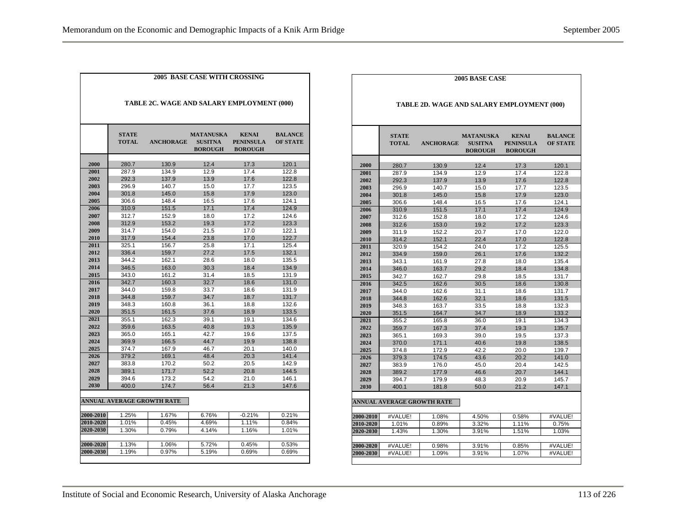| TABLE 2C. WAGE AND SALARY EMPLOYMENT (000) |                              |                                   |                                                      |                                                    |                                   |  |  |  |
|--------------------------------------------|------------------------------|-----------------------------------|------------------------------------------------------|----------------------------------------------------|-----------------------------------|--|--|--|
|                                            | <b>STATE</b><br><b>TOTAL</b> | <b>ANCHORAGE</b>                  | <b>MATANUSKA</b><br><b>SUSITNA</b><br><b>BOROUGH</b> | <b>KENAI</b><br><b>PENINSULA</b><br><b>BOROUGH</b> | <b>BALANCE</b><br><b>OF STATE</b> |  |  |  |
| 2000                                       | 280.7                        | 130.9                             | 12.4                                                 | 17.3                                               | 120.1                             |  |  |  |
| 2001                                       | 287.9                        | 134.9                             | 12.9                                                 | 17.4                                               | 122.8                             |  |  |  |
| 2002                                       | 292.3                        | 137.9                             | 13.9                                                 | 17.6                                               | 122.8                             |  |  |  |
| 2003                                       | 296.9                        | 140.7                             | 15.0                                                 | 17.7                                               | 123.5                             |  |  |  |
| 2004                                       | 301.8                        | 145.0                             | 15.8                                                 | 17.9                                               | 123.0                             |  |  |  |
| 2005                                       | 306.6                        | 148.4                             | 16.5                                                 | 17.6                                               | 124.1                             |  |  |  |
| 2006                                       | 310.9                        | 151.5                             | 17.1                                                 | 17.4                                               | 124.9                             |  |  |  |
| 2007                                       | 312.7                        | 152.9                             | 18.0                                                 | 17.2                                               | 124.6                             |  |  |  |
| 2008                                       | 312.9                        | 153.2                             | 19.3                                                 | 17.2                                               | 123.3                             |  |  |  |
| 2009                                       | 314.7                        | 154.0                             | 21.5                                                 | 17.0                                               | 122.1                             |  |  |  |
| 2010                                       | 317.9                        | 154.4                             | 23.8                                                 | 17.0                                               | 122.7                             |  |  |  |
| 2011                                       | 325.1                        | 156.7                             | 25.8                                                 | 17.1                                               | 125.4                             |  |  |  |
| 2012                                       | 336.4                        | 159.7                             | 27.2                                                 | 17.5                                               | 132.1                             |  |  |  |
| 2013                                       | 344.2                        | 162.1                             | 28.6                                                 | 18.0                                               | 135.5                             |  |  |  |
| 2014                                       | 346.5                        | 163.0                             | 30.3                                                 | 18.4                                               | 134.9                             |  |  |  |
| 2015                                       | 343.0                        | 161.2                             | 31.4                                                 | 18.5                                               | 131.9                             |  |  |  |
| 2016                                       | 342.7                        | 160.3                             | 32.7                                                 | 18.6                                               | 131.0                             |  |  |  |
| 2017                                       | 344.0                        | 159.8                             | 33.7                                                 | 18.6                                               | 131.9                             |  |  |  |
| 2018                                       | 344.8                        | 159.7                             | 34.7                                                 | 18.7                                               | 131.7                             |  |  |  |
| 2019                                       | 348.3                        | 160.8                             | 36.1                                                 | 18.8                                               | 132.6                             |  |  |  |
| 2020                                       | 351.5                        | 161.5                             | 37.6                                                 | 18.9                                               | 133.5                             |  |  |  |
| 2021                                       | 355.1                        | 162.3                             | 39.1                                                 | 19.1                                               | 134.6                             |  |  |  |
| 2022                                       | 359.6                        | 163.5                             | 40.8                                                 | 19.3                                               | 135.9                             |  |  |  |
| 2023                                       | 365.0                        | 165.1                             | 42.7                                                 | 19.6                                               | 137.5                             |  |  |  |
| 2024                                       | 369.9                        | 166.5                             | 44.7                                                 | 19.9                                               | 138.8                             |  |  |  |
| 2025                                       | 374.7                        | 167.9                             | 46.7                                                 | 20.1                                               | 140.0                             |  |  |  |
| 2026                                       | 379.2                        | 169.1                             | 48.4                                                 | 20.3                                               | 141.4                             |  |  |  |
| 2027                                       | 383.8                        | 170.2                             | 50.2                                                 | 20.5                                               | 142.9                             |  |  |  |
| 2028                                       | 389.1                        | 171.7                             | 52.2                                                 | 20.8                                               | 144.5                             |  |  |  |
| 2029                                       | 394.6                        | 173.2                             | 54.2                                                 | 21.0                                               | 146.1                             |  |  |  |
| 2030                                       | 400.0                        | 174.7                             | 56.4                                                 | 21.3                                               | 147.6                             |  |  |  |
|                                            |                              | <b>ANNUAL AVERAGE GROWTH RATE</b> |                                                      |                                                    |                                   |  |  |  |
| 2000-2010                                  | 1.25%                        | 1.67%                             | 6.76%                                                | $-0.21%$                                           | 0.21%                             |  |  |  |
| 2010-2020                                  | 1.01%                        | 0.45%                             | 4.69%                                                | 1.11%                                              | 0.84%                             |  |  |  |
| 2020-2030                                  | 1.30%                        | 0.79%                             | 4.14%                                                | 1.16%                                              | 1.01%                             |  |  |  |
| 2000-2020                                  | 1.13%                        | 1.06%                             | 5.72%                                                | 0.45%                                              | 0.53%                             |  |  |  |
| 2000-2030                                  | 1.19%                        | 0.97%                             | 5.19%                                                | 0.69%                                              | 0.69%                             |  |  |  |

|           | <b>STATE</b><br><b>TOTAL</b> | TABLE 2D. WAGE AND SALARY EMPLOYMENT (000) |                                                      |                                                    |                                   |
|-----------|------------------------------|--------------------------------------------|------------------------------------------------------|----------------------------------------------------|-----------------------------------|
|           |                              |                                            |                                                      |                                                    |                                   |
|           |                              | <b>ANCHORAGE</b>                           | <b>MATANUSKA</b><br><b>SUSITNA</b><br><b>BOROUGH</b> | <b>KENAI</b><br><b>PENINSULA</b><br><b>BOROUGH</b> | <b>BALANCE</b><br><b>OF STATE</b> |
| 2000      | 280.7                        | 130.9                                      | 12.4                                                 | 17.3                                               | 120.1                             |
| 2001      | 287.9                        | 134.9                                      | 12.9                                                 | 17.4                                               | 122.8                             |
| 2002      | 292.3                        | 137.9                                      | 13.9                                                 | 17.6                                               | 122.8                             |
| 2003      | 296.9                        | 140.7                                      | 15.0                                                 | 17.7                                               | 123.5                             |
| 2004      | 301.8                        | 145.0                                      | 15.8                                                 | 17.9                                               | 123.0                             |
| 2005      | 306.6                        | 148.4                                      | 16.5                                                 | 17.6                                               | 124.1                             |
| 2006      | 310.9                        | 151.5                                      | 17.1                                                 | 17.4                                               | 124.9                             |
| 2007      | 312.6                        | 152.8                                      | 18.0                                                 | 17.2                                               | 124.6                             |
| 2008      | 312.6                        | 153.0                                      | 19.2                                                 | 17.2                                               | 123.3                             |
| 2009      | 311.9                        | 152.2                                      | 20.7                                                 | 17.0                                               | 122.0                             |
| 2010      | 314.2                        | 152.1                                      | 22.4                                                 | 17.0                                               | 122.8                             |
| 2011      | 320.9                        | 154.2                                      | 24.0                                                 | 17.2                                               | 125.5                             |
| 2012      | 334.9                        | 159.0                                      | 26.1                                                 | 17.6                                               | 132.2                             |
| 2013      | 343.1                        | 161.9                                      | 27.8                                                 | 18.0                                               | 135.4                             |
| 2014      | 346.0                        | 163.7                                      | 29.2                                                 | 18.4                                               | 134.8                             |
| 2015      | 342.7                        | 162.7                                      | 29.8                                                 | 18.5                                               | 131.7                             |
| 2016      | 342.5                        | 162.6                                      | 30.5                                                 | 18.6                                               | 130.8                             |
| 2017      | 344.0                        | 162.6                                      | 31.1                                                 | 18.6                                               | 131.7                             |
| 2018      | 344.8                        | 162.6                                      | 32.1                                                 | 18.6                                               | 131.5                             |
| 2019      | 348.3                        | 163.7                                      | 33.5                                                 | 18.8                                               | 132.3                             |
| 2020      | 351.5                        | 164.7                                      | 34.7                                                 | 18.9                                               | 133.2                             |
| 2021      | 355.2                        | 165.8                                      | 36.0                                                 | 19.1                                               | 134.3                             |
| 2022      | 359.7                        | 167.3                                      | 37.4                                                 | 19.3                                               | 135.7                             |
| 2023      | 365.1                        | 169.3                                      | 39.0                                                 | 19.5                                               | 137.3                             |
| 2024      | 370.0                        | 171.1                                      | 40.6                                                 | 19.8                                               | 138.5                             |
| 2025      | 374.8                        | 172.9                                      | 42.2                                                 | 20.0                                               | 139.7                             |
| 2026      | 379.3                        | 174.5                                      | 43.6                                                 | 20.2                                               | 141.0                             |
| 2027      | 383.9                        | 176.0                                      | 45.0                                                 | 20.4                                               | 142.5                             |
| 2028      | 389.2                        | 177.9                                      | 46.6                                                 | 20.7                                               | 144.1                             |
| 2029      | 394.7                        | 179.9                                      | 48.3                                                 | 20.9                                               | 145.7                             |
| 2030      | 400.1                        | 181.8                                      | 50.0                                                 | 21.2                                               | 147.1                             |
|           |                              |                                            |                                                      |                                                    |                                   |
|           |                              | <b>ANNUAL AVERAGE GROWTH RATE</b>          |                                                      |                                                    |                                   |
| 2000-2010 | #VALUE!                      | 1.08%                                      | 4.50%                                                | 0.58%                                              | #VALUE!                           |
| 2010-2020 | 1.01%                        | 0.89%                                      | 3.32%                                                | 1.11%                                              | 0.75%                             |
| 2020-2030 | 1.43%                        | 1.30%                                      | 3.91%                                                | 1.51%                                              | 1.03%                             |
|           |                              |                                            |                                                      |                                                    |                                   |
| 2000-2020 | #VALUE!                      | 0.98%                                      | 3.91%                                                | 0.85%                                              | #VALUE!                           |
| 2000-2030 | #VALUE!                      | 1.09%                                      | 3.91%                                                | 1.07%                                              | #VALUE!                           |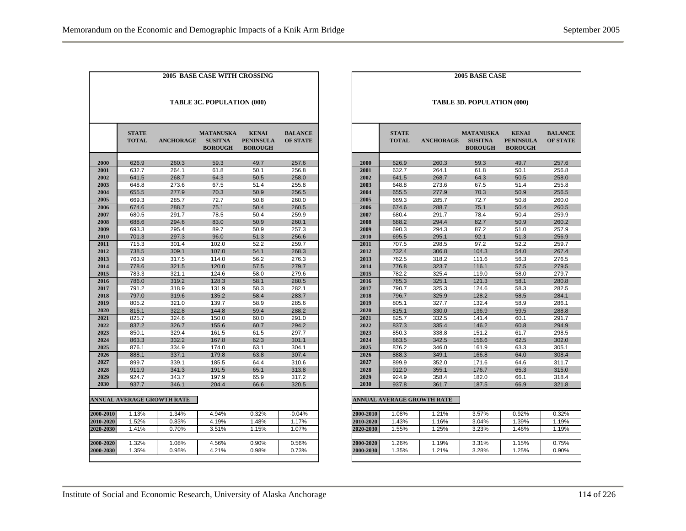|                            | <b>2005 BASE CASE WITH CROSSING</b> |                                   |                                                      |                                                    |                                   |  |  |  |
|----------------------------|-------------------------------------|-----------------------------------|------------------------------------------------------|----------------------------------------------------|-----------------------------------|--|--|--|
| TABLE 3C. POPULATION (000) |                                     |                                   |                                                      |                                                    |                                   |  |  |  |
|                            | <b>STATE</b><br><b>TOTAL</b>        | <b>ANCHORAGE</b>                  | <b>MATANUSKA</b><br><b>SUSITNA</b><br><b>BOROUGH</b> | <b>KENAI</b><br><b>PENINSULA</b><br><b>BOROUGH</b> | <b>BALANCE</b><br><b>OF STATE</b> |  |  |  |
| 2000                       | 626.9                               | 260.3                             | 59.3                                                 | 49.7                                               | 257.6                             |  |  |  |
| 2001                       | 632.7                               | 264.1                             | 61.8                                                 | 50.1                                               | 256.8                             |  |  |  |
| 2002                       | 641.5                               | 268.7                             | 64.3                                                 | 50.5                                               | 258.0                             |  |  |  |
| 2003                       | 648.8                               | 273.6                             | 67.5                                                 | 51.4                                               | 255.8                             |  |  |  |
| 2004                       | 655.5                               | 277.9                             | 70.3                                                 | 50.9                                               | 256.5                             |  |  |  |
| 2005                       | 669.3                               | 285.7                             | 72.7                                                 | 50.8                                               | 260.0                             |  |  |  |
| 2006                       | 674.6                               | 288.7                             | 75.1                                                 | 50.4                                               | 260.5                             |  |  |  |
| 2007                       | 680.5                               | 291.7                             | 78.5                                                 | 50.4                                               | 259.9                             |  |  |  |
| 2008                       | 688.6                               | 294.6                             | 83.0                                                 | 50.9                                               | 260.1                             |  |  |  |
| 2009                       | 693.3                               | 295.4                             | 89.7                                                 | 50.9                                               | 257.3                             |  |  |  |
| 2010                       | 701.3                               | 297.3                             | 96.0                                                 | 51.3                                               | 256.6                             |  |  |  |
| 2011                       | 715.3                               | 301.4                             | 102.0                                                | 52.2                                               | 259.7                             |  |  |  |
| 2012                       | 738.5                               | 309.1                             | 107.0                                                | 54.1                                               | 268.3                             |  |  |  |
| 2013                       | 763.9                               | 317.5                             | 114.0                                                | 56.2                                               | 276.3                             |  |  |  |
| 2014                       | 778.6                               | 321.5                             | 120.0                                                | 57.5                                               | 279.7                             |  |  |  |
| 2015                       | 783.3                               | 321.1                             | 124.6                                                | 58.0                                               | 279.6                             |  |  |  |
| 2016                       | 786.0                               | 319.2                             | 128.3                                                | 58.1                                               | 280.5                             |  |  |  |
| 2017                       | 791.2                               | 318.9                             | 131.9                                                | 58.3                                               | 282.1                             |  |  |  |
| 2018                       | 797.0                               | 319.6                             | 135.2                                                | 58.4                                               | 283.7                             |  |  |  |
| 2019                       | 805.2                               | 321.0                             | 139.7                                                | 58.9                                               | 285.6                             |  |  |  |
| 2020                       | 815.1                               | 322.8                             | 144.8                                                | 59.4                                               | 288.2                             |  |  |  |
| 2021                       | 825.7                               | 324.6                             | 150.0                                                | 60.0                                               | 291.0                             |  |  |  |
| 2022                       | 837.2                               | 326.7                             | 155.6                                                | 60.7                                               | 294.2                             |  |  |  |
| 2023                       | 850.1                               | 329.4                             | 161.5                                                | 61.5                                               | 297.7                             |  |  |  |
| 2024                       | 863.3                               | 332.2                             | 167.8                                                | 62.3                                               | 301.1                             |  |  |  |
| 2025                       | 876.1                               | 334.9                             | 174.0                                                | 63.1                                               | 304.1                             |  |  |  |
| 2026                       | 888.1                               | 337.1                             | 179.8                                                | 63.8                                               | 307.4                             |  |  |  |
| 2027                       | 899.7                               | 339.1                             | 185.5                                                | 64.4                                               | 310.6                             |  |  |  |
| 2028                       | 911.9                               | 341.3                             | 191.5                                                | 65.1                                               | 313.8                             |  |  |  |
| 2029                       | 924.7                               | 343.7                             | 197.9                                                | 65.9                                               | 317.2                             |  |  |  |
| 2030                       | 937.7                               | 346.1                             | 204.4                                                | 66.6                                               | 320.5                             |  |  |  |
|                            |                                     |                                   |                                                      |                                                    |                                   |  |  |  |
|                            |                                     | <b>ANNUAL AVERAGE GROWTH RATE</b> |                                                      |                                                    |                                   |  |  |  |
| 2000-2010                  | 1.13%                               | 1.34%                             | 4.94%                                                | 0.32%                                              | $-0.04%$                          |  |  |  |
| 2010-2020                  | 1.52%                               | 0.83%                             | 4.19%                                                | 1.48%                                              | 1.17%                             |  |  |  |
| 2020-2030                  | 1.41%                               | 0.70%                             | 3.51%                                                | 1.15%                                              | 1.07%                             |  |  |  |
|                            |                                     |                                   |                                                      |                                                    |                                   |  |  |  |
| 2000-2020                  | 1.32%                               | 1.08%                             | 4.56%                                                | 0.90%                                              | 0.56%                             |  |  |  |
| 2000-2030                  | 1.35%                               | 0.95%                             | 4.21%                                                | 0.98%                                              | 0.73%                             |  |  |  |
|                            |                                     |                                   |                                                      |                                                    |                                   |  |  |  |

|           |                              |                            | <b>2005 BASE CASE</b>                                |                                                    |                                   |  |  |  |  |
|-----------|------------------------------|----------------------------|------------------------------------------------------|----------------------------------------------------|-----------------------------------|--|--|--|--|
|           | TABLE 3D. POPULATION (000)   |                            |                                                      |                                                    |                                   |  |  |  |  |
|           | <b>STATE</b><br><b>TOTAL</b> | <b>ANCHORAGE</b>           | <b>MATANUSKA</b><br><b>SUSITNA</b><br><b>BOROUGH</b> | <b>KENAI</b><br><b>PENINSULA</b><br><b>BOROUGH</b> | <b>BALANCE</b><br><b>OF STATE</b> |  |  |  |  |
| 2000      | 626.9                        | 260.3                      | 59.3                                                 | 49.7                                               | 257.6                             |  |  |  |  |
| 2001      | 632.7                        | 264.1                      | 61.8                                                 | 50.1                                               | 256.8                             |  |  |  |  |
| 2002      | 641.5                        | 268.7                      | 64.3                                                 | 50.5                                               | 258.0                             |  |  |  |  |
| 2003      | 648.8                        | 273.6                      | 67.5                                                 | 51.4                                               | 255.8                             |  |  |  |  |
| 2004      | 655.5                        | 277.9                      | 70.3                                                 | 50.9                                               | 256.5                             |  |  |  |  |
| 2005      | 669.3                        | 285.7                      | 72.7                                                 | 50.8                                               | 260.0                             |  |  |  |  |
| 2006      | 674.6                        | 288.7                      | 75.1                                                 | 50.4                                               | 260.5                             |  |  |  |  |
| 2007      | 680.4                        | 291.7                      | 78.4                                                 | 50.4                                               | 259.9                             |  |  |  |  |
| 2008      | 688.2                        | 294.4                      | 82.7                                                 | 50.9                                               | 260.2                             |  |  |  |  |
| 2009      | 690.3                        | 294.3                      | 87.2                                                 | 51.0                                               | 257.9                             |  |  |  |  |
| 2010      | 695.5                        | 295.1                      | 92.1                                                 | 51.3                                               | 256.9                             |  |  |  |  |
| 2011      | 707.5                        | 298.5                      | 97.2                                                 | 52.2                                               | 259.7                             |  |  |  |  |
| 2012      | 732.4                        | 306.8                      | 104.3                                                | 54.0                                               | 267.4                             |  |  |  |  |
| 2013      | 762.5                        | 318.2                      | 111.6                                                | 56.3                                               | 276.5                             |  |  |  |  |
| 2014      | 776.8                        | 323.7                      | 116.1                                                | 57.5                                               | 279.5                             |  |  |  |  |
| 2015      | 782.2                        | 325.4                      | 119.0                                                | 58.0                                               | 279.7                             |  |  |  |  |
| 2016      | 785.3                        | 325.1                      | 121.3                                                | 58.1                                               | 280.8                             |  |  |  |  |
| 2017      | 790.7                        | 325.3                      | 124.6                                                | 58.3                                               | 282.5                             |  |  |  |  |
| 2018      | 796.7                        | 325.9                      | 128.2                                                | 58.5                                               | 284.1                             |  |  |  |  |
| 2019      | 805.1                        | 327.7                      | 132.4                                                | 58.9                                               | 286.1                             |  |  |  |  |
| 2020      | 815.1                        | 330.0                      | 136.9                                                | 59.5                                               | 288.8                             |  |  |  |  |
| 2021      | 825.7                        | 332.5                      | 141.4                                                | 60.1                                               | 291.7                             |  |  |  |  |
| 2022      | 837.3                        | 335.4                      | 146.2                                                | 60.8                                               | 294.9                             |  |  |  |  |
| 2023      | 850.3                        | 338.8                      | 151.2                                                | 61.7                                               | 298.5                             |  |  |  |  |
| 2024      | 863.5                        | 342.5                      | 156.6                                                | 62.5                                               | 302.0                             |  |  |  |  |
| 2025      | 876.2                        | 346.0                      | 161.9                                                | 63.3                                               | 305.1                             |  |  |  |  |
| 2026      | 888.3                        | 349.1                      | 166.8                                                | 64.0                                               | 308.4                             |  |  |  |  |
| 2027      | 899.9                        | 352.0                      | 171.6                                                | 64.6                                               | 311.7                             |  |  |  |  |
| 2028      | 912.0                        | 355.1                      | 176.7                                                | 65.3                                               | 315.0                             |  |  |  |  |
| 2029      | 924.9                        | 358.4                      | 182.0                                                | 66.1                                               | 318.4                             |  |  |  |  |
| 2030      | 937.8                        | 361.7                      | 187.5                                                | 66.9                                               | 321.8                             |  |  |  |  |
|           |                              |                            |                                                      |                                                    |                                   |  |  |  |  |
|           |                              | ANNUAL AVERAGE GROWTH RATE |                                                      |                                                    |                                   |  |  |  |  |
| 2000-2010 | 1.08%                        | 1.21%                      | 3.57%                                                | 0.92%                                              | 0.32%                             |  |  |  |  |
| 2010-2020 | $\overline{1.43\%}$          | 1.16%                      | 3.04%                                                | 1.39%                                              | 1.19%                             |  |  |  |  |
| 2020-2030 | 1.55%                        | 1.25%                      | 3.23%                                                | 1.46%                                              | 1.19%                             |  |  |  |  |
|           |                              |                            |                                                      |                                                    |                                   |  |  |  |  |
| 2000-2020 | 1.26%                        | 1.19%                      | 3.31%                                                | 1.15%                                              | 0.75%                             |  |  |  |  |
| 2000-2030 | 1.35%                        | 1.21%                      | 3.28%                                                | 1.25%                                              | 0.90%                             |  |  |  |  |
|           |                              |                            |                                                      |                                                    |                                   |  |  |  |  |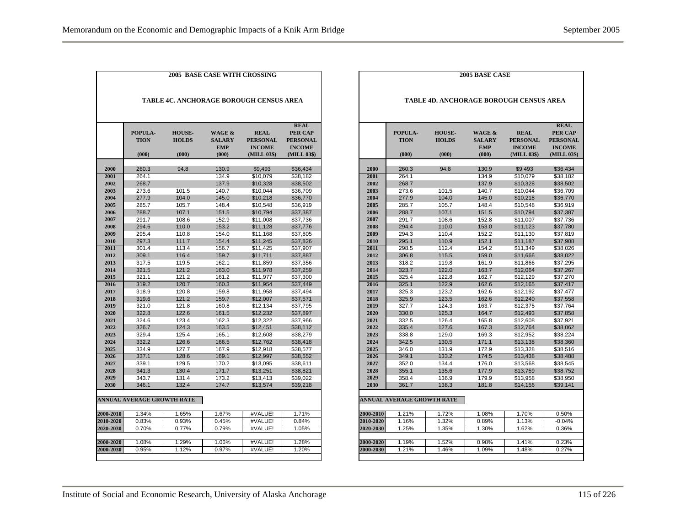|                                                |                                   |                                        | <b>2005 BASE CASE WITH CROSSING</b>                       |                                                                |                                                                           |  |  |  |
|------------------------------------------------|-----------------------------------|----------------------------------------|-----------------------------------------------------------|----------------------------------------------------------------|---------------------------------------------------------------------------|--|--|--|
| <b>TABLE 4C. ANCHORAGE BOROUGH CENSUS AREA</b> |                                   |                                        |                                                           |                                                                |                                                                           |  |  |  |
|                                                | POPULA-<br><b>TION</b><br>(000)   | <b>HOUSE-</b><br><b>HOLDS</b><br>(000) | <b>WAGE &amp;</b><br><b>SALARY</b><br><b>EMP</b><br>(000) | <b>REAL</b><br><b>PERSONAL</b><br><b>INCOME</b><br>(MILL 03\$) | <b>REAL</b><br>PER CAP<br><b>PERSONAL</b><br><b>INCOME</b><br>(MILL 03\$) |  |  |  |
| 2000                                           | 260.3                             | 94.8                                   | 130.9                                                     | \$9,493                                                        | \$36,434                                                                  |  |  |  |
| 2001                                           | 264.1                             |                                        | 134.9                                                     | \$10,079                                                       | \$38.182                                                                  |  |  |  |
| 2002                                           | 268.7                             |                                        | 137.9                                                     | \$10,328                                                       | \$38,502                                                                  |  |  |  |
| 2003                                           | 273.6                             | 101.5                                  | 140.7                                                     | \$10,044                                                       | \$36.709                                                                  |  |  |  |
| 2004                                           | 277.9                             | 104.0                                  | 145.0                                                     | \$10,218                                                       | \$36,770                                                                  |  |  |  |
| 2005                                           | 285.7                             | 105.7                                  | 148.4                                                     | \$10,548                                                       | \$36,919                                                                  |  |  |  |
| 2006                                           | 288.7                             | 107.1                                  | 151.5                                                     | \$10,794                                                       | \$37,387                                                                  |  |  |  |
| 2007                                           | 291.7                             | 108.6                                  | 152.9                                                     | \$11,008                                                       | \$37,736                                                                  |  |  |  |
| 2008                                           | 294.6                             | 110.0                                  | 153.2                                                     | \$11,128                                                       | \$37,776                                                                  |  |  |  |
| 2009                                           | 295.4                             | 110.8                                  | 154.0                                                     | \$11,168                                                       | \$37,805                                                                  |  |  |  |
| 2010                                           | 297.3                             | 111.7                                  | 154.4                                                     | \$11,245                                                       | \$37,826                                                                  |  |  |  |
| 2011                                           | 301.4                             | 113.4                                  | 156.7                                                     | \$11,425                                                       | \$37,907                                                                  |  |  |  |
| 2012                                           | 309.1                             | 116.4                                  | 159.7                                                     | \$11,711                                                       | \$37,887                                                                  |  |  |  |
| 2013                                           | 317.5                             | 119.5                                  | 162.1                                                     | \$11,859                                                       | \$37,356                                                                  |  |  |  |
| 2014                                           | 321.5                             | 121.2                                  | 163.0                                                     | \$11,978                                                       | \$37,259                                                                  |  |  |  |
| 2015                                           | 321.1                             | 121.2                                  | 161.2                                                     | \$11,977                                                       | \$37,300                                                                  |  |  |  |
| 2016                                           | 319.2                             | 120.7                                  | 160.3                                                     | \$11,954                                                       | \$37,449                                                                  |  |  |  |
| 2017                                           | 318.9                             | 120.8                                  | 159.8                                                     | \$11,958                                                       | \$37,494                                                                  |  |  |  |
| 2018                                           | 319.6                             | 121.2                                  | 159.7                                                     | \$12,007                                                       | \$37.571                                                                  |  |  |  |
| 2019                                           | 321.0                             | 121.8                                  | 160.8                                                     | \$12.134                                                       | \$37,795                                                                  |  |  |  |
| 2020                                           | 322.8                             | 122.6                                  | 161.5                                                     | \$12.232                                                       | \$37,897                                                                  |  |  |  |
| 2021                                           | 324.6                             | 123.4                                  | 162.3                                                     | \$12,322                                                       | \$37,966                                                                  |  |  |  |
| 2022                                           | 326.7                             | 124.3                                  | 163.5                                                     | \$12,451                                                       | \$38,112                                                                  |  |  |  |
| 2023                                           | 329.4                             | 125.4                                  | 165.1                                                     | \$12,608                                                       | \$38,279                                                                  |  |  |  |
| 2024                                           | 332.2                             | 126.6                                  | 166.5                                                     | \$12,762                                                       | \$38,418                                                                  |  |  |  |
| 2025                                           | 334.9                             | 127.7                                  | 167.9                                                     | \$12,918                                                       | \$38,577                                                                  |  |  |  |
| 2026                                           | 337.1                             | 128.6                                  | 169.1                                                     | \$12,997                                                       | \$38,552                                                                  |  |  |  |
| 2027                                           | 339.1                             | 129.5                                  | 170.2                                                     | \$13,095                                                       | \$38,611                                                                  |  |  |  |
| 2028                                           | 341.3                             | 130.4                                  | 171.7                                                     | \$13,251                                                       | \$38,821                                                                  |  |  |  |
| 2029                                           | 343.7                             | 131.4                                  | 173.2                                                     | \$13,413                                                       | \$39,022                                                                  |  |  |  |
| 2030                                           | 346.1                             | 132.4                                  | 174.7                                                     | \$13,574                                                       | \$39,218                                                                  |  |  |  |
|                                                | <b>ANNUAL AVERAGE GROWTH RATE</b> |                                        |                                                           |                                                                |                                                                           |  |  |  |
| 2000-2010                                      | 1.34%                             | 1.65%                                  | 1.67%                                                     | #VALUE!                                                        | 1.71%                                                                     |  |  |  |
| 2010-2020                                      | 0.83%                             | 0.93%                                  | 0.45%                                                     | #VALUE!                                                        | 0.84%                                                                     |  |  |  |
| 2020-2030                                      | 0.70%                             | 0.77%                                  | 0.79%                                                     | #VALUE!                                                        | 1.05%                                                                     |  |  |  |
|                                                |                                   |                                        |                                                           |                                                                |                                                                           |  |  |  |
| 2000-2020                                      | 1.08%                             | 1.29%                                  | 1.06%                                                     | #VALUE!                                                        | 1.28%                                                                     |  |  |  |
| 2000-2030                                      | 0.95%                             | 1.12%                                  | 0.97%                                                     | #VALUE!                                                        | 1.20%                                                                     |  |  |  |

|                                                | 2005 BASE CASE                    |                                        |                                                           |                                                                |                                                                                  |  |  |  |  |
|------------------------------------------------|-----------------------------------|----------------------------------------|-----------------------------------------------------------|----------------------------------------------------------------|----------------------------------------------------------------------------------|--|--|--|--|
| <b>TABLE 4D. ANCHORAGE BOROUGH CENSUS AREA</b> |                                   |                                        |                                                           |                                                                |                                                                                  |  |  |  |  |
|                                                | POPULA-<br><b>TION</b><br>(000)   | <b>HOUSE-</b><br><b>HOLDS</b><br>(000) | <b>WAGE &amp;</b><br><b>SALARY</b><br><b>EMP</b><br>(000) | <b>REAL</b><br><b>PERSONAL</b><br><b>INCOME</b><br>(MILL 03\$) | <b>REAL</b><br><b>PER CAP</b><br><b>PERSONAL</b><br><b>INCOME</b><br>(MILL 03\$) |  |  |  |  |
| 2000                                           |                                   | 94.8                                   |                                                           | \$9,493                                                        |                                                                                  |  |  |  |  |
| 2001                                           | 260.3<br>264.1                    |                                        | 130.9<br>134.9                                            | \$10,079                                                       | \$36,434<br>\$38,182                                                             |  |  |  |  |
| 2002                                           | 268.7                             |                                        | 137.9                                                     | \$10,328                                                       | \$38,502                                                                         |  |  |  |  |
| 2003                                           | 273.6                             | 101.5                                  | 140.7                                                     | \$10,044                                                       | \$36,709                                                                         |  |  |  |  |
| 2004                                           | 277.9                             | 104.0                                  | 145.0                                                     | \$10,218                                                       | \$36,770                                                                         |  |  |  |  |
| 2005                                           | 285.7                             | 105.7                                  | 148.4                                                     | \$10,548                                                       | \$36,919                                                                         |  |  |  |  |
| 2006                                           | 288.7                             | 107.1                                  | 151.5                                                     | \$10,794                                                       | \$37,387                                                                         |  |  |  |  |
| 2007                                           | 291.7                             | 108.6                                  | 152.8                                                     | \$11.007                                                       | \$37.736                                                                         |  |  |  |  |
| 2008                                           | 294.4                             | 110.0                                  | 153.0                                                     | \$11,123                                                       | \$37,780                                                                         |  |  |  |  |
| 2009                                           | 294.3                             | 110.4                                  | 152.2                                                     | \$11,130                                                       | \$37,819                                                                         |  |  |  |  |
| 2010                                           | 295.1                             | 110.9                                  | 152.1                                                     | \$11,187                                                       | \$37,908                                                                         |  |  |  |  |
| 2011                                           | 298.5                             | 112.4                                  | 154.2                                                     | \$11,349                                                       | \$38.026                                                                         |  |  |  |  |
| 2012                                           | 306.8                             | 115.5                                  | 159.0                                                     | \$11,666                                                       | \$38,022                                                                         |  |  |  |  |
| 2013                                           | 318.2                             | 119.8                                  | 161.9                                                     | \$11,866                                                       | \$37,295                                                                         |  |  |  |  |
| 2014                                           | 323.7                             | 122.0                                  | 163.7                                                     | \$12,064                                                       | \$37,267                                                                         |  |  |  |  |
| 2015                                           | 325.4                             | 122.8                                  | 162.7                                                     | \$12,129                                                       |                                                                                  |  |  |  |  |
| 2016                                           | 325.1                             | 122.9                                  | 162.6                                                     | \$12,165                                                       | \$37,270<br>\$37,417                                                             |  |  |  |  |
| 2017                                           | 325.3                             | 123.2                                  | 162.6                                                     | \$12.192                                                       | \$37.477                                                                         |  |  |  |  |
| 2018                                           | 325.9                             | 123.5                                  | 162.6                                                     | \$12,240                                                       | \$37,558                                                                         |  |  |  |  |
| 2019                                           | 327.7                             | 124.3                                  | 163.7                                                     | \$12,375                                                       | \$37,764                                                                         |  |  |  |  |
| 2020                                           | 330.0                             | 125.3                                  | 164.7                                                     | \$12,493                                                       | \$37,858                                                                         |  |  |  |  |
| 2021                                           | 332.5                             | 126.4                                  | 165.8                                                     |                                                                | \$37,921                                                                         |  |  |  |  |
| 2022                                           | 335.4                             |                                        |                                                           | \$12,608                                                       |                                                                                  |  |  |  |  |
| 2023                                           | 338.8                             | 127.6<br>129.0                         | 167.3<br>169.3                                            | \$12,764<br>\$12.952                                           | \$38,062<br>\$38.224                                                             |  |  |  |  |
| 2024                                           | 342.5                             | 130.5                                  | 171.1                                                     | \$13,138                                                       | \$38,360                                                                         |  |  |  |  |
| 2025                                           | 346.0                             | 131.9                                  | 172.9                                                     | \$13,328                                                       | \$38,516                                                                         |  |  |  |  |
| 2026                                           | 349.1                             | 133.2                                  | 174.5                                                     | \$13,438                                                       | \$38,488                                                                         |  |  |  |  |
| 2027                                           | 352.0                             | 134.4                                  | 176.0                                                     | \$13,568                                                       | \$38,545                                                                         |  |  |  |  |
| 2028                                           | 355.1                             | 135.6                                  | 177.9                                                     | \$13,759                                                       | \$38,752                                                                         |  |  |  |  |
| 2029                                           | 358.4                             | 136.9                                  | 179.9                                                     | \$13.958                                                       | \$38.950                                                                         |  |  |  |  |
| 2030                                           | 361.7                             | 138.3                                  | 181.8                                                     | \$14,156                                                       | \$39,141                                                                         |  |  |  |  |
|                                                |                                   |                                        |                                                           |                                                                |                                                                                  |  |  |  |  |
|                                                | <b>ANNUAL AVERAGE GROWTH RATE</b> |                                        |                                                           |                                                                |                                                                                  |  |  |  |  |
| 2000-2010                                      | 1.21%                             | 1.72%                                  | 1.08%                                                     | 1.70%                                                          | 0.50%                                                                            |  |  |  |  |
| 2010-2020                                      | 1.16%                             | 1.32%                                  | 0.89%                                                     | 1.13%                                                          | $-0.04%$                                                                         |  |  |  |  |
| 2020-2030                                      | 1.25%                             | 1.35%                                  | 1.30%                                                     | 1.62%                                                          | 0.36%                                                                            |  |  |  |  |
|                                                |                                   |                                        |                                                           |                                                                |                                                                                  |  |  |  |  |
| 2000-2020                                      | 1.19%                             | 1.52%                                  | 0.98%                                                     | 1.41%                                                          | 0.23%                                                                            |  |  |  |  |
| 2000-2030                                      | 1.21%                             | 1.46%                                  | 1.09%                                                     | 1.48%                                                          | 0.27%                                                                            |  |  |  |  |
|                                                |                                   |                                        |                                                           |                                                                |                                                                                  |  |  |  |  |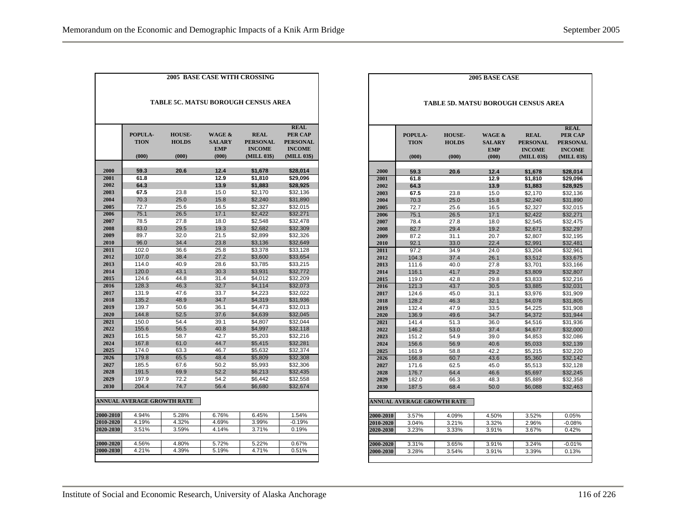| <b>2005 BASE CASE WITH CROSSING</b>        |                                 |                                        |                                                           |                                                                |                                                                                  |  |  |  |  |
|--------------------------------------------|---------------------------------|----------------------------------------|-----------------------------------------------------------|----------------------------------------------------------------|----------------------------------------------------------------------------------|--|--|--|--|
| <b>TABLE 5C. MATSU BOROUGH CENSUS AREA</b> |                                 |                                        |                                                           |                                                                |                                                                                  |  |  |  |  |
|                                            | POPULA-<br><b>TION</b><br>(000) | <b>HOUSE-</b><br><b>HOLDS</b><br>(000) | <b>WAGE &amp;</b><br><b>SALARY</b><br><b>EMP</b><br>(000) | <b>REAL</b><br><b>PERSONAL</b><br><b>INCOME</b><br>(MILL 03\$) | <b>REAL</b><br><b>PER CAP</b><br><b>PERSONAL</b><br><b>INCOME</b><br>(MILL 03\$) |  |  |  |  |
| 2000                                       | 59.3                            | 20.6                                   | 12.4                                                      | \$1,678                                                        | \$28,014                                                                         |  |  |  |  |
| 2001                                       | 61.8                            |                                        | 12.9                                                      | \$1,810                                                        | \$29,096                                                                         |  |  |  |  |
| 2002                                       | 64.3                            |                                        | 13.9                                                      | \$1,883                                                        | \$28,925                                                                         |  |  |  |  |
| 2003                                       | 67.5                            | 23.8                                   | 15.0                                                      | \$2,170                                                        | \$32,136                                                                         |  |  |  |  |
| 2004                                       | 70.3                            | 25.0                                   | 15.8                                                      | \$2,240                                                        | \$31,890                                                                         |  |  |  |  |
| 2005                                       | 72.7                            | 25.6                                   | 16.5                                                      | \$2.327                                                        | \$32.015                                                                         |  |  |  |  |
| 2006                                       | 75.1                            | 26.5                                   | 17.1                                                      | \$2,422                                                        | \$32,271                                                                         |  |  |  |  |
| 2007                                       | 78.5                            | 27.8                                   | 18.0                                                      | \$2,548                                                        | \$32,478                                                                         |  |  |  |  |
| 2008                                       | 83.0                            | 29.5                                   | 19.3                                                      | \$2,682                                                        | \$32,309                                                                         |  |  |  |  |
| 2009                                       | 89.7                            | 32.0                                   | 21.5                                                      | \$2,899                                                        | \$32,326                                                                         |  |  |  |  |
| 2010                                       | 96.0                            | 34.4                                   | 23.8                                                      | \$3.136                                                        | \$32.649                                                                         |  |  |  |  |
| 2011                                       | 102.0                           | 36.6                                   | 25.8                                                      | \$3,378                                                        | \$33,128                                                                         |  |  |  |  |
| 2012                                       | 107.0                           | 38.4                                   | 27.2                                                      | \$3,600                                                        | \$33,654                                                                         |  |  |  |  |
| 2013                                       | 114.0                           | 40.9                                   | 28.6                                                      | \$3,785                                                        | \$33,215                                                                         |  |  |  |  |
| 2014                                       | 120.0                           | 43.1                                   | 30.3                                                      | \$3,931                                                        | \$32,772                                                                         |  |  |  |  |
| 2015                                       | 124.6                           | 44.8                                   | 31.4                                                      | \$4,012                                                        | \$32,209                                                                         |  |  |  |  |
| 2016                                       | 128.3                           | 46.3                                   | 32.7                                                      | \$4,114                                                        | \$32.073                                                                         |  |  |  |  |
| 2017                                       | 131.9                           | 47.6                                   | 33.7                                                      | \$4.223                                                        | \$32.022                                                                         |  |  |  |  |
| 2018                                       | 135.2                           | 48.9                                   | 34.7                                                      | \$4,319                                                        | \$31,936                                                                         |  |  |  |  |
| 2019                                       | 139.7                           | 50.6                                   | 36.1                                                      | \$4,473                                                        | \$32,013                                                                         |  |  |  |  |
| 2020                                       | 144.8                           | 52.5                                   | 37.6                                                      | \$4,639                                                        | \$32,045                                                                         |  |  |  |  |
| 2021                                       | 150.0                           | 54.4                                   | 39.1                                                      | \$4.807                                                        | \$32,044                                                                         |  |  |  |  |
| 2022                                       | 155.6                           | 56.5                                   | 40.8                                                      | \$4.997                                                        | \$32,118                                                                         |  |  |  |  |
| 2023                                       | 161.5                           | 58.7                                   | 42.7                                                      | \$5.203                                                        | \$32.216                                                                         |  |  |  |  |
| 2024                                       | 167.8                           | 61.0                                   | 44.7                                                      | \$5,415                                                        | \$32,281                                                                         |  |  |  |  |
| 2025                                       | 174.0                           | 63.3                                   | 46.7                                                      | \$5.632                                                        | \$32.374                                                                         |  |  |  |  |
| 2026                                       | 179.8                           | 65.5                                   | 48.4                                                      | \$5,809                                                        | \$32,308                                                                         |  |  |  |  |
| 2027                                       | 185.5                           | 67.6                                   | 50.2                                                      | \$5,993                                                        | \$32,306                                                                         |  |  |  |  |
| 2028                                       | 191.5                           | 69.9                                   | 52.2                                                      | \$6.213                                                        | \$32,435                                                                         |  |  |  |  |
| 2029                                       | 197.9                           | 72.2                                   | 54.2                                                      | \$6,442                                                        | \$32,558                                                                         |  |  |  |  |
| 2030                                       | 204.4                           | 74.7                                   | 56.4                                                      | \$6,680                                                        | \$32,674                                                                         |  |  |  |  |
|                                            | ANNUAL AVERAGE GROWTH RATE      |                                        |                                                           |                                                                |                                                                                  |  |  |  |  |
| 2000-2010                                  | 4.94%                           | 5.28%                                  | 6.76%                                                     | 6.45%                                                          | 1.54%                                                                            |  |  |  |  |
| 2010-2020                                  | 4.19%                           | 4.32%                                  | 4.69%                                                     | 3.99%                                                          | $-0.19%$                                                                         |  |  |  |  |
| 2020-2030                                  | 3.51%                           | 3.59%                                  | 4.14%                                                     | 3.71%                                                          | 0.19%                                                                            |  |  |  |  |
|                                            |                                 |                                        |                                                           |                                                                |                                                                                  |  |  |  |  |
| 2000-2020                                  | 4.56%                           | 4.80%                                  | 5.72%                                                     | 5.22%                                                          | 0.67%                                                                            |  |  |  |  |
| 2000-2030                                  | 4.21%                           | 4.39%                                  | 5.19%                                                     | 4.71%                                                          | 0.51%                                                                            |  |  |  |  |

|              | <b>2005 BASE CASE</b>      |               |                   |                                            |                      |  |  |
|--------------|----------------------------|---------------|-------------------|--------------------------------------------|----------------------|--|--|
|              |                            |               |                   |                                            |                      |  |  |
|              |                            |               |                   |                                            |                      |  |  |
|              |                            |               |                   | <b>TABLE 5D. MATSU BOROUGH CENSUS AREA</b> |                      |  |  |
|              |                            |               |                   |                                            |                      |  |  |
|              |                            |               |                   |                                            |                      |  |  |
|              |                            |               |                   |                                            | <b>REAL</b>          |  |  |
|              | POPULA-                    | <b>HOUSE-</b> | <b>WAGE &amp;</b> | <b>REAL</b>                                | <b>PER CAP</b>       |  |  |
|              | <b>TION</b>                | <b>HOLDS</b>  | <b>SALARY</b>     | <b>PERSONAL</b>                            | <b>PERSONAL</b>      |  |  |
|              |                            |               | <b>EMP</b>        | <b>INCOME</b>                              | <b>INCOME</b>        |  |  |
|              | (000)                      | (000)         | (000)             | (MILL 03\$)                                | (MILL 03\$)          |  |  |
|              |                            |               |                   |                                            |                      |  |  |
| 2000         | 59.3                       | 20.6          | 12.4              | \$1,678                                    | \$28,014             |  |  |
| 2001<br>2002 | 61.8<br>64.3               |               | 12.9<br>13.9      | \$1,810<br>\$1,883                         | \$29,096<br>\$28,925 |  |  |
| 2003         | 67.5                       | 23.8          | 15.0              | \$2.170                                    | \$32.136             |  |  |
| 2004         | 70.3                       | 25.0          | 15.8              | \$2,240                                    | \$31,890             |  |  |
| 2005         | 72.7                       | 25.6          | 16.5              | \$2.327                                    | \$32,015             |  |  |
| 2006         | 75.1                       | 26.5          | 17.1              | \$2,422                                    | \$32,271             |  |  |
| 2007         | 78.4                       | 27.8          | 18.0              | \$2,545                                    | \$32,475             |  |  |
| 2008         | 82.7                       | 29.4          | 19.2              | \$2,671                                    | \$32,297             |  |  |
| 2009         | 87.2                       | 31.1          | 20.7              | \$2,807                                    | \$32,195             |  |  |
| 2010         | 92.1                       | 33.0          | 22.4              | \$2.991                                    | \$32.481             |  |  |
| 2011         | 97.2                       | 34.9          | 24.0              | \$3,204                                    | \$32,961             |  |  |
| 2012         | 104.3                      | 37.4          | 26.1              | \$3,512                                    | \$33,675             |  |  |
| 2013         | 111.6                      | 40.0          | 27.8              | \$3,701                                    | \$33,166             |  |  |
| 2014         | 116.1                      | 41.7          | 29.2              | \$3,809                                    | \$32,807             |  |  |
| 2015         | 119.0                      | 42.8          | 29.8              | \$3,833                                    | \$32,216             |  |  |
| 2016         | 121.3                      | 43.7          | 30.5              | \$3,885                                    | \$32,031             |  |  |
| 2017         | 124.6                      | 45.0          | 31.1              | \$3,976                                    | \$31,909             |  |  |
| 2018         | 128.2                      | 46.3          | 32.1              | \$4,078                                    | \$31,805             |  |  |
| 2019         | 132.4                      | 47.9          | 33.5              | \$4.225                                    | \$31,908             |  |  |
| 2020         | 136.9                      | 49.6          | 34.7              | \$4,372                                    | \$31,944             |  |  |
| 2021         | 141.4                      | 51.3          | 36.0              | \$4,516                                    | \$31,936             |  |  |
| 2022         | 146.2                      | 53.0          | 37.4              | \$4,677                                    | \$32,000             |  |  |
| 2023         | 151.2                      | 54.9          | 39.0              | \$4,853                                    | \$32,086             |  |  |
| 2024         | 156.6                      | 56.9          | 40.6              | \$5,033                                    | \$32,139             |  |  |
| 2025         | 161.9                      | 58.8          | 42.2              | \$5.215                                    | \$32,220             |  |  |
| 2026<br>2027 | 166.8<br>171.6             | 60.7<br>62.5  | 43.6<br>45.0      | \$5,360                                    | \$32,142             |  |  |
| 2028         | 176.7                      | 64.4          | 46.6              | \$5,513<br>\$5,697                         | \$32,128<br>\$32,245 |  |  |
| 2029         | 182.0                      | 66.3          | 48.3              | \$5,889                                    | \$32,358             |  |  |
| 2030         | 187.5                      | 68.4          | 50.0              | \$6,088                                    | \$32,463             |  |  |
|              |                            |               |                   |                                            |                      |  |  |
|              | ANNUAL AVERAGE GROWTH RATE |               |                   |                                            |                      |  |  |
|              |                            |               |                   |                                            |                      |  |  |
| 2000-2010    | 3.57%                      | 4.09%         | 4.50%             | 3.52%                                      | 0.05%                |  |  |
| 2010-2020    | 3.04%                      | 3.21%         | 3.32%             | 2.96%                                      | $-0.08%$             |  |  |
| 2020-2030    | 3.23%                      | 3.33%         | 3.91%             | 3.67%                                      | 0.42%                |  |  |
|              |                            |               |                   |                                            |                      |  |  |
| 2000-2020    | 3.31%                      | 3.65%         | 3.91%             | 3.24%                                      | $-0.01%$             |  |  |
| 2000-2030    | 3.28%                      | 3.54%         | 3.91%             | 3.39%                                      | 0.13%                |  |  |
|              |                            |               |                   |                                            |                      |  |  |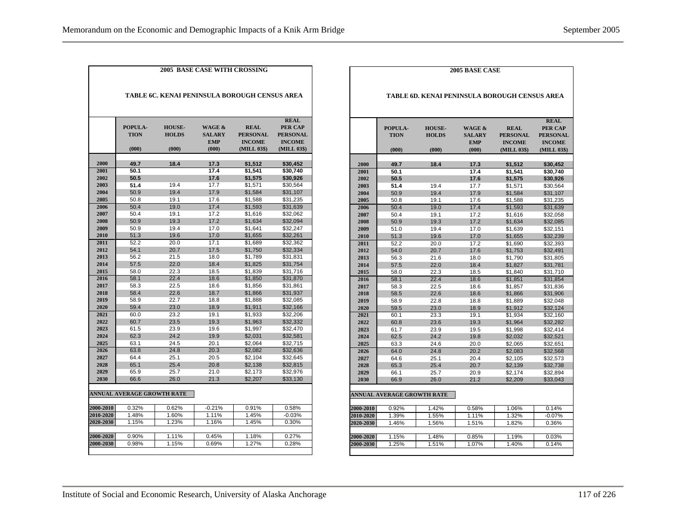|              | POPULA-<br><b>TION</b><br>(000)   | <b>HOUSE-</b><br><b>HOLDS</b><br>(000) | <b>WAGE &amp;</b><br><b>SALARY</b><br><b>EMP</b><br>(000) | <b>REAL</b><br><b>PERSONAL</b><br><b>INCOME</b><br>(MILL 03\$) | <b>REAL</b><br><b>PER CAP</b><br><b>PERSONAL</b><br><b>INCOME</b><br>(MILL 03\$) |  |  |  |  |
|--------------|-----------------------------------|----------------------------------------|-----------------------------------------------------------|----------------------------------------------------------------|----------------------------------------------------------------------------------|--|--|--|--|
|              |                                   |                                        |                                                           |                                                                |                                                                                  |  |  |  |  |
| 2000         | 49.7                              | 18.4                                   | 17.3                                                      | \$1,512                                                        | \$30,452                                                                         |  |  |  |  |
| 2001         | 50.1                              |                                        | 17.4                                                      | \$1,541                                                        | \$30,740                                                                         |  |  |  |  |
| 2002         | 50.5                              |                                        | 17.6                                                      | \$1,575                                                        | \$30,926                                                                         |  |  |  |  |
| 2003         | 51.4                              | 19.4                                   | 17.7                                                      | \$1,571                                                        | \$30,564                                                                         |  |  |  |  |
| 2004         | 50.9                              | 19.4                                   | 17.9                                                      | \$1,584                                                        | \$31,107                                                                         |  |  |  |  |
| 2005<br>2006 | 50.8<br>50.4                      | 19.1<br>19.0                           | 17.6<br>17.4                                              | \$1.588                                                        | \$31,235                                                                         |  |  |  |  |
| 2007         | 50.4                              | 19.1                                   | 17.2                                                      | \$1,593                                                        | \$31,639                                                                         |  |  |  |  |
| 2008         | 50.9                              | 19.3                                   | 17.2                                                      | \$1,616<br>\$1,634                                             | \$32,062<br>\$32,094                                                             |  |  |  |  |
| 2009         | 50.9                              | 19.4                                   | 17.0                                                      | \$1,641                                                        | \$32,247                                                                         |  |  |  |  |
| 2010         | 51.3                              | 19.6                                   | 17.0                                                      | \$1,655                                                        | \$32,261                                                                         |  |  |  |  |
| 2011         | 52.2                              | 20.0                                   | 17.1                                                      | \$1.689                                                        | \$32.362                                                                         |  |  |  |  |
| 2012         | 54.1                              | 20.7                                   | 17.5                                                      | \$1,750                                                        | \$32.334                                                                         |  |  |  |  |
| 2013         | 56.2                              | 21.5                                   | 18.0                                                      | \$1,789                                                        | \$31,831                                                                         |  |  |  |  |
| 2014         | 57.5                              | 22.0                                   | 18.4                                                      | \$1,825                                                        | \$31,754                                                                         |  |  |  |  |
| 2015         | 58.0                              | 22.3                                   | 18.5                                                      | \$1,839                                                        | \$31,716                                                                         |  |  |  |  |
| 2016         | 58.1                              | 22.4                                   | 18.6                                                      | \$1,850                                                        | \$31,870                                                                         |  |  |  |  |
| 2017         | 58.3                              | 22.5                                   | 18.6                                                      | \$1,856                                                        | \$31,861                                                                         |  |  |  |  |
| 2018         | 58.4                              | 22.6                                   | 18.7                                                      | \$1,866                                                        | \$31,937                                                                         |  |  |  |  |
| 2019         | 58.9                              | 22.7                                   | 18.8                                                      | \$1,888                                                        | \$32,085                                                                         |  |  |  |  |
| 2020         | 59.4                              | 23.0                                   | 18.9                                                      | \$1,911                                                        | \$32,166                                                                         |  |  |  |  |
| 2021         | 60.0                              | 23.2                                   | 19.1                                                      | \$1,933                                                        | \$32,206                                                                         |  |  |  |  |
| 2022         | 60.7                              | 23.5                                   | 19.3                                                      | \$1,963                                                        | \$32,332                                                                         |  |  |  |  |
| 2023         | 61.5                              | 23.9                                   | 19.6                                                      | \$1.997                                                        | \$32.470                                                                         |  |  |  |  |
| 2024         | 62.3                              | 24.2                                   | 19.9                                                      | \$2,031                                                        | \$32,581                                                                         |  |  |  |  |
| 2025         | 63.1                              | 24.5                                   | 20.1                                                      | \$2.064                                                        | \$32,715                                                                         |  |  |  |  |
| 2026         | 63.8                              | 24.8                                   | 20.3                                                      | \$2,082                                                        | \$32,636                                                                         |  |  |  |  |
| 2027         | 64.4                              | 25.1                                   | 20.5                                                      | \$2,104                                                        | \$32,645                                                                         |  |  |  |  |
| 2028         | 65.1                              | 25.4                                   | 20.8                                                      | \$2,138                                                        | \$32,815                                                                         |  |  |  |  |
| 2029         | 65.9                              | 25.7                                   | 21.0                                                      | \$2.173                                                        | \$32.976                                                                         |  |  |  |  |
| 2030         | 66.6                              | 26.0                                   | 21.3                                                      | \$2,207                                                        | \$33,130                                                                         |  |  |  |  |
|              | <b>ANNUAL AVERAGE GROWTH RATE</b> |                                        |                                                           |                                                                |                                                                                  |  |  |  |  |
| 2000-2010    | 0.32%                             | 0.62%                                  | $-0.21%$                                                  | 0.91%                                                          | 0.58%                                                                            |  |  |  |  |
| 2010-2020    | 1.48%                             | 1.60%                                  | 1.11%                                                     | 1.45%                                                          | $-0.03%$                                                                         |  |  |  |  |
| 2020-2030    | 1.15%                             | 1.23%                                  | 1.16%                                                     | 1.45%                                                          | 0.30%                                                                            |  |  |  |  |
|              |                                   |                                        |                                                           |                                                                |                                                                                  |  |  |  |  |
| 2000-2020    | 0.90%                             | 1.11%                                  | 0.45%                                                     | 1.18%                                                          | 0.27%                                                                            |  |  |  |  |
| 2000-2030    | 0.98%                             | 1.15%                                  | 0.69%                                                     | 1.27%                                                          | 0.28%                                                                            |  |  |  |  |

|           | <b>2005 BASE CASE</b>                         |                                        |                                                           |                                                                |                                                                                  |  |  |  |  |
|-----------|-----------------------------------------------|----------------------------------------|-----------------------------------------------------------|----------------------------------------------------------------|----------------------------------------------------------------------------------|--|--|--|--|
|           | TABLE 6D. KENAI PENINSULA BOROUGH CENSUS AREA |                                        |                                                           |                                                                |                                                                                  |  |  |  |  |
|           | POPULA-<br><b>TION</b><br>(000)               | <b>HOUSE-</b><br><b>HOLDS</b><br>(000) | <b>WAGE &amp;</b><br><b>SALARY</b><br><b>EMP</b><br>(000) | <b>REAL</b><br><b>PERSONAL</b><br><b>INCOME</b><br>(MILL 03\$) | <b>REAL</b><br><b>PER CAP</b><br><b>PERSONAL</b><br><b>INCOME</b><br>(MILL 03\$) |  |  |  |  |
| 2000      | 49.7                                          | 18.4                                   | 17.3                                                      | \$1,512                                                        | \$30,452                                                                         |  |  |  |  |
| 2001      | 50.1                                          |                                        | 17.4                                                      | \$1,541                                                        | \$30,740                                                                         |  |  |  |  |
| 2002      | 50.5                                          |                                        | 17.6                                                      | \$1,575                                                        | \$30,926                                                                         |  |  |  |  |
| 2003      | 51.4                                          | 19.4                                   | 17.7                                                      | \$1,571                                                        | \$30,564                                                                         |  |  |  |  |
| 2004      | 50.9                                          | 19.4                                   | 17.9                                                      | \$1,584                                                        | \$31,107                                                                         |  |  |  |  |
| 2005      | 50.8                                          | 19.1                                   | 17.6                                                      | \$1.588                                                        | \$31.235                                                                         |  |  |  |  |
| 2006      | 50.4                                          | 19.0                                   | 17.4                                                      | \$1,593                                                        | \$31,639                                                                         |  |  |  |  |
| 2007      | 50.4                                          | 19.1                                   | 17.2                                                      | \$1.616                                                        | \$32.058                                                                         |  |  |  |  |
| 2008      | 50.9                                          | 19.3                                   | 17.2                                                      | \$1,634                                                        | \$32,085                                                                         |  |  |  |  |
| 2009      | 51.0                                          | 19.4                                   | 17.0                                                      | \$1.639                                                        | \$32.151                                                                         |  |  |  |  |
| 2010      | 51.3                                          | 19.6                                   | 17.0                                                      | \$1,655                                                        | \$32,239                                                                         |  |  |  |  |
| 2011      | 52.2                                          | 20.0                                   | 17.2                                                      | \$1,690                                                        | \$32,393                                                                         |  |  |  |  |
| 2012      | 54.0                                          | 20.7                                   | 17.6                                                      | \$1,753                                                        | \$32,491                                                                         |  |  |  |  |
| 2013      | 56.3                                          | 21.6                                   | 18.0                                                      | \$1,790                                                        | \$31,805                                                                         |  |  |  |  |
| 2014      | 57.5                                          | 22.0                                   | 18.4                                                      | \$1,827                                                        | \$31,781                                                                         |  |  |  |  |
| 2015      | 58.0                                          | 22.3                                   | 18.5                                                      | \$1,840                                                        | \$31,710                                                                         |  |  |  |  |
| 2016      | 58.1                                          | 22.4                                   | 18.6                                                      | \$1,851                                                        | \$31,854                                                                         |  |  |  |  |
| 2017      | 58.3                                          | 22.5                                   | 18.6                                                      | \$1,857                                                        | \$31,836                                                                         |  |  |  |  |
| 2018      | 58.5                                          | 22.6                                   | 18.6                                                      | \$1,866                                                        | \$31,906                                                                         |  |  |  |  |
| 2019      | 58.9                                          | 22.8                                   | 18.8                                                      | \$1,889                                                        | \$32,048                                                                         |  |  |  |  |
| 2020      | 59.5                                          | 23.0                                   | 18.9                                                      | \$1,912                                                        | \$32,124                                                                         |  |  |  |  |
| 2021      | 60.1                                          | 23.3                                   | 19.1                                                      | \$1,934                                                        | \$32,160                                                                         |  |  |  |  |
| 2022      | 60.8                                          | 23.6                                   | 19.3                                                      | \$1,964                                                        | \$32,282                                                                         |  |  |  |  |
| 2023      | 61.7                                          | 23.9                                   | 19.5                                                      | \$1.998                                                        | \$32.414                                                                         |  |  |  |  |
| 2024      | 62.5                                          | 24.2                                   | 19.8                                                      | \$2,032                                                        | \$32.521                                                                         |  |  |  |  |
| 2025      | 63.3                                          | 24.6                                   | 20.0                                                      | \$2,065                                                        | \$32.651                                                                         |  |  |  |  |
| 2026      | 64.0                                          | 24.8                                   | 20.2                                                      | \$2,083                                                        | \$32,568                                                                         |  |  |  |  |
| 2027      | 64.6                                          | 25.1                                   | 20.4                                                      | \$2,105                                                        | \$32.573                                                                         |  |  |  |  |
| 2028      | 65.3                                          | 25.4                                   | 20.7                                                      | \$2,139                                                        | \$32,738                                                                         |  |  |  |  |
| 2029      | 66.1                                          | 25.7                                   | 20.9                                                      | \$2,174                                                        | \$32.894                                                                         |  |  |  |  |
| 2030      | 66.9                                          | 26.0                                   | 21.2                                                      | \$2.209                                                        | \$33.043                                                                         |  |  |  |  |
|           | <b>ANNUAL AVERAGE GROWTH RATE</b>             |                                        |                                                           |                                                                |                                                                                  |  |  |  |  |
| 2000-2010 | 0.92%                                         | 1.42%                                  | 0.58%                                                     | 1.06%                                                          | 0.14%                                                                            |  |  |  |  |
| 2010-2020 | 1.39%                                         | 1.55%                                  | 1.11%                                                     | 1.32%                                                          | $-0.07%$                                                                         |  |  |  |  |
| 2020-2030 | 1.46%                                         | 1.56%                                  | 1.51%                                                     | 1.82%                                                          | 0.36%                                                                            |  |  |  |  |
|           |                                               |                                        |                                                           |                                                                |                                                                                  |  |  |  |  |
| 2000-2020 | 1.15%                                         | 1.48%                                  | 0.85%                                                     | 1.19%                                                          | 0.03%                                                                            |  |  |  |  |
| 2000-2030 | 1.25%                                         | 1.51%                                  | 1.07%                                                     | 1.40%                                                          | 0.14%                                                                            |  |  |  |  |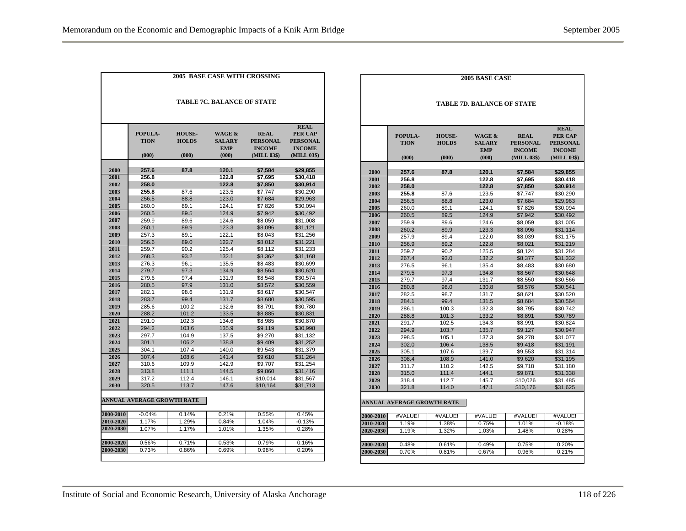| <b>2005 BASE CASE WITH CROSSING</b> |                                 |                                        |                                                           |                                                                |                                                                                  |  |  |  |
|-------------------------------------|---------------------------------|----------------------------------------|-----------------------------------------------------------|----------------------------------------------------------------|----------------------------------------------------------------------------------|--|--|--|
| <b>TABLE 7C. BALANCE OF STATE</b>   |                                 |                                        |                                                           |                                                                |                                                                                  |  |  |  |
|                                     | POPULA-<br><b>TION</b><br>(000) | <b>HOUSE-</b><br><b>HOLDS</b><br>(000) | <b>WAGE &amp;</b><br><b>SALARY</b><br><b>EMP</b><br>(000) | <b>REAL</b><br><b>PERSONAL</b><br><b>INCOME</b><br>(MILL 03\$) | <b>REAL</b><br><b>PER CAP</b><br><b>PERSONAL</b><br><b>INCOME</b><br>(MILL 03\$) |  |  |  |
|                                     |                                 |                                        | 120.1                                                     |                                                                |                                                                                  |  |  |  |
| 2000<br>2001                        | 257.6<br>256.8                  | 87.8                                   | 122.8                                                     | \$7,584<br>\$7.695                                             | \$29,855<br>\$30,418                                                             |  |  |  |
| 2002                                | 258.0                           |                                        | 122.8                                                     | \$7,850                                                        | \$30,914                                                                         |  |  |  |
| 2003                                | 255.8                           | 87.6                                   | 123.5                                                     | \$7,747                                                        | \$30,290                                                                         |  |  |  |
| 2004                                | 256.5                           | 88.8                                   | 123.0                                                     | \$7,684                                                        | \$29,963                                                                         |  |  |  |
| 2005                                | 260.0                           | 89.1                                   | 124.1                                                     | \$7,826                                                        | \$30,094                                                                         |  |  |  |
| 2006                                | 260.5                           | 89.5                                   | 124.9                                                     | \$7,942                                                        | \$30,492                                                                         |  |  |  |
| 2007                                | 259.9                           | 89.6                                   | 124.6                                                     | \$8.059                                                        | \$31.008                                                                         |  |  |  |
| 2008                                | 260.1                           | 89.9                                   | 123.3                                                     | \$8,096                                                        | \$31,121                                                                         |  |  |  |
| 2009                                | 257.3                           | 89.1                                   | 122.1                                                     | \$8,043                                                        | \$31,256                                                                         |  |  |  |
| 2010                                | 256.6                           | 89.0                                   | 122.7                                                     | \$8,012                                                        | \$31,221                                                                         |  |  |  |
| 2011                                | 259.7                           | 90.2                                   | 125.4                                                     | \$8,112                                                        | \$31,233                                                                         |  |  |  |
| 2012                                | 268.3                           | 93.2                                   | 132.1                                                     | \$8,362                                                        | \$31,168                                                                         |  |  |  |
| 2013                                | 276.3                           | 96.1                                   | 135.5                                                     | \$8,483                                                        | \$30,699                                                                         |  |  |  |
| 2014                                | 279.7                           | 97.3                                   | 134.9                                                     | \$8,564                                                        | \$30.620                                                                         |  |  |  |
| 2015                                | 279.6                           | 97.4                                   | 131.9                                                     | \$8,548                                                        | \$30,574                                                                         |  |  |  |
| 2016                                | 280.5                           | 97.9                                   | 131.0                                                     | \$8,572                                                        | \$30,559                                                                         |  |  |  |
| 2017                                | 282.1                           | 98.6                                   | 131.9                                                     | \$8,617                                                        | \$30,547                                                                         |  |  |  |
| 2018                                | 283.7                           | 99.4                                   | 131.7                                                     | \$8,680                                                        | \$30,595                                                                         |  |  |  |
| 2019                                | 285.6                           | 100.2                                  | 132.6                                                     | \$8,791                                                        | \$30,780                                                                         |  |  |  |
| 2020                                | 288.2                           | 101.2                                  | 133.5                                                     | \$8,885                                                        | \$30,831                                                                         |  |  |  |
| 2021                                | 291.0                           | 102.3                                  | 134.6                                                     | \$8.985                                                        | \$30.870                                                                         |  |  |  |
| 2022                                | 294.2                           | 103.6                                  | 135.9                                                     | \$9,119                                                        | \$30,998                                                                         |  |  |  |
| 2023                                | 297.7                           | 104.9                                  | 137.5                                                     | \$9.270                                                        | \$31,132                                                                         |  |  |  |
| 2024                                | 301.1                           | 106.2                                  | 138.8                                                     | \$9,409                                                        | \$31,252                                                                         |  |  |  |
| 2025                                | 304.1                           | 107.4                                  | 140.0                                                     | \$9,543                                                        | \$31,379                                                                         |  |  |  |
| 2026                                | 307.4                           | 108.6                                  | 141.4                                                     | \$9,610                                                        | \$31,264                                                                         |  |  |  |
| 2027                                | 310.6                           | 109.9                                  | 142.9                                                     | \$9.707                                                        | \$31.254                                                                         |  |  |  |
| 2028                                | 313.8                           | 111.1                                  | 144.5                                                     | \$9,860                                                        | \$31,416                                                                         |  |  |  |
| 2029                                | 317.2                           | 112.4                                  | 146.1                                                     | \$10,014                                                       | \$31,567                                                                         |  |  |  |
| 2030                                | 320.5                           | 113.7                                  | 147.6                                                     | \$10,164                                                       | \$31,713                                                                         |  |  |  |
|                                     | ANNUAL AVERAGE GROWTH RATE      |                                        |                                                           |                                                                |                                                                                  |  |  |  |
| 2000-2010                           | $-0.04%$                        | 0.14%                                  | 0.21%                                                     | 0.55%                                                          | 0.45%                                                                            |  |  |  |
| 2010-2020                           | 1.17%                           | 1.29%                                  | 0.84%                                                     | 1.04%                                                          | $-0.13%$                                                                         |  |  |  |
| 2020-2030                           | 1.07%                           | 1.17%                                  | 1.01%                                                     | 1.35%                                                          | 0.28%                                                                            |  |  |  |
|                                     |                                 |                                        |                                                           |                                                                |                                                                                  |  |  |  |
| 2000-2020                           | 0.56%                           | 0.71%                                  | 0.53%                                                     | 0.79%                                                          | 0.16%                                                                            |  |  |  |
| 2000-2030                           | 0.73%                           | 0.86%                                  | 0.69%                                                     | 0.98%                                                          | 0.20%                                                                            |  |  |  |

|              | <b>2005 BASE CASE</b>             |                                        |                                                           |                                                                |                                                                                  |  |  |  |  |
|--------------|-----------------------------------|----------------------------------------|-----------------------------------------------------------|----------------------------------------------------------------|----------------------------------------------------------------------------------|--|--|--|--|
|              | <b>TABLE 7D. BALANCE OF STATE</b> |                                        |                                                           |                                                                |                                                                                  |  |  |  |  |
|              | POPULA-<br><b>TION</b><br>(000)   | <b>HOUSE-</b><br><b>HOLDS</b><br>(000) | <b>WAGE &amp;</b><br><b>SALARY</b><br><b>EMP</b><br>(000) | <b>REAL</b><br><b>PERSONAL</b><br><b>INCOME</b><br>(MILL 03\$) | <b>REAL</b><br><b>PER CAP</b><br><b>PERSONAL</b><br><b>INCOME</b><br>(MILL 03\$) |  |  |  |  |
|              |                                   |                                        |                                                           |                                                                |                                                                                  |  |  |  |  |
| 2000         | 257.6                             | 87.8                                   | 120.1                                                     | \$7,584                                                        | \$29,855                                                                         |  |  |  |  |
| 2001         | 256.8                             |                                        | 122.8                                                     | \$7,695                                                        | \$30.418                                                                         |  |  |  |  |
| 2002         | 258.0                             |                                        | 122.8                                                     | \$7,850                                                        | \$30,914                                                                         |  |  |  |  |
| 2003         | 255.8                             | 87.6                                   | 123.5                                                     | \$7,747                                                        | \$30,290                                                                         |  |  |  |  |
| 2004         | 256.5                             | 88.8                                   | 123.0                                                     | \$7,684                                                        | \$29,963                                                                         |  |  |  |  |
| 2005<br>2006 | 260.0<br>260.5                    | 89.1<br>89.5                           | 124.1<br>124.9                                            | \$7,826                                                        | \$30,094<br>\$30,492                                                             |  |  |  |  |
| 2007         | 259.9                             | 89.6                                   | 124.6                                                     | \$7,942<br>\$8,059                                             | \$31,005                                                                         |  |  |  |  |
| 2008         | 260.2                             | 89.9                                   | 123.3                                                     | \$8,096                                                        | \$31,114                                                                         |  |  |  |  |
| 2009         | 257.9                             | 89.4                                   | 122.0                                                     |                                                                |                                                                                  |  |  |  |  |
| 2010         | 256.9                             | 89.2                                   | 122.8                                                     | \$8,039<br>\$8.021                                             | \$31,175<br>\$31,219                                                             |  |  |  |  |
| 2011         | 259.7                             | 90.2                                   | 125.5                                                     | \$8,124                                                        | \$31,284                                                                         |  |  |  |  |
| 2012         | 267.4                             | 93.0                                   | 132.2                                                     | \$8,377                                                        | \$31,332                                                                         |  |  |  |  |
| 2013         | 276.5                             | 96.1                                   | 135.4                                                     | \$8,483                                                        | \$30,680                                                                         |  |  |  |  |
| 2014         | 279.5                             | 97.3                                   | 134.8                                                     | \$8,567                                                        | \$30,648                                                                         |  |  |  |  |
| 2015         | 279.7                             | 97.4                                   | 131.7                                                     | \$8,550                                                        | \$30,566                                                                         |  |  |  |  |
| 2016         | 280.8                             | 98.0                                   | 130.8                                                     | \$8,576                                                        | \$30,541                                                                         |  |  |  |  |
| 2017         | 282.5                             | 98.7                                   | 131.7                                                     | \$8,621                                                        | \$30,520                                                                         |  |  |  |  |
| 2018         | 284.1                             | 99.4                                   | 131.5                                                     | \$8,684                                                        | \$30,564                                                                         |  |  |  |  |
| 2019         | 286.1                             | 100.3                                  | 132.3                                                     | \$8.795                                                        | \$30.742                                                                         |  |  |  |  |
| 2020         | 288.8                             | 101.3                                  | 133.2                                                     | \$8,891                                                        | \$30,789                                                                         |  |  |  |  |
| 2021         | 291.7                             | 102.5                                  | 134.3                                                     | \$8.991                                                        | \$30.824                                                                         |  |  |  |  |
| 2022         | 294.9                             | 103.7                                  | 135.7                                                     | \$9,127                                                        | \$30,947                                                                         |  |  |  |  |
| 2023         | 298.5                             | 105.1                                  | 137.3                                                     | \$9.278                                                        | \$31,077                                                                         |  |  |  |  |
| 2024         | 302.0                             | 106.4                                  | 138.5                                                     | \$9,418                                                        | \$31,191                                                                         |  |  |  |  |
| 2025         | 305.1                             | 107.6                                  | 139.7                                                     | \$9,553                                                        | \$31,314                                                                         |  |  |  |  |
| 2026         | 308.4                             | 108.9                                  | 141.0                                                     | \$9,620                                                        | \$31,195                                                                         |  |  |  |  |
| 2027         | 311.7                             | 110.2                                  | 142.5                                                     | \$9,718                                                        | \$31,180                                                                         |  |  |  |  |
| 2028         | 315.0                             | 111.4                                  | 144.1                                                     | \$9,871                                                        | \$31,338                                                                         |  |  |  |  |
| 2029         | 318.4                             | 112.7                                  | 145.7                                                     | \$10,026                                                       | \$31,485                                                                         |  |  |  |  |
| 2030         | 321.8                             | 114.0                                  | 147.1                                                     | \$10,176                                                       | \$31,625                                                                         |  |  |  |  |
|              | <b>ANNUAL AVERAGE GROWTH RATE</b> |                                        |                                                           |                                                                |                                                                                  |  |  |  |  |
| 2000-2010    | #VALUE!                           | #VALUE!                                | #VALUE!                                                   | #VALUE!                                                        | #VALUE!                                                                          |  |  |  |  |
| 2010-2020    | 1.19%                             | 1.38%                                  | 0.75%                                                     | 1.01%                                                          | $-0.18%$                                                                         |  |  |  |  |
| 2020-2030    | 1.19%                             | 1.32%                                  | 1.03%                                                     | 1.48%                                                          | 0.28%                                                                            |  |  |  |  |
|              |                                   |                                        |                                                           |                                                                |                                                                                  |  |  |  |  |
| 2000-2020    | 0.48%                             | 0.61%                                  | 0.49%                                                     | 0.75%                                                          | 0.20%                                                                            |  |  |  |  |
| 2000-2030    | 0.70%                             | 0.81%                                  | 0.67%                                                     | 0.96%                                                          | 0.21%                                                                            |  |  |  |  |
|              |                                   |                                        |                                                           |                                                                |                                                                                  |  |  |  |  |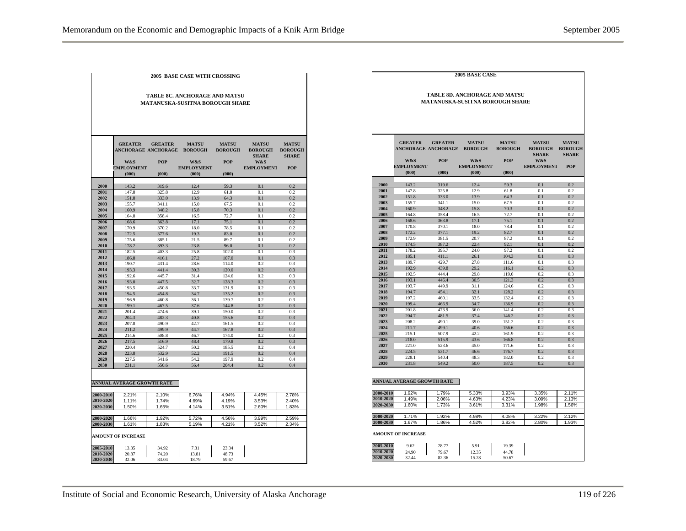|              | <b>2005 BASE CASE WITH CROSSING</b>  |                                              |                                        |                |                                |                                |  |  |  |
|--------------|--------------------------------------|----------------------------------------------|----------------------------------------|----------------|--------------------------------|--------------------------------|--|--|--|
|              |                                      |                                              |                                        |                |                                |                                |  |  |  |
|              |                                      |                                              |                                        |                |                                |                                |  |  |  |
|              | <b>TABLE 8C. ANCHORAGE AND MATSU</b> |                                              |                                        |                |                                |                                |  |  |  |
|              |                                      |                                              | <b>MATANUSKA-SUSITNA BOROUGH SHARE</b> |                |                                |                                |  |  |  |
|              |                                      |                                              |                                        |                |                                |                                |  |  |  |
|              |                                      |                                              |                                        |                |                                |                                |  |  |  |
|              |                                      |                                              |                                        |                |                                |                                |  |  |  |
|              |                                      |                                              |                                        |                |                                |                                |  |  |  |
|              |                                      |                                              |                                        |                |                                |                                |  |  |  |
|              | <b>GREATER</b>                       |                                              |                                        | <b>MATSII</b>  |                                |                                |  |  |  |
|              |                                      | <b>GREATER</b><br><b>ANCHORAGE ANCHORAGE</b> | <b>MATSU</b><br><b>BOROUGH</b>         | <b>BOROUGH</b> | <b>MATSU</b><br><b>BOROUGH</b> | <b>MATSU</b><br><b>BOROUGH</b> |  |  |  |
|              |                                      |                                              |                                        |                | <b>SHARE</b>                   | <b>SHARE</b>                   |  |  |  |
|              | W&S                                  | <b>POP</b>                                   | W&S                                    | POP            | W&S                            |                                |  |  |  |
|              | <b>EMPLOYMENT</b>                    |                                              | <b>EMPLOYMENT</b>                      |                | <b>EMPLOYMENT</b>              | <b>POP</b>                     |  |  |  |
|              | (000)                                | (000)                                        | (000)                                  | (000)          |                                |                                |  |  |  |
|              |                                      |                                              |                                        |                |                                |                                |  |  |  |
| 2000         | 143.2                                | 319.6                                        | 12.4                                   | 59.3           | 0.1                            | 0.2                            |  |  |  |
| 2001         | 147.8                                | 325.8                                        | 129                                    | 61.8           | 0.1                            | 0.2                            |  |  |  |
| 2002         | 151.8                                | 333.0                                        | 13.9                                   | 64.3           | 0.1                            | 0.2                            |  |  |  |
| 2003         | 155.7                                | 341.1                                        | 15.0                                   | 67.5           | 0.1                            | 0.2                            |  |  |  |
| 2004         | 160.9                                | 348.2                                        | 15.8                                   | 70.3           | 0.1                            | 0.2                            |  |  |  |
| 2005         | 164.8                                | 358.4                                        | 16.5                                   | 72.7           | 0.1                            | 0.2                            |  |  |  |
| 2006<br>2007 | 168.6                                | 363.8                                        | 17.1                                   | 75.1           | 0.1<br>$^{\circ}$ 1            | 0.2<br>02                      |  |  |  |
| 2008         | 170.9<br>172.5                       | 370.2<br>377.6                               | 18.0<br>19.3                           | 78.5<br>83.0   | 0.1                            | 0.2                            |  |  |  |
| 2009         | 175.6                                | 3851                                         | 21.5                                   | 89.7           | 0.1                            | 0.2                            |  |  |  |
| 2010         | 178.2                                | 393.3                                        | 23.8                                   | 96.0           | 0.1                            | 0.2                            |  |  |  |
| 2011         | 182.5                                | 403.3                                        | 25.8                                   | 102.0          | 0.1                            | 0.3                            |  |  |  |
| 2012         | 186.8                                | 416.1                                        | 27.2                                   | 107.0          | 0.1                            | 0.3                            |  |  |  |
| 2013         | 190.7                                | 431.4                                        | 28.6                                   | 114.0          | 0.2                            | 0.3                            |  |  |  |
| 2014         | 193.3                                | 441.4                                        | 30.3                                   | 120.0          | 0.2                            | 0.3                            |  |  |  |
| 2015         | 192.6                                | 445.7                                        | 31.4                                   | 124.6          | 0.2                            | 0.3                            |  |  |  |
| 2016         | 193.0                                | 447.5                                        | 32.7                                   | 128.3          | 0.2                            | 0.3                            |  |  |  |
| 2017         | 193.5                                | 450.8                                        | 33.7                                   | 131.9          | 0.2                            | 0.3                            |  |  |  |
| 2018         | 194.5                                | 454.8                                        | 34.7                                   | 135.2          | 0.2                            | 0.3                            |  |  |  |
| 2019<br>2020 | 196.9                                | 460.8                                        | 36.1                                   | 139.7          | 0.2                            | 0.3                            |  |  |  |
| 2021         | 199.1<br>201.4                       | 467.5<br>474.6                               | 37.6<br>39.1                           | 144.8<br>150.0 | 0.2<br>0.2                     | 0.3<br>0.3                     |  |  |  |
| 2022         | 204.3                                | 482.3                                        | 40.8                                   | 155.6          | 0.2                            | 0.3                            |  |  |  |
| 2023         | 207.8                                | 490.9                                        | 42.7                                   | 161.5          | 0.2                            | 0.3                            |  |  |  |
| 2024         | 211.2                                | 499.9                                        | 44.7                                   | 167.8          | 0.2                            | 0.3                            |  |  |  |
| 2025         | 214.6                                | 508.8                                        | 46.7                                   | 174.0          | 0.2                            | 0.3                            |  |  |  |
| 2026         | 217.5                                | 516.9                                        | 48.4                                   | 179.8          | 0.2                            | 0.3                            |  |  |  |
| 2027         | 220.4                                | 524.7                                        | 50.2                                   | 185.5          | 0.2                            | 0.4                            |  |  |  |
| 2028         | 223.8                                | 532.9                                        | 52.2                                   | 191.5          | 0.2                            | 0.4                            |  |  |  |
| 2029         | 227.5                                | 541.6                                        | 54.2                                   | 197.9          | 02                             | 0.4                            |  |  |  |
| 2030         | 231.1                                | 550.6                                        | 56.4                                   | 204.4          | 0.2                            | 0.4                            |  |  |  |
|              |                                      |                                              |                                        |                |                                |                                |  |  |  |
|              |                                      |                                              |                                        |                |                                |                                |  |  |  |
|              | <b>ANNUAL AVERAGE GROWTH RATE</b>    |                                              |                                        |                |                                |                                |  |  |  |
| 2000-2010    | 2.21%                                | 2.10%                                        | 6.76%                                  | 4.94%          | 4.45%                          | 2.78%                          |  |  |  |
| 2010-2020    | 1.11%                                | 1.74%                                        | 4.69%                                  | 4.19%          | 3.53%                          | 2.40%                          |  |  |  |
| 2020-2030    | 1.50%                                | 1.65%                                        | 4.14%                                  | 3.51%          | 2.60%                          | 1.83%                          |  |  |  |
|              |                                      |                                              |                                        |                |                                |                                |  |  |  |
| 2000-2020    | 1.66%                                | 1.92%                                        | 5.72%                                  | 4.56%          | 3.99%                          | 2.59%                          |  |  |  |
| 2000-2030    | 1.61%                                | 1.83%                                        | 5.19%                                  | 4.21%          | 3.52%                          | 2.34%                          |  |  |  |
|              |                                      |                                              |                                        |                |                                |                                |  |  |  |
|              | <b>AMOUNT OF INCREASE</b>            |                                              |                                        |                |                                |                                |  |  |  |
| 2005-2010    | 13.35                                | 34.92                                        | 7.31                                   | 23.34          |                                |                                |  |  |  |
| 2010-2020    | 20.87                                | 74.20                                        | 13.81                                  | 48.73          |                                |                                |  |  |  |
| 2020-2030    | 32.06                                | 83.04                                        | 18.79                                  | 59.67          |                                |                                |  |  |  |
|              |                                      |                                              |                                        |                |                                |                                |  |  |  |

| 2005 BASE CASE                  |                                   |                |                                      |                |                                |                                |  |  |  |
|---------------------------------|-----------------------------------|----------------|--------------------------------------|----------------|--------------------------------|--------------------------------|--|--|--|
|                                 |                                   |                |                                      |                |                                |                                |  |  |  |
|                                 |                                   |                | <b>TABLE 8D. ANCHORAGE AND MATSU</b> |                |                                |                                |  |  |  |
| MATANUSKA-SUSITNA BOROUGH SHARE |                                   |                |                                      |                |                                |                                |  |  |  |
|                                 |                                   |                |                                      |                |                                |                                |  |  |  |
|                                 |                                   |                |                                      |                |                                |                                |  |  |  |
|                                 |                                   |                |                                      |                |                                |                                |  |  |  |
|                                 |                                   |                |                                      |                |                                |                                |  |  |  |
|                                 |                                   |                |                                      |                |                                |                                |  |  |  |
|                                 | <b>GREATER</b>                    | <b>GREATER</b> | <b>MATSU</b>                         | <b>MATSU</b>   | <b>MATSU</b>                   | <b>MATSU</b>                   |  |  |  |
|                                 | <b>ANCHORAGE ANCHORAGE</b>        |                | <b>BOROUGH</b>                       | <b>BOROUGH</b> | <b>BOROUGH</b><br><b>SHARE</b> | <b>BOROUGH</b><br><b>SHARE</b> |  |  |  |
|                                 | <b>W&amp;S</b>                    | POP            | W&S                                  | POP            | W&S                            |                                |  |  |  |
|                                 | <b>EMPLOYMENT</b>                 |                | <b>EMPLOYMENT</b>                    |                | <b>EMPLOYMENT</b>              | <b>POP</b>                     |  |  |  |
|                                 | (000)                             | (000)          | (000)                                | (000)          |                                |                                |  |  |  |
|                                 |                                   |                |                                      |                |                                |                                |  |  |  |
| 2000<br>2001                    | 143.2<br>147.8                    | 319.6<br>325.8 | 12.4<br>12.9                         | 59.3<br>61.8   | 0.1<br>0.1                     | 0.2<br>0.2                     |  |  |  |
| 2002                            | 151.8                             | 333.0          | 13.9                                 | 64.3           | 0.1                            | 0.2                            |  |  |  |
| 2003                            | 155.7                             | 341.1          | 15.0                                 | 67.5           | 0.1                            | 0.2                            |  |  |  |
| 2004                            | 160.9                             | 348.2          | 15.8                                 | 70.3           | 0.1                            | 0.2                            |  |  |  |
| 2005                            | 164.8                             | 358.4          | 16.5                                 | 72.7           | 0.1                            | 0.2                            |  |  |  |
| 2006<br>2007                    | 168.6<br>170.8                    | 363.8<br>370.1 | 17.1<br>18.0                         | 75.1<br>78.4   | 0.1<br>0.1                     | 0.2<br>0.2                     |  |  |  |
| 2008                            | 172.2                             | 377.1          | 19.2                                 | 82.7           | 0.1                            | 0.2                            |  |  |  |
| 2009                            | 172.9                             | 381.5          | 20.7                                 | 87.2           | 0.1                            | 0.2                            |  |  |  |
| 2010                            | 174.5                             | 387.2          | 22.4                                 | 92.1           | 0.1                            | 0.2                            |  |  |  |
| 2011                            | 178.2                             | 395.7          | 24.0                                 | 97.2           | 0.1                            | 0.2                            |  |  |  |
| 2012                            | 185.1                             | 411.1          | 26.1                                 | 104.3          | 0.1                            | 0.3                            |  |  |  |
| 2013<br>2014                    | 189.7<br>192.9                    | 429.7<br>439.8 | 27.8<br>29.2                         | 111.6<br>116.1 | 0.1<br>0.2                     | 0.3<br>0.3                     |  |  |  |
| 2015                            | 192.5                             | 444.4          | 29.8                                 | 119.0          | 0.2                            | 0.3                            |  |  |  |
| 2016                            | 193.1                             | 446.4          | 30.5                                 | 121.3          | 0.2                            | 0.3                            |  |  |  |
| 2017                            | 193.7                             | 449.9          | 31.1                                 | 124.6          | 0.2                            | 0.3                            |  |  |  |
| 2018                            | 194.7                             | 454.1          | 32.1                                 | 128.2          | 0.2                            | 0.3                            |  |  |  |
| 2019                            | 197.2                             | 460.1          | 33.5                                 | 132.4          | 0.2                            | 0.3                            |  |  |  |
| 2020<br>2021                    | 199.4<br>201.8                    | 466.9<br>473.9 | 34.7<br>36.0                         | 136.9<br>141.4 | 0.2<br>0.2                     | 0.3<br>0.3                     |  |  |  |
| 2022                            | 204.7                             | 481.5          | 37.4                                 | 146.2          | 0.2                            | 0.3                            |  |  |  |
| 2023                            | 208.2                             | 490.1          | 39.0                                 | 151.2          | 0.2                            | 0.3                            |  |  |  |
| 2024                            | 211.7                             | 499.1          | 40.6                                 | 156.6          | 0.2                            | 0.3                            |  |  |  |
| 2025                            | 215.1                             | 507.9          | 42.2                                 | 161.9          | 0.2                            | 0.3                            |  |  |  |
| 2026<br>2027                    | 218.0<br>221.0                    | 515.9<br>523.6 | 43.6<br>45.0                         | 166.8<br>171.6 | 0.2<br>0.2                     | 0.3<br>0.3                     |  |  |  |
| 2028                            | 224.5                             | 531.7          | 46.6                                 | 176.7          | 0.2                            | 0.3                            |  |  |  |
| 2029                            | 228.1                             | 540.4          | 48.3                                 | 182.0          | 0.2                            | 0.3                            |  |  |  |
| 2030                            | 231.8                             | 549.2          | 50.0                                 | 187.5          | 0.2                            | 0.3                            |  |  |  |
|                                 |                                   |                |                                      |                |                                |                                |  |  |  |
|                                 |                                   |                |                                      |                |                                |                                |  |  |  |
|                                 | <b>ANNUAL AVERAGE GROWTH RATE</b> |                |                                      |                |                                |                                |  |  |  |
| 2000-2010                       | 1.92%                             | 1.79%          | 5.33%                                | 3.93%          | 3.35%                          | 2.11%                          |  |  |  |
| 2010-2020                       | 1.49%                             | 2.06%          | 4.63%                                | 4.23%          | 3.09%                          | 2.13%                          |  |  |  |
| 2020-2030                       | 1.60%                             | 1.73%          | 3.61%                                | 3.31%          | 1.98%                          | 1.56%                          |  |  |  |
| 2000-2020                       | 1.71%                             | 1.92%          | 4.98%                                | 4.08%          | 3.22%                          | 2.12%                          |  |  |  |
| 2000-2030                       | 1.67%                             | 1.86%          | 4.52%                                | 3.82%          | 2.80%                          | 1.93%                          |  |  |  |
|                                 |                                   |                |                                      |                |                                |                                |  |  |  |
|                                 | <b>AMOUNT OF INCREASE</b>         |                |                                      |                |                                |                                |  |  |  |
|                                 |                                   |                |                                      |                |                                |                                |  |  |  |
| 2005-2010                       | 9.62                              | 28.77          | 5.91                                 | 19.39          |                                |                                |  |  |  |
| 2010-2020<br>2020-2030          | 24.90<br>32.44                    | 79.67<br>82.36 | 12.35<br>15.28                       | 44.78<br>50.67 |                                |                                |  |  |  |
|                                 |                                   |                |                                      |                |                                |                                |  |  |  |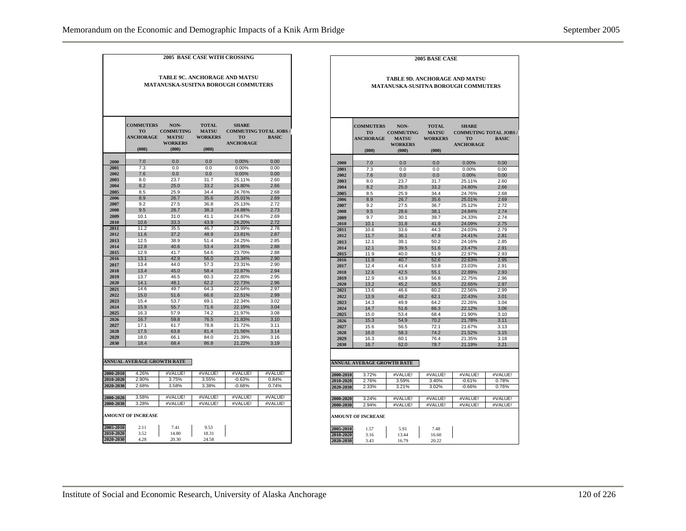|                                                                      |                                                            |                                                                     |                                                         | <b>2005 BASE CASE WITH CROSSING</b>                                           |                    |  |  |
|----------------------------------------------------------------------|------------------------------------------------------------|---------------------------------------------------------------------|---------------------------------------------------------|-------------------------------------------------------------------------------|--------------------|--|--|
| TABLE 9C. ANCHORAGE AND MATSU<br>MATANUSKA-SUSITNA BOROUGH COMMUTERS |                                                            |                                                                     |                                                         |                                                                               |                    |  |  |
|                                                                      |                                                            |                                                                     |                                                         |                                                                               |                    |  |  |
|                                                                      | <b>COMMUTERS</b><br><b>TO</b><br><b>ANCHORAGE</b><br>(000) | NON-<br><b>COMMUTING</b><br><b>MATSU</b><br><b>WORKERS</b><br>(000) | <b>TOTAL</b><br><b>MATSU</b><br><b>WORKERS</b><br>(000) | <b>SHARE</b><br><b>COMMUTING TOTAL JOBS/</b><br><b>TO</b><br><b>ANCHORAGE</b> | <b>BASIC</b>       |  |  |
|                                                                      |                                                            |                                                                     |                                                         |                                                                               |                    |  |  |
| 2000                                                                 | 7.0                                                        | 0.0                                                                 | 0.0                                                     | 0.00%                                                                         | 0.00               |  |  |
| 2001<br>2002                                                         | 7.3<br>7.6                                                 | 0.0<br>0.0                                                          | 0.0<br>0.0                                              | 0.00%<br>0.00%                                                                | 0.00<br>0.00       |  |  |
| 2003                                                                 | 8.0                                                        | 23.7                                                                | 31.7                                                    | 25.11%                                                                        | 2.60               |  |  |
| 2004                                                                 | 8.2                                                        | 25.0                                                                | 33.2                                                    | 24.80%                                                                        | 2.66               |  |  |
| 2005                                                                 | 8.5                                                        | 25.9                                                                | 34.4                                                    | 24.76%                                                                        | 2.68               |  |  |
| 2006                                                                 | 8.9                                                        | 26.7                                                                | 35.6                                                    | 25.01%                                                                        | 2.69               |  |  |
| 2007                                                                 | 9.2                                                        | 27.5                                                                | 36.8                                                    | 25.13%                                                                        | 2.72               |  |  |
| 2008                                                                 | 9.5                                                        | 28.7                                                                | 38.3                                                    | 24.88%                                                                        | 2.73               |  |  |
| 2009                                                                 | 10.1                                                       | 31.0                                                                | 41.1                                                    | 24.67%                                                                        | 2.69               |  |  |
| 2010<br>2011                                                         | 10.6<br>11.2                                               | 33.3<br>35.5                                                        | 43.9<br>46.7                                            | 24.20%<br>23.99%                                                              | 2.72<br>2.78       |  |  |
| 2012                                                                 | 11.6                                                       | 37.2                                                                | 48.9                                                    | 23.81%                                                                        | 2.87               |  |  |
| 2013                                                                 | 12.5                                                       | 38.9                                                                | 51.4                                                    | 24.25%                                                                        | 2.85               |  |  |
| 2014                                                                 | 12.8                                                       | 40.6                                                                | 53.4                                                    | 23.95%                                                                        | 2.88               |  |  |
| 2015                                                                 | 12.9                                                       | 41.7                                                                | 54.6                                                    | 23.70%                                                                        | 2.88               |  |  |
| 2016                                                                 | 13.1                                                       | 42.9                                                                | 56.0                                                    | 23.34%                                                                        | 2.90               |  |  |
| 2017                                                                 | 13.4                                                       | 44.0                                                                | 57.3                                                    | 23.31%                                                                        | 2.90               |  |  |
| 2018<br>2019                                                         | 13.4<br>13.7                                               | 45.0<br>46.5                                                        | 58.4<br>60.3                                            | 22.87%<br>22.80%                                                              | 2.94<br>2.95       |  |  |
| 2020                                                                 | 14.1                                                       | 48.1                                                                | 62.2                                                    | 22.73%                                                                        | 2.96               |  |  |
| 2021                                                                 | 14.6                                                       | 49.7                                                                | 64.3                                                    | 22.64%                                                                        | 2.97               |  |  |
| 2022                                                                 | 15.0                                                       | 51.6                                                                | 66.6                                                    | 22.51%                                                                        | 2.99               |  |  |
| 2023                                                                 | 15.4                                                       | 53.7                                                                | 69.1                                                    | 22.34%                                                                        | 3.02               |  |  |
| 2024                                                                 | 15.9                                                       | 55.7                                                                | 71.6                                                    | 22.19%                                                                        | 3.04               |  |  |
| 2025                                                                 | 16.3                                                       | 57.9                                                                | 74.2                                                    | 21.97%                                                                        | 3.08               |  |  |
| 2026                                                                 | 16.7                                                       | 59.8                                                                | 76.5                                                    | 21.83%                                                                        | 3.10               |  |  |
| 2027                                                                 | 17.1<br>17.5                                               | 61.7                                                                | 78.8<br>81.4                                            | 21.72%                                                                        | 3.11               |  |  |
| 2028<br>2029                                                         | 18.0                                                       | 63.8<br>66.1                                                        | 84.0                                                    | 21.56%<br>21.39%                                                              | 3.14<br>3.16       |  |  |
| 2030                                                                 | 18.4                                                       | 68.4                                                                | 86.8                                                    | 21.22%                                                                        | 3.19               |  |  |
|                                                                      |                                                            |                                                                     |                                                         |                                                                               |                    |  |  |
|                                                                      | ANNUAL AVERAGE GROWTH RATE                                 |                                                                     |                                                         |                                                                               |                    |  |  |
| 2000-2010                                                            | 4.26%                                                      | #VALUE!                                                             | #VALUE!                                                 | #VALUE!                                                                       | #VALUE!            |  |  |
| 2010-2020                                                            | 2.90%                                                      | 3.75%                                                               | 3.55%                                                   | $-0.63%$                                                                      | 0.84%              |  |  |
| 2020-2030                                                            | 2.68%                                                      | 3.58%                                                               | 3.38%                                                   | $-0.68%$                                                                      | 0.74%              |  |  |
|                                                                      |                                                            |                                                                     |                                                         |                                                                               |                    |  |  |
| 2000-2020                                                            | 3.58%<br>3.28%                                             | #VALUE!<br>#VALUE!                                                  | #VALUE!<br>#VALUE!                                      | #VALUE!<br>#VALUE!                                                            | #VALUE!<br>#VALUE! |  |  |
| 2000-2030                                                            | <b>AMOUNT OF INCREASE</b>                                  |                                                                     |                                                         |                                                                               |                    |  |  |
| 2005-2010                                                            | 2.11                                                       | 7.41                                                                | 9.53                                                    |                                                                               |                    |  |  |
| 2010-2020                                                            | 3.52                                                       | 14.80                                                               | 18.31                                                   |                                                                               |                    |  |  |
| 2020-2030                                                            | 4.28                                                       | 20.30                                                               | 24.58                                                   |                                                                               |                    |  |  |

|              | 2005 BASE CASE<br>TABLE 9D. ANCHORAGE AND MATSU<br><b>MATANUSKA-SUSITNA BOROUGH COMMUTERS</b> |                                                              |                                                         |                                                                                |              |  |  |  |
|--------------|-----------------------------------------------------------------------------------------------|--------------------------------------------------------------|---------------------------------------------------------|--------------------------------------------------------------------------------|--------------|--|--|--|
|              |                                                                                               |                                                              |                                                         |                                                                                |              |  |  |  |
|              | <b>COMMUTERS</b><br>TO<br><b>ANCHORAGE</b><br>(000)                                           | NON-<br><b>COMMUTING</b><br><b>MATSU</b><br>WORKERS<br>(000) | <b>TOTAL</b><br><b>MATSU</b><br><b>WORKERS</b><br>(000) | <b>SHARE</b><br><b>COMMUTING TOTAL JOBS /</b><br><b>TO</b><br><b>ANCHORAGE</b> | <b>BASIC</b> |  |  |  |
| 2000         | 7.0                                                                                           | 0.0                                                          | 0.0                                                     | $0.00\%$                                                                       | 0.00         |  |  |  |
| 2001         | 7.3                                                                                           | 0.0                                                          | 0.0                                                     | 0.00%                                                                          | 0.00         |  |  |  |
| 2002         | 7.6                                                                                           | 0.0                                                          | 0.0                                                     | 0.00%                                                                          | 0.00         |  |  |  |
| 2003         | 8.0                                                                                           | 23.7                                                         | 31.7                                                    | 25.11%                                                                         | 2.60         |  |  |  |
| 2004         | 8.2                                                                                           | 25.0                                                         | 33.2                                                    | 24.80%                                                                         | 2.66         |  |  |  |
| 2005         | 8.5                                                                                           | 25.9                                                         | 34.4                                                    | 24.76%                                                                         | 2.68         |  |  |  |
| 2006         | 8.9                                                                                           | 26.7                                                         | 35.6                                                    | 25.01%                                                                         | 2.69         |  |  |  |
| 2007         | 9.2                                                                                           | 27.5                                                         | 36.7                                                    | 25.12%                                                                         | 2.72         |  |  |  |
| 2008         | 9.5                                                                                           | 28.6                                                         | 38.1                                                    | 24.84%                                                                         | 2.74         |  |  |  |
| 2009         | 9.7                                                                                           | 30.1                                                         | 39.7                                                    | 24.33%                                                                         | 2.74         |  |  |  |
| 2010         | 10.1                                                                                          | 31.8                                                         | 41.9                                                    | 24.09%                                                                         | 2.75         |  |  |  |
| 2011<br>2012 | 10.6<br>11.7                                                                                  | 33.6<br>36.1                                                 | 44.3<br>47.8                                            | 24.03%                                                                         | 2.79<br>2.81 |  |  |  |
| 2013         | 12.1                                                                                          | 38.1                                                         | 50.2                                                    | 24.41%<br>24.16%                                                               | 2.85         |  |  |  |
| 2014         | 12.1                                                                                          | 39.5                                                         | 51.6                                                    | 23.47%                                                                         | 2.91         |  |  |  |
| 2015         | 11.9                                                                                          | 40.0                                                         | 51.9                                                    | 22.97%                                                                         | 2.93         |  |  |  |
| 2016         | 11.9                                                                                          | 40.7                                                         | 52.6                                                    | 22.63%                                                                         | 2.95         |  |  |  |
| 2017         | 12.4                                                                                          | 41.4                                                         | 53.8                                                    | 23.03%                                                                         | 2.91         |  |  |  |
| 2018         | 12.6                                                                                          | 42.5                                                         | 55.1                                                    | 22.89%                                                                         | 2.93         |  |  |  |
| 2019         | 12.9                                                                                          | 43.9                                                         | 56.8                                                    | 22.75%                                                                         | 2.96         |  |  |  |
| 2020         | 13.2                                                                                          | 45.2                                                         | 58.5                                                    | 22.65%                                                                         | 2.97         |  |  |  |
| 2021         | 13.6                                                                                          | 46.6                                                         | 60.2                                                    | 22.56%                                                                         | 2.99         |  |  |  |
| 2022         | 13.9                                                                                          | 48.2                                                         | 62.1                                                    | 22.43%                                                                         | 3.01         |  |  |  |
| 2023         | 14.3                                                                                          | 499                                                          | 64.2                                                    | 22.26%                                                                         | 3.04         |  |  |  |
| 2024         | 14.7                                                                                          | 51.6                                                         | 66.3                                                    | 22.12%                                                                         | 3.06         |  |  |  |
| 2025<br>2026 | 15.0<br>15.3                                                                                  | 53.4<br>54.9                                                 | 68.4<br>70.2                                            | 21.90%<br>21.78%                                                               | 3.10<br>3.11 |  |  |  |
| 2027         | 15.6                                                                                          | 56.5                                                         | 72.1                                                    | 21.67%                                                                         | 3.13         |  |  |  |
| 2028         | 16.0                                                                                          | 58.3                                                         | 74.2                                                    | 21.52%                                                                         | 3.15         |  |  |  |
| 2029         | 16.3                                                                                          | 60.1                                                         | 76.4                                                    | 21.35%                                                                         | 3.18         |  |  |  |
| 2030         | 16.7                                                                                          | 62.0                                                         | 78.7                                                    | 21.19%                                                                         | 3.21         |  |  |  |
|              | <b>ANNUAL AVERAGE GROWTH RATE</b>                                                             |                                                              |                                                         |                                                                                |              |  |  |  |
| 2000-2010    | 3.72%                                                                                         | #VALUE!                                                      | #VALUE!                                                 | #VALUE!                                                                        | #VALUE!      |  |  |  |
| 2010-2020    | 2.76%                                                                                         | 3.59%                                                        | 3.40%                                                   | $-0.61%$                                                                       | 0.78%        |  |  |  |
| 2020-2030    | 2.33%                                                                                         | 3.21%                                                        | 3.02%                                                   | $-0.66%$                                                                       | 0.76%        |  |  |  |
|              |                                                                                               |                                                              |                                                         |                                                                                |              |  |  |  |
| 2000-2020    | 3.24%                                                                                         | #VALUE!                                                      | #VALUE!                                                 | #VALUE!                                                                        | #VALUE!      |  |  |  |
| 2000-2030    | 2.94%<br><b>AMOUNT OF INCREASE</b>                                                            | #VALUE!                                                      | #VALUE!                                                 | #VALUE!                                                                        | #VALUE!      |  |  |  |
| 2005-2010    | 1.57                                                                                          | 5.91                                                         | 7.48                                                    |                                                                                |              |  |  |  |
| 2010-2020    | 3.16                                                                                          | 13.44                                                        | 16.60                                                   |                                                                                |              |  |  |  |
| 2020-2030    | 3.43                                                                                          | 16.79                                                        | 20.22                                                   |                                                                                |              |  |  |  |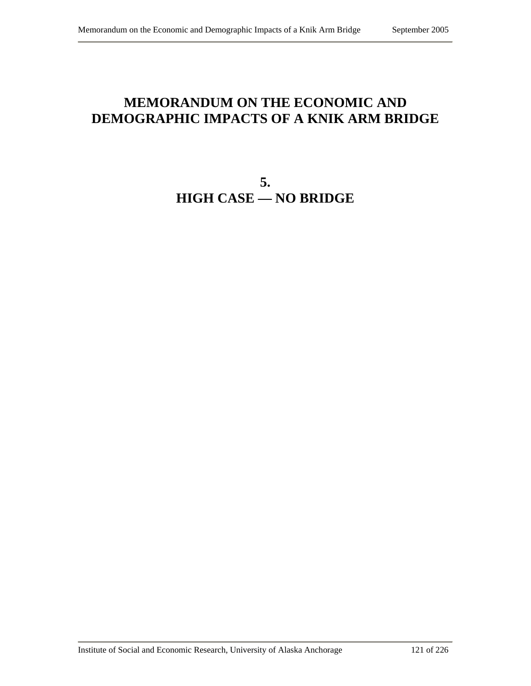# **MEMORANDUM ON THE ECONOMIC AND DEMOGRAPHIC IMPACTS OF A KNIK ARM BRIDGE**

**5. HIGH CASE — NO BRIDGE**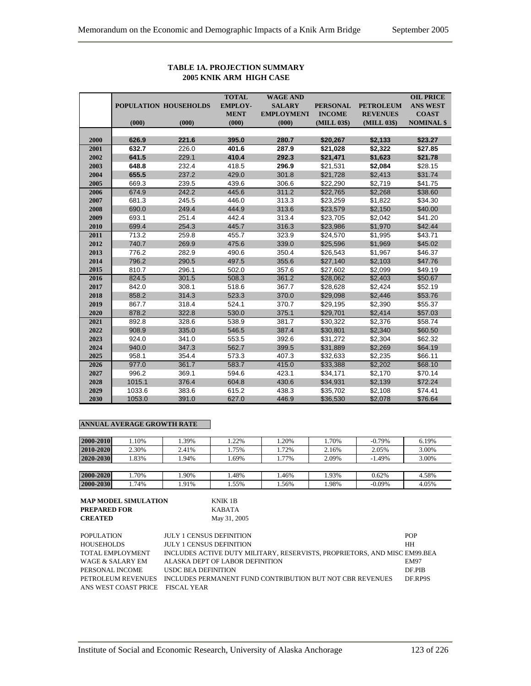|      |        |                       | <b>TOTAL</b>   | <b>WAGE AND</b>   |                 |                  | <b>OIL PRICE</b>  |
|------|--------|-----------------------|----------------|-------------------|-----------------|------------------|-------------------|
|      |        | POPULATION HOUSEHOLDS | <b>EMPLOY-</b> | <b>SALARY</b>     | <b>PERSONAL</b> | <b>PETROLEUM</b> | <b>ANS WEST</b>   |
|      |        |                       | <b>MENT</b>    | <b>EMPLOYMENT</b> | <b>INCOME</b>   | <b>REVENUES</b>  | <b>COAST</b>      |
|      | (000)  | (000)                 | (000)          | (000)             | (MILL 03\$)     | (MILL 03\$)      | <b>NOMINAL</b> \$ |
|      |        |                       |                |                   |                 |                  |                   |
| 2000 | 626.9  | 221.6                 | 395.0          | 280.7             | \$20,267        | \$2,133          | \$23.27           |
| 2001 | 632.7  | 226.0                 | 401.6          | 287.9             | \$21,028        | \$2,322          | \$27.85           |
| 2002 | 641.5  | 229.1                 | 410.4          | 292.3             | \$21,471        | \$1,623          | \$21.78           |
| 2003 | 648.8  | 232.4                 | 418.5          | 296.9             | \$21,531        | \$2,084          | \$28.15           |
| 2004 | 655.5  | 237.2                 | 429.0          | 301.8             | \$21,728        | \$2,413          | \$31.74           |
| 2005 | 669.3  | 239.5                 | 439.6          | 306.6             | \$22,290        | \$2,719          | \$41.75           |
| 2006 | 674.9  | 242.2                 | 445.6          | 311.2             | \$22,765        | \$2,268          | \$38.60           |
| 2007 | 681.3  | 245.5                 | 446.0          | 313.3             | \$23,259        | \$1,822          | \$34.30           |
| 2008 | 690.0  | 249.4                 | 444.9          | 313.6             | \$23,579        | \$2,150          | \$40.00           |
| 2009 | 693.1  | 251.4                 | 442.4          | 313.4             | \$23,705        | \$2,042          | \$41.20           |
| 2010 | 699.4  | 254.3                 | 445.7          | 316.3             | \$23,986        | \$1,970          | \$42.44           |
| 2011 | 713.2  | 259.8                 | 455.7          | 323.9             | \$24,570        | \$1,995          | \$43.71           |
| 2012 | 740.7  | 269.9                 | 475.6          | 339.0             | \$25,596        | \$1,969          | \$45.02           |
| 2013 | 776.2  | 282.9                 | 490.6          | 350.4             | \$26,543        | \$1,967          | \$46.37           |
| 2014 | 796.2  | 290.5                 | 497.5          | 355.6             | \$27,140        | \$2,103          | \$47.76           |
| 2015 | 810.7  | 296.1                 | 502.0          | 357.6             | \$27,602        | \$2,099          | \$49.19           |
| 2016 | 824.5  | 301.5                 | 508.3          | 361.2             | \$28,062        | \$2,403          | \$50.67           |
| 2017 | 842.0  | 308.1                 | 518.6          | 367.7             | \$28,628        | \$2,424          | \$52.19           |
| 2018 | 858.2  | 314.3                 | 523.3          | 370.0             | \$29,098        | \$2,446          | \$53.76           |
| 2019 | 867.7  | 318.4                 | 524.1          | 370.7             | \$29,195        | \$2,390          | \$55.37           |
| 2020 | 878.2  | 322.8                 | 530.0          | 375.1             | \$29,701        | \$2,414          | \$57.03           |
| 2021 | 892.8  | 328.6                 | 538.9          | 381.7             | \$30,322        | \$2,376          | \$58.74           |
| 2022 | 908.9  | 335.0                 | 546.5          | 387.4             | \$30,801        | \$2,340          | \$60.50           |
| 2023 | 924.0  | 341.0                 | 553.5          | 392.6             | \$31,272        | \$2,304          | \$62.32           |
| 2024 | 940.0  | 347.3                 | 562.7          | 399.5             | \$31,889        | \$2,269          | \$64.19           |
| 2025 | 958.1  | 354.4                 | 573.3          | 407.3             | \$32,633        | \$2,235          | \$66.11           |
| 2026 | 977.0  | 361.7                 | 583.7          | 415.0             | \$33,388        | \$2,202          | \$68.10           |
| 2027 | 996.2  | 369.1                 | 594.6          | 423.1             | \$34,171        | \$2,170          | \$70.14           |
| 2028 | 1015.1 | 376.4                 | 604.8          | 430.6             | \$34,931        | \$2,139          | \$72.24           |
| 2029 | 1033.6 | 383.6                 | 615.2          | 438.3             | \$35,702        | \$2,108          | \$74.41           |
| 2030 | 1053.0 | 391.0                 | 627.0          | 446.9             | \$36,530        | \$2,078          | \$76.64           |

## **TABLE 1A. PROJECTION SUMMARY 2005 KNIK ARM HIGH CASE**

## **ANNUAL AVERAGE GROWTH RATE**

| 2000-2010 | .10%  | .39%  | .22% | .20%  | .70%  | $-0.79%$ | 6.19% |
|-----------|-------|-------|------|-------|-------|----------|-------|
| 2010-2020 | 2.30% | 2.41% | .75% | .72%  | 2.16% | 2.05%    | 3.00% |
| 2020-2030 | .83%  | .94%  | .69% | . 77% | 2.09% | $-1.49%$ | 3.00% |
|           |       |       |      |       |       |          |       |
| 2000-2020 | .70%  | .90%  | .48% | .46%  | .93%  | 0.62%    | 4.58% |
| 2000-2030 | .74%  | .91%  | .55% | .56%  | .98%  | $-0.09%$ | 4.05% |

| <b>MAP MODEL SIMULATION</b> | KNIK 1B      |
|-----------------------------|--------------|
| <b>PREPARED FOR</b>         | KABATA       |
| <b>CREATED</b>              | May 31, 2005 |

| <b>POPULATION</b>                | <b>JULY 1 CENSUS DEFINITION</b>                                              | <b>POP</b>  |
|----------------------------------|------------------------------------------------------------------------------|-------------|
| HOUSEHOLDS                       | <b>JULY 1 CENSUS DEFINITION</b>                                              | <b>HH</b>   |
| TOTAL EMPLOYMENT                 | INCLUDES ACTIVE DUTY MILITARY, RESERVISTS, PROPRIETORS, AND MISC EM99.BEA    |             |
| WAGE & SALARY EM                 | ALASKA DEPT OF LABOR DEFINITION                                              | <b>EM97</b> |
| PERSONAL INCOME                  | USDC BEA DEFINITION                                                          | DF PIB      |
|                                  | PETROLEUM REVENUES INCLUDES PERMANENT FUND CONTRIBUTION BUT NOT CBR REVENUES | DF.RP9S     |
| ANS WEST COAST PRICE FISCAL YEAR |                                                                              |             |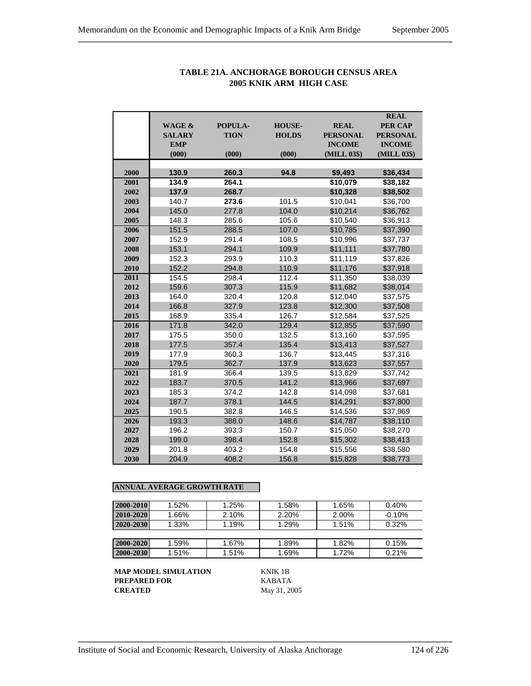|      | <b>WAGE &amp;</b><br><b>SALARY</b> | POPULA-<br><b>TION</b> | <b>HOUSE-</b><br><b>HOLDS</b> | <b>REAL</b><br><b>PERSONAL</b> | <b>REAL</b><br><b>PER CAP</b><br><b>PERSONAL</b> |
|------|------------------------------------|------------------------|-------------------------------|--------------------------------|--------------------------------------------------|
|      | <b>EMP</b>                         |                        |                               | <b>INCOME</b>                  | <b>INCOME</b>                                    |
|      | (000)                              | (000)                  | (000)                         | (MILL 03\$)                    | (MILL 03\$)                                      |
| 2000 | 130.9                              | 260.3                  | 94.8                          | \$9,493                        | \$36,434                                         |
| 2001 | 134.9                              | 264.1                  |                               | \$10,079                       | \$38,182                                         |
| 2002 | 137.9                              | 268.7                  |                               | \$10,328                       | \$38,502                                         |
| 2003 | 140.7                              | 273.6                  | 101.5                         | \$10,041                       | \$36,700                                         |
| 2004 | 145.0                              | 277.8                  | 104.0                         | \$10,214                       | \$36,762                                         |
| 2005 | 148.3                              | 285.6                  | 105.6                         | \$10,540                       | \$36,913                                         |
| 2006 | 151.5                              | 288.5                  | 107.0                         | \$10,785                       | \$37,390                                         |
| 2007 | 152.9                              | 291.4                  | 108.5                         | \$10,996                       | \$37,737                                         |
| 2008 | 153.1                              | 294.1                  | 109.9                         | \$11,111                       | \$37,780                                         |
| 2009 | 152.3                              | 293.9                  | 110.3                         | \$11,119                       | \$37,826                                         |
| 2010 | 152.2                              | 294.8                  | 110.9                         | \$11,176                       | \$37,918                                         |
| 2011 | 154.5                              | 298.4                  | 112.4                         | \$11,350                       | \$38,039                                         |
| 2012 | 159.6                              | 307.3                  | 115.9                         | \$11,682                       | \$38,014                                         |
| 2013 | 164.0                              | 320.4                  | 120.8                         | \$12,040                       | \$37,575                                         |
| 2014 | 166.8                              | 327.9                  | 123.8                         | \$12,300                       | \$37,508                                         |
| 2015 | 168.9                              | 335.4                  | 126.7                         | \$12,584                       | \$37,525                                         |
| 2016 | 171.8                              | 342.0                  | 129.4                         | \$12,855                       | \$37,590                                         |
| 2017 | 175.5                              | 350.0                  | 132.5                         | \$13,160                       | \$37,595                                         |
| 2018 | 177.5                              | 357.4                  | 135.4                         | \$13,413                       | \$37,527                                         |
| 2019 | 177.9                              | 360.3                  | 136.7                         | \$13,445                       | \$37,316                                         |
| 2020 | 179.5                              | 362.7                  | 137.9                         | \$13,623                       | \$37,557                                         |
| 2021 | 181.9                              | 366.4                  | 139.5                         | \$13,829                       | \$37,742                                         |
| 2022 | 183.7                              | 370.5                  | 141.2                         | \$13,966                       | \$37,697                                         |
| 2023 | 185.3                              | 374.2                  | 142.8                         | \$14,098                       | \$37,681                                         |
| 2024 | 187.7                              | 378.1                  | 144.5                         | \$14,291                       | \$37,800                                         |
| 2025 | 190.5                              | 382.8                  | 146.5                         | \$14,536                       | \$37,969                                         |
| 2026 | 193.3                              | 388.0                  | 148.6                         | \$14,787                       | \$38,110                                         |
| 2027 | 196.2                              | 393.3                  | 150.7                         | \$15,050                       | \$38,270                                         |
| 2028 | 199.0                              | 398.4                  | 152.8                         | \$15,302                       | \$38,413                                         |
| 2029 | 201.8                              | 403.2                  | 154.8                         | \$15,556                       | \$38,580                                         |
| 2030 | 204.9                              | 408.2                  | 156.8                         | \$15,828                       | \$38,773                                         |

## **TABLE 21A. ANCHORAGE BOROUGH CENSUS AREA 2005 KNIK ARM HIGH CASE**

## **ANNUAL AVERAGE GROWTH RATE**

| 2000-2010 | $1.52\%$ | 1.25% | 1.58% | 1.65% | 0.40%    |
|-----------|----------|-------|-------|-------|----------|
| 2010-2020 | 1.66%    | 2.10% | 2.20% | 2.00% | $-0.10%$ |
| 2020-2030 | $1.33\%$ | 1.19% | 1.29% | 1.51% | 0.32%    |
|           |          |       |       |       |          |
| 2000-2020 | 1.59%    | 1.67% | 1.89% | 1.82% | 0.15%    |
| 2000-2030 | 1.51%    | 1.51% | 1.69% | 1.72% | 0.21%    |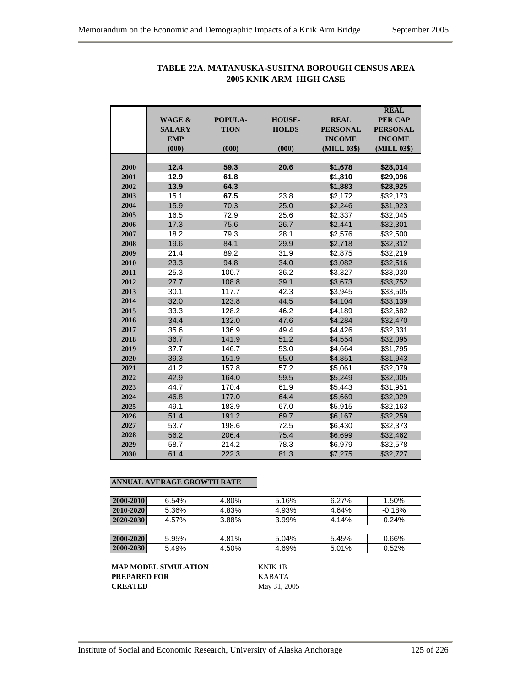|      | <b>WAGE &amp;</b><br><b>SALARY</b> | POPULA-     |               |                    | <b>REAL</b>          |
|------|------------------------------------|-------------|---------------|--------------------|----------------------|
|      |                                    |             |               |                    |                      |
|      |                                    |             | <b>HOUSE-</b> | <b>REAL</b>        | <b>PER CAP</b>       |
|      |                                    | <b>TION</b> | <b>HOLDS</b>  | <b>PERSONAL</b>    | <b>PERSONAL</b>      |
|      | <b>EMP</b>                         |             |               | <b>INCOME</b>      | <b>INCOME</b>        |
|      | (000)                              | (000)       | (000)         | (MILL 03\$)        | (MILL 03\$)          |
| 2000 | 12.4                               | 59.3        | 20.6          |                    |                      |
| 2001 | 12.9                               | 61.8        |               | \$1,678<br>\$1,810 | \$28,014<br>\$29,096 |
| 2002 | 13.9                               | 64.3        |               |                    |                      |
|      |                                    |             |               | \$1,883            | \$28,925             |
| 2003 | 15.1                               | 67.5        | 23.8          | \$2,172            | \$32,173             |
| 2004 | 15.9                               | 70.3        | 25.0          | \$2,246            | \$31,923             |
| 2005 | 16.5                               | 72.9        | 25.6          | \$2,337            | \$32,045             |
| 2006 | 17.3                               | 75.6        | 26.7          | \$2,441            | \$32,301             |
| 2007 | 18.2                               | 79.3        | 28.1          | \$2,576            | \$32,500             |
| 2008 | 19.6                               | 84.1        | 29.9          | \$2,718            | \$32,312             |
| 2009 | 21.4                               | 89.2        | 31.9          | \$2,875            | \$32,219             |
| 2010 | 23.3                               | 94.8        | 34.0          | \$3,082            | \$32,516             |
| 2011 | 25.3                               | 100.7       | 36.2          | \$3,327            | \$33,030             |
| 2012 | 27.7                               | 108.8       | 39.1          | \$3,673            | \$33,752             |
| 2013 | 30.1                               | 117.7       | 42.3          | \$3,945            | \$33,505             |
| 2014 | 32.0                               | 123.8       | 44.5          | \$4,104            | \$33,139             |
| 2015 | 33.3                               | 128.2       | 46.2          | \$4,189            | \$32,682             |
| 2016 | 34.4                               | 132.0       | 47.6          | \$4,284            | \$32,470             |
| 2017 | 35.6                               | 136.9       | 49.4          | \$4,426            | \$32,331             |
| 2018 | 36.7                               | 141.9       | 51.2          | \$4,554            | \$32,095             |
| 2019 | 37.7                               | 146.7       | 53.0          | \$4,664            | \$31,795             |
| 2020 | 39.3                               | 151.9       | 55.0          | \$4,851            | \$31,943             |
| 2021 | 41.2                               | 157.8       | 57.2          | \$5,061            | \$32,079             |
| 2022 | 42.9                               | 164.0       | 59.5          | \$5,249            | \$32,005             |
| 2023 | 44.7                               | 170.4       | 61.9          | \$5,443            | \$31,951             |
| 2024 | 46.8                               | 177.0       | 64.4          | \$5,669            | \$32,029             |
| 2025 | 49.1                               | 183.9       | 67.0          | \$5,915            | \$32,163             |
| 2026 | 51.4                               | 191.2       | 69.7          | \$6,167            | \$32,259             |
| 2027 | 53.7                               | 198.6       | 72.5          | \$6,430            | \$32,373             |
| 2028 | 56.2                               | 206.4       | 75.4          | \$6,699            | \$32,462             |
| 2029 | 58.7                               | 214.2       | 78.3          | \$6,979            | \$32,578             |
| 2030 | 61.4                               | 222.3       | 81.3          | \$7,275            | \$32,727             |

# **TABLE 22A. MATANUSKA-SUSITNA BOROUGH CENSUS AREA 2005 KNIK ARM HIGH CASE**

# **ANNUAL AVERAGE GROWTH RATE**

| 2000-2010     | 6.54% | 4.80% | 5.16% | 6.27% | 1.50%    |
|---------------|-------|-------|-------|-------|----------|
| 2010-2020     | 5.36% | 4.83% | 4.93% | 4.64% | $-0.18%$ |
| 2020-2030     | 4.57% | 3.88% | 3.99% | 4.14% | 0.24%    |
|               |       |       |       |       |          |
| $2000 - 2020$ | 5.95% | 4.81% | 5.04% | 5.45% | 0.66%    |
| 2000-2030     | 5.49% | 4.50% | 4.69% | 5.01% | 0.52%    |

**MAP MODEL SIMULATION** KNIK 1B **PREPARED FOR KABATA**<br>**CREATED** May 31, 20

**CREATED** May 31, 2005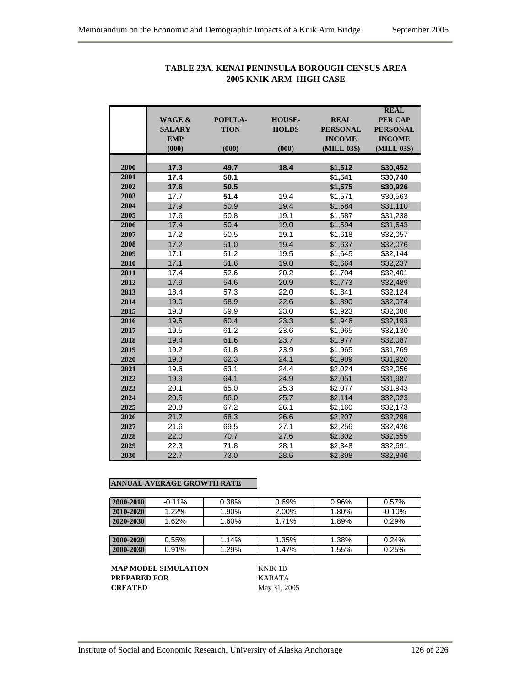|      |                   |             |               |                 | <b>REAL</b>     |
|------|-------------------|-------------|---------------|-----------------|-----------------|
|      | <b>WAGE &amp;</b> | POPULA-     | <b>HOUSE-</b> | <b>REAL</b>     | <b>PER CAP</b>  |
|      | <b>SALARY</b>     | <b>TION</b> | <b>HOLDS</b>  | <b>PERSONAL</b> | <b>PERSONAL</b> |
|      | <b>EMP</b>        |             |               | <b>INCOME</b>   | <b>INCOME</b>   |
|      | (000)             | (000)       | (000)         | (MILL 03\$)     | (MILL 03\$)     |
| 2000 | 17.3              | 49.7        | 18.4          | \$1,512         | \$30,452        |
| 2001 | 17.4              | 50.1        |               | \$1,541         | \$30,740        |
| 2002 | 17.6              | 50.5        |               | \$1,575         | \$30,926        |
| 2003 | 17.7              | 51.4        | 19.4          | \$1,571         | \$30,563        |
| 2004 | 17.9              | 50.9        | 19.4          | \$1,584         | \$31,110        |
| 2005 | 17.6              | 50.8        | 19.1          | \$1,587         | \$31,238        |
| 2006 | 17.4              | 50.4        | 19.0          | \$1,594         | \$31,643        |
| 2007 | 17.2              | 50.5        | 19.1          | \$1,618         | \$32,057        |
| 2008 | 17.2              | 51.0        | 19.4          | \$1,637         | \$32,076        |
| 2009 | 17.1              | 51.2        | 19.5          | \$1,645         | \$32,144        |
| 2010 | 17.1              | 51.6        | 19.8          | \$1,664         | \$32,237        |
| 2011 | 17.4              | 52.6        | 20.2          | \$1,704         | \$32,401        |
| 2012 | 17.9              | 54.6        | 20.9          | \$1,773         | \$32,489        |
| 2013 | 18.4              | 57.3        | 22.0          | \$1,841         | \$32,124        |
| 2014 | 19.0              | 58.9        | 22.6          | \$1,890         | \$32,074        |
| 2015 | 19.3              | 59.9        | 23.0          | \$1,923         | \$32,088        |
| 2016 | 19.5              | 60.4        | 23.3          | \$1,946         | \$32,193        |
| 2017 | 19.5              | 61.2        | 23.6          | \$1,965         | \$32,130        |
| 2018 | 19.4              | 61.6        | 23.7          | \$1,977         | \$32,087        |
| 2019 | 19.2              | 61.8        | 23.9          | \$1,965         | \$31,769        |
| 2020 | 19.3              | 62.3        | 24.1          | \$1,989         | \$31,920        |
| 2021 | 19.6              | 63.1        | 24.4          | \$2,024         | \$32,056        |
| 2022 | 19.9              | 64.1        | 24.9          | \$2,051         | \$31,987        |
| 2023 | 20.1              | 65.0        | 25.3          | \$2,077         | \$31,943        |
| 2024 | 20.5              | 66.0        | 25.7          | \$2,114         | \$32,023        |
| 2025 | 20.8              | 67.2        | 26.1          | \$2,160         | \$32,173        |
| 2026 | 21.2              | 68.3        | 26.6          | \$2,207         | \$32,298        |
| 2027 | 21.6              | 69.5        | 27.1          | \$2,256         | \$32,436        |
| 2028 | 22.0              | 70.7        | 27.6          | \$2,302         | \$32,555        |
| 2029 | 22.3              | 71.8        | 28.1          | \$2,348         | \$32,691        |
| 2030 | 22.7              | 73.0        | 28.5          | \$2,398         | \$32,846        |

# **TABLE 23A. KENAI PENINSULA BOROUGH CENSUS AREA 2005 KNIK ARM HIGH CASE**

## **ANNUAL AVERAGE GROWTH RATE**

| 2000-2010 | $-0.11%$ | 0.38% | 0.69% | 0.96% | 0.57%    |
|-----------|----------|-------|-------|-------|----------|
| 2010-2020 | 1.22%    | 1.90% | 2.00% | 1.80% | $-0.10%$ |
| 2020-2030 | 1.62%    | 1.60% | 1.71% | 1.89% | 0.29%    |
|           |          |       |       |       |          |
| 2000-2020 | $0.55\%$ | 1.14% | 1.35% | 1.38% | 0.24%    |
| 2000-2030 | $0.91\%$ | 1.29% | 1.47% | 1.55% | 0.25%    |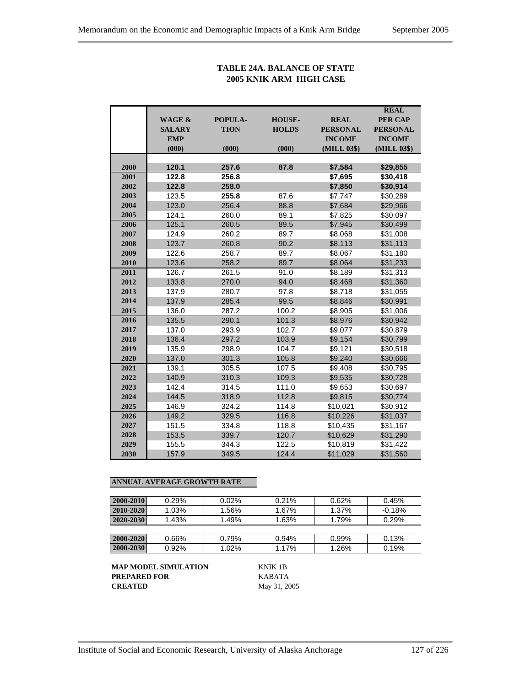## **TABLE 24A. BALANCE OF STATE 2005 KNIK ARM HIGH CASE**

|      |                   |             |               |                 | <b>REAL</b>     |
|------|-------------------|-------------|---------------|-----------------|-----------------|
|      | <b>WAGE &amp;</b> | POPULA-     | <b>HOUSE-</b> | <b>REAL</b>     | <b>PER CAP</b>  |
|      | <b>SALARY</b>     | <b>TION</b> | <b>HOLDS</b>  | <b>PERSONAL</b> | <b>PERSONAL</b> |
|      | <b>EMP</b>        |             |               | <b>INCOME</b>   | <b>INCOME</b>   |
|      | (000)             | (000)       | (000)         | (MILL 03\$)     | (MILL 03\$)     |
|      |                   |             |               |                 |                 |
| 2000 | 120.1             | 257.6       | 87.8          | \$7,584         | \$29,855        |
| 2001 | 122.8             | 256.8       |               | \$7,695         | \$30,418        |
| 2002 | 122.8             | 258.0       |               | \$7,850         | \$30,914        |
| 2003 | 123.5             | 255.8       | 87.6          | \$7,747         | \$30,289        |
| 2004 | 123.0             | 256.4       | 88.8          | \$7,684         | \$29,966        |
| 2005 | 124.1             | 260.0       | 89.1          | \$7,825         | \$30,097        |
| 2006 | 125.1             | 260.5       | 89.5          | \$7,945         | \$30,499        |
| 2007 | 124.9             | 260.2       | 89.7          | \$8,068         | \$31,008        |
| 2008 | 123.7             | 260.8       | 90.2          | \$8,113         | \$31,113        |
| 2009 | 122.6             | 258.7       | 89.7          | \$8,067         | \$31,180        |
| 2010 | 123.6             | 258.2       | 89.7          | \$8,064         | \$31,233        |
| 2011 | 126.7             | 261.5       | 91.0          | \$8,189         | \$31,313        |
| 2012 | 133.8             | 270.0       | 94.0          | \$8,468         | \$31,360        |
| 2013 | 137.9             | 280.7       | 97.8          | \$8,718         | \$31,055        |
| 2014 | 137.9             | 285.4       | 99.5          | \$8,846         | \$30,991        |
| 2015 | 136.0             | 287.2       | 100.2         | \$8,905         | \$31,006        |
| 2016 | 135.5             | 290.1       | 101.3         | \$8,976         | \$30,942        |
| 2017 | 137.0             | 293.9       | 102.7         | \$9,077         | \$30,879        |
| 2018 | 136.4             | 297.2       | 103.9         | \$9,154         | \$30,799        |
| 2019 | 135.9             | 298.9       | 104.7         | \$9,121         | \$30,518        |
| 2020 | 137.0             | 301.3       | 105.8         | \$9,240         | \$30,666        |
| 2021 | 139.1             | 305.5       | 107.5         | \$9,408         | \$30,795        |
| 2022 | 140.9             | 310.3       | 109.3         | \$9,535         | \$30,728        |
| 2023 | 142.4             | 314.5       | 111.0         | \$9,653         | \$30,697        |
| 2024 | 144.5             | 318.9       | 112.8         | \$9,815         | \$30,774        |
| 2025 | 146.9             | 324.2       | 114.8         | \$10,021        | \$30,912        |
| 2026 | 149.2             | 329.5       | 116.8         | \$10,226        | \$31,037        |
| 2027 | 151.5             | 334.8       | 118.8         | \$10,435        | \$31,167        |
| 2028 | 153.5             | 339.7       | 120.7         | \$10,629        | \$31,290        |
| 2029 | 155.5             | 344.3       | 122.5         | \$10,819        | \$31,422        |
| 2030 | 157.9             | 349.5       | 124.4         | \$11,029        | \$31,560        |

## **ANNUAL AVERAGE GROWTH RATE**

| 2000-2010     | 0.29%    | 0.02% | 0.21% | 0.62% | 0.45%    |
|---------------|----------|-------|-------|-------|----------|
| 2010-2020     | 1.03%    | 1.56% | 1.67% | 1.37% | $-0.18%$ |
| 2020-2030     | 1.43%    | 1.49% | 1.63% | 1.79% | 0.29%    |
|               |          |       |       |       |          |
| $2000 - 2020$ | $0.66\%$ | 0.79% | 0.94% | 0.99% | 0.13%    |
| 2000-2030     | $0.92\%$ | 1.02% | 1.17% | 1.26% | 0.19%    |

**MAP MODEL SIMULATION** KNIK 1B **PREPARED FOR KABATA**<br>**CREATED** May 31, 20

**CREATED** May 31, 2005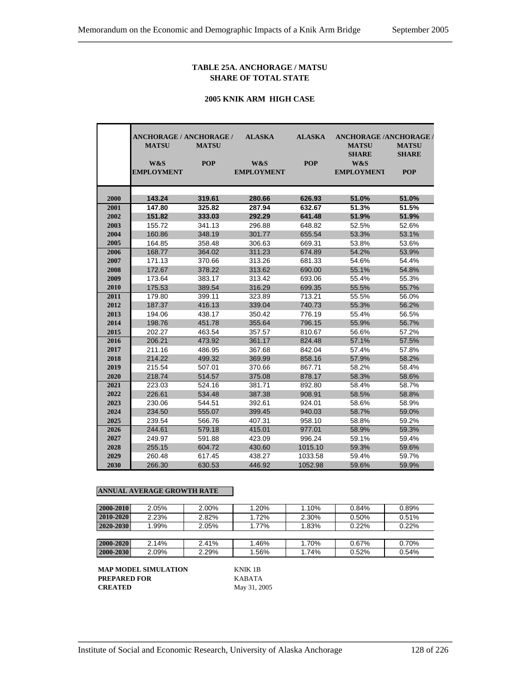### **TABLE 25A. ANCHORAGE / MATSU SHARE OF TOTAL STATE**

#### **2005 KNIK ARM HIGH CASE**

|      | <b>ANCHORAGE / ANCHORAGE /</b> |              | <b>ALASKA</b>     | <b>ALASKA</b> | <b>ANCHORAGE /ANCHORAGE /</b> |                              |
|------|--------------------------------|--------------|-------------------|---------------|-------------------------------|------------------------------|
|      | <b>MATSU</b>                   | <b>MATSU</b> |                   |               | <b>MATSU</b><br><b>SHARE</b>  | <b>MATSU</b><br><b>SHARE</b> |
|      | W&S                            | <b>POP</b>   | W&S               | <b>POP</b>    | W&S                           |                              |
|      | <b>EMPLOYMENT</b>              |              | <b>EMPLOYMENT</b> |               | <b>EMPLOYMENT</b>             | <b>POP</b>                   |
| 2000 | 143.24                         | 319.61       | 280.66            | 626.93        | 51.0%                         | 51.0%                        |
| 2001 | 147.80                         | 325.82       | 287.94            | 632.67        | 51.3%                         | 51.5%                        |
| 2002 | 151.82                         | 333.03       | 292.29            | 641.48        | 51.9%                         | 51.9%                        |
| 2003 | 155.72                         | 341.13       | 296.88            | 648.82        | 52.5%                         | 52.6%                        |
| 2004 | 160.86                         | 348.19       | 301.77            | 655.54        | 53.3%                         | 53.1%                        |
| 2005 | 164.85                         | 358.48       | 306.63            | 669.31        | 53.8%                         | 53.6%                        |
| 2006 | 168.77                         | 364.02       | 311.23            | 674.89        | 54.2%                         | 53.9%                        |
| 2007 | 171.13                         | 370.66       | 313.26            | 681.33        | 54.6%                         | 54.4%                        |
| 2008 | 172.67                         | 378.22       | 313.62            | 690.00        | 55.1%                         | 54.8%                        |
| 2009 | 173.64                         | 383.17       | 313.42            | 693.06        | 55.4%                         | 55.3%                        |
| 2010 | 175.53                         | 389.54       | 316.29            | 699.35        | 55.5%                         | 55.7%                        |
| 2011 | 179.80                         | 399.11       | 323.89            | 713.21        | 55.5%                         | 56.0%                        |
| 2012 | 187.37                         | 416.13       | 339.04            | 740.73        | 55.3%                         | 56.2%                        |
| 2013 | 194.06                         | 438.17       | 350.42            | 776.19        | 55.4%                         | 56.5%                        |
| 2014 | 198.76                         | 451.78       | 355.64            | 796.15        | 55.9%                         | 56.7%                        |
| 2015 | 202.27                         | 463.54       | 357.57            | 810.67        | 56.6%                         | 57.2%                        |
| 2016 | 206.21                         | 473.92       | 361.17            | 824.48        | 57.1%                         | 57.5%                        |
| 2017 | 211.16                         | 486.95       | 367.68            | 842.04        | 57.4%                         | 57.8%                        |
| 2018 | 214.22                         | 499.32       | 369.99            | 858.16        | 57.9%                         | 58.2%                        |
| 2019 | 215.54                         | 507.01       | 370.66            | 867.71        | 58.2%                         | 58.4%                        |
| 2020 | 218.74                         | 514.57       | 375.08            | 878.17        | 58.3%                         | 58.6%                        |
| 2021 | 223.03                         | 524.16       | 381.71            | 892.80        | 58.4%                         | 58.7%                        |
| 2022 | 226.61                         | 534.48       | 387.38            | 908.91        | 58.5%                         | 58.8%                        |
| 2023 | 230.06                         | 544.51       | 392.61            | 924.01        | 58.6%                         | 58.9%                        |
| 2024 | 234.50                         | 555.07       | 399.45            | 940.03        | 58.7%                         | 59.0%                        |
| 2025 | 239.54                         | 566.76       | 407.31            | 958.10        | 58.8%                         | 59.2%                        |
| 2026 | 244.61                         | 579.18       | 415.01            | 977.01        | 58.9%                         | 59.3%                        |
| 2027 | 249.97                         | 591.88       | 423.09            | 996.24        | 59.1%                         | 59.4%                        |
| 2028 | 255.15                         | 604.72       | 430.60            | 1015.10       | 59.3%                         | 59.6%                        |
| 2029 | 260.48                         | 617.45       | 438.27            | 1033.58       | 59.4%                         | 59.7%                        |
| 2030 | 266.30                         | 630.53       | 446.92            | 1052.98       | 59.6%                         | 59.9%                        |

### **ANNUAL AVERAGE GROWTH RATE**

| 2000-2010 | 2.05% | 2.00% | 1.20% | 1.10% | 0.84% | 0.89% |
|-----------|-------|-------|-------|-------|-------|-------|
| 2010-2020 | 2.23% | 2.82% | 1.72% | 2.30% | 0.50% | 0.51% |
| 2020-2030 | 1.99% | 2.05% | 1.77% | 1.83% | 0.22% | 0.22% |
|           |       |       |       |       |       |       |
| 2000-2020 | 2.14% | 2.41% | 1.46% | 1.70% | 0.67% | 0.70% |
| 2000-2030 | 2.09% | 2.29% | .56%  | 1.74% | 0.52% | 0.54% |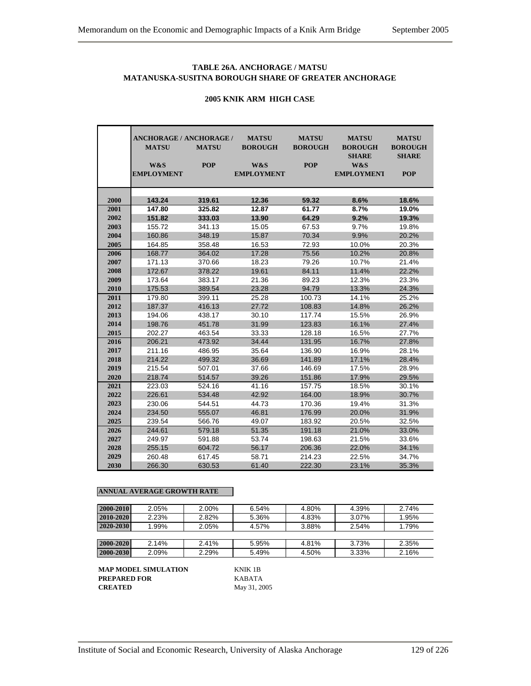## **TABLE 26A. ANCHORAGE / MATSU MATANUSKA-SUSITNA BOROUGH SHARE OF GREATER ANCHORAGE**

#### **ANCHORAGE / ANCHORAGE / MATSU MATSU MATSU MATSU MATSU MATSU BOROUGH BOROUGH BOROUGH BOROUGH SHARE SHARE W&S POP W&S POP W&S EMPLOYMENT EMPLOYMENT EMPLOYMENT POP 143.24 319.61 12.36 59.32 8.6% 18.6% 147.80 325.82 12.87 61.77 8.7% 19.0% 151.82 333.03 13.90 64.29 9.2% 19.3%** 155.72 341.13 15.05 67.53 9.7% 19.8% 160.86 348.19 15.87 70.34 9.9% 20.2% 164.85 358.48 16.53 72.93 10.0% 20.3% 168.77 364.02 17.28 75.56 10.2% 20.8% 171.13 370.66 18.23 79.26 10.7% 21.4% 172.67 378.22 19.61 84.11 11.4% 22.2% 173.64 383.17 21.36 89.23 12.3% 23.3% 175.53 389.54 23.28 94.79 13.3% 24.3% 179.80 399.11 25.28 100.73 14.1% 25.2% 187.37 416.13 27.72 108.83 14.8% 26.2% 194.06 438.17 30.10 117.74 15.5% 26.9% 198.76 451.78 31.99 123.83 16.1% 27.4% 202.27 463.54 33.33 128.18 16.5% 27.7% 206.21 473.92 34.44 131.95 16.7% 27.8% 211.16 486.95 35.64 136.90 16.9% 28.1% 214.22 499.32 36.69 141.89 17.1% 28.4% 215.54 507.01 37.66 146.69 17.5% 28.9% 218.74 514.57 39.26 151.86 17.9% 29.5% 223.03 524.16 41.16 157.75 18.5% 30.1% 226.61 534.48 42.92 164.00 18.9% 30.7% 230.06 544.51 44.73 170.36 19.4% 31.3% 234.50 555.07 46.81 176.99 20.0% 31.9% 239.54 566.76 49.07 183.92 20.5% 32.5% 244.61 579.18 51.35 191.18 21.0% 33.0% 249.97 591.88 53.74 198.63 21.5% 33.6% 255.15 604.72 56.17 206.36 22.0% 34.1% 260.48 617.45 58.71 214.23 22.5% 34.7% 266.30 630.53 61.40 222.30 23.1% 35.3%

#### **2005 KNIK ARM HIGH CASE**

#### **ANNUAL AVERAGE GROWTH RATE**

| 2000-2010 | 2.05% | 2.00% | 6.54% | 4.80% | 4.39% | 2.74% |
|-----------|-------|-------|-------|-------|-------|-------|
| 2010-2020 | 2.23% | 2.82% | 5.36% | 4.83% | 3.07% | 1.95% |
| 2020-2030 | 1.99% | 2.05% | 4.57% | 3.88% | 2.54% | 1.79% |
|           |       |       |       |       |       |       |
| 2000-2020 | 2.14% | 2.41% | 5.95% | 4.81% | 3.73% | 2.35% |
| 2000-2030 | 2.09% | 2.29% | 5.49% | 4.50% | 3.33% | 2.16% |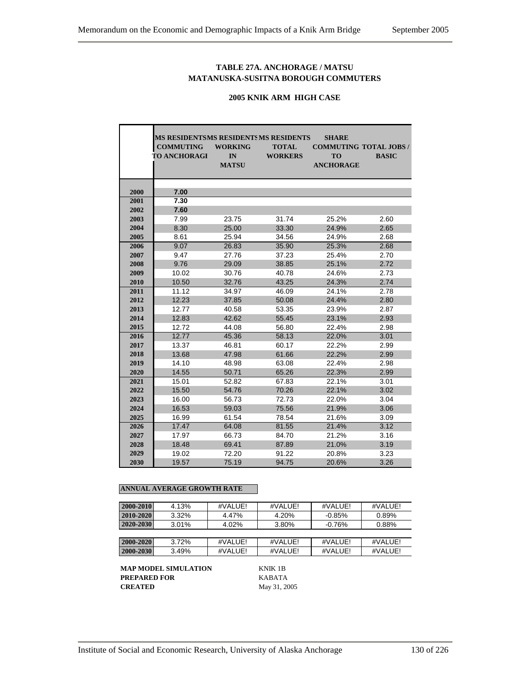## **TABLE 27A. ANCHORAGE / MATSU MATANUSKA-SUSITNA BOROUGH COMMUTERS**

## **2005 KNIK ARM HIGH CASE**

|      | MS RESIDENTSMS RESIDENTSMS RESIDENTS |                |                | <b>SHARE</b>     |                               |
|------|--------------------------------------|----------------|----------------|------------------|-------------------------------|
|      | <b>COMMUTING</b>                     | <b>WORKING</b> | <b>TOTAL</b>   |                  | <b>COMMUTING TOTAL JOBS /</b> |
|      | <b>TO ANCHORAGI</b>                  | IN             | <b>WORKERS</b> | <b>TO</b>        | <b>BASIC</b>                  |
|      |                                      | <b>MATSU</b>   |                | <b>ANCHORAGE</b> |                               |
|      |                                      |                |                |                  |                               |
|      |                                      |                |                |                  |                               |
| 2000 | 7.00                                 |                |                |                  |                               |
| 2001 | 7.30                                 |                |                |                  |                               |
| 2002 | 7.60                                 |                |                |                  |                               |
| 2003 | 7.99                                 | 23.75          | 31.74          | 25.2%            | 2.60                          |
| 2004 | 8.30                                 | 25.00          | 33.30          | 24.9%            | 2.65                          |
| 2005 | 8.61                                 | 25.94          | 34.56          | 24.9%            | 2.68                          |
| 2006 | 9.07                                 | 26.83          | 35.90          | 25.3%            | 2.68                          |
| 2007 | 9.47                                 | 27.76          | 37.23          | 25.4%            | 2.70                          |
| 2008 | 9.76                                 | 29.09          | 38.85          | 25.1%            | 2.72                          |
| 2009 | 10.02                                | 30.76          | 40.78          | 24.6%            | 2.73                          |
| 2010 | 10.50                                | 32.76          | 43.25          | 24.3%            | 2.74                          |
| 2011 | 11.12                                | 34.97          | 46.09          | 24.1%            | 2.78                          |
| 2012 | 12.23                                | 37.85          | 50.08          | 24.4%            | 2.80                          |
| 2013 | 12.77                                | 40.58          | 53.35          | 23.9%            | 2.87                          |
| 2014 | 12.83                                | 42.62          | 55.45          | 23.1%            | 2.93                          |
| 2015 | 12.72                                | 44.08          | 56.80          | 22.4%            | 2.98                          |
| 2016 | 12.77                                | 45.36          | 58.13          | 22.0%            | 3.01                          |
| 2017 | 13.37                                | 46.81          | 60.17          | 22.2%            | 2.99                          |
| 2018 | 13.68                                | 47.98          | 61.66          | 22.2%            | 2.99                          |
| 2019 | 14.10                                | 48.98          | 63.08          | 22.4%            | 2.98                          |
| 2020 | 14.55                                | 50.71          | 65.26          | 22.3%            | 2.99                          |
| 2021 | 15.01                                | 52.82          | 67.83          | 22.1%            | 3.01                          |
| 2022 | 15.50                                | 54.76          | 70.26          | 22.1%            | 3.02                          |
| 2023 | 16.00                                | 56.73          | 72.73          | 22.0%            | 3.04                          |
| 2024 | 16.53                                | 59.03          | 75.56          | 21.9%            | 3.06                          |
| 2025 | 16.99                                | 61.54          | 78.54          | 21.6%            | 3.09                          |
| 2026 | 17.47                                | 64.08          | 81.55          | 21.4%            | 3.12                          |
| 2027 | 17.97                                | 66.73          | 84.70          | 21.2%            | 3.16                          |
| 2028 | 18.48                                | 69.41          | 87.89          | 21.0%            | 3.19                          |
| 2029 | 19.02                                | 72.20          | 91.22          | 20.8%            | 3.23                          |
| 2030 | 19.57                                | 75.19          | 94.75          | 20.6%            | 3.26                          |

### **ANNUAL AVERAGE GROWTH RATE**

| 2000-2010 | 4.13% | #VALUE! | #VALUE! | #VALUE!   | #VALUE! |
|-----------|-------|---------|---------|-----------|---------|
| 2010-2020 | 3.32% | 4.47%   | 4.20%   | $-0.85%$  | 0.89%   |
| 2020-2030 | 3.01% | 4.02%   | 3.80%   | $-0.76\%$ | 0.88%   |
|           |       |         |         |           |         |
| 2000-2020 | 3.72% | #VALUE! | #VALUE! | #VALUEL   | #VALUE! |
| 2000-2030 | 3.49% | #VALUE! | #VALUE! | #VALUE!   | #VALUE! |

**MAP MODEL SIMULATION KNIK 1B**<br>**PREPARED FOR** KABATA **PREPARED FOR<br>CREATED** 

**CREATED** May 31, 2005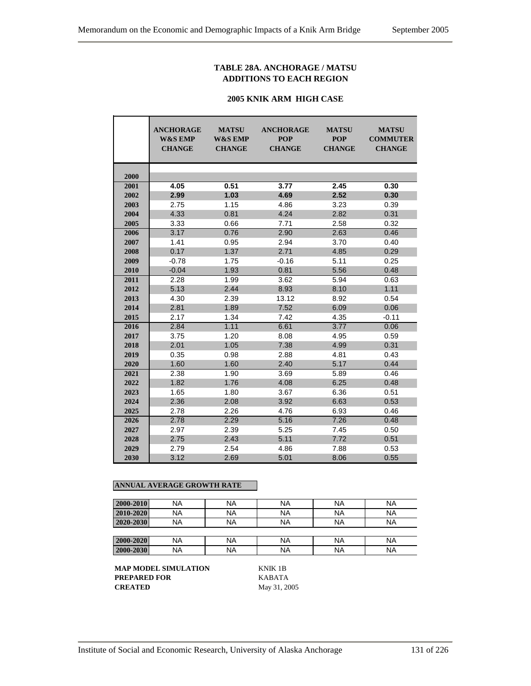## **TABLE 28A. ANCHORAGE / MATSU ADDITIONS TO EACH REGION**

#### **2005 KNIK ARM HIGH CASE**

|      | <b>ANCHORAGE</b><br><b>W&amp;S EMP</b><br><b>CHANGE</b> | <b>MATSU</b><br><b>W&amp;S EMP</b><br><b>CHANGE</b> | <b>ANCHORAGE</b><br><b>POP</b><br><b>CHANGE</b> | <b>MATSU</b><br><b>POP</b><br><b>CHANGE</b> | <b>MATSU</b><br><b>COMMUTER</b><br><b>CHANGE</b> |
|------|---------------------------------------------------------|-----------------------------------------------------|-------------------------------------------------|---------------------------------------------|--------------------------------------------------|
| 2000 |                                                         |                                                     |                                                 |                                             |                                                  |
| 2001 | 4.05                                                    | 0.51                                                | 3.77                                            | 2.45                                        | 0.30                                             |
| 2002 | 2.99                                                    | 1.03                                                | 4.69                                            | 2.52                                        | 0.30                                             |
| 2003 | 2.75                                                    | 1.15                                                | 4.86                                            | 3.23                                        | 0.39                                             |
| 2004 | 4.33                                                    | 0.81                                                | 4.24                                            | 2.82                                        | 0.31                                             |
| 2005 | 3.33                                                    | 0.66                                                | 7.71                                            | 2.58                                        | 0.32                                             |
| 2006 | 3.17                                                    | 0.76                                                | 2.90                                            | 2.63                                        | 0.46                                             |
| 2007 | 1.41                                                    | 0.95                                                | 2.94                                            | 3.70                                        | 0.40                                             |
| 2008 | 0.17                                                    | 1.37                                                | 2.71                                            | 4.85                                        | 0.29                                             |
| 2009 | $-0.78$                                                 | 1.75                                                | $-0.16$                                         | 5.11                                        | 0.25                                             |
| 2010 | $-0.04$                                                 | 1.93                                                | 0.81                                            | 5.56                                        | 0.48                                             |
| 2011 | 2.28                                                    | 1.99                                                | 3.62                                            | 5.94                                        | 0.63                                             |
| 2012 | 5.13                                                    | 2.44                                                | 8.93                                            | 8.10                                        | 1.11                                             |
| 2013 | 4.30                                                    | 2.39                                                | 13.12                                           | 8.92                                        | 0.54                                             |
| 2014 | 2.81                                                    | 1.89                                                | 7.52                                            | 6.09                                        | 0.06                                             |
| 2015 | 2.17                                                    | 1.34                                                | 7.42                                            | 4.35                                        | $-0.11$                                          |
| 2016 | 2.84                                                    | 1.11                                                | 6.61                                            | 3.77                                        | 0.06                                             |
| 2017 | 3.75                                                    | 1.20                                                | 8.08                                            | 4.95                                        | 0.59                                             |
| 2018 | 2.01                                                    | 1.05                                                | 7.38                                            | 4.99                                        | 0.31                                             |
| 2019 | 0.35                                                    | 0.98                                                | 2.88                                            | 4.81                                        | 0.43                                             |
| 2020 | 1.60                                                    | 1.60                                                | 2.40                                            | 5.17                                        | 0.44                                             |
| 2021 | 2.38                                                    | 1.90                                                | 3.69                                            | 5.89                                        | 0.46                                             |
| 2022 | 1.82                                                    | 1.76                                                | 4.08                                            | 6.25                                        | 0.48                                             |
| 2023 | 1.65                                                    | 1.80                                                | 3.67                                            | 6.36                                        | 0.51                                             |
| 2024 | 2.36                                                    | 2.08                                                | 3.92                                            | 6.63                                        | 0.53                                             |
| 2025 | 2.78                                                    | 2.26                                                | 4.76                                            | 6.93                                        | 0.46                                             |
| 2026 | 2.78                                                    | 2.29                                                | 5.16                                            | 7.26                                        | 0.48                                             |
| 2027 | 2.97                                                    | 2.39                                                | 5.25                                            | 7.45                                        | 0.50                                             |
| 2028 | 2.75                                                    | 2.43                                                | 5.11                                            | 7.72                                        | 0.51                                             |
| 2029 | 2.79                                                    | 2.54                                                | 4.86                                            | 7.88                                        | 0.53                                             |
| 2030 | 3.12                                                    | 2.69                                                | 5.01                                            | 8.06                                        | 0.55                                             |

## **ANNUAL AVERAGE GROWTH RATE**

| 2000-2010 | NA        | <b>NA</b> | <b>NA</b> | ΝA | <b>NA</b> |
|-----------|-----------|-----------|-----------|----|-----------|
| 2010-2020 | NA        | <b>NA</b> | <b>NA</b> | ΝA | <b>NA</b> |
| 2020-2030 | NA        | <b>NA</b> | NA        | ΝA | <b>NA</b> |
|           |           |           |           |    |           |
| 2000-2020 | NA        | <b>NA</b> | <b>NA</b> | NA | <b>NA</b> |
| 2000-2030 | <b>NA</b> | <b>NA</b> | <b>NA</b> | ΝA | <b>NA</b> |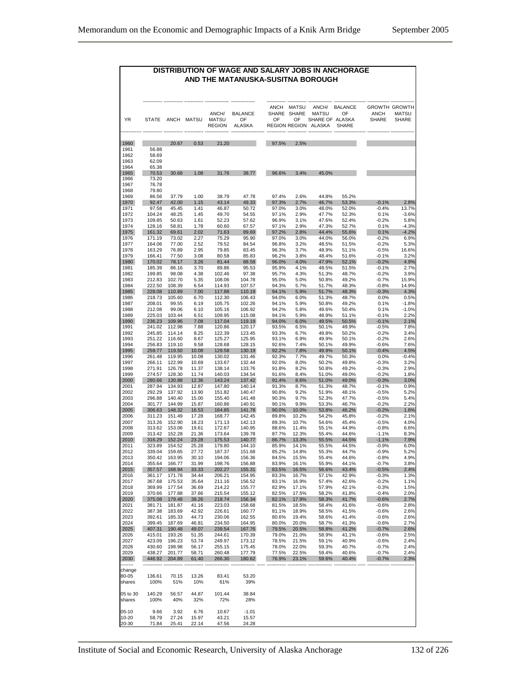# **DISTRIBUTION OF WAGE AND SALARY JOBS IN ANCHORAGE AND THE MATANUSKA-SUSITNA BOROUGH** ------------ ------------ ------------ --------------- --------------- ------------ ------------ --------------- -------------------- -------------- --------------- ANCH MATSU ANCH/ BALANCE GROWTH GROWTH<br>SHARE SHARE MATSU OF ANCH MATSU<br>OF OF SHARE OF ALASKA SHARE SHARE ANCH/ BALANCE SHARE SHARE MATSU OF<br>MATSU OF OF OF SHARE OF ALASKA YR STATE ANCH MATSU MATSU OF OF OF SHARE OF ALASKA<br>REGION ALASKA REGION REGION ALASKA SHARE REGION REGION ALASKA ------------- ------------ ------------ ------------ --------------- --------------------- ------------ ------------ --------------- -------------------- -------------- --------------- 1960 20.67 0.53 21.20 97.5% 2.5% 1961 56.88<br>1962 58.69 58.69 1963 62.09 1964 65.38 1965 70.53 30.68 1.08 31.76 38.77 96.6% 3.4% 45.0% 1966 73.20 1967 76.78 1968 79.80 1969 86.56 37.79 1.00 38.79 47.78 97.4% 2.6% 44.8% 55.2% 1970 92.47 42.00 1.15 43.14 49.33 97.3% 2.7% 46.7% 53.3% -0.1% 2.8% 1971 97.58 45.45 1.41 46.87 50.72 97.0% 3.0% 48.0% 52.0% -0.4% 13.7% 1972 104.24 48.25 1.45 49.70 54.55 97.1% 2.9% 47.7% 52.3% 0.1% -3.6%

| 1972     | 104.24 | 48.25  | 1.45  | 49.70  | 54.55   | 97.1% | 2.9%  | 41.1% | 52.3% | $0.1\%$  | -3.6%   |
|----------|--------|--------|-------|--------|---------|-------|-------|-------|-------|----------|---------|
| 1973     | 109.85 | 50.63  | 1.61  | 52.23  | 57.62   | 96.9% | 3.1%  | 47.6% | 52.4% | $-0.2%$  | 5.8%    |
| 1974     | 128.16 | 58.81  | 1.78  | 60.60  | 67.57   | 97.1% | 2.9%  | 47.3% | 52.7% | 0.1%     | $-4.3%$ |
|          |        |        |       |        |         |       |       |       |       |          |         |
| 1975     | 161.32 | 69.61  | 2.02  | 71.63  | 89.69   | 97.2% | 2.8%  | 44.4% | 55.6% | 0.1%     | $-4.2%$ |
| 1976     | 171.19 | 73.02  | 2.27  | 75.29  | 95.90   | 97.0% | 3.0%  | 44.0% | 56.0% | $-0.2%$  | 6.9%    |
| 1977     | 164.06 | 77.00  | 2.52  | 79.52  | 84.54   | 96.8% | 3.2%  | 48.5% | 51.5% | $-0.2%$  | 5.3%    |
| 1978     | 163.29 | 76.89  | 2.95  | 79.85  | 83.45   | 96.3% | 3.7%  | 48.9% | 51.1% | $-0.5%$  | 16.6%   |
|          |        |        |       |        |         |       |       |       |       |          |         |
| 1979     | 166.41 | 77.50  | 3.08  | 80.58  | 85.83   | 96.2% | 3.8%  | 48.4% | 51.6% | $-0.1%$  | 3.2%    |
| 1980     | 170.02 | 78.17  | 3.26  | 81.44  | 88.58   | 96.0% | 4.0%  | 47.9% | 52.1% | $-0.2%$  | 4.9%    |
| 1981     | 185.39 | 86.16  | 3.70  | 89.86  | 95.53   | 95.9% | 4.1%  | 48.5% | 51.5% | $-0.1%$  | 2.7%    |
| 1982     | 199.85 | 98.08  | 4.38  | 102.46 | 97.38   | 95.7% | 4.3%  |       | 48.7% | $-0.2%$  | 3.9%    |
|          |        |        |       |        |         |       |       | 51.3% |       |          |         |
| 1983     | 212.83 | 102.70 | 5.35  | 108.06 | 104.78  | 95.0% | 5.0%  | 50.8% | 49.2% | $-0.7%$  | 15.9%   |
| 1984     | 222.50 | 108.39 | 6.54  | 114.93 | 107.57  | 94.3% | 5.7%  | 51.7% | 48.3% | $-0.8%$  | 14.9%   |
| 1985     | 228.08 | 110.89 | 7.00  | 117.88 | 110.19  | 94.1% | 5.9%  | 51.7% | 48.3% | $-0.3%$  | 4.3%    |
| 1986     | 218.73 | 105.60 | 6.70  | 112.30 | 106.43  | 94.0% |       | 51.3% | 48.7% | 0.0%     | 0.5%    |
|          |        |        |       |        |         |       | 6.0%  |       |       |          |         |
| 1987     | 208.01 | 99.55  | 6.19  | 105.75 | 102.26  | 94.1% | 5.9%  | 50.8% | 49.2% | 0.1%     | $-1.8%$ |
| 1988     | 212.08 | 99.06  | 6.10  | 105.16 | 106.92  | 94.2% | 5.8%  | 49.6% | 50.4% | 0.1%     | $-1.0%$ |
| 1989     | 225.03 | 103.44 | 6.51  | 109.95 | 115.08  | 94.1% | 5.9%  | 48.9% | 51.1% | $-0.1%$  | 2.2%    |
|          | 236.23 | 109.96 | 7.08  | 117.04 | 119.19  | 94.0% |       | 49.5% | 50.5% | $-0.1%$  | 2.1%    |
| 1990     |        |        |       |        |         |       | 6.0%  |       |       |          |         |
| 1991     | 241.02 | 112.98 | 7.88  | 120.86 | 120.17  | 93.5% | 6.5%  | 50.1% | 49.9% | $-0.5%$  | 7.8%    |
| 1992     | 245.85 | 114.14 | 8.25  | 122.39 | 123.45  | 93.3% | 6.7%  | 49.8% | 50.2% | $-0.2%$  | 3.4%    |
| 1993     | 251.22 | 116.60 | 8.67  | 125.27 | 125.95  | 93.1% | 6.9%  | 49.9% | 50.1% | $-0.2%$  | 2.6%    |
| 1994     | 256.83 | 119.10 | 9.58  | 128.68 | 128.15  | 92.6% | 7.4%  |       | 49.9% | $-0.6%$  | 7.6%    |
|          |        |        |       |        |         |       |       | 50.1% |       |          |         |
| 1995     | 259.77 | 119.50 | 10.08 | 129.58 | 130.19  | 92.2% | 7.8%  | 49.9% | 50.1% | $-0.4%$  | 4.5%    |
| 1996     | 261.48 | 119.95 | 10.08 | 130.02 | 131.46  | 92.3% | 7.7%  | 49.7% | 50.3% | 0.0%     | $-0.4%$ |
| 1997     | 266.11 | 122.99 | 10.69 | 133.67 | 132.44  | 92.0% | 8.0%  | 50.2% | 49.8% | $-0.3%$  | 3.2%    |
|          |        |        |       |        |         |       |       |       |       |          |         |
| 1998     | 271.91 | 126.78 | 11.37 | 138.14 | 133.76  | 91.8% | 8.2%  | 50.8% | 49.2% | $-0.3%$  | 2.9%    |
| 1999     | 274.57 | 128.30 | 11.74 | 140.03 | 134.54  | 91.6% | 8.4%  | 51.0% | 49.0% | $-0.2%$  | 1.8%    |
| 2000     | 280.66 | 130.88 | 12.36 | 143.24 | 137.42  | 91.4% | 8.6%  | 51.0% | 49.0% | $-0.3%$  | 3.0%    |
| 2001     | 287.94 | 134.93 | 12.87 | 147.80 | 140.14  | 91.3% | 8.7%  | 51.3% | 48.7% | $-0.1%$  | 0.9%    |
|          |        |        |       |        |         |       |       |       |       |          |         |
| 2002     | 292.29 | 137.92 | 13.90 | 151.82 | 140.47  | 90.8% | 9.2%  | 51.9% | 48.1% | $-0.5%$  | 5.2%    |
| 2003     | 296.88 | 140.40 | 15.00 | 155.40 | 141.48  | 90.3% | 9.7%  | 52.3% | 47.7% | $-0.5%$  | 5.4%    |
| 2004     | 301.77 | 144.99 | 15.87 | 160.86 | 140.91  | 90.1% | 9.9%  | 53.3% | 46.7% | $-0.2%$  | 2.2%    |
| 2005     | 306.63 | 148.32 | 16.53 | 164.85 | 141.78  | 90.0% | 10.0% | 53.8% | 46.2% | $-0.2%$  | 1.6%    |
|          |        |        |       |        |         |       |       |       |       |          |         |
| 2006     | 311.23 | 151.49 | 17.28 | 168.77 | 142.45  | 89.8% | 10.2% | 54.2% | 45.8% | $-0.2%$  | 2.1%    |
| 2007     | 313.26 | 152.90 | 18.23 | 171.13 | 142.13  | 89.3% | 10.7% | 54.6% | 45.4% | $-0.5%$  | 4.0%    |
| 2008     | 313.62 | 153.06 | 19.61 | 172.67 | 140.95  | 88.6% | 11.4% | 55.1% | 44.9% | $-0.8%$  | 6.6%    |
|          |        |        |       |        |         |       |       |       |       |          |         |
| 2009     | 313.42 | 152.28 | 21.36 | 173.64 | 139.78  | 87.7% | 12.3% | 55.4% | 44.6% | $-1.1%$  | 8.3%    |
| 2010     | 316.29 | 152.24 | 23.28 | 175.53 | 140.77  | 86.7% | 13.3% | 55.5% | 44.5% | $-1.1%$  | 7.9%    |
| 2011     | 323.89 | 154.52 | 25.28 | 179.80 | 144.10  | 85.9% | 14.1% | 55.5% | 44.5% | $-0.9%$  | 6.0%    |
| 2012     | 339.04 | 159.65 | 27.72 | 187.37 | 151.68  | 85.2% | 14.8% | 55.3% | 44.7% | $-0.9%$  | 5.2%    |
|          |        |        |       |        |         |       |       |       |       |          |         |
| 2013     | 350.42 | 163.95 | 30.10 | 194.06 | 156.36  | 84.5% | 15.5% | 55.4% | 44.6% | $-0.8%$  | 4.9%    |
| 2014     | 355.64 | 166.77 | 31.99 | 198.76 | 156.88  | 83.9% | 16.1% | 55.9% | 44.1% | $-0.7%$  | 3.8%    |
| 2015     | 357.57 | 168.94 | 33.33 | 202.27 | 155.31  | 83.5% | 16.5% | 56.6% | 43.4% | $-0.5%$  | 2.4%    |
| 2016     | 361.17 | 171.78 | 34.44 | 206.21 | 154.95  | 83.3% | 16.7% | 57.1% | 42.9% | $-0.3%$  | 1.3%    |
|          |        |        |       |        |         |       |       |       |       |          |         |
| 2017     | 367.68 | 175.53 | 35.64 | 211.16 | 156.52  | 83.1% | 16.9% | 57.4% | 42.6% | $-0.2%$  | 1.1%    |
| 2018     | 369.99 | 177.54 | 36.69 | 214.22 | 155.77  | 82.9% | 17.1% | 57.9% | 42.1% | $-0.3%$  | 1.5%    |
| 2019     | 370.66 | 177.88 | 37.66 | 215.54 | 155.12  | 82.5% | 17.5% | 58.2% | 41.8% | $-0.4%$  | 2.0%    |
| 2020     | 375.08 | 179.48 | 39.26 | 218.74 | 156.34  | 82.1% | 17.9% | 58.3% | 41.7% | $-0.6%$  | 2.7%    |
|          |        |        |       |        |         |       |       |       |       |          |         |
| 2021     | 381.71 | 181.87 | 41.16 | 223.03 | 158.68  | 81.5% | 18.5% | 58.4% | 41.6% | $-0.6%$  | 2.8%    |
| 2022     | 387.38 | 183.69 | 42.92 | 226.61 | 160.77  | 81.1% | 18.9% | 58.5% | 41.5% | $-0.6%$  | 2.6%    |
| 2023     | 392.61 | 185.33 | 44.73 | 230.06 | 162.55  | 80.6% | 19.4% | 58.6% | 41.4% | $-0.6%$  | 2.6%    |
| 2024     | 399.45 | 187.69 | 46.81 | 234.50 | 164.95  | 80.0% | 20.0% | 58.7% | 41.3% | $-0.6%$  | 2.7%    |
|          |        |        |       |        |         |       |       |       |       |          |         |
| 2025     | 407.31 | 190.48 | 49.07 | 239.54 | 167.76  | 79.5% | 20.5% | 58.8% | 41.2% | $-0.7%$  | 2.6%    |
| 2026     | 415.01 | 193.26 | 51.35 | 244.61 | 170.39  | 79.0% | 21.0% | 58.9% | 41.1% | $-0.6%$  | 2.5%    |
| 2027     | 423.09 | 196.23 | 53.74 | 249.97 | 173.12  | 78.5% | 21.5% | 59.1% | 40.9% | $-0.6%$  | 2.4%    |
| 2028     | 430.60 | 198.98 | 56.17 | 255.15 | 175.45  | 78.0% | 22.0% | 59.3% | 40.7% | $-0.7%$  | 2.4%    |
|          |        |        |       |        |         |       |       |       |       |          |         |
| 2029     | 438.27 | 201.77 | 58.71 | 260.48 | 177.79  | 77.5% | 22.5% | 59.4% | 40.6% | $-0.7%$  | 2.4%    |
| 2030     | 446.92 | 204.89 | 61.40 | 266.30 | 180.62  | 76.9% | 23.1% | 59.6% | 40.4% | $-0.7\%$ | 2.3%    |
|          |        |        |       |        |         |       |       |       |       |          |         |
| change   |        |        |       |        |         |       |       |       |       |          |         |
|          |        |        |       |        |         |       |       |       |       |          |         |
| 80-05    | 136.61 | 70.15  | 13.26 | 83.41  | 53.20   |       |       |       |       |          |         |
| shares   | 100%   | 51%    | 10%   | 61%    | 39%     |       |       |       |       |          |         |
|          |        |        |       |        |         |       |       |       |       |          |         |
| 05 to 30 | 140.29 | 56.57  | 44.87 | 101.44 | 38.84   |       |       |       |       |          |         |
|          |        |        |       |        |         |       |       |       |       |          |         |
| shares   | 100%   | 40%    | 32%   | 72%    | 28%     |       |       |       |       |          |         |
|          |        |        |       |        |         |       |       |       |       |          |         |
| $05-10$  | 9.66   | 3.92   | 6.76  | 10.67  | $-1.01$ |       |       |       |       |          |         |
| 10-20    | 58.79  | 27.24  | 15.97 | 43.21  | 15.57   |       |       |       |       |          |         |
|          |        |        |       |        |         |       |       |       |       |          |         |
|          |        |        |       |        |         |       |       |       |       |          |         |
| 20-30    | 71.84  | 25.41  | 22.14 | 47.56  | 24.28   |       |       |       |       |          |         |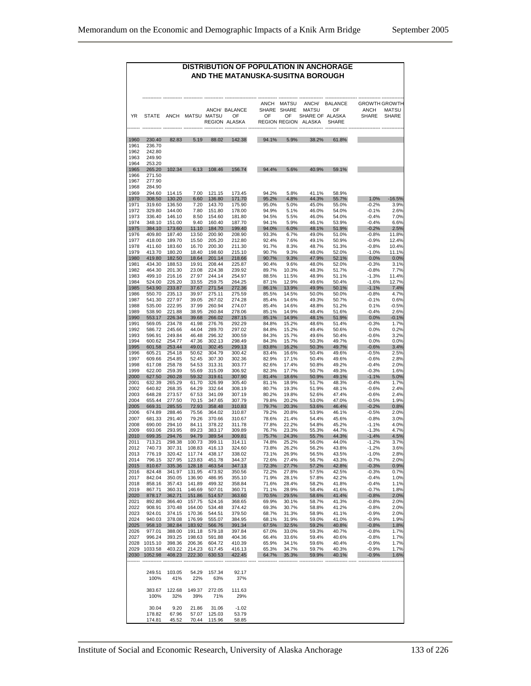#### **DISTRIBUTION OF POPULATION IN ANCHORAGE AND THE MATANUSKA-SUSITNA BOROUGH** ------------ ------------ ------------ ------------ -------------------- ------------ ------------ --------------- -------------------- -------------- -------------- ANCH MATSU ANCH/ BALANCE GROWTH GROWTH<br>SHARE SHARE MATSU OF ANCH MATSU ANCH/ BALANCE SHARE SHARE MATSU OF ANCH MATSU YR STATE ANCH MATSU MATSU OF OF OF SHARE OF ALASKA REGION ALASKA SHARE REGION REGION -------- ------------ ------------ ------------ ------------ -------------- ------------------ ------------ --------------- -------------- -------------------- -------------- 1960 230.40 82.83 5.19 88.02 142.38 94.1% 5.9% 38.2% 61.8% 1961 236.70<br>1962 242.80 1962 242.80<br>1963 249.90 249.90 1964 253.20<br>1965 265.20 1965 265.20 102.34 6.13 108.46 156.74 94.4% 5.6% 40.9% 59.1% 271.50 1967 277.90 1968 284.90<br>1969 294.60 1969 294.60 114.15 7.00 121.15 173.45 94.2% 5.8% 41.1% 58.9% 1970 308.50 130.20 6.60 136.80 171.70 95.2% 4.8% 44.3% 55.7% 1.0% -16.5% 1971 319.60 136.50 7.20 143.70 175.90 95.0% 5.0% 45.0% 55.0% -0.2% 3.9% 1972 329.80 144.00 7.80 151.80 178.00 94.9% 5.1% 46.0% 54.0% -0.1% 2.6% 1973 336.40 146.10 8.50 154.60 181.80 94.5% 5.5% 46.0% 54.0% -0.4% 7.0% 1974 348.10 151.00 9.40 160.40 187.70 94.1% 5.9% 46.1% 53.9% -0.4% 6.6% 1975 384.10 173.60 11.10 184.70 199.40 94.0% 6.0% 48.1% 51.9% -0.2% 2.5% 1976 409.80 187.40 13.50 200.90 208.90 93.3% 6.7% 49.0% 51.0% -0.8% 11.8% 1977 418.00 189.70 15.50 205.20 212.80 92.4% 7.6% 49.1% 50.9% -0.9% 12.4% 1978 411.60 183.60 16.70 200.30 211.30 91.7% 8.3% 48.7% 51.3% -0.8% 10.4% 1979 413.70 180.20 18.40 198.60 215.10 90.7% 9.3% 48.0% 52.0% -1.0% 11.1% 1980 419.80 182.50 18.64 201.14 218.66 90.7% 9.3% 47.9% 52.1% 0.0% 0.0% 1981 434.30 188.53 19.91 208.44 225.87 90.4% 9.6% 48.0% 52.0% -0.3% 3.1% 1982 464.30 201.30 23.08 224.38 239.92 89.7% 10.3% 48.3% 51.7% -0.8% 7.7% 1983 499.10 216.16 27.97 244.14 254.97 88.5% 11.5% 48.9% 51.1% -1.3% 11.4% 1984 524.00 226.20 33.55 259.75 264.25 87.1% 12.9% 49.6% 50.4% -1.6% 12.7% 1985 543.90 233.87 37.67 271.54 272.36 86.1% 13.9% 49.9% 50.1% -1.1% 7.4% 1986 550.70 235.13 39.97 275.11 275.59 85.5% 14.5% 50.0% 50.0% -0.8% 4.7% 1987 541.30 227.97 39.05 267.02 274.28 85.4% 14.6% 49.3% 50.7% -0.1% 0.6% 1988 535.00 222.95 37.99 260.94 274.07 85.4% 14.6% 48.8% 51.2% 0.1% -0.5% 1989 538.90 221.88 38.95 260.84 278.06 85.1% 14.9% 48.4% 51.6% -0.4% 2.6% 1990 553.17 226.34 39.68 266.02 287.15 85.1% 14.9% 48.1% 51.9% 0.0% -0.1% 1991 569.05 234.78 41.98 276.76 292.29 84.8% 15.2% 48.6% 51.4% -0.3% 1.7% 1992 586.72 245.66 44.04 289.70 297.02 84.8% 15.2% 49.4% 50.6% 0.0% 0.2% 1993 596.91 249.84 46.48 296.32 300.59 84.3% 15.7% 49.6% 50.4% -0.6% 3.2% 1994 600.62 254.77 47.36 302.13 298.49 84.3% 15.7% 50.3% 49.7% 0.0% 0.0% 1995 601.58 253.44 49.01 302.45 299.13 83.8% 16.2% 50.3% 49.7% -0.6% 3.4% 1996 605.21 254.18 50.62 304.79 300.42 83.4% 16.6% 50.4% 49.6% -0.5% 2.5% 1997 609.66 254.85 52.45 307.30 302.36 82.9% 17.1% 50.4% 49.6% -0.6% 2.8% 1998 617.08 258.78 54.53 313.31 303.77 82.6% 17.4% 50.8% 49.2% -0.4% 2.0% 1999 622.00 259.39 55.69 315.09 306.92 82.3% 17.7% 50.7% 49.3% -0.3% 1.6% 2000 627.50 260.28 59.32 319.61 307.90 81.4% 18.6% 50.9% 49.1% -1.1% 5.0% 2001 632.39 265.29 61.70 326.99 305.40 81.1% 18.9% 51.7% 48.3% -0.4% 1.7% 2002 640.82 268.35 64.29 332.64 308.19 80.7% 19.3% 51.9% 48.1% -0.6% 2.4% 2003 648.28 273.57 67.53 341.09 307.19 80.2% 19.8% 52.6% 47.4% -0.6% 2.4% 2004 655.44 277.50 70.15 347.65 307.79 79.8% 20.2% 53.0% 47.0% -0.5% 1.9% 2005 669.31 285.55 72.93 358.48 310.83 79.7% 20.3% 53.6% 46.4% -0.2% 0.8% 2006 674.89 288.46 75.56 364.02 310.87 79.2% 20.8% 53.9% 46.1% -0.5% 2.0% 2007 681.33 291.40 79.26 370.66 310.67 78.6% 21.4% 54.4% 45.6% -0.8% 3.0% 2008 690.00 294.10 84.11 378.22 311.78 77.8% 22.2% 54.8% 45.2% -1.1% 4.0% 2009 693.06 293.95 89.23 383.17 309.89 76.7% 23.3% 55.3% 44.7% -1.3% 4.7% 2010 699.35 294.76 94.79 389.54 309.81 75.7% 24.3% 55.7% 44.3% -1.4% 4.5% 2011 713.21 298.38 100.73 399.11 314.11 74.8% 25.2% 56.0% 44.0% -1.2% 3.7% 2012 740.73 307.31 108.83 416.13 324.60 73.8% 26.2% 56.2% 43.8% -1.2% 3.6% 2013 776.19 320.42 117.74 438.17 338.02 73.1% 26.9% 56.5% 43.5% -1.0% 2.8% 2014 796.15 327.95 123.83 451.78 344.37 72.6% 27.4% 56.7% 43.3% -0.7% 2.0% 2015 810.67 335.36 128.18 463.54 347.13 72.3% 27.7% 57.2% 42.8% -0.3% 0.9% 2016 824.48 341.97 131.95 473.92 350.56 72.2% 27.8% 57.5% 42.5% -0.3% 0.7% 2017 842.04 350.05 136.90 486.95 355.10 71.9% 28.1% 57.8% 42.2% -0.4% 1.0% 2018 858.16 357.43 141.89 499.32 358.84 71.6% 28.4% 58.2% 41.8% -0.4% 1.1% 2019 867.71 360.31 146.69 507.01 360.71 71.1% 28.9% 58.4% 41.6% -0.7% 1.8% 2020 878.17 362.71 151.86 514.57 363.60 70.5% 29.5% 58.6% 41.4% -0.8% 2.0% 2021 892.80 366.40 157.75 524.16 368.65 69.9% 30.1% 58.7% 41.3% -0.8% 2.0% 2022 908.91 370.48 164.00 534.48 374.42 69.3% 30.7% 58.8% 41.2% -0.8% 2.0% 2023 924.01 374.15 170.36 544.51 379.50 68.7% 31.3% 58.9% 41.1% -0.9% 2.0% 2024 940.03 378.08 176.99 555.07 384.95 68.1% 31.9% 59.0% 41.0% -0.9% 1.9% 2025 958.10 382.84 183.92 566.76 391.34 67.5% 32.5% 59.2% 40.8% -0.8% 1.8% 2026 977.01 388.00 191.18 579.18 397.84 67.0% 33.0% 59.3% 40.7% -0.8% 1.7% 2027 996.24 393.25 198.63 591.88 404.36 66.4% 33.6% 59.4% 40.6% -0.8% 1.7% 2028 1015.10 398.36 206.36 604.72 410.39 65.9% 34.1% 59.6% 40.4% -0.9% 1.7% 2029 1033.58 403.22 214.23 617.45 416.13 65.3% 34.7% 59.7% 40.3% -0.9% 1.7% 2030 1052.98 408.23 222.30 630.53 422.45 64.7% 35.3% 59.9% 40.1% -0.9% 1.6% -------- ------------ ------------ ------------ ------------ -------------- ----- ------------ ------------ --------------- -------------- ----- -------------- -------------- 249.51 103.05 54.29 157.34 92.17 100% 41% 22% 63% 37% 383.67 122.68 149.37 272.05 111.63 100% 32% 39% 71% 29% 30.04 9.20 21.86 31.06 -1.02 178.96 57.07 125.03<br>45.52 70.44 115.96 174.81 45.52 70.44 115.96 58.85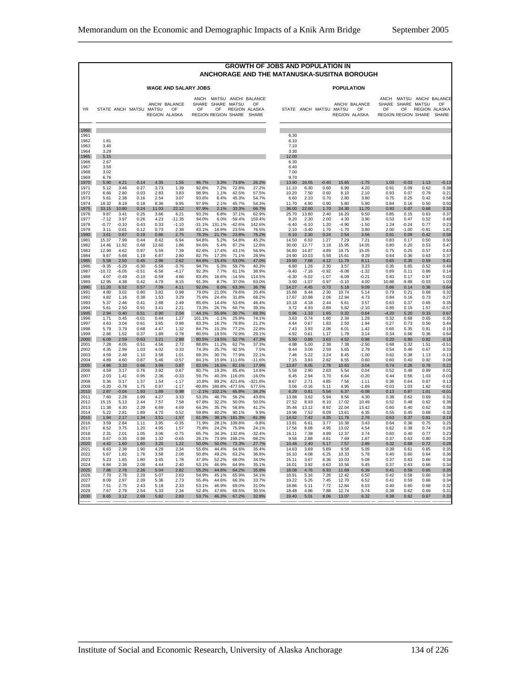|                                                      |                                               |                                              |                                              |                                              |                                              |                                                    |                                                   |                                                    |                                                          | <b>GROWTH OF JOBS AND POPULATION IN</b><br>ANCHORAGE AND THE MATANUSKA-SUSITNA BOROUGH |                                                  |                                              |                                                |                                                 |                                                 |                                              |                                              |                                                |
|------------------------------------------------------|-----------------------------------------------|----------------------------------------------|----------------------------------------------|----------------------------------------------|----------------------------------------------|----------------------------------------------------|---------------------------------------------------|----------------------------------------------------|----------------------------------------------------------|----------------------------------------------------------------------------------------|--------------------------------------------------|----------------------------------------------|------------------------------------------------|-------------------------------------------------|-------------------------------------------------|----------------------------------------------|----------------------------------------------|------------------------------------------------|
|                                                      |                                               |                                              |                                              |                                              | <b>WAGE AND SALARY JOBS</b>                  |                                                    |                                                   |                                                    |                                                          |                                                                                        |                                                  |                                              | <b>POPULATION</b>                              |                                                 |                                                 |                                              |                                              |                                                |
| <b>YR</b>                                            |                                               |                                              |                                              | STATE ANCH MATSU MATSU                       | ANCH/ BALANCE<br>OF<br>REGION ALASKA         | OF                                                 | SHARE SHARE<br>OF                                 | <b>MATSU</b><br>REGION REGION SHARE                | ANCH MATSU ANCH/ BALANCE<br>OF<br>REGION ALASKA<br>SHARE | STATE ANCH MATSU                                                                       |                                                  |                                              | <b>MATSU</b>                                   | ANCH/ BALANCE<br>OF<br><b>REGION ALASKA</b>     | SHARE<br>OF                                     | SHARE<br>OF<br>REGION REGION SHARE           | <b>MATSU</b><br>REGION ALASKA                | ANCH MATSU ANCH/ BALANCE<br>OF<br><b>SHARE</b> |
| 1960<br>1961<br>1962<br>1963<br>1964<br>1965<br>1966 | 1.81<br>3.40<br>3.29<br>5.15<br>2.67          |                                              |                                              |                                              |                                              |                                                    |                                                   |                                                    |                                                          | 6.30<br>6.10<br>7.10<br>3.30<br>12.00<br>6.30                                          |                                                  |                                              |                                                |                                                 |                                                 |                                              |                                              |                                                |
| 1967<br>1968<br>1969<br>1970<br>1971<br>1972         | 3.59<br>3.02<br>6.76<br>5.90<br>5.12<br>6.66  | 4.21<br>3.46<br>2.80                         | 0.14<br>0.27<br>0.03                         | 4.35<br>3.73<br>2.83                         | 1.55<br>1.39<br>3.83                         | 96.7%<br>92.8%<br>98.9%                            | 3.3%<br>7.2%<br>1.1%                              | 73.8%<br>72.8%<br>42.5%                            | 26.2%<br>27.2%<br>57.5%                                  | 6.40<br>7.00<br>9.70<br>13.90<br>11.10<br>10.20                                        | 16.05<br>6.30<br>7.50                            | $-0.40$<br>0.60<br>0.60                      | 15.65<br>6.90<br>8.10                          | $-1.75$<br>4.20<br>2.10                         | 1.03<br>0.91<br>0.93                            | $-0.03$<br>0.09<br>0.07                      | 1.13<br>0.62<br>0.79                         | $-0.13$<br>0.38<br>0.21                        |
| 1973                                                 | 5.61                                          | 2.38                                         | 0.16                                         | 2.54                                         | 3.07                                         | 93.6%                                              | 6.4%                                              | 45.3%                                              | 54.7%                                                    | 6.60                                                                                   | 2.10                                             | 0.70                                         | 2.80                                           | 3.80                                            | 0.75                                            | 0.25                                         | 0.42                                         | 0.58                                           |
| 1974                                                 | 18.32                                         | 8.19                                         | 0.18                                         | 8.36                                         | 9.95                                         | 97.9%                                              | 2.1%                                              | 45.7%                                              | 54.3%                                                    | 11.70                                                                                  | 4.90                                             | 0.90                                         | 5.80                                           | 5.90                                            | 0.84                                            | 0.16                                         | 0.50                                         | 0.50                                           |
| 1975                                                 | 33.15                                         | 10.80                                        | 0.24                                         | 11.03                                        | 22.12                                        | 97.9%                                              | 2.1%                                              | 33.3%                                              | 66.7%                                                    | 36.00                                                                                  | 22.60                                            | 1.70                                         | 24.30                                          | 11.70                                           | 0.93                                            | 0.07                                         | 0.68                                         | 0.33                                           |
| 1976                                                 | 9.87                                          | 3.41                                         | 0.25                                         | 3.66                                         | 6.21                                         | 93.2%                                              | 6.8%                                              | 37.1%                                              | 62.9%                                                    | 25.70                                                                                  | 13.80                                            | 2.40                                         | 16.20                                          | 9.50                                            | 0.85                                            | 0.15                                         | 0.63                                         | 0.37                                           |
| 1977                                                 | $-7.12$                                       | 3.97                                         | 0.26                                         | 4.23                                         | $-11.35$                                     | 94.0%                                              | 6.0%                                              | $-59.4%$                                           | 159.4%                                                   | 8.20                                                                                   | 2.30                                             | 2.00                                         | 4.30                                           | 3.90                                            | 0.53                                            | 0.47                                         | 0.52                                         | 0.48                                           |
| 1978                                                 | $-0.77$                                       | $-0.10$                                      | 0.43                                         | 0.33                                         | $-1.10$                                      | $-31.1%$                                           | 131.1%                                            | $-42.6%$                                           | 142.6%                                                   | $-6.40$                                                                                | $-6.10$                                          | 1.20                                         | $-4.90$                                        | $-1.50$                                         | 1.24                                            | $-0.24$                                      | 0.77                                         | 0.23                                           |
| 1979                                                 | 3.11                                          | 0.61                                         | 0.12                                         | 0.73                                         | 2.38                                         | 83.1%                                              | 16.9%                                             | 23.5%                                              | 76.5%                                                    | 2.10                                                                                   | $-3.40$                                          | 1.70                                         | $-1.70$                                        | 3.80                                            | 2.00                                            | $-1.00$                                      | $-0.81$                                      | 1.81                                           |
| 1980                                                 | 3.61                                          | 0.67                                         | 0.19                                         | 0.86                                         | 2.75                                         | 78.3%                                              | 21.7%                                             | 23.8%                                              | 76.2%                                                    | 6.10                                                                                   | 2.30                                             | 0.24                                         | 2.54                                           | 3.56                                            | 0.91                                            | 0.09                                         | 0.42                                         | 0.58                                           |
| 1981                                                 | 15.37                                         | 7.99                                         | 0.44                                         | 8.42                                         | 6.94                                         | 94.8%                                              | 5.2%                                              | 54.8%                                              | 45.2%                                                    | 14.50                                                                                  | 6.02                                             | 1.27                                         | 7.29                                           | 7.21                                            | 0.83                                            | 0.17                                         | 0.50                                         | 0.50                                           |
| 1982                                                 | 14.46                                         | 11.92                                        | 0.68                                         | 12.60                                        | 1.86                                         | 94.6%                                              | 5.4%                                              | 87.2%                                              | 12.8%                                                    | 30.00                                                                                  | 12.77                                            | 3.18                                         | 15.95                                          | 14.05                                           | 0.80                                            | 0.20                                         | 0.53                                         | 0.47                                           |
| 1983                                                 | 12.99                                         | 4.62                                         | 0.97                                         | 5.59                                         | 7.39                                         | 82.6%                                              | 17.4%                                             | 43.1%                                              | 56.9%                                                    | 34.80                                                                                  | 14.87                                            | 4.89                                         | 19.75                                          | 15.05                                           | 0.75                                            | 0.25                                         | 0.57                                         | 0.43                                           |
| 1984                                                 | 9.67                                          | 5.68                                         | 1 1 9                                        | 6.87                                         | 2.80                                         | 82.7%                                              | 17.3%                                             | 71.1%                                              | 28.9%                                                    | 24.90                                                                                  | 10.03                                            | 5.58                                         | 15.61                                          | 9.29                                            | 0.64                                            | 0.36                                         | 0.63                                         | 0.37                                           |
| 1985                                                 | 5.58                                          | 2.50                                         | 0.45                                         | 2.96                                         | 2.62                                         | 84.6%                                              | 15.4%                                             | 53.0%                                              | 47.0%                                                    | 19.90                                                                                  | 7.68                                             | 4.12                                         | 11.79                                          | 8.11                                            | 0.65                                            | 0.35                                         | 0.59                                         | 0.41                                           |
| 1986                                                 | $-9.35$                                       | $-5.29$                                      | $-0.30$                                      | $-5.58$                                      | $-3.76$                                      | 94.7%                                              | 5.3%                                              | 59.7%                                              | 40.3%                                                    | 6.80                                                                                   | 1.26                                             | 2.30                                         | 3.57                                           | 3.23                                            | 0.35                                            | 0.65                                         | 0.52                                         | 0.48                                           |
| 1987                                                 | $-10.72$                                      | $-6.05$                                      | $-0.51$                                      | $-6.56$                                      | $-4.17$                                      | 92.3%                                              | 7.7%                                              | 61.1%                                              | 38.9%                                                    | $-9.40$                                                                                | $-7.16$                                          | $-0.92$                                      | $-8.08$                                        | $-1.32$                                         | 0.89                                            | 0.11                                         | 0.86                                         | 0.14                                           |
| 1988                                                 | 4.07                                          | $-0.49$                                      | $-0.10$                                      | $-0.59$                                      | 4.66                                         | 83.4%                                              | 16.6%                                             | $-14.5%$                                           | 114.5%                                                   | $-6.30$                                                                                | $-5.02$                                          | $-1.07$                                      | $-6.09$                                        | $-0.21$                                         | 0.83                                            | 0.17                                         | 0.97                                         | 0.03                                           |
| 1989                                                 | 12.95                                         | 4.38                                         | 0.42                                         | 4.79                                         | 8.15                                         | 91.3%                                              | 8.7%                                              | 37.0%                                              | 63.0%                                                    | 3.90                                                                                   | $-1.07$                                          | 0.97                                         | $-0.10$                                        | 4.00                                            | 10.88                                           | $-9.88$                                      | $-0.03$                                      | 1.03                                           |
| 1990<br>1991<br>1992<br>1993<br>1994<br>1995         | 11.20<br>4.80<br>4.82<br>5.37<br>5.61<br>2.94 | 6.52<br>3.02<br>1.16<br>2.46<br>2.50<br>0.40 | 0.57<br>0.80<br>0.38<br>0.41<br>0.91<br>0.51 | 7.09<br>3.82<br>1.53<br>2.88<br>3.41<br>0.90 | 4.11<br>0.98<br>3.29<br>2.49<br>2.21<br>2.04 | 92.0%<br>79.0%<br>75.6%<br>85.6%<br>73.3%<br>44.1% | 8.0%<br>21.0%<br>24.4%<br>14.4%<br>26.7%<br>55.9% | 63.3%<br>79.6%<br>31.8%<br>53.6%<br>60.7%<br>30.7% | 36.7%<br>20.4%<br>68.2%<br>46.4%<br>39.3%<br>69.3%       | 14.27<br>15.88<br>17.67<br>10.18<br>3.72<br>0.96                                       | 4.45<br>8.44<br>10.88<br>4.18<br>4.93<br>$-1.33$ | 0.73<br>2.30<br>2.06<br>2.44<br>0.89<br>1.65 | 5.18<br>10.74<br>12.94<br>6.61<br>5.82<br>0.32 | 9.09<br>5.14<br>4.73<br>3.57<br>$-2.10$<br>0.64 | 0.86<br>0.79<br>0.84<br>0.63<br>0.85<br>$-4.20$ | 0.14<br>0.21<br>0.16<br>0.37<br>0.15<br>5.20 | 0.36<br>0.68<br>0.73<br>0.65<br>1.57<br>0.33 | 0.64<br>0.32<br>0.27<br>0.35<br>$-0.5$         |
| 1996<br>1997<br>1998<br>1999<br>2000                 | 1.71<br>4.63<br>5.79<br>2.66<br>6.09          | 0.45<br>3.04<br>3.79<br>1.52<br>2.59         | $-0.01$<br>0.61<br>0.68<br>0.37<br>0.63      | 0.44<br>3.65<br>4.47<br>1.89<br>3.21         | 1.27<br>0.98<br>1.32<br>0.78<br>2.88         | 101.1%<br>83.3%<br>84.7%<br>80.5%<br>80.5%         | $-1.1%$<br>16.7%<br>15.3%<br>19.5%<br>19.5%       | 25.9%<br>78.8%<br>77.2%<br>70.9%<br>52.7%          | 74.1%<br>21.2%<br>22.8%<br>29.1%<br>47.3%                | 3.63<br>4.44<br>7.43<br>4.92<br>5.50                                                   | 0.74<br>0.67<br>3.93<br>0.61<br>0.89             | 1.60<br>1.83<br>2.08<br>1.17<br>3.63         | 2.34<br>2.50<br>6.01<br>1.78<br>4.52           | 1.29<br>1.94<br>1.42<br>3.14<br>0.98            | 0.32<br>0.27<br>0.65<br>0.34<br>0.20            | 0.68<br>0.73<br>0.35<br>0.66<br>0.80         | 0.65<br>0.56<br>0.81<br>0.36<br>0.82         | 0.67<br>0.35<br>0.44<br>0.19<br>0.64<br>0.18   |
| 2001                                                 | 7.28                                          | 4.05                                         | 0.51                                         | 4.56                                         | 2.72                                         | 88.8%                                              | 11.2%                                             | 62.7%                                              | 37.3%                                                    | 4.88                                                                                   | 5.00                                             | 2.38                                         | 7.38                                           | $-2.50$                                         | 0.68                                            | 0.32                                         | 1.51                                         | $-0.51$                                        |
| 2002                                                 | 4.35                                          | 2.99                                         | 1.03                                         | 4.02                                         | 0.33                                         | 74.3%                                              | 25.7%                                             | 92.5%                                              | 7.5%                                                     | 8.44                                                                                   | 3.06                                             | 2.59                                         | 5.65                                           | 2.79                                            | 0.54                                            | 0.46                                         | 0.67                                         | 0.33                                           |
| 2003                                                 | 4.59                                          | 2.48                                         | 1.10                                         | 3.58                                         | 1.01                                         | 69.3%                                              | 30.7%                                             | 77.9%                                              | 22.1%                                                    | 7.46                                                                                   | 5.22                                             | 3.24                                         | 8.45                                           | $-1.00$                                         | 0.62                                            | 0.38                                         | 1.13                                         | $-0.13$                                        |
| 2004                                                 | 4.89                                          | 4.60                                         | 0.87                                         | 5.46                                         | $-0.57$                                      | 84.1%                                              | 15.9%                                             | 111.6%                                             | $-11.6%$                                                 | 7.15                                                                                   | 3.93                                             | 2.62                                         | 6.55                                           | 0.60                                            | 0.60                                            | 0.40                                         | 0.92                                         | 0.08                                           |
| 2005                                                 | 4.86                                          | 3.33                                         | 0.66                                         | 3.99                                         | 0.87                                         | 83.5%                                              | 16.5%                                             | 82.1%                                              | 17.9%                                                    | 13.87                                                                                  | 8.05                                             | 2.78                                         | 10.83                                          | 3.04                                            | 0.74                                            | 0.26                                         | 0.78                                         | 0.22                                           |
| 2006                                                 | 4.59                                          | 3.17                                         | 0.76                                         | 3.92                                         | 0.67                                         | 80.7%                                              | 19.3%                                             | 85.4%                                              | 14.6%                                                    | 5.58                                                                                   | 2.90                                             | 2.63                                         | 5.54                                           | 0.04                                            | 0.52                                            | 0.48                                         | 0.99                                         | 0.01                                           |
| 2007                                                 | 2.03                                          | 1.41                                         | 0.95                                         | 2.36                                         | $-0.33$                                      | 59.7%                                              | 40.3%                                             | 116.0%                                             | $-16.0%$                                                 | 6.45                                                                                   | 2.94                                             | 3.70                                         | 6.64                                           | $-0.20$                                         | 0.44                                            | 0.56                                         | 1.03                                         | $-0.03$                                        |
| 2008                                                 | 0.36                                          | 0.17                                         | 1.37                                         | 1.54                                         | $-1.17$                                      | 10.8%                                              | 89.2%                                             | 421.6%                                             | $-321.6%$                                                | 8.67                                                                                   | 2.71                                             | 4.85                                         | 7.56                                           | 1.11                                            | 0.36                                            | 0.64                                         | 0.87                                         | 0.13                                           |
| 2009                                                 | $-0.20$                                       | $-0.78$                                      | 1.75                                         | 0.97                                         | $-1.17$                                      | $-80.8%$                                           | 180.8%                                            | $-477.5%$                                          | 577.5%                                                   | 3.06                                                                                   | $-0.16$                                          | 5.11                                         | 4.95                                           | $-1.89$                                         | $-0.03$                                         | 1.03                                         | 1.62                                         | $-0.62$                                        |
| 2010                                                 | 2.87                                          | $-0.04$                                      | 1.93                                         | 1.89                                         | 0.98                                         | $-2.1%$                                            | 102.1%                                            | 65.8%                                              | 34.2%                                                    | 6.29                                                                                   | 0.81                                             | 5.56                                         | 6.37                                           | $-0.08$                                         | 0.13                                            | 0.87                                         | 1.01                                         | $-0.01$                                        |
| 2011                                                 | 7.60                                          | 2.28                                         | 1.99                                         | 4.27                                         | 3.33                                         | 53.3%                                              | 46.7%                                             | 56.2%                                              | 43.8%                                                    | 13.86                                                                                  | 3.62                                             | 5.94                                         | 9.56                                           | 4.30                                            | 0.38                                            | 0.62                                         | 0.69                                         | 0.3 <sup>°</sup>                               |
| 2012                                                 | 15.15                                         | 5.13                                         | 2.44                                         | 7.57                                         | 7.58                                         | 67.8%                                              | 32.2%                                             | 50.0%                                              | 50.0%                                                    | 27.52                                                                                  | 8.93                                             | 8.10                                         | 17.02                                          | 10.49                                           | 0.52                                            | 0.48                                         | 0.62                                         | 0.38                                           |
| 2013                                                 | 11.38                                         | 4.30                                         | 2.39                                         | 6.69                                         | 4.69                                         | 64.3%                                              | 35.7%                                             | 58.8%                                              | 41.2%                                                    | 35.46                                                                                  | 13.12                                            | 8.92                                         | 22.04                                          | 13.42                                           | 0.60                                            | 0.40                                         | 0.62                                         | 0.38                                           |
| 2014                                                 | 5.22                                          | 2.81                                         | 1.89                                         | 4.70                                         | 0.52                                         | 59.8%                                              | 40.2%                                             | 90.1%                                              | 9.9%                                                     | 19.96                                                                                  | 7.52                                             | 6.09                                         | 13.61                                          | 6.35                                            | 0.55                                            | 0.45                                         | 0.68                                         | 0.32                                           |
| 2015                                                 | 1.94                                          | 2.17                                         | 1.34                                         | 3.51                                         | $-1.57$                                      | 61.9%                                              | 38.1%                                             | 181.3%                                             | $-81.3%$                                                 | 14.52                                                                                  | 7.42                                             | 4.35                                         | 11.76                                          | 2.76                                            | 0.63                                            | 0.37                                         | 0.81                                         | 0.19                                           |
| 2016                                                 | 3.59                                          | 2.84                                         | 1.11                                         | 3.95                                         | $-0.35$                                      | 71.9%                                              | 28.1%                                             | 109.8%                                             | $-9.8%$                                                  | 13.81                                                                                  | 6.61                                             | 3.77                                         | 10.38                                          | 3.43                                            | 0.64                                            | 0.36                                         | 0.75                                         | 0.25                                           |
| 2017                                                 | 6.52                                          | 3.75                                         | 1.20                                         | 4.95                                         | 1.57                                         | 75.8%                                              | 24.2%                                             | 75.9%                                              | 24.1%                                                    | 17.56                                                                                  | 8.08                                             | 4.95                                         | 13.02                                          | 4.54                                            | 0.62                                            | 0.38                                         | 0.74                                         | 0.26                                           |
| 2018                                                 | 2.31                                          | 2.01                                         | 1.05                                         | 3.06                                         | $-0.75$                                      | 65.7%                                              | 34.3%                                             | 132.4%                                             | $-32.4%$                                                 | 16.11                                                                                  | 7.38                                             | 4.99                                         | 12.37                                          | 3.74                                            | 0.60                                            | 0.40                                         | 0.77                                         | 0.23                                           |
| 2019                                                 | 0.67                                          | 0.35                                         | 0.98                                         | 1.32                                         | $-0.65$                                      | 26.1%                                              | 73.9%                                             | 198.2%                                             | $-98.2%$                                                 | 9.56                                                                                   | 2.88                                             | 4.81                                         | 7.69                                           | 1.87                                            | 0.37                                            | 0.63                                         | 0.80                                         | 0.20                                           |
| 2020                                                 | 4.42                                          | 1.60                                         | 1.60                                         | 3.20                                         | 1.22                                         | 50.0%                                              | 50.0%                                             | 72.3%                                              | 27.7%                                                    | 10.46                                                                                  | 2.40                                             | 5.17                                         | 7.57                                           | 2.89                                            | 0.32                                            | 0.68                                         | 0.72                                         | 0.28                                           |
| 2021                                                 | 6.63                                          | 2.38                                         | 1.90                                         | 4.29                                         | 2.34                                         | 55.6%                                              | 44.4%                                             | 64.6%                                              | 35.4%                                                    | 14.63                                                                                  | 3.69                                             | 5.89                                         | 9.58                                           | 5.05                                            | 0.39                                            | 0.61                                         | 0.65                                         | 0.35                                           |
| 2022                                                 | 5.67                                          | 1.82                                         | 1.76                                         | 3.58                                         | 2.08                                         | 50.8%                                              | 49.2%                                             | 63.2%                                              | 36.8%                                                    | 16.10                                                                                  | 4.08                                             | 6.25                                         | 10.33                                          | 5.78                                            | 0.40                                            | 0.60                                         | 0.64                                         | 0.36                                           |
| 2023                                                 | 5.23                                          | 1.65                                         | 1.80                                         | 3.45                                         | 1.78                                         | 47.8%                                              | 52.2%                                             | 66.0%                                              | 34.0%                                                    | 15.11                                                                                  | 3.67                                             | 6.36                                         | 10.03                                          | 5.08                                            | 0.37                                            | 0.63                                         | 0.66                                         | 0.34                                           |
| 2024                                                 | 6.84                                          | 2.36                                         | 2.08                                         | 4.44                                         | 2.40                                         | 53.1%                                              | 46.9%                                             | 64.9%                                              | 35.1%                                                    | 16.01                                                                                  | 3.92                                             | 6.63                                         | 10.56                                          | 5.45                                            | 0.37                                            | 0.63                                         | 0.66                                         | 0.34                                           |
| 2025                                                 | 7.86                                          | 2.78                                         | 2.26                                         | 5.04                                         | 2.82                                         | 55.2%                                              | 44.8%                                             | 64.2%                                              | 35.8%                                                    | 18.08                                                                                  | 4.76                                             | 6.93                                         | 11.69                                          | 6.39                                            | 0.41                                            | 0.59                                         | 0.65                                         | 0.35                                           |
| 2026                                                 | 7.70                                          | 2.78                                         | 2.29                                         | 5.07                                         | 2.63                                         | 54.9%                                              | 45.1%                                             | 65.9%                                              | 34.1%                                                    | 18.91                                                                                  | 5.16                                             | 7.26                                         | 12.42                                          | 6.50                                            | 0.42                                            | 0.58                                         | 0.66                                         | 0.34                                           |
| 2027                                                 | 8.09                                          | 297                                          | 2.39                                         | 5.36                                         | 2.73                                         | 55.4%                                              | 44.6%                                             | 66.3%                                              | 33.7%                                                    | 19 22                                                                                  | 5.25                                             | 7.45                                         | 12.70                                          | 6.52                                            | 0.41                                            | 0.59                                         | 0.66                                         | 0.34                                           |
| 2028                                                 | 7.51                                          | 2.75                                         | 2.43                                         | 5.18                                         | 2.33                                         | 53.1%                                              | 46.9%                                             | 69.0%                                              | 31.0%                                                    | 18.86                                                                                  | 5.11                                             | 7.72                                         | 12.84                                          | 6.03                                            | 0.40                                            | 0.60                                         | 0.68                                         | 0.32                                           |
| 2029                                                 | 7.67                                          | 279                                          | 2.54                                         | 5.33                                         | 2.34                                         | 52 4%                                              | 47.6%                                             | 69.5%                                              | 30.5%                                                    | 18.48                                                                                  | 4.86                                             | 788                                          | 1274                                           | 5.74                                            | 0.38                                            | 0.62                                         | 0.69                                         | 0.31                                           |
| 2030                                                 | 8.65                                          | 3.12                                         | 2.69                                         | 5.82                                         | 2.83                                         | 53.7%                                              | 46.3%                                             | 67.2%                                              | 32.8%                                                    | 19.40                                                                                  | 5.01                                             | 8.06                                         | 13.07                                          | 6.32                                            | 0.38                                            | 0.62                                         | 0.67                                         | 0.33                                           |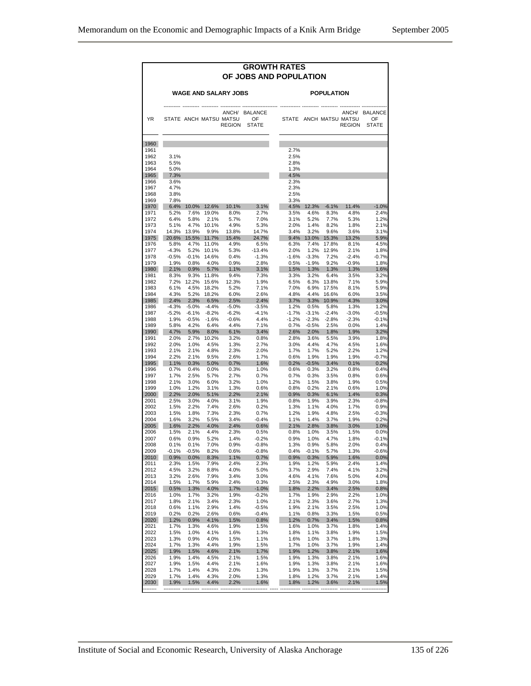|              |                 |                      |                 |                                         | <b>GROWTH RATES</b><br>OF JOBS AND POPULATION |                 |                    |                    |                                         |                                     |
|--------------|-----------------|----------------------|-----------------|-----------------------------------------|-----------------------------------------------|-----------------|--------------------|--------------------|-----------------------------------------|-------------------------------------|
|              |                 |                      |                 | <b>WAGE AND SALARY JOBS</b>             |                                               |                 |                    | <b>POPULATION</b>  |                                         |                                     |
| YR.          |                 |                      |                 | STATE ANCH MATSU MATSU<br><b>REGION</b> | ANCH/ BALANCE<br>OF<br><b>STATE</b>           |                 |                    |                    | STATE ANCH MATSU MATSU<br><b>REGION</b> | ANCH/ BALANCE<br>OF<br><b>STATE</b> |
| 1960         |                 |                      |                 |                                         |                                               |                 |                    |                    |                                         |                                     |
| 1961         |                 |                      |                 |                                         |                                               | 2.7%            |                    |                    |                                         |                                     |
| 1962         | 3.1%            |                      |                 |                                         |                                               | 2.5%            |                    |                    |                                         |                                     |
| 1963         | 5.5%            |                      |                 |                                         |                                               | 2.8%            |                    |                    |                                         |                                     |
| 1964<br>1965 | 5.0%<br>7.3%    |                      |                 |                                         |                                               | 1.3%<br>4.5%    |                    |                    |                                         |                                     |
| 1966         | 3.6%            |                      |                 |                                         |                                               | 2.3%            |                    |                    |                                         |                                     |
| 1967         | 4.7%            |                      |                 |                                         |                                               | 2.3%            |                    |                    |                                         |                                     |
| 1968         | 3.8%            |                      |                 |                                         |                                               | 2.5%            |                    |                    |                                         |                                     |
| 1969         | 7.8%            |                      |                 |                                         |                                               | 3.3%            |                    |                    |                                         |                                     |
| 1970         | 6.4%            | 10.0%                | 12.6%           | 10.1%                                   | 3.1%                                          | 4.5%            | 12.3%              | $-6.1%$            | 11.4%                                   | $-1.0%$                             |
| 1971<br>1972 | 5.2%<br>6.4%    | 7.6%<br>5.8%         | 19.0%<br>2.1%   | 8.0%<br>5.7%                            | 2.7%<br>7.0%                                  | 3.5%<br>3.1%    | 4.6%<br>5.2%       | 8.3%<br>7.7%       | 4.8%<br>5.3%                            | 2.4%<br>1.2%                        |
| 1973         | 5.1%            | 4.7%                 | 10.1%           | 4.9%                                    | 5.3%                                          | 2.0%            | 1.4%               | 8.2%               | 1.8%                                    | 2.1%                                |
| 1974         | 14.3%           | 13.9%                | 9.9%            | 13.8%                                   | 14.7%                                         | 3.4%            | 3.2%               | 9.6%               | 3.6%                                    | 3.1%                                |
| 1975         |                 | 20.6% 15.5%          | 11.7%           | 15.4%                                   | 24.7%                                         |                 |                    | 9.4% 13.0% 15.3%   | 13.2%                                   | 5.9%                                |
| 1976         | 5.8%            | 4.7%                 | 11.0%           | 4.9%                                    | 6.5%                                          | 6.3%            | 7.4%               | 17.8%              | 8.1%                                    | 4.5%                                |
| 1977         | $-4.3%$         | 5.2%                 | 10.1%           | 5.3%                                    | $-13.4%$                                      | 2.0%            |                    | 1.2% 12.9%         | 2.1%                                    | 1.8%                                |
| 1978<br>1979 | $-0.5%$<br>1.9% | $-0.1%$<br>0.8%      | 14.6%<br>4.0%   | 0.4%<br>0.9%                            | $-1.3%$<br>2.8%                               | $-1.6%$<br>0.5% | $-3.3%$<br>$-1.9%$ | 7.2%<br>9.2%       | $-2.4%$<br>$-0.9%$                      | $-0.7%$<br>1.8%                     |
| 1980         | 2.1%            | 0.9%                 | 5.7%            | 1.1%                                    | 3.1%                                          | 1.5%            |                    | 1.3% 1.3%          | 1.3%                                    | 1.6%                                |
| 1981         | 8.3%            | 9.3%                 | 11.8%           | 9.4%                                    | 7.3%                                          | 3.3%            | 3.2%               | 6.4%               | 3.5%                                    | 3.2%                                |
| 1982         | 7.2%            | 12.2%                | 15.6%           | 12.3%                                   | 1.9%                                          | 6.5%            |                    | 6.3% 13.8%         | 7.1%                                    | 5.9%                                |
| 1983         | 6.1%            | 4.5%                 | 18.2%           | 5.2%                                    | 7.1%                                          | 7.0%            |                    | 6.9% 17.5%         | 8.1%                                    | 5.9%                                |
| 1984         | 4.3%            | 5.2%                 | 18.2%           | 6.0%                                    | 2.6%                                          | 4.8%            |                    | 4.4% 16.6%         | 6.0%                                    | 3.5%                                |
| 1985<br>1986 | $-4.3%$         | 2.4% 2.3%<br>$-5.0%$ | 6.5%<br>$-4.4%$ | 2.5%<br>$-5.0%$                         | 2.4%<br>$-3.5%$                               | 3.7%<br>1.2%    | 0.5%               | 3.3% 10.9%<br>5.8% | 4.3%<br>1.3%                            | 3.0%<br>1.2%                        |
| 1987         | $-5.2%$         | $-6.1%$              | $-8.2%$         | $-6.2%$                                 | $-4.1%$                                       | $-1.7%$         |                    | $-3.1\% -2.4\%$    | $-3.0%$                                 | $-0.5%$                             |
| 1988         | 1.9%            | $-0.5%$              | $-1.6%$         | $-0.6%$                                 | 4.4%                                          | $-1.2%$         | $-2.3%$            | -2.8%              | $-2.3%$                                 | $-0.1%$                             |
| 1989         | 5.8%            | 4.2%                 | 6.4%            | 4.4%                                    | 7.1%                                          | 0.7%            | $-0.5%$            | 2.5%               | $0.0\%$                                 | 1.4%                                |
| 1990         | 4.7%            | 5.9%                 | 8.0%            | 6.1%                                    | 3.4%                                          | 2.6%            | $2.0\%$            | 1.8%               | 1.9%                                    | 3.2%                                |
| 1991         | 2.0%            | 2.7%                 | 10.2%           | 3.2%                                    | 0.8%                                          | 2.8%            | 3.6%               | 5.5%               | 3.9%                                    | 1.8%                                |
| 1992<br>1993 | 2.0%<br>2.1%    | 1.0%<br>2.1%         | 4.5%<br>4.8%    | 1.3%<br>2.3%                            | 2.7%<br>2.0%                                  | 3.0%<br>1.7%    | 4.4%<br>1.7%       | 4.7%<br>5.2%       | 4.5%<br>2.2%                            | 1.6%<br>1.2%                        |
| 1994         | 2.2%            | 2.1%                 | 9.5%            | 2.6%                                    | 1.7%                                          | 0.6%            | 1.9%               | 1.9%               | 1.9%                                    | $-0.7%$                             |
| 1995         | 1.1%            | 0.3%                 | 5.0%            | 0.7%                                    | 1.6%                                          | 0.2%            | $-0.5%$            | 3.4%               | 0.1%                                    | 0.2%                                |
| 1996         | 0.7%            | 0.4%                 | 0.0%            | 0.3%                                    | 1.0%                                          | 0.6%            | 0.3%               | 3.2%               | 0.8%                                    | 0.4%                                |
| 1997         | 1.7%            | 2.5%                 | 5.7%            | 2.7%                                    | 0.7%                                          | 0.7%            | 0.3%               | 3.5%               | 0.8%                                    | 0.6%                                |
| 1998         | 2.1%            | 3.0%                 | 6.0%            | 3.2%                                    | 1.0%                                          | 1.2%            | 1.5%               | 3.8%               | 1.9%                                    | 0.5%                                |
| 1999<br>2000 | 1.0%<br>2.2%    | 1.2%<br>2.0%         | 3.1%<br>5.1%    | 1.3%<br>2.2%                            | 0.6%                                          | 0.8%            | 0.2%<br>0.3%       | 2.1%<br>6.1%       | 0.6%<br>1.4%                            | 1.0%                                |
| 2001         | 2.5%            | 3.0%                 | 4.0%            | 3.1%                                    | 2.1%<br>1.9%                                  | 0.9%<br>0.8%    | 1.9%               | 3.9%               | 2.3%                                    | 0.3%<br>$-0.8%$                     |
| 2002         | 1.5%            | 2.2%                 | 7.4%            | 2.6%                                    | 0.2%                                          | 1.3%            | 1.1%               | 4.0%               | 1.7%                                    | 0.9%                                |
| 2003         | 1.5%            | 1.8%                 | 7.3%            | 2.3%                                    | 0.7%                                          | 1.2%            | 1.9%               | 4.8%               | 2.5%                                    | $-0.3%$                             |
| 2004         | 1.6%            | 3.2%                 | 5.5%            | 3.4%                                    | $-0.4%$                                       | 1.1%            | 1.4%               | 3.7%               | 1.9%                                    | 0.2%                                |
| 2005         | 1.6%            | 2.2%                 | 4.0%            | 2.4%                                    | 0.6%                                          | 2.1%            | 2.8%               | 3.8%               | 3.0%                                    | 1.0%                                |
| 2006         | 1.5%            | 2.1%                 | 4.4%            | 2.3%                                    | 0.5%                                          | 0.8%            | 1.0%               | 3.5%               | 1.5%                                    | 0.0%                                |
| 2007<br>2008 | 0.6%<br>0.1%    | 0.9%<br>0.1%         | 5.2%<br>7.0%    | 1.4%<br>0.9%                            | $-0.2%$<br>$-0.8%$                            | 0.9%<br>1.3%    | 1.0%<br>0.9%       | 4.7%<br>5.8%       | 1.8%<br>2.0%                            | $-0.1%$<br>0.4%                     |
| 2009         | $-0.1%$         | $-0.5%$              | 8.2%            | 0.6%                                    | $-0.8%$                                       | 0.4%            | $-0.1%$            | 5.7%               | 1.3%                                    | $-0.6%$                             |
| 2010         | 0.9%            | 0.0%                 | 8.3%            | 1.1%                                    | 0.7%                                          | 0.9%            | 0.3%               | 5.9%               | 1.6%                                    | 0.0%                                |
| 2011         | 2.3%            | 1.5%                 | 7.9%            | 2.4%                                    | 2.3%                                          | 1.9%            | 1.2%               | 5.9%               | 2.4%                                    | 1.4%                                |
| 2012         | 4.5%            | 3.2%                 | 8.8%            | 4.0%                                    | 5.0%                                          | 3.7%            | 2.9%               | 7.4%               | 4.1%                                    | 3.2%                                |
| 2013         | 3.2%            | 2.6%                 | 7.9%            | 3.4%                                    | 3.0%                                          | 4.6%            | 4.1%               | 7.6%               | 5.0%                                    | 4.0%                                |
| 2014<br>2015 | 1.5%            | 1.7%                 | 5.9%<br>4.0%    | 2.4%                                    | 0.3%                                          | 2.5%            | 2.3%<br>2.2%       | 4.9%               | 3.0%                                    | 1.8%                                |
| 2016         | 0.5%<br>1.0%    | 1.3%<br>1.7%         | 3.2%            | 1.7%<br>1.9%                            | $-1.0%$<br>$-0.2%$                            | 1.8%<br>1.7%    | 1.9%               | 3.4%<br>2.9%       | 2.5%<br>2.2%                            | 0.8%<br>1.0%                        |
| 2017         | 1.8%            | 2.1%                 | 3.4%            | 2.3%                                    | 1.0%                                          | 2.1%            | 2.3%               | 3.6%               | 2.7%                                    | 1.3%                                |
| 2018         | 0.6%            | 1.1%                 | 2.9%            | 1.4%                                    | $-0.5%$                                       | 1.9%            | 2.1%               | 3.5%               | 2.5%                                    | 1.0%                                |
| 2019         | 0.2%            | 0.2%                 | 2.6%            | 0.6%                                    | $-0.4%$                                       | 1.1%            | 0.8%               | 3.3%               | 1.5%                                    | 0.5%                                |
| 2020         | 1.2%            | 0.9%                 | 4.1%            | 1.5%                                    | 0.8%                                          | 1.2%            | 0.7%               | 3.4%               | 1.5%                                    | 0.8%                                |
| 2021         | 1.7%            | 1.3%                 | 4.6%            | 1.9%                                    | 1.5%                                          | 1.6%            | 1.0%               | 3.7%               | 1.8%                                    | 1.4%                                |
| 2022         | 1.5%            | 1.0%                 | 4.1%            | 1.6%                                    | 1.3%                                          | 1.8%            | 1.1%               | 3.8%               | 1.9%                                    | 1.5%                                |
| 2023<br>2024 | 1.3%<br>1.7%    | 0.9%<br>1.3%         | 4.0%<br>4.4%    | 1.5%<br>1.9%                            | 1.1%<br>1.5%                                  | 1.6%<br>1.7%    | 1.0%<br>1.0%       | 3.7%<br>3.7%       | 1.8%<br>1.9%                            | 1.3%<br>1.4%                        |
| 2025         | 1.9%            | 1.5%                 | 4.6%            | 2.1%                                    | 1.7%                                          | 1.9%            | 1.2%               | 3.8%               | 2.1%                                    | 1.6%                                |
| 2026         | 1.9%            | 1.4%                 | 4.5%            | 2.1%                                    | 1.5%                                          | 1.9%            | 1.3%               | 3.8%               | 2.1%                                    | 1.6%                                |
| 2027         | 1.9%            | 1.5%                 | 4.4%            | 2.1%                                    | 1.6%                                          | 1.9%            | 1.3%               | 3.8%               | 2.1%                                    | 1.6%                                |
| 2028         | 1.7%            | 1.4%                 | 4.3%            | 2.0%                                    | 1.3%                                          | 1.9%            | 1.3%               | 3.7%               | 2.1%                                    | 1.5%                                |
| 2029         | 1.7%            | 1.4%                 | 4.3%            | 2.0%                                    | 1.3%                                          | 1.8%            | 1.2%               | 3.7%               | 2.1%                                    | 1.4%                                |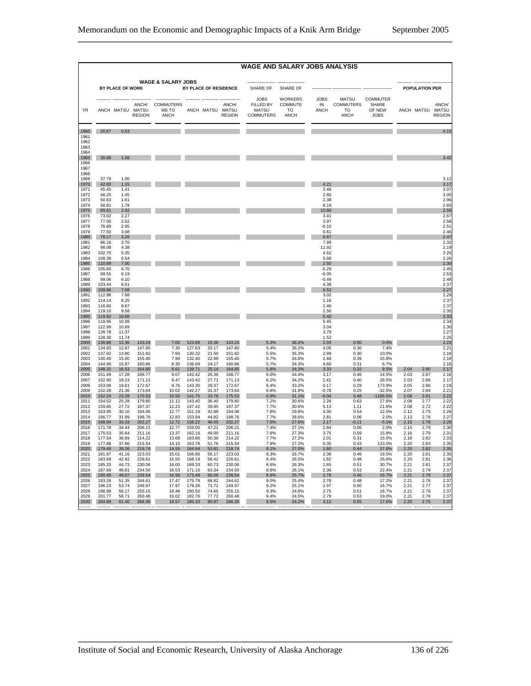|                              |                  |                  |                  |                                         |                  |                |                                            | <b>WAGE AND SALARY JOBS ANALYSIS</b>                         |                                                       |                                  |                                                       |                                                          |              |                       |                        |
|------------------------------|------------------|------------------|------------------|-----------------------------------------|------------------|----------------|--------------------------------------------|--------------------------------------------------------------|-------------------------------------------------------|----------------------------------|-------------------------------------------------------|----------------------------------------------------------|--------------|-----------------------|------------------------|
|                              |                  |                  |                  | <b>WAGE &amp; SALARY JOBS</b>           |                  |                |                                            |                                                              |                                                       |                                  |                                                       |                                                          |              |                       |                        |
|                              |                  | BY PLACE OF WORK |                  |                                         |                  |                | BY PLACE OF RESIDENCE                      | SHARE OF                                                     | SHARE OF                                              |                                  |                                                       |                                                          |              | <b>POPULATION PER</b> |                        |
| YR                           |                  | ANCH MATSU MATSU | <b>REGION</b>    | ANCH/ COMMUTERS<br>MS TO<br><b>ANCH</b> |                  |                | ANCH/<br>ANCH MATSU MATSU<br><b>REGION</b> | <b>JOBS</b><br>FILLED BY<br><b>MATSU</b><br><b>COMMUTERS</b> | <b>WORKERS</b><br>COMMUTE<br><b>TO</b><br><b>ANCH</b> | <b>JOBS</b><br>IN<br><b>ANCH</b> | <b>MATSU</b><br><b>COMMUTERS</b><br>TO<br><b>ANCH</b> | <b>COMMUTER</b><br><b>SHARE</b><br>OF NEW<br><b>JOBS</b> |              | ANCH MATSU MATSU      | ANCH/<br><b>REGION</b> |
| 1960                         | 20.67            | 0.53             |                  |                                         |                  |                |                                            |                                                              |                                                       |                                  |                                                       |                                                          |              |                       | 4.15                   |
| 1961<br>1962<br>1963<br>1964 |                  |                  |                  |                                         |                  |                |                                            |                                                              |                                                       |                                  |                                                       |                                                          |              |                       |                        |
| 1965<br>1966<br>1967<br>1968 | 30.68            | 1.08             |                  |                                         |                  |                |                                            |                                                              |                                                       |                                  |                                                       |                                                          |              |                       | 3.42                   |
| 1969                         | 37.79            | 1.00             |                  |                                         |                  |                |                                            |                                                              |                                                       |                                  |                                                       |                                                          |              |                       | 3.12                   |
| 1970<br>1971                 | 42.00<br>45.45   | 1.15<br>1.41     |                  |                                         |                  |                |                                            |                                                              |                                                       | 4.21<br>3.46                     |                                                       |                                                          |              |                       | 3.17<br>3.07           |
| 1972                         | 48.25            | 1.45             |                  |                                         |                  |                |                                            |                                                              |                                                       | 2.80                             |                                                       |                                                          |              |                       | 3.05                   |
| 1973<br>1974                 | 50.63<br>58.81   | 1.61<br>1.78     |                  |                                         |                  |                |                                            |                                                              |                                                       | 2.38<br>8.19                     |                                                       |                                                          |              |                       | 2.96<br>2.65           |
| 1975                         | 69.61            | 2.02             |                  |                                         |                  |                |                                            |                                                              |                                                       | 10.80                            |                                                       |                                                          |              |                       | 2.58                   |
| 1976<br>1977                 | 73.02<br>77.00   | 2.27<br>2.52     |                  |                                         |                  |                |                                            |                                                              |                                                       | 3.41<br>3.97                     |                                                       |                                                          |              |                       | 2.67<br>2.58           |
| 1978                         | 76.89            | 2.95             |                  |                                         |                  |                |                                            |                                                              |                                                       | $-0.10$                          |                                                       |                                                          |              |                       | 2.51                   |
| 1979<br>1980                 | 77.50<br>78.17   | 3.08<br>3.26     |                  |                                         |                  |                |                                            |                                                              |                                                       | 0.61<br>0.67                     |                                                       |                                                          |              |                       | 2.46<br>2.47           |
| 1981                         | 86.16            | 3.70             |                  |                                         |                  |                |                                            |                                                              |                                                       | 7.99                             |                                                       |                                                          |              |                       | 2.32                   |
| 1982<br>1983                 | 98.08<br>102.70  | 4.38<br>5.35     |                  |                                         |                  |                |                                            |                                                              |                                                       | 11.92<br>4.62                    |                                                       |                                                          |              |                       | 2.19<br>2.26           |
| 1984<br>1985                 | 108.39           | 6.54<br>7.00     |                  |                                         |                  |                |                                            |                                                              |                                                       | 5.68<br>2.50                     |                                                       |                                                          |              |                       | 2.26<br>2.30           |
| 1986                         | 110.89<br>105.60 | 6.70             |                  |                                         |                  |                |                                            |                                                              |                                                       | $-5.29$                          |                                                       |                                                          |              |                       | 2.45                   |
| 1987<br>1988                 | 99.55<br>99.06   | 6.19<br>6.10     |                  |                                         |                  |                |                                            |                                                              |                                                       | $-6.05$<br>$-0.49$               |                                                       |                                                          |              |                       | 2.53<br>2.48           |
| 1989                         | 103.44           | 6.51             |                  |                                         |                  |                |                                            |                                                              |                                                       | 4.38                             |                                                       |                                                          |              |                       | 2.37                   |
| 1990<br>1991                 | 109.96<br>112.98 | 7.08<br>7.88     |                  |                                         |                  |                |                                            |                                                              |                                                       | 6.52<br>3.02                     |                                                       |                                                          |              |                       | 2.27<br>2.29           |
| 1992                         | 114.14           | 8.25             |                  |                                         |                  |                |                                            |                                                              |                                                       | 1.16                             |                                                       |                                                          |              |                       | 2.37                   |
| 1993<br>1994                 | 116.60<br>119.10 | 8.67<br>9.58     |                  |                                         |                  |                |                                            |                                                              |                                                       | 2.46<br>2.50                     |                                                       |                                                          |              |                       | 2.37<br>2.35           |
| 1995                         | 119.50           | 10.08            |                  |                                         |                  |                |                                            |                                                              |                                                       | 0.40                             |                                                       |                                                          |              |                       | 2.33                   |
| 1996<br>1997                 | 119.95<br>122.99 | 10.08<br>10.69   |                  |                                         |                  |                |                                            |                                                              |                                                       | 0.45<br>3.04                     |                                                       |                                                          |              |                       | 2.34<br>2.30           |
| 1998                         | 126.78           | 11.37            |                  |                                         |                  |                |                                            |                                                              |                                                       | 3.79                             |                                                       |                                                          |              |                       | 2.27                   |
| 1999<br>2000                 | 128.30<br>130.88 | 11.74<br>12.36   | 143.24           | 7.00                                    | 123.88           | 19.36          | 143.24                                     | 5.3%                                                         | 36.2%                                                 | 1.52<br>2.59                     | 0.00                                                  | 0.0%                                                     |              |                       | 2.25<br>2.23           |
| 2001                         | 134.93           | 12.87            | 147.80           | 7.30                                    | 127.63           | 20.17          | 147.80                                     | 5.4%                                                         | 36.2%                                                 | 4.05                             | 0.30                                                  | 7.4%                                                     |              |                       | $2.2^{\circ}$          |
| 2002<br>2003                 | 137.92<br>140.40 | 13.90<br>15.00   | 151.82<br>155.40 | 7.60<br>7.99                            | 130.32<br>132.40 | 21.50<br>22.99 | 151.82<br>155.40                           | 5.5%<br>5.7%                                                 | 35.3%<br>34.8%                                        | 2.99<br>2.48                     | 0.30<br>0.39                                          | 10.0%<br>15.8%                                           |              |                       | 2.19<br>2.19           |
| 2004                         | 144.99           | 15.87            | 160.86           | 8.30                                    | 136.69           | 24.17          | 160.86                                     | 5.7%                                                         | 34.3%                                                 | 4.60                             | 0.31                                                  | 6.7%                                                     |              |                       | 2.16                   |
| 2005<br>2006                 | 148.32<br>151.49 | 16.53<br>17.28   | 164.85<br>168.77 | 8.61<br>9.07                            | 139.71<br>142.42 | 25.14<br>26.36 | 164.85<br>168.77                           | 5.8%<br>6.0%                                                 | 34.3%<br>34.4%                                        | 3.33<br>3.17                     | 0.32<br>0.46                                          | 9.5%<br>14.5%                                            | 2.04<br>2.03 | 2.90<br>2.87          | 2.17<br>2.16           |
| 2007                         | 152.90           | 18.23            | 171.13           | 9.47                                    | 143.42           | 27.71          | 171.13                                     | 6.2%                                                         | 34.2%                                                 | 1.41                             | 0.40                                                  | 28.5%                                                    | 2.03         | 2.86                  | 2.17                   |
| 2008<br>2009                 | 153.06<br>152.28 | 19.61<br>21.36   | 172.67<br>173.64 | 9.76<br>10.02                           | 143.30<br>142.27 | 29.37<br>31.37 | 172.67<br>173.64                           | 6.4%<br>6.6%                                                 | 33.2%<br>31.9%                                        | 0.17<br>$-0.78$                  | 0.29<br>0.25                                          | 173.9%<br>$-32.5%$                                       | 2.05<br>2.07 | 2.86<br>2.84          | 2.19<br>2.21           |
| 2010                         | 152.24           | 23.28            | 175.53           | 10.50                                   | 141.75           | 33.78          | 175.53                                     | 6.9%                                                         | 31.1%                                                 | $-0.04$                          | 0.48                                                  | -1185.5%                                                 | 2.08         | 2.81                  | 2.22                   |
| 2011<br>2012                 | 154.52<br>159.65 | 25.28<br>27.72   | 179.80<br>187.37 | 11.12<br>12.23                          | 143.40<br>147.42 | 36.40<br>39.95 | 179.80<br>187.37                           | 7.2%<br>7.7%                                                 | 30.6%<br>30.6%                                        | 2.28<br>5.13                     | 0.63<br>1.11                                          | 27.6%<br>21.6%                                           | 2.08<br>2.08 | 2.77<br>2.72          | 2.22<br>2.27           |
| 2013                         | 163.95           | 30.10            | 194.06           | 12.77                                   | 151.18           | 42.88          | 194.06                                     | 7.8%                                                         | 29.8%                                                 | 4.30                             | 0.54                                                  | 12.5%                                                    | 2.12         | 2.75                  | 2.26                   |
| 2014<br>2015                 | 166.77<br>168.94 | 31.99<br>33.33   | 198.76<br>202.27 | 12.83<br>12.72                          | 153.94<br>156.22 | 44.82<br>46.05 | 198.76<br>202.27                           | 7.7%<br>7.5%                                                 | 28.6%<br>27.6%                                        | 2.81<br>2.17                     | 0.06<br>$-0.11$                                       | 2.0%<br>$-5.1%$                                          | 2.13<br>2.15 | 2.76<br>2.78          | 2.27<br>2.29           |
| 2016                         | 171.78           | 34.44            | 206.21           | 12.77                                   | 159.00           | 47.21          | 206.21                                     | 7.4%                                                         | 27.1%                                                 | 2.84                             | 0.06                                                  | 2.0%                                                     | 2.15         | 2.79                  | 2.30                   |
| 2017<br>2018                 | 175.53<br>177.54 | 35.64<br>36.69   | 211.16<br>214.22 | 13.37<br>13.68                          | 162.16<br>163.86 | 49.00<br>50.36 | 211.16<br>214.22                           | 7.6%<br>7.7%                                                 | 27.3%<br>27.2%                                        | 3.75<br>2.01                     | 0.59<br>0.31                                          | 15.8%<br>15.5%                                           | 2.16<br>2.18 | 2.79<br>2.82          | 2.31<br>2.33           |
| 2019                         | 177.88           | 37.66            | 215.54           | 14.10                                   | 163.78           | 51.76          | 215.54                                     | 7.9%                                                         | 27.2%                                                 | 0.35                             | 0.43                                                  | 123.0%                                                   | 2.20         | 2.83                  | 2.35                   |
| 2020<br>2021                 | 179.48<br>181.87 | 39.26<br>41.16   | 218.74<br>223.03 | 14.55<br>15.01                          | 164.94<br>166.86 | 53.81<br>56.17 | 218.74<br>223.03                           | 8.1%<br>8.3%                                                 | 27.0%<br>26.7%                                        | 1.60<br>2.38                     | 0.44<br>0.46                                          | 27.8%<br>19.5%                                           | 2.20<br>2.20 | 2.82<br>2.81          | 2.35<br>2.35           |
| 2022                         | 183.69           | 42.92            | 226.61           | 15.50                                   | 168.19           | 58.42          | 226.61                                     | 8.4%                                                         | 26.5%                                                 | 1.82                             | 0.48                                                  | 26.6%                                                    | 2.20         | 2.81                  | 2.36                   |
| 2023<br>2024                 | 185.33<br>187.69 | 44.73<br>46.81   | 230.06<br>234.50 | 16.00<br>16.53                          | 169.33<br>171.16 | 60.73<br>63.34 | 230.06<br>234.50                           | 8.6%<br>8.8%                                                 | 26.3%<br>26.1%                                        | 1.65<br>2.36                     | 0.51<br>0.53                                          | 30.7%<br>22.4%                                           | 2.21<br>2.21 | 2.81<br>2.79          | 2.37<br>2.3            |
| 2025                         | 190.48           | 49.07            | 239.54           | 16.99                                   | 173.48           | 66.06          | 239.54                                     | 8.9%                                                         | 25.7%                                                 | 2.78                             | 0.46                                                  | 16.7%                                                    | 2.21         | 2.78                  | 2.37                   |
| 2026<br>2027                 | 193.26<br>196.23 | 51.35<br>53.74   | 244.61<br>249.97 | 17.47<br>17.97                          | 175.79<br>178.26 | 68.82<br>71.71 | 244.61<br>249.97                           | 9.0%<br>9.2%                                                 | 25.4%<br>25.1%                                        | 2.78<br>2.97                     | 0.48<br>0.50                                          | 17.2%<br>16.7%                                           | 2.21<br>2.21 | 2.78<br>2.77          | 2.37<br>2.37           |
| 2028                         | 198.98           | 56.17            | 255.15           | 18.48                                   | 180.50           | 74.65          | 255.15                                     | 9.3%                                                         | 24.8%<br>24.5%                                        | 2.75                             | 0.51                                                  | 18.7%                                                    | 2.21         | 2.76                  | 2.37                   |
| 2029<br>2030                 | 201.77<br>204.89 | 58.71<br>61.40   | 260.48<br>266.30 | 19.02<br>19.57                          | 182.76<br>185.33 | 77.72<br>80.97 | 260.48<br>266.30                           | 9.4%<br>9.5%                                                 | 24.2%                                                 | 2.79<br>3.12                     | 0.53<br>0.55                                          | 19.0%<br>17.6%                                           | 2.21<br>2.20 | 2.76<br>2.75          | 2.37<br>2.37           |
|                              |                  |                  |                  |                                         |                  |                |                                            |                                                              |                                                       |                                  |                                                       |                                                          |              |                       |                        |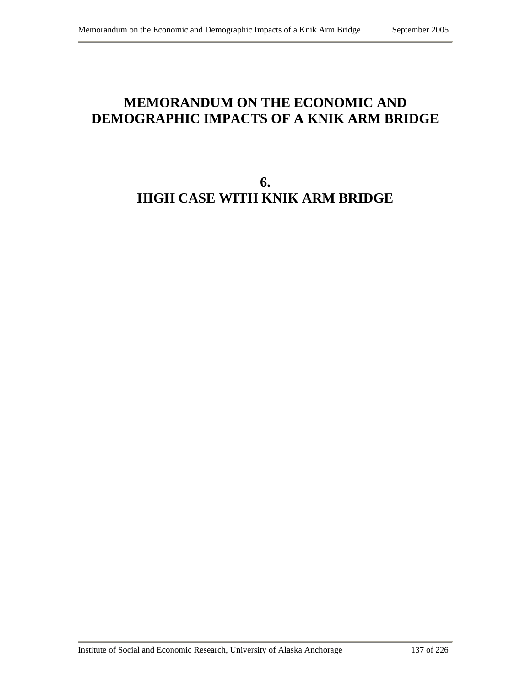# **MEMORANDUM ON THE ECONOMIC AND DEMOGRAPHIC IMPACTS OF A KNIK ARM BRIDGE**

# **6. HIGH CASE WITH KNIK ARM BRIDGE**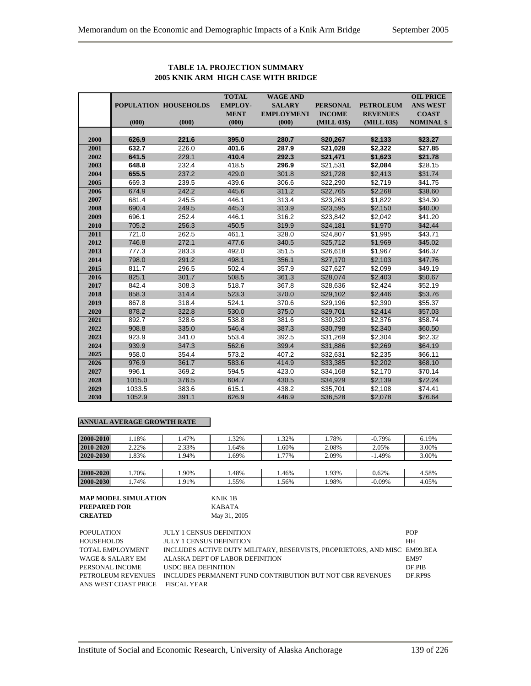|      |        |                       | <b>TOTAL</b>   | <b>WAGE AND</b>   |                 |                  | <b>OIL PRICE</b>  |
|------|--------|-----------------------|----------------|-------------------|-----------------|------------------|-------------------|
|      |        | POPULATION HOUSEHOLDS | <b>EMPLOY-</b> | <b>SALARY</b>     | <b>PERSONAL</b> | <b>PETROLEUM</b> | <b>ANS WEST</b>   |
|      |        |                       | <b>MENT</b>    | <b>EMPLOYMENT</b> | <b>INCOME</b>   | <b>REVENUES</b>  | <b>COAST</b>      |
|      | (000)  | (000)                 | (000)          | (000)             | (MILL 03\$)     | (MILL 03\$)      | <b>NOMINAL \$</b> |
|      |        |                       |                |                   |                 |                  |                   |
| 2000 | 626.9  | 221.6                 | 395.0          | 280.7             | \$20,267        | \$2,133          | \$23.27           |
| 2001 | 632.7  | 226.0                 | 401.6          | 287.9             | \$21,028        | \$2,322          | \$27.85           |
| 2002 | 641.5  | 229.1                 | 410.4          | 292.3             | \$21,471        | \$1,623          | \$21.78           |
| 2003 | 648.8  | 232.4                 | 418.5          | 296.9             | \$21,531        | \$2,084          | \$28.15           |
| 2004 | 655.5  | 237.2                 | 429.0          | 301.8             | \$21,728        | \$2,413          | \$31.74           |
| 2005 | 669.3  | 239.5                 | 439.6          | 306.6             | \$22,290        | \$2,719          | \$41.75           |
| 2006 | 674.9  | 242.2                 | 445.6          | 311.2             | \$22,765        | \$2,268          | \$38.60           |
| 2007 | 681.4  | 245.5                 | 446.1          | 313.4             | \$23,263        | \$1,822          | \$34.30           |
| 2008 | 690.4  | 249.5                 | 445.3          | 313.9             | \$23,595        | \$2,150          | \$40.00           |
| 2009 | 696.1  | 252.4                 | 446.1          | 316.2             | \$23,842        | \$2,042          | \$41.20           |
| 2010 | 705.2  | 256.3                 | 450.5          | 319.9             | \$24,181        | \$1,970          | \$42.44           |
| 2011 | 721.0  | 262.5                 | 461.1          | 328.0             | \$24,807        | \$1,995          | \$43.71           |
| 2012 | 746.8  | 272.1                 | 477.6          | 340.5             | \$25,712        | \$1,969          | \$45.02           |
| 2013 | 777.3  | 283.3                 | 492.0          | 351.5             | \$26,618        | \$1,967          | \$46.37           |
| 2014 | 798.0  | 291.2                 | 498.1          | 356.1             | \$27,170        | \$2,103          | \$47.76           |
| 2015 | 811.7  | 296.5                 | 502.4          | 357.9             | \$27,627        | \$2,099          | \$49.19           |
| 2016 | 825.1  | 301.7                 | 508.5          | 361.3             | \$28,074        | \$2,403          | \$50.67           |
| 2017 | 842.4  | 308.3                 | 518.7          | 367.8             | \$28,636        | \$2,424          | \$52.19           |
| 2018 | 858.3  | 314.4                 | 523.3          | 370.0             | \$29,102        | \$2,446          | \$53.76           |
| 2019 | 867.8  | 318.4                 | 524.1          | 370.6             | \$29,196        | \$2,390          | \$55.37           |
| 2020 | 878.2  | 322.8                 | 530.0          | 375.0             | \$29,701        | \$2,414          | \$57.03           |
| 2021 | 892.7  | 328.6                 | 538.8          | 381.6             | \$30,320        | \$2,376          | \$58.74           |
| 2022 | 908.8  | 335.0                 | 546.4          | 387.3             | \$30,798        | \$2,340          | \$60.50           |
| 2023 | 923.9  | 341.0                 | 553.4          | 392.5             | \$31,269        | \$2,304          | \$62.32           |
| 2024 | 939.9  | 347.3                 | 562.6          | 399.4             | \$31,886        | \$2,269          | \$64.19           |
| 2025 | 958.0  | 354.4                 | 573.2          | 407.2             | \$32,631        | \$2,235          | \$66.11           |
| 2026 | 976.9  | 361.7                 | 583.6          | 414.9             | \$33,385        | \$2,202          | \$68.10           |
| 2027 | 996.1  | 369.2                 | 594.5          | 423.0             | \$34,168        | \$2,170          | \$70.14           |
| 2028 | 1015.0 | 376.5                 | 604.7          | 430.5             | \$34,929        | \$2,139          | \$72.24           |
| 2029 | 1033.5 | 383.6                 | 615.1          | 438.2             | \$35.701        | \$2.108          | \$74.41           |

## **TABLE 1A. PROJECTION SUMMARY 2005 KNIK ARM HIGH CASE WITH BRIDGE**

## **ANNUAL AVERAGE GROWTH RATE**

| 2000-2010 | .18%  | .47%  | .32% | 1.32% | l.78% | $-0.79%$ | 6.19% |
|-----------|-------|-------|------|-------|-------|----------|-------|
| 2010-2020 | 2.22% | 2.33% | .64% | .60%  | 2.08% | 2.05%    | 3.00% |
| 2020-2030 | .83%  | .94%  | .69% | 1.77% | 2.09% | $-1.49%$ | 3.00% |
|           |       |       |      |       |       |          |       |
| 2000-2020 | .70%  | .90%  | .48% | .46%  | 1.93% | 0.62%    | 4.58% |
| 2000-2030 | .74%  | .91%  | .55% | .56%  | .98%  | $-0.09%$ | 4.05% |

**2030** 1052.9 391.1 626.9 446.9 \$36,528 \$2,078 \$76.64

| MAP MODEL SIMULATION | KNIK 1B      |
|----------------------|--------------|
| PREPARED FOR         | KARATA       |
| <b>CREATED</b>       | May 31, 2005 |

| POPULATION           | <b>JULY 1 CENSUS DEFINITION</b>                                           | <b>POP</b>  |
|----------------------|---------------------------------------------------------------------------|-------------|
| HOUSEHOLDS           | <b>JULY 1 CENSUS DEFINITION</b>                                           | <b>HH</b>   |
| TOTAL EMPLOYMENT     | INCLUDES ACTIVE DUTY MILITARY, RESERVISTS, PROPRIETORS, AND MISC EM99.BEA |             |
| WAGE & SALARY EM-    | ALASKA DEPT OF LABOR DEFINITION                                           | <b>EM97</b> |
| PERSONAL INCOME      | USDC BEA DEFINITION                                                       | DF PIB      |
| PETROLEUM REVENUES   | INCLUDES PERMANENT FUND CONTRIBUTION BUT NOT CBR REVENUES                 | DF.RP9S     |
| ANS WEST COAST PRICE | FISCAL YEAR                                                               |             |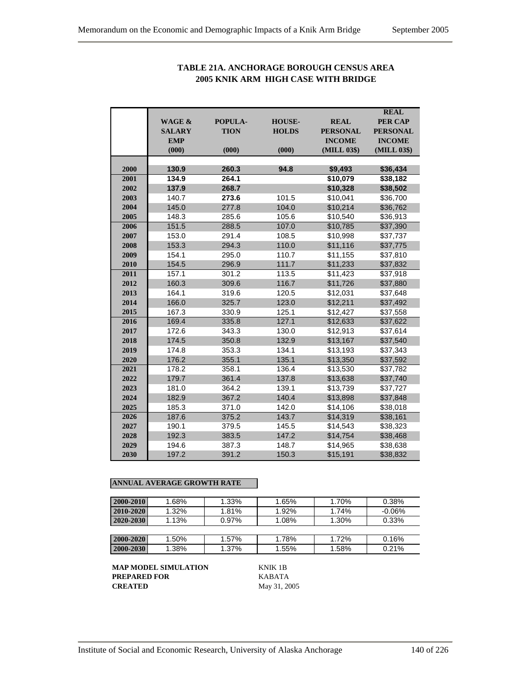|      |                             |             |               |                                | <b>REAL</b>                       |
|------|-----------------------------|-------------|---------------|--------------------------------|-----------------------------------|
|      | <b>WAGE &amp;</b>           | POPULA-     | <b>HOUSE-</b> | <b>REAL</b><br><b>PERSONAL</b> | <b>PER CAP</b><br><b>PERSONAL</b> |
|      | <b>SALARY</b><br><b>EMP</b> | <b>TION</b> | <b>HOLDS</b>  | <b>INCOME</b>                  | <b>INCOME</b>                     |
|      | (000)                       | (000)       | (000)         | (MILL 03\$)                    | (MILL 03\$)                       |
|      |                             |             |               |                                |                                   |
| 2000 | 130.9                       | 260.3       | 94.8          | \$9,493                        | \$36,434                          |
| 2001 | 134.9                       | 264.1       |               | \$10,079                       | \$38,182                          |
| 2002 | 137.9                       | 268.7       |               | \$10,328                       | \$38,502                          |
| 2003 | 140.7                       | 273.6       | 101.5         | \$10,041                       | \$36,700                          |
| 2004 | 145.0                       | 277.8       | 104.0         | \$10,214                       | \$36,762                          |
| 2005 | 148.3                       | 285.6       | 105.6         | \$10,540                       | \$36,913                          |
| 2006 | 151.5                       | 288.5       | 107.0         | \$10,785                       | \$37,390                          |
| 2007 | 153.0                       | 291.4       | 108.5         | \$10,998                       | \$37,737                          |
| 2008 | 153.3                       | 294.3       | 110.0         | \$11,116                       | \$37,775                          |
| 2009 | 154.1                       | 295.0       | 110.7         | \$11,155                       | \$37,810                          |
| 2010 | 154.5                       | 296.9       | 111.7         | \$11,233                       | \$37,832                          |
| 2011 | 157.1                       | 301.2       | 113.5         | \$11,423                       | \$37,918                          |
| 2012 | 160.3                       | 309.6       | 116.7         | \$11,726                       | \$37,880                          |
| 2013 | 164.1                       | 319.6       | 120.5         | \$12,031                       | \$37,648                          |
| 2014 | 166.0                       | 325.7       | 123.0         | \$12,211                       | \$37,492                          |
| 2015 | 167.3                       | 330.9       | 125.1         | \$12,427                       | \$37,558                          |
| 2016 | 169.4                       | 335.8       | 127.1         | \$12,633                       | \$37,622                          |
| 2017 | 172.6                       | 343.3       | 130.0         | \$12,913                       | \$37,614                          |
| 2018 | 174.5                       | 350.8       | 132.9         | \$13,167                       | \$37,540                          |
| 2019 | 174.8                       | 353.3       | 134.1         | \$13,193                       | \$37,343                          |
| 2020 | 176.2                       | 355.1       | 135.1         | \$13,350                       | \$37,592                          |
| 2021 | 178.2                       | 358.1       | 136.4         | \$13,530                       | \$37,782                          |
| 2022 | 179.7                       | 361.4       | 137.8         | \$13,638                       | \$37,740                          |
| 2023 | 181.0                       | 364.2       | 139.1         | \$13,739                       | \$37,727                          |
| 2024 | 182.9                       | 367.2       | 140.4         | \$13,898                       | \$37,848                          |
| 2025 | 185.3                       | 371.0       | 142.0         | \$14,106                       | \$38,018                          |
| 2026 | 187.6                       | 375.2       | 143.7         | \$14,319                       | \$38,161                          |
| 2027 | 190.1                       | 379.5       | 145.5         | \$14,543                       | \$38,323                          |
| 2028 | 192.3                       | 383.5       | 147.2         | \$14,754                       | \$38,468                          |
| 2029 | 194.6                       | 387.3       | 148.7         | \$14,965                       | \$38,638                          |
| 2030 | 197.2                       | 391.2       | 150.3         | \$15,191                       | \$38,832                          |

## **TABLE 21A. ANCHORAGE BOROUGH CENSUS AREA 2005 KNIK ARM HIGH CASE WITH BRIDGE**

## **ANNUAL AVERAGE GROWTH RATE**

| $2000 - 2010$ | 1.68%    | 1.33%    | 1.65% | 1.70% | 0.38%    |
|---------------|----------|----------|-------|-------|----------|
| $2010 - 2020$ | 1.32%    | 1.81%    | 1.92% | 1.74% | $-0.06%$ |
| 2020-2030     | 1.13%    | $0.97\%$ | 1.08% | 1.30% | 0.33%    |
|               |          |          |       |       |          |
| $2000 - 2020$ | $1.50\%$ | 1.57%    | 1.78% | 1.72% | 0.16%    |
| 2000-2030     | 1.38%    | 1.37%    | 1.55% | 1.58% | 0.21%    |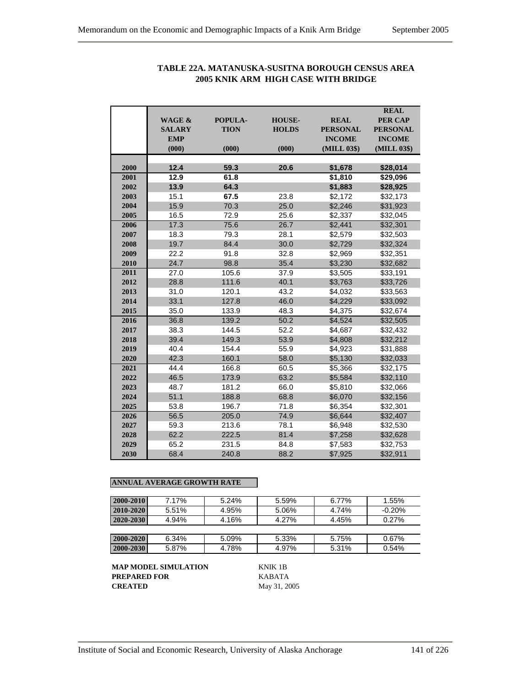|      |               |                |               |                 | <b>REAL</b>     |
|------|---------------|----------------|---------------|-----------------|-----------------|
|      | WAGE &        | <b>POPULA-</b> | <b>HOUSE-</b> | <b>REAL</b>     | <b>PER CAP</b>  |
|      | <b>SALARY</b> | <b>TION</b>    | <b>HOLDS</b>  | <b>PERSONAL</b> | <b>PERSONAL</b> |
|      | <b>EMP</b>    |                |               | <b>INCOME</b>   | <b>INCOME</b>   |
|      | (000)         | (000)          | (000)         | (MILL 03\$)     | (MILL 03\$)     |
| 2000 | 12.4          | 59.3           | 20.6          | \$1,678         | \$28,014        |
| 2001 | 12.9          | 61.8           |               | \$1,810         | \$29,096        |
| 2002 | 13.9          | 64.3           |               | \$1,883         | \$28,925        |
| 2003 | 15.1          | 67.5           | 23.8          | \$2,172         | \$32,173        |
| 2004 | 15.9          | 70.3           | 25.0          | \$2,246         | \$31,923        |
| 2005 | 16.5          | 72.9           | 25.6          | \$2,337         | \$32,045        |
| 2006 | 17.3          | 75.6           | 26.7          | \$2,441         | \$32,301        |
| 2007 | 18.3          | 79.3           | 28.1          | \$2,579         | \$32,503        |
| 2008 | 19.7          | 84.4           | 30.0          | \$2.729         | \$32,324        |
| 2009 | 22.2          | 91.8           | 32.8          | \$2,969         | \$32,351        |
| 2010 | 24.7          | 98.8           | 35.4          | \$3,230         | \$32,682        |
| 2011 | 27.0          | 105.6          | 37.9          | \$3,505         | \$33,191        |
| 2012 | 28.8          | 111.6          | 40.1          | \$3,763         | \$33,726        |
| 2013 | 31.0          | 120.1          | 43.2          | \$4,032         | \$33,563        |
| 2014 | 33.1          | 127.8          | 46.0          | \$4.229         | \$33,092        |
| 2015 | 35.0          | 133.9          | 48.3          | \$4,375         | \$32,674        |
| 2016 | 36.8          | 139.2          | 50.2          | \$4.524         | \$32,505        |
| 2017 | 38.3          | 144.5          | 52.2          | \$4,687         | \$32,432        |
| 2018 | 39.4          | 149.3          | 53.9          | \$4,808         | \$32,212        |
| 2019 | 40.4          | 154.4          | 55.9          | \$4,923         | \$31,888        |
| 2020 | 42.3          | 160.1          | 58.0          | \$5,130         | \$32,033        |
| 2021 | 44.4          | 166.8          | 60.5          | \$5,366         | \$32,175        |
| 2022 | 46.5          | 173.9          | 63.2          | \$5,584         | \$32,110        |
| 2023 | 48.7          | 181.2          | 66.0          | \$5,810         | \$32,066        |
| 2024 | 51.1          | 188.8          | 68.8          | \$6,070         | \$32,156        |
| 2025 | 53.8          | 196.7          | 71.8          | \$6,354         | \$32,301        |
| 2026 | 56.5          | 205.0          | 74.9          | \$6,644         | \$32,407        |
| 2027 | 59.3          | 213.6          | 78.1          | \$6,948         | \$32,530        |
| 2028 | 62.2          | 222.5          | 81.4          | \$7,258         | \$32,628        |
| 2029 | 65.2          | 231.5          | 84.8          | \$7,583         | \$32,753        |
| 2030 | 68.4          | 240.8          | 88.2          | \$7,925         | \$32,911        |

# **TABLE 22A. MATANUSKA-SUSITNA BOROUGH CENSUS AREA 2005 KNIK ARM HIGH CASE WITH BRIDGE**

## **ANNUAL AVERAGE GROWTH RATE**

| 2000-2010     | 7.17% | 5.24% | 5.59% | 6.77% | 1.55%    |
|---------------|-------|-------|-------|-------|----------|
| 2010-2020     | 5.51% | 4.95% | 5.06% | 4.74% | $-0.20%$ |
| $2020 - 2030$ | 4.94% | 4.16% | 4.27% | 4.45% | 0.27%    |
|               |       |       |       |       |          |
| 2000-2020     | 6.34% | 5.09% | 5.33% | 5.75% | 0.67%    |
| 2000-2030     | 5.87% | 4.78% | 4.97% | 5.31% | 0.54%    |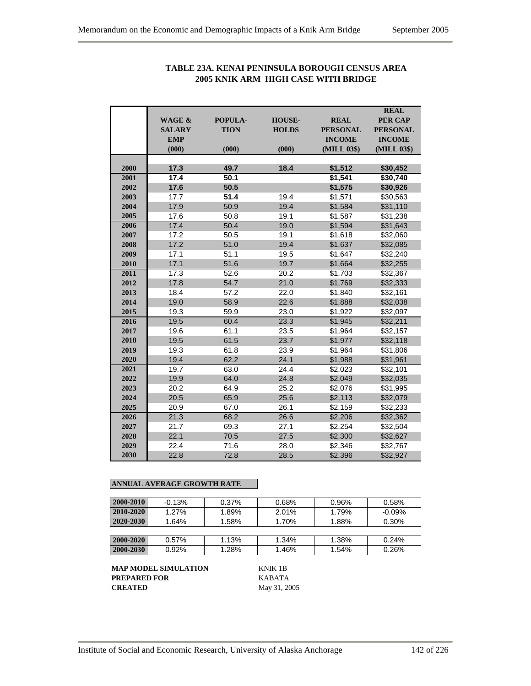|      |                   |             |               |                 | <b>REAL</b>     |
|------|-------------------|-------------|---------------|-----------------|-----------------|
|      | <b>WAGE &amp;</b> | POPULA-     | <b>HOUSE-</b> | <b>REAL</b>     | <b>PER CAP</b>  |
|      | <b>SALARY</b>     | <b>TION</b> | <b>HOLDS</b>  | <b>PERSONAL</b> | <b>PERSONAL</b> |
|      | <b>EMP</b>        |             |               | <b>INCOME</b>   | <b>INCOME</b>   |
|      | (000)             | (000)       | (000)         | (MILL 03\$)     | (MILL 03\$)     |
| 2000 | 17.3              | 49.7        | 18.4          | \$1,512         | \$30,452        |
| 2001 | 17.4              | 50.1        |               | \$1,541         | \$30,740        |
| 2002 | 17.6              | 50.5        |               | \$1,575         | \$30,926        |
| 2003 | 17.7              | 51.4        | 19.4          | \$1,571         | \$30,563        |
| 2004 | 17.9              | 50.9        | 19.4          | \$1,584         | \$31,110        |
| 2005 | 17.6              | 50.8        | 19.1          | \$1,587         | \$31,238        |
| 2006 | 17.4              | 50.4        | 19.0          | \$1,594         | \$31,643        |
| 2007 | 17.2              | 50.5        | 19.1          | \$1,618         | \$32,060        |
| 2008 | 17.2              | 51.0        | 19.4          | \$1,637         | \$32,085        |
| 2009 | 17.1              | 51.1        | 19.5          | \$1,647         | \$32,240        |
| 2010 | 17.1              | 51.6        | 19.7          | \$1,664         | \$32,255        |
| 2011 | 17.3              | 52.6        | 20.2          | \$1,703         | \$32,367        |
| 2012 | 17.8              | 54.7        | 21.0          | \$1,769         | \$32,333        |
| 2013 | 18.4              | 57.2        | 22.0          | \$1,840         | \$32,161        |
| 2014 | 19.0              | 58.9        | 22.6          | \$1,888         | \$32,038        |
| 2015 | 19.3              | 59.9        | 23.0          | \$1,922         | \$32,097        |
| 2016 | 19.5              | 60.4        | 23.3          | \$1,945         | \$32,211        |
| 2017 | 19.6              | 61.1        | 23.5          | \$1,964         | \$32,157        |
| 2018 | 19.5              | 61.5        | 23.7          | \$1,977         | \$32,118        |
| 2019 | 19.3              | 61.8        | 23.9          | \$1.964         | \$31,806        |
| 2020 | 19.4              | 62.2        | 24.1          | \$1,988         | \$31,961        |
| 2021 | 19.7              | 63.0        | 24.4          | \$2,023         | \$32,101        |
| 2022 | 19.9              | 64.0        | 24.8          | \$2,049         | \$32,035        |
| 2023 | 20.2              | 64.9        | 25.2          | \$2,076         | \$31,995        |
| 2024 | 20.5              | 65.9        | 25.6          | \$2,113         | \$32,079        |
| 2025 | 20.9              | 67.0        | 26.1          | \$2.159         | \$32.233        |
| 2026 | 21.3              | 68.2        | 26.6          | \$2,206         | \$32,362        |
| 2027 | 21.7              | 69.3        | 27.1          | \$2,254         | \$32,504        |
| 2028 | 22.1              | 70.5        | 27.5          | \$2,300         | \$32,627        |
| 2029 | 22.4              | 71.6        | 28.0          | \$2,346         | \$32,767        |
| 2030 | 22.8              | 72.8        | 28.5          | \$2,396         | \$32,927        |

# **TABLE 23A. KENAI PENINSULA BOROUGH CENSUS AREA 2005 KNIK ARM HIGH CASE WITH BRIDGE**

## **ANNUAL AVERAGE GROWTH RATE**

| 2000-2010 | $-0.13%$ | 0.37% | 0.68% | 0.96% | 0.58%    |
|-----------|----------|-------|-------|-------|----------|
| 2010-2020 | 1.27%    | 1.89% | 2.01% | 1.79% | $-0.09%$ |
| 2020-2030 | 1.64%    | 1.58% | 1.70% | 1.88% | 0.30%    |
|           |          |       |       |       |          |
| 2000-2020 | $0.57\%$ | 1.13% | 1.34% | 1.38% | 0.24%    |
| 2000-2030 | 0.92%    | 1.28% | 1.46% | 1.54% | 0.26%    |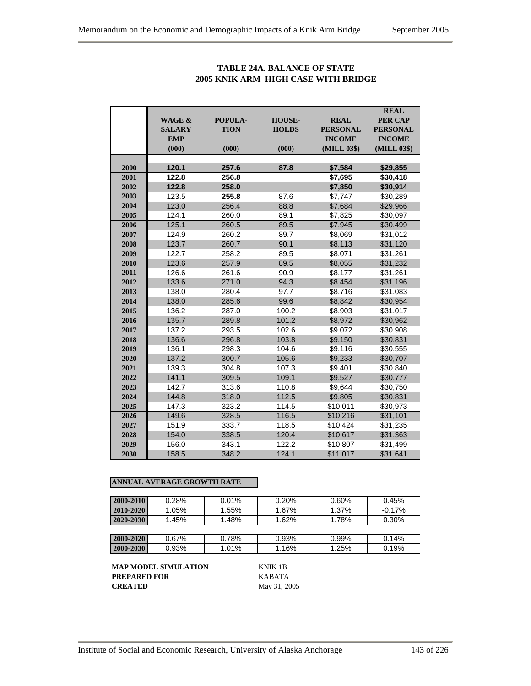|      | <b>WAGE &amp;</b> | POPULA-     | <b>HOUSE-</b> | <b>REAL</b>     | <b>REAL</b><br><b>PER CAP</b> |
|------|-------------------|-------------|---------------|-----------------|-------------------------------|
|      | <b>SALARY</b>     | <b>TION</b> | <b>HOLDS</b>  | <b>PERSONAL</b> | <b>PERSONAL</b>               |
|      | <b>EMP</b>        |             |               | <b>INCOME</b>   | <b>INCOME</b>                 |
|      | (000)             | (000)       | (000)         | (MILL 03\$)     | (MILL 03\$)                   |
|      |                   |             |               |                 |                               |
| 2000 | 120.1             | 257.6       | 87.8          | \$7,584         | \$29,855                      |
| 2001 | 122.8             | 256.8       |               | \$7,695         | \$30,418                      |
| 2002 | 122.8             | 258.0       |               | \$7,850         | \$30,914                      |
| 2003 | 123.5             | 255.8       | 87.6          | \$7,747         | \$30,289                      |
| 2004 | 123.0             | 256.4       | 88.8          | \$7,684         | \$29,966                      |
| 2005 | 124.1             | 260.0       | 89.1          | \$7,825         | \$30,097                      |
| 2006 | 125.1             | 260.5       | 89.5          | \$7,945         | \$30,499                      |
| 2007 | 124.9             | 260.2       | 89.7          | \$8,069         | \$31,012                      |
| 2008 | 123.7             | 260.7       | 90.1          | \$8,113         | \$31,120                      |
| 2009 | 122.7             | 258.2       | 89.5          | \$8,071         | \$31,261                      |
| 2010 | 123.6             | 257.9       | 89.5          | \$8,055         | \$31,232                      |
| 2011 | 126.6             | 261.6       | 90.9          | \$8,177         | \$31,261                      |
| 2012 | 133.6             | 271.0       | 94.3          | \$8,454         | \$31,196                      |
| 2013 | 138.0             | 280.4       | 97.7          | \$8,716         | \$31,083                      |
| 2014 | 138.0             | 285.6       | 99.6          | \$8,842         | \$30,954                      |
| 2015 | 136.2             | 287.0       | 100.2         | \$8,903         | \$31,017                      |
| 2016 | 135.7             | 289.8       | 101.2         | \$8,972         | \$30,962                      |
| 2017 | 137.2             | 293.5       | 102.6         | \$9,072         | \$30,908                      |
| 2018 | 136.6             | 296.8       | 103.8         | \$9,150         | \$30,831                      |
| 2019 | 136.1             | 298.3       | 104.6         | \$9,116         | \$30,555                      |
| 2020 | 137.2             | 300.7       | 105.6         | \$9,233         | \$30,707                      |
| 2021 | 139.3             | 304.8       | 107.3         | \$9,401         | \$30,840                      |
| 2022 | 141.1             | 309.5       | 109.1         | \$9,527         | \$30,777                      |
| 2023 | 142.7             | 313.6       | 110.8         | \$9,644         | \$30,750                      |
| 2024 | 144.8             | 318.0       | 112.5         | \$9,805         | \$30,831                      |
| 2025 | 147.3             | 323.2       | 114.5         | \$10,011        | \$30,973                      |
| 2026 | 149.6             | 328.5       | 116.5         | \$10,216        | \$31,101                      |
| 2027 | 151.9             | 333.7       | 118.5         | \$10,424        | \$31,235                      |
| 2028 | 154.0             | 338.5       | 120.4         | \$10,617        | \$31,363                      |
| 2029 | 156.0             | 343.1       | 122.2         | \$10,807        | \$31,499                      |
| 2030 | 158.5             | 348.2       | 124.1         | \$11,017        | \$31,641                      |

## **TABLE 24A. BALANCE OF STATE 2005 KNIK ARM HIGH CASE WITH BRIDGE**

## **ANNUAL AVERAGE GROWTH RATE**

| 2000-2010       | 0.28%    | 0.01% | 0.20% | 0.60%    | 0.45%    |
|-----------------|----------|-------|-------|----------|----------|
| $ 2010 - 2020 $ | 1.05%    | 1.55% | 1.67% | 1.37%    | $-0.17%$ |
| $2020 - 2030$   | 1.45%    | 1.48% | 1.62% | 1.78%    | 0.30%    |
|                 |          |       |       |          |          |
| 2000-2020       | $0.67\%$ | 0.78% | 0.93% | $0.99\%$ | 0.14%    |
| $ 2000 - 2030 $ | 0.93%    | 1.01% | 1.16% | 1.25%    | 0.19%    |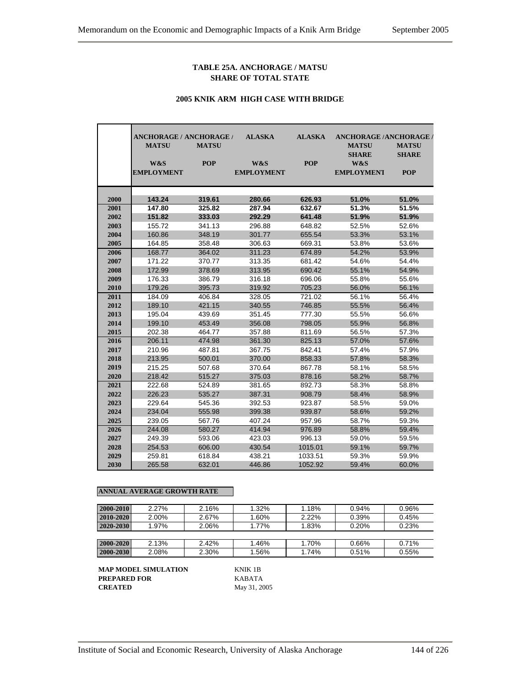#### **TABLE 25A. ANCHORAGE / MATSU SHARE OF TOTAL STATE**

#### **2005 KNIK ARM HIGH CASE WITH BRIDGE**

|      | ANCHORAGE / ANCHORAGE / |              | <b>ALASKA</b>     | <b>ALASKA</b> | <b>ANCHORAGE /ANCHORAGE /</b> |              |
|------|-------------------------|--------------|-------------------|---------------|-------------------------------|--------------|
|      | <b>MATSU</b>            | <b>MATSU</b> |                   |               | <b>MATSU</b>                  | <b>MATSU</b> |
|      |                         |              |                   |               | <b>SHARE</b>                  | <b>SHARE</b> |
|      | W&S                     | <b>POP</b>   | W&S               | <b>POP</b>    | W&S                           |              |
|      | <b>EMPLOYMENT</b>       |              | <b>EMPLOYMENT</b> |               | <b>EMPLOYMENT</b>             | <b>POP</b>   |
|      |                         |              |                   |               |                               |              |
| 2000 | 143.24                  | 319.61       | 280.66            | 626.93        | 51.0%                         | 51.0%        |
| 2001 | 147.80                  | 325.82       | 287.94            | 632.67        | 51.3%                         | 51.5%        |
| 2002 | 151.82                  | 333.03       | 292.29            | 641.48        | 51.9%                         | 51.9%        |
| 2003 | 155.72                  | 341.13       | 296.88            | 648.82        | 52.5%                         | 52.6%        |
| 2004 | 160.86                  | 348.19       | 301.77            | 655.54        | 53.3%                         | 53.1%        |
| 2005 | 164.85                  | 358.48       | 306.63            | 669.31        | 53.8%                         | 53.6%        |
| 2006 | 168.77                  | 364.02       | 311.23            | 674.89        | 54.2%                         | 53.9%        |
| 2007 | 171.22                  | 370.77       | 313.35            | 681.42        | 54.6%                         | 54.4%        |
| 2008 | 172.99                  | 378.69       | 313.95            | 690.42        | 55.1%                         | 54.9%        |
| 2009 | 176.33                  | 386.79       | 316.18            | 696.06        | 55.8%                         | 55.6%        |
| 2010 | 179.26                  | 395.73       | 319.92            | 705.23        | 56.0%                         | 56.1%        |
| 2011 | 184.09                  | 406.84       | 328.05            | 721.02        | 56.1%                         | 56.4%        |
| 2012 | 189.10                  | 421.15       | 340.55            | 746.85        | 55.5%                         | 56.4%        |
| 2013 | 195.04                  | 439.69       | 351.45            | 777.30        | 55.5%                         | 56.6%        |
| 2014 | 199.10                  | 453.49       | 356.08            | 798.05        | 55.9%                         | 56.8%        |
| 2015 | 202.38                  | 464.77       | 357.88            | 811.69        | 56.5%                         | 57.3%        |
| 2016 | 206.11                  | 474.98       | 361.30            | 825.13        | 57.0%                         | 57.6%        |
| 2017 | 210.96                  | 487.81       | 367.75            | 842.41        | 57.4%                         | 57.9%        |
| 2018 | 213.95                  | 500.01       | 370.00            | 858.33        | 57.8%                         | 58.3%        |
| 2019 | 215.25                  | 507.68       | 370.64            | 867.78        | 58.1%                         | 58.5%        |
| 2020 | 218.42                  | 515.27       | 375.03            | 878.16        | 58.2%                         | 58.7%        |
| 2021 | 222.68                  | 524.89       | 381.65            | 892.73        | 58.3%                         | 58.8%        |
| 2022 | 226.23                  | 535.27       | 387.31            | 908.79        | 58.4%                         | 58.9%        |
| 2023 | 229.64                  | 545.36       | 392.53            | 923.87        | 58.5%                         | 59.0%        |
| 2024 | 234.04                  | 555.98       | 399.38            | 939.87        | 58.6%                         | 59.2%        |
| 2025 | 239.05                  | 567.76       | 407.24            | 957.96        | 58.7%                         | 59.3%        |
| 2026 | 244.08                  | 580.27       | 414.94            | 976.89        | 58.8%                         | 59.4%        |
| 2027 | 249.39                  | 593.06       | 423.03            | 996.13        | 59.0%                         | 59.5%        |
| 2028 | 254.53                  | 606.00       | 430.54            | 1015.01       | 59.1%                         | 59.7%        |
| 2029 | 259.81                  | 618.84       | 438.21            | 1033.51       | 59.3%                         | 59.9%        |
| 2030 | 265.58                  | 632.01       | 446.86            | 1052.92       | 59.4%                         | 60.0%        |

#### **ANNUAL AVERAGE GROWTH RATE**

| $2000 - 2010$ | 2.27% | 2.16% | 1.32% | 1.18%    | 0.94% | 0.96% |
|---------------|-------|-------|-------|----------|-------|-------|
| $2010 - 2020$ | 2.00% | 2.67% | 1.60% | $2.22\%$ | 0.39% | 0.45% |
| $2020 - 2030$ | 1.97% | 2.06% | 1.77% | 1.83%    | 0.20% | 0.23% |
|               |       |       |       |          |       |       |
| $2000 - 2020$ | 2.13% | 2.42% | 1.46% | 1.70%    | 0.66% | 0.71% |
| 2000-2030     | 2.08% | 2.30% | 1.56% | 1.74%    | 0.51% | 0.55% |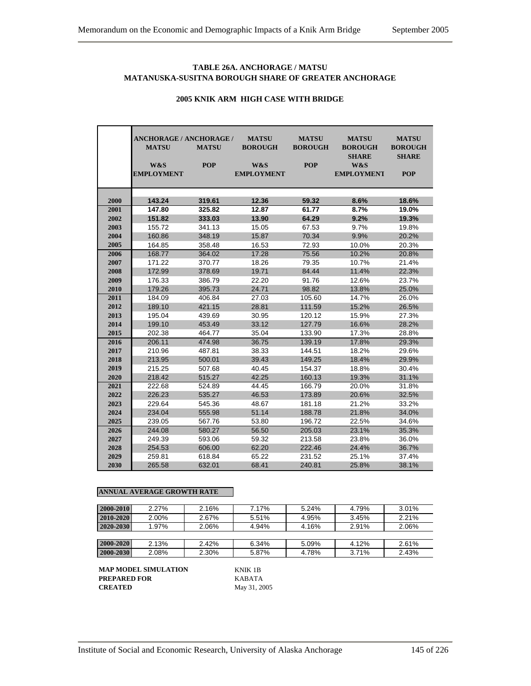### **TABLE 26A. ANCHORAGE / MATSU MATANUSKA-SUSITNA BOROUGH SHARE OF GREATER ANCHORAGE**

|      | <b>ANCHORAGE / ANCHORAGE /</b> |              | <b>MATSU</b>      | <b>MATSU</b>   | <b>MATSU</b>      | <b>MATSU</b>   |
|------|--------------------------------|--------------|-------------------|----------------|-------------------|----------------|
|      | <b>MATSU</b>                   | <b>MATSU</b> | <b>BOROUGH</b>    | <b>BOROUGH</b> | <b>BOROUGH</b>    | <b>BOROUGH</b> |
|      |                                |              |                   |                | <b>SHARE</b>      | <b>SHARE</b>   |
|      | W&S                            | <b>POP</b>   | W&S               | <b>POP</b>     | W&S               |                |
|      | <b>EMPLOYMENT</b>              |              | <b>EMPLOYMENT</b> |                | <b>EMPLOYMENT</b> | <b>POP</b>     |
|      |                                |              |                   |                |                   |                |
|      |                                |              |                   |                |                   |                |
| 2000 | 143.24                         | 319.61       | 12.36             | 59.32          | 8.6%              | 18.6%          |
| 2001 | 147.80                         | 325.82       | 12.87             | 61.77          | 8.7%              | 19.0%          |
| 2002 | 151.82                         | 333.03       | 13.90             | 64.29          | 9.2%              | 19.3%          |
| 2003 | 155.72                         | 341.13       | 15.05             | 67.53          | 9.7%              | 19.8%          |
| 2004 | 160.86                         | 348.19       | 15.87             | 70.34          | 9.9%              | 20.2%          |
| 2005 | 164.85                         | 358.48       | 16.53             | 72.93          | 10.0%             | 20.3%          |
| 2006 | 168.77                         | 364.02       | 17.28             | 75.56          | 10.2%             | 20.8%          |
| 2007 | 171.22                         | 370.77       | 18.26             | 79.35          | 10.7%             | 21.4%          |
| 2008 | 172.99                         | 378.69       | 19.71             | 84.44          | 11.4%             | 22.3%          |
| 2009 | 176.33                         | 386.79       | 22.20             | 91.76          | 12.6%             | 23.7%          |
| 2010 | 179.26                         | 395.73       | 24.71             | 98.82          | 13.8%             | 25.0%          |
| 2011 | 184.09                         | 406.84       | 27.03             | 105.60         | 14.7%             | 26.0%          |
| 2012 | 189.10                         | 421.15       | 28.81             | 111.59         | 15.2%             | 26.5%          |
| 2013 | 195.04                         | 439.69       | 30.95             | 120.12         | 15.9%             | 27.3%          |
| 2014 | 199.10                         | 453.49       | 33.12             | 127.79         | 16.6%             | 28.2%          |
| 2015 | 202.38                         | 464.77       | 35.04             | 133.90         | 17.3%             | 28.8%          |
| 2016 | 206.11                         | 474.98       | 36.75             | 139.19         | 17.8%             | 29.3%          |
| 2017 | 210.96                         | 487.81       | 38.33             | 144.51         | 18.2%             | 29.6%          |
| 2018 | 213.95                         | 500.01       | 39.43             | 149.25         | 18.4%             | 29.9%          |
| 2019 | 215.25                         | 507.68       | 40.45             | 154.37         | 18.8%             | 30.4%          |
| 2020 | 218.42                         | 515.27       | 42.25             | 160.13         | 19.3%             | 31.1%          |
| 2021 | 222.68                         | 524.89       | 44.45             | 166.79         | 20.0%             | 31.8%          |
| 2022 | 226.23                         | 535.27       | 46.53             | 173.89         | 20.6%             | 32.5%          |
| 2023 | 229.64                         | 545.36       | 48.67             | 181.18         | 21.2%             | 33.2%          |
| 2024 | 234.04                         | 555.98       | 51.14             | 188.78         | 21.8%             | 34.0%          |
| 2025 | 239.05                         | 567.76       | 53.80             | 196.72         | 22.5%             | 34.6%          |
| 2026 | 244.08                         | 580.27       | 56.50             | 205.03         | 23.1%             | 35.3%          |
| 2027 | 249.39                         | 593.06       | 59.32             | 213.58         | 23.8%             | 36.0%          |
| 2028 | 254.53                         | 606.00       | 62.20             | 222.46         | 24.4%             | 36.7%          |
| 2029 | 259.81                         | 618.84       | 65.22             | 231.52         | 25.1%             | 37.4%          |
| 2030 | 265.58                         | 632.01       | 68.41             | 240.81         | 25.8%             | 38.1%          |

### **2005 KNIK ARM HIGH CASE WITH BRIDGE**

#### **ANNUAL AVERAGE GROWTH RATE**

| 2000-2010 | 2.27% | 2.16% | 7.17% | 5.24% | 4.79% | 3.01% |
|-----------|-------|-------|-------|-------|-------|-------|
| 2010-2020 | 2.00% | 2.67% | 5.51% | 4.95% | 3.45% | 2.21% |
| 2020-2030 | 1.97% | 2.06% | 4.94% | 4.16% | 2.91% | 2.06% |
|           |       |       |       |       |       |       |
| 2000-2020 | 2.13% | 2.42% | 6.34% | 5.09% | 4.12% | 2.61% |
| 2000-2030 | 2.08% | 2.30% | 5.87% | 4.78% | 3.71% | 2.43% |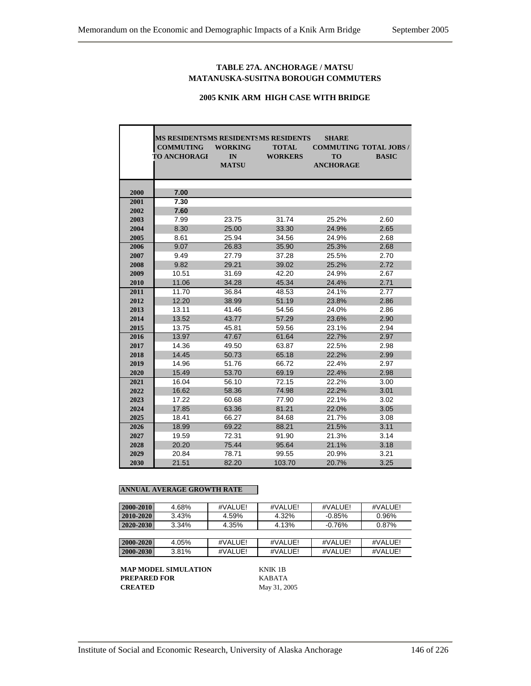## **TABLE 27A. ANCHORAGE / MATSU MATANUSKA-SUSITNA BOROUGH COMMUTERS**

### **2005 KNIK ARM HIGH CASE WITH BRIDGE**

|      | MS RESIDENTSMS RESIDENTSMS RESIDENTS |                |                | <b>SHARE</b>     |                              |
|------|--------------------------------------|----------------|----------------|------------------|------------------------------|
|      | <b>COMMUTING</b>                     | <b>WORKING</b> | <b>TOTAL</b>   |                  | <b>COMMUTING TOTAL JOBS/</b> |
|      | <b>TO ANCHORAGI</b>                  | IN             | <b>WORKERS</b> | <b>TO</b>        | <b>BASIC</b>                 |
|      |                                      | <b>MATSU</b>   |                | <b>ANCHORAGE</b> |                              |
|      |                                      |                |                |                  |                              |
|      |                                      |                |                |                  |                              |
| 2000 | 7.00                                 |                |                |                  |                              |
| 2001 | 7.30                                 |                |                |                  |                              |
| 2002 | 7.60                                 |                |                |                  |                              |
| 2003 | 7.99                                 | 23.75          | 31.74          | 25.2%            | 2.60                         |
| 2004 | 8.30                                 | 25.00          | 33.30          | 24.9%            | 2.65                         |
| 2005 | 8.61                                 | 25.94          | 34.56          | 24.9%            | 2.68                         |
| 2006 | 9.07                                 | 26.83          | 35.90          | 25.3%            | 2.68                         |
| 2007 | 9.49                                 | 27.79          | 37.28          | 25.5%            | 2.70                         |
| 2008 | 9.82                                 | 29.21          | 39.02          | 25.2%            | 2.72                         |
| 2009 | 10.51                                | 31.69          | 42.20          | 24.9%            | 2.67                         |
| 2010 | 11.06                                | 34.28          | 45.34          | 24.4%            | 2.71                         |
| 2011 | 11.70                                | 36.84          | 48.53          | 24.1%            | 2.77                         |
| 2012 | 12.20                                | 38.99          | 51.19          | 23.8%            | 2.86                         |
| 2013 | 13.11                                | 41.46          | 54.56          | 24.0%            | 2.86                         |
| 2014 | 13.52                                | 43.77          | 57.29          | 23.6%            | 2.90                         |
| 2015 | 13.75                                | 45.81          | 59.56          | 23.1%            | 2.94                         |
| 2016 | 13.97                                | 47.67          | 61.64          | 22.7%            | 2.97                         |
| 2017 | 14.36                                | 49.50          | 63.87          | 22.5%            | 2.98                         |
| 2018 | 14.45                                | 50.73          | 65.18          | 22.2%            | 2.99                         |
| 2019 | 14.96                                | 51.76          | 66.72          | 22.4%            | 2.97                         |
| 2020 | 15.49                                | 53.70          | 69.19          | 22.4%            | 2.98                         |
| 2021 | 16.04                                | 56.10          | 72.15          | 22.2%            | 3.00                         |
| 2022 | 16.62                                | 58.36          | 74.98          | 22.2%            | 3.01                         |
| 2023 | 17.22                                | 60.68          | 77.90          | 22.1%            | 3.02                         |
| 2024 | 17.85                                | 63.36          | 81.21          | 22.0%            | 3.05                         |
| 2025 | 18.41                                | 66.27          | 84.68          | 21.7%            | 3.08                         |
| 2026 | 18.99                                | 69.22          | 88.21          | 21.5%            | 3.11                         |
| 2027 | 19.59                                | 72.31          | 91.90          | 21.3%            | 3.14                         |
| 2028 | 20.20                                | 75.44          | 95.64          | 21.1%            | 3.18                         |
| 2029 | 20.84                                | 78.71          | 99.55          | 20.9%            | 3.21                         |
| 2030 | 21.51                                | 82.20          | 103.70         | 20.7%            | 3.25                         |

#### **ANNUAL AVERAGE GROWTH RATE**

| 2000-2010     | 4.68% | #VALUE! | #VALUE! | #VALUE!   | #VALUE! |
|---------------|-------|---------|---------|-----------|---------|
| $2010 - 2020$ | 3.43% | 4.59%   | 4.32%   | $-0.85%$  | 0.96%   |
| 2020-2030     | 3.34% | 4.35%   | 4.13%   | $-0.76\%$ | 0.87%   |
|               |       |         |         |           |         |
| 2000-2020     | 4.05% | #VALUE! | #VALUE! | #VALUEL   | #VALUE! |
| 2000-2030     | 3.81% | #VALUE! | #VALUE! | #VALUE!   | #VALUE! |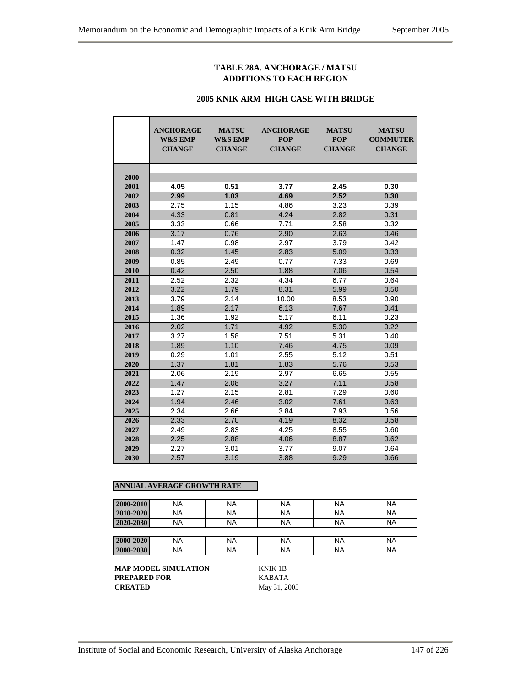## **TABLE 28A. ANCHORAGE / MATSU ADDITIONS TO EACH REGION**

#### **2005 KNIK ARM HIGH CASE WITH BRIDGE**

|      | <b>ANCHORAGE</b><br><b>W&amp;S EMP</b><br><b>CHANGE</b> | <b>MATSU</b><br><b>W&amp;S EMP</b><br><b>CHANGE</b> | <b>ANCHORAGE</b><br><b>POP</b><br><b>CHANGE</b> | <b>MATSU</b><br><b>POP</b><br><b>CHANGE</b> | <b>MATSU</b><br><b>COMMUTER</b><br><b>CHANGE</b> |
|------|---------------------------------------------------------|-----------------------------------------------------|-------------------------------------------------|---------------------------------------------|--------------------------------------------------|
| 2000 |                                                         |                                                     |                                                 |                                             |                                                  |
| 2001 | 4.05                                                    | 0.51                                                | 3.77                                            | 2.45                                        | 0.30                                             |
| 2002 | 2.99                                                    | 1.03                                                | 4.69                                            | 2.52                                        | 0.30                                             |
| 2003 | 2.75                                                    | 1.15                                                | 4.86                                            | 3.23                                        | 0.39                                             |
| 2004 | 4.33                                                    | 0.81                                                | 4.24                                            | 2.82                                        | 0.31                                             |
| 2005 | 3.33                                                    | 0.66                                                | 7.71                                            | 2.58                                        | 0.32                                             |
| 2006 | 3.17                                                    | 0.76                                                | 2.90                                            | 2.63                                        | 0.46                                             |
| 2007 | 1.47                                                    | 0.98                                                | 2.97                                            | 3.79                                        | 0.42                                             |
| 2008 | 0.32                                                    | 1.45                                                | 2.83                                            | 5.09                                        | 0.33                                             |
| 2009 | 0.85                                                    | 2.49                                                | 0.77                                            | 7.33                                        | 0.69                                             |
| 2010 | 0.42                                                    | 2.50                                                | 1.88                                            | 7.06                                        | 0.54                                             |
| 2011 | 2.52                                                    | 2.32                                                | 4.34                                            | 6.77                                        | 0.64                                             |
| 2012 | 3.22                                                    | 1.79                                                | 8.31                                            | 5.99                                        | 0.50                                             |
| 2013 | 3.79                                                    | 2.14                                                | 10.00                                           | 8.53                                        | 0.90                                             |
| 2014 | 1.89                                                    | 2.17                                                | 6.13                                            | 7.67                                        | 0.41                                             |
| 2015 | 1.36                                                    | 1.92                                                | 5.17                                            | 6.11                                        | 0.23                                             |
| 2016 | 2.02                                                    | 1.71                                                | 4.92                                            | 5.30                                        | 0.22                                             |
| 2017 | 3.27                                                    | 1.58                                                | 7.51                                            | 5.31                                        | 0.40                                             |
| 2018 | 1.89                                                    | 1.10                                                | 7.46                                            | 4.75                                        | 0.09                                             |
| 2019 | 0.29                                                    | 1.01                                                | 2.55                                            | 5.12                                        | 0.51                                             |
| 2020 | 1.37                                                    | 1.81                                                | 1.83                                            | 5.76                                        | 0.53                                             |
| 2021 | 2.06                                                    | 2.19                                                | 2.97                                            | 6.65                                        | 0.55                                             |
| 2022 | 1.47                                                    | 2.08                                                | 3.27                                            | 7.11                                        | 0.58                                             |
| 2023 | 1.27                                                    | 2.15                                                | 2.81                                            | 7.29                                        | 0.60                                             |
| 2024 | 1.94                                                    | 2.46                                                | 3.02                                            | 7.61                                        | 0.63                                             |
| 2025 | 2.34                                                    | 2.66                                                | 3.84                                            | 7.93                                        | 0.56                                             |
| 2026 | 2.33                                                    | 2.70                                                | 4.19                                            | 8.32                                        | 0.58                                             |
| 2027 | 2.49                                                    | 2.83                                                | 4.25                                            | 8.55                                        | 0.60                                             |
| 2028 | 2.25                                                    | 2.88                                                | 4.06                                            | 8.87                                        | 0.62                                             |
| 2029 | 2.27                                                    | 3.01                                                | 3.77                                            | 9.07                                        | 0.64                                             |
| 2030 | 2.57                                                    | 3.19                                                | 3.88                                            | 9.29                                        | 0.66                                             |

## **ANNUAL AVERAGE GROWTH RATE**

| 2000-2010 | ΝA | <b>NA</b> | <b>NA</b> | NA        | <b>NA</b> |
|-----------|----|-----------|-----------|-----------|-----------|
| 2010-2020 | ΝA | <b>NA</b> | <b>NA</b> | <b>NA</b> | <b>NA</b> |
| 2020-2030 | ΝA | <b>NA</b> | <b>NA</b> | NA        | <b>NA</b> |
|           |    |           |           |           |           |
| 2000-2020 | NA | <b>NA</b> | <b>NA</b> | NA        | <b>NA</b> |
| 2000-2030 | ΝA | <b>NA</b> | <b>NA</b> | NA        | <b>NA</b> |

**MAP MODEL SIMULATION KNIK 1B<br>PREPARED FOR KABATA PREPARED FOR CREATED** May 31, 2005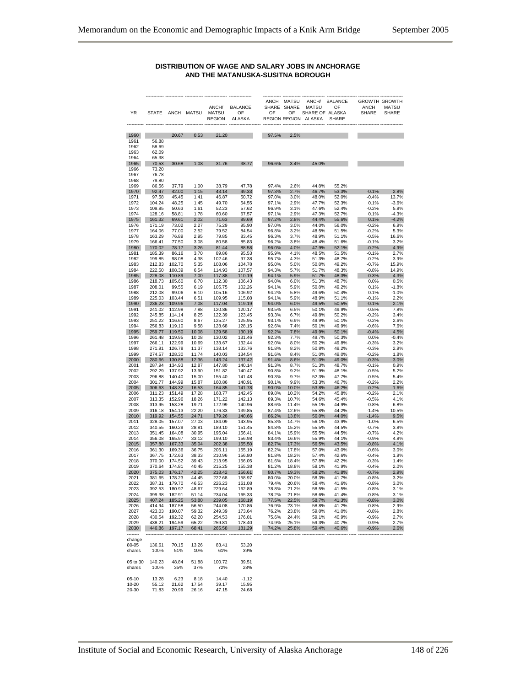#### **DISTRIBUTION OF WAGE AND SALARY JOBS IN ANCHORAGE AND THE MATANUSKA-SUSITNA BOROUGH**

| YR                 | <b>STATE</b>     |                         | ANCH MATSU     | ANCH/<br><b>MATSU</b><br><b>REGION</b> | <b>BALANCE</b><br>OF<br><b>ALASKA</b> | SHARE SHARE<br>OF | ANCH MATSU<br>OF | ANCH/<br><b>MATSU</b><br>SHARE OF ALASKA<br>REGION REGION ALASKA | <b>BALANCE</b><br>OF<br><b>SHARE</b> | <b>ANCH</b><br>SHARE | <b>GROWTH GROWTH</b><br><b>MATSU</b><br>SHARE |
|--------------------|------------------|-------------------------|----------------|----------------------------------------|---------------------------------------|-------------------|------------------|------------------------------------------------------------------|--------------------------------------|----------------------|-----------------------------------------------|
|                    |                  |                         |                |                                        |                                       |                   |                  |                                                                  |                                      |                      |                                               |
| 1960<br>1961       | 56.88            | 20.67                   | 0.53           | 21.20                                  |                                       | 97.5%             | 2.5%             |                                                                  |                                      |                      |                                               |
| 1962               | 58.69            |                         |                |                                        |                                       |                   |                  |                                                                  |                                      |                      |                                               |
| 1963               | 62.09            |                         |                |                                        |                                       |                   |                  |                                                                  |                                      |                      |                                               |
| 1964<br>1965       | 65.38<br>70.53   | 30.68                   | 1.08           | 31.76                                  | 38.77                                 | 96.6%             | 3.4%             | 45.0%                                                            |                                      |                      |                                               |
| 1966               | 73.20            |                         |                |                                        |                                       |                   |                  |                                                                  |                                      |                      |                                               |
| 1967               | 76.78            |                         |                |                                        |                                       |                   |                  |                                                                  |                                      |                      |                                               |
| 1968<br>1969       | 79.80<br>86.56   | 37.79                   | 1.00           | 38.79                                  | 47.78                                 | 97.4%             | 2.6%             | 44.8%                                                            | 55.2%                                |                      |                                               |
| 1970               | 92.47            | 42.00                   | 1.15           | 43.14                                  | 49.33                                 | 97.3%             | 2.7%             | 46.7%                                                            | 53.3%                                | $-0.1%$              | 2.8%                                          |
| 1971               | 97.58            | 45.45                   | 1.41           | 46.87                                  | 50.72                                 | 97.0%             | 3.0%             | 48.0%                                                            | 52.0%                                | $-0.4%$              | 13.7%                                         |
| 1972<br>1973       | 104.24<br>109.85 | 48.25<br>50.63          | 1.45<br>1.61   | 49.70<br>52.23                         | 54.55<br>57.62                        | 97.1%<br>96.9%    | 2.9%<br>3.1%     | 47.7%<br>47.6%                                                   | 52.3%<br>52.4%                       | 0.1%<br>$-0.2%$      | $-3.6%$<br>5.8%                               |
| 1974               | 128.16           | 58.81                   | 1.78           | 60.60                                  | 67.57                                 | 97.1%             | 2.9%             | 47.3%                                                            | 52.7%                                | 0.1%                 | $-4.3%$                                       |
| 1975               | 161.32           | 69.61                   | 2.02           | 71.63                                  | 89.69                                 | 97.2%             | 2.8%             | 44.4%                                                            | 55.6%                                | 0.1%                 | $-4.2%$                                       |
| 1976               | 171.19           | 73.02                   | 2.27           | 75.29                                  | 95.90                                 | 97.0%             | 3.0%             | 44.0%                                                            | 56.0%                                | $-0.2%$              | 6.9%                                          |
| 1977<br>1978       | 164.06<br>163.29 | 77.00<br>76.89          | 2.52<br>2.95   | 79.52<br>79.85                         | 84.54<br>83.45                        | 96.8%<br>96.3%    | 3.2%<br>3.7%     | 48.5%<br>48.9%                                                   | 51.5%<br>51.1%                       | $-0.2%$<br>$-0.5%$   | 5.3%<br>16.6%                                 |
| 1979               | 166.41           | 77.50                   | 3.08           | 80.58                                  | 85.83                                 | 96.2%             | 3.8%             | 48.4%                                                            | 51.6%                                | $-0.1%$              | 3.2%                                          |
| 1980               | 170.02           | 78.17                   | 3.26           | 81.44                                  | 88.58                                 | 96.0%             | 4.0%             | 47.9%                                                            | 52.1%                                | $-0.2%$              | 4.9%                                          |
| 1981<br>1982       | 185.39<br>199.85 | 86.16<br>98.08          | 3.70<br>4.38   | 89.86<br>102.46                        | 95.53<br>97.38                        | 95.9%<br>95.7%    | 4.1%<br>4.3%     | 48.5%<br>51.3%                                                   | 51.5%<br>48.7%                       | $-0.1%$<br>$-0.2%$   | 2.7%<br>3.9%                                  |
| 1983               | 212.83           | 102.70                  | 5.35           | 108.06                                 | 104.78                                | 95.0%             | 5.0%             | 50.8%                                                            | 49.2%                                | $-0.7%$              | 15.9%                                         |
| 1984               | 222.50           | 108.39                  | 6.54           | 114.93                                 | 107.57                                | 94.3%             | 5.7%             | 51.7%                                                            | 48.3%                                | $-0.8%$              | 14.9%                                         |
| 1985               | 228.08           | 110.89                  | 7.00           | 117.88                                 | 110.19                                | 94.1%             | 5.9%             | 51.7%                                                            | 48.3%                                | $-0.3%$              | 4.3%                                          |
| 1986<br>1987       | 218.73<br>208.01 | 105.60<br>99.55         | 6.70<br>6.19   | 112.30<br>105.75                       | 106.43<br>102.26                      | 94.0%<br>94.1%    | 6.0%<br>5.9%     | 51.3%<br>50.8%                                                   | 48.7%<br>49.2%                       | 0.0%<br>0.1%         | 0.5%<br>$-1.8%$                               |
| 1988               | 212.08           | 99.06                   | 6.10           | 105.16                                 | 106.92                                | 94.2%             | 5.8%             | 49.6%                                                            | 50.4%                                | 0.1%                 | $-1.0%$                                       |
| 1989               | 225.03           | 103.44                  | 6.51           | 109.95                                 | 115.08                                | 94.1%             | 5.9%             | 48.9%                                                            | 51.1%                                | $-0.1%$              | 2.2%                                          |
| 1990               | 236.23           | 109.96                  | 7.08           | 117.04                                 | 119.19                                | 94.0%             | 6.0%             | 49.5%                                                            | 50.5%                                | $-0.1%$              | 2.1%                                          |
| 1991               | 241.02           | 112.98                  | 7.88           | 120.86                                 | 120.17                                | 93.5%             | 6.5%             | 50.1%                                                            | 49.9%                                | $-0.5%$              | 7.8%                                          |
| 1992<br>1993       | 245.85<br>251.22 | 114.14<br>116.60        | 8.25<br>8.67   | 122.39<br>125.27                       | 123.45<br>125.95                      | 93.3%<br>93.1%    | 6.7%<br>6.9%     | 49.8%<br>49.9%                                                   | 50.2%<br>50.1%                       | $-0.2%$<br>$-0.2%$   | 3.4%<br>2.6%                                  |
| 1994               | 256.83           | 119.10                  | 9.58           | 128.68                                 | 128.15                                | 92.6%             | 7.4%             | 50.1%                                                            | 49.9%                                | $-0.6%$              | 7.6%                                          |
| 1995               | 259.77           | 119.50                  | 10.08          | 129.58                                 | 130.19                                | 92.2%             | 7.8%             | 49.9%                                                            | 50.1%                                | $-0.4%$              | 4.5%                                          |
| 1996               | 261.48           | 119.95                  | 10.08          | 130.02                                 | 131.46                                | 92.3%             | 7.7%             | 49.7%                                                            | 50.3%                                | 0.0%                 | $-0.4%$                                       |
| 1997<br>1998       | 266.11<br>271.91 | 122.99<br>126.78        | 10.69<br>11.37 | 133.67<br>138.14                       | 132.44<br>133.76                      | 92.0%<br>91.8%    | 8.0%<br>8.2%     | 50.2%<br>50.8%                                                   | 49.8%<br>49.2%                       | $-0.3%$<br>$-0.3%$   | 3.2%<br>2.9%                                  |
| 1999               | 274.57           | 128.30                  | 11.74          | 140.03                                 | 134.54                                | 91.6%             | 8.4%             | 51.0%                                                            | 49.0%                                | $-0.2%$              | 1.8%                                          |
| 2000               | 280.66           | 130.88                  | 12.36          | 143.24                                 | 137.42                                | 91.4%             | 8.6%             | 51.0%                                                            | 49.0%                                | $-0.3%$              | 3.0%                                          |
| 2001               | 287.94           | 134.93                  | 12.87          | 147.80                                 | 140.14                                | 91.3%             | 8.7%             | 51.3%                                                            | 48.7%                                | $-0.1%$              | 0.9%                                          |
| 2002<br>2003       | 292.29<br>296.88 | 137.92<br>140.40        | 13.90<br>15.00 | 151.82<br>155.40                       | 140.47<br>141.48                      | 90.8%<br>90.3%    | 9.2%<br>9.7%     | 51.9%<br>52.3%                                                   | 48.1%<br>47.7%                       | $-0.5%$<br>$-0.5%$   | 5.2%<br>5.4%                                  |
| 2004               | 301.77           | 144.99                  | 15.87          | 160.86                                 | 140.91                                | 90.1%             | 9.9%             | 53.3%                                                            | 46.7%                                | $-0.2%$              | 2.2%                                          |
| 2005               | 306.63           | 148.32                  | 16.53          | 164.85                                 | 141.78                                | 90.0%             | 10.0%            | 53.8%                                                            | 46.2%                                | $-0.2%$              | 1.6%                                          |
| 2006               | 311.23           | 151.49                  | 17.28          | 168.77                                 | 142.45                                | 89.8%             | 10.2%            | 54.2%                                                            | 45.8%                                | $-0.2%$              | 2.1%                                          |
| 2007<br>2008       | 313.35<br>313.95 | 152.96<br>153.28        | 18.26<br>19.71 | 171.22<br>172.99                       | 142.13<br>140.96                      | 89.3%<br>88.6%    | 10.7%<br>11.4%   | 54.6%<br>55.1%                                                   | 45.4%<br>44.9%                       | $-0.5%$<br>$-0.8%$   | 4.1%<br>6.8%                                  |
| 2009               | 316.18           | 154.13                  | 22.20          | 176.33                                 | 139.85                                | 87.4%             | 12.6%            | 55.8%                                                            | 44.2%                                | $-1.4%$              | 10.5%                                         |
| 2010               | 319.92           | 154.55                  | 24.71          | 179.26                                 | 140.66                                | 86.2%             | 13.8%            | 56.0%                                                            | 44.0%                                | $-1.4%$              | 9.5%                                          |
| 2011               | 328.05           | 157.07                  | 27.03          | 184.09                                 | 143.95                                | 85.3%             | 14.7%            | 56.1%                                                            | 43.9%                                | $-1.0%$              | 6.5%                                          |
| 2012<br>2013       | 340.55<br>351.45 | 160.29<br>164.08        | 28.81<br>30.95 | 189.10<br>195.04                       | 151.45<br>156.41                      | 84.8%<br>84.1%    | 15.2%<br>15.9%   | 55.5%<br>55.5%                                                   | 44.5%<br>44.5%                       | $-0.7%$<br>$-0.7%$   | 3.8%<br>4.2%                                  |
| 2014               | 356.08           | 165.97                  | 33.12          | 199.10                                 | 156.98                                | 83.4%             | 16.6%            | 55.9%                                                            | 44.1%                                | $-0.9%$              | 4.8%                                          |
| 2015               | 357.88           | 167.33                  | 35.04          | 202.38                                 | 155.50                                | 82.7%             | 17.3%            | 56.5%                                                            | 43.5%                                | $-0.8%$              | 4.1%                                          |
| 2016               | 361.30<br>367.75 | 169.36                  | 36.75          | 206.11                                 | 155.19                                | 82.2%             | 17.8%            | 57.0%                                                            | 43.0%                                | $-0.6%$              | 3.0%                                          |
| 2017<br>2018       | 370.00           | 172.63<br>174.52        | 38.33<br>39.43 | 210.96<br>213.95                       | 156.80<br>156.05                      | 81.8%<br>81.6%    | 18.2%<br>18.4%   | 57.4%<br>57.8%                                                   | 42.6%<br>42.2%                       | $-0.4%$<br>$-0.3%$   | 1.9%<br>1.4%                                  |
| 2019               | 370.64           | 174.81                  | 40.45          | 215.25                                 | 155.38                                | 81.2%             | 18.8%            | 58.1%                                                            | 41.9%                                | $-0.4%$              | 2.0%                                          |
| 2020               | 375.03           | 176.17                  | 42.25          | 218.42                                 | 156.61                                | 80.7%             | 19.3%            | 58.2%                                                            | 41.8%                                | $-0.7%$              | 2.9%                                          |
| 2021               | 381.65           | 178.23                  | 44.45          | 222.68                                 | 158.97                                | 80.0%<br>79.4%    | 20.0%            | 58.3%                                                            | 41.7%                                | $-0.8%$              | 3.2%                                          |
| 2022<br>2023       | 387.31           | 179.70<br>392.53 180.97 | 46.53<br>48.67 | 226.23<br>229.64                       | 161.08<br>162.89                      | 78.8%             | 20.6%<br>21.2%   | 58.4%<br>58.5%                                                   | 41.6%<br>41.5%                       | $-0.8%$<br>$-0.8%$   | 3.0%<br>3.1%                                  |
| 2024               |                  | 399.38 182.91           | 51.14          | 234.04                                 | 165.33                                | 78.2%             | 21.8%            | 58.6%                                                            | 41.4%                                | $-0.8%$              | 3.1%                                          |
| 2025               | 407.24 185.25    |                         | 53.80          | 239.05                                 | 168.19                                | 77.5%             | 22.5%            | 58.7%                                                            | 41.3%                                | $-0.8%$              | 3.0%                                          |
| 2026               | 414.94<br>423.03 | 187.58                  | 56.50          | 244.08                                 | 170.86                                | 76.9%<br>76.2%    | 23.1%            | 58.8%<br>59.0%                                                   | 41.2%                                | $-0.8%$              | 2.9%                                          |
| 2027<br>2028       | 430.54           | 190.07<br>192.32        | 59.32<br>62.20 | 249.39<br>254.53                       | 173.64<br>176.01                      | 75.6%             | 23.8%<br>24.4%   | 59.1%                                                            | 41.0%<br>40.9%                       | $-0.8%$<br>$-0.9%$   | 2.8%<br>2.7%                                  |
| 2029               | 438.21           | 194.59                  | 65.22          | 259.81                                 | 178.40                                | 74.9%             | 25.1%            | 59.3%                                                            | 40.7%                                | $-0.9%$              | 2.7%                                          |
| 2030               | 446.86           | 197.17                  | 68.41          | 265.58                                 | 181.29                                | 74.2%             | 25.8%            | 59.4%                                                            | 40.6%                                | $-0.9%$              | 2.6%                                          |
| --------           |                  |                         |                |                                        |                                       |                   |                  |                                                                  |                                      |                      |                                               |
| change<br>80-05    | 136.61           | 70.15                   | 13.26          | 83.41                                  | 53.20                                 |                   |                  |                                                                  |                                      |                      |                                               |
| shares             | 100%             | 51%                     | 10%            | 61%                                    | 39%                                   |                   |                  |                                                                  |                                      |                      |                                               |
|                    |                  |                         |                |                                        |                                       |                   |                  |                                                                  |                                      |                      |                                               |
| 05 to 30<br>shares | 140.23<br>100%   | 48.84<br>35%            | 51.88<br>37%   | 100.72<br>72%                          | 39.51<br>28%                          |                   |                  |                                                                  |                                      |                      |                                               |
| $05-10$            | 13.28            | 6.23                    | 8.18           | 14.40                                  | $-1.12$                               |                   |                  |                                                                  |                                      |                      |                                               |
| 10-20              | 55.12            | 21.62                   | 17.54          | 39.17                                  | 15.95                                 |                   |                  |                                                                  |                                      |                      |                                               |
| 20-30              | 71.83            | 20.99                   | 26.16          | 47.15                                  | 24.68                                 |                   |                  |                                                                  |                                      |                      |                                               |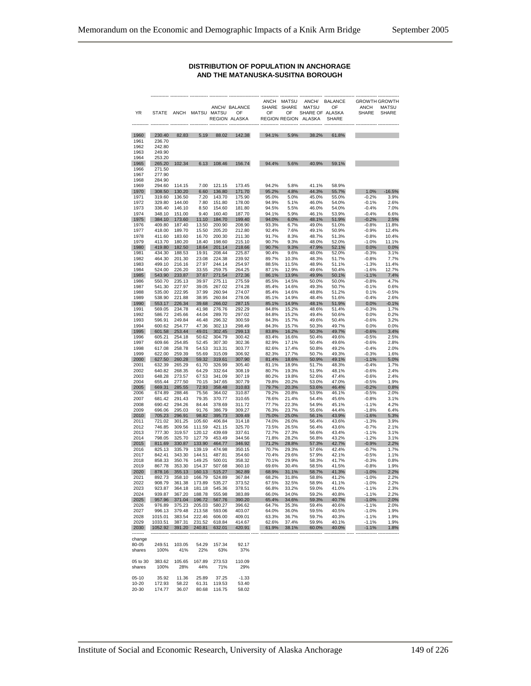#### **DISTRIBUTION OF POPULATION IN ANCHORAGE AND THE MATANUSKA-SUSITNA BOROUGH**

|          |                                      |                      |                  |                             |                                         |       | ANCH MATSU  |                      | ANCH/ BALANCE |              | <b>GROWTH GROWTH</b> |
|----------|--------------------------------------|----------------------|------------------|-----------------------------|-----------------------------------------|-------|-------------|----------------------|---------------|--------------|----------------------|
|          |                                      |                      |                  |                             | ANCH/ BALANCE                           |       | SHARE SHARE | <b>MATSU</b>         | OF            | <b>ANCH</b>  | <b>MATSU</b>         |
| YR       | <b>STATE</b>                         |                      | ANCH MATSU MATSU |                             | OF                                      | OF    | OF          | SHARE OF ALASKA      |               | <b>SHARE</b> | SHARE                |
|          |                                      |                      |                  |                             | REGION ALASKA                           |       |             | REGION REGION ALASKA | <b>SHARE</b>  |              |                      |
|          |                                      |                      |                  |                             |                                         |       |             |                      |               |              |                      |
|          |                                      |                      |                  |                             |                                         |       |             |                      |               |              |                      |
| 1960     | 230.40                               | 82.83                | 5.19             | 88.02                       | 142.38                                  | 94.1% | 5.9%        | 38.2%                | 61.8%         |              |                      |
| 1961     | 236.70                               |                      |                  |                             |                                         |       |             |                      |               |              |                      |
| 1962     | 242.80                               |                      |                  |                             |                                         |       |             |                      |               |              |                      |
| 1963     | 249.90                               |                      |                  |                             |                                         |       |             |                      |               |              |                      |
| 1964     | 253.20                               |                      |                  |                             |                                         |       |             |                      |               |              |                      |
|          |                                      |                      |                  | 108.46                      |                                         |       |             |                      |               |              |                      |
| 1965     | 265.20                               | 102.34               | 6.13             |                             | 156.74                                  | 94.4% | 5.6%        | 40.9%                | 59.1%         |              |                      |
| 1966     | 271.50                               |                      |                  |                             |                                         |       |             |                      |               |              |                      |
| 1967     | 277.90                               |                      |                  |                             |                                         |       |             |                      |               |              |                      |
| 1968     | 284.90                               |                      |                  |                             |                                         |       |             |                      |               |              |                      |
| 1969     | 294.60                               | 114.15               | 7.00             | 121.15                      | 173.45                                  | 94.2% | 5.8%        | 41.1%                | 58.9%         |              |                      |
| 1970     | 308.50                               | 130.20               | 6.60             | 136.80                      | 171.70                                  | 95.2% | 4.8%        | 44.3%                | 55.7%         | $1.0\%$      | $-16.5%$             |
| 1971     | 319.60                               | 136.50               | 7.20             | 143.70                      | 175.90                                  | 95.0% | 5.0%        | 45.0%                | 55.0%         | $-0.2%$      | 3.9%                 |
| 1972     | 329.80                               | 144.00               | 7.80             | 151.80                      | 178.00                                  | 94.9% | 5.1%        | 46.0%                | 54.0%         | $-0.1%$      | 2.6%                 |
| 1973     | 336.40                               | 146.10               | 8.50             | 154.60                      | 181.80                                  | 94.5% | 5.5%        | 46.0%                | 54.0%         | $-0.4%$      | 7.0%                 |
| 1974     | 348.10                               | 151.00               | 9.40             | 160.40                      | 187.70                                  | 94.1% | 5.9%        | 46.1%                | 53.9%         | $-0.4%$      | 6.6%                 |
|          |                                      |                      | 11.10            | 184.70                      |                                         |       |             |                      |               |              | 2.5%                 |
| 1975     | 384.10                               | 173.60               |                  |                             | 199.40                                  | 94.0% | 6.0%        | 48.1%                | 51.9%         | $-0.2%$      |                      |
| 1976     | 409.80                               | 187.40               | 13.50            | 200.90                      | 208.90                                  | 93.3% | 6.7%        | 49.0%                | 51.0%         | $-0.8%$      | 11.8%                |
| 1977     | 418.00                               | 189.70               | 15.50            | 205.20                      | 212.80                                  | 92.4% | 7.6%        | 49.1%                | 50.9%         | $-0.9%$      | 12.4%                |
| 1978     | 411.60                               | 183.60               | 16.70            | 200.30                      | 211.30                                  | 91.7% | 8.3%        | 48.7%                | 51.3%         | $-0.8%$      | 10.4%                |
| 1979     | 413.70                               | 180.20               | 18.40            | 198.60                      | 215.10                                  | 90.7% | 9.3%        | 48.0%                | 52.0%         | $-1.0%$      | 11.1%                |
| 1980     | 419.80                               | 182.50               | 18.64            | 201.14                      | 218.66                                  | 90.7% | 9.3%        | 47.9%                | 52.1%         | 0.0%         | 0.0%                 |
| 1981     | 434.30                               | 188.53               | 19.91            | 208.44                      | 225.87                                  | 90.4% | 9.6%        | 48.0%                | 52.0%         | $-0.3%$      | 3.1%                 |
| 1982     | 464.30                               | 201.30               | 23.08            | 224.38                      | 239.92                                  | 89.7% | 10.3%       | 48.3%                | 51.7%         | $-0.8%$      | 7.7%                 |
| 1983     | 499.10                               | 216.16               | 27.97            | 244.14                      | 254.97                                  | 88.5% | 11.5%       | 48.9%                | 51.1%         | $-1.3%$      | 11.4%                |
| 1984     | 524.00                               | 226.20               | 33.55            | 259.75                      | 264.25                                  | 87.1% | 12.9%       | 49.6%                | 50.4%         | $-1.6%$      | 12.7%                |
|          |                                      |                      |                  |                             |                                         |       |             |                      |               |              |                      |
| 1985     | 543.90                               | 233.87               | 37.67            | 271.54                      | 272.36                                  | 86.1% | 13.9%       | 49.9%                | 50.1%         | $-1.1%$      | 7.4%                 |
| 1986     | 550.70                               | 235.13               | 39.97            | 275.11                      | 275.59                                  | 85.5% | 14.5%       | 50.0%                | 50.0%         | $-0.8%$      | 4.7%                 |
| 1987     | 541.30                               | 227.97               | 39.05            | 267.02                      | 274.28                                  | 85.4% | 14.6%       | 49.3%                | 50.7%         | $-0.1%$      | 0.6%                 |
| 1988     | 535.00                               | 222.95               | 37.99            | 260.94                      | 274.07                                  | 85.4% | 14.6%       | 48.8%                | 51.2%         | 0.1%         | $-0.5%$              |
| 1989     | 538.90                               | 221.88               | 38.95            | 260.84                      | 278.06                                  | 85.1% | 14.9%       | 48.4%                | 51.6%         | $-0.4%$      | 2.6%                 |
| 1990     | 553.17                               | 226.34               | 39.68            | 266.02                      | 287.15                                  | 85.1% | 14.9%       | 48.1%                | 51.9%         | 0.0%         | $-0.1%$              |
| 1991     | 569.05                               | 234.78               | 41.98            | 276.76                      | 292.29                                  | 84.8% | 15.2%       | 48.6%                | 51.4%         | $-0.3%$      | 1.7%                 |
| 1992     | 586.72                               | 245.66               | 44.04            | 289.70                      | 297.02                                  | 84.8% | 15.2%       | 49.4%                | 50.6%         | 0.0%         | 0.2%                 |
| 1993     | 596.91                               | 249.84               | 46.48            | 296.32                      | 300.59                                  | 84.3% | 15.7%       | 49.6%                | 50.4%         | $-0.6%$      | 3.2%                 |
|          |                                      |                      |                  |                             |                                         | 84.3% |             |                      |               |              |                      |
| 1994     | 600.62                               | 254.77               | 47.36            | 302.13                      | 298.49                                  |       | 15.7%       | 50.3%                | 49.7%         | 0.0%         | 0.0%                 |
| 1995     | 601.58                               | 253.44               | 49.01            | 302.45                      | 299.13                                  | 83.8% | 16.2%       | 50.3%                | 49.7%         | $-0.6%$      | 3.4%                 |
| 1996     | 605.21                               | 254.18               | 50.62            | 304.79                      | 300.42                                  | 83.4% | 16.6%       | 50.4%                | 49.6%         | $-0.5%$      | 2.5%                 |
| 1997     | 609.66                               | 254.85               | 52.45            | 307.30                      | 302.36                                  | 82.9% | 17.1%       | 50.4%                | 49.6%         | $-0.6%$      | 2.8%                 |
| 1998     | 617.08                               | 258.78               | 54.53            | 313.31                      | 303.77                                  | 82.6% | 17.4%       | 50.8%                | 49.2%         | $-0.4%$      | 2.0%                 |
| 1999     | 622.00                               | 259.39               | 55.69            | 315.09                      | 306.92                                  | 82.3% | 17.7%       | 50.7%                | 49.3%         | $-0.3%$      | 1.6%                 |
| 2000     | 627.50                               | 260.28               | 59.32            | 319.61                      | 307.90                                  | 81.4% | 18.6%       | 50.9%                | 49.1%         | $-1.1%$      | 5.0%                 |
| 2001     | 632.39                               | 265.29               | 61.70            | 326.99                      | 305.40                                  | 81.1% | 18.9%       | 51.7%                | 48.3%         | $-0.4%$      | 1.7%                 |
| 2002     | 640.82                               | 268.35               | 64.29            | 332.64                      | 308.19                                  | 80.7% | 19.3%       | 51.9%                | 48.1%         | $-0.6%$      | 2.4%                 |
| 2003     | 648.28                               | 273.57               | 67.53            | 341.09                      | 307.19                                  | 80.2% | 19.8%       | 52.6%                | 47.4%         | $-0.6%$      | 2.4%                 |
| 2004     | 655.44                               | 277.50               | 70.15            | 347.65                      | 307.79                                  | 79.8% | 20.2%       |                      | 47.0%         | $-0.5%$      | 1.9%                 |
|          |                                      |                      |                  |                             |                                         |       |             | 53.0%                |               |              |                      |
| 2005     | 669.31                               | 285.55               | 72.93            | 358.48                      | 310.83                                  | 79.7% | 20.3%       | 53.6%                | 46.4%         | $-0.2%$      | 0.8%                 |
| 2006     | 674.89                               | 288.46               | 75.56            | 364.02                      | 310.87                                  | 79.2% | 20.8%       | 53.9%                | 46.1%         | $-0.5%$      | 2.0%                 |
| 2007     | 681.42                               | 291.43               | 79.35            | 370.77                      | 310.65                                  | 78.6% | 21.4%       | 54.4%                | 45.6%         | $-0.8%$      | 3.1%                 |
| 2008     | 690.42                               | 294.26               | 84.44            | 378.69                      | 311.72                                  | 77.7% | 22.3%       | 54.9%                | 45.1%         | $-1.1%$      | 4.2%                 |
| 2009     | 696.06                               | 295.03               | 91.76            | 386.79                      | 309.27                                  | 76.3% | 23.7%       | 55.6%                | 44.4%         | $-1.8%$      | 6.4%                 |
| 2010     | 705.23                               | 296.91               | 98.82            | 395.73                      | 309.49                                  | 75.0% | 25.0%       | 56.1%                | 43.9%         | $-1.6%$      | 5.3%                 |
| 2011     | 721.02                               | 301.25               | 105.60           | 406.84                      | 314.18                                  | 74.0% | 26.0%       | 56.4%                | 43.6%         | $-1.3%$      | 3.9%                 |
| 2012     | 746.85                               | 309.56               | 111.59           | 421.15                      | 325.70                                  | 73.5% | 26.5%       | 56.4%                | 43.6%         | $-0.7%$      | 2.1%                 |
| 2013     | 777.30                               | 319.57               | 120.12           | 439.69                      | 337.61                                  | 72.7% | 27.3%       | 56.6%                | 43.4%         | $-1.1%$      | 3.1%                 |
| 2014     | 798.05                               | 325.70               | 127.79           | 453.49                      | 344.56                                  | 71.8% | 28.2%       | 56.8%                | 43.2%         | $-1.2%$      | 3.1%                 |
| 2015     | 811.69                               | 330.87               | 133.90           | 464.77                      | 346.92                                  | 71.2% | 28.8%       | 57.3%                | 42.7%         | $-0.9%$      | 2.2%                 |
|          |                                      |                      |                  | 474.98                      | 350.15                                  |       |             | 57.6%                |               |              |                      |
| 2016     | 825.13                               | 335.79               | 139.19           |                             |                                         | 70.7% | 29.3%       |                      | 42.4%         | $-0.7%$      | 1.7%                 |
| 2017     | 842.41                               | 343.30               | 144.51           | 487.81                      | 354.60                                  | 70.4% | 29.6%       | 57.9%                | 42.1%         | $-0.5%$      | 1.1%                 |
| 2018     | 858.33                               | 350.76               | 149.25           | 500.01                      | 358.32                                  | 70.1% | 29.9%       | 58.3%                | 41.7%         | $-0.3%$      | 0.8%                 |
| 2019     | 867.78                               | 353.30               | 154.37           | 507.68                      | 360.10                                  | 69.6% | 30.4%       | 58.5%                | 41.5%         | $-0.8%$      | 1.9%                 |
| 2020     | 878.16                               | 355.13               | 160.13           | 515.27                      | 362.89                                  | 68.9% | 31.1%       | 58.7%                | 41.3%         | $-1.0%$      | 2.2%                 |
| 2021     | 892.73                               | 358.10               | 166.79           | 524.89                      | 367.84                                  | 68.2% | 31.8%       | 58.8%                | 41.2%         | $-1.0%$      | 2.2%                 |
| 2022     | 908.79                               | 361.38               | 173.89           | 535.27                      | 373.52                                  | 67.5% | 32.5%       | 58.9%                | 41.1%         | $-1.0%$      | 2.2%                 |
| 2023     | 923.87                               |                      |                  | 364.18 181.18 545.36        | 378.51                                  | 66.8% | 33.2%       | 59.0%                | 41.0%         | $-1.1%$      | 2.3%                 |
| 2024     |                                      |                      |                  | 939.87 367.20 188.78 555.98 | 383.89                                  | 66.0% | 34.0%       | 59.2%                | 40.8%         | $-1.1%$      | 2.2%                 |
|          |                                      |                      |                  |                             | 2025 957.96 371.04 196.72 567.76 390.20 | 65.4% | 34.6%       | 59.3%                | 40.7%         | $-1.0\%$     | 2.0%                 |
| 2026     | 976.89                               |                      | 375.23 205.03    | 580.27                      | 396.62                                  | 64.7% | 35.3%       | 59.4%                | 40.6%         | $-1.1%$      | 2.0%                 |
| 2027     |                                      | 996.13 379.48 213.58 |                  | 593.06                      |                                         |       | 36.0%       |                      |               | $-1.0%$      | 1.9%                 |
|          |                                      |                      |                  |                             | 403.07                                  | 64.0% |             | 59.5%                | 40.5%         |              |                      |
| 2028     | 1015.01                              |                      |                  | 383.54 222.46 606.00        | 409.01                                  | 63.3% | 36.7%       | 59.7%                | 40.3%         | $-1.1%$      | 1.9%                 |
| 2029     | 1033.51                              | 387.31               | 231.52           | 618.84                      | 414.67                                  | 62.6% | 37.4%       | 59.9%                | 40.1%         | $-1.1%$      | 1.9%                 |
| 2030     | 1052.92                              | 391.20               | 240.81           | 632.01                      | 420.91                                  | 61.9% | 38.1%       | 60.0%                | 40.0%         | $-1.1%$      | 1.8%                 |
| -------- |                                      |                      |                  |                             |                                         |       |             |                      |               |              |                      |
| change   |                                      |                      |                  |                             |                                         |       |             |                      |               |              |                      |
| 80-05    | 249.51                               | 103.05               |                  | 54.29 157.34                | 92.17                                   |       |             |                      |               |              |                      |
| shares   | 100%                                 |                      |                  | 41% 22% 63%                 | 37%                                     |       |             |                      |               |              |                      |
|          |                                      |                      |                  |                             |                                         |       |             |                      |               |              |                      |
|          | 05 to 30 383.62 105.65 167.89 273.53 |                      |                  |                             | 110.09                                  |       |             |                      |               |              |                      |
| shares   | 100%                                 | 28%                  |                  | 44% 71%                     | 29%                                     |       |             |                      |               |              |                      |
|          |                                      |                      |                  |                             |                                         |       |             |                      |               |              |                      |
| $05-10$  |                                      |                      |                  |                             |                                         |       |             |                      |               |              |                      |
|          | 35.92                                |                      | 11.36 25.89      | 37.25                       | $-1.33$                                 |       |             |                      |               |              |                      |
| 10-20    | 172.93                               | 58.22                |                  | 61.31 119.53                | 53.40                                   |       |             |                      |               |              |                      |
| 20-30    |                                      |                      |                  | 174.77 36.07 80.68 116.75   | 58.02                                   |       |             |                      |               |              |                      |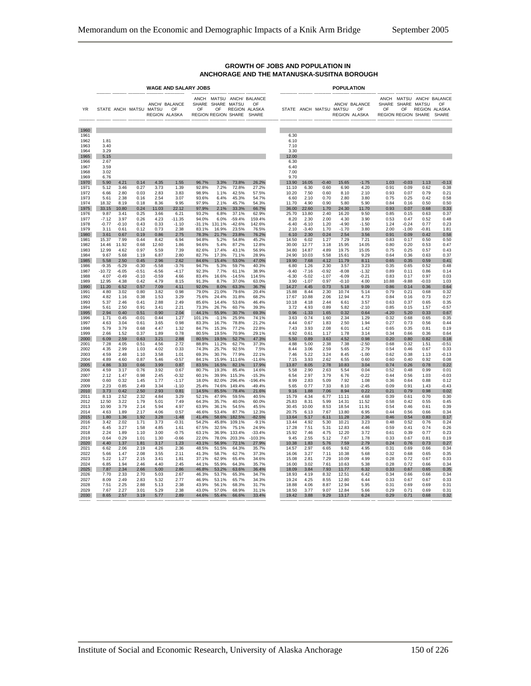|                                      |                              |                    |                        |                    | <b>WAGE AND SALARY JOBS</b>                |                                       |                         |                      |                                                 |                                       |                    |                 | <b>POPULATION</b>         |                                |                 |                                                      |                 |                                                 |
|--------------------------------------|------------------------------|--------------------|------------------------|--------------------|--------------------------------------------|---------------------------------------|-------------------------|----------------------|-------------------------------------------------|---------------------------------------|--------------------|-----------------|---------------------------|--------------------------------|-----------------|------------------------------------------------------|-----------------|-------------------------------------------------|
| YR                                   |                              |                    | STATE ANCH MATSU MATSU |                    | ANCH/ BALANCE<br>$\cap$ F<br>REGION ALASKA | $\cap$ F<br>REGION REGION SHARE SHARE | SHARE SHARE MATSU<br>OF |                      | ANCH MATSU ANCH/ BALANCE<br>OF<br>REGION ALASKA | ----------- ---------- -------        |                    |                 | STATE ANCH MATSU MATSU OF | ANCH/ BALANCE<br>REGION ALASKA | OF              | SHARE SHARE MATSU<br>OF<br>REGION REGION SHARE SHARE |                 | ANCH MATSU ANCH/ BALANCE<br>OF<br>REGION ALASKA |
| 1960                                 |                              |                    |                        |                    |                                            |                                       |                         |                      |                                                 |                                       |                    |                 |                           |                                |                 |                                                      |                 |                                                 |
| 1961<br>1962<br>1963<br>1964<br>1965 | 1.81<br>3.40<br>3.29<br>5.15 |                    |                        |                    |                                            |                                       |                         |                      |                                                 | 6.30<br>6.10<br>7.10<br>3.30<br>12.00 |                    |                 |                           |                                |                 |                                                      |                 |                                                 |
| 1966<br>1967<br>1968                 | 2.67<br>3.59<br>3.02         |                    |                        |                    |                                            |                                       |                         |                      |                                                 | 6.30<br>6.40<br>7.00                  |                    |                 |                           |                                |                 |                                                      |                 |                                                 |
| 1969<br>1970                         | 6.76<br>5.90                 | 4.21               | 0.14                   | 4.35               | 1.55                                       | 96.7%                                 | 3.3%                    | 73.8%                | 26.2%                                           | 9.70<br>13.90                         | 16.05              | $-0.40$         | 15.65                     | $-1.75$                        | 1.03            | $-0.03$                                              | 1.13            | $-0.13$                                         |
| 1971                                 | 5.12                         | 3.46               | 0.27                   | 3.73               | 1.39                                       | 92.8%                                 | 7.2%                    | 72.8%                | 27.2%                                           | 11.10                                 | 6.30               | 0.60            | 6.90                      | 4.20                           | 0.91            | 0.09                                                 | 0.62            | 0.38                                            |
| 1972<br>1973                         | 6.66<br>5.61                 | 2.80<br>2.38       | 0.03<br>0.16           | 2.83<br>2.54       | 3.83<br>3.07                               | 98.9%<br>93.6%                        | 1.1%<br>6.4%            | 42.5%<br>45.3%       | 57.5%<br>54.7%                                  | 10.20<br>6.60                         | 7.50<br>2.10       | 0.60<br>0.70    | 8.10<br>2.80              | 2.10<br>3.80                   | 0.93<br>0.75    | 0.07<br>0.25                                         | 0.79<br>0.42    | 0.21<br>0.58                                    |
| 1974                                 | 18.32                        | 8.19               | 0.18                   | 8.36               | 9.95                                       | 97.9%                                 | 2.1%                    | 45.7%                | 54.3%                                           | 11.70                                 | 4.90               | 0.90            | 5.80                      | 5.90                           | 0.84            | 0.16                                                 | 0.50            | 0.50                                            |
| 1975<br>1976                         | 33.15<br>9.87                | 10.80<br>3.41      | 0.24<br>0.25           | 11.03<br>3.66      | 22.12<br>6.21                              | 97.9%<br>93.2%                        | 2.1%<br>6.8%            | 33.3%<br>37.1%       | 66.7%<br>62.9%                                  | 36.00<br>25.70                        | 22.60<br>13.80     | 1.70<br>2.40    | 24.30<br>16.20            | 11.70<br>9.50                  | 0.93<br>0.85    | 0.07<br>0.15                                         | 0.68<br>0.63    | 0.33<br>0.37                                    |
| 1977                                 | $-7.12$                      | 3.97<br>$-0.10$    | 0.26<br>0.43           | 4.23<br>0.33       | $-11.35$                                   | 94.0%<br>$-31.1%$                     | 6.0%                    | $-59.4%$<br>$-42.6%$ | 159.4%                                          | 8.20                                  | 2.30               | 2.00            | 4.30<br>$-4.90$           | 3.90<br>$-1.50$                | 0.53<br>1.24    | 0.47<br>$-0.24$                                      | 0.52            | 0.48<br>0.23                                    |
| 1978<br>1979                         | $-0.77$<br>3.11              | 0.61               | 0.12                   | 0.73               | $-1.10$<br>2.38                            | 83.1%                                 | 131.1%<br>16.9%         | 23.5%                | 142.6%<br>76.5%                                 | $-6.40$<br>2.10                       | $-6.10$<br>$-3.40$ | 1.20<br>1.70    | $-1.70$                   | 3.80                           | 2.00            | $-1.00$                                              | 0.77<br>$-0.81$ | 1.81                                            |
| 1980<br>1981                         | 3.61<br>15.37                | 0.67<br>7.99       | 0.19<br>0.44           | 0.86<br>8.42       | 2.75<br>6.94                               | 78.3%<br>94.8%                        | 21.7%<br>5.2%           | 23.8%<br>54.8%       | 76.2%<br>45.2%                                  | 6.10<br>14.50                         | 2.30<br>6.02       | 0.24<br>1.27    | 2.54<br>7.29              | 3.56<br>7.21                   | 0.91<br>0.83    | 0.09<br>0.17                                         | 0.42<br>0.50    | 0.58<br>0.50                                    |
| 1982                                 | 14.46                        | 11.92              | 0.68                   | 12.60              | 1.86                                       | 94.6%                                 | 5.4%                    | 87.2%                | 12.8%                                           | 30.00                                 | 12.77              | 3.18            | 15.95                     | 14.05                          | 0.80            | 0.20                                                 | 0.53            | 0.47                                            |
| 1983<br>1984                         | 12.99<br>9.67                | 4.62<br>5.68       | 0.97<br>1.19           | 5.59<br>6.87       | 7.39<br>2.80                               | 82.6%<br>82.7%                        | 17.4%<br>17.3%          | 43.1%<br>71.1%       | 56.9%<br>28.9%                                  | 34.80<br>24.90                        | 14.87<br>10.03     | 4.89<br>5.58    | 19.75<br>15.61            | 15.05<br>9.29                  | 0.75<br>0.64    | 0.25<br>0.36                                         | 0.57<br>0.63    | 0.43<br>0.37                                    |
| 1985                                 | 5.58                         | 2.50               | 0.45                   | 2.96               | 2.62                                       | 84.6%                                 | 15.4%                   | 53.0%                | 47.0%                                           | 19.90                                 | 7.68               | 4.12            | 11.79                     | 8.11                           | 0.65            | 0.35                                                 | 0.59            | 0.41                                            |
| 1986<br>1987                         | $-9.35$<br>$-10.72$          | $-5.29$<br>$-6.05$ | $-0.30$<br>$-0.51$     | $-5.58$<br>$-6.56$ | $-3.76$<br>$-4.17$                         | 94.7%<br>92.3%                        | 5.3%<br>7.7%            | 59.7%<br>61.1%       | 40.3%<br>38.9%                                  | 6.80<br>$-9.40$                       | 1.26<br>$-7.16$    | 2.30<br>$-0.92$ | 3.57<br>$-8.08$           | 3.23<br>$-1.32$                | 0.35<br>0.89    | 0.65<br>0.11                                         | 0.52<br>0.86    | 0.48<br>0.14                                    |
| 1988<br>1989                         | 4.07<br>12.95                | $-0.49$<br>4.38    | $-0.10$<br>0.42        | $-0.59$<br>4.79    | 4.66<br>8.15                               | 83.4%<br>91.3%                        | 16.6%<br>8.7%           | $-14.5%$<br>37.0%    | 114.5%<br>63.0%                                 | $-6.30$<br>3.90                       | $-5.02$<br>$-1.07$ | $-1.07$<br>0.97 | $-6.09$<br>$-0.10$        | $-0.21$<br>4.00                | 0.83<br>10.88   | 0.17<br>$-9.88$                                      | 0.97<br>$-0.03$ | 0.03<br>1.03                                    |
| 1990                                 | 11.20                        | 6.52               | 0.57                   | 7.09               | 4.11                                       | 92.0%                                 | 8.0%                    | 63.3%                | 36.7%                                           | 14.27                                 | 4.45               | 0.73            | 5.18                      | 9.09                           | 0.86            | 0.14                                                 | 0.36            | 0.64                                            |
| 1991<br>1992                         | 4.80<br>4.82                 | 3.02<br>1.16       | 0.80<br>0.38           | 3.82<br>1.53       | 0.98<br>3.29                               | 79.0%<br>75.6%                        | 21.0%<br>24.4%          | 79.6%<br>31.8%       | 20.4%<br>68.2%                                  | 15.88<br>17.67                        | 8.44<br>10.88      | 2.30<br>2.06    | 10.74<br>12.94            | 5.14<br>4.73                   | 0.79<br>0.84    | 0.21<br>0.16                                         | 0.68<br>0.73    | 0.32<br>0.27                                    |
| 1993                                 | 5.37                         | 2.46               | 0.41                   | 2.88               | 2.49                                       | 85.6%                                 | 14.4%                   | 53.6%                | 46.4%                                           | 10.18                                 | 4.18               | 2.44            | 6.61                      | 3.57                           | 0.63            | 0.37                                                 | 0.65            | 0.35                                            |
| 1994<br>1995                         | 5.61<br>2.94                 | 2.50<br>0.40       | 0.91<br>0.51           | 3.41<br>0.90       | 2.21<br>2.04                               | 73.3%<br>44.1%                        | 26.7%<br>55.9%          | 60.7%<br>30.7%       | 39.3%<br>69.3%                                  | 3.72<br>0.96                          | 4.93<br>$-1.33$    | 0.89<br>1.65    | 5.82<br>0.32              | $-2.10$<br>0.64                | 0.85<br>$-4.20$ | 0.15<br>5.20                                         | 1.57<br>0.33    | $-0.57$<br>0.67                                 |
| 1996                                 | 1.71                         | 0.45               | -0.01                  | 0.44               | 1.27                                       | 101.1%                                | $-1.1%$                 | 25.9%                | 74.1%                                           | 3.63                                  | 0.74               | 1.60            | 2.34                      | 1.29                           | 0.32            | 0.68                                                 | 0.65            | 0.35                                            |
| 1997<br>1998                         | 4.63<br>5.79                 | 3.04<br>3.79       | 0.61<br>0.68           | 3.65<br>4.47       | 0.98<br>1.32                               | 83.3%<br>84.7%                        | 16.7%<br>15.3%          | 78.8%<br>77.2%       | 21.2%<br>22.8%                                  | 4.44<br>7.43                          | 0.67<br>3.93       | 1.83<br>2.08    | 2.50<br>6.01              | 1.94<br>1.42                   | 0.27<br>0.65    | 0.73<br>0.35                                         | 0.56<br>0.81    | 0.44<br>0.19                                    |
| 1999                                 | 2.66                         | 1.52               | 0.37                   | 1.89               | 0.78                                       | 80.5%                                 | 19.5%                   | 70.9%                | 29.1%                                           | 4.92                                  | 0.61               | 1.17            | 1.78                      | 3.14                           | 0.34            | 0.66                                                 | 0.36            | 0.64                                            |
| 2000<br>2001                         | 6.09<br>7.28                 | 2.59<br>4.05       | 0.63<br>0.51           | 3.21<br>4.56       | 2.88<br>2.72                               | 80.5%<br>88.8%                        | 19.5%<br>11.2%          | 52.7%<br>62.7%       | 47.3%<br>37.3%                                  | 5.50<br>4.88                          | 0.89<br>5.00       | 3.63<br>2.38    | 4.52<br>7.38              | 0.98<br>$-2.50$                | 0.20<br>0.68    | 0.80<br>0.32                                         | 0.82<br>1.51    | 0.18<br>$-0.51$                                 |
| 2002<br>2003                         | 4.35<br>4.59                 | 2.99<br>2.48       | 1.03<br>1.10           | 4.02<br>3.58       | 0.33<br>1.01                               | 74.3%<br>69.3%                        | 25.7%<br>30.7%          | 92.5%<br>77.9%       | 7.5%<br>22.1%                                   | 8.44<br>7.46                          | 3.06<br>5.22       | 2.59<br>3.24    | 5.65<br>8.45              | 2.79<br>$-1.00$                | 0.54<br>0.62    | 0.46<br>0.38                                         | 0.67<br>1.13    | 0.33<br>$-0.13$                                 |
| 2004                                 | 4.89                         | 4.60               | 0.87                   | 5.46               | $-0.57$                                    | 84.1%                                 | 15.9%                   | 111.6%               | $-11.6%$                                        | 7.15                                  | 3.93               | 2.62            | 6.55                      | 0.60                           | 0.60            | 0.40                                                 | 0.92            | 0.08                                            |
| 2005<br>2006                         | 4.86<br>4.59                 | 3.33<br>3.17       | 0.66<br>0.76           | 3.99<br>3.92       | 0.87<br>0.67                               | 83.5%<br>80.7%                        | 16.5%<br>19.3%          | 82.1%<br>85.4%       | 17.9%<br>14.6%                                  | 13.87<br>5.58                         | 8.05<br>2.90       | 2.78<br>2.63    | 10.83<br>5.54             | 3.04<br>0.04                   | 0.74<br>0.52    | 0.26<br>0.48                                         | 0.78<br>0.99    | 0.22<br>0.01                                    |
| 2007                                 | 2.12                         | 1.47               | 0.98                   | 2.45               | $-0.32$                                    | 60.1%                                 | 39.9%                   | 115.3%               | $-15.3%$                                        | 6.54                                  | 2.97               | 3.79            | 6.76                      | $-0.22$                        | 0.44            | 0.56                                                 | 1.03            | $-0.03$                                         |
| 2008<br>2009                         | 0.60<br>2.23                 | 0.32<br>0.85       | 1.45<br>2.49           | 1.77<br>3.34       | $-1.17$<br>$-1.10$                         | 18.0%<br>25.4%                        | 82.0%<br>74.6%          | 296.4%<br>149.4%     | $-196.4%$<br>$-49.4%$                           | 8.99<br>5.65                          | 2.83<br>0.77       | 5.09<br>7.33    | 7.92<br>8.10              | 1.08<br>$-2.45$                | 0.36<br>0.09    | 0.64<br>0.91                                         | 0.88<br>1.43    | 0.12<br>$-0.43$                                 |
| 2010<br>2011                         | 3.73<br>8.13                 | 0.42               | 2.50<br>2.32           | 2.93<br>4.84       | 0.81<br>3.29                               | 14.5%<br>52.1%                        | 85.5%<br>47.9%          | 78.4%<br>59.5%       | 21.6%<br>40.5%                                  | 9.16<br>15.79                         | 1.88<br>4.34       | 7.06<br>6.77    | 8.94                      | 0.22                           | 0.21<br>0.39    | 0.79<br>0.61                                         | 0.98<br>0.70    | 0.02<br>0.30                                    |
| 2012                                 | 12.50                        | 2.52<br>3.22       | 1.79                   | 5.01               | 7.49                                       | 64.3%                                 | 35.7%                   | 40.0%                | 60.0%                                           | 25.83                                 | 8.31               | 5.99            | 11.11<br>14.31            | 4.68<br>11.52                  | 0.58            | 0.42                                                 | 0.55            | 0.45                                            |
| 2013<br>2014                         | 10.90<br>4.63                | 3.79<br>1.89       | 2.14<br>2.17           | 5.94<br>4.06       | 4.97<br>0.57                               | 63.9%<br>46.6%                        | 36.1%<br>53.4%          | 54.5%<br>87.7%       | 45.5%<br>12.3%                                  | 30.45<br>20.75                        | 10.00<br>6.13      | 8.53<br>7.67    | 18.54<br>13.80            | 11.91<br>6.95                  | 0.54<br>0.44    | 0.46<br>0.56                                         | 0.61<br>0.66    | 0.39<br>0.34                                    |
| 2015                                 | 1.80                         | 1.36               | 1.92                   | 3.28               | $-1.48$                                    | 41.4%                                 | 58.6%                   | 182.5%               | $-82.5%$                                        | 13.64                                 | 5.17               | 6.11            | 11.28                     | 2.36                           | 0.46            | 0.54                                                 | 0.83            | 0.17                                            |
| 2016<br>2017                         | 3.42<br>6.45                 | 2.02<br>3.27       | 1.71<br>1.58           | 3.73<br>4.85       | $-0.31$<br>1.61                            | 54.2%<br>67.5%                        | 45.8%<br>32.5%          | 109.1%<br>75.1%      | $-9.1%$<br>24.9%                                | 13.44<br>17.28                        | 4.92<br>7.51       | 5.30<br>5.31    | 10.21<br>12.83            | 3.23<br>4.46                   | 0.48<br>0.59    | 0.52<br>0.41                                         | 0.76<br>0.74    | 0.24<br>0.26                                    |
| 2018                                 | 2.24                         | 1.89               | 1.10                   | 3.00               | $-0.75$                                    | 63.1%                                 | 36.9%                   | 133.4%               | $-33.4%$                                        | 15.92                                 | 7.46               | 4.75            | 12.20                     | 3.72                           | 0.61            | 0.39                                                 | 0.77            | 0.23                                            |
| 2019<br>2020                         | 0.64<br>4.40                 | 0.29<br>1.37       | 1.01<br>1.81           | 1.30<br>3.17       | $-0.66$<br>1.23                            | 22.0%<br>43.1%                        | 78.0%<br>56.9%          | 203.3%<br>72.1%      | $-103.3%$<br>27.9%                              | 9.45<br>10.38                         | 2.55<br>1.83       | 5.12<br>5.76    | 7.67<br>7.59              | 1.78<br>2.79                   | 0.33<br>0.24    | 0.67<br>0.76                                         | 0.81<br>0.73    | 0.19<br>0.27                                    |
| 2021                                 | 6.62                         | 2.06               | 2.19                   | 4.26               | 2.36                                       | 48.5%                                 | 51.5%                   | 64.3%                | 35.7%                                           | 14.57                                 | 2.97               | 6.65            | 9.62                      | 4.95                           | 0.31            | 0.69                                                 | 0.66            | 0.34                                            |
| 2022<br>2023                         | 5.66<br>5.22                 | 1.47<br>1.27       | 2.08<br>2.15           | 3.55<br>3.41       | 2.11<br>1.81                               | 41.3%<br>37.1%                        | 58.7%<br>62.9%          | 62.7%<br>65.4%       | 37.3%<br>34.6%                                  | 16.06<br>15.08                        | 3.27<br>2.81       | 7.11<br>7.29    | 10.38<br>10.09            | 5.68<br>4.99                   | 0.32<br>0.28    | 0.68<br>0.72                                         | 0.65<br>0.67    | 0.35<br>0.33                                    |
| 2024<br>2025                         | 6.85<br>7.87                 | 194<br>2.34        | 246<br>2.66            | 440<br>5.00        | 245<br>2.86                                | 44.1%<br>46.8%                        | 55.9%<br>53.2%          | 64.3%<br>63.6%       | 35.7%<br>36.4%                                  | 16.00<br>18.09                        | 3.02<br>3.84       | 7.61<br>7.93    | 10.63<br>11.77            | 5.38<br>6.32                   | 0.28<br>0.33    | 0.72<br>0.67                                         | 0.66<br>0.65    | 0.34<br>0.35                                    |
| 2026                                 | 7.70                         | 2.33               | 2.70                   | 5.03               | 2.67                                       | 46.3%                                 | 53.7%                   | 65.3%                | 34.7%                                           | 18.93                                 | 4.19               | 8.32            | 12.51                     | 6.42                           | 0.34            | 0.66                                                 | 0.66            | 0.34                                            |
| 2027<br>2028                         | 8.09<br>7.51                 | 2.49<br>2.25       | 2.83<br>2.88           | 5.32<br>5.13       | 2.77<br>2.38                               | 46.9%<br>43.9%                        | 53.1%<br>56.1%          | 65.7%<br>68.3%       | 34.3%<br>31.7%                                  | 19.24<br>18.88                        | 4.25<br>4.06       | 8.55<br>8.87    | 12.80<br>12.94            | 6.44<br>5.95                   | 0.33<br>0.31    | 0.67<br>0.69                                         | 0.67<br>0.69    | 0.33<br>0.31                                    |
| 2029                                 | 7.67                         | 2.27               | 3.01                   | 5.29               | 2.38                                       | 43.0%                                 | 57.0%                   | 68.9%                | 31.1%                                           | 18.50                                 | 3.77               | 9.07            | 12.84                     | 5.66                           | 0.29            | 0.71                                                 | 0.69            | 0.31                                            |
| 2030                                 | 8.65                         | 2.57               | 3.19                   | 5.77               | 2.89                                       | 44.6%                                 | 55.4%                   | 66.6%                | 33.4%                                           | 19.42                                 | 3.88               | 9.29            | 13.17                     | 6.24                           | 0.29            | 0.71                                                 | 0.68            | 0.32                                            |

#### **GROWTH OF JOBS AND POPULATION IN ANCHORAGE AND THE MATANUSKA-SUSITNA BOROUGH**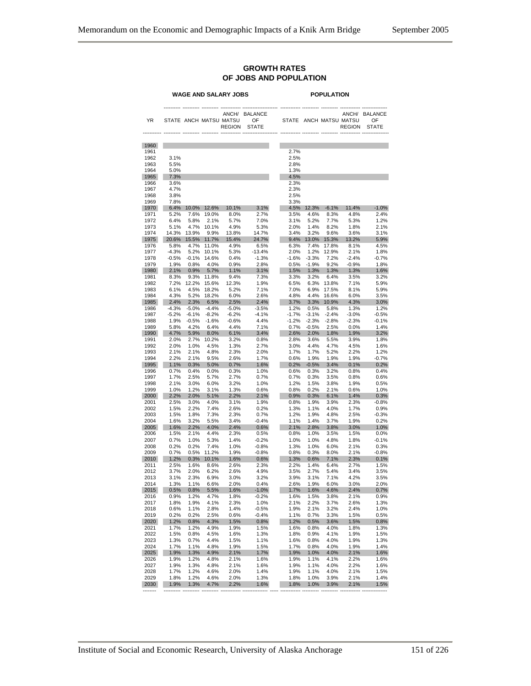#### **GROWTH RATES OF JOBS AND POPULATION**

|              | <b>WAGE AND SALARY JOBS</b> |                 |                 |                                                  | <b>POPULATION</b>                    |                 |                    |                  |                                                  |                                      |
|--------------|-----------------------------|-----------------|-----------------|--------------------------------------------------|--------------------------------------|-----------------|--------------------|------------------|--------------------------------------------------|--------------------------------------|
| YR           |                             |                 |                 | ANCH/<br>STATE ANCH MATSU MATSU<br><b>REGION</b> | <b>BALANCE</b><br>OF<br><b>STATE</b> |                 |                    |                  | ANCH/<br>STATE ANCH MATSU MATSU<br><b>REGION</b> | <b>BALANCE</b><br>OF<br><b>STATE</b> |
| 1960         |                             |                 |                 |                                                  |                                      |                 |                    |                  |                                                  |                                      |
| 1961         | 3.1%                        |                 |                 |                                                  |                                      | 2.7%            |                    |                  |                                                  |                                      |
| 1962<br>1963 | 5.5%                        |                 |                 |                                                  |                                      | 2.5%<br>2.8%    |                    |                  |                                                  |                                      |
| 1964         | 5.0%                        |                 |                 |                                                  |                                      | 1.3%            |                    |                  |                                                  |                                      |
| 1965         | 7.3%                        |                 |                 |                                                  |                                      | 4.5%            |                    |                  |                                                  |                                      |
| 1966         | 3.6%                        |                 |                 |                                                  |                                      | 2.3%            |                    |                  |                                                  |                                      |
| 1967         | 4.7%                        |                 |                 |                                                  |                                      | 2.3%            |                    |                  |                                                  |                                      |
| 1968<br>1969 | 3.8%<br>7.8%                |                 |                 |                                                  |                                      | 2.5%<br>3.3%    |                    |                  |                                                  |                                      |
| 1970         | 6.4%                        |                 | 10.0% 12.6%     | 10.1%                                            | 3.1%                                 |                 |                    | 4.5% 12.3% -6.1% | 11.4%                                            | $-1.0%$                              |
| 1971         | 5.2%                        | 7.6%            | 19.0%           | 8.0%                                             | 2.7%                                 | 3.5%            | 4.6%               | 8.3%             | 4.8%                                             | 2.4%                                 |
| 1972         | 6.4%                        | 5.8%            | 2.1%            | 5.7%                                             | 7.0%                                 | 3.1%            | 5.2%               | 7.7%             | 5.3%                                             | 1.2%                                 |
| 1973         | 5.1%                        | 4.7%            | 10.1%           | 4.9%                                             | 5.3%                                 | 2.0%            | 1.4%               | 8.2%             | 1.8%                                             | 2.1%                                 |
| 1974<br>1975 | 14.3%                       | 13.9%<br>15.5%  | 9.9%            | 13.8%<br>15.4%                                   | 14.7%<br>24.7%                       | 3.4%<br>9.4%    | 3.2%               | 9.6%             | 3.6%<br>13.2%                                    | 3.1%<br>5.9%                         |
| 1976         | 20.6%<br>5.8%               | 4.7%            | 11.7%<br>11.0%  | 4.9%                                             | 6.5%                                 | 6.3%            | 13.0%<br>7.4%      | 15.3%<br>17.8%   | 8.1%                                             | 4.5%                                 |
| 1977         | $-4.3%$                     | 5.2%            | 10.1%           | 5.3%                                             | $-13.4%$                             | 2.0%            | 1.2%               | 12.9%            | 2.1%                                             | 1.8%                                 |
| 1978         | $-0.5%$                     | $-0.1%$         | 14.6%           | 0.4%                                             | $-1.3%$                              | $-1.6%$         | $-3.3%$            | 7.2%             | $-2.4%$                                          | $-0.7%$                              |
| 1979         | 1.9%                        | 0.8%            | 4.0%            | 0.9%                                             | 2.8%                                 | 0.5%            | $-1.9%$            | 9.2%             | $-0.9%$                                          | 1.8%                                 |
| 1980         | 2.1%                        | 0.9%            | 5.7%            | 1.1%                                             | 3.1%                                 | 1.5%            | 1.3%               | 1.3%             | 1.3%                                             | 1.6%                                 |
| 1981<br>1982 | 8.3%<br>7.2%                | 9.3%<br>12.2%   | 11.8%<br>15.6%  | 9.4%<br>12.3%                                    | 7.3%<br>1.9%                         | 3.3%<br>6.5%    | 3.2%<br>6.3%       | 6.4%<br>13.8%    | 3.5%<br>7.1%                                     | 3.2%<br>5.9%                         |
| 1983         | 6.1%                        | 4.5%            | 18.2%           | 5.2%                                             | 7.1%                                 | 7.0%            | 6.9%               | 17.5%            | 8.1%                                             | 5.9%                                 |
| 1984         | 4.3%                        | 5.2%            | 18.2%           | 6.0%                                             | 2.6%                                 | 4.8%            | 4.4%               | 16.6%            | 6.0%                                             | 3.5%                                 |
| 1985         | 2.4%                        | 2.3%            | 6.5%            | 2.5%                                             | 2.4%                                 | 3.7%            | 3.3%               | 10.9%            | 4.3%                                             | 3.0%                                 |
| 1986         | $-4.3%$                     | $-5.0%$         | $-4.4%$         | $-5.0%$                                          | $-3.5%$                              | 1.2%            | 0.5%               | 5.8%             | 1.3%                                             | 1.2%                                 |
| 1987         | $-5.2%$                     | $-6.1%$         | $-8.2%$         | $-6.2%$                                          | $-4.1%$                              | $-1.7%$         | $-3.1%$            | $-2.4%$          | $-3.0%$                                          | $-0.5%$                              |
| 1988<br>1989 | 1.9%<br>5.8%                | $-0.5%$<br>4.2% | $-1.6%$<br>6.4% | $-0.6%$<br>4.4%                                  | 4.4%<br>7.1%                         | $-1.2%$<br>0.7% | $-2.3%$<br>$-0.5%$ | $-2.8%$<br>2.5%  | $-2.3%$<br>0.0%                                  | $-0.1%$<br>1.4%                      |
| 1990         | 4.7%                        | 5.9%            | 8.0%            | 6.1%                                             | 3.4%                                 | 2.6%            | 2.0%               | 1.8%             | 1.9%                                             | 3.2%                                 |
| 1991         | 2.0%                        | 2.7%            | 10.2%           | 3.2%                                             | 0.8%                                 | 2.8%            | 3.6%               | 5.5%             | 3.9%                                             | 1.8%                                 |
| 1992         | 2.0%                        | 1.0%            | 4.5%            | 1.3%                                             | 2.7%                                 | 3.0%            | 4.4%               | 4.7%             | 4.5%                                             | 1.6%                                 |
| 1993         | 2.1%                        | 2.1%            | 4.8%            | 2.3%                                             | 2.0%                                 | 1.7%            | 1.7%               | 5.2%             | 2.2%                                             | 1.2%                                 |
| 1994<br>1995 | 2.2%<br>1.1%                | 2.1%<br>0.3%    | 9.5%<br>5.0%    | 2.6%<br>0.7%                                     | 1.7%<br>1.6%                         | 0.6%<br>0.2%    | 1.9%<br>$-0.5%$    | 1.9%<br>3.4%     | 1.9%<br>0.1%                                     | $-0.7%$<br>0.2%                      |
| 1996         | 0.7%                        | 0.4%            | 0.0%            | 0.3%                                             | 1.0%                                 | 0.6%            | 0.3%               | 3.2%             | 0.8%                                             | 0.4%                                 |
| 1997         | 1.7%                        | 2.5%            | 5.7%            | 2.7%                                             | 0.7%                                 | 0.7%            | 0.3%               | 3.5%             | 0.8%                                             | 0.6%                                 |
| 1998         | 2.1%                        | 3.0%            | 6.0%            | 3.2%                                             | 1.0%                                 | 1.2%            | 1.5%               | 3.8%             | 1.9%                                             | 0.5%                                 |
| 1999         | 1.0%                        | 1.2%            | 3.1%            | 1.3%                                             | 0.6%                                 | 0.8%            | 0.2%               | 2.1%             | 0.6%                                             | 1.0%                                 |
| 2000         | 2.2%                        | 2.0%            | 5.1%            | 2.2%                                             | 2.1%                                 | 0.9%            | 0.3%               | 6.1%             | 1.4%                                             | 0.3%                                 |
| 2001<br>2002 | 2.5%<br>1.5%                | 3.0%<br>2.2%    | 4.0%<br>7.4%    | 3.1%<br>2.6%                                     | 1.9%<br>0.2%                         | 0.8%<br>1.3%    | 1.9%<br>1.1%       | 3.9%<br>4.0%     | 2.3%<br>1.7%                                     | $-0.8%$<br>0.9%                      |
| 2003         | 1.5%                        | 1.8%            | 7.3%            | 2.3%                                             | 0.7%                                 | 1.2%            | 1.9%               | 4.8%             | 2.5%                                             | $-0.3%$                              |
| 2004         | 1.6%                        | 3.2%            | 5.5%            | 3.4%                                             | $-0.4%$                              | 1.1%            | 1.4%               | 3.7%             | 1.9%                                             | 0.2%                                 |
| 2005         | 1.6%                        | 2.2%            | 4.0%            | 2.4%                                             | 0.6%                                 | 2.1%            | 2.8%               | 3.8%             | 3.0%                                             | 1.0%                                 |
| 2006         | 1.5%                        | 2.1%            | 4.4%            | 2.3%                                             | 0.5%                                 | 0.8%            | 1.0%               | 3.5%             | 1.5%                                             | 0.0%                                 |
| 2007<br>2008 | 0.7%<br>0.2%                | 1.0%<br>0.2%    | 5.3%<br>7.4%    | 1.4%<br>1.0%                                     | $-0.2%$<br>$-0.8%$                   | 1.0%<br>1.3%    | 1.0%<br>1.0%       | 4.8%<br>6.0%     | 1.8%<br>2.1%                                     | $-0.1%$<br>0.3%                      |
| 2009         | 0.7%                        | 0.5%            | 11.2%           | 1.9%                                             | $-0.8%$                              | 0.8%            | 0.3%               | 8.0%             | 2.1%                                             | $-0.8%$                              |
| 2010         | 1.2%                        | 0.3%            | 10.1%           | 1.6%                                             | 0.6%                                 | 1.3%            | 0.6%               | 7.1%             | 2.3%                                             | 0.1%                                 |
| 2011         | 2.5%                        | 1.6%            | 8.6%            | 2.6%                                             | 2.3%                                 | 2.2%            | 1.4%               | 6.4%             | 2.7%                                             | 1.5%                                 |
| 2012         | 3.7%                        | 2.0%            | 6.2%            | 2.6%                                             | 4.9%                                 | 3.5%            | 2.7%               | 5.4%             | 3.4%                                             | 3.5%                                 |
| 2013         | 3.1%                        | 2.3%            | 6.9%            | 3.0%                                             | 3.2%                                 | 3.9%            | 3.1%               | 7.1%             | 4.2%                                             | 3.5%                                 |
| 2014<br>2015 | 1.3%<br>0.5%                | 1.1%<br>0.8%    | 6.6%<br>5.5%    | 2.0%<br>1.6%                                     | 0.4%<br>$-1.0%$                      | 2.6%<br>1.7%    | 1.9%<br>1.6%       | 6.0%<br>4.6%     | 3.0%<br>2.4%                                     | 2.0%<br>0.7%                         |
| 2016         | 0.9%                        | 1.2%            | 4.7%            | 1.8%                                             | $-0.2%$                              | 1.6%            | 1.5%               | 3.8%             | 2.1%                                             | 0.9%                                 |
| 2017         | 1.8%                        | 1.9%            | 4.1%            | 2.3%                                             | 1.0%                                 | 2.1%            | 2.2%               | 3.7%             | 2.6%                                             | 1.3%                                 |
| 2018         | 0.6%                        | 1.1%            | 2.8%            | 1.4%                                             | $-0.5%$                              | 1.9%            | 2.1%               | 3.2%             | 2.4%                                             | 1.0%                                 |
| 2019         | 0.2%                        | 0.2%            | 2.5%            | 0.6%                                             | $-0.4%$                              | 1.1%            | 0.7%               | 3.3%             | 1.5%                                             | 0.5%                                 |
| 2020         | 1.2%                        | 0.8%            | 4.3%            | 1.5%                                             | 0.8%                                 | 1.2%            | 0.5%               | 3.6%             | 1.5%                                             | 0.8%                                 |
| 2021<br>2022 | 1.7%<br>1.5%                | 1.2%<br>0.8%    | 4.9%<br>4.5%    | 1.9%<br>1.6%                                     | 1.5%<br>1.3%                         | 1.6%<br>1.8%    | 0.8%<br>0.9%       | 4.0%<br>4.1%     | 1.8%<br>1.9%                                     | 1.3%<br>1.5%                         |
| 2023         | 1.3%                        | 0.7%            | 4.4%            | 1.5%                                             | 1.1%                                 | 1.6%            | 0.8%               | 4.0%             | 1.9%                                             | 1.3%                                 |
| 2024         | 1.7%                        | 1.1%            | 4.8%            | 1.9%                                             | 1.5%                                 | 1.7%            | 0.8%               | 4.0%             | 1.9%                                             | 1.4%                                 |
| 2025         | 1.9%                        | 1.3%            | 4.9%            | 2.1%                                             | 1.7%                                 | 1.9%            | 1.0%               | 4.0%             | 2.1%                                             | 1.6%                                 |
| 2026         | 1.9%                        | 1.2%            | 4.8%            | 2.1%                                             | 1.6%                                 | 1.9%            | 1.1%               | 4.1%             | 2.2%                                             | 1.6%                                 |
| 2027<br>2028 | 1.9%<br>1.7%                | 1.3%<br>1.2%    | 4.8%<br>4.6%    | 2.1%<br>2.0%                                     | 1.6%<br>1.4%                         | 1.9%            | 1.1%               | 4.0%<br>4.0%     | 2.2%<br>2.1%                                     | 1.6%<br>1.5%                         |
| 2029         | 1.8%                        | 1.2%            | 4.6%            | 2.0%                                             | 1.3%                                 | 1.9%<br>1.8%    | 1.1%<br>1.0%       | 3.9%             | 2.1%                                             | 1.4%                                 |
| 2030         | 1.9%                        | 1.3%            | 4.7%            | 2.2%                                             | 1.6%                                 | 1.8%            | 1.0%               | 3.9%             | 2.1%                                             | 1.5%                                 |
|              |                             |                 |                 |                                                  |                                      |                 |                    |                  |                                                  |                                      |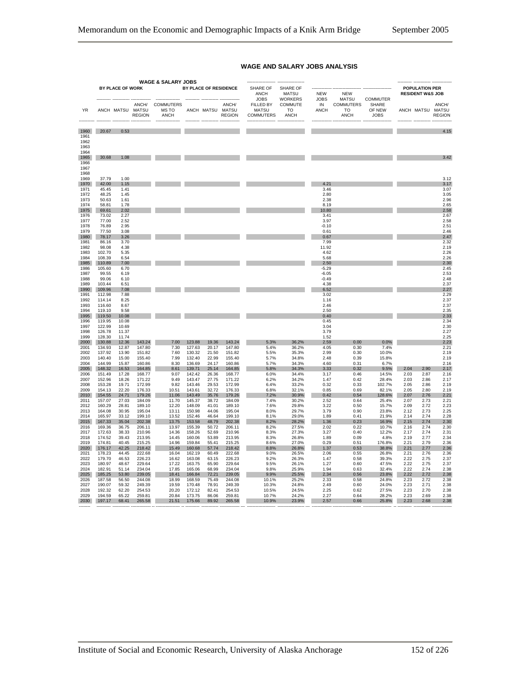|                                              |                  |                  |                        | WAGE & SALARY JOBS                |                  |                  |                        |                                               |                                                   |                           |                                       |                                |              |                                                      |                        |
|----------------------------------------------|------------------|------------------|------------------------|-----------------------------------|------------------|------------------|------------------------|-----------------------------------------------|---------------------------------------------------|---------------------------|---------------------------------------|--------------------------------|--------------|------------------------------------------------------|------------------------|
|                                              |                  | BY PLACE OF WORK |                        |                                   |                  |                  | BY PLACE OF RESIDENCE  | SHARE OF<br>ANCH<br>JOBS                      | <b>SHARE OF</b><br><b>MATSU</b><br><b>WORKERS</b> | <b>NEW</b><br><b>JOBS</b> | <b>NEW</b><br><b>MATSU</b>            | COMMUTER                       |              | <b>POPULATION PER</b><br><b>RESIDENT W&amp;S JOB</b> |                        |
| YR                                           |                  | ANCH MATSU MATSU | ANCH/<br><b>REGION</b> | <b>COMMUTERS</b><br>MS TO<br>ANCH |                  | ANCH MATSU MATSU | ANCH/<br><b>REGION</b> | FILLED BY<br><b>MATSU</b><br><b>COMMUTERS</b> | COMMUTE<br>TΩ<br><b>ANCH</b>                      | IN<br><b>ANCH</b>         | <b>COMMUTERS</b><br>TO<br><b>ANCH</b> | SHARE<br>OF NEW<br><b>JOBS</b> |              | ANCH MATSU MATSU                                     | ANCH/<br><b>REGION</b> |
| 1960                                         | 20.67            | 0.53             |                        |                                   |                  |                  |                        |                                               |                                                   |                           |                                       |                                |              |                                                      | 4.15                   |
| 1961<br>1962<br>1963<br>1964<br>1965<br>1966 | 30.68            | 1.08             |                        |                                   |                  |                  |                        |                                               |                                                   |                           |                                       |                                |              |                                                      | 3.42                   |
| 1967<br>1968                                 |                  |                  |                        |                                   |                  |                  |                        |                                               |                                                   |                           |                                       |                                |              |                                                      |                        |
| 1969<br>1970                                 | 37.79<br>42.00   | 1.00<br>1.15     |                        |                                   |                  |                  |                        |                                               |                                                   | 4.21                      |                                       |                                |              |                                                      | 3.12<br>3.17           |
| 1971                                         | 45.45            | 1.41             |                        |                                   |                  |                  |                        |                                               |                                                   | 3.46                      |                                       |                                |              |                                                      | 3.07                   |
| 1972                                         | 48.25            | 1.45             |                        |                                   |                  |                  |                        |                                               |                                                   | 2.80                      |                                       |                                |              |                                                      | 3.05                   |
| 1973                                         | 50.63            | 1.61             |                        |                                   |                  |                  |                        |                                               |                                                   | 2.38                      |                                       |                                |              |                                                      | 2.96                   |
| 1974<br>1975                                 | 58.81<br>69.61   | 1.78<br>2.02     |                        |                                   |                  |                  |                        |                                               |                                                   | 8.19<br>10.80             |                                       |                                |              |                                                      | 2.65<br>2.58           |
| 1976                                         | 73.02            | 2.27             |                        |                                   |                  |                  |                        |                                               |                                                   | 3.41                      |                                       |                                |              |                                                      | 2.67                   |
| 1977                                         | 77.00            | 2.52             |                        |                                   |                  |                  |                        |                                               |                                                   | 3.97                      |                                       |                                |              |                                                      | 2.58                   |
| 1978<br>1979                                 | 76.89<br>77.50   | 2.95<br>3.08     |                        |                                   |                  |                  |                        |                                               |                                                   | $-0.10$<br>0.61           |                                       |                                |              |                                                      | 2.51<br>2.46           |
| 1980                                         | 78.17            | 3.26             |                        |                                   |                  |                  |                        |                                               |                                                   | 0.67                      |                                       |                                |              |                                                      | 2.47                   |
| 1981                                         | 86.16            | 3.70             |                        |                                   |                  |                  |                        |                                               |                                                   | 7.99                      |                                       |                                |              |                                                      | 2.32                   |
| 1982                                         | 98.08            | 4.38             |                        |                                   |                  |                  |                        |                                               |                                                   | 11.92                     |                                       |                                |              |                                                      | 2.19                   |
| 1983<br>1984                                 | 102.70<br>108.39 | 5.35<br>6.54     |                        |                                   |                  |                  |                        |                                               |                                                   | 4.62<br>5.68              |                                       |                                |              |                                                      | 2.26<br>2.26           |
| 1985                                         | 110.89           | 7.00             |                        |                                   |                  |                  |                        |                                               |                                                   | 2.50                      |                                       |                                |              |                                                      | 2.30                   |
| 1986                                         | 105.60           | 6.70             |                        |                                   |                  |                  |                        |                                               |                                                   | $-5.29$                   |                                       |                                |              |                                                      | 2.45                   |
| 1987<br>1988                                 | 99.55<br>99.06   | 6.19<br>6.10     |                        |                                   |                  |                  |                        |                                               |                                                   | $-6.05$<br>$-0.49$        |                                       |                                |              |                                                      | 2.53<br>2.48           |
| 1989                                         | 103.44           | 6.51             |                        |                                   |                  |                  |                        |                                               |                                                   | 4.38                      |                                       |                                |              |                                                      | 2.37                   |
| 1990                                         | 109.96           | 7.08             |                        |                                   |                  |                  |                        |                                               |                                                   | 6.52                      |                                       |                                |              |                                                      | 2.27                   |
| 1991                                         | 112.98           | 7.88             |                        |                                   |                  |                  |                        |                                               |                                                   | 3.02                      |                                       |                                |              |                                                      | 2.29                   |
| 1992<br>1993                                 | 114.14<br>116.60 | 8.25<br>8.67     |                        |                                   |                  |                  |                        |                                               |                                                   | 1.16<br>2.46              |                                       |                                |              |                                                      | 2.37<br>2.37           |
| 1994                                         | 119.10           | 9.58             |                        |                                   |                  |                  |                        |                                               |                                                   | 2.50                      |                                       |                                |              |                                                      | 2.35                   |
| 1995                                         | 119.50           | 10.08            |                        |                                   |                  |                  |                        |                                               |                                                   | 0.40                      |                                       |                                |              |                                                      | 2.33                   |
| 1996<br>1997                                 | 119.95<br>122.99 | 10.08<br>10.69   |                        |                                   |                  |                  |                        |                                               |                                                   | 0.45<br>3.04              |                                       |                                |              |                                                      | 2.34<br>2.30           |
| 1998                                         | 126.78           | 11.37            |                        |                                   |                  |                  |                        |                                               |                                                   | 3.79                      |                                       |                                |              |                                                      | 2.27                   |
| 1999                                         | 128.30           | 11.74            |                        |                                   |                  |                  |                        |                                               |                                                   | 1.52                      |                                       |                                |              |                                                      | 2.25                   |
| 2000                                         | 130.88           | 12.36            | 143.24                 | 7.00                              | 123.88           | 19.36            | 143.24                 | 5.3%                                          | 36.2%                                             | 2.59                      | 0.00                                  | 0.0%                           |              |                                                      | 2.23                   |
| 2001<br>2002                                 | 134.93<br>137.92 | 12.87<br>13.90   | 147.80<br>151.82       | 7.30<br>7.60                      | 127.63<br>130.32 | 20.17<br>21.50   | 147.80<br>151.82       | 5.4%<br>5.5%                                  | 36.2%<br>35.3%                                    | 4.05<br>2.99              | 0.30<br>0.30                          | 7.4%<br>10.0%                  |              |                                                      | 2.21<br>2.19           |
| 2003                                         | 140.40           | 15.00            | 155.40                 | 7.99                              | 132.40           | 22.99            | 155.40                 | 5.7%                                          | 34.8%                                             | 2.48                      | 0.39                                  | 15.8%                          |              |                                                      | 2.19                   |
| 2004                                         | 144.99           | 15.87            | 160.86                 | 8.30                              | 136.69           | 24.17            | 160.86                 | 5.7%                                          | 34.3%                                             | 4.60                      | 0.31                                  | 6.7%                           |              |                                                      | 2.16                   |
| 2005<br>2006                                 | 148.32<br>151.49 | 16.53<br>17.28   | 164.85<br>168.77       | 8.61<br>9.07                      | 139.71<br>142.42 | 25.14<br>26.36   | 164.85<br>168.77       | 5.8%<br>6.0%                                  | 34.3%<br>34.4%                                    | 3.33<br>3.17              | 0.32<br>0.46                          | 9.5%<br>14.5%                  | 2.04<br>2.03 | 2.90<br>2.87                                         | 2.17<br>2.16           |
| 2007                                         | 152.96           | 18.26            | 171.22                 | 9.49                              | 143.47           | 27.75            | 171.22                 | 6.2%                                          | 34.2%                                             | 1.47                      | 0.42                                  | 28.4%                          | 2.03         | 2.86                                                 | 2.17                   |
| 2008                                         | 153.28           | 19.71            | 172.99                 | 9.82                              | 143.46           | 29.53            | 172.99                 | 6.4%                                          | 33.2%                                             | 0.32                      | 0.33                                  | 102.7%                         | 2.05         | 2.86                                                 | 2.19                   |
| 2009                                         | 154.13           | 22.20            | 176.33                 | 10.51                             | 143.61           | 32.72            | 176.33                 | 6.8%                                          | 32.1%                                             | 0.85                      | 0.69                                  | 82.1%                          | 2.05         | 2.80                                                 | 2.19                   |
| 2010<br>2011                                 | 154.55<br>157.07 | 24.71<br>27.03   | 179.26<br>184.09       | 11.06<br>11.70                    | 143.49<br>145.37 | 35.76<br>38.72   | 179.26<br>184.09       | 7.2%<br>7.4%                                  | 30.9%<br>30.2%                                    | 0.42<br>2.52              | 0.54<br>0.64                          | 128.6%<br>25.4%                | 2.07<br>2.07 | 2.76<br>2.73                                         | 2.21<br>2.21           |
| 2012                                         | 160.29           | 28.81            | 189.10                 | 12.20                             | 148.09           | 41.01            | 189.10                 | 7.6%                                          | 29.8%                                             | 3.22                      | 0.50                                  | 15.7%                          | 2.09         | 2.72                                                 | 2.23                   |
| 2013                                         | 164.08           | 30.95            | 195.04                 | 13.11                             | 150.98           | 44.06            | 195.04                 | 8.0%                                          | 29.7%                                             | 3.79                      | 0.90                                  | 23.8%                          | 2.12         | 2.73                                                 | 2.25                   |
| 2014<br>2015                                 | 165.97<br>167.33 | 33.12<br>35.04   | 199.10<br>202.38       | 13.52                             | 152.46<br>153.58 | 46.64<br>48.79   | 199.10<br>202.38       | 8.1%<br>8.2%                                  | 29.0%                                             | 1.89                      | 0.41<br>0.23                          | 21.9%                          | 2.14<br>2.15 | 2.74<br>2.74                                         | 2.28<br>2.30           |
| 2016                                         | 169.36           | 36.75            | 206.11                 | 13.75<br>13.97                    | 155.39           | 50.72            | 206.11                 | 8.2%                                          | 28.2%<br>27.5%                                    | 1.36<br>2.02              | 0.22                                  | 16.9%<br>10.7%                 | 2.16         | 2.74                                                 | 2.30                   |
| 2017                                         | 172.63           | 38.33            | 210.96                 | 14.36                             | 158.26           | 52.69            | 210.96                 | 8.3%                                          | 27.3%                                             | 3.27                      | 0.40                                  | 12.2%                          | 2.17         | 2.74                                                 | 2.31                   |
| 2018                                         | 174.52           | 39.43            | 213.95                 | 14.45                             | 160.06           | 53.89            | 213.95                 | 8.3%                                          | 26.8%                                             | 1.89                      | 0.09                                  | 4.8%                           | 2.19         | 2.77                                                 | 2.34                   |
| 2019<br>2020                                 | 174.81<br>176.17 | 40.45<br>42.25   | 215.25<br>218.42       | 14.96<br>15.49                    | 159.84<br>160.68 | 55.41<br>57.74   | 215.25<br>218.42       | 8.6%<br>8.8%                                  | 27.0%<br>26.8%                                    | 0.29<br>1.37              | 0.51<br>0.53                          | 176.8%<br>38.8%                | 2.21<br>2.21 | 2.79<br>2.77                                         | 2.36<br>2.36           |
| 2021                                         | 178.23           | 44.45            | 222.68                 | 16.04                             | 162.19           | 60.49            | 222.68                 | 9.0%                                          | 26.5%                                             | 2.06                      | 0.55                                  | 26.8%                          | 2.21         | 2.76                                                 | 2.36                   |
| 2022                                         | 179.70           | 46.53            | 226.23                 | 16.62                             | 163.08           | 63.15            | 226.23                 | 9.2%                                          | 26.3%                                             | 1.47                      | 0.58                                  | 39.3%                          | 2.22         | 2.75                                                 | 2.37                   |
| 2023<br>2024                                 | 180.97           | 48.67            | 229.64                 | 17.22                             | 163.75           | 65.90            | 229.64                 | 9.5%                                          | 26.1%                                             | 1.27                      | 0.60                                  | 47.5%                          | 2.22<br>2.22 | 2.75                                                 | 2.37<br>2.38           |
| 2025                                         | 182.91<br>185.25 | 51.14<br>53.80   | 234.04<br>239.05       | 17.85<br>18.41                    | 165.06<br>166.84 | 68.99<br>72.21   | 234.04<br>239.05       | 9.8%<br>9.9%                                  | 25.9%<br>25.5%                                    | 1.94<br>2.34              | 0.63<br>0.56                          | 32.4%<br>23.8%                 | 2.22         | 2.74<br>2.72                                         | 2.38                   |
| 2026                                         | 187.58           | 56.50            | 244.08                 | 18.99                             | 168.59           | 75.49            | 244.08                 | 10.1%                                         | 25.2%                                             | 2.33                      | 0.58                                  | 24.8%                          | 2.23         | 2.72                                                 | 2.38                   |
| 2027                                         | 190.07           | 59.32            | 249.39                 | 19.59                             | 170.48           | 78.91            | 249.39                 | 10.3%                                         | 24.8%                                             | 2.49                      | 0.60                                  | 24.0%                          | 2.23         | 2.71                                                 | 2.38                   |
| 2028<br>2029                                 | 192.32<br>194.59 | 62.20<br>65.22   | 254.53<br>259.81       | 20.20<br>20.84                    | 172.12<br>173.75 | 82.41<br>86.06   | 254.53<br>259.81       | 10.5%<br>10.7%                                | 24.5%<br>24.2%                                    | 2.25<br>2.27              | 0.62<br>0.64                          | 27.5%<br>28.2%                 | 2.23<br>2.23 | 2.70<br>2.69                                         | 2.38<br>2.38           |
| 2030                                         | 197.17           | 68.41            | 265.58                 | 21.51                             | 175.66           | 89.92            | 265.58                 | 10.9%                                         | 23.9%                                             | 2.57                      | 0.66                                  | 25.8%                          | 2.23         | 2.68                                                 | 2.38                   |
|                                              |                  |                  |                        |                                   |                  |                  |                        |                                               |                                                   |                           |                                       |                                |              |                                                      |                        |

#### **WAGE AND SALARY JOBS ANALYSIS**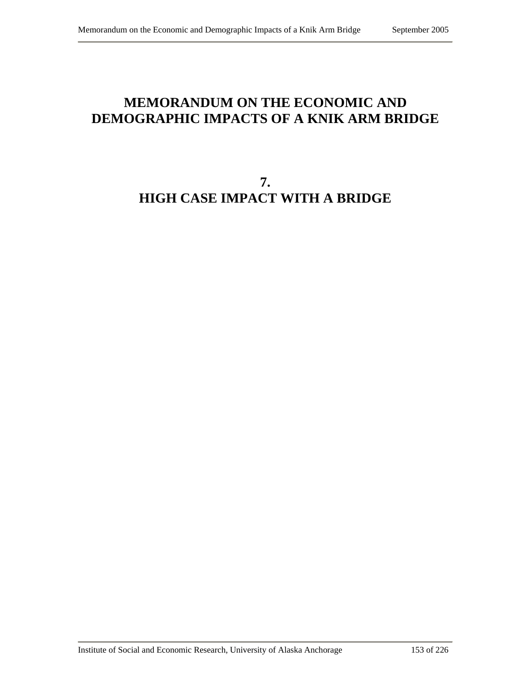# **MEMORANDUM ON THE ECONOMIC AND DEMOGRAPHIC IMPACTS OF A KNIK ARM BRIDGE**

# **7. HIGH CASE IMPACT WITH A BRIDGE**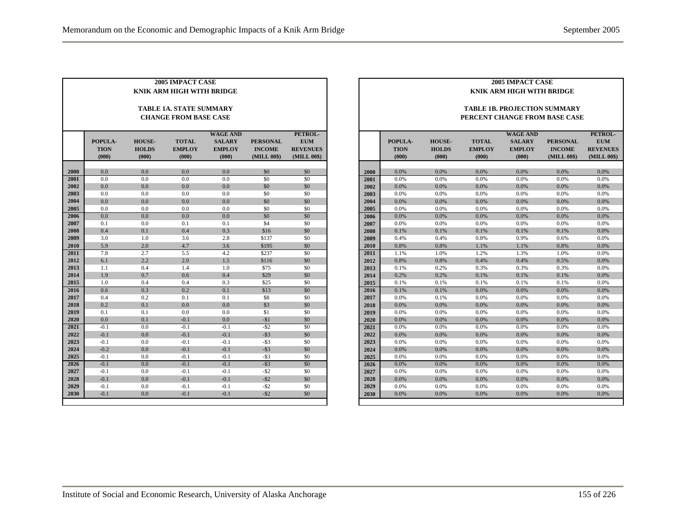|      |                                 |                                        | 2005 IMPACT CASE<br><b>KNIK ARM HIGH WITH BRIDGE</b>    |                                                            |                                                 |                                                         |
|------|---------------------------------|----------------------------------------|---------------------------------------------------------|------------------------------------------------------------|-------------------------------------------------|---------------------------------------------------------|
|      |                                 |                                        | TABLE 1A. STATE SUMMARY<br><b>CHANGE FROM BASE CASE</b> |                                                            |                                                 |                                                         |
|      | POPULA-<br><b>TION</b><br>(000) | <b>HOUSE-</b><br><b>HOLDS</b><br>(000) | <b>TOTAL</b><br><b>EMPLOY</b><br>(000)                  | <b>WAGE AND</b><br><b>SALARY</b><br><b>EMPLOY</b><br>(000) | <b>PERSONAL</b><br><b>INCOME</b><br>(MILL 00\$) | PETROL-<br><b>EUM</b><br><b>REVENUES</b><br>(MILL 00\$) |
| 2000 | 0.0                             | 0.0                                    | 0.0                                                     | 0.0                                                        | \$0                                             | \$0                                                     |
| 2001 | 0.0                             | 0.0                                    | 0.0                                                     | 0.0                                                        | \$0                                             | \$0                                                     |
| 2002 | 0.0                             | 0.0                                    | 0.0                                                     | 0.0                                                        | \$0                                             | \$0                                                     |
| 2003 | 0.0                             | 0.0                                    | 0.0                                                     | 0.0                                                        | \$0                                             | \$0                                                     |
| 2004 | 0.0                             | 0.0                                    | 0.0                                                     | 0.0                                                        | \$0                                             | \$0                                                     |
| 2005 | 0.0                             | 0.0                                    | 0.0                                                     | 0.0                                                        | \$0                                             | \$0                                                     |
| 2006 | 0.0                             | 0.0                                    | 0.0                                                     | 0.0                                                        | \$0                                             | \$0                                                     |
| 2007 | 0.1                             | 0.0                                    | 0.1                                                     | 0.1                                                        | \$4                                             | \$0                                                     |
| 2008 | 0.4                             | 0.1                                    | 0.4                                                     | 0.3                                                        | \$16                                            | \$0                                                     |
| 2009 | 3.0                             | 1.0                                    | 3.6                                                     | 2.8                                                        | \$137                                           | \$0                                                     |
| 2010 | 5.9                             | 2.0                                    | 4.7                                                     | 3.6                                                        | \$195                                           | \$0                                                     |
| 2011 | 7.8                             | 2.7                                    | 5.5                                                     | 4.2                                                        | \$237                                           | \$0                                                     |
| 2012 | 6.1                             | 2.2                                    | 2.0                                                     | 1.5                                                        | \$116                                           | \$0                                                     |
| 2013 | 1.1                             | 0.4                                    | 1.4                                                     | 1.0                                                        | \$75                                            | \$0                                                     |
| 2014 | 1.9                             | 0.7                                    | 0.6                                                     | 0.4                                                        | \$29                                            | \$0                                                     |
| 2015 | 1.0                             | 0.4                                    | 0.4                                                     | 0.3                                                        | \$25                                            | \$0                                                     |
| 2016 | 0.6                             | 0.3                                    | 0.2                                                     | 0.1                                                        | \$13                                            | \$0                                                     |
| 2017 | 0.4                             | 0.2                                    | 0.1                                                     | 0.1                                                        | \$8                                             | \$0                                                     |
| 2018 | 0.2                             | 0.1                                    | 0.0                                                     | 0.0                                                        | \$3                                             | \$0                                                     |
| 2019 | 0.1                             | 0.1                                    | 0.0                                                     | 0.0                                                        | \$1                                             | \$0                                                     |
| 2020 | 0.0                             | 0.1                                    | $-0.1$                                                  | 0.0                                                        | $-51$                                           | \$0                                                     |
| 2021 | $-0.1$                          | 0.0                                    | $-0.1$                                                  | $-0.1$                                                     | $-$ \$2                                         | \$0                                                     |
| 2022 | $-0.1$                          | 0.0                                    | $-0.1$                                                  | $-0.1$                                                     | $-$ \$3                                         | \$0                                                     |
| 2023 | $-0.1$                          | 0.0                                    | $-0.1$                                                  | $-0.1$                                                     | $-$ \$3                                         | \$0                                                     |
| 2024 | $-0.2$                          | 0.0                                    | $-0.1$                                                  | $-0.1$                                                     | $-$ \$3                                         | \$0                                                     |
| 2025 | $-0.1$                          | 0.0                                    | $-0.1$                                                  | $-0.1$                                                     | $-$ \$3                                         | \$0                                                     |
| 2026 | $-0.1$                          | 0.0                                    | $-0.1$                                                  | $-0.1$                                                     | $-$ \$3                                         | \$0                                                     |
| 2027 | $-0.1$                          | 0.0                                    | $-0.1$                                                  | $-0.1$                                                     | $-$ \$2                                         | \$0                                                     |
| 2028 | $-0.1$                          | 0.0                                    | $-0.1$                                                  | $-0.1$                                                     | $-$ \$2                                         | \$0                                                     |
| 2029 | $-0.1$                          | 0.0                                    | $-0.1$                                                  | $-0.1$                                                     | $-$ \$2                                         | \$0                                                     |
| 2030 | $-0.1$                          | 0.0                                    | $-0.1$                                                  | $-0.1$                                                     | $-$ \$2                                         | \$0                                                     |

|      | <b>2005 IMPACT CASE</b> |                               |                               |                                  |                                     |                       |  |  |  |  |  |
|------|-------------------------|-------------------------------|-------------------------------|----------------------------------|-------------------------------------|-----------------------|--|--|--|--|--|
|      |                         |                               |                               | KNIK ARM HIGH WITH BRIDGE        |                                     |                       |  |  |  |  |  |
|      |                         |                               |                               |                                  |                                     |                       |  |  |  |  |  |
|      |                         |                               |                               |                                  | <b>TABLE 1B. PROJECTION SUMMARY</b> |                       |  |  |  |  |  |
|      |                         |                               |                               |                                  | PERCENT CHANGE FROM BASE CASE       |                       |  |  |  |  |  |
|      |                         |                               |                               |                                  |                                     |                       |  |  |  |  |  |
|      |                         |                               |                               |                                  |                                     |                       |  |  |  |  |  |
|      |                         |                               |                               | <b>WAGE AND</b><br><b>SALARY</b> |                                     | PETROL-<br><b>EUM</b> |  |  |  |  |  |
|      | POPULA-<br><b>TION</b>  | <b>HOUSE-</b><br><b>HOLDS</b> | <b>TOTAL</b><br><b>EMPLOY</b> | <b>EMPLOY</b>                    | <b>PERSONAL</b><br><b>INCOME</b>    | <b>REVENUES</b>       |  |  |  |  |  |
|      | (000)                   | (000)                         | (000)                         | (000)                            | (MILL 00\$)                         | (MILL 00\$)           |  |  |  |  |  |
|      |                         |                               |                               |                                  |                                     |                       |  |  |  |  |  |
| 2000 | 0.0%                    | 0.0%                          | 0.0%                          | 0.0%                             | 0.0%                                | 0.0%                  |  |  |  |  |  |
| 2001 | 0.0%                    | 0.0%                          | 0.0%                          | 0.0%                             | 0.0%                                | 0.0%                  |  |  |  |  |  |
| 2002 | 0.0%                    | 0.0%                          | 0.0%                          | 0.0%                             | 0.0%                                | 0.0%                  |  |  |  |  |  |
| 2003 | 0.0%                    | 0.0%                          | 0.0%                          | 0.0%                             | 0.0%                                | 0.0%                  |  |  |  |  |  |
| 2004 | 0.0%                    | 0.0%                          | 0.0%                          | 0.0%                             | 0.0%                                | 0.0%                  |  |  |  |  |  |
| 2005 | 0.0%                    | 0.0%                          | 0.0%                          | 0.0%                             | 0.0%                                | 0.0%                  |  |  |  |  |  |
| 2006 | 0.0%                    | 0.0%                          | 0.0%                          | 0.0%                             | 0.0%                                | 0.0%                  |  |  |  |  |  |
| 2007 | 0.0%                    | 0.0%                          | 0.0%                          | 0.0%                             | 0.0%                                | 0.0%                  |  |  |  |  |  |
| 2008 | 0.1%                    | 0.1%                          | 0.1%                          | 0.1%                             | 0.1%                                | 0.0%                  |  |  |  |  |  |
| 2009 | 0.4%                    | 0.4%                          | 0.8%                          | 0.9%                             | 0.6%                                | 0.0%                  |  |  |  |  |  |
| 2010 | 0.8%                    | 0.8%                          | 1.1%                          | 1.1%                             | 0.8%                                | 0.0%                  |  |  |  |  |  |
| 2011 | 1.1%                    | 1.0%                          | 1.2%                          | 1.3%                             | 1.0%                                | 0.0%                  |  |  |  |  |  |
| 2012 | 0.8%                    | 0.8%                          | 0.4%                          | 0.4%                             | 0.5%                                | 0.0%                  |  |  |  |  |  |
| 2013 | 0.1%                    | 0.2%                          | 0.3%                          | 0.3%                             | 0.3%                                | 0.0%                  |  |  |  |  |  |
| 2014 | 0.2%                    | 0.2%                          | 0.1%                          | 0.1%                             | 0.1%                                | 0.0%                  |  |  |  |  |  |
| 2015 | 0.1%                    | 0.1%                          | 0.1%                          | 0.1%                             | 0.1%                                | 0.0%                  |  |  |  |  |  |
| 2016 | 0.1%                    | 0.1%                          | 0.0%                          | 0.0%                             | 0.0%                                | 0.0%                  |  |  |  |  |  |
| 2017 | 0.0%                    | 0.1%                          | 0.0%                          | 0.0%                             | 0.0%                                | 0.0%                  |  |  |  |  |  |
| 2018 | 0.0%                    | 0.0%                          | 0.0%                          | 0.0%                             | 0.0%                                | 0.0%                  |  |  |  |  |  |
| 2019 | 0.0%                    | 0.0%                          | 0.0%                          | 0.0%                             | 0.0%                                | 0.0%                  |  |  |  |  |  |
| 2020 | 0.0%                    | 0.0%                          | 0.0%                          | 0.0%                             | 0.0%                                | 0.0%                  |  |  |  |  |  |
| 2021 | 0.0%                    | 0.0%                          | 0.0%                          | 0.0%                             | 0.0%                                | 0.0%                  |  |  |  |  |  |
| 2022 | 0.0%                    | 0.0%                          | 0.0%                          | 0.0%                             | 0.0%                                | 0.0%                  |  |  |  |  |  |
| 2023 | 0.0%                    | 0.0%                          | 0.0%                          | 0.0%                             | 0.0%                                | 0.0%                  |  |  |  |  |  |
| 2024 | 0.0%                    | 0.0%                          | 0.0%                          | 0.0%                             | 0.0%                                | 0.0%                  |  |  |  |  |  |
| 2025 | 0.0%                    | 0.0%                          | 0.0%                          | 0.0%                             | 0.0%                                | 0.0%                  |  |  |  |  |  |
| 2026 | 0.0%                    | 0.0%                          | 0.0%                          | 0.0%                             | 0.0%                                | 0.0%                  |  |  |  |  |  |
| 2027 | 0.0%                    | 0.0%                          | 0.0%                          | 0.0%                             | 0.0%                                | 0.0%                  |  |  |  |  |  |
| 2028 | 0.0%                    | 0.0%                          | 0.0%                          | 0.0%                             | 0.0%                                | 0.0%                  |  |  |  |  |  |
| 2029 | 0.0%                    | 0.0%                          | 0.0%                          | 0.0%                             | 0.0%                                | 0.0%                  |  |  |  |  |  |
| 2030 | 0.0%                    | 0.0%                          | 0.0%                          | 0.0%                             | 0.0%                                | 0.0%                  |  |  |  |  |  |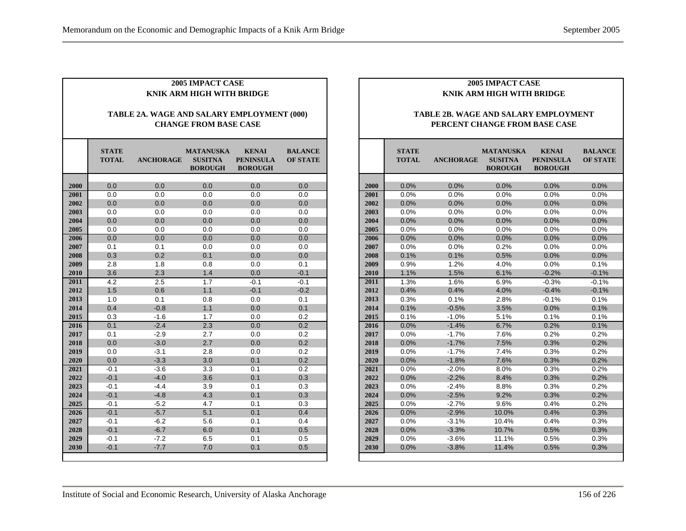| <b>2005 IMPACT CASE</b><br>KNIK ARM HIGH WITH BRIDGE |                              |                                            |                                                      |                                                    |                                   |  |  |  |  |
|------------------------------------------------------|------------------------------|--------------------------------------------|------------------------------------------------------|----------------------------------------------------|-----------------------------------|--|--|--|--|
|                                                      |                              |                                            |                                                      |                                                    |                                   |  |  |  |  |
|                                                      |                              | TABLE 2A. WAGE AND SALARY EMPLOYMENT (000) |                                                      |                                                    |                                   |  |  |  |  |
|                                                      |                              |                                            | <b>CHANGE FROM BASE CASE</b>                         |                                                    |                                   |  |  |  |  |
|                                                      |                              |                                            |                                                      |                                                    |                                   |  |  |  |  |
|                                                      | <b>STATE</b><br><b>TOTAL</b> | <b>ANCHORAGE</b>                           | <b>MATANUSKA</b><br><b>SUSITNA</b><br><b>BOROUGH</b> | <b>KENAI</b><br><b>PENINSULA</b><br><b>BOROUGH</b> | <b>BALANCE</b><br><b>OF STATE</b> |  |  |  |  |
|                                                      |                              |                                            |                                                      |                                                    |                                   |  |  |  |  |
| 2000                                                 | 0.0                          | 0.0                                        | 0.0                                                  | 0.0                                                | 0.0                               |  |  |  |  |
| 2001                                                 | 0.0                          | 0.0                                        | 0.0                                                  | 0.0                                                | 0.0                               |  |  |  |  |
| 2002                                                 | 0.0                          | 0.0                                        | 0.0                                                  | 0.0                                                | 0.0                               |  |  |  |  |
| 2003                                                 | 0.0                          | 0.0                                        | 0.0                                                  | 0.0                                                | 0.0                               |  |  |  |  |
| 2004                                                 | 0.0                          | 0.0                                        | 0.0                                                  | 0.0                                                | 0.0                               |  |  |  |  |
| 2005                                                 | 0.0                          | 0.0                                        | 0.0                                                  | 0.0                                                | 0.0                               |  |  |  |  |
| 2006                                                 | 0.0                          | 0.0                                        | 0.0                                                  | 0.0                                                | 0.0                               |  |  |  |  |
| 2007                                                 | 0.1                          | 0.1                                        | 0.0                                                  | 0.0                                                | 0.0                               |  |  |  |  |
| 2008                                                 | 0.3                          | 0.2                                        | 0.1                                                  | 0.0                                                | 0.0                               |  |  |  |  |
| 2009                                                 | 2.8                          | 1.8                                        | 0.8                                                  | 0.0                                                | 0.1                               |  |  |  |  |
| 2010                                                 | 3.6                          | 2.3                                        | 1.4                                                  | 0.0                                                | $-0.1$                            |  |  |  |  |
| 2011                                                 | 4.2                          | 2.5                                        | 1.7                                                  | $-0.1$                                             | $-0.1$                            |  |  |  |  |
| 2012                                                 | 1.5                          | 0.6                                        | 1.1                                                  | $-0.1$                                             | $-0.2$                            |  |  |  |  |
| 2013                                                 | 1.0                          | 0.1                                        | 0.8                                                  | 0.0                                                | 0.1                               |  |  |  |  |
| 2014                                                 | 0.4                          | $-0.8$                                     | 1.1                                                  | 0.0                                                | 0.1                               |  |  |  |  |
| 2015                                                 | 0.3                          | $-1.6$                                     | 1.7                                                  | 0.0                                                | 0.2                               |  |  |  |  |
| 2016                                                 | 0.1                          | $-2.4$                                     | 2.3                                                  | 0.0                                                | 0.2                               |  |  |  |  |
| 2017                                                 | 0.1                          | $-2.9$                                     | 2.7                                                  | 0.0                                                | 0.2                               |  |  |  |  |
| 2018                                                 | 0.0                          | $-3.0$                                     | 2.7                                                  | 0.0                                                | 0.2                               |  |  |  |  |
| 2019                                                 | 0.0                          | $-3.1$                                     | 2.8                                                  | 0.0                                                | 0.2                               |  |  |  |  |
| 2020                                                 | 0.0                          | $-3.3$                                     | 3.0                                                  | 0.1                                                | 0.2                               |  |  |  |  |
| 2021                                                 | $-0.1$                       | $-3.6$                                     | 3.3                                                  | 0.1                                                | 0.2                               |  |  |  |  |
| 2022                                                 | $-0.1$                       | $-4.0$                                     | 3.6                                                  | 0.1                                                | 0.3                               |  |  |  |  |
| 2023                                                 | $-0.1$                       | $-4.4$                                     | 3.9                                                  | 0.1                                                | 0.3                               |  |  |  |  |
| 2024                                                 | $-0.1$                       | $-4.8$                                     | 4.3                                                  | 0.1                                                | 0.3                               |  |  |  |  |
| 2025                                                 | $-0.1$                       | $-5.2$                                     | 4.7                                                  | 0.1                                                | 0.3                               |  |  |  |  |
| 2026                                                 | $-0.1$                       | $-5.7$                                     | 5.1                                                  | 0.1                                                | 0.4                               |  |  |  |  |
| 2027                                                 | $-0.1$                       | $-6.2$                                     | 5.6                                                  | 0.1                                                | 0.4                               |  |  |  |  |
| 2028                                                 | $-0.1$                       | $-6.7$                                     | 6.0                                                  | 0.1                                                | 0.5                               |  |  |  |  |
| 2029                                                 | $-0.1$                       | $-7.2$                                     | 6.5                                                  | 0.1                                                | 0.5                               |  |  |  |  |
| 2030                                                 | $-0.1$                       | $-7.7$                                     | 7.0                                                  | 0.1                                                | 0.5                               |  |  |  |  |

#### **TABLE 2B. WAGE AND SALARY EMPLOYMENT PERCENT CHANGE FROM BASE CASE**

|      | <b>STATE</b><br><b>TOTAL</b> | <b>ANCHORAGE</b> | <b>MATANUSKA</b><br><b>SUSITNA</b><br><b>BOROUGH</b> | <b>KENAI</b><br><b>PENINSULA</b><br><b>BOROUGH</b> | <b>BALANCE</b><br><b>OF STATE</b> |
|------|------------------------------|------------------|------------------------------------------------------|----------------------------------------------------|-----------------------------------|
|      |                              |                  |                                                      |                                                    |                                   |
| 2000 | 0.0%                         | 0.0%             | 0.0%                                                 | 0.0%                                               | 0.0%                              |
| 2001 | 0.0%                         | 0.0%             | 0.0%                                                 | 0.0%                                               | 0.0%                              |
| 2002 | 0.0%                         | 0.0%             | 0.0%                                                 | 0.0%                                               | 0.0%                              |
| 2003 | 0.0%                         | 0.0%             | 0.0%                                                 | 0.0%                                               | 0.0%                              |
| 2004 | 0.0%                         | 0.0%             | 0.0%                                                 | 0.0%                                               | 0.0%                              |
| 2005 | 0.0%                         | 0.0%             | 0.0%                                                 | 0.0%                                               | 0.0%                              |
| 2006 | 0.0%                         | 0.0%             | 0.0%                                                 | 0.0%                                               | 0.0%                              |
| 2007 | 0.0%                         | 0.0%             | 0.2%                                                 | 0.0%                                               | 0.0%                              |
| 2008 | 0.1%                         | 0.1%             | 0.5%                                                 | 0.0%                                               | 0.0%                              |
| 2009 | 0.9%                         | 1.2%             | 4.0%                                                 | 0.0%                                               | 0.1%                              |
| 2010 | 1.1%                         | 1.5%             | 6.1%                                                 | $-0.2%$                                            | $-0.1%$                           |
| 2011 | 1.3%                         | 1.6%             | 6.9%                                                 | $-0.3%$                                            | $-0.1%$                           |
| 2012 | 0.4%                         | 0.4%             | 4.0%                                                 | $-0.4%$                                            | $-0.1%$                           |
| 2013 | 0.3%                         | 0.1%             | 2.8%                                                 | $-0.1%$                                            | 0.1%                              |
| 2014 | 0.1%                         | $-0.5%$          | 3.5%                                                 | 0.0%                                               | 0.1%                              |
| 2015 | 0.1%                         | $-1.0%$          | 5.1%                                                 | 0.1%                                               | 0.1%                              |
| 2016 | 0.0%                         | $-1.4%$          | 6.7%                                                 | 0.2%                                               | 0.1%                              |
| 2017 | 0.0%                         | $-1.7%$          | 7.6%                                                 | 0.2%                                               | 0.2%                              |
| 2018 | 0.0%                         | $-1.7%$          | 7.5%                                                 | 0.3%                                               | 0.2%                              |
| 2019 | 0.0%                         | $-1.7%$          | 7.4%                                                 | 0.3%                                               | 0.2%                              |
| 2020 | 0.0%                         | $-1.8%$          | 7.6%                                                 | 0.3%                                               | 0.2%                              |
| 2021 | 0.0%                         | $-2.0%$          | 8.0%                                                 | 0.3%                                               | 0.2%                              |
| 2022 | 0.0%                         | $-2.2%$          | 8.4%                                                 | 0.3%                                               | 0.2%                              |
| 2023 | 0.0%                         | $-2.4%$          | 8.8%                                                 | 0.3%                                               | 0.2%                              |
| 2024 | 0.0%                         | $-2.5%$          | 9.2%                                                 | 0.3%                                               | 0.2%                              |
| 2025 | 0.0%                         | $-2.7%$          | 9.6%                                                 | 0.4%                                               | 0.2%                              |
| 2026 | 0.0%                         | $-2.9%$          | 10.0%                                                | 0.4%                                               | 0.3%                              |
| 2027 | 0.0%                         | $-3.1%$          | 10.4%                                                | 0.4%                                               | 0.3%                              |
| 2028 | 0.0%                         | $-3.3%$          | 10.7%                                                | 0.5%                                               | 0.3%                              |
| 2029 | 0.0%                         | $-3.6%$          | 11.1%                                                | 0.5%                                               | 0.3%                              |
| 2030 | 0.0%                         | $-3.8%$          | 11.4%                                                | 0.5%                                               | 0.3%                              |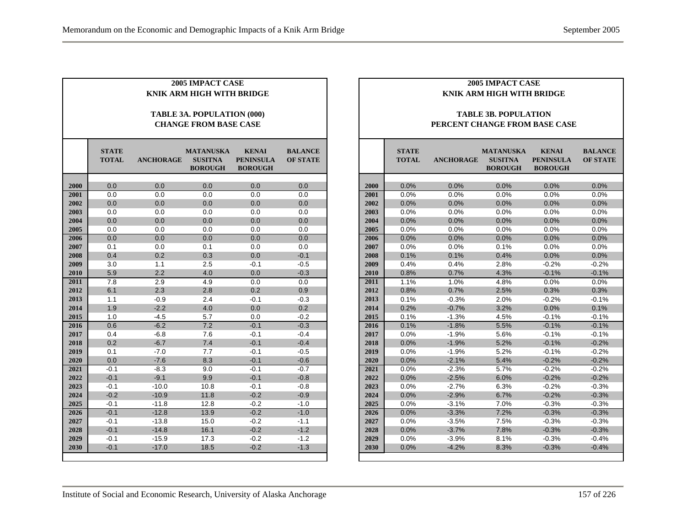| 2005 IMPACT CASE<br>KNIK ARM HIGH WITH BRIDGE<br>TABLE 3A. POPULATION (000) |                              |                  |                                                      |                                                    |                                   |  |  |  |  |  |  |
|-----------------------------------------------------------------------------|------------------------------|------------------|------------------------------------------------------|----------------------------------------------------|-----------------------------------|--|--|--|--|--|--|
|                                                                             |                              |                  | <b>CHANGE FROM BASE CASE</b>                         |                                                    |                                   |  |  |  |  |  |  |
|                                                                             | <b>STATE</b><br><b>TOTAL</b> | <b>ANCHORAGE</b> | <b>MATANUSKA</b><br><b>SUSITNA</b><br><b>BOROUGH</b> | <b>KENAI</b><br><b>PENINSULA</b><br><b>BOROUGH</b> | <b>BALANCE</b><br><b>OF STATE</b> |  |  |  |  |  |  |
| 2000                                                                        | 0.0                          | 0.0              | 0.0                                                  | 0.0                                                | 0.0                               |  |  |  |  |  |  |
| 2001                                                                        | 0.0                          | 0.0              | 0.0                                                  | 0.0                                                | 0.0                               |  |  |  |  |  |  |
| 2002                                                                        | 0.0                          | 0.0              | 0.0                                                  | 0.0                                                | 0.0                               |  |  |  |  |  |  |
| 2003                                                                        | 0.0                          | 0.0              | 0.0                                                  | 0.0                                                | 0.0                               |  |  |  |  |  |  |
| 2004                                                                        | 0.0                          | 0.0              | 0.0                                                  | 0.0                                                | 0.0                               |  |  |  |  |  |  |
| 2005                                                                        | 0.0                          | 0.0              | 0.0                                                  | 0.0                                                | 0.0                               |  |  |  |  |  |  |
| 2006                                                                        | 0.0                          | 0.0              | 0.0                                                  | 0.0                                                | 0.0                               |  |  |  |  |  |  |
| 2007                                                                        | 0.1                          | 0.0              | 0.1                                                  | 0.0                                                | 0.0                               |  |  |  |  |  |  |
| 2008                                                                        | 0.4                          | 0.2              | 0.3                                                  | 0.0                                                | $-0.1$                            |  |  |  |  |  |  |
| 2009                                                                        | 3.0                          | 1.1              | 2.5                                                  | $-0.1$                                             | $-0.5$                            |  |  |  |  |  |  |
| 2010                                                                        | 5.9                          | 2.2              | 4.0                                                  | 0.0                                                | $-0.3$                            |  |  |  |  |  |  |
| 2011                                                                        | 7.8                          | 2.9              | 4.9                                                  | 0.0                                                | 0.0                               |  |  |  |  |  |  |
| 2012                                                                        | 6.1                          | 2.3              | 2.8                                                  | 0.2                                                | 0.9                               |  |  |  |  |  |  |
| 2013                                                                        | 1.1                          | $-0.9$           | 2.4                                                  | $-0.1$                                             | $-0.3$                            |  |  |  |  |  |  |
| 2014                                                                        | 1.9                          | $-2.2$           | 4.0                                                  | 0.0                                                | 0.2                               |  |  |  |  |  |  |
| 2015                                                                        | 1.0                          | $-4.5$           | 5.7                                                  | 0.0                                                | $-0.2$                            |  |  |  |  |  |  |
| 2016                                                                        | 0.6                          | $-6.2$           | 7.2                                                  | $-0.1$                                             | $-0.3$                            |  |  |  |  |  |  |
| 2017                                                                        | 0.4                          | $-6.8$           | 7.6                                                  | $-0.1$                                             | $-0.4$                            |  |  |  |  |  |  |
| 2018                                                                        | 0.2                          | $-6.7$           | 7.4                                                  | $-0.1$                                             | $-0.4$                            |  |  |  |  |  |  |
| 2019                                                                        | 0.1                          | $-7.0$           | 7.7                                                  | $-0.1$                                             | $-0.5$                            |  |  |  |  |  |  |
| 2020                                                                        | 0.0                          | $-7.6$           | 8.3                                                  | $-0.1$                                             | $-0.6$                            |  |  |  |  |  |  |
| 2021                                                                        | $-0.1$                       | $-8.3$           | 9.0                                                  | $-0.1$                                             | $-0.7$                            |  |  |  |  |  |  |
| 2022                                                                        | $-0.1$                       | $-9.1$           | 9.9                                                  | $-0.1$                                             | $-0.8$                            |  |  |  |  |  |  |
| 2023                                                                        | $-0.1$                       | $-10.0$          | 10.8                                                 | $-0.1$                                             | $-0.8$                            |  |  |  |  |  |  |
| 2024                                                                        | $-0.2$                       | $-10.9$          | 11.8                                                 | $-0.2$                                             | $-0.9$                            |  |  |  |  |  |  |
| 2025                                                                        | $-0.1$                       | $-11.8$          | 12.8                                                 | $-0.2$                                             | $-1.0$                            |  |  |  |  |  |  |
| 2026                                                                        | $-0.1$                       | $-12.8$          | 13.9                                                 | $-0.2$                                             | $-1.0$                            |  |  |  |  |  |  |
| 2027                                                                        | $-0.1$                       | $-13.8$          | 15.0                                                 | $-0.2$                                             | $-1.1$                            |  |  |  |  |  |  |
| 2028                                                                        | $-0.1$                       | $-14.8$          | 16.1                                                 | $-0.2$                                             | $-1.2$                            |  |  |  |  |  |  |
| 2029                                                                        | $-0.1$                       | $-15.9$          | 17.3                                                 | $-0.2$                                             | $-1.2$                            |  |  |  |  |  |  |
| 2030                                                                        | $-0.1$                       | $-17.0$          | 18.5                                                 | $-0.2$                                             | $-1.3$                            |  |  |  |  |  |  |

#### **TABLE 3B. POPULATION PERCENT CHANGE FROM BASE CASE**

|      | <b>STATE</b><br><b>TOTAL</b> | <b>ANCHORAGE</b> | <b>MATANUSKA</b><br><b>SUSITNA</b><br><b>BOROUGH</b> | <b>KENAI</b><br><b>PENINSULA</b><br><b>BOROUGH</b> | <b>BALANCE</b><br><b>OF STATE</b> |  |  |
|------|------------------------------|------------------|------------------------------------------------------|----------------------------------------------------|-----------------------------------|--|--|
|      |                              |                  |                                                      |                                                    |                                   |  |  |
| 2000 | 0.0%                         | 0.0%             | 0.0%                                                 | 0.0%                                               | 0.0%                              |  |  |
| 2001 | 0.0%                         | 0.0%             | 0.0%                                                 | 0.0%                                               | 0.0%                              |  |  |
| 2002 | 0.0%                         | 0.0%             | 0.0%                                                 | 0.0%                                               | 0.0%                              |  |  |
| 2003 | 0.0%                         | 0.0%             | 0.0%                                                 | 0.0%                                               | 0.0%                              |  |  |
| 2004 | 0.0%                         | 0.0%             | 0.0%                                                 | 0.0%                                               | 0.0%                              |  |  |
| 2005 | 0.0%                         | 0.0%             | 0.0%                                                 | 0.0%                                               | 0.0%                              |  |  |
| 2006 | 0.0%                         | 0.0%             | 0.0%                                                 | 0.0%                                               | 0.0%                              |  |  |
| 2007 | 0.0%                         | 0.0%             | 0.1%                                                 | 0.0%                                               | 0.0%                              |  |  |
| 2008 | 0.1%                         | 0.1%             | 0.4%                                                 | 0.0%                                               | 0.0%                              |  |  |
| 2009 | 0.4%                         | 0.4%             | 2.8%                                                 | $-0.2%$                                            | $-0.2%$                           |  |  |
| 2010 | 0.8%                         | 0.7%             | 4.3%                                                 | $-0.1%$                                            | $-0.1%$                           |  |  |
| 2011 | 1.1%                         | 1.0%             | 4.8%                                                 | 0.0%                                               | 0.0%                              |  |  |
| 2012 | 0.8%                         | 0.7%             | 2.5%                                                 | 0.3%                                               | 0.3%                              |  |  |
| 2013 | 0.1%                         | $-0.3%$          | 2.0%                                                 | $-0.2%$                                            | $-0.1%$                           |  |  |
| 2014 | 0.2%                         | $-0.7%$          | 3.2%                                                 | 0.0%                                               | 0.1%                              |  |  |
| 2015 | 0.1%                         | $-1.3%$          | 4.5%                                                 | $-0.1%$                                            | $-0.1%$                           |  |  |
| 2016 | 0.1%                         | $-1.8%$          | 5.5%                                                 | $-0.1%$                                            | $-0.1%$                           |  |  |
| 2017 | 0.0%                         | $-1.9%$          | 5.6%                                                 | $-0.1%$                                            | $-0.1%$                           |  |  |
| 2018 | 0.0%                         | $-1.9%$          | 5.2%                                                 | $-0.1%$                                            | $-0.2%$                           |  |  |
| 2019 | 0.0%                         | $-1.9%$          | 5.2%                                                 | $-0.1%$                                            | $-0.2%$                           |  |  |
| 2020 | 0.0%                         | $-2.1%$          | 5.4%                                                 | $-0.2%$                                            | $-0.2%$                           |  |  |
| 2021 | 0.0%                         | $-2.3%$          | 5.7%                                                 | $-0.2%$                                            | $-0.2%$                           |  |  |
| 2022 | 0.0%                         | $-2.5%$          | 6.0%                                                 | $-0.2%$                                            | $-0.2%$                           |  |  |
| 2023 | 0.0%                         | $-2.7%$          | 6.3%                                                 | $-0.2%$                                            | $-0.3%$                           |  |  |
| 2024 | 0.0%                         | $-2.9%$          | 6.7%                                                 | $-0.2%$                                            | $-0.3%$                           |  |  |
| 2025 | 0.0%                         | $-3.1%$          | 7.0%                                                 | $-0.3%$                                            | $-0.3%$                           |  |  |
| 2026 | 0.0%                         | $-3.3%$          | 7.2%                                                 | $-0.3%$                                            | $-0.3%$                           |  |  |
| 2027 | 0.0%                         | $-3.5%$          | 7.5%                                                 | $-0.3%$                                            | $-0.3%$                           |  |  |
| 2028 | 0.0%                         | $-3.7%$          | 7.8%                                                 | $-0.3%$                                            | $-0.3%$                           |  |  |
| 2029 | 0.0%                         | $-3.9%$          | 8.1%                                                 | $-0.3%$                                            | $-0.4%$                           |  |  |
| 2030 | 0.0%                         | $-4.2%$          | 8.3%                                                 | $-0.3%$                                            | $-0.4%$                           |  |  |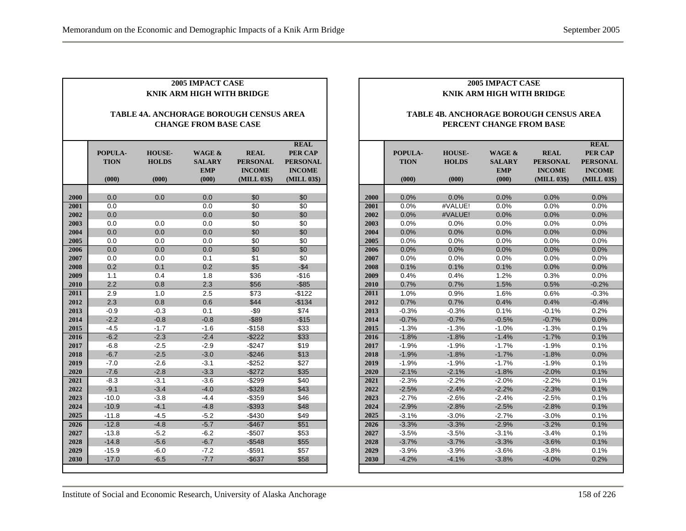| <b>2005 IMPACT CASE</b><br>KNIK ARM HIGH WITH BRIDGE                           |                                 |                                        |                                                           |                                                                |                                                                           |  |  |  |  |
|--------------------------------------------------------------------------------|---------------------------------|----------------------------------------|-----------------------------------------------------------|----------------------------------------------------------------|---------------------------------------------------------------------------|--|--|--|--|
| <b>TABLE 4A. ANCHORAGE BOROUGH CENSUS AREA</b><br><b>CHANGE FROM BASE CASE</b> |                                 |                                        |                                                           |                                                                |                                                                           |  |  |  |  |
|                                                                                | POPULA-<br><b>TION</b><br>(000) | <b>HOUSE-</b><br><b>HOLDS</b><br>(000) | <b>WAGE &amp;</b><br><b>SALARY</b><br><b>EMP</b><br>(000) | <b>REAL</b><br><b>PERSONAL</b><br><b>INCOME</b><br>(MILL 03\$) | <b>REAL</b><br>PER CAP<br><b>PERSONAL</b><br><b>INCOME</b><br>(MILL 03\$) |  |  |  |  |
|                                                                                |                                 |                                        |                                                           |                                                                |                                                                           |  |  |  |  |
| 2000                                                                           | 0.0                             | 0.0                                    | 0.0                                                       | \$0                                                            | \$0                                                                       |  |  |  |  |
| 2001                                                                           | 0.0<br>0.0                      |                                        | 0.0<br>0.0                                                | \$0<br>\$0                                                     | \$0<br>\$0                                                                |  |  |  |  |
| 2002<br>2003                                                                   | 0.0                             |                                        | 0.0                                                       | \$0                                                            | \$0                                                                       |  |  |  |  |
| 2004                                                                           | 0.0                             | 0.0<br>0.0                             | 0.0                                                       | \$0                                                            | \$0                                                                       |  |  |  |  |
| 2005                                                                           | 0.0                             | 0.0                                    | 0.0                                                       | \$0                                                            | \$0                                                                       |  |  |  |  |
| 2006                                                                           | 0.0                             | 0.0                                    | 0.0                                                       | \$0                                                            | $\overline{50}$                                                           |  |  |  |  |
| 2007                                                                           | 0.0                             | 0.0                                    | 0.1                                                       | \$1                                                            | \$0                                                                       |  |  |  |  |
| 2008                                                                           | 0.2                             | 0.1                                    | 0.2                                                       | \$5                                                            | $-$4$                                                                     |  |  |  |  |
| 2009                                                                           | 1.1                             | 0.4                                    | 1.8                                                       | \$36                                                           | $-$16$                                                                    |  |  |  |  |
| 2010                                                                           | 2.2                             | 0.8                                    | 2.3                                                       | \$56                                                           | $-$ \$85                                                                  |  |  |  |  |
| 2011                                                                           | 2.9                             | 1.0                                    | 2.5                                                       | \$73                                                           | $-$122$                                                                   |  |  |  |  |
| 2012                                                                           | 2.3                             | 0.8                                    | 0.6                                                       | \$44                                                           | $-$134$                                                                   |  |  |  |  |
| 2013                                                                           | $-0.9$                          | $-0.3$                                 | 0.1                                                       | $-$ \$9                                                        | \$74                                                                      |  |  |  |  |
| 2014                                                                           | $-2.2$                          | $-0.8$                                 | $-0.8$                                                    | $-$ \$89                                                       | $-$15$                                                                    |  |  |  |  |
| 2015                                                                           | $-4.5$                          | $-1.7$                                 | $-1.6$                                                    | $-$158$                                                        | \$33                                                                      |  |  |  |  |
| 2016                                                                           | $-6.2$                          | $-2.3$                                 | $-2.4$                                                    | $-$222$                                                        | \$33                                                                      |  |  |  |  |
| 2017                                                                           | $-6.8$                          | $-2.5$                                 | $-2.9$                                                    | $-$247$                                                        | \$19                                                                      |  |  |  |  |
| 2018                                                                           | $-6.7$                          | $-2.5$                                 | $-3.0$                                                    | $-$246$                                                        | \$13                                                                      |  |  |  |  |
| 2019                                                                           | $-7.0$                          | $-2.6$                                 | $-3.1$                                                    | $-$ \$252                                                      | \$27                                                                      |  |  |  |  |
| 2020                                                                           | $-7.6$                          | $-2.8$                                 | $-3.3$                                                    | $-$272$                                                        | \$35                                                                      |  |  |  |  |
| 2021                                                                           | $-8.3$                          | $-3.1$                                 | $-3.6$                                                    | $-$299$                                                        | \$40                                                                      |  |  |  |  |
| 2022                                                                           | $-9.1$                          | $-3.4$                                 | $-4.0$                                                    | $-$ \$328                                                      | \$43                                                                      |  |  |  |  |
| 2023                                                                           | $-10.0$                         | $-3.8$                                 | $-4.4$                                                    | $-$ \$359                                                      | \$46                                                                      |  |  |  |  |
| 2024                                                                           | $-10.9$                         | $-4.1$                                 | $-4.8$                                                    | $-$ \$393                                                      | \$48                                                                      |  |  |  |  |
| 2025                                                                           | $-11.8$                         | $-4.5$                                 | $-5.2$                                                    | $-$430$                                                        | \$49                                                                      |  |  |  |  |
| 2026                                                                           | $-12.8$                         | $-4.8$                                 | $-5.7$                                                    | $-$467$                                                        | \$51                                                                      |  |  |  |  |
| 2027                                                                           | $-13.8$                         | $-5.2$                                 | $-6.2$                                                    | $-$507$                                                        | \$53                                                                      |  |  |  |  |
| 2028                                                                           | $-14.8$                         | $-5.6$                                 | $-6.7$                                                    | $-$548$                                                        | \$55                                                                      |  |  |  |  |
| 2029                                                                           | $-15.9$                         | $-6.0$                                 | $-7.2$                                                    | $-$591$                                                        | \$57                                                                      |  |  |  |  |
| 2030                                                                           | $-17.0$                         | $-6.5$                                 | $-7.7$                                                    | $-$637$                                                        | \$58                                                                      |  |  |  |  |

#### **TABLE 4B. ANCHORAGE BOROUGH CENSUS AREA PERCENT CHANGE FROM BASE**

|      |             |               |               |                 | <b>REAL</b>     |
|------|-------------|---------------|---------------|-----------------|-----------------|
|      | POPULA-     | <b>HOUSE-</b> | WAGE &        | <b>REAL</b>     | <b>PER CAP</b>  |
|      | <b>TION</b> | <b>HOLDS</b>  | <b>SALARY</b> | <b>PERSONAL</b> | <b>PERSONAL</b> |
|      |             |               | <b>EMP</b>    | <b>INCOME</b>   | <b>INCOME</b>   |
|      | (000)       | (000)         | (000)         | (MILL 03\$)     | (MILL 03\$)     |
|      |             |               |               |                 |                 |
| 2000 | 0.0%        | 0.0%          | 0.0%          | 0.0%            | 0.0%            |
| 2001 | 0.0%        | #VALUE!       | 0.0%          | 0.0%            | 0.0%            |
| 2002 | 0.0%        | #VALUE!       | 0.0%          | 0.0%            | 0.0%            |
| 2003 | 0.0%        | 0.0%          | 0.0%          | 0.0%            | 0.0%            |
| 2004 | 0.0%        | 0.0%          | 0.0%          | 0.0%            | 0.0%            |
| 2005 | 0.0%        | 0.0%          | 0.0%          | 0.0%            | 0.0%            |
| 2006 | 0.0%        | $0.0\%$       | 0.0%          | 0.0%            | 0.0%            |
| 2007 | 0.0%        | 0.0%          | $0.0\%$       | $0.0\%$         | 0.0%            |
| 2008 | 0.1%        | 0.1%          | 0.1%          | 0.0%            | 0.0%            |
| 2009 | 0.4%        | 0.4%          | 1.2%          | 0.3%            | 0.0%            |
| 2010 | 0.7%        | 0.7%          | 1.5%          | 0.5%            | $-0.2%$         |
| 2011 | 1.0%        | 0.9%          | 1.6%          | 0.6%            | $-0.3%$         |
| 2012 | 0.7%        | 0.7%          | 0.4%          | 0.4%            | $-0.4%$         |
| 2013 | $-0.3%$     | $-0.3%$       | 0.1%          | $-0.1%$         | 0.2%            |
| 2014 | $-0.7%$     | $-0.7%$       | $-0.5%$       | $-0.7%$         | 0.0%            |
| 2015 | $-1.3%$     | $-1.3%$       | $-1.0%$       | $-1.3%$         | 0.1%            |
| 2016 | $-1.8%$     | $-1.8%$       | $-1.4%$       | $-1.7%$         | 0.1%            |
| 2017 | $-1.9%$     | $-1.9%$       | $-1.7%$       | $-1.9%$         | 0.1%            |
| 2018 | $-1.9%$     | $-1.8%$       | $-1.7%$       | $-1.8%$         | 0.0%            |
| 2019 | $-1.9%$     | $-1.9%$       | $-1.7%$       | $-1.9%$         | 0.1%            |
| 2020 | $-2.1%$     | $-2.1%$       | $-1.8%$       | $-2.0%$         | 0.1%            |
| 2021 | $-2.3%$     | $-2.2%$       | $-2.0%$       | $-2.2%$         | 0.1%            |
| 2022 | $-2.5%$     | $-2.4%$       | $-2.2%$       | $-2.3%$         | 0.1%            |
| 2023 | $-2.7%$     | $-2.6%$       | $-2.4%$       | $-2.5%$         | 0.1%            |
| 2024 | $-2.9%$     | $-2.8%$       | $-2.5%$       | $-2.8%$         | 0.1%            |
| 2025 | $-3.1%$     | $-3.0%$       | $-2.7%$       | $-3.0%$         | 0.1%            |
| 2026 | $-3.3%$     | $-3.3%$       | $-2.9%$       | $-3.2%$         | 0.1%            |
| 2027 | $-3.5%$     | $-3.5%$       | $-3.1%$       | $-3.4%$         | 0.1%            |
| 2028 | $-3.7%$     | $-3.7%$       | $-3.3%$       | $-3.6%$         | 0.1%            |
| 2029 | $-3.9%$     | $-3.9%$       | $-3.6%$       | $-3.8%$         | 0.1%            |
| 2030 | $-4.2%$     | $-4.1%$       | $-3.8%$       | $-4.0%$         | 0.2%            |
|      |             |               |               |                 |                 |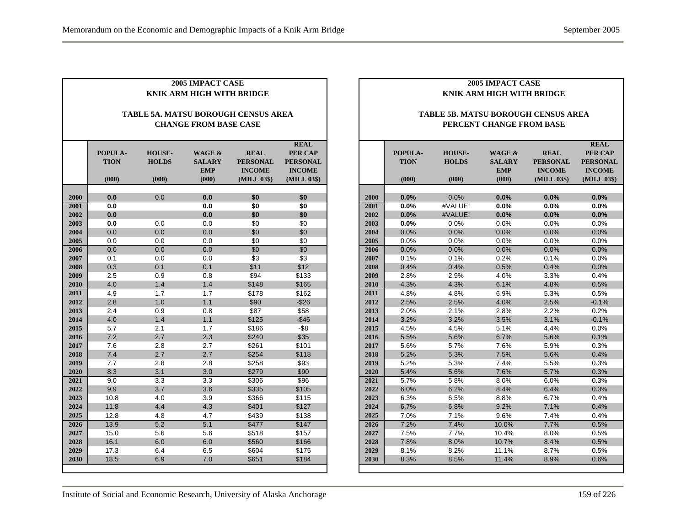|                                                                     | <b>2005 IMPACT CASE</b><br><b>KNIK ARM HIGH WITH BRIDGE</b> |                                        |                                                |                                                                |                                                                           |  |  |  |  |  |
|---------------------------------------------------------------------|-------------------------------------------------------------|----------------------------------------|------------------------------------------------|----------------------------------------------------------------|---------------------------------------------------------------------------|--|--|--|--|--|
| TABLE 5A. MATSU BOROUGH CENSUS AREA<br><b>CHANGE FROM BASE CASE</b> |                                                             |                                        |                                                |                                                                |                                                                           |  |  |  |  |  |
|                                                                     | POPULA-<br><b>TION</b><br>(000)                             | <b>HOUSE-</b><br><b>HOLDS</b><br>(000) | WAGE &<br><b>SALARY</b><br><b>EMP</b><br>(000) | <b>REAL</b><br><b>PERSONAL</b><br><b>INCOME</b><br>(MILL 03\$) | <b>REAL</b><br>PER CAP<br><b>PERSONAL</b><br><b>INCOME</b><br>(MILL 03\$) |  |  |  |  |  |
|                                                                     | 0.0                                                         |                                        |                                                | \$0                                                            |                                                                           |  |  |  |  |  |
| 2000<br>2001                                                        | 0.0                                                         | 0.0                                    | 0.0<br>0.0                                     |                                                                | \$0                                                                       |  |  |  |  |  |
|                                                                     | 0.0                                                         |                                        | 0.0                                            | \$0<br>\$0                                                     | \$0                                                                       |  |  |  |  |  |
| 2002<br>2003                                                        |                                                             |                                        |                                                |                                                                | \$0                                                                       |  |  |  |  |  |
| 2004                                                                | 0.0<br>0.0                                                  | 0.0<br>0.0                             | 0.0<br>0.0                                     | \$0                                                            | \$0                                                                       |  |  |  |  |  |
| 2005                                                                | 0.0                                                         | 0.0                                    | 0.0                                            | \$0<br>\$0                                                     | \$0<br>\$0                                                                |  |  |  |  |  |
| 2006                                                                | 0.0                                                         | 0.0                                    | 0.0                                            | \$0                                                            | \$0                                                                       |  |  |  |  |  |
| 2007                                                                | 0.1                                                         | 0.0                                    | 0.0                                            | \$3                                                            | \$3                                                                       |  |  |  |  |  |
| 2008                                                                | 0.3                                                         | 0.1                                    | 0.1                                            | \$11                                                           | \$12                                                                      |  |  |  |  |  |
| 2009                                                                | 2.5                                                         | 0.9                                    | 0.8                                            | \$94                                                           | \$133                                                                     |  |  |  |  |  |
| 2010                                                                | 4.0                                                         | 1.4                                    | 1.4                                            | \$148                                                          | \$165                                                                     |  |  |  |  |  |
| 2011                                                                | 4.9                                                         | 1.7                                    | 1.7                                            | \$178                                                          | \$162                                                                     |  |  |  |  |  |
| 2012                                                                | 2.8                                                         | 1.0                                    | 1.1                                            | \$90                                                           | $-$26$                                                                    |  |  |  |  |  |
| 2013                                                                | 2.4                                                         | 0.9                                    | 0.8                                            | \$87                                                           | \$58                                                                      |  |  |  |  |  |
| 2014                                                                | 4.0                                                         | 1.4                                    | 1.1                                            | \$125                                                          | $-$46$                                                                    |  |  |  |  |  |
| 2015                                                                | 5.7                                                         | 2.1                                    | 1.7                                            | \$186                                                          | -\$8                                                                      |  |  |  |  |  |
| 2016                                                                | 7.2                                                         | 2.7                                    | 2.3                                            | \$240                                                          | \$35                                                                      |  |  |  |  |  |
| 2017                                                                | 7.6                                                         | 2.8                                    | 2.7                                            | \$261                                                          | \$101                                                                     |  |  |  |  |  |
| 2018                                                                | 7.4                                                         | 2.7                                    | 2.7                                            | \$254                                                          | \$118                                                                     |  |  |  |  |  |
| 2019                                                                | 7.7                                                         | 2.8                                    | 2.8                                            | \$258                                                          | \$93                                                                      |  |  |  |  |  |
| 2020                                                                | 8.3                                                         | 3.1                                    | 3.0                                            | \$279                                                          | \$90                                                                      |  |  |  |  |  |
| 2021                                                                | 9.0                                                         | 3.3                                    | 3.3                                            | \$306                                                          | \$96                                                                      |  |  |  |  |  |
| 2022                                                                | 9.9                                                         | 3.7                                    | 3.6                                            | \$335                                                          | \$105                                                                     |  |  |  |  |  |
| 2023                                                                | 10.8                                                        | 4.0                                    | 3.9                                            | \$366                                                          | \$115                                                                     |  |  |  |  |  |
| 2024                                                                | 11.8                                                        | 4.4                                    | 4.3                                            | \$401                                                          | \$127                                                                     |  |  |  |  |  |
| 2025                                                                | 12.8                                                        | 4.8                                    | 4.7                                            | \$439                                                          | \$138                                                                     |  |  |  |  |  |
| 2026                                                                | 13.9                                                        | 5.2                                    | 5.1                                            | \$477                                                          | \$147                                                                     |  |  |  |  |  |
| 2027                                                                | 15.0                                                        | 5.6                                    | 5.6                                            | \$518                                                          | \$157                                                                     |  |  |  |  |  |
| 2028                                                                | 16.1                                                        | 6.0                                    | 6.0                                            | \$560                                                          | \$166                                                                     |  |  |  |  |  |
| 2029                                                                | 17.3                                                        | 6.4                                    | 6.5                                            | \$604                                                          | \$175                                                                     |  |  |  |  |  |
| 2030                                                                | 18.5                                                        | 6.9                                    | 7.0                                            | \$651                                                          | \$184                                                                     |  |  |  |  |  |
|                                                                     |                                                             |                                        |                                                |                                                                |                                                                           |  |  |  |  |  |

#### **TABLE 5B. MATSU BOROUGH CENSUS AREA PERCENT CHANGE FROM BASE**

|      |             |               |               |                 | <b>REAL</b>     |  |
|------|-------------|---------------|---------------|-----------------|-----------------|--|
|      | POPULA-     | <b>HOUSE-</b> | WAGE &        | <b>REAL</b>     | <b>PER CAP</b>  |  |
|      | <b>TION</b> | <b>HOLDS</b>  | <b>SALARY</b> | <b>PERSONAL</b> | <b>PERSONAL</b> |  |
|      |             |               | <b>EMP</b>    | <b>INCOME</b>   | <b>INCOME</b>   |  |
|      | (000)       | (000)         | (000)         | (MILL 03\$)     | (MILL 03\$)     |  |
|      |             |               |               |                 |                 |  |
| 2000 | 0.0%        | 0.0%          | 0.0%          | 0.0%            | 0.0%            |  |
| 2001 | 0.0%        | #VALUE!       | 0.0%          | 0.0%            | 0.0%            |  |
| 2002 | 0.0%        | #VALUE!       | 0.0%          | 0.0%            | 0.0%            |  |
| 2003 | 0.0%        | 0.0%          | 0.0%          | 0.0%            | 0.0%            |  |
| 2004 | 0.0%        | 0.0%          | 0.0%          | 0.0%            | 0.0%            |  |
| 2005 | 0.0%        | 0.0%          | 0.0%          | 0.0%            | 0.0%            |  |
| 2006 | 0.0%        | 0.0%          | 0.0%          | 0.0%            | 0.0%            |  |
| 2007 | 0.1%        | 0.1%          | 0.2%          | 0.1%            | 0.0%            |  |
| 2008 | 0.4%        | 0.4%          | 0.5%          | 0.4%            | 0.0%            |  |
| 2009 | 2.8%        | 2.9%          | 4.0%          | 3.3%            | 0.4%            |  |
| 2010 | 4.3%        | 4.3%          | 6.1%          | 4.8%            | 0.5%            |  |
| 2011 | 4.8%        | 4.8%          | 6.9%          | 5.3%            | 0.5%            |  |
| 2012 | 2.5%        | 2.5%          | 4.0%          | 2.5%            | $-0.1%$         |  |
| 2013 | 2.0%        | 2.1%          | 2.8%          | 2.2%            | 0.2%            |  |
| 2014 | 3.2%        | 3.2%          | 3.5%          | 3.1%            | $-0.1%$         |  |
| 2015 | 4.5%        | 4.5%          | 5.1%          | 4.4%            | $0.0\%$         |  |
| 2016 | 5.5%        | 5.6%          | 6.7%          | 5.6%            | 0.1%            |  |
| 2017 | 5.6%        | 5.7%          | 7.6%          | 5.9%            | 0.3%            |  |
| 2018 | 5.2%        | 5.3%          | 7.5%          | 5.6%            | 0.4%            |  |
| 2019 | 5.2%        | 5.3%          | 7.4%          | 5.5%            | 0.3%            |  |
| 2020 | 5.4%        | 5.6%          | 7.6%          | 5.7%            | 0.3%            |  |
| 2021 | 5.7%        | 5.8%          | 8.0%          | 6.0%            | 0.3%            |  |
| 2022 | 6.0%        | 6.2%          | 8.4%          | 6.4%            | 0.3%            |  |
| 2023 | 6.3%        | 6.5%          | 8.8%          | 6.7%            | 0.4%            |  |
| 2024 | 6.7%        | 6.8%          | 9.2%          | 7.1%            | 0.4%            |  |
| 2025 | 7.0%        | 7.1%          | 9.6%          | 7.4%            | 0.4%            |  |
| 2026 | 7.2%        | 7.4%          | 10.0%         | 7.7%            | 0.5%            |  |
| 2027 | 7.5%        | 7.7%          | 10.4%         | 8.0%            | 0.5%            |  |
| 2028 | 7.8%        | 8.0%          | 10.7%         | 8.4%            | 0.5%            |  |
| 2029 | 8.1%        | 8.2%          | 11.1%         | 8.7%            | 0.5%            |  |
| 2030 | 8.3%        | 8.5%          | 11.4%         | 8.9%            | 0.6%            |  |
|      |             |               |               |                 |                 |  |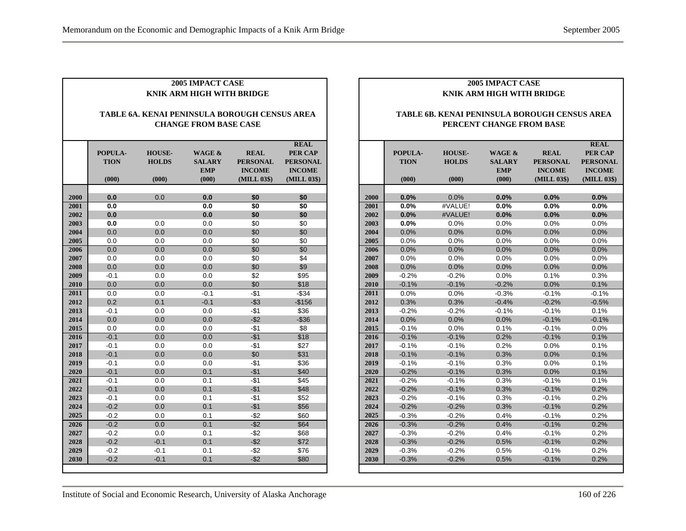|              | 2005 IMPACT CASE<br>KNIK ARM HIGH WITH BRIDGE                                 |                                        |                                                |                                                                |                                                                           |  |  |  |  |  |
|--------------|-------------------------------------------------------------------------------|----------------------------------------|------------------------------------------------|----------------------------------------------------------------|---------------------------------------------------------------------------|--|--|--|--|--|
|              | TABLE 6A. KENAI PENINSULA BOROUGH CENSUS AREA<br><b>CHANGE FROM BASE CASE</b> |                                        |                                                |                                                                |                                                                           |  |  |  |  |  |
|              | POPULA-<br><b>TION</b><br>(000)                                               | <b>HOUSE-</b><br><b>HOLDS</b><br>(000) | WAGE &<br><b>SALARY</b><br><b>EMP</b><br>(000) | <b>REAL</b><br><b>PERSONAL</b><br><b>INCOME</b><br>(MILL 03\$) | <b>REAL</b><br>PER CAP<br><b>PERSONAL</b><br><b>INCOME</b><br>(MILL 03\$) |  |  |  |  |  |
|              |                                                                               |                                        |                                                |                                                                |                                                                           |  |  |  |  |  |
| 2000<br>2001 | 0.0<br>0.0                                                                    | 0.0                                    | 0.0<br>0.0                                     | \$0<br>\$0                                                     | \$0<br>\$0                                                                |  |  |  |  |  |
| 2002         | 0.0                                                                           |                                        | 0.0                                            | \$0                                                            | \$0                                                                       |  |  |  |  |  |
| 2003         | 0.0                                                                           | 0.0                                    | 0.0                                            | \$0                                                            | \$0                                                                       |  |  |  |  |  |
| 2004         | 0.0                                                                           | 0.0                                    | 0.0                                            | \$0                                                            | \$0                                                                       |  |  |  |  |  |
| 2005         | 0.0                                                                           | 0.0                                    | 0.0                                            | \$0                                                            | \$0                                                                       |  |  |  |  |  |
| 2006         | 0.0                                                                           | 0.0                                    | 0.0                                            | \$0                                                            | \$0                                                                       |  |  |  |  |  |
| 2007         | 0.0                                                                           | 0.0                                    | 0.0                                            | \$0                                                            | \$4                                                                       |  |  |  |  |  |
| 2008         | 0.0                                                                           | 0.0                                    | 0.0                                            | \$0                                                            | \$9                                                                       |  |  |  |  |  |
| 2009         | $-0.1$                                                                        | 0.0                                    | 0.0                                            | \$2                                                            | \$95                                                                      |  |  |  |  |  |
| 2010         | 0.0                                                                           | 0.0                                    | 0.0                                            | \$0                                                            | \$18                                                                      |  |  |  |  |  |
| 2011         | 0.0                                                                           | 0.0                                    | $-0.1$                                         | $-$1$                                                          | $-$ \$34                                                                  |  |  |  |  |  |
| 2012         | 0.2                                                                           | 0.1                                    | $-0.1$                                         | $- $3$                                                         | $-$156$                                                                   |  |  |  |  |  |
| 2013         | $-0.1$                                                                        | 0.0                                    | 0.0                                            | -\$1                                                           | \$36                                                                      |  |  |  |  |  |
| 2014         | 0.0                                                                           | 0.0                                    | 0.0                                            | $-$ \$2                                                        | $-$36$                                                                    |  |  |  |  |  |
| 2015         | 0.0                                                                           | 0.0                                    | 0.0                                            | -\$1                                                           | \$8                                                                       |  |  |  |  |  |
| 2016         | $-0.1$                                                                        | 0.0                                    | 0.0                                            | $-$1$                                                          | \$18                                                                      |  |  |  |  |  |
| 2017         | $-0.1$                                                                        | 0.0                                    | 0.0                                            | $-$1$                                                          | \$27                                                                      |  |  |  |  |  |
| 2018         | $-0.1$                                                                        | 0.0                                    | 0.0                                            | \$0                                                            | \$31                                                                      |  |  |  |  |  |
| 2019         | $-0.1$                                                                        | 0.0                                    | 0.0                                            | -\$1                                                           | \$36                                                                      |  |  |  |  |  |
| 2020         | $-0.1$                                                                        | 0.0                                    | 0.1                                            | $-$1$                                                          | \$40                                                                      |  |  |  |  |  |
| 2021         | $-0.1$                                                                        | 0.0                                    | 0.1                                            | -\$1                                                           | \$45                                                                      |  |  |  |  |  |
| 2022         | $-0.1$                                                                        | 0.0                                    | 0.1                                            | $-$1$                                                          | \$48                                                                      |  |  |  |  |  |
| 2023         | $-0.1$                                                                        | 0.0                                    | 0.1                                            | $-$1$                                                          | \$52                                                                      |  |  |  |  |  |
| 2024         | $-0.2$                                                                        | 0.0                                    | 0.1                                            | $-$1$                                                          | \$56                                                                      |  |  |  |  |  |
| 2025         | $-0.2$                                                                        | 0.0                                    | 0.1                                            | $-$ \$2                                                        | \$60                                                                      |  |  |  |  |  |
| 2026         | $-0.2$                                                                        | 0.0                                    | 0.1                                            | $-$ \$2                                                        | \$64                                                                      |  |  |  |  |  |
| 2027         | $-0.2$                                                                        | 0.0                                    | 0.1                                            | $-$ \$2                                                        | \$68                                                                      |  |  |  |  |  |
| 2028         | $-0.2$                                                                        | $-0.1$                                 | 0.1                                            | $-$ \$2                                                        | \$72                                                                      |  |  |  |  |  |
| 2029         | $-0.2$                                                                        | $-0.1$                                 | 0.1                                            | $-$ \$2                                                        | \$76                                                                      |  |  |  |  |  |
| 2030         | $-0.2$                                                                        | $-0.1$                                 | 0.1                                            | $-$ \$2                                                        | \$80                                                                      |  |  |  |  |  |

#### **TABLE 6B. KENAI PENINSULA BOROUGH CENSUS AREA PERCENT CHANGE FROM BASE**

|      |             |               |               |                 | <b>REAL</b>     |
|------|-------------|---------------|---------------|-----------------|-----------------|
|      | POPULA-     | <b>HOUSE-</b> | WAGE &        | <b>REAL</b>     | <b>PER CAP</b>  |
|      | <b>TION</b> | <b>HOLDS</b>  | <b>SALARY</b> | <b>PERSONAL</b> | <b>PERSONAL</b> |
|      |             |               | <b>EMP</b>    | <b>INCOME</b>   | <b>INCOME</b>   |
|      | (000)       | (000)         | (000)         | (MILL 03\$)     | (MILL 03\$)     |
|      |             |               |               |                 |                 |
| 2000 | 0.0%        | 0.0%          | 0.0%          | 0.0%            | 0.0%            |
| 2001 | 0.0%        | #VALUE!       | 0.0%          | 0.0%            | 0.0%            |
| 2002 | 0.0%        | #VALUE!       | 0.0%          | 0.0%            | 0.0%            |
| 2003 | 0.0%        | 0.0%          | 0.0%          | 0.0%            | 0.0%            |
| 2004 | 0.0%        | 0.0%          | 0.0%          | 0.0%            | 0.0%            |
| 2005 | 0.0%        | 0.0%          | 0.0%          | 0.0%            | 0.0%            |
| 2006 | 0.0%        | 0.0%          | 0.0%          | 0.0%            | 0.0%            |
| 2007 | $0.0\%$     | 0.0%          | 0.0%          | $0.0\%$         | 0.0%            |
| 2008 | 0.0%        | 0.0%          | 0.0%          | 0.0%            | 0.0%            |
| 2009 | $-0.2%$     | $-0.2%$       | 0.0%          | 0.1%            | 0.3%            |
| 2010 | $-0.1%$     | $-0.1%$       | $-0.2%$       | 0.0%            | 0.1%            |
| 2011 | 0.0%        | 0.0%          | $-0.3%$       | $-0.1%$         | $-0.1%$         |
| 2012 | 0.3%        | 0.3%          | $-0.4%$       | $-0.2%$         | $-0.5%$         |
| 2013 | $-0.2%$     | $-0.2%$       | $-0.1%$       | $-0.1%$         | 0.1%            |
| 2014 | 0.0%        | 0.0%          | 0.0%          | $-0.1%$         | $-0.1%$         |
| 2015 | $-0.1%$     | 0.0%          | 0.1%          | $-0.1%$         | 0.0%            |
| 2016 | $-0.1%$     | $-0.1%$       | 0.2%          | $-0.1%$         | 0.1%            |
| 2017 | $-0.1%$     | $-0.1%$       | 0.2%          | 0.0%            | 0.1%            |
| 2018 | $-0.1%$     | $-0.1%$       | 0.3%          | 0.0%            | 0.1%            |
| 2019 | $-0.1%$     | $-0.1%$       | 0.3%          | 0.0%            | 0.1%            |
| 2020 | $-0.2%$     | $-0.1%$       | 0.3%          | 0.0%            | 0.1%            |
| 2021 | $-0.2%$     | $-0.1%$       | 0.3%          | $-0.1%$         | 0.1%            |
| 2022 | $-0.2%$     | $-0.1%$       | 0.3%          | $-0.1%$         | 0.2%            |
| 2023 | $-0.2%$     | $-0.1%$       | 0.3%          | $-0.1%$         | 0.2%            |
| 2024 | $-0.2%$     | $-0.2%$       | 0.3%          | $-0.1%$         | 0.2%            |
| 2025 | $-0.3%$     | $-0.2%$       | 0.4%          | $-0.1%$         | 0.2%            |
| 2026 | $-0.3%$     | $-0.2%$       | 0.4%          | $-0.1%$         | 0.2%            |
| 2027 | $-0.3%$     | $-0.2%$       | 0.4%          | $-0.1%$         | 0.2%            |
| 2028 | $-0.3%$     | $-0.2%$       | 0.5%          | $-0.1%$         | 0.2%            |
| 2029 | $-0.3%$     | $-0.2%$       | 0.5%          | $-0.1%$         | 0.2%            |
| 2030 | $-0.3%$     | $-0.2%$       | 0.5%          | $-0.1%$         | 0.2%            |
|      |             |               |               |                 |                 |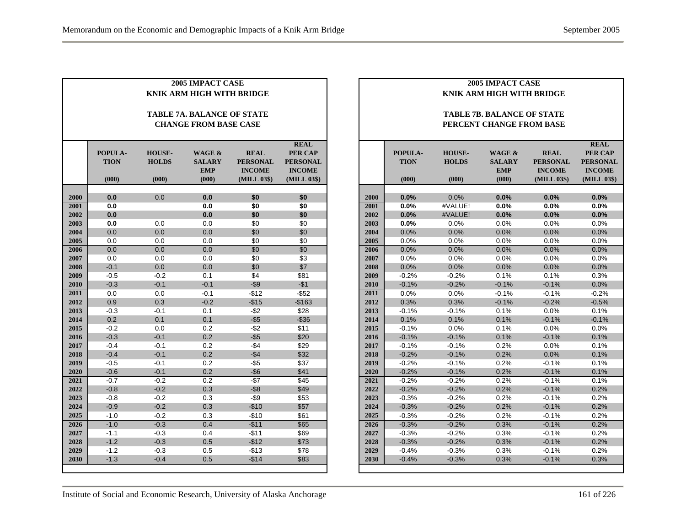|      | <b>2005 IMPACT CASE</b><br><b>KNIK ARM HIGH WITH BRIDGE</b>       |                                        |                                                |                                                                |                                                                                  |  |  |  |  |  |
|------|-------------------------------------------------------------------|----------------------------------------|------------------------------------------------|----------------------------------------------------------------|----------------------------------------------------------------------------------|--|--|--|--|--|
|      | <b>TABLE 7A. BALANCE OF STATE</b><br><b>CHANGE FROM BASE CASE</b> |                                        |                                                |                                                                |                                                                                  |  |  |  |  |  |
|      | POPULA-<br><b>TION</b><br>(000)                                   | <b>HOUSE-</b><br><b>HOLDS</b><br>(000) | WAGE &<br><b>SALARY</b><br><b>EMP</b><br>(000) | <b>REAL</b><br><b>PERSONAL</b><br><b>INCOME</b><br>(MILL 03\$) | <b>REAL</b><br><b>PER CAP</b><br><b>PERSONAL</b><br><b>INCOME</b><br>(MILL 03\$) |  |  |  |  |  |
| 2000 | 0.0                                                               | 0.0                                    | 0.0                                            | \$0                                                            | \$0                                                                              |  |  |  |  |  |
| 2001 | 0.0                                                               |                                        | 0.0                                            | \$0                                                            | \$0                                                                              |  |  |  |  |  |
| 2002 | 0.0                                                               |                                        | 0.0                                            | \$0                                                            | \$0                                                                              |  |  |  |  |  |
| 2003 | 0.0                                                               | 0.0                                    | 0.0                                            | \$0                                                            | \$0                                                                              |  |  |  |  |  |
| 2004 | 0.0                                                               | 0.0                                    | 0.0                                            | \$0                                                            | \$0                                                                              |  |  |  |  |  |
| 2005 | 0.0                                                               | 0.0                                    | 0.0                                            | \$0                                                            | \$0                                                                              |  |  |  |  |  |
| 2006 | 0.0                                                               | 0.0                                    | 0.0                                            | \$0                                                            | \$0                                                                              |  |  |  |  |  |
| 2007 | 0.0                                                               | 0.0                                    | 0.0                                            | \$0                                                            | \$3                                                                              |  |  |  |  |  |
| 2008 | $-0.1$                                                            | 0.0                                    | 0.0                                            | \$0                                                            | \$7                                                                              |  |  |  |  |  |
| 2009 | $-0.5$                                                            | $-0.2$                                 | 0.1                                            | \$4                                                            | \$81                                                                             |  |  |  |  |  |
| 2010 | $-0.3$                                                            | $-0.1$                                 | $-0.1$                                         | $-$ \$9                                                        | $-$1$                                                                            |  |  |  |  |  |
| 2011 | 0.0                                                               | 0.0                                    | $-0.1$                                         | $-$12$                                                         | $-$ \$52                                                                         |  |  |  |  |  |
| 2012 | 0.9                                                               | 0.3                                    | $-0.2$                                         | $-$15$                                                         | $-$163$                                                                          |  |  |  |  |  |
| 2013 | $-0.3$                                                            | $-0.1$                                 | 0.1                                            | $-$ \$2                                                        | \$28                                                                             |  |  |  |  |  |
| 2014 | 0.2                                                               | 0.1                                    | 0.1                                            | $-$ \$5                                                        | $-$36$                                                                           |  |  |  |  |  |
| 2015 | $-0.2$                                                            | 0.0                                    | 0.2                                            | -\$2                                                           | \$11                                                                             |  |  |  |  |  |
| 2016 | $-0.3$                                                            | $-0.1$                                 | 0.2                                            | $-$ \$5                                                        | \$20                                                                             |  |  |  |  |  |
| 2017 | $-0.4$                                                            | $-0.1$                                 | 0.2                                            | $-$4$                                                          | \$29                                                                             |  |  |  |  |  |
| 2018 | $-0.4$                                                            | $-0.1$                                 | 0.2                                            | $-$ \$4                                                        | \$32                                                                             |  |  |  |  |  |
| 2019 | $-0.5$                                                            | $-0.1$                                 | 0.2                                            | $-$ \$5                                                        | \$37                                                                             |  |  |  |  |  |
| 2020 | $-0.6$                                                            | $-0.1$                                 | 0.2                                            | $-$ \$6                                                        | \$41                                                                             |  |  |  |  |  |
| 2021 | $-0.7$                                                            | $-0.2$                                 | 0.2                                            | $-\$7$                                                         | \$45                                                                             |  |  |  |  |  |
| 2022 | $-0.8$                                                            | $-0.2$                                 | 0.3                                            | $-$ \$8                                                        | \$49                                                                             |  |  |  |  |  |
| 2023 | $-0.8$                                                            | $-0.2$                                 | 0.3                                            | $-$ \$9                                                        | \$53                                                                             |  |  |  |  |  |
| 2024 | $-0.9$                                                            | $-0.2$                                 | 0.3                                            | $-$10$                                                         | \$57                                                                             |  |  |  |  |  |
| 2025 | $-1.0$                                                            | $-0.2$                                 | 0.3                                            | $-$10$                                                         | \$61                                                                             |  |  |  |  |  |
| 2026 | $-1.0$                                                            | $-0.3$                                 | 0.4                                            | $-$11$                                                         | \$65                                                                             |  |  |  |  |  |
| 2027 | $-1.1$                                                            | $-0.3$                                 | 0.4                                            | $-$11$                                                         | \$69                                                                             |  |  |  |  |  |
| 2028 | $-1.2$                                                            | $-0.3$                                 | 0.5                                            | $-$12$                                                         | \$73                                                                             |  |  |  |  |  |
| 2029 | $-1.2$                                                            | $-0.3$                                 | 0.5                                            | $-$13$                                                         | \$78                                                                             |  |  |  |  |  |
| 2030 | $-1.3$                                                            | $-0.4$                                 | 0.5                                            | $-$14$                                                         | \$83                                                                             |  |  |  |  |  |

|              |                    |                    | <b>2005 IMPACT CASE</b><br>KNIK ARM HIGH WITH BRIDGE |                                  |                                  |  |  |  |  |
|--------------|--------------------|--------------------|------------------------------------------------------|----------------------------------|----------------------------------|--|--|--|--|
|              |                    |                    |                                                      |                                  |                                  |  |  |  |  |
|              |                    |                    | <b>TABLE 7B. BALANCE OF STATE</b>                    |                                  |                                  |  |  |  |  |
|              |                    |                    | PERCENT CHANGE FROM BASE                             |                                  |                                  |  |  |  |  |
|              |                    |                    |                                                      |                                  |                                  |  |  |  |  |
|              |                    |                    |                                                      |                                  | <b>REAL</b>                      |  |  |  |  |
|              | POPULA-            | <b>HOUSE-</b>      | <b>WAGE &amp;</b>                                    | <b>REAL</b>                      | <b>PER CAP</b>                   |  |  |  |  |
|              | <b>TION</b>        | <b>HOLDS</b>       | <b>SALARY</b><br><b>EMP</b>                          | <b>PERSONAL</b><br><b>INCOME</b> | <b>PERSONAL</b><br><b>INCOME</b> |  |  |  |  |
|              | (000)              | (000)              | (000)                                                | (MILL 03\$)                      | (MILL 03\$)                      |  |  |  |  |
|              |                    |                    |                                                      |                                  |                                  |  |  |  |  |
| 2000         | 0.0%               | 0.0%               | 0.0%                                                 | 0.0%                             | 0.0%                             |  |  |  |  |
| 2001         | 0.0%               | #VALUE!            | 0.0%                                                 | 0.0%                             | 0.0%                             |  |  |  |  |
| 2002         | 0.0%               | #VALUE!            | 0.0%                                                 | 0.0%                             | 0.0%                             |  |  |  |  |
| 2003         | 0.0%               | 0.0%               | 0.0%                                                 | 0.0%                             | 0.0%                             |  |  |  |  |
| 2004         | 0.0%               | 0.0%               | 0.0%                                                 | 0.0%                             | 0.0%                             |  |  |  |  |
| 2005         | 0.0%               | 0.0%               | 0.0%                                                 | $0.0\%$                          | $0.0\%$                          |  |  |  |  |
| 2006         | 0.0%               | 0.0%               | 0.0%                                                 | 0.0%                             | 0.0%                             |  |  |  |  |
| 2007         | 0.0%               | 0.0%               | 0.0%                                                 | 0.0%                             | 0.0%                             |  |  |  |  |
| 2008         | 0.0%               | 0.0%               | 0.0%                                                 | 0.0%                             | 0.0%                             |  |  |  |  |
| 2009         | $-0.2%$            | $-0.2%$            | 0.1%                                                 | 0.1%                             | 0.3%                             |  |  |  |  |
| 2010         | $-0.1%$            | $-0.2%$            | $-0.1%$                                              | $-0.1%$                          | 0.0%                             |  |  |  |  |
| 2011         | 0.0%               | 0.0%               | $-0.1%$                                              | $-0.1%$                          | $-0.2%$                          |  |  |  |  |
| 2012         | 0.3%               | 0.3%               | $-0.1%$                                              | $-0.2%$                          | $-0.5%$                          |  |  |  |  |
| 2013         | $-0.1%$            | $-0.1%$            | 0.1%                                                 | 0.0%                             | 0.1%                             |  |  |  |  |
| 2014         | 0.1%               | 0.1%               | 0.1%                                                 | $-0.1%$                          | $-0.1%$                          |  |  |  |  |
| 2015         | $-0.1%$            | 0.0%               | 0.1%                                                 | 0.0%                             | $0.0\%$                          |  |  |  |  |
| 2016         | $-0.1%$            | $-0.1%$            | 0.1%                                                 | $-0.1%$                          | 0.1%                             |  |  |  |  |
| 2017         | $-0.1%$            | $-0.1%$            | 0.2%                                                 | 0.0%                             | 0.1%                             |  |  |  |  |
| 2018         | $-0.2%$            | $-0.1%$            | 0.2%<br>0.2%                                         | 0.0%                             | 0.1%<br>0.1%                     |  |  |  |  |
| 2019         | $-0.2%$<br>$-0.2%$ | $-0.1%$            | 0.2%                                                 | $-0.1%$                          | 0.1%                             |  |  |  |  |
| 2020         | $-0.2%$            | $-0.1%$<br>$-0.2%$ | 0.2%                                                 | $-0.1%$<br>$-0.1%$               | 0.1%                             |  |  |  |  |
| 2021         | $-0.2%$            | $-0.2%$            | 0.2%                                                 | $-0.1%$                          | 0.2%                             |  |  |  |  |
| 2022         |                    |                    |                                                      |                                  |                                  |  |  |  |  |
| 2023<br>2024 | $-0.3%$            | $-0.2%$            | 0.2%<br>0.2%                                         | $-0.1%$<br>$-0.1%$               | 0.2%                             |  |  |  |  |
| 2025         | $-0.3%$            | $-0.2%$            |                                                      |                                  | 0.2%                             |  |  |  |  |
| 2026         | $-0.3%$<br>$-0.3%$ | $-0.2%$<br>$-0.2%$ | 0.2%<br>0.3%                                         | $-0.1%$<br>$-0.1%$               | 0.2%<br>0.2%                     |  |  |  |  |
| 2027         | $-0.3%$            | $-0.2%$            | 0.3%                                                 | $-0.1%$                          | 0.2%                             |  |  |  |  |
| 2028         | $-0.3%$            | $-0.2%$            | 0.3%                                                 | $-0.1%$                          | 0.2%                             |  |  |  |  |
| 2029         | $-0.4%$            | $-0.3%$            | 0.3%                                                 | $-0.1%$                          | 0.2%                             |  |  |  |  |
| 2030         | $-0.4%$            | $-0.3%$            | 0.3%                                                 | $-0.1%$                          | 0.3%                             |  |  |  |  |
|              |                    |                    |                                                      |                                  |                                  |  |  |  |  |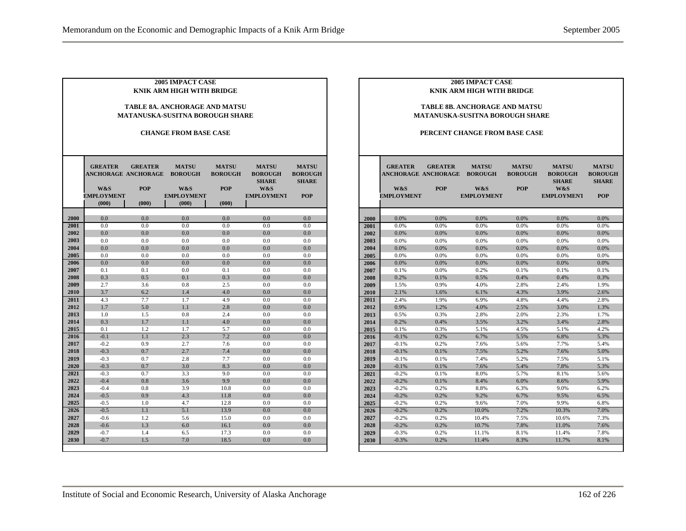| <b>2005 IMPACT CASE</b><br>KNIK ARM HIGH WITH BRIDGE<br><b>TABLE 8A. ANCHORAGE AND MATSU</b> |                              |                |                   |                |                   |                |  |  |  |  |
|----------------------------------------------------------------------------------------------|------------------------------|----------------|-------------------|----------------|-------------------|----------------|--|--|--|--|
| <b>MATANUSKA-SUSITNA BOROUGH SHARE</b>                                                       |                              |                |                   |                |                   |                |  |  |  |  |
|                                                                                              |                              |                |                   |                |                   |                |  |  |  |  |
|                                                                                              | <b>CHANGE FROM BASE CASE</b> |                |                   |                |                   |                |  |  |  |  |
|                                                                                              |                              |                |                   |                |                   |                |  |  |  |  |
|                                                                                              |                              |                |                   |                |                   |                |  |  |  |  |
|                                                                                              | <b>GREATER</b>               | <b>GREATER</b> | <b>MATSU</b>      | <b>MATSU</b>   | <b>MATSU</b>      | <b>MATSU</b>   |  |  |  |  |
|                                                                                              | <b>ANCHORAGE ANCHORAGE</b>   |                | <b>BOROUGH</b>    | <b>BOROUGH</b> | <b>BOROUGH</b>    | <b>BOROUGH</b> |  |  |  |  |
|                                                                                              |                              |                |                   |                | <b>SHARE</b>      | <b>SHARE</b>   |  |  |  |  |
|                                                                                              | W&S                          | <b>POP</b>     | W&S               | <b>POP</b>     | W&S               |                |  |  |  |  |
|                                                                                              | <b>EMPLOYMENT</b>            |                | <b>EMPLOYMENT</b> |                | <b>EMPLOYMENT</b> | <b>POP</b>     |  |  |  |  |
|                                                                                              | (000)                        | (000)          | (000)             | (000)          |                   |                |  |  |  |  |
| 2000                                                                                         | 0.0                          | 0.0            | 0.0               | 0.0            | 0.0               | 0.0            |  |  |  |  |
| 2001                                                                                         | 0.0                          | 0.0            | 0.0               | 0.0            | 0.0               | 0.0            |  |  |  |  |
| 2002                                                                                         | 0.0                          | 0.0            | 0.0               | 0.0            | 0.0               | 0.0            |  |  |  |  |
| 2003                                                                                         | 0.0                          | 0.0            | 0.0               | 0.0            | 0.0               | 0.0            |  |  |  |  |
| 2004                                                                                         | 0.0                          | 0.0            | 0.0               | 0.0            | 0.0               | 0.0            |  |  |  |  |
| 2005                                                                                         | 0.0                          | 0.0            | 0.0               | 0.0            | 0.0               | 0.0            |  |  |  |  |
| 2006                                                                                         | 0.0                          | 0.0            | 0.0               | 0.0            | 0.0               | 0.0            |  |  |  |  |
| 2007                                                                                         | 0.1                          | 0.1            | 0.0               | 0.1            | 0.0               | 0.0            |  |  |  |  |
| 2008                                                                                         | 0.3                          | 0.5            | 0.1               | 0.3            | 0.0               | 0.0            |  |  |  |  |
| 2009                                                                                         | 2.7                          | 3.6            | 0.8               | 2.5            | 0.0               | 0.0            |  |  |  |  |
| 2010                                                                                         | 3.7                          | 6.2            | 1.4               | 4.0            | 0.0               | 0.0            |  |  |  |  |
| 2011                                                                                         | 4.3                          | 7.7            | 1.7               | 4.9            | 0.0               | 0.0            |  |  |  |  |
| 2012                                                                                         | 1.7                          | 5.0            | 1.1               | 2.8            | 0.0               | 0.0            |  |  |  |  |
| 2013                                                                                         | 1.0                          | 1.5            | 0.8               | 2.4            | 0.0               | 0.0            |  |  |  |  |
| 2014                                                                                         | 0.3                          | 1.7            | 1.1               | 4.0            | 0.0               | 0.0            |  |  |  |  |
| 2015                                                                                         | 0.1                          | 1.2            | 1.7               | 5.7            | 0.0               | 0.0            |  |  |  |  |
| 2016                                                                                         | $-0.1$                       | 1.1            | 2.3               | 7.2            | 0.0               | 0.0            |  |  |  |  |
| 2017                                                                                         | $-0.2$                       | 0.9            | 2.7               | 7.6            | 0.0               | 0.0            |  |  |  |  |
| 2018<br>2019                                                                                 | $-0.3$<br>$-0.3$             | 0.7<br>0.7     | 2.7<br>2.8        | 7.4<br>7.7     | 0.0<br>0.0        | 0.0<br>0.0     |  |  |  |  |
| 2020                                                                                         | $-0.3$                       | 0.7            | 3.0               | 8.3            | 0.0               | 0.0            |  |  |  |  |
| 2021                                                                                         | $-0.3$                       | 0.7            | 3.3               | 9.0            | 0.0               | 0.0            |  |  |  |  |
| 2022                                                                                         | $-0.4$                       | 0.8            | 3.6               | 9.9            | 0.0               | 0.0            |  |  |  |  |
| 2023                                                                                         | $-0.4$                       | 0.8            | 3.9               | 10.8           | 0.0               | 0.0            |  |  |  |  |
| 2024                                                                                         | $-0.5$                       | 0.9            | 4.3               | 11.8           | 0.0               | 0.0            |  |  |  |  |
| 2025                                                                                         | $-0.5$                       | 1.0            | 4.7               | 12.8           | 0.0               | 0.0            |  |  |  |  |
| 2026                                                                                         | $-0.5$                       | 1.1            | 5.1               | 13.9           | 0.0               | 0.0            |  |  |  |  |
| 2027                                                                                         | $-0.6$                       | 1.2            | 5.6               | 15.0           | 0.0               | 0.0            |  |  |  |  |
| 2028                                                                                         | $-0.6$                       | 1.3            | 6.0               | 16.1           | 0.0               | 0.0            |  |  |  |  |
| 2029                                                                                         | $-0.7$                       | 1.4            | 6.5               | 17.3           | 0.0               | 0.0            |  |  |  |  |
| 2030                                                                                         | $-0.7$                       | 1.5            | 7.0               | 18.5           | 0.0               | 0.0            |  |  |  |  |

#### **TABLE 8B. ANCHORAGE AND MATSU MATANUSKA-SUSITNA BOROUGH SHARE**

#### **PERCENT CHANGE FROM BASE CASE**

|      | <b>GREATER</b><br><b>ANCHORAGE ANCHORAGE</b><br>W&S<br><b>EMPLOYMENT</b> | <b>GREATER</b><br><b>POP</b> | <b>MATSU</b><br><b>BOROUGH</b><br>W&S<br><b>EMPLOYMENT</b> | <b>MATSU</b><br><b>BOROUGH</b><br><b>POP</b> | <b>MATSU</b><br><b>BOROUGH</b><br><b>SHARE</b><br>W&S<br><b>EMPLOYMENT</b> | <b>MATSU</b><br><b>BOROUGH</b><br><b>SHARE</b><br><b>POP</b> |
|------|--------------------------------------------------------------------------|------------------------------|------------------------------------------------------------|----------------------------------------------|----------------------------------------------------------------------------|--------------------------------------------------------------|
| 2000 | 0.0%                                                                     | 0.0%                         | 0.0%                                                       | 0.0%                                         | 0.0%                                                                       | 0.0%                                                         |
| 2001 | 0.0%                                                                     | 0.0%                         | 0.0%                                                       | 0.0%                                         | 0.0%                                                                       | 0.0%                                                         |
| 2002 | 0.0%                                                                     | 0.0%                         | 0.0%                                                       | 0.0%                                         | 0.0%                                                                       | 0.0%                                                         |
| 2003 | 0.0%                                                                     | 0.0%                         | 0.0%                                                       | 0.0%                                         | 0.0%                                                                       | 0.0%                                                         |
| 2004 | 0.0%                                                                     | 0.0%                         | 0.0%                                                       | 0.0%                                         | 0.0%                                                                       | 0.0%                                                         |
| 2005 | 0.0%                                                                     | 0.0%                         | 0.0%                                                       | 0.0%                                         | 0.0%                                                                       | 0.0%                                                         |
| 2006 | 0.0%                                                                     | 0.0%                         | 0.0%                                                       | 0.0%                                         | 0.0%                                                                       | 0.0%                                                         |
| 2007 | 0.1%                                                                     | 0.0%                         | 0.2%                                                       | 0.1%                                         | 0.1%                                                                       | 0.1%                                                         |
| 2008 | 0.2%                                                                     | 0.1%                         | 0.5%                                                       | 0.4%                                         | 0.4%                                                                       | 0.3%                                                         |
| 2009 | 1.5%                                                                     | 0.9%                         | 4.0%                                                       | 2.8%                                         | 2.4%                                                                       | 1.9%                                                         |
| 2010 | 2.1%                                                                     | 1.6%                         | 6.1%                                                       | 4.3%                                         | 3.9%                                                                       | 2.6%                                                         |
| 2011 | 2.4%                                                                     | 1.9%                         | 6.9%                                                       | 4.8%                                         | 4.4%                                                                       | 2.8%                                                         |
| 2012 | 0.9%                                                                     | 1.2%                         | 4.0%                                                       | 2.5%                                         | 3.0%                                                                       | 1.3%                                                         |
| 2013 | 0.5%                                                                     | 0.3%                         | 2.8%                                                       | 2.0%                                         | 2.3%                                                                       | 1.7%                                                         |
| 2014 | 0.2%                                                                     | 0.4%                         | 3.5%                                                       | 3.2%                                         | 3.4%                                                                       | 2.8%                                                         |
| 2015 | 0.1%                                                                     | 0.3%                         | 5.1%                                                       | 4.5%                                         | 5.1%                                                                       | 4.2%                                                         |
| 2016 | $-0.1%$                                                                  | 0.2%                         | 6.7%                                                       | 5.5%                                         | 6.8%                                                                       | 5.3%                                                         |
| 2017 | $-0.1%$                                                                  | 0.2%                         | 7.6%                                                       | 5.6%                                         | 7.7%                                                                       | 5.4%                                                         |
| 2018 | $-0.1%$                                                                  | 0.1%                         | 7.5%                                                       | 5.2%                                         | 7.6%                                                                       | 5.0%                                                         |
| 2019 | $-0.1%$                                                                  | 0.1%                         | 7.4%                                                       | 5.2%                                         | 7.5%                                                                       | 5.1%                                                         |
| 2020 | $-0.1%$                                                                  | 0.1%                         | 7.6%                                                       | 5.4%                                         | 7.8%                                                                       | 5.3%                                                         |
| 2021 | $-0.2%$                                                                  | 0.1%                         | 8.0%                                                       | 5.7%                                         | 8.1%                                                                       | 5.6%                                                         |
| 2022 | $-0.2%$                                                                  | 0.1%                         | 8.4%                                                       | 6.0%                                         | 8.6%                                                                       | 5.9%                                                         |
| 2023 | $-0.2%$                                                                  | 0.2%                         | 8.8%                                                       | 6.3%                                         | 9.0%                                                                       | 6.2%                                                         |
| 2024 | $-0.2%$                                                                  | 0.2%                         | 9.2%                                                       | 6.7%                                         | 9.5%                                                                       | 6.5%                                                         |
| 2025 | $-0.2%$                                                                  | 0.2%                         | 9.6%                                                       | 7.0%                                         | 9.9%                                                                       | 6.8%                                                         |
| 2026 | $-0.2%$                                                                  | 0.2%                         | 10.0%                                                      | 7.2%                                         | 10.3%                                                                      | 7.0%                                                         |
| 2027 | $-0.2%$                                                                  | 0.2%                         | 10.4%                                                      | 7.5%                                         | 10.6%                                                                      | 7.3%                                                         |
| 2028 | $-0.2%$                                                                  | 0.2%                         | 10.7%                                                      | 7.8%                                         | 11.0%                                                                      | 7.6%                                                         |
| 2029 | $-0.3%$                                                                  | 0.2%                         | 11.1%                                                      | 8.1%                                         | 11.4%                                                                      | 7.8%                                                         |
| 2030 | $-0.3%$                                                                  | 0.2%                         | 11.4%                                                      | 8.3%                                         | 11.7%                                                                      | 8.1%                                                         |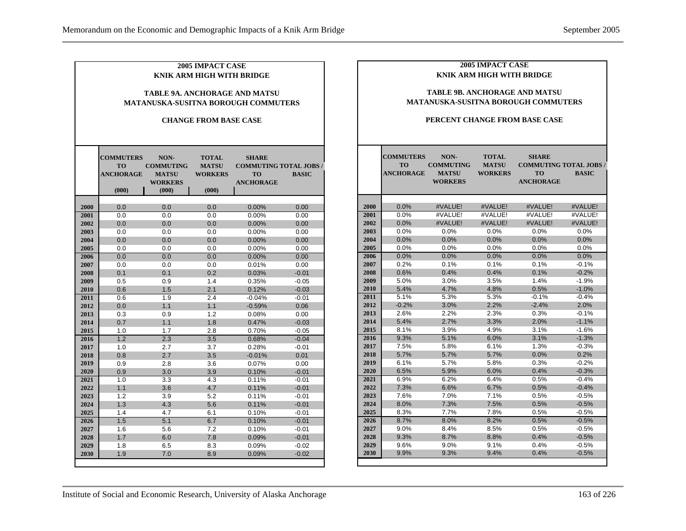| 2005 IMPACT CASE<br><b>KNIK ARM HIGH WITH BRIDGE</b><br><b>TABLE 9A. ANCHORAGE AND MATSU</b><br><b>MATANUSKA-SUSITNA BOROUGH COMMUTERS</b><br><b>CHANGE FROM BASE CASE</b> |                                                     |                                                                     |                                                         |                                                                               |              |      | <b>2005 IMPACT CASE</b><br><b>KNIK ARM HIGH WITH BRIDGE</b> | <b>TABLE 9B. ANCHORAGE AND MATSU</b><br><b>MATANUSKA-SUSITNA BOROUGH COMMUTERS</b><br>PERCENT CHANGE FROM BASE CASE |                                                |                                                                         |              |
|----------------------------------------------------------------------------------------------------------------------------------------------------------------------------|-----------------------------------------------------|---------------------------------------------------------------------|---------------------------------------------------------|-------------------------------------------------------------------------------|--------------|------|-------------------------------------------------------------|---------------------------------------------------------------------------------------------------------------------|------------------------------------------------|-------------------------------------------------------------------------|--------------|
|                                                                                                                                                                            | <b>COMMUTERS</b><br>TO<br><b>ANCHORAGE</b><br>(000) | NON-<br><b>COMMUTING</b><br><b>MATSU</b><br><b>WORKERS</b><br>(000) | <b>TOTAL</b><br><b>MATSU</b><br><b>WORKERS</b><br>(000) | <b>SHARE</b><br><b>COMMUTING TOTAL JOBS/</b><br><b>TO</b><br><b>ANCHORAGE</b> | <b>BASIC</b> |      | <b>COMMUTERS</b><br>TO<br><b>ANCHORAGE</b>                  | NON-<br><b>COMMUTING</b><br><b>MATSU</b><br><b>WORKERS</b>                                                          | <b>TOTAL</b><br><b>MATSU</b><br><b>WORKERS</b> | <b>SHARE</b><br><b>COMMUTING TOTAL JOBS /</b><br>TO<br><b>ANCHORAGE</b> | <b>BASIC</b> |
| 2000                                                                                                                                                                       | 0.0                                                 | 0.0                                                                 | 0.0                                                     | 0.00%                                                                         | 0.00         | 2000 | 0.0%                                                        | #VALUE!                                                                                                             | #VALUE!                                        | #VALUE!                                                                 | #VALUE!      |
| 2001                                                                                                                                                                       | 0.0                                                 | 0.0                                                                 | 0.0                                                     | 0.00%                                                                         | 0.00         | 2001 | 0.0%                                                        | #VALUE!                                                                                                             | #VALUE!                                        | #VALUE!                                                                 | #VALUE!      |
| 2002                                                                                                                                                                       | 0.0                                                 | 0.0                                                                 | 0.0                                                     | 0.00%                                                                         | 0.00         | 2002 | 0.0%                                                        | #VALUE!                                                                                                             | #VALUE!                                        | #VALUE!                                                                 | #VALUE!      |
| 2003                                                                                                                                                                       | 0.0                                                 | 0.0                                                                 | 0.0                                                     | 0.00%                                                                         | 0.00         | 2003 | 0.0%                                                        | 0.0%                                                                                                                | 0.0%                                           | 0.0%                                                                    | 0.0%         |
| 2004                                                                                                                                                                       | 0.0                                                 | 0.0                                                                 | 0.0                                                     | 0.00%                                                                         | 0.00         | 2004 | 0.0%                                                        | 0.0%                                                                                                                | 0.0%                                           | 0.0%                                                                    | 0.0%         |
| 2005                                                                                                                                                                       | 0.0                                                 | 0.0                                                                 | 0.0                                                     | 0.00%                                                                         | 0.00         | 2005 | 0.0%                                                        | 0.0%                                                                                                                | 0.0%                                           | 0.0%                                                                    | 0.0%         |
| 2006                                                                                                                                                                       | 0.0                                                 | 0.0                                                                 | 0.0                                                     | 0.00%                                                                         | 0.00         | 2006 | 0.0%                                                        | 0.0%                                                                                                                | 0.0%                                           | 0.0%                                                                    | 0.0%         |
| 2007                                                                                                                                                                       | 0.0                                                 | 0.0                                                                 | 0.0                                                     | 0.01%                                                                         | 0.00         | 2007 | 0.2%                                                        | 0.1%                                                                                                                | 0.1%                                           | 0.1%                                                                    | $-0.1%$      |
| 2008                                                                                                                                                                       | 0.1                                                 | 0.1                                                                 | 0.2                                                     | 0.03%                                                                         | $-0.01$      | 2008 | 0.6%                                                        | 0.4%                                                                                                                | 0.4%                                           | 0.1%                                                                    | $-0.2%$      |
| 2009                                                                                                                                                                       | 0.5                                                 | 0.9                                                                 | 1.4                                                     | 0.35%                                                                         | $-0.05$      | 2009 | 5.0%                                                        | 3.0%                                                                                                                | 3.5%                                           | 1.4%                                                                    | $-1.9%$      |
| 2010                                                                                                                                                                       | 0.6                                                 | 1.5                                                                 | 2.1                                                     | 0.12%                                                                         | $-0.03$      | 2010 | 5.4%                                                        | 4.7%                                                                                                                | 4.8%                                           | 0.5%                                                                    | $-1.0%$      |
| 2011                                                                                                                                                                       | 0.6                                                 | 1.9                                                                 | 2.4                                                     | $-0.04%$                                                                      | $-0.01$      | 2011 | 5.1%                                                        | 5.3%                                                                                                                | 5.3%                                           | $-0.1%$                                                                 | $-0.4%$      |
| 2012                                                                                                                                                                       | 0.0                                                 | 1.1                                                                 | 1.1                                                     | $-0.59%$                                                                      | 0.06         | 2012 | $-0.2%$                                                     | 3.0%                                                                                                                | 2.2%                                           | $-2.4%$                                                                 | 2.0%         |
| 2013                                                                                                                                                                       | 0.3                                                 | 0.9                                                                 | 1.2                                                     | 0.08%                                                                         | 0.00         | 2013 | 2.6%                                                        | 2.2%                                                                                                                | 2.3%                                           | 0.3%                                                                    | $-0.1%$      |
| 2014                                                                                                                                                                       | 0.7                                                 | 1.1                                                                 | 1.8                                                     | 0.47%                                                                         | $-0.03$      | 2014 | 5.4%                                                        | 2.7%                                                                                                                | 3.3%                                           | 2.0%                                                                    | $-1.1%$      |
| 2015                                                                                                                                                                       | 1.0                                                 | 1.7                                                                 | 2.8                                                     | 0.70%                                                                         | $-0.05$      | 2015 | 8.1%                                                        | 3.9%                                                                                                                | 4.9%                                           | 3.1%                                                                    | $-1.6%$      |
| 2016                                                                                                                                                                       | 1.2                                                 | 2.3                                                                 | 3.5                                                     | 0.68%                                                                         | $-0.04$      | 2016 | 9.3%                                                        | 5.1%                                                                                                                | 6.0%                                           | 3.1%                                                                    | $-1.3%$      |
| 2017                                                                                                                                                                       | 1.0                                                 | 2.7                                                                 | 3.7                                                     | 0.28%                                                                         | $-0.01$      | 2017 | 7.5%                                                        | 5.8%                                                                                                                | 6.1%                                           | 1.3%                                                                    | $-0.3%$      |
| 2018                                                                                                                                                                       | 0.8                                                 | 2.7                                                                 | 3.5                                                     | $-0.01%$                                                                      | 0.01         | 2018 | 5.7%                                                        | 5.7%                                                                                                                | 5.7%                                           | 0.0%                                                                    | 0.2%         |
| 2019                                                                                                                                                                       | 0.9                                                 | 2.8                                                                 | 3.6                                                     | 0.07%                                                                         | 0.00         | 2019 | 6.1%                                                        | 5.7%                                                                                                                | 5.8%                                           | 0.3%                                                                    | $-0.2%$      |
| 2020                                                                                                                                                                       | 0.9                                                 | 3.0                                                                 | 3.9                                                     | 0.10%                                                                         | $-0.01$      | 2020 | 6.5%                                                        | 5.9%                                                                                                                | 6.0%                                           | 0.4%                                                                    | $-0.3%$      |
| 2021                                                                                                                                                                       | 1.0                                                 | 3.3                                                                 | 4.3                                                     | 0.11%                                                                         | $-0.01$      | 2021 | 6.9%                                                        | 6.2%                                                                                                                | 6.4%                                           | 0.5%                                                                    | $-0.4%$      |
| 2022                                                                                                                                                                       | $1.1$                                               | 3.6                                                                 | 4.7                                                     | 0.11%                                                                         | $-0.01$      | 2022 | 7.3%                                                        | 6.6%                                                                                                                | 6.7%                                           | 0.5%                                                                    | $-0.4%$      |
| 2023                                                                                                                                                                       | 1.2                                                 | 3.9                                                                 | 5.2                                                     | 0.11%                                                                         | $-0.01$      | 2023 | 7.6%                                                        | 7.0%                                                                                                                | 7.1%                                           | 0.5%                                                                    | $-0.5%$      |
| 2024                                                                                                                                                                       | 1.3                                                 | 4.3                                                                 | 5.6                                                     | 0.11%                                                                         | $-0.01$      | 2024 | 8.0%                                                        | 7.3%                                                                                                                | 7.5%                                           | 0.5%                                                                    | $-0.5%$      |
| 2025                                                                                                                                                                       | 1.4                                                 | 4.7                                                                 | 6.1                                                     | 0.10%                                                                         | $-0.01$      | 2025 | 8.3%                                                        | 7.7%                                                                                                                | 7.8%                                           | 0.5%                                                                    | $-0.5%$      |
| 2026                                                                                                                                                                       | 1.5                                                 | 5.1                                                                 | 6.7                                                     | 0.10%                                                                         | $-0.01$      | 2026 | 8.7%                                                        | 8.0%                                                                                                                | 8.2%                                           | 0.5%                                                                    | $-0.5%$      |
| 2027                                                                                                                                                                       | 1.6                                                 | 5.6                                                                 | 7.2                                                     | 0.10%                                                                         | $-0.01$      | 2027 | 9.0%                                                        | 8.4%                                                                                                                | 8.5%                                           | 0.5%                                                                    | $-0.5%$      |
| 2028                                                                                                                                                                       | 1.7                                                 | 6.0                                                                 | 7.8                                                     | 0.09%                                                                         | $-0.01$      | 2028 | 9.3%                                                        | 8.7%                                                                                                                | 8.8%                                           | 0.4%                                                                    | $-0.5%$      |
| 2029                                                                                                                                                                       | 1.8                                                 | 6.5                                                                 | 8.3                                                     | 0.09%                                                                         | $-0.02$      | 2029 | 9.6%                                                        | 9.0%                                                                                                                | 9.1%                                           | 0.4%                                                                    | $-0.5%$      |
| 2030                                                                                                                                                                       | 1.9                                                 | 7.0                                                                 | 8.9                                                     | 0.09%                                                                         | $-0.02$      | 2030 | 9.9%                                                        | 9.3%                                                                                                                | 9.4%                                           | 0.4%                                                                    | $-0.5%$      |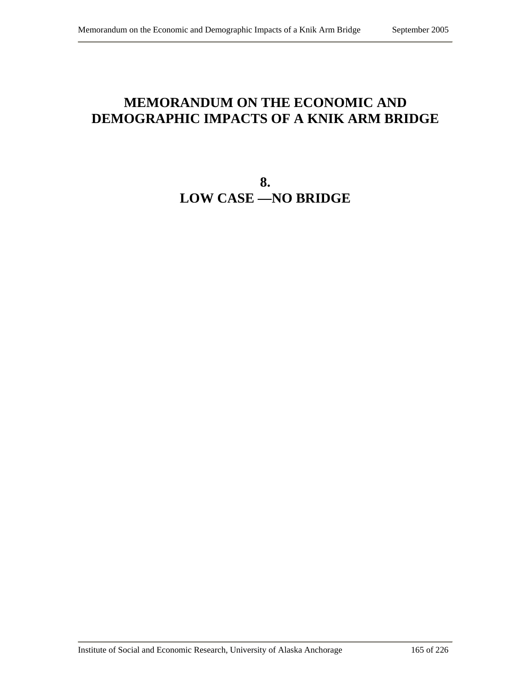# **MEMORANDUM ON THE ECONOMIC AND DEMOGRAPHIC IMPACTS OF A KNIK ARM BRIDGE**

**8. LOW CASE —NO BRIDGE**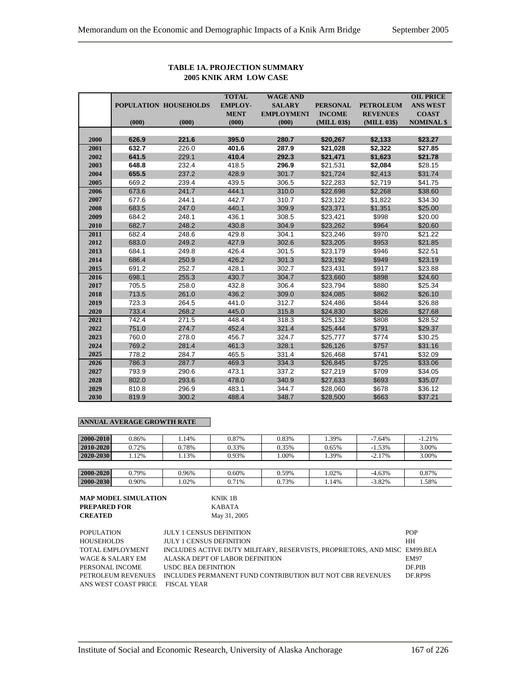|      |       |                       | <b>TOTAL</b>   | <b>WAGE AND</b>   |                 |                  | <b>OIL PRICE</b>  |
|------|-------|-----------------------|----------------|-------------------|-----------------|------------------|-------------------|
|      |       | POPULATION HOUSEHOLDS | <b>EMPLOY-</b> | <b>SALARY</b>     | <b>PERSONAL</b> | <b>PETROLEUM</b> | <b>ANS WEST</b>   |
|      |       |                       | <b>MENT</b>    | <b>EMPLOYMENT</b> | <b>INCOME</b>   | <b>REVENUES</b>  | <b>COAST</b>      |
|      | (000) | (000)                 | (000)          | (000)             | (MILL 03\$)     | (MILL 03\$)      | <b>NOMINAL \$</b> |
|      |       |                       |                |                   |                 |                  |                   |
| 2000 | 626.9 | 221.6                 | 395.0          | 280.7             | \$20,267        | \$2,133          | \$23.27           |
| 2001 | 632.7 | 226.0                 | 401.6          | 287.9             | \$21,028        | \$2,322          | \$27.85           |
| 2002 | 641.5 | 229.1                 | 410.4          | 292.3             | \$21,471        | \$1,623          | \$21.78           |
| 2003 | 648.8 | 232.4                 | 418.5          | 296.9             | \$21,531        | \$2,084          | \$28.15           |
| 2004 | 655.5 | 237.2                 | 428.9          | 301.7             | \$21,724        | \$2,413          | \$31.74           |
| 2005 | 669.2 | 239.4                 | 439.5          | 306.5             | \$22,283        | \$2,719          | \$41.75           |
| 2006 | 673.6 | 241.7                 | 444.1          | 310.0             | \$22,698        | \$2,268          | \$38.60           |
| 2007 | 677.6 | 244.1                 | 442.7          | 310.7             | \$23,122        | \$1,822          | \$34.30           |
| 2008 | 683.5 | 247.0                 | 440.1          | 309.9             | \$23,371        | \$1,351          | \$25.00           |
| 2009 | 684.2 | 248.1                 | 436.1          | 308.5             | \$23,421        | \$998            | \$20.00           |
| 2010 | 682.7 | 248.2                 | 430.8          | 304.9             | \$23,262        | \$964            | \$20.60           |
| 2011 | 682.4 | 248.6                 | 429.8          | 304.1             | \$23,246        | \$970            | \$21.22           |
| 2012 | 683.0 | 249.2                 | 427.9          | 302.6             | \$23,205        | \$953            | \$21.85           |
| 2013 | 684.1 | 249.8                 | 426.4          | 301.5             | \$23,179        | \$946            | \$22.51           |
| 2014 | 686.4 | 250.9                 | 426.2          | 301.3             | \$23,192        | \$949            | \$23.19           |
| 2015 | 691.2 | 252.7                 | 428.1          | 302.7             | \$23,431        | \$917            | \$23.88           |
| 2016 | 698.1 | 255.3                 | 430.7          | 304.7             | \$23,660        | \$898            | \$24.60           |
| 2017 | 705.5 | 258.0                 | 432.8          | 306.4             | \$23,794        | \$880            | \$25.34           |
| 2018 | 713.5 | 261.0                 | 436.2          | 309.0             | \$24,085        | \$862            | \$26.10           |
| 2019 | 723.3 | 264.5                 | 441.0          | 312.7             | \$24,486        | \$844            | \$26.88           |
| 2020 | 733.4 | 268.2                 | 445.0          | 315.8             | \$24,830        | \$826            | \$27.68           |
| 2021 | 742.4 | 271.5                 | 448.4          | 318.3             | \$25,132        | \$808            | \$28.52           |
| 2022 | 751.0 | 274.7                 | 452.4          | 321.4             | \$25,444        | \$791            | \$29.37           |
| 2023 | 760.0 | 278.0                 | 456.7          | 324.7             | \$25,777        | \$774            | \$30.25           |
| 2024 | 769.2 | 281.4                 | 461.3          | 328.1             | \$26,126        | \$757            | \$31.16           |
| 2025 | 778.2 | 284.7                 | 465.5          | 331.4             | \$26,468        | \$741            | \$32.09           |
| 2026 | 786.3 | 287.7                 | 469.3          | 334.3             | \$26,845        | \$725            | \$33.06           |
| 2027 | 793.9 | 290.6                 | 473.1          | 337.2             | \$27,219        | \$709            | \$34.05           |
| 2028 | 802.0 | 293.6                 | 478.0          | 340.9             | \$27,633        | \$693            | \$35.07           |
| 2029 | 810.8 | 296.9                 | 483.1          | 344.7             | \$28,060        | \$678            | \$36.12           |
| 2030 | 819.9 | 300.2                 | 488.4          | 348.7             | \$28,500        | \$663            | \$37.21           |

#### **TABLE 1A. PROJECTION SUMMARY 2005 KNIK ARM LOW CASE**

## **ANNUAL AVERAGE GROWTH RATE**

| 2000-2010 | 0.86% | .14%  | 0.87% | 0.83% | .39%  | $-7.64%$ | $-1.21%$ |
|-----------|-------|-------|-------|-------|-------|----------|----------|
| 2010-2020 | 0.72% | 0.78% | 0.33% | 0.35% | 0.65% | $-1.53%$ | 3.00%    |
| 2020-2030 | .12%  | .13%  | 0.93% | .00%  | .39%  | $-2.17%$ | 3.00%    |
|           |       |       |       |       |       |          |          |
| 2000-2020 | 0.79% | 0.96% | 0.60% | 0.59% | .02%  | $-4.63%$ | 0.87%    |
| 2000-2030 | 0.90% | 1.02% | 0.71% | 0.73% | .14%  | $-3.82%$ | 1.58%    |

# **MAP MODEL SIMULATION** KNIK 1B **PREPARED FOR** KABATA

**CREATED** May 31, 2005

| <b>POPULATION</b>                | <b>JULY 1 CENSUS DEFINITION</b>                                           | <b>POP</b>  |
|----------------------------------|---------------------------------------------------------------------------|-------------|
| <b>HOUSEHOLDS</b>                | <b>JULY 1 CENSUS DEFINITION</b>                                           | <b>HH</b>   |
| TOTAL EMPLOYMENT                 | INCLUDES ACTIVE DUTY MILITARY, RESERVISTS, PROPRIETORS, AND MISC EM99.BEA |             |
| WAGE & SALARY EM                 | ALASKA DEPT OF LABOR DEFINITION                                           | <b>EM97</b> |
| PERSONAL INCOME                  | USDC BEA DEFINITION                                                       | DF PIB      |
| PETROLEUM REVENUES               | INCLUDES PERMANENT FUND CONTRIBUTION BUT NOT CBR REVENUES                 | DF.RP9S     |
| ANS WEST COAST PRICE FISCAL YEAR |                                                                           |             |
|                                  |                                                                           |             |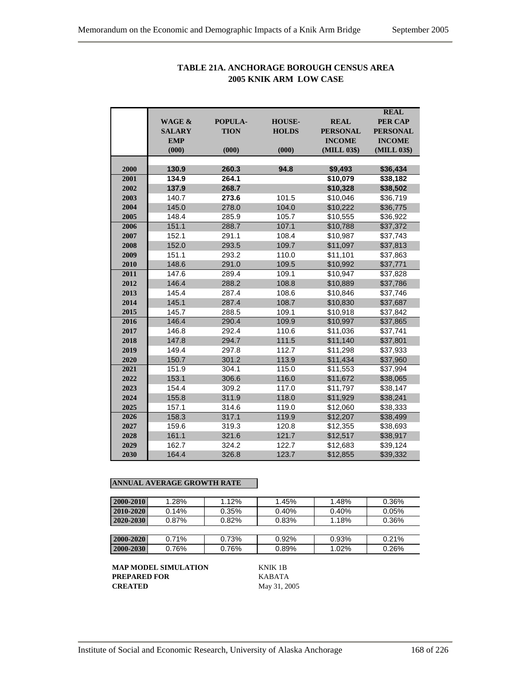|      |                   |             |               |                 | <b>REAL</b>     |
|------|-------------------|-------------|---------------|-----------------|-----------------|
|      | <b>WAGE &amp;</b> | POPULA-     | <b>HOUSE-</b> | <b>REAL</b>     | <b>PER CAP</b>  |
|      | <b>SALARY</b>     | <b>TION</b> | <b>HOLDS</b>  | <b>PERSONAL</b> | <b>PERSONAL</b> |
|      | <b>EMP</b>        |             |               | <b>INCOME</b>   | <b>INCOME</b>   |
|      | (000)             | (000)       | (000)         | (MILL 03\$)     | (MILL 03\$)     |
|      |                   |             |               |                 |                 |
| 2000 | 130.9             | 260.3       | 94.8          | \$9,493         | \$36,434        |
| 2001 | 134.9             | 264.1       |               | \$10,079        | \$38,182        |
| 2002 | 137.9             | 268.7       |               | \$10,328        | \$38,502        |
| 2003 | 140.7             | 273.6       | 101.5         | \$10,046        | \$36,719        |
| 2004 | 145.0             | 278.0       | 104.0         | \$10,222        | \$36,775        |
| 2005 | 148.4             | 285.9       | 105.7         | \$10,555        | \$36,922        |
| 2006 | 151.1             | 288.7       | 107.1         | \$10,788        | \$37,372        |
| 2007 | 152.1             | 291.1       | 108.4         | \$10,987        | \$37,743        |
| 2008 | 152.0             | 293.5       | 109.7         | \$11,097        | \$37,813        |
| 2009 | 151.1             | 293.2       | 110.0         | \$11,101        | \$37,863        |
| 2010 | 148.6             | 291.0       | 109.5         | \$10,992        | \$37,771        |
| 2011 | 147.6             | 289.4       | 109.1         | \$10,947        | \$37,828        |
| 2012 | 146.4             | 288.2       | 108.8         | \$10,889        | \$37,786        |
| 2013 | 145.4             | 287.4       | 108.6         | \$10,846        | \$37,746        |
| 2014 | 145.1             | 287.4       | 108.7         | \$10,830        | \$37,687        |
| 2015 | 145.7             | 288.5       | 109.1         | \$10,918        | \$37,842        |
| 2016 | 146.4             | 290.4       | 109.9         | \$10,997        | \$37,865        |
| 2017 | 146.8             | 292.4       | 110.6         | \$11,036        | \$37,741        |
| 2018 | 147.8             | 294.7       | 111.5         | \$11,140        | \$37,801        |
| 2019 | 149.4             | 297.8       | 112.7         | \$11,298        | \$37,933        |
| 2020 | 150.7             | 301.2       | 113.9         | \$11,434        | \$37,960        |
| 2021 | 151.9             | 304.1       | 115.0         | \$11,553        | \$37,994        |
| 2022 | 153.1             | 306.6       | 116.0         | \$11,672        | \$38,065        |
| 2023 | 154.4             | 309.2       | 117.0         | \$11,797        | \$38,147        |
| 2024 | 155.8             | 311.9       | 118.0         | \$11,929        | \$38,241        |
| 2025 | 157.1             | 314.6       | 119.0         | \$12,060        | \$38,333        |
| 2026 | 158.3             | 317.1       | 119.9         | \$12,207        | \$38,499        |
| 2027 | 159.6             | 319.3       | 120.8         | \$12,355        | \$38,693        |
| 2028 | 161.1             | 321.6       | 121.7         | \$12,517        | \$38,917        |
| 2029 | 162.7             | 324.2       | 122.7         | \$12,683        | \$39,124        |
| 2030 | 164.4             | 326.8       | 123.7         | \$12,855        | \$39,332        |

## **TABLE 21A. ANCHORAGE BOROUGH CENSUS AREA 2005 KNIK ARM LOW CASE**

## **ANNUAL AVERAGE GROWTH RATE**

| 2000-2010 | 1.28%    | 1.12% | 1.45% | 1.48% | 0.36% |
|-----------|----------|-------|-------|-------|-------|
| 2010-2020 | 0.14%    | 0.35% | 0.40% | 0.40% | 0.05% |
| 2020-2030 | $0.87\%$ | 0.82% | 0.83% | 1.18% | 0.36% |
|           |          |       |       |       |       |
| 2000-2020 | 0.71%    | 0.73% | 0.92% | 0.93% | 0.21% |
| 2000-2030 | 0.76%    | 0.76% | 0.89% | 1.02% | 0.26% |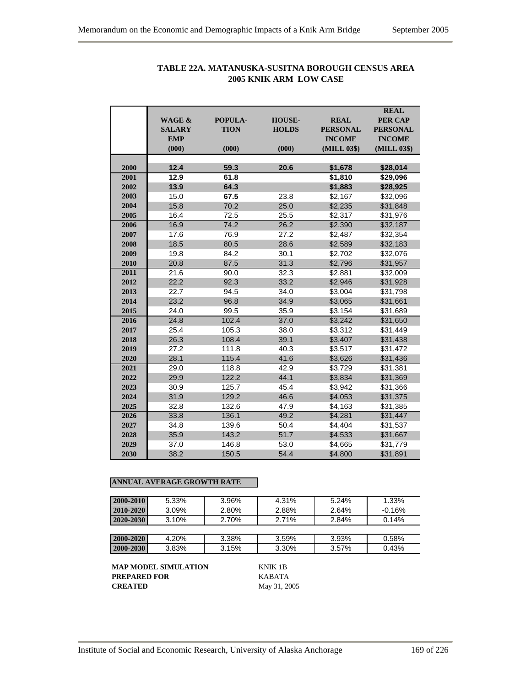|      |                   |             |               |                 | <b>REAL</b>     |
|------|-------------------|-------------|---------------|-----------------|-----------------|
|      | <b>WAGE &amp;</b> | POPULA-     | <b>HOUSE-</b> | <b>REAL</b>     | <b>PER CAP</b>  |
|      | <b>SALARY</b>     | <b>TION</b> | <b>HOLDS</b>  | <b>PERSONAL</b> | <b>PERSONAL</b> |
|      | <b>EMP</b>        |             |               | <b>INCOME</b>   | <b>INCOME</b>   |
|      | (000)             | (000)       | (000)         | (MILL 03\$)     | (MILL 03\$)     |
|      |                   |             |               |                 |                 |
| 2000 | 12.4              | 59.3        | 20.6          | \$1,678         | \$28,014        |
| 2001 | 12.9              | 61.8        |               | \$1,810         | \$29,096        |
| 2002 | 13.9              | 64.3        |               | \$1,883         | \$28,925        |
| 2003 | 15.0              | 67.5        | 23.8          | \$2,167         | \$32,096        |
| 2004 | 15.8              | 70.2        | 25.0          | \$2.235         | \$31,848        |
| 2005 | 16.4              | 72.5        | 25.5          | \$2,317         | \$31,976        |
| 2006 | 16.9              | 74.2        | 26.2          | \$2,390         | \$32,187        |
| 2007 | 17.6              | 76.9        | 27.2          | \$2,487         | \$32,354        |
| 2008 | 18.5              | 80.5        | 28.6          | \$2,589         | \$32,183        |
| 2009 | 19.8              | 84.2        | 30.1          | \$2,702         | \$32,076        |
| 2010 | 20.8              | 87.5        | 31.3          | \$2,796         | \$31,957        |
| 2011 | 21.6              | 90.0        | 32.3          | \$2,881         | \$32,009        |
| 2012 | 22.2              | 92.3        | 33.2          | \$2,946         | \$31,928        |
| 2013 | 22.7              | 94.5        | 34.0          | \$3,004         | \$31,798        |
| 2014 | 23.2              | 96.8        | 34.9          | \$3,065         | \$31,661        |
| 2015 | 24.0              | 99.5        | 35.9          | \$3,154         | \$31,689        |
| 2016 | 24.8              | 102.4       | 37.0          | \$3,242         | \$31,650        |
| 2017 | 25.4              | 105.3       | 38.0          | \$3,312         | \$31,449        |
| 2018 | 26.3              | 108.4       | 39.1          | \$3,407         | \$31,438        |
| 2019 | 27.2              | 111.8       | 40.3          | \$3,517         | \$31.472        |
| 2020 | 28.1              | 115.4       | 41.6          | \$3,626         | \$31,436        |
| 2021 | 29.0              | 118.8       | 42.9          | \$3,729         | \$31,381        |
| 2022 | 29.9              | 122.2       | 44.1          | \$3,834         | \$31,369        |
| 2023 | 30.9              | 125.7       | 45.4          | \$3,942         | \$31,366        |
| 2024 | 31.9              | 129.2       | 46.6          | \$4,053         | \$31,375        |
| 2025 | 32.8              | 132.6       | 47.9          | \$4,163         | \$31,385        |
| 2026 | 33.8              | 136.1       | 49.2          | \$4,281         | \$31,447        |
| 2027 | 34.8              | 139.6       | 50.4          | \$4,404         | \$31,537        |
| 2028 | 35.9              | 143.2       | 51.7          | \$4,533         | \$31,667        |
| 2029 | 37.0              | 146.8       | 53.0          | \$4,665         | \$31,779        |
| 2030 | 38.2              | 150.5       | 54.4          | \$4,800         | \$31,891        |

# **TABLE 22A. MATANUSKA-SUSITNA BOROUGH CENSUS AREA 2005 KNIK ARM LOW CASE**

## **ANNUAL AVERAGE GROWTH RATE**

| 2000-2010       | 5.33% | 3.96% | 4.31% | 5.24% | 1.33%    |
|-----------------|-------|-------|-------|-------|----------|
| 2010-2020       | 3.09% | 2.80% | 2.88% | 2.64% | $-0.16%$ |
| $2020 - 2030$   | 3.10% | 2.70% | 2.71% | 2.84% | 0.14%    |
|                 |       |       |       |       |          |
| 2000-2020       | 4.20% | 3.38% | 3.59% | 3.93% | 0.58%    |
| $ 2000 - 2030 $ | 3.83% | 3.15% | 3.30% | 3.57% | 0.43%    |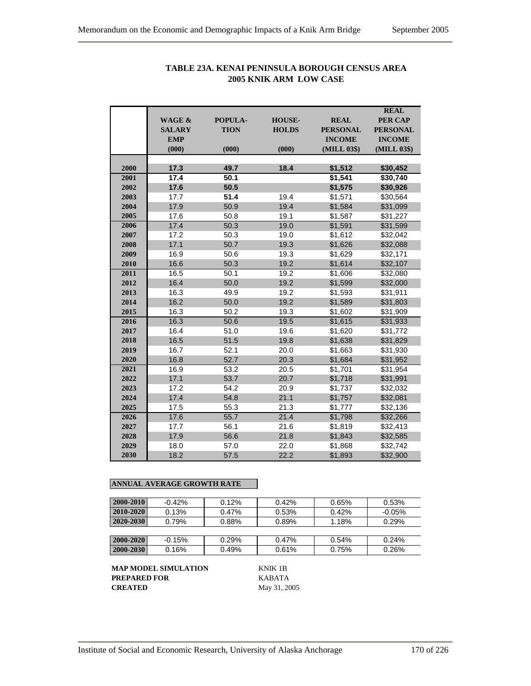|      | <b>WAGE &amp;</b><br><b>SALARY</b><br><b>EMP</b><br>(000) | POPULA-<br><b>TION</b><br>(000) | <b>HOUSE-</b><br><b>HOLDS</b><br>(000) | <b>REAL</b><br><b>PERSONAL</b><br><b>INCOME</b><br>(MILL 03\$) | <b>REAL</b><br><b>PER CAP</b><br><b>PERSONAL</b><br><b>INCOME</b><br>(MILL 03\$) |
|------|-----------------------------------------------------------|---------------------------------|----------------------------------------|----------------------------------------------------------------|----------------------------------------------------------------------------------|
| 2000 | 17.3                                                      | 49.7                            | 18.4                                   | \$1,512                                                        | \$30,452                                                                         |
| 2001 | 17.4                                                      | 50.1                            |                                        | \$1,541                                                        | \$30,740                                                                         |
| 2002 | 17.6                                                      | 50.5                            |                                        | \$1,575                                                        | \$30,926                                                                         |
| 2003 | 17.7                                                      | 51.4                            | 19.4                                   | \$1,571                                                        | \$30,564                                                                         |
| 2004 | 17.9                                                      | 50.9                            | 19.4                                   | \$1,584                                                        | \$31,099                                                                         |
| 2005 | 17.6                                                      | 50.8                            | 19.1                                   | \$1,587                                                        | \$31,227                                                                         |
| 2006 | 17.4                                                      | 50.3                            | 19.0                                   | \$1,591                                                        | \$31,599                                                                         |
| 2007 | 17.2                                                      | 50.3                            | 19.0                                   | \$1,612                                                        | \$32,042                                                                         |
| 2008 | 17.1                                                      | 50.7                            | 19.3                                   | \$1,626                                                        | \$32,088                                                                         |
| 2009 | 16.9                                                      | 50.6                            | 19.3                                   | \$1,629                                                        | \$32,171                                                                         |
| 2010 | 16.6                                                      | 50.3                            | 19.2                                   | \$1,614                                                        | \$32,107                                                                         |
| 2011 | 16.5                                                      | 50.1                            | 19.2                                   | \$1,606                                                        | \$32,080                                                                         |
| 2012 | 16.4                                                      | 50.0                            | 19.2                                   | \$1,599                                                        | \$32,000                                                                         |
| 2013 | 16.3                                                      | 49.9                            | 19.2                                   | \$1,593                                                        | \$31,911                                                                         |
| 2014 | 16.2                                                      | 50.0                            | 19.2                                   | \$1,589                                                        | \$31,803                                                                         |
| 2015 | 16.3                                                      | 50.2                            | 19.3                                   | \$1,602                                                        | \$31,909                                                                         |
| 2016 | 16.3                                                      | 50.6                            | 19.5                                   | \$1,615                                                        | \$31,933                                                                         |
| 2017 | 16.4                                                      | 51.0                            | 19.6                                   | \$1,620                                                        | \$31,772                                                                         |
| 2018 | 16.5                                                      | 51.5                            | 19.8                                   | \$1,638                                                        | \$31,829                                                                         |
| 2019 | 16.7                                                      | 52.1                            | 20.0                                   | \$1,663                                                        | \$31,930                                                                         |
| 2020 | 16.8                                                      | 52.7                            | 20.3                                   | \$1,684                                                        | \$31,952                                                                         |
| 2021 | 16.9                                                      | 53.2                            | 20.5                                   | \$1,701                                                        | \$31,954                                                                         |
| 2022 | 17.1                                                      | 53.7                            | 20.7                                   | \$1,718                                                        | \$31,991                                                                         |
| 2023 | 17.2                                                      | 54.2                            | 20.9                                   | \$1,737                                                        | \$32,032                                                                         |
| 2024 | 17.4                                                      | 54.8                            | 21.1                                   | \$1,757                                                        | \$32,081                                                                         |
| 2025 | 17.5                                                      | 55.3                            | 21.3                                   | \$1,777                                                        | \$32,136                                                                         |
| 2026 | 17.6                                                      | 55.7                            | 21.4                                   | \$1,798                                                        | \$32,266                                                                         |
| 2027 | 17.7                                                      | 56.1                            | 21.6                                   | \$1,819                                                        | \$32,413                                                                         |
| 2028 | 17.9                                                      | 56.6                            | 21.8                                   | \$1,843                                                        | \$32,585                                                                         |
| 2029 | 18.0                                                      | 57.0                            | 22.0                                   | \$1,868                                                        | \$32,742                                                                         |
| 2030 | 18.2                                                      | 57.5                            | 22.2                                   | \$1,893                                                        | \$32,900                                                                         |

## **TABLE 23A. KENAI PENINSULA BOROUGH CENSUS AREA 2005 KNIK ARM LOW CASE**

## **ANNUAL AVERAGE GROWTH RATE**

| 2000-2010 | $-0.42%$ | $0.12\%$ | 0.42% | 0.65% | 0.53%    |
|-----------|----------|----------|-------|-------|----------|
| 2010-2020 | 0.13%    | $0.47\%$ | 0.53% | 0.42% | $-0.05%$ |
| 2020-2030 | 0.79%    | 0.88%    | 0.89% | 1.18% | 0.29%    |
|           |          |          |       |       |          |
| 2000-2020 | $-0.15%$ | 0.29%    | 0.47% | 0.54% | 0.24%    |
| 2000-2030 | 0.16%    | 0.49%    | 0.61% | 0.75% | 0.26%    |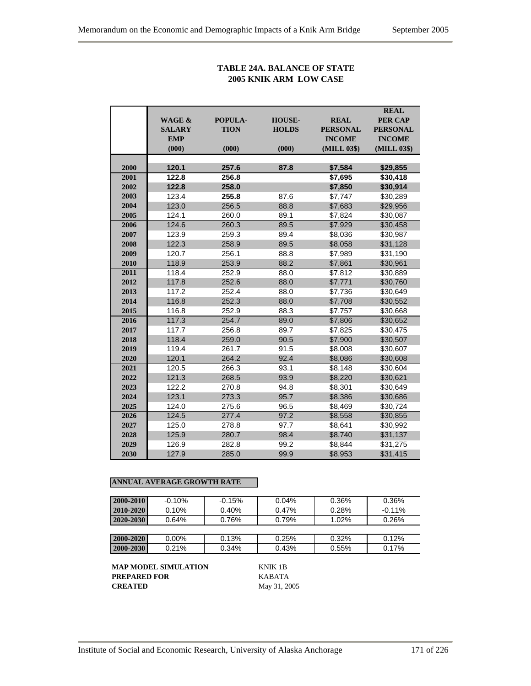## **TABLE 24A. BALANCE OF STATE 2005 KNIK ARM LOW CASE**

| <b>PER CAP</b><br><b>WAGE &amp;</b><br>POPULA-<br><b>HOUSE-</b><br><b>REAL</b><br><b>TION</b><br><b>HOLDS</b><br><b>PERSONAL</b><br><b>SALARY</b><br><b>PERSONAL</b><br><b>INCOME</b><br><b>EMP</b><br><b>INCOME</b><br>(000)<br>(MILL 03\$)<br>(MILL 03\$)<br>(000)<br>(000)<br>2000<br>120.1<br>257.6<br>87.8<br>\$7,584<br>\$29,855<br>122.8<br>256.8<br>\$7,695<br>\$30,418<br>2001<br>2002<br>122.8<br>258.0<br>\$7,850<br>\$30,914<br>2003<br>123.4<br>255.8<br>87.6<br>\$30,289<br>\$7,747<br>2004<br>123.0<br>256.5<br>88.8<br>\$7,683<br>\$29,956<br>2005<br>124.1<br>260.0<br>89.1<br>\$7,824<br>\$30,087<br>124.6<br>89.5<br>2006<br>260.3<br>\$7,929<br>\$30,458<br>89.4<br>2007<br>123.9<br>259.3<br>\$8,036<br>\$30,987<br>122.3<br>258.9<br>89.5<br>\$8,058<br>\$31,128<br>2008<br>88.8<br>2009<br>120.7<br>256.1<br>\$7,989<br>\$31,190<br>118.9<br>253.9<br>88.2<br>\$30,961<br>2010<br>\$7,861<br>2011<br>118.4<br>252.9<br>88.0<br>\$7,812<br>\$30,889 |  |
|---------------------------------------------------------------------------------------------------------------------------------------------------------------------------------------------------------------------------------------------------------------------------------------------------------------------------------------------------------------------------------------------------------------------------------------------------------------------------------------------------------------------------------------------------------------------------------------------------------------------------------------------------------------------------------------------------------------------------------------------------------------------------------------------------------------------------------------------------------------------------------------------------------------------------------------------------------------------------|--|
|                                                                                                                                                                                                                                                                                                                                                                                                                                                                                                                                                                                                                                                                                                                                                                                                                                                                                                                                                                           |  |
|                                                                                                                                                                                                                                                                                                                                                                                                                                                                                                                                                                                                                                                                                                                                                                                                                                                                                                                                                                           |  |
|                                                                                                                                                                                                                                                                                                                                                                                                                                                                                                                                                                                                                                                                                                                                                                                                                                                                                                                                                                           |  |
|                                                                                                                                                                                                                                                                                                                                                                                                                                                                                                                                                                                                                                                                                                                                                                                                                                                                                                                                                                           |  |
|                                                                                                                                                                                                                                                                                                                                                                                                                                                                                                                                                                                                                                                                                                                                                                                                                                                                                                                                                                           |  |
|                                                                                                                                                                                                                                                                                                                                                                                                                                                                                                                                                                                                                                                                                                                                                                                                                                                                                                                                                                           |  |
|                                                                                                                                                                                                                                                                                                                                                                                                                                                                                                                                                                                                                                                                                                                                                                                                                                                                                                                                                                           |  |
|                                                                                                                                                                                                                                                                                                                                                                                                                                                                                                                                                                                                                                                                                                                                                                                                                                                                                                                                                                           |  |
|                                                                                                                                                                                                                                                                                                                                                                                                                                                                                                                                                                                                                                                                                                                                                                                                                                                                                                                                                                           |  |
|                                                                                                                                                                                                                                                                                                                                                                                                                                                                                                                                                                                                                                                                                                                                                                                                                                                                                                                                                                           |  |
|                                                                                                                                                                                                                                                                                                                                                                                                                                                                                                                                                                                                                                                                                                                                                                                                                                                                                                                                                                           |  |
|                                                                                                                                                                                                                                                                                                                                                                                                                                                                                                                                                                                                                                                                                                                                                                                                                                                                                                                                                                           |  |
|                                                                                                                                                                                                                                                                                                                                                                                                                                                                                                                                                                                                                                                                                                                                                                                                                                                                                                                                                                           |  |
|                                                                                                                                                                                                                                                                                                                                                                                                                                                                                                                                                                                                                                                                                                                                                                                                                                                                                                                                                                           |  |
|                                                                                                                                                                                                                                                                                                                                                                                                                                                                                                                                                                                                                                                                                                                                                                                                                                                                                                                                                                           |  |
|                                                                                                                                                                                                                                                                                                                                                                                                                                                                                                                                                                                                                                                                                                                                                                                                                                                                                                                                                                           |  |
|                                                                                                                                                                                                                                                                                                                                                                                                                                                                                                                                                                                                                                                                                                                                                                                                                                                                                                                                                                           |  |
| 117.8<br>252.6<br>88.0<br>\$7,771<br>2012<br>\$30,760                                                                                                                                                                                                                                                                                                                                                                                                                                                                                                                                                                                                                                                                                                                                                                                                                                                                                                                     |  |
| 2013<br>117.2<br>88.0<br>252.4<br>\$7,736<br>\$30,649                                                                                                                                                                                                                                                                                                                                                                                                                                                                                                                                                                                                                                                                                                                                                                                                                                                                                                                     |  |
| 2014<br>116.8<br>252.3<br>88.0<br>\$7,708<br>\$30,552                                                                                                                                                                                                                                                                                                                                                                                                                                                                                                                                                                                                                                                                                                                                                                                                                                                                                                                     |  |
| 2015<br>116.8<br>252.9<br>88.3<br>\$7,757<br>\$30,668                                                                                                                                                                                                                                                                                                                                                                                                                                                                                                                                                                                                                                                                                                                                                                                                                                                                                                                     |  |
| 2016<br>117.3<br>89.0<br>254.7<br>\$7,806<br>\$30,652                                                                                                                                                                                                                                                                                                                                                                                                                                                                                                                                                                                                                                                                                                                                                                                                                                                                                                                     |  |
| 2017<br>117.7<br>256.8<br>89.7<br>\$7,825<br>\$30,475                                                                                                                                                                                                                                                                                                                                                                                                                                                                                                                                                                                                                                                                                                                                                                                                                                                                                                                     |  |
| 2018<br>118.4<br>259.0<br>90.5<br>\$7,900<br>\$30,507                                                                                                                                                                                                                                                                                                                                                                                                                                                                                                                                                                                                                                                                                                                                                                                                                                                                                                                     |  |
| 119.4<br>261.7<br>91.5<br>\$8,008<br>2019<br>\$30,607                                                                                                                                                                                                                                                                                                                                                                                                                                                                                                                                                                                                                                                                                                                                                                                                                                                                                                                     |  |
| 120.1<br>264.2<br>92.4<br>2020<br>\$8,086<br>\$30,608                                                                                                                                                                                                                                                                                                                                                                                                                                                                                                                                                                                                                                                                                                                                                                                                                                                                                                                     |  |
| 2021<br>120.5<br>266.3<br>93.1<br>\$8,148<br>\$30,604                                                                                                                                                                                                                                                                                                                                                                                                                                                                                                                                                                                                                                                                                                                                                                                                                                                                                                                     |  |
| 121.3<br>2022<br>268.5<br>93.9<br>\$8,220<br>\$30,621                                                                                                                                                                                                                                                                                                                                                                                                                                                                                                                                                                                                                                                                                                                                                                                                                                                                                                                     |  |
| 2023<br>122.2<br>270.8<br>94.8<br>\$8,301<br>\$30,649                                                                                                                                                                                                                                                                                                                                                                                                                                                                                                                                                                                                                                                                                                                                                                                                                                                                                                                     |  |
| 2024<br>123.1<br>95.7<br>273.3<br>\$8,386<br>\$30,686                                                                                                                                                                                                                                                                                                                                                                                                                                                                                                                                                                                                                                                                                                                                                                                                                                                                                                                     |  |
| 2025<br>124.0<br>96.5<br>\$8,469<br>275.6<br>\$30,724                                                                                                                                                                                                                                                                                                                                                                                                                                                                                                                                                                                                                                                                                                                                                                                                                                                                                                                     |  |
| 2026<br>124.5<br>277.4<br>97.2<br>\$8,558<br>\$30,855                                                                                                                                                                                                                                                                                                                                                                                                                                                                                                                                                                                                                                                                                                                                                                                                                                                                                                                     |  |
| 2027<br>125.0<br>278.8<br>97.7<br>\$8,641<br>\$30,992                                                                                                                                                                                                                                                                                                                                                                                                                                                                                                                                                                                                                                                                                                                                                                                                                                                                                                                     |  |
| 2028<br>125.9<br>280.7<br>98.4<br>\$8,740<br>\$31,137                                                                                                                                                                                                                                                                                                                                                                                                                                                                                                                                                                                                                                                                                                                                                                                                                                                                                                                     |  |
| 2029<br>126.9<br>282.8<br>99.2<br>\$8,844<br>\$31,275                                                                                                                                                                                                                                                                                                                                                                                                                                                                                                                                                                                                                                                                                                                                                                                                                                                                                                                     |  |
| 2030<br>99.9<br>127.9<br>285.0<br>\$8,953<br>\$31,415                                                                                                                                                                                                                                                                                                                                                                                                                                                                                                                                                                                                                                                                                                                                                                                                                                                                                                                     |  |

## **ANNUAL AVERAGE GROWTH RATE**

| 2000-2010       | $-0.10%$ | $-0.15%$ | 0.04% | 0.36%    | 0.36%    |
|-----------------|----------|----------|-------|----------|----------|
| $ 2010 - 2020 $ | 0.10%    | 0.40%    | 0.47% | 0.28%    | $-0.11%$ |
| $2020 - 2030$   | 0.64%    | 0.76%    | 0.79% | $1.02\%$ | 0.26%    |
|                 |          |          |       |          |          |
| 2000-2020       | $0.00\%$ | 0.13%    | 0.25% | 0.32%    | 0.12%    |
| $ 2000 - 2030 $ | 0.21%    | 0.34%    | 0.43% | 0.55%    | 0.17%    |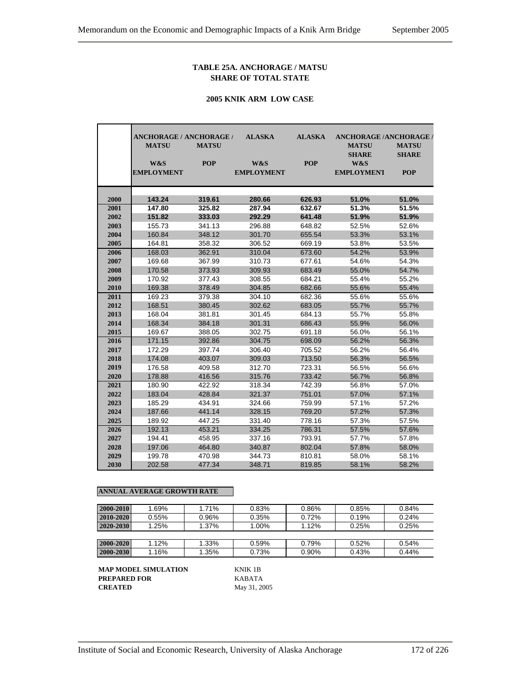#### **TABLE 25A. ANCHORAGE / MATSU SHARE OF TOTAL STATE**

#### **2005 KNIK ARM LOW CASE**

|      | ANCHORAGE / ANCHORAGE / |              | <b>ALASKA</b>     | <b>ALASKA</b> | <b>ANCHORAGE /ANCHORAGE /</b> |              |
|------|-------------------------|--------------|-------------------|---------------|-------------------------------|--------------|
|      | <b>MATSU</b>            | <b>MATSU</b> |                   |               | <b>MATSU</b>                  | <b>MATSU</b> |
|      |                         |              |                   |               | <b>SHARE</b>                  | <b>SHARE</b> |
|      | W&S                     | <b>POP</b>   | W&S               | <b>POP</b>    | W&S                           |              |
|      | <b>EMPLOYMENT</b>       |              | <b>EMPLOYMENT</b> |               | <b>EMPLOYMENT</b>             | <b>POP</b>   |
|      |                         |              |                   |               |                               |              |
| 2000 | 143.24                  | 319.61       | 280.66            | 626.93        | 51.0%                         | 51.0%        |
| 2001 | 147.80                  | 325.82       | 287.94            | 632.67        | 51.3%                         | 51.5%        |
| 2002 | 151.82                  | 333.03       | 292.29            | 641.48        | 51.9%                         | 51.9%        |
| 2003 | 155.73                  | 341.13       | 296.88            | 648.82        | 52.5%                         | 52.6%        |
| 2004 | 160.84                  | 348.12       | 301.70            | 655.54        | 53.3%                         | 53.1%        |
| 2005 | 164.81                  | 358.32       | 306.52            | 669.19        | 53.8%                         | 53.5%        |
| 2006 | 168.03                  | 362.91       | 310.04            | 673.60        | 54.2%                         | 53.9%        |
| 2007 | 169.68                  | 367.99       | 310.73            | 677.61        | 54.6%                         | 54.3%        |
| 2008 | 170.58                  | 373.93       | 309.93            | 683.49        | 55.0%                         | 54.7%        |
| 2009 | 170.92                  | 377.43       | 308.55            | 684.21        | 55.4%                         | 55.2%        |
| 2010 | 169.38                  | 378.49       | 304.85            | 682.66        | 55.6%                         | 55.4%        |
| 2011 | 169.23                  | 379.38       | 304.10            | 682.36        | 55.6%                         | 55.6%        |
| 2012 | 168.51                  | 380.45       | 302.62            | 683.05        | 55.7%                         | 55.7%        |
| 2013 | 168.04                  | 381.81       | 301.45            | 684.13        | 55.7%                         | 55.8%        |
| 2014 | 168.34                  | 384.18       | 301.31            | 686.43        | 55.9%                         | 56.0%        |
| 2015 | 169.67                  | 388.05       | 302.75            | 691.18        | 56.0%                         | 56.1%        |
| 2016 | 171.15                  | 392.86       | 304.75            | 698.09        | 56.2%                         | 56.3%        |
| 2017 | 172.29                  | 397.74       | 306.40            | 705.52        | 56.2%                         | 56.4%        |
| 2018 | 174.08                  | 403.07       | 309.03            | 713.50        | 56.3%                         | 56.5%        |
| 2019 | 176.58                  | 409.58       | 312.70            | 723.31        | 56.5%                         | 56.6%        |
| 2020 | 178.88                  | 416.56       | 315.76            | 733.42        | 56.7%                         | 56.8%        |
| 2021 | 180.90                  | 422.92       | 318.34            | 742.39        | 56.8%                         | 57.0%        |
| 2022 | 183.04                  | 428.84       | 321.37            | 751.01        | 57.0%                         | 57.1%        |
| 2023 | 185.29                  | 434.91       | 324.66            | 759.99        | 57.1%                         | 57.2%        |
| 2024 | 187.66                  | 441.14       | 328.15            | 769.20        | 57.2%                         | 57.3%        |
| 2025 | 189.92                  | 447.25       | 331.40            | 778.16        | 57.3%                         | 57.5%        |
| 2026 | 192.13                  | 453.21       | 334.25            | 786.31        | 57.5%                         | 57.6%        |
| 2027 | 194.41                  | 458.95       | 337.16            | 793.91        | 57.7%                         | 57.8%        |
| 2028 | 197.06                  | 464.80       | 340.87            | 802.04        | 57.8%                         | 58.0%        |
| 2029 | 199.78                  | 470.98       | 344.73            | 810.81        | 58.0%                         | 58.1%        |
| 2030 | 202.58                  | 477.34       | 348.71            | 819.85        | 58.1%                         | 58.2%        |

#### **ANNUAL AVERAGE GROWTH RATE**

| 2000-2010     | 1.69% | 1.71% | 0.83% | 0.86% | 0.85% | 0.84% |
|---------------|-------|-------|-------|-------|-------|-------|
| $2010 - 2020$ | 0.55% | 0.96% | 0.35% | 0.72% | 0.19% | 0.24% |
| $2020 - 2030$ | 1.25% | 1.37% | 1.00% | 1.12% | 0.25% | 0.25% |
|               |       |       |       |       |       |       |
| $2000 - 2020$ | 1.12% | 1.33% | 0.59% | 0.79% | 0.52% | 0.54% |
| 2000-2030     | 1.16% | 1.35% | 0.73% | 0.90% | 0.43% | 0.44% |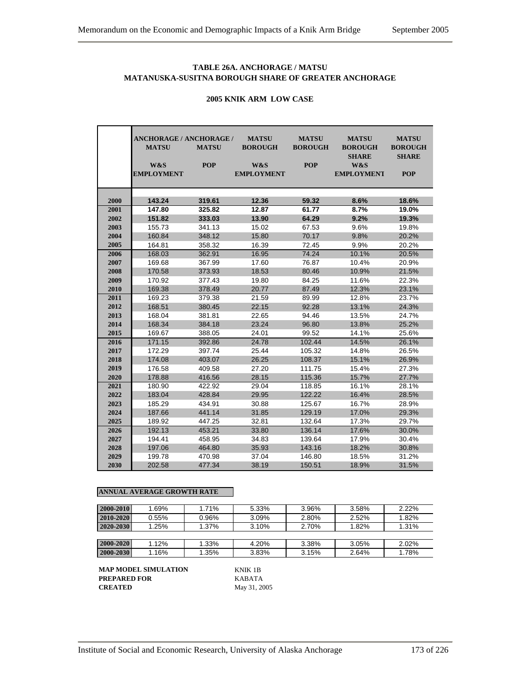## **TABLE 26A. ANCHORAGE / MATSU MATANUSKA-SUSITNA BOROUGH SHARE OF GREATER ANCHORAGE**

|      | <b>ANCHORAGE / ANCHORAGE /</b><br><b>MATSU</b> | <b>MATSU</b> | <b>MATSU</b><br><b>BOROUGH</b> | <b>MATSU</b><br><b>BOROUGH</b> | <b>MATSU</b><br><b>BOROUGH</b><br><b>SHARE</b> | <b>MATSU</b><br><b>BOROUGH</b><br><b>SHARE</b> |
|------|------------------------------------------------|--------------|--------------------------------|--------------------------------|------------------------------------------------|------------------------------------------------|
|      | W&S                                            | <b>POP</b>   | W&S                            | <b>POP</b>                     | W&S                                            |                                                |
|      | <b>EMPLOYMENT</b>                              |              | <b>EMPLOYMENT</b>              |                                | <b>EMPLOYMENT</b>                              | <b>POP</b>                                     |
|      |                                                |              |                                |                                |                                                |                                                |
|      |                                                |              |                                |                                |                                                |                                                |
| 2000 | 143.24                                         | 319.61       | 12.36                          | 59.32                          | 8.6%                                           | 18.6%                                          |
| 2001 | 147.80                                         | 325.82       | 12.87                          | 61.77                          | 8.7%                                           | 19.0%                                          |
| 2002 | 151.82                                         | 333.03       | 13.90                          | 64.29                          | 9.2%                                           | 19.3%                                          |
| 2003 | 155.73                                         | 341.13       | 15.02                          | 67.53                          | 9.6%                                           | 19.8%                                          |
| 2004 | 160.84                                         | 348.12       | 15.80                          | 70.17                          | 9.8%                                           | 20.2%                                          |
| 2005 | 164.81                                         | 358.32       | 16.39                          | 72.45                          | 9.9%                                           | 20.2%                                          |
| 2006 | 168.03                                         | 362.91       | 16.95                          | 74.24                          | 10.1%                                          | 20.5%                                          |
| 2007 | 169.68                                         | 367.99       | 17.60                          | 76.87                          | 10.4%                                          | 20.9%                                          |
| 2008 | 170.58                                         | 373.93       | 18.53                          | 80.46                          | 10.9%                                          | 21.5%                                          |
| 2009 | 170.92                                         | 377.43       | 19.80                          | 84.25                          | 11.6%                                          | 22.3%                                          |
| 2010 | 169.38                                         | 378.49       | 20.77                          | 87.49                          | 12.3%                                          | 23.1%                                          |
| 2011 | 169.23                                         | 379.38       | 21.59                          | 89.99                          | 12.8%                                          | 23.7%                                          |
| 2012 | 168.51                                         | 380.45       | 22.15                          | 92.28                          | 13.1%                                          | 24.3%                                          |
| 2013 | 168.04                                         | 381.81       | 22.65                          | 94.46                          | 13.5%                                          | 24.7%                                          |
| 2014 | 168.34                                         | 384.18       | 23.24                          | 96.80                          | 13.8%                                          | 25.2%                                          |
| 2015 | 169.67                                         | 388.05       | 24.01                          | 99.52                          | 14.1%                                          | 25.6%                                          |
| 2016 | 171.15                                         | 392.86       | 24.78                          | 102.44                         | 14.5%                                          | 26.1%                                          |
| 2017 | 172.29                                         | 397.74       | 25.44                          | 105.32                         | 14.8%                                          | 26.5%                                          |
| 2018 | 174.08                                         | 403.07       | 26.25                          | 108.37                         | 15.1%                                          | 26.9%                                          |
| 2019 | 176.58                                         | 409.58       | 27.20                          | 111.75                         | 15.4%                                          | 27.3%                                          |
| 2020 | 178.88                                         | 416.56       | 28.15                          | 115.36                         | 15.7%                                          | 27.7%                                          |
| 2021 | 180.90                                         | 422.92       | 29.04                          | 118.85                         | 16.1%                                          | 28.1%                                          |
| 2022 | 183.04                                         | 428.84       | 29.95                          | 122.22                         | 16.4%                                          | 28.5%                                          |
| 2023 | 185.29                                         | 434.91       | 30.88                          | 125.67                         | 16.7%                                          | 28.9%                                          |
| 2024 | 187.66                                         | 441.14       | 31.85                          | 129.19                         | 17.0%                                          | 29.3%                                          |
| 2025 | 189.92                                         | 447.25       | 32.81                          | 132.64                         | 17.3%                                          | 29.7%                                          |
| 2026 | 192.13                                         | 453.21       | 33.80                          | 136.14                         | 17.6%                                          | 30.0%                                          |
| 2027 | 194.41                                         | 458.95       | 34.83                          | 139.64                         | 17.9%                                          | 30.4%                                          |
| 2028 | 197.06                                         | 464.80       | 35.93                          | 143.16                         | 18.2%                                          | 30.8%                                          |
| 2029 | 199.78                                         | 470.98       | 37.04                          | 146.80                         | 18.5%                                          | 31.2%                                          |
| 2030 | 202.58                                         | 477.34       | 38.19                          | 150.51                         | 18.9%                                          | 31.5%                                          |

#### **2005 KNIK ARM LOW CASE**

#### **ANNUAL AVERAGE GROWTH RATE**

| 2000-2010 | 1.69% | 1.71% | 5.33% | 3.96% | 3.58% | 2.22% |
|-----------|-------|-------|-------|-------|-------|-------|
| 2010-2020 | 0.55% | 0.96% | 3.09% | 2.80% | 2.52% | 1.82% |
| 2020-2030 | 1.25% | 1.37% | 3.10% | 2.70% | 1.82% | 1.31% |
|           |       |       |       |       |       |       |
| 2000-2020 | 1.12% | 1.33% | 4.20% | 3.38% | 3.05% | 2.02% |
| 2000-2030 | 1.16% | 1.35% | 3.83% | 3.15% | 2.64% | 1.78% |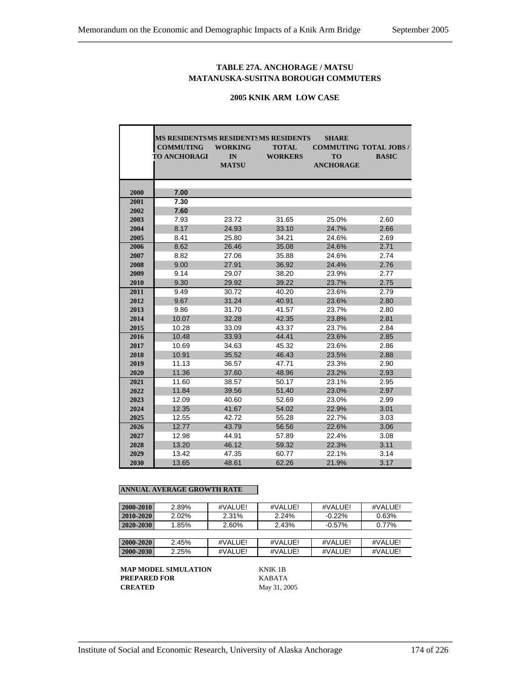## **TABLE 27A. ANCHORAGE / MATSU MATANUSKA-SUSITNA BOROUGH COMMUTERS**

#### **2005 KNIK ARM LOW CASE**

|              | <b>MS RESIDENTS MS RESIDENTS MS RESIDENTS</b> |                |                | <b>SHARE</b>     |                               |
|--------------|-----------------------------------------------|----------------|----------------|------------------|-------------------------------|
|              | <b>COMMUTING</b>                              | <b>WORKING</b> | <b>TOTAL</b>   |                  | <b>COMMUTING TOTAL JOBS /</b> |
|              | <b>TO ANCHORAGE</b>                           | IN             | <b>WORKERS</b> | <b>TO</b>        | <b>BASIC</b>                  |
|              |                                               | <b>MATSU</b>   |                | <b>ANCHORAGE</b> |                               |
|              |                                               |                |                |                  |                               |
|              |                                               |                |                |                  |                               |
| 2000<br>2001 | 7.00<br>7.30                                  |                |                |                  |                               |
| 2002         | 7.60                                          |                |                |                  |                               |
| 2003         | 7.93                                          | 23.72          | 31.65          | 25.0%            | 2.60                          |
|              | 8.17                                          |                |                | 24.7%            |                               |
| 2004         |                                               | 24.93          | 33.10          |                  | 2.66                          |
| 2005         | 8.41<br>8.62                                  | 25.80          | 34.21          | 24.6%<br>24.6%   | 2.69<br>2.71                  |
| 2006         |                                               | 26.46          | 35.08          |                  |                               |
| 2007         | 8.82                                          | 27.06          | 35.88          | 24.6%            | 2.74                          |
| 2008         | 9.00                                          | 27.91          | 36.92          | 24.4%            | 2.76                          |
| 2009         | 9.14                                          | 29.07          | 38.20          | 23.9%            | 2.77                          |
| 2010         | 9.30                                          | 29.92          | 39.22          | 23.7%            | 2.75                          |
| 2011         | 9.49                                          | 30.72          | 40.20          | 23.6%            | 2.79                          |
| 2012         | 9.67                                          | 31.24          | 40.91          | 23.6%            | 2.80                          |
| 2013         | 9.86                                          | 31.70          | 41.57          | 23.7%            | 2.80                          |
| 2014         | 10.07                                         | 32.28          | 42.35          | 23.8%            | 2.81                          |
| 2015         | 10.28                                         | 33.09          | 43.37          | 23.7%            | 2.84                          |
| 2016         | 10.48                                         | 33.93          | 44.41          | 23.6%            | 2.85                          |
| 2017         | 10.69                                         | 34.63          | 45.32          | 23.6%            | 2.86                          |
| 2018         | 10.91                                         | 35.52          | 46.43          | 23.5%            | 2.88                          |
| 2019         | 11.13                                         | 36.57          | 47.71          | 23.3%            | 2.90                          |
| 2020         | 11.36                                         | 37.60          | 48.96          | 23.2%            | 2.93                          |
| 2021         | 11.60                                         | 38.57          | 50.17          | 23.1%            | 2.95                          |
| 2022         | 11.84                                         | 39.56          | 51.40          | 23.0%            | 2.97                          |
| 2023         | 12.09                                         | 40.60          | 52.69          | 23.0%            | 2.99                          |
| 2024         | 12.35                                         | 41.67          | 54.02          | 22.9%            | 3.01                          |
| 2025         | 12.55                                         | 42.72          | 55.28          | 22.7%            | 3.03                          |
| 2026         | 12.77                                         | 43.79          | 56.56          | 22.6%            | 3.06                          |
| 2027         | 12.98                                         | 44.91          | 57.89          | 22.4%            | 3.08                          |
| 2028         | 13.20                                         | 46.12          | 59.32          | 22.3%            | 3.11                          |
| 2029         | 13.42                                         | 47.35          | 60.77          | 22.1%            | 3.14                          |
| 2030         | 13.65                                         | 48.61          | 62.26          | 21.9%            | 3.17                          |

#### **ANNUAL AVERAGE GROWTH RATE**

| 2000-2010     | 2.89% | #VALUE! | #VALUE! | #VALUE!   | #VALUE! |
|---------------|-------|---------|---------|-----------|---------|
| $2010 - 2020$ | 2.02% | 2.31%   | 2.24%   | $-0.22%$  | 0.63%   |
| 2020-2030     | 1.85% | 2.60%   | 2.43%   | $-0.57\%$ | 0.77%   |
|               |       |         |         |           |         |
| $2000 - 2020$ | 2.45% | #VALUE! | #VALUE! | #VALUE!   | #VALUE! |
| 2000-2030     | 2.25% | #VALUE! | #VALUE! | #VALUE!   | #VALUE! |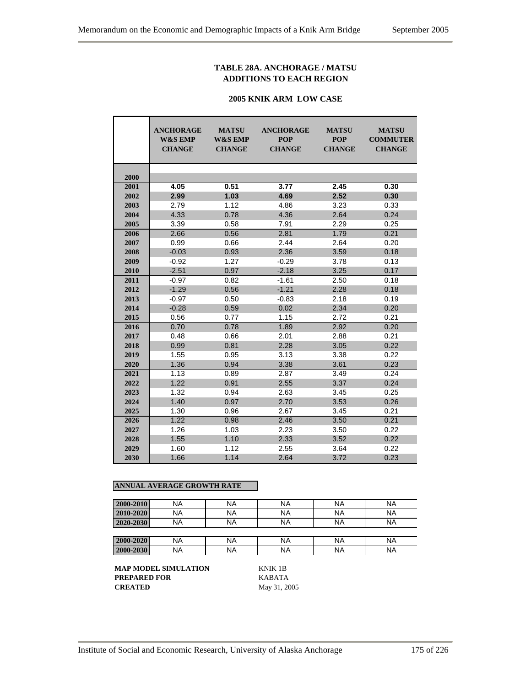## **TABLE 28A. ANCHORAGE / MATSU ADDITIONS TO EACH REGION**

#### **2005 KNIK ARM LOW CASE**

|      | <b>ANCHORAGE</b><br><b>W&amp;S EMP</b><br><b>CHANGE</b> | <b>MATSU</b><br><b>W&amp;S EMP</b><br><b>CHANGE</b> | <b>ANCHORAGE</b><br><b>POP</b><br><b>CHANGE</b> | <b>MATSU</b><br><b>POP</b><br><b>CHANGE</b> | <b>MATSU</b><br><b>COMMUTER</b><br><b>CHANGE</b> |
|------|---------------------------------------------------------|-----------------------------------------------------|-------------------------------------------------|---------------------------------------------|--------------------------------------------------|
| 2000 |                                                         |                                                     |                                                 |                                             |                                                  |
| 2001 | 4.05                                                    | 0.51                                                | 3.77                                            | 2.45                                        | 0.30                                             |
| 2002 | 2.99                                                    | 1.03                                                | 4.69                                            | 2.52                                        | 0.30                                             |
| 2003 | 2.79                                                    | 1.12                                                | 4.86                                            | 3.23                                        | 0.33                                             |
| 2004 | 4.33                                                    | 0.78                                                | 4.36                                            | 2.64                                        | 0.24                                             |
| 2005 | 3.39                                                    | 0.58                                                | 7.91                                            | 2.29                                        | 0.25                                             |
| 2006 | 2.66                                                    | 0.56                                                | 2.81                                            | 1.79                                        | 0.21                                             |
| 2007 | 0.99                                                    | 0.66                                                | 2.44                                            | 2.64                                        | 0.20                                             |
| 2008 | $-0.03$                                                 | 0.93                                                | 2.36                                            | 3.59                                        | 0.18                                             |
| 2009 | $-0.92$                                                 | 1.27                                                | $-0.29$                                         | 3.78                                        | 0.13                                             |
| 2010 | $-2.51$                                                 | 0.97                                                | $-2.18$                                         | 3.25                                        | 0.17                                             |
| 2011 | $-0.97$                                                 | 0.82                                                | $-1.61$                                         | 2.50                                        | 0.18                                             |
| 2012 | $-1.29$                                                 | 0.56                                                | $-1.21$                                         | 2.28                                        | 0.18                                             |
| 2013 | $-0.97$                                                 | 0.50                                                | $-0.83$                                         | 2.18                                        | 0.19                                             |
| 2014 | $-0.28$                                                 | 0.59                                                | 0.02                                            | 2.34                                        | 0.20                                             |
| 2015 | 0.56                                                    | 0.77                                                | 1.15                                            | 2.72                                        | 0.21                                             |
| 2016 | 0.70                                                    | 0.78                                                | 1.89                                            | 2.92                                        | 0.20                                             |
| 2017 | 0.48                                                    | 0.66                                                | 2.01                                            | 2.88                                        | 0.21                                             |
| 2018 | 0.99                                                    | 0.81                                                | 2.28                                            | 3.05                                        | 0.22                                             |
| 2019 | 1.55                                                    | 0.95                                                | 3.13                                            | 3.38                                        | 0.22                                             |
| 2020 | 1.36                                                    | 0.94                                                | 3.38                                            | 3.61                                        | 0.23                                             |
| 2021 | 1.13                                                    | 0.89                                                | 2.87                                            | 3.49                                        | 0.24                                             |
| 2022 | 1.22                                                    | 0.91                                                | 2.55                                            | 3.37                                        | 0.24                                             |
| 2023 | 1.32                                                    | 0.94                                                | 2.63                                            | 3.45                                        | 0.25                                             |
| 2024 | 1.40                                                    | 0.97                                                | 2.70                                            | 3.53                                        | 0.26                                             |
| 2025 | 1.30                                                    | 0.96                                                | 2.67                                            | 3.45                                        | 0.21                                             |
| 2026 | 1.22                                                    | 0.98                                                | 2.46                                            | 3.50                                        | 0.21                                             |
| 2027 | 1.26                                                    | 1.03                                                | 2.23                                            | 3.50                                        | 0.22                                             |
| 2028 | 1.55                                                    | 1.10                                                | 2.33                                            | 3.52                                        | 0.22                                             |
| 2029 | 1.60                                                    | 1.12                                                | 2.55                                            | 3.64                                        | 0.22                                             |
| 2030 | 1.66                                                    | 1.14                                                | 2.64                                            | 3.72                                        | 0.23                                             |

## **ANNUAL AVERAGE GROWTH RATE**

| 2000-2010 | NA | <b>NA</b> | <b>NA</b> | NA | <b>NA</b> |
|-----------|----|-----------|-----------|----|-----------|
| 2010-2020 | NA | <b>NA</b> | <b>NA</b> | NA | <b>NA</b> |
| 2020-2030 | ΝA | <b>NA</b> | <b>NA</b> | NA | <b>NA</b> |
|           |    |           |           |    |           |
| 2000-2020 | NA | <b>NA</b> | <b>NA</b> | NA | <b>NA</b> |
| 2000-2030 | ΝA | <b>NA</b> | <b>NA</b> | NA | <b>NA</b> |

**MAP MODEL SIMULATION KNIK 1B<br>PREPARED FOR KABATA PREPARED FOR CREATED** May 31, 2005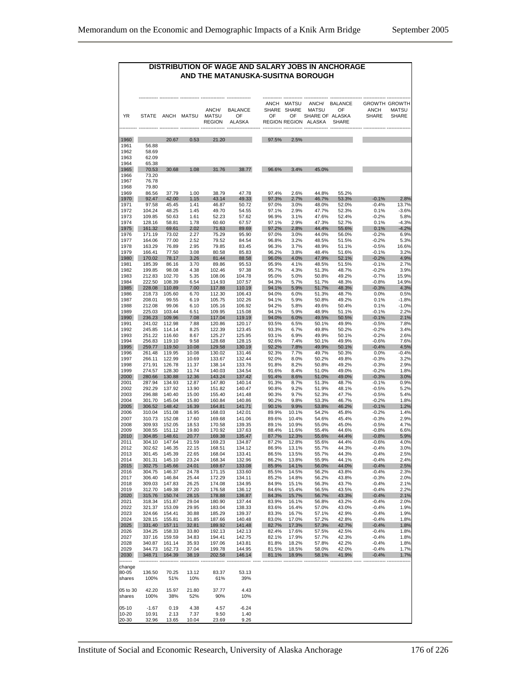#### **DISTRIBUTION OF WAGE AND SALARY JOBS IN ANCHORAGE AND THE MATANUSKA-SUSITNA BOROUGH**

|                      | <b>STATE</b>     | ANCH             | MATSU          | ANCH/<br><b>MATSU</b><br><b>REGION</b> | <b>BALANCE</b><br>OF<br><b>ALASKA</b> |
|----------------------|------------------|------------------|----------------|----------------------------------------|---------------------------------------|
|                      |                  |                  |                |                                        |                                       |
| 1960<br>1961<br>1962 | 56.88<br>58.69   | 20.67            | 0.53           | 21.20                                  |                                       |
| 1963<br>1964         | 62.09<br>65.38   |                  |                |                                        |                                       |
| 1965<br>1966         | 70.53<br>73.20   | 30.68            | 1.08           | 31.76                                  | 38.77                                 |
| 1967<br>1968         | 76.78<br>79.80   |                  |                |                                        |                                       |
| 1969<br>1970         | 86.56<br>92.47   | 37.79<br>42.00   | 1.00<br>1.15   | 38.79<br>43.14                         | 47.78<br>49.33                        |
| 1971                 | 97.58            | 45.45            | 1.41           | 46.87                                  | 50.72                                 |
| 1972<br>1973         | 104.24<br>109.85 | 48.25<br>50.63   | 1.45<br>1.61   | 49.70<br>52.23                         | 54.55<br>57.62                        |
| 1974                 | 128.16<br>161.32 | 58.81<br>69.61   | 1.78<br>2.02   | 60.60<br>71.63                         | 67.57<br>89.69                        |
| 1975<br>1976         | 171.19           | 73.02            | 2.27           | 75.29                                  | 95.90                                 |
| 1977                 | 164.06<br>163.29 | 77.00<br>76.89   | 2.52<br>2.95   | 79.52<br>79.85                         | 84.54<br>83.45                        |
| 1978<br>1979         | 166.41           | 77.50            | 3.08           | 80.58                                  | 85.83                                 |
| 1980<br>1981         | 170.02<br>185.39 | 78.17<br>86.16   | 3.26<br>3.70   | 81.44<br>89.86                         | 88.58<br>95.53                        |
| 1982                 | 199.85           | 98.08            | 4.38           | 102.46                                 | 97.38                                 |
| 1983<br>1984         | 212.83<br>222.50 | 102.70<br>108.39 | 5.35<br>6.54   | 108.06<br>114.93                       | 104.78<br>107.57                      |
| 1985                 | 228.08           | 110.89           | 7.00           | 117.88                                 | 110.19                                |
| 1986<br>1987         | 218.73<br>208.01 | 105.60<br>99.55  | 6.70<br>6.19   | 112.30<br>105.75                       | 106.43<br>102.26                      |
| 1988                 | 212.08           | 99.06            | 6.10           | 105.16                                 | 106.92                                |
| 1989<br>1990         | 225.03<br>236.23 | 103.44<br>109.96 | 6.51<br>7.08   | 109.95<br>117.04                       | 115.08<br>119.19                      |
| 1991                 | 241.02           | 112.98           | 7.88           | 120.86                                 | 120.17                                |
| 1992<br>1993         | 245.85<br>251.22 | 114.14<br>116.60 | 8.25<br>8.67   | 122.39<br>125.27                       | 123.45<br>125.95                      |
| 1994                 | 256.83           | 119.10           | 9.58           | 128.68                                 | 128.15                                |
| 1995<br>1996         | 259.77<br>261.48 | 119.50<br>119.95 | 10.08<br>10.08 | 129.58<br>130.02                       | 130.19<br>131.46                      |
| 1997                 | 266.11           | 122.99           | 10.69          | 133.67                                 | 132.44                                |
| 1998<br>1999         | 271.91<br>274.57 | 126.78<br>128.30 | 11.37<br>11.74 | 138.14<br>140.03                       | 133.76<br>134.54                      |
| 2000                 | 280.66           | 130.88           | 12.36          | 143.24                                 | 137.42                                |
| 2001<br>2002         | 287.94<br>292.29 | 134.93<br>137.92 | 12.87<br>13.90 | 147.80<br>151.82                       | 140.14<br>140.47                      |
| 2003                 | 296.88           | 140.40           | 15.00          | 155.40                                 | 141.48                                |
| 2004                 | 301.70           | 145.04<br>148.42 | 15.80          | 160.84                                 | 140.86                                |
| 2005<br>2006         | 306.52<br>310.04 | 151.08           | 16.39<br>16.95 | 164.81<br>168.03                       | 141.71<br>142.01                      |
| 2007                 | 310.73           | 152.08           | 17.60          | 169.68<br>170.58                       | 141.06                                |
| 2008<br>2009         | 309.93<br>308.55 | 152.05<br>151.12 | 18.53<br>19.80 | 170.92                                 | 139.35<br>137.63                      |
| 2010                 | 304.85           | 148.61           | 20.77          | 169.38                                 | 135.47                                |
| 2011<br>2012         | 304.10<br>302.62 | 147.64<br>146.35 | 21.59<br>22.15 | 169.23<br>168.51                       | 134.87<br>134.12                      |
| 2013                 | 301.45           | 145.39           | 22.65          | 168.04                                 | 133.41                                |
| 2014<br>2015         | 301.31<br>302.75 | 145.10<br>145.66 | 23.24<br>24.01 | 168.34<br>169.67                       | 132.96<br>133.08                      |
| 2016<br>2017         | 304.75           | 146.37           | 24.78          | 171.15                                 | 133.60                                |
| 2018                 | 306.40<br>309.03 | 146.84<br>147.83 | 25.44<br>26.25 | 172.29<br>174.08                       | 134.11<br>134.95                      |
| 2019<br>2020         | 312.70<br>315.76 | 149.38<br>150.74 | 27.20<br>28.15 | 176.58<br>178.88                       | 136.12<br>136.87                      |
| 2021                 | 318.34           | 151.87           | 29.04          | 180.90                                 | 137.44                                |
| 2022<br>2023         | 321.37<br>324.66 | 153.09<br>154.41 | 29.95<br>30.88 | 183.04<br>185.29                       | 138.33<br>139.37                      |
| 2024                 | 328.15           | 155.81           | 31.85          | 187.66                                 | 140.48                                |
| 2025<br>2026         | 331.40<br>334.25 | 157.11<br>158.33 | 32.81<br>33.80 | 189.92<br>192.13                       | 141.48<br>142.13                      |
| 2027                 | 337.16           | 159.59           | 34.83          | 194.41                                 | 142.75                                |
| 2028<br>2029         | 340.87<br>344.73 | 161.14<br>162.73 | 35.93<br>37.04 | 197.06<br>199.78                       | 143.81<br>144.95                      |
| 2030                 | 348.71           | 164.39           | 38.19          | 202.58                                 | 146.14                                |
| change               |                  |                  |                |                                        |                                       |
| 80-05<br>shares      | 136.50<br>100%   | 70.25<br>51%     | 13.12<br>10%   | 83.37<br>61%                           | 53.13<br>39%                          |
|                      |                  |                  |                |                                        |                                       |
| 05 to 30<br>shares   | 42.20<br>100%    | 15.97<br>38%     | 21.80<br>52%   | 37.77<br>90%                           | 4.43<br>10%                           |
| $05-10$              | $-1.67$          | 0.19             | 4.38           | 4.57                                   | $-6.24$                               |
| 10-20<br>20-30       | 10.91<br>32.96   | 2.13<br>13.65    | 7.37<br>10.04  | 9.50<br>23.69                          | 1.40<br>9.26                          |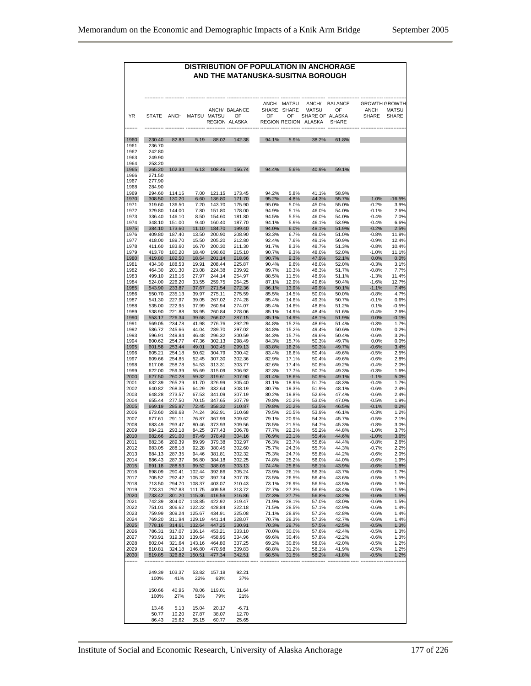#### **DISTRIBUTION OF POPULATION IN ANCHORAGE AND THE MATANUSKA-SUSITNA BOROUGH**

| YR           | <b>STATE</b>            | <b>ANCH</b>          |                       | MATSU MATSU                 | ANCH/ BALANCE<br>OF<br>REGION ALASKA | <b>ANCH</b><br>OF | <b>MATSU</b><br>SHARE SHARE<br>OF | ANCH/<br><b>MATSU</b><br>SHARE OF ALASKA<br>REGION REGION ALASKA | <b>BALANCE</b><br>OF<br><b>SHARE</b> | <b>GROWTH GROWTH</b><br>ANCH<br><b>SHARE</b> | MATSU<br>SHARE  |
|--------------|-------------------------|----------------------|-----------------------|-----------------------------|--------------------------------------|-------------------|-----------------------------------|------------------------------------------------------------------|--------------------------------------|----------------------------------------------|-----------------|
| 1960<br>1961 | 230.40<br>236.70        | 82.83                | 5.19                  | 88.02                       | 142.38                               | 94.1%             | 5.9%                              | 38.2%                                                            | 61.8%                                |                                              |                 |
| 1962         | 242.80                  |                      |                       |                             |                                      |                   |                                   |                                                                  |                                      |                                              |                 |
| 1963<br>1964 | 249.90<br>253.20        |                      |                       |                             |                                      |                   |                                   |                                                                  |                                      |                                              |                 |
| 1965         | 265.20                  | 102.34               | 6.13                  | 108.46                      | 156.74                               | 94.4%             | 5.6%                              | 40.9%                                                            | 59.1%                                |                                              |                 |
| 1966<br>1967 | 271.50<br>277.90        |                      |                       |                             |                                      |                   |                                   |                                                                  |                                      |                                              |                 |
| 1968         | 284.90<br>294.60        |                      |                       |                             |                                      |                   |                                   |                                                                  |                                      |                                              |                 |
| 1969<br>1970 | 308.50                  | 114.15<br>130.20     | 7.00<br>6.60          | 121.15<br>136.80            | 173.45<br>171.70                     | 94.2%<br>95.2%    | 5.8%<br>4.8%                      | 41.1%<br>44.3%                                                   | 58.9%<br>55.7%                       | 1.0%                                         | $-16.5%$        |
| 1971         | 319.60                  | 136.50               | 7.20                  | 143.70                      | 175.90                               | 95.0%             | 5.0%                              | 45.0%                                                            | 55.0%                                | $-0.2%$                                      | 3.9%            |
| 1972<br>1973 | 329.80<br>336.40        | 144.00<br>146.10     | 7.80<br>8.50          | 151.80<br>154.60            | 178.00<br>181.80                     | 94.9%<br>94.5%    | 5.1%<br>5.5%                      | 46.0%<br>46.0%                                                   | 54.0%<br>54.0%                       | $-0.1%$<br>$-0.4%$                           | 2.6%<br>7.0%    |
| 1974         | 348.10                  | 151.00               | 9.40                  | 160.40                      | 187.70                               | 94.1%             | 5.9%                              | 46.1%                                                            | 53.9%                                | $-0.4%$                                      | 6.6%            |
| 1975         | 384.10                  | 173.60               | 11.10                 | 184.70                      | 199.40                               | 94.0%             | 6.0%                              | 48.1%                                                            | 51.9%                                | $-0.2%$                                      | 2.5%            |
| 1976<br>1977 | 409.80<br>418.00        | 187.40<br>189.70     | 13.50<br>15.50        | 200.90<br>205.20            | 208.90<br>212.80                     | 93.3%<br>92.4%    | 6.7%<br>7.6%                      | 49.0%<br>49.1%                                                   | 51.0%<br>50.9%                       | $-0.8%$<br>$-0.9%$                           | 11.8%<br>12.4%  |
| 1978         | 411.60                  | 183.60               | 16.70                 | 200.30                      | 211.30                               | 91.7%             | 8.3%                              | 48.7%                                                            | 51.3%                                | $-0.8%$                                      | 10.4%           |
| 1979         | 413.70<br>419.80        | 180.20               | 18.40<br>18.64        | 198.60                      | 215.10                               | 90.7%             | 9.3%                              | 48.0%                                                            | 52.0%                                | $-1.0%$                                      | 11.1%           |
| 1980<br>1981 | 434.30                  | 182.50<br>188.53     | 19.91                 | 201.14<br>208.44            | 218.66<br>225.87                     | 90.7%<br>90.4%    | 9.3%<br>9.6%                      | 47.9%<br>48.0%                                                   | 52.1%<br>52.0%                       | 0.0%<br>$-0.3%$                              | 0.0%<br>3.1%    |
| 1982         | 464.30                  | 201.30               | 23.08                 | 224.38                      | 239.92                               | 89.7%             | 10.3%                             | 48.3%                                                            | 51.7%                                | $-0.8%$                                      | 7.7%            |
| 1983         | 499.10<br>524.00        | 216.16<br>226.20     | 27.97                 | 244.14                      | 254.97                               | 88.5%<br>87.1%    | 11.5%<br>12.9%                    | 48.9%                                                            | 51.1%                                | $-1.3%$                                      | 11.4%<br>12.7%  |
| 1984<br>1985 | 543.90                  | 233.87               | 33.55<br>37.67        | 259.75<br>271.54            | 264.25<br>272.36                     | 86.1%             | 13.9%                             | 49.6%<br>49.9%                                                   | 50.4%<br>50.1%                       | $-1.6%$<br>$-1.1%$                           | 7.4%            |
| 1986         | 550.70                  | 235.13               | 39.97                 | 275.11                      | 275.59                               | 85.5%             | 14.5%                             | 50.0%                                                            | 50.0%                                | $-0.8%$                                      | 4.7%            |
| 1987<br>1988 | 541.30<br>535.00        | 227.97<br>222.95     | 39.05<br>37.99        | 267.02<br>260.94            | 274.28                               | 85.4%<br>85.4%    | 14.6%                             | 49.3%<br>48.8%                                                   | 50.7%                                | $-0.1%$                                      | 0.6%<br>$-0.5%$ |
| 1989         | 538.90                  | 221.88               | 38.95                 | 260.84                      | 274.07<br>278.06                     | 85.1%             | 14.6%<br>14.9%                    | 48.4%                                                            | 51.2%<br>51.6%                       | 0.1%<br>$-0.4%$                              | 2.6%            |
| 1990         | 553.17                  | 226.34               | 39.68                 | 266.02                      | 287.15                               | 85.1%             | 14.9%                             | 48.1%                                                            | 51.9%                                | 0.0%                                         | $-0.1%$         |
| 1991<br>1992 | 569.05<br>586.72        | 234.78<br>245.66     | 41.98<br>44.04        | 276.76<br>289.70            | 292.29<br>297.02                     | 84.8%<br>84.8%    | 15.2%<br>15.2%                    | 48.6%<br>49.4%                                                   | 51.4%<br>50.6%                       | $-0.3%$<br>0.0%                              | 1.7%<br>0.2%    |
| 1993         | 596.91                  | 249.84               | 46.48                 | 296.32                      | 300.59                               | 84.3%             | 15.7%                             | 49.6%                                                            | 50.4%                                | $-0.6%$                                      | 3.2%            |
| 1994         | 600.62                  | 254.77               | 47.36                 | 302.13                      | 298.49                               | 84.3%             | 15.7%                             | 50.3%                                                            | 49.7%                                | 0.0%                                         | 0.0%            |
| 1995<br>1996 | 601.58<br>605.21        | 253.44<br>254.18     | 49.01<br>50.62        | 302.45<br>304.79            | 299.13<br>300.42                     | 83.8%<br>83.4%    | 16.2%<br>16.6%                    | 50.3%<br>50.4%                                                   | 49.7%<br>49.6%                       | -0.6%<br>$-0.5%$                             | 3.4%<br>2.5%    |
| 1997         | 609.66                  | 254.85               | 52.45                 | 307.30                      | 302.36                               | 82.9%             | 17.1%                             | 50.4%                                                            | 49.6%                                | $-0.6%$                                      | 2.8%            |
| 1998         | 617.08                  | 258.78               | 54.53                 | 313.31                      | 303.77                               | 82.6%             | 17.4%                             | 50.8%                                                            | 49.2%                                | $-0.4%$                                      | 2.0%            |
| 1999<br>2000 | 622.00<br>627.50        | 259.39<br>260.28     | 55.69<br>59.32        | 315.09<br>319.61            | 306.92<br>307.90                     | 82.3%<br>81.4%    | 17.7%<br>18.6%                    | 50.7%<br>50.9%                                                   | 49.3%<br>49.1%                       | $-0.3%$<br>$-1.1%$                           | 1.6%<br>5.0%    |
| 2001         | 632.39                  | 265.29               | 61.70                 | 326.99                      | 305.40                               | 81.1%             | 18.9%                             | 51.7%                                                            | 48.3%                                | $-0.4%$                                      | 1.7%            |
| 2002         | 640.82                  | 268.35               | 64.29                 | 332.64                      | 308.19                               | 80.7%             | 19.3%                             | 51.9%                                                            | 48.1%                                | $-0.6%$                                      | 2.4%            |
| 2003<br>2004 | 648.28<br>655.44        | 273.57<br>277.50     | 67.53<br>70.15        | 341.09<br>347.65            | 307.19<br>307.79                     | 80.2%<br>79.8%    | 19.8%<br>20.2%                    | 52.6%<br>53.0%                                                   | 47.4%<br>47.0%                       | $-0.6%$<br>$-0.5%$                           | 2.4%<br>1.9%    |
| 2005         | 669.19                  | 285.87               | 72.45                 | 358.32                      | 310.87                               | 79.8%             | 20.2%                             | 53.5%                                                            | 46.5%                                | $-0.1%$                                      | 0.2%            |
| 2006         | 673.60                  | 288.68               | 74.24                 | 362.91                      | 310.68                               | 79.5%             | 20.5%                             | 53.9%                                                            | 46.1%                                | $-0.3%$                                      | 1.2%            |
| 2007<br>2008 | 677.61<br>683.49        | 291.11<br>293.47     | 76.87<br>80.46        | 367.99<br>373.93            | 309.62<br>309.56                     | 79.1%<br>78.5%    | 20.9%<br>21.5%                    | 54.3%<br>54.7%                                                   | 45.7%<br>45.3%                       | $-0.5%$<br>$-0.8%$                           | 2.1%<br>3.0%    |
| 2009         | 684.21                  | 293.18               | 84.25                 | 377.43                      | 306.78                               | 77.7%             | 22.3%                             | 55.2%                                                            | 44.8%                                | $-1.0%$                                      | 3.7%            |
| 2010         | 682.66                  | 291.00               | 87.49                 | 378.49                      | 304.16                               | 76.9%             | 23.1%                             | 55.4%                                                            | 44.6%                                | $-1.0%$                                      | 3.6%            |
| 2011<br>2012 | 682.36<br>683.05        | 289.39<br>288.18     | 89.99<br>92.28        | 379.38<br>380.45            | 302.97<br>302.60                     | 76.3%<br>75.7%    | 23.7%<br>24.3%                    | 55.6%<br>55.7%                                                   | 44.4%<br>44.3%                       | $-0.8%$<br>$-0.7%$                           | 2.6%<br>2.2%    |
| 2013         | 684.13                  | 287.35               | 94.46                 | 381.81                      | 302.32                               | 75.3%             | 24.7%                             | 55.8%                                                            | 44.2%                                | $-0.6%$                                      | 2.0%            |
| 2014         | 686.43                  | 287.37               | 96.80                 | 384.18                      | 302.25                               | 74.8%             | 25.2%                             | 56.0%                                                            | 44.0%<br>43.9%                       | -0.6%                                        | 1.9%            |
| 2015<br>2016 | 691.18<br>698.09        | 288.53<br>290.41     | 99.52<br>102.44       | 388.05<br>392.86            | 303.13<br>305.24                     | 74.4%<br>73.9%    | 25.6%<br>26.1%                    | 56.1%<br>56.3%                                                   | 43.7%                                | $-0.6%$<br>$-0.6%$                           | 1.8%<br>1.7%    |
| 2017         |                         |                      |                       | /05.52 292.42 105.32 397.74 | 307.78                               | 73.5%             | 26.5%                             | 56.4%                                                            | 43.6%                                | $-0.5\%$                                     | 1.5%            |
| 2018<br>2019 | 713.50<br>723.31        | 294.70<br>297.83     | 108.37<br>111.75      | 403.07<br>409.58            | 310.43<br>313.72                     | 73.1%<br>72.7%    | 26.9%<br>27.3%                    | 56.5%<br>56.6%                                                   | 43.5%<br>43.4%                       | $-0.6%$<br>$-0.5%$                           | 1.5%<br>1.5%    |
| 2020         | 733.42                  | 301.20               | 115.36                | 416.56                      | 316.86                               | 72.3%             | 27.7%                             | 56.8%                                                            | 43.2%                                | $-0.6%$                                      | 1.5%            |
| 2021         | 742.39                  | 304.07               | 118.85                | 422.92                      | 319.47                               | 71.9%             | 28.1%                             | 57.0%                                                            | 43.0%                                | $-0.6%$                                      | 1.5%            |
| 2022<br>2023 | 751.01<br>759.99        | 306.62<br>309.24     | 122.22<br>125.67      | 428.84<br>434.91            | 322.18<br>325.08                     | 71.5%<br>71.1%    | 28.5%<br>28.9%                    | 57.1%<br>57.2%                                                   | 42.9%<br>42.8%                       | $-0.6%$<br>$-0.6%$                           | 1.4%<br>1.4%    |
| 2024         | 769.20                  | 311.94               | 129.19                | 441.14                      | 328.07                               | 70.7%             | 29.3%                             | 57.3%                                                            | 42.7%                                | $-0.6%$                                      | 1.4%            |
| 2025         | 778.16                  | 314.61               | 132.64                | 447.25                      | 330.91                               | 70.3%             | 29.7%                             | 57.5%                                                            | 42.5%                                | $-0.5%$                                      | 1.3%            |
| 2026<br>2027 | 786.31<br>793.91        | 317.07<br>319.30     | 136.14<br>139.64      | 453.21<br>458.95            | 333.10<br>334.96                     | 70.0%<br>69.6%    | 30.0%<br>30.4%                    | 57.6%<br>57.8%                                                   | 42.4%<br>42.2%                       | $-0.5%$<br>$-0.6%$                           | 1.3%<br>1.3%    |
| 2028         | 802.04                  | 321.64               | 143.16                | 464.80                      | 337.25                               | 69.2%             | 30.8%                             | 58.0%                                                            | 42.0%                                | $-0.5%$                                      | 1.2%            |
| 2029         | 810.81                  | 324.18               | 146.80                | 470.98                      | 339.83                               | 68.8%             | 31.2%                             | 58.1%                                                            | 41.9%                                | $-0.5%$                                      | 1.2%            |
| 2030         | 819.85                  | 326.82               | 150.51                | 477.34                      | 342.51                               | 68.5%             | 31.5%                             | 58.2%                                                            | 41.8%                                | $-0.5%$                                      | 1.2%            |
|              | 249.39<br>100%          | 103.37<br>41%        | 53.82<br>22%          | 157.18<br>63%               | 92.21<br>37%                         |                   |                                   |                                                                  |                                      |                                              |                 |
|              | 150.66<br>100%<br>13.46 | 40.95<br>27%<br>5.13 | 78.06<br>52%<br>15.04 | 119.01<br>79%<br>20.17      | 31.64<br>21%<br>$-6.71$              |                   |                                   |                                                                  |                                      |                                              |                 |
|              | 50.77                   | 10.20                | 27.87                 | 38.07                       | 12.70                                |                   |                                   |                                                                  |                                      |                                              |                 |
|              | 86.43                   | 25.62                | 35.15                 | 60.77                       | 25.65                                |                   |                                   |                                                                  |                                      |                                              |                 |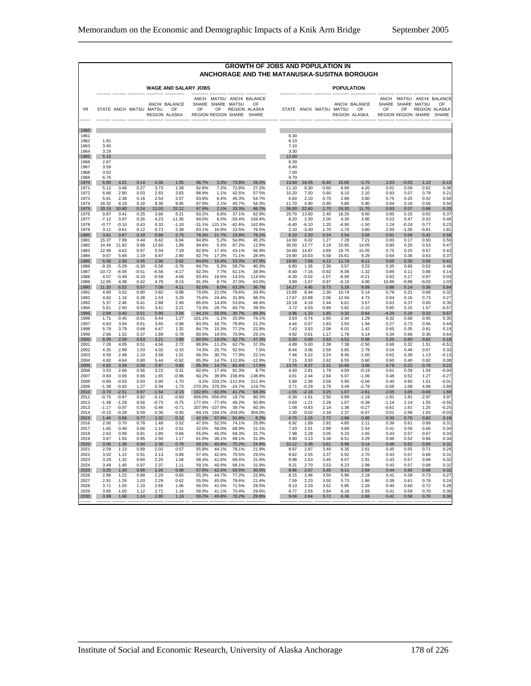|                                                      |                                                     |                                                     |                                         |                                                  |                                                                |                                                  |                                                |                                                |                                                    | <b>GROWTH OF JOBS AND POPULATION IN</b><br>ANCHORAGE AND THE MATANUSKA-SUSITNA BOROUGH |                                                  |                                         |                                              |                                                     |                                                  |                                          |                                            |                                              |
|------------------------------------------------------|-----------------------------------------------------|-----------------------------------------------------|-----------------------------------------|--------------------------------------------------|----------------------------------------------------------------|--------------------------------------------------|------------------------------------------------|------------------------------------------------|----------------------------------------------------|----------------------------------------------------------------------------------------|--------------------------------------------------|-----------------------------------------|----------------------------------------------|-----------------------------------------------------|--------------------------------------------------|------------------------------------------|--------------------------------------------|----------------------------------------------|
|                                                      |                                                     |                                                     |                                         |                                                  | WAGE AND SALARY JOBS                                           |                                                  |                                                |                                                |                                                    |                                                                                        |                                                  |                                         | <b>POPULATION</b>                            |                                                     |                                                  |                                          |                                            |                                              |
| <b>YR</b>                                            |                                                     |                                                     |                                         | STATE ANCH MATSU MATSU                           | ------- --------------<br>ANCH/ BALANCE<br>OF<br>REGION ALASKA | OF                                               |                                                | SHARE SHARE MATSU<br>REGION REGION SHARE SHARE | ANCH MATSU ANCH/ BALANCE<br>OF<br>OF REGION ALASKA |                                                                                        |                                                  | STATE ANCH MATSU MATSU OF               | --------- --------                           | ANCH/ BALANCE<br>REGION ALASKA                      | SHARE<br>OF                                      | SHARE MATSU<br>OF<br>REGION REGION SHARE | REGION ALASKA                              | ANCH MATSU ANCH/ BALANCE<br>OF<br>SHARE      |
| 1960<br>1961<br>1962<br>1963<br>1964<br>1965<br>1966 | 1.81<br>3.40<br>3.29<br>5.15<br>2.67                |                                                     |                                         |                                                  |                                                                |                                                  |                                                |                                                |                                                    | 6.30<br>6.10<br>7.10<br>3.30<br>12.00<br>6.30                                          |                                                  |                                         |                                              |                                                     |                                                  |                                          |                                            |                                              |
| 1967<br>1968<br>1969<br>1970                         | 3.59<br>3.02<br>6.76<br>5.90                        | 4.21                                                | 0.14                                    | 4.35                                             | 1.55                                                           | 96.7%                                            | 3.3%                                           | 73.8%                                          | 26.2%                                              | 6.40<br>7.00<br>9.70<br>13.90                                                          | 16.05                                            | $-0.40$                                 | 15.65                                        | $-1.75$                                             | 1.03                                             | $-0.03$                                  | 1.13                                       | $-0.13$                                      |
| 1971                                                 | 5.12                                                | 3.46                                                | 0.27                                    | 3.73                                             | 1.39                                                           | 92.8%                                            | 7.2%                                           | 72.8%                                          | 27.2%                                              | 11.10                                                                                  | 6.30                                             | 0.60                                    | 6.90                                         | 4.20                                                | 0.91                                             | 0.09                                     | 0.62                                       | 0.38                                         |
| 1972                                                 | 6.66                                                | 2.80                                                | 0.03                                    | 2.83                                             | 3.83                                                           | 98.9%                                            | 1.1%                                           | 42.5%                                          | 57.5%                                              | 10.20                                                                                  | 7.50                                             | 0.60                                    | 8.10                                         | 2.10                                                | 0.93                                             | 0.07                                     | 0.79                                       | 0.21                                         |
| 1973                                                 | 5.61                                                | 2.38                                                | 0.16                                    | 2.54                                             | 3.07                                                           | 93.6%                                            | 6.4%                                           | 45.3%                                          | 54.7%                                              | 6.60                                                                                   | 2.10                                             | 0.70                                    | 2.80                                         | 3.80                                                | 0.75                                             | 0.25                                     | 0.42                                       | 0.58                                         |
| 1974                                                 | 18.32                                               | 8.19                                                | 0.18                                    | 8.36                                             | 9.95                                                           | 97.9%                                            | 2.1%                                           | 45.7%                                          | 54.3%                                              | 11.70                                                                                  | 4.90                                             | 0.90                                    | 5.80                                         | 5.90                                                | 0.84                                             | 0.16                                     | 0.50                                       | 0.50                                         |
| 1975                                                 | 33.15                                               | 10.80                                               | 0.24                                    | 11.03                                            | 22.12                                                          | 97.9%                                            | 2.1%                                           | 33.3%                                          | 66.7%                                              | 36.00                                                                                  | 22.60                                            | 1.70                                    | 24.30                                        | 11.70                                               | 0.93                                             | 0.07                                     | 0.68                                       | 0.33                                         |
| 1976                                                 | 9.87                                                | 3.41                                                | 0.25                                    | 3.66                                             | 6.21                                                           | 93.2%                                            | 6.8%                                           | 37.1%                                          | 62.9%                                              | 25.70                                                                                  | 13.80                                            | 2.40                                    | 16.20                                        | 9.50                                                | 0.85                                             | 0.15                                     | 0.63                                       | 0.37                                         |
| 1977                                                 | $-7.12$                                             | 3.97                                                | 0.26                                    | 4.23                                             | $-11.35$                                                       | 94.0%                                            | 6.0%                                           | $-59.4%$                                       | 159.4%                                             | 8.20                                                                                   | 2.30                                             | 2.00                                    | 4.30                                         | 3.90                                                | 0.53                                             | 0.47                                     | 0.52                                       | 0.48                                         |
| 1978                                                 | $-0.77$                                             | $-0.10$                                             | 0.43                                    | 0.33                                             | $-1.10$                                                        | $-31.1%$                                         | 131.1%                                         | $-42.6%$                                       | 142.6%                                             | $-6.40$                                                                                | $-6.10$                                          | 1.20                                    | $-4.90$                                      | $-1.50$                                             | 1.24                                             | $-0.24$                                  | 0.77                                       | 0.23                                         |
| 1979                                                 | 3.11                                                | 0.61                                                | 0.12                                    | 0.73                                             | 2.38                                                           | 83.1%                                            | 16.9%                                          | 23.5%                                          | 76.5%                                              | 2.10                                                                                   | $-3.40$                                          | 1.70                                    | $-1.70$                                      | 3.80                                                | 2.00                                             | $-1.00$                                  | $-0.81$                                    | 1.81                                         |
| 1980                                                 | 3.61                                                | 0.67                                                | 0.19                                    | 0.86                                             | 2.75                                                           | 78.3%                                            | 21.7%                                          | 23.8%                                          | 76.2%                                              | 6.10                                                                                   | 2.30                                             | 0.24                                    | 2.54                                         | 3.56                                                | 0.91                                             | 0.09                                     | 0.42                                       | 0.58                                         |
| 1981                                                 | 15.37                                               | 7.99                                                | 0.44                                    | 8.42                                             | 6.94                                                           | 94.8%                                            | 5.2%                                           | 54.8%                                          | 45.2%                                              | 14.50                                                                                  | 6.02                                             | 1.27                                    | 7.29                                         | 7.21                                                | 0.83                                             | 0.17                                     | 0.50                                       | 0.50                                         |
| 1982                                                 | 14.46                                               | 11.92                                               | 0.68                                    | 12.60                                            | 1.86                                                           | 94.6%                                            | 5.4%                                           | 87.2%                                          | 12.8%                                              | 30.00                                                                                  | 12.77                                            | 3.18                                    | 15.95                                        | 14.05                                               | 0.80                                             | 0.20                                     | 0.53                                       | 0.47                                         |
| 1983                                                 | 12.99                                               | 4.62                                                | 0.97                                    | 5.59                                             | 7.39                                                           | 82.6%                                            | 17.4%                                          | 43.1%                                          | 56.9%                                              | 34.80                                                                                  | 14.87                                            | 4.89                                    | 19.75                                        | 15.05                                               | 0.75                                             | 0.25                                     | 0.57                                       | 0.43                                         |
| 1984<br>1985<br>1986<br>1987<br>1988                 | 9.67<br>5.58<br>$-9.35$<br>$-10.72$                 | 5.68<br>2.50<br>$-5.29$<br>$-6.05$                  | 1.19<br>0.45<br>$-0.30$<br>$-0.51$      | 6.87<br>2.96<br>$-5.58$<br>$-6.56$               | 2.80<br>2.62<br>-3.76<br>$-4.17$                               | 82.7%<br>84.6%<br>94.7%<br>92.3%<br>83.4%        | 17.3%<br>15.4%<br>5.3%<br>7.7%                 | 71.1%<br>53.0%<br>59.7%<br>61.1%               | 28.9%<br>47.0%<br>40.3%<br>38.9%                   | 24.90<br>19.90<br>6.80<br>$-9.40$                                                      | 10.03<br>7.68<br>1.26<br>$-7.16$                 | 5.58<br>4.12<br>2.30<br>$-0.92$         | 15.61<br>11.79<br>3.57<br>$-8.08$            | 9.29<br>8.11<br>3.23<br>$-1.32$                     | 0.64<br>0.65<br>0.35<br>0.89                     | 0.36<br>0.35<br>0.65<br>0.11             | 0.63<br>0.59<br>0.52<br>0.86               | 0.37<br>$0.4^{\circ}$<br>0.48<br>0.14        |
| 1989<br>1990<br>1991<br>1992                         | 4.07<br>12.95<br>11.20<br>4.80<br>4.82              | $-0.49$<br>4.38<br>6.52<br>3.02<br>1.16             | $-0.10$<br>0.42<br>0.57<br>0.80<br>0.38 | $-0.59$<br>4.79<br>7.09<br>3.82<br>1.53          | 4.66<br>8.15<br>4.11<br>0.98<br>3.29                           | 91.3%<br>92.0%<br>79.0%<br>75.6%                 | 16.6%<br>8.7%<br>8.0%<br>21.0%<br>24.4%        | $-14.5%$<br>37.0%<br>63.3%<br>79.6%<br>31.8%   | 114.5%<br>63.0%<br>36.7%<br>20.4%<br>68.2%         | $-6.30$<br>3.90<br>14.27<br>15.88<br>17.67                                             | $-5.02$<br>$-1.07$<br>4.45<br>8.44<br>10.88      | $-1.07$<br>0.97<br>0.73<br>2.30<br>2.06 | $-6.09$<br>$-0.10$<br>5.18<br>10.74<br>12.94 | $-0.21$<br>4.00<br>9.09<br>5.14<br>4.73             | 0.83<br>10.88<br>0.86<br>0.79<br>0.84            | 0.17<br>$-9.88$<br>0.14<br>0.21<br>0.16  | 0.97<br>$-0.03$<br>0.36<br>0.68<br>0.73    | 0.03<br>1.03<br>0.64<br>0.32<br>0.27         |
| 1993                                                 | 5.37                                                | 2.46                                                | 0.41                                    | 2.88                                             | 2.49                                                           | 85.6%                                            | 14.4%                                          | 53.6%                                          | 46.4%                                              | 10.18                                                                                  | 4.18                                             | 2.44                                    | 6.61                                         | 3.57                                                | 0.63                                             | 0.37                                     | 0.65                                       | 0.35                                         |
| 1994                                                 | 5.61                                                | 2.50                                                | 0.91                                    | 3.41                                             | 2.21                                                           | 73.3%                                            | 26.7%                                          | 60.7%                                          | 39.3%                                              | 3.72                                                                                   | 4.93                                             | 0.89                                    | 5.82                                         | $-2.10$                                             | 0.85                                             | 0.15                                     | 1.57                                       | $-0.57$                                      |
| 1995                                                 | 2.94                                                | 0.40                                                | 0.51                                    | 0.90                                             | 2.04                                                           | 44.1%                                            | 55.9%                                          | 30.7%                                          | 69.3%                                              | 0.96                                                                                   | $-1.33$                                          | 1.65                                    | 0.32                                         | 0.64                                                | $-4.20$                                          | 5.20                                     | 0.33                                       | 0.67                                         |
| 1996                                                 | 1.71                                                | 0.45                                                | $-0.01$                                 | 0.44                                             | 1.27                                                           | 101.1%                                           | $-1.1%$                                        | 25.9%                                          | 74.1%                                              | 3.63                                                                                   | 0.74                                             | 1.60                                    | 2.34                                         | 1.29                                                | 0.32                                             | 0.68                                     | 0.65                                       | 0.35                                         |
| 1997                                                 | 4.63                                                | 3.04                                                | 0.61                                    | 3.65                                             | 0.98                                                           | 83.3%                                            | 16.7%                                          | 78.8%                                          | 21.2%                                              | 4.44                                                                                   | 0.67                                             | 1.83                                    | 2.50                                         | 1.94                                                | 0.27                                             | 0.73                                     | 0.56                                       | 0.44                                         |
| 1998                                                 | 5.79                                                | 3.79                                                | 0.68                                    | 4.47                                             | 1.32                                                           | 84.7%                                            | 15.3%                                          | 77.2%                                          | 22.8%                                              | 7.43                                                                                   | 3.93                                             | 2.08                                    | 6.01                                         | 1.42                                                | 0.65                                             | 0.35                                     | 0.81                                       | 0.19                                         |
| 1999                                                 | 2.66                                                | 1.52                                                | 0.37                                    | 1.89                                             | 0.78                                                           | 80.5%                                            | 19.5%                                          | 70.9%                                          | 29.1%                                              | 4.92                                                                                   | 0.61                                             | 1.17                                    | 1.78                                         | 3.14                                                | 0.34                                             | 0.66                                     | 0.36                                       | 0.64                                         |
| 2000                                                 | 6.09                                                | 2.59                                                | 0.63                                    | 3.21                                             | 2.88                                                           | 80.5%                                            | 19.5%                                          | 52.7%                                          | 47.3%                                              | 5.50                                                                                   | 0.89                                             | 3.63                                    | 4.52                                         | 0.98                                                | 0.20                                             | 0.80                                     | 0.82                                       | 0.18                                         |
| 2001                                                 | 7.28                                                | 4.05                                                | 0.51                                    | 4.56                                             | 2.72                                                           | 88.8%                                            | 11.2%                                          | 62.7%                                          | 37.3%                                              | 4.88                                                                                   | 5.00                                             | 2.38                                    | 7.38                                         | $-2.50$                                             | 0.68                                             | 0.32                                     | 1.51                                       | -0.51                                        |
| 2002                                                 | 4.35                                                | 2.99                                                | 1.03                                    | 4.02                                             | 0.33                                                           | 74.3%                                            | 25.7%                                          | 92.5%                                          | 7.5%                                               | 8.44                                                                                   | 3.06                                             | 2.59                                    | 5.65                                         | 2.79                                                | 0.54                                             | 0.46                                     | 0.67                                       | 0.3                                          |
| 2003                                                 | 4.59                                                | 2.48                                                | 1.10                                    | 3.58                                             | 1.01                                                           | 69.3%                                            | 30.7%                                          | 77.9%                                          | 22.1%                                              | 7.46                                                                                   | 5.22                                             | 3.24                                    | 8.45                                         | $-1.00$                                             | 0.62                                             | 0.38                                     | 1.13                                       | -0.13                                        |
| 2004                                                 | 4.82                                                | 4.64                                                | 0.80                                    | 5.44                                             | $-0.62$                                                        | 85.3%                                            | 14.7%                                          | 112.8%                                         | $-12.8%$                                           | 7.15                                                                                   | 3.93                                             | 2.62                                    | 6.55                                         | 0.60                                                | 0.60                                             | 0.40                                     | 0.92                                       | 0.08                                         |
| 2005                                                 | 4.82                                                | 3.39                                                | 0.58                                    | 3.97                                             | 0.85                                                           | 85.3%                                            | 14.7%                                          | 82.4%                                          | 17.6%                                              | 13.76                                                                                  | 8.37                                             | 2.31                                    | 10.68                                        | 3.08                                                | 0.78                                             | 0.22                                     | 0.78                                       | 0.22                                         |
| 2006                                                 | 3.53                                                | 2.66                                                | 0.56                                    | 3.22                                             | 0.31                                                           | 82.6%                                            | 17.4%                                          | 91.3%                                          | 8.7%                                               | 4.40                                                                                   | 2.81                                             | 1.79                                    | 4.59                                         | $-0.19$                                             | 0.61                                             | 0.39                                     | 1.04                                       | $-0.04$                                      |
| 2007                                                 | 0.69                                                | 0.99                                                | 0.66                                    | 1.65                                             | $-0.96$                                                        | 60.2%                                            | 39.8%                                          | 238.8%                                         | -138.8%                                            | 4.01                                                                                   | 2.44                                             | 2.64                                    | 5.07                                         | $-1.06$                                             | 0.48                                             | 0.52                                     | 1.27                                       | $-0.27$                                      |
| 2008                                                 | $-0.80$                                             | $-0.03$                                             | 0.93                                    | 0.90                                             | $-1.70$                                                        | $-3.2%$                                          | 103.2%                                         | $-112.4%$                                      | 212.4%                                             | 5.89                                                                                   | 2.36                                             | 3.59                                    | 5.95                                         | $-0.06$                                             | 0.40                                             | 0.60                                     | 1.01                                       | $-0.0$                                       |
| 2009                                                 | $-1.38$                                             | $-0.92$                                             | 1.27                                    | 0.34                                             | $-1.73$                                                        | $-270.3%$                                        | 370.3%                                         | $-24.7%$                                       | 124.7%                                             | 0.71                                                                                   | $-0.29$                                          | 3.78                                    | 3.49                                         | $-2.78$                                             | $-0.08$                                          | 1.08                                     | 4.89                                       | $-3.89$                                      |
| 2010<br>2011<br>2012<br>2013<br>2014                 | $-3.70$<br>$-0.75$<br>$-1.48$<br>$-1.17$<br>$-0.15$ | $-2.51$<br>$-0.97$<br>$-1.29$<br>$-0.97$<br>$-0.28$ | 0.97<br>0.82<br>0.56<br>0.50<br>0.59    | $-1.54$<br>$-0.15$<br>$-0.73$<br>$-0.46$<br>0.30 | $-2.15$<br>$-0.60$<br>$-0.75$<br>$-0.71$<br>$-0.45$            | 162.8%<br>656.0%<br>177.4%<br>207.9%<br>$-94.1%$ | $-62.8%$<br>$-556.0%$<br>$-77.4%$<br>$-107.9%$ | 41.7%<br>19.7%<br>49.2%<br>39.7%<br>$-204.0%$  | 58.3%<br>80.3%<br>50.8%<br>60.3%                   | $-1.55$<br>$-0.30$<br>0.69<br>1.08<br>2.30                                             | $-2.18$<br>$-1.61$<br>$-1.21$<br>$-0.83$<br>0.02 | 3.25<br>2.50<br>2.28<br>2.18<br>2.34    | 1.07<br>0.89<br>1.07<br>1.36<br>2.37         | $-2.61$<br>$-1.19$<br>$-0.38$<br>$-0.27$<br>$-0.07$ | $-2.05$<br>$-1.81$<br>$-1.14$<br>$-0.61$<br>0.01 | 3.05<br>2.81<br>2.14<br>1.61<br>0.99     | $-0.69$<br>$-2.97$<br>1.55<br>1.25<br>1.03 | 1.69<br>3.9<br>$-0.55$<br>$-0.25$<br>$-0.03$ |
| 2015<br>2016<br>2017<br>2018                         | 1.44<br>2.00<br>1.65<br>2.63                        | 0.56<br>0.70<br>0.48<br>0.99                        | 0.77<br>0.78<br>0.66<br>0.81            | 1.32<br>1.48<br>1.14<br>1.80                     | 0.12<br>0.52<br>0.51<br>0.84                                   | 42.1%<br>47.5%<br>42.0%<br>55.0%                 | 194.1%<br>57.9%<br>52.5%<br>58.0%<br>45.0%     | 91.8%<br>74.1%<br>68.9%<br>68.3%               | 304.0%<br>8.2%<br>25.9%<br>31.1%<br>31.7%          | 4.75<br>6.92<br>7.43<br>7.98                                                           | 1.15<br>1.89<br>2.01<br>2.28                     | 2.72<br>2.92<br>2.88<br>3.05            | 3.88<br>4.80<br>4.89<br>5.33                 | 0.88<br>2.11<br>2.54<br>2.65                        | 0.30<br>0.39<br>0.41<br>0.43                     | 0.70<br>0.61<br>0.59<br>0.57             | 0.82<br>0.69<br>0.66<br>0.67               | 0.18<br>0.31<br>0.34<br>0.33                 |
| 2019                                                 | 3.67                                                | 1.55                                                | 0.95                                    | 2.50                                             | 1.17                                                           | 61.9%                                            | 38.1%                                          | 68.1%                                          | 31.9%                                              | 9.80                                                                                   | 3.13                                             | 3.38                                    | 6.51                                         | 3.29                                                | 0.48                                             | 0.52                                     | 0.66                                       | 0.34                                         |
| 2020                                                 | 3.06                                                | 1.36                                                | 0.94                                    | 2.30                                             | 0.76                                                           | 59.1%                                            | 40.9%                                          | 75.2%                                          | 24.8%                                              | 10.12                                                                                  | 3.38                                             | 3.61                                    | 6.98                                         | 3.14                                                | 0.48                                             | 0.52                                     | 0.69                                       | 0.31                                         |
| 2021                                                 | 2.59                                                | 1.13                                                | 0.89                                    | 2.02                                             | 0.57                                                           | 55.9%                                            | 44.1%                                          | 78.1%                                          | 21.9%                                              | 8.97                                                                                   | 2.87                                             | 3.49                                    | 6.35                                         | 2.61                                                | 0.45                                             | 0.55                                     | 0.71                                       | 0.29                                         |
| 2022                                                 | 3.02                                                | 1.22                                                | 0.91                                    | 2.13                                             | 0.89                                                           | 57.4%                                            | 42.6%                                          | 70.5%                                          | 29.5%                                              | 8.62                                                                                   | 2.55                                             | 3.37                                    | 5.92                                         | 2.70                                                | 0.43                                             | 0.57                                     | 0.69                                       | 0.31                                         |
| 2023                                                 | 3.29                                                | 1.32                                                | 0.94                                    | 2.25                                             | 1.04                                                           | 58.4%                                            | 41.6%                                          | 68.4%                                          | 31.6%                                              | 8.98                                                                                   | 2.63                                             | 3.45                                    | 6.07                                         | 2.91                                                | 0.43                                             | 0.57                                     | 0.68                                       | 0.32                                         |
| 2024                                                 | 3.49                                                | 1.40                                                | 0.97                                    | 2.37                                             | 1.11                                                           | 59.1%                                            | 40.9%                                          | 68.1%                                          | 31.9%                                              | 9.21                                                                                   | 2.70                                             | 3.53                                    | 6.23                                         | 2.99                                                | 0.43                                             | 0.57                                     | 0.68                                       | 0.32                                         |
| 2025                                                 | 3.25                                                | 1.30                                                | 0.96                                    | 2.26                                             | 0.99                                                           | 57.6%                                            | 42.4%                                          | 69.5%                                          | 30.5%                                              | 8.96                                                                                   | 2.67                                             | 3.45                                    | 6.11                                         | 2.84                                                | 0.44                                             | 0.56                                     | 0.68                                       | 0.32                                         |
| 2026                                                 | 2.86                                                | 1.22                                                | 0.98                                    | 2.20                                             | 0.65                                                           | 55.3%                                            | 44.7%                                          | 77.2%                                          | 22.8%                                              | 8.15                                                                                   | 2.46                                             | 3.50                                    | 5.96                                         | 2.19                                                | 0.41                                             | 0.59                                     | 0.73                                       | 0.27                                         |
| 2027                                                 | 2.91                                                | 1.26                                                | 1.03                                    | 2.29                                             | 0.62                                                           | 55.0%                                            | 45.0%                                          | 78.6%                                          | 21.4%                                              | 7.59                                                                                   | 2.23                                             | 3.50                                    | 5.73                                         | 1.86                                                | 0.39                                             | 0.61                                     | 0.76                                       | 0.24                                         |
| 2028                                                 | 3.71                                                | 1.55                                                | 1.10                                    | 2.65                                             | 1.06                                                           | 58.5%                                            | 41.5%                                          | 71.5%                                          | 28.5%                                              | 8.13                                                                                   | 2.33                                             | 3.52                                    | 5.85                                         | 2.28                                                | 0.40                                             | 0.60                                     | 0.72                                       | 0.28                                         |
| 2029                                                 | 3.85                                                | 1.60                                                | 1 1 2                                   | 271                                              | 1 14                                                           | 58.9%                                            | 41 1%                                          | 70.4%                                          | 29.6%                                              | 8.77                                                                                   | 2.55                                             | 3.64                                    | 6.18                                         | 2.59                                                | 0.41                                             | 0.59                                     | 0.70                                       | 0.30                                         |
| 2030                                                 | 3.99                                                | 1.66                                                | 1.14                                    | 2.80                                             | 1.19                                                           | 59.2%                                            | 40.8%                                          | 70.2%                                          | 29.8%                                              | 9.04                                                                                   | 2.64                                             | 3.72                                    | 6.36                                         | 2.68                                                | 0.42                                             | 0.58                                     | 0.70                                       | 0.30                                         |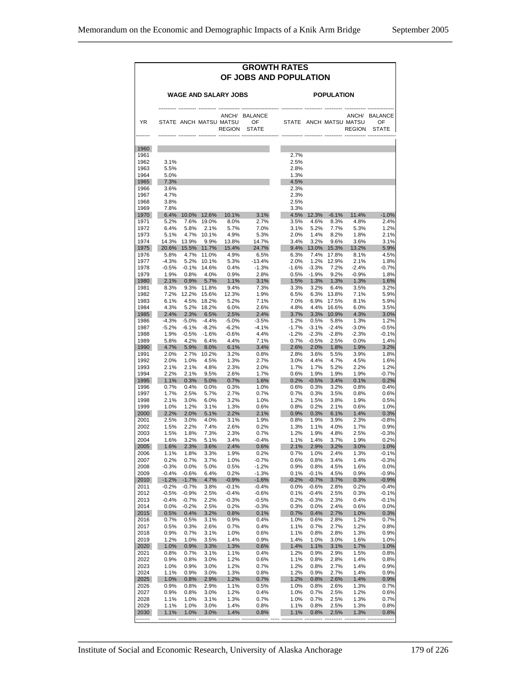|                      |                    |                     |                              |                                         |                              | <b>GROWTH RATES</b><br>OF JOBS AND POPULATION |                     |                     |                                         |                                     |
|----------------------|--------------------|---------------------|------------------------------|-----------------------------------------|------------------------------|-----------------------------------------------|---------------------|---------------------|-----------------------------------------|-------------------------------------|
|                      |                    |                     |                              | <b>WAGE AND SALARY JOBS</b>             |                              |                                               |                     | <b>POPULATION</b>   |                                         |                                     |
| <b>YR</b>            |                    |                     |                              | STATE ANCH MATSU MATSU<br><b>REGION</b> | ANCH/ BALANCE<br>OF<br>STATE |                                               |                     |                     | STATE ANCH MATSU MATSU<br><b>REGION</b> | ANCH/ BALANCE<br>OF<br><b>STATE</b> |
| 1960                 |                    |                     |                              |                                         |                              |                                               |                     |                     |                                         |                                     |
| 1961<br>1962         | 3.1%               |                     |                              |                                         |                              | 2.7%<br>2.5%                                  |                     |                     |                                         |                                     |
|                      | 5.5%<br>5.0%       |                     |                              |                                         |                              | 2.8%<br>1.3%                                  |                     |                     |                                         |                                     |
|                      | 7.3%               |                     |                              |                                         |                              | 4.5%                                          |                     |                     |                                         |                                     |
|                      | 3.6%<br>4.7%       |                     |                              |                                         |                              | 2.3%<br>2.3%                                  |                     |                     |                                         |                                     |
|                      | 3.8%               |                     |                              |                                         |                              | 2.5%                                          |                     |                     |                                         |                                     |
|                      | 7.8%<br>6.4%       |                     | 10.0% 12.6%                  | 10.1%                                   | 3.1%                         | 3.3%                                          |                     | 4.5% 12.3% -6.1%    | 11.4%                                   | $-1.0%$                             |
|                      | 5.2%<br>6.4%       | 5.8%                | 7.6% 19.0%<br>2.1%           | 8.0%<br>5.7%                            | 2.7%<br>7.0%                 | 3.5%<br>3.1%                                  | 4.6%<br>5.2%        | 8.3%<br>7.7%        | 4.8%<br>5.3%                            | 2.4%<br>1.2%                        |
|                      | 5.1%               |                     | 4.7% 10.1%                   | 4.9%                                    | 5.3%                         | 2.0%                                          | 1.4%                | 8.2%                | 1.8%                                    | 2.1%                                |
|                      | 14.3%<br>20.6%     | 13.9%               | $9.9\%$<br>15.5% 11.7%       | 13.8%<br>15.4%                          | 14.7%<br>24.7%               | 3.4%                                          | 3.2%                | 9.6%                | 3.6%<br>9.4% 13.0% 15.3% 13.2%          | 3.1%<br>5.9%                        |
| 1975                 | 5.8%               |                     | 4.7% 11.0%                   | 4.9%                                    | 6.5%                         | 6.3%                                          | 7.4%                | 17.8%               | 8.1%                                    | 4.5%                                |
|                      | $-4.3%$<br>$-0.5%$ |                     | 5.2% 10.1%<br>$-0.1\%$ 14.6% | 5.3%<br>0.4%                            | $-13.4%$<br>$-1.3%$          | 2.0%<br>$-1.6%$                               | $-3.3%$             | 1.2% 12.9%<br>7.2%  | 2.1%<br>$-2.4%$                         | 1.8%<br>$-0.7%$                     |
|                      | 1.9%               | $0.8\%$             | 4.0%                         | $0.9\%$                                 | 2.8%                         | 0.5%                                          | $-1.9%$             | $9.2\%$             | $-0.9%$                                 | 1.8%                                |
|                      | 2.1%<br>8.3%       | $0.9\%$             | 5.7%<br>9.3% 11.8%           | 1.1%<br>9.4%                            | 3.1%<br>7.3%                 | 1.5%<br>3.3%                                  | 1.3%                | 1.3%<br>3.2% 6.4%   | 1.3%<br>3.5%                            | 1.6%<br>3.2%                        |
|                      | 7.2%               |                     | 12.2% 15.6%                  | 12.3%                                   | 1.9%                         | 6.5%                                          |                     | 6.3% 13.8%          | 7.1%                                    | 5.9%                                |
|                      | 6.1%<br>4.3%       |                     | 4.5% 18.2%<br>5.2% 18.2%     | 5.2%<br>6.0%                            | 7.1%<br>2.6%                 | 7.0%<br>4.8%                                  | 4.4%                | 6.9% 17.5%<br>16.6% | 8.1%<br>6.0%                            | 5.9%<br>3.5%                        |
|                      | 2.4%               |                     | 2.3% 6.5%                    | 2.5%                                    | 2.4%                         |                                               |                     | 3.7% 3.3% 10.9%     | 4.3%                                    | 3.0%                                |
|                      | $-4.3%$<br>$-5.2%$ | $-5.0\%$<br>$-6.1%$ | $-4.4%$<br>$-8.2%$           | $-5.0%$<br>$-6.2%$                      | $-3.5%$<br>$-4.1%$           | 1.2%<br>$-1.7%$                               | $0.5\%$<br>$-3.1\%$ | 5.8%<br>$-2.4%$     | 1.3%<br>$-3.0%$                         | 1.2%<br>$-0.5%$                     |
|                      | 1.9%               | -0.5%               | $-1.6%$                      | $-0.6%$                                 | 4.4%                         | $-1.2%$                                       | $-2.3%$             | $-2.8%$             | $-2.3%$                                 | $-0.1%$                             |
|                      | 5.8%<br>4.7%       | 4.2%                | 6.4%<br>5.9% 8.0%            | 4.4%<br>$6.1\%$                         | 7.1%<br>3.4%                 | 2.6% 2.0%                                     | $0.7\% -0.5\%$      | 2.5%<br>$1.8\%$     | $0.0\%$<br>1.9%                         | 1.4%<br>3.2%                        |
|                      | 2.0%               | 2.7%                | 10.2%                        | 3.2%                                    | 0.8%                         | 2.8%                                          | 3.6%                | 5.5%                | 3.9%                                    | 1.8%                                |
|                      | 2.0%<br>2.1%       | 1.0%<br>2.1%        | 4.5%<br>4.8%                 | 1.3%<br>2.3%                            | 2.7%<br>2.0%                 | 3.0%<br>1.7%                                  | 4.4%<br>1.7%        | 4.7%<br>5.2%        | 4.5%<br>2.2%                            | 1.6%<br>1.2%                        |
|                      | 2.2%               | 2.1%                | 9.5%                         | 2.6%                                    | 1.7%                         | 0.6%                                          | 1.9%                | 1.9%                | 1.9%                                    | $-0.7%$                             |
|                      | 1.1%<br>0.7%       | 0.3%<br>0.4%        | 5.0%<br>0.0%                 | 0.7%<br>0.3%                            | 1.6%<br>1.0%                 | 0.2%<br>0.6%                                  | $-0.5%$<br>0.3%     | 3.4%<br>3.2%        | 0.1%<br>0.8%                            | 0.2%<br>0.4%                        |
|                      | 1.7%               | 2.5%                | 5.7%                         | 2.7%                                    | 0.7%                         | 0.7%                                          | 0.3%                | 3.5%                | 0.8%                                    | 0.6%                                |
|                      | 2.1%<br>1.0%       | 3.0%<br>1.2%        | 6.0%<br>3.1%                 | 3.2%<br>1.3%                            | 1.0%<br>0.6%                 | 1.2%<br>0.8%                                  | 1.5%<br>0.2%        | 3.8%<br>2.1%        | 1.9%<br>0.6%                            | 0.5%<br>1.0%                        |
|                      | 2.2%               | 2.0%                | 5.1%<br>4.0%                 | 2.2%                                    | 2.1%                         | 0.9%                                          | 0.3%                | 6.1%                | 1.4%                                    | 0.3%                                |
|                      | 2.5%<br>1.5%       | $3.0\%$<br>2.2%     | 7.4%                         | 3.1%<br>2.6%                            | 1.9%<br>0.2%                 | 0.8%<br>1.3%                                  | 1.9%<br>1.1%        | 3.9%<br>4.0%        | 2.3%<br>1.7%                            | $-0.8%$<br>0.9%                     |
|                      | 1.5%<br>1.6%       | 1.8%<br>3.2%        | 7.3%<br>5.1%                 | 2.3%<br>3.4%                            | 0.7%<br>$-0.4%$              | 1.2%<br>1.1%                                  | 1.9%<br>1.4%        | 4.8%<br>3.7%        | 2.5%<br>1.9%                            | $-0.3%$<br>0.2%                     |
|                      | 1.6%               | 2.3%                | 3.6%                         | 2.4%                                    | 0.6%                         | 2.1%                                          | 2.9%                | 3.2%                | 3.0%                                    | 1.0%                                |
|                      | $1.1\%$<br>0.2%    | 1.8%<br>0.7%        | $3.3\%$<br>3.7%              | 1.9%<br>1.0%                            | 0.2%<br>$-0.7%$              | 0.7%<br>0.6%                                  | $1.0\%$<br>0.8%     | $2.4\%$<br>3.4%     | 1.3%<br>1.4%                            | $-0.1%$<br>$-0.3%$                  |
|                      | $-0.3%$            | 0.0%                | 5.0%                         | 0.5%                                    | $-1.2%$                      | 0.9%                                          | 0.8%                | 4.5%                | 1.6%                                    | 0.0%                                |
|                      | $-0.4%$<br>$-1.2%$ | $-0.6%$<br>$-1.7%$  | 6.4%<br>4.7%                 | 0.2%<br>$-0.9%$                         | $-1.3%$<br>$-1.6%$           | 0.1%<br>$-0.2%$                               | $-0.1%$<br>$-0.7%$  | 4.5%<br>3.7%        | 0.9%<br>0.3%                            | $-0.9%$<br>$-0.9%$                  |
|                      | $-0.2%$            | $-0.7%$             | 3.8%                         | $-0.1%$                                 | $-0.4%$                      | 0.0%                                          | $-0.6%$             | 2.8%                | 0.2%                                    | $-0.4%$                             |
|                      | $-0.5%$<br>$-0.4%$ | $-0.9%$<br>$-0.7%$  | 2.5%<br>2.2%                 | $-0.4%$<br>$-0.3%$                      | $-0.6%$<br>$-0.5%$           | 0.1%<br>0.2%                                  | $-0.4%$<br>$-0.3%$  | 2.5%<br>2.3%        | 0.3%<br>0.4%                            | $-0.1%$<br>$-0.1%$                  |
|                      | 0.0%               | $-0.2%$             | 2.5%                         | 0.2%                                    | $-0.3%$                      | 0.3%                                          | 0.0%                | 2.4%                | 0.6%                                    | 0.0%                                |
|                      | 0.5%<br>0.7%       | 0.4%<br>0.5%        | 3.2%<br>3.1%                 | 0.8%<br>0.9%                            | 0.1%<br>0.4%                 | 0.7%<br>1.0%                                  | 0.4%<br>0.6%        | 2.7%<br>2.8%        | 1.0%<br>1.2%                            | 0.3%<br>0.7%                        |
|                      | 0.5%               | 0.3%                | 2.6%                         | 0.7%                                    | 0.4%                         | 1.1%                                          | 0.7%                | 2.7%                | 1.2%                                    | 0.8%                                |
|                      | 0.9%<br>1.2%       | 0.7%<br>1.0%        | 3.1%<br>3.5%                 | 1.0%<br>1.4%                            | 0.6%<br>0.9%                 | 1.1%<br>1.4%                                  | 0.8%<br>1.0%        | 2.8%<br>3.0%        | 1.3%<br>1.6%                            | 0.9%<br>1.0%                        |
| 2020                 | 1.0%               | 0.9%                | 3.3%                         | 1.3%                                    | 0.6%                         | 1.4%                                          | 1.1%                | 3.1%                | 1.7%                                    | 1.0%                                |
|                      | 0.8%<br>0.9%       | 0.7%<br>0.8%        | 3.1%<br>3.0%                 | 1.1%<br>1.2%                            | 0.4%<br>0.6%                 | 1.2%<br>1.1%                                  | 0.9%<br>0.8%        | 2.9%<br>2.8%        | 1.5%<br>1.4%                            | 0.8%<br>0.8%                        |
| 2022<br>2023<br>2024 | 1.0%               | 0.9%                | 3.0%                         | 1.2%                                    | 0.7%                         | 1.2%                                          | 0.8%                | 2.7%                | 1.4%                                    | 0.9%                                |
| 2025                 | 1.1%<br>1.0%       | 0.9%<br>0.8%        | 3.0%<br>2.9%                 | 1.3%<br>1.2%                            | 0.8%<br>0.7%                 | 1.2%<br>1.2%                                  | 0.9%<br>0.8%        | 2.7%<br>2.6%        | 1.4%<br>1.4%                            | 0.9%<br>0.9%                        |
| 2026                 | 0.9%               | 0.8%                | 2.9%                         | 1.1%                                    | 0.5%                         | 1.0%                                          | 0.8%                | 2.6%                | 1.3%                                    | 0.7%                                |
| 2027<br>2028         | 0.9%<br>1.1%       | 0.8%<br>1.0%        | 3.0%<br>3.1%                 | 1.2%<br>1.3%                            | 0.4%<br>0.7%                 | 1.0%<br>1.0%                                  | 0.7%<br>0.7%        | 2.5%<br>2.5%        | 1.2%<br>1.3%                            | 0.6%<br>0.7%                        |
|                      | 1.1%<br>1.1%       | 1.0%<br>1.0%        | 3.0%<br>3.0%                 | 1.4%<br>1.4%                            | 0.8%<br>0.8%                 | 1.1%<br>1.1%                                  | 0.8%<br>0.8%        | 2.5%<br>2.5%        | 1.3%<br>1.3%                            | 0.8%<br>0.8%                        |
| 2030                 |                    |                     |                              |                                         |                              |                                               |                     |                     |                                         |                                     |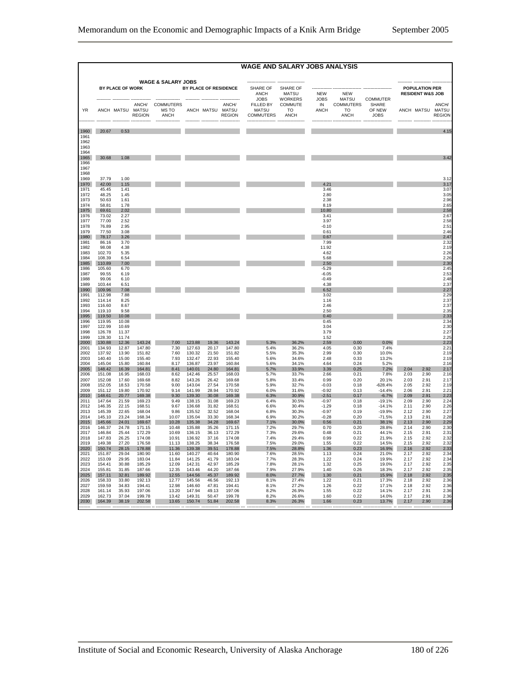|              |                  |                  |                  |                                  |                  |                |                                            | <b>WAGE AND SALARY JOBS ANALYSIS</b>          |                                            |                    |                                              |                                |              |                                                      |                        |
|--------------|------------------|------------------|------------------|----------------------------------|------------------|----------------|--------------------------------------------|-----------------------------------------------|--------------------------------------------|--------------------|----------------------------------------------|--------------------------------|--------------|------------------------------------------------------|------------------------|
|              |                  |                  |                  |                                  |                  |                |                                            |                                               |                                            |                    |                                              |                                |              |                                                      |                        |
|              |                  |                  |                  | <b>WAGE &amp; SALARY JOBS</b>    |                  |                |                                            |                                               |                                            |                    |                                              |                                |              |                                                      |                        |
|              |                  | BY PLACE OF WORK |                  |                                  |                  |                | BY PLACE OF RESIDENCE                      | SHARE OF<br>ANCH<br><b>JOBS</b>               | SHARE OF<br><b>MATSU</b><br><b>WORKERS</b> | <b>NEW</b><br>JOBS | <b>NEW</b><br><b>MATSU</b>                   | <b>COMMUTER</b>                |              | <b>POPULATION PER</b><br><b>RESIDENT W&amp;S JOB</b> |                        |
| <b>YR</b>    |                  | ANCH MATSU MATSU | <b>REGION</b>    | ANCH/ COMMUTERS<br>MS TO<br>ANCH |                  |                | ANCH/<br>ANCH MATSU MATSU<br><b>REGION</b> | FILLED BY<br><b>MATSU</b><br><b>COMMUTERS</b> | COMMUTE<br><b>TO</b><br><b>ANCH</b>        | IN<br><b>ANCH</b>  | <b>COMMUTERS</b><br><b>TO</b><br><b>ANCH</b> | SHARE<br>OF NEW<br><b>JOBS</b> |              | ANCH MATSU MATSU                                     | ANCH/<br><b>REGION</b> |
| 1960         | 20.67            | 0.53             |                  |                                  |                  |                |                                            |                                               |                                            |                    |                                              |                                |              |                                                      | 4.15                   |
| 1961         |                  |                  |                  |                                  |                  |                |                                            |                                               |                                            |                    |                                              |                                |              |                                                      |                        |
| 1962<br>1963 |                  |                  |                  |                                  |                  |                |                                            |                                               |                                            |                    |                                              |                                |              |                                                      |                        |
| 1964         |                  |                  |                  |                                  |                  |                |                                            |                                               |                                            |                    |                                              |                                |              |                                                      |                        |
| 1965<br>1966 | 30.68            | 1.08             |                  |                                  |                  |                |                                            |                                               |                                            |                    |                                              |                                |              |                                                      | 3.42                   |
| 1967         |                  |                  |                  |                                  |                  |                |                                            |                                               |                                            |                    |                                              |                                |              |                                                      |                        |
| 1968<br>1969 | 37.79            | 1.00             |                  |                                  |                  |                |                                            |                                               |                                            |                    |                                              |                                |              |                                                      | 3.12                   |
| 1970         | 42.00            | 1.15             |                  |                                  |                  |                |                                            |                                               |                                            | 4.21               |                                              |                                |              |                                                      | 3.17                   |
| 1971<br>1972 | 45.45<br>48.25   | 1.41<br>1.45     |                  |                                  |                  |                |                                            |                                               |                                            | 3.46<br>2.80       |                                              |                                |              |                                                      | 3.07<br>3.05           |
| 1973         | 50.63            | 1.61             |                  |                                  |                  |                |                                            |                                               |                                            | 2.38               |                                              |                                |              |                                                      | 2.96                   |
| 1974         | 58.81            | 1.78             |                  |                                  |                  |                |                                            |                                               |                                            | 8.19               |                                              |                                |              |                                                      | 2.65                   |
| 1975<br>1976 | 69.61<br>73.02   | 2.02<br>2.27     |                  |                                  |                  |                |                                            |                                               |                                            | 10.80<br>3.41      |                                              |                                |              |                                                      | 2.58<br>2.67           |
| 1977         | 77.00            | 2.52             |                  |                                  |                  |                |                                            |                                               |                                            | 3.97               |                                              |                                |              |                                                      | 2.58                   |
| 1978<br>1979 | 76.89<br>77.50   | 2.95<br>3.08     |                  |                                  |                  |                |                                            |                                               |                                            | $-0.10$<br>0.61    |                                              |                                |              |                                                      | 2.51<br>2.46           |
| 1980         | 78.17            | 3.26             |                  |                                  |                  |                |                                            |                                               |                                            | 0.67               |                                              |                                |              |                                                      | 2.47                   |
| 1981<br>1982 | 86.16<br>98.08   | 3.70<br>4.38     |                  |                                  |                  |                |                                            |                                               |                                            | 799<br>11.92       |                                              |                                |              |                                                      | 2.32<br>2.19           |
| 1983         | 102.70           | 5.35             |                  |                                  |                  |                |                                            |                                               |                                            | 4.62               |                                              |                                |              |                                                      | 2.26                   |
| 1984         | 108.39           | 6.54             |                  |                                  |                  |                |                                            |                                               |                                            | 5.68               |                                              |                                |              |                                                      | 2.26                   |
| 1985<br>1986 | 110.89<br>105.60 | 7.00<br>6.70     |                  |                                  |                  |                |                                            |                                               |                                            | 2.50<br>$-5.29$    |                                              |                                |              |                                                      | 2.30<br>2.45           |
| 1987         | 99.55            | 6.19             |                  |                                  |                  |                |                                            |                                               |                                            | $-6.05$            |                                              |                                |              |                                                      | 2.53                   |
| 1988<br>1989 | 99.06<br>103.44  | 6.10<br>6.51     |                  |                                  |                  |                |                                            |                                               |                                            | $-0.49$<br>4.38    |                                              |                                |              |                                                      | 2.48<br>2.37           |
| 1990         | 109.96           | 7.08             |                  |                                  |                  |                |                                            |                                               |                                            | 6.52               |                                              |                                |              |                                                      | 2.27                   |
| 1991<br>1992 | 112.98<br>114.14 | 7.88<br>8.25     |                  |                                  |                  |                |                                            |                                               |                                            | 3.02<br>1.16       |                                              |                                |              |                                                      | 2.29<br>2.37           |
| 1993         | 116.60           | 8.67             |                  |                                  |                  |                |                                            |                                               |                                            | 2.46               |                                              |                                |              |                                                      | 2.37                   |
| 1994         | 119.10           | 9.58             |                  |                                  |                  |                |                                            |                                               |                                            | 2.50               |                                              |                                |              |                                                      | 2.35                   |
| 1995<br>1996 | 119.50<br>119.95 | 10.08<br>10.08   |                  |                                  |                  |                |                                            |                                               |                                            | 0.40<br>0.45       |                                              |                                |              |                                                      | 2.33<br>2.34           |
| 1997         | 122.99           | 10.69            |                  |                                  |                  |                |                                            |                                               |                                            | 3.04               |                                              |                                |              |                                                      | 2.30                   |
| 1998<br>1999 | 126.78<br>128.30 | 11.37<br>11.74   |                  |                                  |                  |                |                                            |                                               |                                            | 3.79<br>1.52       |                                              |                                |              |                                                      | 2.27<br>2.25           |
| 2000         | 130.88           | 12.36            | 143.24           | 7.00                             | 123.88           | 19.36          | 143.24                                     | 5.3%                                          | 36.2%                                      | 2.59               | 0.00                                         | 0.0%                           |              |                                                      | 2.23                   |
| 2001<br>2002 | 134.93<br>137.92 | 12.87<br>13.90   | 147.80<br>151.82 | 7.30<br>7.60                     | 127.63<br>130.32 | 20.17<br>21.50 | 147.80<br>151.82                           | 5.4%<br>5.5%                                  | 36.2%<br>35.3%                             | 4.05<br>2.99       | 0.30<br>0.30                                 | 7.4%<br>10.0%                  |              |                                                      | 2.21<br>2.19           |
| 2003         | 140.40           | 15.00            | 155.40           | 7.93                             | 132.47           | 22.93          | 155.40                                     | 5.6%                                          | 34.6%                                      | 2.48               | 0.33                                         | 13.2%                          |              |                                                      | 2.19                   |
| 2004<br>2005 | 145.04           | 15.80<br>16.39   | 160.84<br>164.81 | 8.17<br>8.41                     | 136.87<br>140.01 | 23.97<br>24.80 | 160.84                                     | 5.6%                                          | 34.1%<br>33.9%                             | 4.64<br>3.39       | 0.24<br>0.25                                 | 5.2%                           | 2.04         | 2.92                                                 | 2.16                   |
| 2006         | 148.42<br>151.08 | 16.95            | 168.03           | 8.62                             | 142.46           | 25.57          | 164.81<br>168.03                           | 5.7%<br>5.7%                                  | 33.7%                                      | 2.66               | 0.21                                         | 7.2%<br>7.8%                   | 2.03         | 2.90                                                 | 2.17<br>2.16           |
| 2007         | 152.08           | 17.60            | 169.68           | 8.82                             | 143.26           | 26.42          | 169.68                                     | 5.8%                                          | 33.4%                                      | 0.99               | 0.20                                         | 20.1%                          | 2.03         | 2.91                                                 | 2.17                   |
| 2008<br>2009 | 152.05<br>151.12 | 18.53<br>19.80   | 170.58<br>170.92 | 9.00<br>9.14                     | 143.04<br>141.99 | 27.54<br>28.94 | 170.58<br>170.92                           | 5.9%<br>6.0%                                  | 32.7%<br>31.6%                             | $-0.03$<br>$-0.92$ | 0.18<br>0.13                                 | $-628.4%$<br>$-14.4%$          | 2.05<br>2.06 | 2.92<br>2.91                                         | 2.19<br>2.21           |
| 2010         | 148.61           | 20.77            | 169.38           | 9.30                             | 139.30           | 30.08          | 169.38                                     | 6.3%                                          | 30.9%                                      | $-2.51$            | 0.17                                         | $-6.7%$                        | 2.09         | 2.91                                                 | 2.23                   |
| 2011<br>2012 | 147.64<br>146.35 | 21.59<br>22.15   | 169.23<br>168.51 | 9.49<br>9.67                     | 138.15<br>136.68 | 31.08<br>31.82 | 169.23<br>168.51                           | 6.4%<br>6.6%                                  | 30.5%<br>30.4%                             | $-0.97$<br>$-1.29$ | 0.18<br>0.18                                 | $-19.1%$<br>$-14.1%$           | 2.09<br>2.11 | 2.90<br>2.90                                         | 2.24<br>2.26           |
| 2013         | 145.39           | 22.65            | 168.04           | 9.86                             | 135.52           | 32.52          | 168.04                                     | 6.8%                                          | 30.3%                                      | $-0.97$            | 0.19                                         | $-19.9%$                       | 2.12         | 2.90                                                 | 2.27                   |
| 2014         | 145.10           | 23.24            | 168.34           | 10.07                            | 135.04           | 33.30          | 168.34                                     | 6.9%                                          | 30.2%                                      | $-0.28$            | 0.20                                         | $-71.5%$                       | 2.13         | 2.91                                                 | 2.28                   |
| 2015<br>2016 | 145.66<br>146.37 | 24.01<br>24.78   | 169.67<br>171.15 | 10.28<br>10.48                   | 135.38<br>135.88 | 34.28<br>35.26 | 169.67<br>171.15                           | 7.1%<br>7.2%                                  | 30.0%<br>29.7%                             | 0.56<br>0.70       | 0.21<br>0.20                                 | 38.1%<br>28.8%                 | 2.13<br>2.14 | 2.90<br>2.90                                         | 2.29<br>2.3C           |
| 2017         | 146.84           | 25.44            | 172.29           | 10.69                            | 136.15           | 36.13          | 172.29                                     | 7.3%                                          | 29.6%                                      | 0.48               | 0.21                                         | 44.1%                          | 2.15         | 2.91                                                 | 2.3 <sup>1</sup>       |
| 2018<br>2019 | 147.83<br>149.38 | 26.25<br>27.20   | 174.08<br>176.58 | 10.91<br>11.13                   | 136.92<br>138.25 | 37.16<br>38.34 | 174.08<br>176.58                           | 7.4%<br>7.5%                                  | 29.4%<br>29.0%                             | 0.99<br>1.55       | 0.22<br>0.22                                 | 21.9%<br>14.5%                 | 2.15<br>2.15 | 2.92<br>2.92                                         | 2.32<br>2.32           |
| 2020         | 150.74           | 28.15            | 178.88           | 11.36                            | 139.38           | 39.51          | 178.88                                     | 7.5%                                          | 28.8%                                      | 1.36               | 0.23                                         | 16.9%                          | 2.16         | 2.92                                                 | 2.33                   |
| 2021<br>2022 | 151.87<br>153.09 | 29.04<br>29.95   | 180.90<br>183.04 | 11.60<br>11.84                   | 140.27<br>141.25 | 40.64<br>41.79 | 180.90<br>183.04                           | 7.6%<br>7.7%                                  | 28.5%<br>28.3%                             | 1.13<br>1.22       | 0.24<br>0.24                                 | 21.0%<br>19.9%                 | 2.17<br>2.17 | 2.92<br>2.92                                         | 2.34<br>2.34           |
| 2023         | 154.41           | 30.88            | 185.29           | 12.09                            | 142.31           | 42.97          | 185.29                                     | 7.8%                                          | 28.1%                                      | 1.32               | 0.25                                         | 19.0%                          | 2.17         | 2.92                                                 | 2.35                   |
| 2024         | 155.81           | 31.85            | 187.66           | 12.35                            | 143.46           | 44.20          | 187.66                                     | 7.9%                                          | 27.9%                                      | 1.40               | 0.26                                         | 18.3%                          | 2.17         | 2.92                                                 | 2.35                   |
| 2025<br>2026 | 157.11<br>158.33 | 32.81<br>33.80   | 189.92<br>192.13 | 12.55<br>12.77                   | 144.56<br>145.56 | 45.37<br>46.56 | 189.92<br>192.13                           | 8.0%<br>8.1%                                  | 27.7%<br>27.4%                             | 1.30<br>1.22       | 0.21<br>0.21                                 | 15.9%<br>17.3%                 | 2.18<br>2.18 | 2.92<br>2.92                                         | 2.35<br>2.36           |
| 2027         | 159.59           | 34.83            | 194.41           | 12.98                            | 146.60           | 47.81          | 194.41                                     | 8.1%                                          | 27.2%                                      | 1.26               | 0.22                                         | 17.1%                          | 2.18         | 2.92                                                 | 2.36                   |
| 2028<br>2029 | 161.14<br>162.73 | 35.93<br>37.04   | 197.06<br>199.78 | 13.20<br>13.42                   | 147.94<br>149.31 | 49.13<br>50.47 | 197.06<br>199.78                           | 8.2%<br>8.2%                                  | 26.9%<br>26.6%                             | 1.55<br>1.60       | 0.22<br>0.22                                 | 14.1%<br>14.0%                 | 2.17<br>2.17 | 2.91<br>2.91                                         | 2.36<br>2.36           |
| 2030         | 164.39           | 38.19            | 202.58           | 13.65                            | 150.74           | 51.84          | 202.58                                     | 8.3%                                          | 26.3%                                      | 1.66               | 0.23                                         | 13.7%                          | 2.17         | 2.90                                                 | 2.36                   |
|              |                  |                  |                  |                                  |                  |                |                                            |                                               |                                            |                    |                                              |                                |              |                                                      |                        |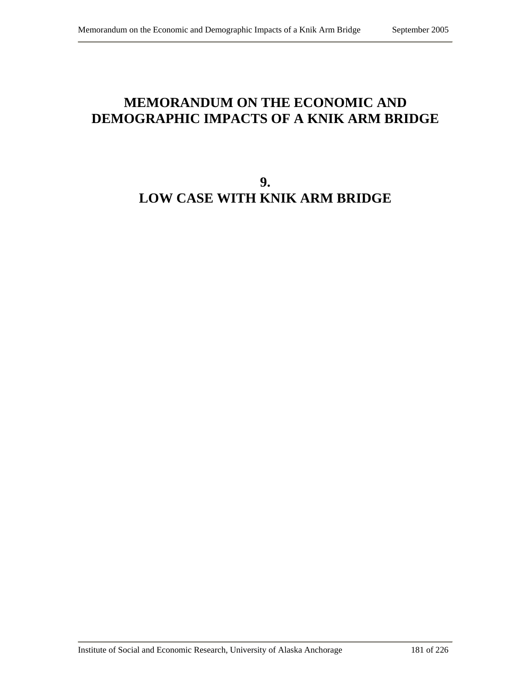## **MEMORANDUM ON THE ECONOMIC AND DEMOGRAPHIC IMPACTS OF A KNIK ARM BRIDGE**

# **9. LOW CASE WITH KNIK ARM BRIDGE**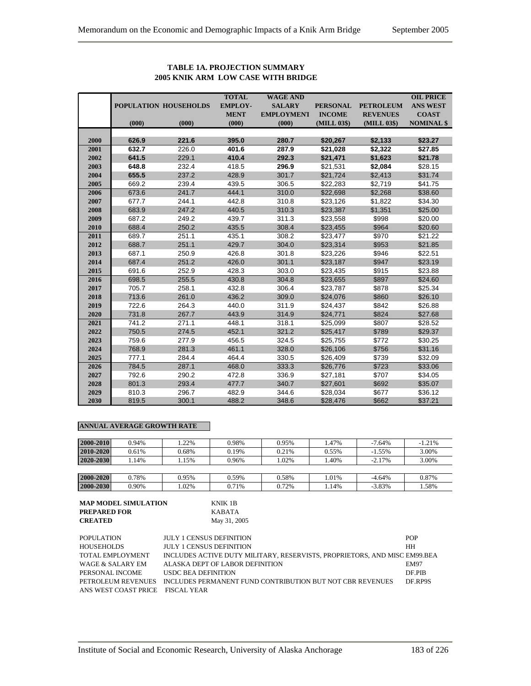#### **TOTAL WAGE AND OIL PRICE POPULATION HOUSEHOLDS EMPLOY- SALARY PERSONAL PETROLEUM ANS WEST MENT EMPLOYMENT INCOME REVENUES COAST (000) (000) (000) (000) (MILL 03\$) (MILL 03\$) NOMINAL \$ 2000 626.9 221.6 395.0 280.7 \$20,267 \$2,133 \$23.27 2001 632.7** 226.0 **401.6 287.9 \$21,028 \$2,322 \$27.85 2002 641.5** 229.1 **410.4 292.3 \$21,471 \$1,623 \$21.78 2003 648.8** 232.4 418.5 **296.9** \$21,531 **\$2,084** \$28.15 **2004 655.5** 237.2 428.9 301.7 \$21,724 \$2,413 \$31.74 **2005** 669.2 239.4 439.5 306.5 \$22,283 \$2,719 \$41.75 **2006** 673.6 241.7 444.1 310.0 \$22,698 \$2,268 \$38.60 **2007** 677.7 244.1 442.8 310.8 \$23,126 \$1,822 \$34.30 **2008** 683.9 247.2 440.5 310.3 \$23,387 \$1,351 \$25.00 **2009** 687.2 249.2 439.7 311.3 \$23,558 \$998 \$20.00 **2010** 688.4 250.2 435.5 308.4 \$23,455 \$964 \$20.60 **2011** 689.7 251.1 435.1 308.2 \$23,477 \$970 \$21.22 **2012** 688.7 251.1 429.7 304.0 \$23,314 \$953 \$21.85 **2013** 687.1 250.9 426.8 301.8 \$23,226 \$946 \$22.51 **2014** 687.4 251.2 426.0 301.1 \$23,187 \$947 \$23.19 **2015** 691.6 252.9 428.3 303.0 \$23,435 \$915 \$23.88 **2016** 698.5 255.5 430.8 304.8 \$23,655 \$897 \$24.60 **2017** 705.7 258.1 432.8 306.4 \$23,787 \$878 \$25.34 **2018** 713.6 261.0 436.2 309.0 \$24,076 \$860 \$26.10 **2019** 722.6 264.3 440.0 311.9 \$24,437 \$842 \$26.88 **2020** 731.8 267.7 443.9 314.9 \$24,771 \$824 \$27.68 **2021** 741.2 271.1 448.1 318.1 \$25,099 \$807 \$28.52 **2022** 750.5 274.5 452.1 321.2 \$25,417 \$789 \$29.37 **2023** 759.6 277.9 456.5 324.5 \$25,755 \$772 \$30.25 **2024** 768.9 281.3 461.1 328.0 \$26,106 \$756 \$31.16 **2025** 777.1 284.4 464.4 330.5 \$26,409 \$739 \$32.09 **2026** 784.5 287.1 468.0 333.3 \$26,776 \$723 \$33.06 **2027** 792.6 290.2 472.8 336.9 \$27,181 \$707 \$34.05 **2028** 801.3 293.4 477.7 340.7 \$27,601 \$692 \$35.07 **2029** 810.3 296.7 482.9 344.6 \$28,034 \$677 \$36.12

#### **TABLE 1A. PROJECTION SUMMARY 2005 KNIK ARM LOW CASE WITH BRIDGE**

#### **ANNUAL AVERAGE GROWTH RATE**

| 2000-2010 | 0.94% | .22%  | 0.98% | 0.95% | 1.47% | $-7.64%$  | $-1.21%$ |
|-----------|-------|-------|-------|-------|-------|-----------|----------|
| 2010-2020 | 0.61% | 0.68% | 0.19% | 0.21% | 0.55% | $-1.55\%$ | 3.00%    |
| 2020-2030 | .14%  | .15%  | 0.96% | .02%  | .40%  | $-2.17%$  | 3.00%    |
|           |       |       |       |       |       |           |          |
| 2000-2020 | 0.78% | 0.95% | 0.59% | 0.58% | 1.01% | $-4.64%$  | 0.87%    |
| 2000-2030 | 0.90% | 1.02% | 0.71% | 0.72% | 1.14% | $-3.83%$  | .58%     |

**2030** 819.5 300.1 488.2 348.6 \$28,476 \$662 \$37.21

| MAP MODEL SIMULATION | KNIK 1B   |
|----------------------|-----------|
| PREPARED FOR         | KABATA    |
| CREATED              | May 31, 2 |

**c** 31, 2005

| POPULATION                       | <b>JULY 1 CENSUS DEFINITION</b>                                              | <b>POP</b>  |
|----------------------------------|------------------------------------------------------------------------------|-------------|
| <b>HOUSEHOLDS</b>                | <b>JULY 1 CENSUS DEFINITION</b>                                              | HH          |
| TOTAL EMPLOYMENT                 | INCLUDES ACTIVE DUTY MILITARY, RESERVISTS, PROPRIETORS, AND MISC EM99.BEA    |             |
| WAGE & SALARY EM                 | ALASKA DEPT OF LABOR DEFINITION                                              | <b>EM97</b> |
| PERSONAL INCOME                  | USDC BEA DEFINITION                                                          | DF PIB      |
|                                  | PETROLEUM REVENUES INCLUDES PERMANENT FUND CONTRIBUTION BUT NOT CBR REVENUES | DF RP9S     |
| ANS WEST COAST PRICE FISCAL YEAR |                                                                              |             |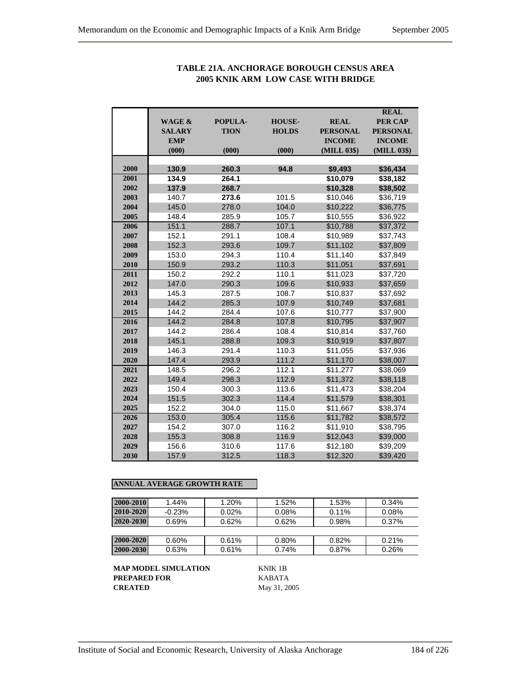|      |                   |             |               |                 | <b>REAL</b>     |
|------|-------------------|-------------|---------------|-----------------|-----------------|
|      | <b>WAGE &amp;</b> | POPULA-     | <b>HOUSE-</b> | <b>REAL</b>     | <b>PER CAP</b>  |
|      | <b>SALARY</b>     | <b>TION</b> | <b>HOLDS</b>  | <b>PERSONAL</b> | <b>PERSONAL</b> |
|      | <b>EMP</b>        |             |               | <b>INCOME</b>   | <b>INCOME</b>   |
|      | (000)             | (000)       | (000)         | (MILL 03\$)     | (MILL 03\$)     |
|      |                   |             |               |                 |                 |
| 2000 | 130.9             | 260.3       | 94.8          | \$9,493         | \$36,434        |
| 2001 | 134.9             | 264.1       |               | \$10,079        | \$38,182        |
| 2002 | 137.9             | 268.7       |               | \$10,328        | \$38,502        |
| 2003 | 140.7             | 273.6       | 101.5         | \$10,046        | \$36,719        |
| 2004 | 145.0             | 278.0       | 104.0         | \$10,222        | \$36,775        |
| 2005 | 148.4             | 285.9       | 105.7         | \$10,555        | \$36,922        |
| 2006 | 151.1             | 288.7       | 107.1         | \$10,788        | \$37,372        |
| 2007 | 152.1             | 291.1       | 108.4         | \$10,989        | \$37,743        |
| 2008 | 152.3             | 293.6       | 109.7         | \$11,102        | \$37,809        |
| 2009 | 153.0             | 294.3       | 110.4         | \$11,140        | \$37,849        |
| 2010 | 150.9             | 293.2       | 110.3         | \$11,051        | \$37,691        |
| 2011 | 150.2             | 292.2       | 110.1         | \$11,023        | \$37,720        |
| 2012 | 147.0             | 290.3       | 109.6         | \$10,933        | \$37,659        |
| 2013 | 145.3             | 287.5       | 108.7         | \$10,837        | \$37,692        |
| 2014 | 144.2             | 285.3       | 107.9         | \$10,749        | \$37,681        |
| 2015 | 144.2             | 284.4       | 107.6         | \$10,777        | \$37,900        |
| 2016 | 144.2             | 284.8       | 107.8         | \$10,795        | \$37,907        |
| 2017 | 144.2             | 286.4       | 108.4         | \$10,814        | \$37,760        |
| 2018 | 145.1             | 288.8       | 109.3         | \$10,919        | \$37,807        |
| 2019 | 146.3             | 291.4       | 110.3         | \$11,055        | \$37,936        |
| 2020 | 147.4             | 293.9       | 111.2         | \$11,170        | \$38,007        |
| 2021 | 148.5             | 296.2       | 112.1         | \$11,277        | \$38,069        |
| 2022 | 149.4             | 298.3       | 112.9         | \$11,372        | \$38,118        |
| 2023 | 150.4             | 300.3       | 113.6         | \$11,473        | \$38,204        |
| 2024 | 151.5             | 302.3       | 114.4         | \$11,579        | \$38,301        |
| 2025 | 152.2             | 304.0       | 115.0         | \$11,667        | \$38,374        |
| 2026 | 153.0             | 305.4       | 115.6         | \$11,782        | \$38,572        |
| 2027 | 154.2             | 307.0       | 116.2         | \$11,910        | \$38,795        |
| 2028 | 155.3             | 308.8       | 116.9         | \$12,043        | \$39,000        |
| 2029 | 156.6             | 310.6       | 117.6         | \$12,180        | \$39,209        |
| 2030 | 157.9             | 312.5       | 118.3         | \$12,320        | \$39,420        |

## **TABLE 21A. ANCHORAGE BOROUGH CENSUS AREA 2005 KNIK ARM LOW CASE WITH BRIDGE**

### **ANNUAL AVERAGE GROWTH RATE**

| 2000-2010 | $1.44\%$ | $1.20\%$ | 1.52% | 1.53%    | 0.34%    |
|-----------|----------|----------|-------|----------|----------|
| 2010-2020 | $-0.23%$ | $0.02\%$ | 0.08% | $0.11\%$ | $0.08\%$ |
| 2020-2030 | 0.69%    | 0.62%    | 0.62% | 0.98%    | 0.37%    |
|           |          |          |       |          |          |
| 2000-2020 | $0.60\%$ | 0.61%    | 0.80% | 0.82%    | 0.21%    |
| 2000-2030 | 0.63%    | 0.61%    | 0.74% | 0.87%    | 0.26%    |

**MAP MODEL SIMULATION** KNIK 1B **PREPARED FOR** KABATA **CREATED** May 31, 2005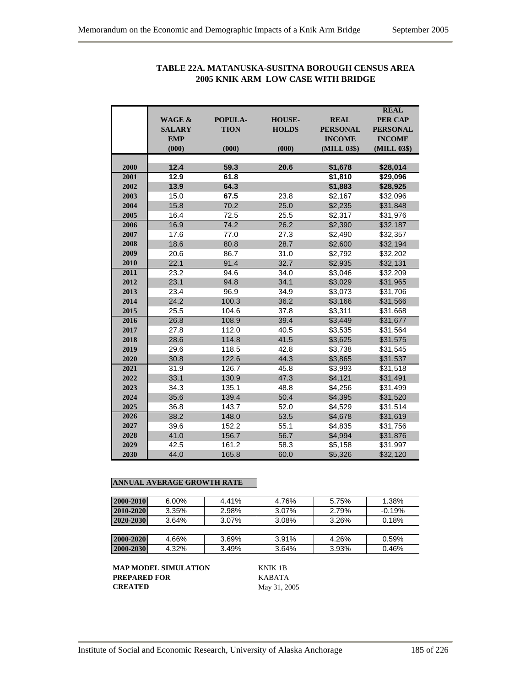|      |                   |             |               |                 | <b>REAL</b>     |
|------|-------------------|-------------|---------------|-----------------|-----------------|
|      | <b>WAGE &amp;</b> | POPULA-     | <b>HOUSE-</b> | <b>REAL</b>     | <b>PER CAP</b>  |
|      | <b>SALARY</b>     | <b>TION</b> | <b>HOLDS</b>  | <b>PERSONAL</b> | <b>PERSONAL</b> |
|      | <b>EMP</b>        |             |               | <b>INCOME</b>   | <b>INCOME</b>   |
|      | (000)             | (000)       | (000)         | (MILL 03\$)     | (MILL 03\$)     |
|      |                   |             |               |                 |                 |
| 2000 | 12.4              | 59.3        | 20.6          | \$1,678         | \$28,014        |
| 2001 | 12.9              | 61.8        |               | \$1,810         | \$29,096        |
| 2002 | 13.9              | 64.3        |               | \$1,883         | \$28,925        |
| 2003 | 15.0              | 67.5        | 23.8          | \$2,167         | \$32,096        |
| 2004 | 15.8              | 70.2        | 25.0          | \$2,235         | \$31,848        |
| 2005 | 16.4              | 72.5        | 25.5          | \$2.317         | \$31.976        |
| 2006 | 16.9              | 74.2        | 26.2          | \$2,390         | \$32,187        |
| 2007 | 17.6              | 77.0        | 27.3          | \$2,490         | \$32,357        |
| 2008 | 18.6              | 80.8        | 28.7          | \$2,600         | \$32,194        |
| 2009 | 20.6              | 86.7        | 31.0          | \$2,792         | \$32,202        |
| 2010 | 22.1              | 91.4        | 32.7          | \$2,935         | \$32,131        |
| 2011 | 23.2              | 94.6        | 34.0          | \$3,046         | \$32,209        |
| 2012 | 23.1              | 94.8        | 34.1          | \$3,029         | \$31,965        |
| 2013 | 23.4              | 96.9        | 34.9          | \$3,073         | \$31,706        |
| 2014 | 24.2              | 100.3       | 36.2          | \$3,166         | \$31,566        |
| 2015 | 25.5              | 104.6       | 37.8          | \$3,311         | \$31,668        |
| 2016 | 26.8              | 108.9       | 39.4          | \$3,449         | \$31,677        |
| 2017 | 27.8              | 112.0       | 40.5          | \$3,535         | \$31,564        |
| 2018 | 28.6              | 114.8       | 41.5          | \$3,625         | \$31,575        |
| 2019 | 29.6              | 118.5       | 42.8          | \$3,738         | \$31,545        |
| 2020 | 30.8              | 122.6       | 44.3          | \$3,865         | \$31,537        |
| 2021 | 31.9              | 126.7       | 45.8          | \$3,993         | \$31,518        |
| 2022 | 33.1              | 130.9       | 47.3          | \$4,121         | \$31,491        |
| 2023 | 34.3              | 135.1       | 48.8          | \$4,256         | \$31,499        |
| 2024 | 35.6              | 139.4       | 50.4          | \$4,395         | \$31,520        |
| 2025 | 36.8              | 143.7       | 52.0          | \$4,529         | \$31,514        |
| 2026 | 38.2              | 148.0       | 53.5          | \$4,678         | \$31,619        |
| 2027 | 39.6              | 152.2       | 55.1          | \$4,835         | \$31,756        |
| 2028 | 41.0              | 156.7       | 56.7          | \$4,994         | \$31,876        |
| 2029 | 42.5              | 161.2       | 58.3          | \$5,158         | \$31,997        |
| 2030 | 44.0              | 165.8       | 60.0          | \$5,326         | \$32,120        |

## **TABLE 22A. MATANUSKA-SUSITNA BOROUGH CENSUS AREA 2005 KNIK ARM LOW CASE WITH BRIDGE**

### **ANNUAL AVERAGE GROWTH RATE**

| 2000-2010 | $6.00\%$ | 4.41%    | 4.76% | 5.75% | 1.38%    |
|-----------|----------|----------|-------|-------|----------|
| 2010-2020 | 3.35%    | 2.98%    | 3.07% | 2.79% | $-0.19%$ |
| 2020-2030 | 3.64%    | $3.07\%$ | 3.08% | 3.26% | 0.18%    |
|           |          |          |       |       |          |
| 2000-2020 | 4.66%    | 3.69%    | 3.91% | 4.26% | 0.59%    |
| 2000-2030 | 4.32%    | 3.49%    | 3.64% | 3.93% | 0.46%    |

**MAP MODEL SIMULATION** KNIK 1B **PREPARED FOR** KABATA<br>**CREATED** May 31, 20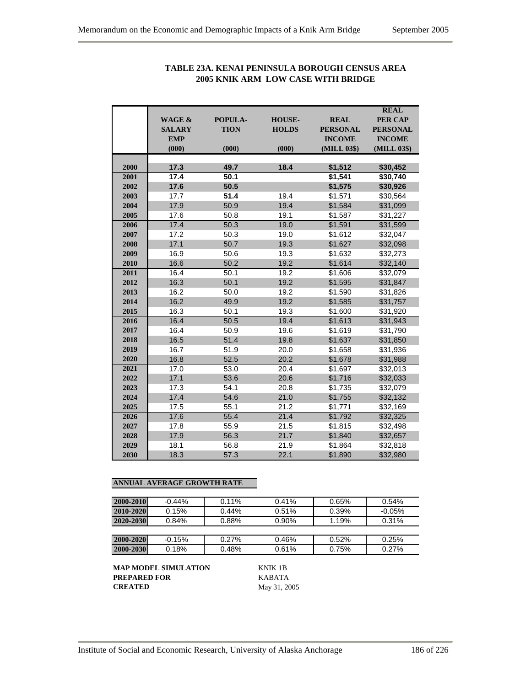|      |                   |              |               |                    | <b>REAL</b>          |
|------|-------------------|--------------|---------------|--------------------|----------------------|
|      | <b>WAGE &amp;</b> | POPULA-      | <b>HOUSE-</b> | <b>REAL</b>        | <b>PER CAP</b>       |
|      | <b>SALARY</b>     | <b>TION</b>  | <b>HOLDS</b>  | <b>PERSONAL</b>    | <b>PERSONAL</b>      |
|      | <b>EMP</b>        |              |               | <b>INCOME</b>      | <b>INCOME</b>        |
|      | (000)             | (000)        | (000)         | (MILL 03\$)        | (MILL 03\$)          |
| 2000 | 17.3              | 49.7         | 18.4          | \$1,512            | \$30,452             |
| 2001 | 17.4              | 50.1         |               | \$1,541            | \$30,740             |
| 2002 | 17.6              | 50.5         |               | \$1,575            | \$30,926             |
| 2003 | 17.7              | 51.4         | 19.4          | \$1,571            | \$30,564             |
| 2004 | 17.9              | 50.9         | 19.4          |                    |                      |
| 2005 |                   |              | 19.1          | \$1,584            | \$31,099             |
| 2006 | 17.6<br>17.4      | 50.8<br>50.3 | 19.0          | \$1,587            | \$31,227             |
| 2007 | 17.2              | 50.3         | 19.0          | \$1,591<br>\$1,612 | \$31,599<br>\$32,047 |
| 2008 | 17.1              | 50.7         | 19.3          | \$1,627            |                      |
| 2009 | 16.9              | 50.6         | 19.3          | \$1,632            | \$32,098<br>\$32,273 |
| 2010 | 16.6              | 50.2         | 19.2          | \$1,614            | \$32,140             |
| 2011 | 16.4              | 50.1         | 19.2          |                    |                      |
| 2012 | 16.3              | 50.1         | 19.2          | \$1,606<br>\$1,595 | \$32,079<br>\$31,847 |
| 2013 | 16.2              | 50.0         | 19.2          |                    |                      |
| 2014 | 16.2              | 49.9         | 19.2          | \$1,590            | \$31,826             |
| 2015 | 16.3              | 50.1         | 19.3          | \$1,585            | \$31,757             |
| 2016 | 16.4              | 50.5         | 19.4          | \$1,600<br>\$1,613 | \$31,920<br>\$31,943 |
| 2017 | 16.4              | 50.9         | 19.6          | \$1,619            |                      |
| 2018 | 16.5              | 51.4         | 19.8          | \$1.637            | \$31,790<br>\$31,850 |
| 2019 | 16.7              | 51.9         | 20.0          | \$1,658            | \$31,936             |
| 2020 | 16.8              | 52.5         | 20.2          | \$1,678            | \$31,988             |
| 2021 | 17.0              | 53.0         | 20.4          | \$1,697            | \$32,013             |
| 2022 | 17.1              | 53.6         | 20.6          | \$1,716            | \$32,033             |
| 2023 | 17.3              | 54.1         | 20.8          | \$1,735            | \$32,079             |
| 2024 | 17.4              | 54.6         | 21.0          | \$1,755            | \$32,132             |
| 2025 | 17.5              | 55.1         | 21.2          | \$1,771            | \$32,169             |
| 2026 | 17.6              | 55.4         | 21.4          | \$1,792            | \$32,325             |
| 2027 | 17.8              | 55.9         | 21.5          | \$1,815            | \$32,498             |
| 2028 | 17.9              | 56.3         | 21.7          | \$1,840            | \$32,657             |
| 2029 | 18.1              | 56.8         | 21.9          | \$1,864            | \$32,818             |
| 2030 | 18.3              | 57.3         | 22.1          | \$1,890            | \$32,980             |
|      |                   |              |               |                    |                      |

## **TABLE 23A. KENAI PENINSULA BOROUGH CENSUS AREA 2005 KNIK ARM LOW CASE WITH BRIDGE**

## **ANNUAL AVERAGE GROWTH RATE**

| 2000-2010 | $-0.44%$<br>$0.11\%$ |          | 0.41% | 0.65% | 0.54%     |
|-----------|----------------------|----------|-------|-------|-----------|
| 2010-2020 | 0.15%                | $0.44\%$ | 0.51% | 0.39% | $-0.05\%$ |
| 2020-2030 | $0.84\%$             | 0.88%    | 0.90% | 1.19% | 0.31%     |
|           |                      |          |       |       |           |
| 2000-2020 | $-0.15%$             | 0.27%    | 0.46% | 0.52% | 0.25%     |
| 2000-2030 | 0.18%                | 0.48%    | 0.61% | 0.75% | 0.27%     |

**MAP MODEL SIMULATION** KNIK 1B **PREPARED FOR KABATA**<br>**CREATED** May 31, 20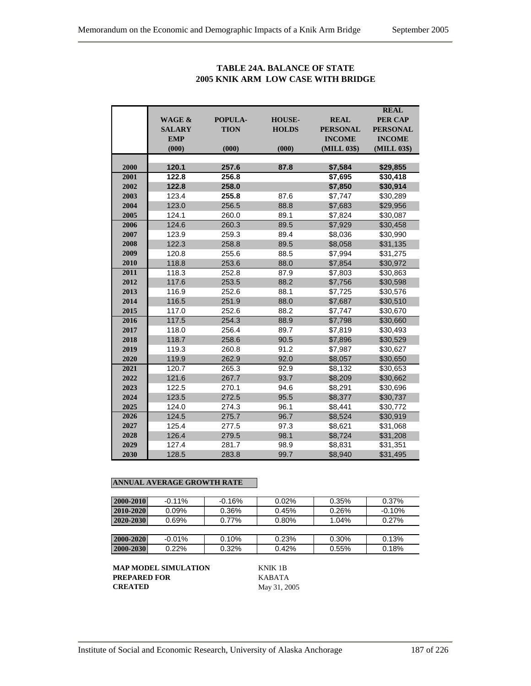|      |                   |             |               |                 | <b>REAL</b>     |
|------|-------------------|-------------|---------------|-----------------|-----------------|
|      | <b>WAGE &amp;</b> | POPULA-     | <b>HOUSE-</b> | <b>REAL</b>     | <b>PER CAP</b>  |
|      | <b>SALARY</b>     | <b>TION</b> | <b>HOLDS</b>  | <b>PERSONAL</b> | <b>PERSONAL</b> |
|      | <b>EMP</b>        |             |               | <b>INCOME</b>   | <b>INCOME</b>   |
|      | (000)             | (000)       | (000)         | (MILL 03\$)     | (MILL 03\$)     |
|      |                   |             |               |                 |                 |
| 2000 | 120.1             | 257.6       | 87.8          | \$7,584         | \$29,855        |
| 2001 | 122.8             | 256.8       |               | \$7,695         | \$30,418        |
| 2002 | 122.8             | 258.0       |               | \$7,850         | \$30,914        |
| 2003 | 123.4             | 255.8       | 87.6          | \$7,747         | \$30,289        |
| 2004 | 123.0             | 256.5       | 88.8          | \$7,683         | \$29,956        |
| 2005 | 124.1             | 260.0       | 89.1          | \$7,824         | \$30,087        |
| 2006 | 124.6             | 260.3       | 89.5          | \$7,929         | \$30,458        |
| 2007 | 123.9             | 259.3       | 89.4          | \$8,036         | \$30,990        |
| 2008 | 122.3             | 258.8       | 89.5          | \$8,058         | \$31,135        |
| 2009 | 120.8             | 255.6       | 88.5          | \$7,994         | \$31,275        |
| 2010 | 118.8             | 253.6       | 88.0          | \$7,854         | \$30,972        |
| 2011 | 118.3             | 252.8       | 87.9          | \$7,803         | \$30,863        |
| 2012 | 117.6             | 253.5       | 88.2          | \$7,756         | \$30,598        |
| 2013 | 116.9             | 252.6       | 88.1          | \$7,725         | \$30,576        |
| 2014 | 116.5             | 251.9       | 88.0          | \$7,687         | \$30,510        |
| 2015 | 117.0             | 252.6       | 88.2          | \$7,747         | \$30,670        |
| 2016 | 117.5             | 254.3       | 88.9          | \$7,798         | \$30,660        |
| 2017 | 118.0             | 256.4       | 89.7          | \$7,819         | \$30,493        |
| 2018 | 118.7             | 258.6       | 90.5          | \$7,896         | \$30,529        |
| 2019 | 119.3             | 260.8       | 91.2          | \$7,987         | \$30,627        |
| 2020 | 119.9             | 262.9       | 92.0          | \$8,057         | \$30,650        |
| 2021 | 120.7             | 265.3       | 92.9          | \$8,132         | \$30,653        |
| 2022 | 121.6             | 267.7       | 93.7          | \$8,209         | \$30,662        |
| 2023 | 122.5             | 270.1       | 94.6          | \$8,291         | \$30,696        |
| 2024 | 123.5             | 272.5       | 95.5          | \$8,377         | \$30,737        |
| 2025 | 124.0             | 274.3       | 96.1          | \$8,441         | \$30,772        |
| 2026 | 124.5             | 275.7       | 96.7          | \$8,524         | \$30,919        |
| 2027 | 125.4             | 277.5       | 97.3          | \$8,621         | \$31,068        |
| 2028 | 126.4             | 279.5       | 98.1          | \$8,724         | \$31,208        |
| 2029 | 127.4             | 281.7       | 98.9          | \$8,831         | \$31,351        |
| 2030 | 128.5             | 283.8       | 99.7          | \$8,940         | \$31,495        |

## **TABLE 24A. BALANCE OF STATE 2005 KNIK ARM LOW CASE WITH BRIDGE**

### **ANNUAL AVERAGE GROWTH RATE**

| 2000-2010 | $-0.11%$<br>$-0.16%$ |          | $0.02\%$ | 0.35% | 0.37%    |  |
|-----------|----------------------|----------|----------|-------|----------|--|
| 2010-2020 | $0.09\%$             | 0.36%    | 0.45%    | 0.26% | $-0.10%$ |  |
| 2020-2030 | 0.69%                | $0.77\%$ | 0.80%    | 1.04% | 0.27%    |  |
|           |                      |          |          |       |          |  |
| 2000-2020 | $-0.01%$             | 0.10%    | 0.23%    | 0.30% | 0.13%    |  |
| 2000-2030 | 0.22%                | 0.32%    | 0.42%    | 0.55% | 0.18%    |  |

**MAP MODEL SIMULATION** KNIK 1B **PREPARED FOR KABATA**<br>**CREATED** May 31, 20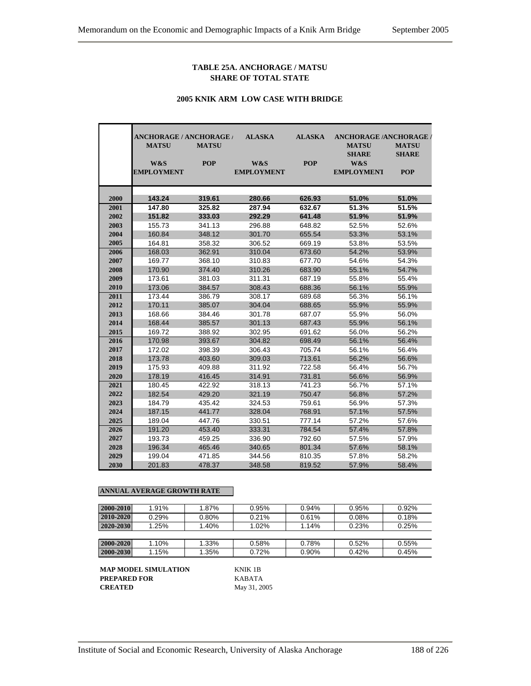#### **TABLE 25A. ANCHORAGE / MATSU SHARE OF TOTAL STATE**

#### **2005 KNIK ARM LOW CASE WITH BRIDGE**

|              | <b>ANCHORAGE / ANCHORAGE /</b><br><b>MATSU</b> | <b>MATSU</b>     | <b>ALASKA</b>            | <b>ALASKA</b>    | <b>ANCHORAGE /ANCHORAGE /</b><br><b>MATSU</b> | <b>MATSU</b>               |
|--------------|------------------------------------------------|------------------|--------------------------|------------------|-----------------------------------------------|----------------------------|
|              | W&S<br><b>EMPLOYMENT</b>                       | <b>POP</b>       | W&S<br><b>EMPLOYMENT</b> | <b>POP</b>       | <b>SHARE</b><br>W&S<br><b>EMPLOYMENT</b>      | <b>SHARE</b><br><b>POP</b> |
| 2000         | 143.24                                         | 319.61           | 280.66                   | 626.93           | 51.0%                                         | 51.0%                      |
| 2001         | 147.80                                         | 325.82           | 287.94                   | 632.67           | 51.3%                                         | 51.5%                      |
| 2002         | 151.82                                         | 333.03           | 292.29                   | 641.48           | 51.9%                                         | 51.9%                      |
| 2003         | 155.73                                         | 341.13           | 296.88                   | 648.82           | 52.5%                                         | 52.6%                      |
| 2004         | 160.84                                         | 348.12           | 301.70                   | 655.54           | 53.3%                                         | 53.1%                      |
| 2005         | 164.81                                         | 358.32           | 306.52                   | 669.19           | 53.8%                                         | 53.5%                      |
| 2006         | 168.03                                         | 362.91           | 310.04                   | 673.60           | 54.2%                                         | 53.9%                      |
| 2007         | 169.77                                         | 368.10           | 310.83                   | 677.70           | 54.6%                                         | 54.3%                      |
| 2008         | 170.90                                         | 374.40           | 310.26                   | 683.90           | 55.1%                                         | 54.7%                      |
| 2009         | 173.61                                         | 381.03           | 311.31                   | 687.19           | 55.8%                                         | 55.4%                      |
| 2010         | 173.06                                         | 384.57           | 308.43                   | 688.36           | 56.1%                                         | 55.9%                      |
| 2011         | 173.44                                         | 386.79           | 308.17                   | 689.68           | 56.3%                                         | 56.1%                      |
| 2012         | 170.11                                         | 385.07           | 304.04                   | 688.65           | 55.9%                                         | 55.9%                      |
| 2013         | 168.66                                         | 384.46           | 301.78                   | 687.07           | 55.9%                                         | 56.0%                      |
| 2014         | 168.44                                         | 385.57           | 301.13                   | 687.43           | 55.9%                                         | 56.1%                      |
| 2015         | 169.72                                         | 388.92           | 302.95                   | 691.62           | 56.0%                                         | 56.2%                      |
| 2016         | 170.98                                         | 393.67           | 304.82                   | 698.49           | 56.1%                                         | 56.4%                      |
| 2017         | 172.02                                         | 398.39           | 306.43                   | 705.74           | 56.1%                                         | 56.4%                      |
| 2018         | 173.78                                         | 403.60           | 309.03                   | 713.61           | 56.2%                                         | 56.6%                      |
| 2019         | 175.93                                         | 409.88           | 311.92                   | 722.58           | 56.4%                                         | 56.7%                      |
| 2020         | 178.19                                         | 416.45           | 314.91                   | 731.81           | 56.6%                                         | 56.9%                      |
| 2021         | 180.45                                         | 422.92           | 318.13                   | 741.23           | 56.7%                                         | 57.1%                      |
| 2022         | 182.54                                         | 429.20           | 321.19                   | 750.47           | 56.8%                                         | 57.2%                      |
| 2023         | 184.79                                         | 435.42           | 324.53                   | 759.61           | 56.9%                                         | 57.3%                      |
| 2024         | 187.15                                         | 441.77           | 328.04                   | 768.91           | 57.1%                                         | 57.5%                      |
| 2025         | 189.04                                         | 447.76           | 330.51                   | 777.14           | 57.2%                                         | 57.6%                      |
| 2026         | 191.20                                         | 453.40           | 333.31                   | 784.54           | 57.4%                                         | 57.8%                      |
| 2027         | 193.73                                         | 459.25           | 336.90                   | 792.60           | 57.5%                                         | 57.9%                      |
| 2028<br>2029 | 196.34                                         | 465.46           | 340.65                   | 801.34           | 57.6%<br>57.8%                                | 58.1%                      |
| 2030         | 199.04<br>201.83                               | 471.85<br>478.37 | 344.56<br>348.58         | 810.35<br>819.52 | 57.9%                                         | 58.2%<br>58.4%             |
|              |                                                |                  |                          |                  |                                               |                            |

#### **ANNUAL AVERAGE GROWTH RATE**

| 2000-2010 | 1.91% | 1.87% | 0.95% | 0.94% | 0.95% | 0.92% |
|-----------|-------|-------|-------|-------|-------|-------|
|           |       |       |       |       |       |       |
| 2010-2020 | 0.29% | 0.80% | 0.21% | 0.61% | 0.08% | 0.18% |
| 2020-2030 | 1.25% | 1.40% | 1.02% | 1.14% | 0.23% | 0.25% |
|           |       |       |       |       |       |       |
| 2000-2020 | 1.10% | 1.33% | 0.58% | 0.78% | 0.52% | 0.55% |
| 2000-2030 | 1.15% | 1.35% | 0.72% | 0.90% | 0.42% | 0.45% |

**MAP MODEL SIMULATION** KNIK 1B **PREPARED FOR** KABATA **CREATED** May 31, 2005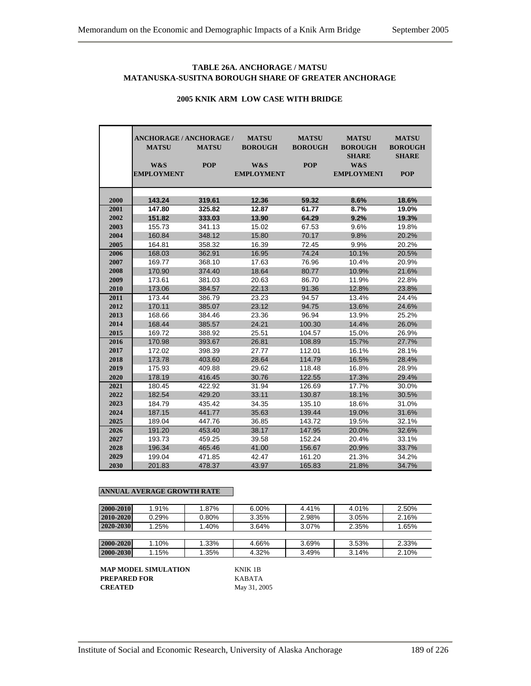### **TABLE 26A. ANCHORAGE / MATSU MATANUSKA-SUSITNA BOROUGH SHARE OF GREATER ANCHORAGE**

|      | <b>ANCHORAGE / ANCHORAGE /</b><br><b>MATSU</b> | <b>MATSU</b> | <b>MATSU</b><br><b>BOROUGH</b> | <b>MATSU</b><br><b>BOROUGH</b> | <b>MATSU</b><br><b>BOROUGH</b><br><b>SHARE</b> | <b>MATSU</b><br><b>BOROUGH</b><br><b>SHARE</b> |
|------|------------------------------------------------|--------------|--------------------------------|--------------------------------|------------------------------------------------|------------------------------------------------|
|      | W&S                                            | <b>POP</b>   | W&S                            | <b>POP</b>                     | W&S                                            |                                                |
|      | <b>EMPLOYMENT</b>                              |              | <b>EMPLOYMENT</b>              |                                | <b>EMPLOYMENT</b>                              | <b>POP</b>                                     |
|      |                                                |              |                                |                                |                                                |                                                |
|      |                                                |              |                                |                                |                                                |                                                |
| 2000 | 143.24                                         | 319.61       | 12.36                          | 59.32                          | 8.6%                                           | 18.6%                                          |
| 2001 | 147.80                                         | 325.82       | 12.87                          | 61.77                          | 8.7%                                           | 19.0%                                          |
| 2002 | 151.82                                         | 333.03       | 13.90                          | 64.29                          | 9.2%                                           | 19.3%                                          |
| 2003 | 155.73                                         | 341.13       | 15.02                          | 67.53                          | 9.6%                                           | 19.8%                                          |
| 2004 | 160.84                                         | 348.12       | 15.80                          | 70.17                          | 9.8%                                           | 20.2%                                          |
| 2005 | 164.81                                         | 358.32       | 16.39                          | 72.45                          | 9.9%                                           | 20.2%                                          |
| 2006 | 168.03                                         | 362.91       | 16.95                          | 74.24                          | 10.1%                                          | 20.5%                                          |
| 2007 | 169.77                                         | 368.10       | 17.63                          | 76.96                          | 10.4%                                          | 20.9%                                          |
| 2008 | 170.90                                         | 374.40       | 18.64                          | 80.77                          | 10.9%                                          | 21.6%                                          |
| 2009 | 173.61                                         | 381.03       | 20.63                          | 86.70                          | 11.9%                                          | 22.8%                                          |
| 2010 | 173.06                                         | 384.57       | 22.13                          | 91.36                          | 12.8%                                          | 23.8%                                          |
| 2011 | 173.44                                         | 386.79       | 23.23                          | 94.57                          | 13.4%                                          | 24.4%                                          |
| 2012 | 170.11                                         | 385.07       | 23.12                          | 94.75                          | 13.6%                                          | 24.6%                                          |
| 2013 | 168.66                                         | 384.46       | 23.36                          | 96.94                          | 13.9%                                          | 25.2%                                          |
| 2014 | 168.44                                         | 385.57       | 24.21                          | 100.30                         | 14.4%                                          | 26.0%                                          |
| 2015 | 169.72                                         | 388.92       | 25.51                          | 104.57                         | 15.0%                                          | 26.9%                                          |
| 2016 | 170.98                                         | 393.67       | 26.81                          | 108.89                         | 15.7%                                          | 27.7%                                          |
| 2017 | 172.02                                         | 398.39       | 27.77                          | 112.01                         | 16.1%                                          | 28.1%                                          |
| 2018 | 173.78                                         | 403.60       | 28.64                          | 114.79                         | 16.5%                                          | 28.4%                                          |
| 2019 | 175.93                                         | 409.88       | 29.62                          | 118.48                         | 16.8%                                          | 28.9%                                          |
| 2020 | 178.19                                         | 416.45       | 30.76                          | 122.55                         | 17.3%                                          | 29.4%                                          |
| 2021 | 180.45                                         | 422.92       | 31.94                          | 126.69                         | 17.7%                                          | 30.0%                                          |
| 2022 | 182.54                                         | 429.20       | 33.11                          | 130.87                         | 18.1%                                          | 30.5%                                          |
| 2023 | 184.79                                         | 435.42       | 34.35                          | 135.10                         | 18.6%                                          | 31.0%                                          |
| 2024 | 187.15                                         | 441.77       | 35.63                          | 139.44                         | 19.0%                                          | 31.6%                                          |
| 2025 | 189.04                                         | 447.76       | 36.85                          | 143.72                         | 19.5%                                          | 32.1%                                          |
| 2026 | 191.20                                         | 453.40       | 38.17                          | 147.95                         | 20.0%                                          | 32.6%                                          |
| 2027 | 193.73                                         | 459.25       | 39.58                          | 152.24                         | 20.4%                                          | 33.1%                                          |
| 2028 | 196.34                                         | 465.46       | 41.00                          | 156.67                         | 20.9%                                          | 33.7%                                          |
| 2029 | 199.04                                         | 471.85       | 42.47                          | 161.20                         | 21.3%                                          | 34.2%                                          |
| 2030 | 201.83                                         | 478.37       | 43.97                          | 165.83                         | 21.8%                                          | 34.7%                                          |

### **2005 KNIK ARM LOW CASE WITH BRIDGE**

#### **ANNUAL AVERAGE GROWTH RATE**

| 2000-2010 | 1.91% | 1.87% | 6.00% | 4.41% | 4.01% | 2.50% |
|-----------|-------|-------|-------|-------|-------|-------|
| 2010-2020 | 0.29% | 0.80% | 3.35% | 2.98% | 3.05% | 2.16% |
| 2020-2030 | 1.25% | 1.40% | 3.64% | 3.07% | 2.35% | 1.65% |
|           |       |       |       |       |       |       |
| 2000-2020 | 1.10% | 1.33% | 4.66% | 3.69% | 3.53% | 2.33% |
| 2000-2030 | 1.15% | 1.35% | 4.32% | 3.49% | 3.14% | 2.10% |

**MAP MODEL SIMULATION** KNIK 1B **PREPARED FOR** KABATA **CREATED** May 31, 2005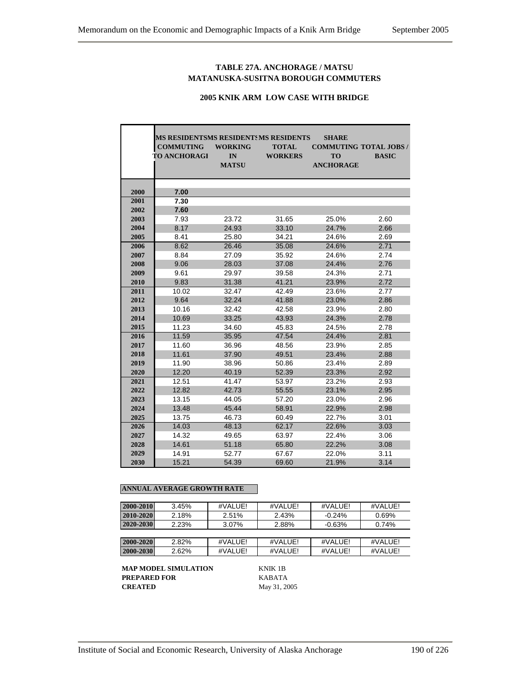## **TABLE 27A. ANCHORAGE / MATSU MATANUSKA-SUSITNA BOROUGH COMMUTERS**

### **2005 KNIK ARM LOW CASE WITH BRIDGE**

|      | <b>MS RESIDENTSMS RESIDENTSMS RESIDENTS</b><br><b>COMMUTING</b> | <b>WORKING</b> | <b>TOTAL</b>   | <b>SHARE</b><br><b>COMMUTING TOTAL JOBS /</b> |              |
|------|-----------------------------------------------------------------|----------------|----------------|-----------------------------------------------|--------------|
|      | <b>TO ANCHORAGI</b>                                             | IN             | <b>WORKERS</b> | <b>TO</b>                                     | <b>BASIC</b> |
|      |                                                                 | <b>MATSU</b>   |                | <b>ANCHORAGE</b>                              |              |
|      |                                                                 |                |                |                                               |              |
|      |                                                                 |                |                |                                               |              |
| 2000 | 7.00                                                            |                |                |                                               |              |
| 2001 | 7.30                                                            |                |                |                                               |              |
| 2002 | 7.60                                                            |                |                |                                               |              |
| 2003 | 7.93                                                            | 23.72          | 31.65          | 25.0%                                         | 2.60         |
| 2004 | 8.17                                                            | 24.93          | 33.10          | 24.7%                                         | 2.66         |
| 2005 | 8.41                                                            | 25.80          | 34.21          | 24.6%                                         | 2.69         |
| 2006 | 8.62                                                            | 26.46          | 35.08          | 24.6%                                         | 2.71         |
| 2007 | 8.84                                                            | 27.09          | 35.92          | 24.6%                                         | 2.74         |
| 2008 | 9.06                                                            | 28.03          | 37.08          | 24.4%                                         | 2.76         |
| 2009 | 9.61                                                            | 29.97          | 39.58          | 24.3%                                         | 2.71         |
| 2010 | 9.83                                                            | 31.38          | 41.21          | 23.9%                                         | 2.72         |
| 2011 | 10.02                                                           | 32.47          | 42.49          | 23.6%                                         | 2.77         |
| 2012 | 9.64                                                            | 32.24          | 41.88          | 23.0%                                         | 2.86         |
| 2013 | 10.16                                                           | 32.42          | 42.58          | 23.9%                                         | 2.80         |
| 2014 | 10.69                                                           | 33.25          | 43.93          | 24.3%                                         | 2.78         |
| 2015 | 11.23                                                           | 34.60          | 45.83          | 24.5%                                         | 2.78         |
| 2016 | 11.59                                                           | 35.95          | 47.54          | 24.4%                                         | 2.81         |
| 2017 | 11.60                                                           | 36.96          | 48.56          | 23.9%                                         | 2.85         |
| 2018 | 11.61                                                           | 37.90          | 49.51          | 23.4%                                         | 2.88         |
| 2019 | 11.90                                                           | 38.96          | 50.86          | 23.4%                                         | 2.89         |
| 2020 | 12.20                                                           | 40.19          | 52.39          | 23.3%                                         | 2.92         |
| 2021 | 12.51                                                           | 41.47          | 53.97          | 23.2%                                         | 2.93         |
| 2022 | 12.82                                                           | 42.73          | 55.55          | 23.1%                                         | 2.95         |
| 2023 | 13.15                                                           | 44.05          | 57.20          | 23.0%                                         | 2.96         |
| 2024 | 13.48                                                           | 45.44          | 58.91          | 22.9%                                         | 2.98         |
| 2025 | 13.75                                                           | 46.73          | 60.49          | 22.7%                                         | 3.01         |
| 2026 | 14.03                                                           | 48.13          | 62.17          | 22.6%                                         | 3.03         |
| 2027 | 14.32                                                           | 49.65          | 63.97          | 22.4%                                         | 3.06         |
| 2028 | 14.61                                                           | 51.18          | 65.80          | 22.2%                                         | 3.08         |
| 2029 | 14.91                                                           | 52.77          | 67.67          | 22.0%                                         | 3.11         |
| 2030 | 15.21                                                           | 54.39          | 69.60          | 21.9%                                         | 3.14         |

#### **ANNUAL AVERAGE GROWTH RATE**

| 2000-2010 | 3.45% | #VALUE!  | #VALUE! | #VALUE!  | #VALUE! |  |
|-----------|-------|----------|---------|----------|---------|--|
| 2010-2020 | 2.18% | 2.51%    | 2.43%   | $-0.24%$ | 0.69%   |  |
| 2020-2030 | 2.23% | $3.07\%$ | 2.88%   | $-0.63%$ | 0.74%   |  |
|           |       |          |         |          |         |  |
| 2000-2020 | 2.82% | #VALUE!  | #VALUE! | #VALUE!  | #VALUE! |  |
| 2000-2030 | 2.62% | #VALUE!  | #VALUE! | #VALUE!  | #VALUE! |  |
|           |       |          |         |          |         |  |

**MAP MODEL SIMULATION KNIK 1B**<br>**PREPARED FOR** KABATA **PREPARED FOR<br>CREATED**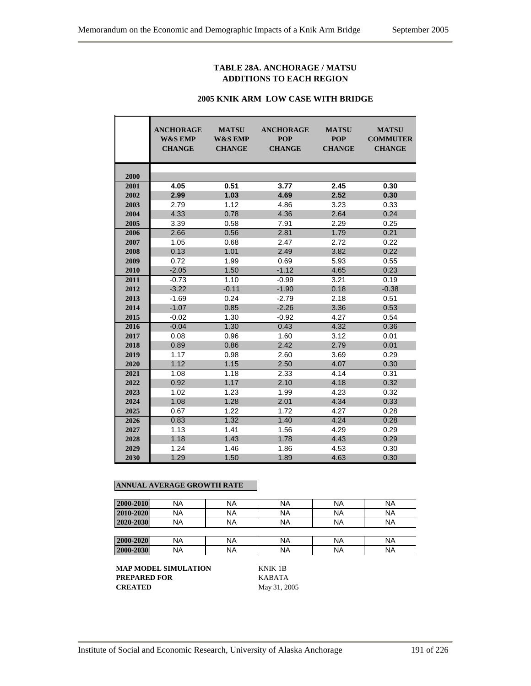## **TABLE 28A. ANCHORAGE / MATSU ADDITIONS TO EACH REGION**

#### **2005 KNIK ARM LOW CASE WITH BRIDGE**

|      | <b>ANCHORAGE</b><br><b>W&amp;S EMP</b><br><b>CHANGE</b> | <b>MATSU</b><br><b>W&amp;S EMP</b><br><b>CHANGE</b> | <b>ANCHORAGE</b><br><b>POP</b><br><b>CHANGE</b> | <b>MATSU</b><br><b>POP</b><br><b>CHANGE</b> | <b>MATSU</b><br><b>COMMUTER</b><br><b>CHANGE</b> |
|------|---------------------------------------------------------|-----------------------------------------------------|-------------------------------------------------|---------------------------------------------|--------------------------------------------------|
| 2000 |                                                         |                                                     |                                                 |                                             |                                                  |
| 2001 | 4.05                                                    | 0.51                                                | 3.77                                            | 2.45                                        | 0.30                                             |
| 2002 | 2.99                                                    | 1.03                                                | 4.69                                            | 2.52                                        | 0.30                                             |
| 2003 | 2.79                                                    | 1.12                                                | 4.86                                            | 3.23                                        | 0.33                                             |
| 2004 | 4.33                                                    | 0.78                                                | 4.36                                            | 2.64                                        | 0.24                                             |
| 2005 | 3.39                                                    | 0.58                                                | 7.91                                            | 2.29                                        | 0.25                                             |
| 2006 | 2.66                                                    | 0.56                                                | 2.81                                            | 1.79                                        | 0.21                                             |
| 2007 | 1.05                                                    | 0.68                                                | 2.47                                            | 2.72                                        | 0.22                                             |
| 2008 | 0.13                                                    | 1.01                                                | 2.49                                            | 3.82                                        | 0.22                                             |
| 2009 | 0.72                                                    | 1.99                                                | 0.69                                            | 5.93                                        | 0.55                                             |
| 2010 | $-2.05$                                                 | 1.50                                                | $-1.12$                                         | 4.65                                        | 0.23                                             |
| 2011 | $-0.73$<br>1.10                                         |                                                     | $-0.99$                                         | 3.21                                        | 0.19                                             |
| 2012 | $-3.22$                                                 | $-0.11$                                             | $-1.90$                                         | 0.18                                        | $-0.38$                                          |
| 2013 | $-1.69$                                                 | 0.24                                                | $-2.79$                                         | 2.18                                        | 0.51                                             |
| 2014 | $-1.07$                                                 | 0.85                                                | $-2.26$                                         | 3.36                                        | 0.53                                             |
| 2015 | $-0.02$                                                 | 1.30                                                | $-0.92$                                         | 4.27                                        | 0.54                                             |
| 2016 | $-0.04$                                                 | 1.30                                                | 0.43                                            | 4.32                                        | 0.36                                             |
| 2017 | 0.08                                                    | 0.96                                                | 1.60                                            | 3.12                                        | 0.01                                             |
| 2018 | 0.89                                                    | 0.86                                                | 2.42                                            | 2.79                                        | 0.01                                             |
| 2019 | 1.17                                                    | 0.98                                                | 2.60                                            | 3.69                                        | 0.29                                             |
| 2020 | 1.12                                                    | 1.15                                                | 2.50                                            | 4.07                                        | 0.30                                             |
| 2021 | 1.08                                                    | 1.18                                                | 2.33                                            | 4.14                                        | 0.31                                             |
| 2022 | 0.92                                                    | 1.17                                                | 2.10                                            | 4.18                                        | 0.32                                             |
| 2023 | 1.02                                                    | 1.23                                                | 1.99                                            | 4.23                                        | 0.32                                             |
| 2024 | 1.08                                                    | 1.28                                                | 2.01                                            | 4.34                                        | 0.33                                             |
| 2025 | 0.67                                                    | 1.22                                                | 1.72                                            | 4.27                                        | 0.28                                             |
| 2026 | 0.83                                                    | 1.32                                                | 1.40                                            | 4.24                                        | 0.28                                             |
| 2027 | 1.13                                                    | 1.41                                                | 1.56                                            | 4.29                                        | 0.29                                             |
| 2028 | 1.18                                                    | 1.43                                                | 1.78                                            | 4.43                                        | 0.29                                             |
| 2029 | 1.24                                                    | 1.46                                                | 1.86                                            | 4.53                                        | 0.30                                             |
| 2030 | 1.29                                                    | 1.50                                                | 1.89                                            | 4.63                                        | 0.30                                             |

## **ANNUAL AVERAGE GROWTH RATE**

| 2000-2010 | <b>NA</b> | NA        | <b>NA</b> | ΝA        | <b>NA</b> |
|-----------|-----------|-----------|-----------|-----------|-----------|
| 2010-2020 | <b>NA</b> | NA        | <b>NA</b> | <b>NA</b> | <b>NA</b> |
| 2020-2030 | <b>NA</b> | NA        | <b>NA</b> | ΝA        | <b>NA</b> |
|           |           |           |           |           |           |
| 2000-2020 | <b>NA</b> | <b>NA</b> | <b>NA</b> | NA        | <b>NA</b> |
| 2000-2030 | <b>NA</b> | <b>NA</b> | <b>NA</b> | <b>NA</b> | <b>NA</b> |

**MAP MODEL SIMULATION** KNIK 1B **PREPARED FOR** KABATA **CREATED** May 31, 2005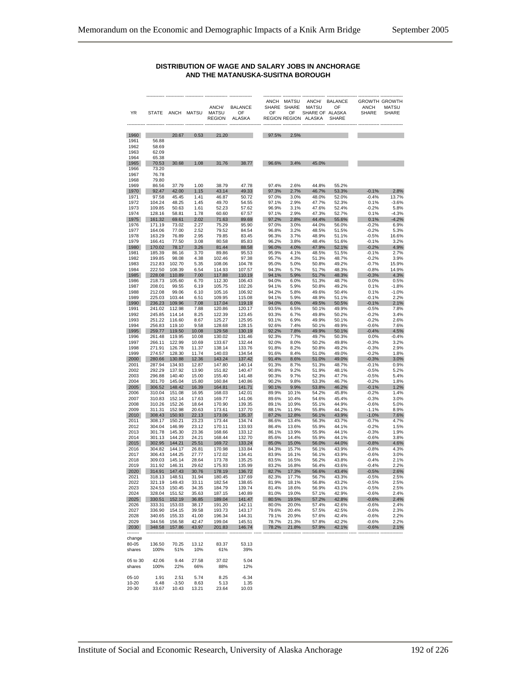#### **DISTRIBUTION OF WAGE AND SALARY JOBS IN ANCHORAGE AND THE MATANUSKA-SUSITNA BOROUGH**

| YR               |                  |                  | STATE ANCH MATSU | ANCH/<br>MATSU<br><b>REGION</b> | <b>BALANCE</b><br>OF<br><b>ALASKA</b> | SHARE SHARE<br>OF | ANCH MATSU<br>OF | ANCH/<br><b>MATSU</b><br>SHARE OF ALASKA<br>REGION REGION ALASKA | <b>BALANCE</b><br>OF<br><b>SHARE</b> | <b>ANCH</b><br><b>SHARE</b> | <b>GROWTH GROWTH</b><br>MATSU<br>SHARE |
|------------------|------------------|------------------|------------------|---------------------------------|---------------------------------------|-------------------|------------------|------------------------------------------------------------------|--------------------------------------|-----------------------------|----------------------------------------|
|                  |                  |                  |                  |                                 |                                       |                   |                  |                                                                  |                                      |                             |                                        |
| 1960             |                  | 20.67            | 0.53             | 21.20                           |                                       | 97.5%             | 2.5%             |                                                                  |                                      |                             |                                        |
| 1961<br>1962     | 56.88<br>58.69   |                  |                  |                                 |                                       |                   |                  |                                                                  |                                      |                             |                                        |
| 1963             | 62.09            |                  |                  |                                 |                                       |                   |                  |                                                                  |                                      |                             |                                        |
| 1964             | 65.38            |                  |                  |                                 |                                       |                   |                  |                                                                  |                                      |                             |                                        |
| 1965             | 70.53            | 30.68            | 1.08             | 31.76                           | 38.77                                 | 96.6%             | 3.4%             | 45.0%                                                            |                                      |                             |                                        |
| 1966             | 73.20            |                  |                  |                                 |                                       |                   |                  |                                                                  |                                      |                             |                                        |
| 1967             | 76.78            |                  |                  |                                 |                                       |                   |                  |                                                                  |                                      |                             |                                        |
| 1968             | 79.80            |                  |                  |                                 |                                       |                   |                  |                                                                  |                                      |                             |                                        |
| 1969<br>1970     | 86.56<br>92.47   | 37.79<br>42.00   | 1.00<br>1.15     | 38.79<br>43.14                  | 47.78<br>49.33                        | 97.4%<br>97.3%    | 2.6%<br>2.7%     | 44.8%<br>46.7%                                                   | 55.2%<br>53.3%                       | $-0.1%$                     | 2.8%                                   |
| 1971             | 97.58            | 45.45            | 1.41             | 46.87                           | 50.72                                 | 97.0%             | 3.0%             | 48.0%                                                            | 52.0%                                | $-0.4%$                     | 13.7%                                  |
| 1972             | 104.24           | 48.25            | 1.45             | 49.70                           | 54.55                                 | 97.1%             | 2.9%             | 47.7%                                                            | 52.3%                                | 0.1%                        | $-3.6%$                                |
| 1973             | 109.85           | 50.63            | 1.61             | 52.23                           | 57.62                                 | 96.9%             | 3.1%             | 47.6%                                                            | 52.4%                                | $-0.2%$                     | 5.8%                                   |
| 1974             | 128.16           | 58.81            | 1.78             | 60.60                           | 67.57                                 | 97.1%             | 2.9%             | 47.3%                                                            | 52.7%                                | 0.1%                        | $-4.3%$                                |
| 1975             | 161.32           | 69.61            | 2.02             | 71.63                           | 89.69                                 | 97.2%             | 2.8%             | 44.4%                                                            | 55.6%                                | 0.1%                        | $-4.2%$                                |
| 1976             | 171.19           | 73.02            | 2.27             | 75.29                           | 95.90                                 | 97.0%             | 3.0%             | 44.0%                                                            | 56.0%                                | $-0.2%$                     | 6.9%                                   |
| 1977<br>1978     | 164.06<br>163.29 | 77.00<br>76.89   | 2.52<br>2.95     | 79.52<br>79.85                  | 84.54<br>83.45                        | 96.8%<br>96.3%    | 3.2%<br>3.7%     | 48.5%<br>48.9%                                                   | 51.5%<br>51.1%                       | $-0.2%$<br>$-0.5%$          | 5.3%<br>16.6%                          |
| 1979             | 166.41           | 77.50            | 3.08             | 80.58                           | 85.83                                 | 96.2%             | 3.8%             | 48.4%                                                            | 51.6%                                | $-0.1%$                     | 3.2%                                   |
| 1980             | 170.02           | 78.17            | 3.26             | 81.44                           | 88.58                                 | 96.0%             | 4.0%             | 47.9%                                                            | 52.1%                                | $-0.2%$                     | 4.9%                                   |
| 1981             | 185.39           | 86.16            | 3.70             | 89.86                           | 95.53                                 | 95.9%             | 4.1%             | 48.5%                                                            | 51.5%                                | $-0.1%$                     | 2.7%                                   |
| 1982             | 199.85           | 98.08            | 4.38             | 102.46                          | 97.38                                 | 95.7%             | 4.3%             | 51.3%                                                            | 48.7%                                | $-0.2%$                     | 3.9%                                   |
| 1983             | 212.83           | 102.70           | 5.35             | 108.06                          | 104.78                                | 95.0%             | 5.0%             | 50.8%                                                            | 49.2%                                | $-0.7%$                     | 15.9%                                  |
| 1984             | 222.50<br>228.08 | 108.39<br>110.89 | 6.54<br>7.00     | 114.93                          | 107.57                                | 94.3%             | 5.7%<br>5.9%     | 51.7%                                                            | 48.3%<br>48.3%                       | $-0.8%$<br>$-0.3%$          | 14.9%<br>4.3%                          |
| 1985<br>1986     | 218.73           | 105.60           | 6.70             | 117.88<br>112.30                | 110.19<br>106.43                      | 94.1%<br>94.0%    | 6.0%             | 51.7%<br>51.3%                                                   | 48.7%                                | 0.0%                        | 0.5%                                   |
| 1987             | 208.01           | 99.55            | 6.19             | 105.75                          | 102.26                                | 94.1%             | 5.9%             | 50.8%                                                            | 49.2%                                | 0.1%                        | $-1.8%$                                |
| 1988             | 212.08           | 99.06            | 6.10             | 105.16                          | 106.92                                | 94.2%             | 5.8%             | 49.6%                                                            | 50.4%                                | 0.1%                        | $-1.0%$                                |
| 1989             | 225.03           | 103.44           | 6.51             | 109.95                          | 115.08                                | 94.1%             | 5.9%             | 48.9%                                                            | 51.1%                                | $-0.1%$                     | 2.2%                                   |
| 1990             | 236.23           | 109.96           | 7.08             | 117.04                          | 119.19                                | 94.0%             | 6.0%             | 49.5%                                                            | 50.5%                                | $-0.1%$                     | 2.1%                                   |
| 1991             | 241.02           | 112.98           | 7.88             | 120.86                          | 120.17                                | 93.5%             | 6.5%             | 50.1%                                                            | 49.9%                                | $-0.5%$                     | 7.8%                                   |
| 1992             | 245.85           | 114.14           | 8.25             | 122.39                          | 123.45                                | 93.3%             | 6.7%             | 49.8%                                                            | 50.2%                                | $-0.2%$                     | 3.4%                                   |
| 1993<br>1994     | 251.22<br>256.83 | 116.60<br>119.10 | 8.67<br>9.58     | 125.27<br>128.68                | 125.95<br>128.15                      | 93.1%<br>92.6%    | 6.9%<br>7.4%     | 49.9%<br>50.1%                                                   | 50.1%<br>49.9%                       | $-0.2%$<br>$-0.6%$          | 2.6%<br>7.6%                           |
| 1995             | 259.77           | 119.50           | 10.08            | 129.58                          | 130.19                                | 92.2%             | 7.8%             | 49.9%                                                            | 50.1%                                | $-0.4%$                     | 4.5%                                   |
| 1996             | 261.48           | 119.95           | 10.08            | 130.02                          | 131.46                                | 92.3%             | 7.7%             | 49.7%                                                            | 50.3%                                | 0.0%                        | $-0.4%$                                |
| 1997             | 266.11           | 122.99           | 10.69            | 133.67                          | 132.44                                | 92.0%             | 8.0%             | 50.2%                                                            | 49.8%                                | $-0.3%$                     | 3.2%                                   |
| 1998             | 271.91           | 126.78           | 11.37            | 138.14                          | 133.76                                | 91.8%             | 8.2%             | 50.8%                                                            | 49.2%                                | $-0.3%$                     | 2.9%                                   |
| 1999             | 274.57           | 128.30           | 11.74            | 140.03                          | 134.54                                | 91.6%             | 8.4%             | 51.0%                                                            | 49.0%                                | $-0.2%$                     | 1.8%                                   |
| 2000             | 280.66           | 130.88           | 12.36            | 143.24                          | 137.42                                | 91.4%             | 8.6%             | 51.0%                                                            | 49.0%                                | $-0.3%$                     | 3.0%                                   |
| 2001<br>2002     | 287.94<br>292.29 | 134.93<br>137.92 | 12.87<br>13.90   | 147.80<br>151.82                | 140.14<br>140.47                      | 91.3%<br>90.8%    | 8.7%<br>9.2%     | 51.3%<br>51.9%                                                   | 48.7%<br>48.1%                       | $-0.1%$<br>$-0.5%$          | 0.9%<br>5.2%                           |
| 2003             | 296.88           | 140.40           | 15.00            | 155.40                          | 141.48                                | 90.3%             | 9.7%             | 52.3%                                                            | 47.7%                                | $-0.5%$                     | 5.4%                                   |
| 2004             | 301.70           | 145.04           | 15.80            | 160.84                          | 140.86                                | 90.2%             | 9.8%             | 53.3%                                                            | 46.7%                                | $-0.2%$                     | 1.8%                                   |
| 2005             | 306.52           | 148.42           | 16.39            | 164.81                          | 141.71                                | 90.1%             | 9.9%             | 53.8%                                                            | 46.2%                                | $-0.1%$                     | 1.2%                                   |
| 2006             | 310.04           | 151.08           | 16.95            | 168.03                          | 142.01                                | 89.9%             | 10.1%            | 54.2%                                                            | 45.8%                                | $-0.2%$                     | 1.4%                                   |
| 2007             | 310.83           | 152.14           | 17.63            | 169.77                          | 141.06                                | 89.6%             | 10.4%            | 54.6%                                                            | 45.4%                                | $-0.3%$                     | 3.0%                                   |
| 2008             | 310.26           | 152.26           | 18.64            | 170.90                          | 139.35                                | 89.1%             | 10.9%            | 55.1%                                                            | 44.9%                                | $-0.6%$                     | 5.0%                                   |
| 2009<br>2010     | 311.31<br>308.43 | 152.98<br>150.93 | 20.63<br>22.13   | 173.61<br>173.06                | 137.70<br>135.37                      | 88.1%<br>87.2%    | 11.9%<br>12.8%   | 55.8%<br>56.1%                                                   | 44.2%<br>43.9%                       | $-1.1%$<br>$-1.0%$          | 8.9%<br>7.6%                           |
| 2011             | 308.17           | 150.21           | 23.23            | 173.44                          | 134.74                                | 86.6%             | 13.4%            | 56.3%                                                            | 43.7%                                | $-0.7%$                     | 4.7%                                   |
| 2012             | 304.04           | 146.99           | 23.12            | 170.11                          | 133.93                                | 86.4%             | 13.6%            | 55.9%                                                            | 44.1%                                | $-0.2%$                     | 1.5%                                   |
| 2013             | 301.78           | 145.30           | 23.36            | 168.66                          | 133.12                                | 86.1%             | 13.9%            | 55.9%                                                            | 44.1%                                | $-0.3%$                     | 1.9%                                   |
| 2014             | 301.13           | 144.23           | 24.21            | 168.44                          | 132.70                                | 85.6%             | 14.4%            | 55.9%                                                            | 44.1%                                | $-0.6%$                     | 3.8%                                   |
| 2015             | 302.95<br>304.82 | 144.21           | 25.51            | 169.72                          | 133.24                                | 85.0%             | 15.0%            | 56.0%                                                            | 44.0%                                | $-0.8%$                     | 4.6%                                   |
| 2016<br>2017     | 306.43           | 144.17<br>144.25 | 26.81<br>27.77   | 170.98<br>172.02                | 133.84<br>134.41                      | 84.3%<br>83.9%    | 15.7%<br>16.1%   | 56.1%<br>56.1%                                                   | 43.9%<br>43.9%                       | $-0.8%$<br>$-0.6%$          | 4.3%<br>3.0%                           |
| 2018             | 309.03           | 145.14           | 28.64            | 173.78                          | 135.25                                | 83.5%             | 16.5%            | 56.2%                                                            | 43.8%                                | $-0.4%$                     | 2.1%                                   |
| 2019             | 311.92           | 146.31           | 29.62            | 175.93                          | 135.99                                | 83.2%             | 16.8%            | 56.4%                                                            | 43.6%                                | $-0.4%$                     | 2.2%                                   |
| 2020             | 314.91           | 147.43           | 30.76            | 178.19                          | 136.72                                | 82.7%             | 17.3%            | 56.6%                                                            | 43.4%                                | $-0.5%$                     | 2.6%                                   |
| 2021             | 318.13           | 148.51           | 31.94            | 180.45                          | 137.69                                | 82.3%             | 17.7%            | 56.7%                                                            | 43.3%                                | $-0.5%$                     | 2.5%                                   |
| 2022             | 321.19           | 149.43           | 33.11            | 182.54                          | 138.65                                | 81.9%             | 18.1%            | 56.8%                                                            | 43.2%                                | $-0.5%$                     | 2.5%                                   |
| 2023             |                  | 324.53 150.45    | 34.35            | 184.79                          | 139.74                                | 81.4%             | 18.6%            | 56.9%                                                            | 43.1%                                | $-0.5%$                     | 2.5%                                   |
| 2024<br>2025     | 328.04<br>330.51 | 151.52<br>152.19 | 35.63<br>36.85   | 187.15<br>189.04                | 140.89<br>141.47                      | 81.0%<br>80.5%    | 19.0%<br>19.5%   | 57.1%<br>57.2%                                                   | 42.9%<br>42.8%                       | $-0.6%$<br>$-0.6%$          | 2.4%<br>2.4%                           |
| 2026             | 333.31           | 153.03           | 38.17            | 191.20                          | 142.11                                | 80.0%             | 20.0%            | 57.4%                                                            | 42.6%                                | $-0.6%$                     | 2.4%                                   |
| 2027             | 336.90           | 154.15           | 39.58            | 193.73                          | 143.17                                | 79.6%             | 20.4%            | 57.5%                                                            | 42.5%                                | $-0.6%$                     | 2.3%                                   |
| 2028             | 340.65           | 155.33           | 41.00            | 196.34                          | 144.31                                | 79.1%             | 20.9%            | 57.6%                                                            | 42.4%                                | $-0.6%$                     | 2.2%                                   |
| 2029             | 344.56           | 156.58           | 42.47            | 199.04                          | 145.51                                | 78.7%             | 21.3%            | 57.8%                                                            | 42.2%                                | $-0.6%$                     | 2.2%                                   |
| 2030             | 348.58           | 157.86           | 43.97            | 201.83                          | 146.74                                | 78.2%             | 21.8%            | 57.9%                                                            | 42.1%                                | $-0.6%$                     | 2.1%                                   |
|                  |                  |                  |                  |                                 |                                       |                   |                  |                                                                  |                                      |                             |                                        |
| change           |                  |                  |                  |                                 |                                       |                   |                  |                                                                  |                                      |                             |                                        |
| 80-05<br>shares  | 136.50<br>100%   | 70.25<br>51%     | 13.12<br>10%     | 83.37<br>61%                    | 53.13<br>39%                          |                   |                  |                                                                  |                                      |                             |                                        |
|                  |                  |                  |                  |                                 |                                       |                   |                  |                                                                  |                                      |                             |                                        |
| 05 to 30         | 42.06            | 9.44             | 27.58            | 37.02                           | 5.04                                  |                   |                  |                                                                  |                                      |                             |                                        |
| shares           | 100%             | 22%              | 66%              | 88%                             | 12%                                   |                   |                  |                                                                  |                                      |                             |                                        |
|                  |                  |                  |                  |                                 |                                       |                   |                  |                                                                  |                                      |                             |                                        |
| $05-10$<br>10-20 | 1.91<br>6.48     | 2.51<br>$-3.50$  | 5.74             | 8.25<br>5.13                    | $-6.34$<br>1.35                       |                   |                  |                                                                  |                                      |                             |                                        |
| 20-30            | 33.67            | 10.43            | 8.63<br>13.21    | 23.64                           | 10.03                                 |                   |                  |                                                                  |                                      |                             |                                        |
|                  |                  |                  |                  |                                 |                                       |                   |                  |                                                                  |                                      |                             |                                        |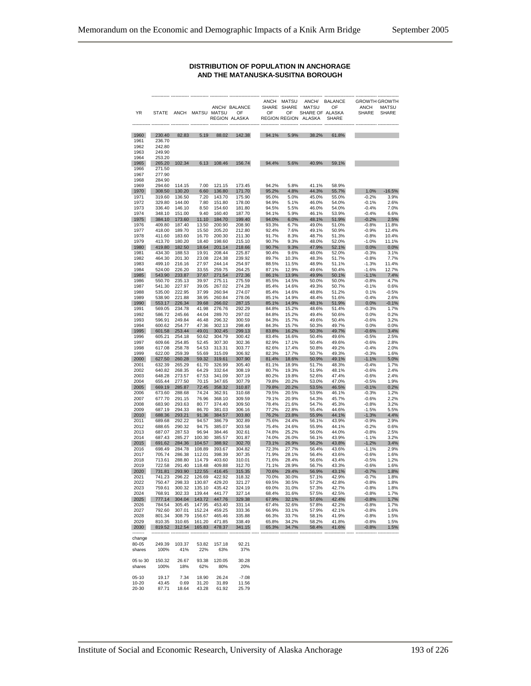#### **DISTRIBUTION OF POPULATION IN ANCHORAGE AND THE MATANUSKA-SUSITNA BOROUGH**

|              |                  |                        |                  |                  | ANCH/ BALANCE       |                | ANCH MATSU<br>SHARE SHARE | <b>MATSU</b>                            | ANCH/ BALANCE<br>OF | <b>ANCH</b>        | <b>GROWTH GROWTH</b><br><b>MATSU</b> |
|--------------|------------------|------------------------|------------------|------------------|---------------------|----------------|---------------------------|-----------------------------------------|---------------------|--------------------|--------------------------------------|
| YR           |                  | STATE ANCH MATSU MATSU |                  |                  | OF<br>REGION ALASKA | OF             | OF                        | SHARE OF ALASKA<br>REGION REGION ALASKA | <b>SHARE</b>        | <b>SHARE</b>       | SHARE                                |
|              |                  |                        |                  |                  |                     |                |                           |                                         |                     |                    |                                      |
| 1960<br>1961 | 230.40<br>236.70 | 82.83                  | 5.19             | 88.02            | 142.38              | 94.1%          | 5.9%                      | 38.2%                                   | 61.8%               |                    |                                      |
| 1962         | 242.80           |                        |                  |                  |                     |                |                           |                                         |                     |                    |                                      |
| 1963         | 249.90<br>253.20 |                        |                  |                  |                     |                |                           |                                         |                     |                    |                                      |
| 1964<br>1965 | 265.20           | 102.34                 | 6.13             | 108.46           | 156.74              | 94.4%          | 5.6%                      | 40.9%                                   | 59.1%               |                    |                                      |
| 1966         | 271.50           |                        |                  |                  |                     |                |                           |                                         |                     |                    |                                      |
| 1967         | 277.90           |                        |                  |                  |                     |                |                           |                                         |                     |                    |                                      |
| 1968<br>1969 | 284.90<br>294.60 | 114.15                 | 7.00             | 121.15           | 173.45              | 94.2%          | 5.8%                      | 41.1%                                   | 58.9%               |                    |                                      |
| 1970         | 308.50           | 130.20                 | 6.60             | 136.80           | 171.70              | 95.2%          | 4.8%                      | 44.3%                                   | 55.7%               | $1.0\%$            | $-16.5%$                             |
| 1971         | 319.60           | 136.50                 | 7.20             | 143.70<br>151.80 | 175.90              | 95.0%<br>94.9% | 5.0%                      | 45.0%                                   | 55.0%               | $-0.2%$<br>$-0.1%$ | 3.9%<br>2.6%                         |
| 1972<br>1973 | 329.80<br>336.40 | 144.00<br>146.10       | 7.80<br>8.50     | 154.60           | 178.00<br>181.80    | 94.5%          | 5.1%<br>5.5%              | 46.0%<br>46.0%                          | 54.0%<br>54.0%      | $-0.4%$            | 7.0%                                 |
| 1974         | 348.10           | 151.00                 | 9.40             | 160.40           | 187.70              | 94.1%          | 5.9%                      | 46.1%                                   | 53.9%               | $-0.4%$            | 6.6%                                 |
| 1975         | 384.10           | 173.60                 | 11.10            | 184.70           | 199.40              | 94.0%          | 6.0%                      | 48.1%                                   | 51.9%               | $-0.2%$            | 2.5%                                 |
| 1976<br>1977 | 409.80<br>418.00 | 187.40<br>189.70       | 13.50<br>15.50   | 200.90<br>205.20 | 208.90<br>212.80    | 93.3%<br>92.4% | 6.7%<br>7.6%              | 49.0%<br>49.1%                          | 51.0%<br>50.9%      | $-0.8%$<br>$-0.9%$ | 11.8%<br>12.4%                       |
| 1978         | 411.60           | 183.60                 | 16.70            | 200.30           | 211.30              | 91.7%          | 8.3%                      | 48.7%                                   | 51.3%               | $-0.8%$            | 10.4%                                |
| 1979         | 413.70           | 180.20                 | 18.40            | 198.60           | 215.10              | 90.7%          | 9.3%                      | 48.0%                                   | 52.0%               | $-1.0%$            | 11.1%                                |
| 1980<br>1981 | 419.80<br>434.30 | 182.50<br>188.53       | 18.64<br>19.91   | 201.14<br>208.44 | 218.66<br>225.87    | 90.7%<br>90.4% | 9.3%<br>9.6%              | 47.9%<br>48.0%                          | 52.1%<br>52.0%      | $0.0\%$<br>$-0.3%$ | 0.0%<br>3.1%                         |
| 1982         | 464.30           | 201.30                 | 23.08            | 224.38           | 239.92              | 89.7%          | 10.3%                     | 48.3%                                   | 51.7%               | $-0.8%$            | 7.7%                                 |
| 1983         | 499.10           | 216.16                 | 27.97            | 244.14           | 254.97              | 88.5%          | 11.5%                     | 48.9%                                   | 51.1%               | $-1.3%$            | 11.4%                                |
| 1984<br>1985 | 524.00<br>543.90 | 226.20<br>233.87       | 33.55<br>37.67   | 259.75<br>271.54 | 264.25<br>272.36    | 87.1%<br>86.1% | 12.9%<br>13.9%            | 49.6%<br>49.9%                          | 50.4%<br>50.1%      | $-1.6%$<br>$-1.1%$ | 12.7%<br>7.4%                        |
| 1986         | 550.70           | 235.13                 | 39.97            | 275.11           | 275.59              | 85.5%          | 14.5%                     | 50.0%                                   | 50.0%               | $-0.8%$            | 4.7%                                 |
| 1987         | 541.30           | 227.97                 | 39.05            | 267.02           | 274.28              | 85.4%          | 14.6%                     | 49.3%                                   | 50.7%               | $-0.1%$            | 0.6%                                 |
| 1988<br>1989 | 535.00<br>538.90 | 222.95<br>221.88       | 37.99<br>38.95   | 260.94<br>260.84 | 274.07<br>278.06    | 85.4%<br>85.1% | 14.6%<br>14.9%            | 48.8%<br>48.4%                          | 51.2%<br>51.6%      | 0.1%<br>$-0.4%$    | $-0.5%$<br>2.6%                      |
| 1990         | 553.17           | 226.34                 | 39.68            | 266.02           | 287.15              | 85.1%          | 14.9%                     | 48.1%                                   | 51.9%               | 0.0%               | $-0.1%$                              |
| 1991         | 569.05           | 234.78                 | 41.98            | 276.76           | 292.29              | 84.8%          | 15.2%                     | 48.6%                                   | 51.4%               | $-0.3%$            | 1.7%                                 |
| 1992         | 586.72           | 245.66<br>249.84       | 44.04            | 289.70           | 297.02              | 84.8%          | 15.2%                     | 49.4%                                   | 50.6%               | 0.0%               | 0.2%                                 |
| 1993<br>1994 | 596.91<br>600.62 | 254.77                 | 46.48<br>47.36   | 296.32<br>302.13 | 300.59<br>298.49    | 84.3%<br>84.3% | 15.7%<br>15.7%            | 49.6%<br>50.3%                          | 50.4%<br>49.7%      | $-0.6%$<br>0.0%    | 3.2%<br>0.0%                         |
| 1995         | 601.58           | 253.44                 | 49.01            | 302.45           | 299.13              | 83.8%          | 16.2%                     | 50.3%                                   | 49.7%               | $-0.6%$            | 3.4%                                 |
| 1996         | 605.21           | 254.18                 | 50.62            | 304.79           | 300.42              | 83.4%          | 16.6%                     | 50.4%                                   | 49.6%               | $-0.5%$            | 2.5%                                 |
| 1997<br>1998 | 609.66<br>617.08 | 254.85<br>258.78       | 52.45<br>54.53   | 307.30<br>313.31 | 302.36<br>303.77    | 82.9%<br>82.6% | 17.1%<br>17.4%            | 50.4%<br>50.8%                          | 49.6%<br>49.2%      | $-0.6%$<br>$-0.4%$ | 2.8%<br>2.0%                         |
| 1999         | 622.00           | 259.39                 | 55.69            | 315.09           | 306.92              | 82.3%          | 17.7%                     | 50.7%                                   | 49.3%               | $-0.3%$            | 1.6%                                 |
| 2000         | 627.50           | 260.28                 | 59.32            | 319.61           | 307.90              | 81.4%          | 18.6%                     | 50.9%                                   | 49.1%               | $-1.1%$            | 5.0%                                 |
| 2001<br>2002 | 632.39<br>640.82 | 265.29<br>268.35       | 61.70<br>64.29   | 326.99<br>332.64 | 305.40<br>308.19    | 81.1%<br>80.7% | 18.9%<br>19.3%            | 51.7%<br>51.9%                          | 48.3%<br>48.1%      | $-0.4%$<br>$-0.6%$ | 1.7%<br>2.4%                         |
| 2003         | 648.28           | 273.57                 | 67.53            | 341.09           | 307.19              | 80.2%          | 19.8%                     | 52.6%                                   | 47.4%               | $-0.6%$            | 2.4%                                 |
| 2004         | 655.44           | 277.50                 | 70.15            | 347.65           | 307.79              | 79.8%          | 20.2%                     | 53.0%                                   | 47.0%               | $-0.5%$            | 1.9%                                 |
| 2005<br>2006 | 669.19<br>673.60 | 285.87<br>288.68       | 72.45<br>74.24   | 358.32<br>362.91 | 310.87<br>310.68    | 79.8%<br>79.5% | 20.2%<br>20.5%            | 53.5%<br>53.9%                          | 46.5%<br>46.1%      | $-0.1%$<br>$-0.3%$ | 0.2%<br>1.2%                         |
| 2007         | 677.70           | 291.15                 | 76.96            | 368.10           | 309.59              | 79.1%          | 20.9%                     | 54.3%                                   | 45.7%               | $-0.6%$            | 2.2%                                 |
| 2008         | 683.90           | 293.63                 | 80.77            | 374.40           | 309.50              | 78.4%          | 21.6%                     | 54.7%                                   | 45.3%               | $-0.8%$            | 3.2%                                 |
| 2009<br>2010 | 687.19<br>688.36 | 294.33<br>293.21       | 86.70<br>91.36   | 381.03<br>384.57 | 306.16<br>303.80    | 77.2%<br>76.2% | 22.8%<br>23.8%            | 55.4%<br>55.9%                          | 44.6%<br>44.1%      | $-1.5%$<br>$-1.3%$ | 5.5%<br>4.4%                         |
| 2011         | 689.68           | 292.22                 | 94.57            | 386.79           | 302.89              | 75.6%          | 24.4%                     | 56.1%                                   | 43.9%               | $-0.9%$            | 2.9%                                 |
| 2012         | 688.65           | 290.32                 | 94.75            | 385.07           | 303.58              | 75.4%          | 24.6%                     | 55.9%                                   | 44.1%               | $-0.2%$            | 0.6%                                 |
| 2013<br>2014 | 687.07<br>687.43 | 287.53<br>285.27       | 96.94<br>100.30  | 384.46<br>385.57 | 302.61<br>301.87    | 74.8%<br>74.0% | 25.2%<br>26.0%            | 56.0%<br>56.1%                          | 44.0%<br>43.9%      | $-0.8%$<br>$-1.1%$ | 2.5%<br>3.2%                         |
| 2015         | 691.62           | 284.36                 | 104.57           | 388.92           | 302.70              | 73.1%          | 26.9%                     | 56.2%                                   | 43.8%               | $-1.2%$            | 3.4%                                 |
| 2016         | 698.49           | 284.78                 | 108.89           | 393.67           | 304.82              | 72.3%          | 27.7%                     | 56.4%                                   | 43.6%               | $-1.1%$            | 2.9%                                 |
| 2017<br>2018 | 705.74<br>713.61 | 286.38<br>288.80       | 112.01<br>114.79 | 398.39<br>403.60 | 307.35<br>310.01    | 71.9%<br>71.6% | 28.1%<br>28.4%            | 56.4%<br>56.6%                          | 43.6%<br>43.4%      | $-0.6%$<br>$-0.5%$ | 1.6%<br>1.2%                         |
| 2019         | 722.58           | 291.40                 | 118.48           | 409.88           | 312.70              | 71.1%          | 28.9%                     | 56.7%                                   | 43.3%               | $-0.6%$            | 1.6%                                 |
| 2020         | 731.81           | 293.90                 | 122.55           | 416.45           | 315.35              | 70.6%          | 29.4%                     | 56.9%                                   | 43.1%               | $-0.7%$            | 1.8%                                 |
| 2021<br>2022 | 741.23<br>750.47 | 296.22<br>298.33       | 126.69<br>130.87 | 422.92<br>429.20 | 318.32<br>321.27    | 70.0%<br>69.5% | 30.0%                     | 57.1%<br>57.2%                          | 42.9%<br>42.8%      | $-0.7%$<br>$-0.8%$ | 1.8%<br>1.8%                         |
| 2023         | 759.61           | 300.32                 |                  | 135.10 435.42    | 324.19              | 69.0%          | 30.5%<br>31.0%            | 57.3%                                   | 42.7%               | $-0.8%$            | 1.8%                                 |
| 2024         | 768.91           | 302.33                 | 139.44           | 441.77           | 327.14              | 68.4%          | 31.6%                     | 57.5%                                   | 42.5%               | $-0.8%$            | 1.7%                                 |
| 2025         | 777.14           | 304.04<br>305.45       | 143.72           | 447.76           | 329.38              | 67.9%          | 32.1%                     | 57.6%                                   | 42.4%               | $-0.8%$            | 1.7%                                 |
| 2026<br>2027 | 784.54<br>792.60 | 307.01                 | 147.95<br>152.24 | 453.40<br>459.25 | 331.14<br>333.36    | 67.4%<br>66.9% | 32.6%<br>33.1%            | 57.8%<br>57.9%                          | 42.2%<br>42.1%      | $-0.8%$<br>$-0.8%$ | 1.7%<br>1.6%                         |
| 2028         | 801.34           | 308.79                 | 156.67           | 465.46           | 335.88              | 66.3%          | 33.7%                     | 58.1%                                   | 41.9%               | $-0.8%$            | 1.5%                                 |
| 2029         | 810.35           | 310.65                 | 161.20           | 471.85           | 338.49              | 65.8%          | 34.2%                     | 58.2%                                   | 41.8%               | $-0.8%$            | 1.5%                                 |
| 2030         | 819.52           | 312.54                 | 165.83           | 478.37           | 341.15              | 65.3%          | 34.7%                     | 58.4%                                   | 41.6%               | $-0.8%$            | 1.5%                                 |
| change       |                  |                        |                  |                  |                     |                |                           |                                         |                     |                    |                                      |
| 80-05        | 249.39           | 103.37                 | 53.82            | 157.18           | 92.21               |                |                           |                                         |                     |                    |                                      |
| shares       | 100%             | 41%                    | 22%              | 63%              | 37%                 |                |                           |                                         |                     |                    |                                      |
| 05 to 30     | 150.32           | 26.67                  | 93.38            | 120.05           | 30.28               |                |                           |                                         |                     |                    |                                      |
| shares       | 100%             | 18%                    | 62%              | 80%              | 20%                 |                |                           |                                         |                     |                    |                                      |
| $05-10$      | 19.17            | 7.34                   | 18.90            | 26.24            | $-7.08$             |                |                           |                                         |                     |                    |                                      |
| 10-20        | 43.45            | 0.69                   | 31.20            | 31.89            | 11.56               |                |                           |                                         |                     |                    |                                      |
| 20-30        | 87.71            | 18.64                  | 43.28            | 61.92            | 25.79               |                |                           |                                         |                     |                    |                                      |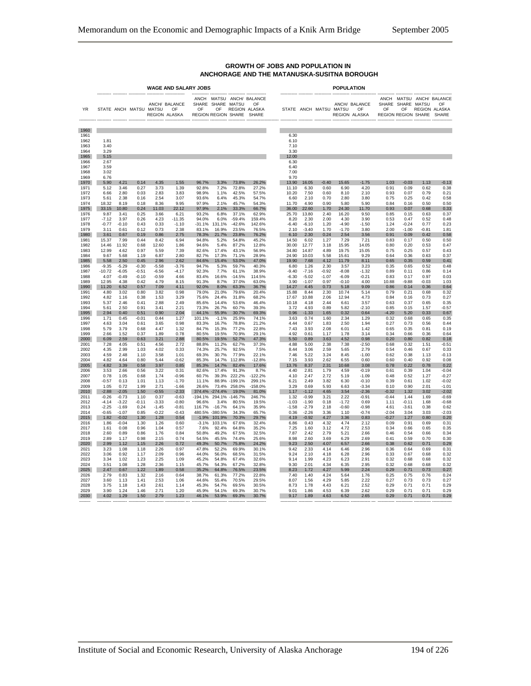|                              | <b>WAGE AND SALARY JOBS</b> |                    |                 |                        |                                            |                   |                       |                         |                                                                                 | <b>POPULATION</b>            |                    |                 |                           |                                |                    |                                                      |                 |                                                 |
|------------------------------|-----------------------------|--------------------|-----------------|------------------------|--------------------------------------------|-------------------|-----------------------|-------------------------|---------------------------------------------------------------------------------|------------------------------|--------------------|-----------------|---------------------------|--------------------------------|--------------------|------------------------------------------------------|-----------------|-------------------------------------------------|
| YR                           |                             |                    |                 | STATE ANCH MATSU MATSU | ANCH/ BALANCE<br>$\cap$ F<br>REGION ALASKA | $\cap$ F          | SHARE SHARE MATSU     |                         | ANCH MATSU ANCH/ BALANCE<br>OF<br>OF REGION ALASKA<br>REGION REGION SHARE SHARE |                              |                    |                 | STATE ANCH MATSU MATSU OF | ANCH/ BALANCE<br>REGION ALASKA | OF                 | SHARE SHARE MATSU<br>OF<br>REGION REGION SHARE SHARE |                 | ANCH MATSU ANCH/ BALANCE<br>OF<br>REGION ALASKA |
| 1960                         |                             |                    |                 |                        |                                            |                   |                       |                         |                                                                                 |                              |                    |                 |                           |                                |                    |                                                      |                 |                                                 |
| 1961<br>1962<br>1963<br>1964 | 1.81<br>3.40<br>3.29        |                    |                 |                        |                                            |                   |                       |                         |                                                                                 | 6.30<br>6.10<br>7.10<br>3.30 |                    |                 |                           |                                |                    |                                                      |                 |                                                 |
| 1965<br>1966                 | 5.15<br>2.67                |                    |                 |                        |                                            |                   |                       |                         |                                                                                 | 12.00<br>6.30                |                    |                 |                           |                                |                    |                                                      |                 |                                                 |
| 1967                         | 3.59                        |                    |                 |                        |                                            |                   |                       |                         |                                                                                 | 6.40                         |                    |                 |                           |                                |                    |                                                      |                 |                                                 |
| 1968<br>1969                 | 3.02<br>6.76                |                    |                 |                        |                                            |                   |                       |                         |                                                                                 | 7.00<br>9.70                 |                    |                 |                           |                                |                    |                                                      |                 |                                                 |
| 1970<br>1971                 | 5.90<br>5.12                | 4.21<br>3.46       | 0.14<br>0.27    | 4.35<br>3.73           | 1.55<br>1.39                               | 96.7%<br>92.8%    | 3.3%<br>7.2%          | 73.8%                   | 26.2%                                                                           | 13.90                        | 16.05<br>6.30      | $-0.40$<br>0.60 | 15.65<br>6.90             | $-1.75$<br>4.20                | 1.03<br>0.91       | $-0.03$<br>0.09                                      | 1.13            | $-0.13$                                         |
| 1972                         | 6.66                        | 2.80               | 0.03            | 2.83                   | 3.83                                       | 98.9%             | 1.1%                  | 72.8%<br>42.5%          | 27.2%<br>57.5%                                                                  | 11.10<br>10.20               | 7.50               | 0.60            | 8.10                      | 2.10                           | 0.93               | 0.07                                                 | 0.62<br>0.79    | 0.38<br>0.21                                    |
| 1973<br>1974                 | 5.61<br>18.32               | 2.38<br>8.19       | 0.16<br>0.18    | 2.54<br>8.36           | 3.07<br>9.95                               | 93.6%<br>97.9%    | 6.4%<br>2.1%          | 45.3%<br>45.7%          | 54.7%<br>54.3%                                                                  | 6.60<br>11.70                | 2.10<br>4.90       | 0.70<br>0.90    | 2.80<br>5.80              | 3.80<br>5.90                   | 0.75<br>0.84       | 0.25<br>0.16                                         | 0.42<br>0.50    | 0.58<br>0.50                                    |
| 1975                         | 33.15                       | 10.80              | 0.24            | 11.03                  | 22.12                                      | 97.9%             | 2.1%                  | 33.3%                   | 66.7%                                                                           | 36.00                        | 22.60              | 1.70            | 24.30                     | 11.70                          | 0.93               | 0.07                                                 | 0.68            | 0.33                                            |
| 1976<br>1977                 | 9.87<br>$-7.12$             | 3.41<br>3.97       | 0.25<br>0.26    | 3.66<br>4.23           | 6.21<br>$-11.35$                           | 93.2%<br>94.0%    | 6.8%<br>6.0%          | 37.1%<br>$-59.4%$       | 62.9%<br>159.4%                                                                 | 25.70<br>8.20                | 13.80<br>2.30      | 2.40<br>2.00    | 16.20<br>4.30             | 9.50<br>3.90                   | 0.85<br>0.53       | 0.15<br>0.47                                         | 0.63<br>0.52    | 0.37<br>0.48                                    |
| 1978                         | $-0.77$                     | $-0.10$            | 0.43            | 0.33                   | $-1.10$                                    | $-31.1%$          | 131.1%                | $-42.6%$                | 142.6%                                                                          | $-6.40$                      | $-6.10$            | 1.20            | $-4.90$                   | $-1.50$                        | 1.24               | $-0.24$                                              | 0.77            | 0.23                                            |
| 1979<br>1980                 | 3.11<br>3.61                | 0.61<br>0.67       | 0.12<br>0.19    | 0.73<br>0.86           | 2.38<br>2.75                               | 83.1%<br>78.3%    | 16.9%<br>21.7%        | 23.5%<br>23.8%          | 76.5%<br>76.2%                                                                  | 2.10<br>6.10                 | $-3.40$<br>2.30    | 1.70<br>0.24    | $-1.70$<br>2.54           | 3.80<br>3.56                   | 2.00<br>0.91       | $-1.00$<br>0.09                                      | $-0.81$<br>0.42 | 1.81<br>0.58                                    |
| 1981                         | 15.37                       | 7.99               | 0.44            | 8.42                   | 6.94                                       | 94.8%             | 5.2%                  | 54.8%                   | 45.2%                                                                           | 14.50                        | 6.02               | 1.27            | 7.29                      | 7.21                           | 0.83               | 0.17                                                 | 0.50            | 0.50                                            |
| 1982<br>1983                 | 14.46<br>12.99              | 11.92<br>4.62      | 0.68<br>0.97    | 12.60<br>5.59          | 1.86<br>7.39                               | 94.6%<br>82.6%    | 5.4%<br>17.4%         | 87.2%<br>43.1%          | 12.8%<br>56.9%                                                                  | 30.00<br>34.80               | 12.77<br>14.87     | 3.18<br>4.89    | 15.95<br>19.75            | 14.05<br>15.05                 | 0.80<br>0.75       | 0.20<br>0.25                                         | 0.53<br>0.57    | 0.47<br>0.43                                    |
| 1984                         | 9.67                        | 5.68               | 1.19            | 6.87                   | 2.80                                       | 82.7%             | 17.3%                 | 71.1%                   | 28.9%                                                                           | 24.90                        | 10.03              | 5.58            | 15.61                     | 9.29                           | 0.64               | 0.36                                                 | 0.63            | 0.37                                            |
| 1985<br>1986                 | 5.58<br>$-9.35$             | 2.50<br>$-5.29$    | 0.45<br>$-0.30$ | 2.96<br>$-5.58$        | 2.62<br>$-3.76$                            | 84.6%<br>94.7%    | 15.4%<br>5.3%         | 53.0%<br>59.7%          | 47.0%<br>40.3%                                                                  | 19.90<br>6.80                | 7.68<br>1.26       | 4.12<br>2.30    | 11.79<br>3.57             | 8.11<br>3.23                   | 0.65<br>0.35       | 0.35<br>0.65                                         | 0.59<br>0.52    | 0.41<br>0.48                                    |
| 1987                         | $-10.72$                    | $-6.05$            | $-0.51$         | $-6.56$                | $-4.17$                                    | 92.3%             | 7.7%                  | 61.1%                   | 38.9%                                                                           | $-9.40$                      | $-7.16$            | $-0.92$         | $-8.08$                   | $-1.32$                        | 0.89               | 0.11                                                 | 0.86            | 0.14                                            |
| 1988<br>1989                 | 4.07<br>12.95               | $-0.49$<br>4.38    | $-0.10$<br>0.42 | $-0.59$<br>4.79        | 4.66<br>8.15                               | 83.4%<br>91.3%    | 16.6%<br>8.7%         | $-14.5%$<br>37.0%       | 114.5%<br>63.0%                                                                 | $-6.30$<br>3.90              | $-5.02$<br>$-1.07$ | $-1.07$<br>0.97 | $-6.09$<br>$-0.10$        | $-0.21$<br>4.00                | 0.83<br>10.88      | 0.17<br>$-9.88$                                      | 0.97<br>$-0.03$ | 0.03<br>1.03                                    |
| 1990<br>1991                 | 11.20                       | 6.52               | 0.57<br>0.80    | 7.09                   | 4.11                                       | 92.0%             | 8.0%                  | 63.3%                   | 36.7%<br>20.4%                                                                  | 14.27                        | 4.45<br>8.44       | 0.73            | 5.18                      | 9.09                           | 0.86               | 0.14                                                 | 0.36            | 0.64                                            |
| 1992                         | 4.80<br>4.82                | 3.02<br>1.16       | 0.38            | 3.82<br>1.53           | 0.98<br>3.29                               | 79.0%<br>75.6%    | 21.0%<br>24.4%        | 79.6%<br>31.8%          | 68.2%                                                                           | 15.88<br>17.67               | 10.88              | 2.30<br>2.06    | 10.74<br>12.94            | 5.14<br>4.73                   | 0.79<br>0.84       | 0.21<br>0.16                                         | 0.68<br>0.73    | 0.32<br>0.27                                    |
| 1993<br>1994                 | 5.37<br>5.61                | 2.46<br>2.50       | 0.41<br>0.91    | 2.88<br>3.41           | 2.49<br>2.21                               | 85.6%<br>73.3%    | 14.4%<br>26.7%        | 53.6%<br>60.7%          | 46.4%<br>39.3%                                                                  | 10.18<br>3.72                | 4.18<br>4.93       | 2.44<br>0.89    | 6.61<br>5.82              | 3.57<br>$-2.10$                | 0.63<br>0.85       | 0.37<br>0.15                                         | 0.65<br>1.57    | 0.35<br>$-0.57$                                 |
| 1995                         | 2.94                        | 0.40               | 0.51            | 0.90                   | 2.04                                       | 44.1%             | 55.9%                 | 30.7%                   | 69.3%                                                                           | 0.96                         | $-1.33$            | 1.65            | 0.32                      | 0.64                           | $-4.20$            | 5.20                                                 | 0.33            | 0.67                                            |
| 1996<br>1997                 | 1.71<br>4.63                | 0.45<br>3.04       | $-0.01$<br>0.61 | 0.44<br>3.65           | 1.27<br>0.98                               | 101.1%<br>83.3%   | $-1.1%$<br>16.7%      | 25.9%<br>78.8%          | 74.1%<br>21.2%                                                                  | 3.63<br>4.44                 | 0.74<br>0.67       | 1.60<br>1.83    | 2.34<br>2.50              | 1.29<br>1.94                   | 0.32<br>0.27       | 0.68<br>0.73                                         | 0.65<br>0.56    | 0.35<br>0.44                                    |
| 1998                         | 5.79                        | 3.79               | 0.68            | 4.47                   | 1.32                                       | 84.7%             | 15.3%                 | 77.2%                   | 22.8%                                                                           | 7.43                         | 3.93               | 2.08            | 6.01                      | 1.42                           | 0.65               | 0.35                                                 | 0.81            | 0.19                                            |
| 1999<br>2000                 | 2.66<br>6.09                | 1.52<br>2.59       | 0.37<br>0.63    | 1.89<br>3.21           | 0.78<br>2.88                               | 80.5%<br>80.5%    | 19.5%<br>19.5%        | 70.9%<br>52.7%          | 29.1%<br>47.3%                                                                  | 4.92<br>5.50                 | 0.61<br>0.89       | 1.17<br>3.63    | 1.78<br>4.52              | 3.14<br>0.98                   | 0.34<br>0.20       | 0.66<br>0.80                                         | 0.36<br>0.82    | 0.64<br>0.18                                    |
| 2001                         | 7.28                        | 4.05               | 0.51            | 4.56                   | 2.72                                       | 88.8%             | 11.2%                 | 62.7%                   | 37.3%                                                                           | 4.88                         | 5.00               | 2.38            | 7.38                      | $-2.50$                        | 0.68               | 0.32                                                 | 1.51            | $-0.51$                                         |
| 2002<br>2003                 | 4.35<br>4.59                | 2.99<br>2.48       | 1.03<br>1.10    | 4.02<br>3.58           | 0.33<br>1.01                               | 74.3%<br>69.3%    | 25.7%<br>30.7%        | 92.5%<br>77.9%          | 7.5%<br>22.1%                                                                   | 8.44<br>7.46                 | 3.06<br>5.22       | 2.59<br>3.24    | 5.65<br>8.45              | 2.79<br>$-1.00$                | 0.54<br>0.62       | 0.46<br>0.38                                         | 0.67<br>1.13    | 0.33<br>$-0.13$                                 |
| 2004                         | 4.82                        | 4.64               | 0.80            | 5.44                   | -0.62                                      | 85.3%             | 14.7%                 | 112.8%                  | $-12.8%$                                                                        | 7.15                         | 3.93               | 2.62            | 6.55                      | 0.60                           | 0.60               | 0.40                                                 | 0.92            | 0.08                                            |
| 2005<br>2006                 | 4.82<br>3.53                | 3.39<br>2.66       | 0.58<br>0.56    | 3.97<br>3.22           | 0.85<br>0.31                               | 85.3%<br>82.6%    | 14.7%<br>17.4%        | 82.4%<br>91.3%          | 17.6%<br>8.7%                                                                   | 13.76<br>4.40                | 8.37<br>2.81       | 2.31<br>1.79    | 10.68<br>4.59             | 3.08<br>$-0.19$                | 0.78<br>0.61       | 0.22<br>0.39                                         | 0.78<br>1.04    | 0.22<br>$-0.04$                                 |
| 2007<br>2008                 | 0.78                        | 1.05               | 0.68            | 1.74<br>1.13           | $-0.96$<br>$-1.70$                         | 60.7%<br>11.1%    | 39.3%                 | 222.2%<br>88.9% -199.1% | $-122.2%$<br>299.1%                                                             | 4.10                         | 2.47<br>2.49       | 2.72            | 5.19                      | $-1.09$<br>$-0.10$             | 0.48<br>0.39       | 0.52                                                 | 1.27<br>1.02    | $-0.27$<br>$-0.02$                              |
| 2009                         | $-0.57$<br>1.05             | 0.13<br>0.72       | 1.01<br>1.99    | 2.71                   | $-1.66$                                    | 26.6%             | 73.4%                 | 258.0%                  | $-158.0%$                                                                       | 6.21<br>3.29                 | 0.69               | 3.82<br>5.93    | 6.30<br>6.63              | $-3.34$                        | 0.10               | 0.61<br>0.90                                         | 2.01            | $-1.01$                                         |
| 2010<br>2011                 | $-2.88$<br>$-0.26$          | $-2.05$<br>$-0.73$ | 1.50<br>1.10    | $-0.55$<br>0.37        | $-2.33$<br>$-0.63$                         | 374.4%<br>-194.1% | $-274.4%$<br>294.1%   | 19.0%<br>$-146.7%$      | 81.0%<br>246.7%                                                                 | 1.17<br>1.32                 | $-1.12$<br>$-0.99$ | 4.65<br>3.21    | 3.54<br>2.22              | $-2.36$<br>$-0.91$             | $-0.32$<br>$-0.44$ | 1.32<br>1.44                                         | 3.02<br>1.69    | $-2.02$<br>$-0.69$                              |
| 2012                         | $-4.14$                     | $-3.22$            | $-0.11$         | $-3.33$                | $-0.80$                                    | 96.6%             | 3.4%                  | 80.5%                   | 19.5%                                                                           | $-1.03$                      | $-1.90$            | 0.18            | $-1.72$                   | 0.69                           | 1.11               | $-0.11$                                              | 1.68            | $-0.68$                                         |
| 2013<br>2014                 | $-2.25$<br>$-0.65$          | $-1.69$<br>$-1.07$ | 0.24<br>0.85    | $-1.45$<br>$-0.22$     | $-0.81$<br>$-0.43$                         | 116.7%<br>480.5%  | $-16.7%$<br>$-380.5%$ | 64.1%<br>34.3%          | 35.9%<br>65.7%                                                                  | $-1.58$<br>0.36              | $-2.79$<br>$-2.26$ | 2.18<br>3.36    | $-0.60$<br>1.10           | $-0.98$<br>$-0.74$             | 4.61<br>$-2.04$    | $-3.61$<br>3.04                                      | 0.38<br>3.03    | 0.62<br>$-2.03$                                 |
| 2015                         | 1.82                        | $-0.02$            | 1.30            | 1.28                   | 0.54                                       | $-1.9%$           | 101.9%                | 70.3%                   | 29.7%                                                                           | 4.19                         | $-0.92$            | 4.27            | 3.36                      | 0.83                           | $-0.27$            | 1.27                                                 | 0.80            | 0.20                                            |
| 2016<br>2017                 | 1.86<br>1.61                | $-0.04$<br>0.08    | 1.30<br>0.96    | 1.26<br>1.04           | 0.60<br>0.57                               | $-3.1%$<br>7.6%   | 103.1%<br>92.4%       | 67.6%<br>64.8%          | 32.4%<br>35.2%                                                                  | 6.86<br>7.25                 | 0.43<br>1.60       | 4.32<br>3.12    | 4.74<br>4.72              | 2.12<br>2.53                   | 0.09<br>0.34       | 0.91<br>0.66                                         | 0.69<br>0.65    | 0.31<br>0.35                                    |
| 2018                         | 2.60                        | 0.89               | 0.86            | 1.76                   | 0.84                                       | 50.8%             | 49.2%                 | 67.5%                   | 32.5%                                                                           | 7.87                         | 2.42               | 2.79            | 5.21                      | 2.66                           | 0.46               | 0.54                                                 | 0.66            | 0.34                                            |
| 2019<br>2020                 | 2.89<br>2.99                | 1.17<br>1.12       | 0.98<br>1.15    | 2.15<br>2.26           | 0.74<br>0.72                               | 54.5%<br>49.3%    | 45.5%<br>50.7%        | 74.4%<br>75.8%          | 25.6%<br>24.2%                                                                  | 8.98<br>9.23                 | 2.60<br>2.50       | 3.69<br>4.07    | 6.29<br>6.57              | 2.69<br>2.66                   | 0.41<br>0.38       | 0.59<br>0.62                                         | 0.70<br>0.71    | 0.30<br>0.29                                    |
| 2021                         | 3.23                        | 1.08               | 1.18            | 2.26                   | 0.97                                       | 47.8%             | 52.2%                 | 69.9%                   | 30.1%                                                                           | 9.42                         | 2.33               | 4.14            | 6.46                      | 2.96                           | 0.36               | 0.64                                                 | 0.69            | 0.31                                            |
| 2022<br>2023                 | 3.06<br>3.34                | 0.92<br>1.02       | 1.17<br>1.23    | 2.09<br>2.25           | 0.96<br>1.09                               | 44.0%<br>45.2%    | 56.0%<br>54.8%        | 68.5%<br>67.4%          | 31.5%<br>32.6%                                                                  | 9.24<br>9.14                 | 2.10<br>1.99       | 4.18<br>4.23    | 6.28<br>6.23              | 2.96<br>2.91                   | 0.33<br>0.32       | 0.67<br>0.68                                         | 0.68<br>0.68    | 0.32<br>0.32                                    |
| 2024                         | 3.51                        | 1.08               | 1.28            | 2.36                   | 1.15                                       | 45.7%             | 54.3%                 | 67.2%                   | 32.8%                                                                           | 9.30                         | 2.01               | 4.34            | 6.35                      | 2.95                           | 0.32               | 0.68                                                 | 0.68            | 0.32                                            |
| 2025<br>2026                 | 2.47<br>2.79                | 0.67<br>0.83       | 1.22<br>1.32    | 1.89<br>2.16           | 0.58<br>0.64                               | 35.2%<br>38.7%    | 64.8%<br>61.3%        | 76.5%<br>77.2%          | 23.5%<br>22.8%                                                                  | 8.23<br>7.40                 | 1.72<br>1.40       | 4.27<br>4.24    | 5.99<br>5.64              | 2.24<br>1.76                   | 0.29<br>0.25       | 0.71<br>0.75                                         | 0.73<br>0.76    | 0.27<br>0.24                                    |
| 2027<br>2028                 | 3.60<br>3.75                | 1.13<br>1.18       | 1.41<br>1.43    | 2.53<br>2.61           | 1.06<br>1.14                               | 44.6%<br>45.3%    | 55.4%<br>54.7%        | 70.5%<br>69.5%          | 29.5%<br>30.5%                                                                  | 8.07<br>8.73                 | 1.56<br>1.78       | 4.29<br>4.43    | 5.85<br>6.21              | 2.22<br>2.52                   | 0.27<br>0.29       | 0.73<br>0.71                                         | 0.73<br>0.71    | 0.27<br>0.29                                    |
| 2029                         | 3.90                        | 1.24               | 1.46            | 2.71                   | 1.20                                       | 45.9%             | 54.1%                 | 69.3%                   | 30.7%                                                                           | 9.01                         | 1.86               | 4.53            | 6.39                      | 2.62                           | 0.29               | 0.71                                                 | 0.71            | 0.29                                            |
| 2030                         | 4.02                        | 1.29               | 1.50            | 2.79                   | 1.23                                       | 46.1%             | 53.9%                 | 69.3%                   | 30.7%                                                                           | 9.17                         | 1.89               | 4.63            | 6.52                      | 2.65                           | 0.29               | 0.71                                                 | 0.71            | 0.29                                            |

#### **GROWTH OF JOBS AND POPULATION IN ANCHORAGE AND THE MATANUSKA-SUSITNA BOROUGH**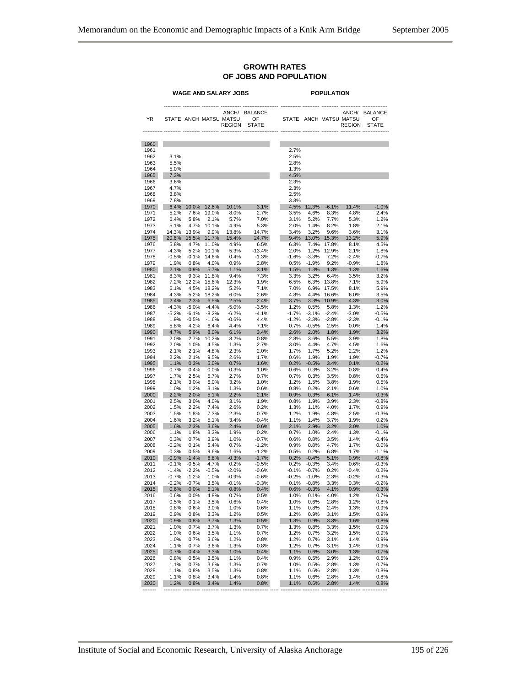#### **GROWTH RATES OF JOBS AND POPULATION**

#### **WAGE AND SALARY JOBS POPULATION** ---------- ---------- ---------- ------------ --------------------- ------------ ---------- ---------- ------------ --------------- ANCH/ BALANCE AND ANCH/ BALANCE ANCH/ BALANCE STATE ANCH/ BALANCE YR STATE ANCH MATSU MATSU OF STATE ANCH MATSU OF REGION STATE REGION ------------ ---------- ---------- ---------- ------------ --------------------- ------------ ---------- ---------- ------------ ---------------- 1960 1961 2.7% 1962 3.1% 2.5% 1963 5.5% 2.8% 1964 5.0% 1.3% 1965 7.3% 4.5% 1966 3.6% 2.3% 1967 4.7% 2.3% 1968 3.8% 2.5% 1969 7.8% 3.3% 1970 6.4% 10.0% 12.6% 10.1% 3.1% 4.5% 12.3% -6.1% 11.4% -1.0% 1971 5.2% 7.6% 19.0% 8.0% 2.7% 3.5% 4.6% 8.3% 4.8% 2.4% 1972 6.4% 5.8% 2.1% 5.7% 7.0% 3.1% 5.2% 7.7% 5.3% 1.2% 1973 5.1% 4.7% 10.1% 4.9% 5.3% 2.0% 1.4% 8.2% 1.8% 2.1% 1974 14.3% 13.9% 9.9% 13.8% 14.7% 3.4% 3.2% 9.6% 3.6% 3.1% 1975 20.6% 15.5% 11.7% 15.4% 24.7% 9.4% 13.0% 15.3% 13.2% 5.9% 1976 5.8% 4.7% 11.0% 4.9% 6.5% 6.3% 7.4% 17.8% 8.1% 4.5% 1977 -4.3% 5.2% 10.1% 5.3% -13.4% 2.0% 1.2% 12.9% 2.1% 1.8% 1978 -0.5% -0.1% 14.6% 0.4% -1.3% -1.6% -3.3% 7.2% -2.4% -0.7% 1979 1.9% 0.8% 4.0% 0.9% 2.8% 0.5% -1.9% 9.2% -0.9% 1.8% 1980 2.1% 0.9% 5.7% 1.1% 3.1% 1.5% 1.3% 1.3% 1.3% 1.6% 1981 8.3% 9.3% 11.8% 9.4% 7.3% 3.3% 3.2% 6.4% 3.5% 3.2% 1982 7.2% 12.2% 15.6% 12.3% 1.9% 6.5% 6.3% 13.8% 7.1% 5.9% 1983 6.1% 4.5% 18.2% 5.2% 7.1% 7.0% 6.9% 17.5% 8.1% 5.9% 1984 4.3% 5.2% 18.2% 6.0% 2.6% 4.8% 4.4% 16.6% 6.0% 3.5% 1985 2.4% 2.3% 6.5% 2.5% 2.4% 3.7% 3.3% 10.9% 4.3% 3.0% 1986 -4.3% -5.0% -4.4% -5.0% -3.5% 1.2% 0.5% 5.8% 1.3% 1.2% 1987 -5.2% -6.1% -8.2% -6.2% -4.1% -1.7% -3.1% -2.4% -3.0% -0.5% 1988 1.9% -0.5% -1.6% -0.6% 4.4% -1.2% -2.3% -2.8% -2.3% -0.1% 1989 5.8% 4.2% 6.4% 4.4% 7.1% 0.7% -0.5% 2.5% 0.0% 1.4% 1990 4.7% 5.9% 8.0% 6.1% 3.4% 2.6% 2.0% 1.8% 1.9% 3.2% 1991 2.0% 2.7% 10.2% 3.2% 0.8% 2.8% 3.6% 5.5% 3.9% 1.8% 1992 2.0% 1.0% 4.5% 1.3% 2.7% 3.0% 4.4% 4.7% 4.5% 1.6% 1993 2.1% 2.1% 4.8% 2.3% 2.0% 1.7% 1.7% 5.2% 2.2% 1.2% 1994 2.2% 2.1% 9.5% 2.6% 1.7% 0.6% 1.9% 1.9% 1.9% -0.7% 1995 1.1% 0.3% 5.0% 0.7% 1.6% 0.2% -0.5% 3.4% 0.1% 0.2% 1996 0.7% 0.4% 0.0% 0.3% 1.0% 0.6% 0.3% 3.2% 0.8% 0.4% 1997 1.7% 2.5% 5.7% 2.7% 0.7% 0.7% 0.3% 3.5% 0.8% 0.6% 1998 2.1% 3.0% 6.0% 3.2% 1.0% 1.2% 1.5% 3.8% 1.9% 0.5% 1999 1.0% 1.2% 3.1% 1.3% 0.6% 0.8% 0.2% 2.1% 0.6% 1.0% 2000 2.2% 2.0% 5.1% 2.2% 2.1% 0.9% 0.3% 6.1% 1.4% 0.3% 2001 2.5% 3.0% 4.0% 3.1% 1.9% 0.8% 1.9% 3.9% 2.3% -0.8% 2002 1.5% 2.2% 7.4% 2.6% 0.2% 1.3% 1.1% 4.0% 1.7% 0.9% 2003 1.5% 1.8% 7.3% 2.3% 0.7% 1.2% 1.9% 4.8% 2.5% -0.3% 2004 1.6% 3.2% 5.1% 3.4% -0.4% 1.1% 1.4% 3.7% 1.9% 0.2% 2005 1.6% 2.3% 3.6% 2.4% 0.6% 2.1% 2.9% 3.2% 3.0% 1.0% 2006 1.1% 1.8% 3.3% 1.9% 0.2% 0.7% 1.0% 2.4% 1.3% -0.1% 2007 0.3% 0.7% 3.9% 1.0% -0.7% 0.6% 0.8% 3.5% 1.4% -0.4% 2008 -0.2% 0.1% 5.4% 0.7% -1.2% 0.9% 0.8% 4.7% 1.7% 0.0% 2009 0.3% 0.5% 9.6% 1.6% -1.2% 0.5% 0.2% 6.8% 1.7% -1.1% 2010 -0.9% -1.4% 6.8% -0.3% -1.7% 0.2% -0.4% 5.1% 0.9% -0.8% 2011 -0.1% -0.5% 4.7% 0.2% -0.5% 0.2% -0.3% 3.4% 0.6% -0.3% 2012 -1.4% -2.2% -0.5% -2.0% -0.6% -0.1% -0.7% 0.2% -0.4% 0.2% 2013 -0.7% -1.2% 1.0% -0.9% -0.6% -0.2% -1.0% 2.3% -0.2% -0.3% 2014 -0.2% -0.7% 3.5% -0.1% -0.3% 0.1% -0.8% 3.3% 0.3% -0.2% 2015 0.6% 0.0% 5.1% 0.8% 0.4% 0.6% -0.3% 4.1% 0.9% 0.3% 2016 0.6% 0.0% 4.8% 0.7% 0.5% 1.0% 0.1% 4.0% 1.2% 0.7% 2017 0.5% 0.1% 3.5% 0.6% 0.4% 1.0% 0.6% 2.8% 1.2% 0.8% 2018 0.8% 0.6% 3.0% 1.0% 0.6% 1.1% 0.8% 2.4% 1.3% 0.9% 2019 0.9% 0.8% 3.3% 1.2% 0.5% 1.2% 0.9% 3.1% 1.5% 0.9% 2020 0.9% 0.8% 3.7% 1.3% 0.5% 1.3% 0.9% 3.3% 1.6% 0.8% 2021 1.0% 0.7% 3.7% 1.3% 0.7% 1.3% 0.8% 3.3% 1.5% 0.9% 2022 1.0% 0.6% 3.5% 1.1% 0.7% 1.2% 0.7% 3.2% 1.5% 0.9% 2023 1.0% 0.7% 3.6% 1.2% 0.8% 1.2% 0.7% 3.1% 1.4% 0.9% 2024 1.1% 0.7% 3.6% 1.3% 0.8% 1.2% 0.7% 3.1% 1.4% 0.9% 2025 0.7% 0.4% 3.3% 1.0% 0.4% 1.1% 0.6% 3.0% 1.3% 0.7% 2026 0.8% 0.5% 3.5% 1.1% 0.4% 0.9% 0.5% 2.9% 1.2% 0.5% 2027 1.1% 0.7% 3.6% 1.3% 0.7% 1.0% 0.5% 2.8% 1.3% 0.7% 2028 1.1% 0.8% 3.5% 1.3% 0.8% 1.1% 0.6% 2.8% 1.3% 0.8% 2029 1.1% 0.8% 3.4% 1.4% 0.8% 1.1% 0.6% 2.8% 1.4% 0.8% 2030 1.2% 0.8% 3.4% 1.4% 0.8% 1.1% 0.6% 2.8% 1.4% 0.8%

-------- ---------- ---------- ---------- ------------ --------------- ----- ------------ ---------- ---------- ------------ ---------------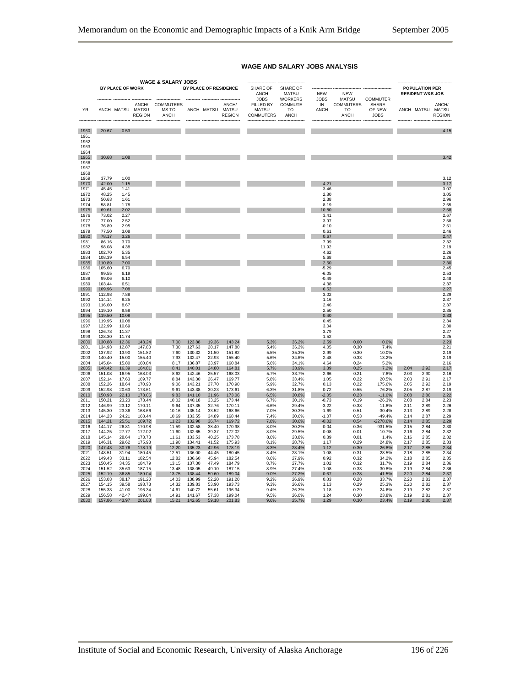|                              |                  |                  |                  | <b>WAGE &amp; SALARY JOBS</b>    |                  |                |                                            | --------------- ---------------               |                                            |                           |                                       |                                |              |                                                      |                                            |
|------------------------------|------------------|------------------|------------------|----------------------------------|------------------|----------------|--------------------------------------------|-----------------------------------------------|--------------------------------------------|---------------------------|---------------------------------------|--------------------------------|--------------|------------------------------------------------------|--------------------------------------------|
|                              |                  | BY PLACE OF WORK |                  |                                  |                  |                | BY PLACE OF RESIDENCE                      | SHARE OF<br>ANCH<br><b>JOBS</b>               | SHARE OF<br><b>MATSU</b><br><b>WORKERS</b> | <b>NEW</b><br><b>JOBS</b> | <b>NEW</b><br><b>MATSU</b>            | <b>COMMUTER</b>                |              | <b>POPULATION PER</b><br><b>RESIDENT W&amp;S JOB</b> |                                            |
| YR                           |                  | ANCH MATSU MATSU | <b>REGION</b>    | ANCH/ COMMUTERS<br>MS TO<br>ANCH |                  |                | ANCH/<br>ANCH MATSU MATSU<br><b>REGION</b> | FILLED BY<br><b>MATSU</b><br><b>COMMUTERS</b> | COMMUTE<br>TO<br>ANCH                      | IN<br>ANCH                | <b>COMMUTERS</b><br>TO<br><b>ANCH</b> | SHARE<br>OF NEW<br><b>JOBS</b> |              |                                                      | ANCH/<br>ANCH MATSU MATSU<br><b>REGION</b> |
| 1960                         | 20.67            | 0.53             |                  |                                  |                  |                |                                            |                                               |                                            |                           |                                       |                                |              |                                                      | 4.15                                       |
| 1961<br>1962<br>1963<br>1964 |                  |                  |                  |                                  |                  |                |                                            |                                               |                                            |                           |                                       |                                |              |                                                      |                                            |
| 1965<br>1966<br>1967<br>1968 | 30.68            | 1.08             |                  |                                  |                  |                |                                            |                                               |                                            |                           |                                       |                                |              |                                                      | 3.42                                       |
| 1969                         | 37.79            | 1.00             |                  |                                  |                  |                |                                            |                                               |                                            |                           |                                       |                                |              |                                                      | 3.12                                       |
| 1970                         | 42.00            | 1.15             |                  |                                  |                  |                |                                            |                                               |                                            | 4.21                      |                                       |                                |              |                                                      | 3.17                                       |
| 1971<br>1972                 | 45.45<br>48.25   | 1.41<br>1.45     |                  |                                  |                  |                |                                            |                                               |                                            | 3.46<br>2.80              |                                       |                                |              |                                                      | 3.07<br>3.05                               |
| 1973                         | 50.63            | 1.61             |                  |                                  |                  |                |                                            |                                               |                                            | 2.38                      |                                       |                                |              |                                                      | 2.96                                       |
| 1974                         | 58.81            | 1.78             |                  |                                  |                  |                |                                            |                                               |                                            | 8.19                      |                                       |                                |              |                                                      | 2.65                                       |
| 1975                         | 69.61            | 2.02             |                  |                                  |                  |                |                                            |                                               |                                            | 10.80                     |                                       |                                |              |                                                      | 2.58                                       |
| 1976<br>1977                 | 73.02<br>77.00   | 2.27<br>2.52     |                  |                                  |                  |                |                                            |                                               |                                            | 3.41<br>3.97              |                                       |                                |              |                                                      | 2.67<br>2.58                               |
| 1978                         | 76.89            | 2.95             |                  |                                  |                  |                |                                            |                                               |                                            | $-0.10$                   |                                       |                                |              |                                                      | 2.51                                       |
| 1979                         | 77.50            | 3.08             |                  |                                  |                  |                |                                            |                                               |                                            | 0.61                      |                                       |                                |              |                                                      | 2.46                                       |
| 1980<br>1981                 | 78.17<br>86.16   | 3.26<br>3.70     |                  |                                  |                  |                |                                            |                                               |                                            | 0.67<br>7.99              |                                       |                                |              |                                                      | 2.47<br>2.32                               |
| 1982                         | 98.08            | 4.38             |                  |                                  |                  |                |                                            |                                               |                                            | 11.92                     |                                       |                                |              |                                                      | 2.19                                       |
| 1983                         | 102.70           | 5.35             |                  |                                  |                  |                |                                            |                                               |                                            | 4.62                      |                                       |                                |              |                                                      | 2.26                                       |
| 1984                         | 108.39           | 6.54<br>7.00     |                  |                                  |                  |                |                                            |                                               |                                            | 5.68<br>2.50              |                                       |                                |              |                                                      | 2.26<br>2.30                               |
| 1985<br>1986                 | 110.89<br>105.60 | 6.70             |                  |                                  |                  |                |                                            |                                               |                                            | $-5.29$                   |                                       |                                |              |                                                      | 2.45                                       |
| 1987                         | 99.55            | 6.19             |                  |                                  |                  |                |                                            |                                               |                                            | $-6.05$                   |                                       |                                |              |                                                      | 2.53                                       |
| 1988                         | 99.06            | 6.10             |                  |                                  |                  |                |                                            |                                               |                                            | $-0.49$                   |                                       |                                |              |                                                      | 2.48                                       |
| 1989<br>1990                 | 103.44<br>109.96 | 6.51<br>7.08     |                  |                                  |                  |                |                                            |                                               |                                            | 4.38<br>6.52              |                                       |                                |              |                                                      | 2.37<br>2.27                               |
| 1991                         | 112.98           | 7.88             |                  |                                  |                  |                |                                            |                                               |                                            | 3.02                      |                                       |                                |              |                                                      | 2.29                                       |
| 1992<br>1993                 | 114.14           | 8.25             |                  |                                  |                  |                |                                            |                                               |                                            | 1.16<br>2.46              |                                       |                                |              |                                                      | 2.37                                       |
| 1994                         | 116.60<br>119.10 | 8.67<br>9.58     |                  |                                  |                  |                |                                            |                                               |                                            | 2.50                      |                                       |                                |              |                                                      | 2.37<br>2.35                               |
| 1995                         | 119.50           | 10.08            |                  |                                  |                  |                |                                            |                                               |                                            | 0.40                      |                                       |                                |              |                                                      | 2.33                                       |
| 1996                         | 119.95           | 10.08            |                  |                                  |                  |                |                                            |                                               |                                            | 0.45                      |                                       |                                |              |                                                      | 2.34                                       |
| 1997<br>1998                 | 122.99<br>126.78 | 10.69<br>11.37   |                  |                                  |                  |                |                                            |                                               |                                            | 3.04<br>3.79              |                                       |                                |              |                                                      | 2.30<br>2.27                               |
| 1999                         | 128.30           | 11.74            |                  |                                  |                  |                |                                            |                                               |                                            | 1.52                      |                                       |                                |              |                                                      | 2.25                                       |
| 2000                         | 130.88           | 12.36            | 143.24           | 7.00                             | 123.88           | 19.36          | 143.24                                     | 5.3%                                          | 36.2%                                      | 2.59                      | 0.00                                  | 0.0%                           |              |                                                      | 2.23                                       |
| 2001<br>2002                 | 134.93<br>137.92 | 12.87<br>13.90   | 147.80<br>151.82 | 7.30<br>7.60                     | 127.63<br>130.32 | 20.17<br>21.50 | 147.80<br>151.82                           | 5.4%<br>5.5%                                  | 36.2%<br>35.3%                             | 4.05<br>2.99              | 0.30<br>0.30                          | 7.4%<br>10.0%                  |              |                                                      | 2.21<br>2.19                               |
| 2003                         | 140.40           | 15.00            | 155.40           | 7.93                             | 132.47           | 22.93          | 155.40                                     | 5.6%                                          | 34.6%                                      | 2.48                      | 0.33                                  | 13.2%                          |              |                                                      | 2.19                                       |
| 2004                         | 145.04           | 15.80            | 160.84           | 8.17                             | 136.87           | 23.97          | 160.84                                     | 5.6%                                          | 34.1%                                      | 4.64                      | 0.24                                  | 5.2%                           |              |                                                      | 2.16                                       |
| 2005<br>2006                 | 148.42<br>151.08 | 16.39<br>16.95   | 164.81<br>168.03 | 8.41<br>8.62                     | 140.01<br>142.46 | 24.80<br>25.57 | 164.81<br>168.03                           | 5.7%<br>5.7%                                  | 33.9%<br>33.7%                             | 3.39<br>2.66              | 0.25<br>0.21                          | 7.2%<br>7.8%                   | 2.04<br>2.03 | 2.92<br>2.90                                         | 2.17<br>2.16                               |
| 2007                         | 152.14           | 17.63            | 169.77           | 8.84                             | 143.30           | 26.47          | 169.77                                     | 5.8%                                          | 33.4%                                      | 1.05                      | 0.22                                  | 20.5%                          | 2.03         | 2.91                                                 | 2.17                                       |
| 2008                         | 152.26           | 18.64            | 170.90           | 9.06                             | 143.21           | 27.70          | 170.90                                     | 5.9%                                          | 32.7%                                      | 0.13                      | 0.22                                  | 175.6%                         | 2.05         | 2.92                                                 | 2.19                                       |
| 2009<br>2010                 | 152.98<br>150.93 | 20.63<br>22.13   | 173.61<br>173.06 | 9.61<br>9.83                     | 143.38<br>141.10 | 30.23<br>31.96 | 173.61<br>173.06                           | 6.3%<br>6.5%                                  | 31.8%<br>30.8%                             | 0.72<br>$-2.05$           | 0.55<br>0.23                          | 76.2%<br>$-11.0%$              | 2.05<br>2.08 | 2.87<br>2.86                                         | 2.19<br>2.22                               |
| 2011                         | 150.21           | 23.23            | 173.44           | 10.02                            | 140.18           | 33.25          | 173.44                                     | 6.7%                                          | 30.1%                                      | $-0.73$                   | 0.19                                  | $-26.3%$                       | 2.08         | 2.84                                                 | 2.23                                       |
| 2012                         | 146.99           | 23.12            | 170.11           | 9.64                             | 137.35           | 32.76          | 170.11                                     | 6.6%                                          | 29.4%                                      | $-3.22$                   | $-0.38$                               | 11.8%                          | 211          | 2.89                                                 | 2.26                                       |
| 2013                         | 145.30<br>144.23 | 23.36<br>24.21   | 168.66           | 10.16<br>10.69                   | 135.14           | 33.52<br>34.89 | 168.66<br>168.44                           | 7.0%                                          | 30.3%                                      | $-1.69$<br>$-1.07$        | 0.51                                  | $-30.4%$<br>$-49.4%$           | 2.13<br>2.14 | 2.89<br>2.87                                         | 2.28                                       |
| 2014<br>2015                 | 144.21           | 25.51            | 168.44<br>169.72 | 11.23                            | 133.55<br>132.98 | 36.74          | 169.72                                     | 7.4%<br>7.8%                                  | 30.6%<br>30.6%                             | $-0.02$                   | 0.53<br>0.54                          | -2278.6%                       | 2.14         | 2.85                                                 | 2.29<br>2.29                               |
| 2016                         | 144.17           | 26.81            | 170.98           | 11.59                            | 132.58           | 38.40          | 170.98                                     | 8.0%                                          | 30.2%                                      | $-0.04$                   | 0.36                                  | $-931.5%$                      | 2.15         | 2.84                                                 | 2.30                                       |
| 2017                         | 144.25           | 27.77            | 172.02           | 11.60                            | 132.65           | 39.37          | 172.02                                     | 8.0%                                          | 29.5%                                      | 0.08                      | 0.01                                  | 10.7%                          | 2.16         | 2.84                                                 | 2.32                                       |
| 2018<br>2019                 | 145.14<br>146.31 | 28.64<br>29.62   | 173.78<br>175.93 | 11.61<br>11.90                   | 133.53<br>134.41 | 40.25<br>41.52 | 173.78<br>175.93                           | 8.0%<br>8.1%                                  | 28.8%<br>28.7%                             | 0.89<br>1.17              | 0.01<br>0.29                          | 1.4%<br>24.8%                  | 2.16<br>2.17 | 2.85<br>2.85                                         | 2.32<br>2.33                               |
| 2020                         | 147.43           | 30.76            | 178.19           | 12.20                            | 135.23           | 42.96          | 178.19                                     | 8.3%                                          | 28.4%                                      | 1.12                      | 0.30                                  | 26.8%                          | 2.17         | 2.85                                                 | 2.34                                       |
| 2021                         | 148.51           | 31.94            | 180.45           | 12.51                            | 136.00           | 44.45          | 180.45                                     | 8.4%                                          | 28.1%                                      | 1.08                      | 0.31                                  | 28.5%                          | 2.18         | 2.85                                                 | 2.34                                       |
| 2022<br>2023                 | 149.43<br>150.45 | 33.11<br>34.35   | 182.54<br>184.79 | 12.82<br>13.15                   | 136.60<br>137.30 | 45.94<br>47.49 | 182.54<br>184.79                           | 8.6%<br>8.7%                                  | 27.9%<br>27.7%                             | 0.92<br>1.02              | 0.32<br>0.32                          | 34.2%<br>31.7%                 | 2.18<br>2.19 | 2.85<br>2.84                                         | 2.35<br>2.36                               |
| 2024                         | 151.52           | 35.63            | 187.15           | 13.48                            | 138.05           | 49.10          | 187.15                                     | 8.9%                                          | 27.4%                                      | 1.08                      | 0.33                                  | 30.8%                          | 2.19         | 2.84                                                 | 2.36                                       |
| 2025                         | 152.19           | 36.85            | 189.04           | 13.75                            | 138.44           | 50.60          | 189.04                                     | 9.0%                                          | 27.2%                                      | 0.67                      | 0.28                                  | 41.5%                          | 2.20         | 2.84                                                 | 2.37                                       |
| 2026<br>2027                 | 153.03<br>154.15 | 38.17<br>39.58   | 191.20<br>193.73 | 14.03<br>14.32                   | 138.99<br>139.83 | 52.20<br>53.90 | 191.20<br>193.73                           | 9.2%<br>9.3%                                  | 26.9%<br>26.6%                             | 0.83<br>1.13              | 0.28<br>0.29                          | 33.7%<br>25.3%                 | 2.20<br>2.20 | 2.83<br>2.82                                         | 2.37<br>2.37                               |
| 2028                         | 155.33           | 41.00            | 196.34           | 14.61                            | 140.72           | 55.61          | 196.34                                     | 9.4%                                          | 26.3%                                      | 1.18                      | 0.29                                  | 24.6%                          | 2.19         | 2.82                                                 | 2.37                                       |
| 2029                         | 156.58           | 42.47            | 199.04           | 14.91                            | 141.67           | 57.38          | 199.04                                     | 9.5%                                          | 26.0%                                      | 1.24                      | 0.30                                  | 23.8%                          | 2.19         | 2.81                                                 | 2.37                                       |
| 2030                         | 157.86           | 43.97            | 201.83           | 15.21                            | 142.65           | 59.18          | 201.83                                     | 9.6%                                          | 25.7%                                      | 1.29                      | 0.30                                  | 23.4%                          | 2.19         | 2.80                                                 | 2.37                                       |

#### **WAGE AND SALARY JOBS ANALYSIS**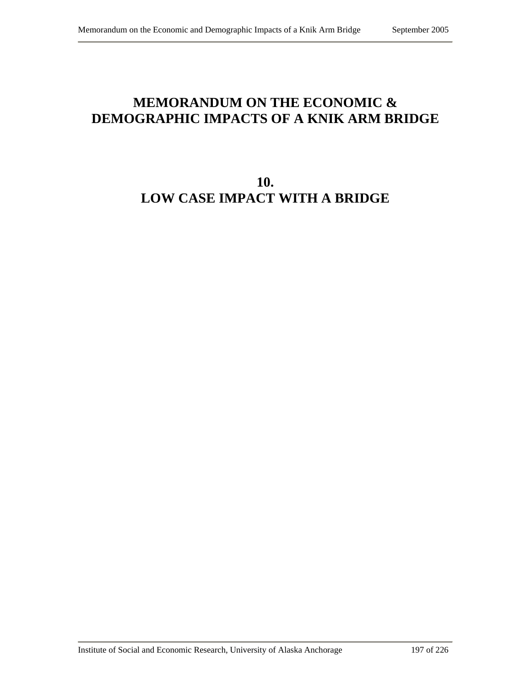## **MEMORANDUM ON THE ECONOMIC & DEMOGRAPHIC IMPACTS OF A KNIK ARM BRIDGE**

# **10. LOW CASE IMPACT WITH A BRIDGE**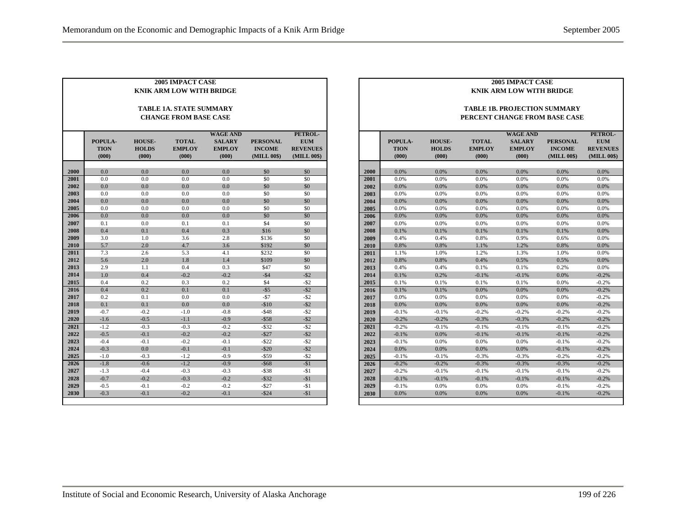| <b>2005 IMPACT CASE</b><br><b>KNIK ARM LOW WITH BRIDGE</b> |                                                                |                                        |                                        |                                                            |                                                 |                                                         |  |  |  |  |
|------------------------------------------------------------|----------------------------------------------------------------|----------------------------------------|----------------------------------------|------------------------------------------------------------|-------------------------------------------------|---------------------------------------------------------|--|--|--|--|
|                                                            | <b>TABLE 1A. STATE SUMMARY</b><br><b>CHANGE FROM BASE CASE</b> |                                        |                                        |                                                            |                                                 |                                                         |  |  |  |  |
|                                                            | POPULA-<br><b>TION</b><br>(000)                                | <b>HOUSE-</b><br><b>HOLDS</b><br>(000) | <b>TOTAL</b><br><b>EMPLOY</b><br>(000) | <b>WAGE AND</b><br><b>SALARY</b><br><b>EMPLOY</b><br>(000) | <b>PERSONAL</b><br><b>INCOME</b><br>(MILL 00\$) | PETROL-<br><b>EUM</b><br><b>REVENUES</b><br>(MILL 00\$) |  |  |  |  |
| 2000                                                       | 0.0                                                            | 0.0                                    | 0.0                                    | 0.0                                                        | \$0                                             | \$0                                                     |  |  |  |  |
| 2001                                                       | 0.0                                                            | 0.0                                    | 0.0                                    | 0.0                                                        | \$0                                             | \$0                                                     |  |  |  |  |
| 2002                                                       | 0.0                                                            | 0.0                                    | 0.0                                    | 0.0                                                        | \$0                                             | \$0                                                     |  |  |  |  |
| 2003                                                       | 0.0                                                            | 0.0                                    | 0.0                                    | 0.0                                                        | \$0                                             | \$0                                                     |  |  |  |  |
| 2004                                                       | 0.0                                                            | 0.0                                    | 0.0                                    | 0.0                                                        | \$0                                             | \$0                                                     |  |  |  |  |
| 2005                                                       | 0.0                                                            | 0.0                                    | 0.0                                    | 0.0                                                        | \$0                                             | \$0                                                     |  |  |  |  |
| 2006                                                       | 0.0                                                            | 0.0                                    | 0.0                                    | 0.0                                                        | \$0                                             | \$0                                                     |  |  |  |  |
| 2007                                                       | 0.1                                                            | 0.0                                    | 0.1                                    | 0.1                                                        | \$4                                             | \$0                                                     |  |  |  |  |
| 2008                                                       | 0.4                                                            | 0.1                                    | 0.4                                    | 0.3                                                        | \$16                                            | \$0                                                     |  |  |  |  |
| 2009                                                       | 3.0                                                            | 1.0                                    | 3.6                                    | 2.8                                                        | \$136                                           | \$0                                                     |  |  |  |  |
| 2010                                                       | 5.7                                                            | 2.0                                    | 4.7                                    | 3.6                                                        | \$192                                           | \$0                                                     |  |  |  |  |
| 2011                                                       | 7.3                                                            | 2.6                                    | 5.3                                    | 4.1                                                        | \$232                                           | \$0                                                     |  |  |  |  |
| 2012                                                       | 5.6                                                            | 2.0                                    | 1.8                                    | 1.4                                                        | \$109                                           | \$0                                                     |  |  |  |  |
| 2013                                                       | 2.9                                                            | 1.1                                    | 0.4                                    | 0.3                                                        | \$47                                            | \$0                                                     |  |  |  |  |
| 2014                                                       | 1.0                                                            | 0.4                                    | $-0.2$                                 | $-0.2$                                                     | $-$ \$4                                         | $-$ \$2                                                 |  |  |  |  |
| 2015                                                       | 0.4                                                            | 0.2                                    | 0.3                                    | 0.2                                                        | \$4                                             | $-$ \$2                                                 |  |  |  |  |
| 2016                                                       | 0.4                                                            | 0.2                                    | 0.1                                    | 0.1                                                        | $-$ \$5                                         | $-$ \$2                                                 |  |  |  |  |
| 2017                                                       | 0.2                                                            | 0.1                                    | 0.0                                    | 0.0                                                        | $-57$                                           | $-$ \$2                                                 |  |  |  |  |
| 2018                                                       | 0.1                                                            | 0.1                                    | 0.0                                    | 0.0                                                        | $-$10$                                          | $-$ \$2                                                 |  |  |  |  |
| 2019                                                       | $-0.7$                                                         | $-0.2$                                 | $-1.0$                                 | $-0.8$                                                     | $-$ \$48                                        | $-$ \$2                                                 |  |  |  |  |
| 2020                                                       | $-1.6$                                                         | $-0.5$                                 | $-1.1$                                 | $-0.9$                                                     | $-$ \$58                                        | $-$ \$2                                                 |  |  |  |  |
| 2021                                                       | $-1.2$                                                         | $-0.3$                                 | $-0.3$                                 | $-0.2$                                                     | $-$ \$32                                        | $-$ \$2                                                 |  |  |  |  |
| 2022                                                       | $-0.5$                                                         | $-0.1$                                 | $-0.2$                                 | $-0.2$                                                     | $-$ \$27                                        | $-$ \$2                                                 |  |  |  |  |
| 2023                                                       | $-0.4$                                                         | $-0.1$                                 | $-0.2$                                 | $-0.1$                                                     | $-$ \$22                                        | $-$ \$2                                                 |  |  |  |  |
| 2024                                                       | $-0.3$                                                         | 0.0                                    | $-0.1$                                 | $-0.1$                                                     | $-$ \$20                                        | $-$ \$2                                                 |  |  |  |  |
| 2025                                                       | $-1.0$                                                         | $-0.3$                                 | $-1.2$                                 | $-0.9$                                                     | $-$ \$59                                        | -\$2                                                    |  |  |  |  |
| 2026                                                       | $-1.8$                                                         | $-0.6$                                 | $-1.2$                                 | $-0.9$                                                     | $-$ \$68                                        | $-\$1$                                                  |  |  |  |  |
| 2027                                                       | $-1.3$                                                         | $-0.4$                                 | $-0.3$                                 | $-0.3$                                                     | $-$ \$38                                        | $-\$1$                                                  |  |  |  |  |
| 2028                                                       | $-0.7$                                                         | $-0.2$                                 | $-0.3$                                 | $-0.2$                                                     | $-$ \$32                                        | $-\$1$                                                  |  |  |  |  |
| 2029                                                       | $-0.5$                                                         | $-0.1$                                 | $-0.2$                                 | $-0.2$                                                     | $-$ \$27                                        | $-\$1$                                                  |  |  |  |  |
| 2030                                                       | $-0.3$                                                         | $-0.1$                                 | $-0.2$                                 | $-0.1$                                                     | $-$ \$24                                        | $-51$                                                   |  |  |  |  |

|      |             | 2005 IMPACT CASE |               |                                     |                 |                 |  |  |  |  |
|------|-------------|------------------|---------------|-------------------------------------|-----------------|-----------------|--|--|--|--|
|      |             |                  |               | <b>KNIK ARM LOW WITH BRIDGE</b>     |                 |                 |  |  |  |  |
|      |             |                  |               |                                     |                 |                 |  |  |  |  |
|      |             |                  |               | <b>TABLE 1B. PROJECTION SUMMARY</b> |                 |                 |  |  |  |  |
|      |             |                  |               | PERCENT CHANGE FROM BASE CASE       |                 |                 |  |  |  |  |
|      |             |                  |               |                                     |                 |                 |  |  |  |  |
|      |             |                  |               | <b>WAGE AND</b>                     |                 | PETROL-         |  |  |  |  |
|      | POPULA-     | <b>HOUSE-</b>    | <b>TOTAL</b>  | <b>SALARY</b>                       | <b>PERSONAL</b> | <b>EUM</b>      |  |  |  |  |
|      | <b>TION</b> | <b>HOLDS</b>     | <b>EMPLOY</b> | <b>EMPLOY</b>                       | <b>INCOME</b>   | <b>REVENUES</b> |  |  |  |  |
|      | (000)       | (000)            | (000)         | (000)                               | (MILL 00\$)     | (MILL 00\$)     |  |  |  |  |
|      |             |                  |               |                                     |                 |                 |  |  |  |  |
| 2000 | 0.0%        | 0.0%             | 0.0%          | 0.0%                                | 0.0%            | 0.0%            |  |  |  |  |
| 2001 | 0.0%        | 0.0%             | 0.0%          | 0.0%                                | 0.0%            | 0.0%            |  |  |  |  |
| 2002 | 0.0%        | 0.0%             | 0.0%          | 0.0%                                | 0.0%            | 0.0%            |  |  |  |  |
| 2003 | 0.0%        | 0.0%             | 0.0%          | 0.0%                                | 0.0%            | 0.0%            |  |  |  |  |
| 2004 | 0.0%        | 0.0%             | 0.0%          | 0.0%                                | 0.0%            | 0.0%            |  |  |  |  |
| 2005 | 0.0%        | 0.0%             | 0.0%          | 0.0%                                | 0.0%            | 0.0%            |  |  |  |  |
| 2006 | 0.0%        | 0.0%             | 0.0%          | 0.0%                                | 0.0%            | 0.0%            |  |  |  |  |
| 2007 | 0.0%        | 0.0%             | 0.0%          | 0.0%                                | 0.0%            | 0.0%            |  |  |  |  |
| 2008 | 0.1%        | 0.1%             | 0.1%          | 0.1%                                | 0.1%            | 0.0%            |  |  |  |  |
| 2009 | 0.4%        | 0.4%             | 0.8%          | 0.9%                                | 0.6%            | 0.0%            |  |  |  |  |
| 2010 | 0.8%        | 0.8%             | 1.1%          | 1.2%                                | 0.8%            | 0.0%            |  |  |  |  |
| 2011 | 1.1%        | 1.0%             | 1.2%          | 1.3%                                | 1.0%            | 0.0%            |  |  |  |  |
| 2012 | 0.8%        | 0.8%             | 0.4%          | 0.5%                                | 0.5%            | 0.0%            |  |  |  |  |
| 2013 | 0.4%        | 0.4%             | 0.1%          | 0.1%                                | 0.2%            | 0.0%            |  |  |  |  |
| 2014 | 0.1%        | 0.2%             | $-0.1%$       | $-0.1%$                             | 0.0%            | $-0.2%$         |  |  |  |  |
| 2015 | 0.1%        | 0.1%             | 0.1%          | 0.1%                                | 0.0%            | $-0.2%$         |  |  |  |  |
| 2016 | 0.1%        | 0.1%             | 0.0%          | 0.0%                                | 0.0%            | $-0.2%$         |  |  |  |  |
| 2017 | 0.0%        | 0.0%             | 0.0%          | 0.0%                                | 0.0%            | $-0.2%$         |  |  |  |  |
| 2018 | 0.0%        | 0.0%             | 0.0%          | 0.0%                                | 0.0%            | $-0.2%$         |  |  |  |  |
| 2019 | $-0.1%$     | $-0.1%$          | $-0.2%$       | $-0.2%$                             | $-0.2%$         | $-0.2%$         |  |  |  |  |
| 2020 | $-0.2%$     | $-0.2%$          | $-0.3%$       | $-0.3%$                             | $-0.2%$         | $-0.2%$         |  |  |  |  |
| 2021 | $-0.2%$     | $-0.1%$          | $-0.1%$       | $-0.1%$                             | $-0.1%$         | $-0.2%$         |  |  |  |  |
| 2022 | $-0.1%$     | 0.0%             | $-0.1%$       | $-0.1%$                             | $-0.1%$         | $-0.2%$         |  |  |  |  |
| 2023 | $-0.1%$     | 0.0%             | 0.0%          | 0.0%                                | $-0.1%$         | $-0.2%$         |  |  |  |  |
| 2024 | 0.0%        | 0.0%             | 0.0%          | 0.0%                                | $-0.1%$         | $-0.2%$         |  |  |  |  |
| 2025 | $-0.1%$     | $-0.1%$          | $-0.3%$       | $-0.3%$                             | $-0.2%$         | $-0.2%$         |  |  |  |  |
| 2026 | $-0.2%$     | $-0.2%$          | $-0.3%$       | $-0.3%$                             | $-0.3%$         | $-0.2%$         |  |  |  |  |
| 2027 | $-0.2%$     | $-0.1%$          | $-0.1%$       | $-0.1%$                             | $-0.1%$         | $-0.2%$         |  |  |  |  |
| 2028 | $-0.1%$     | $-0.1%$          | $-0.1%$       | $-0.1%$                             | $-0.1%$         | $-0.2%$         |  |  |  |  |
| 2029 | $-0.1%$     | 0.0%             | 0.0%          | 0.0%                                | $-0.1%$         | $-0.2%$         |  |  |  |  |
| 2030 | 0.0%        | 0.0%             | 0.0%          | 0.0%                                | $-0.1%$         | $-0.2%$         |  |  |  |  |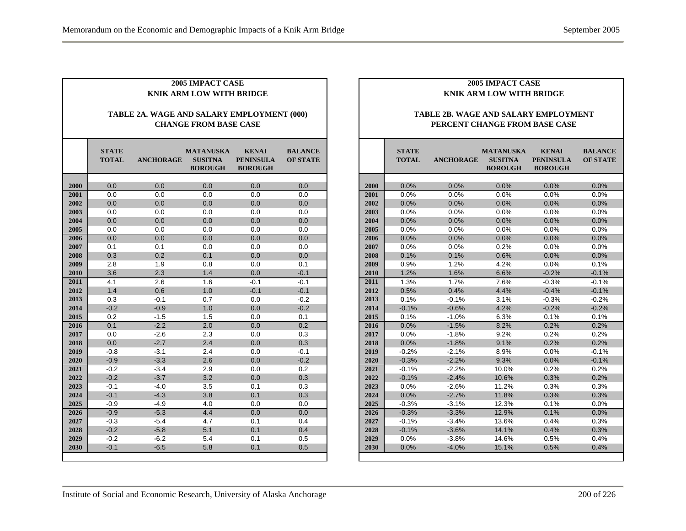| <b>2005 IMPACT CASE</b><br><b>KNIK ARM LOW WITH BRIDGE</b>                 |                                                                                                                                                                                                     |        |     |        |        |  |  |  |  |
|----------------------------------------------------------------------------|-----------------------------------------------------------------------------------------------------------------------------------------------------------------------------------------------------|--------|-----|--------|--------|--|--|--|--|
| TABLE 2A. WAGE AND SALARY EMPLOYMENT (000)<br><b>CHANGE FROM BASE CASE</b> |                                                                                                                                                                                                     |        |     |        |        |  |  |  |  |
|                                                                            | <b>STATE</b><br><b>MATANUSKA</b><br><b>KENAI</b><br><b>BALANCE</b><br><b>TOTAL</b><br><b>ANCHORAGE</b><br><b>SUSITNA</b><br><b>PENINSULA</b><br><b>OF STATE</b><br><b>BOROUGH</b><br><b>BOROUGH</b> |        |     |        |        |  |  |  |  |
| 2000                                                                       | 0.0                                                                                                                                                                                                 | 0.0    | 0.0 | 0.0    | 0.0    |  |  |  |  |
| 2001                                                                       | 0.0                                                                                                                                                                                                 | 0.0    | 0.0 | 0.0    | 0.0    |  |  |  |  |
| 2002                                                                       | 0.0                                                                                                                                                                                                 | 0.0    | 0.0 | 0.0    | 0.0    |  |  |  |  |
| 2003                                                                       | 0.0                                                                                                                                                                                                 | 0.0    | 0.0 | 0.0    | 0.0    |  |  |  |  |
| 2004                                                                       | 0.0                                                                                                                                                                                                 | 0.0    | 0.0 | 0.0    | 0.0    |  |  |  |  |
| 2005                                                                       | 0.0                                                                                                                                                                                                 | 0.0    | 0.0 | 0.0    | 0.0    |  |  |  |  |
| 2006                                                                       | 0.0                                                                                                                                                                                                 | 0.0    | 0.0 | 0.0    | 0.0    |  |  |  |  |
| 2007                                                                       | 0.1                                                                                                                                                                                                 | 0.1    | 0.0 | 0.0    | 0.0    |  |  |  |  |
| 2008                                                                       | 0.3                                                                                                                                                                                                 | 0.2    | 0.1 | 0.0    | 0.0    |  |  |  |  |
| 2009                                                                       | 2.8                                                                                                                                                                                                 | 1.9    | 0.8 | 0.0    | 0.1    |  |  |  |  |
| 2010                                                                       | 3.6                                                                                                                                                                                                 | 2.3    | 1.4 | 0.0    | $-0.1$ |  |  |  |  |
| 2011                                                                       | 4.1                                                                                                                                                                                                 | 2.6    | 1.6 | $-0.1$ | $-0.1$ |  |  |  |  |
| 2012                                                                       | 1.4                                                                                                                                                                                                 | 0.6    | 1.0 | $-0.1$ | $-0.1$ |  |  |  |  |
| 2013                                                                       | 0.3                                                                                                                                                                                                 | $-0.1$ | 0.7 | 0.0    | $-0.2$ |  |  |  |  |
| 2014                                                                       | $-0.2$                                                                                                                                                                                              | $-0.9$ | 1.0 | 0.0    | $-0.2$ |  |  |  |  |
| 2015                                                                       | 0.2                                                                                                                                                                                                 | $-1.5$ | 1.5 | 0.0    | 0.1    |  |  |  |  |
| 2016                                                                       | 0.1                                                                                                                                                                                                 | $-2.2$ | 2.0 | 0.0    | 0.2    |  |  |  |  |
| 2017                                                                       | 0.0                                                                                                                                                                                                 | $-2.6$ | 2.3 | 0.0    | 0.3    |  |  |  |  |
| 2018                                                                       | 0.0                                                                                                                                                                                                 | $-2.7$ | 2.4 | 0.0    | 0.3    |  |  |  |  |
| 2019                                                                       | $-0.8$                                                                                                                                                                                              | $-3.1$ | 2.4 | 0.0    | $-0.1$ |  |  |  |  |
| 2020                                                                       | $-0.9$                                                                                                                                                                                              | $-3.3$ | 2.6 | 0.0    | $-0.2$ |  |  |  |  |
| 2021                                                                       | $-0.2$                                                                                                                                                                                              | $-3.4$ | 2.9 | 0.0    | 0.2    |  |  |  |  |
| 2022                                                                       | $-0.2$                                                                                                                                                                                              | $-3.7$ | 3.2 | 0.0    | 0.3    |  |  |  |  |
| 2023                                                                       | $-0.1$                                                                                                                                                                                              | $-4.0$ | 3.5 | 0.1    | 0.3    |  |  |  |  |
| 2024                                                                       | $-0.1$                                                                                                                                                                                              | $-4.3$ | 3.8 | 0.1    | 0.3    |  |  |  |  |
| 2025                                                                       | $-0.9$                                                                                                                                                                                              | -4.9   | 4.0 | 0.0    | 0.0    |  |  |  |  |
| 2026                                                                       | $-0.9$                                                                                                                                                                                              | $-5.3$ | 4.4 | 0.0    | 0.0    |  |  |  |  |
| 2027                                                                       | $-0.3$                                                                                                                                                                                              | $-5.4$ | 4.7 | 0.1    | 0.4    |  |  |  |  |
| 2028                                                                       | $-0.2$                                                                                                                                                                                              | $-5.8$ | 5.1 | 0.1    | 0.4    |  |  |  |  |
| 2029                                                                       | $-0.2$                                                                                                                                                                                              | $-6.2$ | 5.4 | 0.1    | 0.5    |  |  |  |  |
| 2030                                                                       | $-0.1$                                                                                                                                                                                              | $-6.5$ | 5.8 | 0.1    | 0.5    |  |  |  |  |

#### **TABLE 2B. WAGE AND SALARY EMPLOYMENT PERCENT CHANGE FROM BASE CASE**

|      | <b>STATE</b><br><b>TOTAL</b> | <b>ANCHORAGE</b> | MATANUSKA<br><b>SUSITNA</b><br><b>BOROUGH</b> | <b>KENAI</b><br><b>PENINSULA</b><br><b>BOROUGH</b> | <b>BALANCE</b><br><b>OF STATE</b> |
|------|------------------------------|------------------|-----------------------------------------------|----------------------------------------------------|-----------------------------------|
|      |                              |                  |                                               |                                                    |                                   |
| 2000 | 0.0%                         | 0.0%             | 0.0%                                          | 0.0%                                               | 0.0%                              |
| 2001 | 0.0%                         | 0.0%             | 0.0%                                          | 0.0%                                               | 0.0%                              |
| 2002 | 0.0%                         | 0.0%             | 0.0%                                          | 0.0%                                               | 0.0%                              |
| 2003 | 0.0%                         | 0.0%             | 0.0%                                          | 0.0%                                               | 0.0%                              |
| 2004 | 0.0%                         | 0.0%             | 0.0%                                          | 0.0%                                               | 0.0%                              |
| 2005 | 0.0%                         | 0.0%             | 0.0%                                          | 0.0%                                               | 0.0%                              |
| 2006 | 0.0%                         | 0.0%             | 0.0%                                          | 0.0%                                               | 0.0%                              |
| 2007 | 0.0%                         | 0.0%             | 0.2%                                          | 0.0%                                               | 0.0%                              |
| 2008 | 0.1%                         | 0.1%             | 0.6%                                          | 0.0%                                               | 0.0%                              |
| 2009 | 0.9%                         | 1.2%             | 4.2%                                          | 0.0%                                               | 0.1%                              |
| 2010 | 1.2%                         | 1.6%             | 6.6%                                          | $-0.2%$                                            | $-0.1%$                           |
| 2011 | 1.3%                         | 1.7%             | 7.6%                                          | $-0.3%$                                            | $-0.1%$                           |
| 2012 | 0.5%                         | 0.4%             | 4.4%                                          | $-0.4%$                                            | $-0.1%$                           |
| 2013 | 0.1%                         | $-0.1%$          | 3.1%                                          | $-0.3%$                                            | $-0.2%$                           |
| 2014 | $-0.1%$                      | $-0.6%$          | 4.2%                                          | $-0.2%$                                            | $-0.2%$                           |
| 2015 | 0.1%                         | $-1.0%$          | 6.3%                                          | 0.1%                                               | 0.1%                              |
| 2016 | 0.0%                         | $-1.5%$          | 8.2%                                          | 0.2%                                               | 0.2%                              |
| 2017 | 0.0%                         | $-1.8%$          | 9.2%                                          | 0.2%                                               | 0.2%                              |
| 2018 | 0.0%                         | $-1.8%$          | 9.1%                                          | 0.2%                                               | 0.2%                              |
| 2019 | $-0.2%$                      | $-2.1%$          | 8.9%                                          | 0.0%                                               | $-0.1%$                           |
| 2020 | $-0.3%$                      | $-2.2%$          | 9.3%                                          | 0.0%                                               | $-0.1%$                           |
| 2021 | $-0.1%$                      | $-2.2%$          | 10.0%                                         | 0.2%                                               | 0.2%                              |
| 2022 | $-0.1%$                      | $-2.4%$          | 10.6%                                         | 0.3%                                               | 0.2%                              |
| 2023 | 0.0%                         | $-2.6%$          | 11.2%                                         | 0.3%                                               | 0.3%                              |
| 2024 | 0.0%                         | $-2.7%$          | 11.8%                                         | 0.3%                                               | 0.3%                              |
| 2025 | $-0.3%$                      | $-3.1%$          | 12.3%                                         | 0.1%                                               | 0.0%                              |
| 2026 | $-0.3%$                      | $-3.3%$          | 12.9%                                         | 0.1%                                               | 0.0%                              |
| 2027 | $-0.1%$                      | $-3.4%$          | 13.6%                                         | 0.4%                                               | 0.3%                              |
| 2028 | $-0.1%$                      | $-3.6%$          | 14.1%                                         | 0.4%                                               | 0.3%                              |
| 2029 | 0.0%                         | $-3.8%$          | 14.6%                                         | 0.5%                                               | 0.4%                              |
| 2030 | 0.0%                         | $-4.0%$          | 15.1%                                         | 0.5%                                               | 0.4%                              |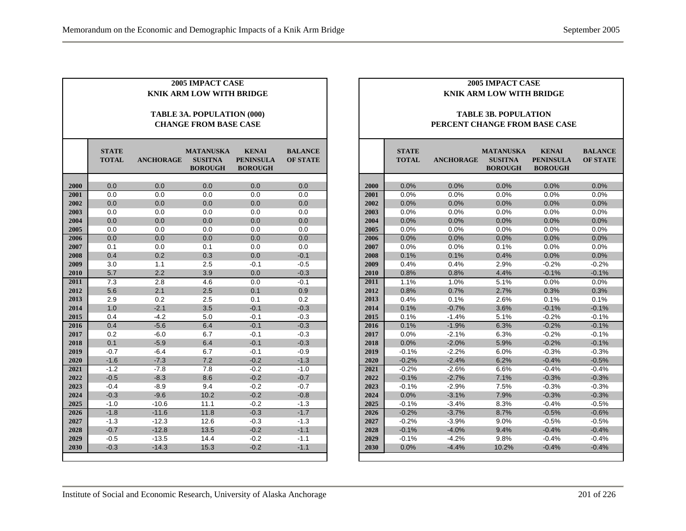| 2005 IMPACT CASE<br><b>KNIK ARM LOW WITH BRIDGE</b><br>TABLE 3A. POPULATION (000) |                              |                  |                                                      |                                                    |                                   |  |  |  |
|-----------------------------------------------------------------------------------|------------------------------|------------------|------------------------------------------------------|----------------------------------------------------|-----------------------------------|--|--|--|
|                                                                                   |                              |                  | <b>CHANGE FROM BASE CASE</b>                         |                                                    |                                   |  |  |  |
|                                                                                   | <b>STATE</b><br><b>TOTAL</b> | <b>ANCHORAGE</b> | <b>MATANUSKA</b><br><b>SUSITNA</b><br><b>BOROUGH</b> | <b>KENAI</b><br><b>PENINSULA</b><br><b>BOROUGH</b> | <b>BALANCE</b><br><b>OF STATE</b> |  |  |  |
| 2000                                                                              | 0.0                          | 0.0              | 0.0                                                  | 0.0                                                | 0.0                               |  |  |  |
| 2001                                                                              | 0.0                          | 0.0              | 0.0                                                  | 0.0                                                | 0.0                               |  |  |  |
| 2002                                                                              | 0.0                          | 0.0              | 0.0                                                  | 0.0                                                | 0.0                               |  |  |  |
| 2003                                                                              | 0.0                          | 0.0              | 0.0                                                  | 0.0                                                | 0.0                               |  |  |  |
| 2004                                                                              | 0.0                          | 0.0              | 0.0                                                  | 0.0                                                | 0.0                               |  |  |  |
| 2005                                                                              | 0.0                          | 0.0              | 0.0                                                  | 0.0                                                | 0.0                               |  |  |  |
| 2006                                                                              | 0.0                          | 0.0              | 0.0                                                  | 0.0                                                | 0.0                               |  |  |  |
| 2007                                                                              | 0.1                          | 0.0              | 0.1                                                  | 0.0                                                | 0.0                               |  |  |  |
| 2008                                                                              | 0.4                          | 0.2              | 0.3                                                  | 0.0                                                | $-0.1$                            |  |  |  |
| 2009                                                                              | 3.0                          | 1.1              | 2.5                                                  | $-0.1$                                             | $-0.5$                            |  |  |  |
| 2010                                                                              | 5.7                          | 2.2              | 3.9                                                  | 0.0                                                | $-0.3$                            |  |  |  |
| 2011                                                                              | $\overline{7.3}$             | 2.8              | 4.6                                                  | 0.0                                                | $-0.1$                            |  |  |  |
| 2012                                                                              | 5.6                          | 2.1              | 2.5                                                  | 0.1                                                | 0.9                               |  |  |  |
| 2013                                                                              | 2.9                          | 0.2              | 2.5                                                  | 0.1                                                | 0.2                               |  |  |  |
| 2014                                                                              | 1.0                          | $-2.1$           | 3.5                                                  | $-0.1$                                             | $-0.3$                            |  |  |  |
| 2015                                                                              | 0.4                          | $-4.2$           | 5.0                                                  | $-0.1$                                             | $-0.3$                            |  |  |  |
| 2016                                                                              | 0.4                          | $-5.6$           | 6.4                                                  | $-0.1$                                             | $-0.3$                            |  |  |  |
| 2017                                                                              | 0.2                          | $-6.0$           | 6.7                                                  | $-0.1$                                             | $-0.3$                            |  |  |  |
| 2018                                                                              | 0.1                          | $-5.9$           | 6.4                                                  | $-0.1$                                             | $-0.3$                            |  |  |  |
| 2019                                                                              | $-0.7$                       | $-6.4$           | 6.7                                                  | $-0.1$                                             | $-0.9$                            |  |  |  |
| 2020                                                                              | $-1.6$                       | $-7.3$           | 7.2                                                  | $-0.2$                                             | $-1.3$                            |  |  |  |
| 2021                                                                              | $-1.2$                       | $-7.8$           | 7.8                                                  | $-0.2$                                             | $-1.0$                            |  |  |  |
| 2022                                                                              | $-0.5$                       | $-8.3$           | 8.6                                                  | $-0.2$                                             | $-0.7$                            |  |  |  |
| 2023                                                                              | $-0.4$                       | $-8.9$           | 9.4                                                  | $-0.2$                                             | $-0.7$                            |  |  |  |
| 2024                                                                              | $-0.3$                       | $-9.6$           | 10.2                                                 | $-0.2$                                             | $-0.8$                            |  |  |  |
| 2025                                                                              | $-1.0$                       | $-10.6$          | 11.1                                                 | $-0.2$                                             | $-1.3$                            |  |  |  |
| 2026                                                                              | $-1.8$                       | $-11.6$          | 11.8                                                 | $-0.3$                                             | $-1.7$                            |  |  |  |
| 2027                                                                              | $-1.3$                       | $-12.3$          | 12.6                                                 | $-0.3$                                             | $-1.3$                            |  |  |  |
| 2028                                                                              | $-0.7$                       | $-12.8$          | 13.5                                                 | $-0.2$                                             | $-1.1$                            |  |  |  |
| 2029                                                                              | $-0.5$                       | $-13.5$          | 14.4                                                 | $-0.2$                                             | $-1.1$                            |  |  |  |
| 2030                                                                              | $-0.3$                       | $-14.3$          | 15.3                                                 | $-0.2$                                             | $-1.1$                            |  |  |  |

#### **TABLE 3B. POPULATION PERCENT CHANGE FROM BASE CASE**

|      | <b>STATE</b><br><b>TOTAL</b> | <b>ANCHORAGE</b> | <b>MATANUSKA</b><br><b>SUSITNA</b><br><b>BOROUGH</b> | <b>KENAI</b><br><b>PENINSULA</b><br><b>BOROUGH</b> | <b>BALANCE</b><br><b>OF STATE</b> |
|------|------------------------------|------------------|------------------------------------------------------|----------------------------------------------------|-----------------------------------|
|      |                              |                  |                                                      |                                                    |                                   |
| 2000 | 0.0%                         | 0.0%             | 0.0%                                                 | 0.0%                                               | 0.0%                              |
| 2001 | 0.0%                         | 0.0%             | 0.0%                                                 | 0.0%                                               | 0.0%                              |
| 2002 | 0.0%                         | 0.0%             | 0.0%                                                 | 0.0%                                               | 0.0%                              |
| 2003 | 0.0%                         | 0.0%             | 0.0%                                                 | 0.0%                                               | 0.0%                              |
| 2004 | 0.0%                         | 0.0%             | 0.0%                                                 | 0.0%                                               | 0.0%                              |
| 2005 | 0.0%                         | 0.0%             | 0.0%                                                 | 0.0%                                               | 0.0%                              |
| 2006 | 0.0%                         | 0.0%             | 0.0%                                                 | 0.0%                                               | 0.0%                              |
| 2007 | 0.0%                         | 0.0%             | 0.1%                                                 | 0.0%                                               | 0.0%                              |
| 2008 | 0.1%                         | 0.1%             | 0.4%                                                 | 0.0%                                               | 0.0%                              |
| 2009 | 0.4%                         | 0.4%             | 2.9%                                                 | $-0.2%$                                            | $-0.2%$                           |
| 2010 | 0.8%                         | 0.8%             | 4.4%                                                 | $-0.1%$                                            | $-0.1%$                           |
| 2011 | 1.1%                         | 1.0%             | 5.1%                                                 | 0.0%                                               | 0.0%                              |
| 2012 | 0.8%                         | 0.7%             | 2.7%                                                 | 0.3%                                               | 0.3%                              |
| 2013 | 0.4%                         | 0.1%             | 2.6%                                                 | 0.1%                                               | 0.1%                              |
| 2014 | 0.1%                         | $-0.7%$          | 3.6%                                                 | $-0.1%$                                            | $-0.1%$                           |
| 2015 | 0.1%                         | $-1.4%$          | 5.1%                                                 | $-0.2%$                                            | $-0.1%$                           |
| 2016 | 0.1%                         | $-1.9%$          | 6.3%                                                 | $-0.2%$                                            | $-0.1%$                           |
| 2017 | 0.0%                         | $-2.1%$          | 6.3%                                                 | $-0.2%$                                            | $-0.1%$                           |
| 2018 | 0.0%                         | $-2.0%$          | 5.9%                                                 | $-0.2%$                                            | $-0.1%$                           |
| 2019 | $-0.1%$                      | $-2.2%$          | 6.0%                                                 | $-0.3%$                                            | $-0.3%$                           |
| 2020 | $-0.2%$                      | $-2.4%$          | 6.2%                                                 | $-0.4%$                                            | $-0.5%$                           |
| 2021 | $-0.2%$                      | $-2.6%$          | 6.6%                                                 | $-0.4%$                                            | $-0.4%$                           |
| 2022 | $-0.1%$                      | $-2.7%$          | 7.1%                                                 | $-0.3%$                                            | $-0.3%$                           |
| 2023 | $-0.1%$                      | $-2.9%$          | 7.5%                                                 | $-0.3%$                                            | $-0.3%$                           |
| 2024 | 0.0%                         | $-3.1%$          | 7.9%                                                 | $-0.3%$                                            | $-0.3%$                           |
| 2025 | $-0.1%$                      | $-3.4%$          | 8.3%                                                 | $-0.4%$                                            | $-0.5%$                           |
| 2026 | $-0.2%$                      | $-3.7%$          | 8.7%                                                 | $-0.5%$                                            | $-0.6%$                           |
| 2027 | $-0.2%$                      | $-3.9%$          | 9.0%                                                 | $-0.5%$                                            | $-0.5%$                           |
| 2028 | $-0.1%$                      | $-4.0%$          | 9.4%                                                 | $-0.4%$                                            | $-0.4%$                           |
| 2029 | $-0.1%$                      | $-4.2%$          | 9.8%                                                 | $-0.4%$                                            | $-0.4%$                           |
| 2030 | 0.0%                         | $-4.4%$          | 10.2%                                                | $-0.4%$                                            | $-0.4%$                           |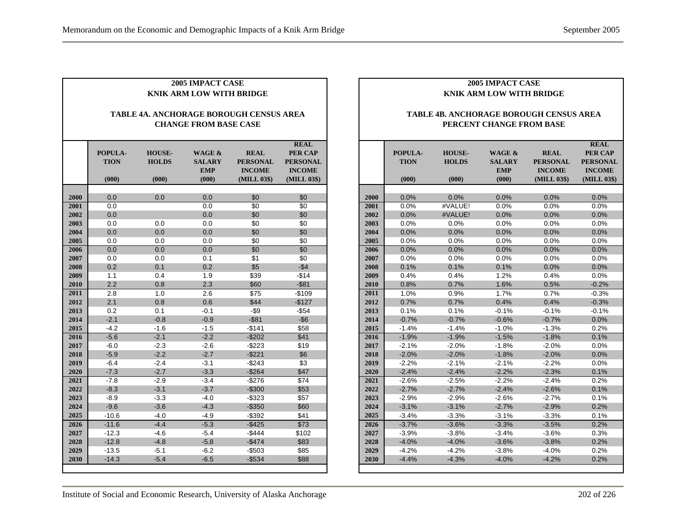|              | <b>2005 IMPACT CASE</b><br><b>KNIK ARM LOW WITH BRIDGE</b>              |                                        |                                                |                                                                |                                                                           |  |  |  |  |  |
|--------------|-------------------------------------------------------------------------|----------------------------------------|------------------------------------------------|----------------------------------------------------------------|---------------------------------------------------------------------------|--|--|--|--|--|
|              | TABLE 4A. ANCHORAGE BOROUGH CENSUS AREA<br><b>CHANGE FROM BASE CASE</b> |                                        |                                                |                                                                |                                                                           |  |  |  |  |  |
|              | POPULA-<br><b>TION</b><br>(000)                                         | <b>HOUSE-</b><br><b>HOLDS</b><br>(000) | WAGE &<br><b>SALARY</b><br><b>EMP</b><br>(000) | <b>REAL</b><br><b>PERSONAL</b><br><b>INCOME</b><br>(MILL 03\$) | <b>REAL</b><br>PER CAP<br><b>PERSONAL</b><br><b>INCOME</b><br>(MILL 03\$) |  |  |  |  |  |
|              |                                                                         |                                        |                                                |                                                                |                                                                           |  |  |  |  |  |
| 2000         | 0.0                                                                     | 0.0                                    | 0.0                                            | \$0                                                            | \$0                                                                       |  |  |  |  |  |
| 2001         | 0.0                                                                     |                                        | 0.0                                            | \$0                                                            | \$0                                                                       |  |  |  |  |  |
| 2002         | 0.0                                                                     |                                        | 0.0                                            | \$0                                                            | \$0                                                                       |  |  |  |  |  |
| 2003<br>2004 | 0.0                                                                     | 0.0                                    | 0.0                                            | \$0                                                            | \$0                                                                       |  |  |  |  |  |
|              | 0.0                                                                     | 0.0<br>0.0                             | 0.0<br>0.0                                     | \$0                                                            | \$0<br>\$0                                                                |  |  |  |  |  |
| 2005<br>2006 | 0.0<br>0.0                                                              | 0.0                                    | 0.0                                            | \$0<br>\$0                                                     | \$0                                                                       |  |  |  |  |  |
| 2007         | 0.0                                                                     | 0.0                                    | 0.1                                            | \$1                                                            | \$0                                                                       |  |  |  |  |  |
| 2008         | 0.2                                                                     | 0.1                                    | 0.2                                            | \$5                                                            | $-$4$                                                                     |  |  |  |  |  |
| 2009         | 1.1                                                                     | 0.4                                    | 1.9                                            | \$39                                                           | $-$14$                                                                    |  |  |  |  |  |
| 2010         | 2.2                                                                     | 0.8                                    | 2.3                                            | \$60                                                           | $-$81$                                                                    |  |  |  |  |  |
| 2011         | 2.8                                                                     | 1.0                                    | 2.6                                            | \$75                                                           | $-$109$                                                                   |  |  |  |  |  |
| 2012         | 2.1                                                                     | 0.8                                    | 0.6                                            | \$44                                                           | $-$127$                                                                   |  |  |  |  |  |
| 2013         | 0.2                                                                     | 0.1                                    | $-0.1$                                         | $-$ \$9                                                        | $-$ \$54                                                                  |  |  |  |  |  |
| 2014         | $-2.1$                                                                  | $-0.8$                                 | $-0.9$                                         | $-$ \$81                                                       | $-$ \$6                                                                   |  |  |  |  |  |
| 2015         | $-4.2$                                                                  | $-1.6$                                 | $-1.5$                                         | $-$141$                                                        | \$58                                                                      |  |  |  |  |  |
| 2016         | $-5.6$                                                                  | $-2.1$                                 | $-2.2$                                         | $-$202$                                                        | \$41                                                                      |  |  |  |  |  |
| 2017         | $-6.0$                                                                  | $-2.3$                                 | $-2.6$                                         | -\$223                                                         | \$19                                                                      |  |  |  |  |  |
| 2018         | $-5.9$                                                                  | $-2.2$                                 | $-2.7$                                         | $-$221$                                                        | \$6                                                                       |  |  |  |  |  |
| 2019         | $-6.4$                                                                  | $-2.4$                                 | $-3.1$                                         | $-$243$                                                        | \$3                                                                       |  |  |  |  |  |
| 2020         | $-7.3$                                                                  | $-2.7$                                 | $-3.3$                                         | $-$264$                                                        | \$47                                                                      |  |  |  |  |  |
| 2021         | $-7.8$                                                                  | $-2.9$                                 | $-3.4$                                         | $-$276$                                                        | \$74                                                                      |  |  |  |  |  |
| 2022         | $-8.3$                                                                  | $-3.1$                                 | $-3.7$                                         | $-$300$                                                        | \$53                                                                      |  |  |  |  |  |
| 2023         | $-8.9$                                                                  | $-3.3$                                 | $-4.0$                                         | $-$323$                                                        | \$57                                                                      |  |  |  |  |  |
| 2024         | $-9.6$                                                                  | $-3.6$                                 | $-4.3$                                         | $-$ \$350                                                      | \$60                                                                      |  |  |  |  |  |
| 2025         | $-10.6$                                                                 | $-4.0$                                 | $-4.9$                                         | $-$392$                                                        | \$41                                                                      |  |  |  |  |  |
| 2026         | $-11.6$                                                                 | $-4.4$                                 | $-5.3$                                         | $-$ \$425                                                      | \$73                                                                      |  |  |  |  |  |
| 2027         | $-12.3$                                                                 | $-4.6$                                 | $-5.4$                                         | $-$444$                                                        | \$102                                                                     |  |  |  |  |  |
| 2028         | $-12.8$                                                                 | $-4.8$                                 | $-5.8$                                         | $-$474$                                                        | \$83                                                                      |  |  |  |  |  |
| 2029         | $-13.5$                                                                 | $-5.1$                                 | $-6.2$                                         | $-$503$                                                        | \$85                                                                      |  |  |  |  |  |
| 2030         | $-14.3$                                                                 | $-5.4$                                 | $-6.5$                                         | $-$534$                                                        | \$88                                                                      |  |  |  |  |  |

#### **TABLE 4B. ANCHORAGE BOROUGH CENSUS AREA PERCENT CHANGE FROM BASE**

|      |             |               |                   |                 | <b>REAL</b>     |
|------|-------------|---------------|-------------------|-----------------|-----------------|
|      | POPULA-     | <b>HOUSE-</b> | <b>WAGE &amp;</b> | <b>REAL</b>     | <b>PER CAP</b>  |
|      | <b>TION</b> | <b>HOLDS</b>  | <b>SALARY</b>     | <b>PERSONAL</b> | <b>PERSONAL</b> |
|      |             |               | <b>EMP</b>        | <b>INCOME</b>   | <b>INCOME</b>   |
|      | (000)       | (000)         | (000)             | (MILL 03\$)     | (MILL 03\$)     |
|      |             |               |                   |                 |                 |
| 2000 | 0.0%        | 0.0%          | 0.0%              | 0.0%            | 0.0%            |
| 2001 | 0.0%        | #VALUE!       | 0.0%              | 0.0%            | 0.0%            |
| 2002 | 0.0%        | #VALUE!       | 0.0%              | 0.0%            | 0.0%            |
| 2003 | 0.0%        | 0.0%          | 0.0%              | 0.0%            | 0.0%            |
| 2004 | 0.0%        | 0.0%          | 0.0%              | 0.0%            | 0.0%            |
| 2005 | 0.0%        | 0.0%          | 0.0%              | 0.0%            | 0.0%            |
| 2006 | 0.0%        | 0.0%          | 0.0%              | 0.0%            | 0.0%            |
| 2007 | 0.0%        | 0.0%          | 0.0%              | 0.0%            | 0.0%            |
| 2008 | 0.1%        | 0.1%          | 0.1%              | 0.0%            | 0.0%            |
| 2009 | 0.4%        | 0.4%          | 1.2%              | 0.4%            | 0.0%            |
| 2010 | 0.8%        | 0.7%          | 1.6%              | 0.5%            | $-0.2%$         |
| 2011 | 1.0%        | 0.9%          | 1.7%              | 0.7%            | $-0.3%$         |
| 2012 | 0.7%        | 0.7%          | 0.4%              | 0.4%            | $-0.3%$         |
| 2013 | 0.1%        | 0.1%          | $-0.1%$           | $-0.1%$         | $-0.1%$         |
| 2014 | $-0.7%$     | $-0.7%$       | $-0.6%$           | $-0.7%$         | 0.0%            |
| 2015 | $-1.4%$     | $-1.4%$       | $-1.0%$           | $-1.3%$         | 0.2%            |
| 2016 | $-1.9%$     | $-1.9%$       | $-1.5%$           | $-1.8%$         | 0.1%            |
| 2017 | $-2.1%$     | $-2.0%$       | $-1.8%$           | $-2.0%$         | 0.0%            |
| 2018 | $-2.0%$     | $-2.0%$       | $-1.8%$           | $-2.0%$         | 0.0%            |
| 2019 | $-2.2%$     | $-2.1%$       | $-2.1%$           | $-2.2%$         | $0.0\%$         |
| 2020 | $-2.4%$     | $-2.4%$       | $-2.2%$           | $-2.3%$         | 0.1%            |
| 2021 | $-2.6%$     | $-2.5%$       | $-2.2%$           | $-2.4%$         | 0.2%            |
| 2022 | $-2.7%$     | $-2.7%$       | $-2.4%$           | $-2.6%$         | 0.1%            |
| 2023 | $-2.9%$     | $-2.9%$       | $-2.6%$           | $-2.7%$         | 0.1%            |
| 2024 | $-3.1%$     | $-3.1%$       | $-2.7%$           | $-2.9%$         | 0.2%            |
| 2025 | $-3.4%$     | $-3.3%$       | $-3.1%$           | $-3.3%$         | 0.1%            |
| 2026 | $-3.7%$     | $-3.6%$       | $-3.3%$           | $-3.5%$         | 0.2%            |
| 2027 | $-3.9%$     | $-3.8%$       | $-3.4%$           | $-3.6%$         | 0.3%            |
| 2028 | $-4.0%$     | $-4.0%$       | $-3.6%$           | $-3.8%$         | 0.2%            |
| 2029 | $-4.2%$     | $-4.2%$       | $-3.8%$           | $-4.0%$         | 0.2%            |
| 2030 | $-4.4%$     | $-4.3%$       | $-4.0%$           | $-4.2%$         | 0.2%            |
|      |             |               |                   |                 |                 |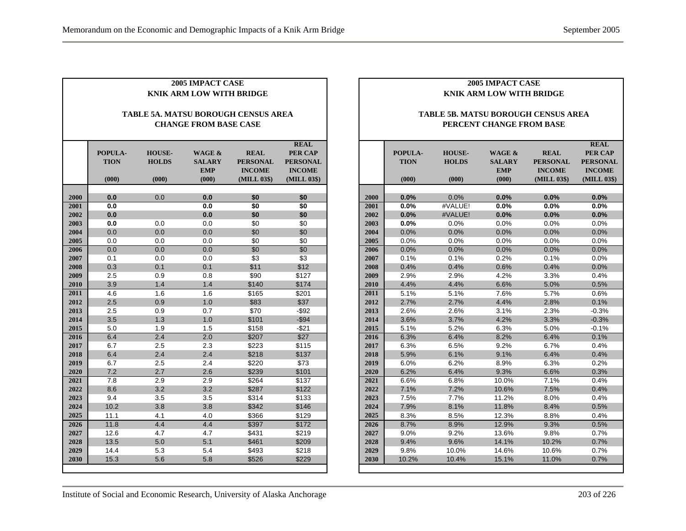|              | <b>2005 IMPACT CASE</b><br><b>KNIK ARM LOW WITH BRIDGE</b>          |                                        |                                                |                                                                |                                                                           |  |  |  |  |  |
|--------------|---------------------------------------------------------------------|----------------------------------------|------------------------------------------------|----------------------------------------------------------------|---------------------------------------------------------------------------|--|--|--|--|--|
|              | TABLE 5A. MATSU BOROUGH CENSUS AREA<br><b>CHANGE FROM BASE CASE</b> |                                        |                                                |                                                                |                                                                           |  |  |  |  |  |
|              | POPULA-<br><b>TION</b><br>(000)                                     | <b>HOUSE-</b><br><b>HOLDS</b><br>(000) | WAGE &<br><b>SALARY</b><br><b>EMP</b><br>(000) | <b>REAL</b><br><b>PERSONAL</b><br><b>INCOME</b><br>(MILL 03\$) | <b>REAL</b><br>PER CAP<br><b>PERSONAL</b><br><b>INCOME</b><br>(MILL 03\$) |  |  |  |  |  |
|              | 0.0                                                                 |                                        |                                                | \$0                                                            |                                                                           |  |  |  |  |  |
| 2000<br>2001 | 0.0                                                                 | 0.0                                    | 0.0<br>0.0                                     | \$0                                                            | \$0<br>\$0                                                                |  |  |  |  |  |
|              | 0.0                                                                 |                                        | 0.0                                            | \$0                                                            |                                                                           |  |  |  |  |  |
| 2002<br>2003 |                                                                     |                                        |                                                |                                                                | \$0                                                                       |  |  |  |  |  |
| 2004         | 0.0<br>0.0                                                          | 0.0<br>0.0                             | 0.0<br>0.0                                     | \$0                                                            | \$0                                                                       |  |  |  |  |  |
| 2005         | 0.0                                                                 | 0.0                                    | 0.0                                            | \$0<br>\$0                                                     | \$0<br>\$0                                                                |  |  |  |  |  |
| 2006         | 0.0                                                                 | 0.0                                    | 0.0                                            | \$0                                                            | \$0                                                                       |  |  |  |  |  |
| 2007         | 0.1                                                                 | 0.0                                    | 0.0                                            | \$3                                                            | \$3                                                                       |  |  |  |  |  |
| 2008         | 0.3                                                                 | 0.1                                    | 0.1                                            | \$11                                                           | \$12                                                                      |  |  |  |  |  |
| 2009         | 2.5                                                                 | 0.9                                    | 0.8                                            | \$90                                                           | \$127                                                                     |  |  |  |  |  |
| 2010         | 3.9                                                                 | 1.4                                    | 1.4                                            | \$140                                                          | \$174                                                                     |  |  |  |  |  |
| 2011         | 4.6                                                                 | 1.6                                    | 1.6                                            | \$165                                                          | \$201                                                                     |  |  |  |  |  |
| 2012         | 2.5                                                                 | 0.9                                    | 1.0                                            | \$83                                                           | \$37                                                                      |  |  |  |  |  |
| 2013         | 2.5                                                                 | 0.9                                    | 0.7                                            | \$70                                                           | $-$ \$92                                                                  |  |  |  |  |  |
| 2014         | 3.5                                                                 | 1.3                                    | 1.0                                            | \$101                                                          | $-$ \$94                                                                  |  |  |  |  |  |
| 2015         | 5.0                                                                 | 1.9                                    | 1.5                                            | \$158                                                          | $-$21$                                                                    |  |  |  |  |  |
| 2016         | 6.4                                                                 | 2.4                                    | $\overline{2.0}$                               | \$207                                                          | \$27                                                                      |  |  |  |  |  |
| 2017         | 6.7                                                                 | 2.5                                    | 2.3                                            | \$223                                                          | \$115                                                                     |  |  |  |  |  |
| 2018         | 6.4                                                                 | 2.4                                    | 2.4                                            | \$218                                                          | \$137                                                                     |  |  |  |  |  |
| 2019         | 6.7                                                                 | 2.5                                    | 2.4                                            | \$220                                                          | \$73                                                                      |  |  |  |  |  |
| 2020         | 7.2                                                                 | 2.7                                    | 2.6                                            | \$239                                                          | \$101                                                                     |  |  |  |  |  |
| 2021         | 7.8                                                                 | 2.9                                    | 2.9                                            | \$264                                                          | \$137                                                                     |  |  |  |  |  |
| 2022         | 8.6                                                                 | 3.2                                    | 3.2                                            | \$287                                                          | \$122                                                                     |  |  |  |  |  |
| 2023         | 9.4                                                                 | 3.5                                    | 3.5                                            | \$314                                                          | \$133                                                                     |  |  |  |  |  |
| 2024         | 10.2                                                                | 3.8                                    | 3.8                                            | \$342                                                          | \$146                                                                     |  |  |  |  |  |
| 2025         | 11.1                                                                | 4.1                                    | 4.0                                            | \$366                                                          | \$129                                                                     |  |  |  |  |  |
| 2026         | 11.8                                                                | 4.4                                    | 4.4                                            | \$397                                                          | \$172                                                                     |  |  |  |  |  |
| 2027         | 12.6                                                                | 4.7                                    | 4.7                                            | \$431                                                          | \$219                                                                     |  |  |  |  |  |
| 2028         | 13.5                                                                | 5.0                                    | 5.1                                            | \$461                                                          | \$209                                                                     |  |  |  |  |  |
| 2029         | 14.4                                                                | 5.3                                    | 5.4                                            | \$493                                                          | \$218                                                                     |  |  |  |  |  |
| 2030         | 15.3                                                                | 5.6                                    | 5.8                                            | \$526                                                          | \$229                                                                     |  |  |  |  |  |
|              |                                                                     |                                        |                                                |                                                                |                                                                           |  |  |  |  |  |

#### **TABLE 5B. MATSU BOROUGH CENSUS AREA PERCENT CHANGE FROM BASE**

|      |             |               |                   |                 | <b>REAL</b>     |
|------|-------------|---------------|-------------------|-----------------|-----------------|
|      | POPULA-     | <b>HOUSE-</b> | <b>WAGE &amp;</b> | <b>REAL</b>     | <b>PER CAP</b>  |
|      | <b>TION</b> | <b>HOLDS</b>  | <b>SALARY</b>     | <b>PERSONAL</b> | <b>PERSONAL</b> |
|      |             |               | <b>EMP</b>        | <b>INCOME</b>   | <b>INCOME</b>   |
|      | (000)       | (000)         | (000)             | (MILL 03\$)     | (MILL 03\$)     |
|      |             |               |                   |                 |                 |
| 2000 | 0.0%        | 0.0%          | 0.0%              | 0.0%            | 0.0%            |
| 2001 | 0.0%        | #VALUE!       | 0.0%              | 0.0%            | 0.0%            |
| 2002 | 0.0%        | #VALUE!       | 0.0%              | 0.0%            | 0.0%            |
| 2003 | 0.0%        | 0.0%          | 0.0%              | 0.0%            | 0.0%            |
| 2004 | 0.0%        | 0.0%          | 0.0%              | 0.0%            | 0.0%            |
| 2005 | 0.0%        | 0.0%          | 0.0%              | 0.0%            | 0.0%            |
| 2006 | 0.0%        | 0.0%          | 0.0%              | 0.0%            | 0.0%            |
| 2007 | 0.1%        | 0.1%          | 0.2%              | 0.1%            | 0.0%            |
| 2008 | 0.4%        | 0.4%          | 0.6%              | 0.4%            | 0.0%            |
| 2009 | 2.9%        | 2.9%          | 4.2%              | 3.3%            | 0.4%            |
| 2010 | 4.4%        | 4.4%          | 6.6%              | 5.0%            | 0.5%            |
| 2011 | 5.1%        | 5.1%          | 7.6%              | 5.7%            | 0.6%            |
| 2012 | 2.7%        | 2.7%          | 4.4%              | 2.8%            | 0.1%            |
| 2013 | 2.6%        | 2.6%          | 3.1%              | 2.3%            | $-0.3%$         |
| 2014 | 3.6%        | 3.7%          | 4.2%              | 3.3%            | $-0.3%$         |
| 2015 | 5.1%        | 5.2%          | 6.3%              | 5.0%            | $-0.1%$         |
| 2016 | 6.3%        | 6.4%          | 8.2%              | 6.4%            | 0.1%            |
| 2017 | 6.3%        | 6.5%          | 9.2%              | 6.7%            | 0.4%            |
| 2018 | 5.9%        | 6.1%          | 9.1%              | 6.4%            | 0.4%            |
| 2019 | 6.0%        | 6.2%          | 8.9%              | 6.3%            | 0.2%            |
| 2020 | 6.2%        | 6.4%          | 9.3%              | 6.6%            | 0.3%            |
| 2021 | 6.6%        | 6.8%          | 10.0%             | 7.1%            | 0.4%            |
| 2022 | 7.1%        | 7.2%          | 10.6%             | 7.5%            | 0.4%            |
| 2023 | 7.5%        | 7.7%          | 11.2%             | 8.0%            | 0.4%            |
| 2024 | 7.9%        | 8.1%          | 11.8%             | 8.4%            | 0.5%            |
| 2025 | 8.3%        | 8.5%          | 12.3%             | 8.8%            | 0.4%            |
| 2026 | 8.7%        | 8.9%          | 12.9%             | 9.3%            | 0.5%            |
| 2027 | 9.0%        | 9.2%          | 13.6%             | 9.8%            | 0.7%            |
| 2028 | 9.4%        | 9.6%          | 14.1%             | 10.2%           | 0.7%            |
| 2029 | 9.8%        | 10.0%         | 14.6%             | 10.6%           | 0.7%            |
| 2030 | 10.2%       | 10.4%         | 15.1%             | 11.0%           | 0.7%            |
|      |             |               |                   |                 |                 |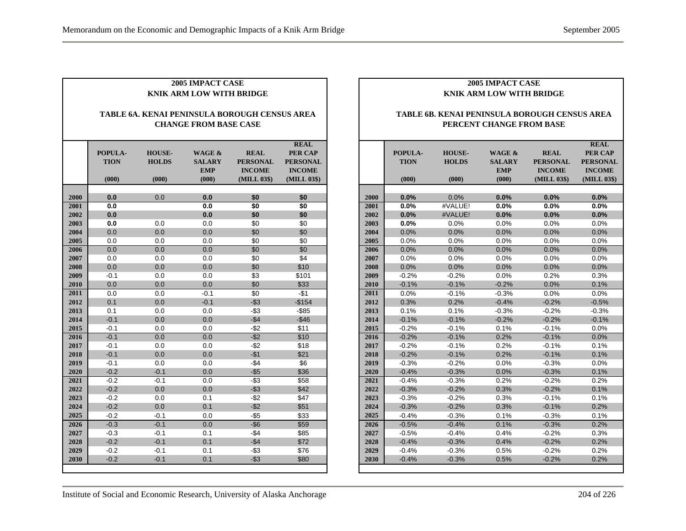|              | <b>2005 IMPACT CASE</b><br><b>KNIK ARM LOW WITH BRIDGE</b>                    |                                        |                                                |                                                                |                                                                           |  |  |  |
|--------------|-------------------------------------------------------------------------------|----------------------------------------|------------------------------------------------|----------------------------------------------------------------|---------------------------------------------------------------------------|--|--|--|
|              | TABLE 6A. KENAI PENINSULA BOROUGH CENSUS AREA<br><b>CHANGE FROM BASE CASE</b> |                                        |                                                |                                                                |                                                                           |  |  |  |
|              | POPULA-<br><b>TION</b><br>(000)                                               | <b>HOUSE-</b><br><b>HOLDS</b><br>(000) | WAGE &<br><b>SALARY</b><br><b>EMP</b><br>(000) | <b>REAL</b><br><b>PERSONAL</b><br><b>INCOME</b><br>(MILL 03\$) | <b>REAL</b><br>PER CAP<br><b>PERSONAL</b><br><b>INCOME</b><br>(MILL 03\$) |  |  |  |
|              |                                                                               |                                        |                                                |                                                                |                                                                           |  |  |  |
| 2000<br>2001 | 0.0<br>0.0                                                                    | 0.0                                    | 0.0<br>0.0                                     | \$0                                                            | \$0<br>\$0                                                                |  |  |  |
| 2002         | 0.0                                                                           |                                        | 0.0                                            | \$0<br>\$0                                                     | \$0                                                                       |  |  |  |
| 2003         | 0.0                                                                           | 0.0                                    | 0.0                                            | \$0                                                            | \$0                                                                       |  |  |  |
| 2004         | 0.0                                                                           | 0.0                                    | 0.0                                            | \$0                                                            | \$0                                                                       |  |  |  |
| 2005         | 0.0                                                                           | 0.0                                    | 0.0                                            | \$0                                                            | \$0                                                                       |  |  |  |
| 2006         | 0.0                                                                           | 0.0                                    | 0.0                                            | \$0                                                            | \$0                                                                       |  |  |  |
| 2007         | 0.0                                                                           | 0.0                                    | 0.0                                            | \$0                                                            | \$4                                                                       |  |  |  |
| 2008         | 0.0                                                                           | 0.0                                    | 0.0                                            | \$0                                                            | \$10                                                                      |  |  |  |
| 2009         | $-0.1$                                                                        | 0.0                                    | 0.0                                            | \$3                                                            | \$101                                                                     |  |  |  |
| 2010         | 0.0                                                                           | 0.0                                    | 0.0                                            | \$0                                                            | \$33                                                                      |  |  |  |
| 2011         | 0.0                                                                           | 0.0                                    | $-0.1$                                         | \$0                                                            | -\$1                                                                      |  |  |  |
| 2012         | 0.1                                                                           | 0.0                                    | $-0.1$                                         | $-$ \$3                                                        | $-$154$                                                                   |  |  |  |
| 2013         | 0.1                                                                           | 0.0                                    | 0.0                                            | $-$ \$3                                                        | $-$ \$85                                                                  |  |  |  |
| 2014         | $-0.1$                                                                        | 0.0                                    | 0.0                                            | $-$ \$4                                                        | $-$46$                                                                    |  |  |  |
| 2015         | $-0.1$                                                                        | 0.0                                    | 0.0                                            | $-$ \$2                                                        | \$11                                                                      |  |  |  |
| 2016         | $-0.1$                                                                        | 0.0                                    | 0.0                                            | $-$ \$2                                                        | \$10                                                                      |  |  |  |
| 2017         | $-0.1$                                                                        | 0.0                                    | 0.0                                            | $-$ \$2                                                        | \$18                                                                      |  |  |  |
| 2018         | $-0.1$                                                                        | 0.0                                    | 0.0                                            | $-$1$                                                          | \$21                                                                      |  |  |  |
| 2019         | $-0.1$                                                                        | 0.0                                    | 0.0                                            | $-\$4$                                                         | \$6                                                                       |  |  |  |
| 2020         | $-0.2$                                                                        | $-0.1$                                 | 0.0                                            | $-$ \$5                                                        | \$36                                                                      |  |  |  |
| 2021         | $-0.2$                                                                        | $-0.1$                                 | 0.0                                            | $-$ \$3                                                        | \$58                                                                      |  |  |  |
| 2022         | $-0.2$                                                                        | 0.0                                    | 0.0                                            | $-$ \$3                                                        | \$42                                                                      |  |  |  |
| 2023         | $-0.2$                                                                        | 0.0                                    | 0.1                                            | -\$2                                                           | \$47                                                                      |  |  |  |
| 2024         | $-0.2$                                                                        | 0.0                                    | 0.1                                            | $-$ \$2                                                        | \$51                                                                      |  |  |  |
| 2025         | $-0.2$                                                                        | $-0.1$                                 | 0.0                                            | $-55$                                                          | \$33                                                                      |  |  |  |
| 2026         | $-0.3$                                                                        | $-0.1$                                 | 0.0                                            | $-$ \$6                                                        | \$59                                                                      |  |  |  |
| 2027         | $-0.3$                                                                        | $-0.1$                                 | 0.1                                            | $-$4$                                                          | \$85                                                                      |  |  |  |
| 2028         | $-0.2$                                                                        | $-0.1$                                 | 0.1                                            | $-$ \$4                                                        | \$72                                                                      |  |  |  |
| 2029         | $-0.2$                                                                        | $-0.1$                                 | 0.1                                            | -\$3                                                           | \$76                                                                      |  |  |  |
| 2030         | $-0.2$                                                                        | $-0.1$                                 | 0.1                                            | $-$ \$3                                                        | \$80                                                                      |  |  |  |

#### **TABLE 6B. KENAI PENINSULA BOROUGH CENSUS AREA PERCENT CHANGE FROM BASE**

|      |             |               |                   |                 | <b>REAL</b>     |
|------|-------------|---------------|-------------------|-----------------|-----------------|
|      | POPULA-     | <b>HOUSE-</b> | <b>WAGE &amp;</b> | <b>REAL</b>     | <b>PER CAP</b>  |
|      | <b>TION</b> | <b>HOLDS</b>  | <b>SALARY</b>     | <b>PERSONAL</b> | <b>PERSONAL</b> |
|      |             |               | <b>EMP</b>        | <b>INCOME</b>   | <b>INCOME</b>   |
|      | (000)       | (000)         | (000)             | (MILL 03\$)     | (MILL 03\$)     |
|      |             |               |                   |                 |                 |
| 2000 | 0.0%        | 0.0%          | 0.0%              | 0.0%            | 0.0%            |
| 2001 | 0.0%        | #VALUE!       | 0.0%              | 0.0%            | 0.0%            |
| 2002 | 0.0%        | #VALUE!       | 0.0%              | 0.0%            | 0.0%            |
| 2003 | 0.0%        | 0.0%          | 0.0%              | 0.0%            | 0.0%            |
| 2004 | 0.0%        | 0.0%          | 0.0%              | 0.0%            | 0.0%            |
| 2005 | 0.0%        | 0.0%          | 0.0%              | 0.0%            | 0.0%            |
| 2006 | 0.0%        | 0.0%          | 0.0%              | 0.0%            | 0.0%            |
| 2007 | $0.0\%$     | 0.0%          | 0.0%              | $0.0\%$         | 0.0%            |
| 2008 | 0.0%        | 0.0%          | 0.0%              | 0.0%            | 0.0%            |
| 2009 | $-0.2%$     | $-0.2%$       | 0.0%              | 0.2%            | 0.3%            |
| 2010 | $-0.1%$     | $-0.1%$       | $-0.2%$           | 0.0%            | 0.1%            |
| 2011 | 0.0%        | $-0.1%$       | $-0.3%$           | 0.0%            | 0.0%            |
| 2012 | 0.3%        | 0.2%          | $-0.4%$           | $-0.2%$         | $-0.5%$         |
| 2013 | 0.1%        | 0.1%          | $-0.3%$           | $-0.2%$         | $-0.3%$         |
| 2014 | $-0.1%$     | $-0.1%$       | $-0.2%$           | $-0.2%$         | $-0.1%$         |
| 2015 | $-0.2%$     | $-0.1%$       | 0.1%              | $-0.1%$         | 0.0%            |
| 2016 | $-0.2%$     | $-0.1%$       | 0.2%              | $-0.1%$         | 0.0%            |
| 2017 | $-0.2%$     | $-0.1%$       | 0.2%              | $-0.1%$         | 0.1%            |
| 2018 | $-0.2%$     | $-0.1%$       | 0.2%              | $-0.1%$         | 0.1%            |
| 2019 | $-0.3%$     | $-0.2%$       | 0.0%              | $-0.3%$         | 0.0%            |
| 2020 | $-0.4%$     | $-0.3%$       | 0.0%              | $-0.3%$         | 0.1%            |
| 2021 | $-0.4%$     | $-0.3%$       | 0.2%              | $-0.2%$         | 0.2%            |
| 2022 | $-0.3%$     | $-0.2%$       | 0.3%              | $-0.2%$         | 0.1%            |
| 2023 | $-0.3%$     | $-0.2%$       | 0.3%              | $-0.1%$         | 0.1%            |
| 2024 | $-0.3%$     | $-0.2%$       | 0.3%              | $-0.1%$         | 0.2%            |
| 2025 | $-0.4%$     | $-0.3%$       | 0.1%              | $-0.3%$         | 0.1%            |
| 2026 | $-0.5%$     | $-0.4%$       | 0.1%              | $-0.3%$         | 0.2%            |
| 2027 | $-0.5%$     | $-0.4%$       | 0.4%              | $-0.2%$         | 0.3%            |
| 2028 | $-0.4%$     | $-0.3%$       | 0.4%              | $-0.2%$         | 0.2%            |
| 2029 | $-0.4%$     | $-0.3%$       | 0.5%              | $-0.2%$         | 0.2%            |
| 2030 | $-0.4%$     | $-0.3%$       | 0.5%              | $-0.2%$         | 0.2%            |
|      |             |               |                   |                 |                 |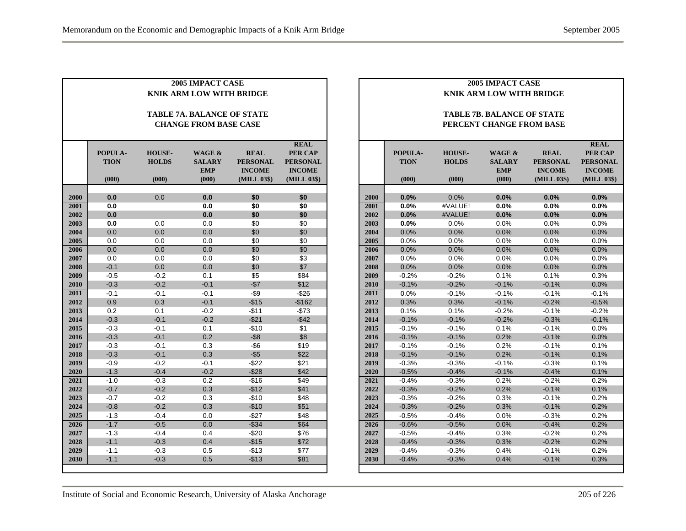|              | <b>2005 IMPACT CASE</b>         |                  |                                   |                  |                 |  |  |
|--------------|---------------------------------|------------------|-----------------------------------|------------------|-----------------|--|--|
|              | <b>KNIK ARM LOW WITH BRIDGE</b> |                  |                                   |                  |                 |  |  |
|              |                                 |                  |                                   |                  |                 |  |  |
|              |                                 |                  | <b>TABLE 7A. BALANCE OF STATE</b> |                  |                 |  |  |
|              |                                 |                  | <b>CHANGE FROM BASE CASE</b>      |                  |                 |  |  |
|              |                                 |                  |                                   |                  |                 |  |  |
|              |                                 |                  |                                   |                  | <b>REAL</b>     |  |  |
|              | POPULA-                         | <b>HOUSE-</b>    | WAGE &                            | <b>REAL</b>      | PER CAP         |  |  |
|              | <b>TION</b>                     | <b>HOLDS</b>     | <b>SALARY</b>                     | <b>PERSONAL</b>  | <b>PERSONAL</b> |  |  |
|              |                                 |                  | <b>EMP</b>                        | <b>INCOME</b>    | <b>INCOME</b>   |  |  |
|              | (000)                           | (000)            | (000)                             | (MILL 03\$)      | (MILL 03\$)     |  |  |
| 2000         | 0.0                             | 0.0              | 0.0                               | \$0              | \$0             |  |  |
| 2001         | 0.0                             |                  | 0.0                               | \$0              | \$0             |  |  |
| 2002         | 0.0                             |                  | 0.0                               | \$0              | \$0             |  |  |
| 2003         | 0.0                             | 0.0              | 0.0                               | \$0              | \$0             |  |  |
| 2004         | 0.0                             | 0.0              | 0.0                               | \$0              | \$0             |  |  |
| 2005         | 0.0                             | 0.0              | 0.0                               | \$0              | \$0             |  |  |
| 2006         | 0.0                             | 0.0              | 0.0                               | \$0              | \$0             |  |  |
| 2007         | 0.0                             | 0.0              | 0.0                               | \$0              | \$3             |  |  |
| 2008         | $-0.1$                          | 0.0              | 0.0                               | \$0              | \$7             |  |  |
| 2009         | $-0.5$                          | $-0.2$           | 0.1                               | \$5              | \$84            |  |  |
| 2010         | $-0.3$                          | $-0.2$           | $-0.1$                            | $- $7$           | \$12            |  |  |
| 2011         | $-0.1$                          | $-0.1$           | $-0.1$                            | $-$ \$9          | $-$ \$26        |  |  |
| 2012         | 0.9                             | 0.3              | $-0.1$                            | $-$15$           | $-$162$         |  |  |
| 2013         | 0.2                             | 0.1              | $-0.2$                            | $-$11$           | $-$73$          |  |  |
| 2014         | $-0.3$                          | $-0.1$           | $-0.2$                            | $-$21$           | $-$42$          |  |  |
| 2015         | $-0.3$                          | $-0.1$           | 0.1                               | $-$10$           | \$1             |  |  |
| 2016         | $-0.3$                          | $-0.1$           | 0.2                               | $-$ \$8          | \$8             |  |  |
| 2017         | $-0.3$                          | $-0.1$           | 0.3                               | -\$6             | \$19            |  |  |
| 2018         | $-0.3$                          | $-0.1$           | 0.3                               | $-$ \$5          | \$22            |  |  |
| 2019         | $-0.9$                          | $-0.2$           | $-0.1$                            | $-$ \$22         | \$21            |  |  |
| 2020         | $-1.3$                          | $-0.4$           | $-0.2$                            | $-$28$           | \$42            |  |  |
| 2021         | $-1.0$                          | $-0.3$           | 0.2                               | $-$16$           | \$49            |  |  |
| 2022         | $-0.7$                          | $-0.2$           | 0.3                               | $-$12$           | \$41            |  |  |
| 2023         | $-0.7$                          | $-0.2$           | 0.3                               | $-$10$           | \$48            |  |  |
| 2024         | $-0.8$                          | $-0.2$           | 0.3                               | $-$10$           | \$51            |  |  |
| 2025         | $-1.3$                          | $-0.4$           | 0.0                               | $-$27$           | \$48            |  |  |
| 2026         | $-1.7$                          | $-0.5$           | 0.0                               | $-$ \$34         | \$64            |  |  |
| 2027         | $-1.3$                          | $-0.4$           | 0.4<br>0.4                        | $-$20$           | \$76            |  |  |
| 2028<br>2029 | $-1.1$<br>$-1.1$                | $-0.3$<br>$-0.3$ | 0.5                               | $-$15$<br>$-$13$ | \$72<br>\$77    |  |  |
| 2030         | $-1.1$                          | $-0.3$           | 0.5                               | $-$13$           | \$81            |  |  |
|              |                                 |                  |                                   |                  |                 |  |  |

|              |                                 |                 | <b>2005 IMPACT CASE</b>           |                 |                 |  |  |
|--------------|---------------------------------|-----------------|-----------------------------------|-----------------|-----------------|--|--|
|              | <b>KNIK ARM LOW WITH BRIDGE</b> |                 |                                   |                 |                 |  |  |
|              |                                 |                 |                                   |                 |                 |  |  |
|              |                                 |                 | <b>TABLE 7B. BALANCE OF STATE</b> |                 |                 |  |  |
|              |                                 |                 |                                   |                 |                 |  |  |
|              |                                 |                 | PERCENT CHANGE FROM BASE          |                 |                 |  |  |
|              |                                 |                 |                                   |                 |                 |  |  |
|              |                                 |                 |                                   |                 | <b>REAL</b>     |  |  |
|              | POPULA-                         | <b>HOUSE-</b>   | WAGE &                            | <b>REAL</b>     | PER CAP         |  |  |
|              | <b>TION</b>                     | <b>HOLDS</b>    | <b>SALARY</b>                     | <b>PERSONAL</b> | <b>PERSONAL</b> |  |  |
|              |                                 |                 | <b>EMP</b>                        | <b>INCOME</b>   | <b>INCOME</b>   |  |  |
|              | (000)                           | (000)           | (000)                             | (MILL 03\$)     | (MILL 03\$)     |  |  |
| 2000         | 0.0%                            |                 | 0.0%                              | 0.0%            | 0.0%            |  |  |
| 2001         | 0.0%                            | 0.0%<br>#VALUE! | 0.0%                              | 0.0%            | 0.0%            |  |  |
|              |                                 |                 |                                   |                 |                 |  |  |
| 2002<br>2003 | 0.0%<br>0.0%                    | #VALUE!<br>0.0% | 0.0%<br>0.0%                      | 0.0%<br>0.0%    | 0.0%<br>0.0%    |  |  |
| 2004         | 0.0%                            | 0.0%            | 0.0%                              | 0.0%            | 0.0%            |  |  |
| 2005         | 0.0%                            | 0.0%            | 0.0%                              | 0.0%            | 0.0%            |  |  |
| 2006         | 0.0%                            | 0.0%            | 0.0%                              | 0.0%            | 0.0%            |  |  |
|              | 0.0%                            | 0.0%            | 0.0%                              | 0.0%            | 0.0%            |  |  |
| 2007<br>2008 | 0.0%                            | 0.0%            | 0.0%                              | 0.0%            | 0.0%            |  |  |
| 2009         | $-0.2%$                         | $-0.2%$         | 0.1%                              | 0.1%            | 0.3%            |  |  |
| 2010         | $-0.1%$                         | $-0.2%$         | $-0.1%$                           | $-0.1%$         | 0.0%            |  |  |
| 2011         | 0.0%                            | $-0.1%$         | $-0.1%$                           | $-0.1%$         | $-0.1%$         |  |  |
| 2012         | 0.3%                            | 0.3%            | $-0.1%$                           | $-0.2%$         | $-0.5%$         |  |  |
| 2013         | 0.1%                            | 0.1%            | $-0.2%$                           | $-0.1%$         | $-0.2%$         |  |  |
| 2014         | $-0.1%$                         | $-0.1%$         | $-0.2%$                           | $-0.3%$         | $-0.1%$         |  |  |
| 2015         | $-0.1%$                         | $-0.1%$         | 0.1%                              | $-0.1%$         | 0.0%            |  |  |
| 2016         | $-0.1%$                         | $-0.1%$         | 0.2%                              | $-0.1%$         | 0.0%            |  |  |
| 2017         | $-0.1%$                         | $-0.1%$         | 0.2%                              | $-0.1%$         | 0.1%            |  |  |
| 2018         | $-0.1%$                         | $-0.1%$         | 0.2%                              | $-0.1%$         | 0.1%            |  |  |
| 2019         | $-0.3%$                         | $-0.3%$         | $-0.1%$                           | $-0.3%$         | 0.1%            |  |  |
| 2020         | $-0.5%$                         | $-0.4%$         | $-0.1%$                           | $-0.4%$         | 0.1%            |  |  |
| 2021         | $-0.4%$                         | $-0.3%$         | 0.2%                              | $-0.2%$         | 0.2%            |  |  |
| 2022         | $-0.3%$                         | $-0.2%$         | 0.2%                              | $-0.1%$         | 0.1%            |  |  |
| 2023         | $-0.3%$                         | $-0.2%$         | 0.3%                              | $-0.1%$         | 0.2%            |  |  |
| 2024         | $-0.3%$                         | $-0.2%$         | 0.3%                              | $-0.1%$         | 0.2%            |  |  |
| 2025         | $-0.5%$                         | $-0.4%$         | 0.0%                              | $-0.3%$         | 0.2%            |  |  |
| 2026         | $-0.6%$                         | $-0.5%$         | 0.0%                              | $-0.4%$         | 0.2%            |  |  |
| 2027         | $-0.5%$                         | $-0.4%$         | 0.3%                              | $-0.2%$         | 0.2%            |  |  |
| 2028         | $-0.4%$                         | $-0.3%$         | 0.3%                              | $-0.2%$         | 0.2%            |  |  |
| 2029         | $-0.4%$                         | $-0.3%$         | 0.4%                              | $-0.1%$         | 0.2%            |  |  |
| 2030         | $-0.4%$                         | $-0.3%$         | 0.4%                              | $-0.1%$         | 0.3%            |  |  |
|              |                                 |                 |                                   |                 |                 |  |  |

Institute of Social and Economic Research, University of Alaska Anchorage 205 of 226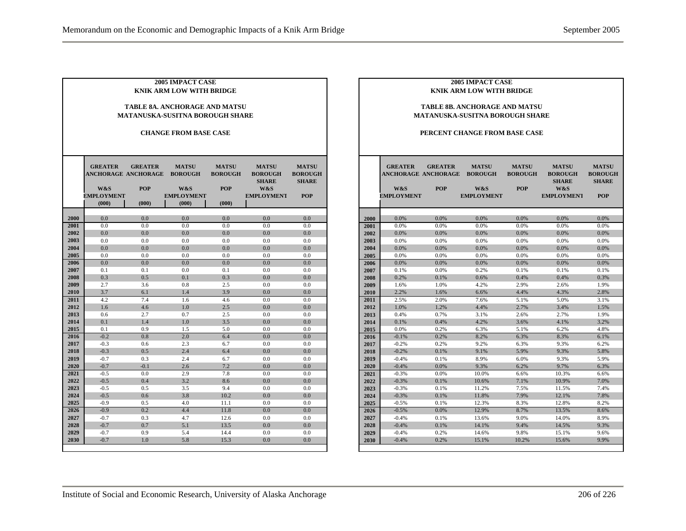| <b>2005 IMPACT CASE</b><br><b>KNIK ARM LOW WITH BRIDGE</b>              |                                              |                              |                                   |                                              |                                                       |                                                |  |  |
|-------------------------------------------------------------------------|----------------------------------------------|------------------------------|-----------------------------------|----------------------------------------------|-------------------------------------------------------|------------------------------------------------|--|--|
| <b>TABLE 8A. ANCHORAGE AND MATSU</b><br>MATANUSKA-SUSITNA BOROUGH SHARE |                                              |                              |                                   |                                              |                                                       |                                                |  |  |
| <b>CHANGE FROM BASE CASE</b>                                            |                                              |                              |                                   |                                              |                                                       |                                                |  |  |
|                                                                         | <b>GREATER</b><br><b>ANCHORAGE ANCHORAGE</b> | <b>GREATER</b><br><b>POP</b> | <b>MATSU</b><br><b>BOROUGH</b>    | <b>MATSU</b><br><b>BOROUGH</b><br><b>POP</b> | <b>MATSU</b><br><b>BOROUGH</b><br><b>SHARE</b><br>W&S | <b>MATSU</b><br><b>BOROUGH</b><br><b>SHARE</b> |  |  |
|                                                                         | W&S<br><b>EMPLOYMENT</b><br>(000)            | (000)                        | W&S<br><b>EMPLOYMENT</b><br>(000) | (000)                                        | <b>EMPLOYMENT</b>                                     | <b>POP</b>                                     |  |  |
| 2000                                                                    | 0.0                                          | 0.0                          | 0.0                               | 0.0                                          | 0.0                                                   | 0.0                                            |  |  |
| 2001                                                                    | 0.0                                          | 0.0                          | 0.0                               | 0.0                                          | 0.0                                                   | 0.0                                            |  |  |
| 2002                                                                    | 0.0                                          | 0.0                          | 0.0                               | 0.0                                          | 0.0                                                   | 0.0                                            |  |  |
| 2003                                                                    | 0.0                                          | 0.0                          | 0.0                               | 0.0                                          | 0.0                                                   | 0.0                                            |  |  |
| 2004                                                                    | 0.0                                          | 0.0                          | 0.0                               | 0.0                                          | 0.0                                                   | 0.0                                            |  |  |
| 2005                                                                    | 0.0                                          | 0.0                          | 0.0                               | 0.0                                          | 0.0                                                   | 0.0                                            |  |  |
| 2006                                                                    | 0.0                                          | 0.0                          | 0.0                               | 0.0                                          | 0.0                                                   | 0.0                                            |  |  |
| 2007                                                                    | 0.1                                          | 0.1                          | 0.0                               | 0.1                                          | 0.0                                                   | 0.0                                            |  |  |
| 2008                                                                    | 0.3                                          | 0.5                          | 0.1                               | 0.3                                          | 0.0                                                   | 0.0                                            |  |  |
| 2009                                                                    | 2.7                                          | 3.6                          | 0.8                               | 2.5                                          | 0.0                                                   | 0.0                                            |  |  |
| 2010                                                                    | 3.7                                          | 6.1                          | 1.4                               | 3.9                                          | 0.0                                                   | 0.0                                            |  |  |
| 2011                                                                    | 4.2                                          | 7.4                          | 1.6                               | 4.6                                          | 0.0                                                   | 0.0                                            |  |  |
| 2012                                                                    | 1.6                                          | 4.6                          | 1.0                               | 2.5                                          | 0.0                                                   | 0.0                                            |  |  |
| 2013                                                                    | 0.6                                          | 2.7                          | 0.7                               | 2.5                                          | 0.0                                                   | 0.0                                            |  |  |
| 2014                                                                    | 0.1                                          | 1.4                          | 1.0                               | 3.5                                          | 0.0                                                   | 0.0                                            |  |  |
| 2015                                                                    | 0.1                                          | 0.9                          | 1.5                               | 5.0                                          | 0.0                                                   | 0.0                                            |  |  |
| 2016                                                                    | $-0.2$                                       | 0.8                          | 2.0                               | 6.4                                          | 0.0                                                   | 0.0                                            |  |  |
| 2017                                                                    | $-0.3$                                       | 0.6                          | 2.3                               | 6.7                                          | 0.0                                                   | 0.0                                            |  |  |
| 2018                                                                    | $-0.3$                                       | 0.5                          | 2.4                               | 6.4                                          | 0.0                                                   | 0.0                                            |  |  |
| 2019                                                                    | $-0.7$                                       | 0.3                          | 2.4                               | 6.7                                          | 0.0                                                   | 0.0                                            |  |  |
| 2020                                                                    | $-0.7$                                       | $-0.1$                       | 2.6                               | 7.2                                          | 0.0                                                   | 0.0                                            |  |  |
| 2021                                                                    | $-0.5$                                       | 0.0                          | 2.9                               | 7.8                                          | 0.0                                                   | 0.0                                            |  |  |
| 2022                                                                    | $-0.5$                                       | 0.4                          | 3.2                               | 8.6                                          | 0.0                                                   | 0.0                                            |  |  |
| 2023                                                                    | $-0.5$                                       | 0.5                          | 3.5                               | 9.4                                          | 0.0                                                   | 0.0                                            |  |  |
| 2024                                                                    | $-0.5$                                       | 0.6                          | 3.8                               | 10.2                                         | 0.0                                                   | 0.0                                            |  |  |
| 2025                                                                    | $-0.9$                                       | 0.5                          | 4.0                               | 11.1                                         | 0.0                                                   | 0.0                                            |  |  |
| 2026                                                                    | $-0.9$                                       | 0.2                          | 4.4                               | 11.8                                         | 0.0                                                   | 0.0                                            |  |  |
| 2027                                                                    | $-0.7$                                       | 0.3                          | 4.7                               | 12.6                                         | 0.0                                                   | 0.0                                            |  |  |
| 2028                                                                    | $-0.7$                                       | 0.7                          | 5.1                               | 13.5                                         | 0.0                                                   | 0.0                                            |  |  |
| 2029                                                                    | $-0.7$                                       | 0.9                          | 5.4                               | 14.4                                         | 0.0                                                   | 0.0                                            |  |  |
| 2030                                                                    | $-0.7$                                       | 1.0                          | 5.8                               | 15.3                                         | 0.0                                                   | 0.0                                            |  |  |

#### **TABLE 8B. ANCHORAGE AND MATSU MATANUSKA-SUSITNA BOROUGH SHARE**

#### **PERCENT CHANGE FROM BASE CASE**

|              | <b>GREATER</b><br><b>ANCHORAGE ANCHORAGE</b><br>W&S<br><b>EMPLOYMENT</b> | <b>GREATER</b><br><b>POP</b> | <b>MATSU</b><br><b>BOROUGH</b><br>W&S<br><b>EMPLOYMENT</b> | <b>MATSU</b><br><b>BOROUGH</b><br><b>POP</b> | <b>MATSU</b><br><b>BOROUGH</b><br><b>SHARE</b><br>W&S<br><b>EMPLOYMENT</b> | <b>MATSU</b><br><b>BOROUGH</b><br><b>SHARE</b><br><b>POP</b> |
|--------------|--------------------------------------------------------------------------|------------------------------|------------------------------------------------------------|----------------------------------------------|----------------------------------------------------------------------------|--------------------------------------------------------------|
|              |                                                                          |                              |                                                            |                                              |                                                                            |                                                              |
| 2000         | 0.0%                                                                     | 0.0%                         | 0.0%                                                       | 0.0%                                         | 0.0%                                                                       | 0.0%                                                         |
| 2001         | 0.0%                                                                     | 0.0%                         | 0.0%                                                       | 0.0%                                         | 0.0%                                                                       | 0.0%                                                         |
| 2002         | 0.0%                                                                     | 0.0%                         | 0.0%                                                       | 0.0%                                         | 0.0%                                                                       | 0.0%                                                         |
| 2003         | 0.0%                                                                     | 0.0%                         | 0.0%                                                       | 0.0%                                         | 0.0%                                                                       | 0.0%                                                         |
| 2004         | 0.0%                                                                     | 0.0%                         | 0.0%                                                       | 0.0%                                         | 0.0%                                                                       | 0.0%                                                         |
| 2005         | 0.0%                                                                     | 0.0%                         | 0.0%                                                       | 0.0%                                         | 0.0%                                                                       | 0.0%                                                         |
| 2006         | 0.0%                                                                     | 0.0%                         | 0.0%                                                       | 0.0%                                         | 0.0%                                                                       | 0.0%                                                         |
| 2007         | 0.1%                                                                     | 0.0%                         | 0.2%                                                       | 0.1%                                         | 0.1%                                                                       | 0.1%                                                         |
| 2008         | 0.2%                                                                     | 0.1%                         | 0.6%                                                       | 0.4%                                         | 0.4%                                                                       | 0.3%                                                         |
| 2009         | 1.6%                                                                     | 1.0%                         | 4.2%                                                       | 2.9%                                         | 2.6%                                                                       | 1.9%                                                         |
| 2010         | 2.2%                                                                     | 1.6%                         | 6.6%                                                       | 4.4%                                         | 4.3%                                                                       | 2.8%                                                         |
| 2011         | 2.5%                                                                     | 2.0%<br>1.2%                 | 7.6%<br>4.4%                                               | 5.1%                                         | 5.0%                                                                       | 3.1%                                                         |
| 2012         | 1.0%                                                                     | 0.7%                         |                                                            | 2.7%                                         | 3.4%<br>2.7%                                                               | 1.5%                                                         |
| 2013         | 0.4%<br>0.1%                                                             | 0.4%                         | 3.1%<br>4.2%                                               | 2.6%                                         | 4.1%                                                                       | 1.9%                                                         |
| 2014         |                                                                          |                              |                                                            | 3.6%                                         |                                                                            | 3.2%                                                         |
| 2015         | 0.0%<br>$-0.1%$                                                          | 0.2%<br>0.2%                 | 6.3%<br>8.2%                                               | 5.1%<br>6.3%                                 | 6.2%<br>8.3%                                                               | 4.8%<br>6.1%                                                 |
| 2016         | $-0.2%$                                                                  | 0.2%                         | 9.2%                                                       | 6.3%                                         | 9.3%                                                                       | 6.2%                                                         |
| 2017         |                                                                          |                              |                                                            |                                              |                                                                            |                                                              |
| 2018         | $-0.2%$<br>$-0.4%$                                                       | 0.1%<br>0.1%                 | 9.1%<br>8.9%                                               | 5.9%<br>6.0%                                 | 9.3%<br>9.3%                                                               | 5.8%<br>5.9%                                                 |
| 2019<br>2020 | $-0.4%$                                                                  | 0.0%                         | 9.3%                                                       | 6.2%                                         | 9.7%                                                                       | 6.3%                                                         |
| 2021         | $-0.3%$                                                                  | 0.0%                         | 10.0%                                                      | 6.6%                                         | 10.3%                                                                      | 6.6%                                                         |
| 2022         | $-0.3%$                                                                  | 0.1%                         | 10.6%                                                      | 7.1%                                         | 10.9%                                                                      | 7.0%                                                         |
| 2023         | $-0.3%$                                                                  | 0.1%                         | 11.2%                                                      | 7.5%                                         | 11.5%                                                                      | 7.4%                                                         |
|              | $-0.3%$                                                                  | 0.1%                         | 11.8%                                                      | 7.9%                                         | 12.1%                                                                      | 7.8%                                                         |
| 2024         | $-0.5%$                                                                  | 0.1%                         | 12.3%                                                      |                                              | 12.8%                                                                      | 8.2%                                                         |
| 2025         | $-0.5%$                                                                  | 0.0%                         | 12.9%                                                      | 8.3%<br>8.7%                                 | 13.5%                                                                      | 8.6%                                                         |
| 2026<br>2027 | $-0.4%$                                                                  | 0.1%                         | 13.6%                                                      | 9.0%                                         | 14.0%                                                                      | 8.9%                                                         |
| 2028         | $-0.4%$                                                                  | 0.1%                         | 14.1%                                                      | 9.4%                                         | 14.5%                                                                      | 9.3%                                                         |
|              | $-0.4%$                                                                  | 0.2%                         | 14.6%                                                      | 9.8%                                         | 15.1%                                                                      | 9.6%                                                         |
| 2029         | $-0.4%$                                                                  | 0.2%                         | 15.1%                                                      | 10.2%                                        | 15.6%                                                                      | 9.9%                                                         |
| 2030         |                                                                          |                              |                                                            |                                              |                                                                            |                                                              |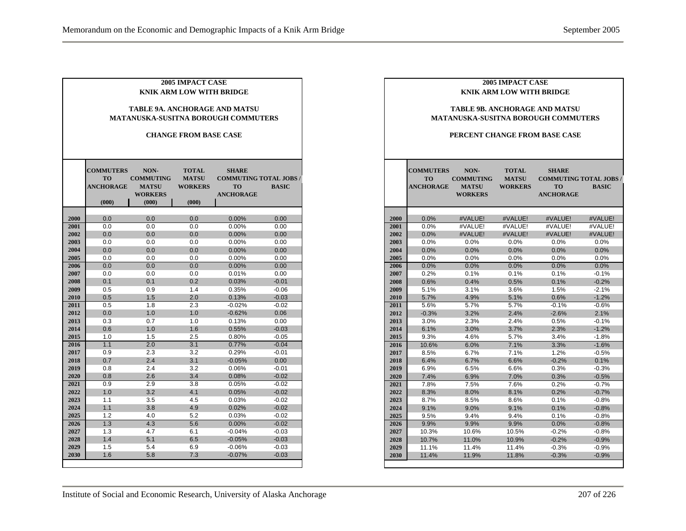|              | <b>COMMUTERS</b><br><b>TO</b><br><b>ANCHORAGE</b> | NON-                                               | <b>CHANGE FROM BASE CASE</b>                   | <b>TABLE 9A. ANCHORAGE AND MATSU</b><br><b>MATANUSKA-SUSITNA BOROUGH COMMUTERS</b> |                    |
|--------------|---------------------------------------------------|----------------------------------------------------|------------------------------------------------|------------------------------------------------------------------------------------|--------------------|
|              |                                                   |                                                    |                                                |                                                                                    |                    |
|              |                                                   |                                                    |                                                |                                                                                    |                    |
|              |                                                   | <b>COMMUTING</b><br><b>MATSU</b><br><b>WORKERS</b> | <b>TOTAL</b><br><b>MATSU</b><br><b>WORKERS</b> | <b>SHARE</b><br><b>COMMUTING TOTAL JOBS/</b><br><b>TO</b><br><b>ANCHORAGE</b>      | <b>BASIC</b>       |
|              | (000)                                             | (000)                                              | (000)                                          |                                                                                    |                    |
| 2000<br>2001 | 0.0<br>0.0                                        | 0.0<br>0.0                                         | 0.0<br>0.0                                     | 0.00%<br>0.00%                                                                     | 0.00<br>0.00       |
| 2002         | 0.0                                               | 0.0                                                | 0.0                                            | 0.00%                                                                              | 0.00               |
| 2003         | 0.0                                               | 0.0                                                | 0.0                                            | 0.00%                                                                              | 0.00               |
| 2004         | 0.0                                               | 0.0                                                | 0.0                                            | 0.00%                                                                              | 0.00               |
| 2005         | 0.0                                               | 0.0                                                | 0.0                                            | 0.00%                                                                              | 0.00               |
| 2006         | 0.0                                               | 0.0                                                | 0.0                                            | 0.00%                                                                              | 0.00               |
| 2007         | 0.0                                               | 0.0                                                | 0.0                                            | 0.01%                                                                              | 0.00               |
| 2008         | 0.1                                               | 0.1                                                | 0.2                                            | 0.03%                                                                              | $-0.01$            |
| 2009         | 0.5                                               | 0.9                                                | 1.4                                            | 0.35%                                                                              | $-0.06$            |
| <b>2010</b>  | 0.5                                               | 1.5                                                | 2.0                                            | 0.13%                                                                              | $-0.03$            |
| 2011         | 0.5                                               | 1.8                                                | 2.3                                            | $-0.02%$                                                                           | $-0.02$            |
| 2012         | 0.0                                               | 1.0                                                | 1.0                                            | $-0.62%$                                                                           | 0.06               |
| 2013<br>2014 | 0.3<br>0.6                                        | 0.7<br>1.0                                         | 1.0<br>1.6                                     | 0.13%<br>0.55%                                                                     | 0.00<br>$-0.03$    |
| 2015         | 1.0                                               | 1.5                                                | 2.5                                            | 0.80%                                                                              | $-0.05$            |
| 2016         | 1.1                                               | 2.0                                                | 3.1                                            | 0.77%                                                                              | $-0.04$            |
| 2017         | 0.9                                               | 2.3                                                | 3.2                                            | 0.29%                                                                              | $-0.01$            |
| 2018         | 0.7                                               | 2.4                                                | 3.1                                            | $-0.05%$                                                                           | 0.00               |
| 2019         | 0.8                                               | 2.4                                                | 3.2                                            | 0.06%                                                                              | $-0.01$            |
| 2020         | 0.8                                               | 2.6                                                | 3.4                                            | 0.08%                                                                              | $-0.02$            |
| 2021         | 0.9                                               | 2.9                                                | 3.8                                            | 0.05%                                                                              | $-0.02$            |
| 2022         | 1.0                                               | 3.2                                                | 4.1                                            | 0.05%                                                                              | $-0.02$            |
| 2023         | 1.1                                               | 3.5                                                | 4.5                                            | 0.03%                                                                              | $-0.02$            |
| 2024         | 1.1                                               | 3.8                                                | 4.9                                            | 0.02%                                                                              | $-0.02$            |
| 2025         | 1.2                                               | 4.0                                                | 5.2                                            | 0.03%                                                                              | $-0.02$            |
| 2026         | 1.3                                               | 4.3                                                | 5.6                                            | 0.00%                                                                              | $-0.02$            |
| 2027         | 1.3                                               | 4.7                                                | 6.1                                            | $-0.04%$                                                                           | $-0.03$            |
| 2028<br>2029 | 1.4<br>1.5                                        | 5.1<br>5.4                                         | 6.5<br>6.9                                     | $-0.05%$<br>$-0.06%$                                                               | $-0.03$<br>$-0.03$ |
| 2030         | 1.6                                               | 5.8                                                | 7.3                                            | $-0.07%$                                                                           | $-0.03$            |

# эE

#### **TABLE 9B. ANCHORAGE AND MATSU MATANUSKA-SUSITNA BOROUGH COMMUTERS**

#### **PERCENT CHANGE FROM BASE CASE**

| $\overline{a}$          | -0.3% | $3.2\%$ | $2.4\%$ | -2.0%   | $2.1\%$  |
|-------------------------|-------|---------|---------|---------|----------|
| $\overline{\mathbf{3}}$ | 3.0%  | 2.3%    | 2.4%    | 0.5%    | $-0.1%$  |
| 4                       | 6.1%  | 3.0%    | 3.7%    | 2.3%    | $-1.2%$  |
| 5                       | 9.3%  | 4.6%    | 5.7%    | 3.4%    | $-1.8%$  |
| 6                       | 10.6% | 6.0%    | 7.1%    | 3.3%    | $-1.6%$  |
| 7                       | 8.5%  | 6.7%    | 7.1%    | 1.2%    | $-0.5%$  |
| 8                       | 6.4%  | 6.7%    | 6.6%    | $-0.2%$ | 0.1%     |
| 9                       | 6.9%  | 6.5%    | 6.6%    | 0.3%    | $-0.3%$  |
| $\bf{0}$                | 7.4%  | 6.9%    | 7.0%    | 0.3%    | $-0.5%$  |
| 1                       | 7.8%  | 7.5%    | 7.6%    | 0.2%    | $-0.7\%$ |
| $\overline{2}$          | 8.3%  | 8.0%    | 8.1%    | 0.2%    | $-0.7%$  |
| 3                       | 8.7%  | 8.5%    | 8.6%    | 0.1%    | $-0.8%$  |
| 4                       | 9.1%  | 9.0%    | 9.1%    | 0.1%    | $-0.8%$  |
| 5                       | 9.5%  | 9.4%    | 9.4%    | 0.1%    | $-0.8%$  |
| 6                       | 9.9%  | 9.9%    | 9.9%    | $0.0\%$ | $-0.8%$  |
| 7                       | 10.3% | 10.6%   | 10.5%   | $-0.2%$ | $-0.8%$  |
| 8                       | 10.7% | 11.0%   | 10.9%   | $-0.2%$ | $-0.9%$  |
| 9                       | 11.1% | 11.4%   | 11.4%   | $-0.3%$ | $-0.9%$  |
| $\bf{0}$                | 11.4% | 11.9%   | 11.8%   | $-0.3%$ | $-0.9%$  |
|                         |       |         |         |         |          |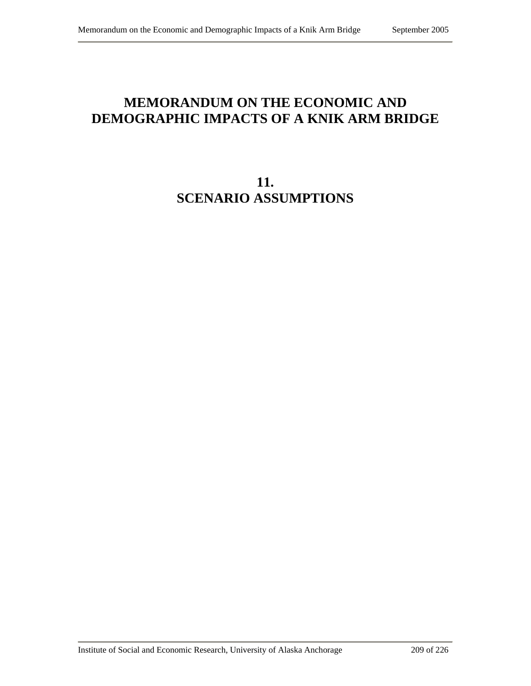## **MEMORANDUM ON THE ECONOMIC AND DEMOGRAPHIC IMPACTS OF A KNIK ARM BRIDGE**

**11. SCENARIO ASSUMPTIONS**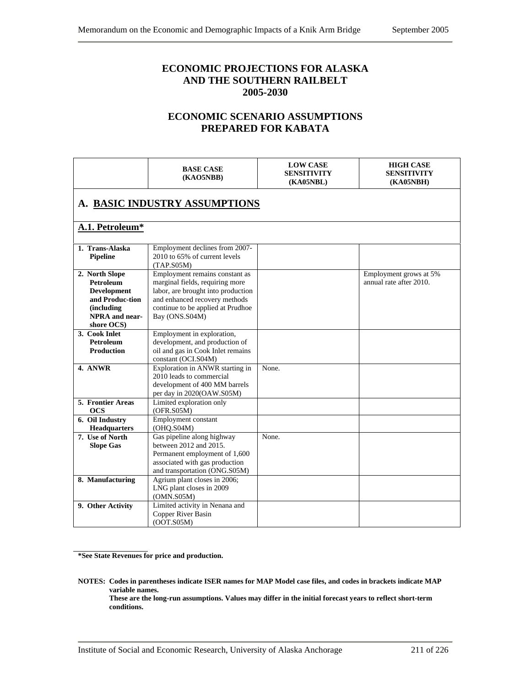## **ECONOMIC PROJECTIONS FOR ALASKA AND THE SOUTHERN RAILBELT 2005-2030**

## **ECONOMIC SCENARIO ASSUMPTIONS PREPARED FOR KABATA**

|                                                                                                                                  | <b>BASE CASE</b><br>(KAO5NBB)                                                                                                                                                                   | <b>LOW CASE</b><br><b>SENSITIVITY</b><br>(KA05NBL) | <b>HIGH CASE</b><br><b>SENSITIVITY</b><br><b>(KA05NBH)</b> |  |  |  |  |  |
|----------------------------------------------------------------------------------------------------------------------------------|-------------------------------------------------------------------------------------------------------------------------------------------------------------------------------------------------|----------------------------------------------------|------------------------------------------------------------|--|--|--|--|--|
| A. BASIC INDUSTRY ASSUMPTIONS                                                                                                    |                                                                                                                                                                                                 |                                                    |                                                            |  |  |  |  |  |
| A.1. Petroleum*                                                                                                                  |                                                                                                                                                                                                 |                                                    |                                                            |  |  |  |  |  |
| 1. Trans-Alaska<br><b>Pipeline</b>                                                                                               | Employment declines from 2007-<br>2010 to 65% of current levels<br>(TAP.S05M)                                                                                                                   |                                                    |                                                            |  |  |  |  |  |
| 2. North Slope<br><b>Petroleum</b><br><b>Development</b><br>and Produc-tion<br>(including<br><b>NPRA</b> and near-<br>shore OCS) | Employment remains constant as<br>marginal fields, requiring more<br>labor, are brought into production<br>and enhanced recovery methods<br>continue to be applied at Prudhoe<br>Bay (ONS.S04M) |                                                    | Employment grows at 5%<br>annual rate after 2010.          |  |  |  |  |  |
| 3. Cook Inlet<br><b>Petroleum</b><br><b>Production</b>                                                                           | Employment in exploration,<br>development, and production of<br>oil and gas in Cook Inlet remains<br>constant (OCI.S04M)                                                                        |                                                    |                                                            |  |  |  |  |  |
| 4. ANWR                                                                                                                          | Exploration in ANWR starting in<br>2010 leads to commercial<br>development of 400 MM barrels<br>per day in 2020(OAW.S05M)                                                                       | None.                                              |                                                            |  |  |  |  |  |
| 5. Frontier Areas<br><b>OCS</b>                                                                                                  | Limited exploration only<br>(OFR.S05M)                                                                                                                                                          |                                                    |                                                            |  |  |  |  |  |
| 6. Oil Industry<br><b>Headquarters</b>                                                                                           | Employment constant<br>(OHQ.S04M)                                                                                                                                                               |                                                    |                                                            |  |  |  |  |  |
| 7. Use of North<br><b>Slope Gas</b>                                                                                              | Gas pipeline along highway<br>between 2012 and 2015.<br>Permanent employment of 1,600<br>associated with gas production<br>and transportation (ONG.S05M)                                        | None.                                              |                                                            |  |  |  |  |  |
| 8. Manufacturing                                                                                                                 | Agrium plant closes in 2006;<br>LNG plant closes in 2009<br>(OMN.S05M)                                                                                                                          |                                                    |                                                            |  |  |  |  |  |
| 9. Other Activity                                                                                                                | Limited activity in Nenana and<br>Copper River Basin<br>(OOT.S05M)                                                                                                                              |                                                    |                                                            |  |  |  |  |  |

**\*See State Revenues for price and production.** 

**NOTES: Codes in parentheses indicate ISER names for MAP Model case files, and codes in brackets indicate MAP variable names. These are the long-run assumptions. Values may differ in the initial forecast years to reflect short-term conditions.**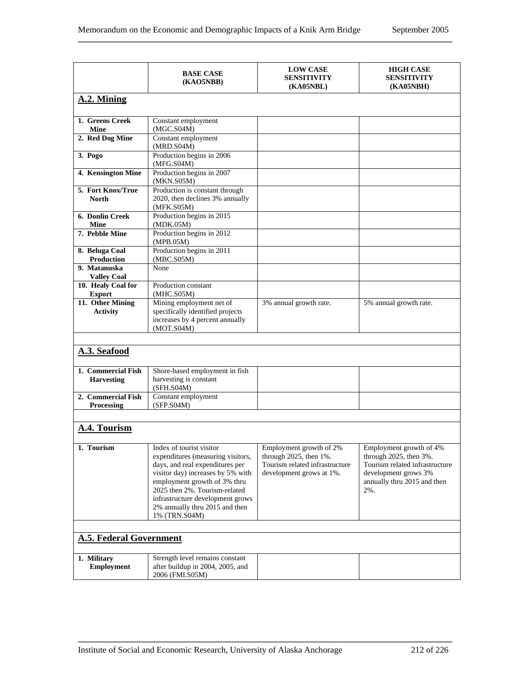|                                         | <b>BASE CASE</b><br>(KAO5NBB)                                                                                                                                                                                                                                                                 | <b>LOW CASE</b><br><b>SENSITIVITY</b><br>(KA05NBL)                                                              | <b>HIGH CASE</b><br><b>SENSITIVITY</b><br><b>(KA05NBH)</b>                                                                                        |
|-----------------------------------------|-----------------------------------------------------------------------------------------------------------------------------------------------------------------------------------------------------------------------------------------------------------------------------------------------|-----------------------------------------------------------------------------------------------------------------|---------------------------------------------------------------------------------------------------------------------------------------------------|
| A.2. Mining                             |                                                                                                                                                                                                                                                                                               |                                                                                                                 |                                                                                                                                                   |
| 1. Greens Creek<br><b>Mine</b>          | Constant employment<br>(MGC.S04M)                                                                                                                                                                                                                                                             |                                                                                                                 |                                                                                                                                                   |
| 2. Red Dog Mine                         | Constant employment<br>(MRD.S04M)                                                                                                                                                                                                                                                             |                                                                                                                 |                                                                                                                                                   |
| 3. Pogo                                 | Production begins in 2006<br>(MFG.S04M)                                                                                                                                                                                                                                                       |                                                                                                                 |                                                                                                                                                   |
| 4. Kensington Mine                      | Production begins in 2007<br>(MKN.S05M)                                                                                                                                                                                                                                                       |                                                                                                                 |                                                                                                                                                   |
| 5. Fort Knox/True                       | Production is constant through                                                                                                                                                                                                                                                                |                                                                                                                 |                                                                                                                                                   |
| <b>North</b>                            | 2020, then declines 3% annually<br>(MFK.S05M)                                                                                                                                                                                                                                                 |                                                                                                                 |                                                                                                                                                   |
| <b>6. Donlin Creek</b><br><b>Mine</b>   | Production begins in 2015<br>(MDK.05M)                                                                                                                                                                                                                                                        |                                                                                                                 |                                                                                                                                                   |
| 7. Pebble Mine                          | Production begins in 2012<br>(MPB.05M)                                                                                                                                                                                                                                                        |                                                                                                                 |                                                                                                                                                   |
| 8. Beluga Coal<br><b>Production</b>     | Production begins in 2011<br>(MBC.S05M)                                                                                                                                                                                                                                                       |                                                                                                                 |                                                                                                                                                   |
| 9. Matanuska                            | None                                                                                                                                                                                                                                                                                          |                                                                                                                 |                                                                                                                                                   |
| <b>Valley Coal</b>                      |                                                                                                                                                                                                                                                                                               |                                                                                                                 |                                                                                                                                                   |
| 10. Healy Coal for                      | Production constant                                                                                                                                                                                                                                                                           |                                                                                                                 |                                                                                                                                                   |
| <b>Export</b>                           | (MHC.S05M)                                                                                                                                                                                                                                                                                    |                                                                                                                 |                                                                                                                                                   |
| 11. Other Mining<br><b>Activity</b>     | Mining employment net of<br>specifically identified projects                                                                                                                                                                                                                                  | 3% annual growth rate.                                                                                          | 5% annual growth rate.                                                                                                                            |
|                                         | increases by 4 percent annually<br>(MOT.S04M)                                                                                                                                                                                                                                                 |                                                                                                                 |                                                                                                                                                   |
|                                         |                                                                                                                                                                                                                                                                                               |                                                                                                                 |                                                                                                                                                   |
| A.3. Seafood                            |                                                                                                                                                                                                                                                                                               |                                                                                                                 |                                                                                                                                                   |
| 1. Commercial Fish<br><b>Harvesting</b> | Shore-based employment in fish<br>harvesting is constant<br>(SFH.S04M)                                                                                                                                                                                                                        |                                                                                                                 |                                                                                                                                                   |
| 2. Commercial Fish<br>Processing        | Constant employment<br>(SFP.S04M)                                                                                                                                                                                                                                                             |                                                                                                                 |                                                                                                                                                   |
|                                         |                                                                                                                                                                                                                                                                                               |                                                                                                                 |                                                                                                                                                   |
| A.4. Tourism                            |                                                                                                                                                                                                                                                                                               |                                                                                                                 |                                                                                                                                                   |
| 1. Tourism                              | Index of tourist visitor<br>expenditures (measuring visitors,<br>days, and real expenditures per<br>visitor day) increases by 5% with<br>employment growth of 3% thru<br>2025 then 2%. Tourism-related<br>infrastructure development grows<br>2% annually thru 2015 and then<br>1% (TRN.S04M) | Employment growth of 2%<br>through 2025, then 1%.<br>Tourism related infrastructure<br>development grows at 1%. | Employment growth of 4%<br>through 2025, then 3%.<br>Tourism related infrastructure<br>development grows 3%<br>annually thru 2015 and then<br>2%. |
| <b>A.5. Federal Government</b>          |                                                                                                                                                                                                                                                                                               |                                                                                                                 |                                                                                                                                                   |
| 1. Military<br><b>Employment</b>        | Strength level remains constant<br>after buildup in 2004, 2005, and<br>2006 (FMI.S05M)                                                                                                                                                                                                        |                                                                                                                 |                                                                                                                                                   |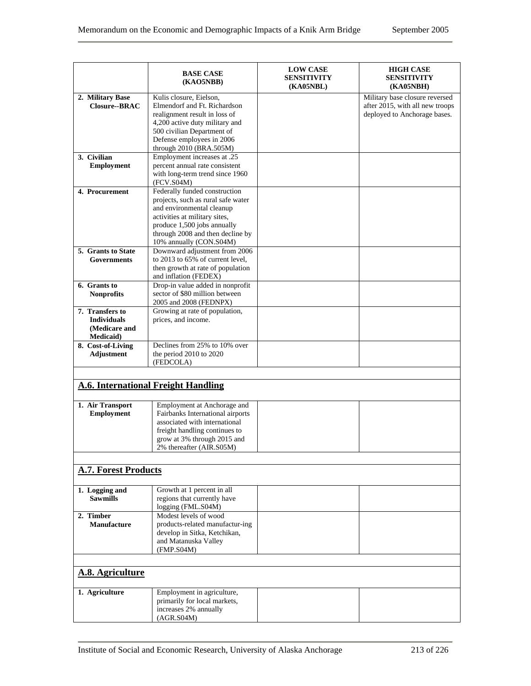|                                                                             | <b>BASE CASE</b><br>(KAO5NBB)                                                                                                                                                                                                   |  | <b>HIGH CASE</b><br><b>SENSITIVITY</b><br><b>(KA05NBH)</b>                                        |
|-----------------------------------------------------------------------------|---------------------------------------------------------------------------------------------------------------------------------------------------------------------------------------------------------------------------------|--|---------------------------------------------------------------------------------------------------|
| 2. Military Base<br><b>Closure--BRAC</b>                                    | Kulis closure, Eielson,<br>Elmendorf and Ft. Richardson<br>realignment result in loss of<br>4,200 active duty military and                                                                                                      |  | Military base closure reversed<br>after 2015, with all new troops<br>deployed to Anchorage bases. |
|                                                                             | 500 civilian Department of<br>Defense employees in 2006<br>through 2010 (BRA.505M)                                                                                                                                              |  |                                                                                                   |
| 3. Civilian<br><b>Employment</b>                                            | Employment increases at .25<br>percent annual rate consistent<br>with long-term trend since 1960<br>(FCV.S04M)                                                                                                                  |  |                                                                                                   |
| 4. Procurement                                                              | Federally funded construction<br>projects, such as rural safe water<br>and environmental cleanup<br>activities at military sites,<br>produce 1,500 jobs annually<br>through 2008 and then decline by<br>10% annually (CON.S04M) |  |                                                                                                   |
| 5. Grants to State<br><b>Governments</b>                                    | Downward adjustment from 2006<br>to 2013 to 65% of current level,<br>then growth at rate of population<br>and inflation (FEDEX)                                                                                                 |  |                                                                                                   |
| 6. Grants to<br><b>Nonprofits</b>                                           | Drop-in value added in nonprofit<br>sector of \$80 million between<br>2005 and 2008 (FEDNPX)                                                                                                                                    |  |                                                                                                   |
| 7. Transfers to<br><b>Individuals</b><br>(Medicare and<br><b>Medicaid</b> ) | Growing at rate of population,<br>prices, and income.                                                                                                                                                                           |  |                                                                                                   |
| 8. Cost-of-Living<br><b>Adjustment</b>                                      | Declines from 25% to 10% over<br>the period 2010 to 2020<br>(FEDCOLA)                                                                                                                                                           |  |                                                                                                   |
|                                                                             | <b>A.6. International Freight Handling</b>                                                                                                                                                                                      |  |                                                                                                   |
| 1. Air Transport<br><b>Employment</b>                                       | Employment at Anchorage and<br>Fairbanks International airports<br>associated with international<br>freight handling continues to<br>grow at 3% through 2015 and<br>2% thereafter (AIR.S05M)                                    |  |                                                                                                   |
| <b>A.7. Forest Products</b>                                                 |                                                                                                                                                                                                                                 |  |                                                                                                   |
| 1. Logging and<br><b>Sawmills</b>                                           | Growth at 1 percent in all<br>regions that currently have<br>logging (FML.S04M)                                                                                                                                                 |  |                                                                                                   |
| 2. Timber<br><b>Manufacture</b>                                             | Modest levels of wood<br>products-related manufactur-ing<br>develop in Sitka, Ketchikan,<br>and Matanuska Valley<br>(FMP.S04M)                                                                                                  |  |                                                                                                   |
| A.8. Agriculture                                                            |                                                                                                                                                                                                                                 |  |                                                                                                   |
| 1. Agriculture                                                              | Employment in agriculture,<br>primarily for local markets,<br>increases 2% annually<br>(AGR.S04M)                                                                                                                               |  |                                                                                                   |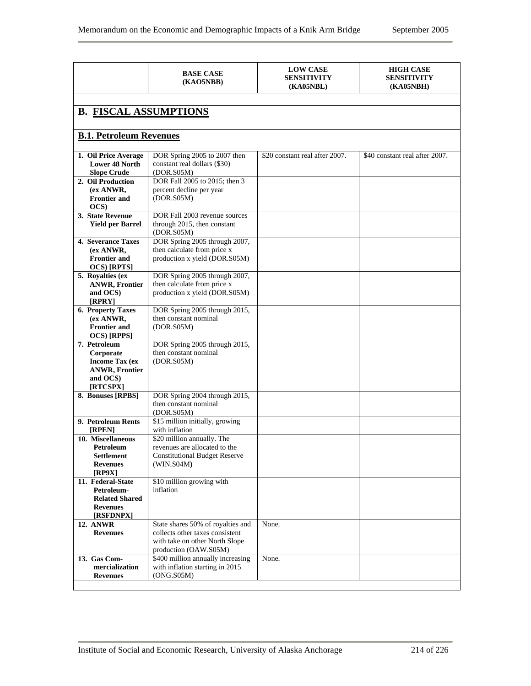|                                                                                                      | <b>BASE CASE</b><br>(KAO5NBB)                                                                                                   | <b>LOW CASE</b><br><b>SENSITIVITY</b><br><b>(KA05NBL)</b> | <b>HIGH CASE</b><br><b>SENSITIVITY</b><br><b>(KA05NBH)</b> |  |  |  |  |  |  |
|------------------------------------------------------------------------------------------------------|---------------------------------------------------------------------------------------------------------------------------------|-----------------------------------------------------------|------------------------------------------------------------|--|--|--|--|--|--|
|                                                                                                      |                                                                                                                                 |                                                           |                                                            |  |  |  |  |  |  |
| <b>B. FISCAL ASSUMPTIONS</b>                                                                         |                                                                                                                                 |                                                           |                                                            |  |  |  |  |  |  |
| <b>B.1. Petroleum Revenues</b>                                                                       |                                                                                                                                 |                                                           |                                                            |  |  |  |  |  |  |
| 1. Oil Price Average<br><b>Lower 48 North</b><br><b>Slope Crude</b>                                  | DOR Spring 2005 to 2007 then<br>constant real dollars (\$30)<br>(DOR.S05M)                                                      | \$20 constant real after 2007.                            | \$40 constant real after 2007.                             |  |  |  |  |  |  |
| 2. Oil Production<br>(ex ANWR,<br><b>Frontier and</b><br>OCS)                                        | DOR Fall 2005 to 2015; then 3<br>percent decline per year<br>(DOR.S05M)                                                         |                                                           |                                                            |  |  |  |  |  |  |
| 3. State Revenue<br><b>Yield per Barrel</b>                                                          | DOR Fall 2003 revenue sources<br>through 2015, then constant<br>(DOR.S05M)                                                      |                                                           |                                                            |  |  |  |  |  |  |
| <b>4. Severance Taxes</b><br>(ex ANWR,<br><b>Frontier and</b><br>OCS) [RPTS]                         | DOR Spring 2005 through 2007,<br>then calculate from price x<br>production x yield (DOR.S05M)                                   |                                                           |                                                            |  |  |  |  |  |  |
| 5. Royalties (ex<br><b>ANWR, Frontier</b><br>and OCS)<br>[RPRY]                                      | DOR Spring 2005 through 2007,<br>then calculate from price x<br>production x yield (DOR.S05M)                                   |                                                           |                                                            |  |  |  |  |  |  |
| 6. Property Taxes<br>(ex ANWR,<br><b>Frontier and</b><br>OCS) [RPPS]                                 | DOR Spring 2005 through 2015,<br>then constant nominal<br>(DOR.S05M)                                                            |                                                           |                                                            |  |  |  |  |  |  |
| 7. Petroleum<br>Corporate<br><b>Income Tax (ex)</b><br><b>ANWR, Frontier</b><br>and OCS)<br>[RTCSPX] | DOR Spring 2005 through 2015,<br>then constant nominal<br>(DOR.S05M)                                                            |                                                           |                                                            |  |  |  |  |  |  |
| 8. Bonuses [RPBS]                                                                                    | DOR Spring 2004 through 2015,<br>then constant nominal<br>(DOR.S05M)                                                            |                                                           |                                                            |  |  |  |  |  |  |
| 9. Petroleum Rents<br>[RPEN]                                                                         | \$15 million initially, growing<br>with inflation                                                                               |                                                           |                                                            |  |  |  |  |  |  |
| 10. Miscellaneous<br>Petroleum<br><b>Settlement</b><br><b>Revenues</b><br>[RP9X]                     | \$20 million annually. The<br>revenues are allocated to the<br><b>Constitutional Budget Reserve</b><br>(WIN.S04M)               |                                                           |                                                            |  |  |  |  |  |  |
| 11. Federal-State<br>Petroleum-<br><b>Related Shared</b><br><b>Revenues</b><br>[RSFDNPX]             | \$10 million growing with<br>inflation                                                                                          |                                                           |                                                            |  |  |  |  |  |  |
| <b>12. ANWR</b><br><b>Revenues</b>                                                                   | State shares 50% of royalties and<br>collects other taxes consistent<br>with take on other North Slope<br>production (OAW.S05M) | None.                                                     |                                                            |  |  |  |  |  |  |
| 13. Gas Com-<br>mercialization<br><b>Revenues</b>                                                    | \$400 million annually increasing<br>with inflation starting in 2015<br>(ONG.S05M)                                              | None.                                                     |                                                            |  |  |  |  |  |  |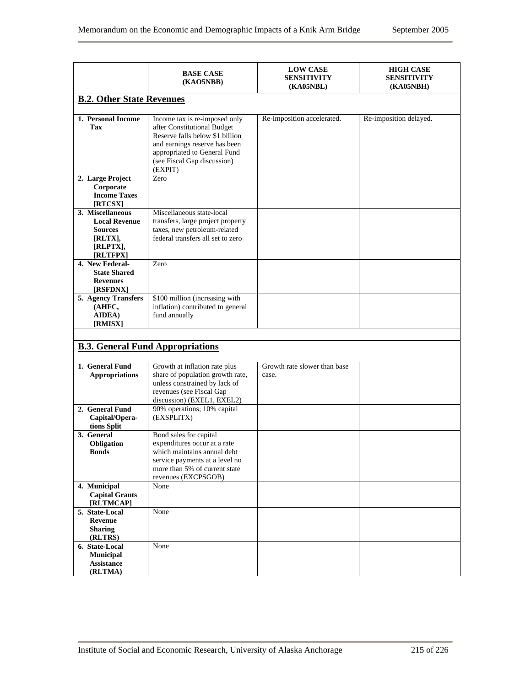|                                                                                               | <b>BASE CASE</b><br>(KAO5NBB)                                                                                                                                                                              | <b>LOW CASE</b><br><b>SENSITIVITY</b><br><b>(KA05NBL)</b> | <b>HIGH CASE</b><br><b>SENSITIVITY</b><br><b>(KA05NBH)</b> |
|-----------------------------------------------------------------------------------------------|------------------------------------------------------------------------------------------------------------------------------------------------------------------------------------------------------------|-----------------------------------------------------------|------------------------------------------------------------|
| <b>B.2. Other State Revenues</b>                                                              |                                                                                                                                                                                                            |                                                           |                                                            |
| 1. Personal Income<br>Tax                                                                     | Income tax is re-imposed only<br>after Constitutional Budget<br>Reserve falls below \$1 billion<br>and earnings reserve has been<br>appropriated to General Fund<br>(see Fiscal Gap discussion)<br>(EXPIT) | Re-imposition accelerated.                                | Re-imposition delayed.                                     |
| 2. Large Project<br>Corporate<br><b>Income Taxes</b><br>[RTCSX]                               | Zero                                                                                                                                                                                                       |                                                           |                                                            |
| 3. Miscellaneous<br><b>Local Revenue</b><br><b>Sources</b><br>[RLTX],<br>[RLPTX],<br>[RLTFPX] | Miscellaneous state-local<br>transfers, large project property<br>taxes, new petroleum-related<br>federal transfers all set to zero                                                                        |                                                           |                                                            |
| 4. New Federal-<br><b>State Shared</b><br><b>Revenues</b><br>[RSFDNX]                         | Zero                                                                                                                                                                                                       |                                                           |                                                            |
| 5. Agency Transfers<br>(AHFC,<br>AIDEA)<br>[RMISX]                                            | \$100 million (increasing with<br>inflation) contributed to general<br>fund annually                                                                                                                       |                                                           |                                                            |
|                                                                                               | <b>B.3. General Fund Appropriations</b>                                                                                                                                                                    |                                                           |                                                            |
| 1. General Fund<br><b>Appropriations</b>                                                      | Growth at inflation rate plus<br>share of population growth rate,<br>unless constrained by lack of<br>revenues (see Fiscal Gap<br>discussion) (EXEL1, EXEL2)                                               | Growth rate slower than base<br>case.                     |                                                            |
| 2. General Fund<br>Capital/Opera-<br>tions Split                                              | 90% operations; 10% capital<br>(EXSPLITX)                                                                                                                                                                  |                                                           |                                                            |
| 3. General<br>Obligation<br><b>Bonds</b>                                                      | Bond sales for capital<br>expenditures occur at a rate<br>which maintains annual debt<br>service payments at a level no<br>more than 5% of current state<br>revenues (EXCPSGOB)                            |                                                           |                                                            |
| 4. Municipal<br><b>Capital Grants</b><br>[RLTMCAP]                                            | None                                                                                                                                                                                                       |                                                           |                                                            |
| 5. State-Local<br><b>Revenue</b><br><b>Sharing</b><br>(RLTRS)                                 | None                                                                                                                                                                                                       |                                                           |                                                            |
| 6. State-Local<br><b>Municipal</b><br><b>Assistance</b><br>(RLTMA)                            | None                                                                                                                                                                                                       |                                                           |                                                            |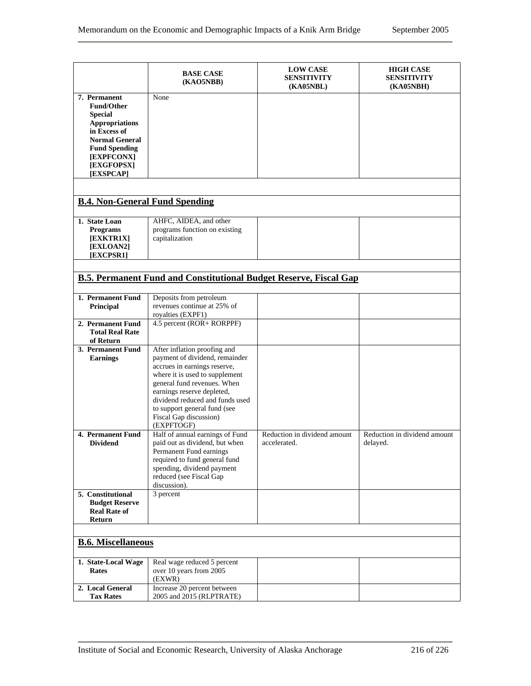|                                                                                                                                                             | <b>BASE CASE</b><br>(KAO5NBB)                                                                                                                                                                                                                                                                            | <b>LOW CASE</b><br><b>SENSITIVITY</b><br>(KA05NBL) | <b>HIGH CASE</b><br><b>SENSITIVITY</b><br><b>(KA05NBH)</b> |
|-------------------------------------------------------------------------------------------------------------------------------------------------------------|----------------------------------------------------------------------------------------------------------------------------------------------------------------------------------------------------------------------------------------------------------------------------------------------------------|----------------------------------------------------|------------------------------------------------------------|
| 7. Permanent<br><b>Fund/Other</b><br><b>Special</b><br><b>Appropriations</b><br>in Excess of<br><b>Normal General</b><br><b>Fund Spending</b><br>[EXPFCONX] | None                                                                                                                                                                                                                                                                                                     |                                                    |                                                            |
| [EXGFOPSX]<br>[EXSPCAP]                                                                                                                                     |                                                                                                                                                                                                                                                                                                          |                                                    |                                                            |
| <b>B.4. Non-General Fund Spending</b>                                                                                                                       |                                                                                                                                                                                                                                                                                                          |                                                    |                                                            |
| 1. State Loan<br><b>Programs</b><br>[EXKTR1X]<br>[EXLOAN2]<br>[EXCPSR1]                                                                                     | AHFC, AIDEA, and other<br>programs function on existing<br>capitalization                                                                                                                                                                                                                                |                                                    |                                                            |
|                                                                                                                                                             | <b>B.5. Permanent Fund and Constitutional Budget Reserve, Fiscal Gap</b>                                                                                                                                                                                                                                 |                                                    |                                                            |
| 1. Permanent Fund<br>Principal                                                                                                                              | Deposits from petroleum<br>revenues continue at 25% of<br>royalties (EXPF1)                                                                                                                                                                                                                              |                                                    |                                                            |
| 2. Permanent Fund<br><b>Total Real Rate</b><br>of Return                                                                                                    | 4.5 percent (ROR+ RORPPF)                                                                                                                                                                                                                                                                                |                                                    |                                                            |
| 3. Permanent Fund<br><b>Earnings</b>                                                                                                                        | After inflation proofing and<br>payment of dividend, remainder<br>accrues in earnings reserve,<br>where it is used to supplement<br>general fund revenues. When<br>earnings reserve depleted,<br>dividend reduced and funds used<br>to support general fund (see<br>Fiscal Gap discussion)<br>(EXPFTOGF) |                                                    |                                                            |
| 4. Permanent Fund<br><b>Dividend</b>                                                                                                                        | Half of annual earnings of Fund<br>paid out as dividend, but when<br>Permanent Fund earnings<br>required to fund general fund<br>spending, dividend payment<br>reduced (see Fiscal Gap<br>discussion).                                                                                                   | Reduction in dividend amount<br>accelerated.       | Reduction in dividend amount<br>delayed.                   |
| 5. Constitutional<br><b>Budget Reserve</b><br><b>Real Rate of</b><br>Return                                                                                 | 3 percent                                                                                                                                                                                                                                                                                                |                                                    |                                                            |
| <b>B.6. Miscellaneous</b>                                                                                                                                   |                                                                                                                                                                                                                                                                                                          |                                                    |                                                            |
| 1. State-Local Wage<br>Rates                                                                                                                                | Real wage reduced 5 percent<br>over 10 years from 2005<br>(EXWR)                                                                                                                                                                                                                                         |                                                    |                                                            |
| 2. Local General<br><b>Tax Rates</b>                                                                                                                        | Increase 20 percent between<br>2005 and 2015 (RLPTRATE)                                                                                                                                                                                                                                                  |                                                    |                                                            |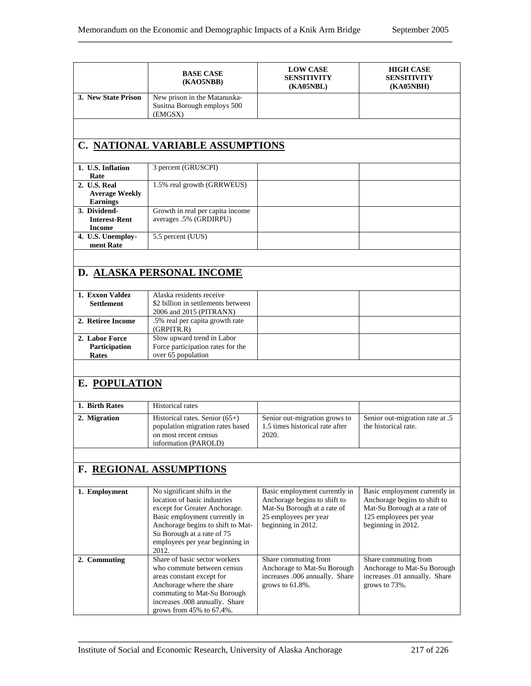|                                                          | <b>BASE CASE</b><br>(KAO5NBB)                                                                                                                                                                                                                 | <b>LOW CASE</b><br><b>SENSITIVITY</b><br><b>(KA05NBL)</b>                                                                                   | <b>HIGH CASE</b><br><b>SENSITIVITY</b><br><b>(KA05NBH)</b>                                                                                   |
|----------------------------------------------------------|-----------------------------------------------------------------------------------------------------------------------------------------------------------------------------------------------------------------------------------------------|---------------------------------------------------------------------------------------------------------------------------------------------|----------------------------------------------------------------------------------------------------------------------------------------------|
| 3. New State Prison                                      | New prison in the Matanuska-<br>Susitna Borough employs 500<br>(EMGSX)                                                                                                                                                                        |                                                                                                                                             |                                                                                                                                              |
|                                                          |                                                                                                                                                                                                                                               |                                                                                                                                             |                                                                                                                                              |
|                                                          | <b>C. NATIONAL VARIABLE ASSUMPTIONS</b>                                                                                                                                                                                                       |                                                                                                                                             |                                                                                                                                              |
| 1. U.S. Inflation<br>Rate                                | 3 percent (GRUSCPI)                                                                                                                                                                                                                           |                                                                                                                                             |                                                                                                                                              |
| 2. U.S. Real<br><b>Average Weekly</b><br><b>Earnings</b> | 1.5% real growth (GRRWEUS)                                                                                                                                                                                                                    |                                                                                                                                             |                                                                                                                                              |
| 3. Dividend-<br><b>Interest-Rent</b><br><b>Income</b>    | Growth in real per capita income<br>averages .5% (GRDIRPU)                                                                                                                                                                                    |                                                                                                                                             |                                                                                                                                              |
| 4. U.S. Unemploy-<br>ment Rate                           | 5.5 percent (UUS)                                                                                                                                                                                                                             |                                                                                                                                             |                                                                                                                                              |
|                                                          |                                                                                                                                                                                                                                               |                                                                                                                                             |                                                                                                                                              |
|                                                          | D. ALASKA PERSONAL INCOME                                                                                                                                                                                                                     |                                                                                                                                             |                                                                                                                                              |
| 1. Exxon Valdez                                          | Alaska residents receive                                                                                                                                                                                                                      |                                                                                                                                             |                                                                                                                                              |
| <b>Settlement</b>                                        | \$2 billion in settlements between<br>2006 and 2015 (PITRANX)                                                                                                                                                                                 |                                                                                                                                             |                                                                                                                                              |
| 2. Retiree Income                                        | .5% real per capita growth rate<br>(GRPITR.R)                                                                                                                                                                                                 |                                                                                                                                             |                                                                                                                                              |
| 2. Labor Force<br>Participation<br>Rates                 | Slow upward trend in Labor<br>Force participation rates for the<br>over 65 population                                                                                                                                                         |                                                                                                                                             |                                                                                                                                              |
|                                                          |                                                                                                                                                                                                                                               |                                                                                                                                             |                                                                                                                                              |
| E. POPULATION                                            |                                                                                                                                                                                                                                               |                                                                                                                                             |                                                                                                                                              |
| 1. Birth Rates                                           | <b>Historical rates</b>                                                                                                                                                                                                                       |                                                                                                                                             |                                                                                                                                              |
| 2. Migration                                             | Historical rates. Senior (65+)<br>population migration rates based<br>on most recent census<br>information (PAROLD)                                                                                                                           | Senior out-migration grows to<br>1.5 times historical rate after<br>2020.                                                                   | Senior out-migration rate at .5<br>the historical rate.                                                                                      |
|                                                          |                                                                                                                                                                                                                                               |                                                                                                                                             |                                                                                                                                              |
|                                                          | F. REGIONAL ASSUMPTIONS                                                                                                                                                                                                                       |                                                                                                                                             |                                                                                                                                              |
| 1. Employment                                            | No significant shifts in the<br>location of basic industries<br>except for Greater Anchorage.<br>Basic employment currently in<br>Anchorage begins to shift to Mat-<br>Su Borough at a rate of 75<br>employees per year beginning in<br>2012. | Basic employment currently in<br>Anchorage begins to shift to<br>Mat-Su Borough at a rate of<br>25 employees per year<br>beginning in 2012. | Basic employment currently in<br>Anchorage begins to shift to<br>Mat-Su Borough at a rate of<br>125 employees per year<br>beginning in 2012. |
| 2. Commuting                                             | Share of basic sector workers<br>who commute between census<br>areas constant except for<br>Anchorage where the share<br>commuting to Mat-Su Borough<br>increases .008 annually. Share<br>grows from 45% to 67.4%.                            | Share commuting from<br>Anchorage to Mat-Su Borough<br>increases .006 annually. Share<br>grows to $61.8\%$ .                                | Share commuting from<br>Anchorage to Mat-Su Borough<br>increases .01 annually. Share<br>grows to 73%.                                        |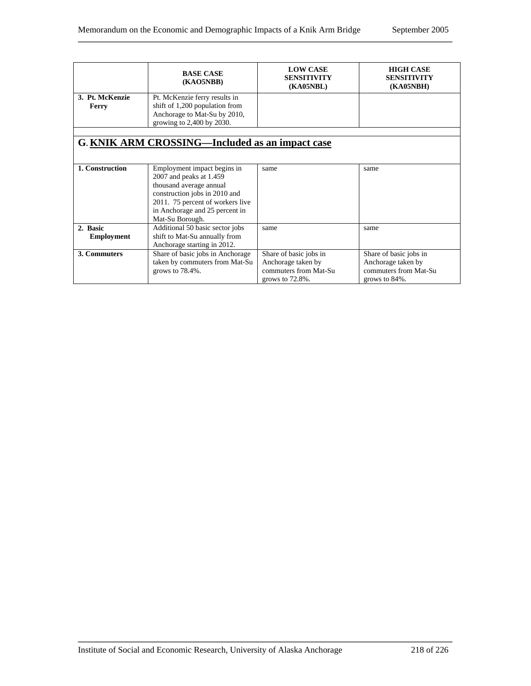|                 | <b>BASE CASE</b><br>(KAO5NBB)                                                     | <b>LOW CASE</b><br><b>SENSITIVITY</b><br><b>(KA05NBL)</b> | <b>HIGH CASE</b><br><b>SENSITIVITY</b><br><b>(KA05NBH)</b> |  |
|-----------------|-----------------------------------------------------------------------------------|-----------------------------------------------------------|------------------------------------------------------------|--|
| 3. Pt. McKenzie | Pt. McKenzie ferry results in                                                     |                                                           |                                                            |  |
| Ferry           | shift of 1,200 population from                                                    |                                                           |                                                            |  |
|                 | Anchorage to Mat-Su by 2010,                                                      |                                                           |                                                            |  |
|                 | growing to 2,400 by 2030.                                                         |                                                           |                                                            |  |
|                 |                                                                                   |                                                           |                                                            |  |
|                 | G. KNIK ARM CROSSING—Included as an impact case                                   |                                                           |                                                            |  |
|                 |                                                                                   |                                                           |                                                            |  |
|                 |                                                                                   |                                                           |                                                            |  |
| 1. Construction | Employment impact begins in                                                       | same                                                      | same                                                       |  |
|                 | 2007 and peaks at 1.459                                                           |                                                           |                                                            |  |
|                 | thousand average annual                                                           |                                                           |                                                            |  |
|                 | construction jobs in 2010 and                                                     |                                                           |                                                            |  |
|                 | 2011. 75 percent of workers live                                                  |                                                           |                                                            |  |
|                 | in Anchorage and 25 percent in                                                    |                                                           |                                                            |  |
|                 | Mat-Su Borough.                                                                   |                                                           |                                                            |  |
| 2. Basic        | Additional 50 basic sector jobs                                                   | same                                                      | same                                                       |  |
|                 |                                                                                   |                                                           |                                                            |  |
|                 | shift to Mat-Su annually from<br><b>Employment</b><br>Anchorage starting in 2012. |                                                           |                                                            |  |
| 3. Commuters    | Share of basic jobs in Anchorage                                                  | Share of basic jobs in                                    | Share of basic jobs in                                     |  |
|                 | taken by commuters from Mat-Su                                                    | Anchorage taken by                                        | Anchorage taken by                                         |  |
|                 | grows to $78.4\%$ .                                                               | commuters from Mat-Su                                     | commuters from Mat-Su                                      |  |
|                 |                                                                                   | grows to $72.8\%$ .                                       | grows to $84\%$ .                                          |  |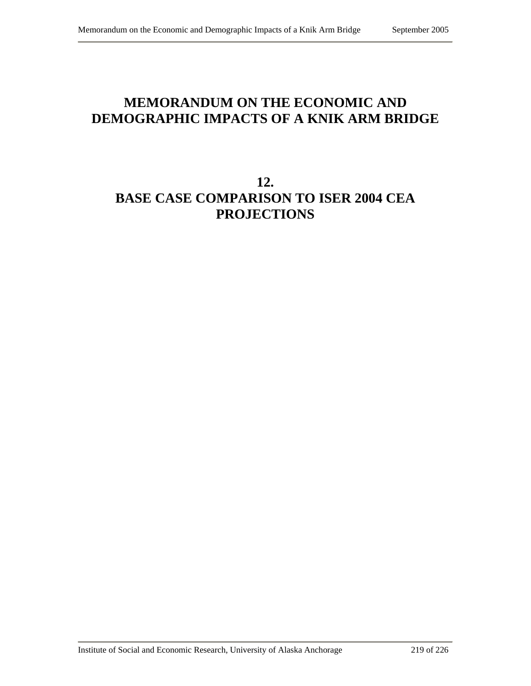## **MEMORANDUM ON THE ECONOMIC AND DEMOGRAPHIC IMPACTS OF A KNIK ARM BRIDGE**

## **12. BASE CASE COMPARISON TO ISER 2004 CEA PROJECTIONS**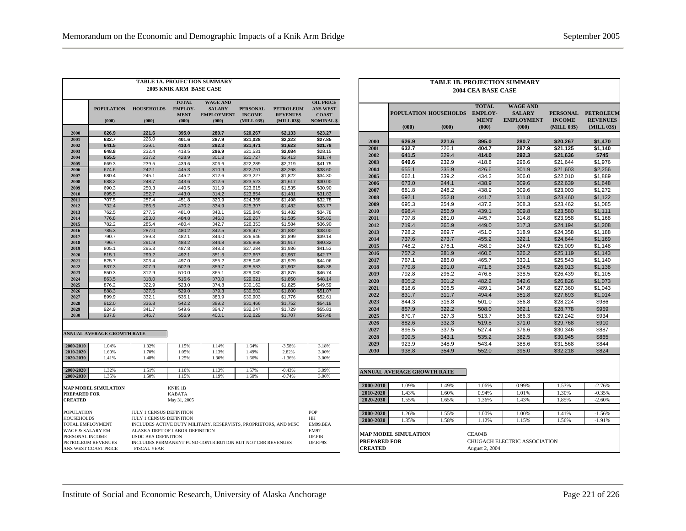| <b>TABLE 1A. PROJECTION SUMMARY</b><br><b>2005 KNIK ARM BASE CASE</b>                                                                                                                                                                                                                                                                                                                                                                                    |                                                                                                                                                     |                |                      |                                                           |                              |                                |                                   |  |
|----------------------------------------------------------------------------------------------------------------------------------------------------------------------------------------------------------------------------------------------------------------------------------------------------------------------------------------------------------------------------------------------------------------------------------------------------------|-----------------------------------------------------------------------------------------------------------------------------------------------------|----------------|----------------------|-----------------------------------------------------------|------------------------------|--------------------------------|-----------------------------------|--|
|                                                                                                                                                                                                                                                                                                                                                                                                                                                          |                                                                                                                                                     |                |                      |                                                           |                              |                                |                                   |  |
|                                                                                                                                                                                                                                                                                                                                                                                                                                                          | <b>TOTAL</b><br><b>WAGE AND</b><br><b>POPULATION</b><br><b>HOUSEHOLDS</b><br><b>EMPLOY-</b><br><b>SALARY</b><br><b>PERSONAL</b><br><b>PETROLEUM</b> |                |                      |                                                           |                              |                                |                                   |  |
|                                                                                                                                                                                                                                                                                                                                                                                                                                                          | (000)                                                                                                                                               | (000)          | <b>MENT</b><br>(000) | <b>EMPLOYMENT</b><br>(000)                                | <b>INCOME</b><br>(MILL 03\$) | <b>REVENUES</b><br>(MILL 03\$) | <b>COAST</b><br><b>NOMINAL</b> \$ |  |
| 2000                                                                                                                                                                                                                                                                                                                                                                                                                                                     | 626.9                                                                                                                                               | 221.6          | 395.0                | 280.7                                                     | \$20,267                     | \$2,133                        | \$23.27                           |  |
| 2001                                                                                                                                                                                                                                                                                                                                                                                                                                                     | 632.7                                                                                                                                               | 226.0          | 401.6                | 287.9                                                     | \$21,028                     | \$2,322                        | \$27.85                           |  |
| 2002                                                                                                                                                                                                                                                                                                                                                                                                                                                     | 641.5                                                                                                                                               | 229.1          | 410.4                | 292.3                                                     | \$21,471                     | \$1,623                        | \$21.78                           |  |
| 2003                                                                                                                                                                                                                                                                                                                                                                                                                                                     | 648.8                                                                                                                                               | 232.4          | 418.5                | 296.9                                                     | \$21.531                     | \$2.084                        | \$28.15                           |  |
| 2004                                                                                                                                                                                                                                                                                                                                                                                                                                                     | 655.5                                                                                                                                               | 237.2          | 428.9                | 301.8                                                     | \$21,727                     | \$2,413                        | \$31.74                           |  |
| 2005                                                                                                                                                                                                                                                                                                                                                                                                                                                     | 669.3                                                                                                                                               | 239.5          | 439.6                | 306.6                                                     | \$22,289                     | \$2,719                        | \$41.75                           |  |
| 2006                                                                                                                                                                                                                                                                                                                                                                                                                                                     | 674.6                                                                                                                                               | 242.1          | 445.3                | 310.9                                                     | \$22,751                     | \$2,268                        | \$38.60                           |  |
| 2007                                                                                                                                                                                                                                                                                                                                                                                                                                                     | 680.4                                                                                                                                               | 245.1          | 445.2                | 312.6                                                     | \$23,227                     | \$1,822                        | \$34.30                           |  |
| 2008                                                                                                                                                                                                                                                                                                                                                                                                                                                     | 688.2                                                                                                                                               | 248.7          | 443.6                | 312.6                                                     | \$23,523                     | \$1,617                        | \$30.00                           |  |
| 2009                                                                                                                                                                                                                                                                                                                                                                                                                                                     | 690.3                                                                                                                                               | 250.3          | 440.5                | 311.9                                                     | \$23,615                     | \$1,535                        | \$30.90                           |  |
| 2010                                                                                                                                                                                                                                                                                                                                                                                                                                                     | 695.5                                                                                                                                               | 252.7          | 443.0                | 314.2                                                     | \$23,854                     | \$1,481                        | \$31.83                           |  |
| 2011                                                                                                                                                                                                                                                                                                                                                                                                                                                     | 707.5                                                                                                                                               | 257.4          | 451.8                | 320.9                                                     | \$24,368                     | \$1,498                        | \$32.78                           |  |
| 2012                                                                                                                                                                                                                                                                                                                                                                                                                                                     | 732.4                                                                                                                                               | 266.6          | 470.2                | 334.9                                                     | \$25,307                     | \$1,482                        | \$33.77                           |  |
| 2013                                                                                                                                                                                                                                                                                                                                                                                                                                                     | 762.5                                                                                                                                               | 277.5          | 481.0                | 343.1                                                     | \$25,840                     | \$1,482                        | \$34.78                           |  |
| 2014                                                                                                                                                                                                                                                                                                                                                                                                                                                     | 776.8                                                                                                                                               | 283.0          | 484.8                | 346.0                                                     | \$26,267                     | \$1,585                        | \$35.82                           |  |
| 2015                                                                                                                                                                                                                                                                                                                                                                                                                                                     | 782.2                                                                                                                                               | 285.4          | 480.4                | 342.7                                                     | \$26,353                     | \$1,584                        | \$36.90                           |  |
| 2016                                                                                                                                                                                                                                                                                                                                                                                                                                                     | 785.3                                                                                                                                               | 287.0          | 480.2                | 342.5                                                     | \$26,477                     | \$1,882                        | \$38.00                           |  |
| 2017                                                                                                                                                                                                                                                                                                                                                                                                                                                     | 790.7                                                                                                                                               | 289.3          | 482.1                | 344.0                                                     | \$26,646                     | \$1,899                        | \$39.14                           |  |
| 2018<br>2019                                                                                                                                                                                                                                                                                                                                                                                                                                             | 796.7                                                                                                                                               | 291.9          | 483.2                | 344.8                                                     | \$26,868                     | \$1,917                        | \$40.32                           |  |
| 2020                                                                                                                                                                                                                                                                                                                                                                                                                                                     | 805.1<br>815.1                                                                                                                                      | 295.3<br>299.2 | 487.8<br>492.1       | 348.3<br>351.5                                            | \$27,284                     | \$1,936<br>\$1,957             | \$41.53<br>\$42.77                |  |
| 2021                                                                                                                                                                                                                                                                                                                                                                                                                                                     | 825.7                                                                                                                                               | 303.4          | 497.0                | 355.2                                                     | \$27,667                     |                                | \$44.06                           |  |
| 2022                                                                                                                                                                                                                                                                                                                                                                                                                                                     | 837.3                                                                                                                                               | 307.9          | 502.9                | 359.7                                                     | \$28,049                     | \$1,929                        | \$45.38                           |  |
| 2023                                                                                                                                                                                                                                                                                                                                                                                                                                                     | 850.3                                                                                                                                               | 312.9          | 510.0                | 365.1                                                     | \$28,533                     | \$1,902<br>\$1,876             | \$46.74                           |  |
| 2024                                                                                                                                                                                                                                                                                                                                                                                                                                                     | 863.5                                                                                                                                               | 318.0          | 516.6                | 370.0                                                     | \$29,080<br>\$29,621         | \$1,850                        | \$48.14                           |  |
| 2025                                                                                                                                                                                                                                                                                                                                                                                                                                                     | 876.2                                                                                                                                               | 322.9          | 523.0                | 374.8                                                     | \$30,162                     | \$1,825                        | \$49.59                           |  |
| 2026                                                                                                                                                                                                                                                                                                                                                                                                                                                     | 888.3                                                                                                                                               | 327.6          | 529.0                | 379.3                                                     | \$30,502                     | \$1,800                        | \$51.07                           |  |
| 2027                                                                                                                                                                                                                                                                                                                                                                                                                                                     | 899.9                                                                                                                                               | 332.1          | 535.1                | 383.9                                                     | \$30,903                     | \$1,776                        | \$52.61                           |  |
| 2028                                                                                                                                                                                                                                                                                                                                                                                                                                                     | 912.0                                                                                                                                               | 336.8          | 542.2                | 389.2                                                     | \$31,466                     | \$1,752                        | \$54.18                           |  |
| 2029                                                                                                                                                                                                                                                                                                                                                                                                                                                     | 924.9                                                                                                                                               | 341.7          | 549.6                | 394.7                                                     | \$32,047                     | \$1,729                        | \$55.81                           |  |
| 2030                                                                                                                                                                                                                                                                                                                                                                                                                                                     | 937.8                                                                                                                                               | 346.7          | 556.9                | 400.1                                                     | \$32,629                     | \$1,707                        | \$57.48                           |  |
|                                                                                                                                                                                                                                                                                                                                                                                                                                                          | <b>ANNUAL AVERAGE GROWTH RATE</b>                                                                                                                   |                |                      |                                                           |                              |                                |                                   |  |
| 2000-2010                                                                                                                                                                                                                                                                                                                                                                                                                                                | 1.04%                                                                                                                                               | 1.32%          | 1.15%                | 1.14%                                                     | 1.64%                        | $-3.58%$                       | 3.18%                             |  |
| 2010-2020                                                                                                                                                                                                                                                                                                                                                                                                                                                | 1.60%                                                                                                                                               | 1.70%          | 1.05%                | 1.13%                                                     | 1.49%                        | 2.82%                          | 3.00%                             |  |
| 2020-2030                                                                                                                                                                                                                                                                                                                                                                                                                                                | 1.41%                                                                                                                                               | 1.48%          | 1.25%                | 1.30%                                                     | 1.66%                        | $-1.36%$                       | 3.00%                             |  |
| 2000-2020                                                                                                                                                                                                                                                                                                                                                                                                                                                | 1.32%                                                                                                                                               | 1.51%          | 1.10%                | 1.13%                                                     | 1.57%                        | $-0.43%$                       | 3.09%                             |  |
| 2000-2030                                                                                                                                                                                                                                                                                                                                                                                                                                                | 1.35%                                                                                                                                               | 1.50%          | 1.15%                | 1.19%                                                     | 1.60%                        | $-0.74%$                       | 3.06%                             |  |
| <b>MAP MODEL SIMULATION</b><br><b>KNIK1B</b><br><b>PREPARED FOR</b><br><b>KABATA</b><br><b>CREATED</b><br>May 31, 2005                                                                                                                                                                                                                                                                                                                                   |                                                                                                                                                     |                |                      |                                                           |                              |                                |                                   |  |
| <b>POPULATION</b><br><b>JULY 1 CENSUS DEFINITION</b><br><b>JULY 1 CENSUS DEFINITION</b><br><b>HOUSEHOLDS</b><br>TOTAL EMPLOYMENT<br>INCLUDES ACTIVE DUTY MILITARY, RESERVISTS, PROPRIETORS, AND MISC<br>ALASKA DEPT OF LABOR DEFINITION<br><b>WAGE &amp; SALARY EM</b><br>PERSONAL INCOME<br><b>USDC BEA DEFINITION</b><br>PETROLEUM REVENUES<br>INCLUDES PERMANENT FUND CONTRIBUTION BUT NOT CBR REVENUES<br>ANS WEST COAST PRICE<br><b>FISCAL YEAR</b> |                                                                                                                                                     |                |                      | POP<br>HH<br>EM99.BEA<br><b>EM97</b><br>DF.PIB<br>DF.RP9S |                              |                                |                                   |  |

| TABLE 1B. PROJECTION SUMMARY<br><b>2004 CEA BASE CASE</b> |                                   |                                |                                                        |                                                                |                                                 |                                                    |  |  |
|-----------------------------------------------------------|-----------------------------------|--------------------------------|--------------------------------------------------------|----------------------------------------------------------------|-------------------------------------------------|----------------------------------------------------|--|--|
|                                                           | (000)                             | POPULATION HOUSEHOLDS<br>(000) | <b>TOTAL</b><br><b>EMPLOY-</b><br><b>MENT</b><br>(000) | <b>WAGE AND</b><br><b>SALARY</b><br><b>EMPLOYMENT</b><br>(000) | <b>PERSONAL</b><br><b>INCOME</b><br>(MILL 03\$) | <b>PETROLEUM</b><br><b>REVENUES</b><br>(MILL 03\$) |  |  |
|                                                           |                                   |                                |                                                        |                                                                |                                                 |                                                    |  |  |
| 2000                                                      | 626.9                             | 221.6                          | 395.0                                                  | 280.7                                                          | \$20,267                                        | \$1,470                                            |  |  |
| 2001                                                      | 632.7                             | 226.1                          | 404.7                                                  | 287.9                                                          | \$21,125                                        | \$1,140                                            |  |  |
| 2002                                                      | 641.5                             | 229.4                          | 414.0                                                  | 292.3                                                          | \$21,636                                        | \$745                                              |  |  |
| 2003                                                      | 649.6                             | 232.9                          | 418.8                                                  | 296.6                                                          | \$21,644                                        | \$1,976                                            |  |  |
| 2004                                                      | 655.1                             | 235.9                          | 426.6                                                  | 301.9                                                          | \$21,603                                        | \$2,256                                            |  |  |
| 2005                                                      | 662.1                             | 239.2                          | 434.2                                                  | 306.0                                                          | \$22,010                                        | \$1,889                                            |  |  |
| 2006                                                      | 673.0                             | 244.1                          | 438.9                                                  | 309.6                                                          | \$22,639                                        | \$1,648                                            |  |  |
| 2007                                                      | 681.8                             | 248.2                          | 438.9                                                  | 309.6                                                          | \$23,003                                        | \$1,272                                            |  |  |
| 2008                                                      | 692.1                             | 252.8                          | 441.7                                                  | 311.8                                                          | \$23,460                                        | \$1,122                                            |  |  |
| 2009                                                      | 695.3                             | 254.9                          | 437.2                                                  | 308.3                                                          | \$23,462                                        | \$1,085                                            |  |  |
| 2010                                                      | 698.4                             | 256.9                          | 439.1                                                  | 309.8                                                          | \$23,580                                        | \$1,111                                            |  |  |
| 2011                                                      | 707.8                             | 261.0                          | 445.7                                                  | 314.8                                                          | \$23,958                                        | \$1,168                                            |  |  |
| 2012                                                      | 719.4                             | 265.9                          | 449.0                                                  | 317.3                                                          | \$24,194                                        | \$1,208                                            |  |  |
| 2013                                                      | 728.2                             | 269.7                          | 451.0                                                  | 318.9                                                          | \$24.358                                        | \$1,188                                            |  |  |
| 2014                                                      | 737.6                             | 273.7                          | 455.2                                                  | 322.1                                                          | \$24,644                                        | \$1,169                                            |  |  |
| 2015                                                      | 748.2                             | 278.1                          | 458.9                                                  | 324.9                                                          | \$25,009                                        | \$1,148                                            |  |  |
| 2016                                                      | 757.2                             | 281.9                          | 460.6                                                  | 326.2                                                          | \$25,119                                        | \$1,143                                            |  |  |
| 2017                                                      | 767.1                             | 286.0                          | 465.7                                                  | 330.1                                                          | \$25,543<br>\$26,013<br>\$26.439                | \$1,140<br>\$1,138<br>\$1,105                      |  |  |
| 2018                                                      | 779.8                             | 291.0                          | 471.6                                                  | 334.5                                                          |                                                 |                                                    |  |  |
| 2019                                                      | 792.8                             | 296.2                          | 476.8                                                  | 338.5                                                          |                                                 |                                                    |  |  |
| 2020                                                      | 805.2                             | 301.2                          | 482.2                                                  | 342.6                                                          | \$26,826                                        | \$1,073                                            |  |  |
| 2021                                                      | 818.6                             | 306.5                          | 489.1                                                  | 347.8                                                          | \$27,360                                        | \$1,043                                            |  |  |
| 2022                                                      | 831.7                             | 311.7                          | 494.4                                                  | 351.8<br>\$27,693                                              |                                                 | \$1,014                                            |  |  |
| 2023                                                      | 844.3                             | 316.8                          | 501.0                                                  | 356.8                                                          | \$28,224                                        | \$986                                              |  |  |
| 2024                                                      | 857.9                             | 322.2                          | 508.0                                                  | 362.1                                                          | \$28,778                                        | \$959                                              |  |  |
| 2025                                                      | 870.7                             | 327.3                          | 513.7                                                  | 366.3                                                          | \$29,242                                        | \$934                                              |  |  |
| 2026                                                      | 882.6                             | 332.3                          | 519.8                                                  | 371.0                                                          | \$29,768                                        | \$910                                              |  |  |
| 2027                                                      | 895.5                             | 337.5                          | 527.4                                                  | 376.6                                                          | \$30,346                                        | \$887                                              |  |  |
| 2028                                                      | 909.5                             | 343.1                          | 535.2                                                  | 382.5                                                          | \$30,945                                        | \$865                                              |  |  |
| 2029                                                      | 923.9                             | 348.9                          | 543.4                                                  | 388.6                                                          | \$31.568                                        | \$844                                              |  |  |
| 2030                                                      | 938.8                             | 354.9                          | 552.0                                                  | 395.0                                                          | \$32,218                                        | \$824                                              |  |  |
|                                                           |                                   |                                |                                                        |                                                                |                                                 |                                                    |  |  |
|                                                           | <b>ANNUAL AVERAGE GROWTH RATE</b> |                                |                                                        |                                                                |                                                 |                                                    |  |  |
| 2000-2010                                                 | 1.09%                             | 1.49%                          | 1.06%                                                  | 0.99%                                                          | 1.53%                                           | $-2.76%$                                           |  |  |
| 2010-2020                                                 | 1.43%                             | 1.60%                          | 0.94%                                                  | 1.01%                                                          | 1.30%                                           | $-0.35%$                                           |  |  |
| 2020-2030                                                 | 1.55%                             | 1.65%                          | 1.36%                                                  | 1.43%                                                          | 1.85%                                           | $-2.60%$                                           |  |  |
|                                                           |                                   |                                |                                                        |                                                                |                                                 |                                                    |  |  |
| 2000-2020                                                 | 1.26%                             | 1.55%                          | 1.00%                                                  | 1.00%                                                          | 1.41%                                           | $-1.56%$                                           |  |  |
| 2000-2030                                                 | 1.35%                             | 1.58%                          | 1.12%                                                  | 1.15%                                                          | 1.56%                                           | $-1.91%$                                           |  |  |
|                                                           | <b>MAP MODEL SIMULATION</b>       |                                | CEA04B                                                 |                                                                |                                                 |                                                    |  |  |
| <b>PREPARED FOR</b>                                       |                                   |                                |                                                        | CHUGACH ELECTRIC ASSOCIATION                                   |                                                 |                                                    |  |  |
| <b>CREATED</b>                                            |                                   |                                | <b>August 2, 2004</b>                                  |                                                                |                                                 |                                                    |  |  |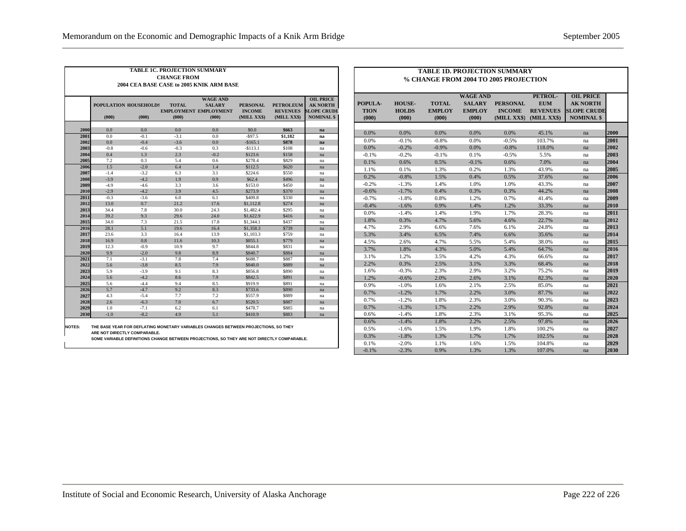| <b>TABLE 1C. PROJECTION SUMMARY</b><br><b>CHANGE FROM</b><br>2004 CEA BASE CASE to 2005 KNIK ARM BASE |                                                                                                                                                                                                                                                                                                                                          |               |               |            |                      |                |          |  |  |  |
|-------------------------------------------------------------------------------------------------------|------------------------------------------------------------------------------------------------------------------------------------------------------------------------------------------------------------------------------------------------------------------------------------------------------------------------------------------|---------------|---------------|------------|----------------------|----------------|----------|--|--|--|
|                                                                                                       | <b>WAGE AND</b><br><b>OIL PRICE</b><br><b>TOTAL</b><br><b>AK NORTH</b><br>POPULATION HOUSEHOLDS<br><b>SALARY</b><br><b>PERSONAL</b><br><b>PETROLEUM</b><br><b>EMPLOYMENT EMPLOYMENT</b><br><b>INCOME</b><br><b>REVENUES</b><br><b>SLOPE CRUDE</b><br>(000)<br>(000)<br><b>NOMINAL \$</b><br>(000)<br>(000)<br>(MILL XX\$)<br>(MILL XX\$) |               |               |            |                      |                |          |  |  |  |
|                                                                                                       |                                                                                                                                                                                                                                                                                                                                          |               |               |            |                      |                |          |  |  |  |
| 2000                                                                                                  | 0.0                                                                                                                                                                                                                                                                                                                                      | 0.0           | 0.0           | 0.0        | \$0.0                | \$663          | na       |  |  |  |
| 2001                                                                                                  | 0.0                                                                                                                                                                                                                                                                                                                                      | $-0.1$        | $-3.1$        | 0.0        | $-$ \$97.5           | \$1.182        | na       |  |  |  |
| 2002                                                                                                  | 0.0                                                                                                                                                                                                                                                                                                                                      | $-0.4$        | $-3.6$        | 0.0        | $-$165.1$            | \$878          | na       |  |  |  |
| 2003                                                                                                  | $-0.8$                                                                                                                                                                                                                                                                                                                                   | $-0.6$<br>1.3 | $-0.3$<br>2.3 | 0.3        | $-$113.1$            | \$108          | na       |  |  |  |
| 2004                                                                                                  | 0.4                                                                                                                                                                                                                                                                                                                                      |               |               | $-0.2$     | \$123.6              | \$158          | na       |  |  |  |
| 2005<br>2006                                                                                          | 7.2<br>1.5                                                                                                                                                                                                                                                                                                                               | 0.3<br>$-2.0$ | 5.4<br>6.4    | 0.6<br>1.4 | \$278.4<br>\$112.5   | \$829<br>\$620 | na       |  |  |  |
| 2007                                                                                                  | $-1.4$                                                                                                                                                                                                                                                                                                                                   | $-3.2$        | 6.3           | 3.1        | \$224.6              | \$550          | na       |  |  |  |
| 2008                                                                                                  | $-3.9$                                                                                                                                                                                                                                                                                                                                   | $-4.2$        | 1.9           | 0.9        | \$62.4               | \$496          | na       |  |  |  |
| 2009                                                                                                  | $-4.9$                                                                                                                                                                                                                                                                                                                                   | $-4.6$        | 3.3           | 3.6        | \$153.0              | \$450          | na       |  |  |  |
| 2010                                                                                                  | $-2.9$                                                                                                                                                                                                                                                                                                                                   | $-4.2$        | 3.9           | 4.5        | \$273.9              | \$370          | na       |  |  |  |
| 2011                                                                                                  | $-0.3$                                                                                                                                                                                                                                                                                                                                   | $-3.6$        | 6.0           | 6.1        |                      | \$330          | na       |  |  |  |
| 2012                                                                                                  | 13.0                                                                                                                                                                                                                                                                                                                                     | 0.7           | 21.2          | 17.6       | \$409.8<br>\$1,112.8 | \$274          | na       |  |  |  |
| 2013                                                                                                  | 34.4                                                                                                                                                                                                                                                                                                                                     | 7.8           | 30.0          | 24.3       | \$1,482.4            | \$295          | na       |  |  |  |
| 2014                                                                                                  | 39.2                                                                                                                                                                                                                                                                                                                                     | 9.3           | 29.6          | 24.0       | \$1,622.9            | \$416          | na       |  |  |  |
| 2015                                                                                                  | 34.0                                                                                                                                                                                                                                                                                                                                     | 7.3           | 21.5          | 17.8       | \$1,344.1            | \$437          | na<br>na |  |  |  |
| 2016                                                                                                  | 28.1                                                                                                                                                                                                                                                                                                                                     | 5.1           | 19.6          | 16.4       | \$1,358.3            | \$739          | na       |  |  |  |
| 2017                                                                                                  | 23.6                                                                                                                                                                                                                                                                                                                                     | 3.3           | 16.4          | 13.9       | \$1,103.3            | \$759          | na       |  |  |  |
| 2018                                                                                                  | 16.9                                                                                                                                                                                                                                                                                                                                     | 0.8           | 11.6          | 10.3       | \$855.1              | \$779          | na       |  |  |  |
| 2019                                                                                                  | 12.3                                                                                                                                                                                                                                                                                                                                     | $-0.9$        | 10.9          | 9.7        | \$844.8              | \$831          | na       |  |  |  |
| 2020                                                                                                  | 9.9                                                                                                                                                                                                                                                                                                                                      | $-2.0$        | 9.8           | 8.9        | \$840.7              | \$884          | na       |  |  |  |
| 2021                                                                                                  | 7.1                                                                                                                                                                                                                                                                                                                                      | $-3.1$        | 7.8           | 7.4        | \$688.7              | \$887          | na       |  |  |  |
| 2022                                                                                                  | 5.6                                                                                                                                                                                                                                                                                                                                      | $-3.8$        | 8.5           | 7.9        | \$840.0              | \$889          | na       |  |  |  |
| 2023                                                                                                  | 5.9                                                                                                                                                                                                                                                                                                                                      | $-3.9$        | 9.1           | 8.3        | \$856.8              | \$890          | na       |  |  |  |
| 2024                                                                                                  | 5.6                                                                                                                                                                                                                                                                                                                                      | $-4.2$        | 8.6           | 7.9        | \$842.5              | \$891          | na       |  |  |  |
| 2025                                                                                                  | 5.6                                                                                                                                                                                                                                                                                                                                      | $-4.4$        | 9.4           | 8.5        | \$919.9              | \$891          | na       |  |  |  |
| 2026                                                                                                  | 5.7                                                                                                                                                                                                                                                                                                                                      | $-4.7$        | 9.2           | 8.3        | \$733.6              | \$890          | na       |  |  |  |
| 2027                                                                                                  | 4.3                                                                                                                                                                                                                                                                                                                                      | $-5.4$        | 7.7           | 7.2        | \$557.9              | \$889          | na       |  |  |  |
| 2028                                                                                                  | 2.6                                                                                                                                                                                                                                                                                                                                      | $-6.3$        | 7.0           | 6.7        | \$520.5              | \$887          | na       |  |  |  |
| 2029                                                                                                  | 1.0                                                                                                                                                                                                                                                                                                                                      | $-7.1$        | 6.2           | 6.1        | \$478.7              | \$885          | na       |  |  |  |
| 2030                                                                                                  | $-1.0$                                                                                                                                                                                                                                                                                                                                   | $-8.2$        | 4.9           | 5.1        | \$410.9              | \$883          | na       |  |  |  |

**NOTES: THE BASE YEAR FOR DEFLATING MONETARY VARIABLES CHANGES BETWEEN PROJECTIONS, SO THEY ARE NOT DIRECTLY COMPARABLE.**

**SOME VARIABLE DEFINITIONS CHANGE BETWEEN PROJECTIONS, SO THEY ARE NOT DIRECTLY COMPARABLE.**

| <b>TABLE 1D. PROJECTION SUMMARY</b>   |                       |                        |                        |                              |                                |                                         |              |  |  |
|---------------------------------------|-----------------------|------------------------|------------------------|------------------------------|--------------------------------|-----------------------------------------|--------------|--|--|
| % CHANGE FROM 2004 TO 2005 PROJECTION |                       |                        |                        |                              |                                |                                         |              |  |  |
|                                       |                       |                        |                        |                              |                                |                                         |              |  |  |
|                                       |                       |                        | <b>WAGE AND</b>        |                              | PETROL-                        | <b>OIL PRICE</b>                        |              |  |  |
| POPULA-                               | <b>HOUSE-</b>         | <b>TOTAL</b>           | <b>SALARY</b>          | <b>PERSONAL</b>              | <b>EUM</b>                     | <b>AK NORTH</b>                         |              |  |  |
| <b>TION</b><br>(000)                  | <b>HOLDS</b><br>(000) | <b>EMPLOY</b><br>(000) | <b>EMPLOY</b><br>(000) | <b>INCOME</b><br>(MILL XX\$) | <b>REVENUES</b><br>(MILL XX\$) | <b>SLOPE CRUDE</b><br><b>NOMINAL \$</b> |              |  |  |
|                                       |                       |                        |                        |                              |                                |                                         |              |  |  |
| 0.0%                                  | 0.0%                  | 0.0%                   | 0.0%                   | 0.0%                         | 45.1%                          | na                                      | 2000         |  |  |
| 0.0%                                  | $-0.1%$               | $-0.8%$                | 0.0%                   | $-0.5%$                      | 103.7%                         | na                                      | 2001         |  |  |
| 0.0%                                  | $-0.2%$               | $-0.9%$                | 0.0%                   | $-0.8%$                      | 118.0%                         | na                                      | 2002         |  |  |
| $-0.1%$                               | $-0.2%$               | $-0.1%$                | 0.1%                   | $-0.5%$                      | 5.5%                           | na                                      | 2003         |  |  |
| 0.1%                                  | 0.6%                  | 0.5%                   | $-0.1%$                | 0.6%                         | 7.0%                           | na                                      | 2004         |  |  |
| 1.1%                                  | 0.1%                  | 1.3%                   | 0.2%                   | 1.3%                         | 43.9%                          | na                                      | 2005         |  |  |
| 0.2%                                  | $-0.8%$               | 1.5%                   | 0.4%                   | 0.5%                         | 37.6%                          | na                                      | 2006         |  |  |
| $-0.2%$                               | $-1.3%$               | 1.4%                   | 1.0%                   | 1.0%                         | 43.3%                          | na                                      | 2007         |  |  |
| $-0.6%$                               | $-1.7%$               | 0.4%                   | 0.3%                   | 0.3%                         | 44.2%                          | na                                      | 2008         |  |  |
| $-0.7%$                               | $-1.8%$               | 0.8%                   | 1.2%                   | 0.7%                         | 41.4%                          | na                                      | 2009         |  |  |
| $-0.4%$                               | $-1.6%$               | 0.9%                   | 1.4%                   | 1.2%                         | 33.3%                          | na                                      | 2010         |  |  |
| 0.0%                                  | $-1.4%$               | 1.4%                   | 1.9%                   | 1.7%                         | 28.3%                          | na                                      | 2011         |  |  |
| 1.8%                                  | 0.3%                  | 4.7%                   | 5.6%                   | 4.6%                         | 22.7%                          | na                                      | 2012         |  |  |
| 4.7%                                  | 2.9%                  | 6.6%                   | 7.6%                   | 6.1%                         | 24.8%                          | na                                      | 2013         |  |  |
| 5.3%                                  | 3.4%                  | 6.5%                   | 7.4%                   | 6.6%                         | 35.6%                          | na                                      | 2014         |  |  |
| 4.5%                                  | 2.6%                  | 4.7%                   | 5.5%                   | 5.4%                         | 38.0%                          | na                                      | 2015         |  |  |
| 3.7%                                  | 1.8%                  | 4.3%                   | 5.0%                   | 5.4%                         | 64.7%                          | na                                      | 2016         |  |  |
| 3.1%                                  | 1.2%                  | 3.5%                   | 4.2%                   | 4.3%                         | 66.6%                          | na                                      | 2017         |  |  |
| 2.2%                                  | 0.3%                  | 2.5%                   | 3.1%                   | 3.3%                         | 68.4%                          | na                                      | 2018         |  |  |
| 1.6%                                  | $-0.3%$               | 2.3%                   | 2.9%                   | 3.2%                         | 75.2%                          | na                                      | 2019         |  |  |
| 1.2%                                  | $-0.6%$               | 2.0%                   | 2.6%                   | 3.1%                         | 82.3%                          | na                                      | 2020         |  |  |
| 0.9%                                  | $-1.0%$               | 1.6%                   | 2.1%                   | 2.5%                         | 85.0%                          | na                                      | 2021         |  |  |
| 0.7%                                  | $-1.2%$               | 1.7%                   | 2.2%                   | 3.0%                         | 87.7%                          | na                                      | 2022         |  |  |
| 0.7%                                  | $-1.2%$               | 1.8%                   | 2.3%                   | 3.0%                         | 90.3%                          | na                                      | 2023         |  |  |
| 0.7%                                  | $-1.3%$               | 1.7%                   | 2.2%                   | 2.9%                         | 92.8%                          | na                                      | 2024         |  |  |
| 0.6%                                  | $-1.4%$               | 1.8%                   | 2.3%                   | 3.1%                         | 95.3%                          | na                                      | 2025         |  |  |
| 0.6%                                  | $-1.4%$               | 1.8%                   | 2.2%                   | 2.5%                         | 97.8%                          | na                                      | 2026<br>2027 |  |  |
| 0.5%                                  | $-1.6%$               | 1.5%                   | 1.9%                   | 1.8%                         | 100.2%                         | na                                      |              |  |  |
| 0.3%                                  | $-1.8%$               | 1.3%                   | 1.7%                   | 1.7%                         | 102.5%                         | na                                      | 2028         |  |  |
| 0.1%                                  | $-2.0%$               | 1.1%                   | 1.6%                   | 1.5%                         | 104.8%                         | na                                      | 2029         |  |  |
| $-0.1%$                               | $-2.3%$               | 0.9%                   | 1.3%                   | 1.3%                         | 107.0%                         | na                                      | 2030         |  |  |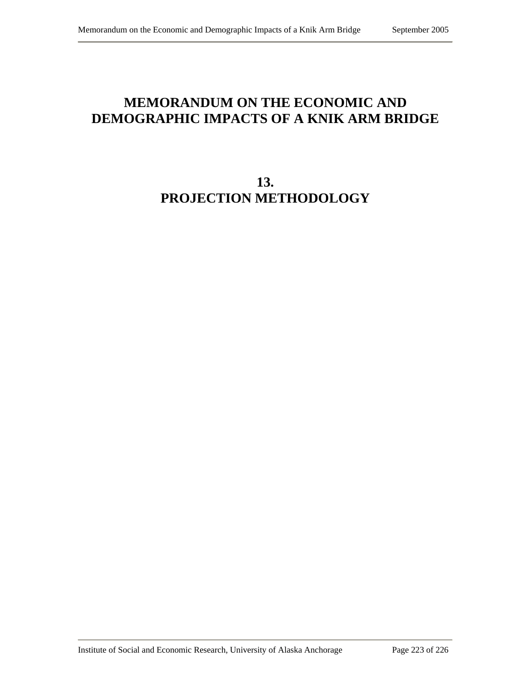## **MEMORANDUM ON THE ECONOMIC AND DEMOGRAPHIC IMPACTS OF A KNIK ARM BRIDGE**

# **13. PROJECTION METHODOLOGY**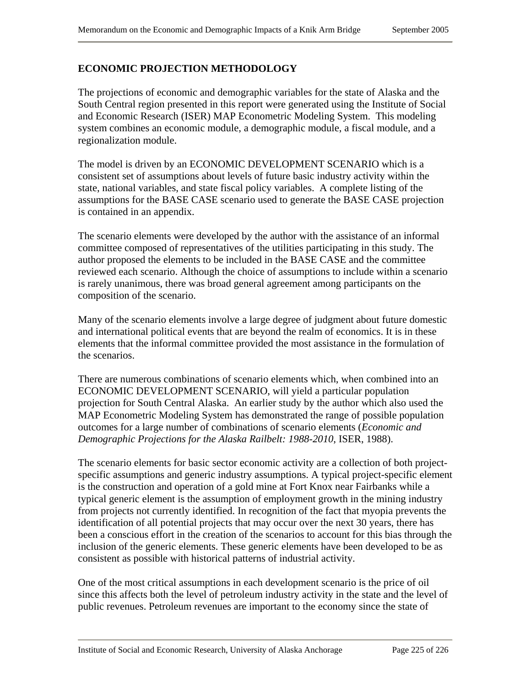### **ECONOMIC PROJECTION METHODOLOGY**

The projections of economic and demographic variables for the state of Alaska and the South Central region presented in this report were generated using the Institute of Social and Economic Research (ISER) MAP Econometric Modeling System. This modeling system combines an economic module, a demographic module, a fiscal module, and a regionalization module.

The model is driven by an ECONOMIC DEVELOPMENT SCENARIO which is a consistent set of assumptions about levels of future basic industry activity within the state, national variables, and state fiscal policy variables. A complete listing of the assumptions for the BASE CASE scenario used to generate the BASE CASE projection is contained in an appendix.

The scenario elements were developed by the author with the assistance of an informal committee composed of representatives of the utilities participating in this study. The author proposed the elements to be included in the BASE CASE and the committee reviewed each scenario. Although the choice of assumptions to include within a scenario is rarely unanimous, there was broad general agreement among participants on the composition of the scenario.

Many of the scenario elements involve a large degree of judgment about future domestic and international political events that are beyond the realm of economics. It is in these elements that the informal committee provided the most assistance in the formulation of the scenarios.

There are numerous combinations of scenario elements which, when combined into an ECONOMIC DEVELOPMENT SCENARIO, will yield a particular population projection for South Central Alaska. An earlier study by the author which also used the MAP Econometric Modeling System has demonstrated the range of possible population outcomes for a large number of combinations of scenario elements (*Economic and Demographic Projections for the Alaska Railbelt: 1988-2010*, ISER, 1988).

The scenario elements for basic sector economic activity are a collection of both projectspecific assumptions and generic industry assumptions. A typical project-specific element is the construction and operation of a gold mine at Fort Knox near Fairbanks while a typical generic element is the assumption of employment growth in the mining industry from projects not currently identified. In recognition of the fact that myopia prevents the identification of all potential projects that may occur over the next 30 years, there has been a conscious effort in the creation of the scenarios to account for this bias through the inclusion of the generic elements. These generic elements have been developed to be as consistent as possible with historical patterns of industrial activity.

One of the most critical assumptions in each development scenario is the price of oil since this affects both the level of petroleum industry activity in the state and the level of public revenues. Petroleum revenues are important to the economy since the state of